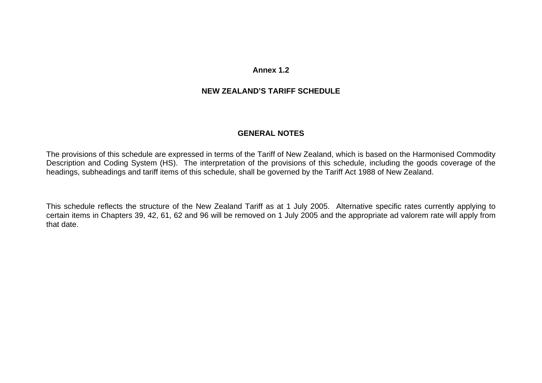# **Annex 1.2**

# **NEW ZEALAND'S TARIFF SCHEDULE**

# **GENERAL NOTES**

The provisions of this schedule are expressed in terms of the Tariff of New Zealand, which is based on the Harmonised Commodity Description and Coding System (HS). The interpretation of the provisions of this schedule, including the goods coverage of the headings, subheadings and tariff items of this schedule, shall be governed by the Tariff Act 1988 of New Zealand.

This schedule reflects the structure of the New Zealand Tariff as at 1 July 2005. Alternative specific rates currently applying to certain items in Chapters 39, 42, 61, 62 and 96 will be removed on 1 July 2005 and the appropriate ad valorem rate will apply from that date.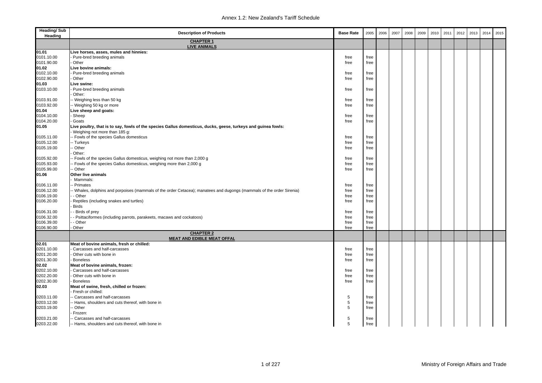| <b>Heading/Sub</b><br>Heading | <b>Description of Products</b>                                                                                       | <b>Base Rate</b> | 2005         | 2006 | 2007 | 2008 | 2009 | 2010 | 2011 | 2012 | 2013 | 2014 | 2015 |
|-------------------------------|----------------------------------------------------------------------------------------------------------------------|------------------|--------------|------|------|------|------|------|------|------|------|------|------|
|                               | <b>CHAPTER 1</b><br><b>LIVE ANIMALS</b>                                                                              |                  |              |      |      |      |      |      |      |      |      |      |      |
| 01.01                         | Live horses, asses, mules and hinnies:                                                                               |                  |              |      |      |      |      |      |      |      |      |      |      |
| 0101.10.00                    | Pure-bred breeding animals                                                                                           | free             | free         |      |      |      |      |      |      |      |      |      |      |
| 0101.90.00                    | Other                                                                                                                | free             | free         |      |      |      |      |      |      |      |      |      |      |
| 01.02                         | Live bovine animals:                                                                                                 |                  |              |      |      |      |      |      |      |      |      |      |      |
| 0102.10.00                    | Pure-bred breeding animals                                                                                           | free             | free         |      |      |      |      |      |      |      |      |      |      |
| 0102.90.00                    | Other                                                                                                                | free             | free         |      |      |      |      |      |      |      |      |      |      |
| 01.03                         | Live swine:                                                                                                          |                  |              |      |      |      |      |      |      |      |      |      |      |
| 0103.10.00                    | Pure-bred breeding animals                                                                                           | free             | free         |      |      |      |      |      |      |      |      |      |      |
|                               | Other:                                                                                                               |                  |              |      |      |      |      |      |      |      |      |      |      |
| 0103.91.00                    | - Weighing less than 50 kg                                                                                           | free             | free         |      |      |      |      |      |      |      |      |      |      |
| 0103.92.00                    | - Weighing 50 kg or more                                                                                             | free             | free         |      |      |      |      |      |      |      |      |      |      |
| 01.04                         | Live sheep and goats:                                                                                                |                  |              |      |      |      |      |      |      |      |      |      |      |
| 0104.10.00                    | Sheep                                                                                                                | free             | free         |      |      |      |      |      |      |      |      |      |      |
| 0104.20.00                    | Goats                                                                                                                | free             | free         |      |      |      |      |      |      |      |      |      |      |
| 01.05                         | Live poultry, that is to say, fowls of the species Gallus domesticus, ducks, geese, turkeys and guinea fowls:        |                  |              |      |      |      |      |      |      |      |      |      |      |
|                               | Weighing not more than 185 g:                                                                                        |                  |              |      |      |      |      |      |      |      |      |      |      |
| 0105.11.00<br>0105.12.00      | - Fowls of the species Gallus domesticus<br>- Turkeys                                                                | free<br>free     | free<br>free |      |      |      |      |      |      |      |      |      |      |
| 0105.19.00                    | Other                                                                                                                | free             | free         |      |      |      |      |      |      |      |      |      |      |
|                               | Other:                                                                                                               |                  |              |      |      |      |      |      |      |      |      |      |      |
| 0105.92.00                    | - Fowls of the species Gallus domesticus, weighing not more than 2,000 g                                             | free             | free         |      |      |      |      |      |      |      |      |      |      |
| 0105.93.00                    | - Fowls of the species Gallus domesticus, weighing more than 2,000 g                                                 | free             | free         |      |      |      |      |      |      |      |      |      |      |
| 0105.99.00                    | - Other                                                                                                              | free             | free         |      |      |      |      |      |      |      |      |      |      |
| 01.06                         | Other live animals                                                                                                   |                  |              |      |      |      |      |      |      |      |      |      |      |
|                               | Mammals:                                                                                                             |                  |              |      |      |      |      |      |      |      |      |      |      |
| 0106.11.00                    | - Primates                                                                                                           | free             | free         |      |      |      |      |      |      |      |      |      |      |
| 0106.12.00                    | - Whales, dolphins and porpoises (mammals of the order Cetacea); manatees and dugongs (mammals of the order Sirenia) | free             | free         |      |      |      |      |      |      |      |      |      |      |
| 0106.19.00                    | - Other                                                                                                              | free             | free         |      |      |      |      |      |      |      |      |      |      |
| 0106.20.00                    | Reptiles (including snakes and turtles)                                                                              | free             | free         |      |      |      |      |      |      |      |      |      |      |
|                               | <b>Birds</b>                                                                                                         |                  |              |      |      |      |      |      |      |      |      |      |      |
| 0106.31.00                    | - Birds of prey                                                                                                      | free             | free         |      |      |      |      |      |      |      |      |      |      |
| 0106.32.00                    | - Psittaciformes (including parrots, parakeets, macaws and cockatoos)                                                | free             | free         |      |      |      |      |      |      |      |      |      |      |
| 0106.39.00                    | - Other                                                                                                              | free             | free         |      |      |      |      |      |      |      |      |      |      |
| 0106.90.00                    | Other                                                                                                                | free             | free         |      |      |      |      |      |      |      |      |      |      |
|                               | <b>CHAPTER 2</b><br><b>MEAT AND EDIBLE MEAT OFFAL</b>                                                                |                  |              |      |      |      |      |      |      |      |      |      |      |
| 02.01                         | Meat of bovine animals, fresh or chilled:                                                                            |                  |              |      |      |      |      |      |      |      |      |      |      |
| 0201.10.00                    | Carcasses and half-carcasses                                                                                         | free             | free         |      |      |      |      |      |      |      |      |      |      |
| 0201.20.00                    | Other cuts with bone in                                                                                              | free             | free         |      |      |      |      |      |      |      |      |      |      |
| 0201.30.00                    | Boneless                                                                                                             | free             | free         |      |      |      |      |      |      |      |      |      |      |
| 02.02                         | Meat of bovine animals, frozen:                                                                                      |                  |              |      |      |      |      |      |      |      |      |      |      |
| 0202.10.00                    | Carcasses and half-carcasses                                                                                         | free             | free         |      |      |      |      |      |      |      |      |      |      |
| 0202.20.00                    | Other cuts with bone in                                                                                              | free             | free         |      |      |      |      |      |      |      |      |      |      |
| 0202.30.00                    | <b>Boneless</b>                                                                                                      | free             | free         |      |      |      |      |      |      |      |      |      |      |
| 02.03                         | Meat of swine, fresh, chilled or frozen:                                                                             |                  |              |      |      |      |      |      |      |      |      |      |      |
|                               | Fresh or chilled:                                                                                                    |                  |              |      |      |      |      |      |      |      |      |      |      |
| 0203.11.00                    | - Carcasses and half-carcasses                                                                                       | 5<br>5           | free         |      |      |      |      |      |      |      |      |      |      |
| 0203.12.00<br>0203.19.00      | - Hams, shoulders and cuts thereof, with bone in<br>Other                                                            | 5                | free         |      |      |      |      |      |      |      |      |      |      |
|                               | Frozen:                                                                                                              |                  | free         |      |      |      |      |      |      |      |      |      |      |
| 0203.21.00                    | - Carcasses and half-carcasses                                                                                       | 5                |              |      |      |      |      |      |      |      |      |      |      |
| 0203.22.00                    | -- Hams, shoulders and cuts thereof, with bone in                                                                    | 5                | free<br>free |      |      |      |      |      |      |      |      |      |      |
|                               |                                                                                                                      |                  |              |      |      |      |      |      |      |      |      |      |      |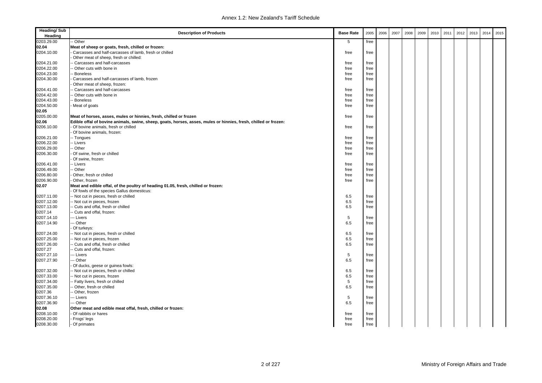| <b>Heading/Sub</b><br>Heading | <b>Description of Products</b>                                                                                  | <b>Base Rate</b> | 2005 | 2006 | 2007 | 2008 | 2009 | 2010 | 2011 | 2012 | 2013 | 2014 | 2015 |
|-------------------------------|-----------------------------------------------------------------------------------------------------------------|------------------|------|------|------|------|------|------|------|------|------|------|------|
| 0203.29.00                    | - Other                                                                                                         | 5                | free |      |      |      |      |      |      |      |      |      |      |
| 02.04                         | Meat of sheep or goats, fresh, chilled or frozen:                                                               |                  |      |      |      |      |      |      |      |      |      |      |      |
| 0204.10.00                    | Carcasses and half-carcasses of lamb, fresh or chilled                                                          | free             | free |      |      |      |      |      |      |      |      |      |      |
|                               | Other meat of sheep, fresh or chilled:                                                                          |                  |      |      |      |      |      |      |      |      |      |      |      |
| 0204.21.00                    | - Carcasses and half-carcasses                                                                                  | free             | free |      |      |      |      |      |      |      |      |      |      |
| 0204.22.00                    | - Other cuts with bone in                                                                                       | free             | free |      |      |      |      |      |      |      |      |      |      |
| 0204.23.00                    | - Boneless                                                                                                      | free             | free |      |      |      |      |      |      |      |      |      |      |
| 0204.30.00                    | Carcasses and half-carcasses of lamb, frozen                                                                    | free             | free |      |      |      |      |      |      |      |      |      |      |
|                               | Other meat of sheep, frozen:                                                                                    |                  |      |      |      |      |      |      |      |      |      |      |      |
| 0204.41.00                    | - Carcasses and half-carcasses                                                                                  | free             | free |      |      |      |      |      |      |      |      |      |      |
| 0204.42.00                    | - Other cuts with bone in                                                                                       | free             | free |      |      |      |      |      |      |      |      |      |      |
| 0204.43.00                    | -- Boneless                                                                                                     | free             | free |      |      |      |      |      |      |      |      |      |      |
| 0204.50.00                    | Meat of goats                                                                                                   | free             | free |      |      |      |      |      |      |      |      |      |      |
| 02.05                         |                                                                                                                 |                  |      |      |      |      |      |      |      |      |      |      |      |
| 0205.00.00                    | Meat of horses, asses, mules or hinnies, fresh, chilled or frozen                                               | free             | free |      |      |      |      |      |      |      |      |      |      |
| 02.06                         | Edible offal of bovine animals, swine, sheep, goats, horses, asses, mules or hinnies, fresh, chilled or frozen: |                  |      |      |      |      |      |      |      |      |      |      |      |
| 0206.10.00                    | Of bovine animals, fresh or chilled                                                                             | free             | free |      |      |      |      |      |      |      |      |      |      |
|                               | Of bovine animals, frozen:                                                                                      |                  |      |      |      |      |      |      |      |      |      |      |      |
| 0206.21.00                    | -- Tongues                                                                                                      | free             | free |      |      |      |      |      |      |      |      |      |      |
| 0206.22.00                    | -- Livers                                                                                                       | free             | free |      |      |      |      |      |      |      |      |      |      |
| 0206.29.00                    | -- Other                                                                                                        | free             | free |      |      |      |      |      |      |      |      |      |      |
| 0206.30.00                    | Of swine, fresh or chilled                                                                                      | free             | free |      |      |      |      |      |      |      |      |      |      |
|                               | Of swine, frozen:                                                                                               |                  |      |      |      |      |      |      |      |      |      |      |      |
| 0206.41.00                    | -- Livers                                                                                                       | free             | free |      |      |      |      |      |      |      |      |      |      |
| 0206.49.00                    | -- Other                                                                                                        | free             | free |      |      |      |      |      |      |      |      |      |      |
| 0206.80.00                    | Other, fresh or chilled                                                                                         | free             | free |      |      |      |      |      |      |      |      |      |      |
| 0206.90.00                    | Other, frozen                                                                                                   | free             | free |      |      |      |      |      |      |      |      |      |      |
| 02.07                         | Meat and edible offal, of the poultry of heading 01.05, fresh, chilled or frozen:                               |                  |      |      |      |      |      |      |      |      |      |      |      |
|                               | Of fowls of the species Gallus domesticus:                                                                      |                  |      |      |      |      |      |      |      |      |      |      |      |
| 0207.11.00                    | -- Not cut in pieces, fresh or chilled                                                                          | 6.5              | free |      |      |      |      |      |      |      |      |      |      |
| 0207.12.00                    | -- Not cut in pieces, frozen                                                                                    | 6.5              | free |      |      |      |      |      |      |      |      |      |      |
| 0207.13.00                    | -- Cuts and offal, fresh or chilled                                                                             | 6.5              | free |      |      |      |      |      |      |      |      |      |      |
| 0207.14                       | -- Cuts and offal, frozen:                                                                                      |                  |      |      |      |      |      |      |      |      |      |      |      |
| 0207.14.10                    | -- Livers                                                                                                       | 5                | free |      |      |      |      |      |      |      |      |      |      |
| 0207.14.90                    | -- Other                                                                                                        | 6.5              | free |      |      |      |      |      |      |      |      |      |      |
|                               | Of turkeys:                                                                                                     |                  |      |      |      |      |      |      |      |      |      |      |      |
| 0207.24.00                    | -- Not cut in pieces, fresh or chilled                                                                          | 6.5              | free |      |      |      |      |      |      |      |      |      |      |
| 0207.25.00                    | -- Not cut in pieces, frozen                                                                                    | 6.5              | free |      |      |      |      |      |      |      |      |      |      |
| 0207.26.00                    | -- Cuts and offal, fresh or chilled                                                                             | 6.5              | free |      |      |      |      |      |      |      |      |      |      |
| 0207.27                       | - Cuts and offal, frozen:                                                                                       |                  |      |      |      |      |      |      |      |      |      |      |      |
| 0207.27.10                    | - Livers                                                                                                        | 5                | free |      |      |      |      |      |      |      |      |      |      |
| 0207.27.90                    | -- Other                                                                                                        | 6.5              | free |      |      |      |      |      |      |      |      |      |      |
|                               | Of ducks, geese or guinea fowls:                                                                                |                  |      |      |      |      |      |      |      |      |      |      |      |
| 0207.32.00                    | -- Not cut in pieces, fresh or chilled                                                                          | 6.5              | free |      |      |      |      |      |      |      |      |      |      |
| 0207.33.00                    | -- Not cut in pieces, frozen                                                                                    | 6.5              | free |      |      |      |      |      |      |      |      |      |      |
| 0207.34.00                    | -- Fatty livers, fresh or chilled                                                                               | 5                | free |      |      |      |      |      |      |      |      |      |      |
| 0207.35.00                    | - Other, fresh or chilled                                                                                       | 6.5              | free |      |      |      |      |      |      |      |      |      |      |
| 0207.36                       | -- Other, frozen                                                                                                |                  |      |      |      |      |      |      |      |      |      |      |      |
| 0207.36.10                    | -- Livers                                                                                                       | 5                | free |      |      |      |      |      |      |      |      |      |      |
| 0207.36.90                    | -- Other                                                                                                        | 6.5              | free |      |      |      |      |      |      |      |      |      |      |
| 02.08                         | Other meat and edible meat offal, fresh, chilled or frozen:                                                     |                  |      |      |      |      |      |      |      |      |      |      |      |
| 0208.10.00                    | Of rabbits or hares                                                                                             | free             | free |      |      |      |      |      |      |      |      |      |      |
| 0208.20.00                    | - Frogs' legs                                                                                                   | free             | free |      |      |      |      |      |      |      |      |      |      |
| 0208.30.00                    | - Of primates                                                                                                   | free             | free |      |      |      |      |      |      |      |      |      |      |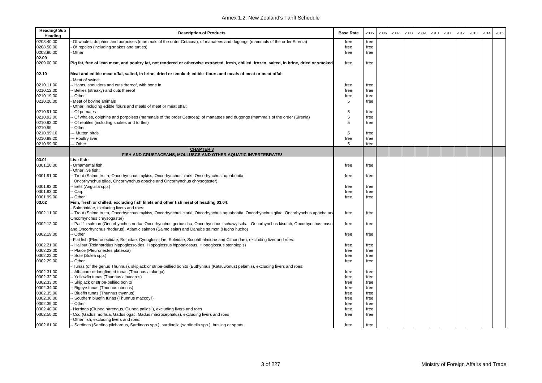| <b>Heading/Sub</b><br>Heading | <b>Description of Products</b>                                                                                                                                                                                                 | <b>Base Rate</b> | 2005 | 2006 | 2007 | 2008 | 2009 | 2010 | 2011 | 2012 | 2013 | 2014 | 2015 |
|-------------------------------|--------------------------------------------------------------------------------------------------------------------------------------------------------------------------------------------------------------------------------|------------------|------|------|------|------|------|------|------|------|------|------|------|
| 0208.40.00                    | Of whales, dolphins and porpoises (mammals of the order Cetacea); of manatees and dugongs (mammals of the order Sirenia)                                                                                                       | free             | free |      |      |      |      |      |      |      |      |      |      |
| 0208.50.00                    | Of reptiles (including snakes and turtles)                                                                                                                                                                                     | free             | free |      |      |      |      |      |      |      |      |      |      |
| 0208.90.00                    | Other                                                                                                                                                                                                                          | free             | free |      |      |      |      |      |      |      |      |      |      |
| 02.09                         |                                                                                                                                                                                                                                |                  |      |      |      |      |      |      |      |      |      |      |      |
| 0209.00.00                    | Pig fat, free of lean meat, and poultry fat, not rendered or otherwise extracted, fresh, chilled, frozen, salted, in brine, dried or smoked                                                                                    | free             | free |      |      |      |      |      |      |      |      |      |      |
| 02.10                         | Meat and edible meat offal, salted, in brine, dried or smoked; edible flours and meals of meat or meat offal:<br>Meat of swine:                                                                                                |                  |      |      |      |      |      |      |      |      |      |      |      |
| 0210.11.00                    | - Hams, shoulders and cuts thereof, with bone in                                                                                                                                                                               | free             | free |      |      |      |      |      |      |      |      |      |      |
| 0210.12.00                    | Bellies (streaky) and cuts thereof                                                                                                                                                                                             | free             | free |      |      |      |      |      |      |      |      |      |      |
| 0210.19.00                    | Other                                                                                                                                                                                                                          | free             | free |      |      |      |      |      |      |      |      |      |      |
| 0210.20.00                    | Meat of bovine animals                                                                                                                                                                                                         | 5                | free |      |      |      |      |      |      |      |      |      |      |
|                               | Other, including edible flours and meals of meat or meat offal:                                                                                                                                                                |                  |      |      |      |      |      |      |      |      |      |      |      |
| 0210.91.00                    | Of primates                                                                                                                                                                                                                    | 5                | free |      |      |      |      |      |      |      |      |      |      |
| 0210.92.00                    | - Of whales, dolphins and porpoises (mammals of the order Cetacea); of manatees and dugongs (mammals of the order (Sirenia)                                                                                                    | 5                | free |      |      |      |      |      |      |      |      |      |      |
| 0210.93.00                    | Of reptiles (including snakes and turtles)                                                                                                                                                                                     | 5                | free |      |      |      |      |      |      |      |      |      |      |
| 0210.99                       | Other                                                                                                                                                                                                                          |                  |      |      |      |      |      |      |      |      |      |      |      |
| 0210.99.10                    | --- Mutton birds                                                                                                                                                                                                               | 5                | free |      |      |      |      |      |      |      |      |      |      |
| 0210.99.20                    | --- Poultry liver                                                                                                                                                                                                              | free             | free |      |      |      |      |      |      |      |      |      |      |
| 0210.99.30                    | --- Other                                                                                                                                                                                                                      | 5                | free |      |      |      |      |      |      |      |      |      |      |
|                               | <b>CHAPTER 3</b>                                                                                                                                                                                                               |                  |      |      |      |      |      |      |      |      |      |      |      |
|                               | FISH AND CRUSTACEANS, MOLLUSCS AND OTHER AQUATIC INVERTEBRATES                                                                                                                                                                 |                  |      |      |      |      |      |      |      |      |      |      |      |
| 03.01                         | Live fish:                                                                                                                                                                                                                     |                  |      |      |      |      |      |      |      |      |      |      |      |
| 0301.10.00                    | Ornamental fish                                                                                                                                                                                                                | free             | free |      |      |      |      |      |      |      |      |      |      |
|                               | Other live fish:                                                                                                                                                                                                               |                  |      |      |      |      |      |      |      |      |      |      |      |
| 0301.91.00                    | -- Trout (Salmo trutta, Oncorhynchus mykiss, Oncorhynchus clarki, Oncorhynchus aquabonita,                                                                                                                                     | free             | free |      |      |      |      |      |      |      |      |      |      |
|                               | Oncorhynchus gilae, Oncorhynchus apache and Oncorhynchus chrysogaster)                                                                                                                                                         |                  |      |      |      |      |      |      |      |      |      |      |      |
| 0301.92.00                    | - Eels (Anguilla spp.)                                                                                                                                                                                                         | free             | free |      |      |      |      |      |      |      |      |      |      |
| 0301.93.00                    | - Carp                                                                                                                                                                                                                         | free             | free |      |      |      |      |      |      |      |      |      |      |
| 0301.99.00                    | - Other                                                                                                                                                                                                                        | free             | free |      |      |      |      |      |      |      |      |      |      |
| 03.02                         | Fish, fresh or chilled, excluding fish fillets and other fish meat of heading 03.04:<br>Salmonidae, excluding livers and roes:                                                                                                 |                  |      |      |      |      |      |      |      |      |      |      |      |
| 0302.11.00                    | -- Trout (Salmo trutta, Oncorhynchus mykiss, Oncorhynchus clarki, Oncorhynchus aquabonita, Oncorhynchus gilae, Oncorhynchus apache and<br>Oncorhynchus chrysogaster)                                                           | free             | free |      |      |      |      |      |      |      |      |      |      |
| 0302.12.00                    | - Pacific salmon (Oncorhynchus nerka, Oncorhynchus gorbuscha, Oncorhynchus tschawytscha, Oncorhynchus kisutch, Oncorhynchus masor<br>and Oncorhynchus rhodurus), Atlantic salmon (Salmo salar) and Danube salmon (Hucho hucho) | free             | free |      |      |      |      |      |      |      |      |      |      |
| 0302.19.00                    | - Other                                                                                                                                                                                                                        | free             | free |      |      |      |      |      |      |      |      |      |      |
|                               | Flat fish (Pleuronectidae, Bothidae, Cynoglossidae, Soleidae, Scophthalmidae and Citharidae), excluding liver and roes:                                                                                                        |                  |      |      |      |      |      |      |      |      |      |      |      |
| 0302.21.00                    | Halibut (Reinhardtius hippoglossoides, Hippoglossus hippoglossus, Hippoglossus stenolepis)                                                                                                                                     | free             | free |      |      |      |      |      |      |      |      |      |      |
| 0302.22.00                    | Plaice (Pleuronectes platessa)                                                                                                                                                                                                 | free             | free |      |      |      |      |      |      |      |      |      |      |
| 0302.23.00                    | Sole (Solea spp.)                                                                                                                                                                                                              | free             | free |      |      |      |      |      |      |      |      |      |      |
| 0302.29.00                    | - Other                                                                                                                                                                                                                        | free             | free |      |      |      |      |      |      |      |      |      |      |
|                               | Tunas (of the genus Thunnus), skipjack or stripe-bellied bonito (Euthynnus (Katsuwonus) pelamis), excluding livers and roes:                                                                                                   |                  |      |      |      |      |      |      |      |      |      |      |      |
| 0302.31.00                    | - Albacore or longfinned tunas (Thunnus alalunga)                                                                                                                                                                              | free             | free |      |      |      |      |      |      |      |      |      |      |
| 0302.32.00                    | - Yellowfin tunas (Thunnus albacares)                                                                                                                                                                                          | free             | free |      |      |      |      |      |      |      |      |      |      |
| 0302.33.00                    | Skipjack or stripe-bellied bonito                                                                                                                                                                                              | free             | free |      |      |      |      |      |      |      |      |      |      |
| 0302.34.00                    | Bigeye tunas (Thunnus obesus)                                                                                                                                                                                                  | free             | free |      |      |      |      |      |      |      |      |      |      |
| 0302.35.00                    | Bluefin tunas (Thunnus thynnus)                                                                                                                                                                                                | free             | free |      |      |      |      |      |      |      |      |      |      |
| 0302.36.00                    | Southern bluefin tunas (Thunnus maccoyii)                                                                                                                                                                                      | free             | free |      |      |      |      |      |      |      |      |      |      |
| 0302.39.00                    | - Other                                                                                                                                                                                                                        | free             | free |      |      |      |      |      |      |      |      |      |      |
| 0302.40.00                    | Herrings (Clupea harengus, Clupea pallasii), excluding livers and roes                                                                                                                                                         | free             | free |      |      |      |      |      |      |      |      |      |      |
| 0302.50.00                    | Cod (Gadus morhua, Gadus ogac, Gadus macrocephalus), excluding livers and roes                                                                                                                                                 | free             | free |      |      |      |      |      |      |      |      |      |      |
|                               | Other fish, excluding livers and roes:                                                                                                                                                                                         |                  |      |      |      |      |      |      |      |      |      |      |      |
| 0302.61.00                    | -- Sardines (Sardina pilchardus, Sardinops spp.), sardinella (sardinella spp.), brisling or sprats                                                                                                                             | free             | free |      |      |      |      |      |      |      |      |      |      |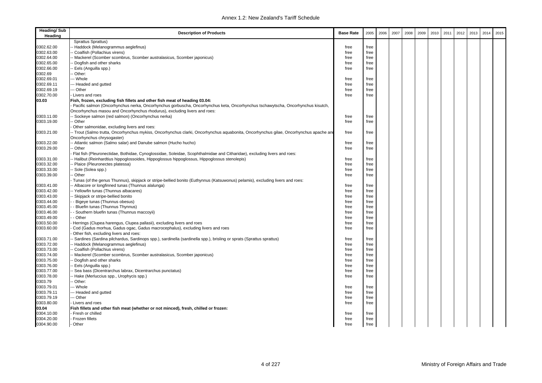| <b>Heading/Sub</b><br>Heading | <b>Description of Products</b>                                                                                                         | <b>Base Rate</b> | 2005 | 2006 | 2007 | 2008 | 2009 | 2010 | 2011 | 2012 | 2013 | 2014 | 2015 |
|-------------------------------|----------------------------------------------------------------------------------------------------------------------------------------|------------------|------|------|------|------|------|------|------|------|------|------|------|
|                               | Sprattus Sprattus)                                                                                                                     |                  |      |      |      |      |      |      |      |      |      |      |      |
| 0302.62.00                    | Haddock (Melanogrammus aeglefinus)                                                                                                     | free             | free |      |      |      |      |      |      |      |      |      |      |
| 0302.63.00                    | - Coalfish (Pollachius virens)                                                                                                         | free             | free |      |      |      |      |      |      |      |      |      |      |
| 0302.64.00                    | - Mackerel (Scomber scombrus, Scomber australasicus, Scomber japonicus)                                                                | free             | free |      |      |      |      |      |      |      |      |      |      |
| 0302.65.00                    | Dogfish and other sharks                                                                                                               | free             | free |      |      |      |      |      |      |      |      |      |      |
| 0302.66.00                    | - Eels (Anguilla spp.)                                                                                                                 | free             | free |      |      |      |      |      |      |      |      |      |      |
| 0302.69                       | Other:                                                                                                                                 |                  |      |      |      |      |      |      |      |      |      |      |      |
| 0302.69.01                    | -- Whole                                                                                                                               | free             | free |      |      |      |      |      |      |      |      |      |      |
| 0302.69.11                    | --- Headed and gutted                                                                                                                  | free             | free |      |      |      |      |      |      |      |      |      |      |
| 0302.69.19                    | -- Other                                                                                                                               | free             | free |      |      |      |      |      |      |      |      |      |      |
| 0302.70.00                    | Livers and roes                                                                                                                        | free             | free |      |      |      |      |      |      |      |      |      |      |
| 03.03                         | Fish, frozen, excluding fish fillets and other fish meat of heading 03.04:                                                             |                  |      |      |      |      |      |      |      |      |      |      |      |
|                               | Pacific salmon (Oncorhynchus nerka, Oncorhynchus gorbuscha, Oncorhynchus keta, Oncorhynchus tschawytscha, Oncorhynchus kisutch,        |                  |      |      |      |      |      |      |      |      |      |      |      |
|                               | Oncorhynchus masou and Oncorhynchus rhodurus), excluding livers and roes:                                                              |                  |      |      |      |      |      |      |      |      |      |      |      |
| 0303.11.00                    | - Sockeye salmon (red salmon) (Oncorhynchus nerka)                                                                                     | free             | free |      |      |      |      |      |      |      |      |      |      |
| 0303.19.00                    | - Other                                                                                                                                | free             | free |      |      |      |      |      |      |      |      |      |      |
|                               | Other salmonidae, excluding livers and roes:                                                                                           |                  |      |      |      |      |      |      |      |      |      |      |      |
| 0303.21.00                    | -- Trout (Salmo trutta, Oncorhynchus mykiss, Oncorhynchus clarki, Oncorhynchus aquabonita, Oncorhynchus gilae, Oncorhynchus apache ano | free             | free |      |      |      |      |      |      |      |      |      |      |
|                               | Oncorhynchus chrysogaster)                                                                                                             |                  |      |      |      |      |      |      |      |      |      |      |      |
| 0303.22.00                    | -- Atlantic salmon (Salmo salar) and Danube salmon (Hucho hucho)                                                                       | free             | free |      |      |      |      |      |      |      |      |      |      |
| 0303.29.00                    | - Other                                                                                                                                | free             | free |      |      |      |      |      |      |      |      |      |      |
|                               | Flat fish (Pleuronectidae, Bothidae, Cynoglossidae, Soleidae, Scophthalmidae and Citharidae), excluding livers and roes:               |                  |      |      |      |      |      |      |      |      |      |      |      |
| 0303.31.00                    | - Halibut (Reinhardtius hippoglossoides, Hippoglossus hippoglossus, Hippoglossus stenolepis)                                           | free             | free |      |      |      |      |      |      |      |      |      |      |
| 0303.32.00                    | - Plaice (Pleuronectes platessa)                                                                                                       | free             | free |      |      |      |      |      |      |      |      |      |      |
| 0303.33.00                    | - Sole (Solea spp.)                                                                                                                    | free             | free |      |      |      |      |      |      |      |      |      |      |
| 0303.39.00                    | - Other                                                                                                                                | free             | free |      |      |      |      |      |      |      |      |      |      |
|                               | Tunas (of the genus Thunnus), skipjack or stripe-bellied bonito (Euthynnus (Katsuwonus) pelamis), excluding livers and roes:           |                  |      |      |      |      |      |      |      |      |      |      |      |
| 0303.41.00                    | - Albacore or longfinned tunas (Thunnus alalunga)                                                                                      | free             | free |      |      |      |      |      |      |      |      |      |      |
| 0303.42.00                    | - Yellowfin tunas (Thunnus albacares)                                                                                                  | free             | free |      |      |      |      |      |      |      |      |      |      |
| 0303.43.00                    | Skipjack or stripe-bellied bonito                                                                                                      | free             | free |      |      |      |      |      |      |      |      |      |      |
| 0303.44.00                    | - Bigeye tunas (Thunnus obesus)                                                                                                        | free             | free |      |      |      |      |      |      |      |      |      |      |
| 0303.45.00                    | - Bluefin tunas (Thunnus Thynnus)                                                                                                      | free             | free |      |      |      |      |      |      |      |      |      |      |
| 0303.46.00                    | - Southern bluefin tunas (Thunnus maccoyii)                                                                                            | free             | free |      |      |      |      |      |      |      |      |      |      |
| 0303.49.00                    | - Other                                                                                                                                | free             | free |      |      |      |      |      |      |      |      |      |      |
| 0303.50.00                    | Herrings (Clupea harengus, Clupea pallasii), excluding livers and roes                                                                 | free             | free |      |      |      |      |      |      |      |      |      |      |
| 0303.60.00                    | Cod (Gadus morhua, Gadus ogac, Gadus macrocephalus), excluding livers and roes                                                         | free             | free |      |      |      |      |      |      |      |      |      |      |
|                               | Other fish, excluding livers and roes:                                                                                                 |                  |      |      |      |      |      |      |      |      |      |      |      |
| 0303.71.00                    | - Sardines (Sardina pilchardus, Sardinops spp.), sardinella (sardinella spp.), brisling or sprats (Sprattus sprattus)                  | free             | free |      |      |      |      |      |      |      |      |      |      |
| 0303.72.00                    | - Haddock (Melanogrammus aeglefinus)                                                                                                   | free             | free |      |      |      |      |      |      |      |      |      |      |
| 0303.73.00                    | - Coalfish (Pollachius virens)                                                                                                         | free             | free |      |      |      |      |      |      |      |      |      |      |
| 0303.74.00                    | - Mackerel (Scomber scombrus, Scomber australasicus, Scomber japonicus)                                                                | free             | free |      |      |      |      |      |      |      |      |      |      |
| 0303.75.00                    | Dogfish and other sharks                                                                                                               | free             | free |      |      |      |      |      |      |      |      |      |      |
| 0303.76.00                    | - Eels (Anguilla spp.)                                                                                                                 | free             | free |      |      |      |      |      |      |      |      |      |      |
| 0303.77.00                    | Sea bass (Dicentrarchus labrax, Dicentrarchus punctatus)                                                                               | free             | free |      |      |      |      |      |      |      |      |      |      |
| 0303.78.00                    | - Hake (Merluccius spp., Urophycis spp.)                                                                                               | free             | free |      |      |      |      |      |      |      |      |      |      |
| 0303.79                       | - Other:                                                                                                                               |                  |      |      |      |      |      |      |      |      |      |      |      |
| 0303.79.01                    | -- Whole                                                                                                                               | free             | free |      |      |      |      |      |      |      |      |      |      |
| 0303.79.11                    | --- Headed and gutted                                                                                                                  | free             | free |      |      |      |      |      |      |      |      |      |      |
| 0303.79.19                    | --- Other                                                                                                                              | free             |      |      |      |      |      |      |      |      |      |      |      |
| 0303.80.00                    |                                                                                                                                        | free             | free |      |      |      |      |      |      |      |      |      |      |
|                               | Livers and roes                                                                                                                        |                  | free |      |      |      |      |      |      |      |      |      |      |
| 03.04                         | Fish fillets and other fish meat (whether or not minced), fresh, chilled or frozen:                                                    |                  |      |      |      |      |      |      |      |      |      |      |      |
| 0304.10.00                    | Fresh or chilled                                                                                                                       | free             | free |      |      |      |      |      |      |      |      |      |      |
| 0304.20.00                    | Frozen fillets                                                                                                                         | free             | free |      |      |      |      |      |      |      |      |      |      |
| 0304.90.00                    | Other                                                                                                                                  | free             | free |      |      |      |      |      |      |      |      |      |      |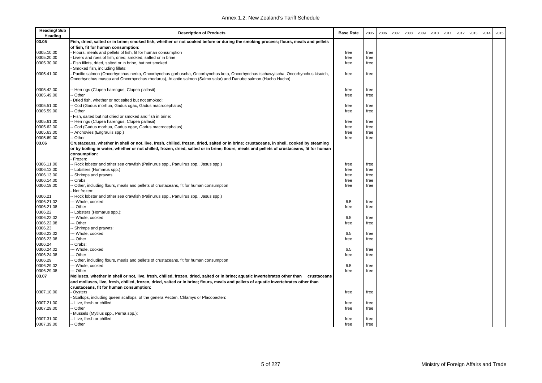| <b>Heading/Sub</b><br>Heading | <b>Description of Products</b>                                                                                                                                                                                                                  | <b>Base Rate</b> | 2005 | 2006 | 2007 | 2008 | 2009 | 2010 | 2011 | 2012 | 2013 | 2014 | 2015 |
|-------------------------------|-------------------------------------------------------------------------------------------------------------------------------------------------------------------------------------------------------------------------------------------------|------------------|------|------|------|------|------|------|------|------|------|------|------|
| 03.05                         | Fish, dried, salted or in brine; smoked fish, whether or not cooked before or during the smoking process; flours, meals and pellets                                                                                                             |                  |      |      |      |      |      |      |      |      |      |      |      |
|                               | of fish, fit for human consumption:                                                                                                                                                                                                             |                  |      |      |      |      |      |      |      |      |      |      |      |
| 0305.10.00                    | Flours, meals and pellets of fish, fit for human consumption                                                                                                                                                                                    | free             | free |      |      |      |      |      |      |      |      |      |      |
| 0305.20.00                    | Livers and roes of fish, dried, smoked, salted or in brine                                                                                                                                                                                      | free             | free |      |      |      |      |      |      |      |      |      |      |
| 0305.30.00                    | Fish fillets, dried, salted or in brine, but not smoked                                                                                                                                                                                         | free             | free |      |      |      |      |      |      |      |      |      |      |
|                               | Smoked fish, including fillets:                                                                                                                                                                                                                 |                  |      |      |      |      |      |      |      |      |      |      |      |
| 0305.41.00                    | Pacific salmon (Oncorhynchus nerka, Oncorhynchus gorbuscha, Oncorhynchus keta, Oncorhynchus tschawytscha, Oncorhynchus kisutch,<br>Oncorhynchus masou and Oncorhynchus rhodurus), Atlantic salmon (Salmo salar) and Danube salmon (Hucho Hucho) | free             | free |      |      |      |      |      |      |      |      |      |      |
|                               |                                                                                                                                                                                                                                                 |                  |      |      |      |      |      |      |      |      |      |      |      |
| 0305.42.00<br>0305.49.00      | - Herrings (Clupea harengus, Clupea pallasii)<br>Other                                                                                                                                                                                          | free<br>free     | free |      |      |      |      |      |      |      |      |      |      |
|                               | Dried fish, whether or not salted but not smoked:                                                                                                                                                                                               |                  | free |      |      |      |      |      |      |      |      |      |      |
| 0305.51.00                    | - Cod (Gadus morhua, Gadus ogac, Gadus macrocephalus)                                                                                                                                                                                           | free             | free |      |      |      |      |      |      |      |      |      |      |
| 0305.59.00                    | - Other                                                                                                                                                                                                                                         | free             | free |      |      |      |      |      |      |      |      |      |      |
|                               | Fish, salted but not dried or smoked and fish in brine:                                                                                                                                                                                         |                  |      |      |      |      |      |      |      |      |      |      |      |
| 0305.61.00                    | - Herrings (Clupea harengus, Clupea pallasii)                                                                                                                                                                                                   | free             | free |      |      |      |      |      |      |      |      |      |      |
| 0305.62.00                    | - Cod (Gadus morhua, Gadus ogac, Gadus macrocephalus)                                                                                                                                                                                           | free             | free |      |      |      |      |      |      |      |      |      |      |
| 0305.63.00                    | - Anchovies (Engraulis spp.)                                                                                                                                                                                                                    | free             | free |      |      |      |      |      |      |      |      |      |      |
| 0305.69.00                    | - Other                                                                                                                                                                                                                                         | free             | free |      |      |      |      |      |      |      |      |      |      |
| 03.06                         | Crustaceans, whether in shell or not, live, fresh, chilled, frozen, dried, salted or in brine; crustaceans, in shell, cooked by steaming                                                                                                        |                  |      |      |      |      |      |      |      |      |      |      |      |
|                               | or by boiling in water, whether or not chilled, frozen, dried, salted or in brine; flours, meals and pellets of crustaceans, fit for human                                                                                                      |                  |      |      |      |      |      |      |      |      |      |      |      |
|                               |                                                                                                                                                                                                                                                 |                  |      |      |      |      |      |      |      |      |      |      |      |
|                               | consumption:<br>Frozen:                                                                                                                                                                                                                         |                  |      |      |      |      |      |      |      |      |      |      |      |
| 0306.11.00                    | - Rock lobster and other sea crawfish (Palinurus spp., Panulirus spp., Jasus spp.)                                                                                                                                                              | free             | free |      |      |      |      |      |      |      |      |      |      |
| 0306.12.00                    | -- Lobsters (Homarus spp.)                                                                                                                                                                                                                      | free             | free |      |      |      |      |      |      |      |      |      |      |
| 0306.13.00                    | - Shrimps and prawns                                                                                                                                                                                                                            | free             | free |      |      |      |      |      |      |      |      |      |      |
| 0306.14.00                    | - Crabs                                                                                                                                                                                                                                         | free             | free |      |      |      |      |      |      |      |      |      |      |
| 0306.19.00                    | - Other, including flours, meals and pellets of crustaceans, fit for human consumption                                                                                                                                                          | free             | free |      |      |      |      |      |      |      |      |      |      |
|                               | Not frozen:                                                                                                                                                                                                                                     |                  |      |      |      |      |      |      |      |      |      |      |      |
| 0306.21                       | - Rock lobster and other sea crawfish (Palinurus spp., Panulirus spp., Jasus spp.)                                                                                                                                                              |                  |      |      |      |      |      |      |      |      |      |      |      |
| 0306.21.02                    | --- Whole, cooked                                                                                                                                                                                                                               | 6.5              | free |      |      |      |      |      |      |      |      |      |      |
| 0306.21.08                    | -- Other                                                                                                                                                                                                                                        | free             | free |      |      |      |      |      |      |      |      |      |      |
| 0306.22                       | -- Lobsters (Homarus spp.):                                                                                                                                                                                                                     |                  |      |      |      |      |      |      |      |      |      |      |      |
| 0306.22.02                    | --- Whole, cooked                                                                                                                                                                                                                               | 6.5              | free |      |      |      |      |      |      |      |      |      |      |
| 0306.22.08                    | -- Other                                                                                                                                                                                                                                        | free             | free |      |      |      |      |      |      |      |      |      |      |
| 0306.23                       | - Shrimps and prawns:                                                                                                                                                                                                                           |                  |      |      |      |      |      |      |      |      |      |      |      |
| 0306.23.02                    | --- Whole, cooked                                                                                                                                                                                                                               | 6.5              | free |      |      |      |      |      |      |      |      |      |      |
| 0306.23.08                    | -- Other                                                                                                                                                                                                                                        | free             | free |      |      |      |      |      |      |      |      |      |      |
| 0306.24                       | - Crabs:                                                                                                                                                                                                                                        |                  |      |      |      |      |      |      |      |      |      |      |      |
| 0306.24.02                    | --- Whole, cooked                                                                                                                                                                                                                               | 6.5              | free |      |      |      |      |      |      |      |      |      |      |
| 0306.24.08                    | -- Other                                                                                                                                                                                                                                        | free             | free |      |      |      |      |      |      |      |      |      |      |
| 0306.29                       | Other, including flours, meals and pellets of crustaceans, fit for human consumption                                                                                                                                                            |                  |      |      |      |      |      |      |      |      |      |      |      |
| 0306.29.02                    | --- Whole, cooked                                                                                                                                                                                                                               | 6.5              | free |      |      |      |      |      |      |      |      |      |      |
| 0306.29.08                    | --- Other                                                                                                                                                                                                                                       | free             | free |      |      |      |      |      |      |      |      |      |      |
| 03.07                         | Molluscs, whether in shell or not, live, fresh, chilled, frozen, dried, salted or in brine; aquatic invertebrates other than<br>crustaceans                                                                                                     |                  |      |      |      |      |      |      |      |      |      |      |      |
|                               | and molluscs, live, fresh, chilled, frozen, dried, salted or in brine; flours, meals and pellets of aquatic invertebrates other than                                                                                                            |                  |      |      |      |      |      |      |      |      |      |      |      |
|                               | crustaceans, fit for human consumption:                                                                                                                                                                                                         |                  |      |      |      |      |      |      |      |      |      |      |      |
| 0307.10.00                    | Oysters                                                                                                                                                                                                                                         | free             | free |      |      |      |      |      |      |      |      |      |      |
|                               | Scallops, including queen scallops, of the genera Pecten, Chlamys or Placopecten:                                                                                                                                                               |                  |      |      |      |      |      |      |      |      |      |      |      |
| 0307.21.00                    | - Live, fresh or chilled                                                                                                                                                                                                                        | free             | free |      |      |      |      |      |      |      |      |      |      |
| 0307.29.00                    | - Other                                                                                                                                                                                                                                         | free             | free |      |      |      |      |      |      |      |      |      |      |
|                               | Mussels (Mytilus spp., Perna spp.):                                                                                                                                                                                                             |                  |      |      |      |      |      |      |      |      |      |      |      |
| 0307.31.00                    | -- Live, fresh or chilled                                                                                                                                                                                                                       | free             | free |      |      |      |      |      |      |      |      |      |      |
| 0307.39.00                    | -- Other                                                                                                                                                                                                                                        | free             | free |      |      |      |      |      |      |      |      |      |      |
|                               |                                                                                                                                                                                                                                                 |                  |      |      |      |      |      |      |      |      |      |      |      |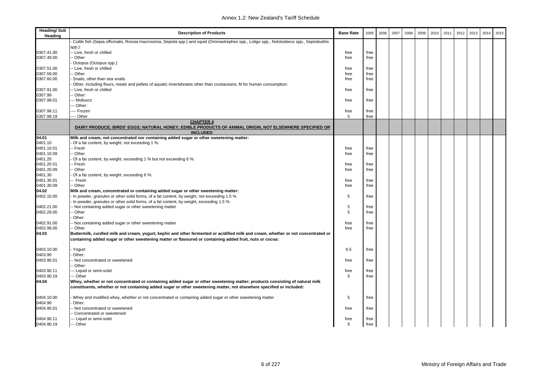| <b>Heading/Sub</b><br>Heading | <b>Description of Products</b>                                                                                                                                                                                                                      | <b>Base Rate</b> | 2005         | 2006 | 2007 | 2008 | 2009 | 2010 | 2011 | 2012 | 2013 | 2014 | 2015 |
|-------------------------------|-----------------------------------------------------------------------------------------------------------------------------------------------------------------------------------------------------------------------------------------------------|------------------|--------------|------|------|------|------|------|------|------|------|------|------|
|                               | Cuttle fish (Sepia officinalis, Rossia macrosoma, Sepiola spp.) and squid (Ommastrephes spp., Loligo spp., Nototodarus spp., Sepioteuthis                                                                                                           |                  |              |      |      |      |      |      |      |      |      |      |      |
|                               | spp.):                                                                                                                                                                                                                                              |                  |              |      |      |      |      |      |      |      |      |      |      |
| 0307.41.00                    | - Live, fresh or chilled                                                                                                                                                                                                                            | free             | free         |      |      |      |      |      |      |      |      |      |      |
| 0307.49.00                    | - Other                                                                                                                                                                                                                                             | free             | free         |      |      |      |      |      |      |      |      |      |      |
|                               | Octopus (Octopus spp.):                                                                                                                                                                                                                             |                  |              |      |      |      |      |      |      |      |      |      |      |
| 0307.51.00                    | - Live, fresh or chilled                                                                                                                                                                                                                            | free             | free         |      |      |      |      |      |      |      |      |      |      |
| 0307.59.00                    | - Other                                                                                                                                                                                                                                             | free             | free         |      |      |      |      |      |      |      |      |      |      |
| 0307.60.00                    | Snails, other than sea snails                                                                                                                                                                                                                       | free             | free         |      |      |      |      |      |      |      |      |      |      |
|                               | Other, including flours, meals and pellets of aquatic invertebrates other than crustaceans, fit for human consumption:                                                                                                                              |                  |              |      |      |      |      |      |      |      |      |      |      |
| 0307.91.00                    | - Live, fresh or chilled                                                                                                                                                                                                                            | free             | free         |      |      |      |      |      |      |      |      |      |      |
| 0307.99                       | - Other:                                                                                                                                                                                                                                            |                  |              |      |      |      |      |      |      |      |      |      |      |
| 0307.99.01                    | -- Molluscs                                                                                                                                                                                                                                         | free             | free         |      |      |      |      |      |      |      |      |      |      |
|                               | - Other:                                                                                                                                                                                                                                            |                  |              |      |      |      |      |      |      |      |      |      |      |
| 0307.99.11                    | --- Frozen                                                                                                                                                                                                                                          | free<br>5        | free         |      |      |      |      |      |      |      |      |      |      |
| 0307.99.19                    | Other<br><b>CHAPTER 4</b>                                                                                                                                                                                                                           |                  | free         |      |      |      |      |      |      |      |      |      |      |
|                               | DAIRY PRODUCE; BIRDS' EGGS; NATURAL HONEY; EDIBLE PRODUCTS OF ANIMAL ORIGIN, NOT ELSEWHERE SPECIFIED OR<br><b>INCLUDED</b>                                                                                                                          |                  |              |      |      |      |      |      |      |      |      |      |      |
| 04.01                         | Milk and cream, not concentrated nor containing added sugar or other sweetening matter:                                                                                                                                                             |                  |              |      |      |      |      |      |      |      |      |      |      |
| 0401.10                       | Of a fat content, by weight, not exceeding 1 %:                                                                                                                                                                                                     |                  |              |      |      |      |      |      |      |      |      |      |      |
| 0401.10.01                    | -- Fresh                                                                                                                                                                                                                                            | free             | free         |      |      |      |      |      |      |      |      |      |      |
| 0401.10.09                    | - Other                                                                                                                                                                                                                                             | free             | free         |      |      |      |      |      |      |      |      |      |      |
| 0401.20                       | Of a fat content, by weight, exceeding 1 % but not exceeding 6 %:                                                                                                                                                                                   |                  |              |      |      |      |      |      |      |      |      |      |      |
| 0401.20.01                    | -- Fresh                                                                                                                                                                                                                                            | free             | free         |      |      |      |      |      |      |      |      |      |      |
| 0401.20.09                    | - Other                                                                                                                                                                                                                                             | free             | free         |      |      |      |      |      |      |      |      |      |      |
| 0401.30                       | Of a fat content, by weight, exceeding 6 %:                                                                                                                                                                                                         |                  |              |      |      |      |      |      |      |      |      |      |      |
| 0401.30.01                    | -- Fresh                                                                                                                                                                                                                                            | free             | free         |      |      |      |      |      |      |      |      |      |      |
| 0401.30.09                    | -- Other                                                                                                                                                                                                                                            | free             | free         |      |      |      |      |      |      |      |      |      |      |
| 04.02                         | Milk and cream, concentrated or containing added sugar or other sweetening matter:                                                                                                                                                                  |                  |              |      |      |      |      |      |      |      |      |      |      |
| 0402.10.00                    | - In powder, granules or other solid forms, of a fat content, by weight, not exceeding 1.5 %                                                                                                                                                        | 5                | free         |      |      |      |      |      |      |      |      |      |      |
|                               | - In powder, granules or other solid forms, of a fat content, by weight, exceeding 1.5 %:                                                                                                                                                           | 5                |              |      |      |      |      |      |      |      |      |      |      |
| 0402.21.00<br>0402.29.00      | - Not containing added sugar or other sweetening matter<br>-- Other                                                                                                                                                                                 | 5                | free<br>free |      |      |      |      |      |      |      |      |      |      |
|                               | Other:                                                                                                                                                                                                                                              |                  |              |      |      |      |      |      |      |      |      |      |      |
| 0402.91.00                    | - Not containing added sugar or other sweetening matter                                                                                                                                                                                             | free             | free         |      |      |      |      |      |      |      |      |      |      |
| 0402.99.00                    | -- Other                                                                                                                                                                                                                                            | free             | free         |      |      |      |      |      |      |      |      |      |      |
| 04.03                         | Buttermilk, curdled milk and cream, yogurt, kephir and other fermented or acidified milk and cream, whether or not concentrated or<br>containing added sugar or other sweetening matter or flavoured or containing added fruit, nuts or cocoa:      |                  |              |      |      |      |      |      |      |      |      |      |      |
| 0403.10.00                    | Yogurt                                                                                                                                                                                                                                              | 6.5              | free         |      |      |      |      |      |      |      |      |      |      |
| 0403.90                       | Other:                                                                                                                                                                                                                                              |                  |              |      |      |      |      |      |      |      |      |      |      |
| 0403.90.01                    | - Not concentrated or sweetened<br>-- Other:                                                                                                                                                                                                        | free             | free         |      |      |      |      |      |      |      |      |      |      |
| 0403.90.11                    | -- Liquid or semi-solid                                                                                                                                                                                                                             | free             | free         |      |      |      |      |      |      |      |      |      |      |
| 0403.90.19                    | -- Other                                                                                                                                                                                                                                            | 5                | free         |      |      |      |      |      |      |      |      |      |      |
| 04.04                         | Whey, whether or not concentrated or containing added sugar or other sweetening matter; products consisting of natural milk<br>constituents, whether or not containing added sugar or other sweetening matter, not elsewhere specified or included: |                  |              |      |      |      |      |      |      |      |      |      |      |
| 0404.10.00                    | Whey and modified whey, whether or not concentrated or containing added sugar or other sweetening matter                                                                                                                                            | 5                | free         |      |      |      |      |      |      |      |      |      |      |
| 0404.90                       | Other:                                                                                                                                                                                                                                              |                  |              |      |      |      |      |      |      |      |      |      |      |
| 0404.90.01                    | -- Not concentrated or sweetened<br>- Concentrated or sweetened:                                                                                                                                                                                    | free             | free         |      |      |      |      |      |      |      |      |      |      |
| 0404.90.11                    | --- Liquid or semi-solid                                                                                                                                                                                                                            | free             | free         |      |      |      |      |      |      |      |      |      |      |
| 0404.90.19                    | --- Other                                                                                                                                                                                                                                           | 5                | free         |      |      |      |      |      |      |      |      |      |      |
|                               |                                                                                                                                                                                                                                                     |                  |              |      |      |      |      |      |      |      |      |      |      |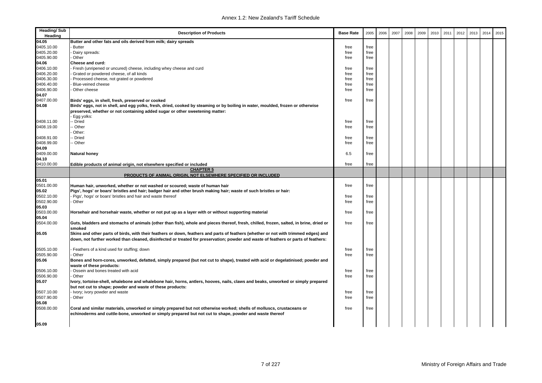| <b>Heading/Sub</b><br>Heading | <b>Description of Products</b>                                                                                                                                                                                                                                            | <b>Base Rate</b> | 2005 | 2006 | 2007 | 2008 | 2009 | 2010 | 2011 | 2012 | 2013 | 2014 | 2015 |
|-------------------------------|---------------------------------------------------------------------------------------------------------------------------------------------------------------------------------------------------------------------------------------------------------------------------|------------------|------|------|------|------|------|------|------|------|------|------|------|
| 04.05                         | Butter and other fats and oils derived from milk; dairy spreads                                                                                                                                                                                                           |                  |      |      |      |      |      |      |      |      |      |      |      |
| 0405.10.00                    | Butter                                                                                                                                                                                                                                                                    | free             | free |      |      |      |      |      |      |      |      |      |      |
| 0405.20.00                    | Dairy spreads:                                                                                                                                                                                                                                                            | free             | free |      |      |      |      |      |      |      |      |      |      |
| 0405.90.00                    | Other                                                                                                                                                                                                                                                                     | free             | free |      |      |      |      |      |      |      |      |      |      |
| 04.06                         | Cheese and curd:                                                                                                                                                                                                                                                          |                  |      |      |      |      |      |      |      |      |      |      |      |
| 0406.10.00                    | Fresh (unripened or uncured) cheese, including whey cheese and curd                                                                                                                                                                                                       | free             | free |      |      |      |      |      |      |      |      |      |      |
| 0406.20.00                    | Grated or powdered cheese, of all kinds                                                                                                                                                                                                                                   | free             | free |      |      |      |      |      |      |      |      |      |      |
| 0406.30.00                    | Processed cheese, not grated or powdered                                                                                                                                                                                                                                  | free             | free |      |      |      |      |      |      |      |      |      |      |
| 0406.40.00                    | Blue-veined cheese                                                                                                                                                                                                                                                        | free             | free |      |      |      |      |      |      |      |      |      |      |
| 0406.90.00                    | Other cheese                                                                                                                                                                                                                                                              | free             | free |      |      |      |      |      |      |      |      |      |      |
| 04.07                         |                                                                                                                                                                                                                                                                           |                  |      |      |      |      |      |      |      |      |      |      |      |
| 0407.00.00                    | Birds' eggs, in shell, fresh, preserved or cooked                                                                                                                                                                                                                         | free             | free |      |      |      |      |      |      |      |      |      |      |
| 04.08                         | Birds' eggs, not in shell, and egg yolks, fresh, dried, cooked by steaming or by boiling in water, moulded, frozen or otherwise<br>preserved, whether or not containing added sugar or other sweetening matter:                                                           |                  |      |      |      |      |      |      |      |      |      |      |      |
|                               | - Egg yolks:                                                                                                                                                                                                                                                              |                  |      |      |      |      |      |      |      |      |      |      |      |
| 0408.11.00                    | - Dried                                                                                                                                                                                                                                                                   | free             | free |      |      |      |      |      |      |      |      |      |      |
| 0408.19.00                    | - Other                                                                                                                                                                                                                                                                   | free             | free |      |      |      |      |      |      |      |      |      |      |
|                               | Other:                                                                                                                                                                                                                                                                    |                  |      |      |      |      |      |      |      |      |      |      |      |
| 0408.91.00                    | - Dried                                                                                                                                                                                                                                                                   | free             | free |      |      |      |      |      |      |      |      |      |      |
| 0408.99.00                    | -- Other                                                                                                                                                                                                                                                                  | free             | free |      |      |      |      |      |      |      |      |      |      |
| 04.09                         |                                                                                                                                                                                                                                                                           |                  |      |      |      |      |      |      |      |      |      |      |      |
| 0409.00.00                    | <b>Natural honey</b>                                                                                                                                                                                                                                                      | 6.5              | free |      |      |      |      |      |      |      |      |      |      |
| 04.10                         |                                                                                                                                                                                                                                                                           |                  |      |      |      |      |      |      |      |      |      |      |      |
| 0410.00.00                    | Edible products of animal origin, not elsewhere specified or included<br><b>CHAPTER 5</b>                                                                                                                                                                                 | free             | free |      |      |      |      |      |      |      |      |      |      |
|                               | PRODUCTS OF ANIMAL ORIGIN, NOT ELSEWHERE SPECIFIED OR INCLUDED                                                                                                                                                                                                            |                  |      |      |      |      |      |      |      |      |      |      |      |
| 05.01                         |                                                                                                                                                                                                                                                                           |                  |      |      |      |      |      |      |      |      |      |      |      |
| 0501.00.00                    | Human hair, unworked, whether or not washed or scoured; waste of human hair                                                                                                                                                                                               | free             | free |      |      |      |      |      |      |      |      |      |      |
| 05.02                         | Pigs', hogs' or boars' bristles and hair; badger hair and other brush making hair; waste of such bristles or hair:                                                                                                                                                        |                  |      |      |      |      |      |      |      |      |      |      |      |
| 0502.10.00                    | Pigs', hogs' or boars' bristles and hair and waste thereof                                                                                                                                                                                                                | free             | free |      |      |      |      |      |      |      |      |      |      |
| 0502.90.00                    | Other                                                                                                                                                                                                                                                                     | free             | free |      |      |      |      |      |      |      |      |      |      |
| 05.03                         |                                                                                                                                                                                                                                                                           |                  |      |      |      |      |      |      |      |      |      |      |      |
| 0503.00.00                    | Horsehair and horsehair waste, whether or not put up as a layer with or without supporting material                                                                                                                                                                       | free             | free |      |      |      |      |      |      |      |      |      |      |
| 05.04                         |                                                                                                                                                                                                                                                                           |                  |      |      |      |      |      |      |      |      |      |      |      |
| 0504.00.00                    | Guts, bladders and stomachs of animals (other than fish), whole and pieces thereof, fresh, chilled, frozen, salted, in brine, dried or<br>smoked                                                                                                                          | free             | free |      |      |      |      |      |      |      |      |      |      |
| 05.05                         | Skins and other parts of birds, with their feathers or down, feathers and parts of feathers (whether or not with trimmed edges) and<br>down, not further worked than cleaned, disinfected or treated for preservation; powder and waste of feathers or parts of feathers: |                  |      |      |      |      |      |      |      |      |      |      |      |
| 0505.10.00                    | Feathers of a kind used for stuffing; down                                                                                                                                                                                                                                | free             | free |      |      |      |      |      |      |      |      |      |      |
| 0505.90.00                    | Other                                                                                                                                                                                                                                                                     | free             | free |      |      |      |      |      |      |      |      |      |      |
| 05.06                         | Bones and horn-cores, unworked, defatted, simply prepared (but not cut to shape), treated with acid or degelatinised; powder and<br>waste of these products:                                                                                                              |                  |      |      |      |      |      |      |      |      |      |      |      |
| 0506.10.00                    | Ossein and bones treated with acid                                                                                                                                                                                                                                        | free             | free |      |      |      |      |      |      |      |      |      |      |
| 0506.90.00                    | Other                                                                                                                                                                                                                                                                     | free             | free |      |      |      |      |      |      |      |      |      |      |
| 05.07                         | Ivory, tortoise-shell, whalebone and whalebone hair, horns, antlers, hooves, nails, claws and beaks, unworked or simply prepared<br>but not cut to shape; powder and waste of these products:                                                                             |                  |      |      |      |      |      |      |      |      |      |      |      |
| 0507.10.00                    | - Ivory; ivory powder and waste                                                                                                                                                                                                                                           | free             | free |      |      |      |      |      |      |      |      |      |      |
| 0507.90.00                    | Other                                                                                                                                                                                                                                                                     | free             | free |      |      |      |      |      |      |      |      |      |      |
| 05.08                         |                                                                                                                                                                                                                                                                           |                  |      |      |      |      |      |      |      |      |      |      |      |
| 0508.00.00                    | Coral and similar materials, unworked or simply prepared but not otherwise worked; shells of molluscs, crustaceans or<br>echinoderms and cuttle-bone, unworked or simply prepared but not cut to shape, powder and waste thereof                                          | free             | free |      |      |      |      |      |      |      |      |      |      |
| 05.09                         |                                                                                                                                                                                                                                                                           |                  |      |      |      |      |      |      |      |      |      |      |      |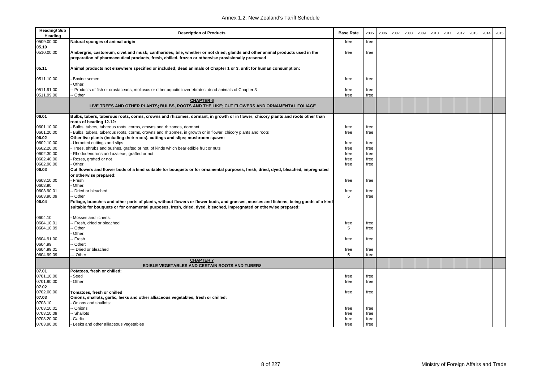| <b>Heading/Sub</b><br>Heading | <b>Description of Products</b>                                                                                                                                                                                                                            | <b>Base Rate</b> | 2005 | 2006 | 2007 | 2008 | 2009 | 2010 | 2011 | 2012 | 2013 | 2014 | 2015 |
|-------------------------------|-----------------------------------------------------------------------------------------------------------------------------------------------------------------------------------------------------------------------------------------------------------|------------------|------|------|------|------|------|------|------|------|------|------|------|
| 0509.00.00                    | Natural sponges of animal origin                                                                                                                                                                                                                          | free             | free |      |      |      |      |      |      |      |      |      |      |
| 05.10                         |                                                                                                                                                                                                                                                           |                  |      |      |      |      |      |      |      |      |      |      |      |
| 0510.00.00                    | Ambergris, castoreum, civet and musk; cantharides; bile, whether or not dried; glands and other animal products used in the<br>preparation of pharmaceutical products, fresh, chilled, frozen or otherwise provisionally preserved                        | free             | free |      |      |      |      |      |      |      |      |      |      |
| 05.11                         | Animal products not elsewhere specified or included; dead animals of Chapter 1 or 3, unfit for human consumption:                                                                                                                                         |                  |      |      |      |      |      |      |      |      |      |      |      |
| 0511.10.00                    | Bovine semen<br>Other:                                                                                                                                                                                                                                    | free             | free |      |      |      |      |      |      |      |      |      |      |
| 0511.91.00                    | Products of fish or crustaceans, molluscs or other aquatic invertebrates; dead animals of Chapter 3                                                                                                                                                       | free             | free |      |      |      |      |      |      |      |      |      |      |
| 0511.99.00                    | - Other                                                                                                                                                                                                                                                   | free             | free |      |      |      |      |      |      |      |      |      |      |
|                               | <b>CHAPTER 6</b><br>LIVE TREES AND OTHER PLANTS; BULBS, ROOTS AND THE LIKE; CUT FLOWERS AND ORNAMENTAL FOLIAGE                                                                                                                                            |                  |      |      |      |      |      |      |      |      |      |      |      |
| 06.01                         | Bulbs, tubers, tuberous roots, corms, crowns and rhizomes, dormant, in growth or in flower; chicory plants and roots other than                                                                                                                           |                  |      |      |      |      |      |      |      |      |      |      |      |
|                               | roots of heading 12.12:                                                                                                                                                                                                                                   |                  |      |      |      |      |      |      |      |      |      |      |      |
| 0601.10.00                    | Bulbs, tubers, tuberous roots, corms, crowns and rhizomes, dormant                                                                                                                                                                                        | free             | free |      |      |      |      |      |      |      |      |      |      |
| 0601.20.00                    | Bulbs, tubers, tuberous roots, corms, crowns and rhizomes, in growth or in flower; chicory plants and roots                                                                                                                                               | free             | free |      |      |      |      |      |      |      |      |      |      |
| 06.02                         | Other live plants (including their roots), cuttings and slips; mushroom spawn:                                                                                                                                                                            |                  |      |      |      |      |      |      |      |      |      |      |      |
| 0602.10.00                    | Unrooted cuttings and slips                                                                                                                                                                                                                               | free             | free |      |      |      |      |      |      |      |      |      |      |
| 0602.20.00                    | Trees, shrubs and bushes, grafted or not, of kinds which bear edible fruit or nuts                                                                                                                                                                        | free             | free |      |      |      |      |      |      |      |      |      |      |
| 0602.30.00                    | Rhododendrons and azaleas, grafted or not                                                                                                                                                                                                                 | free             | free |      |      |      |      |      |      |      |      |      |      |
| 0602.40.00<br>0602.90.00      | Roses, grafted or not<br>Other:                                                                                                                                                                                                                           | free             | free |      |      |      |      |      |      |      |      |      |      |
|                               |                                                                                                                                                                                                                                                           | free             | free |      |      |      |      |      |      |      |      |      |      |
| 06.03                         | Cut flowers and flower buds of a kind suitable for bouquets or for ornamental purposes, fresh, dried, dyed, bleached, impregnated<br>or otherwise prepared:                                                                                               |                  |      |      |      |      |      |      |      |      |      |      |      |
| 0603.10.00                    | - Fresh                                                                                                                                                                                                                                                   | free             | free |      |      |      |      |      |      |      |      |      |      |
| 0603.90                       | Other:                                                                                                                                                                                                                                                    |                  |      |      |      |      |      |      |      |      |      |      |      |
| 0603.90.01                    | - Dried or bleached                                                                                                                                                                                                                                       | free             | free |      |      |      |      |      |      |      |      |      |      |
| 0603.90.09                    | -- Other                                                                                                                                                                                                                                                  | 5                | free |      |      |      |      |      |      |      |      |      |      |
| 06.04                         | Foliage, branches and other parts of plants, without flowers or flower buds, and grasses, mosses and lichens, being goods of a kind<br>suitable for bouquets or for ornamental purposes, fresh, dried, dyed, bleached, impregnated or otherwise prepared: |                  |      |      |      |      |      |      |      |      |      |      |      |
| 0604.10                       | Mosses and lichens:                                                                                                                                                                                                                                       |                  |      |      |      |      |      |      |      |      |      |      |      |
| 0604.10.01                    | -- Fresh, dried or bleached                                                                                                                                                                                                                               | free             | free |      |      |      |      |      |      |      |      |      |      |
| 0604.10.09                    | - Other                                                                                                                                                                                                                                                   | 5                | free |      |      |      |      |      |      |      |      |      |      |
|                               | Other:                                                                                                                                                                                                                                                    |                  |      |      |      |      |      |      |      |      |      |      |      |
| 0604.91.00                    | -- Fresh                                                                                                                                                                                                                                                  | free             | free |      |      |      |      |      |      |      |      |      |      |
| 0604.99                       | - Other:                                                                                                                                                                                                                                                  |                  |      |      |      |      |      |      |      |      |      |      |      |
| 0604.99.01                    | -- Dried or bleached                                                                                                                                                                                                                                      | free             | free |      |      |      |      |      |      |      |      |      |      |
| 0604.99.09                    | -- Other                                                                                                                                                                                                                                                  | 5                | free |      |      |      |      |      |      |      |      |      |      |
|                               | <b>CHAPTER 7</b><br>EDIBLE VEGETABLES AND CERTAIN ROOTS AND TUBERS                                                                                                                                                                                        |                  |      |      |      |      |      |      |      |      |      |      |      |
| 07.01                         | Potatoes, fresh or chilled:                                                                                                                                                                                                                               |                  |      |      |      |      |      |      |      |      |      |      |      |
| 0701.10.00                    | Seed                                                                                                                                                                                                                                                      | free             | free |      |      |      |      |      |      |      |      |      |      |
| 0701.90.00                    | Other                                                                                                                                                                                                                                                     | free             | free |      |      |      |      |      |      |      |      |      |      |
| 07.02                         |                                                                                                                                                                                                                                                           |                  |      |      |      |      |      |      |      |      |      |      |      |
| 0702.00.00                    | Tomatoes, fresh or chilled                                                                                                                                                                                                                                | free             | free |      |      |      |      |      |      |      |      |      |      |
| 07.03                         | Onions, shallots, garlic, leeks and other alliaceous vegetables, fresh or chilled:                                                                                                                                                                        |                  |      |      |      |      |      |      |      |      |      |      |      |
| 0703.10                       | Onions and shallots:                                                                                                                                                                                                                                      |                  |      |      |      |      |      |      |      |      |      |      |      |
| 0703.10.01                    | - Onions                                                                                                                                                                                                                                                  | free             | free |      |      |      |      |      |      |      |      |      |      |
| 0703.10.09                    | - Shallots                                                                                                                                                                                                                                                | free             | free |      |      |      |      |      |      |      |      |      |      |
| 0703.20.00                    | Garlic                                                                                                                                                                                                                                                    | free             | free |      |      |      |      |      |      |      |      |      |      |
| 0703.90.00                    | Leeks and other alliaceous vegetables                                                                                                                                                                                                                     | free             | free |      |      |      |      |      |      |      |      |      |      |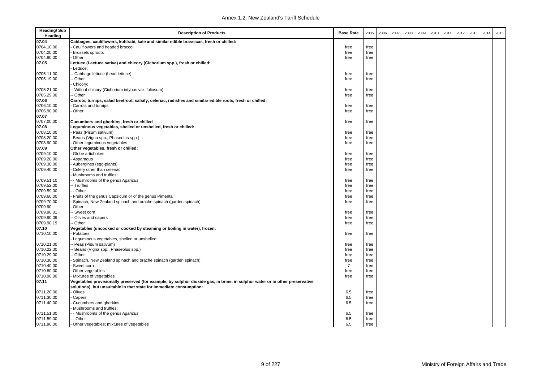| <b>Heading/Sub</b><br>Heading | <b>Description of Products</b>                                                                                                                                                                      | <b>Base Rate</b> | 2005 | 2006 | 2007 | 2008 | 2009 | 2010 | 2011 | 2012 | 2013 | 2014 | 2015 |
|-------------------------------|-----------------------------------------------------------------------------------------------------------------------------------------------------------------------------------------------------|------------------|------|------|------|------|------|------|------|------|------|------|------|
| 07.04                         | Cabbages, cauliflowers, kohlrabi, kale and similar edible brassicas, fresh or chilled:                                                                                                              |                  |      |      |      |      |      |      |      |      |      |      |      |
| 0704.10.00                    | Cauliflowers and headed broccoli                                                                                                                                                                    | free             | free |      |      |      |      |      |      |      |      |      |      |
| 0704.20.00                    | Brussels sprouts                                                                                                                                                                                    | free             | free |      |      |      |      |      |      |      |      |      |      |
| 0704.90.00                    | Other                                                                                                                                                                                               | free             | free |      |      |      |      |      |      |      |      |      |      |
| 07.05                         | Lettuce (Lactuca sativa) and chicory (Cichorium spp.), fresh or chilled:                                                                                                                            |                  |      |      |      |      |      |      |      |      |      |      |      |
|                               | - Lettuce:                                                                                                                                                                                          |                  |      |      |      |      |      |      |      |      |      |      |      |
| 0705.11.00                    | - Cabbage lettuce (head lettuce)                                                                                                                                                                    | free             | free |      |      |      |      |      |      |      |      |      |      |
| 0705.19.00                    | - Other                                                                                                                                                                                             | free             | free |      |      |      |      |      |      |      |      |      |      |
|                               | Chicory:                                                                                                                                                                                            |                  |      |      |      |      |      |      |      |      |      |      |      |
| 0705.21.00                    | - Witloof chicory (Cichorium intybus var. foliosum)                                                                                                                                                 | free             | free |      |      |      |      |      |      |      |      |      |      |
| 0705.29.00                    | - Other                                                                                                                                                                                             | free             | free |      |      |      |      |      |      |      |      |      |      |
| 07.06                         | Carrots, turnips, salad beetroot, salsify, celeriac, radishes and similar edible roots, fresh or chilled:                                                                                           |                  |      |      |      |      |      |      |      |      |      |      |      |
| 0706.10.00                    | Carrots and turnips                                                                                                                                                                                 | free             | free |      |      |      |      |      |      |      |      |      |      |
| 0706.90.00                    | Other                                                                                                                                                                                               | free             | free |      |      |      |      |      |      |      |      |      |      |
| 07.07                         |                                                                                                                                                                                                     |                  |      |      |      |      |      |      |      |      |      |      |      |
| 0707.00.00                    | Cucumbers and gherkins, fresh or chilled                                                                                                                                                            | free             | free |      |      |      |      |      |      |      |      |      |      |
| 07.08                         | Leguminous vegetables, shelled or unshelled, fresh or chilled:                                                                                                                                      |                  |      |      |      |      |      |      |      |      |      |      |      |
| 0708.10.00                    | Peas (Pisum sativum)                                                                                                                                                                                | free             | free |      |      |      |      |      |      |      |      |      |      |
| 0708.20.00                    | Beans (Vigna spp., Phaseolus spp.)                                                                                                                                                                  | free             | free |      |      |      |      |      |      |      |      |      |      |
| 0708.90.00                    | Other leguminous vegetables                                                                                                                                                                         | free             | free |      |      |      |      |      |      |      |      |      |      |
| 07.09                         | Other vegetables, fresh or chilled:                                                                                                                                                                 |                  |      |      |      |      |      |      |      |      |      |      |      |
| 0709.10.00                    | Globe artichokes                                                                                                                                                                                    | free             | free |      |      |      |      |      |      |      |      |      |      |
| 0709.20.00                    | Asparagus                                                                                                                                                                                           | free             | free |      |      |      |      |      |      |      |      |      |      |
| 0709.30.00                    | Aubergines (egg-plants)                                                                                                                                                                             | free             | free |      |      |      |      |      |      |      |      |      |      |
| 0709.40.00                    | Celery other than celeriac                                                                                                                                                                          | free             | free |      |      |      |      |      |      |      |      |      |      |
|                               | Mushrooms and truffles:                                                                                                                                                                             |                  |      |      |      |      |      |      |      |      |      |      |      |
| 0709.51.10                    | - Mushrooms of the genus Agaricus                                                                                                                                                                   | free             | free |      |      |      |      |      |      |      |      |      |      |
| 0709.52.00                    | -- Truffles                                                                                                                                                                                         | free             | free |      |      |      |      |      |      |      |      |      |      |
| 0709.59.00                    | - Other                                                                                                                                                                                             | free             | free |      |      |      |      |      |      |      |      |      |      |
| 0709.60.00                    | Fruits of the genus Capsicum or of the genus Pimenta                                                                                                                                                | free             | free |      |      |      |      |      |      |      |      |      |      |
| 0709.70.00                    | Spinach, New Zealand spinach and orache spinach (garden spinach)                                                                                                                                    | free             | free |      |      |      |      |      |      |      |      |      |      |
| 0709.90                       | Other:                                                                                                                                                                                              |                  |      |      |      |      |      |      |      |      |      |      |      |
| 0709.90.01                    | - Sweet corn                                                                                                                                                                                        | free             | free |      |      |      |      |      |      |      |      |      |      |
| 0709.90.09                    | - Olives and capers                                                                                                                                                                                 | free             | free |      |      |      |      |      |      |      |      |      |      |
| 0709.90.19                    | - Other                                                                                                                                                                                             | free             | free |      |      |      |      |      |      |      |      |      |      |
| 07.10                         | Vegetables (uncooked or cooked by steaming or boiling in water), frozen:                                                                                                                            |                  |      |      |      |      |      |      |      |      |      |      |      |
| 0710.10.00                    | Potatoes                                                                                                                                                                                            | free             | free |      |      |      |      |      |      |      |      |      |      |
|                               | Leguminous vegetables, shelled or unshelled:                                                                                                                                                        |                  |      |      |      |      |      |      |      |      |      |      |      |
| 0710.21.00                    | - Peas (Pisum sativum)                                                                                                                                                                              | free             | free |      |      |      |      |      |      |      |      |      |      |
| 0710.22.00                    | Beans (Vigna spp., Phaseolus spp.)                                                                                                                                                                  | free             | free |      |      |      |      |      |      |      |      |      |      |
| 0710.29.00                    | - Other                                                                                                                                                                                             | free             | free |      |      |      |      |      |      |      |      |      |      |
| 0710.30.00                    | Spinach, New Zealand spinach and orache spinach (garden spinach)                                                                                                                                    | free             | free |      |      |      |      |      |      |      |      |      |      |
| 0710.40.00                    | Sweet corn                                                                                                                                                                                          | $\overline{7}$   | free |      |      |      |      |      |      |      |      |      |      |
| 0710.80.00                    | Other vegetables                                                                                                                                                                                    | free             | free |      |      |      |      |      |      |      |      |      |      |
| 0710.90.00                    | Mixtures of vegetables                                                                                                                                                                              | free             | free |      |      |      |      |      |      |      |      |      |      |
| 07.11                         | Vegetables provisionally preserved (for example, by sulphur dioxide gas, in brine, in sulphur water or in other preservative<br>solutions), but unsuitable in that state for immediate consumption: |                  |      |      |      |      |      |      |      |      |      |      |      |
| 0711.20.00                    | - Olives                                                                                                                                                                                            | 6.5              | free |      |      |      |      |      |      |      |      |      |      |
| 0711.30.00                    | Capers                                                                                                                                                                                              | 6.5              | free |      |      |      |      |      |      |      |      |      |      |
| 0711.40.00                    | Cucumbers and gherkins                                                                                                                                                                              | 6.5              | free |      |      |      |      |      |      |      |      |      |      |
|                               | Mushrooms and truffles:                                                                                                                                                                             |                  |      |      |      |      |      |      |      |      |      |      |      |
| 0711.51.00                    | - Mushrooms of the genus Agaricus                                                                                                                                                                   | 6.5              | free |      |      |      |      |      |      |      |      |      |      |
| 0711.59.00                    | - Other                                                                                                                                                                                             | 6.5              | free |      |      |      |      |      |      |      |      |      |      |
| 0711.90.00                    | - Other vegetables; mixtures of vegetables                                                                                                                                                          | 6.5              | free |      |      |      |      |      |      |      |      |      |      |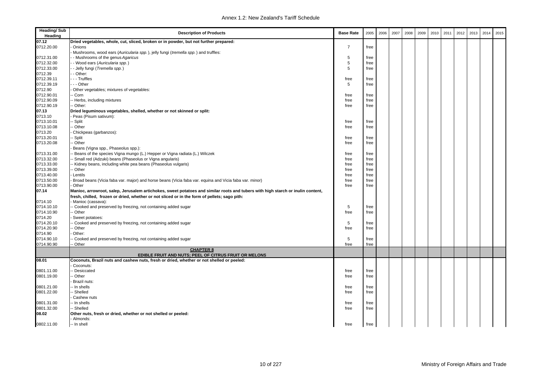| <b>Heading/Sub</b><br>Heading | <b>Description of Products</b>                                                                                                  | <b>Base Rate</b> | 2005 | 2006 | 2007 | 2008 | 2009 | 2010 | 2011 | 2012 | 2013 | 2014 | 2015 |
|-------------------------------|---------------------------------------------------------------------------------------------------------------------------------|------------------|------|------|------|------|------|------|------|------|------|------|------|
| 07.12                         | Dried vegetables, whole, cut, sliced, broken or in powder, but not further prepared:                                            |                  |      |      |      |      |      |      |      |      |      |      |      |
| 0712.20.00                    | Onions                                                                                                                          | $\overline{7}$   | free |      |      |      |      |      |      |      |      |      |      |
|                               | Mushrooms, wood ears (Auricularia spp.), jelly fungi (tremella spp.) and truffles:                                              |                  |      |      |      |      |      |      |      |      |      |      |      |
| 0712.31.00                    | - Mushrooms of the genus Agaricus                                                                                               | 5                | free |      |      |      |      |      |      |      |      |      |      |
| 0712.32.00                    | - Wood ears (Auricularia spp.)                                                                                                  | 5                | free |      |      |      |      |      |      |      |      |      |      |
| 0712.33.00                    | - Jelly fungi (Tremella spp.)                                                                                                   | 5                | free |      |      |      |      |      |      |      |      |      |      |
| 0712.39                       | - Other:                                                                                                                        |                  |      |      |      |      |      |      |      |      |      |      |      |
| 0712.39.11                    | - - Truffles                                                                                                                    | free             | free |      |      |      |      |      |      |      |      |      |      |
| 0712.39.19                    | - - Other                                                                                                                       | 5                | free |      |      |      |      |      |      |      |      |      |      |
| 0712.90                       | Other vegetables; mixtures of vegetables:                                                                                       |                  |      |      |      |      |      |      |      |      |      |      |      |
| 0712.90.01                    | - Corn                                                                                                                          | free             | free |      |      |      |      |      |      |      |      |      |      |
| 0712.90.09                    | - Herbs, including mixtures                                                                                                     | free             | free |      |      |      |      |      |      |      |      |      |      |
| 0712.90.19                    | - Other:                                                                                                                        | free             | free |      |      |      |      |      |      |      |      |      |      |
| 07.13                         | Dried leguminous vegetables, shelled, whether or not skinned or split:                                                          |                  |      |      |      |      |      |      |      |      |      |      |      |
| 0713.10                       | Peas (Pisum sativum):                                                                                                           |                  |      |      |      |      |      |      |      |      |      |      |      |
| 0713.10.01                    | - Split                                                                                                                         | free             | free |      |      |      |      |      |      |      |      |      |      |
| 0713.10.08                    | - Other                                                                                                                         | free             | free |      |      |      |      |      |      |      |      |      |      |
| 0713.20                       | Chickpeas (garbanzos):                                                                                                          |                  |      |      |      |      |      |      |      |      |      |      |      |
| 0713.20.01                    | - Split                                                                                                                         | free             | free |      |      |      |      |      |      |      |      |      |      |
| 0713.20.08                    | - Other                                                                                                                         | free             | free |      |      |      |      |      |      |      |      |      |      |
|                               | Beans (Vigna spp., Phaseolus spp.):                                                                                             |                  |      |      |      |      |      |      |      |      |      |      |      |
| 0713.31.00                    | Beans of the species Vigna mungo (L.) Hepper or Vigna radiata (L.) Wilczek                                                      | free             | free |      |      |      |      |      |      |      |      |      |      |
| 0713.32.00                    | Small red (Adzuki) beans (Phaseolus or Vigna angularis)                                                                         | free             | free |      |      |      |      |      |      |      |      |      |      |
| 0713.33.00                    | Kidney beans, including white pea beans (Phaseolus vulgaris)                                                                    | free             | free |      |      |      |      |      |      |      |      |      |      |
| 0713.39.00                    | - Other                                                                                                                         | free             | free |      |      |      |      |      |      |      |      |      |      |
| 0713.40.00                    | Lentils                                                                                                                         | free             | free |      |      |      |      |      |      |      |      |      |      |
| 0713.50.00                    | Broad beans (Vicia faba var. major) and horse beans (Vicia faba var. equina and Vicia faba var. minor)                          | free             | free |      |      |      |      |      |      |      |      |      |      |
| 0713.90.00                    | Other                                                                                                                           |                  | free |      |      |      |      |      |      |      |      |      |      |
|                               |                                                                                                                                 | free             |      |      |      |      |      |      |      |      |      |      |      |
| 07.14                         | Manioc, arrowroot, salep, Jerusalem artichokes, sweet potatoes and similar roots and tubers with high starch or inulin content, |                  |      |      |      |      |      |      |      |      |      |      |      |
| 0714.10                       | fresh, chilled, frozen or dried, whether or not sliced or in the form of pellets; sago pith:<br>Manioc (cassava):               |                  |      |      |      |      |      |      |      |      |      |      |      |
| 0714.10.10                    |                                                                                                                                 | 5                |      |      |      |      |      |      |      |      |      |      |      |
| 0714.10.90                    | - Cooked and preserved by freezing, not containing added sugar                                                                  |                  | free |      |      |      |      |      |      |      |      |      |      |
|                               | - Other                                                                                                                         | free             | free |      |      |      |      |      |      |      |      |      |      |
| 0714.20                       | Sweet potatoes:                                                                                                                 |                  |      |      |      |      |      |      |      |      |      |      |      |
| 0714.20.10                    | Cooked and preserved by freezing, not containing added sugar                                                                    | 5                | free |      |      |      |      |      |      |      |      |      |      |
| 0714.20.90                    | - Other                                                                                                                         | free             | free |      |      |      |      |      |      |      |      |      |      |
| 0714.90                       | Other:                                                                                                                          |                  |      |      |      |      |      |      |      |      |      |      |      |
| 0714.90.10                    | Cooked and preserved by freezing, not containing added sugar                                                                    | 5                | free |      |      |      |      |      |      |      |      |      |      |
| 0714.90.90                    | Other<br><b>CHAPTER 8</b>                                                                                                       | free             | free |      |      |      |      |      |      |      |      |      |      |
|                               | EDIBLE FRUIT AND NUTS; PEEL OF CITRUS FRUIT OR MELONS                                                                           |                  |      |      |      |      |      |      |      |      |      |      |      |
| 08.01                         | Coconuts, Brazil nuts and cashew nuts, fresh or dried, whether or not shelled or peeled:                                        |                  |      |      |      |      |      |      |      |      |      |      |      |
|                               | Coconuts:                                                                                                                       |                  |      |      |      |      |      |      |      |      |      |      |      |
| 0801.11.00                    | Desiccated                                                                                                                      | free             | free |      |      |      |      |      |      |      |      |      |      |
| 0801.19.00                    | - Other                                                                                                                         |                  |      |      |      |      |      |      |      |      |      |      |      |
|                               |                                                                                                                                 | free             | free |      |      |      |      |      |      |      |      |      |      |
|                               | Brazil nuts:                                                                                                                    |                  |      |      |      |      |      |      |      |      |      |      |      |
| 0801.21.00                    | - In shells                                                                                                                     | free             | free |      |      |      |      |      |      |      |      |      |      |
| 0801.22.00                    | - Shelled                                                                                                                       | free             | free |      |      |      |      |      |      |      |      |      |      |
|                               | Cashew nuts                                                                                                                     |                  |      |      |      |      |      |      |      |      |      |      |      |
| 0801.31.00                    | In shells                                                                                                                       | free             | free |      |      |      |      |      |      |      |      |      |      |
| 0801.32.00                    | - Shelled                                                                                                                       | free             | free |      |      |      |      |      |      |      |      |      |      |
| 08.02                         | Other nuts, fresh or dried, whether or not shelled or peeled:                                                                   |                  |      |      |      |      |      |      |      |      |      |      |      |
|                               | Almonds:                                                                                                                        |                  |      |      |      |      |      |      |      |      |      |      |      |
| 0802.11.00                    | - In shell                                                                                                                      | free             | free |      |      |      |      |      |      |      |      |      |      |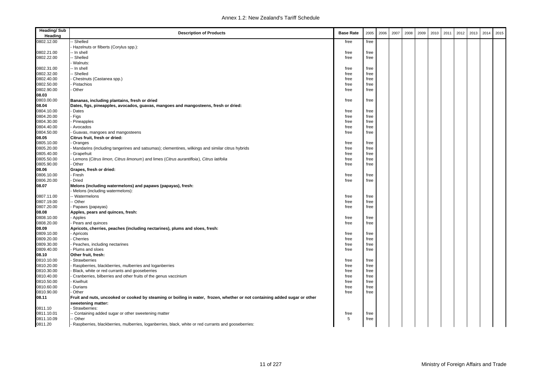| <b>Heading/Sub</b><br>Heading | <b>Description of Products</b>                                                                                             | <b>Base Rate</b> | 2005 | 2006 | 2007 | 2008 | 2009 | 2010 | 2011 | 2012 | 2013 | 2014 | 2015 |
|-------------------------------|----------------------------------------------------------------------------------------------------------------------------|------------------|------|------|------|------|------|------|------|------|------|------|------|
| 0802.12.00                    | Shelled                                                                                                                    | free             | free |      |      |      |      |      |      |      |      |      |      |
|                               | Hazelnuts or filberts (Corylus spp.):                                                                                      |                  |      |      |      |      |      |      |      |      |      |      |      |
| 0802.21.00                    | - In shell                                                                                                                 | free             | free |      |      |      |      |      |      |      |      |      |      |
| 0802.22.00                    | - Shelled                                                                                                                  | free             | free |      |      |      |      |      |      |      |      |      |      |
|                               | Walnuts:                                                                                                                   |                  |      |      |      |      |      |      |      |      |      |      |      |
| 0802.31.00                    | -- In shell                                                                                                                | free             | free |      |      |      |      |      |      |      |      |      |      |
| 0802.32.00                    | - Shelled                                                                                                                  | free             | free |      |      |      |      |      |      |      |      |      |      |
| 0802.40.00                    | Chestnuts (Castanea spp.)                                                                                                  | free             | free |      |      |      |      |      |      |      |      |      |      |
| 0802.50.00                    | Pistachios                                                                                                                 | free             | free |      |      |      |      |      |      |      |      |      |      |
| 0802.90.00                    | Other                                                                                                                      | free             | free |      |      |      |      |      |      |      |      |      |      |
| 08.03                         |                                                                                                                            |                  |      |      |      |      |      |      |      |      |      |      |      |
| 0803.00.00                    | Bananas, including plantains, fresh or dried                                                                               | free             | free |      |      |      |      |      |      |      |      |      |      |
| 08.04                         | Dates, figs, pineapples, avocados, guavas, mangoes and mangosteens, fresh or dried:                                        |                  |      |      |      |      |      |      |      |      |      |      |      |
| 0804.10.00                    | Dates                                                                                                                      | free             | free |      |      |      |      |      |      |      |      |      |      |
| 0804.20.00                    | Figs                                                                                                                       | free             | free |      |      |      |      |      |      |      |      |      |      |
| 0804.30.00                    | Pineapples                                                                                                                 | free             | free |      |      |      |      |      |      |      |      |      |      |
| 0804.40.00                    | Avocados                                                                                                                   | free             | free |      |      |      |      |      |      |      |      |      |      |
| 0804.50.00                    | Guavas, mangoes and mangosteens                                                                                            | free             | free |      |      |      |      |      |      |      |      |      |      |
| 08.05                         | Citrus fruit, fresh or dried:                                                                                              |                  |      |      |      |      |      |      |      |      |      |      |      |
| 0805.10.00                    | Oranges                                                                                                                    | free             | free |      |      |      |      |      |      |      |      |      |      |
| 0805.20.00                    | Mandarins (including tangerines and satsumas); clementines, wilkings and similar citrus hybrids                            | free             | free |      |      |      |      |      |      |      |      |      |      |
| 0805.40.00                    | Grapefruit                                                                                                                 | free             | free |      |      |      |      |      |      |      |      |      |      |
| 0805.50.00                    | Lemons (Citrus limon, Citrus limonum) and limes (Citrus aurantifloia), Citrus latifolia                                    | free             | free |      |      |      |      |      |      |      |      |      |      |
| 0805.90.00                    | Other                                                                                                                      | free             | free |      |      |      |      |      |      |      |      |      |      |
| 08.06                         | Grapes, fresh or dried:                                                                                                    |                  |      |      |      |      |      |      |      |      |      |      |      |
| 0806.10.00                    | Fresh                                                                                                                      | free             | free |      |      |      |      |      |      |      |      |      |      |
| 0806.20.00                    | Dried                                                                                                                      | free             | free |      |      |      |      |      |      |      |      |      |      |
| 08.07                         | Melons (including watermelons) and papaws (papayas), fresh:                                                                |                  |      |      |      |      |      |      |      |      |      |      |      |
|                               | Melons (including watermelons):                                                                                            |                  |      |      |      |      |      |      |      |      |      |      |      |
| 0807.11.00                    | - Watermelons                                                                                                              | free             | free |      |      |      |      |      |      |      |      |      |      |
| 0807.19.00<br>0807.20.00      | - Other                                                                                                                    | free             | free |      |      |      |      |      |      |      |      |      |      |
| 08.08                         | Papaws (papayas)<br>Apples, pears and quinces, fresh:                                                                      | free             | free |      |      |      |      |      |      |      |      |      |      |
| 0808.10.00                    | Apples                                                                                                                     | free             | free |      |      |      |      |      |      |      |      |      |      |
| 0808.20.00                    | Pears and quinces                                                                                                          | free             | free |      |      |      |      |      |      |      |      |      |      |
| 08.09                         | Apricots, cherries, peaches (including nectarines), plums and sloes, fresh:                                                |                  |      |      |      |      |      |      |      |      |      |      |      |
| 0809.10.00                    | Apricots                                                                                                                   | free             | free |      |      |      |      |      |      |      |      |      |      |
| 0809.20.00                    | Cherries                                                                                                                   | free             | free |      |      |      |      |      |      |      |      |      |      |
| 0809.30.00                    | Peaches, including nectarines                                                                                              | free             | free |      |      |      |      |      |      |      |      |      |      |
| 0809.40.00                    | Plums and sloes                                                                                                            | free             | free |      |      |      |      |      |      |      |      |      |      |
| 08.10                         | Other fruit, fresh:                                                                                                        |                  |      |      |      |      |      |      |      |      |      |      |      |
| 0810.10.00                    | Strawberries                                                                                                               | free             | free |      |      |      |      |      |      |      |      |      |      |
| 0810.20.00                    | Raspberries, blackberries, mulberries and loganberries                                                                     | free             | free |      |      |      |      |      |      |      |      |      |      |
| 0810.30.00                    | Black, white or red currants and gooseberries                                                                              | free             | free |      |      |      |      |      |      |      |      |      |      |
| 0810.40.00                    | Cranberries, bilberries and other fruits of the genus vaccinium                                                            | free             | free |      |      |      |      |      |      |      |      |      |      |
| 0810.50.00                    | Kiwifruit                                                                                                                  | free             | free |      |      |      |      |      |      |      |      |      |      |
| 0810.60.00                    | Durians                                                                                                                    | free             | free |      |      |      |      |      |      |      |      |      |      |
| 0810.90.00                    | Other                                                                                                                      | free             | free |      |      |      |      |      |      |      |      |      |      |
| 08.11                         | Fruit and nuts, uncooked or cooked by steaming or boiling in water, frozen, whether or not containing added sugar or other |                  |      |      |      |      |      |      |      |      |      |      |      |
|                               | sweetening matter:                                                                                                         |                  |      |      |      |      |      |      |      |      |      |      |      |
| 0811.10                       | Strawberries:                                                                                                              |                  |      |      |      |      |      |      |      |      |      |      |      |
| 0811.10.01                    | - Containing added sugar or other sweetening matter                                                                        | free             | free |      |      |      |      |      |      |      |      |      |      |
| 0811.10.09                    | - Other                                                                                                                    | 5                | free |      |      |      |      |      |      |      |      |      |      |
| 0811.20                       | Raspberries, blackberries, mulberries, loganberries, black, white or red currants and gooseberries:                        |                  |      |      |      |      |      |      |      |      |      |      |      |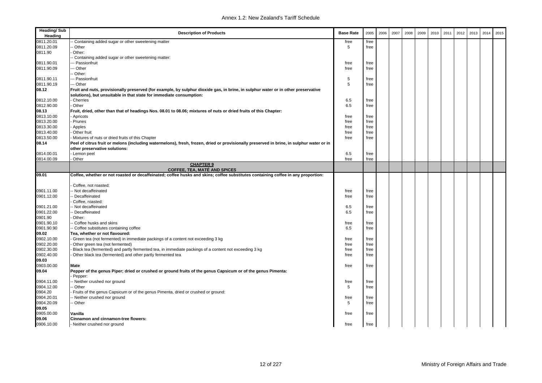| <b>Heading/Sub</b><br>Heading | <b>Description of Products</b>                                                                                                                                            | <b>Base Rate</b> | 2005 | 2006 | 2007 | 2008 | 2009 | 2010 | 2011 | 2012 | 2013 | 2014 | 2015 |
|-------------------------------|---------------------------------------------------------------------------------------------------------------------------------------------------------------------------|------------------|------|------|------|------|------|------|------|------|------|------|------|
| 0811.20.01                    | - Containing added sugar or other sweetening matter                                                                                                                       | free             | free |      |      |      |      |      |      |      |      |      |      |
| 0811.20.09                    | - Other                                                                                                                                                                   | 5                | free |      |      |      |      |      |      |      |      |      |      |
| 0811.90                       | Other:                                                                                                                                                                    |                  |      |      |      |      |      |      |      |      |      |      |      |
|                               | - Containing added sugar or other sweetening matter:                                                                                                                      |                  |      |      |      |      |      |      |      |      |      |      |      |
| 0811.90.01                    | -- Passionfruit                                                                                                                                                           | free             | free |      |      |      |      |      |      |      |      |      |      |
| 0811.90.09                    | -- Other                                                                                                                                                                  | free             | free |      |      |      |      |      |      |      |      |      |      |
|                               | - Other:                                                                                                                                                                  |                  |      |      |      |      |      |      |      |      |      |      |      |
| 0811.90.11                    | --- Passionfruit                                                                                                                                                          | 5                | free |      |      |      |      |      |      |      |      |      |      |
| 0811.90.19                    | -- Other                                                                                                                                                                  | 5                | free |      |      |      |      |      |      |      |      |      |      |
| 08.12                         | Fruit and nuts, provisionally preserved (for example, by sulphur dioxide gas, in brine, in sulphur water or in other preservative                                         |                  |      |      |      |      |      |      |      |      |      |      |      |
|                               | solutions), but unsuitable in that state for immediate consumption:                                                                                                       |                  |      |      |      |      |      |      |      |      |      |      |      |
| 0812.10.00                    | - Cherries                                                                                                                                                                | 6.5              | free |      |      |      |      |      |      |      |      |      |      |
| 0812.90.00                    | - Other                                                                                                                                                                   | 6.5              | free |      |      |      |      |      |      |      |      |      |      |
| 08.13                         | Fruit, dried, other than that of headings Nos. 08.01 to 08.06; mixtures of nuts or dried fruits of this Chapter:                                                          |                  |      |      |      |      |      |      |      |      |      |      |      |
| 0813.10.00                    | Apricots                                                                                                                                                                  | free             | free |      |      |      |      |      |      |      |      |      |      |
| 0813.20.00                    | - Prunes                                                                                                                                                                  | free             | free |      |      |      |      |      |      |      |      |      |      |
| 0813.30.00                    | Apples                                                                                                                                                                    | free             | free |      |      |      |      |      |      |      |      |      |      |
| 0813.40.00                    | Other fruit                                                                                                                                                               | free             | free |      |      |      |      |      |      |      |      |      |      |
| 0813.50.00                    | Mixtures of nuts or dried fruits of this Chapter                                                                                                                          | free             | free |      |      |      |      |      |      |      |      |      |      |
| 08.14                         | Peel of citrus fruit or melons (including watermelons), fresh, frozen, dried or provisionally preserved in brine, in sulphur water or in<br>other preservative solutions: |                  |      |      |      |      |      |      |      |      |      |      |      |
| 0814.00.01                    | - Lemon peel                                                                                                                                                              | 6.5              | free |      |      |      |      |      |      |      |      |      |      |
| 0814.00.09                    | Other                                                                                                                                                                     | free             | free |      |      |      |      |      |      |      |      |      |      |
|                               | <b>CHAPTER 9</b><br><b>COFFEE, TEA, MATÉ AND SPICES</b>                                                                                                                   |                  |      |      |      |      |      |      |      |      |      |      |      |
| 09.01                         | Coffee, whether or not roasted or decaffeinated; coffee husks and skins; coffee substitutes containing coffee in any proportion:                                          |                  |      |      |      |      |      |      |      |      |      |      |      |
|                               | Coffee, not roasted:                                                                                                                                                      |                  |      |      |      |      |      |      |      |      |      |      |      |
| 0901.11.00                    | - Not decaffeinated                                                                                                                                                       | free             | free |      |      |      |      |      |      |      |      |      |      |
| 0901.12.00                    | - Decaffeinated                                                                                                                                                           | free             | free |      |      |      |      |      |      |      |      |      |      |
|                               | Coffee, roasted:                                                                                                                                                          |                  |      |      |      |      |      |      |      |      |      |      |      |
| 0901.21.00                    | - Not decaffeinated                                                                                                                                                       | 6.5              | free |      |      |      |      |      |      |      |      |      |      |
| 0901.22.00                    | - Decaffeinated                                                                                                                                                           | 6.5              | free |      |      |      |      |      |      |      |      |      |      |
| 0901.90                       | Other:                                                                                                                                                                    |                  |      |      |      |      |      |      |      |      |      |      |      |
| 0901.90.10                    | - Coffee husks and skins                                                                                                                                                  | free             | free |      |      |      |      |      |      |      |      |      |      |
| 0901.90.90                    | - Coffee substitutes containing coffee                                                                                                                                    | 6.5              | free |      |      |      |      |      |      |      |      |      |      |
| 09.02                         | Tea, whether or not flavoured:                                                                                                                                            |                  |      |      |      |      |      |      |      |      |      |      |      |
| 0902.10.00                    | Green tea (not fermented) in immediate packings of a content not exceeding 3 kg                                                                                           | free             | free |      |      |      |      |      |      |      |      |      |      |
| 0902.20.00                    | Other green tea (not fermented)                                                                                                                                           | free             | free |      |      |      |      |      |      |      |      |      |      |
| 0902.30.00                    | Black tea (fermented) and partly fermented tea, in immediate packings of a content not exceeding 3 kg                                                                     | free             | free |      |      |      |      |      |      |      |      |      |      |
| 0902.40.00                    | Other black tea (fermented) and other partly fermented tea                                                                                                                | free             | free |      |      |      |      |      |      |      |      |      |      |
| 09.03                         |                                                                                                                                                                           |                  |      |      |      |      |      |      |      |      |      |      |      |
| 0903.00.00                    | Mate                                                                                                                                                                      | free             | free |      |      |      |      |      |      |      |      |      |      |
| 09.04                         | Pepper of the genus Piper; dried or crushed or ground fruits of the genus Capsicum or of the genus Pimenta:<br>Pepper:                                                    |                  |      |      |      |      |      |      |      |      |      |      |      |
| 0904.11.00                    | - Neither crushed nor ground                                                                                                                                              | free             | free |      |      |      |      |      |      |      |      |      |      |
| 0904.12.00                    | - Other                                                                                                                                                                   | 5                | free |      |      |      |      |      |      |      |      |      |      |
| 0904.20                       | Fruits of the genus Capsicum or of the genus Pimenta, dried or crushed or ground:                                                                                         |                  |      |      |      |      |      |      |      |      |      |      |      |
| 0904.20.01                    | - Neither crushed nor ground                                                                                                                                              | free             | free |      |      |      |      |      |      |      |      |      |      |
| 0904.20.09                    | - Other                                                                                                                                                                   | 5                | free |      |      |      |      |      |      |      |      |      |      |
| 09.05                         |                                                                                                                                                                           |                  |      |      |      |      |      |      |      |      |      |      |      |
| 0905.00.00                    | Vanilla                                                                                                                                                                   | free             | free |      |      |      |      |      |      |      |      |      |      |
| 09.06                         | Cinnamon and cinnamon-tree flowers:                                                                                                                                       |                  |      |      |      |      |      |      |      |      |      |      |      |
| 0906.10.00                    | - Neither crushed nor ground                                                                                                                                              | free             | free |      |      |      |      |      |      |      |      |      |      |
|                               |                                                                                                                                                                           |                  |      |      |      |      |      |      |      |      |      |      |      |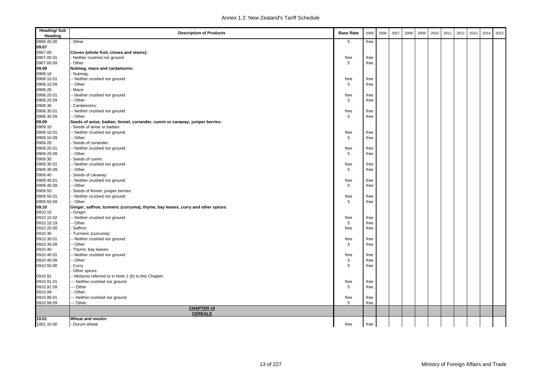| <b>Heading/Sub</b><br>Heading | <b>Description of Products</b>                                                  | <b>Base Rate</b> | 2005         | 2006 | 2007 | 2008 | 2009 | 2010 | 2011 | 2012 | 2013 | 2014 | 2015 |
|-------------------------------|---------------------------------------------------------------------------------|------------------|--------------|------|------|------|------|------|------|------|------|------|------|
| 0906.20.00                    | Other                                                                           | 5                | free         |      |      |      |      |      |      |      |      |      |      |
| 09.07                         |                                                                                 |                  |              |      |      |      |      |      |      |      |      |      |      |
| 0907.00                       |                                                                                 |                  |              |      |      |      |      |      |      |      |      |      |      |
| 0907.00.01                    | Cloves (whole fruit, cloves and stems):<br>Neither crushed nor ground           | free             | free         |      |      |      |      |      |      |      |      |      |      |
| 0907.00.09                    | - Other                                                                         | 5                |              |      |      |      |      |      |      |      |      |      |      |
| 09.08                         | Nutmeg, mace and cardamoms:                                                     |                  | free         |      |      |      |      |      |      |      |      |      |      |
| 0908.10                       | Nutmeg:                                                                         |                  |              |      |      |      |      |      |      |      |      |      |      |
| 0908.10.01                    | -- Neither crushed nor ground                                                   | free             | free         |      |      |      |      |      |      |      |      |      |      |
| 0908.10.09                    | - Other                                                                         | 5                | free         |      |      |      |      |      |      |      |      |      |      |
|                               |                                                                                 |                  |              |      |      |      |      |      |      |      |      |      |      |
| 0908.20                       | Mace:                                                                           |                  |              |      |      |      |      |      |      |      |      |      |      |
| 0908.20.01<br>0908.20.09      | - Neither crushed nor ground<br>- Other                                         | free<br>5        | free         |      |      |      |      |      |      |      |      |      |      |
|                               |                                                                                 |                  | free         |      |      |      |      |      |      |      |      |      |      |
| 0908.30<br>0908.30.01         | Cardamoms:                                                                      | free             |              |      |      |      |      |      |      |      |      |      |      |
| 0908.30.09                    | -- Neither crushed nor ground                                                   | 5                | free<br>free |      |      |      |      |      |      |      |      |      |      |
|                               | - Other                                                                         |                  |              |      |      |      |      |      |      |      |      |      |      |
| 09.09                         | Seeds of anise, badian, fennel, coriander, cumin or caraway; juniper berries:   |                  |              |      |      |      |      |      |      |      |      |      |      |
| 0909.10                       | Seeds of anise or badian:                                                       |                  |              |      |      |      |      |      |      |      |      |      |      |
| 0909.10.01                    | - Neither crushed nor ground                                                    | free             | free         |      |      |      |      |      |      |      |      |      |      |
| 0909.10.09                    | - Other                                                                         | 5                | free         |      |      |      |      |      |      |      |      |      |      |
| 0909.20                       | Seeds of coriander:                                                             |                  |              |      |      |      |      |      |      |      |      |      |      |
| 0909.20.01<br>0909.20.09      | - Neither crushed nor ground                                                    | free             | free         |      |      |      |      |      |      |      |      |      |      |
|                               | - Other                                                                         | 5                | free         |      |      |      |      |      |      |      |      |      |      |
| 0909.30                       | Seeds of cumin:                                                                 |                  |              |      |      |      |      |      |      |      |      |      |      |
| 0909.30.01                    | - Neither crushed nor ground                                                    | free             | free         |      |      |      |      |      |      |      |      |      |      |
| 0909.30.09                    | - Other                                                                         | 5                | free         |      |      |      |      |      |      |      |      |      |      |
| 0909.40                       | Seeds of caraway:                                                               |                  |              |      |      |      |      |      |      |      |      |      |      |
| 0909.40.01                    | - Neither crushed nor ground                                                    | free             | free         |      |      |      |      |      |      |      |      |      |      |
| 0909.40.09                    | - Other                                                                         | 5                | free         |      |      |      |      |      |      |      |      |      |      |
| 0909.50                       | Seeds of fennel; juniper berries:                                               |                  |              |      |      |      |      |      |      |      |      |      |      |
| 0909.50.01                    | - Neither crushed nor ground                                                    | free             | free         |      |      |      |      |      |      |      |      |      |      |
| 0909.50.09                    | - Other                                                                         | 5                | free         |      |      |      |      |      |      |      |      |      |      |
| 09.10                         | Ginger, saffron, turmeric (curcuma), thyme, bay leaves, curry and other spices: |                  |              |      |      |      |      |      |      |      |      |      |      |
| 0910.10                       | Ginger:                                                                         |                  |              |      |      |      |      |      |      |      |      |      |      |
| 0910.10.02                    | - Neither crushed nor ground                                                    | free             | free         |      |      |      |      |      |      |      |      |      |      |
| 0910.10.19                    | - Other                                                                         | 5                | free         |      |      |      |      |      |      |      |      |      |      |
| 0910.20.00                    | Saffron                                                                         | free             | free         |      |      |      |      |      |      |      |      |      |      |
| 0910.30                       | - Turmeric (curcuma):                                                           |                  |              |      |      |      |      |      |      |      |      |      |      |
| 0910.30.01                    | - Neither crushed nor ground                                                    | free             | free         |      |      |      |      |      |      |      |      |      |      |
| 0910.30.09                    | - Other                                                                         | 5                | free         |      |      |      |      |      |      |      |      |      |      |
| 0910.40                       | Thyme; bay leaves:                                                              |                  |              |      |      |      |      |      |      |      |      |      |      |
| 0910.40.01                    | - Neither crushed nor ground                                                    | free             | free         |      |      |      |      |      |      |      |      |      |      |
| 0910.40.09                    | - Other                                                                         | 5                | free         |      |      |      |      |      |      |      |      |      |      |
| 0910.50.00                    | Curry                                                                           | 5                | free         |      |      |      |      |      |      |      |      |      |      |
|                               | Other spices:                                                                   |                  |              |      |      |      |      |      |      |      |      |      |      |
| 0910.91                       | -- Mixtures referred to in Note 1 (b) to this Chapter:                          |                  |              |      |      |      |      |      |      |      |      |      |      |
| 0910.91.01                    | -- Neither crushed nor ground                                                   | free             | free         |      |      |      |      |      |      |      |      |      |      |
| 0910.91.09                    | -- Other                                                                        | 5                | free         |      |      |      |      |      |      |      |      |      |      |
| 0910.99                       | - Other:                                                                        |                  |              |      |      |      |      |      |      |      |      |      |      |
| 0910.99.01                    | -- Neither crushed nor ground                                                   | free             | free         |      |      |      |      |      |      |      |      |      |      |
| 0910.99.09                    | - Other                                                                         | 5                | free         |      |      |      |      |      |      |      |      |      |      |
|                               | <b>CHAPTER 10</b><br><b>CEREALS</b>                                             |                  |              |      |      |      |      |      |      |      |      |      |      |
| 10.01                         | Wheat and meslin:                                                               |                  |              |      |      |      |      |      |      |      |      |      |      |
| 1001.10.00                    | - Durum wheat                                                                   | free             | free         |      |      |      |      |      |      |      |      |      |      |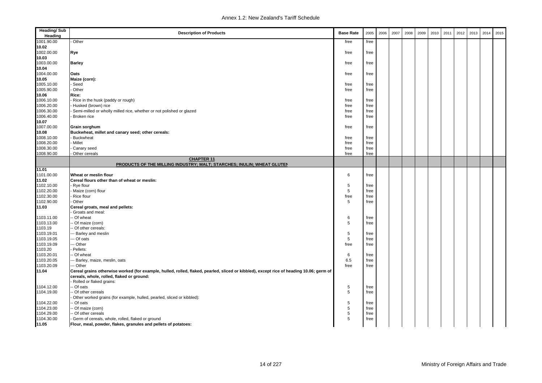| <b>Heading/Sub</b><br>Heading | <b>Description of Products</b>                                                                                                          | <b>Base Rate</b> | 2005         | 2006 | 2007 | 2008 | 2009 | 2010 | 2011 | 2012 | 2013 | 2014 | 2015 |
|-------------------------------|-----------------------------------------------------------------------------------------------------------------------------------------|------------------|--------------|------|------|------|------|------|------|------|------|------|------|
| 1001.90.00                    | Other                                                                                                                                   | free             | free         |      |      |      |      |      |      |      |      |      |      |
| 10.02                         |                                                                                                                                         |                  |              |      |      |      |      |      |      |      |      |      |      |
| 1002.00.00                    | Rye                                                                                                                                     | free             | free         |      |      |      |      |      |      |      |      |      |      |
| 10.03                         |                                                                                                                                         |                  |              |      |      |      |      |      |      |      |      |      |      |
| 1003.00.00                    | <b>Barley</b>                                                                                                                           | free             | free         |      |      |      |      |      |      |      |      |      |      |
| 10.04                         |                                                                                                                                         |                  |              |      |      |      |      |      |      |      |      |      |      |
| 1004.00.00                    | Oats                                                                                                                                    | free             | free         |      |      |      |      |      |      |      |      |      |      |
| 10.05                         | Maize (corn):                                                                                                                           |                  |              |      |      |      |      |      |      |      |      |      |      |
| 1005.10.00                    | Seed                                                                                                                                    | free             | free         |      |      |      |      |      |      |      |      |      |      |
| 1005.90.00                    | Other                                                                                                                                   | free             | free         |      |      |      |      |      |      |      |      |      |      |
| 10.06                         | Rice:                                                                                                                                   |                  |              |      |      |      |      |      |      |      |      |      |      |
| 1006.10.00                    | Rice in the husk (paddy or rough)                                                                                                       | free             | free         |      |      |      |      |      |      |      |      |      |      |
| 1006.20.00                    | Husked (brown) rice                                                                                                                     | free             | free         |      |      |      |      |      |      |      |      |      |      |
| 1006.30.00                    | Semi-milled or wholly milled rice, whether or not polished or glazed                                                                    | free             | free         |      |      |      |      |      |      |      |      |      |      |
| 1006.40.00                    | Broken rice                                                                                                                             | free             | free         |      |      |      |      |      |      |      |      |      |      |
| 10.07<br>1007.00.00           |                                                                                                                                         |                  |              |      |      |      |      |      |      |      |      |      |      |
| 10.08                         | Grain sorghum                                                                                                                           | free             | free         |      |      |      |      |      |      |      |      |      |      |
| 1008.10.00                    | Buckwheat, millet and canary seed; other cereals:<br>Buckwheat                                                                          | free             | free         |      |      |      |      |      |      |      |      |      |      |
| 1008.20.00                    | Millet                                                                                                                                  | free             | free         |      |      |      |      |      |      |      |      |      |      |
| 1008.30.00                    | Canary seed                                                                                                                             | free             | free         |      |      |      |      |      |      |      |      |      |      |
| 1008.90.00                    | Other cereals                                                                                                                           | free             | free         |      |      |      |      |      |      |      |      |      |      |
|                               | <b>CHAPTER 11</b>                                                                                                                       |                  |              |      |      |      |      |      |      |      |      |      |      |
|                               | PRODUCTS OF THE MILLING INDUSTRY; MALT; STARCHES; INULIN; WHEAT GLUTEN                                                                  |                  |              |      |      |      |      |      |      |      |      |      |      |
| 11.01                         |                                                                                                                                         |                  |              |      |      |      |      |      |      |      |      |      |      |
| 1101.00.00                    | Wheat or meslin flour                                                                                                                   | 6                | free         |      |      |      |      |      |      |      |      |      |      |
| 11.02                         | Cereal flours other than of wheat or meslin:                                                                                            |                  |              |      |      |      |      |      |      |      |      |      |      |
| 1102.10.00                    | Rye flour                                                                                                                               | 5                | free         |      |      |      |      |      |      |      |      |      |      |
| 1102.20.00                    | Maize (corn) flour                                                                                                                      | 5                | free         |      |      |      |      |      |      |      |      |      |      |
| 1102.30.00                    | Rice flour                                                                                                                              | free             | free         |      |      |      |      |      |      |      |      |      |      |
| 1102.90.00                    | Other                                                                                                                                   | 5                | free         |      |      |      |      |      |      |      |      |      |      |
| 11.03                         | Cereal groats, meal and pellets:                                                                                                        |                  |              |      |      |      |      |      |      |      |      |      |      |
|                               | Groats and meal:                                                                                                                        |                  |              |      |      |      |      |      |      |      |      |      |      |
| 1103.11.00                    | - Of wheat                                                                                                                              | 6                | free         |      |      |      |      |      |      |      |      |      |      |
| 1103.13.00                    | Of maize (corn)                                                                                                                         | 5                | free         |      |      |      |      |      |      |      |      |      |      |
| 1103.19                       | Of other cereals:                                                                                                                       |                  |              |      |      |      |      |      |      |      |      |      |      |
| 1103.19.01<br>1103.19.05      | Barley and meslin<br>-- Of oats                                                                                                         | 5<br>5           | free         |      |      |      |      |      |      |      |      |      |      |
| 1103.19.09                    | -- Other                                                                                                                                | free             | free<br>free |      |      |      |      |      |      |      |      |      |      |
| 1103.20                       | Pellets:                                                                                                                                |                  |              |      |      |      |      |      |      |      |      |      |      |
| 1103.20.01                    | - Of wheat                                                                                                                              | 6                | free         |      |      |      |      |      |      |      |      |      |      |
| 1103.20.05                    | -- Barley, maize, meslin, oats                                                                                                          | 6.5              | free         |      |      |      |      |      |      |      |      |      |      |
| 1103.20.09                    | -- Other                                                                                                                                | free             | free         |      |      |      |      |      |      |      |      |      |      |
| 11.04                         | Cereal grains otherwise worked (for example, hulled, rolled, flaked, pearled, sliced or kibbled), except rice of heading 10.06; germ of |                  |              |      |      |      |      |      |      |      |      |      |      |
|                               | cereals, whole, rolled, flaked or ground:                                                                                               |                  |              |      |      |      |      |      |      |      |      |      |      |
|                               | Rolled or flaked grains:                                                                                                                |                  |              |      |      |      |      |      |      |      |      |      |      |
| 1104.12.00                    | - Of oats                                                                                                                               | 5                | free         |      |      |      |      |      |      |      |      |      |      |
| 1104.19.00                    | Of other cereals                                                                                                                        | 5                | free         |      |      |      |      |      |      |      |      |      |      |
|                               | Other worked grains (for example, hulled, pearled, sliced or kibbled):                                                                  |                  |              |      |      |      |      |      |      |      |      |      |      |
| 1104.22.00                    | Of oats                                                                                                                                 | 5                | free         |      |      |      |      |      |      |      |      |      |      |
| 1104.23.00                    | Of maize (corn)                                                                                                                         | $\sqrt{5}$       | free         |      |      |      |      |      |      |      |      |      |      |
| 1104.29.00                    | - Of other cereals                                                                                                                      | 5                | free         |      |      |      |      |      |      |      |      |      |      |
| 1104.30.00                    | Germ of cereals, whole, rolled, flaked or ground                                                                                        | 5                | free         |      |      |      |      |      |      |      |      |      |      |
| 11.05                         | Flour, meal, powder, flakes, granules and pellets of potatoes:                                                                          |                  |              |      |      |      |      |      |      |      |      |      |      |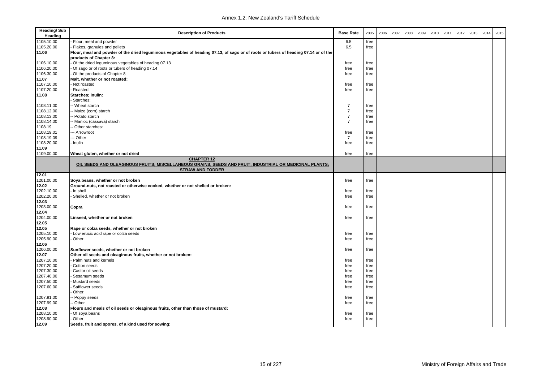| <b>Heading/Sub</b><br>Heading | <b>Description of Products</b>                                                                                                       | <b>Base Rate</b> | 2005 | 2006 | 2007 | 2008 | 2009 | 2010 | 2011 | 2012 | 2013 | 2014 | 2015 |
|-------------------------------|--------------------------------------------------------------------------------------------------------------------------------------|------------------|------|------|------|------|------|------|------|------|------|------|------|
| 1105.10.00                    | Flour, meal and powder                                                                                                               | 6.5              | free |      |      |      |      |      |      |      |      |      |      |
| 1105.20.00                    | Flakes, granules and pellets                                                                                                         | 6.5              | free |      |      |      |      |      |      |      |      |      |      |
| 11.06                         | Flour, meal and powder of the dried leguminous vegetables of heading 07.13, of sago or of roots or tubers of heading 07.14 or of the |                  |      |      |      |      |      |      |      |      |      |      |      |
|                               | products of Chapter 8:                                                                                                               |                  |      |      |      |      |      |      |      |      |      |      |      |
| 1106.10.00                    | Of the dried leguminous vegetables of heading 07.13                                                                                  | free             | free |      |      |      |      |      |      |      |      |      |      |
| 1106.20.00                    | Of sago or of roots or tubers of heading 07.14                                                                                       | free             | free |      |      |      |      |      |      |      |      |      |      |
| 1106.30.00                    | Of the products of Chapter 8                                                                                                         | free             | free |      |      |      |      |      |      |      |      |      |      |
| 11.07                         | Malt, whether or not roasted:                                                                                                        |                  |      |      |      |      |      |      |      |      |      |      |      |
| 1107.10.00                    | Not roasted                                                                                                                          | free             | free |      |      |      |      |      |      |      |      |      |      |
| 1107.20.00                    | Roasted                                                                                                                              | free             | free |      |      |      |      |      |      |      |      |      |      |
| 11.08                         | Starches; inulin:                                                                                                                    |                  |      |      |      |      |      |      |      |      |      |      |      |
|                               | Starches:                                                                                                                            |                  |      |      |      |      |      |      |      |      |      |      |      |
| 1108.11.00                    | - Wheat starch                                                                                                                       | $\overline{7}$   | free |      |      |      |      |      |      |      |      |      |      |
| 1108.12.00                    | - Maize (corn) starch                                                                                                                | $\overline{7}$   | free |      |      |      |      |      |      |      |      |      |      |
| 1108.13.00                    | - Potato starch                                                                                                                      | $\overline{7}$   | free |      |      |      |      |      |      |      |      |      |      |
| 1108.14.00                    | Manioc (cassava) starch                                                                                                              | $\overline{7}$   | free |      |      |      |      |      |      |      |      |      |      |
| 1108.19                       | - Other starches:                                                                                                                    |                  |      |      |      |      |      |      |      |      |      |      |      |
| 1108.19.01                    | -- Arrowroot                                                                                                                         | free             | free |      |      |      |      |      |      |      |      |      |      |
| 1108.19.09                    | -- Other                                                                                                                             | $\overline{7}$   | free |      |      |      |      |      |      |      |      |      |      |
| 1108.20.00                    | · Inulin                                                                                                                             | free             | free |      |      |      |      |      |      |      |      |      |      |
| 11.09                         |                                                                                                                                      |                  |      |      |      |      |      |      |      |      |      |      |      |
| 1109.00.00                    | Wheat gluten, whether or not dried                                                                                                   | free             | free |      |      |      |      |      |      |      |      |      |      |
|                               | <b>CHAPTER 12</b>                                                                                                                    |                  |      |      |      |      |      |      |      |      |      |      |      |
|                               | OIL SEEDS AND OLEAGINOUS FRUITS; MISCELLANEOUS GRAINS, SEEDS AND FRUIT; INDUSTRIAL OR MEDICINAL PLANTS;                              |                  |      |      |      |      |      |      |      |      |      |      |      |
|                               | <b>STRAW AND FODDER</b>                                                                                                              |                  |      |      |      |      |      |      |      |      |      |      |      |
| 12.01                         |                                                                                                                                      |                  |      |      |      |      |      |      |      |      |      |      |      |
| 1201.00.00                    | Soya beans, whether or not broken                                                                                                    | free             | free |      |      |      |      |      |      |      |      |      |      |
| 12.02                         | Ground-nuts, not roasted or otherwise cooked, whether or not shelled or broken:                                                      |                  |      |      |      |      |      |      |      |      |      |      |      |
| 1202.10.00                    | In shell                                                                                                                             | free             | free |      |      |      |      |      |      |      |      |      |      |
| 1202.20.00                    | Shelled, whether or not broken                                                                                                       | free             | free |      |      |      |      |      |      |      |      |      |      |
| 12.03                         |                                                                                                                                      |                  |      |      |      |      |      |      |      |      |      |      |      |
| 1203.00.00                    | Copra                                                                                                                                | free             | free |      |      |      |      |      |      |      |      |      |      |
| 12.04                         |                                                                                                                                      |                  |      |      |      |      |      |      |      |      |      |      |      |
| 1204.00.00                    | Linseed, whether or not broken                                                                                                       | free             | free |      |      |      |      |      |      |      |      |      |      |
| 12.05                         |                                                                                                                                      |                  |      |      |      |      |      |      |      |      |      |      |      |
| 12.05                         | Rape or colza seeds, whether or not broken                                                                                           |                  |      |      |      |      |      |      |      |      |      |      |      |
| 1205.10.00                    | Low erucic acid rape or colza seeds                                                                                                  | free             | free |      |      |      |      |      |      |      |      |      |      |
| 1205.90.00                    | Other                                                                                                                                | free             | free |      |      |      |      |      |      |      |      |      |      |
| 12.06                         |                                                                                                                                      |                  |      |      |      |      |      |      |      |      |      |      |      |
| 1206.00.00                    | Sunflower seeds, whether or not broken                                                                                               | free             | free |      |      |      |      |      |      |      |      |      |      |
| 12.07                         | Other oil seeds and oleaginous fruits, whether or not broken:                                                                        |                  |      |      |      |      |      |      |      |      |      |      |      |
| 1207.10.00                    | Palm nuts and kernels                                                                                                                | free             | free |      |      |      |      |      |      |      |      |      |      |
| 1207.20.00                    | Cotton seeds                                                                                                                         | free             | free |      |      |      |      |      |      |      |      |      |      |
| 1207.30.00                    | Castor oil seeds                                                                                                                     | free             | free |      |      |      |      |      |      |      |      |      |      |
| 1207.40.00                    | Sesamum seeds                                                                                                                        | free             | free |      |      |      |      |      |      |      |      |      |      |
| 1207.50.00                    | Mustard seeds                                                                                                                        | free             | free |      |      |      |      |      |      |      |      |      |      |
| 1207.60.00                    | Safflower seeds                                                                                                                      | free             | free |      |      |      |      |      |      |      |      |      |      |
|                               | Other:                                                                                                                               |                  |      |      |      |      |      |      |      |      |      |      |      |
| 1207.91.00                    | Poppy seeds                                                                                                                          | free             | free |      |      |      |      |      |      |      |      |      |      |
| 1207.99.00                    | - Other                                                                                                                              | free             | free |      |      |      |      |      |      |      |      |      |      |
| 12.08                         | Flours and meals of oil seeds or oleaginous fruits, other than those of mustard:                                                     |                  |      |      |      |      |      |      |      |      |      |      |      |
| 1208.10.00                    | Of soya beans                                                                                                                        | free             | free |      |      |      |      |      |      |      |      |      |      |
| 1208.90.00                    | Other                                                                                                                                | free             | free |      |      |      |      |      |      |      |      |      |      |
| 12.09                         | Seeds, fruit and spores, of a kind used for sowing:                                                                                  |                  |      |      |      |      |      |      |      |      |      |      |      |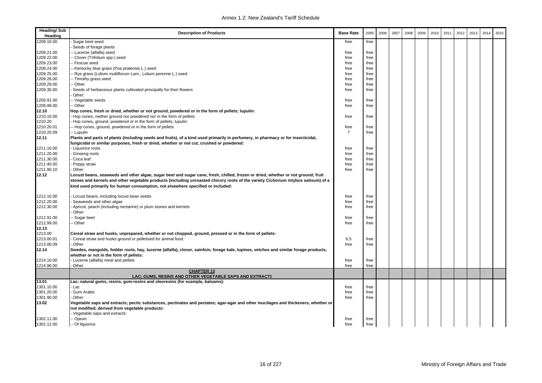| <b>Heading/Sub</b><br>Heading | <b>Description of Products</b>                                                                                                       | <b>Base Rate</b> | 2005 | 2006 | 2007 | 2008 | 2009 | 2010 | 2011 | 2012 | 2013 | 2014 | 2015 |
|-------------------------------|--------------------------------------------------------------------------------------------------------------------------------------|------------------|------|------|------|------|------|------|------|------|------|------|------|
| 1209.10.00                    | Sugar beet seed                                                                                                                      | free             | free |      |      |      |      |      |      |      |      |      |      |
|                               | Seeds of forage plants                                                                                                               |                  |      |      |      |      |      |      |      |      |      |      |      |
| 1209.21.00                    | - Lucerne (alfalfa) seed                                                                                                             | free             | free |      |      |      |      |      |      |      |      |      |      |
| 1209.22.00                    | - Clover (Trifolium spp.) seed                                                                                                       | free             | free |      |      |      |      |      |      |      |      |      |      |
| 1209.23.00                    | - Fescue seed                                                                                                                        | free             | free |      |      |      |      |      |      |      |      |      |      |
| 1209.24.00                    | -- Kentucky blue grass (Poa pratensis L.) seed                                                                                       | free             | free |      |      |      |      |      |      |      |      |      |      |
| 1209.25.00                    | - Rye grass (Lolium multiflorum Lam., Lolium perenne L.) seed                                                                        | free             | free |      |      |      |      |      |      |      |      |      |      |
| 1209.26.00                    | - Timothy grass seed                                                                                                                 | free             | free |      |      |      |      |      |      |      |      |      |      |
| 1209.29.00                    | - Other                                                                                                                              | free             | free |      |      |      |      |      |      |      |      |      |      |
| 1209.30.00                    | Seeds of herbaceous plants cultivated principally for their flowers                                                                  | free             | free |      |      |      |      |      |      |      |      |      |      |
|                               | Other:                                                                                                                               |                  |      |      |      |      |      |      |      |      |      |      |      |
| 1209.91.00                    | - Vegetable seeds                                                                                                                    | free             | free |      |      |      |      |      |      |      |      |      |      |
| 1209.99.00                    | - Other                                                                                                                              | free             | free |      |      |      |      |      |      |      |      |      |      |
| 12.10                         | Hop cones, fresh or dried, whether or not ground, powdered or in the form of pellets; lupulin:                                       |                  |      |      |      |      |      |      |      |      |      |      |      |
| 1210.10.00                    | Hop cones, neither ground nor powdered nor in the form of pellets                                                                    | free             | free |      |      |      |      |      |      |      |      |      |      |
| 1210.20                       | Hop cones, ground, powdered or in the form of pellets; lupulin:                                                                      |                  |      |      |      |      |      |      |      |      |      |      |      |
| 1210.20.01                    | - Hop cones, ground, powdered or in the form of pellets                                                                              | free             | free |      |      |      |      |      |      |      |      |      |      |
| 1210.20.09                    | -- Lupulin                                                                                                                           | $\overline{7}$   | free |      |      |      |      |      |      |      |      |      |      |
| 12.11                         | Plants and parts of plants (including seeds and fruits), of a kind used primarily in perfumery, in pharmacy or for insecticidal,     |                  |      |      |      |      |      |      |      |      |      |      |      |
|                               | fungicidal or similar purposes, fresh or dried, whether or not cut, crushed or powdered:                                             |                  |      |      |      |      |      |      |      |      |      |      |      |
| 1211.10.00                    | Liquorice roots                                                                                                                      | free             | free |      |      |      |      |      |      |      |      |      |      |
| 1211.20.00                    | Ginseng roots                                                                                                                        | free             | free |      |      |      |      |      |      |      |      |      |      |
| 1211.30.00                    | Coca leaf                                                                                                                            | free             | free |      |      |      |      |      |      |      |      |      |      |
| 1211.40.00                    | Poppy straw                                                                                                                          | free             | free |      |      |      |      |      |      |      |      |      |      |
| 1211.90.10                    | Other                                                                                                                                | free             | free |      |      |      |      |      |      |      |      |      |      |
| 12.12                         | Locust beans, seaweeds and other algae, sugar beet and sugar cane, fresh, chilled, frozen or dried, whether or not ground; fruit     |                  |      |      |      |      |      |      |      |      |      |      |      |
|                               | stones and kernels and other vegetable products (including unroasted chicory roots of the variety Cichorium intybus sativum) of a    |                  |      |      |      |      |      |      |      |      |      |      |      |
|                               | kind used primarily for human consumption, not elsewhere specified or included:                                                      |                  |      |      |      |      |      |      |      |      |      |      |      |
| 1212.10.00                    | Locust beans, including locust bean seeds                                                                                            | free             | free |      |      |      |      |      |      |      |      |      |      |
| 1212.20.00                    | Seaweeds and other algae                                                                                                             | free             | free |      |      |      |      |      |      |      |      |      |      |
| 1212.30.00                    | Apricot, peach (including nectarine) or plum stones and kernels                                                                      | free             | free |      |      |      |      |      |      |      |      |      |      |
|                               | Other:                                                                                                                               |                  |      |      |      |      |      |      |      |      |      |      |      |
| 1212.91.00                    | Sugar beet                                                                                                                           | free             | free |      |      |      |      |      |      |      |      |      |      |
| 1212.99.00                    | - Other                                                                                                                              | free             | free |      |      |      |      |      |      |      |      |      |      |
| 12.13                         |                                                                                                                                      |                  |      |      |      |      |      |      |      |      |      |      |      |
| 1213.00                       | Cereal straw and husks, unprepared, whether or not chopped, ground, pressed or in the form of pellets:                               |                  |      |      |      |      |      |      |      |      |      |      |      |
| 1213.00.01                    | Cereal straw and husks ground or pelletised for animal food                                                                          | 6.5              | free |      |      |      |      |      |      |      |      |      |      |
| 1213.00.09                    | Other                                                                                                                                | free             | free |      |      |      |      |      |      |      |      |      |      |
| 12.14                         | Swedes, mangolds, fodder roots, hay, lucerne (alfalfa), clover, sainfoin, forage kale, lupines, vetches and similar forage products, |                  |      |      |      |      |      |      |      |      |      |      |      |
|                               | whether or not in the form of pellets:                                                                                               |                  |      |      |      |      |      |      |      |      |      |      |      |
| 1214.10.00                    | Lucerne (alfalfa) meal and pellets                                                                                                   | free             | free |      |      |      |      |      |      |      |      |      |      |
| 1214.90.00                    | Other                                                                                                                                | free             | free |      |      |      |      |      |      |      |      |      |      |
|                               | <b>CHAPTER 13</b>                                                                                                                    |                  |      |      |      |      |      |      |      |      |      |      |      |
|                               | LAC; GUMS, RESINS AND OTHER VEGETABLE SAPS AND EXTRACTS                                                                              |                  |      |      |      |      |      |      |      |      |      |      |      |
| 13.01                         | Lac; natural gums, resins, gum-resins and oleoresins (for example, balsams):                                                         |                  |      |      |      |      |      |      |      |      |      |      |      |
| 1301.10.00                    | Lac                                                                                                                                  | free             | free |      |      |      |      |      |      |      |      |      |      |
| 1301.20.00                    | Gum Arabic                                                                                                                           | free             | free |      |      |      |      |      |      |      |      |      |      |
| 1301.90.00                    | Other                                                                                                                                | free             | free |      |      |      |      |      |      |      |      |      |      |
| 13.02                         | Vegetable saps and extracts; pectic substances, pectinates and pectates; agar-agar and other mucilages and thickeners, whether or    |                  |      |      |      |      |      |      |      |      |      |      |      |
|                               | not modified, derived from vegetable products:                                                                                       |                  |      |      |      |      |      |      |      |      |      |      |      |
|                               | Vegetable saps and extracts:                                                                                                         |                  |      |      |      |      |      |      |      |      |      |      |      |
| 1302.11.00                    | - Opium                                                                                                                              | free             | free |      |      |      |      |      |      |      |      |      |      |
| 1302.12.00                    | -- Of liquorice                                                                                                                      | free             | free |      |      |      |      |      |      |      |      |      |      |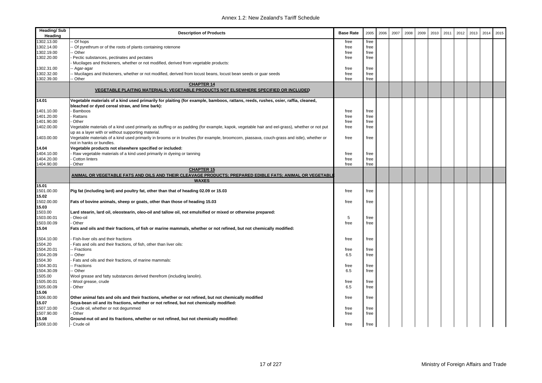| <b>Heading/Sub</b><br>Heading | <b>Description of Products</b>                                                                                                                | <b>Base Rate</b> | 2005 | 2006 | 2007 | 2008 | 2009 | 2010 | 2011 | 2012 | 2013 | 2014 | 2015 |
|-------------------------------|-----------------------------------------------------------------------------------------------------------------------------------------------|------------------|------|------|------|------|------|------|------|------|------|------|------|
| 1302.13.00                    | - Of hops                                                                                                                                     | free             | free |      |      |      |      |      |      |      |      |      |      |
| 1302.14.00                    | Of pyrethrum or of the roots of plants containing rotenone                                                                                    | free             | free |      |      |      |      |      |      |      |      |      |      |
| 1302.19.00                    | - Other                                                                                                                                       | free             | free |      |      |      |      |      |      |      |      |      |      |
| 1302.20.00                    | Pectic substances, pectinates and pectates                                                                                                    | free             | free |      |      |      |      |      |      |      |      |      |      |
|                               | Mucilages and thickeners, whether or not modified, derived from vegetable products:                                                           |                  |      |      |      |      |      |      |      |      |      |      |      |
| 1302.31.00                    | - Agar-agar                                                                                                                                   | free             | free |      |      |      |      |      |      |      |      |      |      |
| 1302.32.00                    | - Mucilages and thickeners, whether or not modified, derived from locust beans, locust bean seeds or quar seeds                               | free             | free |      |      |      |      |      |      |      |      |      |      |
| 1302.39.00                    | - Other                                                                                                                                       | free             | free |      |      |      |      |      |      |      |      |      |      |
|                               | <b>CHAPTER 14</b>                                                                                                                             |                  |      |      |      |      |      |      |      |      |      |      |      |
|                               | VEGETABLE PLAITING MATERIALS; VEGETABLE PRODUCTS NOT ELSEWHERE SPECIFIED OR INCLUDED                                                          |                  |      |      |      |      |      |      |      |      |      |      |      |
|                               |                                                                                                                                               |                  |      |      |      |      |      |      |      |      |      |      |      |
| 14.01                         | Vegetable materials of a kind used primarily for plaiting (for example, bamboos, rattans, reeds, rushes, osier, raffia, cleaned,              |                  |      |      |      |      |      |      |      |      |      |      |      |
|                               | bleached or dyed cereal straw, and lime bark):                                                                                                |                  |      |      |      |      |      |      |      |      |      |      |      |
| 1401.10.00                    | Bamboos                                                                                                                                       | free             | free |      |      |      |      |      |      |      |      |      |      |
| 1401.20.00                    | Rattans                                                                                                                                       | free             | free |      |      |      |      |      |      |      |      |      |      |
| 1401.90.00                    | Other                                                                                                                                         | free             | free |      |      |      |      |      |      |      |      |      |      |
| 1402.00.00                    | Vegetable materials of a kind used primarily as stuffing or as padding (for example, kapok, vegetable hair and eel-grass), whether or not put | free             | free |      |      |      |      |      |      |      |      |      |      |
|                               | up as a layer with or without supporting material.                                                                                            |                  |      |      |      |      |      |      |      |      |      |      |      |
| 1403.00.00                    | Vegetable materials of a kind used primarily in brooms or in brushes (for example, broomcorn, piassava, couch-grass and istle), whether or    | free             | free |      |      |      |      |      |      |      |      |      |      |
|                               | not in hanks or bundles.                                                                                                                      |                  |      |      |      |      |      |      |      |      |      |      |      |
| 14.04                         | Vegetable products not elsewhere specified or included:                                                                                       |                  |      |      |      |      |      |      |      |      |      |      |      |
| 1404.10.00                    | Raw vegetable materials of a kind used primarily in dyeing or tanning                                                                         | free             | free |      |      |      |      |      |      |      |      |      |      |
| 1404.20.00                    | <b>Cotton linters</b>                                                                                                                         | free             | free |      |      |      |      |      |      |      |      |      |      |
| 1404.90.00                    | Other                                                                                                                                         | free             | free |      |      |      |      |      |      |      |      |      |      |
|                               | <b>CHAPTER 15</b>                                                                                                                             |                  |      |      |      |      |      |      |      |      |      |      |      |
|                               | ANIMAL OR VEGETABLE FATS AND OILS AND THEIR CLEAVAGE PRODUCTS; PREPARED EDIBLE FATS; ANIMAL OR VEGETABLI                                      |                  |      |      |      |      |      |      |      |      |      |      |      |
|                               | <b>WAXES</b>                                                                                                                                  |                  |      |      |      |      |      |      |      |      |      |      |      |
| 15.01                         |                                                                                                                                               |                  |      |      |      |      |      |      |      |      |      |      |      |
| 1501.00.00                    | Pig fat (including lard) and poultry fat, other than that of heading 02.09 or 15.03                                                           | free             | free |      |      |      |      |      |      |      |      |      |      |
| 15.02                         |                                                                                                                                               |                  |      |      |      |      |      |      |      |      |      |      |      |
| 1502.00.00                    | Fats of bovine animals, sheep or goats, other than those of heading 15.03                                                                     | free             | free |      |      |      |      |      |      |      |      |      |      |
| 15.03                         |                                                                                                                                               |                  |      |      |      |      |      |      |      |      |      |      |      |
| 1503.00                       | Lard stearin, lard oil, oleostearin, oleo-oil and tallow oil, not emulsified or mixed or otherwise prepared:                                  |                  |      |      |      |      |      |      |      |      |      |      |      |
| 1503.00.01                    | Oleo-oil                                                                                                                                      | 5                | free |      |      |      |      |      |      |      |      |      |      |
| 1503.00.09                    | Other                                                                                                                                         | free             | free |      |      |      |      |      |      |      |      |      |      |
| 15.04                         | Fats and oils and their fractions, of fish or marine mammals, whether or not refined, but not chemically modified:                            |                  |      |      |      |      |      |      |      |      |      |      |      |
|                               |                                                                                                                                               |                  |      |      |      |      |      |      |      |      |      |      |      |
| 1504.10.00                    | Fish-liver oils and their fractions                                                                                                           | free             | free |      |      |      |      |      |      |      |      |      |      |
| 1504.20                       | Fats and oils and their fractions, of fish, other than liver oils:                                                                            |                  |      |      |      |      |      |      |      |      |      |      |      |
| 1504.20.01                    | - Fractions                                                                                                                                   | free             | free |      |      |      |      |      |      |      |      |      |      |
| 1504.20.09                    | - Other                                                                                                                                       | 6.5              | free |      |      |      |      |      |      |      |      |      |      |
| 1504.30                       | Fats and oils and their fractions, of marine mammals:                                                                                         |                  |      |      |      |      |      |      |      |      |      |      |      |
| 1504.30.01                    | - Fractions                                                                                                                                   | free             | free |      |      |      |      |      |      |      |      |      |      |
| 1504.30.09                    | - Other                                                                                                                                       | 6.5              | free |      |      |      |      |      |      |      |      |      |      |
| 1505.00                       | Wool grease and fatty substances derived therefrom (including lanolin).                                                                       |                  |      |      |      |      |      |      |      |      |      |      |      |
| 1505.00.01                    | Wool grease, crude                                                                                                                            | free             | free |      |      |      |      |      |      |      |      |      |      |
| 1505.00.09                    | Other                                                                                                                                         | 6.5              | free |      |      |      |      |      |      |      |      |      |      |
| 15.06                         |                                                                                                                                               |                  |      |      |      |      |      |      |      |      |      |      |      |
| 1506.00.00                    |                                                                                                                                               |                  |      |      |      |      |      |      |      |      |      |      |      |
|                               | Other animal fats and oils and their fractions, whether or not refined, but not chemically modified                                           | free             | free |      |      |      |      |      |      |      |      |      |      |
| 15.07                         | Soya-bean oil and its fractions, whether or not refined, but not chemically modified:                                                         |                  |      |      |      |      |      |      |      |      |      |      |      |
| 1507.10.00                    | - Crude oil, whether or not degummed                                                                                                          | free             | free |      |      |      |      |      |      |      |      |      |      |
| 1507.90.00                    | Other                                                                                                                                         | free             | free |      |      |      |      |      |      |      |      |      |      |
| 15.08                         | Ground-nut oil and its fractions, whether or not refined, but not chemically modified:                                                        |                  |      |      |      |      |      |      |      |      |      |      |      |
| 1508.10.00                    | - Crude oil                                                                                                                                   | free             | free |      |      |      |      |      |      |      |      |      |      |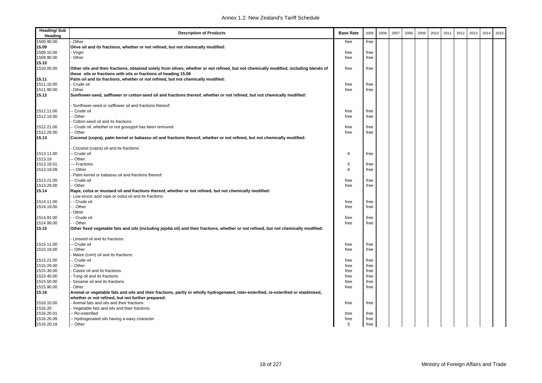| <b>Heading/Sub</b><br>Heading                             | <b>Description of Products</b>                                                                                                        | <b>Base Rate</b> | 2005 | 2006 | 2007 | 2008 | 2009 | 2010 | 2011 | 2012 | 2013 | 2014 | 2015 |
|-----------------------------------------------------------|---------------------------------------------------------------------------------------------------------------------------------------|------------------|------|------|------|------|------|------|------|------|------|------|------|
| 1508.90.00<br>Other                                       |                                                                                                                                       | free             | free |      |      |      |      |      |      |      |      |      |      |
| 15.09                                                     | Olive oil and its fractions, whether or not refined, but not chemically modified:                                                     |                  |      |      |      |      |      |      |      |      |      |      |      |
| 1509.10.00<br>· Virgin                                    |                                                                                                                                       | free             | free |      |      |      |      |      |      |      |      |      |      |
| 1509.90.00<br>Other                                       |                                                                                                                                       | free             | free |      |      |      |      |      |      |      |      |      |      |
| 15.10                                                     |                                                                                                                                       |                  |      |      |      |      |      |      |      |      |      |      |      |
| 1510.00.00                                                | Other oils and their fractions, obtained solely from olives, whether or not refined, but not chemically modified, including blends of | free             | free |      |      |      |      |      |      |      |      |      |      |
|                                                           | these oils or fractions with oils or fractions of heading 15.09                                                                       |                  |      |      |      |      |      |      |      |      |      |      |      |
| 15.11                                                     | Palm oil and its fractions, whether or not refined, but not chemically modified:                                                      |                  |      |      |      |      |      |      |      |      |      |      |      |
| 1511.10.00<br>Crude oil                                   |                                                                                                                                       | free             | free |      |      |      |      |      |      |      |      |      |      |
| 1511.90.00<br>Other                                       |                                                                                                                                       | free             | free |      |      |      |      |      |      |      |      |      |      |
| 15.12                                                     | Sunflower-seed, safflower or cotton-seed oil and fractions thereof, whether or not refined, but not chemically modified:              |                  |      |      |      |      |      |      |      |      |      |      |      |
|                                                           | Sunflower-seed or safflower oil and fractions thereof:                                                                                |                  |      |      |      |      |      |      |      |      |      |      |      |
| 1512.11.00<br>Crude oil                                   |                                                                                                                                       | free             | free |      |      |      |      |      |      |      |      |      |      |
| 1512.19.00<br>Other                                       |                                                                                                                                       | free             | free |      |      |      |      |      |      |      |      |      |      |
| Cotton-seed oil and its fractions:                        |                                                                                                                                       |                  |      |      |      |      |      |      |      |      |      |      |      |
| 1512.21.00                                                | - Crude oil, whether or not gossypol has been removed                                                                                 | free             | free |      |      |      |      |      |      |      |      |      |      |
| 1512.29.00<br>- Other                                     |                                                                                                                                       | free             | free |      |      |      |      |      |      |      |      |      |      |
| 15.13                                                     | Coconut (copra), palm kernel or babassu oil and fractions thereof, whether or not refined, but not chemically modified:               |                  |      |      |      |      |      |      |      |      |      |      |      |
| Coconut (copra) oil and its fractions:                    |                                                                                                                                       |                  |      |      |      |      |      |      |      |      |      |      |      |
| 1513.11.00<br>Crude oil                                   |                                                                                                                                       | 6                | free |      |      |      |      |      |      |      |      |      |      |
| 1513.19<br>Other:                                         |                                                                                                                                       |                  |      |      |      |      |      |      |      |      |      |      |      |
| 1513.19.01<br>-- Fractions                                |                                                                                                                                       | 5                | free |      |      |      |      |      |      |      |      |      |      |
| 1513.19.09<br>-- Other                                    |                                                                                                                                       | 6                | free |      |      |      |      |      |      |      |      |      |      |
|                                                           | Palm kernel or babassu oil and fractions thereof:                                                                                     |                  |      |      |      |      |      |      |      |      |      |      |      |
| 1513.21.00<br>- Crude oil                                 |                                                                                                                                       | free             | free |      |      |      |      |      |      |      |      |      |      |
| 1513.29.00<br>- Other                                     |                                                                                                                                       | free             | free |      |      |      |      |      |      |      |      |      |      |
| 15.14                                                     | Rape, colza or mustard oil and fractions thereof, whether or not refined, but not chemically modified:                                |                  |      |      |      |      |      |      |      |      |      |      |      |
|                                                           | Low erucic acid rape or colza oil and its fractions:                                                                                  |                  |      |      |      |      |      |      |      |      |      |      |      |
| 1514.11.00<br>- Crude oil                                 |                                                                                                                                       | free             | free |      |      |      |      |      |      |      |      |      |      |
| 1514.19.00<br>- Other                                     |                                                                                                                                       | free             | free |      |      |      |      |      |      |      |      |      |      |
| Other                                                     |                                                                                                                                       |                  |      |      |      |      |      |      |      |      |      |      |      |
| 1514.91.00<br>- Crude oil                                 |                                                                                                                                       | free             | free |      |      |      |      |      |      |      |      |      |      |
| 1514.99.00<br>- Other                                     |                                                                                                                                       | free             | free |      |      |      |      |      |      |      |      |      |      |
| 15.15                                                     | Other fixed vegetable fats and oils (including jojoba oil) and their fractions, whether or not refined, but not chemically modified:  |                  |      |      |      |      |      |      |      |      |      |      |      |
| Linseed oil and its fractions:                            |                                                                                                                                       |                  |      |      |      |      |      |      |      |      |      |      |      |
| 1515.11.00<br>- Crude oil                                 |                                                                                                                                       | free             | free |      |      |      |      |      |      |      |      |      |      |
| 1515.19.00<br>Other                                       |                                                                                                                                       | free             | free |      |      |      |      |      |      |      |      |      |      |
| Maize (corn) oil and its fractions:                       |                                                                                                                                       |                  |      |      |      |      |      |      |      |      |      |      |      |
| 1515.21.00<br>- Crude oil                                 |                                                                                                                                       | free             | free |      |      |      |      |      |      |      |      |      |      |
| 1515.29.00<br>Other                                       |                                                                                                                                       | free             | free |      |      |      |      |      |      |      |      |      |      |
| 1515.30.00<br>Castor oil and its fractions                |                                                                                                                                       | free             | free |      |      |      |      |      |      |      |      |      |      |
| 1515.40.00<br>Tung oil and its fractions                  |                                                                                                                                       | free             | free |      |      |      |      |      |      |      |      |      |      |
| 1515.50.00<br>Sesame oil and its fractions                |                                                                                                                                       | free             | free |      |      |      |      |      |      |      |      |      |      |
| 1515.90.00<br>Other                                       |                                                                                                                                       | free             | free |      |      |      |      |      |      |      |      |      |      |
| 15.16                                                     | Animal or vegetable fats and oils and their fractions, partly or wholly hydrogenated, inter-esterified, re-esterified or elaidinised, |                  |      |      |      |      |      |      |      |      |      |      |      |
|                                                           | whether or not refined, but not further prepared:                                                                                     |                  |      |      |      |      |      |      |      |      |      |      |      |
| 1516.10.00<br>Animal fats and oils and their fractions    |                                                                                                                                       | free             | free |      |      |      |      |      |      |      |      |      |      |
| 1516.20<br>Vegetable fats and oils and their fractions:   |                                                                                                                                       |                  |      |      |      |      |      |      |      |      |      |      |      |
| 1516.20.01<br>- Re-esterified                             |                                                                                                                                       | free             | free |      |      |      |      |      |      |      |      |      |      |
| 1516.20.09<br>- Hydrogenated oils having a waxy character |                                                                                                                                       | free             | free |      |      |      |      |      |      |      |      |      |      |
| 1516.20.19<br>-- Other                                    |                                                                                                                                       | 5                | free |      |      |      |      |      |      |      |      |      |      |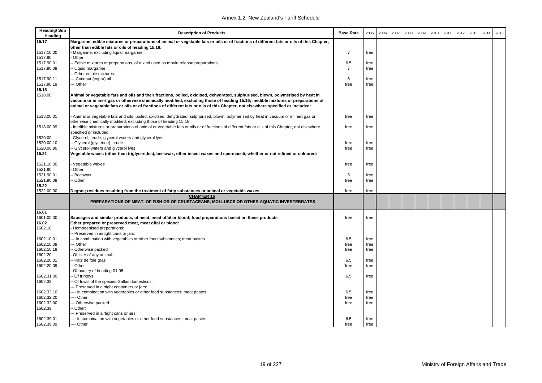| <b>Heading/Sub</b><br>Heading | <b>Description of Products</b>                                                                                                                                                                                                                                                                                                                                                                         | <b>Base Rate</b> | 2005 | 2006 | 2007 | 2008 | 2009 | 2010 | 2011 | 2012 | 2013 | 2014 | 2015 |
|-------------------------------|--------------------------------------------------------------------------------------------------------------------------------------------------------------------------------------------------------------------------------------------------------------------------------------------------------------------------------------------------------------------------------------------------------|------------------|------|------|------|------|------|------|------|------|------|------|------|
| 15.17                         | Margarine; edible mixtures or preparations of animal or vegetable fats or oils or of fractions of different fats or oils of this Chapter,                                                                                                                                                                                                                                                              |                  |      |      |      |      |      |      |      |      |      |      |      |
|                               | other than edible fats or oils of heading 15.16:                                                                                                                                                                                                                                                                                                                                                       |                  |      |      |      |      |      |      |      |      |      |      |      |
| 1517.10.00                    | Margarine, excluding liquid margarine                                                                                                                                                                                                                                                                                                                                                                  | -7               | free |      |      |      |      |      |      |      |      |      |      |
| 1517.90                       | Other:                                                                                                                                                                                                                                                                                                                                                                                                 |                  |      |      |      |      |      |      |      |      |      |      |      |
| 1517.90.01                    | Edible mixtures or preparations, of a kind used as mould release preparations                                                                                                                                                                                                                                                                                                                          | 6.5              | free |      |      |      |      |      |      |      |      |      |      |
| 1517.90.09                    | - Liquid margarine                                                                                                                                                                                                                                                                                                                                                                                     | $\overline{7}$   | free |      |      |      |      |      |      |      |      |      |      |
|                               | Other edible mixtures:                                                                                                                                                                                                                                                                                                                                                                                 |                  |      |      |      |      |      |      |      |      |      |      |      |
| 1517.90.11                    | - Coconut (copra) oil                                                                                                                                                                                                                                                                                                                                                                                  | 6                | free |      |      |      |      |      |      |      |      |      |      |
| 1517.90.19                    | -- Other                                                                                                                                                                                                                                                                                                                                                                                               | free             | free |      |      |      |      |      |      |      |      |      |      |
| 15.18                         |                                                                                                                                                                                                                                                                                                                                                                                                        |                  |      |      |      |      |      |      |      |      |      |      |      |
| 1518.00                       | Animal or vegetable fats and oils and their fractions, boiled, oxidised, dehydrated, sulphurised, blown, polymerised by heat in<br>vacuum or in inert gas or otherwise chemically modified, excluding those of heading 15.16; inedible mixtures or preparations of<br>animal or vegetable fats or oils or of fractions of different fats or oils of this Chapter, not elsewhere specified or included: |                  |      |      |      |      |      |      |      |      |      |      |      |
| 1518.00.01                    | Animal or vegetable fats and oils, boiled, oxidised, dehydrated, sulphurised, blown, polymerised by heat in vacuum or in inert gas or                                                                                                                                                                                                                                                                  | free             | free |      |      |      |      |      |      |      |      |      |      |
|                               | otherwise chemically modified, excluding those of heading 15.16                                                                                                                                                                                                                                                                                                                                        |                  |      |      |      |      |      |      |      |      |      |      |      |
| 1518.00.09                    | Inedible mixtures or preparations of animal or vegetable fats or oils or of fractions of different fats or oils of this Chapter, not elsewhere                                                                                                                                                                                                                                                         | free             | free |      |      |      |      |      |      |      |      |      |      |
|                               | specified or included                                                                                                                                                                                                                                                                                                                                                                                  |                  |      |      |      |      |      |      |      |      |      |      |      |
| 1520.00                       | Glycerol, crude; glycerol waters and glycerol lyes:                                                                                                                                                                                                                                                                                                                                                    |                  |      |      |      |      |      |      |      |      |      |      |      |
| 1520.00.10                    | Glycerol (glycerine), crude                                                                                                                                                                                                                                                                                                                                                                            | free             | free |      |      |      |      |      |      |      |      |      |      |
| 1520.00.90                    | Glycerol waters and glycerol lyes                                                                                                                                                                                                                                                                                                                                                                      | free             | free |      |      |      |      |      |      |      |      |      |      |
| 15.21                         | Vegetable waxes (other than triglycerides), beeswax, other insect waxes and spermaceti, whether or not refined or coloured:                                                                                                                                                                                                                                                                            |                  |      |      |      |      |      |      |      |      |      |      |      |
| 1521.10.00                    | Vegetable waxes                                                                                                                                                                                                                                                                                                                                                                                        | free             | free |      |      |      |      |      |      |      |      |      |      |
| 1521.90                       | Other:                                                                                                                                                                                                                                                                                                                                                                                                 |                  |      |      |      |      |      |      |      |      |      |      |      |
| 1521.90.01                    | Beeswax                                                                                                                                                                                                                                                                                                                                                                                                | 5                | free |      |      |      |      |      |      |      |      |      |      |
| 1521.90.09                    | Other                                                                                                                                                                                                                                                                                                                                                                                                  | free             | free |      |      |      |      |      |      |      |      |      |      |
| 15.22                         |                                                                                                                                                                                                                                                                                                                                                                                                        |                  |      |      |      |      |      |      |      |      |      |      |      |
| 1522.00.00                    | Degras; residues resulting from the treatment of fatty substances or animal or vegetable waxes                                                                                                                                                                                                                                                                                                         | free             | free |      |      |      |      |      |      |      |      |      |      |
|                               | <b>CHAPTER 16</b>                                                                                                                                                                                                                                                                                                                                                                                      |                  |      |      |      |      |      |      |      |      |      |      |      |
|                               | PREPARATIONS OF MEAT, OF FISH OR OF CRUSTACEANS, MOLLUSCS OR OTHER AQUATIC INVERTEBRATES                                                                                                                                                                                                                                                                                                               |                  |      |      |      |      |      |      |      |      |      |      |      |
| 16.01                         |                                                                                                                                                                                                                                                                                                                                                                                                        |                  |      |      |      |      |      |      |      |      |      |      |      |
| 1601.00.00                    | Sausages and similar products, of meat, meat offal or blood; food preparations based on these products                                                                                                                                                                                                                                                                                                 | free             | free |      |      |      |      |      |      |      |      |      |      |
| 16.02                         | Other prepared or preserved meat, meat offal or blood:                                                                                                                                                                                                                                                                                                                                                 |                  |      |      |      |      |      |      |      |      |      |      |      |
| 1602.10                       | Homogenised preparations:                                                                                                                                                                                                                                                                                                                                                                              |                  |      |      |      |      |      |      |      |      |      |      |      |
|                               | Preserved in airtight cans or jars:                                                                                                                                                                                                                                                                                                                                                                    |                  |      |      |      |      |      |      |      |      |      |      |      |
| 1602.10.01                    | -- In combination with vegetables or other food substances; meat pastes                                                                                                                                                                                                                                                                                                                                | 6.5              | free |      |      |      |      |      |      |      |      |      |      |
| 1602.10.09                    | - Other                                                                                                                                                                                                                                                                                                                                                                                                | free             | free |      |      |      |      |      |      |      |      |      |      |
| 1602.10.19                    | Otherwise packed                                                                                                                                                                                                                                                                                                                                                                                       | free             | free |      |      |      |      |      |      |      |      |      |      |
| 1602.20                       | Of liver of any animal:                                                                                                                                                                                                                                                                                                                                                                                |                  |      |      |      |      |      |      |      |      |      |      |      |
| 1602.20.01                    | Pats de foie gras                                                                                                                                                                                                                                                                                                                                                                                      | 6.5              | free |      |      |      |      |      |      |      |      |      |      |
| 1602.20.09                    | Other                                                                                                                                                                                                                                                                                                                                                                                                  | free             | free |      |      |      |      |      |      |      |      |      |      |
|                               | Of poultry of heading 01.05:                                                                                                                                                                                                                                                                                                                                                                           |                  |      |      |      |      |      |      |      |      |      |      |      |
| 1602.31.00                    | Of turkeys                                                                                                                                                                                                                                                                                                                                                                                             | 6.5              | free |      |      |      |      |      |      |      |      |      |      |
| 1602.32                       | Of fowls of the species Gallus domesticus:                                                                                                                                                                                                                                                                                                                                                             |                  |      |      |      |      |      |      |      |      |      |      |      |
|                               | - Preserved in airtight containers or jars:                                                                                                                                                                                                                                                                                                                                                            |                  |      |      |      |      |      |      |      |      |      |      |      |
| 1602.32.10                    | -- In combination with vegetables or other food substances; meat pastes                                                                                                                                                                                                                                                                                                                                | 6.5              | free |      |      |      |      |      |      |      |      |      |      |
| 1602.32.20                    | --- Other                                                                                                                                                                                                                                                                                                                                                                                              | free             | free |      |      |      |      |      |      |      |      |      |      |
| 1602.32.90                    | - Otherwise packed                                                                                                                                                                                                                                                                                                                                                                                     | free             | free |      |      |      |      |      |      |      |      |      |      |
| 1602.39                       | Other:                                                                                                                                                                                                                                                                                                                                                                                                 |                  |      |      |      |      |      |      |      |      |      |      |      |
|                               | - Preserved in airtight cans or jars:                                                                                                                                                                                                                                                                                                                                                                  |                  |      |      |      |      |      |      |      |      |      |      |      |
| 1602.39.01                    | -- In combination with vegetables or other food substances; meat pastes                                                                                                                                                                                                                                                                                                                                | 6.5              | free |      |      |      |      |      |      |      |      |      |      |
| 1602.39.09                    | --- Other                                                                                                                                                                                                                                                                                                                                                                                              | free             | free |      |      |      |      |      |      |      |      |      |      |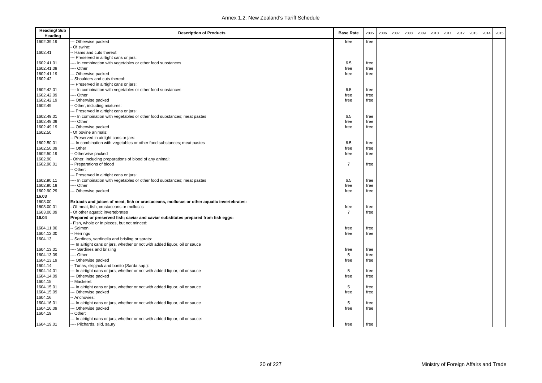| <b>Heading/Sub</b><br>Heading | <b>Description of Products</b>                                                             | <b>Base Rate</b> | 2005 | 2006 | 2007 | 2008 | 2009 | 2010 | 2011 | 2012 | 2013 | 2014 | 2015 |
|-------------------------------|--------------------------------------------------------------------------------------------|------------------|------|------|------|------|------|------|------|------|------|------|------|
| 1602.39.19                    | Otherwise packed                                                                           | free             | free |      |      |      |      |      |      |      |      |      |      |
|                               | Of swine:                                                                                  |                  |      |      |      |      |      |      |      |      |      |      |      |
| 1602.41                       | - Hams and cuts thereof:                                                                   |                  |      |      |      |      |      |      |      |      |      |      |      |
|                               | -- Preserved in airtight cans or jars:                                                     |                  |      |      |      |      |      |      |      |      |      |      |      |
| 1602.41.01                    | --- In combination with vegetables or other food substances                                | 6.5              | free |      |      |      |      |      |      |      |      |      |      |
| 1602.41.09                    | --- Other                                                                                  | free             | free |      |      |      |      |      |      |      |      |      |      |
| 1602.41.19                    | - Otherwise packed                                                                         | free             | free |      |      |      |      |      |      |      |      |      |      |
| 1602.42                       | Shoulders and cuts thereof:                                                                |                  |      |      |      |      |      |      |      |      |      |      |      |
|                               | -- Preserved in airtight cans or jars:                                                     |                  |      |      |      |      |      |      |      |      |      |      |      |
| 1602.42.01                    | -- In combination with vegetables or other food substances                                 | 6.5              | free |      |      |      |      |      |      |      |      |      |      |
| 1602.42.09                    | --- Other                                                                                  | free             | free |      |      |      |      |      |      |      |      |      |      |
| 1602.42.19                    | - Otherwise packed                                                                         | free             | free |      |      |      |      |      |      |      |      |      |      |
| 1602.49                       | Other, including mixtures:                                                                 |                  |      |      |      |      |      |      |      |      |      |      |      |
|                               | -- Preserved in airtight cans or jars:                                                     |                  |      |      |      |      |      |      |      |      |      |      |      |
| 1602.49.01                    | --- In combination with vegetables or other food substances; meat pastes                   | 6.5              | free |      |      |      |      |      |      |      |      |      |      |
| 1602.49.09                    | -- Other                                                                                   | free             | free |      |      |      |      |      |      |      |      |      |      |
| 1602.49.19                    | - Otherwise packed                                                                         | free             | free |      |      |      |      |      |      |      |      |      |      |
| 1602.50                       | Of bovine animals:                                                                         |                  |      |      |      |      |      |      |      |      |      |      |      |
|                               | - Preserved in airtight cans or jars:                                                      |                  |      |      |      |      |      |      |      |      |      |      |      |
| 1602.50.01                    | -- In combination with vegetables or other food substances; meat pastes                    | 6.5              | free |      |      |      |      |      |      |      |      |      |      |
| 1602.50.09                    | - Other                                                                                    | free             | free |      |      |      |      |      |      |      |      |      |      |
| 1602.50.19                    | Otherwise packed                                                                           | free             | free |      |      |      |      |      |      |      |      |      |      |
| 1602.90                       | Other, including preparations of blood of any animal:                                      |                  |      |      |      |      |      |      |      |      |      |      |      |
| 1602.90.01                    | Preparations of blood                                                                      | $\overline{7}$   | free |      |      |      |      |      |      |      |      |      |      |
|                               | Other:                                                                                     |                  |      |      |      |      |      |      |      |      |      |      |      |
|                               | - Preserved in airtight cans or jars:                                                      |                  |      |      |      |      |      |      |      |      |      |      |      |
| 1602.90.11                    | -- In combination with vegetables or other food substances; meat pastes                    | 6.5              | free |      |      |      |      |      |      |      |      |      |      |
| 1602.90.19                    | -- Other                                                                                   | free             | free |      |      |      |      |      |      |      |      |      |      |
| 1602.90.29                    | - Otherwise packed                                                                         | free             | free |      |      |      |      |      |      |      |      |      |      |
| 16.03                         |                                                                                            |                  |      |      |      |      |      |      |      |      |      |      |      |
| 1603.00                       | Extracts and juices of meat, fish or crustaceans, molluscs or other aquatic invertebrates: |                  |      |      |      |      |      |      |      |      |      |      |      |
| 1603.00.01                    | Of meat, fish, crustaceans or molluscs                                                     | free             | free |      |      |      |      |      |      |      |      |      |      |
| 1603.00.09                    | Of other aquatic invertebrates                                                             | $\overline{7}$   | free |      |      |      |      |      |      |      |      |      |      |
| 16.04                         | Prepared or preserved fish; caviar and caviar substitutes prepared from fish eggs:         |                  |      |      |      |      |      |      |      |      |      |      |      |
|                               | Fish, whole or in pieces, but not minced:                                                  |                  |      |      |      |      |      |      |      |      |      |      |      |
| 1604.11.00                    | - Salmon                                                                                   | free             | free |      |      |      |      |      |      |      |      |      |      |
| 1604.12.00                    | - Herrings                                                                                 | free             | free |      |      |      |      |      |      |      |      |      |      |
| 1604.13                       | Sardines, sardinella and brisling or sprats:                                               |                  |      |      |      |      |      |      |      |      |      |      |      |
|                               | -- In airtight cans or jars, whether or not with added liquor, oil or sauce                |                  |      |      |      |      |      |      |      |      |      |      |      |
| 1604.13.01                    | --- Sardines and brisling                                                                  | free             | free |      |      |      |      |      |      |      |      |      |      |
| 1604.13.09                    | --- Other                                                                                  | 5                | free |      |      |      |      |      |      |      |      |      |      |
| 1604.13.19                    | - Otherwise packed                                                                         | free             | free |      |      |      |      |      |      |      |      |      |      |
| 1604.14                       | -- Tunas, skipjack and bonito (Sarda spp.):                                                |                  |      |      |      |      |      |      |      |      |      |      |      |
| 1604.14.01                    | -- In airtight cans or jars, whether or not with added liquor, oil or sauce                | 5                | free |      |      |      |      |      |      |      |      |      |      |
| 1604.14.09                    | - Otherwise packed                                                                         | free             | free |      |      |      |      |      |      |      |      |      |      |
| 1604.15                       | - Mackerel:                                                                                |                  |      |      |      |      |      |      |      |      |      |      |      |
| 1604.15.01                    | - In airtight cans or jars, whether or not with added liquor, oil or sauce                 | 5                | free |      |      |      |      |      |      |      |      |      |      |
| 1604.15.09                    | - Otherwise packed                                                                         | free             | free |      |      |      |      |      |      |      |      |      |      |
| 1604.16                       | - Anchovies:                                                                               |                  |      |      |      |      |      |      |      |      |      |      |      |
| 1604.16.01                    | - In airtight cans or jars, whether or not with added liquor, oil or sauce                 | 5                | free |      |      |      |      |      |      |      |      |      |      |
| 1604.16.09                    | Otherwise packed                                                                           | free             | free |      |      |      |      |      |      |      |      |      |      |
| 1604.19                       | Other:                                                                                     |                  |      |      |      |      |      |      |      |      |      |      |      |
|                               | -- In airtight cans or jars, whether or not with added liquor, oil or sauce:               |                  |      |      |      |      |      |      |      |      |      |      |      |
| 1604.19.01                    | ---- Pilchards, sild, saury                                                                | free             | free |      |      |      |      |      |      |      |      |      |      |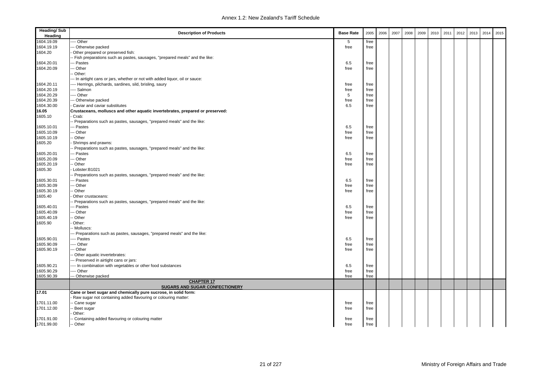| <b>Heading/Sub</b><br>Heading | <b>Description of Products</b>                                                | <b>Base Rate</b> | 2005 | 2006 | 2007 | 2008 | 2009 | 2010 | 2011 | 2012 | 2013 | 2014 | 2015 |
|-------------------------------|-------------------------------------------------------------------------------|------------------|------|------|------|------|------|------|------|------|------|------|------|
| 1604.19.09                    | -- Other                                                                      | 5                | free |      |      |      |      |      |      |      |      |      |      |
| 1604.19.19                    | -- Otherwise packed                                                           | free             | free |      |      |      |      |      |      |      |      |      |      |
| 1604.20                       | Other prepared or preserved fish:                                             |                  |      |      |      |      |      |      |      |      |      |      |      |
|                               | Fish preparations such as pastes, sausages, "prepared meals" and the like:    |                  |      |      |      |      |      |      |      |      |      |      |      |
| 1604.20.01                    | - Pastes                                                                      | 6.5              | free |      |      |      |      |      |      |      |      |      |      |
| 1604.20.09                    | -- Other                                                                      | free             | free |      |      |      |      |      |      |      |      |      |      |
|                               | Other:                                                                        |                  |      |      |      |      |      |      |      |      |      |      |      |
|                               | -- In airtight cans or jars, whether or not with added liquor, oil or sauce:  |                  |      |      |      |      |      |      |      |      |      |      |      |
| 1604.20.11                    | --- Herrings, pilchards, sardines, sild, brisling, saury                      | free             | free |      |      |      |      |      |      |      |      |      |      |
| 1604.20.19                    | -- Salmon                                                                     | free             | free |      |      |      |      |      |      |      |      |      |      |
| 1604.20.29                    | --- Other                                                                     | 5                | free |      |      |      |      |      |      |      |      |      |      |
| 1604.20.39                    | -- Otherwise packed                                                           | free             | free |      |      |      |      |      |      |      |      |      |      |
| 1604.30.00                    | Caviar and caviar substitutes                                                 | 6.5              | free |      |      |      |      |      |      |      |      |      |      |
| 16.05                         | Crustaceans, molluscs and other aquatic invertebrates, prepared or preserved: |                  |      |      |      |      |      |      |      |      |      |      |      |
| 1605.10                       | Crab:                                                                         |                  |      |      |      |      |      |      |      |      |      |      |      |
|                               | - Preparations such as pastes, sausages, "prepared meals" and the like:       |                  |      |      |      |      |      |      |      |      |      |      |      |
| 1605.10.01                    | -- Pastes                                                                     | 6.5              | free |      |      |      |      |      |      |      |      |      |      |
| 1605.10.09                    | -- Other                                                                      | free             | free |      |      |      |      |      |      |      |      |      |      |
| 1605.10.19                    | Other                                                                         | free             | free |      |      |      |      |      |      |      |      |      |      |
| 1605.20                       | Shrimps and prawns:                                                           |                  |      |      |      |      |      |      |      |      |      |      |      |
|                               | - Preparations such as pastes, sausages, "prepared meals" and the like:       |                  |      |      |      |      |      |      |      |      |      |      |      |
| 1605.20.01                    | -- Pastes                                                                     | 6.5              | free |      |      |      |      |      |      |      |      |      |      |
| 1605.20.09                    | - Other                                                                       | free             | free |      |      |      |      |      |      |      |      |      |      |
| 1605.20.19                    | - Other                                                                       | free             | free |      |      |      |      |      |      |      |      |      |      |
| 1605.30                       | Lobster:B1021                                                                 |                  |      |      |      |      |      |      |      |      |      |      |      |
|                               | - Preparations such as pastes, sausages, "prepared meals" and the like:       |                  |      |      |      |      |      |      |      |      |      |      |      |
| 1605.30.01                    | -- Pastes                                                                     | 6.5              | free |      |      |      |      |      |      |      |      |      |      |
| 1605.30.09                    | -- Other                                                                      | free             | free |      |      |      |      |      |      |      |      |      |      |
| 1605.30.19                    | Other                                                                         | free             | free |      |      |      |      |      |      |      |      |      |      |
| 1605.40                       | Other crustaceans:                                                            |                  |      |      |      |      |      |      |      |      |      |      |      |
|                               | - Preparations such as pastes, sausages, "prepared meals" and the like:       |                  |      |      |      |      |      |      |      |      |      |      |      |
| 1605.40.01                    | - Pastes                                                                      | 6.5              | free |      |      |      |      |      |      |      |      |      |      |
| 1605.40.09                    | -- Other                                                                      | free             | free |      |      |      |      |      |      |      |      |      |      |
| 1605.40.19                    | - Other                                                                       | free             | free |      |      |      |      |      |      |      |      |      |      |
| 1605.90                       | Other:                                                                        |                  |      |      |      |      |      |      |      |      |      |      |      |
|                               | Molluscs:                                                                     |                  |      |      |      |      |      |      |      |      |      |      |      |
|                               | - Preparations such as pastes, sausages, "prepared meals" and the like:       |                  |      |      |      |      |      |      |      |      |      |      |      |
| 1605.90.01                    | --- Pastes                                                                    | 6.5              | free |      |      |      |      |      |      |      |      |      |      |
| 1605.90.09                    | --- Other                                                                     | free             | free |      |      |      |      |      |      |      |      |      |      |
| 1605.90.19                    | - Other                                                                       | free             | free |      |      |      |      |      |      |      |      |      |      |
|                               | Other aquatic invertebrates:                                                  |                  |      |      |      |      |      |      |      |      |      |      |      |
|                               | -- Preserved in airtight cans or jars:                                        |                  |      |      |      |      |      |      |      |      |      |      |      |
| 1605.90.21                    | --- In combination with vegetables or other food substances                   | 6.5              | free |      |      |      |      |      |      |      |      |      |      |
| 1605.90.29                    | --- Other                                                                     | free             | free |      |      |      |      |      |      |      |      |      |      |
| 1605.90.39                    | -- Otherwise packed                                                           | free             | free |      |      |      |      |      |      |      |      |      |      |
|                               | <b>CHAPTER 17</b><br><b>SUGARS AND SUGAR CONFECTIONERY</b>                    |                  |      |      |      |      |      |      |      |      |      |      |      |
| 17.01                         | Cane or beet sugar and chemically pure sucrose, in solid form:                |                  |      |      |      |      |      |      |      |      |      |      |      |
|                               | Raw sugar not containing added flavouring or colouring matter:                |                  |      |      |      |      |      |      |      |      |      |      |      |
| 1701.11.00                    | - Cane sugar                                                                  | free             | free |      |      |      |      |      |      |      |      |      |      |
| 1701.12.00                    | Beet sugar                                                                    | free             | free |      |      |      |      |      |      |      |      |      |      |
|                               | Other:                                                                        |                  |      |      |      |      |      |      |      |      |      |      |      |
| 1701.91.00                    | - Containing added flavouring or colouring matter                             | free             | free |      |      |      |      |      |      |      |      |      |      |
| 1701.99.00                    | -- Other                                                                      | free             | free |      |      |      |      |      |      |      |      |      |      |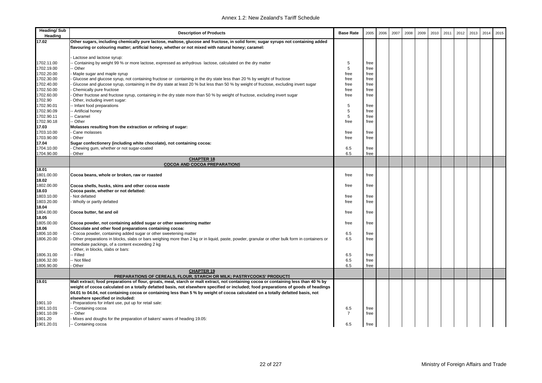| <b>Heading/Sub</b><br>Heading | <b>Description of Products</b>                                                                                                                | <b>Base Rate</b> | 2005         | 2006 | 2007 | 2008 | 2009 | 2010 | 2011 | 2012 | 2013 | 2014 | 2015 |
|-------------------------------|-----------------------------------------------------------------------------------------------------------------------------------------------|------------------|--------------|------|------|------|------|------|------|------|------|------|------|
| 17.02                         | Other sugars, including chemically pure lactose, maltose, glucose and fructose, in solid form; sugar syrups not containing added              |                  |              |      |      |      |      |      |      |      |      |      |      |
|                               | flavouring or colouring matter; artificial honey, whether or not mixed with natural honey; caramel:                                           |                  |              |      |      |      |      |      |      |      |      |      |      |
|                               |                                                                                                                                               |                  |              |      |      |      |      |      |      |      |      |      |      |
|                               | Lactose and lactose syrup:                                                                                                                    |                  |              |      |      |      |      |      |      |      |      |      |      |
| 1702.11.00                    | Containing by weight 99 % or more lactose, expressed as anhydrous lactose, calculated on the dry matter                                       | 5                | free         |      |      |      |      |      |      |      |      |      |      |
| 1702.19.00<br>1702.20.00      | - Other<br>Maple sugar and maple syrup                                                                                                        | 5<br>free        | free<br>free |      |      |      |      |      |      |      |      |      |      |
| 1702.30.00                    | Glucose and glucose syrup, not containing fructose or containing in the dry state less than 20 % by weight of fructose                        | free             | free         |      |      |      |      |      |      |      |      |      |      |
| 1702.40.00                    | Glucose and glucose syrup, containing in the dry state at least 20 % but less than 50 % by weight of fructose, excluding invert sugar         | free             | free         |      |      |      |      |      |      |      |      |      |      |
| 1702.50.00                    | Chemically pure fructose                                                                                                                      | free             | free         |      |      |      |      |      |      |      |      |      |      |
| 1702.60.00                    | Other fructose and fructose syrup, containing in the dry state more than 50 % by weight of fructose, excluding invert sugar                   | free             | free         |      |      |      |      |      |      |      |      |      |      |
| 1702.90                       | Other, including invert sugar:                                                                                                                |                  |              |      |      |      |      |      |      |      |      |      |      |
| 1702.90.01                    | - Infant food preparations                                                                                                                    | 5                | free         |      |      |      |      |      |      |      |      |      |      |
| 1702.90.09                    | - Artificial honey                                                                                                                            | 5                | free         |      |      |      |      |      |      |      |      |      |      |
| 1702.90.11                    | - Caramel                                                                                                                                     | 5                | free         |      |      |      |      |      |      |      |      |      |      |
| 1702.90.18                    | - Other                                                                                                                                       | free             | free         |      |      |      |      |      |      |      |      |      |      |
| 17.03                         | Molasses resulting from the extraction or refining of sugar:                                                                                  |                  |              |      |      |      |      |      |      |      |      |      |      |
| 1703.10.00                    | Cane molasses                                                                                                                                 | free             | free         |      |      |      |      |      |      |      |      |      |      |
| 1703.90.00                    | Other                                                                                                                                         | free             | free         |      |      |      |      |      |      |      |      |      |      |
| 17.04                         | Sugar confectionery (including white chocolate), not containing cocoa:                                                                        |                  |              |      |      |      |      |      |      |      |      |      |      |
| 1704.10.00                    | Chewing gum, whether or not sugar-coated                                                                                                      | 6.5              | free         |      |      |      |      |      |      |      |      |      |      |
| 1704.90.00                    | Other                                                                                                                                         | 6.5              | free         |      |      |      |      |      |      |      |      |      |      |
|                               | <b>CHAPTER 18</b>                                                                                                                             |                  |              |      |      |      |      |      |      |      |      |      |      |
|                               | <b>COCOA AND COCOA PREPARATIONS</b>                                                                                                           |                  |              |      |      |      |      |      |      |      |      |      |      |
| 18.01<br>1801.00.00           |                                                                                                                                               |                  |              |      |      |      |      |      |      |      |      |      |      |
|                               | Cocoa beans, whole or broken, raw or roasted                                                                                                  | free             | free         |      |      |      |      |      |      |      |      |      |      |
| 18.02<br>1802.00.00           | Cocoa shells, husks, skins and other cocoa waste                                                                                              | free             | free         |      |      |      |      |      |      |      |      |      |      |
| 18.03                         | Cocoa paste, whether or not defatted:                                                                                                         |                  |              |      |      |      |      |      |      |      |      |      |      |
| 1803.10.00                    | Not defatted                                                                                                                                  | free             | free         |      |      |      |      |      |      |      |      |      |      |
| 1803.20.00                    | Wholly or partly defatted                                                                                                                     | free             | free         |      |      |      |      |      |      |      |      |      |      |
| 18.04                         |                                                                                                                                               |                  |              |      |      |      |      |      |      |      |      |      |      |
| 1804.00.00                    | Cocoa butter, fat and oil                                                                                                                     | free             | free         |      |      |      |      |      |      |      |      |      |      |
| 18.05                         |                                                                                                                                               |                  |              |      |      |      |      |      |      |      |      |      |      |
| 1805.00.00                    | Cocoa powder, not containing added sugar or other sweetening matter                                                                           | free             | free         |      |      |      |      |      |      |      |      |      |      |
| 18.06                         | Chocolate and other food preparations containing cocoa:                                                                                       |                  |              |      |      |      |      |      |      |      |      |      |      |
| 1806.10.00                    | Cocoa powder, containing added sugar or other sweetening matter                                                                               | 6.5              | free         |      |      |      |      |      |      |      |      |      |      |
| 1806.20.00                    | Other preparations in blocks, slabs or bars weighing more than 2 kg or in liquid, paste, powder, granular or other bulk form in containers or | 6.5              | free         |      |      |      |      |      |      |      |      |      |      |
|                               | mmediate packings, of a content exceeding 2 kg                                                                                                |                  |              |      |      |      |      |      |      |      |      |      |      |
|                               | Other, in blocks, slabs or bars:                                                                                                              |                  |              |      |      |      |      |      |      |      |      |      |      |
| 1806.31.00                    | - Filled                                                                                                                                      | 6.5              | free         |      |      |      |      |      |      |      |      |      |      |
| 1806.32.00                    | - Not filled                                                                                                                                  | 6.5              | free         |      |      |      |      |      |      |      |      |      |      |
| 1806.90.00                    | Other                                                                                                                                         | 6.5              | free         |      |      |      |      |      |      |      |      |      |      |
|                               | <b>CHAPTER 19</b><br>PREPARATIONS OF CEREALS, FLOUR, STARCH OR MILK; PASTRYCOOKS' PRODUCTS                                                    |                  |              |      |      |      |      |      |      |      |      |      |      |
| 19.01                         | Malt extract; food preparations of flour, groats, meal, starch or malt extract, not containing cocoa or containing less than 40 % by          |                  |              |      |      |      |      |      |      |      |      |      |      |
|                               | weight of cocoa calculated on a totally defatted basis, not elsewhere specified or included; food preparations of goods of headings           |                  |              |      |      |      |      |      |      |      |      |      |      |
|                               | 04.01 to 04.04, not containing cocoa or containing less than 5 % by weight of cocoa calculated on a totally defatted basis, not               |                  |              |      |      |      |      |      |      |      |      |      |      |
|                               | elsewhere specified or included:                                                                                                              |                  |              |      |      |      |      |      |      |      |      |      |      |
| 1901.10                       | Preparations for infant use, put up for retail sale:                                                                                          |                  |              |      |      |      |      |      |      |      |      |      |      |
| 1901.10.01                    | - Containing cocoa                                                                                                                            | 6.5              | free         |      |      |      |      |      |      |      |      |      |      |
| 1901.10.09                    | Other                                                                                                                                         | $\overline{7}$   | free         |      |      |      |      |      |      |      |      |      |      |
| 1901.20                       | Mixes and doughs for the preparation of bakers' wares of heading 19.05:                                                                       |                  |              |      |      |      |      |      |      |      |      |      |      |
| 1901.20.01                    | -- Containing cocoa                                                                                                                           | 6.5              | free         |      |      |      |      |      |      |      |      |      |      |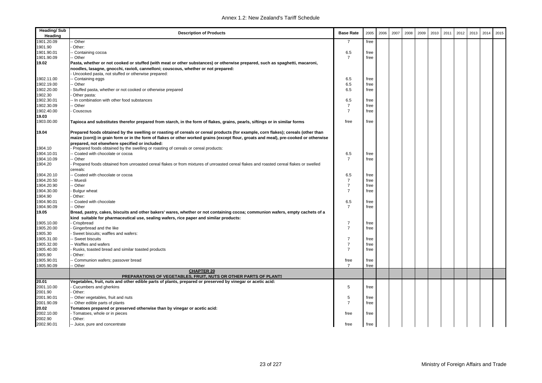| <b>Heading/Sub</b><br>Heading | <b>Description of Products</b>                                                                                                                                                                                                                                                                                              | <b>Base Rate</b> | 2005         | 2006 | 2007 | 2008 | 2009 | 2010 | 2011 | 2012 | 2013 | 2014 | 2015 |
|-------------------------------|-----------------------------------------------------------------------------------------------------------------------------------------------------------------------------------------------------------------------------------------------------------------------------------------------------------------------------|------------------|--------------|------|------|------|------|------|------|------|------|------|------|
| 1901.20.09                    | Other                                                                                                                                                                                                                                                                                                                       | 7                | free         |      |      |      |      |      |      |      |      |      |      |
| 1901.90                       | Other:                                                                                                                                                                                                                                                                                                                      |                  |              |      |      |      |      |      |      |      |      |      |      |
| 1901.90.01                    | Containing cocoa                                                                                                                                                                                                                                                                                                            | 6.5              | free         |      |      |      |      |      |      |      |      |      |      |
| 1901.90.09                    | - Other                                                                                                                                                                                                                                                                                                                     | $\overline{7}$   | free         |      |      |      |      |      |      |      |      |      |      |
| 19.02                         | Pasta, whether or not cooked or stuffed (with meat or other substances) or otherwise prepared, such as spaghetti, macaroni,                                                                                                                                                                                                 |                  |              |      |      |      |      |      |      |      |      |      |      |
|                               | noodles, lasagne, gnocchi, ravioli, cannelloni; couscous, whether or not prepared:                                                                                                                                                                                                                                          |                  |              |      |      |      |      |      |      |      |      |      |      |
|                               | Uncooked pasta, not stuffed or otherwise prepared:                                                                                                                                                                                                                                                                          |                  |              |      |      |      |      |      |      |      |      |      |      |
| 1902.11.00                    | Containing eggs                                                                                                                                                                                                                                                                                                             | 6.5              | free         |      |      |      |      |      |      |      |      |      |      |
| 1902.19.00                    | - Other                                                                                                                                                                                                                                                                                                                     | 6.5              | free         |      |      |      |      |      |      |      |      |      |      |
| 1902.20.00                    | Stuffed pasta, whether or not cooked or otherwise prepared                                                                                                                                                                                                                                                                  | 6.5              | free         |      |      |      |      |      |      |      |      |      |      |
| 1902.30<br>1902.30.01         | Other pasta:                                                                                                                                                                                                                                                                                                                | 6.5              |              |      |      |      |      |      |      |      |      |      |      |
| 1902.30.09                    | - In combination with other food substances<br>- Other                                                                                                                                                                                                                                                                      | $\overline{7}$   | free<br>free |      |      |      |      |      |      |      |      |      |      |
| 1902.40.00                    | Couscous                                                                                                                                                                                                                                                                                                                    | $\overline{7}$   | free         |      |      |      |      |      |      |      |      |      |      |
| 19.03                         |                                                                                                                                                                                                                                                                                                                             |                  |              |      |      |      |      |      |      |      |      |      |      |
| 1903.00.00                    | Tapioca and substitutes therefor prepared from starch, in the form of flakes, grains, pearls, siftings or in similar forms                                                                                                                                                                                                  | free             | free         |      |      |      |      |      |      |      |      |      |      |
| 19.04                         | Prepared foods obtained by the swelling or roasting of cereals or cereal products (for example, corn flakes); cereals (other than<br>maize (corn)) in grain form or in the form of flakes or other worked grains (except flour, groats and meal), pre-cooked or otherwise<br>prepared, not elsewhere specified or included: |                  |              |      |      |      |      |      |      |      |      |      |      |
| 1904.10                       | Prepared foods obtained by the swelling or roasting of cereals or cereal products:                                                                                                                                                                                                                                          |                  |              |      |      |      |      |      |      |      |      |      |      |
| 1904.10.01                    | Coated with chocolate or cocoa                                                                                                                                                                                                                                                                                              | 6.5              | free         |      |      |      |      |      |      |      |      |      |      |
| 1904.10.09                    | Other                                                                                                                                                                                                                                                                                                                       | $\overline{7}$   | free         |      |      |      |      |      |      |      |      |      |      |
| 1904.20                       | Prepared foods obtained from unroasted cereal flakes or from mixtures of unroasted cereal flakes and roasted cereal flakes or swelled                                                                                                                                                                                       |                  |              |      |      |      |      |      |      |      |      |      |      |
|                               | cereals:                                                                                                                                                                                                                                                                                                                    |                  |              |      |      |      |      |      |      |      |      |      |      |
| 1904.20.10                    | Coated with chocolate or cocoa                                                                                                                                                                                                                                                                                              | 6.5              | free         |      |      |      |      |      |      |      |      |      |      |
| 1904.20.50                    | · Muesli                                                                                                                                                                                                                                                                                                                    | $\overline{7}$   | free         |      |      |      |      |      |      |      |      |      |      |
| 1904.20.90                    | Other                                                                                                                                                                                                                                                                                                                       | $\overline{7}$   | free         |      |      |      |      |      |      |      |      |      |      |
| 1904.30.00                    | <b>Bulgur</b> wheat                                                                                                                                                                                                                                                                                                         | $\overline{7}$   | free         |      |      |      |      |      |      |      |      |      |      |
| 1904.90                       | Other:                                                                                                                                                                                                                                                                                                                      |                  |              |      |      |      |      |      |      |      |      |      |      |
| 1904.90.01                    | Coated with chocolate                                                                                                                                                                                                                                                                                                       | 6.5              | free         |      |      |      |      |      |      |      |      |      |      |
| 1904.90.09                    | - Other                                                                                                                                                                                                                                                                                                                     | $\overline{7}$   | free         |      |      |      |      |      |      |      |      |      |      |
| 19.05                         | Bread, pastry, cakes, biscuits and other bakers' wares, whether or not containing cocoa; communion wafers, empty cachets of a                                                                                                                                                                                               |                  |              |      |      |      |      |      |      |      |      |      |      |
|                               | kind suitable for pharmaceutical use, sealing wafers, rice paper and similar products:                                                                                                                                                                                                                                      |                  |              |      |      |      |      |      |      |      |      |      |      |
| 1905.10.00                    | Crispbread                                                                                                                                                                                                                                                                                                                  | $\overline{7}$   | free         |      |      |      |      |      |      |      |      |      |      |
| 1905.20.00                    | Gingerbread and the like                                                                                                                                                                                                                                                                                                    | $\overline{7}$   | free         |      |      |      |      |      |      |      |      |      |      |
| 1905.30                       | Sweet biscuits; waffles and wafers:                                                                                                                                                                                                                                                                                         |                  |              |      |      |      |      |      |      |      |      |      |      |
| 1905.31.00                    | - Sweet biscuits                                                                                                                                                                                                                                                                                                            | $\overline{7}$   | free         |      |      |      |      |      |      |      |      |      |      |
| 1905.32.00                    | - Waffles and wafers                                                                                                                                                                                                                                                                                                        | $\overline{7}$   | free         |      |      |      |      |      |      |      |      |      |      |
| 1905.40.00                    | Rusks, toasted bread and similar toasted products                                                                                                                                                                                                                                                                           | $\overline{7}$   | free         |      |      |      |      |      |      |      |      |      |      |
| 1905.90                       | Other:                                                                                                                                                                                                                                                                                                                      |                  |              |      |      |      |      |      |      |      |      |      |      |
| 1905.90.01                    | Communion wafers; passover bread                                                                                                                                                                                                                                                                                            | free             | free         |      |      |      |      |      |      |      |      |      |      |
| 1905.90.09                    | - Other                                                                                                                                                                                                                                                                                                                     | $\overline{7}$   | free         |      |      |      |      |      |      |      |      |      |      |
|                               | <b>CHAPTER 20</b><br>PREPARATIONS OF VEGETABLES, FRUIT, NUTS OR OTHER PARTS OF PLANTS                                                                                                                                                                                                                                       |                  |              |      |      |      |      |      |      |      |      |      |      |
| 20.01                         | Vegetables, fruit, nuts and other edible parts of plants, prepared or preserved by vinegar or acetic acid:                                                                                                                                                                                                                  |                  |              |      |      |      |      |      |      |      |      |      |      |
| 2001.10.00                    | Cucumbers and gherkins                                                                                                                                                                                                                                                                                                      | 5                | free         |      |      |      |      |      |      |      |      |      |      |
| 2001.90                       | Other:                                                                                                                                                                                                                                                                                                                      |                  |              |      |      |      |      |      |      |      |      |      |      |
| 2001.90.01                    | - Other vegetables, fruit and nuts                                                                                                                                                                                                                                                                                          | 5                | free         |      |      |      |      |      |      |      |      |      |      |
| 2001.90.09                    | - Other edible parts of plants                                                                                                                                                                                                                                                                                              | $\overline{7}$   | free         |      |      |      |      |      |      |      |      |      |      |
| 20.02                         | Tomatoes prepared or preserved otherwise than by vinegar or acetic acid:                                                                                                                                                                                                                                                    |                  |              |      |      |      |      |      |      |      |      |      |      |
| 2002.10.00                    | Tomatoes, whole or in pieces                                                                                                                                                                                                                                                                                                | free             | free         |      |      |      |      |      |      |      |      |      |      |
| 2002.90                       | Other:                                                                                                                                                                                                                                                                                                                      |                  |              |      |      |      |      |      |      |      |      |      |      |
| 2002.90.01                    | -- Juice, pure and concentrate                                                                                                                                                                                                                                                                                              | free             | free         |      |      |      |      |      |      |      |      |      |      |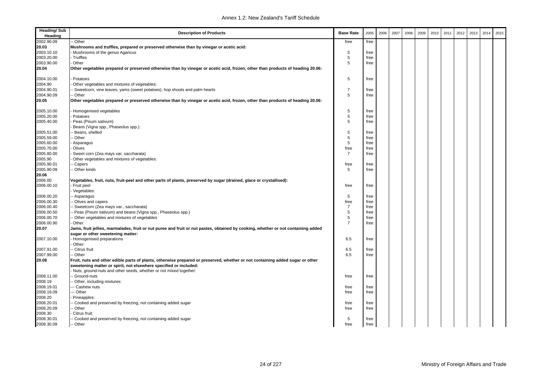| <b>Heading/Sub</b><br>Heading | <b>Description of Products</b>                                                                                                                                                                     | <b>Base Rate</b> | 2005 | 2006 | 2007 | 2008 | 2009 | 2010 | 2011 | 2012 | 2013 | 2014 | 2015 |
|-------------------------------|----------------------------------------------------------------------------------------------------------------------------------------------------------------------------------------------------|------------------|------|------|------|------|------|------|------|------|------|------|------|
| 2002.90.09                    | - Other                                                                                                                                                                                            | free             | free |      |      |      |      |      |      |      |      |      |      |
| 20.03                         | Mushrooms and truffles, prepared or preserved otherwise than by vinegar or acetic acid:                                                                                                            |                  |      |      |      |      |      |      |      |      |      |      |      |
| 2003.10.10                    | Mushrooms of the genus Agaricus                                                                                                                                                                    | 5                | free |      |      |      |      |      |      |      |      |      |      |
| 2003.20.00                    | Truffles                                                                                                                                                                                           | 5                | free |      |      |      |      |      |      |      |      |      |      |
| 2003.90.00                    | Other                                                                                                                                                                                              | 5                | free |      |      |      |      |      |      |      |      |      |      |
| 20.04                         | Other vegetables prepared or preserved otherwise than by vinegar or acetic acid, frozen, other than products of heading 20.06:                                                                     |                  |      |      |      |      |      |      |      |      |      |      |      |
| 2004.10.00                    | Potatoes                                                                                                                                                                                           | 5                | free |      |      |      |      |      |      |      |      |      |      |
| 2004.90                       | Other vegetables and mixtures of vegetables:                                                                                                                                                       |                  |      |      |      |      |      |      |      |      |      |      |      |
| 2004.90.01                    | Sweetcorn, vine leaves, yams (sweet potatoes), hop shoots and palm hearts                                                                                                                          | $\overline{7}$   | free |      |      |      |      |      |      |      |      |      |      |
| 2004.90.09                    | - Other                                                                                                                                                                                            | 5                | free |      |      |      |      |      |      |      |      |      |      |
| 20.05                         | Other vegetables prepared or preserved otherwise than by vinegar or acetic acid, frozen, other than products of heading 20.06:                                                                     |                  |      |      |      |      |      |      |      |      |      |      |      |
| 2005.10.00                    | Homogenised vegetables                                                                                                                                                                             | 5                | free |      |      |      |      |      |      |      |      |      |      |
| 2005.20.00                    | Potatoes                                                                                                                                                                                           | 5                | free |      |      |      |      |      |      |      |      |      |      |
| 2005.40.00                    | Peas (Pisum sativum)                                                                                                                                                                               | 5                | free |      |      |      |      |      |      |      |      |      |      |
|                               | Beans (Vigna spp., Phaseolus spp.):                                                                                                                                                                |                  |      |      |      |      |      |      |      |      |      |      |      |
| 2005.51.00                    | Beans, shelled                                                                                                                                                                                     | 5                | free |      |      |      |      |      |      |      |      |      |      |
| 2005.59.00                    | - Other                                                                                                                                                                                            | $\,$ 5 $\,$      | free |      |      |      |      |      |      |      |      |      |      |
| 2005.60.00                    | Asparagus                                                                                                                                                                                          | 5                | free |      |      |      |      |      |      |      |      |      |      |
| 2005.70.00                    | Olives                                                                                                                                                                                             | free             | free |      |      |      |      |      |      |      |      |      |      |
| 2005.80.00                    | Sweet corn (Zea mays var. saccharata)                                                                                                                                                              | $\overline{7}$   | free |      |      |      |      |      |      |      |      |      |      |
| 2005.90                       | Other vegetables and mixtures of vegetables:                                                                                                                                                       |                  |      |      |      |      |      |      |      |      |      |      |      |
| 2005.90.01                    | - Capers                                                                                                                                                                                           | free             | free |      |      |      |      |      |      |      |      |      |      |
| 2005.90.09                    | - Other kinds                                                                                                                                                                                      | 5                | free |      |      |      |      |      |      |      |      |      |      |
| 20.06                         |                                                                                                                                                                                                    |                  |      |      |      |      |      |      |      |      |      |      |      |
| 2006.00                       | Vegetables, fruit, nuts, fruit-peel and other parts of plants, preserved by sugar (drained, glace or crystallised):                                                                                |                  |      |      |      |      |      |      |      |      |      |      |      |
| 2006.00.10                    | Fruit peel                                                                                                                                                                                         | free             | free |      |      |      |      |      |      |      |      |      |      |
|                               | Vegetables:                                                                                                                                                                                        |                  |      |      |      |      |      |      |      |      |      |      |      |
| 2006.00.20                    | -- Asparagus                                                                                                                                                                                       | 5                | free |      |      |      |      |      |      |      |      |      |      |
| 2006.00.30                    | - Olives and capers                                                                                                                                                                                | free             | free |      |      |      |      |      |      |      |      |      |      |
| 2006.00.40                    | - Sweetcorn (Zea mays var., saccharata)                                                                                                                                                            | $\overline{7}$   | free |      |      |      |      |      |      |      |      |      |      |
| 2006.00.50                    |                                                                                                                                                                                                    | 5                |      |      |      |      |      |      |      |      |      |      |      |
| 2006.00.70                    | - Peas (Pisum sativum) and beans (Vigna spp., Phaseolus spp.)                                                                                                                                      | 5                | free |      |      |      |      |      |      |      |      |      |      |
|                               | - Other vegetables and mixtures of vegetables                                                                                                                                                      | $\overline{7}$   | free |      |      |      |      |      |      |      |      |      |      |
| 2006.00.90                    | Other                                                                                                                                                                                              |                  | free |      |      |      |      |      |      |      |      |      |      |
| 20.07                         | Jams, fruit jellies, marmalades, fruit or nut puree and fruit or nut pastes, obtained by cooking, whether or not containing added                                                                  |                  |      |      |      |      |      |      |      |      |      |      |      |
|                               | sugar or other sweetening matter:                                                                                                                                                                  |                  |      |      |      |      |      |      |      |      |      |      |      |
| 2007.10.00                    | Homogenised preparations                                                                                                                                                                           | 6.5              | free |      |      |      |      |      |      |      |      |      |      |
|                               | Other:                                                                                                                                                                                             |                  |      |      |      |      |      |      |      |      |      |      |      |
| 2007.91.00                    | - Citrus fruit                                                                                                                                                                                     | 6.5              | free |      |      |      |      |      |      |      |      |      |      |
| 2007.99.00                    | - Other                                                                                                                                                                                            | 6.5              | free |      |      |      |      |      |      |      |      |      |      |
| 20.08                         | Fruit, nuts and other edible parts of plants, otherwise prepared or preserved, whether or not containing added sugar or other<br>sweetening matter or spirit, not elsewhere specified or included: |                  |      |      |      |      |      |      |      |      |      |      |      |
|                               | Nuts, ground-nuts and other seeds, whether or not mixed together:                                                                                                                                  |                  |      |      |      |      |      |      |      |      |      |      |      |
| 2008.11.00                    | - Ground-nuts                                                                                                                                                                                      | free             | free |      |      |      |      |      |      |      |      |      |      |
| 2008.19                       | - Other, including mixtures:                                                                                                                                                                       |                  |      |      |      |      |      |      |      |      |      |      |      |
| 2008.19.01                    | - Cashew nuts                                                                                                                                                                                      | free             | free |      |      |      |      |      |      |      |      |      |      |
| 2008.19.09                    | -- Other                                                                                                                                                                                           | free             | free |      |      |      |      |      |      |      |      |      |      |
| 2008.20                       | Pineapples:                                                                                                                                                                                        |                  |      |      |      |      |      |      |      |      |      |      |      |
| 2008.20.01                    | Cooked and preserved by freezing, not containing added sugar                                                                                                                                       | free             | free |      |      |      |      |      |      |      |      |      |      |
| 2008.20.09                    | - Other                                                                                                                                                                                            | free             | free |      |      |      |      |      |      |      |      |      |      |
| 2008.30                       | Citrus fruit:                                                                                                                                                                                      |                  |      |      |      |      |      |      |      |      |      |      |      |
| 2008.30.01                    | - Cooked and preserved by freezing, not containing added sugar                                                                                                                                     | 5                | free |      |      |      |      |      |      |      |      |      |      |
| 2008.30.09                    | -- Other                                                                                                                                                                                           | free             | free |      |      |      |      |      |      |      |      |      |      |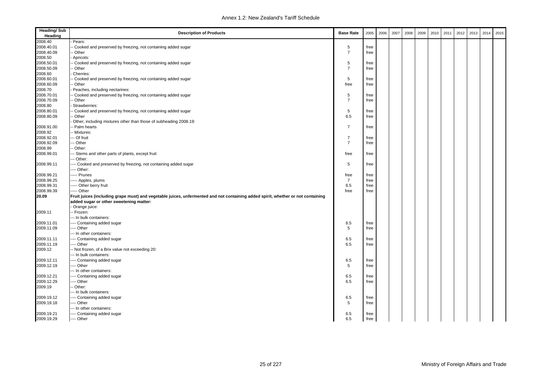| Heading<br>2008.40<br>Pears:<br>2008.40.01<br>Cooked and preserved by freezing, not containing added sugar<br>5<br>free<br>2008.40.09<br>$\overline{7}$<br>Other<br>free |  |
|--------------------------------------------------------------------------------------------------------------------------------------------------------------------------|--|
|                                                                                                                                                                          |  |
|                                                                                                                                                                          |  |
|                                                                                                                                                                          |  |
| 2008.50<br>Apricots:                                                                                                                                                     |  |
| 2008.50.01<br>Cooked and preserved by freezing, not containing added sugar<br>5<br>free                                                                                  |  |
| 2008.50.09<br>Other<br>$\overline{7}$<br>free                                                                                                                            |  |
| 2008.60<br>Cherries:                                                                                                                                                     |  |
| 2008.60.01<br>Cooked and preserved by freezing, not containing added sugar<br>5<br>free                                                                                  |  |
| 2008.60.09<br>Other<br>free<br>free                                                                                                                                      |  |
| 2008.70<br>Peaches, including nectarines:                                                                                                                                |  |
| 2008.70.01<br>Cooked and preserved by freezing, not containing added sugar<br>5<br>free                                                                                  |  |
| 2008.70.09<br>Other<br>$\overline{7}$<br>free                                                                                                                            |  |
| 2008.80<br>Strawberries:                                                                                                                                                 |  |
| 2008.80.01<br>Cooked and preserved by freezing, not containing added sugar<br>5<br>free                                                                                  |  |
| 2008.80.09<br>6.5<br>Other<br>free                                                                                                                                       |  |
| Other, including mixtures other than those of subheading 2008.19:                                                                                                        |  |
| 2008.91.00<br>$\overline{7}$<br>Palm hearts<br>free                                                                                                                      |  |
| 2008.92<br>- Mixtures:                                                                                                                                                   |  |
| 2008.92.01<br>-- Of fruit<br>$\overline{7}$<br>free                                                                                                                      |  |
| -- Other<br>$\overline{7}$<br>2008.92.09<br>free                                                                                                                         |  |
| 2008.99<br>Other:                                                                                                                                                        |  |
| 2008.99.01<br>-- Stems and other parts of plants, except fruit<br>free<br>free                                                                                           |  |
| -- Other:                                                                                                                                                                |  |
| 2008.99.11<br>--- Cooked and preserved by freezing, not containing added sugar<br>5<br>free                                                                              |  |
| --- Other:                                                                                                                                                               |  |
| 2008.99.21<br>---- Prunes<br>free<br>free                                                                                                                                |  |
| 2008.99.25<br>----- Apples, plums<br>$\overline{7}$<br>free                                                                                                              |  |
| 2008.99.31<br>----- Other berry fruit<br>6.5<br>free                                                                                                                     |  |
| 2008.99.39<br>---- Other<br>free<br>free                                                                                                                                 |  |
| 20.09<br>Fruit juices (including grape must) and vegetable juices, unfermented and not containing added spirit, whether or not containing                                |  |
| added sugar or other sweetening matter:                                                                                                                                  |  |
| Orange juice:                                                                                                                                                            |  |
| 2009.11<br>- Frozen:                                                                                                                                                     |  |
| --- In bulk containers:                                                                                                                                                  |  |
| 2009.11.01<br>--- Containing added sugar<br>6.5<br>free                                                                                                                  |  |
| 2009.11.09<br>--- Other<br>5<br>free                                                                                                                                     |  |
| -- In other containers:                                                                                                                                                  |  |
| 6.5<br>2009.11.11<br>--- Containing added sugar<br>free                                                                                                                  |  |
| 2009.11.19<br>6.5<br>--- Other<br>free                                                                                                                                   |  |
| 2009.12<br>Not frozen, of a Brix value not exceeding 20:                                                                                                                 |  |
| -- In bulk containers:                                                                                                                                                   |  |
| 2009.12.11<br>---- Containing added sugar<br>6.5<br>free                                                                                                                 |  |
| 2009.12.19<br>--- Other<br>5<br>free                                                                                                                                     |  |
| -- In other containers:                                                                                                                                                  |  |
| 2009.12.21<br>---- Containing added sugar<br>6.5<br>free                                                                                                                 |  |
| 2009.12.29<br>6.5<br>-- Other<br>free                                                                                                                                    |  |
| 2009.19<br>Other:                                                                                                                                                        |  |
| -- In bulk containers:                                                                                                                                                   |  |
| 2009.19.12<br>---- Containing added sugar<br>6.5<br>free                                                                                                                 |  |
| 2009.19.18<br>--- Other<br>5<br>free                                                                                                                                     |  |
| --- In other containers:                                                                                                                                                 |  |
| 2009.19.21<br>---- Containing added sugar<br>6.5                                                                                                                         |  |
| free<br>2009.19.29<br>---- Other<br>6.5<br>free                                                                                                                          |  |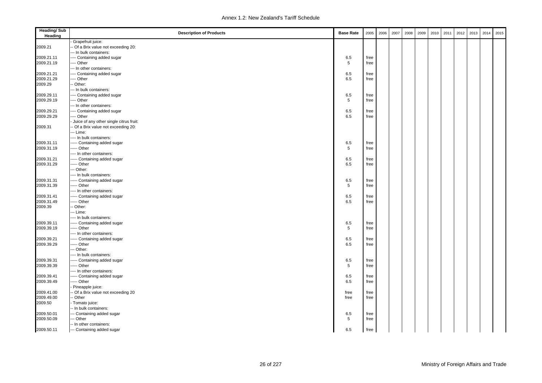| <b>Heading/Sub</b><br>Heading | <b>Description of Products</b>          | <b>Base Rate</b> | 2005 | 2006 | 2007 | 2008 | 2009 | 2010 | 2011 | 2012 | 2013 | 2014 | 2015 |
|-------------------------------|-----------------------------------------|------------------|------|------|------|------|------|------|------|------|------|------|------|
|                               | Grapefruit juice:                       |                  |      |      |      |      |      |      |      |      |      |      |      |
| 2009.21                       | - Of a Brix value not exceeding 20:     |                  |      |      |      |      |      |      |      |      |      |      |      |
|                               | --- In bulk containers:                 |                  |      |      |      |      |      |      |      |      |      |      |      |
| 2009.21.11                    | ---- Containing added sugar             | 6.5              | free |      |      |      |      |      |      |      |      |      |      |
| 2009.21.19                    | ---- Other                              | 5                | free |      |      |      |      |      |      |      |      |      |      |
|                               | --- In other containers:                |                  |      |      |      |      |      |      |      |      |      |      |      |
| 2009.21.21                    | ---- Containing added sugar             | 6.5              | free |      |      |      |      |      |      |      |      |      |      |
| 2009.21.29                    | ---- Other                              | 6.5              | free |      |      |      |      |      |      |      |      |      |      |
| 2009.29                       | - Other:                                |                  |      |      |      |      |      |      |      |      |      |      |      |
|                               | --- In bulk containers:                 |                  |      |      |      |      |      |      |      |      |      |      |      |
| 2009.29.11                    | ---- Containing added sugar             | 6.5              | free |      |      |      |      |      |      |      |      |      |      |
| 2009.29.19                    | ---- Other                              | 5                | free |      |      |      |      |      |      |      |      |      |      |
|                               | --- In other containers:                |                  |      |      |      |      |      |      |      |      |      |      |      |
| 2009.29.21                    | ---- Containing added sugar             | 6.5              | free |      |      |      |      |      |      |      |      |      |      |
| 2009.29.29                    | ---- Other                              | 6.5              | free |      |      |      |      |      |      |      |      |      |      |
|                               | Juice of any other single citrus fruit: |                  |      |      |      |      |      |      |      |      |      |      |      |
| 2009.31                       | -- Of a Brix value not exceeding 20:    |                  |      |      |      |      |      |      |      |      |      |      |      |
|                               | --- Lime:                               |                  |      |      |      |      |      |      |      |      |      |      |      |
|                               | ---- In bulk containers:                |                  |      |      |      |      |      |      |      |      |      |      |      |
| 2009.31.11                    | ----- Containing added sugar            | 6.5              | free |      |      |      |      |      |      |      |      |      |      |
| 2009.31.19                    | ----- Other                             | 5                | free |      |      |      |      |      |      |      |      |      |      |
|                               | ---- In other containers:               |                  |      |      |      |      |      |      |      |      |      |      |      |
| 2009.31.21                    | ----- Containing added sugar            | 6.5              | free |      |      |      |      |      |      |      |      |      |      |
| 2009.31.29                    | ----- Other                             | 6.5              | free |      |      |      |      |      |      |      |      |      |      |
|                               | --- Other:                              |                  |      |      |      |      |      |      |      |      |      |      |      |
|                               | ---- In bulk containers:                |                  |      |      |      |      |      |      |      |      |      |      |      |
| 2009.31.31                    | ----- Containing added sugar            | 6.5              | free |      |      |      |      |      |      |      |      |      |      |
| 2009.31.39                    | ----- Other                             | 5                | free |      |      |      |      |      |      |      |      |      |      |
|                               | ---- In other containers:               |                  |      |      |      |      |      |      |      |      |      |      |      |
| 2009.31.41                    | ----- Containing added sugar            | 6.5              | free |      |      |      |      |      |      |      |      |      |      |
| 2009.31.49                    | ---- Other                              | 6.5              | free |      |      |      |      |      |      |      |      |      |      |
| 2009.39                       | -- Other:                               |                  |      |      |      |      |      |      |      |      |      |      |      |
|                               | --- Lime:                               |                  |      |      |      |      |      |      |      |      |      |      |      |
|                               | ---- In bulk containers:                |                  |      |      |      |      |      |      |      |      |      |      |      |
| 2009.39.11                    | ----- Containing added sugar            | 6.5              | free |      |      |      |      |      |      |      |      |      |      |
| 2009.39.19                    | ----- Other                             | 5                | free |      |      |      |      |      |      |      |      |      |      |
|                               | ---- In other containers:               |                  |      |      |      |      |      |      |      |      |      |      |      |
| 2009.39.21                    | ----- Containing added sugar            | 6.5              | free |      |      |      |      |      |      |      |      |      |      |
| 2009.39.29                    | ---- Other                              | 6.5              | free |      |      |      |      |      |      |      |      |      |      |
|                               | --- Other:                              |                  |      |      |      |      |      |      |      |      |      |      |      |
|                               | ---- In bulk containers:                |                  |      |      |      |      |      |      |      |      |      |      |      |
| 2009.39.31                    | ----- Containing added sugar            | 6.5              | free |      |      |      |      |      |      |      |      |      |      |
| 2009.39.39                    | ----- Other                             | 5                | free |      |      |      |      |      |      |      |      |      |      |
|                               | ---- In other containers:               |                  |      |      |      |      |      |      |      |      |      |      |      |
| 2009.39.41                    | ----- Containing added sugar            | 6.5              | free |      |      |      |      |      |      |      |      |      |      |
| 2009.39.49                    | ---- Other                              | 6.5              | free |      |      |      |      |      |      |      |      |      |      |
|                               | Pineapple juice:                        |                  |      |      |      |      |      |      |      |      |      |      |      |
| 2009.41.00                    | - Of a Brix value not exceeding 20      | free             | free |      |      |      |      |      |      |      |      |      |      |
| 2009.49.00                    | - Other                                 | free             | free |      |      |      |      |      |      |      |      |      |      |
| 2009.50                       | Tomato juice:                           |                  |      |      |      |      |      |      |      |      |      |      |      |
|                               | -- In bulk containers:                  |                  |      |      |      |      |      |      |      |      |      |      |      |
|                               |                                         |                  |      |      |      |      |      |      |      |      |      |      |      |
| 2009.50.01                    | --- Containing added sugar              | 6.5              | free |      |      |      |      |      |      |      |      |      |      |
| 2009.50.09                    | --- Other                               | 5                | free |      |      |      |      |      |      |      |      |      |      |
|                               | -- In other containers:                 |                  |      |      |      |      |      |      |      |      |      |      |      |
| 2009.50.11                    | --- Containing added sugar              | 6.5              | free |      |      |      |      |      |      |      |      |      |      |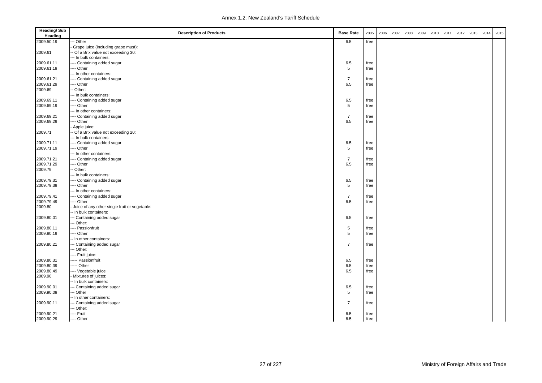| <b>Heading/Sub</b><br>Heading | <b>Description of Products</b>                | <b>Base Rate</b> | 2005 | 2006 | 2007 | 2008 | 2009 | 2010 | 2011 | 2012 | 2013 | 2014 | 2015 |
|-------------------------------|-----------------------------------------------|------------------|------|------|------|------|------|------|------|------|------|------|------|
| 2009.50.19                    | - Other                                       | 6.5              | free |      |      |      |      |      |      |      |      |      |      |
|                               | Grape juice (including grape must):           |                  |      |      |      |      |      |      |      |      |      |      |      |
| 2009.61                       | - Of a Brix value not exceeding 30:           |                  |      |      |      |      |      |      |      |      |      |      |      |
|                               | --- In bulk containers:                       |                  |      |      |      |      |      |      |      |      |      |      |      |
| 2009.61.11                    | ---- Containing added sugar                   | 6.5              | free |      |      |      |      |      |      |      |      |      |      |
| 2009.61.19                    | --- Other                                     | 5                | free |      |      |      |      |      |      |      |      |      |      |
|                               | --- In other containers:                      |                  |      |      |      |      |      |      |      |      |      |      |      |
| 2009.61.21                    | ---- Containing added sugar                   | $\overline{7}$   | free |      |      |      |      |      |      |      |      |      |      |
| 2009.61.29                    | --- Other                                     | 6.5              | free |      |      |      |      |      |      |      |      |      |      |
| 2009.69                       | - Other:                                      |                  |      |      |      |      |      |      |      |      |      |      |      |
|                               | --- In bulk containers:                       |                  |      |      |      |      |      |      |      |      |      |      |      |
| 2009.69.11                    | ---- Containing added sugar                   | 6.5              | free |      |      |      |      |      |      |      |      |      |      |
| 2009.69.19                    | ---- Other                                    | 5                | free |      |      |      |      |      |      |      |      |      |      |
|                               | --- In other containers:                      |                  |      |      |      |      |      |      |      |      |      |      |      |
| 2009.69.21                    | ---- Containing added sugar                   | $\overline{7}$   | free |      |      |      |      |      |      |      |      |      |      |
| 2009.69.29                    | ---- Other                                    | 6.5              | free |      |      |      |      |      |      |      |      |      |      |
|                               | Apple juice:                                  |                  |      |      |      |      |      |      |      |      |      |      |      |
| 2009.71                       | -- Of a Brix value not exceeding 20:          |                  |      |      |      |      |      |      |      |      |      |      |      |
|                               | --- In bulk containers:                       |                  |      |      |      |      |      |      |      |      |      |      |      |
| 2009.71.11                    | ---- Containing added sugar                   | 6.5              | free |      |      |      |      |      |      |      |      |      |      |
| 2009.71.19                    | ---- Other                                    | 5                | free |      |      |      |      |      |      |      |      |      |      |
|                               | --- In other containers:                      |                  |      |      |      |      |      |      |      |      |      |      |      |
| 2009.71.21                    | ---- Containing added sugar                   | $\overline{7}$   | free |      |      |      |      |      |      |      |      |      |      |
| 2009.71.29                    | ---- Other                                    | 6.5              | free |      |      |      |      |      |      |      |      |      |      |
| 2009.79                       | -- Other:                                     |                  |      |      |      |      |      |      |      |      |      |      |      |
|                               | --- In bulk containers:                       |                  |      |      |      |      |      |      |      |      |      |      |      |
| 2009.79.31                    | ---- Containing added sugar                   | 6.5              | free |      |      |      |      |      |      |      |      |      |      |
| 2009.79.39                    | ---- Other                                    | 5                | free |      |      |      |      |      |      |      |      |      |      |
|                               | --- In other containers:                      |                  |      |      |      |      |      |      |      |      |      |      |      |
| 2009.79.41                    | ---- Containing added sugar                   | $\overline{7}$   | free |      |      |      |      |      |      |      |      |      |      |
| 2009.79.49                    | ---- Other                                    | 6.5              | free |      |      |      |      |      |      |      |      |      |      |
| 2009.80                       | Juice of any other single fruit or vegetable: |                  |      |      |      |      |      |      |      |      |      |      |      |
|                               | -- In bulk containers:                        |                  |      |      |      |      |      |      |      |      |      |      |      |
| 2009.80.01                    | --- Containing added sugar                    | 6.5              | free |      |      |      |      |      |      |      |      |      |      |
|                               | --- Other:                                    |                  |      |      |      |      |      |      |      |      |      |      |      |
| 2009.80.11                    | ---- Passionfruit                             | 5                | free |      |      |      |      |      |      |      |      |      |      |
| 2009.80.19                    | ---- Other                                    | 5                | free |      |      |      |      |      |      |      |      |      |      |
|                               | -- In other containers:                       |                  |      |      |      |      |      |      |      |      |      |      |      |
| 2009.80.21                    | --- Containing added sugar                    | $\overline{7}$   | free |      |      |      |      |      |      |      |      |      |      |
|                               | --- Other:                                    |                  |      |      |      |      |      |      |      |      |      |      |      |
|                               | ---- Fruit juice:                             |                  |      |      |      |      |      |      |      |      |      |      |      |
| 2009.80.31                    | ----- Passionfruit                            | 6.5              | free |      |      |      |      |      |      |      |      |      |      |
| 2009.80.39                    | ---- Other                                    | 6.5              | free |      |      |      |      |      |      |      |      |      |      |
| 2009.80.49                    | ---- Vegetable juice                          | 6.5              | free |      |      |      |      |      |      |      |      |      |      |
| 2009.90                       | Mixtures of juices:                           |                  |      |      |      |      |      |      |      |      |      |      |      |
|                               | -- In bulk containers:                        |                  |      |      |      |      |      |      |      |      |      |      |      |
| 2009.90.01                    | --- Containing added sugar                    | 6.5              | free |      |      |      |      |      |      |      |      |      |      |
| 2009.90.09                    | --- Other                                     | 5                | free |      |      |      |      |      |      |      |      |      |      |
|                               | -- In other containers:                       |                  |      |      |      |      |      |      |      |      |      |      |      |
| 2009.90.11                    | --- Containing added sugar                    | $\overline{7}$   | free |      |      |      |      |      |      |      |      |      |      |
|                               | --- Other:                                    |                  |      |      |      |      |      |      |      |      |      |      |      |
| 2009.90.21                    | ---- Fruit                                    | 6.5              | free |      |      |      |      |      |      |      |      |      |      |
| 2009.90.29                    | ---- Other                                    | 6.5              | free |      |      |      |      |      |      |      |      |      |      |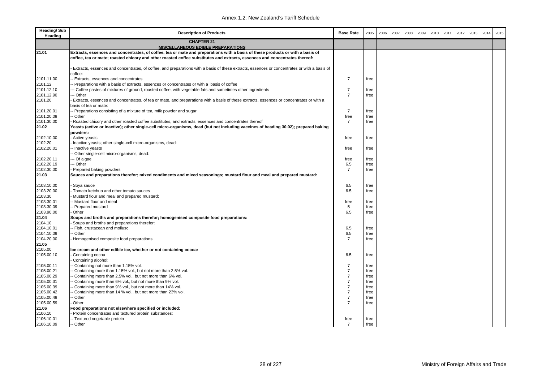| <b>CHAPTER 21</b><br><b>MISCELLANEOUS EDIBLE PREPARATIONS</b><br>21.01<br>Extracts, essences and concentrates, of coffee, tea or mate and preparations with a basis of these products or with a basis of<br>coffee, tea or mate; roasted chicory and other roasted coffee substitutes and extracts, essences and concentrates thereof:<br>Extracts, essences and concentrates, of coffee, and preparations with a basis of these extracts, essences or concentrates or with a basis of<br>coffee:<br>2101.11.00<br>$\overline{7}$<br>- Extracts, essences and concentrates<br>free<br>2101.12<br>Preparations with a basis of extracts, essences or concentrates or with a basis of coffee<br>$\overline{7}$<br>2101.12.10<br>-- Coffee pastes of mixtures of ground, roasted coffee, with vegetable fats and sometimes other ingredients<br>free<br>2101.12.90<br>$\overline{7}$<br>-- Other<br>free<br>2101.20<br>Extracts, essences and concentrates, of tea or mate, and preparations with a basis of these extracts, essences or concentrates or with a<br>basis of tea or mate:<br>$\overline{7}$<br>- Preparations consisting of a mixture of tea, milk powder and sugar<br>2101.20.01<br>free<br>2101.20.09<br>free<br>- Other<br>free<br>2101.30.00<br>$\overline{7}$<br>Roasted chicory and other roasted coffee substitutes, and extracts, essences and concentrates thereof<br>free<br>21.02<br>Yeasts (active or inactive); other single-cell micro-organisms, dead (but not including vaccines of heading 30.02); prepared baking<br>powders:<br>Active yeasts<br>2102.10.00<br>free<br>free<br>2102.20<br>Inactive yeasts; other single-cell micro-organisms, dead:<br>2102.20.01<br>- Inactive yeasts<br>free<br>free<br>Other single-cell micro-organisms, dead:<br>2102.20.11<br>-- Of algae<br>free<br>free<br>-- Other<br>2102.20.19<br>6.5<br>free<br>$\overline{7}$<br>2102.30.00<br>Prepared baking powders<br>free<br>21.03<br>Sauces and preparations therefor; mixed condiments and mixed seasonings; mustard flour and meal and prepared mustard:<br>2103.10.00<br>6.5<br>Soya sauce<br>free<br>2103.20.00<br>Tomato ketchup and other tomato sauces<br>6.5<br>free<br>2103.30<br>Mustard flour and meal and prepared mustard:<br>2103.30.01<br>-- Mustard flour and meal<br>free<br>free<br>5<br>2103.30.09<br>- Prepared mustard<br>free<br>2103.90.00<br>6.5<br>Other<br>free<br>21.04<br>Soups and broths and preparations therefor; homogenised composite food preparations:<br>2104.10<br>Soups and broths and preparations therefor:<br>2104.10.01<br>- Fish, crustacean and mollusc<br>6.5<br>free<br>2104.10.09<br>- Other<br>6.5<br>free<br>2104.20.00<br>$\overline{7}$<br>Homogenised composite food preparations<br>free<br>21.05<br>2105.00<br>Ice cream and other edible ice, whether or not containing cocoa:<br>6.5<br>2105.00.10<br>Containing cocoa<br>free<br>Containing alcohol:<br>2105.00.11<br>- Containing not more than 1.15% vol.<br>$\overline{7}$<br>free<br>$\overline{7}$<br>2105.00.21<br>Containing more than 1.15% vol., but not more than 2.5% vol.<br>free<br>$\overline{7}$<br>2105.00.29<br>Containing more than 2.5% vol., but not more than 6% vol.<br>free<br>$\overline{7}$<br>2105.00.31<br>free<br>- Containing more than 6% vol., but not more than 9% vol.<br>$\overline{7}$<br>2105.00.39<br>Containing more than 9% vol., but not more than 14% vol.<br>free<br>$\overline{7}$<br>2105.00.42<br>Containing more than 14 % vol., but not more than 23% vol.<br>free<br>2105.00.49<br>$\overline{7}$<br>- Other<br>free<br>2105.00.59<br>$\overline{7}$<br>Other<br>free<br>21.06<br>Food preparations not elsewhere specified or included:<br>2106.10<br>Protein concentrates and textured protein substances:<br>2106.10.01<br>-- Textured vegetable protein<br>free<br>free | <b>Heading/Sub</b><br>Heading | <b>Description of Products</b> | <b>Base Rate</b> | 2005 | 2006 | 2007 | 2008 | 2009 | 2010 | 2011 | 2012 | 2013 | 2014 | 2015 |
|---------------------------------------------------------------------------------------------------------------------------------------------------------------------------------------------------------------------------------------------------------------------------------------------------------------------------------------------------------------------------------------------------------------------------------------------------------------------------------------------------------------------------------------------------------------------------------------------------------------------------------------------------------------------------------------------------------------------------------------------------------------------------------------------------------------------------------------------------------------------------------------------------------------------------------------------------------------------------------------------------------------------------------------------------------------------------------------------------------------------------------------------------------------------------------------------------------------------------------------------------------------------------------------------------------------------------------------------------------------------------------------------------------------------------------------------------------------------------------------------------------------------------------------------------------------------------------------------------------------------------------------------------------------------------------------------------------------------------------------------------------------------------------------------------------------------------------------------------------------------------------------------------------------------------------------------------------------------------------------------------------------------------------------------------------------------------------------------------------------------------------------------------------------------------------------------------------------------------------------------------------------------------------------------------------------------------------------------------------------------------------------------------------------------------------------------------------------------------------------------------------------------------------------------------------------------------------------------------------------------------------------------------------------------------------------------------------------------------------------------------------------------------------------------------------------------------------------------------------------------------------------------------------------------------------------------------------------------------------------------------------------------------------------------------------------------------------------------------------------------------------------------------------------------------------------------------------------------------------------------------------------------------------------------------------------------------------------------------------------------------------------------------------------------------------------------------------------------------------------------------------------------------------------------------------------------------------------------------------------------------------------------------------------------------------------------------------------------------------------------------------------------------------------------------------------------------------------------------------|-------------------------------|--------------------------------|------------------|------|------|------|------|------|------|------|------|------|------|------|
|                                                                                                                                                                                                                                                                                                                                                                                                                                                                                                                                                                                                                                                                                                                                                                                                                                                                                                                                                                                                                                                                                                                                                                                                                                                                                                                                                                                                                                                                                                                                                                                                                                                                                                                                                                                                                                                                                                                                                                                                                                                                                                                                                                                                                                                                                                                                                                                                                                                                                                                                                                                                                                                                                                                                                                                                                                                                                                                                                                                                                                                                                                                                                                                                                                                                                                                                                                                                                                                                                                                                                                                                                                                                                                                                                                                                                                                         |                               |                                |                  |      |      |      |      |      |      |      |      |      |      |      |
|                                                                                                                                                                                                                                                                                                                                                                                                                                                                                                                                                                                                                                                                                                                                                                                                                                                                                                                                                                                                                                                                                                                                                                                                                                                                                                                                                                                                                                                                                                                                                                                                                                                                                                                                                                                                                                                                                                                                                                                                                                                                                                                                                                                                                                                                                                                                                                                                                                                                                                                                                                                                                                                                                                                                                                                                                                                                                                                                                                                                                                                                                                                                                                                                                                                                                                                                                                                                                                                                                                                                                                                                                                                                                                                                                                                                                                                         |                               |                                |                  |      |      |      |      |      |      |      |      |      |      |      |
|                                                                                                                                                                                                                                                                                                                                                                                                                                                                                                                                                                                                                                                                                                                                                                                                                                                                                                                                                                                                                                                                                                                                                                                                                                                                                                                                                                                                                                                                                                                                                                                                                                                                                                                                                                                                                                                                                                                                                                                                                                                                                                                                                                                                                                                                                                                                                                                                                                                                                                                                                                                                                                                                                                                                                                                                                                                                                                                                                                                                                                                                                                                                                                                                                                                                                                                                                                                                                                                                                                                                                                                                                                                                                                                                                                                                                                                         |                               |                                |                  |      |      |      |      |      |      |      |      |      |      |      |
|                                                                                                                                                                                                                                                                                                                                                                                                                                                                                                                                                                                                                                                                                                                                                                                                                                                                                                                                                                                                                                                                                                                                                                                                                                                                                                                                                                                                                                                                                                                                                                                                                                                                                                                                                                                                                                                                                                                                                                                                                                                                                                                                                                                                                                                                                                                                                                                                                                                                                                                                                                                                                                                                                                                                                                                                                                                                                                                                                                                                                                                                                                                                                                                                                                                                                                                                                                                                                                                                                                                                                                                                                                                                                                                                                                                                                                                         |                               |                                |                  |      |      |      |      |      |      |      |      |      |      |      |
|                                                                                                                                                                                                                                                                                                                                                                                                                                                                                                                                                                                                                                                                                                                                                                                                                                                                                                                                                                                                                                                                                                                                                                                                                                                                                                                                                                                                                                                                                                                                                                                                                                                                                                                                                                                                                                                                                                                                                                                                                                                                                                                                                                                                                                                                                                                                                                                                                                                                                                                                                                                                                                                                                                                                                                                                                                                                                                                                                                                                                                                                                                                                                                                                                                                                                                                                                                                                                                                                                                                                                                                                                                                                                                                                                                                                                                                         |                               |                                |                  |      |      |      |      |      |      |      |      |      |      |      |
|                                                                                                                                                                                                                                                                                                                                                                                                                                                                                                                                                                                                                                                                                                                                                                                                                                                                                                                                                                                                                                                                                                                                                                                                                                                                                                                                                                                                                                                                                                                                                                                                                                                                                                                                                                                                                                                                                                                                                                                                                                                                                                                                                                                                                                                                                                                                                                                                                                                                                                                                                                                                                                                                                                                                                                                                                                                                                                                                                                                                                                                                                                                                                                                                                                                                                                                                                                                                                                                                                                                                                                                                                                                                                                                                                                                                                                                         |                               |                                |                  |      |      |      |      |      |      |      |      |      |      |      |
|                                                                                                                                                                                                                                                                                                                                                                                                                                                                                                                                                                                                                                                                                                                                                                                                                                                                                                                                                                                                                                                                                                                                                                                                                                                                                                                                                                                                                                                                                                                                                                                                                                                                                                                                                                                                                                                                                                                                                                                                                                                                                                                                                                                                                                                                                                                                                                                                                                                                                                                                                                                                                                                                                                                                                                                                                                                                                                                                                                                                                                                                                                                                                                                                                                                                                                                                                                                                                                                                                                                                                                                                                                                                                                                                                                                                                                                         |                               |                                |                  |      |      |      |      |      |      |      |      |      |      |      |
|                                                                                                                                                                                                                                                                                                                                                                                                                                                                                                                                                                                                                                                                                                                                                                                                                                                                                                                                                                                                                                                                                                                                                                                                                                                                                                                                                                                                                                                                                                                                                                                                                                                                                                                                                                                                                                                                                                                                                                                                                                                                                                                                                                                                                                                                                                                                                                                                                                                                                                                                                                                                                                                                                                                                                                                                                                                                                                                                                                                                                                                                                                                                                                                                                                                                                                                                                                                                                                                                                                                                                                                                                                                                                                                                                                                                                                                         |                               |                                |                  |      |      |      |      |      |      |      |      |      |      |      |
|                                                                                                                                                                                                                                                                                                                                                                                                                                                                                                                                                                                                                                                                                                                                                                                                                                                                                                                                                                                                                                                                                                                                                                                                                                                                                                                                                                                                                                                                                                                                                                                                                                                                                                                                                                                                                                                                                                                                                                                                                                                                                                                                                                                                                                                                                                                                                                                                                                                                                                                                                                                                                                                                                                                                                                                                                                                                                                                                                                                                                                                                                                                                                                                                                                                                                                                                                                                                                                                                                                                                                                                                                                                                                                                                                                                                                                                         |                               |                                |                  |      |      |      |      |      |      |      |      |      |      |      |
|                                                                                                                                                                                                                                                                                                                                                                                                                                                                                                                                                                                                                                                                                                                                                                                                                                                                                                                                                                                                                                                                                                                                                                                                                                                                                                                                                                                                                                                                                                                                                                                                                                                                                                                                                                                                                                                                                                                                                                                                                                                                                                                                                                                                                                                                                                                                                                                                                                                                                                                                                                                                                                                                                                                                                                                                                                                                                                                                                                                                                                                                                                                                                                                                                                                                                                                                                                                                                                                                                                                                                                                                                                                                                                                                                                                                                                                         |                               |                                |                  |      |      |      |      |      |      |      |      |      |      |      |
|                                                                                                                                                                                                                                                                                                                                                                                                                                                                                                                                                                                                                                                                                                                                                                                                                                                                                                                                                                                                                                                                                                                                                                                                                                                                                                                                                                                                                                                                                                                                                                                                                                                                                                                                                                                                                                                                                                                                                                                                                                                                                                                                                                                                                                                                                                                                                                                                                                                                                                                                                                                                                                                                                                                                                                                                                                                                                                                                                                                                                                                                                                                                                                                                                                                                                                                                                                                                                                                                                                                                                                                                                                                                                                                                                                                                                                                         |                               |                                |                  |      |      |      |      |      |      |      |      |      |      |      |
|                                                                                                                                                                                                                                                                                                                                                                                                                                                                                                                                                                                                                                                                                                                                                                                                                                                                                                                                                                                                                                                                                                                                                                                                                                                                                                                                                                                                                                                                                                                                                                                                                                                                                                                                                                                                                                                                                                                                                                                                                                                                                                                                                                                                                                                                                                                                                                                                                                                                                                                                                                                                                                                                                                                                                                                                                                                                                                                                                                                                                                                                                                                                                                                                                                                                                                                                                                                                                                                                                                                                                                                                                                                                                                                                                                                                                                                         |                               |                                |                  |      |      |      |      |      |      |      |      |      |      |      |
|                                                                                                                                                                                                                                                                                                                                                                                                                                                                                                                                                                                                                                                                                                                                                                                                                                                                                                                                                                                                                                                                                                                                                                                                                                                                                                                                                                                                                                                                                                                                                                                                                                                                                                                                                                                                                                                                                                                                                                                                                                                                                                                                                                                                                                                                                                                                                                                                                                                                                                                                                                                                                                                                                                                                                                                                                                                                                                                                                                                                                                                                                                                                                                                                                                                                                                                                                                                                                                                                                                                                                                                                                                                                                                                                                                                                                                                         |                               |                                |                  |      |      |      |      |      |      |      |      |      |      |      |
|                                                                                                                                                                                                                                                                                                                                                                                                                                                                                                                                                                                                                                                                                                                                                                                                                                                                                                                                                                                                                                                                                                                                                                                                                                                                                                                                                                                                                                                                                                                                                                                                                                                                                                                                                                                                                                                                                                                                                                                                                                                                                                                                                                                                                                                                                                                                                                                                                                                                                                                                                                                                                                                                                                                                                                                                                                                                                                                                                                                                                                                                                                                                                                                                                                                                                                                                                                                                                                                                                                                                                                                                                                                                                                                                                                                                                                                         |                               |                                |                  |      |      |      |      |      |      |      |      |      |      |      |
|                                                                                                                                                                                                                                                                                                                                                                                                                                                                                                                                                                                                                                                                                                                                                                                                                                                                                                                                                                                                                                                                                                                                                                                                                                                                                                                                                                                                                                                                                                                                                                                                                                                                                                                                                                                                                                                                                                                                                                                                                                                                                                                                                                                                                                                                                                                                                                                                                                                                                                                                                                                                                                                                                                                                                                                                                                                                                                                                                                                                                                                                                                                                                                                                                                                                                                                                                                                                                                                                                                                                                                                                                                                                                                                                                                                                                                                         |                               |                                |                  |      |      |      |      |      |      |      |      |      |      |      |
|                                                                                                                                                                                                                                                                                                                                                                                                                                                                                                                                                                                                                                                                                                                                                                                                                                                                                                                                                                                                                                                                                                                                                                                                                                                                                                                                                                                                                                                                                                                                                                                                                                                                                                                                                                                                                                                                                                                                                                                                                                                                                                                                                                                                                                                                                                                                                                                                                                                                                                                                                                                                                                                                                                                                                                                                                                                                                                                                                                                                                                                                                                                                                                                                                                                                                                                                                                                                                                                                                                                                                                                                                                                                                                                                                                                                                                                         |                               |                                |                  |      |      |      |      |      |      |      |      |      |      |      |
|                                                                                                                                                                                                                                                                                                                                                                                                                                                                                                                                                                                                                                                                                                                                                                                                                                                                                                                                                                                                                                                                                                                                                                                                                                                                                                                                                                                                                                                                                                                                                                                                                                                                                                                                                                                                                                                                                                                                                                                                                                                                                                                                                                                                                                                                                                                                                                                                                                                                                                                                                                                                                                                                                                                                                                                                                                                                                                                                                                                                                                                                                                                                                                                                                                                                                                                                                                                                                                                                                                                                                                                                                                                                                                                                                                                                                                                         |                               |                                |                  |      |      |      |      |      |      |      |      |      |      |      |
|                                                                                                                                                                                                                                                                                                                                                                                                                                                                                                                                                                                                                                                                                                                                                                                                                                                                                                                                                                                                                                                                                                                                                                                                                                                                                                                                                                                                                                                                                                                                                                                                                                                                                                                                                                                                                                                                                                                                                                                                                                                                                                                                                                                                                                                                                                                                                                                                                                                                                                                                                                                                                                                                                                                                                                                                                                                                                                                                                                                                                                                                                                                                                                                                                                                                                                                                                                                                                                                                                                                                                                                                                                                                                                                                                                                                                                                         |                               |                                |                  |      |      |      |      |      |      |      |      |      |      |      |
|                                                                                                                                                                                                                                                                                                                                                                                                                                                                                                                                                                                                                                                                                                                                                                                                                                                                                                                                                                                                                                                                                                                                                                                                                                                                                                                                                                                                                                                                                                                                                                                                                                                                                                                                                                                                                                                                                                                                                                                                                                                                                                                                                                                                                                                                                                                                                                                                                                                                                                                                                                                                                                                                                                                                                                                                                                                                                                                                                                                                                                                                                                                                                                                                                                                                                                                                                                                                                                                                                                                                                                                                                                                                                                                                                                                                                                                         |                               |                                |                  |      |      |      |      |      |      |      |      |      |      |      |
|                                                                                                                                                                                                                                                                                                                                                                                                                                                                                                                                                                                                                                                                                                                                                                                                                                                                                                                                                                                                                                                                                                                                                                                                                                                                                                                                                                                                                                                                                                                                                                                                                                                                                                                                                                                                                                                                                                                                                                                                                                                                                                                                                                                                                                                                                                                                                                                                                                                                                                                                                                                                                                                                                                                                                                                                                                                                                                                                                                                                                                                                                                                                                                                                                                                                                                                                                                                                                                                                                                                                                                                                                                                                                                                                                                                                                                                         |                               |                                |                  |      |      |      |      |      |      |      |      |      |      |      |
|                                                                                                                                                                                                                                                                                                                                                                                                                                                                                                                                                                                                                                                                                                                                                                                                                                                                                                                                                                                                                                                                                                                                                                                                                                                                                                                                                                                                                                                                                                                                                                                                                                                                                                                                                                                                                                                                                                                                                                                                                                                                                                                                                                                                                                                                                                                                                                                                                                                                                                                                                                                                                                                                                                                                                                                                                                                                                                                                                                                                                                                                                                                                                                                                                                                                                                                                                                                                                                                                                                                                                                                                                                                                                                                                                                                                                                                         |                               |                                |                  |      |      |      |      |      |      |      |      |      |      |      |
|                                                                                                                                                                                                                                                                                                                                                                                                                                                                                                                                                                                                                                                                                                                                                                                                                                                                                                                                                                                                                                                                                                                                                                                                                                                                                                                                                                                                                                                                                                                                                                                                                                                                                                                                                                                                                                                                                                                                                                                                                                                                                                                                                                                                                                                                                                                                                                                                                                                                                                                                                                                                                                                                                                                                                                                                                                                                                                                                                                                                                                                                                                                                                                                                                                                                                                                                                                                                                                                                                                                                                                                                                                                                                                                                                                                                                                                         |                               |                                |                  |      |      |      |      |      |      |      |      |      |      |      |
|                                                                                                                                                                                                                                                                                                                                                                                                                                                                                                                                                                                                                                                                                                                                                                                                                                                                                                                                                                                                                                                                                                                                                                                                                                                                                                                                                                                                                                                                                                                                                                                                                                                                                                                                                                                                                                                                                                                                                                                                                                                                                                                                                                                                                                                                                                                                                                                                                                                                                                                                                                                                                                                                                                                                                                                                                                                                                                                                                                                                                                                                                                                                                                                                                                                                                                                                                                                                                                                                                                                                                                                                                                                                                                                                                                                                                                                         |                               |                                |                  |      |      |      |      |      |      |      |      |      |      |      |
|                                                                                                                                                                                                                                                                                                                                                                                                                                                                                                                                                                                                                                                                                                                                                                                                                                                                                                                                                                                                                                                                                                                                                                                                                                                                                                                                                                                                                                                                                                                                                                                                                                                                                                                                                                                                                                                                                                                                                                                                                                                                                                                                                                                                                                                                                                                                                                                                                                                                                                                                                                                                                                                                                                                                                                                                                                                                                                                                                                                                                                                                                                                                                                                                                                                                                                                                                                                                                                                                                                                                                                                                                                                                                                                                                                                                                                                         |                               |                                |                  |      |      |      |      |      |      |      |      |      |      |      |
|                                                                                                                                                                                                                                                                                                                                                                                                                                                                                                                                                                                                                                                                                                                                                                                                                                                                                                                                                                                                                                                                                                                                                                                                                                                                                                                                                                                                                                                                                                                                                                                                                                                                                                                                                                                                                                                                                                                                                                                                                                                                                                                                                                                                                                                                                                                                                                                                                                                                                                                                                                                                                                                                                                                                                                                                                                                                                                                                                                                                                                                                                                                                                                                                                                                                                                                                                                                                                                                                                                                                                                                                                                                                                                                                                                                                                                                         |                               |                                |                  |      |      |      |      |      |      |      |      |      |      |      |
|                                                                                                                                                                                                                                                                                                                                                                                                                                                                                                                                                                                                                                                                                                                                                                                                                                                                                                                                                                                                                                                                                                                                                                                                                                                                                                                                                                                                                                                                                                                                                                                                                                                                                                                                                                                                                                                                                                                                                                                                                                                                                                                                                                                                                                                                                                                                                                                                                                                                                                                                                                                                                                                                                                                                                                                                                                                                                                                                                                                                                                                                                                                                                                                                                                                                                                                                                                                                                                                                                                                                                                                                                                                                                                                                                                                                                                                         |                               |                                |                  |      |      |      |      |      |      |      |      |      |      |      |
|                                                                                                                                                                                                                                                                                                                                                                                                                                                                                                                                                                                                                                                                                                                                                                                                                                                                                                                                                                                                                                                                                                                                                                                                                                                                                                                                                                                                                                                                                                                                                                                                                                                                                                                                                                                                                                                                                                                                                                                                                                                                                                                                                                                                                                                                                                                                                                                                                                                                                                                                                                                                                                                                                                                                                                                                                                                                                                                                                                                                                                                                                                                                                                                                                                                                                                                                                                                                                                                                                                                                                                                                                                                                                                                                                                                                                                                         |                               |                                |                  |      |      |      |      |      |      |      |      |      |      |      |
|                                                                                                                                                                                                                                                                                                                                                                                                                                                                                                                                                                                                                                                                                                                                                                                                                                                                                                                                                                                                                                                                                                                                                                                                                                                                                                                                                                                                                                                                                                                                                                                                                                                                                                                                                                                                                                                                                                                                                                                                                                                                                                                                                                                                                                                                                                                                                                                                                                                                                                                                                                                                                                                                                                                                                                                                                                                                                                                                                                                                                                                                                                                                                                                                                                                                                                                                                                                                                                                                                                                                                                                                                                                                                                                                                                                                                                                         |                               |                                |                  |      |      |      |      |      |      |      |      |      |      |      |
|                                                                                                                                                                                                                                                                                                                                                                                                                                                                                                                                                                                                                                                                                                                                                                                                                                                                                                                                                                                                                                                                                                                                                                                                                                                                                                                                                                                                                                                                                                                                                                                                                                                                                                                                                                                                                                                                                                                                                                                                                                                                                                                                                                                                                                                                                                                                                                                                                                                                                                                                                                                                                                                                                                                                                                                                                                                                                                                                                                                                                                                                                                                                                                                                                                                                                                                                                                                                                                                                                                                                                                                                                                                                                                                                                                                                                                                         |                               |                                |                  |      |      |      |      |      |      |      |      |      |      |      |
|                                                                                                                                                                                                                                                                                                                                                                                                                                                                                                                                                                                                                                                                                                                                                                                                                                                                                                                                                                                                                                                                                                                                                                                                                                                                                                                                                                                                                                                                                                                                                                                                                                                                                                                                                                                                                                                                                                                                                                                                                                                                                                                                                                                                                                                                                                                                                                                                                                                                                                                                                                                                                                                                                                                                                                                                                                                                                                                                                                                                                                                                                                                                                                                                                                                                                                                                                                                                                                                                                                                                                                                                                                                                                                                                                                                                                                                         |                               |                                |                  |      |      |      |      |      |      |      |      |      |      |      |
|                                                                                                                                                                                                                                                                                                                                                                                                                                                                                                                                                                                                                                                                                                                                                                                                                                                                                                                                                                                                                                                                                                                                                                                                                                                                                                                                                                                                                                                                                                                                                                                                                                                                                                                                                                                                                                                                                                                                                                                                                                                                                                                                                                                                                                                                                                                                                                                                                                                                                                                                                                                                                                                                                                                                                                                                                                                                                                                                                                                                                                                                                                                                                                                                                                                                                                                                                                                                                                                                                                                                                                                                                                                                                                                                                                                                                                                         |                               |                                |                  |      |      |      |      |      |      |      |      |      |      |      |
|                                                                                                                                                                                                                                                                                                                                                                                                                                                                                                                                                                                                                                                                                                                                                                                                                                                                                                                                                                                                                                                                                                                                                                                                                                                                                                                                                                                                                                                                                                                                                                                                                                                                                                                                                                                                                                                                                                                                                                                                                                                                                                                                                                                                                                                                                                                                                                                                                                                                                                                                                                                                                                                                                                                                                                                                                                                                                                                                                                                                                                                                                                                                                                                                                                                                                                                                                                                                                                                                                                                                                                                                                                                                                                                                                                                                                                                         |                               |                                |                  |      |      |      |      |      |      |      |      |      |      |      |
|                                                                                                                                                                                                                                                                                                                                                                                                                                                                                                                                                                                                                                                                                                                                                                                                                                                                                                                                                                                                                                                                                                                                                                                                                                                                                                                                                                                                                                                                                                                                                                                                                                                                                                                                                                                                                                                                                                                                                                                                                                                                                                                                                                                                                                                                                                                                                                                                                                                                                                                                                                                                                                                                                                                                                                                                                                                                                                                                                                                                                                                                                                                                                                                                                                                                                                                                                                                                                                                                                                                                                                                                                                                                                                                                                                                                                                                         |                               |                                |                  |      |      |      |      |      |      |      |      |      |      |      |
|                                                                                                                                                                                                                                                                                                                                                                                                                                                                                                                                                                                                                                                                                                                                                                                                                                                                                                                                                                                                                                                                                                                                                                                                                                                                                                                                                                                                                                                                                                                                                                                                                                                                                                                                                                                                                                                                                                                                                                                                                                                                                                                                                                                                                                                                                                                                                                                                                                                                                                                                                                                                                                                                                                                                                                                                                                                                                                                                                                                                                                                                                                                                                                                                                                                                                                                                                                                                                                                                                                                                                                                                                                                                                                                                                                                                                                                         |                               |                                |                  |      |      |      |      |      |      |      |      |      |      |      |
|                                                                                                                                                                                                                                                                                                                                                                                                                                                                                                                                                                                                                                                                                                                                                                                                                                                                                                                                                                                                                                                                                                                                                                                                                                                                                                                                                                                                                                                                                                                                                                                                                                                                                                                                                                                                                                                                                                                                                                                                                                                                                                                                                                                                                                                                                                                                                                                                                                                                                                                                                                                                                                                                                                                                                                                                                                                                                                                                                                                                                                                                                                                                                                                                                                                                                                                                                                                                                                                                                                                                                                                                                                                                                                                                                                                                                                                         |                               |                                |                  |      |      |      |      |      |      |      |      |      |      |      |
|                                                                                                                                                                                                                                                                                                                                                                                                                                                                                                                                                                                                                                                                                                                                                                                                                                                                                                                                                                                                                                                                                                                                                                                                                                                                                                                                                                                                                                                                                                                                                                                                                                                                                                                                                                                                                                                                                                                                                                                                                                                                                                                                                                                                                                                                                                                                                                                                                                                                                                                                                                                                                                                                                                                                                                                                                                                                                                                                                                                                                                                                                                                                                                                                                                                                                                                                                                                                                                                                                                                                                                                                                                                                                                                                                                                                                                                         |                               |                                |                  |      |      |      |      |      |      |      |      |      |      |      |
|                                                                                                                                                                                                                                                                                                                                                                                                                                                                                                                                                                                                                                                                                                                                                                                                                                                                                                                                                                                                                                                                                                                                                                                                                                                                                                                                                                                                                                                                                                                                                                                                                                                                                                                                                                                                                                                                                                                                                                                                                                                                                                                                                                                                                                                                                                                                                                                                                                                                                                                                                                                                                                                                                                                                                                                                                                                                                                                                                                                                                                                                                                                                                                                                                                                                                                                                                                                                                                                                                                                                                                                                                                                                                                                                                                                                                                                         |                               |                                |                  |      |      |      |      |      |      |      |      |      |      |      |
|                                                                                                                                                                                                                                                                                                                                                                                                                                                                                                                                                                                                                                                                                                                                                                                                                                                                                                                                                                                                                                                                                                                                                                                                                                                                                                                                                                                                                                                                                                                                                                                                                                                                                                                                                                                                                                                                                                                                                                                                                                                                                                                                                                                                                                                                                                                                                                                                                                                                                                                                                                                                                                                                                                                                                                                                                                                                                                                                                                                                                                                                                                                                                                                                                                                                                                                                                                                                                                                                                                                                                                                                                                                                                                                                                                                                                                                         |                               |                                |                  |      |      |      |      |      |      |      |      |      |      |      |
|                                                                                                                                                                                                                                                                                                                                                                                                                                                                                                                                                                                                                                                                                                                                                                                                                                                                                                                                                                                                                                                                                                                                                                                                                                                                                                                                                                                                                                                                                                                                                                                                                                                                                                                                                                                                                                                                                                                                                                                                                                                                                                                                                                                                                                                                                                                                                                                                                                                                                                                                                                                                                                                                                                                                                                                                                                                                                                                                                                                                                                                                                                                                                                                                                                                                                                                                                                                                                                                                                                                                                                                                                                                                                                                                                                                                                                                         |                               |                                |                  |      |      |      |      |      |      |      |      |      |      |      |
|                                                                                                                                                                                                                                                                                                                                                                                                                                                                                                                                                                                                                                                                                                                                                                                                                                                                                                                                                                                                                                                                                                                                                                                                                                                                                                                                                                                                                                                                                                                                                                                                                                                                                                                                                                                                                                                                                                                                                                                                                                                                                                                                                                                                                                                                                                                                                                                                                                                                                                                                                                                                                                                                                                                                                                                                                                                                                                                                                                                                                                                                                                                                                                                                                                                                                                                                                                                                                                                                                                                                                                                                                                                                                                                                                                                                                                                         |                               |                                |                  |      |      |      |      |      |      |      |      |      |      |      |
|                                                                                                                                                                                                                                                                                                                                                                                                                                                                                                                                                                                                                                                                                                                                                                                                                                                                                                                                                                                                                                                                                                                                                                                                                                                                                                                                                                                                                                                                                                                                                                                                                                                                                                                                                                                                                                                                                                                                                                                                                                                                                                                                                                                                                                                                                                                                                                                                                                                                                                                                                                                                                                                                                                                                                                                                                                                                                                                                                                                                                                                                                                                                                                                                                                                                                                                                                                                                                                                                                                                                                                                                                                                                                                                                                                                                                                                         |                               |                                |                  |      |      |      |      |      |      |      |      |      |      |      |
|                                                                                                                                                                                                                                                                                                                                                                                                                                                                                                                                                                                                                                                                                                                                                                                                                                                                                                                                                                                                                                                                                                                                                                                                                                                                                                                                                                                                                                                                                                                                                                                                                                                                                                                                                                                                                                                                                                                                                                                                                                                                                                                                                                                                                                                                                                                                                                                                                                                                                                                                                                                                                                                                                                                                                                                                                                                                                                                                                                                                                                                                                                                                                                                                                                                                                                                                                                                                                                                                                                                                                                                                                                                                                                                                                                                                                                                         |                               |                                |                  |      |      |      |      |      |      |      |      |      |      |      |
|                                                                                                                                                                                                                                                                                                                                                                                                                                                                                                                                                                                                                                                                                                                                                                                                                                                                                                                                                                                                                                                                                                                                                                                                                                                                                                                                                                                                                                                                                                                                                                                                                                                                                                                                                                                                                                                                                                                                                                                                                                                                                                                                                                                                                                                                                                                                                                                                                                                                                                                                                                                                                                                                                                                                                                                                                                                                                                                                                                                                                                                                                                                                                                                                                                                                                                                                                                                                                                                                                                                                                                                                                                                                                                                                                                                                                                                         |                               |                                |                  |      |      |      |      |      |      |      |      |      |      |      |
|                                                                                                                                                                                                                                                                                                                                                                                                                                                                                                                                                                                                                                                                                                                                                                                                                                                                                                                                                                                                                                                                                                                                                                                                                                                                                                                                                                                                                                                                                                                                                                                                                                                                                                                                                                                                                                                                                                                                                                                                                                                                                                                                                                                                                                                                                                                                                                                                                                                                                                                                                                                                                                                                                                                                                                                                                                                                                                                                                                                                                                                                                                                                                                                                                                                                                                                                                                                                                                                                                                                                                                                                                                                                                                                                                                                                                                                         |                               |                                |                  |      |      |      |      |      |      |      |      |      |      |      |
|                                                                                                                                                                                                                                                                                                                                                                                                                                                                                                                                                                                                                                                                                                                                                                                                                                                                                                                                                                                                                                                                                                                                                                                                                                                                                                                                                                                                                                                                                                                                                                                                                                                                                                                                                                                                                                                                                                                                                                                                                                                                                                                                                                                                                                                                                                                                                                                                                                                                                                                                                                                                                                                                                                                                                                                                                                                                                                                                                                                                                                                                                                                                                                                                                                                                                                                                                                                                                                                                                                                                                                                                                                                                                                                                                                                                                                                         |                               |                                |                  |      |      |      |      |      |      |      |      |      |      |      |
|                                                                                                                                                                                                                                                                                                                                                                                                                                                                                                                                                                                                                                                                                                                                                                                                                                                                                                                                                                                                                                                                                                                                                                                                                                                                                                                                                                                                                                                                                                                                                                                                                                                                                                                                                                                                                                                                                                                                                                                                                                                                                                                                                                                                                                                                                                                                                                                                                                                                                                                                                                                                                                                                                                                                                                                                                                                                                                                                                                                                                                                                                                                                                                                                                                                                                                                                                                                                                                                                                                                                                                                                                                                                                                                                                                                                                                                         |                               |                                |                  |      |      |      |      |      |      |      |      |      |      |      |
|                                                                                                                                                                                                                                                                                                                                                                                                                                                                                                                                                                                                                                                                                                                                                                                                                                                                                                                                                                                                                                                                                                                                                                                                                                                                                                                                                                                                                                                                                                                                                                                                                                                                                                                                                                                                                                                                                                                                                                                                                                                                                                                                                                                                                                                                                                                                                                                                                                                                                                                                                                                                                                                                                                                                                                                                                                                                                                                                                                                                                                                                                                                                                                                                                                                                                                                                                                                                                                                                                                                                                                                                                                                                                                                                                                                                                                                         |                               |                                |                  |      |      |      |      |      |      |      |      |      |      |      |
|                                                                                                                                                                                                                                                                                                                                                                                                                                                                                                                                                                                                                                                                                                                                                                                                                                                                                                                                                                                                                                                                                                                                                                                                                                                                                                                                                                                                                                                                                                                                                                                                                                                                                                                                                                                                                                                                                                                                                                                                                                                                                                                                                                                                                                                                                                                                                                                                                                                                                                                                                                                                                                                                                                                                                                                                                                                                                                                                                                                                                                                                                                                                                                                                                                                                                                                                                                                                                                                                                                                                                                                                                                                                                                                                                                                                                                                         |                               |                                |                  |      |      |      |      |      |      |      |      |      |      |      |
|                                                                                                                                                                                                                                                                                                                                                                                                                                                                                                                                                                                                                                                                                                                                                                                                                                                                                                                                                                                                                                                                                                                                                                                                                                                                                                                                                                                                                                                                                                                                                                                                                                                                                                                                                                                                                                                                                                                                                                                                                                                                                                                                                                                                                                                                                                                                                                                                                                                                                                                                                                                                                                                                                                                                                                                                                                                                                                                                                                                                                                                                                                                                                                                                                                                                                                                                                                                                                                                                                                                                                                                                                                                                                                                                                                                                                                                         |                               |                                |                  |      |      |      |      |      |      |      |      |      |      |      |
|                                                                                                                                                                                                                                                                                                                                                                                                                                                                                                                                                                                                                                                                                                                                                                                                                                                                                                                                                                                                                                                                                                                                                                                                                                                                                                                                                                                                                                                                                                                                                                                                                                                                                                                                                                                                                                                                                                                                                                                                                                                                                                                                                                                                                                                                                                                                                                                                                                                                                                                                                                                                                                                                                                                                                                                                                                                                                                                                                                                                                                                                                                                                                                                                                                                                                                                                                                                                                                                                                                                                                                                                                                                                                                                                                                                                                                                         | 2106.10.09                    | -- Other                       | $\overline{7}$   | free |      |      |      |      |      |      |      |      |      |      |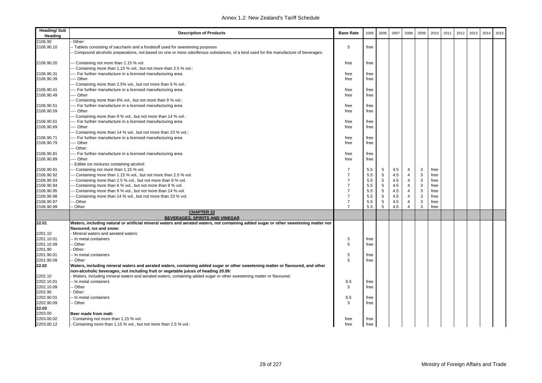| <b>Heading/Sub</b><br>Heading | <b>Description of Products</b>                                                                                                                                                                                       | <b>Base Rate</b> | 2005 | 2006 | 2007 | 2008           | 2009        | 2010 | 2011 | 2012 | 2013 | 2014 | 2015 |
|-------------------------------|----------------------------------------------------------------------------------------------------------------------------------------------------------------------------------------------------------------------|------------------|------|------|------|----------------|-------------|------|------|------|------|------|------|
| 2106.90                       | Other:                                                                                                                                                                                                               |                  |      |      |      |                |             |      |      |      |      |      |      |
| 2106.90.10                    | - Tablets consisting of saccharin and a foodstuff used for sweetening purposes<br>Compound alcoholic preparations, not based on one or more odoriferous substances, of a kind used for the manufacture of beverages: | 5                | free |      |      |                |             |      |      |      |      |      |      |
| 2106.90.20                    | -- Containing not more than 1.15 % vol.<br>Containing more than 1.15 % vol., but not more than 2.5 % vol.:                                                                                                           | free             | free |      |      |                |             |      |      |      |      |      |      |
| 2106.90.31                    | ---- For further manufacture in a licensed manufacturing area                                                                                                                                                        | free             | free |      |      |                |             |      |      |      |      |      |      |
| 2106.90.39                    | ---- Other                                                                                                                                                                                                           | free             | free |      |      |                |             |      |      |      |      |      |      |
|                               | --- Containing more than 2.5% vol., but not more than 6 % vol.:                                                                                                                                                      |                  |      |      |      |                |             |      |      |      |      |      |      |
| 2106.90.41                    | ---- For further manufacture in a licensed manufacturing area                                                                                                                                                        | free             | free |      |      |                |             |      |      |      |      |      |      |
| 2106.90.49                    | ---- Other                                                                                                                                                                                                           | free             | free |      |      |                |             |      |      |      |      |      |      |
|                               | Containing more than 6% vol., but not more than 9 % vol.:                                                                                                                                                            |                  |      |      |      |                |             |      |      |      |      |      |      |
| 2106.90.51                    | ---- For further manufacture in a licensed manufacturing area                                                                                                                                                        | free             | free |      |      |                |             |      |      |      |      |      |      |
| 2106.90.59                    | ---- Other                                                                                                                                                                                                           | free             | free |      |      |                |             |      |      |      |      |      |      |
|                               | --- Containing more than 9 % vol., but not more than 14 % vol.:                                                                                                                                                      |                  |      |      |      |                |             |      |      |      |      |      |      |
| 2106.90.61                    | ---- For further manufacture in a licensed manufacturing area                                                                                                                                                        | free             | free |      |      |                |             |      |      |      |      |      |      |
| 2106.90.69                    | ---- Other                                                                                                                                                                                                           | free             | free |      |      |                |             |      |      |      |      |      |      |
|                               | --- Containing more than 14 % vol., but not more than 23 % vol.:                                                                                                                                                     |                  |      |      |      |                |             |      |      |      |      |      |      |
| 2106.90.71                    | ---- For further manufacture in a licensed manufacturing area                                                                                                                                                        | free             | free |      |      |                |             |      |      |      |      |      |      |
| 2106.90.79                    | ---- Other                                                                                                                                                                                                           | free             | free |      |      |                |             |      |      |      |      |      |      |
|                               | --- Other:                                                                                                                                                                                                           |                  |      |      |      |                |             |      |      |      |      |      |      |
| 2106.90.81                    | ---- For further manufacture in a licensed manufacturing area                                                                                                                                                        | free             | free |      |      |                |             |      |      |      |      |      |      |
| 2106.90.89                    | ---- Other                                                                                                                                                                                                           | free             | free |      |      |                |             |      |      |      |      |      |      |
|                               | - Edible ice mixtures containing alcohol:                                                                                                                                                                            |                  |      |      |      |                |             |      |      |      |      |      |      |
| 2106.90.91                    | --- Containing not more than 1.15 % vol.                                                                                                                                                                             | 7                | 5.5  | 5    | 4.5  | 4              | 3           | free |      |      |      |      |      |
| 2106.90.92                    | --- Containing more than 1.15 % vol., but not more than 2.5 % vol.                                                                                                                                                   | $\overline{7}$   | 5.5  | 5    | 4.5  | $\overline{4}$ | 3           | free |      |      |      |      |      |
| 2106.90.93                    | --- Containing more than 2.5 % vol., but not more than 6 % vol.                                                                                                                                                      | $\overline{7}$   | 5.5  | 5    | 4.5  | 4              | $\mathsf 3$ | free |      |      |      |      |      |
| 2106.90.94                    | --- Containing more than 6 % vol., but not more than 9 % vol.                                                                                                                                                        | $\overline{7}$   | 5.5  | 5    | 4.5  | $\overline{4}$ | $\mathsf 3$ | free |      |      |      |      |      |
| 2106.90.95                    | --- Containing more than 9 % vol., but not more than 14 % vol.                                                                                                                                                       | $\overline{7}$   | 5.5  | 5    | 4.5  | 4              | 3           | free |      |      |      |      |      |
| 2106.90.98                    | -- Containing more than 14 % vol., but not more than 23 % vol.                                                                                                                                                       | $\overline{7}$   | 5.5  | 5    | 4.5  | 4              | 3           | free |      |      |      |      |      |
| 2106.90.97                    | -- Other                                                                                                                                                                                                             | $\overline{7}$   | 5.5  | 5    | 4.5  | 4              | $\mathsf 3$ | free |      |      |      |      |      |
| 2106.90.99                    | - Other                                                                                                                                                                                                              | $\overline{7}$   | 5.5  | 5    | 4.5  | $\overline{4}$ | 3           | free |      |      |      |      |      |
|                               | <b>CHAPTER 22</b>                                                                                                                                                                                                    |                  |      |      |      |                |             |      |      |      |      |      |      |
| 22.01                         | BEVERAGES, SPIRITS AND VINEGAR<br>Waters, including natural or artificial mineral waters and aerated waters, not containing added sugar or other sweetening matter nor                                               |                  |      |      |      |                |             |      |      |      |      |      |      |
| 2201.10                       | flavoured; ice and snow:<br>Mineral waters and aerated waters:                                                                                                                                                       |                  |      |      |      |                |             |      |      |      |      |      |      |
| 2201.10.01                    | - In metal containers                                                                                                                                                                                                | 5                | free |      |      |                |             |      |      |      |      |      |      |
| 2201.10.09                    | - Other                                                                                                                                                                                                              | 5                | free |      |      |                |             |      |      |      |      |      |      |
| 2201.90                       | Other:                                                                                                                                                                                                               |                  |      |      |      |                |             |      |      |      |      |      |      |
| 2201.90.01                    | - In metal containers                                                                                                                                                                                                | 5                | free |      |      |                |             |      |      |      |      |      |      |
| 2201.90.09                    | -- Other                                                                                                                                                                                                             | 5                | free |      |      |                |             |      |      |      |      |      |      |
| 22.02                         | Waters, including mineral waters and aerated waters, containing added sugar or other sweetening matter or flavoured, and other                                                                                       |                  |      |      |      |                |             |      |      |      |      |      |      |
|                               | non-alcoholic beverages, not including fruit or vegetable juices of heading 20.09:                                                                                                                                   |                  |      |      |      |                |             |      |      |      |      |      |      |
| 2202.10                       | - Waters, including mineral waters and aerated waters, containing added sugar or other sweetening matter or flavoured:                                                                                               |                  |      |      |      |                |             |      |      |      |      |      |      |
| 2202.10.01                    | - In metal containers                                                                                                                                                                                                | 6.5              | free |      |      |                |             |      |      |      |      |      |      |
| 2202.10.09                    | - Other                                                                                                                                                                                                              | 5                | free |      |      |                |             |      |      |      |      |      |      |
| 2202.90                       | Other:                                                                                                                                                                                                               |                  |      |      |      |                |             |      |      |      |      |      |      |
| 2202.90.01                    | - In metal containers                                                                                                                                                                                                | 6.5              | free |      |      |                |             |      |      |      |      |      |      |
| 2202.90.09                    | - Other                                                                                                                                                                                                              | 5                | free |      |      |                |             |      |      |      |      |      |      |
|                               |                                                                                                                                                                                                                      |                  |      |      |      |                |             |      |      |      |      |      |      |
| 22.03                         |                                                                                                                                                                                                                      |                  |      |      |      |                |             |      |      |      |      |      |      |
| 2203.00                       | Beer made from malt:                                                                                                                                                                                                 |                  |      |      |      |                |             |      |      |      |      |      |      |
| 2203.00.02                    | Containing not more than 1.15 % vol.                                                                                                                                                                                 | free             | free |      |      |                |             |      |      |      |      |      |      |
| 2203.00.12                    | Containing more than 1.15 % vol., but not more than 2.5 % vol.:                                                                                                                                                      | free             | free |      |      |                |             |      |      |      |      |      |      |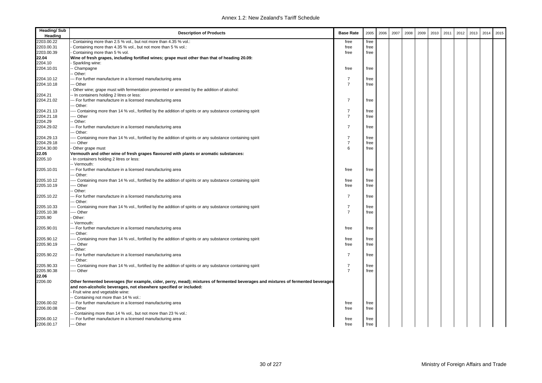| <b>Heading/Sub</b><br>Heading | <b>Description of Products</b>                                                                                                   | <b>Base Rate</b> | 2005 | 2006 | 2007 | 2008 | 2009 | 2010 | 2011 | 2012 | 2013 | 2014 | 2015 |
|-------------------------------|----------------------------------------------------------------------------------------------------------------------------------|------------------|------|------|------|------|------|------|------|------|------|------|------|
| 2203.00.22                    | Containing more than 2.5 % vol., but not more than 4.35 % vol.:                                                                  | free             | free |      |      |      |      |      |      |      |      |      |      |
| 2203.00.31                    | Containing more than 4.35 % vol., but not more than 5 % vol.:                                                                    | free             | free |      |      |      |      |      |      |      |      |      |      |
| 2203.00.39                    | Containing more than 5 % vol.                                                                                                    | free             | free |      |      |      |      |      |      |      |      |      |      |
| 22.04                         | Wine of fresh grapes, including fortified wines; grape must other than that of heading 20.09:                                    |                  |      |      |      |      |      |      |      |      |      |      |      |
| 2204.10                       | Sparkling wine:                                                                                                                  |                  |      |      |      |      |      |      |      |      |      |      |      |
| 2204.10.01                    | - Champagne                                                                                                                      | free             | free |      |      |      |      |      |      |      |      |      |      |
|                               | - Other:                                                                                                                         |                  |      |      |      |      |      |      |      |      |      |      |      |
| 2204.10.12                    | -- For further manufacture in a licensed manufacturing area                                                                      | 7                | free |      |      |      |      |      |      |      |      |      |      |
| 2204.10.18                    | -- Other                                                                                                                         | $\overline{7}$   | free |      |      |      |      |      |      |      |      |      |      |
|                               | Other wine; grape must with fermentation prevented or arrested by the addition of alcohol:                                       |                  |      |      |      |      |      |      |      |      |      |      |      |
| 2204.21                       | - In containers holding 2 litres or less:                                                                                        |                  |      |      |      |      |      |      |      |      |      |      |      |
| 2204.21.02                    | -- For further manufacture in a licensed manufacturing area                                                                      | $\overline{7}$   | free |      |      |      |      |      |      |      |      |      |      |
|                               | - Other:                                                                                                                         |                  |      |      |      |      |      |      |      |      |      |      |      |
| 2204.21.13                    | -- Containing more than 14 % vol., fortified by the addition of spirits or any substance containing spirit                       | 7                | free |      |      |      |      |      |      |      |      |      |      |
| 2204.21.18                    | -- Other                                                                                                                         | $\overline{7}$   | free |      |      |      |      |      |      |      |      |      |      |
| 2204.29                       | Other:                                                                                                                           |                  |      |      |      |      |      |      |      |      |      |      |      |
| 2204.29.02                    | -- For further manufacture in a licensed manufacturing area                                                                      | $\overline{7}$   | free |      |      |      |      |      |      |      |      |      |      |
|                               | -- Other:                                                                                                                        |                  |      |      |      |      |      |      |      |      |      |      |      |
| 2204.29.13                    | --- Containing more than 14 % vol., fortified by the addition of spirits or any substance containing spirit                      | $\overline{7}$   | free |      |      |      |      |      |      |      |      |      |      |
| 2204.29.18                    | --- Other                                                                                                                        | $\overline{7}$   | free |      |      |      |      |      |      |      |      |      |      |
| 2204.30.00                    | Other grape must                                                                                                                 | 6                | free |      |      |      |      |      |      |      |      |      |      |
| 22.05                         | Vermouth and other wine of fresh grapes flavoured with plants or aromatic substances:                                            |                  |      |      |      |      |      |      |      |      |      |      |      |
| 2205.10                       | - In containers holding 2 litres or less:                                                                                        |                  |      |      |      |      |      |      |      |      |      |      |      |
|                               | -- Vermouth:                                                                                                                     |                  |      |      |      |      |      |      |      |      |      |      |      |
| 2205.10.01                    | -- For further manufacture in a licensed manufacturing area                                                                      | free             | free |      |      |      |      |      |      |      |      |      |      |
|                               | - Other:                                                                                                                         |                  |      |      |      |      |      |      |      |      |      |      |      |
| 2205.10.12                    | - Containing more than 14 % vol., fortified by the addition of spirits or any substance containing spirit                        | free             | free |      |      |      |      |      |      |      |      |      |      |
| 2205.10.19                    | --- Other                                                                                                                        | free             | free |      |      |      |      |      |      |      |      |      |      |
|                               | - Other:                                                                                                                         |                  |      |      |      |      |      |      |      |      |      |      |      |
| 2205.10.22                    | -- For further manufacture in a licensed manufacturing area                                                                      | $\overline{7}$   | free |      |      |      |      |      |      |      |      |      |      |
|                               | -- Other:                                                                                                                        |                  |      |      |      |      |      |      |      |      |      |      |      |
| 2205.10.33                    | --- Containing more than 14 % vol., fortified by the addition of spirits or any substance containing spirit                      | 7                | free |      |      |      |      |      |      |      |      |      |      |
| 2205.10.38                    | --- Other                                                                                                                        | $\overline{7}$   | free |      |      |      |      |      |      |      |      |      |      |
| 2205.90                       | Other:                                                                                                                           |                  |      |      |      |      |      |      |      |      |      |      |      |
|                               | -- Vermouth:                                                                                                                     |                  |      |      |      |      |      |      |      |      |      |      |      |
| 2205.90.01                    | -- For further manufacture in a licensed manufacturing area                                                                      | free             | free |      |      |      |      |      |      |      |      |      |      |
|                               | - Other:                                                                                                                         |                  |      |      |      |      |      |      |      |      |      |      |      |
| 2205.90.12                    | --- Containing more than 14 % vol., fortified by the addition of spirits or any substance containing spirit                      | free             | free |      |      |      |      |      |      |      |      |      |      |
| 2205.90.19                    | -- Other                                                                                                                         | free             | free |      |      |      |      |      |      |      |      |      |      |
|                               | Other:                                                                                                                           |                  |      |      |      |      |      |      |      |      |      |      |      |
| 2205.90.22                    | -- For further manufacture in a licensed manufacturing area                                                                      | 7                | free |      |      |      |      |      |      |      |      |      |      |
|                               | -- Other:                                                                                                                        |                  |      |      |      |      |      |      |      |      |      |      |      |
| 2205.90.33                    | --- Containing more than 14 % vol., fortified by the addition of spirits or any substance containing spirit                      | $\overline{7}$   | free |      |      |      |      |      |      |      |      |      |      |
| 2205.90.38                    | --- Other                                                                                                                        | $\overline{7}$   | free |      |      |      |      |      |      |      |      |      |      |
| 22.06                         |                                                                                                                                  |                  |      |      |      |      |      |      |      |      |      |      |      |
| 2206.00                       | Other fermented beverages (for example, cider, perry, mead); mixtures of fermented beverages and mixtures of fermented beverages |                  |      |      |      |      |      |      |      |      |      |      |      |
|                               | and non-alcoholic beverages, not elsewhere specified or included:                                                                |                  |      |      |      |      |      |      |      |      |      |      |      |
|                               | Fruit wine and vegetable wine:                                                                                                   |                  |      |      |      |      |      |      |      |      |      |      |      |
|                               | - Containing not more than 14 % vol.:                                                                                            |                  |      |      |      |      |      |      |      |      |      |      |      |
| 2206.00.02                    | -- For further manufacture in a licensed manufacturing area                                                                      | free             | free |      |      |      |      |      |      |      |      |      |      |
| 2206.00.08                    | -- Other                                                                                                                         | free             | free |      |      |      |      |      |      |      |      |      |      |
|                               | - Containing more than 14 % vol., but not more than 23 % vol.:                                                                   |                  |      |      |      |      |      |      |      |      |      |      |      |
| 2206.00.12                    | -- For further manufacture in a licensed manufacturing area                                                                      | free             | free |      |      |      |      |      |      |      |      |      |      |
| 2206.00.17                    | --- Other                                                                                                                        | free             | free |      |      |      |      |      |      |      |      |      |      |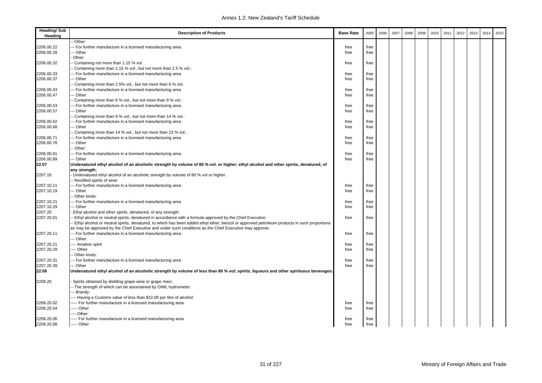| <b>Heading/Sub</b><br>Heading | <b>Description of Products</b>                                                                                                                                                                                                                          | <b>Base Rate</b> | 2005         | 2006 | 2007 | 2008 | 2009 | 2010 | 2011 | 2012 | 2013 | 2014 | 2015 |
|-------------------------------|---------------------------------------------------------------------------------------------------------------------------------------------------------------------------------------------------------------------------------------------------------|------------------|--------------|------|------|------|------|------|------|------|------|------|------|
|                               | Other:                                                                                                                                                                                                                                                  |                  |              |      |      |      |      |      |      |      |      |      |      |
| 2206.00.22                    | For further manufacture in a licensed manufacturing area                                                                                                                                                                                                | free             | free         |      |      |      |      |      |      |      |      |      |      |
| 2206.00.28                    | -- Other                                                                                                                                                                                                                                                | free             | free         |      |      |      |      |      |      |      |      |      |      |
|                               | Other:                                                                                                                                                                                                                                                  |                  |              |      |      |      |      |      |      |      |      |      |      |
| 2206.00.32                    | Containing not more than 1.15 % vol.                                                                                                                                                                                                                    | free             | free         |      |      |      |      |      |      |      |      |      |      |
|                               | Containing more than 1.15 % vol., but not more than 2.5 % vol.:                                                                                                                                                                                         |                  |              |      |      |      |      |      |      |      |      |      |      |
| 2206.00.33                    | - For further manufacture in a licensed manufacturing area                                                                                                                                                                                              | free             | free         |      |      |      |      |      |      |      |      |      |      |
| 2206.00.37                    | - Other                                                                                                                                                                                                                                                 | free             | free         |      |      |      |      |      |      |      |      |      |      |
|                               | Containing more than 2.5% vol., but not more than 6 % vol.                                                                                                                                                                                              |                  |              |      |      |      |      |      |      |      |      |      |      |
| 2206.00.43                    | - For further manufacture in a licensed manufacturing area                                                                                                                                                                                              | free             | free         |      |      |      |      |      |      |      |      |      |      |
| 2206.00.47                    | - Other                                                                                                                                                                                                                                                 | free             | free         |      |      |      |      |      |      |      |      |      |      |
|                               | Containing more than 6 % vol., but not more than 9 % vol.:                                                                                                                                                                                              |                  |              |      |      |      |      |      |      |      |      |      |      |
| 2206.00.53                    | - For further manufacture in a licensed manufacturing area                                                                                                                                                                                              | free             | free         |      |      |      |      |      |      |      |      |      |      |
| 2206.00.57                    | - Other                                                                                                                                                                                                                                                 | free             | free         |      |      |      |      |      |      |      |      |      |      |
|                               | Containing more than 9 % vol., but not more than 14 % vol.:                                                                                                                                                                                             |                  |              |      |      |      |      |      |      |      |      |      |      |
| 2206.00.62                    | - For further manufacture in a licensed manufacturing area                                                                                                                                                                                              | free             | free         |      |      |      |      |      |      |      |      |      |      |
| 2206.00.68                    | - Other                                                                                                                                                                                                                                                 | free             | free         |      |      |      |      |      |      |      |      |      |      |
|                               | Containing more than 14 % vol., but not more than 23 % vol.:                                                                                                                                                                                            |                  |              |      |      |      |      |      |      |      |      |      |      |
| 2206.00.71                    | -- For further manufacture in a licensed manufacturing area                                                                                                                                                                                             | free             | free         |      |      |      |      |      |      |      |      |      |      |
| 2206.00.78                    | - Other                                                                                                                                                                                                                                                 | free             | free         |      |      |      |      |      |      |      |      |      |      |
|                               | Other:                                                                                                                                                                                                                                                  |                  |              |      |      |      |      |      |      |      |      |      |      |
| 2206.00.81                    | -- For further manufacture in a licensed manufacturing area                                                                                                                                                                                             | free             | free         |      |      |      |      |      |      |      |      |      |      |
| 2206.00.89                    | - Other                                                                                                                                                                                                                                                 | free             | free         |      |      |      |      |      |      |      |      |      |      |
| 22.07                         | Undenatured ethyl alcohol of an alcoholic strength by volume of 80 % vol. or higher; ethyl alcohol and other spirits, denatured, of<br>any strength:                                                                                                    |                  |              |      |      |      |      |      |      |      |      |      |      |
| 2207.10                       | Undenatured ethyl alcohol of an alcoholic strength by volume of 80 % vol or higher:                                                                                                                                                                     |                  |              |      |      |      |      |      |      |      |      |      |      |
|                               | - Rectified spirits of wine:                                                                                                                                                                                                                            |                  |              |      |      |      |      |      |      |      |      |      |      |
| 2207.10.11                    | -- For further manufacture in a licensed manufacturing area                                                                                                                                                                                             | free             | free         |      |      |      |      |      |      |      |      |      |      |
| 2207.10.19                    | - Other                                                                                                                                                                                                                                                 | free             | free         |      |      |      |      |      |      |      |      |      |      |
|                               | Other kinds:                                                                                                                                                                                                                                            |                  |              |      |      |      |      |      |      |      |      |      |      |
| 2207.10.21<br>2207.10.29      | -- For further manufacture in a licensed manufacturing area<br>- Other                                                                                                                                                                                  | free             | free<br>free |      |      |      |      |      |      |      |      |      |      |
| 2207.20                       |                                                                                                                                                                                                                                                         | free             |              |      |      |      |      |      |      |      |      |      |      |
| 2207.20.01                    | Ethyl alcohol and other spirits, denatured, of any strength:                                                                                                                                                                                            | free             | free         |      |      |      |      |      |      |      |      |      |      |
|                               | Ethyl alcohol or neutral spirits, denatured in accordance with a formula approved by the Chief Executive<br>Ethyl alcohol or neutral spirits, denatured, to which has been added ethyl ether, benzol or approved petroleum products in such proportions |                  |              |      |      |      |      |      |      |      |      |      |      |
|                               | as may be approved by the Chief Executive and under such conditions as the Chief Executive may approve:                                                                                                                                                 |                  |              |      |      |      |      |      |      |      |      |      |      |
| 2207.20.11                    | - For further manufacture in a licensed manufacturing area                                                                                                                                                                                              | free             | free         |      |      |      |      |      |      |      |      |      |      |
|                               | -- Other:                                                                                                                                                                                                                                               |                  |              |      |      |      |      |      |      |      |      |      |      |
| 2207.20.21                    | --- Aviation spirit                                                                                                                                                                                                                                     | free             | free         |      |      |      |      |      |      |      |      |      |      |
| 2207.20.29                    | --- Other                                                                                                                                                                                                                                               | free             | free         |      |      |      |      |      |      |      |      |      |      |
|                               | Other kinds:                                                                                                                                                                                                                                            |                  |              |      |      |      |      |      |      |      |      |      |      |
| 2207.20.31                    | -- For further manufacture in a licensed manufacturing area                                                                                                                                                                                             | free             | free         |      |      |      |      |      |      |      |      |      |      |
| 2207.20.39                    | -- Other                                                                                                                                                                                                                                                | free             | free         |      |      |      |      |      |      |      |      |      |      |
| 22.08                         | Undenatured ethyl alcohol of an alcoholic strength by volume of less than 80 % vol; spirits, liqueurs and other spirituous beverages.                                                                                                                   |                  |              |      |      |      |      |      |      |      |      |      |      |
|                               |                                                                                                                                                                                                                                                         |                  |              |      |      |      |      |      |      |      |      |      |      |
| 2208.20                       | Spirits obtained by distilling grape wine or grape marc:                                                                                                                                                                                                |                  |              |      |      |      |      |      |      |      |      |      |      |
|                               | - The strength of which can be ascertained by OIML hydrometer:                                                                                                                                                                                          |                  |              |      |      |      |      |      |      |      |      |      |      |
|                               | Brandy:                                                                                                                                                                                                                                                 |                  |              |      |      |      |      |      |      |      |      |      |      |
|                               | --- Having a Customs value of less than \$22.00 per litre of alcohol:                                                                                                                                                                                   |                  |              |      |      |      |      |      |      |      |      |      |      |
| 2208.20.02                    | ---- For further manufacture in a licensed manufacturing area                                                                                                                                                                                           | free             | free         |      |      |      |      |      |      |      |      |      |      |
| 2208.20.04                    | ---- Other                                                                                                                                                                                                                                              | free             | free         |      |      |      |      |      |      |      |      |      |      |
|                               | --- Other:                                                                                                                                                                                                                                              |                  |              |      |      |      |      |      |      |      |      |      |      |
| 2208.20.06                    | ----- For further manufacture in a licensed manufacturing area                                                                                                                                                                                          | free             | free         |      |      |      |      |      |      |      |      |      |      |
| 2208.20.08                    | ----- Other                                                                                                                                                                                                                                             | free             | free         |      |      |      |      |      |      |      |      |      |      |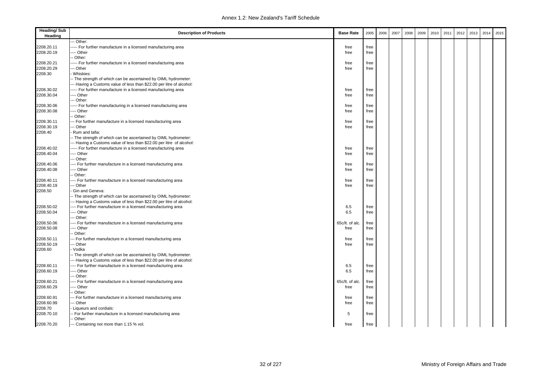| Other:<br>2208.20.11<br>-- For further manufacture in a licensed manufacturing area<br>free<br>free<br>--- Other<br>free<br>free<br>- Other:<br>--- For further manufacture in a licensed manufacturing area<br>free<br>free<br>2208.20.29<br>-- Other<br>free<br>free<br>Whiskies:<br>- The strength of which can be ascertained by OIML hydrometer:<br>-- Having a Customs value of less than \$22.00 per litre of alcohol:<br>---- For further manufacture in a licensed manufacturing area<br>free<br>free<br>--- Other<br>free<br>free<br>-- Other:<br>----- For further manufacturing in a licensed manufacturing area<br>free<br>free<br>--- Other<br>free<br>free<br>- Other:<br>-- For further manufacture in a licensed manufacturing area<br>2208.30.11<br>free<br>free<br>2208.30.19<br>- Other<br>free<br>free<br>2208.40<br>Rum and tafia:<br>-- The strength of which can be ascertained by OIML hydrometer:<br>-- Having a Customs value of less than \$22.00 per litre of alcohol:<br>2208.40.02<br>--- For further manufacture in a licensed manufacturing area<br>free<br>free<br>--- Other<br>2208.40.04<br>free<br>free<br>- Other:<br>2208.40.06<br>--- For further manufacture in a licensed manufacturing area<br>free<br>free<br>2208.40.08<br>--- Other<br>free<br>free<br>- Other:<br>2208.40.11<br>--- For further manufacture in a licensed manufacturing area<br>free<br>free<br>2208.40.19<br>-- Other<br>free<br>free<br>2208.50<br>Gin and Geneva:<br>-- The strength of which can be ascertained by OIML hydrometer:<br>-- Having a Customs value of less than \$22.00 per litre of alcohol:<br>2208.50.02<br>--- For further manufacture in a licensed manufacturing area<br>6.5<br>free<br>2208.50.04<br>6.5<br>-- Other<br>free<br>-- Other:<br>2208.50.06<br>65c/lt. of alc.<br>-- For further manufacture in a licensed manufacturing area<br>free<br>2208.50.08<br>--- Other<br>free<br>free<br>- Other:<br>2208.50.11<br>-- For further manufacture in a licensed manufacturing area<br>free<br>free<br>2208.50.19<br>-- Other<br>free<br>free<br>2208.60<br>- Vodka<br>-- The strength of which can be ascertained by OIML hydrometer:<br>-- Having a Customs value of less than \$22.00 per litre of alcohol:<br>---- For further manufacture in a licensed manufacturing area<br>6.5<br>free<br>2208.60.19<br>--- Other<br>6.5<br>free<br>-- Other:<br>65c/lt. of alc.<br>--- For further manufacture in a licensed manufacturing area<br>free<br>--- Other<br>free<br>free<br>- Other:<br>-- For further manufacture in a licensed manufacturing area<br>free<br>free<br>2208.60.99<br>-- Other<br>free<br>free<br>2208.70<br>Liqueurs and cordials:<br>- For further manufacture in a licensed manufacturing area<br>5<br>free<br>-- Other: | <b>Heading/Sub</b><br>Heading | <b>Description of Products</b>           | <b>Base Rate</b> | 2005 | 2006 | 2007 | 2008 | 2009 | 2010 | 2011 | 2012 | 2013 | 2014 | 2015 |
|-------------------------------------------------------------------------------------------------------------------------------------------------------------------------------------------------------------------------------------------------------------------------------------------------------------------------------------------------------------------------------------------------------------------------------------------------------------------------------------------------------------------------------------------------------------------------------------------------------------------------------------------------------------------------------------------------------------------------------------------------------------------------------------------------------------------------------------------------------------------------------------------------------------------------------------------------------------------------------------------------------------------------------------------------------------------------------------------------------------------------------------------------------------------------------------------------------------------------------------------------------------------------------------------------------------------------------------------------------------------------------------------------------------------------------------------------------------------------------------------------------------------------------------------------------------------------------------------------------------------------------------------------------------------------------------------------------------------------------------------------------------------------------------------------------------------------------------------------------------------------------------------------------------------------------------------------------------------------------------------------------------------------------------------------------------------------------------------------------------------------------------------------------------------------------------------------------------------------------------------------------------------------------------------------------------------------------------------------------------------------------------------------------------------------------------------------------------------------------------------------------------------------------------------------------------------------------------------------------------------------------------------------------------------------------------------------------------------------------------------------------------------------------------------|-------------------------------|------------------------------------------|------------------|------|------|------|------|------|------|------|------|------|------|------|
|                                                                                                                                                                                                                                                                                                                                                                                                                                                                                                                                                                                                                                                                                                                                                                                                                                                                                                                                                                                                                                                                                                                                                                                                                                                                                                                                                                                                                                                                                                                                                                                                                                                                                                                                                                                                                                                                                                                                                                                                                                                                                                                                                                                                                                                                                                                                                                                                                                                                                                                                                                                                                                                                                                                                                                                           |                               |                                          |                  |      |      |      |      |      |      |      |      |      |      |      |
|                                                                                                                                                                                                                                                                                                                                                                                                                                                                                                                                                                                                                                                                                                                                                                                                                                                                                                                                                                                                                                                                                                                                                                                                                                                                                                                                                                                                                                                                                                                                                                                                                                                                                                                                                                                                                                                                                                                                                                                                                                                                                                                                                                                                                                                                                                                                                                                                                                                                                                                                                                                                                                                                                                                                                                                           |                               |                                          |                  |      |      |      |      |      |      |      |      |      |      |      |
|                                                                                                                                                                                                                                                                                                                                                                                                                                                                                                                                                                                                                                                                                                                                                                                                                                                                                                                                                                                                                                                                                                                                                                                                                                                                                                                                                                                                                                                                                                                                                                                                                                                                                                                                                                                                                                                                                                                                                                                                                                                                                                                                                                                                                                                                                                                                                                                                                                                                                                                                                                                                                                                                                                                                                                                           | 2208.20.19                    |                                          |                  |      |      |      |      |      |      |      |      |      |      |      |
|                                                                                                                                                                                                                                                                                                                                                                                                                                                                                                                                                                                                                                                                                                                                                                                                                                                                                                                                                                                                                                                                                                                                                                                                                                                                                                                                                                                                                                                                                                                                                                                                                                                                                                                                                                                                                                                                                                                                                                                                                                                                                                                                                                                                                                                                                                                                                                                                                                                                                                                                                                                                                                                                                                                                                                                           |                               |                                          |                  |      |      |      |      |      |      |      |      |      |      |      |
|                                                                                                                                                                                                                                                                                                                                                                                                                                                                                                                                                                                                                                                                                                                                                                                                                                                                                                                                                                                                                                                                                                                                                                                                                                                                                                                                                                                                                                                                                                                                                                                                                                                                                                                                                                                                                                                                                                                                                                                                                                                                                                                                                                                                                                                                                                                                                                                                                                                                                                                                                                                                                                                                                                                                                                                           | 2208.20.21                    |                                          |                  |      |      |      |      |      |      |      |      |      |      |      |
|                                                                                                                                                                                                                                                                                                                                                                                                                                                                                                                                                                                                                                                                                                                                                                                                                                                                                                                                                                                                                                                                                                                                                                                                                                                                                                                                                                                                                                                                                                                                                                                                                                                                                                                                                                                                                                                                                                                                                                                                                                                                                                                                                                                                                                                                                                                                                                                                                                                                                                                                                                                                                                                                                                                                                                                           |                               |                                          |                  |      |      |      |      |      |      |      |      |      |      |      |
|                                                                                                                                                                                                                                                                                                                                                                                                                                                                                                                                                                                                                                                                                                                                                                                                                                                                                                                                                                                                                                                                                                                                                                                                                                                                                                                                                                                                                                                                                                                                                                                                                                                                                                                                                                                                                                                                                                                                                                                                                                                                                                                                                                                                                                                                                                                                                                                                                                                                                                                                                                                                                                                                                                                                                                                           | 2208.30                       |                                          |                  |      |      |      |      |      |      |      |      |      |      |      |
|                                                                                                                                                                                                                                                                                                                                                                                                                                                                                                                                                                                                                                                                                                                                                                                                                                                                                                                                                                                                                                                                                                                                                                                                                                                                                                                                                                                                                                                                                                                                                                                                                                                                                                                                                                                                                                                                                                                                                                                                                                                                                                                                                                                                                                                                                                                                                                                                                                                                                                                                                                                                                                                                                                                                                                                           |                               |                                          |                  |      |      |      |      |      |      |      |      |      |      |      |
|                                                                                                                                                                                                                                                                                                                                                                                                                                                                                                                                                                                                                                                                                                                                                                                                                                                                                                                                                                                                                                                                                                                                                                                                                                                                                                                                                                                                                                                                                                                                                                                                                                                                                                                                                                                                                                                                                                                                                                                                                                                                                                                                                                                                                                                                                                                                                                                                                                                                                                                                                                                                                                                                                                                                                                                           |                               |                                          |                  |      |      |      |      |      |      |      |      |      |      |      |
|                                                                                                                                                                                                                                                                                                                                                                                                                                                                                                                                                                                                                                                                                                                                                                                                                                                                                                                                                                                                                                                                                                                                                                                                                                                                                                                                                                                                                                                                                                                                                                                                                                                                                                                                                                                                                                                                                                                                                                                                                                                                                                                                                                                                                                                                                                                                                                                                                                                                                                                                                                                                                                                                                                                                                                                           | 2208.30.02                    |                                          |                  |      |      |      |      |      |      |      |      |      |      |      |
|                                                                                                                                                                                                                                                                                                                                                                                                                                                                                                                                                                                                                                                                                                                                                                                                                                                                                                                                                                                                                                                                                                                                                                                                                                                                                                                                                                                                                                                                                                                                                                                                                                                                                                                                                                                                                                                                                                                                                                                                                                                                                                                                                                                                                                                                                                                                                                                                                                                                                                                                                                                                                                                                                                                                                                                           | 2208.30.04                    |                                          |                  |      |      |      |      |      |      |      |      |      |      |      |
|                                                                                                                                                                                                                                                                                                                                                                                                                                                                                                                                                                                                                                                                                                                                                                                                                                                                                                                                                                                                                                                                                                                                                                                                                                                                                                                                                                                                                                                                                                                                                                                                                                                                                                                                                                                                                                                                                                                                                                                                                                                                                                                                                                                                                                                                                                                                                                                                                                                                                                                                                                                                                                                                                                                                                                                           |                               |                                          |                  |      |      |      |      |      |      |      |      |      |      |      |
|                                                                                                                                                                                                                                                                                                                                                                                                                                                                                                                                                                                                                                                                                                                                                                                                                                                                                                                                                                                                                                                                                                                                                                                                                                                                                                                                                                                                                                                                                                                                                                                                                                                                                                                                                                                                                                                                                                                                                                                                                                                                                                                                                                                                                                                                                                                                                                                                                                                                                                                                                                                                                                                                                                                                                                                           | 2208.30.06                    |                                          |                  |      |      |      |      |      |      |      |      |      |      |      |
|                                                                                                                                                                                                                                                                                                                                                                                                                                                                                                                                                                                                                                                                                                                                                                                                                                                                                                                                                                                                                                                                                                                                                                                                                                                                                                                                                                                                                                                                                                                                                                                                                                                                                                                                                                                                                                                                                                                                                                                                                                                                                                                                                                                                                                                                                                                                                                                                                                                                                                                                                                                                                                                                                                                                                                                           | 2208.30.08                    |                                          |                  |      |      |      |      |      |      |      |      |      |      |      |
|                                                                                                                                                                                                                                                                                                                                                                                                                                                                                                                                                                                                                                                                                                                                                                                                                                                                                                                                                                                                                                                                                                                                                                                                                                                                                                                                                                                                                                                                                                                                                                                                                                                                                                                                                                                                                                                                                                                                                                                                                                                                                                                                                                                                                                                                                                                                                                                                                                                                                                                                                                                                                                                                                                                                                                                           |                               |                                          |                  |      |      |      |      |      |      |      |      |      |      |      |
|                                                                                                                                                                                                                                                                                                                                                                                                                                                                                                                                                                                                                                                                                                                                                                                                                                                                                                                                                                                                                                                                                                                                                                                                                                                                                                                                                                                                                                                                                                                                                                                                                                                                                                                                                                                                                                                                                                                                                                                                                                                                                                                                                                                                                                                                                                                                                                                                                                                                                                                                                                                                                                                                                                                                                                                           |                               |                                          |                  |      |      |      |      |      |      |      |      |      |      |      |
|                                                                                                                                                                                                                                                                                                                                                                                                                                                                                                                                                                                                                                                                                                                                                                                                                                                                                                                                                                                                                                                                                                                                                                                                                                                                                                                                                                                                                                                                                                                                                                                                                                                                                                                                                                                                                                                                                                                                                                                                                                                                                                                                                                                                                                                                                                                                                                                                                                                                                                                                                                                                                                                                                                                                                                                           |                               |                                          |                  |      |      |      |      |      |      |      |      |      |      |      |
|                                                                                                                                                                                                                                                                                                                                                                                                                                                                                                                                                                                                                                                                                                                                                                                                                                                                                                                                                                                                                                                                                                                                                                                                                                                                                                                                                                                                                                                                                                                                                                                                                                                                                                                                                                                                                                                                                                                                                                                                                                                                                                                                                                                                                                                                                                                                                                                                                                                                                                                                                                                                                                                                                                                                                                                           |                               |                                          |                  |      |      |      |      |      |      |      |      |      |      |      |
|                                                                                                                                                                                                                                                                                                                                                                                                                                                                                                                                                                                                                                                                                                                                                                                                                                                                                                                                                                                                                                                                                                                                                                                                                                                                                                                                                                                                                                                                                                                                                                                                                                                                                                                                                                                                                                                                                                                                                                                                                                                                                                                                                                                                                                                                                                                                                                                                                                                                                                                                                                                                                                                                                                                                                                                           |                               |                                          |                  |      |      |      |      |      |      |      |      |      |      |      |
|                                                                                                                                                                                                                                                                                                                                                                                                                                                                                                                                                                                                                                                                                                                                                                                                                                                                                                                                                                                                                                                                                                                                                                                                                                                                                                                                                                                                                                                                                                                                                                                                                                                                                                                                                                                                                                                                                                                                                                                                                                                                                                                                                                                                                                                                                                                                                                                                                                                                                                                                                                                                                                                                                                                                                                                           |                               |                                          |                  |      |      |      |      |      |      |      |      |      |      |      |
|                                                                                                                                                                                                                                                                                                                                                                                                                                                                                                                                                                                                                                                                                                                                                                                                                                                                                                                                                                                                                                                                                                                                                                                                                                                                                                                                                                                                                                                                                                                                                                                                                                                                                                                                                                                                                                                                                                                                                                                                                                                                                                                                                                                                                                                                                                                                                                                                                                                                                                                                                                                                                                                                                                                                                                                           |                               |                                          |                  |      |      |      |      |      |      |      |      |      |      |      |
|                                                                                                                                                                                                                                                                                                                                                                                                                                                                                                                                                                                                                                                                                                                                                                                                                                                                                                                                                                                                                                                                                                                                                                                                                                                                                                                                                                                                                                                                                                                                                                                                                                                                                                                                                                                                                                                                                                                                                                                                                                                                                                                                                                                                                                                                                                                                                                                                                                                                                                                                                                                                                                                                                                                                                                                           |                               |                                          |                  |      |      |      |      |      |      |      |      |      |      |      |
|                                                                                                                                                                                                                                                                                                                                                                                                                                                                                                                                                                                                                                                                                                                                                                                                                                                                                                                                                                                                                                                                                                                                                                                                                                                                                                                                                                                                                                                                                                                                                                                                                                                                                                                                                                                                                                                                                                                                                                                                                                                                                                                                                                                                                                                                                                                                                                                                                                                                                                                                                                                                                                                                                                                                                                                           |                               |                                          |                  |      |      |      |      |      |      |      |      |      |      |      |
|                                                                                                                                                                                                                                                                                                                                                                                                                                                                                                                                                                                                                                                                                                                                                                                                                                                                                                                                                                                                                                                                                                                                                                                                                                                                                                                                                                                                                                                                                                                                                                                                                                                                                                                                                                                                                                                                                                                                                                                                                                                                                                                                                                                                                                                                                                                                                                                                                                                                                                                                                                                                                                                                                                                                                                                           |                               |                                          |                  |      |      |      |      |      |      |      |      |      |      |      |
|                                                                                                                                                                                                                                                                                                                                                                                                                                                                                                                                                                                                                                                                                                                                                                                                                                                                                                                                                                                                                                                                                                                                                                                                                                                                                                                                                                                                                                                                                                                                                                                                                                                                                                                                                                                                                                                                                                                                                                                                                                                                                                                                                                                                                                                                                                                                                                                                                                                                                                                                                                                                                                                                                                                                                                                           |                               |                                          |                  |      |      |      |      |      |      |      |      |      |      |      |
|                                                                                                                                                                                                                                                                                                                                                                                                                                                                                                                                                                                                                                                                                                                                                                                                                                                                                                                                                                                                                                                                                                                                                                                                                                                                                                                                                                                                                                                                                                                                                                                                                                                                                                                                                                                                                                                                                                                                                                                                                                                                                                                                                                                                                                                                                                                                                                                                                                                                                                                                                                                                                                                                                                                                                                                           |                               |                                          |                  |      |      |      |      |      |      |      |      |      |      |      |
|                                                                                                                                                                                                                                                                                                                                                                                                                                                                                                                                                                                                                                                                                                                                                                                                                                                                                                                                                                                                                                                                                                                                                                                                                                                                                                                                                                                                                                                                                                                                                                                                                                                                                                                                                                                                                                                                                                                                                                                                                                                                                                                                                                                                                                                                                                                                                                                                                                                                                                                                                                                                                                                                                                                                                                                           |                               |                                          |                  |      |      |      |      |      |      |      |      |      |      |      |
|                                                                                                                                                                                                                                                                                                                                                                                                                                                                                                                                                                                                                                                                                                                                                                                                                                                                                                                                                                                                                                                                                                                                                                                                                                                                                                                                                                                                                                                                                                                                                                                                                                                                                                                                                                                                                                                                                                                                                                                                                                                                                                                                                                                                                                                                                                                                                                                                                                                                                                                                                                                                                                                                                                                                                                                           |                               |                                          |                  |      |      |      |      |      |      |      |      |      |      |      |
|                                                                                                                                                                                                                                                                                                                                                                                                                                                                                                                                                                                                                                                                                                                                                                                                                                                                                                                                                                                                                                                                                                                                                                                                                                                                                                                                                                                                                                                                                                                                                                                                                                                                                                                                                                                                                                                                                                                                                                                                                                                                                                                                                                                                                                                                                                                                                                                                                                                                                                                                                                                                                                                                                                                                                                                           |                               |                                          |                  |      |      |      |      |      |      |      |      |      |      |      |
|                                                                                                                                                                                                                                                                                                                                                                                                                                                                                                                                                                                                                                                                                                                                                                                                                                                                                                                                                                                                                                                                                                                                                                                                                                                                                                                                                                                                                                                                                                                                                                                                                                                                                                                                                                                                                                                                                                                                                                                                                                                                                                                                                                                                                                                                                                                                                                                                                                                                                                                                                                                                                                                                                                                                                                                           |                               |                                          |                  |      |      |      |      |      |      |      |      |      |      |      |
|                                                                                                                                                                                                                                                                                                                                                                                                                                                                                                                                                                                                                                                                                                                                                                                                                                                                                                                                                                                                                                                                                                                                                                                                                                                                                                                                                                                                                                                                                                                                                                                                                                                                                                                                                                                                                                                                                                                                                                                                                                                                                                                                                                                                                                                                                                                                                                                                                                                                                                                                                                                                                                                                                                                                                                                           |                               |                                          |                  |      |      |      |      |      |      |      |      |      |      |      |
|                                                                                                                                                                                                                                                                                                                                                                                                                                                                                                                                                                                                                                                                                                                                                                                                                                                                                                                                                                                                                                                                                                                                                                                                                                                                                                                                                                                                                                                                                                                                                                                                                                                                                                                                                                                                                                                                                                                                                                                                                                                                                                                                                                                                                                                                                                                                                                                                                                                                                                                                                                                                                                                                                                                                                                                           |                               |                                          |                  |      |      |      |      |      |      |      |      |      |      |      |
|                                                                                                                                                                                                                                                                                                                                                                                                                                                                                                                                                                                                                                                                                                                                                                                                                                                                                                                                                                                                                                                                                                                                                                                                                                                                                                                                                                                                                                                                                                                                                                                                                                                                                                                                                                                                                                                                                                                                                                                                                                                                                                                                                                                                                                                                                                                                                                                                                                                                                                                                                                                                                                                                                                                                                                                           |                               |                                          |                  |      |      |      |      |      |      |      |      |      |      |      |
|                                                                                                                                                                                                                                                                                                                                                                                                                                                                                                                                                                                                                                                                                                                                                                                                                                                                                                                                                                                                                                                                                                                                                                                                                                                                                                                                                                                                                                                                                                                                                                                                                                                                                                                                                                                                                                                                                                                                                                                                                                                                                                                                                                                                                                                                                                                                                                                                                                                                                                                                                                                                                                                                                                                                                                                           |                               |                                          |                  |      |      |      |      |      |      |      |      |      |      |      |
|                                                                                                                                                                                                                                                                                                                                                                                                                                                                                                                                                                                                                                                                                                                                                                                                                                                                                                                                                                                                                                                                                                                                                                                                                                                                                                                                                                                                                                                                                                                                                                                                                                                                                                                                                                                                                                                                                                                                                                                                                                                                                                                                                                                                                                                                                                                                                                                                                                                                                                                                                                                                                                                                                                                                                                                           |                               |                                          |                  |      |      |      |      |      |      |      |      |      |      |      |
|                                                                                                                                                                                                                                                                                                                                                                                                                                                                                                                                                                                                                                                                                                                                                                                                                                                                                                                                                                                                                                                                                                                                                                                                                                                                                                                                                                                                                                                                                                                                                                                                                                                                                                                                                                                                                                                                                                                                                                                                                                                                                                                                                                                                                                                                                                                                                                                                                                                                                                                                                                                                                                                                                                                                                                                           |                               |                                          |                  |      |      |      |      |      |      |      |      |      |      |      |
|                                                                                                                                                                                                                                                                                                                                                                                                                                                                                                                                                                                                                                                                                                                                                                                                                                                                                                                                                                                                                                                                                                                                                                                                                                                                                                                                                                                                                                                                                                                                                                                                                                                                                                                                                                                                                                                                                                                                                                                                                                                                                                                                                                                                                                                                                                                                                                                                                                                                                                                                                                                                                                                                                                                                                                                           |                               |                                          |                  |      |      |      |      |      |      |      |      |      |      |      |
|                                                                                                                                                                                                                                                                                                                                                                                                                                                                                                                                                                                                                                                                                                                                                                                                                                                                                                                                                                                                                                                                                                                                                                                                                                                                                                                                                                                                                                                                                                                                                                                                                                                                                                                                                                                                                                                                                                                                                                                                                                                                                                                                                                                                                                                                                                                                                                                                                                                                                                                                                                                                                                                                                                                                                                                           |                               |                                          |                  |      |      |      |      |      |      |      |      |      |      |      |
|                                                                                                                                                                                                                                                                                                                                                                                                                                                                                                                                                                                                                                                                                                                                                                                                                                                                                                                                                                                                                                                                                                                                                                                                                                                                                                                                                                                                                                                                                                                                                                                                                                                                                                                                                                                                                                                                                                                                                                                                                                                                                                                                                                                                                                                                                                                                                                                                                                                                                                                                                                                                                                                                                                                                                                                           |                               |                                          |                  |      |      |      |      |      |      |      |      |      |      |      |
|                                                                                                                                                                                                                                                                                                                                                                                                                                                                                                                                                                                                                                                                                                                                                                                                                                                                                                                                                                                                                                                                                                                                                                                                                                                                                                                                                                                                                                                                                                                                                                                                                                                                                                                                                                                                                                                                                                                                                                                                                                                                                                                                                                                                                                                                                                                                                                                                                                                                                                                                                                                                                                                                                                                                                                                           |                               |                                          |                  |      |      |      |      |      |      |      |      |      |      |      |
|                                                                                                                                                                                                                                                                                                                                                                                                                                                                                                                                                                                                                                                                                                                                                                                                                                                                                                                                                                                                                                                                                                                                                                                                                                                                                                                                                                                                                                                                                                                                                                                                                                                                                                                                                                                                                                                                                                                                                                                                                                                                                                                                                                                                                                                                                                                                                                                                                                                                                                                                                                                                                                                                                                                                                                                           |                               |                                          |                  |      |      |      |      |      |      |      |      |      |      |      |
|                                                                                                                                                                                                                                                                                                                                                                                                                                                                                                                                                                                                                                                                                                                                                                                                                                                                                                                                                                                                                                                                                                                                                                                                                                                                                                                                                                                                                                                                                                                                                                                                                                                                                                                                                                                                                                                                                                                                                                                                                                                                                                                                                                                                                                                                                                                                                                                                                                                                                                                                                                                                                                                                                                                                                                                           |                               |                                          |                  |      |      |      |      |      |      |      |      |      |      |      |
|                                                                                                                                                                                                                                                                                                                                                                                                                                                                                                                                                                                                                                                                                                                                                                                                                                                                                                                                                                                                                                                                                                                                                                                                                                                                                                                                                                                                                                                                                                                                                                                                                                                                                                                                                                                                                                                                                                                                                                                                                                                                                                                                                                                                                                                                                                                                                                                                                                                                                                                                                                                                                                                                                                                                                                                           |                               |                                          |                  |      |      |      |      |      |      |      |      |      |      |      |
|                                                                                                                                                                                                                                                                                                                                                                                                                                                                                                                                                                                                                                                                                                                                                                                                                                                                                                                                                                                                                                                                                                                                                                                                                                                                                                                                                                                                                                                                                                                                                                                                                                                                                                                                                                                                                                                                                                                                                                                                                                                                                                                                                                                                                                                                                                                                                                                                                                                                                                                                                                                                                                                                                                                                                                                           | 2208.60.11                    |                                          |                  |      |      |      |      |      |      |      |      |      |      |      |
|                                                                                                                                                                                                                                                                                                                                                                                                                                                                                                                                                                                                                                                                                                                                                                                                                                                                                                                                                                                                                                                                                                                                                                                                                                                                                                                                                                                                                                                                                                                                                                                                                                                                                                                                                                                                                                                                                                                                                                                                                                                                                                                                                                                                                                                                                                                                                                                                                                                                                                                                                                                                                                                                                                                                                                                           |                               |                                          |                  |      |      |      |      |      |      |      |      |      |      |      |
|                                                                                                                                                                                                                                                                                                                                                                                                                                                                                                                                                                                                                                                                                                                                                                                                                                                                                                                                                                                                                                                                                                                                                                                                                                                                                                                                                                                                                                                                                                                                                                                                                                                                                                                                                                                                                                                                                                                                                                                                                                                                                                                                                                                                                                                                                                                                                                                                                                                                                                                                                                                                                                                                                                                                                                                           |                               |                                          |                  |      |      |      |      |      |      |      |      |      |      |      |
|                                                                                                                                                                                                                                                                                                                                                                                                                                                                                                                                                                                                                                                                                                                                                                                                                                                                                                                                                                                                                                                                                                                                                                                                                                                                                                                                                                                                                                                                                                                                                                                                                                                                                                                                                                                                                                                                                                                                                                                                                                                                                                                                                                                                                                                                                                                                                                                                                                                                                                                                                                                                                                                                                                                                                                                           | 2208.60.21                    |                                          |                  |      |      |      |      |      |      |      |      |      |      |      |
|                                                                                                                                                                                                                                                                                                                                                                                                                                                                                                                                                                                                                                                                                                                                                                                                                                                                                                                                                                                                                                                                                                                                                                                                                                                                                                                                                                                                                                                                                                                                                                                                                                                                                                                                                                                                                                                                                                                                                                                                                                                                                                                                                                                                                                                                                                                                                                                                                                                                                                                                                                                                                                                                                                                                                                                           | 2208.60.29                    |                                          |                  |      |      |      |      |      |      |      |      |      |      |      |
|                                                                                                                                                                                                                                                                                                                                                                                                                                                                                                                                                                                                                                                                                                                                                                                                                                                                                                                                                                                                                                                                                                                                                                                                                                                                                                                                                                                                                                                                                                                                                                                                                                                                                                                                                                                                                                                                                                                                                                                                                                                                                                                                                                                                                                                                                                                                                                                                                                                                                                                                                                                                                                                                                                                                                                                           |                               |                                          |                  |      |      |      |      |      |      |      |      |      |      |      |
|                                                                                                                                                                                                                                                                                                                                                                                                                                                                                                                                                                                                                                                                                                                                                                                                                                                                                                                                                                                                                                                                                                                                                                                                                                                                                                                                                                                                                                                                                                                                                                                                                                                                                                                                                                                                                                                                                                                                                                                                                                                                                                                                                                                                                                                                                                                                                                                                                                                                                                                                                                                                                                                                                                                                                                                           | 2208.60.91                    |                                          |                  |      |      |      |      |      |      |      |      |      |      |      |
|                                                                                                                                                                                                                                                                                                                                                                                                                                                                                                                                                                                                                                                                                                                                                                                                                                                                                                                                                                                                                                                                                                                                                                                                                                                                                                                                                                                                                                                                                                                                                                                                                                                                                                                                                                                                                                                                                                                                                                                                                                                                                                                                                                                                                                                                                                                                                                                                                                                                                                                                                                                                                                                                                                                                                                                           |                               |                                          |                  |      |      |      |      |      |      |      |      |      |      |      |
|                                                                                                                                                                                                                                                                                                                                                                                                                                                                                                                                                                                                                                                                                                                                                                                                                                                                                                                                                                                                                                                                                                                                                                                                                                                                                                                                                                                                                                                                                                                                                                                                                                                                                                                                                                                                                                                                                                                                                                                                                                                                                                                                                                                                                                                                                                                                                                                                                                                                                                                                                                                                                                                                                                                                                                                           |                               |                                          |                  |      |      |      |      |      |      |      |      |      |      |      |
|                                                                                                                                                                                                                                                                                                                                                                                                                                                                                                                                                                                                                                                                                                                                                                                                                                                                                                                                                                                                                                                                                                                                                                                                                                                                                                                                                                                                                                                                                                                                                                                                                                                                                                                                                                                                                                                                                                                                                                                                                                                                                                                                                                                                                                                                                                                                                                                                                                                                                                                                                                                                                                                                                                                                                                                           | 2208.70.10                    |                                          |                  |      |      |      |      |      |      |      |      |      |      |      |
|                                                                                                                                                                                                                                                                                                                                                                                                                                                                                                                                                                                                                                                                                                                                                                                                                                                                                                                                                                                                                                                                                                                                                                                                                                                                                                                                                                                                                                                                                                                                                                                                                                                                                                                                                                                                                                                                                                                                                                                                                                                                                                                                                                                                                                                                                                                                                                                                                                                                                                                                                                                                                                                                                                                                                                                           |                               |                                          |                  |      |      |      |      |      |      |      |      |      |      |      |
|                                                                                                                                                                                                                                                                                                                                                                                                                                                                                                                                                                                                                                                                                                                                                                                                                                                                                                                                                                                                                                                                                                                                                                                                                                                                                                                                                                                                                                                                                                                                                                                                                                                                                                                                                                                                                                                                                                                                                                                                                                                                                                                                                                                                                                                                                                                                                                                                                                                                                                                                                                                                                                                                                                                                                                                           | 2208.70.20                    | --- Containing not more than 1.15 % vol. | free             | free |      |      |      |      |      |      |      |      |      |      |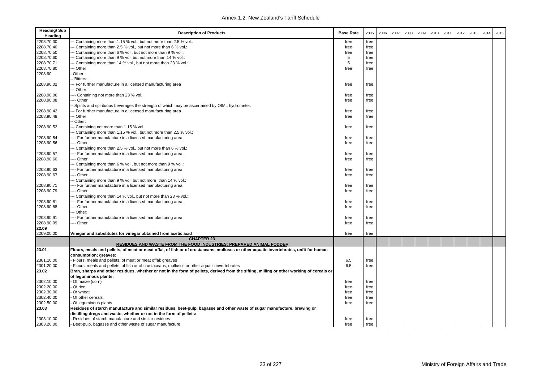| <b>Heading/Sub</b><br>Heading | <b>Description of Products</b>                                                                                                           | <b>Base Rate</b> | 2005 | 2006 | 2007 | 2008 | 2009 | 2010 | 2011 | 2012 | 2013 | 2014 | 2015 |
|-------------------------------|------------------------------------------------------------------------------------------------------------------------------------------|------------------|------|------|------|------|------|------|------|------|------|------|------|
| 2208.70.30                    | - Containing more than 1.15 % vol., but not more than 2.5 % vol.:                                                                        | free             | free |      |      |      |      |      |      |      |      |      |      |
| 2208.70.40                    | -- Containing more than 2.5 % vol., but not more than 6 % vol.:                                                                          | free             | free |      |      |      |      |      |      |      |      |      |      |
| 2208.70.50                    | -- Containing more than 6 % vol., but not more than 9 % vol.:                                                                            | free             | free |      |      |      |      |      |      |      |      |      |      |
| 2208.70.60                    | -- Containing more than 9 % vol. but not more than 14 % vol.:                                                                            | 5                | free |      |      |      |      |      |      |      |      |      |      |
| 2208.70.71                    | -- Containing more than 14 % vol., but not more than 23 % vol.:                                                                          | 5                | free |      |      |      |      |      |      |      |      |      |      |
| 2208.70.80                    | -- Other                                                                                                                                 | free             | free |      |      |      |      |      |      |      |      |      |      |
| 2208.90                       | Other:                                                                                                                                   |                  |      |      |      |      |      |      |      |      |      |      |      |
|                               | Bitters:                                                                                                                                 |                  |      |      |      |      |      |      |      |      |      |      |      |
| 2208.90.02                    | -- For further manufacture in a licensed manufacturing area                                                                              | free             | free |      |      |      |      |      |      |      |      |      |      |
|                               | -- Other:                                                                                                                                |                  |      |      |      |      |      |      |      |      |      |      |      |
|                               |                                                                                                                                          |                  |      |      |      |      |      |      |      |      |      |      |      |
| 2208.90.06                    | --- Containing not more than 23 % vol.                                                                                                   | free             | free |      |      |      |      |      |      |      |      |      |      |
| 2208.90.08                    | --- Other                                                                                                                                | free             | free |      |      |      |      |      |      |      |      |      |      |
|                               | Spirits and spirituous beverages the strength of which may be ascertained by OIML hydrometer:                                            |                  |      |      |      |      |      |      |      |      |      |      |      |
| 2208.90.42                    | -- For further manufacture in a licensed manufacturing area                                                                              | free             | free |      |      |      |      |      |      |      |      |      |      |
| 2208.90.48                    | -- Other                                                                                                                                 | free             | free |      |      |      |      |      |      |      |      |      |      |
|                               | Other:                                                                                                                                   |                  |      |      |      |      |      |      |      |      |      |      |      |
| 2208.90.52                    | -- Containing not more than 1.15 % vol.                                                                                                  | free             | free |      |      |      |      |      |      |      |      |      |      |
|                               | -- Containing more than 1.15 % vol., but not more than 2.5 % vol.:                                                                       |                  |      |      |      |      |      |      |      |      |      |      |      |
| 2208.90.54                    | --- For further manufacture in a licensed manufacturing area                                                                             | free             | free |      |      |      |      |      |      |      |      |      |      |
| 2208.90.56                    | --- Other                                                                                                                                | free             | free |      |      |      |      |      |      |      |      |      |      |
|                               | -- Containing more than 2.5 % vol., but not more than 6 % vol.:                                                                          |                  |      |      |      |      |      |      |      |      |      |      |      |
| 2208.90.57                    | ---- For further manufacture in a licensed manufacturing area                                                                            | free             | free |      |      |      |      |      |      |      |      |      |      |
| 2208.90.60                    | --- Other                                                                                                                                | free             | free |      |      |      |      |      |      |      |      |      |      |
|                               | -- Containing more than 6 % vol., but not more than 9 % vol.:                                                                            |                  |      |      |      |      |      |      |      |      |      |      |      |
| 2208.90.63                    | --- For further manufacture in a licensed manufacturing area                                                                             | free             | free |      |      |      |      |      |      |      |      |      |      |
| 2208.90.67                    | --- Other                                                                                                                                | free             | free |      |      |      |      |      |      |      |      |      |      |
|                               | -- Containing more than 9 % vol. but not more than 14 % vol.:                                                                            |                  |      |      |      |      |      |      |      |      |      |      |      |
| 2208.90.71                    | ---- For further manufacture in a licensed manufacturing area                                                                            | free             | free |      |      |      |      |      |      |      |      |      |      |
| 2208.90.79                    | --- Other                                                                                                                                | free             | free |      |      |      |      |      |      |      |      |      |      |
|                               | -- Containing more than 14 % vol., but not more than 23 % vol.:                                                                          |                  |      |      |      |      |      |      |      |      |      |      |      |
| 2208.90.81                    | --- For further manufacture in a licensed manufacturing area                                                                             | free             | free |      |      |      |      |      |      |      |      |      |      |
| 2208.90.88                    | --- Other                                                                                                                                | free             | free |      |      |      |      |      |      |      |      |      |      |
|                               | -- Other:                                                                                                                                |                  |      |      |      |      |      |      |      |      |      |      |      |
| 2208.90.91                    | ---- For further manufacture in a licensed manufacturing area                                                                            | free             | free |      |      |      |      |      |      |      |      |      |      |
| 2208.90.99                    | --- Other                                                                                                                                | free             | free |      |      |      |      |      |      |      |      |      |      |
| 22.09                         |                                                                                                                                          |                  |      |      |      |      |      |      |      |      |      |      |      |
| 2209.00.00                    | Vinegar and substitutes for vinegar obtained from acetic acid                                                                            | free             | free |      |      |      |      |      |      |      |      |      |      |
|                               | <b>CHAPTER 23</b>                                                                                                                        |                  |      |      |      |      |      |      |      |      |      |      |      |
|                               | RESIDUES AND WASTE FROM THE FOOD INDUSTRIES; PREPARED ANIMAL FODDER                                                                      |                  |      |      |      |      |      |      |      |      |      |      |      |
| 23.01                         | Flours, meals and pellets, of meat or meat offal, of fish or of crustaceans, molluscs or other aquatic invertebrates, unfit for human    |                  |      |      |      |      |      |      |      |      |      |      |      |
|                               | consumption; greaves:                                                                                                                    |                  |      |      |      |      |      |      |      |      |      |      |      |
| 2301.10.00                    | Flours, meals and pellets, of meat or meat offal; greaves                                                                                | 6.5              | free |      |      |      |      |      |      |      |      |      |      |
| 2301.20.00                    | Flours, meals and pellets, of fish or of crustaceans, molluscs or other aquatic invertebrates                                            | 6.5              | free |      |      |      |      |      |      |      |      |      |      |
| 23.02                         | Bran, sharps and other residues, whether or not in the form of pellets, derived from the sifting, milling or other working of cereals or |                  |      |      |      |      |      |      |      |      |      |      |      |
|                               | of leguminous plants:                                                                                                                    |                  |      |      |      |      |      |      |      |      |      |      |      |
| 2302.10.00                    | Of maize (corn)                                                                                                                          | free             | free |      |      |      |      |      |      |      |      |      |      |
| 2302.20.00                    | Of rice                                                                                                                                  | free             | free |      |      |      |      |      |      |      |      |      |      |
| 2302.30.00                    | Of wheat                                                                                                                                 | free             | free |      |      |      |      |      |      |      |      |      |      |
| 2302.40.00                    | Of other cereals                                                                                                                         | free             | free |      |      |      |      |      |      |      |      |      |      |
| 2302.50.00                    | Of leguminous plants                                                                                                                     | free             | free |      |      |      |      |      |      |      |      |      |      |
| 23.03                         | Residues of starch manufacture and similar residues, beet-pulp, bagasse and other waste of sugar manufacture, brewing or                 |                  |      |      |      |      |      |      |      |      |      |      |      |
|                               | distilling dregs and waste, whether or not in the form of pellets:                                                                       |                  |      |      |      |      |      |      |      |      |      |      |      |
| 2303.10.00                    | Residues of starch manufacture and similar residues                                                                                      | free             | free |      |      |      |      |      |      |      |      |      |      |
| 2303.20.00                    | Beet-pulp, bagasse and other waste of sugar manufacture                                                                                  | free             | free |      |      |      |      |      |      |      |      |      |      |
|                               |                                                                                                                                          |                  |      |      |      |      |      |      |      |      |      |      |      |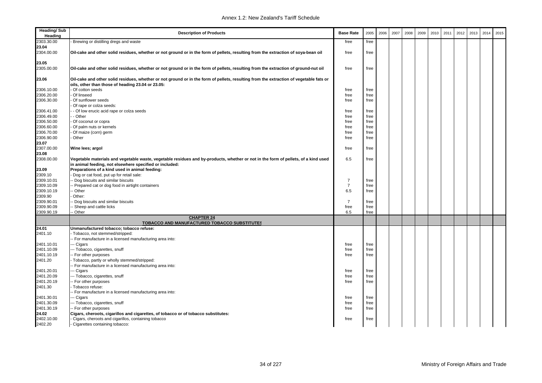| <b>Heading/Sub</b><br>Heading | <b>Description of Products</b>                                                                                                                                                              | <b>Base Rate</b> | 2005         | 2006 | 2007 | 2008 | 2009 | 2010 | 2011 | 2012 | 2013 | 2014 | 2015 |
|-------------------------------|---------------------------------------------------------------------------------------------------------------------------------------------------------------------------------------------|------------------|--------------|------|------|------|------|------|------|------|------|------|------|
| 2303.30.00                    | Brewing or distilling dregs and waste                                                                                                                                                       | free             | free         |      |      |      |      |      |      |      |      |      |      |
| 23.04                         |                                                                                                                                                                                             |                  |              |      |      |      |      |      |      |      |      |      |      |
| 2304.00.00                    | Oil-cake and other solid residues, whether or not ground or in the form of pellets, resulting from the extraction of soya-bean oil                                                          | free             | free         |      |      |      |      |      |      |      |      |      |      |
| 23.05                         |                                                                                                                                                                                             |                  |              |      |      |      |      |      |      |      |      |      |      |
| 2305.00.00                    | Oil-cake and other solid residues, whether or not ground or in the form of pellets, resulting from the extraction of ground-nut oil                                                         | free             | free         |      |      |      |      |      |      |      |      |      |      |
| 23.06                         | Oil-cake and other solid residues, whether or not ground or in the form of pellets, resulting from the extraction of vegetable fats or<br>oils, other than those of heading 23.04 or 23.05: |                  |              |      |      |      |      |      |      |      |      |      |      |
| 2306.10.00                    | Of cotton seeds                                                                                                                                                                             | free             | free         |      |      |      |      |      |      |      |      |      |      |
| 2306.20.00                    | Of linseed                                                                                                                                                                                  | free             | free         |      |      |      |      |      |      |      |      |      |      |
| 2306.30.00                    | Of sunflower seeds                                                                                                                                                                          | free             | free         |      |      |      |      |      |      |      |      |      |      |
|                               | Of rape or colza seeds:                                                                                                                                                                     |                  |              |      |      |      |      |      |      |      |      |      |      |
| 2306.41.00                    | - Of low erucic acid rape or colza seeds                                                                                                                                                    | free             | free         |      |      |      |      |      |      |      |      |      |      |
| 2306.49.00                    | - Other                                                                                                                                                                                     | free             | free         |      |      |      |      |      |      |      |      |      |      |
| 2306.50.00                    | Of coconut or copra                                                                                                                                                                         | free             | free         |      |      |      |      |      |      |      |      |      |      |
| 2306.60.00                    | Of palm nuts or kernels                                                                                                                                                                     | free             | free         |      |      |      |      |      |      |      |      |      |      |
| 2306.70.00                    | Of maize (corn) germ                                                                                                                                                                        | free             | free         |      |      |      |      |      |      |      |      |      |      |
| 2306.90.00                    | Other                                                                                                                                                                                       | free             | free         |      |      |      |      |      |      |      |      |      |      |
| 23.07                         |                                                                                                                                                                                             |                  |              |      |      |      |      |      |      |      |      |      |      |
| 2307.00.00                    | Wine lees; argol                                                                                                                                                                            | free             | free         |      |      |      |      |      |      |      |      |      |      |
| 23.08                         |                                                                                                                                                                                             |                  |              |      |      |      |      |      |      |      |      |      |      |
| 2308.00.00                    | Vegetable materials and vegetable waste, vegetable residues and by-products, whether or not in the form of pellets, of a kind used                                                          | 6.5              | free         |      |      |      |      |      |      |      |      |      |      |
|                               | in animal feeding, not elsewhere specified or included:                                                                                                                                     |                  |              |      |      |      |      |      |      |      |      |      |      |
| 23.09                         | Preparations of a kind used in animal feeding:                                                                                                                                              |                  |              |      |      |      |      |      |      |      |      |      |      |
| 2309.10                       | Dog or cat food, put up for retail sale:                                                                                                                                                    |                  |              |      |      |      |      |      |      |      |      |      |      |
| 2309.10.01                    | - Dog biscuits and similar biscuits                                                                                                                                                         | $\overline{7}$   | free         |      |      |      |      |      |      |      |      |      |      |
| 2309.10.09                    | - Prepared cat or dog food in airtight containers                                                                                                                                           | $\overline{7}$   | free         |      |      |      |      |      |      |      |      |      |      |
| 2309.10.19                    | · Other                                                                                                                                                                                     | 6.5              | free         |      |      |      |      |      |      |      |      |      |      |
| 2309.90                       | Other:                                                                                                                                                                                      |                  |              |      |      |      |      |      |      |      |      |      |      |
| 2309.90.01<br>2309.90.09      | Dog biscuits and similar biscuits                                                                                                                                                           | $\overline{7}$   | free         |      |      |      |      |      |      |      |      |      |      |
| 2309.90.19                    | Sheep and cattle licks<br>Other                                                                                                                                                             | free<br>6.5      | free<br>free |      |      |      |      |      |      |      |      |      |      |
|                               | <b>CHAPTER 24</b>                                                                                                                                                                           |                  |              |      |      |      |      |      |      |      |      |      |      |
|                               | TOBACCO AND MANUFACTURED TOBACCO SUBSTITUTES                                                                                                                                                |                  |              |      |      |      |      |      |      |      |      |      |      |
| 24.01                         | Unmanufactured tobacco; tobacco refuse:                                                                                                                                                     |                  |              |      |      |      |      |      |      |      |      |      |      |
| 2401.10                       | Tobacco, not stemmed/stripped:                                                                                                                                                              |                  |              |      |      |      |      |      |      |      |      |      |      |
|                               | - For manufacture in a licensed manufacturing area into:                                                                                                                                    |                  |              |      |      |      |      |      |      |      |      |      |      |
| 2401.10.01                    | -- Cigars                                                                                                                                                                                   | free             | free         |      |      |      |      |      |      |      |      |      |      |
| 2401.10.09                    | -- Tobacco, cigarettes, snuff                                                                                                                                                               | free             | free         |      |      |      |      |      |      |      |      |      |      |
| 2401.10.19                    | - For other purposes                                                                                                                                                                        | free             | free         |      |      |      |      |      |      |      |      |      |      |
| 2401.20                       | Tobacco, partly or wholly stemmed/stripped:                                                                                                                                                 |                  |              |      |      |      |      |      |      |      |      |      |      |
|                               | - For manufacture in a licensed manufacturing area into:                                                                                                                                    |                  |              |      |      |      |      |      |      |      |      |      |      |
| 2401.20.01                    | -- Cigars                                                                                                                                                                                   | free             | free         |      |      |      |      |      |      |      |      |      |      |
| 2401.20.09<br>2401.20.19      | -- Tobacco, cigarettes, snuff<br>- For other purposes                                                                                                                                       | free             | free<br>free |      |      |      |      |      |      |      |      |      |      |
| 2401.30                       |                                                                                                                                                                                             | free             |              |      |      |      |      |      |      |      |      |      |      |
|                               | Tobacco refuse:                                                                                                                                                                             |                  |              |      |      |      |      |      |      |      |      |      |      |
|                               | - For manufacture in a licensed manufacturing area into:                                                                                                                                    |                  |              |      |      |      |      |      |      |      |      |      |      |
| 2401.30.01                    | -- Cigars                                                                                                                                                                                   | free             | free         |      |      |      |      |      |      |      |      |      |      |
| 2401.30.09<br>2401.30.19      | -- Tobacco, cigarettes, snuff                                                                                                                                                               | free             | free         |      |      |      |      |      |      |      |      |      |      |
|                               | - For other purposes                                                                                                                                                                        | free             | free         |      |      |      |      |      |      |      |      |      |      |
| 24.02                         | Cigars, cheroots, cigarillos and cigarettes, of tobacco or of tobacco substitutes:                                                                                                          |                  |              |      |      |      |      |      |      |      |      |      |      |
| 2402.10.00                    | Cigars, cheroots and cigarillos, containing tobacco                                                                                                                                         | free             | free         |      |      |      |      |      |      |      |      |      |      |
| 2402.20                       | - Cigarettes containing tobacco:                                                                                                                                                            |                  |              |      |      |      |      |      |      |      |      |      |      |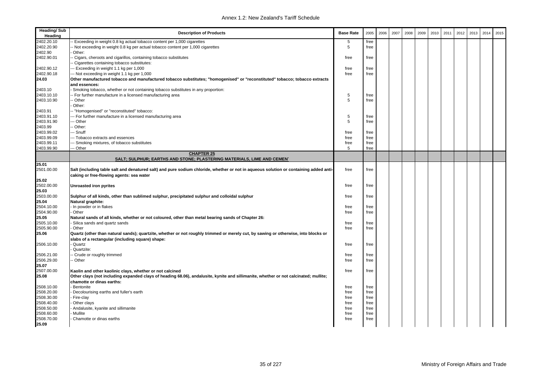| <b>Heading/Sub</b><br>Heading | <b>Description of Products</b>                                                                                                        | <b>Base Rate</b> | 2005 | 2006 | 2007 | 2008 | 2009 | 2010 | 2011 | 2012 | 2013 | 2014 | 2015 |
|-------------------------------|---------------------------------------------------------------------------------------------------------------------------------------|------------------|------|------|------|------|------|------|------|------|------|------|------|
| 2402.20.10                    | Exceeding in weight 0.8 kg actual tobacco content per 1,000 cigarettes                                                                | 5                | free |      |      |      |      |      |      |      |      |      |      |
| 2402.20.90                    | Not exceeding in weight 0.8 kg per actual tobacco content per 1,000 cigarettes                                                        | 5                | free |      |      |      |      |      |      |      |      |      |      |
| 2402.90                       | Other:                                                                                                                                |                  |      |      |      |      |      |      |      |      |      |      |      |
| 2402.90.01                    | Cigars, cheroots and cigarillos, containing tobacco substitutes                                                                       | free             | free |      |      |      |      |      |      |      |      |      |      |
|                               | Cigarettes containing tobacco substitutes:                                                                                            |                  |      |      |      |      |      |      |      |      |      |      |      |
| 2402.90.12                    | -- Exceeding in weight 1.1 kg per 1,000                                                                                               | free             | free |      |      |      |      |      |      |      |      |      |      |
| 2402.90.18                    | -- Not exceeding in weight 1.1 kg per 1,000                                                                                           | free             | free |      |      |      |      |      |      |      |      |      |      |
| 24.03                         | Other manufactured tobacco and manufactured tobacco substitutes; "homogenised" or "reconstituted" tobacco; tobacco extracts           |                  |      |      |      |      |      |      |      |      |      |      |      |
|                               | and essences:                                                                                                                         |                  |      |      |      |      |      |      |      |      |      |      |      |
| 2403.10                       | Smoking tobacco, whether or not containing tobacco substitutes in any proportion:                                                     |                  |      |      |      |      |      |      |      |      |      |      |      |
| 2403.10.10                    | For further manufacture in a licensed manufacturing area                                                                              | 5                | free |      |      |      |      |      |      |      |      |      |      |
| 2403.10.90                    | - Other                                                                                                                               | 5                | free |      |      |      |      |      |      |      |      |      |      |
|                               | Other:                                                                                                                                |                  |      |      |      |      |      |      |      |      |      |      |      |
| 2403.91                       | - "Homogenised" or "reconstituted" tobacco:                                                                                           |                  |      |      |      |      |      |      |      |      |      |      |      |
| 2403.91.10                    | - For further manufacture in a licensed manufacturing area                                                                            | 5                | free |      |      |      |      |      |      |      |      |      |      |
| 2403.91.90                    | - Other                                                                                                                               | 5                | free |      |      |      |      |      |      |      |      |      |      |
| 2403.99                       | Other:                                                                                                                                |                  |      |      |      |      |      |      |      |      |      |      |      |
| 2403.99.02                    | -- Snuff                                                                                                                              | free             | free |      |      |      |      |      |      |      |      |      |      |
| 2403.99.09                    | --- Tobacco extracts and essences                                                                                                     | free             | free |      |      |      |      |      |      |      |      |      |      |
| 2403.99.11                    | -- Smoking mixtures, of tobacco substitutes                                                                                           | free             | free |      |      |      |      |      |      |      |      |      |      |
| 2403.99.90                    | - Other                                                                                                                               | 5                | free |      |      |      |      |      |      |      |      |      |      |
|                               | <b>CHAPTER 25</b><br>SALT; SULPHUR; EARTHS AND STONE; PLASTERING MATERIALS, LIME AND CEMEN'                                           |                  |      |      |      |      |      |      |      |      |      |      |      |
| 25.01                         |                                                                                                                                       |                  |      |      |      |      |      |      |      |      |      |      |      |
| 2501.00.00                    | Salt (including table salt and denatured salt) and pure sodium chloride, whether or not in aqueous solution or containing added anti- | free             | free |      |      |      |      |      |      |      |      |      |      |
|                               | caking or free-flowing agents: sea water                                                                                              |                  |      |      |      |      |      |      |      |      |      |      |      |
| 25.02                         |                                                                                                                                       |                  |      |      |      |      |      |      |      |      |      |      |      |
| 2502.00.00                    | Unroasted iron pyrites                                                                                                                | free             | free |      |      |      |      |      |      |      |      |      |      |
| 25.03                         |                                                                                                                                       |                  |      |      |      |      |      |      |      |      |      |      |      |
| 2503.00.00                    | Sulphur of all kinds, other than sublimed sulphur, precipitated sulphur and colloidal sulphur                                         | free             | free |      |      |      |      |      |      |      |      |      |      |
| 25.04                         | Natural graphite:                                                                                                                     |                  |      |      |      |      |      |      |      |      |      |      |      |
| 2504.10.00                    | In powder or in flakes                                                                                                                | free             | free |      |      |      |      |      |      |      |      |      |      |
| 2504.90.00                    | Other                                                                                                                                 | free             | free |      |      |      |      |      |      |      |      |      |      |
| 25.05                         | Natural sands of all kinds, whether or not coloured, other than metal bearing sands of Chapter 26:                                    |                  |      |      |      |      |      |      |      |      |      |      |      |
| 2505.10.00                    | Silica sands and quartz sands                                                                                                         | free             | free |      |      |      |      |      |      |      |      |      |      |
| 2505.90.00                    | Other                                                                                                                                 | free             | free |      |      |      |      |      |      |      |      |      |      |
| 25.06                         | Quartz (other than natural sands); quartzite, whether or not roughly trimmed or merely cut, by sawing or otherwise, into blocks or    |                  |      |      |      |      |      |      |      |      |      |      |      |
|                               | slabs of a rectangular (including square) shape:                                                                                      |                  |      |      |      |      |      |      |      |      |      |      |      |
| 2506.10.00                    | Quartz                                                                                                                                | free             | free |      |      |      |      |      |      |      |      |      |      |
|                               | Quartzite:                                                                                                                            |                  |      |      |      |      |      |      |      |      |      |      |      |
| 2506.21.00                    | Crude or roughly trimmed                                                                                                              | free             | free |      |      |      |      |      |      |      |      |      |      |
| 2506.29.00                    | Other                                                                                                                                 | free             | free |      |      |      |      |      |      |      |      |      |      |
| 25.07                         |                                                                                                                                       |                  |      |      |      |      |      |      |      |      |      |      |      |
| 2507.00.00                    | Kaolin and other kaolinic clays, whether or not calcined                                                                              | free             | free |      |      |      |      |      |      |      |      |      |      |
| 25.08                         | Other clays (not including expanded clays of heading 68.06), andalusite, kynite and sillimanite, whether or not calcinated; mullite;  |                  |      |      |      |      |      |      |      |      |      |      |      |
|                               | chamotte or dinas earths:                                                                                                             |                  |      |      |      |      |      |      |      |      |      |      |      |
| 2508.10.00                    | Bentonite                                                                                                                             | free             | free |      |      |      |      |      |      |      |      |      |      |
| 2508.20.00                    | Decolourising earths and fuller's earth                                                                                               | free             | free |      |      |      |      |      |      |      |      |      |      |
| 2508.30.00                    | Fire-clay                                                                                                                             | free             | free |      |      |      |      |      |      |      |      |      |      |
| 2508.40.00                    | Other clays                                                                                                                           | free             | free |      |      |      |      |      |      |      |      |      |      |
| 2508.50.00                    | Andalusite, kyanite and sillimanite                                                                                                   | free             | free |      |      |      |      |      |      |      |      |      |      |
| 2508.60.00                    | Mullite                                                                                                                               | free             | free |      |      |      |      |      |      |      |      |      |      |
| 2508.70.00                    | Chamotte or dinas earths                                                                                                              | free             | free |      |      |      |      |      |      |      |      |      |      |
| 25.09                         |                                                                                                                                       |                  |      |      |      |      |      |      |      |      |      |      |      |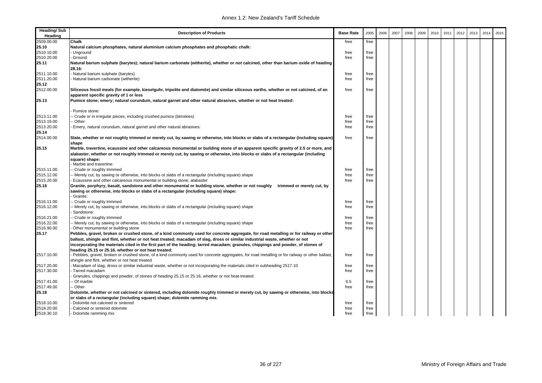| <b>Heading/Sub</b><br>Heading | <b>Description of Products</b>                                                                                                                 | <b>Base Rate</b> | 2005 | 2006 | 2007 | 2008 | 2009 | 2010 | 2011 | 2012 | 2013 | 2014 | 2015 |
|-------------------------------|------------------------------------------------------------------------------------------------------------------------------------------------|------------------|------|------|------|------|------|------|------|------|------|------|------|
| 2509.00.00                    | Chalk                                                                                                                                          | free             | free |      |      |      |      |      |      |      |      |      |      |
| 25.10                         | Natural calcium phosphates, natural aluminium calcium phosphates and phosphatic chalk:                                                         |                  |      |      |      |      |      |      |      |      |      |      |      |
| 2510.10.00                    | Unground                                                                                                                                       | free             | free |      |      |      |      |      |      |      |      |      |      |
| 2510.20.00                    | Ground                                                                                                                                         | free             | free |      |      |      |      |      |      |      |      |      |      |
| 25.11                         | Natural barium sulphate (barytes); natural barium carbonate (witherite), whether or not calcined, other than barium oxide of heading           |                  |      |      |      |      |      |      |      |      |      |      |      |
|                               | 28.16:                                                                                                                                         |                  |      |      |      |      |      |      |      |      |      |      |      |
| 2511.10.00                    | Natural barium sulphate (barytes)                                                                                                              | free             | free |      |      |      |      |      |      |      |      |      |      |
| 2511.20.00                    | Natural barium carbonate (witherite)                                                                                                           | free             | free |      |      |      |      |      |      |      |      |      |      |
| 25.12                         |                                                                                                                                                |                  |      |      |      |      |      |      |      |      |      |      |      |
| 2512.00.00                    | Siliceous fossil meals (for example, kieselguhr, tripolite and diatomite) and similar siliceous earths, whether or not calcined, of an         | free             | free |      |      |      |      |      |      |      |      |      |      |
|                               | apparent specific gravity of 1 or less                                                                                                         |                  |      |      |      |      |      |      |      |      |      |      |      |
| 25.13                         | Pumice stone; emery; natural corundum, natural garnet and other natural abrasives, whether or not heat treated:                                |                  |      |      |      |      |      |      |      |      |      |      |      |
|                               |                                                                                                                                                |                  |      |      |      |      |      |      |      |      |      |      |      |
|                               | Pumice stone:                                                                                                                                  |                  |      |      |      |      |      |      |      |      |      |      |      |
| 2513.11.00                    | - Crude or in irregular pieces, including crushed pumice (bimskies)                                                                            | free             | free |      |      |      |      |      |      |      |      |      |      |
| 2513.19.00                    | Other                                                                                                                                          | free             | free |      |      |      |      |      |      |      |      |      |      |
| 2513.20.00                    | Emery, natural corundum, natural garnet and other natural abrasives:                                                                           | free             | free |      |      |      |      |      |      |      |      |      |      |
| 25.14                         |                                                                                                                                                |                  |      |      |      |      |      |      |      |      |      |      |      |
| 2514.00.00                    | Slate, whether or not roughly trimmed or merely cut, by sawing or otherwise, into blocks or slabs of a rectangular (including square)          | free             | free |      |      |      |      |      |      |      |      |      |      |
|                               | shape                                                                                                                                          |                  |      |      |      |      |      |      |      |      |      |      |      |
| 25.15                         | Marble, travertine, ecaussine and other calcareous monumental or building stone of an apparent specific gravity of 2.5 or more, and            |                  |      |      |      |      |      |      |      |      |      |      |      |
|                               | alabaster, whether or not roughly trimmed or merely cut, by sawing or otherwise, into blocks or slabs of a rectangular (including              |                  |      |      |      |      |      |      |      |      |      |      |      |
|                               | square) shape:                                                                                                                                 |                  |      |      |      |      |      |      |      |      |      |      |      |
|                               | Marble and travertine:                                                                                                                         |                  |      |      |      |      |      |      |      |      |      |      |      |
| 2515.11.00                    | - Crude or roughly trimmed                                                                                                                     | free             | free |      |      |      |      |      |      |      |      |      |      |
| 2515.12.00                    | - Merely cut, by sawing or otherwise, into blocks or slabs of a rectangular (including square) shape                                           | free             | free |      |      |      |      |      |      |      |      |      |      |
| 2515.20.00                    | Ecaussine and other calcareous monumental or building stone; alabaster                                                                         | free             | free |      |      |      |      |      |      |      |      |      |      |
| 25.16                         | Granite, porphyry, basalt, sandstone and other monumental or building stone, whether or not roughly<br>trimmed or merely cut, by               |                  |      |      |      |      |      |      |      |      |      |      |      |
|                               | sawing or otherwise, into blocks or slabs of a rectangular (including square) shape:                                                           |                  |      |      |      |      |      |      |      |      |      |      |      |
|                               | Granite:                                                                                                                                       |                  |      |      |      |      |      |      |      |      |      |      |      |
| 2516.11.00                    | Crude or roughly trimmed                                                                                                                       | free             | free |      |      |      |      |      |      |      |      |      |      |
| 2516.12.00                    | - Merely cut, by sawing or otherwise, into blocks or slabs of a rectangular (including square) shape                                           | free             | free |      |      |      |      |      |      |      |      |      |      |
|                               | Sandstone:                                                                                                                                     |                  |      |      |      |      |      |      |      |      |      |      |      |
| 2516.21.00                    | - Crude or roughly trimmed                                                                                                                     | free             | free |      |      |      |      |      |      |      |      |      |      |
| 2516.22.00                    | Merely cut, by sawing or otherwise, into blocks or slabs of a rectangular (including square) shape                                             | free             | free |      |      |      |      |      |      |      |      |      |      |
| 2516.90.00                    | Other monumental or building stone                                                                                                             | free             | free |      |      |      |      |      |      |      |      |      |      |
| 25.17                         | Pebbles, gravel, broken or crushed stone, of a kind commonly used for concrete aggregate, for road metalling or for railway or other           |                  |      |      |      |      |      |      |      |      |      |      |      |
|                               | ballast, shingle and flint, whether or not heat treated; macadam of slag, dross or similar industrial waste, whether or not                    |                  |      |      |      |      |      |      |      |      |      |      |      |
|                               | incorporating the materials cited in the first part of the heading; tarred macadam; granules, chippings and powder, of stones of               |                  |      |      |      |      |      |      |      |      |      |      |      |
|                               | heading 25.15 or 25.16, whether or not heat treated:                                                                                           |                  |      |      |      |      |      |      |      |      |      |      |      |
| 2517.10.00                    | Pebbles, gravel, broken or crushed stone, of a kind commonly used for concrete aggregates, for road metalling or for railway or other ballast, | free             | free |      |      |      |      |      |      |      |      |      |      |
|                               | shingle and flint, whether or not heat treated                                                                                                 |                  |      |      |      |      |      |      |      |      |      |      |      |
| 2517.20.00                    | Macadam of slag, dross or similar industrial waste, whether or not incorporating the materials cited in subheading 2517.10                     | free             | free |      |      |      |      |      |      |      |      |      |      |
| 2517.30.00                    | Tarred macadam                                                                                                                                 | free             | free |      |      |      |      |      |      |      |      |      |      |
|                               | Granules, chippings and powder, of stones of heading 25.15 or 25.16, whether or not heat-treated:                                              |                  |      |      |      |      |      |      |      |      |      |      |      |
| 2517.41.00                    | Of marble                                                                                                                                      | 6.5              | free |      |      |      |      |      |      |      |      |      |      |
| 2517.49.00                    | Other                                                                                                                                          | free             | free |      |      |      |      |      |      |      |      |      |      |
| 25.18                         | Dolomite, whether or not calcined or sintered, including dolomite roughly trimmed or merely cut, by sawing or otherwise, into blocks           |                  |      |      |      |      |      |      |      |      |      |      |      |
|                               | or slabs of a rectangular (including square) shape; dolomite ramming mix.                                                                      |                  |      |      |      |      |      |      |      |      |      |      |      |
| 2518.10.00                    | Dolomite not calcined or sintered                                                                                                              | free             | free |      |      |      |      |      |      |      |      |      |      |
| 2518.20.00                    | Calcined or sintered dolomite                                                                                                                  | free             | free |      |      |      |      |      |      |      |      |      |      |
| 2518.30.10                    | - Dolomite ramming mix                                                                                                                         | free             | free |      |      |      |      |      |      |      |      |      |      |
|                               |                                                                                                                                                |                  |      |      |      |      |      |      |      |      |      |      |      |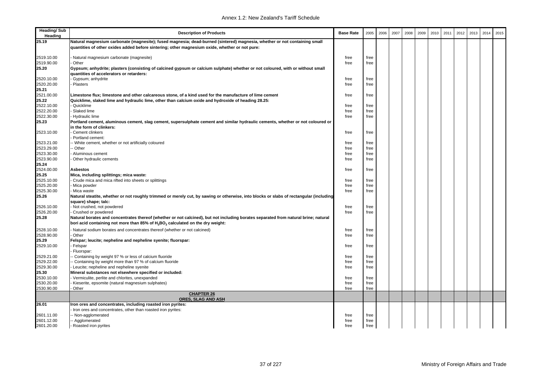| <b>Heading/Sub</b><br>Heading | <b>Description of Products</b>                                                                                                                                                                                              | <b>Base Rate</b> | 2005         | 2006 | 2007 | 2008 | 2009 | 2010 | 2011 | 2012 | 2013 | 2014 | 2015 |
|-------------------------------|-----------------------------------------------------------------------------------------------------------------------------------------------------------------------------------------------------------------------------|------------------|--------------|------|------|------|------|------|------|------|------|------|------|
| 25.19                         | Natural magnesium carbonate (magnesite); fused magnesia; dead-burned (sintered) magnesia, whether or not containing small<br>quantities of other oxides added before sintering; other magnesium oxide, whether or not pure: |                  |              |      |      |      |      |      |      |      |      |      |      |
| 2519.10.00                    | Natural magnesium carbonate (magnesite)                                                                                                                                                                                     | free             | free         |      |      |      |      |      |      |      |      |      |      |
| 2519.90.00                    | Other                                                                                                                                                                                                                       | free             | free         |      |      |      |      |      |      |      |      |      |      |
| 25.20                         | Gypsum; anhydrite; plasters (consisting of calcined gypsum or calcium sulphate) whether or not coloured, with or without small<br>quantities of accelerators or retarders:                                                  |                  |              |      |      |      |      |      |      |      |      |      |      |
| 2520.10.00                    | Gypsum; anhydrite                                                                                                                                                                                                           | free             | free         |      |      |      |      |      |      |      |      |      |      |
| 2520.20.00                    | Plasters                                                                                                                                                                                                                    | free             | free         |      |      |      |      |      |      |      |      |      |      |
| 25.21                         |                                                                                                                                                                                                                             |                  |              |      |      |      |      |      |      |      |      |      |      |
| 2521.00.00                    | Limestone flux; limestone and other calcareous stone, of a kind used for the manufacture of lime cement                                                                                                                     | free             | free         |      |      |      |      |      |      |      |      |      |      |
| 25.22                         | Quicklime, slaked lime and hydraulic lime, other than calcium oxide and hydroxide of heading 28.25:                                                                                                                         |                  |              |      |      |      |      |      |      |      |      |      |      |
| 2522.10.00                    | Quicklime                                                                                                                                                                                                                   | free             | free         |      |      |      |      |      |      |      |      |      |      |
| 2522.20.00                    | Slaked lime                                                                                                                                                                                                                 | free             | free         |      |      |      |      |      |      |      |      |      |      |
| 2522.30.00                    | Hydraulic lime                                                                                                                                                                                                              | free             | free         |      |      |      |      |      |      |      |      |      |      |
| 25.23                         | Portland cement, aluminous cement, slag cement, supersulphate cement and similar hydraulic cements, whether or not coloured or                                                                                              |                  |              |      |      |      |      |      |      |      |      |      |      |
|                               | in the form of clinkers:                                                                                                                                                                                                    |                  |              |      |      |      |      |      |      |      |      |      |      |
| 2523.10.00                    | Cement clinkers                                                                                                                                                                                                             | free             | free         |      |      |      |      |      |      |      |      |      |      |
|                               | Portland cement:                                                                                                                                                                                                            |                  |              |      |      |      |      |      |      |      |      |      |      |
| 2523.21.00                    | - White cement, whether or not artificially coloured                                                                                                                                                                        | free             | free         |      |      |      |      |      |      |      |      |      |      |
| 2523.29.00                    | - Other                                                                                                                                                                                                                     | free             | free         |      |      |      |      |      |      |      |      |      |      |
| 2523.30.00                    | Aluminous cement                                                                                                                                                                                                            | free             | free         |      |      |      |      |      |      |      |      |      |      |
| 2523.90.00                    | Other hydraulic cements                                                                                                                                                                                                     | free             | free         |      |      |      |      |      |      |      |      |      |      |
| 25.24                         |                                                                                                                                                                                                                             |                  |              |      |      |      |      |      |      |      |      |      |      |
| 2524.00.00                    | <b>Asbestos</b>                                                                                                                                                                                                             | free             | free         |      |      |      |      |      |      |      |      |      |      |
| 25.25                         | Mica, including splittings; mica waste:                                                                                                                                                                                     |                  |              |      |      |      |      |      |      |      |      |      |      |
| 2525.10.00                    | Crude mica and mica rifted into sheets or splittings                                                                                                                                                                        | free             | free         |      |      |      |      |      |      |      |      |      |      |
| 2525.20.00                    | Mica powder                                                                                                                                                                                                                 | free             | free         |      |      |      |      |      |      |      |      |      |      |
| 2525.30.00                    | Mica waste                                                                                                                                                                                                                  | free             | free         |      |      |      |      |      |      |      |      |      |      |
| 25.26                         | Natural steatite, whether or not roughly trimmed or merely cut, by sawing or otherwise, into blocks or slabs of rectangular (including                                                                                      |                  |              |      |      |      |      |      |      |      |      |      |      |
|                               | square) shape; talc:                                                                                                                                                                                                        |                  |              |      |      |      |      |      |      |      |      |      |      |
| 2526.10.00<br>2526.20.00      | Not crushed, not powdered                                                                                                                                                                                                   | free<br>free     | free<br>free |      |      |      |      |      |      |      |      |      |      |
| 25.28                         | Crushed or powdered<br>Natural borates and concentrates thereof (whether or not calcined), but not including borates separated from natural brine; natural                                                                  |                  |              |      |      |      |      |      |      |      |      |      |      |
|                               | bori acid containing not more than 85% of $H_3BO_3$ calculated on the dry weight:                                                                                                                                           |                  |              |      |      |      |      |      |      |      |      |      |      |
| 2528.10.00                    | Natural sodium borates and concentrates thereof (whether or not calcined)                                                                                                                                                   | free             | free         |      |      |      |      |      |      |      |      |      |      |
| 2528.90.00                    | Other                                                                                                                                                                                                                       | free             | free         |      |      |      |      |      |      |      |      |      |      |
| 25.29                         | Felspar; leucite; nepheline and nepheline syenite; fluorspar:                                                                                                                                                               |                  |              |      |      |      |      |      |      |      |      |      |      |
| 2529.10.00                    | Felspar                                                                                                                                                                                                                     | free             | free         |      |      |      |      |      |      |      |      |      |      |
|                               | Fluorspar:                                                                                                                                                                                                                  |                  |              |      |      |      |      |      |      |      |      |      |      |
| 2529.21.00                    | Containing by weight 97 % or less of calcium fluoride                                                                                                                                                                       | free             | free         |      |      |      |      |      |      |      |      |      |      |
| 2529.22.00                    | Containing by weight more than 97 % of calcium fluoride                                                                                                                                                                     | free             | free         |      |      |      |      |      |      |      |      |      |      |
| 2529.30.00                    | Leucite; nepheline and nepheline syenite                                                                                                                                                                                    | free             | free         |      |      |      |      |      |      |      |      |      |      |
| 25.30                         | Mineral substances not elsewhere specified or included:                                                                                                                                                                     |                  |              |      |      |      |      |      |      |      |      |      |      |
| 2530.10.00                    | Vermiculite, perlite and chlorites, unexpanded                                                                                                                                                                              | free             | free         |      |      |      |      |      |      |      |      |      |      |
| 2530.20.00                    | Kieserite, epsomite (natural magnesium sulphates)                                                                                                                                                                           | free             | free         |      |      |      |      |      |      |      |      |      |      |
| 2530.90.00                    | Other                                                                                                                                                                                                                       | free             | free         |      |      |      |      |      |      |      |      |      |      |
|                               | <b>CHAPTER 26</b><br>ORES, SLAG AND ASH                                                                                                                                                                                     |                  |              |      |      |      |      |      |      |      |      |      |      |
| 26.01                         | Iron ores and concentrates, including roasted iron pyrites:                                                                                                                                                                 |                  |              |      |      |      |      |      |      |      |      |      |      |
|                               | Iron ores and concentrates, other than roasted iron pyrites:                                                                                                                                                                |                  |              |      |      |      |      |      |      |      |      |      |      |
| 2601.11.00                    | - Non-agglomerated                                                                                                                                                                                                          | free             | free         |      |      |      |      |      |      |      |      |      |      |
| 2601.12.00                    | - Agglomerated                                                                                                                                                                                                              | free             | free         |      |      |      |      |      |      |      |      |      |      |
| 2601.20.00                    | - Roasted iron pyrites                                                                                                                                                                                                      | free             | free         |      |      |      |      |      |      |      |      |      |      |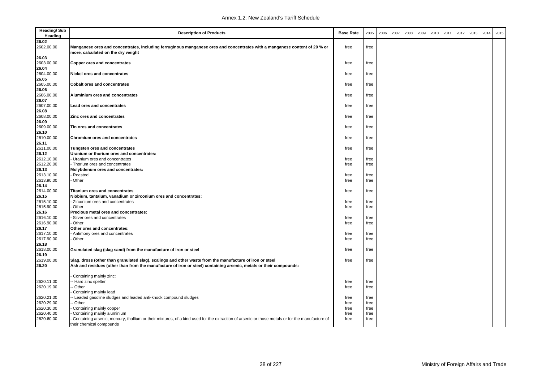| <b>Heading/Sub</b><br>Heading | <b>Description of Products</b>                                                                                                                                              | <b>Base Rate</b> | 2005 | 2006 | 2007 | 2008 | 2009 | 2010 | 2011 | 2012 | 2013 | 2014 | 2015 |
|-------------------------------|-----------------------------------------------------------------------------------------------------------------------------------------------------------------------------|------------------|------|------|------|------|------|------|------|------|------|------|------|
| 26.02                         |                                                                                                                                                                             |                  |      |      |      |      |      |      |      |      |      |      |      |
| 2602.00.00                    | Manganese ores and concentrates, including ferruginous manganese ores and concentrates with a manganese content of 20 % or<br>more, calculated on the dry weight            | free             | free |      |      |      |      |      |      |      |      |      |      |
| 26.03                         |                                                                                                                                                                             |                  |      |      |      |      |      |      |      |      |      |      |      |
| 2603.00.00                    | Copper ores and concentrates                                                                                                                                                | free             | free |      |      |      |      |      |      |      |      |      |      |
| 26.04                         |                                                                                                                                                                             |                  |      |      |      |      |      |      |      |      |      |      |      |
| 2604.00.00                    | Nickel ores and concentrates                                                                                                                                                | free             | free |      |      |      |      |      |      |      |      |      |      |
| 26.05                         |                                                                                                                                                                             |                  |      |      |      |      |      |      |      |      |      |      |      |
| 2605.00.00                    | <b>Cobalt ores and concentrates</b>                                                                                                                                         | free             | free |      |      |      |      |      |      |      |      |      |      |
| 26.06                         |                                                                                                                                                                             |                  |      |      |      |      |      |      |      |      |      |      |      |
| 2606.00.00                    | Aluminium ores and concentrates                                                                                                                                             | free             | free |      |      |      |      |      |      |      |      |      |      |
| 26.07                         |                                                                                                                                                                             |                  |      |      |      |      |      |      |      |      |      |      |      |
| 2607.00.00                    | Lead ores and concentrates                                                                                                                                                  | free             | free |      |      |      |      |      |      |      |      |      |      |
| 26.08                         |                                                                                                                                                                             |                  |      |      |      |      |      |      |      |      |      |      |      |
| 2608.00.00                    | Zinc ores and concentrates                                                                                                                                                  | free             | free |      |      |      |      |      |      |      |      |      |      |
| 26.09                         |                                                                                                                                                                             |                  |      |      |      |      |      |      |      |      |      |      |      |
| 2609.00.00                    | Tin ores and concentrates                                                                                                                                                   | free             | free |      |      |      |      |      |      |      |      |      |      |
| 26.10                         |                                                                                                                                                                             |                  |      |      |      |      |      |      |      |      |      |      |      |
| 2610.00.00                    | Chromium ores and concentrates                                                                                                                                              | free             | free |      |      |      |      |      |      |      |      |      |      |
| 26.11                         |                                                                                                                                                                             |                  |      |      |      |      |      |      |      |      |      |      |      |
| 2611.00.00                    | Tungsten ores and concentrates                                                                                                                                              | free             | free |      |      |      |      |      |      |      |      |      |      |
| 26.12                         | Uranium or thorium ores and concentrates:                                                                                                                                   |                  |      |      |      |      |      |      |      |      |      |      |      |
| 2612.10.00                    | Uranium ores and concentrates                                                                                                                                               | free             | free |      |      |      |      |      |      |      |      |      |      |
| 2612.20.00                    | Thorium ores and concentrates                                                                                                                                               | free             | free |      |      |      |      |      |      |      |      |      |      |
| 26.13                         | Molybdenum ores and concentrates:                                                                                                                                           |                  |      |      |      |      |      |      |      |      |      |      |      |
| 2613.10.00                    | Roasted                                                                                                                                                                     | free             | free |      |      |      |      |      |      |      |      |      |      |
| 2613.90.00                    | Other                                                                                                                                                                       | free             | free |      |      |      |      |      |      |      |      |      |      |
| 26.14                         |                                                                                                                                                                             |                  |      |      |      |      |      |      |      |      |      |      |      |
| 2614.00.00                    | <b>Titanium ores and concentrates</b>                                                                                                                                       | free             | free |      |      |      |      |      |      |      |      |      |      |
| 26.15                         | Niobium, tantalum, vanadium or zirconium ores and concentrates:                                                                                                             |                  |      |      |      |      |      |      |      |      |      |      |      |
| 2615.10.00                    | - Zirconium ores and concentrates<br>Other                                                                                                                                  | free             | free |      |      |      |      |      |      |      |      |      |      |
| 2615.90.00<br>26.16           | Precious metal ores and concentrates:                                                                                                                                       | free             | free |      |      |      |      |      |      |      |      |      |      |
| 2616.10.00                    | Silver ores and concentrates                                                                                                                                                | free             | free |      |      |      |      |      |      |      |      |      |      |
| 2616.90.00                    | Other                                                                                                                                                                       | free             | free |      |      |      |      |      |      |      |      |      |      |
| 26.17                         | Other ores and concentrates:                                                                                                                                                |                  |      |      |      |      |      |      |      |      |      |      |      |
| 2617.10.00                    | Antimony ores and concentrates                                                                                                                                              | free             | free |      |      |      |      |      |      |      |      |      |      |
| 2617.90.00                    | Other                                                                                                                                                                       | free             | free |      |      |      |      |      |      |      |      |      |      |
| 26.18                         |                                                                                                                                                                             |                  |      |      |      |      |      |      |      |      |      |      |      |
| 2618.00.00                    | Granulated slag (slag sand) from the manufacture of iron or steel                                                                                                           | free             | free |      |      |      |      |      |      |      |      |      |      |
| 26.19                         |                                                                                                                                                                             |                  |      |      |      |      |      |      |      |      |      |      |      |
| 2619.00.00                    | Slag, dross (other than granulated slag), scalings and other waste from the manufacture of iron or steel                                                                    | free             | free |      |      |      |      |      |      |      |      |      |      |
| 26.20                         | Ash and residues (other than from the manufacture of iron or steel) containing arsenic, metals or their compounds:                                                          |                  |      |      |      |      |      |      |      |      |      |      |      |
|                               | Containing mainly zinc:                                                                                                                                                     |                  |      |      |      |      |      |      |      |      |      |      |      |
| 2620.11.00                    | - Hard zinc spelter                                                                                                                                                         | free             | free |      |      |      |      |      |      |      |      |      |      |
| 2620.19.00                    | Other                                                                                                                                                                       | free             | free |      |      |      |      |      |      |      |      |      |      |
|                               | Containing mainly lead                                                                                                                                                      |                  |      |      |      |      |      |      |      |      |      |      |      |
| 2620.21.00                    | - Leaded gasoline sludges and leaded anti-knock compound sludges                                                                                                            | free             | free |      |      |      |      |      |      |      |      |      |      |
| 2620.29.00                    | - Other                                                                                                                                                                     | free             | free |      |      |      |      |      |      |      |      |      |      |
| 2620.30.00                    | Containing mainly copper                                                                                                                                                    | free             | free |      |      |      |      |      |      |      |      |      |      |
| 2620.40.00                    | Containing mainly aluminium                                                                                                                                                 | free             | free |      |      |      |      |      |      |      |      |      |      |
| 2620.60.00                    | Containing arsenic, mercury, thallium or their mixtures, of a kind used for the extraction of arsenic or those metals or for the manufacture of<br>their chemical compounds | free             | free |      |      |      |      |      |      |      |      |      |      |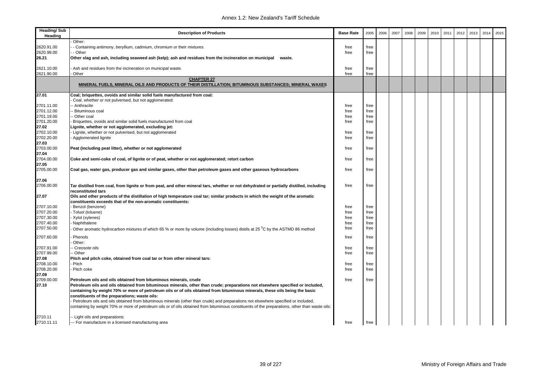| <b>Heading/Sub</b><br>Heading     | <b>Description of Products</b>                                                                                                                                                                                                                                                        | <b>Base Rate</b> | 2005         | 2006 | 2007 | 2008 | 2009 | 2010 | 2011 | 2012 | 2013 | 2014 | 2015 |
|-----------------------------------|---------------------------------------------------------------------------------------------------------------------------------------------------------------------------------------------------------------------------------------------------------------------------------------|------------------|--------------|------|------|------|------|------|------|------|------|------|------|
| 2620.91.00<br>2620.99.00<br>26.21 | Other:<br>- Containing antimony, beryllium, cadmium, chromium or their mixtures<br>- Other<br>Other slag and ash, including seaweed ash (kelp); ash and residues from the incineration on municipal<br>waste.                                                                         | free<br>free     | free<br>free |      |      |      |      |      |      |      |      |      |      |
| 2621.10.00                        | Ash and residues from the incineration on municipal waste.                                                                                                                                                                                                                            | free             | free         |      |      |      |      |      |      |      |      |      |      |
| 2621.90.00                        | Other<br><b>CHAPTER 27</b>                                                                                                                                                                                                                                                            | free             | free         |      |      |      |      |      |      |      |      |      |      |
|                                   | MINERAL FUELS, MINERAL OILS AND PRODUCTS OF THEIR DISTILLATION; BITUMINOUS SUBSTANCES; MINERAL WAXES                                                                                                                                                                                  |                  |              |      |      |      |      |      |      |      |      |      |      |
| 27.01                             | Coal; briquettes, ovoids and similar solid fuels manufactured from coal:<br>Coal, whether or not pulverised, but not agglomerated:                                                                                                                                                    |                  |              |      |      |      |      |      |      |      |      |      |      |
| 2701.11.00                        | - Anthracite                                                                                                                                                                                                                                                                          | free             | free         |      |      |      |      |      |      |      |      |      |      |
| 2701.12.00                        | - Bituminous coal                                                                                                                                                                                                                                                                     | free             | free         |      |      |      |      |      |      |      |      |      |      |
|                                   |                                                                                                                                                                                                                                                                                       |                  |              |      |      |      |      |      |      |      |      |      |      |
| 2701.19.00                        | - Other coal                                                                                                                                                                                                                                                                          | free             | free         |      |      |      |      |      |      |      |      |      |      |
| 2701.20.00                        | Briquettes, ovoids and similar solid fuels manufactured from coal                                                                                                                                                                                                                     | free             | free         |      |      |      |      |      |      |      |      |      |      |
| 27.02                             | Lignite, whether or not agglomerated, excluding jet:                                                                                                                                                                                                                                  |                  |              |      |      |      |      |      |      |      |      |      |      |
| 2702.10.00                        | Lignite, whether or not pulverised, but not agglomerated                                                                                                                                                                                                                              | free             | free         |      |      |      |      |      |      |      |      |      |      |
| 2702.20.00                        | Agglomerated lignite                                                                                                                                                                                                                                                                  | free             | free         |      |      |      |      |      |      |      |      |      |      |
| 27.03                             |                                                                                                                                                                                                                                                                                       |                  |              |      |      |      |      |      |      |      |      |      |      |
| 2703.00.00                        | Peat (including peat litter), whether or not agglomerated                                                                                                                                                                                                                             | free             | free         |      |      |      |      |      |      |      |      |      |      |
| 27.04                             |                                                                                                                                                                                                                                                                                       |                  |              |      |      |      |      |      |      |      |      |      |      |
| 2704.00.00                        | Coke and semi-coke of coal, of lignite or of peat, whether or not agglomerated; retort carbon                                                                                                                                                                                         | free             | free         |      |      |      |      |      |      |      |      |      |      |
| 27.05                             |                                                                                                                                                                                                                                                                                       |                  |              |      |      |      |      |      |      |      |      |      |      |
| 2705.00.00                        | Coal gas, water gas, producer gas and similar gases, other than petroleum gases and other gaseous hydrocarbons                                                                                                                                                                        | free             | free         |      |      |      |      |      |      |      |      |      |      |
|                                   |                                                                                                                                                                                                                                                                                       |                  |              |      |      |      |      |      |      |      |      |      |      |
| 27.06<br>2706.00.00               | Tar distilled from coal, from lignite or from peat, and other mineral tars, whether or not dehydrated or partially distilled, including                                                                                                                                               | free             | free         |      |      |      |      |      |      |      |      |      |      |
|                                   | reconstituted tars                                                                                                                                                                                                                                                                    |                  |              |      |      |      |      |      |      |      |      |      |      |
| 27.07                             | Oils and other products of the distillation of high temperature coal tar; similar products in which the weight of the aromatic<br>constituents exceeds that of the non-aromatic constituents:                                                                                         |                  |              |      |      |      |      |      |      |      |      |      |      |
| 2707.10.00                        | Benzol (benzene)                                                                                                                                                                                                                                                                      | free             | free         |      |      |      |      |      |      |      |      |      |      |
| 2707.20.00                        | - Toluol (toluene)                                                                                                                                                                                                                                                                    | free             | free         |      |      |      |      |      |      |      |      |      |      |
| 2707.30.00                        | - Xylol (xylenes)                                                                                                                                                                                                                                                                     | free             | free         |      |      |      |      |      |      |      |      |      |      |
| 2707.40.00                        | Naphthalene                                                                                                                                                                                                                                                                           | free             | free         |      |      |      |      |      |      |      |      |      |      |
| 2707.50.00                        | Other aromatic hydrocarbon mixtures of which 65 % or more by volume (including losses) distils at 25 °C by the ASTMD 86 method                                                                                                                                                        | free             | free         |      |      |      |      |      |      |      |      |      |      |
| 2707.60.00                        | Phenols                                                                                                                                                                                                                                                                               | free             | free         |      |      |      |      |      |      |      |      |      |      |
|                                   | Other:                                                                                                                                                                                                                                                                                |                  |              |      |      |      |      |      |      |      |      |      |      |
| 2707.91.00                        | - Creosote oils                                                                                                                                                                                                                                                                       | free             | free         |      |      |      |      |      |      |      |      |      |      |
| 2707.99.00                        | - Other                                                                                                                                                                                                                                                                               | free             | free         |      |      |      |      |      |      |      |      |      |      |
| 27.08                             | Pitch and pitch coke, obtained from coal tar or from other mineral tars:                                                                                                                                                                                                              |                  |              |      |      |      |      |      |      |      |      |      |      |
| 2708.10.00                        | Pitch                                                                                                                                                                                                                                                                                 | free             | free         |      |      |      |      |      |      |      |      |      |      |
| 2708.20.00                        | Pitch coke                                                                                                                                                                                                                                                                            | free             | free         |      |      |      |      |      |      |      |      |      |      |
| 27.09                             |                                                                                                                                                                                                                                                                                       |                  |              |      |      |      |      |      |      |      |      |      |      |
| 2709.00.00                        | Petroleum oils and oils obtained from bituminous minerals, crude                                                                                                                                                                                                                      | free             | free         |      |      |      |      |      |      |      |      |      |      |
| 27.10                             | Petroleum oils and oils obtained from bituminous minerals, other than crude; preparations not elsewhere specified or included,<br>containing by weight 70% or more of petroleum oils or of oils obtained from bituminous minerals, these oils being the basic                         |                  |              |      |      |      |      |      |      |      |      |      |      |
|                                   |                                                                                                                                                                                                                                                                                       |                  |              |      |      |      |      |      |      |      |      |      |      |
|                                   | constituents of the preparations: waste oils:                                                                                                                                                                                                                                         |                  |              |      |      |      |      |      |      |      |      |      |      |
|                                   | Petroleum oils and oils obtained from bituminous minerals (other than crude) and preparations not elsewhere specified or included,<br>containing by weight 70% or more of petroleum oils or of oils obtained from bituminous constituents of the preparations, other than waste oils: |                  |              |      |      |      |      |      |      |      |      |      |      |
|                                   |                                                                                                                                                                                                                                                                                       |                  |              |      |      |      |      |      |      |      |      |      |      |
| 2710.11                           | -- Light oils and preparations:                                                                                                                                                                                                                                                       |                  |              |      |      |      |      |      |      |      |      |      |      |
| 2710.11.11                        | --- For manufacture in a licensed manufacturing area                                                                                                                                                                                                                                  | free             | free         |      |      |      |      |      |      |      |      |      |      |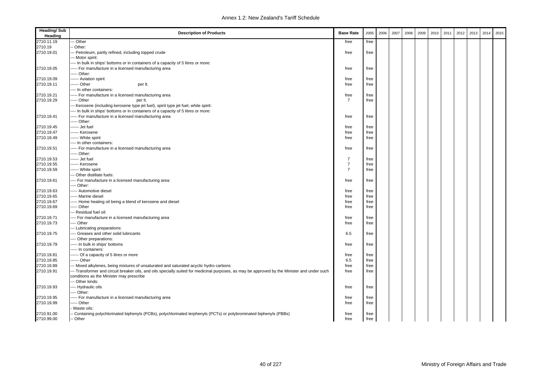| <b>Heading/Sub</b><br>Heading | <b>Description of Products</b>                                                                                                               | <b>Base Rate</b> | 2005 | 2006 | 2007 | 2008 | 2009 | 2010 | 2011 | 2012 | 2013 | 2014 | 2015 |
|-------------------------------|----------------------------------------------------------------------------------------------------------------------------------------------|------------------|------|------|------|------|------|------|------|------|------|------|------|
| 2710.11.19                    | -- Other                                                                                                                                     | free             | free |      |      |      |      |      |      |      |      |      |      |
| 2710.19                       | Other:                                                                                                                                       |                  |      |      |      |      |      |      |      |      |      |      |      |
| 2710.19.01                    | -- Petroleum, partly refined, including topped crude                                                                                         | free             | free |      |      |      |      |      |      |      |      |      |      |
|                               | -- Motor spirit:                                                                                                                             |                  |      |      |      |      |      |      |      |      |      |      |      |
|                               | --- In bulk in ships' bottoms or in containers of a capacity of 5 litres or more:                                                            |                  |      |      |      |      |      |      |      |      |      |      |      |
| 2710.19.05                    | ----- For manufacture in a licensed manufacturing area                                                                                       | free             | free |      |      |      |      |      |      |      |      |      |      |
|                               | ---- Other:                                                                                                                                  |                  |      |      |      |      |      |      |      |      |      |      |      |
| 2710.19.09                    | ----- Aviation spirit                                                                                                                        | free             | free |      |      |      |      |      |      |      |      |      |      |
| 2710.19.11                    | ------ Other<br>per It.                                                                                                                      | free             | free |      |      |      |      |      |      |      |      |      |      |
|                               | --- In other containers:                                                                                                                     |                  |      |      |      |      |      |      |      |      |      |      |      |
| 2710.19.21                    | ----- For manufacture in a licensed manufacturing area                                                                                       | free             | free |      |      |      |      |      |      |      |      |      |      |
| 2710.19.29                    | ---- Other<br>per It.                                                                                                                        | $\overline{7}$   | free |      |      |      |      |      |      |      |      |      |      |
|                               | -- Kerosene (including kerosene type jet fuel), spirit type jet fuel, white spirit:                                                          |                  |      |      |      |      |      |      |      |      |      |      |      |
|                               | --- In bulk in ships' bottoms or in containers of a capacity of 5 litres or more:                                                            |                  |      |      |      |      |      |      |      |      |      |      |      |
| 2710.19.41                    | ----- For manufacture in a licensed manufacturing area                                                                                       | free             | free |      |      |      |      |      |      |      |      |      |      |
|                               | ---- Other:                                                                                                                                  |                  |      |      |      |      |      |      |      |      |      |      |      |
| 2710.19.45                    | ------ Jet fuel                                                                                                                              | free             | free |      |      |      |      |      |      |      |      |      |      |
| 2710.19.47                    | ----- Kerosene                                                                                                                               | free             | free |      |      |      |      |      |      |      |      |      |      |
| 2710.19.49                    | ------ White spirit                                                                                                                          | free             | free |      |      |      |      |      |      |      |      |      |      |
|                               | ---- In other containers:                                                                                                                    |                  |      |      |      |      |      |      |      |      |      |      |      |
| 2710.19.51                    | ----- For manufacture in a licensed manufacturing area                                                                                       | free             | free |      |      |      |      |      |      |      |      |      |      |
|                               | ---- Other:                                                                                                                                  |                  |      |      |      |      |      |      |      |      |      |      |      |
| 2710.19.53                    | ------ Jet fuel                                                                                                                              | $\overline{7}$   | free |      |      |      |      |      |      |      |      |      |      |
| 2710.19.55                    | ----- Kerosene                                                                                                                               | $\overline{7}$   | free |      |      |      |      |      |      |      |      |      |      |
| 2710.19.59                    | ----- White spirit                                                                                                                           | $\overline{7}$   | free |      |      |      |      |      |      |      |      |      |      |
|                               | --- Other distillate fuels:                                                                                                                  |                  |      |      |      |      |      |      |      |      |      |      |      |
| 2710.19.61                    | --- For manufacture in a licensed manufacturing area:                                                                                        | free             | free |      |      |      |      |      |      |      |      |      |      |
|                               | --- Other:                                                                                                                                   |                  |      |      |      |      |      |      |      |      |      |      |      |
| 2710.19.63                    | ---- Automotive diesel                                                                                                                       | free             | free |      |      |      |      |      |      |      |      |      |      |
| 2710.19.65                    | ---- Marine diesel                                                                                                                           | free             | free |      |      |      |      |      |      |      |      |      |      |
| 2710.19.67                    | ----- Home heating oil being a blend of kerosene and diesel                                                                                  | free             | free |      |      |      |      |      |      |      |      |      |      |
| 2710.19.69                    | ---- Other                                                                                                                                   | free             | free |      |      |      |      |      |      |      |      |      |      |
|                               | -- Residual fuel oil:                                                                                                                        |                  |      |      |      |      |      |      |      |      |      |      |      |
| 2710.19.71                    | --- For manufacture in a licensed manufacturing area                                                                                         | free             | free |      |      |      |      |      |      |      |      |      |      |
| 2710.19.73                    | --- Other                                                                                                                                    | free             | free |      |      |      |      |      |      |      |      |      |      |
|                               | -- Lubricating preparations:                                                                                                                 |                  |      |      |      |      |      |      |      |      |      |      |      |
| 2710.19.75                    | ---- Greases and other solid lubricants                                                                                                      | 6.5              | free |      |      |      |      |      |      |      |      |      |      |
|                               | --- Other preparations:                                                                                                                      |                  |      |      |      |      |      |      |      |      |      |      |      |
| 2710.19.79                    | ----- In bulk in ships' bottoms                                                                                                              | free             | free |      |      |      |      |      |      |      |      |      |      |
|                               | ---- In containers:                                                                                                                          |                  |      |      |      |      |      |      |      |      |      |      |      |
| 2710.19.81                    | ----- Of a capacity of 5 litres or more                                                                                                      | free             | free |      |      |      |      |      |      |      |      |      |      |
| 2710.19.85                    | ----- Other                                                                                                                                  | 6.5              | free |      |      |      |      |      |      |      |      |      |      |
| 2710.19.89                    | -- Mixed alkylenes, being mixtures of unsaturated and saturated acyclic hydro carbons                                                        | free             | free |      |      |      |      |      |      |      |      |      |      |
| 2710.19.91                    | -- Transformer and circuit breaker oils, and oils specially suited for medicinal purposes, as may be approved by the Minister and under such | free             | free |      |      |      |      |      |      |      |      |      |      |
|                               | conditions as the Minister may prescribe<br>-- Other kinds:                                                                                  |                  |      |      |      |      |      |      |      |      |      |      |      |
|                               |                                                                                                                                              |                  |      |      |      |      |      |      |      |      |      |      |      |
| 2710.19.93                    | --- Hydraulic oils<br>--- Other:                                                                                                             | free             | free |      |      |      |      |      |      |      |      |      |      |
|                               |                                                                                                                                              |                  |      |      |      |      |      |      |      |      |      |      |      |
| 2710.19.95                    | ----- For manufacture in a licensed manufacturing area<br>---- Other                                                                         | free             | free |      |      |      |      |      |      |      |      |      |      |
| 2710.19.99                    |                                                                                                                                              | free             | free |      |      |      |      |      |      |      |      |      |      |
|                               | Waste oils:                                                                                                                                  |                  |      |      |      |      |      |      |      |      |      |      |      |
| 2710.91.00                    | Containing polychlorinated biphenyls (PCBs), polychlorinated terphenyls (PCTs) or polybrominated biphenyls (PBBs)                            | free             | free |      |      |      |      |      |      |      |      |      |      |
| 2710.99.00                    | - Other                                                                                                                                      | free             | free |      |      |      |      |      |      |      |      |      |      |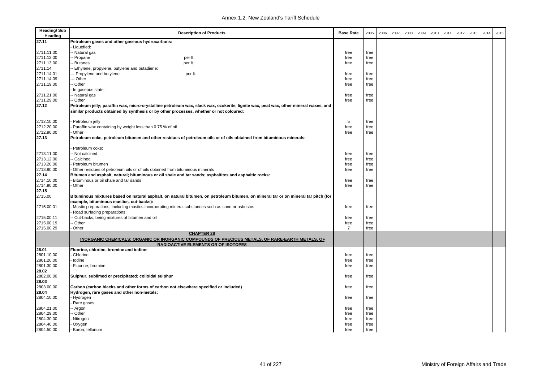| <b>Heading/Sub</b><br>Heading | <b>Description of Products</b>                                                                                                                                                                                                  | <b>Base Rate</b> | 2005 | 2006 | 2007 | 2008 | 2009 | 2010 | 2011 | 2012 | 2013 | 2014 | 2015 |
|-------------------------------|---------------------------------------------------------------------------------------------------------------------------------------------------------------------------------------------------------------------------------|------------------|------|------|------|------|------|------|------|------|------|------|------|
| 27.11                         | Petroleum gases and other gaseous hydrocarbons:                                                                                                                                                                                 |                  |      |      |      |      |      |      |      |      |      |      |      |
|                               | Liquefied:                                                                                                                                                                                                                      |                  |      |      |      |      |      |      |      |      |      |      |      |
| 2711.11.00                    | -- Natural gas                                                                                                                                                                                                                  | free             | free |      |      |      |      |      |      |      |      |      |      |
| 2711.12.00                    | - Propane<br>per It.                                                                                                                                                                                                            | free             | free |      |      |      |      |      |      |      |      |      |      |
| 2711.13.00                    | Butanes<br>per It.                                                                                                                                                                                                              | free             | free |      |      |      |      |      |      |      |      |      |      |
| 2711.14                       | - Ethylene, propylene, butylene and butadiene:                                                                                                                                                                                  |                  |      |      |      |      |      |      |      |      |      |      |      |
| 2711.14.01                    | --- Propylene and butylene<br>per It.                                                                                                                                                                                           | free             | free |      |      |      |      |      |      |      |      |      |      |
| 2711.14.09                    | -- Other                                                                                                                                                                                                                        | free             | free |      |      |      |      |      |      |      |      |      |      |
| 2711.19.00                    | - Other                                                                                                                                                                                                                         | free             | free |      |      |      |      |      |      |      |      |      |      |
|                               | In gaseous state:                                                                                                                                                                                                               |                  |      |      |      |      |      |      |      |      |      |      |      |
| 2711.21.00                    | -- Natural gas                                                                                                                                                                                                                  | free             | free |      |      |      |      |      |      |      |      |      |      |
| 2711.29.00                    | -- Other                                                                                                                                                                                                                        | free             | free |      |      |      |      |      |      |      |      |      |      |
| 27.12                         | Petroleum jelly; paraffin wax, micro-crystalline petroleum wax, slack wax, ozokerite, lignite wax, peat wax, other mineral waxes, and<br>similar products obtained by synthesis or by other processes, whether or not coloured: |                  |      |      |      |      |      |      |      |      |      |      |      |
| 2712.10.00                    |                                                                                                                                                                                                                                 | 5                | free |      |      |      |      |      |      |      |      |      |      |
| 2712.20.00                    | Petroleum jelly<br>Paraffin wax containing by weight less than 0.75 % of oil                                                                                                                                                    | free             | free |      |      |      |      |      |      |      |      |      |      |
| 2712.90.00                    | Other                                                                                                                                                                                                                           | free             | free |      |      |      |      |      |      |      |      |      |      |
| 27.13                         | Petroleum coke, petroleum bitumen and other residues of petroleum oils or of oils obtained from bituminous minerals:                                                                                                            |                  |      |      |      |      |      |      |      |      |      |      |      |
|                               |                                                                                                                                                                                                                                 |                  |      |      |      |      |      |      |      |      |      |      |      |
|                               | Petroleum coke:                                                                                                                                                                                                                 |                  |      |      |      |      |      |      |      |      |      |      |      |
| 2713.11.00                    | - Not calcined                                                                                                                                                                                                                  | free             | free |      |      |      |      |      |      |      |      |      |      |
| 2713.12.00                    | -- Calcined                                                                                                                                                                                                                     | free             | free |      |      |      |      |      |      |      |      |      |      |
| 2713.20.00                    | Petroleum bitumen                                                                                                                                                                                                               | free             | free |      |      |      |      |      |      |      |      |      |      |
| 2713.90.00                    | Other residues of petroleum oils or of oils obtained from bituminous minerals                                                                                                                                                   | free             | free |      |      |      |      |      |      |      |      |      |      |
| 27.14                         | Bitumen and asphalt, natural; bituminous or oil shale and tar sands; asphaltites and asphaltic rocks:                                                                                                                           |                  |      |      |      |      |      |      |      |      |      |      |      |
| 2714.10.00                    | Bituminous or oil shale and tar sands                                                                                                                                                                                           | free             | free |      |      |      |      |      |      |      |      |      |      |
| 2714.90.00                    | Other                                                                                                                                                                                                                           | free             | free |      |      |      |      |      |      |      |      |      |      |
| 27.15                         |                                                                                                                                                                                                                                 |                  |      |      |      |      |      |      |      |      |      |      |      |
| 2715.00                       | Bituminous mixtures based on natural asphalt, on natural bitumen, on petroleum bitumen, on mineral tar or on mineral tar pitch (for<br>example, bituminous mastics, cut-backs):                                                 |                  |      |      |      |      |      |      |      |      |      |      |      |
| 2715.00.01                    | - Mastic preparations, including mastics incorporating mineral substances such as sand or asbestos                                                                                                                              | free             | free |      |      |      |      |      |      |      |      |      |      |
|                               | Road surfacing preparations:                                                                                                                                                                                                    |                  |      |      |      |      |      |      |      |      |      |      |      |
| 2715.00.11                    | - Cut-backs, being mixtures of bitumen and oil                                                                                                                                                                                  | free             | free |      |      |      |      |      |      |      |      |      |      |
| 2715.00.19                    | - Other                                                                                                                                                                                                                         | free             | free |      |      |      |      |      |      |      |      |      |      |
| 2715.00.29                    | Other                                                                                                                                                                                                                           | $\overline{7}$   | free |      |      |      |      |      |      |      |      |      |      |
|                               | <b>CHAPTER 28</b><br>INORGANIC CHEMICALS; ORGANIC OR INORGANIC COMPOUNDS OF PRECIOUS METALS, OF RARE-EARTH METALS, OF<br><b>RADIOACTIVE ELEMENTS OR OF ISOTOPES</b>                                                             |                  |      |      |      |      |      |      |      |      |      |      |      |
| 28.01                         | Fluorine, chlorine, bromine and iodine:                                                                                                                                                                                         |                  |      |      |      |      |      |      |      |      |      |      |      |
| 2801.10.00                    | Chlorine                                                                                                                                                                                                                        | free             | free |      |      |      |      |      |      |      |      |      |      |
| 2801.20.00                    | lodine                                                                                                                                                                                                                          | free             | free |      |      |      |      |      |      |      |      |      |      |
| 2801.30.00                    | Fluorine; bromine                                                                                                                                                                                                               | free             | free |      |      |      |      |      |      |      |      |      |      |
| 28.02                         |                                                                                                                                                                                                                                 |                  |      |      |      |      |      |      |      |      |      |      |      |
| 2802.00.00                    | Sulphur, sublimed or precipitated; colloidal sulphur                                                                                                                                                                            | free             | free |      |      |      |      |      |      |      |      |      |      |
| 28.03                         |                                                                                                                                                                                                                                 |                  |      |      |      |      |      |      |      |      |      |      |      |
| 2803.00.00                    | Carbon (carbon blacks and other forms of carbon not elsewhere specified or included)                                                                                                                                            | free             | free |      |      |      |      |      |      |      |      |      |      |
| 28.04                         | Hydrogen, rare gases and other non-metals:                                                                                                                                                                                      |                  |      |      |      |      |      |      |      |      |      |      |      |
| 2804.10.00                    | - Hydrogen                                                                                                                                                                                                                      | free             | free |      |      |      |      |      |      |      |      |      |      |
|                               | Rare gases:                                                                                                                                                                                                                     |                  |      |      |      |      |      |      |      |      |      |      |      |
| 2804.21.00                    | - Argon                                                                                                                                                                                                                         | free             | free |      |      |      |      |      |      |      |      |      |      |
| 2804.29.00                    | - Other                                                                                                                                                                                                                         | free             | free |      |      |      |      |      |      |      |      |      |      |
| 2804.30.00                    | Nitrogen                                                                                                                                                                                                                        | free             | free |      |      |      |      |      |      |      |      |      |      |
| 2804.40.00                    | Oxygen                                                                                                                                                                                                                          | free             | free |      |      |      |      |      |      |      |      |      |      |
| 2804.50.00                    | Boron; tellurium                                                                                                                                                                                                                | free             | free |      |      |      |      |      |      |      |      |      |      |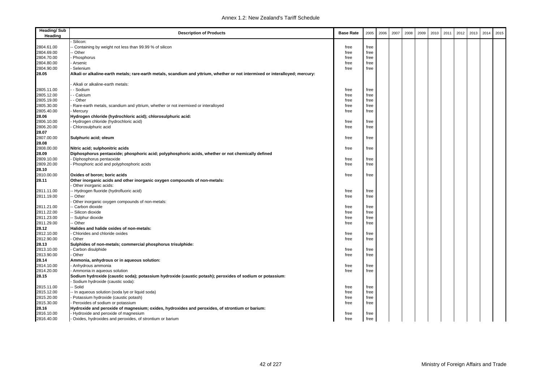| <b>Heading/Sub</b><br>Heading | <b>Description of Products</b>                                                                                                               | <b>Base Rate</b> | 2005 | 2006 | 2007 | 2008 | 2009 | 2010 | 2011 | 2012 | 2013 | 2014 | 2015 |
|-------------------------------|----------------------------------------------------------------------------------------------------------------------------------------------|------------------|------|------|------|------|------|------|------|------|------|------|------|
|                               | Silicon:                                                                                                                                     |                  |      |      |      |      |      |      |      |      |      |      |      |
| 2804.61.00                    | Containing by weight not less than 99.99 % of silicon                                                                                        | free             | free |      |      |      |      |      |      |      |      |      |      |
| 2804.69.00                    | · Other                                                                                                                                      | free             | free |      |      |      |      |      |      |      |      |      |      |
| 2804.70.00                    | Phosphorus                                                                                                                                   | free             | free |      |      |      |      |      |      |      |      |      |      |
| 2804.80.00                    | Arsenic                                                                                                                                      | free             | free |      |      |      |      |      |      |      |      |      |      |
| 2804.90.00                    | Selenium                                                                                                                                     | free             | free |      |      |      |      |      |      |      |      |      |      |
| 28.05                         | Alkali or alkaline-earth metals; rare-earth metals, scandium and yttrium, whether or not intermixed or interalloyed; mercury:                |                  |      |      |      |      |      |      |      |      |      |      |      |
|                               | Alkali or alkaline-earth metals:                                                                                                             |                  |      |      |      |      |      |      |      |      |      |      |      |
| 2805.11.00                    | - Sodium                                                                                                                                     | free             | free |      |      |      |      |      |      |      |      |      |      |
| 2805.12.00                    | - Calcium                                                                                                                                    | free             | free |      |      |      |      |      |      |      |      |      |      |
| 2805.19.00                    | - Other                                                                                                                                      | free             | free |      |      |      |      |      |      |      |      |      |      |
| 2805.30.00                    | Rare-earth metals, scandium and yttrium, whether or not inermixed or interalloyed                                                            | free             | free |      |      |      |      |      |      |      |      |      |      |
| 2805.40.00                    | Mercury                                                                                                                                      | free             | free |      |      |      |      |      |      |      |      |      |      |
| 28.06                         | Hydrogen chloride (hydrochloric acid); chlorosulphuric acid:                                                                                 |                  |      |      |      |      |      |      |      |      |      |      |      |
| 2806.10.00                    | Hydrogen chloride (hydrochloric acid)                                                                                                        | free             | free |      |      |      |      |      |      |      |      |      |      |
| 2806.20.00                    | Chlorosulphuric acid                                                                                                                         | free             | free |      |      |      |      |      |      |      |      |      |      |
| 28.07                         |                                                                                                                                              |                  |      |      |      |      |      |      |      |      |      |      |      |
| 2807.00.00                    | Sulphuric acid; oleum                                                                                                                        | free             | free |      |      |      |      |      |      |      |      |      |      |
| 28.08                         |                                                                                                                                              |                  |      |      |      |      |      |      |      |      |      |      |      |
| 2808.00.00                    | Nitric acid; sulphonitric acids                                                                                                              | free             | free |      |      |      |      |      |      |      |      |      |      |
| 28.09                         | Diphosphorus pentaoxide; phosphoric acid; polyphosphoric acids, whether or not chemically defined                                            |                  |      |      |      |      |      |      |      |      |      |      |      |
| 2809.10.00                    | Diphosphorus pentaoxide                                                                                                                      | free             | free |      |      |      |      |      |      |      |      |      |      |
| 2809.20.00                    | Phosphoric acid and polyphosphoric acids                                                                                                     | free             | free |      |      |      |      |      |      |      |      |      |      |
| 28.10                         |                                                                                                                                              |                  |      |      |      |      |      |      |      |      |      |      |      |
| 2810.00.00                    | Oxides of boron; boric acids                                                                                                                 | free             | free |      |      |      |      |      |      |      |      |      |      |
| 28.11                         | Other inorganic acids and other inorganic oxygen compounds of non-metals:                                                                    |                  |      |      |      |      |      |      |      |      |      |      |      |
|                               | Other inorganic acids:                                                                                                                       |                  |      |      |      |      |      |      |      |      |      |      |      |
| 2811.11.00                    | Hydrogen fluoride (hydrofluoric acid)                                                                                                        | free             | free |      |      |      |      |      |      |      |      |      |      |
| 2811.19.00                    | Other                                                                                                                                        | free             | free |      |      |      |      |      |      |      |      |      |      |
|                               | Other inorganic oxygen compounds of non-metals:                                                                                              |                  |      |      |      |      |      |      |      |      |      |      |      |
| 2811.21.00                    | Carbon dioxide                                                                                                                               | free             | free |      |      |      |      |      |      |      |      |      |      |
| 2811.22.00                    | Silicon dioxide                                                                                                                              | free             | free |      |      |      |      |      |      |      |      |      |      |
| 2811.23.00                    | Sulphur dioxide                                                                                                                              | free             | free |      |      |      |      |      |      |      |      |      |      |
| 2811.29.00                    | - Other                                                                                                                                      | free             | free |      |      |      |      |      |      |      |      |      |      |
| 28.12                         | Halides and halide oxides of non-metals:                                                                                                     |                  |      |      |      |      |      |      |      |      |      |      |      |
| 2812.10.00                    | Chlorides and chloride oxides                                                                                                                | free             | free |      |      |      |      |      |      |      |      |      |      |
| 2812.90.00                    | Other                                                                                                                                        | free             | free |      |      |      |      |      |      |      |      |      |      |
| 28.13                         | Sulphides of non-metals; commercial phosphorus trisulphide:                                                                                  |                  |      |      |      |      |      |      |      |      |      |      |      |
| 2813.10.00                    | Carbon disulphide                                                                                                                            | free             | free |      |      |      |      |      |      |      |      |      |      |
| 2813.90.00                    | Other                                                                                                                                        | free             | free |      |      |      |      |      |      |      |      |      |      |
| 28.14                         | Ammonia, anhydrous or in aqueous solution:                                                                                                   |                  |      |      |      |      |      |      |      |      |      |      |      |
| 2814.10.00                    | Anhydrous ammonia                                                                                                                            | free             | free |      |      |      |      |      |      |      |      |      |      |
| 2814.20.00                    | Ammonia in aqueous solution                                                                                                                  | free             | free |      |      |      |      |      |      |      |      |      |      |
| 28.15                         | Sodium hydroxide (caustic soda); potassium hydroxide (caustic potash); peroxides of sodium or potassium:<br>Sodium hydroxide (caustic soda): |                  |      |      |      |      |      |      |      |      |      |      |      |
| 2815.11.00                    | Solid                                                                                                                                        | free             | free |      |      |      |      |      |      |      |      |      |      |
| 2815.12.00                    | In aqueous solution (soda lye or liquid soda)                                                                                                | free             | free |      |      |      |      |      |      |      |      |      |      |
| 2815.20.00                    | Potassium hydroxide (caustic potash)                                                                                                         | free             | free |      |      |      |      |      |      |      |      |      |      |
| 2815.30.00                    | Peroxides of sodium or potassium                                                                                                             | free             | free |      |      |      |      |      |      |      |      |      |      |
| 28.16                         | Hydroxide and peroxide of magnesium; oxides, hydroxides and peroxides, of strontium or barium:                                               |                  |      |      |      |      |      |      |      |      |      |      |      |
| 2816.10.00                    | Hydroxide and peroxide of magnesium                                                                                                          | free             | free |      |      |      |      |      |      |      |      |      |      |
| 2816.40.00                    | - Oxides, hydroxides and peroxides, of strontium or barium                                                                                   | free             | free |      |      |      |      |      |      |      |      |      |      |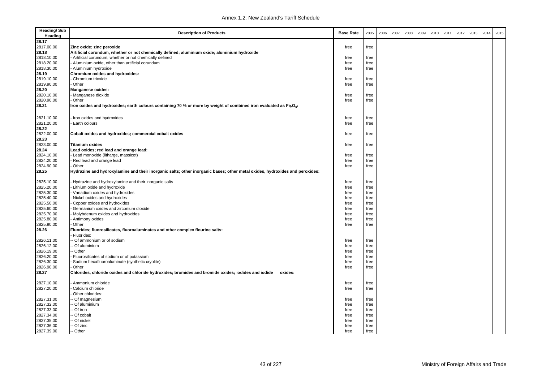| <b>Heading/Sub</b><br>Heading | <b>Description of Products</b>                                                                                                             | <b>Base Rate</b> | 2005 | 2006 | 2007 | 2008 | 2009 | 2010 | 2011 | 2012 | 2013 | 2014 | 2015 |
|-------------------------------|--------------------------------------------------------------------------------------------------------------------------------------------|------------------|------|------|------|------|------|------|------|------|------|------|------|
| 28.17                         |                                                                                                                                            |                  |      |      |      |      |      |      |      |      |      |      |      |
| 2817.00.00                    | Zinc oxide; zinc peroxide                                                                                                                  | free             | free |      |      |      |      |      |      |      |      |      |      |
| 28.18                         | Artificial corundum, whether or not chemically defined; aluminium oxide; aluminium hydroxide:                                              |                  |      |      |      |      |      |      |      |      |      |      |      |
| 2818.10.00                    | - Artificial corundum, whether or not chemically defined                                                                                   | free             | free |      |      |      |      |      |      |      |      |      |      |
| 2818.20.00                    | - Aluminium oxide, other than artificial corundum                                                                                          | free             | free |      |      |      |      |      |      |      |      |      |      |
| 2818.30.00                    | - Aluminium hydroxide                                                                                                                      | free             | free |      |      |      |      |      |      |      |      |      |      |
| 28.19                         | Chromium oxides and hydroxides:                                                                                                            |                  |      |      |      |      |      |      |      |      |      |      |      |
| 2819.10.00                    | Chromium trioxide                                                                                                                          | free             | free |      |      |      |      |      |      |      |      |      |      |
| 2819.90.00                    | Other                                                                                                                                      | free             | free |      |      |      |      |      |      |      |      |      |      |
| 28.20                         | Manganese oxides:                                                                                                                          |                  |      |      |      |      |      |      |      |      |      |      |      |
| 2820.10.00                    | Manganese dioxide<br>Other                                                                                                                 | free<br>free     | free |      |      |      |      |      |      |      |      |      |      |
| 2820.90.00                    |                                                                                                                                            |                  | free |      |      |      |      |      |      |      |      |      |      |
| 28.21                         | Iron oxides and hydroxides; earth colours containing 70 % or more by weight of combined iron evaluated as Fe <sub>2</sub> O <sub>3</sub> : |                  |      |      |      |      |      |      |      |      |      |      |      |
| 2821.10.00                    | Iron oxides and hydroxides                                                                                                                 | free             | free |      |      |      |      |      |      |      |      |      |      |
| 2821.20.00                    | Earth colours                                                                                                                              | free             | free |      |      |      |      |      |      |      |      |      |      |
| 28.22                         |                                                                                                                                            |                  |      |      |      |      |      |      |      |      |      |      |      |
| 2822.00.00                    | Cobalt oxides and hydroxides; commercial cobalt oxides                                                                                     | free             | free |      |      |      |      |      |      |      |      |      |      |
| 28.23                         |                                                                                                                                            |                  |      |      |      |      |      |      |      |      |      |      |      |
| 2823.00.00                    | <b>Titanium oxides</b>                                                                                                                     | free             | free |      |      |      |      |      |      |      |      |      |      |
| 28.24                         | Lead oxides; red lead and orange lead:                                                                                                     |                  |      |      |      |      |      |      |      |      |      |      |      |
| 2824.10.00                    | - Lead monoxide (litharge, massicot)                                                                                                       | free             | free |      |      |      |      |      |      |      |      |      |      |
| 2824.20.00                    | Red lead and orange lead                                                                                                                   | free             | free |      |      |      |      |      |      |      |      |      |      |
| 2824.90.00                    | Other                                                                                                                                      | free             | free |      |      |      |      |      |      |      |      |      |      |
| 28.25                         | Hydrazine and hydroxylamine and their inorganic salts; other inorganic bases; other metal oxides, hydroxides and peroxides:                |                  |      |      |      |      |      |      |      |      |      |      |      |
| 2825.10.00                    | Hydrazine and hydroxylamine and their inorganic salts                                                                                      | free             | free |      |      |      |      |      |      |      |      |      |      |
| 2825.20.00                    | Lithium oxide and hydroxide                                                                                                                | free             | free |      |      |      |      |      |      |      |      |      |      |
| 2825.30.00                    | Vanadium oxides and hydroxides                                                                                                             | free             | free |      |      |      |      |      |      |      |      |      |      |
| 2825.40.00                    | Nickel oxides and hydroxides                                                                                                               | free             | free |      |      |      |      |      |      |      |      |      |      |
| 2825.50.00                    | Copper oxides and hydroxides                                                                                                               | free             | free |      |      |      |      |      |      |      |      |      |      |
| 2825.60.00                    | Germanium oxides and zirconium dioxide                                                                                                     | free             | free |      |      |      |      |      |      |      |      |      |      |
| 2825.70.00                    | Molybdenum oxides and hydroxides                                                                                                           | free             | free |      |      |      |      |      |      |      |      |      |      |
| 2825.80.00                    | Antimony oxides                                                                                                                            | free             | free |      |      |      |      |      |      |      |      |      |      |
| 2825.90.00                    | Other                                                                                                                                      | free             | free |      |      |      |      |      |      |      |      |      |      |
| 28.26                         | Fluorides; fluorosilicates, fluoroaluminates and other complex flourine salts:<br>Fluorides:                                               |                  |      |      |      |      |      |      |      |      |      |      |      |
| 2826.11.00                    | - Of ammonium or of sodium                                                                                                                 | free             | free |      |      |      |      |      |      |      |      |      |      |
| 2826.12.00                    | - Of aluminium                                                                                                                             | free             | free |      |      |      |      |      |      |      |      |      |      |
| 2826.19.00                    | - Other                                                                                                                                    | free             | free |      |      |      |      |      |      |      |      |      |      |
| 2826.20.00                    | Fluorosilicates of sodium or of potassium                                                                                                  | free             | free |      |      |      |      |      |      |      |      |      |      |
| 2826.30.00                    | Sodium hexafluoroaluminate (synthetic cryolite)                                                                                            | free             | free |      |      |      |      |      |      |      |      |      |      |
| 2826.90.00                    | Other                                                                                                                                      | free             | free |      |      |      |      |      |      |      |      |      |      |
| 28.27                         | Chlorides, chloride oxides and chloride hydroxides; bromides and bromide oxides; iodides and iodide<br>oxides:                             |                  |      |      |      |      |      |      |      |      |      |      |      |
| 2827.10.00                    | Ammonium chloride                                                                                                                          | free             | free |      |      |      |      |      |      |      |      |      |      |
| 2827.20.00                    | Calcium chloride                                                                                                                           | free             | free |      |      |      |      |      |      |      |      |      |      |
|                               | Other chlorides:                                                                                                                           |                  |      |      |      |      |      |      |      |      |      |      |      |
| 2827.31.00                    | -- Of magnesium                                                                                                                            | free             | free |      |      |      |      |      |      |      |      |      |      |
| 2827.32.00                    | - Of aluminium                                                                                                                             | free             | free |      |      |      |      |      |      |      |      |      |      |
| 2827.33.00                    | - Of iron                                                                                                                                  | free             | free |      |      |      |      |      |      |      |      |      |      |
| 2827.34.00                    | Of cobalt                                                                                                                                  | free             | free |      |      |      |      |      |      |      |      |      |      |
| 2827.35.00                    | - Of nickel                                                                                                                                | free             | free |      |      |      |      |      |      |      |      |      |      |
| 2827.36.00                    | -- Of zinc                                                                                                                                 | free             | free |      |      |      |      |      |      |      |      |      |      |
| 2827.39.00                    | -- Other                                                                                                                                   | free             | free |      |      |      |      |      |      |      |      |      |      |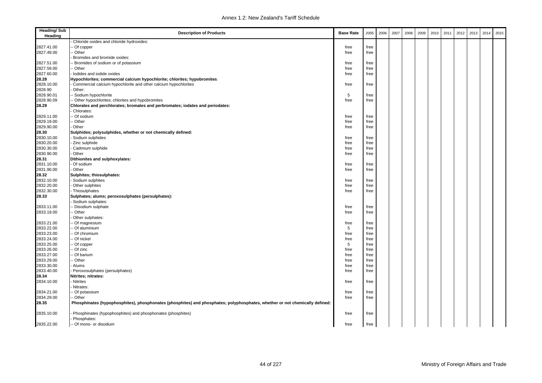| <b>Heading/Sub</b><br>Heading | <b>Description of Products</b>                                                                                              | <b>Base Rate</b> | 2005 | 2006 | 2007 | 2008 | 2009 | 2010 | 2011 | 2012 | 2013 | 2014 | 2015 |
|-------------------------------|-----------------------------------------------------------------------------------------------------------------------------|------------------|------|------|------|------|------|------|------|------|------|------|------|
|                               | Chloride oxides and chloride hydroxides:                                                                                    |                  |      |      |      |      |      |      |      |      |      |      |      |
| 2827.41.00                    | Of copper                                                                                                                   | free             | free |      |      |      |      |      |      |      |      |      |      |
| 2827.49.00                    | - Other                                                                                                                     | free             | free |      |      |      |      |      |      |      |      |      |      |
|                               | Bromides and bromide oxides:                                                                                                |                  |      |      |      |      |      |      |      |      |      |      |      |
| 2827.51.00                    | Bromides of sodium or of potassium                                                                                          | free             | free |      |      |      |      |      |      |      |      |      |      |
| 2827.59.00                    | - Other                                                                                                                     | free             | free |      |      |      |      |      |      |      |      |      |      |
| 2827.60.00                    | lodides and iodide oxides                                                                                                   | free             | free |      |      |      |      |      |      |      |      |      |      |
| 28.28                         | Hypochlorites; commercial calcium hypochlorite; chlorites; hypobromites:                                                    |                  |      |      |      |      |      |      |      |      |      |      |      |
| 2828.10.00                    | Commercial calcium hypochlorite and other calcium hypochlorites                                                             | free             | free |      |      |      |      |      |      |      |      |      |      |
| 2828.90                       | Other:                                                                                                                      |                  |      |      |      |      |      |      |      |      |      |      |      |
| 2828.90.01                    | - Sodium hypochlorite                                                                                                       | 5                | free |      |      |      |      |      |      |      |      |      |      |
| 2828.90.09                    | - Other hypochlorites; chlorites and hypobromites                                                                           | free             | free |      |      |      |      |      |      |      |      |      |      |
| 28.29                         | Chlorates and perchlorates; bromates and perbromates; iodates and periodates:<br>Chlorates:                                 |                  |      |      |      |      |      |      |      |      |      |      |      |
| 2829.11.00                    | - Of sodium                                                                                                                 | free             | free |      |      |      |      |      |      |      |      |      |      |
| 2829.19.00                    | - Other                                                                                                                     | free             | free |      |      |      |      |      |      |      |      |      |      |
| 2829.90.00                    | Other                                                                                                                       | free             | free |      |      |      |      |      |      |      |      |      |      |
| 28.30                         | Sulphides; polysulphides, whether or not chemically defined:                                                                |                  |      |      |      |      |      |      |      |      |      |      |      |
| 2830.10.00                    | Sodium sulphides                                                                                                            | free             | free |      |      |      |      |      |      |      |      |      |      |
| 2830.20.00                    | Zinc sulphide                                                                                                               | free             | free |      |      |      |      |      |      |      |      |      |      |
| 2830.30.00                    | Cadmium sulphide                                                                                                            | free             | free |      |      |      |      |      |      |      |      |      |      |
| 2830.90.00                    | Other                                                                                                                       | free             | free |      |      |      |      |      |      |      |      |      |      |
| 28.31                         | Dithionites and sulphoxylates:                                                                                              |                  |      |      |      |      |      |      |      |      |      |      |      |
| 2831.10.00                    | Of sodium                                                                                                                   | free             | free |      |      |      |      |      |      |      |      |      |      |
| 2831.90.00                    | Other                                                                                                                       | free             | free |      |      |      |      |      |      |      |      |      |      |
| 28.32                         | Sulphites; thiosulphates:                                                                                                   |                  |      |      |      |      |      |      |      |      |      |      |      |
| 2832.10.00                    | Sodium sulphites                                                                                                            | free             | free |      |      |      |      |      |      |      |      |      |      |
| 2832.20.00                    | Other sulphites                                                                                                             | free             | free |      |      |      |      |      |      |      |      |      |      |
| 2832.30.00                    | Thiosulphates                                                                                                               | free             | free |      |      |      |      |      |      |      |      |      |      |
| 28.33                         | Sulphates; alums; peroxosulphates (persulphates):                                                                           |                  |      |      |      |      |      |      |      |      |      |      |      |
|                               | Sodium sulphates:                                                                                                           |                  |      |      |      |      |      |      |      |      |      |      |      |
| 2833.11.00                    | - Disodium sulphate                                                                                                         | free             | free |      |      |      |      |      |      |      |      |      |      |
| 2833.19.00                    | - Other                                                                                                                     | free             | free |      |      |      |      |      |      |      |      |      |      |
|                               | Other sulphates:                                                                                                            |                  |      |      |      |      |      |      |      |      |      |      |      |
| 2833.21.00                    | - Of magnesium                                                                                                              | free             | free |      |      |      |      |      |      |      |      |      |      |
| 2833.22.00                    | - Of aluminium                                                                                                              | 5                | free |      |      |      |      |      |      |      |      |      |      |
| 2833.23.00                    | - Of chromium                                                                                                               | free             | free |      |      |      |      |      |      |      |      |      |      |
| 2833.24.00                    | - Of nickel                                                                                                                 | free             | free |      |      |      |      |      |      |      |      |      |      |
| 2833.25.00                    | Of copper                                                                                                                   | 5                | free |      |      |      |      |      |      |      |      |      |      |
| 2833.26.00                    | - Of zinc                                                                                                                   | free             | free |      |      |      |      |      |      |      |      |      |      |
| 2833.27.00                    | Of barium                                                                                                                   | free             | free |      |      |      |      |      |      |      |      |      |      |
| 2833.29.00                    | - Other                                                                                                                     | free             | free |      |      |      |      |      |      |      |      |      |      |
| 2833.30.00                    | Alums                                                                                                                       | free             | free |      |      |      |      |      |      |      |      |      |      |
| 2833.40.00                    | Peroxosulphates (persulphates)                                                                                              | free             | free |      |      |      |      |      |      |      |      |      |      |
| 28.34                         | Nitrites; nitrates:                                                                                                         |                  |      |      |      |      |      |      |      |      |      |      |      |
| 2834.10.00                    | <b>Nitrites</b>                                                                                                             | free             | free |      |      |      |      |      |      |      |      |      |      |
|                               | Nitrates:                                                                                                                   |                  |      |      |      |      |      |      |      |      |      |      |      |
| 2834.21.00                    | - Of potassium                                                                                                              | free             | free |      |      |      |      |      |      |      |      |      |      |
| 2834.29.00                    | - Other                                                                                                                     | free             | free |      |      |      |      |      |      |      |      |      |      |
| 28.35                         | Phosphinates (hypophosphites), phosphonates (phosphites) and phosphates; polyphosphates, whether or not chemically defined: |                  |      |      |      |      |      |      |      |      |      |      |      |
| 2835.10.00                    | Phosphinates (hypophosphites) and phosphonates (phosphites)                                                                 | free             | free |      |      |      |      |      |      |      |      |      |      |
|                               | Phosphates:                                                                                                                 |                  |      |      |      |      |      |      |      |      |      |      |      |
| 2835.22.00                    | -- Of mono- or disodium                                                                                                     | free             | free |      |      |      |      |      |      |      |      |      |      |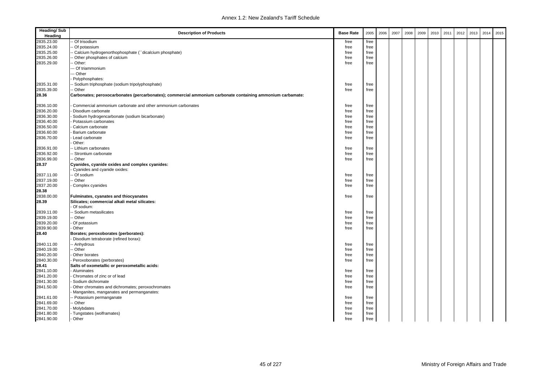| <b>Heading/Sub</b><br>Heading | <b>Description of Products</b>                                                                             | <b>Base Rate</b> | 2005 | 2006 | 2007 | 2008 | 2009 | 2010 | 2011 | 2012 | 2013 | 2014 | 2015 |
|-------------------------------|------------------------------------------------------------------------------------------------------------|------------------|------|------|------|------|------|------|------|------|------|------|------|
| 2835.23.00                    | Of trisodium                                                                                               | free             | free |      |      |      |      |      |      |      |      |      |      |
| 2835.24.00                    | Of potassium                                                                                               | free             | free |      |      |      |      |      |      |      |      |      |      |
| 2835.25.00                    | Calcium hydrogenorthophosphate (``dicalcium phosphate)                                                     | free             | free |      |      |      |      |      |      |      |      |      |      |
| 2835.26.00                    | Other phosphates of calcium                                                                                | free             | free |      |      |      |      |      |      |      |      |      |      |
| 2835.29.00                    | Other:                                                                                                     | free             | free |      |      |      |      |      |      |      |      |      |      |
|                               | - Of triammonium                                                                                           |                  |      |      |      |      |      |      |      |      |      |      |      |
|                               | -- Other                                                                                                   |                  |      |      |      |      |      |      |      |      |      |      |      |
|                               | Polyphosphates:                                                                                            |                  |      |      |      |      |      |      |      |      |      |      |      |
| 2835.31.00                    | Sodium triphosphate (sodium tripolyphosphate)                                                              | free             | free |      |      |      |      |      |      |      |      |      |      |
| 2835.39.00                    | Other                                                                                                      | free             | free |      |      |      |      |      |      |      |      |      |      |
| 28.36                         | Carbonates; peroxocarbonates (percarbonates); commercial ammonium carbonate containing ammonium carbamate: |                  |      |      |      |      |      |      |      |      |      |      |      |
|                               |                                                                                                            |                  |      |      |      |      |      |      |      |      |      |      |      |
| 2836.10.00                    | Commercial ammonium carbonate and other ammonium carbonates                                                | free             | free |      |      |      |      |      |      |      |      |      |      |
| 2836.20.00                    | Disodium carbonate                                                                                         | free             | free |      |      |      |      |      |      |      |      |      |      |
| 2836.30.00                    | Sodium hydrogencarbonate (sodium bicarbonate)                                                              | free             | free |      |      |      |      |      |      |      |      |      |      |
| 2836.40.00                    | Potassium carbonates                                                                                       | free             | free |      |      |      |      |      |      |      |      |      |      |
| 2836.50.00                    | Calcium carbonate                                                                                          | free             | free |      |      |      |      |      |      |      |      |      |      |
| 2836.60.00                    | Barium carbonate                                                                                           | free             | free |      |      |      |      |      |      |      |      |      |      |
| 2836.70.00                    | Lead carbonate                                                                                             | free             | free |      |      |      |      |      |      |      |      |      |      |
|                               | Other:                                                                                                     |                  |      |      |      |      |      |      |      |      |      |      |      |
| 2836.91.00                    | Lithium carbonates                                                                                         | free             | free |      |      |      |      |      |      |      |      |      |      |
| 2836.92.00                    | - Strontium carbonate                                                                                      | free             | free |      |      |      |      |      |      |      |      |      |      |
| 2836.99.00                    | Other                                                                                                      | free             | free |      |      |      |      |      |      |      |      |      |      |
| 28.37                         | Cyanides, cyanide oxides and complex cyanides:                                                             |                  |      |      |      |      |      |      |      |      |      |      |      |
|                               | Cyanides and cyanide oxides:                                                                               |                  |      |      |      |      |      |      |      |      |      |      |      |
| 2837.11.00                    | Of sodium                                                                                                  | free             | free |      |      |      |      |      |      |      |      |      |      |
| 2837.19.00                    | Other                                                                                                      | free             | free |      |      |      |      |      |      |      |      |      |      |
| 2837.20.00<br>28.38           | Complex cyanides                                                                                           | free             | free |      |      |      |      |      |      |      |      |      |      |
| 2838.00.00                    | Fulminates, cyanates and thiocyanates                                                                      | free             | free |      |      |      |      |      |      |      |      |      |      |
| 28.39                         | Silicates; commercial alkali metal silicates:                                                              |                  |      |      |      |      |      |      |      |      |      |      |      |
|                               | Of sodium:                                                                                                 |                  |      |      |      |      |      |      |      |      |      |      |      |
| 2839.11.00                    | Sodium metasilicates                                                                                       | free             | free |      |      |      |      |      |      |      |      |      |      |
| 2839.19.00                    | Other                                                                                                      | free             | free |      |      |      |      |      |      |      |      |      |      |
| 2839.20.00                    | Of potassium                                                                                               | free             | free |      |      |      |      |      |      |      |      |      |      |
| 2839.90.00                    | Other                                                                                                      | free             | free |      |      |      |      |      |      |      |      |      |      |
| 28.40                         | Borates; peroxoborates (perborates):                                                                       |                  |      |      |      |      |      |      |      |      |      |      |      |
|                               | Disodium tetraborate (refined borax):                                                                      |                  |      |      |      |      |      |      |      |      |      |      |      |
| 2840.11.00                    | - Anhydrous                                                                                                | free             | free |      |      |      |      |      |      |      |      |      |      |
| 2840.19.00                    | Other                                                                                                      | free             | free |      |      |      |      |      |      |      |      |      |      |
| 2840.20.00                    | Other borates                                                                                              | free             | free |      |      |      |      |      |      |      |      |      |      |
| 2840.30.00                    | Peroxoborates (perborates)                                                                                 | free             | free |      |      |      |      |      |      |      |      |      |      |
| 28.41                         | Salts of oxometallic or peroxometallic acids:                                                              |                  |      |      |      |      |      |      |      |      |      |      |      |
| 2841.10.00                    | Aluminates                                                                                                 | free             | free |      |      |      |      |      |      |      |      |      |      |
| 2841.20.00                    | Chromates of zinc or of lead                                                                               | free             | free |      |      |      |      |      |      |      |      |      |      |
| 2841.30.00                    | Sodium dichromate                                                                                          | free             | free |      |      |      |      |      |      |      |      |      |      |
| 2841.50.00                    | Other chromates and dichromates; peroxochromates                                                           | free             | free |      |      |      |      |      |      |      |      |      |      |
|                               | Manganites, manganates and permanganates:                                                                  |                  |      |      |      |      |      |      |      |      |      |      |      |
| 2841.61.00                    | Potassium permanganate                                                                                     | free             | free |      |      |      |      |      |      |      |      |      |      |
| 2841.69.00                    | - Other                                                                                                    | free             | free |      |      |      |      |      |      |      |      |      |      |
| 2841.70.00                    | Molybdates                                                                                                 | free             | free |      |      |      |      |      |      |      |      |      |      |
| 2841.80.00                    | - Tungstates (wolframates)                                                                                 | free             | free |      |      |      |      |      |      |      |      |      |      |
| 2841.90.00                    | Other                                                                                                      | free             | free |      |      |      |      |      |      |      |      |      |      |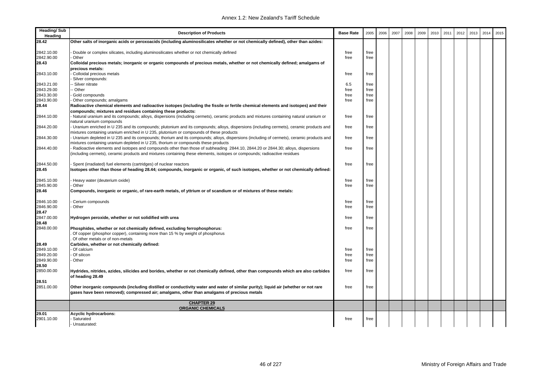| <b>Heading/Sub</b><br>Heading | <b>Description of Products</b>                                                                                                           | <b>Base Rate</b> | 2005         | 2006 | 2007 | 2008 | 2009 | 2010 | 2011 | 2012 | 2013 | 2014 | 2015 |
|-------------------------------|------------------------------------------------------------------------------------------------------------------------------------------|------------------|--------------|------|------|------|------|------|------|------|------|------|------|
| 28.42                         | Other salts of inorganic acids or peroxoacids (including aluminosilicates whether or not chemically defined), other than azides:         |                  |              |      |      |      |      |      |      |      |      |      |      |
|                               |                                                                                                                                          |                  |              |      |      |      |      |      |      |      |      |      |      |
| 2842.10.00                    | Double or complex silicates, including aluminosilicates whether or not chemically defined                                                | free             | free         |      |      |      |      |      |      |      |      |      |      |
| 2842.90.00                    | Other                                                                                                                                    | free             | free         |      |      |      |      |      |      |      |      |      |      |
| 28.43                         | Colloidal precious metals; inorganic or organic compounds of precious metals, whether or not chemically defined; amalgams of             |                  |              |      |      |      |      |      |      |      |      |      |      |
|                               | precious metals:                                                                                                                         |                  |              |      |      |      |      |      |      |      |      |      |      |
| 2843.10.00                    | Colloidal precious metals                                                                                                                | free             | free         |      |      |      |      |      |      |      |      |      |      |
|                               | Silver compounds:                                                                                                                        |                  |              |      |      |      |      |      |      |      |      |      |      |
| 2843.21.00                    | Silver nitrate                                                                                                                           | 6.5              | free         |      |      |      |      |      |      |      |      |      |      |
| 2843.29.00<br>2843.30.00      | Other                                                                                                                                    | free             | free         |      |      |      |      |      |      |      |      |      |      |
| 2843.90.00                    | Gold compounds<br>Other compounds; amalgams                                                                                              | free<br>free     | free<br>free |      |      |      |      |      |      |      |      |      |      |
| 28.44                         | Radioactive chemical elements and radioactive isotopes (including the fissile or fertile chemical elements and isotopes) and their       |                  |              |      |      |      |      |      |      |      |      |      |      |
|                               | compounds; mixtures and residues containing these products:                                                                              |                  |              |      |      |      |      |      |      |      |      |      |      |
| 2844.10.00                    | Natural uranium and its compounds; alloys, dispersions (including cermets), ceramic products and mixtures containing natural uranium or  | free             | free         |      |      |      |      |      |      |      |      |      |      |
|                               | natural uranium compounds                                                                                                                |                  |              |      |      |      |      |      |      |      |      |      |      |
| 2844.20.00                    | Uranium enriched in U 235 and its compounds; plutonium and its compounds; alloys, dispersions (including cermets), ceramic products and  | free             | free         |      |      |      |      |      |      |      |      |      |      |
|                               | mixtures containing uranium enriched in U 235, plutonium or compounds of these products                                                  |                  |              |      |      |      |      |      |      |      |      |      |      |
| 2844.30.00                    | Uranium depleted in U 235 and its compounds; thorium and its compounds; alloys, dispersions (including of cermets), ceramic products and | free             | free         |      |      |      |      |      |      |      |      |      |      |
|                               | mixtures containing uranium depleted in U 235, thorium or compounds these products                                                       |                  |              |      |      |      |      |      |      |      |      |      |      |
| 2844.40.00                    | Radioactive elements and isotopes and compounds other than those of subheading 2844.10, 2844.20 or 2844.30; alloys, dispersions          | free             | free         |      |      |      |      |      |      |      |      |      |      |
|                               | (including cermets), ceramic products and mixtures containing these elements, isotopes or compounds; radioactive residues                |                  |              |      |      |      |      |      |      |      |      |      |      |
|                               |                                                                                                                                          |                  |              |      |      |      |      |      |      |      |      |      |      |
| 2844.50.00                    | Spent (irradiated) fuel elements (cartridges) of nuclear reactors                                                                        | free             | free         |      |      |      |      |      |      |      |      |      |      |
| 28.45                         | Isotopes other than those of heading 28.44; compounds, inorganic or organic, of such isotopes, whether or not chemically defined:        |                  |              |      |      |      |      |      |      |      |      |      |      |
|                               |                                                                                                                                          |                  |              |      |      |      |      |      |      |      |      |      |      |
| 2845.10.00                    | Heavy water (deuterium oxide)                                                                                                            | free             | free         |      |      |      |      |      |      |      |      |      |      |
| 2845.90.00                    | Other                                                                                                                                    | free             | free         |      |      |      |      |      |      |      |      |      |      |
| 28.46                         | Compounds, inorganic or organic, of rare-earth metals, of yttrium or of scandium or of mixtures of these metals:                         |                  |              |      |      |      |      |      |      |      |      |      |      |
| 2846.10.00                    | Cerium compounds                                                                                                                         | free             | free         |      |      |      |      |      |      |      |      |      |      |
| 2846.90.00                    | Other                                                                                                                                    | free             | free         |      |      |      |      |      |      |      |      |      |      |
| 28.47                         |                                                                                                                                          |                  |              |      |      |      |      |      |      |      |      |      |      |
| 2847.00.00                    | Hydrogen peroxide, whether or not solidified with urea                                                                                   | free             | free         |      |      |      |      |      |      |      |      |      |      |
| 28.48                         |                                                                                                                                          |                  |              |      |      |      |      |      |      |      |      |      |      |
| 2848.00.00                    | Phosphides, whether or not chemically defined, excluding ferrophosphorus:                                                                | free             | free         |      |      |      |      |      |      |      |      |      |      |
|                               | Of copper (phosphor copper), containing more than 15 % by weight of phosphorus                                                           |                  |              |      |      |      |      |      |      |      |      |      |      |
|                               | Of other metals or of non-metals                                                                                                         |                  |              |      |      |      |      |      |      |      |      |      |      |
| 28.49                         | Carbides, whether or not chemically defined:                                                                                             |                  |              |      |      |      |      |      |      |      |      |      |      |
| 2849.10.00                    | Of calcium                                                                                                                               | free             | free         |      |      |      |      |      |      |      |      |      |      |
| 2849.20.00                    | Of silicon                                                                                                                               | free             | free         |      |      |      |      |      |      |      |      |      |      |
| 2849.90.00                    | Other                                                                                                                                    | free             | free         |      |      |      |      |      |      |      |      |      |      |
| 28.50                         |                                                                                                                                          |                  |              |      |      |      |      |      |      |      |      |      |      |
| 2850.00.00                    | Hydrides, nitrides, azides, silicides and borides, whether or not chemically defined, other than compounds which are also carbides       | free             | free         |      |      |      |      |      |      |      |      |      |      |
| 28.51                         | of heading 28.49                                                                                                                         |                  |              |      |      |      |      |      |      |      |      |      |      |
| 2851.00.00                    | Other inorganic compounds (including distilled or conductivity water and water of similar purity); liquid air (whether or not rare       | free             | free         |      |      |      |      |      |      |      |      |      |      |
|                               | gases have been removed); compressed air; amalgams, other than amalgams of precious metals                                               |                  |              |      |      |      |      |      |      |      |      |      |      |
|                               |                                                                                                                                          |                  |              |      |      |      |      |      |      |      |      |      |      |
|                               | <b>CHAPTER 29</b>                                                                                                                        |                  |              |      |      |      |      |      |      |      |      |      |      |
|                               | <b>ORGANIC CHEMICALS</b>                                                                                                                 |                  |              |      |      |      |      |      |      |      |      |      |      |
| 29.01                         | <b>Acyclic hydrocarbons:</b>                                                                                                             |                  |              |      |      |      |      |      |      |      |      |      |      |
| 2901.10.00                    | Saturated                                                                                                                                | free             | free         |      |      |      |      |      |      |      |      |      |      |
|                               | - Unsaturated:                                                                                                                           |                  |              |      |      |      |      |      |      |      |      |      |      |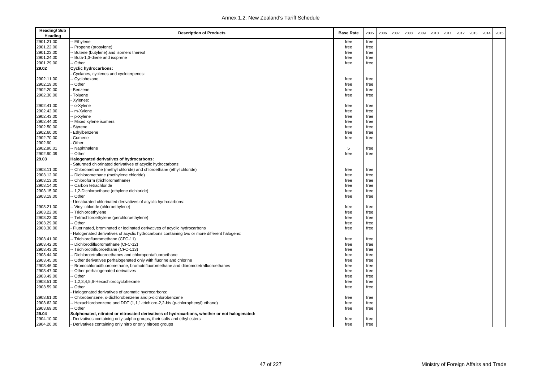| <b>Heading/Sub</b><br>Heading | <b>Description of Products</b>                                                               | <b>Base Rate</b> | 2005 | 2006 | 2007 | 2008 | 2009 | 2010 | 2011 | 2012 | 2013 | 2014 | 2015 |
|-------------------------------|----------------------------------------------------------------------------------------------|------------------|------|------|------|------|------|------|------|------|------|------|------|
| 2901.21.00                    | Ethylene                                                                                     | free             | free |      |      |      |      |      |      |      |      |      |      |
| 2901.22.00                    | Propene (propylene)                                                                          | free             | free |      |      |      |      |      |      |      |      |      |      |
| 2901.23.00                    | Butene (butylene) and isomers thereof                                                        | free             | free |      |      |      |      |      |      |      |      |      |      |
| 2901.24.00                    | Buta-1,3-diene and isoprene                                                                  | free             | free |      |      |      |      |      |      |      |      |      |      |
| 2901.29.00                    | - Other                                                                                      | free             | free |      |      |      |      |      |      |      |      |      |      |
| 29.02                         | <b>Cyclic hydrocarbons:</b>                                                                  |                  |      |      |      |      |      |      |      |      |      |      |      |
|                               | Cyclanes, cyclenes and cycloterpenes:                                                        |                  |      |      |      |      |      |      |      |      |      |      |      |
| 2902.11.00                    | - Cyclohexane                                                                                | free             | free |      |      |      |      |      |      |      |      |      |      |
| 2902.19.00                    | - Other                                                                                      | free             | free |      |      |      |      |      |      |      |      |      |      |
| 2902.20.00                    | Benzene                                                                                      | free             | free |      |      |      |      |      |      |      |      |      |      |
| 2902.30.00                    | Toluene                                                                                      | free             | free |      |      |      |      |      |      |      |      |      |      |
|                               | Xylenes:                                                                                     |                  |      |      |      |      |      |      |      |      |      |      |      |
| 2902.41.00                    | o-Xylene                                                                                     | free             | free |      |      |      |      |      |      |      |      |      |      |
| 2902.42.00                    | m-Xylene                                                                                     | free             | free |      |      |      |      |      |      |      |      |      |      |
| 2902.43.00                    | - p-Xylene                                                                                   | free             | free |      |      |      |      |      |      |      |      |      |      |
| 2902.44.00                    | Mixed xylene isomers                                                                         | free             | free |      |      |      |      |      |      |      |      |      |      |
| 2902.50.00                    | Styrene                                                                                      | free             | free |      |      |      |      |      |      |      |      |      |      |
| 2902.60.00                    | Ethylbenzene                                                                                 | free             | free |      |      |      |      |      |      |      |      |      |      |
| 2902.70.00                    | Cumene                                                                                       | free             | free |      |      |      |      |      |      |      |      |      |      |
| 2902.90                       | Other:                                                                                       |                  |      |      |      |      |      |      |      |      |      |      |      |
| 2902.90.01                    | Naphthalene                                                                                  | 5                | free |      |      |      |      |      |      |      |      |      |      |
| 2902.90.09                    | - Other                                                                                      | free             | free |      |      |      |      |      |      |      |      |      |      |
| 29.03                         | Halogenated derivatives of hydrocarbons:                                                     |                  |      |      |      |      |      |      |      |      |      |      |      |
|                               | Saturated chlorinated derivatives of acyclic hydrocarbons:                                   |                  |      |      |      |      |      |      |      |      |      |      |      |
| 2903.11.00                    | Chloromethane (methyl chloride) and chloroethane (ethyl chloride)                            | free             | free |      |      |      |      |      |      |      |      |      |      |
| 2903.12.00                    | Dichloromethane (methylene chloride)                                                         | free             | free |      |      |      |      |      |      |      |      |      |      |
| 2903.13.00                    | Chloroform (trichloromethane)                                                                | free             | free |      |      |      |      |      |      |      |      |      |      |
| 2903.14.00                    | - Carbon tetrachloride                                                                       | free             | free |      |      |      |      |      |      |      |      |      |      |
| 2903.15.00                    | -- 1,2-Dichloroethane (ethylene dichloride)                                                  | free             | free |      |      |      |      |      |      |      |      |      |      |
| 2903.19.00                    | - Other                                                                                      | free             | free |      |      |      |      |      |      |      |      |      |      |
|                               | Unsaturated chlorinated derivatives of acyclic hydrocarbons:                                 |                  |      |      |      |      |      |      |      |      |      |      |      |
| 2903.21.00                    | - Vinyl chloride (chloroethylene)                                                            | free             | free |      |      |      |      |      |      |      |      |      |      |
| 2903.22.00                    | - Trichloroethylene                                                                          | free             | free |      |      |      |      |      |      |      |      |      |      |
| 2903.23.00                    | - Tetrachloroethylene (perchloroethylene)                                                    | free             | free |      |      |      |      |      |      |      |      |      |      |
| 2903.29.00                    | Other                                                                                        | free             | free |      |      |      |      |      |      |      |      |      |      |
| 2903.30.00                    | Fluorinated, brominated or iodinated derivatives of acyclic hydrocarbons                     | free             | free |      |      |      |      |      |      |      |      |      |      |
|                               | Halogenated derivatives of acyclic hydrocarbons containing two or more different halogens:   |                  |      |      |      |      |      |      |      |      |      |      |      |
| 2903.41.00                    | - Trichlorofluoromethane (CFC-11)                                                            | free             | free |      |      |      |      |      |      |      |      |      |      |
|                               |                                                                                              | free             | free |      |      |      |      |      |      |      |      |      |      |
| 2903.42.00<br>2903.43.00      | - Dichlorodifluoromethane (CFC-12)<br>-- Trichlorotrifluoroethane (CFC-113)                  |                  | free |      |      |      |      |      |      |      |      |      |      |
| 2903.44.00                    |                                                                                              | free             | free |      |      |      |      |      |      |      |      |      |      |
|                               | Dichlorotetrafluoroethanes and chloropentafluoroethane                                       | free             |      |      |      |      |      |      |      |      |      |      |      |
| 2903.45.00                    | Other derivatives perhalogenated only with fluorine and chlorine                             | free             | free |      |      |      |      |      |      |      |      |      |      |
| 2903.46.00                    | Bromochlorodifluoromethane, bromotrifluoromethane and dibromotetrafluoroethanes              | free             | free |      |      |      |      |      |      |      |      |      |      |
| 2903.47.00                    | Other perhalogenated derivatives                                                             | free             | free |      |      |      |      |      |      |      |      |      |      |
| 2903.49.00                    | Other                                                                                        | free             | free |      |      |      |      |      |      |      |      |      |      |
| 2903.51.00                    | -- 1,2,3,4,5,6-Hexachlorocyclohexane                                                         | free             | free |      |      |      |      |      |      |      |      |      |      |
| 2903.59.00                    | Other                                                                                        | free             | free |      |      |      |      |      |      |      |      |      |      |
|                               | Halogenated derivatives of aromatic hydrocarbons:                                            |                  |      |      |      |      |      |      |      |      |      |      |      |
| 2903.61.00                    | Chlorobenzene, o-dichlorobenzene and p-dichlorobenzene                                       | free             | free |      |      |      |      |      |      |      |      |      |      |
| 2903.62.00                    | Hexachlorobenzene and DDT (1,1,1-trichloro-2,2-bis (p-chlorophenyl) ethane)                  | free             | free |      |      |      |      |      |      |      |      |      |      |
| 2903.69.00                    | Other                                                                                        | free             | free |      |      |      |      |      |      |      |      |      |      |
| 29.04                         | Sulphonated, nitrated or nitrosated derivatives of hydrocarbons, whether or not halogenated: |                  |      |      |      |      |      |      |      |      |      |      |      |
| 2904.10.00                    | Derivatives containing only sulpho groups, their salts and ethyl esters                      | free             | free |      |      |      |      |      |      |      |      |      |      |
| 2904.20.00                    | - Derivatives containing only nitro or only nitroso groups                                   | free             | free |      |      |      |      |      |      |      |      |      |      |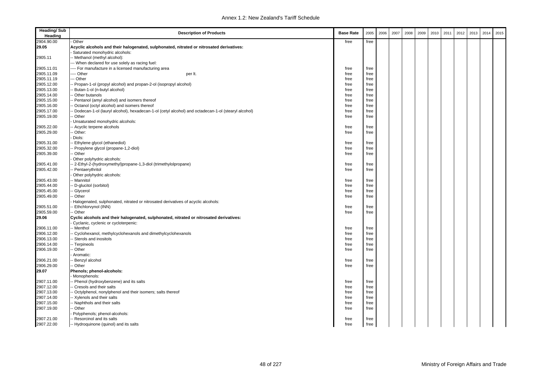| <b>Heading/Sub</b><br>Heading | <b>Description of Products</b>                                                                     | <b>Base Rate</b> | 2005 | 2006 | 2007 | 2008 | 2009 | 2010 | 2011 | 2012 | 2013 | 2014 | 2015 |
|-------------------------------|----------------------------------------------------------------------------------------------------|------------------|------|------|------|------|------|------|------|------|------|------|------|
| 2904.90.00                    | Other                                                                                              | free             | free |      |      |      |      |      |      |      |      |      |      |
| 29.05                         | Acyclic alcohols and their halogenated, sulphonated, nitrated or nitrosated derivatives:           |                  |      |      |      |      |      |      |      |      |      |      |      |
|                               | Saturated monohydric alcohols:                                                                     |                  |      |      |      |      |      |      |      |      |      |      |      |
| 2905.11                       | - Methanol (methyl alcohol):                                                                       |                  |      |      |      |      |      |      |      |      |      |      |      |
|                               | -- When declared for use solely as racing fuel:                                                    |                  |      |      |      |      |      |      |      |      |      |      |      |
| 2905.11.01                    | --- For manufacture in a licensed manufacturing area                                               | free             | free |      |      |      |      |      |      |      |      |      |      |
| 2905.11.09                    | --- Other<br>per It.                                                                               | free             | free |      |      |      |      |      |      |      |      |      |      |
| 2905.11.19                    | -- Other                                                                                           | free             | free |      |      |      |      |      |      |      |      |      |      |
| 2905.12.00                    | - Propan-1-ol (propyl alcohol) and propan-2-ol (isopropyl alcohol)                                 | free             | free |      |      |      |      |      |      |      |      |      |      |
| 2905.13.00                    | Butan-1-ol (n-butyl alcohol)                                                                       | free             | free |      |      |      |      |      |      |      |      |      |      |
| 2905.14.00                    | Other butanols                                                                                     | free             | free |      |      |      |      |      |      |      |      |      |      |
| 2905.15.00                    | Pentanol (amyl alcohol) and isomers thereof                                                        | free             | free |      |      |      |      |      |      |      |      |      |      |
| 2905.16.00                    | Octanol (octyl alcohol) and isomers thereof                                                        | free             | free |      |      |      |      |      |      |      |      |      |      |
| 2905.17.00                    | Dodecan-1-ol (lauryl alcohol), hexadecan-1-ol (cetyl alcohol) and octadecan-1-ol (stearyl alcohol) | free             | free |      |      |      |      |      |      |      |      |      |      |
| 2905.19.00                    | Other                                                                                              | free             | free |      |      |      |      |      |      |      |      |      |      |
|                               | Unsaturated monohydric alcohols:                                                                   |                  |      |      |      |      |      |      |      |      |      |      |      |
| 2905.22.00                    | Acyclic terpene alcohols                                                                           | free             | free |      |      |      |      |      |      |      |      |      |      |
| 2905.29.00                    | Other:                                                                                             | free             | free |      |      |      |      |      |      |      |      |      |      |
|                               | Diols:                                                                                             |                  |      |      |      |      |      |      |      |      |      |      |      |
| 2905.31.00                    | Ethylene glycol (ethanediol)                                                                       | free             | free |      |      |      |      |      |      |      |      |      |      |
| 2905.32.00                    | Propylene glycol (propane-1,2-diol)                                                                | free             | free |      |      |      |      |      |      |      |      |      |      |
| 2905.39.00                    | Other                                                                                              | free             | free |      |      |      |      |      |      |      |      |      |      |
|                               | Other polyhydric alcohols:                                                                         |                  |      |      |      |      |      |      |      |      |      |      |      |
| 2905.41.00                    | 2-Ethyl-2-(hydroxymethyl)propane-1,3-diol (trimethylolpropane)                                     | free             | free |      |      |      |      |      |      |      |      |      |      |
| 2905.42.00                    | Pentaerythritol                                                                                    | free             | free |      |      |      |      |      |      |      |      |      |      |
|                               | Other polyhydric alcohols:                                                                         |                  |      |      |      |      |      |      |      |      |      |      |      |
| 2905.43.00                    | Mannitol                                                                                           | free             | free |      |      |      |      |      |      |      |      |      |      |
| 2905.44.00                    | D-glucitol (sorbitol)                                                                              | free             | free |      |      |      |      |      |      |      |      |      |      |
| 2905.45.00                    | Glycerol                                                                                           | free             | free |      |      |      |      |      |      |      |      |      |      |
| 2905.49.00                    | Other                                                                                              | free             | free |      |      |      |      |      |      |      |      |      |      |
|                               | Halogenated, sulphonated, nitrated or nitrosated derivatives of acyclic alcohols:                  |                  |      |      |      |      |      |      |      |      |      |      |      |
| 2905.51.00                    | Ethchlorvynol (INN)                                                                                | free             | free |      |      |      |      |      |      |      |      |      |      |
| 2905.59.00                    | Other                                                                                              | free             | free |      |      |      |      |      |      |      |      |      |      |
| 29.06                         | Cyclic alcohols and their halogenated, sulphonated, nitrated or nitrosated derivatives:            |                  |      |      |      |      |      |      |      |      |      |      |      |
|                               | Cyclanic, cyclenic or cycloterpenic:                                                               |                  |      |      |      |      |      |      |      |      |      |      |      |
| 2906.11.00                    | - Menthol                                                                                          | free             | free |      |      |      |      |      |      |      |      |      |      |
| 2906.12.00                    | Cyclohexanol, methylcyclohexanols and dimethylcyclohexanols                                        | free             | free |      |      |      |      |      |      |      |      |      |      |
| 2906.13.00                    | Sterols and inositols                                                                              | free             | free |      |      |      |      |      |      |      |      |      |      |
| 2906.14.00                    | - Terpineols                                                                                       | free             | free |      |      |      |      |      |      |      |      |      |      |
| 2906.19.00                    | Other                                                                                              | free             | free |      |      |      |      |      |      |      |      |      |      |
|                               | Aromatic:                                                                                          |                  |      |      |      |      |      |      |      |      |      |      |      |
| 2906.21.00                    | Benzyl alcohol                                                                                     | free             | free |      |      |      |      |      |      |      |      |      |      |
| 2906.29.00                    | Other                                                                                              | free             | free |      |      |      |      |      |      |      |      |      |      |
| 29.07                         | Phenols; phenol-alcohols:                                                                          |                  |      |      |      |      |      |      |      |      |      |      |      |
|                               | Monophenols:                                                                                       |                  |      |      |      |      |      |      |      |      |      |      |      |
| 2907.11.00                    | - Phenol (hydroxybenzene) and its salts                                                            | free             | free |      |      |      |      |      |      |      |      |      |      |
| 2907.12.00                    | Cresols and their salts                                                                            | free             | free |      |      |      |      |      |      |      |      |      |      |
| 2907.13.00                    | Octylphenol, nonylphenol and their isomers; salts thereof                                          | free             | free |      |      |      |      |      |      |      |      |      |      |
| 2907.14.00                    | - Xylenols and their salts                                                                         | free             | free |      |      |      |      |      |      |      |      |      |      |
| 2907.15.00                    | - Naphthols and their salts                                                                        | free             | free |      |      |      |      |      |      |      |      |      |      |
| 2907.19.00                    | Other                                                                                              | free             | free |      |      |      |      |      |      |      |      |      |      |
|                               | Polyphenols; phenol-alcohols:                                                                      |                  |      |      |      |      |      |      |      |      |      |      |      |
| 2907.21.00                    | - Resorcinol and its salts                                                                         | free             | free |      |      |      |      |      |      |      |      |      |      |
| 2907.22.00                    | -- Hydroquinone (quinol) and its salts                                                             | free             | free |      |      |      |      |      |      |      |      |      |      |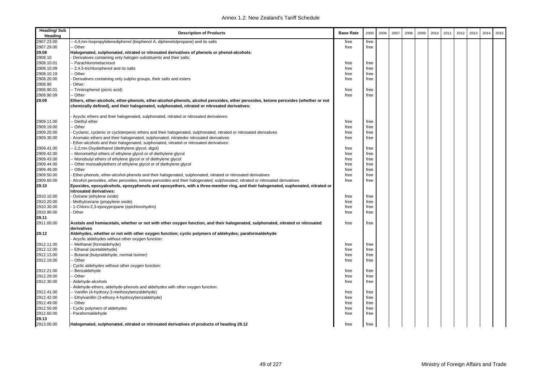| <b>Heading/Sub</b><br>Heading | <b>Description of Products</b>                                                                                                                | <b>Base Rate</b> | 2005 | 2006 | 2007 | 2008 | 2009 | 2010 | 2011 | 2012 | 2013 | 2014 | 2015 |
|-------------------------------|-----------------------------------------------------------------------------------------------------------------------------------------------|------------------|------|------|------|------|------|------|------|------|------|------|------|
| 2907.23.00                    | 4,4;mn-Isopropylidenediphenol (bisphenol A, diphenelolpropane) and its salts                                                                  | free             | free |      |      |      |      |      |      |      |      |      |      |
| 2907.29.00                    | · Other                                                                                                                                       | free             | free |      |      |      |      |      |      |      |      |      |      |
| 29.08                         | Halogenated, sulphonated, nitrated or nitrosated derivatives of phenols or phenol-alcohols:                                                   |                  |      |      |      |      |      |      |      |      |      |      |      |
| 2908.10                       | Derivatives containing only halogen substituents and their salts:                                                                             |                  |      |      |      |      |      |      |      |      |      |      |      |
| 2908.10.01                    | <b>Parachlorometacresol</b>                                                                                                                   | free             | free |      |      |      |      |      |      |      |      |      |      |
| 2908.10.09                    | 2,4,5-trichlorophenol and its salts                                                                                                           | free             | free |      |      |      |      |      |      |      |      |      |      |
| 2908.10.19                    | Other                                                                                                                                         | free             | free |      |      |      |      |      |      |      |      |      |      |
| 2908.20.00                    | Derivatives containing only sulpho groups, their salts and esters                                                                             | free             | free |      |      |      |      |      |      |      |      |      |      |
| 2908.90                       | Other:                                                                                                                                        |                  |      |      |      |      |      |      |      |      |      |      |      |
| 2908.90.01                    | - Trinitrophenol (picric acid)                                                                                                                | free             | free |      |      |      |      |      |      |      |      |      |      |
| 2908.90.09                    | Other                                                                                                                                         | free             | free |      |      |      |      |      |      |      |      |      |      |
| 29.09                         | Ethers, ether-alcohols, ether-phenols, ether-alcohol-phenols, alcohol peroxides, ether peroxides, ketone peroxides (whether or not            |                  |      |      |      |      |      |      |      |      |      |      |      |
|                               | chemically defined), and their halogenated, sulphonated, nitrated or nitrosated derivatives:                                                  |                  |      |      |      |      |      |      |      |      |      |      |      |
|                               | Acyclic ethers and their halogenated, sulphonated, nitrated or nitrosated derivatives:                                                        |                  |      |      |      |      |      |      |      |      |      |      |      |
| 2909.11.00                    | Diethyl ether                                                                                                                                 | free             | free |      |      |      |      |      |      |      |      |      |      |
| 2909.19.00                    | Other                                                                                                                                         | free             | free |      |      |      |      |      |      |      |      |      |      |
| 2909.20.00                    | Cyclanic, cyclenic or cycloterpenic ethers and their halogenated, sulphonated, nitrated or nitrosated derivatives                             | free             | free |      |      |      |      |      |      |      |      |      |      |
| 2909.30.00                    | Aromatic ethers and their halogenated, sulphonated, nitratedor nitrosated derivatives                                                         | free             | free |      |      |      |      |      |      |      |      |      |      |
|                               | Ether-alcohols and their halogenated, sulphonated, nitrated or nitrosated derivatives:                                                        |                  |      |      |      |      |      |      |      |      |      |      |      |
| 2909.41.00                    | 2,2;mn-Oxydiethanol (diethylene glycol, digol)                                                                                                | free             | free |      |      |      |      |      |      |      |      |      |      |
| 2909.42.00                    | Monomethyl ethers of ethylene glycol or of diethylene glycol                                                                                  | free             | free |      |      |      |      |      |      |      |      |      |      |
| 2909.43.00                    | Monobutyl ethers of ethylene glycol or of diethylene glycol                                                                                   | free             | free |      |      |      |      |      |      |      |      |      |      |
| 2909.44.00                    | Other monoalkylethers of ethylene glycol or of diethylene glycol                                                                              | free             | free |      |      |      |      |      |      |      |      |      |      |
| 2909.49.00                    | Other                                                                                                                                         | free             | free |      |      |      |      |      |      |      |      |      |      |
| 2909.50.00                    | Ether-phenols, ether-alcohol-phenols and their halogenated, sulphonated, nitrated or nitrosated derivatives                                   | free             | free |      |      |      |      |      |      |      |      |      |      |
| 2909.60.00                    | Alcohol peroxides, ether peroxides, ketone peroxides and their halogenated, sulphonated, nitrated or nitrosated derivatives                   | free             | free |      |      |      |      |      |      |      |      |      |      |
| 29.10                         | Epoxides, epoxyalcohols, epoxyphenols and epoxyethers, with a three-member ring, and their halogenated, suphonated, nitrated or               |                  |      |      |      |      |      |      |      |      |      |      |      |
|                               | nitrosated derivatives:                                                                                                                       |                  |      |      |      |      |      |      |      |      |      |      |      |
| 2910.10.00                    | Oxirane (ethylene oxide)                                                                                                                      | free             | free |      |      |      |      |      |      |      |      |      |      |
| 2910.20.00                    | Methyloxirane (propylene oxide)                                                                                                               | free             | free |      |      |      |      |      |      |      |      |      |      |
| 2910.30.00                    | 1-Chloro-2,3-epoxypropane (epichlorohydrin)                                                                                                   | free             | free |      |      |      |      |      |      |      |      |      |      |
| 2910.90.00                    | Other                                                                                                                                         | free             | free |      |      |      |      |      |      |      |      |      |      |
| 29.11                         |                                                                                                                                               |                  |      |      |      |      |      |      |      |      |      |      |      |
| 2911.00.00                    | Acetals and hemiacetals, whether or not with other oxygen function, and their halogenated, sulphonated, nitrated or nitrosated<br>derivatives | free             | free |      |      |      |      |      |      |      |      |      |      |
| 29.12                         | Aldehydes, whether or not with other oxygen function; cyclic polymers of aldehydes; paraformaldehyde                                          |                  |      |      |      |      |      |      |      |      |      |      |      |
|                               | Acyclic aldehydes without other oxygen function:                                                                                              |                  |      |      |      |      |      |      |      |      |      |      |      |
| 2912.11.00                    | - Methanal (formaldehyde)                                                                                                                     | free             | free |      |      |      |      |      |      |      |      |      |      |
| 2912.12.00                    | Ethanal (acetaldehyde)                                                                                                                        | free             | free |      |      |      |      |      |      |      |      |      |      |
| 2912.13.00                    | Butanal (butyraldehyde, normal isomer)                                                                                                        | free             | free |      |      |      |      |      |      |      |      |      |      |
| 2912.19.00                    | Other                                                                                                                                         | free             | free |      |      |      |      |      |      |      |      |      |      |
|                               | Cyclic aldehydes without other oxygen function:                                                                                               |                  |      |      |      |      |      |      |      |      |      |      |      |
| 2912.21.00                    | Benzaldehyde                                                                                                                                  | free             | free |      |      |      |      |      |      |      |      |      |      |
| 2912.29.00                    | Other                                                                                                                                         | free             | free |      |      |      |      |      |      |      |      |      |      |
| 2912.30.00                    | Aldehyde-alcohols                                                                                                                             | free             | free |      |      |      |      |      |      |      |      |      |      |
|                               | Aldehyde-ethers, aldehyde-phenols and aldehydes with other oxygen function:                                                                   |                  |      |      |      |      |      |      |      |      |      |      |      |
| 2912.41.00                    | - Vanillin (4-hydroxy-3-methoxybenzaldehyde)                                                                                                  | free             | free |      |      |      |      |      |      |      |      |      |      |
| 2912.42.00                    | Ethylvanillin (3-ethoxy-4-hydroxybenzaldehyde)                                                                                                | free             | free |      |      |      |      |      |      |      |      |      |      |
| 2912.49.00                    | Other                                                                                                                                         | free             | free |      |      |      |      |      |      |      |      |      |      |
| 2912.50.00                    | Cyclic polymers of aldehydes                                                                                                                  | free             | free |      |      |      |      |      |      |      |      |      |      |
| 2912.60.00                    | Paraformaldehyde                                                                                                                              | free             | free |      |      |      |      |      |      |      |      |      |      |
| 29.13                         |                                                                                                                                               |                  |      |      |      |      |      |      |      |      |      |      |      |
| 2913.00.00                    | Halogenated, sulphonated, nitrated or nitrosated derivatives of products of heading 29.12                                                     | free             | free |      |      |      |      |      |      |      |      |      |      |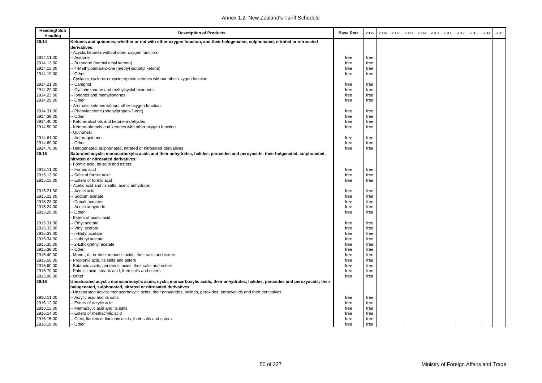| <b>Heading/Sub</b><br>Heading | <b>Description of Products</b>                                                                                                    | <b>Base Rate</b> | 2005         | 2006 | 2007 | 2008 | 2009 | 2010 | 2011 | 2012 | 2013 | 2014 | 2015 |
|-------------------------------|-----------------------------------------------------------------------------------------------------------------------------------|------------------|--------------|------|------|------|------|------|------|------|------|------|------|
| 29.14                         | Ketones and quinones, whether or not with other oxygen function, and their halogenated, sulphonated, nitrated or nitrosated       |                  |              |      |      |      |      |      |      |      |      |      |      |
|                               | derivatives:                                                                                                                      |                  |              |      |      |      |      |      |      |      |      |      |      |
|                               | Acyclic ketones without other oxygen function:                                                                                    |                  |              |      |      |      |      |      |      |      |      |      |      |
| 2914.11.00                    | Acetone                                                                                                                           | free             | free         |      |      |      |      |      |      |      |      |      |      |
| 2914.12.00                    | Butanone (methyl ethyl ketone)                                                                                                    | free             | free         |      |      |      |      |      |      |      |      |      |      |
| 2914.13.00                    | 4-Methylpentan-2-one (methyl isobutyl ketone)                                                                                     | free             | free         |      |      |      |      |      |      |      |      |      |      |
| 2914.19.00                    | Other                                                                                                                             | free             | free         |      |      |      |      |      |      |      |      |      |      |
|                               | Cyclanic, cyclenic or cycloterpenic ketones without other oxygen function:                                                        |                  |              |      |      |      |      |      |      |      |      |      |      |
| 2914.21.00                    | Camphor                                                                                                                           | free             | free         |      |      |      |      |      |      |      |      |      |      |
| 2914.22.00                    | Cyclohexanone and methylcyclohexanones                                                                                            | free             | free         |      |      |      |      |      |      |      |      |      |      |
| 2914.23.00                    | Ionones and methylionones                                                                                                         | free             | free         |      |      |      |      |      |      |      |      |      |      |
| 2914.29.00                    | Other                                                                                                                             | free             | free         |      |      |      |      |      |      |      |      |      |      |
|                               | Aromatic ketones without other oxygen function:                                                                                   |                  |              |      |      |      |      |      |      |      |      |      |      |
| 2914.31.00                    | Phenylacetone (phenylpropan-2-one)                                                                                                | free             | free         |      |      |      |      |      |      |      |      |      |      |
| 2914.39.00                    | Other                                                                                                                             | free             | free         |      |      |      |      |      |      |      |      |      |      |
| 2914.40.00                    | Ketone-alcohols and ketone-aldehydes                                                                                              | free             | free         |      |      |      |      |      |      |      |      |      |      |
| 2914.50.00                    | Ketone-phenols and ketones with other oxygen function                                                                             | free             | free         |      |      |      |      |      |      |      |      |      |      |
|                               | Quinones:                                                                                                                         |                  |              |      |      |      |      |      |      |      |      |      |      |
| 2914.61.00                    | - Anthraquinone                                                                                                                   | free             | free         |      |      |      |      |      |      |      |      |      |      |
| 2914.69.00                    | Other                                                                                                                             | free             | free         |      |      |      |      |      |      |      |      |      |      |
| 2914.70.00                    | Halogenated, sulphonated, nitrated or nitrosated derivatives                                                                      | free             | free         |      |      |      |      |      |      |      |      |      |      |
| 29.15                         | Saturated acyclic monocarboxylic acids and their anhydrides, halides, peroxides and peroyacids; their holgenated, sulphonated,    |                  |              |      |      |      |      |      |      |      |      |      |      |
|                               | nitrated or nitrosated derivatives:                                                                                               |                  |              |      |      |      |      |      |      |      |      |      |      |
|                               | Formic acid, its salts and esters:                                                                                                |                  |              |      |      |      |      |      |      |      |      |      |      |
| 2915.11.00                    | - Formic acid                                                                                                                     | free             | free         |      |      |      |      |      |      |      |      |      |      |
| 2915.12.00                    | Salts of formic acid                                                                                                              | free             | free         |      |      |      |      |      |      |      |      |      |      |
| 2915.13.00                    | <b>Esters of formic acid</b>                                                                                                      | free             | free         |      |      |      |      |      |      |      |      |      |      |
|                               | Acetic acid and its salts; acetic anhydride:                                                                                      |                  |              |      |      |      |      |      |      |      |      |      |      |
| 2915.21.00                    | Acetic acid                                                                                                                       | free             | free         |      |      |      |      |      |      |      |      |      |      |
| 2915.22.00                    | Sodium acetate                                                                                                                    | free             | free         |      |      |      |      |      |      |      |      |      |      |
| 2915.23.00                    | Cobalt acetates                                                                                                                   | free             | free         |      |      |      |      |      |      |      |      |      |      |
| 2915.24.00                    | Acetic anhydride                                                                                                                  | free             | free         |      |      |      |      |      |      |      |      |      |      |
| 2915.29.00                    | Other                                                                                                                             | free             | free         |      |      |      |      |      |      |      |      |      |      |
|                               | Esters of acetic acid:                                                                                                            |                  |              |      |      |      |      |      |      |      |      |      |      |
| 2915.31.00                    | Ethyl acetate                                                                                                                     | free             | free         |      |      |      |      |      |      |      |      |      |      |
| 2915.32.00                    | - Vinyl acetate                                                                                                                   | free             | free         |      |      |      |      |      |      |      |      |      |      |
| 2915.33.00                    | - n-Butyl acetate                                                                                                                 | free             | free         |      |      |      |      |      |      |      |      |      |      |
| 2915.34.00                    | - Isobutyl acetate                                                                                                                | free             | free         |      |      |      |      |      |      |      |      |      |      |
| 2915.35.00                    | 2-Ethoxyethyl acetate                                                                                                             | free             | free         |      |      |      |      |      |      |      |      |      |      |
| 2915.39.00                    | Other                                                                                                                             | free             | free         |      |      |      |      |      |      |      |      |      |      |
| 2915.40.00                    | Mono-, di- or trichloroacetic acids, their salts and esters                                                                       | free             | free         |      |      |      |      |      |      |      |      |      |      |
| 2915.50.00                    | Propionic acid, its salts and esters                                                                                              | free             | free         |      |      |      |      |      |      |      |      |      |      |
| 2915.60.00                    | Butanoic acids, pentanoic acids, their salts and esters                                                                           | free             | free         |      |      |      |      |      |      |      |      |      |      |
| 2915.70.00                    | Palmitic acid, stearic acid, their salts and esters                                                                               | free             | free         |      |      |      |      |      |      |      |      |      |      |
| 2915.90.00                    | Other                                                                                                                             | free             | free         |      |      |      |      |      |      |      |      |      |      |
| 29.16                         | Unsaturated acyclic monocarboxylic acids, cyclic moncarboxylic acids, their anhydrides, halides, peroxides and peroxyacids; their |                  |              |      |      |      |      |      |      |      |      |      |      |
|                               | halogenated, sulphonated, nitrated or nitrosated derivatives:                                                                     |                  |              |      |      |      |      |      |      |      |      |      |      |
|                               | Unsaturated acyclic monocarboxylic acids, their anhydrides, halides, peroxides, peroxyacids and their derivatives:                |                  |              |      |      |      |      |      |      |      |      |      |      |
| 2916.11.00<br>2916.12.00      | - Acrylic acid and its salts                                                                                                      | free             | free<br>free |      |      |      |      |      |      |      |      |      |      |
| 2916.13.00                    | Esters of acrylic acid<br>Methacrylic acid and its salts                                                                          | free<br>free     | free         |      |      |      |      |      |      |      |      |      |      |
| 2916.14.00                    |                                                                                                                                   |                  |              |      |      |      |      |      |      |      |      |      |      |
| 2916.15.00                    | Esters of methacrylic acid<br>Oleic, linoleic or linolenic acids, their salts and esters                                          | free             | free         |      |      |      |      |      |      |      |      |      |      |
|                               |                                                                                                                                   | free             | free         |      |      |      |      |      |      |      |      |      |      |
| 2916.19.00                    | -- Other                                                                                                                          | free             | free         |      |      |      |      |      |      |      |      |      |      |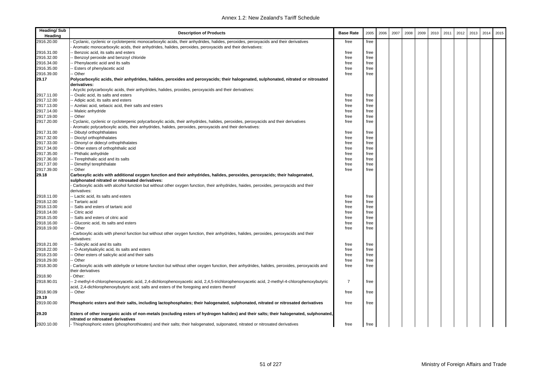| <b>Heading/Sub</b><br>Heading | <b>Description of Products</b>                                                                                                                                                                                                               | <b>Base Rate</b> | 2005 | 2006 | 2007 | 2008 | 2009 | 2010 | 2011 | 2012 | 2013 | 2014 | 2015 |
|-------------------------------|----------------------------------------------------------------------------------------------------------------------------------------------------------------------------------------------------------------------------------------------|------------------|------|------|------|------|------|------|------|------|------|------|------|
| 2916.20.00                    | Cyclanic, cyclenic or cycloterpenic monocarboxylic acids, their anhydrides, halides, peroxides, peroxyacids and their derivatives                                                                                                            | free             | free |      |      |      |      |      |      |      |      |      |      |
|                               | Aromatic monocarboxylic acids, their anhydrides, halides, peroxides, peroxyacids and their derivatives:                                                                                                                                      |                  |      |      |      |      |      |      |      |      |      |      |      |
| 2916.31.00                    | Benzoic acid, its salts and esters                                                                                                                                                                                                           | free             | free |      |      |      |      |      |      |      |      |      |      |
| 2916.32.00                    | Benzoyl peroxide and benzoyl chloride                                                                                                                                                                                                        | free             | free |      |      |      |      |      |      |      |      |      |      |
| 2916.34.00                    | Phenylacetic acid and its salts                                                                                                                                                                                                              | free             | free |      |      |      |      |      |      |      |      |      |      |
| 2916.35.00                    | - Esters of phenylacetic acid                                                                                                                                                                                                                | free             | free |      |      |      |      |      |      |      |      |      |      |
| 2916.39.00                    | - Other                                                                                                                                                                                                                                      | free             | free |      |      |      |      |      |      |      |      |      |      |
| 29.17                         | Polycarboxylic acids, their anhydrides, halides, peroxides and peroxyacids; their halogenated, sulphonated, nitrated or nitrosated                                                                                                           |                  |      |      |      |      |      |      |      |      |      |      |      |
|                               | derivatives:                                                                                                                                                                                                                                 |                  |      |      |      |      |      |      |      |      |      |      |      |
|                               | Acyclic polycarboxylic acids, their anhydrides, halides, proxides, peroxyacids and their derivatives:                                                                                                                                        |                  |      |      |      |      |      |      |      |      |      |      |      |
| 2917.11.00                    | - Oxalic acid, its salts and esters                                                                                                                                                                                                          | free             | free |      |      |      |      |      |      |      |      |      |      |
| 2917.12.00                    | -- Adipic acid, its salts and esters                                                                                                                                                                                                         | free             | free |      |      |      |      |      |      |      |      |      |      |
| 2917.13.00                    | - Azelaic acid, sebacic acid, their salts and esters                                                                                                                                                                                         | free             | free |      |      |      |      |      |      |      |      |      |      |
| 2917.14.00                    | - Maleic anhydride                                                                                                                                                                                                                           | free             | free |      |      |      |      |      |      |      |      |      |      |
| 2917.19.00                    | - Other                                                                                                                                                                                                                                      | free             | free |      |      |      |      |      |      |      |      |      |      |
| 2917.20.00                    | Cyclanic, cyclenic or cycloterpenic polycarboxylic acids, their anhydrides, halides, peroxides, peroxyacids and their derivatives<br>Aromatic polycarboxylic acids, their anhydrides, halides, peroxides, peroxyacids and their derivatives: | free             | free |      |      |      |      |      |      |      |      |      |      |
| 2917.31.00                    | - Dibutyl orthophthalates                                                                                                                                                                                                                    | free             | free |      |      |      |      |      |      |      |      |      |      |
| 2917.32.00                    | Dioctyl orthophthalates                                                                                                                                                                                                                      | free             | free |      |      |      |      |      |      |      |      |      |      |
| 2917.33.00                    | - Dinonyl or didecyl orthophthalates                                                                                                                                                                                                         | free             | free |      |      |      |      |      |      |      |      |      |      |
| 2917.34.00                    | - Other esters of orthophthalic acid                                                                                                                                                                                                         | free             | free |      |      |      |      |      |      |      |      |      |      |
| 2917.35.00                    | - Phthalic anhydride                                                                                                                                                                                                                         | free             | free |      |      |      |      |      |      |      |      |      |      |
| 2917.36.00                    | -- Terephthalic acid and its salts                                                                                                                                                                                                           | free             | free |      |      |      |      |      |      |      |      |      |      |
| 2917.37.00                    | - Dimethyl terephthalate                                                                                                                                                                                                                     | free             | free |      |      |      |      |      |      |      |      |      |      |
| 2917.39.00                    | - Other                                                                                                                                                                                                                                      | free             | free |      |      |      |      |      |      |      |      |      |      |
| 29.18                         | Carboxylic acids with additional oxygen function and their anhydrides, halides, peroxides, peroxyacids; their halogenated,                                                                                                                   |                  |      |      |      |      |      |      |      |      |      |      |      |
|                               | sulphonated nitrated or nitrosated derivatives:                                                                                                                                                                                              |                  |      |      |      |      |      |      |      |      |      |      |      |
|                               | Carboxylic acids with alcohol function but without other oxygen function, their anhydrides, haides, peroxides, peroxyacids and their                                                                                                         |                  |      |      |      |      |      |      |      |      |      |      |      |
|                               | derivatives:                                                                                                                                                                                                                                 |                  |      |      |      |      |      |      |      |      |      |      |      |
| 2918.11.00                    | -- Lactic acid, its salts and esters                                                                                                                                                                                                         | free             | free |      |      |      |      |      |      |      |      |      |      |
| 2918.12.00                    | -- Tartaric acid                                                                                                                                                                                                                             | free             | free |      |      |      |      |      |      |      |      |      |      |
| 2918.13.00                    | - Salts and esters of tartaric acid                                                                                                                                                                                                          | free             | free |      |      |      |      |      |      |      |      |      |      |
| 2918.14.00                    | - Citric acid                                                                                                                                                                                                                                | free             | free |      |      |      |      |      |      |      |      |      |      |
| 2918.15.00                    | - Salts and esters of citric acid                                                                                                                                                                                                            | free             | free |      |      |      |      |      |      |      |      |      |      |
| 2918.16.00                    | Gluconic acid, its salts and esters                                                                                                                                                                                                          | free             | free |      |      |      |      |      |      |      |      |      |      |
| 2918.19.00                    | - Other                                                                                                                                                                                                                                      | free             | free |      |      |      |      |      |      |      |      |      |      |
|                               | Carboxylic acids with phenol function but without other oxygen function, their anhydrides, halides, peroxides, peroxyacids and their                                                                                                         |                  |      |      |      |      |      |      |      |      |      |      |      |
|                               | derivatives:                                                                                                                                                                                                                                 |                  |      |      |      |      |      |      |      |      |      |      |      |
| 2918.21.00                    | - Salicylic acid and its salts                                                                                                                                                                                                               | free             | free |      |      |      |      |      |      |      |      |      |      |
| 2918.22.00                    | O-Acetylsalicylic acid, its salts and esters                                                                                                                                                                                                 | free             | free |      |      |      |      |      |      |      |      |      |      |
| 2918.23.00                    | - Other esters of salicylic acid and their salts                                                                                                                                                                                             | free             | free |      |      |      |      |      |      |      |      |      |      |
| 2918.29.00                    | - Other                                                                                                                                                                                                                                      | free             | free |      |      |      |      |      |      |      |      |      |      |
| 2918.30.00                    | Carboxylic acids with aldehyde or ketone function but without other oxygen function, their anhydrides, halides, peroxides, peroxyacids and                                                                                                   | free             | free |      |      |      |      |      |      |      |      |      |      |
|                               | their derivatives                                                                                                                                                                                                                            |                  |      |      |      |      |      |      |      |      |      |      |      |
| 2918.90                       | Other:                                                                                                                                                                                                                                       |                  |      |      |      |      |      |      |      |      |      |      |      |
| 2918.90.01                    | -- 2-methyl-4-chlorophenoxyacetic acid, 2,4-dichlorophenoxyacetic acid, 2,4,5-trichlorophenoxyacetic acid, 2-methyl-4-chlorophenoxybutyric<br>acid, 2,4-dichlorophenoxybutyric acid; salts and esters of the foregoing and esters thereof    | $\overline{7}$   | free |      |      |      |      |      |      |      |      |      |      |
| 2918.90.09                    | -- Other                                                                                                                                                                                                                                     | free             | free |      |      |      |      |      |      |      |      |      |      |
| 29.19                         |                                                                                                                                                                                                                                              |                  |      |      |      |      |      |      |      |      |      |      |      |
| 2919.00.00                    | Phosphoric esters and their salts, including lactophosphates; their halogenated, sulphonated, nitrated or nitrosated derivatives                                                                                                             | free             | free |      |      |      |      |      |      |      |      |      |      |
|                               |                                                                                                                                                                                                                                              |                  |      |      |      |      |      |      |      |      |      |      |      |
| 29.20                         | Esters of other inorganic acids of non-metals (excluding esters of hydrogen halides) and their salts; their halogenated, sulphonated,<br>nitrated or nitrosated derivatives                                                                  |                  |      |      |      |      |      |      |      |      |      |      |      |
| 2920.10.00                    | - Thiophosphoric esters (phosphorothioates) and their salts; their halogenated, sulponated, nitrated or nitrosated derivatives                                                                                                               | free             | free |      |      |      |      |      |      |      |      |      |      |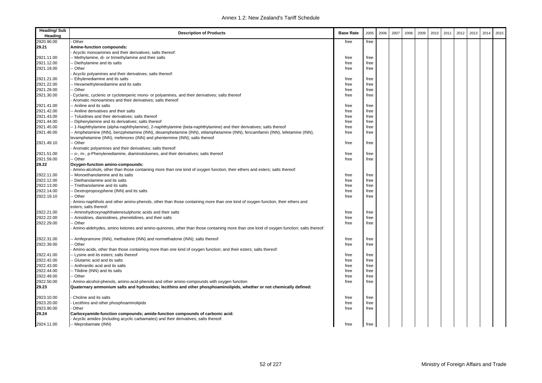| <b>Heading/Sub</b><br>Heading | <b>Description of Products</b>                                                                                                                                                                             | <b>Base Rate</b> | 2005 | 2006 | 2007 | 2008 | 2009 | 2010 | 2011 | 2012 | 2013 | 2014 | 2015 |
|-------------------------------|------------------------------------------------------------------------------------------------------------------------------------------------------------------------------------------------------------|------------------|------|------|------|------|------|------|------|------|------|------|------|
| 2920.90.00                    | Other                                                                                                                                                                                                      | free             | free |      |      |      |      |      |      |      |      |      |      |
| 29.21                         | Amine-function compounds:                                                                                                                                                                                  |                  |      |      |      |      |      |      |      |      |      |      |      |
|                               | Acyclic monoamines and their derivatives; salts thereof:                                                                                                                                                   |                  |      |      |      |      |      |      |      |      |      |      |      |
| 2921.11.00                    | - Methylamine, di- or trimethylamine and their salts                                                                                                                                                       | free             | free |      |      |      |      |      |      |      |      |      |      |
| 2921.12.00                    | - Diethylamine and its salts                                                                                                                                                                               | free             | free |      |      |      |      |      |      |      |      |      |      |
| 2921.19.00                    | - Other                                                                                                                                                                                                    | free             | free |      |      |      |      |      |      |      |      |      |      |
|                               | Acyclic polyamines and their derivatives; salts thereof:                                                                                                                                                   |                  |      |      |      |      |      |      |      |      |      |      |      |
| 2921.21.00                    | - Ethylenediamine and its salts                                                                                                                                                                            | free             | free |      |      |      |      |      |      |      |      |      |      |
| 2921.22.00                    | -- Hexamethylenediamine and its salts                                                                                                                                                                      | free             | free |      |      |      |      |      |      |      |      |      |      |
| 2921.29.00                    | - Other                                                                                                                                                                                                    | free             | free |      |      |      |      |      |      |      |      |      |      |
| 2921.30.00                    | Cyclanic, cyclenic or cycloterpenic mono- or polyamines, and their derivatives; salts thereof                                                                                                              | free             | free |      |      |      |      |      |      |      |      |      |      |
|                               | Aromatic monoamines and their derivatives; salts thereof:                                                                                                                                                  |                  |      |      |      |      |      |      |      |      |      |      |      |
| 2921.41.00                    | -- Aniline and its salts                                                                                                                                                                                   | free             | free |      |      |      |      |      |      |      |      |      |      |
| 2921.42.00                    | -- Aniline derivatives and their salts                                                                                                                                                                     | free             | free |      |      |      |      |      |      |      |      |      |      |
| 2921.43.00                    | -- Toluidines and their derivatives; salts thereof                                                                                                                                                         | free             | free |      |      |      |      |      |      |      |      |      |      |
| 2921.44.00                    | - Diphenylamine and its derivatives; salts thereof                                                                                                                                                         | free             | free |      |      |      |      |      |      |      |      |      |      |
| 2921.45.00                    | -- 1-Naphthylamine (alpha-naphthylamine), 2-naphthylamine (beta-naphthylamine) and their derivatives; salts thereof                                                                                        | free             | free |      |      |      |      |      |      |      |      |      |      |
| 2921.46.00                    | -- Amphetamine (INN), benzphetamine (INN), dexamphetamine (INN), etilamphetamine (INN), fencamfamin (INN), lefetamine (INN),<br>levamphetamine (INN), mefenorex (INN) and phentermine (INN); salts thereof | free             | free |      |      |      |      |      |      |      |      |      |      |
| 2921.49.10                    | - Other                                                                                                                                                                                                    | free             | free |      |      |      |      |      |      |      |      |      |      |
|                               | Aromatic polyamines and their derivatives; salts thereof:                                                                                                                                                  |                  |      |      |      |      |      |      |      |      |      |      |      |
| 2921.51.00                    | - o-, m-, p-Phenylenediamine, diaminotoluenes, and their derivatives; salts thereof                                                                                                                        | free             | free |      |      |      |      |      |      |      |      |      |      |
| 2921.59.00                    | - Other                                                                                                                                                                                                    | free             | free |      |      |      |      |      |      |      |      |      |      |
| 29.22                         | Oxygen-function amino-compounds:                                                                                                                                                                           |                  |      |      |      |      |      |      |      |      |      |      |      |
|                               | Amino-alcohols, other than those containing more than one kind of oxygen function, their ethers and esters; salts thereof:                                                                                 |                  |      |      |      |      |      |      |      |      |      |      |      |
| 2922.11.00                    | -- Monoethanolamine and its salts                                                                                                                                                                          | free             | free |      |      |      |      |      |      |      |      |      |      |
| 2922.12.00                    | -- Diethanolamine and its salts                                                                                                                                                                            | free             | free |      |      |      |      |      |      |      |      |      |      |
| 2922.13.00                    | -- Triethanolamine and its salts                                                                                                                                                                           | free             | free |      |      |      |      |      |      |      |      |      |      |
| 2922.14.00                    | - Dextropropoxyphene (INN) and its salts                                                                                                                                                                   | free             | free |      |      |      |      |      |      |      |      |      |      |
| 2922.19.10                    | - Other                                                                                                                                                                                                    | free             | free |      |      |      |      |      |      |      |      |      |      |
|                               | Amino-naphthols and other amino-phenols, other than those containing more than one kind of oxygen function, their ethers and                                                                               |                  |      |      |      |      |      |      |      |      |      |      |      |
|                               | esters; salts thereof:                                                                                                                                                                                     |                  |      |      |      |      |      |      |      |      |      |      |      |
| 2922.21.00<br>2922.22.00      | -- Aminohydroxynaphthalenesulphonic acids and their salts                                                                                                                                                  | free             | free |      |      |      |      |      |      |      |      |      |      |
|                               | - Anisidines, dianisidines, phenetidines, and their salts                                                                                                                                                  | free             | free |      |      |      |      |      |      |      |      |      |      |
| 2922.29.00                    | Other<br>Amino-aldehydes, amino ketones and amino-quinones, other than those containing more than one kind of oxygen function; salts thereof:                                                              | free             | free |      |      |      |      |      |      |      |      |      |      |
|                               |                                                                                                                                                                                                            |                  |      |      |      |      |      |      |      |      |      |      |      |
| 2922.31.00                    | - Amfepramone (INN), methadone (INN) and normethadone (INN); salts thereof                                                                                                                                 | free             | free |      |      |      |      |      |      |      |      |      |      |
| 2922.39.00                    | - Other                                                                                                                                                                                                    | free             | free |      |      |      |      |      |      |      |      |      |      |
|                               | Amino-acids, other than those containing more than one kind of oxygen function; and their esters; salts thereof:                                                                                           |                  |      |      |      |      |      |      |      |      |      |      |      |
| 2922.41.00                    | -- Lysine and its esters; salts thereof                                                                                                                                                                    | free             | free |      |      |      |      |      |      |      |      |      |      |
| 2922.42.00                    | -- Glutamic acid and its salts                                                                                                                                                                             | free             | free |      |      |      |      |      |      |      |      |      |      |
| 2922.43.00                    | -- Anthranilic acid and its salts                                                                                                                                                                          | free             | free |      |      |      |      |      |      |      |      |      |      |
| 2922.44.00                    | -- Tilidine (INN) and its salts                                                                                                                                                                            | free             | free |      |      |      |      |      |      |      |      |      |      |
| 2922.49.00                    | -- Other                                                                                                                                                                                                   | free             | free |      |      |      |      |      |      |      |      |      |      |
| 2922.50.00                    | - Amino-alcohol-phenols, amino-acid-phenols and other amino-compounds with oxygen function                                                                                                                 | free             | free |      |      |      |      |      |      |      |      |      |      |
| 29.23                         | Quaternary ammonium salts and hydroxides; lecithins and other phosphoaminolipids, whether or not chemically defined:                                                                                       |                  |      |      |      |      |      |      |      |      |      |      |      |
| 2923.10.00                    | Choline and its salts                                                                                                                                                                                      | free             | free |      |      |      |      |      |      |      |      |      |      |
| 2923.20.00                    | Lecithins and other phosphoaminolipids                                                                                                                                                                     | free             | free |      |      |      |      |      |      |      |      |      |      |
| 2923.90.00                    | Other                                                                                                                                                                                                      | free             | free |      |      |      |      |      |      |      |      |      |      |
| 29.24                         | Carboxyamide-function compounds; amide-function compounds of carbonic acid:<br>- Acyclic amides (including acyclic carbamates) and their derivatives; salts thereof:                                       |                  |      |      |      |      |      |      |      |      |      |      |      |
| 2924.11.00                    | -- Meprobamate (INN)                                                                                                                                                                                       | free             | free |      |      |      |      |      |      |      |      |      |      |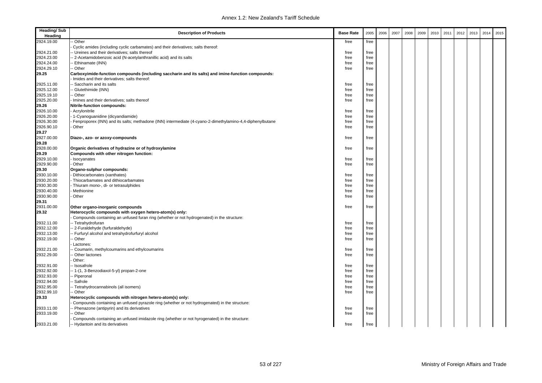| <b>Heading/Sub</b><br>Heading | <b>Description of Products</b>                                                                                                                    | <b>Base Rate</b> | 2005 | 2006 | 2007 | 2008 | 2009 | 2010 | 2011 | 2012 | 2013 | 2014 | 2015 |
|-------------------------------|---------------------------------------------------------------------------------------------------------------------------------------------------|------------------|------|------|------|------|------|------|------|------|------|------|------|
| 2924.19.00                    | Other                                                                                                                                             | free             | free |      |      |      |      |      |      |      |      |      |      |
|                               | Cyclic amides (including cyclic carbamates) and their derivatives; salts thereof:                                                                 |                  |      |      |      |      |      |      |      |      |      |      |      |
| 2924.21.00                    | -- Ureines and their derivatives; salts thereof                                                                                                   | free             | free |      |      |      |      |      |      |      |      |      |      |
| 2924.23.00                    | - 2-Acetamidobenzoic acid (N-acetylanthranillic acid) and its salts                                                                               | free             | free |      |      |      |      |      |      |      |      |      |      |
| 2924.24.00                    | - Ethinamate (INN)                                                                                                                                | free             | free |      |      |      |      |      |      |      |      |      |      |
| 2924.29.10                    | - Other                                                                                                                                           | free             | free |      |      |      |      |      |      |      |      |      |      |
| 29.25                         | Carboxyimide-function compounds (including saccharin and its salts) and imine-function compounds:<br>Imides and their derivatives; salts thereof: |                  |      |      |      |      |      |      |      |      |      |      |      |
| 2925.11.00                    | -- Saccharin and its salts                                                                                                                        | free             | free |      |      |      |      |      |      |      |      |      |      |
| 2925.12.00                    | Glutethimide (INN)                                                                                                                                | free             | free |      |      |      |      |      |      |      |      |      |      |
| 2925.19.10                    | - Other                                                                                                                                           | free             | free |      |      |      |      |      |      |      |      |      |      |
| 2925.20.00                    | Imines and their derivatives; salts thereof                                                                                                       | free             | free |      |      |      |      |      |      |      |      |      |      |
| 29.26                         | Nitrile-function compounds:                                                                                                                       |                  |      |      |      |      |      |      |      |      |      |      |      |
| 2926.10.00                    | Acrylonitrile                                                                                                                                     | free             | free |      |      |      |      |      |      |      |      |      |      |
| 2926.20.00                    | 1-Cyanoguanidine (dicyandiamide)                                                                                                                  | free             | free |      |      |      |      |      |      |      |      |      |      |
| 2926.30.00                    | Fenproporex (INN) and its salts; methadone (INN) intermediate (4-cyano-2-dimethylamino-4,4-diphenylbutane                                         | free             | free |      |      |      |      |      |      |      |      |      |      |
| 2926.90.10                    | Other                                                                                                                                             | free             | free |      |      |      |      |      |      |      |      |      |      |
| 29.27                         |                                                                                                                                                   |                  |      |      |      |      |      |      |      |      |      |      |      |
| 2927.00.00<br>29.28           | Diazo-, azo- or azoxy-compounds                                                                                                                   | free             | free |      |      |      |      |      |      |      |      |      |      |
| 2928.00.00                    | Organic derivatives of hydrazine or of hydroxylamine                                                                                              | free             | free |      |      |      |      |      |      |      |      |      |      |
| 29.29                         | Compounds with other nitrogen function:                                                                                                           |                  |      |      |      |      |      |      |      |      |      |      |      |
| 2929.10.00                    | Isocyanates                                                                                                                                       | free             | free |      |      |      |      |      |      |      |      |      |      |
| 2929.90.00                    | Other                                                                                                                                             | free             | free |      |      |      |      |      |      |      |      |      |      |
| 29.30                         | Organo-sulphur compounds:                                                                                                                         |                  |      |      |      |      |      |      |      |      |      |      |      |
| 2930.10.00                    | Dithiocarbonates (xanthates)                                                                                                                      | free             | free |      |      |      |      |      |      |      |      |      |      |
| 2930.20.00                    | Thiocarbamates and dithiocarbamates                                                                                                               | free             | free |      |      |      |      |      |      |      |      |      |      |
| 2930.30.00                    | Thiuram mono-, di- or tetrasulphides                                                                                                              | free             | free |      |      |      |      |      |      |      |      |      |      |
| 2930.40.00                    | Methionine                                                                                                                                        | free             | free |      |      |      |      |      |      |      |      |      |      |
| 2930.90.00                    | Other                                                                                                                                             | free             | free |      |      |      |      |      |      |      |      |      |      |
| 29.31                         |                                                                                                                                                   |                  |      |      |      |      |      |      |      |      |      |      |      |
| 2931.00.00                    | Other organo-inorganic compounds                                                                                                                  | free             | free |      |      |      |      |      |      |      |      |      |      |
| 29.32                         | Heterocyclic compounds with oxygen hetero-atom(s) only:                                                                                           |                  |      |      |      |      |      |      |      |      |      |      |      |
|                               | Compounds containing an unfused furan ring (whether or not hydrogenated) in the structure:                                                        |                  |      |      |      |      |      |      |      |      |      |      |      |
| 2932.11.00                    | -- Tetrahydrofuran                                                                                                                                | free             | free |      |      |      |      |      |      |      |      |      |      |
| 2932.12.00                    | - 2-Furaldehyde (furfuraldehyde)                                                                                                                  | free             | free |      |      |      |      |      |      |      |      |      |      |
| 2932.13.00                    | - Furfuryl alcohol and tetrahydrofurfuryl alcohol                                                                                                 | free             | free |      |      |      |      |      |      |      |      |      |      |
| 2932.19.00                    | - Other                                                                                                                                           | free             | free |      |      |      |      |      |      |      |      |      |      |
|                               | Lactones:                                                                                                                                         |                  |      |      |      |      |      |      |      |      |      |      |      |
| 2932.21.00                    | - Coumarin, methylcoumarins and ethylcoumarins                                                                                                    | free             | free |      |      |      |      |      |      |      |      |      |      |
| 2932.29.00                    | Other lactones                                                                                                                                    | free             | free |      |      |      |      |      |      |      |      |      |      |
|                               | Other:                                                                                                                                            |                  |      |      |      |      |      |      |      |      |      |      |      |
| 2932.91.00                    | - Isosafrole                                                                                                                                      | free             | free |      |      |      |      |      |      |      |      |      |      |
| 2932.92.00                    | -- 1-(1, 3-Benzodiaxol-5-yl) propan-2-one                                                                                                         | free             | free |      |      |      |      |      |      |      |      |      |      |
| 2932.93.00                    | -- Piperonal                                                                                                                                      | free             | free |      |      |      |      |      |      |      |      |      |      |
| 2932.94.00                    | - Safrole                                                                                                                                         | free             | free |      |      |      |      |      |      |      |      |      |      |
| 2932.95.00                    | - Tetrahydrocannabinols (all isomers)                                                                                                             | free             | free |      |      |      |      |      |      |      |      |      |      |
| 2932.99.10                    | - Other                                                                                                                                           | free             | free |      |      |      |      |      |      |      |      |      |      |
| 29.33                         | Heterocyclic compounds with nitrogen hetero-atom(s) only:                                                                                         |                  |      |      |      |      |      |      |      |      |      |      |      |
|                               | Compounds containing an unfused pyrazole ring (whether or not hydrogenated) in the structure:                                                     |                  |      |      |      |      |      |      |      |      |      |      |      |
| 2933.11.00                    | - Phenazone (antipyrin) and its derivatives                                                                                                       | free             | free |      |      |      |      |      |      |      |      |      |      |
| 2933.19.00                    | - Other                                                                                                                                           | free             | free |      |      |      |      |      |      |      |      |      |      |
|                               | Compounds containing an unfused imidazole ring (whether or not hyrogenated) in the structure:                                                     |                  |      |      |      |      |      |      |      |      |      |      |      |
| 2933.21.00                    | -- Hydantoin and its derivatives                                                                                                                  | free             | free |      |      |      |      |      |      |      |      |      |      |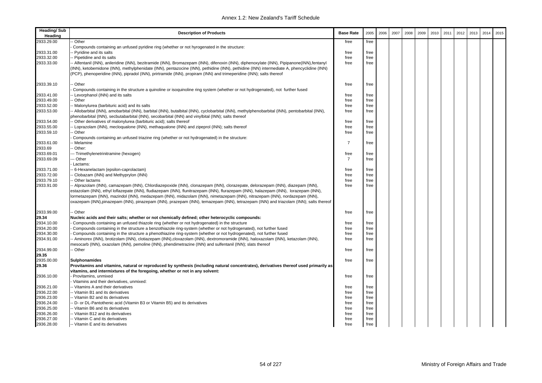| Heading/Sub<br>Heading | <b>Description of Products</b>                                                                                                                                                                                                                        | <b>Base Rate</b> | 2005 | 2006 | 2007 | 2008 | 2009 | 2010 | 2011 | 2012 | 2013 | 2014 | 2015 |
|------------------------|-------------------------------------------------------------------------------------------------------------------------------------------------------------------------------------------------------------------------------------------------------|------------------|------|------|------|------|------|------|------|------|------|------|------|
| 2933.29.00             | Other                                                                                                                                                                                                                                                 | free             | free |      |      |      |      |      |      |      |      |      |      |
|                        | Compounds containing an unfused pyridine ring (whether or not hyrogenated in the structure:                                                                                                                                                           |                  |      |      |      |      |      |      |      |      |      |      |      |
| 2933.31.00             | Pyridine and its salts                                                                                                                                                                                                                                | free             | free |      |      |      |      |      |      |      |      |      |      |
| 2933.32.00             | - Pipetidine and its salts                                                                                                                                                                                                                            | free             | free |      |      |      |      |      |      |      |      |      |      |
| 2933.33.00             | - Alfentanil (INN), anileridine (INN), bezitramide (INN), Bromazepam (INN), difenoxin (INN), diphenoxylate (INN), Pipipanone(INN),fentanyl                                                                                                            | free             | free |      |      |      |      |      |      |      |      |      |      |
|                        | (INN), ketobemidone (INN), methylphenidate (INN), pentazocine (INN), pethidine (INN), pethidine (INN) intermediate A, phencyclidine (INN)                                                                                                             |                  |      |      |      |      |      |      |      |      |      |      |      |
|                        | (PCP), phenoperidine (INN), pipradol (INN), prirtramide (INN), propiram (INN) and trimeperidine (INN); salts thereof                                                                                                                                  |                  |      |      |      |      |      |      |      |      |      |      |      |
| 2933.39.10             | Other                                                                                                                                                                                                                                                 | free             | free |      |      |      |      |      |      |      |      |      |      |
|                        | Compounds containing in the structure a quinoline or isoquinoline ring system (whether or not hydrogenated), not further fused                                                                                                                        |                  |      |      |      |      |      |      |      |      |      |      |      |
| 2933.41.00             | Levorphanol (INN) and its salts                                                                                                                                                                                                                       | free             | free |      |      |      |      |      |      |      |      |      |      |
| 2933.49.00             | Other                                                                                                                                                                                                                                                 | free             | free |      |      |      |      |      |      |      |      |      |      |
| 2933.52.00             | Malonylurea (barbituric acid) and its salts                                                                                                                                                                                                           | free             | free |      |      |      |      |      |      |      |      |      |      |
| 2933.53.00             | - Allobarbital (INN), amobarbital (INN), barbital (INN), butalbital (INN), cyclobarbital (INN), methylphenobarbital (INN), pentobarbital (INN),<br>phenobarbital (INN), secbutabarbital (INN), secobarbital (INN) and vinylbital (INN); salts thereof | free             | free |      |      |      |      |      |      |      |      |      |      |
| 2933.54.00             | Other derivatives of malonylurea (barbituric acid); salts thereof                                                                                                                                                                                     | free             | free |      |      |      |      |      |      |      |      |      |      |
| 2933.55.00             | Loprazolam (INN), mecloqualone (INN), methaqualone (INN) and zipeprol (INN); salts thereof                                                                                                                                                            | free             | free |      |      |      |      |      |      |      |      |      |      |
| 2933.59.10             | Other                                                                                                                                                                                                                                                 | free             | free |      |      |      |      |      |      |      |      |      |      |
|                        | Compounds containing an unfused triazine ring (whether or not hydrogenated) in the structure:                                                                                                                                                         |                  |      |      |      |      |      |      |      |      |      |      |      |
| 2933.61.00             | Melamine                                                                                                                                                                                                                                              | $\overline{7}$   | free |      |      |      |      |      |      |      |      |      |      |
| 2933.69                | Other:                                                                                                                                                                                                                                                |                  |      |      |      |      |      |      |      |      |      |      |      |
| 2933.69.01             | -- Trimethylenetrinitramine (hexogen)                                                                                                                                                                                                                 | free             | free |      |      |      |      |      |      |      |      |      |      |
| 2933.69.09             | -- Other                                                                                                                                                                                                                                              | $\overline{7}$   | free |      |      |      |      |      |      |      |      |      |      |
|                        | Lactams:                                                                                                                                                                                                                                              |                  |      |      |      |      |      |      |      |      |      |      |      |
| 2933.71.00             | 6-Hexanelactam (epsilon-caprolactam)                                                                                                                                                                                                                  | free             | free |      |      |      |      |      |      |      |      |      |      |
| 2933.72.00             | Clobazam (INN) and Methyprylon (INN)                                                                                                                                                                                                                  | free             | free |      |      |      |      |      |      |      |      |      |      |
| 2933.79.10             | Other lactams                                                                                                                                                                                                                                         | free             | free |      |      |      |      |      |      |      |      |      |      |
| 2933.91.00             | - Alprazolam (INN), camazepam (INN), Chlordiazepoxide (INN), clonazepam (INN), clorazepate, delorazepam (INN), diazepam (INN),                                                                                                                        | free             | free |      |      |      |      |      |      |      |      |      |      |
|                        | estazolam (INN), ethyl loflazepate (INN), fludiazepam (INN), flunitrazepam (INN), flurazepam (INN), halazepam (INN), lorazepam (INN),                                                                                                                 |                  |      |      |      |      |      |      |      |      |      |      |      |
|                        | lormetazepam (INN), mazindol (INN), medazepam (INN), midazolam (INN), nimetazepam (INN), nitrazepam (INN), nordazepam (INN),                                                                                                                          |                  |      |      |      |      |      |      |      |      |      |      |      |
|                        | oxazepam (INN),pinazepam (INN), pinazepam (INN), prazepam (INN), temazepam (INN), tetrazepam (INN) and triazolam (INN); salts thereof                                                                                                                 |                  |      |      |      |      |      |      |      |      |      |      |      |
| 2933.99.00             | - Other                                                                                                                                                                                                                                               | free             | free |      |      |      |      |      |      |      |      |      |      |
| 29.34                  | Nucleic acids and their salts; whether or not chemically defined; other heterocyclic compounds:                                                                                                                                                       |                  |      |      |      |      |      |      |      |      |      |      |      |
| 2934.10.00             | Compounds containing an unfused thiazole ring (whether or not hydrogenated) in the structure                                                                                                                                                          | free             | free |      |      |      |      |      |      |      |      |      |      |
| 2934.20.00             | Compounds containing in the structure a benzothiazole ring-system (whether or not hydrogenated), not further fused                                                                                                                                    | free             | free |      |      |      |      |      |      |      |      |      |      |
| 2934.30.00             | Compounds containing in the structure a phenothiazine ring-system (whether or not hydrogenated), not further fused                                                                                                                                    | free             | free |      |      |      |      |      |      |      |      |      |      |
| 2934.91.00             | - Aminorex (INN), brotizolam (INN), clotiazepam (INN),cloxazolam (INN), dextromoramide (INN), haloxazolam (INN), ketazolam (INN),                                                                                                                     | free             | free |      |      |      |      |      |      |      |      |      |      |
|                        | nesocarb (INN), oxazolam (INN), pemoline (INN), phendimetrazine (INN) and sulfentanil (INN); slats thereof                                                                                                                                            |                  |      |      |      |      |      |      |      |      |      |      |      |
| 2934.99.00             | Other                                                                                                                                                                                                                                                 | free             | free |      |      |      |      |      |      |      |      |      |      |
| 29.35                  |                                                                                                                                                                                                                                                       |                  |      |      |      |      |      |      |      |      |      |      |      |
| 2935.00.00             | Sulphonamides                                                                                                                                                                                                                                         | free             | free |      |      |      |      |      |      |      |      |      |      |
| 29.36                  | Provitamins and vitamins, natural or reproduced by synthesis (including natural concentrates), derivatives thereof used primarily as                                                                                                                  |                  |      |      |      |      |      |      |      |      |      |      |      |
|                        | vitamins, and intermixtures of the foregoing, whether or not in any solvent:                                                                                                                                                                          |                  |      |      |      |      |      |      |      |      |      |      |      |
| 2936.10.00             | Provitamins, unmixed                                                                                                                                                                                                                                  | free             | free |      |      |      |      |      |      |      |      |      |      |
|                        | Vitamins and their derivatives, unmixed:                                                                                                                                                                                                              |                  |      |      |      |      |      |      |      |      |      |      |      |
| 2936.21.00             | - Vitamins A and their derivatives                                                                                                                                                                                                                    | free             | free |      |      |      |      |      |      |      |      |      |      |
| 2936.22.00             | - Vitamin B1 and its derivatives                                                                                                                                                                                                                      | free             | free |      |      |      |      |      |      |      |      |      |      |
| 2936.23.00             | - Vitamin B2 and its derivatives                                                                                                                                                                                                                      | free             | free |      |      |      |      |      |      |      |      |      |      |
| 2936.24.00             | D- or DL-Pantothenic acid (Vitamin B3 or Vitamin B5) and its derivatives                                                                                                                                                                              | free             | free |      |      |      |      |      |      |      |      |      |      |
| 2936.25.00             | - Vitamin B6 and its derivatives                                                                                                                                                                                                                      | free             | free |      |      |      |      |      |      |      |      |      |      |
| 2936.26.00             | - Vitamin B12 and its derivatives                                                                                                                                                                                                                     | free             | free |      |      |      |      |      |      |      |      |      |      |
| 2936.27.00             | - Vitamin C and its derivatives                                                                                                                                                                                                                       | free             | free |      |      |      |      |      |      |      |      |      |      |
| 2936.28.00             | -- Vitamin E and its derivatives                                                                                                                                                                                                                      | free             | free |      |      |      |      |      |      |      |      |      |      |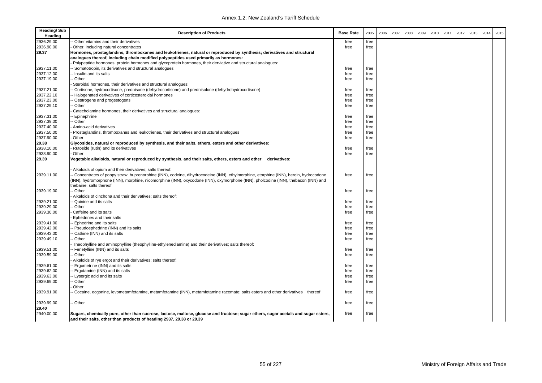| <b>Heading/Sub</b><br>Heading | <b>Description of Products</b>                                                                                                         | <b>Base Rate</b> | 2005 | 2006 | 2007 | 2008 | 2009 | 2010 | 2011 | 2012 | 2013 | 2014 | 2015 |
|-------------------------------|----------------------------------------------------------------------------------------------------------------------------------------|------------------|------|------|------|------|------|------|------|------|------|------|------|
| 2936.29.00                    | Other vitamins and their derivatives                                                                                                   | free             | free |      |      |      |      |      |      |      |      |      |      |
| 2936.90.00                    | Other, including natural concentrates                                                                                                  | free             | free |      |      |      |      |      |      |      |      |      |      |
| 29.37                         | Hormones, prostaglandins, thromboxanes and leukotrienes, natural or reproduced by synthesis; derivatives and structural                |                  |      |      |      |      |      |      |      |      |      |      |      |
|                               | analogues thereof, including chain modified polypeptides used primarily as hormones:                                                   |                  |      |      |      |      |      |      |      |      |      |      |      |
|                               | Polypeptide hormones, protein hormones and glycoprotein hormones, their derviative and structural analogues:                           |                  |      |      |      |      |      |      |      |      |      |      |      |
| 2937.11.00                    | - Somatotropin, its derivatives and structural analogues                                                                               | free             | free |      |      |      |      |      |      |      |      |      |      |
| 2937.12.00                    | - Insulin and its salts                                                                                                                | free             | free |      |      |      |      |      |      |      |      |      |      |
| 2937.19.00                    | - Other                                                                                                                                | free             | free |      |      |      |      |      |      |      |      |      |      |
|                               | Steroidal hormones, their derivatives and structural analogues:                                                                        |                  |      |      |      |      |      |      |      |      |      |      |      |
| 2937.21.00                    | Cortisone, hydrocortisone, prednisone (dehydrocortisone) and prednisolone (dehydrohydrocortisone)                                      | free             | free |      |      |      |      |      |      |      |      |      |      |
| 2937.22.10                    | - Halogenated derivatives of corticosteroidal hormones                                                                                 | free             | free |      |      |      |      |      |      |      |      |      |      |
| 2937.23.00                    | Oestrogens and progestogens                                                                                                            | free             | free |      |      |      |      |      |      |      |      |      |      |
| 2937.29.10                    | Other                                                                                                                                  | free             | free |      |      |      |      |      |      |      |      |      |      |
|                               | Catecholamine hormones, their derivatives and structural analogues:                                                                    |                  |      |      |      |      |      |      |      |      |      |      |      |
| 2937.31.00                    | - Epinephrine                                                                                                                          | free             | free |      |      |      |      |      |      |      |      |      |      |
| 2937.39.00                    | - Other                                                                                                                                | free             | free |      |      |      |      |      |      |      |      |      |      |
| 2937.40.00                    | Amino-acid derivatives                                                                                                                 | free             | free |      |      |      |      |      |      |      |      |      |      |
| 2937.50.00                    | Prostaglandins, thromboxanes and leukotrienes, their derivatives and structural analogues                                              | free             | free |      |      |      |      |      |      |      |      |      |      |
| 2937.90.00                    | Other                                                                                                                                  | free             | free |      |      |      |      |      |      |      |      |      |      |
| 29.38                         | Glycosides, natural or reproduced by synthesis, and their salts, ethers, esters and other derivatives:                                 |                  |      |      |      |      |      |      |      |      |      |      |      |
| 2938.10.00                    | Rutoside (rutin) and its derivatives                                                                                                   | free             | free |      |      |      |      |      |      |      |      |      |      |
| 2938.90.00                    | Other                                                                                                                                  | free             | free |      |      |      |      |      |      |      |      |      |      |
| 29.39                         | Vegetable alkaloids, natural or reproduced by synthesis, and their salts, ethers, esters and other derivatives:                        |                  |      |      |      |      |      |      |      |      |      |      |      |
|                               | Alkaloids of opium and their derivatives; salts thereof:                                                                               |                  |      |      |      |      |      |      |      |      |      |      |      |
| 2939.11.00                    | - Concentrates of poppy straw; buprenorphine (INN), codeine, dihydrocodeine (INN), ethylmorphine, etorphine (INN), heroin, hydrocodone | free             | free |      |      |      |      |      |      |      |      |      |      |
|                               | (INN), hydromorphone (INN), morphine, nicomorphine (INN), oxycodone (INN), oxymorphone (INN), pholcodine (INN), thebacon (INN) and     |                  |      |      |      |      |      |      |      |      |      |      |      |
|                               | thebaine; salts thereof                                                                                                                |                  |      |      |      |      |      |      |      |      |      |      |      |
| 2939.19.00                    | - Other                                                                                                                                | free             | free |      |      |      |      |      |      |      |      |      |      |
|                               | Alkaloids of cinchona and their derivatives; salts thereof:                                                                            |                  |      |      |      |      |      |      |      |      |      |      |      |
| 2939.21.00                    | Quinine and its salts                                                                                                                  | free             | free |      |      |      |      |      |      |      |      |      |      |
| 2939.29.00                    | - Other                                                                                                                                | free             | free |      |      |      |      |      |      |      |      |      |      |
| 2939.30.00                    | Caffeine and its salts                                                                                                                 | free             | free |      |      |      |      |      |      |      |      |      |      |
|                               | Ephedrines and their salts                                                                                                             |                  |      |      |      |      |      |      |      |      |      |      |      |
| 2939.41.00                    | - Ephedrine and its salts                                                                                                              | free             | free |      |      |      |      |      |      |      |      |      |      |
| 2939.42.00                    | - Pseudoephedrine (INN) and its salts                                                                                                  | free             | free |      |      |      |      |      |      |      |      |      |      |
| 2939.43.00                    | Cathine (INN) and its salts                                                                                                            | free             | free |      |      |      |      |      |      |      |      |      |      |
| 2939.49.10                    | - Other                                                                                                                                | free             | free |      |      |      |      |      |      |      |      |      |      |
|                               | Theophylline and aminophylline (theophylline-ethylenediamine) and their derivatives; salts thereof:                                    |                  |      |      |      |      |      |      |      |      |      |      |      |
| 2939.51.00                    | - Fenetylline (INN) and its salts                                                                                                      | free             | free |      |      |      |      |      |      |      |      |      |      |
| 2939.59.00                    | - Other                                                                                                                                | free             | free |      |      |      |      |      |      |      |      |      |      |
|                               | Alkaloids of rye ergot and their derivatives; salts thereof:                                                                           |                  |      |      |      |      |      |      |      |      |      |      |      |
| 2939.61.00                    | - Ergometrine (INN) and its salts                                                                                                      | free             | free |      |      |      |      |      |      |      |      |      |      |
| 2939.62.00                    | - Ergotamine (INN) and its salts                                                                                                       | free             | free |      |      |      |      |      |      |      |      |      |      |
| 2939.63.00                    | - Lysergic acid and its salts                                                                                                          | free             | free |      |      |      |      |      |      |      |      |      |      |
| 2939.69.00                    | - Other                                                                                                                                | free             | free |      |      |      |      |      |      |      |      |      |      |
|                               | Other                                                                                                                                  |                  |      |      |      |      |      |      |      |      |      |      |      |
| 2939.91.00                    | Cocaine, ecgonine, levometamfetamine, metamfetamine (INN), metamfetamine racemate; salts esters and other derivatives thereof          | free             | free |      |      |      |      |      |      |      |      |      |      |
| 2939.99.00                    | - Other                                                                                                                                | free             | free |      |      |      |      |      |      |      |      |      |      |
| 29.40                         |                                                                                                                                        |                  |      |      |      |      |      |      |      |      |      |      |      |
| 2940.00.00                    | Sugars, chemically pure, other than sucrose, lactose, maltose, glucose and fructose; sugar ethers, sugar acetals and sugar esters,     | free             | free |      |      |      |      |      |      |      |      |      |      |
|                               | and their salts, other than products of heading 2937, 29.38 or 29.39                                                                   |                  |      |      |      |      |      |      |      |      |      |      |      |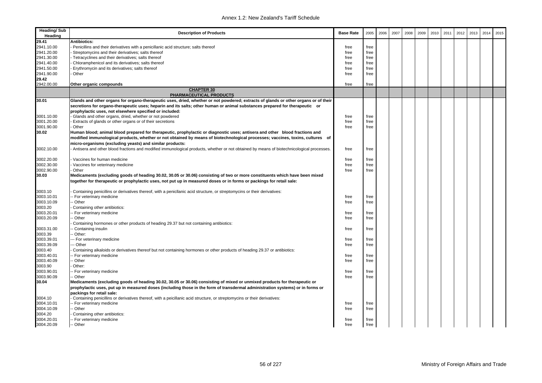| <b>Heading/Sub</b><br>Heading | <b>Description of Products</b>                                                                                                                                                                                                                      | <b>Base Rate</b> | 2005 | 2006 | 2007 | 2008 | 2009 | 2010 | 2011 | 2012 | 2013 | 2014 | 2015 |
|-------------------------------|-----------------------------------------------------------------------------------------------------------------------------------------------------------------------------------------------------------------------------------------------------|------------------|------|------|------|------|------|------|------|------|------|------|------|
| 29.41                         | Antibiotics:                                                                                                                                                                                                                                        |                  |      |      |      |      |      |      |      |      |      |      |      |
| 2941.10.00                    | Penicillins and their derivatives with a penicillanic acid structure; salts thereof                                                                                                                                                                 | free             | free |      |      |      |      |      |      |      |      |      |      |
| 2941.20.00                    | Streptomycins and their derivatives; salts thereof                                                                                                                                                                                                  | free             | free |      |      |      |      |      |      |      |      |      |      |
| 2941.30.00                    | Tetracyclines and their derivatives; salts thereof                                                                                                                                                                                                  | free             | free |      |      |      |      |      |      |      |      |      |      |
| 2941.40.00                    | Chloramphenicol and its derivatives; salts thereof                                                                                                                                                                                                  | free             | free |      |      |      |      |      |      |      |      |      |      |
| 2941.50.00                    | Erythromycin and its derivatives; salts thereof                                                                                                                                                                                                     | free             | free |      |      |      |      |      |      |      |      |      |      |
| 2941.90.00                    | Other                                                                                                                                                                                                                                               | free             | free |      |      |      |      |      |      |      |      |      |      |
| 29.42                         |                                                                                                                                                                                                                                                     |                  |      |      |      |      |      |      |      |      |      |      |      |
| 2942.00.00                    | Other organic compounds                                                                                                                                                                                                                             | free             | free |      |      |      |      |      |      |      |      |      |      |
|                               | <b>CHAPTER 30</b>                                                                                                                                                                                                                                   |                  |      |      |      |      |      |      |      |      |      |      |      |
|                               | PHARMACEUTICAL PRODUCTS                                                                                                                                                                                                                             |                  |      |      |      |      |      |      |      |      |      |      |      |
| 30.01                         | Glands and other organs for organo-therapeutic uses, dried, whether or not powdered; extracts of glands or other organs or of their                                                                                                                 |                  |      |      |      |      |      |      |      |      |      |      |      |
|                               | secretions for organo-therapeutic uses; heparin and its salts; other human or animal substances prepared for therapeutic or                                                                                                                         |                  |      |      |      |      |      |      |      |      |      |      |      |
|                               | prophylactic uses, not elsewhere specified or included:                                                                                                                                                                                             |                  |      |      |      |      |      |      |      |      |      |      |      |
| 3001.10.00                    | - Glands and other organs, dried, whether or not powdered                                                                                                                                                                                           | free             | free |      |      |      |      |      |      |      |      |      |      |
| 3001.20.00                    | Extracts of glands or other organs or of their secretions                                                                                                                                                                                           | free             | free |      |      |      |      |      |      |      |      |      |      |
| 3001.90.00                    | Other                                                                                                                                                                                                                                               | free             | free |      |      |      |      |      |      |      |      |      |      |
| 30.02                         | Human blood; animal blood prepared for therapeutic, prophylactic or diagnostic uses; antisera and other blood fractions and                                                                                                                         |                  |      |      |      |      |      |      |      |      |      |      |      |
|                               | modified immunological products, whether or not obtained by means of biotechnological processes; vaccines, toxins, cultures of<br>micro-organisms (excluding yeasts) and similar products:                                                          |                  |      |      |      |      |      |      |      |      |      |      |      |
| 3002.10.00                    | Antisera and other blood fractions and modified immunological products, whether or not obtained by means of biotechnicological processes.                                                                                                           | free             | free |      |      |      |      |      |      |      |      |      |      |
| 3002.20.00                    | Vaccines for human medicine                                                                                                                                                                                                                         | free             | free |      |      |      |      |      |      |      |      |      |      |
| 3002.30.00                    | Vaccines for veterinary medicine                                                                                                                                                                                                                    | free             | free |      |      |      |      |      |      |      |      |      |      |
| 3002.90.00                    | Other                                                                                                                                                                                                                                               | free             | free |      |      |      |      |      |      |      |      |      |      |
| 30.03                         | Medicaments (excluding goods of heading 30.02, 30.05 or 30.06) consisting of two or more constituents which have been mixed<br>together for therapeutic or prophylactic uses, not put up in measured doses or in forms or packings for retail sale: |                  |      |      |      |      |      |      |      |      |      |      |      |
| 3003.10                       | Containing penicillins or derivatives thereof, with a penicllanic acid structure, or streptomycins or their derivatives:                                                                                                                            |                  |      |      |      |      |      |      |      |      |      |      |      |
| 3003.10.01                    | - For veterinary medicine                                                                                                                                                                                                                           | free             | free |      |      |      |      |      |      |      |      |      |      |
| 3003.10.09                    | - Other                                                                                                                                                                                                                                             | free             | free |      |      |      |      |      |      |      |      |      |      |
| 3003.20                       | Containing other antibiotics:                                                                                                                                                                                                                       |                  |      |      |      |      |      |      |      |      |      |      |      |
| 3003.20.01                    | - For veterinary medicine                                                                                                                                                                                                                           | free             | free |      |      |      |      |      |      |      |      |      |      |
| 3003.20.09                    | - Other                                                                                                                                                                                                                                             | free             | free |      |      |      |      |      |      |      |      |      |      |
|                               | Containing hormones or other products of heading 29.37 but not containing antibiotics:                                                                                                                                                              |                  |      |      |      |      |      |      |      |      |      |      |      |
| 3003.31.00                    | - Containing insulin                                                                                                                                                                                                                                | free             | free |      |      |      |      |      |      |      |      |      |      |
| 3003.39                       | - Other:                                                                                                                                                                                                                                            |                  |      |      |      |      |      |      |      |      |      |      |      |
| 3003.39.01                    | --- For veterinary medicine                                                                                                                                                                                                                         | free             | free |      |      |      |      |      |      |      |      |      |      |
| 3003.39.09                    | -- Other                                                                                                                                                                                                                                            | free             | free |      |      |      |      |      |      |      |      |      |      |
| 3003.40                       | Containing alkaloids or derivatives thereof but not containing hormones or other products of heading 29.37 or antibiotics:                                                                                                                          |                  |      |      |      |      |      |      |      |      |      |      |      |
| 3003.40.01                    | - For veterinary medicine                                                                                                                                                                                                                           | free             | free |      |      |      |      |      |      |      |      |      |      |
| 3003.40.09                    | - Other                                                                                                                                                                                                                                             | free             | free |      |      |      |      |      |      |      |      |      |      |
| 3003.90                       | Other:                                                                                                                                                                                                                                              |                  |      |      |      |      |      |      |      |      |      |      |      |
| 3003.90.01                    | - For veterinary medicine                                                                                                                                                                                                                           | free             | free |      |      |      |      |      |      |      |      |      |      |
| 3003.90.09                    | - Other                                                                                                                                                                                                                                             | free             | free |      |      |      |      |      |      |      |      |      |      |
| 30.04                         | Medicaments (excluding goods of heading 30.02, 30.05 or 30.06) consisting of mixed or unmixed products for therapeutic or                                                                                                                           |                  |      |      |      |      |      |      |      |      |      |      |      |
|                               | prophylactic uses, put up in measured doses (including those in the form of transdermal administration systems) or in forms or<br>packings for retail sale:                                                                                         |                  |      |      |      |      |      |      |      |      |      |      |      |
| 3004.10                       | Containing penicillins or derivatives thereof, with a peicillanic acid structure, or streptomycins or their derivatives:                                                                                                                            |                  |      |      |      |      |      |      |      |      |      |      |      |
| 3004.10.01                    | - For veterinary medicine                                                                                                                                                                                                                           | free             | free |      |      |      |      |      |      |      |      |      |      |
| 3004.10.09                    | - Other                                                                                                                                                                                                                                             | free             | free |      |      |      |      |      |      |      |      |      |      |
| 3004.20                       | Containing other antibiotics:                                                                                                                                                                                                                       |                  |      |      |      |      |      |      |      |      |      |      |      |
| 3004.20.01                    | - For veterinary medicine                                                                                                                                                                                                                           | free             | free |      |      |      |      |      |      |      |      |      |      |
| 3004.20.09                    | -- Other                                                                                                                                                                                                                                            | free             | free |      |      |      |      |      |      |      |      |      |      |
|                               |                                                                                                                                                                                                                                                     |                  |      |      |      |      |      |      |      |      |      |      |      |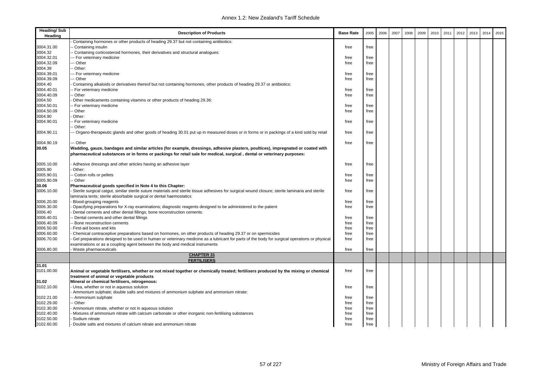| <b>Heading/Sub</b><br>Heading | <b>Description of Products</b>                                                                                                                                                                                                                              | <b>Base Rate</b> | 2005 | 2006 | 2007 | 2008 | 2009 | 2010 | 2011 | 2012 | 2013 | 2014 | 2015 |
|-------------------------------|-------------------------------------------------------------------------------------------------------------------------------------------------------------------------------------------------------------------------------------------------------------|------------------|------|------|------|------|------|------|------|------|------|------|------|
|                               | Containing hormones or other products of heading 29.37 but not containing antibiotics:                                                                                                                                                                      |                  |      |      |      |      |      |      |      |      |      |      |      |
| 3004.31.00                    | Containing insulin                                                                                                                                                                                                                                          | free             | free |      |      |      |      |      |      |      |      |      |      |
| 3004.32                       | Containing corticosteroid hormones, their derivatives and structural analogues:                                                                                                                                                                             |                  |      |      |      |      |      |      |      |      |      |      |      |
| 3004.32.01                    | - For veterinary medicine                                                                                                                                                                                                                                   | free             | free |      |      |      |      |      |      |      |      |      |      |
| 3004.32.09                    | - Other                                                                                                                                                                                                                                                     | free             | free |      |      |      |      |      |      |      |      |      |      |
| 3004.39                       | - Other:                                                                                                                                                                                                                                                    |                  |      |      |      |      |      |      |      |      |      |      |      |
| 3004.39.01                    | - For veterinary medicine                                                                                                                                                                                                                                   | free             | free |      |      |      |      |      |      |      |      |      |      |
| 3004.39.09                    | -- Other                                                                                                                                                                                                                                                    | free             | free |      |      |      |      |      |      |      |      |      |      |
| 3004.40                       | Containing alkaloids or derivatives thereof but not containing hormones, other products of heading 29.37 or antibiotics:                                                                                                                                    |                  |      |      |      |      |      |      |      |      |      |      |      |
| 3004.40.01                    | - For veterinary medicine                                                                                                                                                                                                                                   | free             | free |      |      |      |      |      |      |      |      |      |      |
| 3004.40.09                    | Other                                                                                                                                                                                                                                                       | free             | free |      |      |      |      |      |      |      |      |      |      |
| 3004.50                       | Other medicaments containing vitamins or other products of heading 29.36:<br>- For veterinary medicine                                                                                                                                                      |                  | free |      |      |      |      |      |      |      |      |      |      |
| 3004.50.01<br>3004.50.09      | Other                                                                                                                                                                                                                                                       | free             |      |      |      |      |      |      |      |      |      |      |      |
| 3004.90                       | Other:                                                                                                                                                                                                                                                      | free             | free |      |      |      |      |      |      |      |      |      |      |
|                               |                                                                                                                                                                                                                                                             |                  |      |      |      |      |      |      |      |      |      |      |      |
| 3004.90.01                    | - For veterinary medicine<br>Other:                                                                                                                                                                                                                         | free             | free |      |      |      |      |      |      |      |      |      |      |
| 3004.90.11                    | - Organo-therapeutic glands and other goods of heading 30.01 put up in measured doses or in forms or in packings of a kind sold by retail                                                                                                                   | free             | free |      |      |      |      |      |      |      |      |      |      |
|                               |                                                                                                                                                                                                                                                             |                  |      |      |      |      |      |      |      |      |      |      |      |
| 3004.90.19                    | - Other                                                                                                                                                                                                                                                     | free             | free |      |      |      |      |      |      |      |      |      |      |
| 30.05                         | Wadding, gauze, bandages and similar articles (for example, dressings, adhesive plasters, poultices), impregnated or coated with<br>pharmaceutical substances or in forms or packings for retail sale for medical, surgical, dental or veterinary purposes: |                  |      |      |      |      |      |      |      |      |      |      |      |
| 3005.10.00                    | Adhesive dressings and other articles having an adhesive layer                                                                                                                                                                                              | free             | free |      |      |      |      |      |      |      |      |      |      |
| 3005.90                       | Other:                                                                                                                                                                                                                                                      |                  |      |      |      |      |      |      |      |      |      |      |      |
| 3005.90.01                    | Cotton rolls or pellets                                                                                                                                                                                                                                     | free             | free |      |      |      |      |      |      |      |      |      |      |
| 3005.90.09                    | - Other                                                                                                                                                                                                                                                     | free             | free |      |      |      |      |      |      |      |      |      |      |
| 30.06                         | Pharmaceutical goods specified in Note 4 to this Chapter:                                                                                                                                                                                                   |                  |      |      |      |      |      |      |      |      |      |      |      |
| 3006.10.00                    | Sterile surgical catqut, similar sterile suture materials and sterile tissue adhesives for surgical wound closure; sterile laminaria and sterile<br>laminaria tents; sterile absorbable surgical or dental haemostatics                                     | free             | free |      |      |      |      |      |      |      |      |      |      |
| 3006.20.00                    | Blood-grouping reagents                                                                                                                                                                                                                                     | free             | free |      |      |      |      |      |      |      |      |      |      |
| 3006.30.00                    | Opacifying preparations for X-ray examinations; diagnostic reagents designed to be administered to the patient                                                                                                                                              | free             | free |      |      |      |      |      |      |      |      |      |      |
| 3006.40                       | Dental cements and other dental fillings; bone reconstruction cements:                                                                                                                                                                                      |                  |      |      |      |      |      |      |      |      |      |      |      |
| 3006.40.01                    | - Dental cements and other dental fillings                                                                                                                                                                                                                  | free             | free |      |      |      |      |      |      |      |      |      |      |
| 3006.40.09                    | Bone reconstruction cements                                                                                                                                                                                                                                 | free             | free |      |      |      |      |      |      |      |      |      |      |
| 3006.50.00                    | First-aid boxes and kits                                                                                                                                                                                                                                    | free             | free |      |      |      |      |      |      |      |      |      |      |
| 3006.60.00                    | Chemical contraceptive preparations based on hormones, on other products of heading 29.37 or on spermicides                                                                                                                                                 | free             | free |      |      |      |      |      |      |      |      |      |      |
| 3006.70.00                    | Gel preparations designed to be used in human or veterinary medicine as a lubricant for parts of the body for surgical operations or physical                                                                                                               | free             | free |      |      |      |      |      |      |      |      |      |      |
| 3006.80.00                    | examinations or as a coupling agent between the body and medical instruments<br>Waste pharmaceuticals                                                                                                                                                       | free             | free |      |      |      |      |      |      |      |      |      |      |
|                               | <b>CHAPTER 31</b>                                                                                                                                                                                                                                           |                  |      |      |      |      |      |      |      |      |      |      |      |
|                               | <b>FERTILISERS</b>                                                                                                                                                                                                                                          |                  |      |      |      |      |      |      |      |      |      |      |      |
| 31.01                         |                                                                                                                                                                                                                                                             |                  |      |      |      |      |      |      |      |      |      |      |      |
| 3101.00.00                    | Animal or vegetable fertilisers, whether or not mixed together or chemically treated; fertilisers produced by the mixing or chemical                                                                                                                        | free             | free |      |      |      |      |      |      |      |      |      |      |
|                               | treatment of animal or vegetable products                                                                                                                                                                                                                   |                  |      |      |      |      |      |      |      |      |      |      |      |
| 31.02                         | Mineral or chemical fertilisers, nitrogenous:                                                                                                                                                                                                               |                  |      |      |      |      |      |      |      |      |      |      |      |
| 3102.10.00                    | Urea, whether or not in aqueous solution                                                                                                                                                                                                                    | free             | free |      |      |      |      |      |      |      |      |      |      |
|                               | Ammonium sulphate; double salts and mixtures of ammonium sulphate and ammonium nitrate:                                                                                                                                                                     |                  |      |      |      |      |      |      |      |      |      |      |      |
| 3102.21.00                    | - Ammonium sulphate                                                                                                                                                                                                                                         | free             | free |      |      |      |      |      |      |      |      |      |      |
| 3102.29.00                    | - Other                                                                                                                                                                                                                                                     | free             | free |      |      |      |      |      |      |      |      |      |      |
| 3102.30.00                    | Ammonium nitrate, whether or not in aqueous solution                                                                                                                                                                                                        | free             | free |      |      |      |      |      |      |      |      |      |      |
| 3102.40.00                    | Mixtures of ammonium nitrate with calcium carbonate or other inorganic non-fertilising substances                                                                                                                                                           | free             | free |      |      |      |      |      |      |      |      |      |      |
| 3102.50.00                    | Sodium nitrate                                                                                                                                                                                                                                              | free             | free |      |      |      |      |      |      |      |      |      |      |
| 3102.60.00                    | Double salts and mixtures of calcium nitrate and ammonium nitrate                                                                                                                                                                                           | free             | free |      |      |      |      |      |      |      |      |      |      |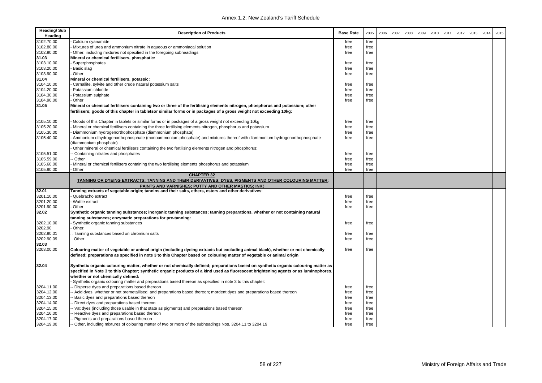| Calcium cyanamide<br>free<br>free<br>Mixtures of urea and ammonium nitrate in aqueous or ammoniacal solution<br>free<br>free<br>Other, including mixtures not specified in the foregoing subheadings<br>free<br>free<br>Mineral or chemical fertilisers, phosphatic:<br>Superphosphates<br>free<br>free<br>Basic slag<br>free<br>free<br>Other<br>free<br>free<br>Mineral or chemical fertilisers, potassic:<br>Carnallite, sylvite and other crude natural potassium salts<br>free<br>free<br>Potassium chloride<br>free<br>free<br>Potassium sulphate<br>free<br>free<br>Other<br>free<br>free<br>Mineral or chemical fertilisers containing two or three of the fertilising elements nitrogen, phosphorus and potassium; other<br>fertilisers; goods of this chapter in tabletsor similar forms or in packages of a gross weight not exceeding 10kg:<br>3105.10.00<br>Goods of this Chapter in tablets or similar forms or in packages of a gross weight not exceeding 10kg<br>free<br>free<br>3105.20.00<br>Mineral or chemical fertilisers containing the three fertilising elements nitrogen, phosphorus and potassium<br>free<br>free<br>3105.30.00<br>Diammonium hydrogenorthophosphate (diammonium phosphate)<br>free<br>free<br>3105.40.00<br>Ammonium dihydrogenorthophosphate (monoammonium phosphate) and mixtures thereof with diammonium hydrogenorthophosphate<br>free<br>free<br>diammonium phosphate)<br>Other mineral or chemical fertilisers containing the two fertilising elements nitrogen and phosphorus:<br>3105.51.00<br>Containing nitrates and phosphates<br>free<br>free<br>3105.59.00<br>Other<br>free<br>free<br>3105.60.00<br>Mineral or chemical fertilisers containing the two fertilising elements phosphorus and potassium<br>free<br>free<br>3105.90.00<br>Other<br>free<br>free<br><b>CHAPTER 32</b><br>TANNING OR DYEING EXTRACTS; TANNINS AND THEIR DERIVATIVES; DYES, PIGMENTS AND OTHER COLOURING MATTER;<br>PAINTS AND VARNISHES; PUTTY AND OTHER MASTICS; INKS<br>Tanning extracts of vegetable origin; tannins and their salts, ethers, esters and other derivatives:<br>3201.10.00<br>Quebracho extract<br>free<br>free<br>3201.20.00<br>Wattle extract<br>free<br>free<br>3201.90.00<br>Other<br>free<br>free<br>Synthetic organic tanning substances; inorganic tanning substances; tanning preparations, whether or not containing natural<br>tanning substances; enzymatic preparations for pre-tanning:<br>Synthetic organic tanning substances<br>free<br>free<br>Other:<br>Tanning substances based on chromium salts<br>free<br>free<br>Other<br>free<br>free<br>Colouring matter of vegetable or animal origin (including dyeing extracts but excluding animal black), whether or not chemically<br>free<br>free<br>defined; preparations as specified in note 3 to this Chapter based on colouring matter of vegetable or animal origin<br>Synthetic organic colouring matter, whether or not chemically defined; preparations based on synthetic organic colouring matter as<br>specified in Note 3 to this Chapter; synthetic organic products of a kind used as fluorescent brightening agents or as luminophores,<br>whether or not chemically defined:<br>Synthetic organic colouring matter and preparations based thereon as specified in note 3 to this chapter:<br>3204.11.00<br>Disperse dyes and preparations based thereon<br>free<br>free<br>3204.12.00<br>Acid dyes, whether or not premetallised, and preparations based thereon; mordent dyes and preparations based thereon<br>free<br>free<br>3204.13.00<br>Basic dyes and preparations based thereon<br>free<br>free<br>3204.14.00<br>Direct dyes and preparations based thereon<br>free<br>free<br>3204.15.00<br>- Vat dyes (including those usable in that state as pigments) and preparations based thereon<br>free<br>free<br>3204.16.00<br>free<br>Reactive dyes and preparations based thereon<br>free | <b>Heading/Sub</b><br>Heading | <b>Description of Products</b> | <b>Base Rate</b> | 2005 | 2006 | 2007 | 2008 | 2009 | 2010 | 2011 | 2012 | 2013 | 2014 | 2015 |
|-----------------------------------------------------------------------------------------------------------------------------------------------------------------------------------------------------------------------------------------------------------------------------------------------------------------------------------------------------------------------------------------------------------------------------------------------------------------------------------------------------------------------------------------------------------------------------------------------------------------------------------------------------------------------------------------------------------------------------------------------------------------------------------------------------------------------------------------------------------------------------------------------------------------------------------------------------------------------------------------------------------------------------------------------------------------------------------------------------------------------------------------------------------------------------------------------------------------------------------------------------------------------------------------------------------------------------------------------------------------------------------------------------------------------------------------------------------------------------------------------------------------------------------------------------------------------------------------------------------------------------------------------------------------------------------------------------------------------------------------------------------------------------------------------------------------------------------------------------------------------------------------------------------------------------------------------------------------------------------------------------------------------------------------------------------------------------------------------------------------------------------------------------------------------------------------------------------------------------------------------------------------------------------------------------------------------------------------------------------------------------------------------------------------------------------------------------------------------------------------------------------------------------------------------------------------------------------------------------------------------------------------------------------------------------------------------------------------------------------------------------------------------------------------------------------------------------------------------------------------------------------------------------------------------------------------------------------------------------------------------------------------------------------------------------------------------------------------------------------------------------------------------------------------------------------------------------------------------------------------------------------------------------------------------------------------------------------------------------------------------------------------------------------------------------------------------------------------------------------------------------------------------------------------------------------------------------------------------------------------------------------------------------------------------------------------------------------------------------------------------------------------------------------------------------------------------------------------------------------------------------------------------------------------------------------------|-------------------------------|--------------------------------|------------------|------|------|------|------|------|------|------|------|------|------|------|
|                                                                                                                                                                                                                                                                                                                                                                                                                                                                                                                                                                                                                                                                                                                                                                                                                                                                                                                                                                                                                                                                                                                                                                                                                                                                                                                                                                                                                                                                                                                                                                                                                                                                                                                                                                                                                                                                                                                                                                                                                                                                                                                                                                                                                                                                                                                                                                                                                                                                                                                                                                                                                                                                                                                                                                                                                                                                                                                                                                                                                                                                                                                                                                                                                                                                                                                                                                                                                                                                                                                                                                                                                                                                                                                                                                                                                                                                                                                                         | 3102.70.00                    |                                |                  |      |      |      |      |      |      |      |      |      |      |      |
|                                                                                                                                                                                                                                                                                                                                                                                                                                                                                                                                                                                                                                                                                                                                                                                                                                                                                                                                                                                                                                                                                                                                                                                                                                                                                                                                                                                                                                                                                                                                                                                                                                                                                                                                                                                                                                                                                                                                                                                                                                                                                                                                                                                                                                                                                                                                                                                                                                                                                                                                                                                                                                                                                                                                                                                                                                                                                                                                                                                                                                                                                                                                                                                                                                                                                                                                                                                                                                                                                                                                                                                                                                                                                                                                                                                                                                                                                                                                         | 3102.80.00                    |                                |                  |      |      |      |      |      |      |      |      |      |      |      |
|                                                                                                                                                                                                                                                                                                                                                                                                                                                                                                                                                                                                                                                                                                                                                                                                                                                                                                                                                                                                                                                                                                                                                                                                                                                                                                                                                                                                                                                                                                                                                                                                                                                                                                                                                                                                                                                                                                                                                                                                                                                                                                                                                                                                                                                                                                                                                                                                                                                                                                                                                                                                                                                                                                                                                                                                                                                                                                                                                                                                                                                                                                                                                                                                                                                                                                                                                                                                                                                                                                                                                                                                                                                                                                                                                                                                                                                                                                                                         | 3102.90.00                    |                                |                  |      |      |      |      |      |      |      |      |      |      |      |
|                                                                                                                                                                                                                                                                                                                                                                                                                                                                                                                                                                                                                                                                                                                                                                                                                                                                                                                                                                                                                                                                                                                                                                                                                                                                                                                                                                                                                                                                                                                                                                                                                                                                                                                                                                                                                                                                                                                                                                                                                                                                                                                                                                                                                                                                                                                                                                                                                                                                                                                                                                                                                                                                                                                                                                                                                                                                                                                                                                                                                                                                                                                                                                                                                                                                                                                                                                                                                                                                                                                                                                                                                                                                                                                                                                                                                                                                                                                                         | 31.03                         |                                |                  |      |      |      |      |      |      |      |      |      |      |      |
|                                                                                                                                                                                                                                                                                                                                                                                                                                                                                                                                                                                                                                                                                                                                                                                                                                                                                                                                                                                                                                                                                                                                                                                                                                                                                                                                                                                                                                                                                                                                                                                                                                                                                                                                                                                                                                                                                                                                                                                                                                                                                                                                                                                                                                                                                                                                                                                                                                                                                                                                                                                                                                                                                                                                                                                                                                                                                                                                                                                                                                                                                                                                                                                                                                                                                                                                                                                                                                                                                                                                                                                                                                                                                                                                                                                                                                                                                                                                         | 3103.10.00                    |                                |                  |      |      |      |      |      |      |      |      |      |      |      |
|                                                                                                                                                                                                                                                                                                                                                                                                                                                                                                                                                                                                                                                                                                                                                                                                                                                                                                                                                                                                                                                                                                                                                                                                                                                                                                                                                                                                                                                                                                                                                                                                                                                                                                                                                                                                                                                                                                                                                                                                                                                                                                                                                                                                                                                                                                                                                                                                                                                                                                                                                                                                                                                                                                                                                                                                                                                                                                                                                                                                                                                                                                                                                                                                                                                                                                                                                                                                                                                                                                                                                                                                                                                                                                                                                                                                                                                                                                                                         | 3103.20.00                    |                                |                  |      |      |      |      |      |      |      |      |      |      |      |
|                                                                                                                                                                                                                                                                                                                                                                                                                                                                                                                                                                                                                                                                                                                                                                                                                                                                                                                                                                                                                                                                                                                                                                                                                                                                                                                                                                                                                                                                                                                                                                                                                                                                                                                                                                                                                                                                                                                                                                                                                                                                                                                                                                                                                                                                                                                                                                                                                                                                                                                                                                                                                                                                                                                                                                                                                                                                                                                                                                                                                                                                                                                                                                                                                                                                                                                                                                                                                                                                                                                                                                                                                                                                                                                                                                                                                                                                                                                                         | 3103.90.00                    |                                |                  |      |      |      |      |      |      |      |      |      |      |      |
|                                                                                                                                                                                                                                                                                                                                                                                                                                                                                                                                                                                                                                                                                                                                                                                                                                                                                                                                                                                                                                                                                                                                                                                                                                                                                                                                                                                                                                                                                                                                                                                                                                                                                                                                                                                                                                                                                                                                                                                                                                                                                                                                                                                                                                                                                                                                                                                                                                                                                                                                                                                                                                                                                                                                                                                                                                                                                                                                                                                                                                                                                                                                                                                                                                                                                                                                                                                                                                                                                                                                                                                                                                                                                                                                                                                                                                                                                                                                         | 31.04                         |                                |                  |      |      |      |      |      |      |      |      |      |      |      |
|                                                                                                                                                                                                                                                                                                                                                                                                                                                                                                                                                                                                                                                                                                                                                                                                                                                                                                                                                                                                                                                                                                                                                                                                                                                                                                                                                                                                                                                                                                                                                                                                                                                                                                                                                                                                                                                                                                                                                                                                                                                                                                                                                                                                                                                                                                                                                                                                                                                                                                                                                                                                                                                                                                                                                                                                                                                                                                                                                                                                                                                                                                                                                                                                                                                                                                                                                                                                                                                                                                                                                                                                                                                                                                                                                                                                                                                                                                                                         | 3104.10.00                    |                                |                  |      |      |      |      |      |      |      |      |      |      |      |
|                                                                                                                                                                                                                                                                                                                                                                                                                                                                                                                                                                                                                                                                                                                                                                                                                                                                                                                                                                                                                                                                                                                                                                                                                                                                                                                                                                                                                                                                                                                                                                                                                                                                                                                                                                                                                                                                                                                                                                                                                                                                                                                                                                                                                                                                                                                                                                                                                                                                                                                                                                                                                                                                                                                                                                                                                                                                                                                                                                                                                                                                                                                                                                                                                                                                                                                                                                                                                                                                                                                                                                                                                                                                                                                                                                                                                                                                                                                                         | 3104.20.00                    |                                |                  |      |      |      |      |      |      |      |      |      |      |      |
|                                                                                                                                                                                                                                                                                                                                                                                                                                                                                                                                                                                                                                                                                                                                                                                                                                                                                                                                                                                                                                                                                                                                                                                                                                                                                                                                                                                                                                                                                                                                                                                                                                                                                                                                                                                                                                                                                                                                                                                                                                                                                                                                                                                                                                                                                                                                                                                                                                                                                                                                                                                                                                                                                                                                                                                                                                                                                                                                                                                                                                                                                                                                                                                                                                                                                                                                                                                                                                                                                                                                                                                                                                                                                                                                                                                                                                                                                                                                         | 3104.30.00                    |                                |                  |      |      |      |      |      |      |      |      |      |      |      |
|                                                                                                                                                                                                                                                                                                                                                                                                                                                                                                                                                                                                                                                                                                                                                                                                                                                                                                                                                                                                                                                                                                                                                                                                                                                                                                                                                                                                                                                                                                                                                                                                                                                                                                                                                                                                                                                                                                                                                                                                                                                                                                                                                                                                                                                                                                                                                                                                                                                                                                                                                                                                                                                                                                                                                                                                                                                                                                                                                                                                                                                                                                                                                                                                                                                                                                                                                                                                                                                                                                                                                                                                                                                                                                                                                                                                                                                                                                                                         | 3104.90.00                    |                                |                  |      |      |      |      |      |      |      |      |      |      |      |
|                                                                                                                                                                                                                                                                                                                                                                                                                                                                                                                                                                                                                                                                                                                                                                                                                                                                                                                                                                                                                                                                                                                                                                                                                                                                                                                                                                                                                                                                                                                                                                                                                                                                                                                                                                                                                                                                                                                                                                                                                                                                                                                                                                                                                                                                                                                                                                                                                                                                                                                                                                                                                                                                                                                                                                                                                                                                                                                                                                                                                                                                                                                                                                                                                                                                                                                                                                                                                                                                                                                                                                                                                                                                                                                                                                                                                                                                                                                                         | 31.05                         |                                |                  |      |      |      |      |      |      |      |      |      |      |      |
|                                                                                                                                                                                                                                                                                                                                                                                                                                                                                                                                                                                                                                                                                                                                                                                                                                                                                                                                                                                                                                                                                                                                                                                                                                                                                                                                                                                                                                                                                                                                                                                                                                                                                                                                                                                                                                                                                                                                                                                                                                                                                                                                                                                                                                                                                                                                                                                                                                                                                                                                                                                                                                                                                                                                                                                                                                                                                                                                                                                                                                                                                                                                                                                                                                                                                                                                                                                                                                                                                                                                                                                                                                                                                                                                                                                                                                                                                                                                         |                               |                                |                  |      |      |      |      |      |      |      |      |      |      |      |
|                                                                                                                                                                                                                                                                                                                                                                                                                                                                                                                                                                                                                                                                                                                                                                                                                                                                                                                                                                                                                                                                                                                                                                                                                                                                                                                                                                                                                                                                                                                                                                                                                                                                                                                                                                                                                                                                                                                                                                                                                                                                                                                                                                                                                                                                                                                                                                                                                                                                                                                                                                                                                                                                                                                                                                                                                                                                                                                                                                                                                                                                                                                                                                                                                                                                                                                                                                                                                                                                                                                                                                                                                                                                                                                                                                                                                                                                                                                                         |                               |                                |                  |      |      |      |      |      |      |      |      |      |      |      |
|                                                                                                                                                                                                                                                                                                                                                                                                                                                                                                                                                                                                                                                                                                                                                                                                                                                                                                                                                                                                                                                                                                                                                                                                                                                                                                                                                                                                                                                                                                                                                                                                                                                                                                                                                                                                                                                                                                                                                                                                                                                                                                                                                                                                                                                                                                                                                                                                                                                                                                                                                                                                                                                                                                                                                                                                                                                                                                                                                                                                                                                                                                                                                                                                                                                                                                                                                                                                                                                                                                                                                                                                                                                                                                                                                                                                                                                                                                                                         |                               |                                |                  |      |      |      |      |      |      |      |      |      |      |      |
|                                                                                                                                                                                                                                                                                                                                                                                                                                                                                                                                                                                                                                                                                                                                                                                                                                                                                                                                                                                                                                                                                                                                                                                                                                                                                                                                                                                                                                                                                                                                                                                                                                                                                                                                                                                                                                                                                                                                                                                                                                                                                                                                                                                                                                                                                                                                                                                                                                                                                                                                                                                                                                                                                                                                                                                                                                                                                                                                                                                                                                                                                                                                                                                                                                                                                                                                                                                                                                                                                                                                                                                                                                                                                                                                                                                                                                                                                                                                         |                               |                                |                  |      |      |      |      |      |      |      |      |      |      |      |
|                                                                                                                                                                                                                                                                                                                                                                                                                                                                                                                                                                                                                                                                                                                                                                                                                                                                                                                                                                                                                                                                                                                                                                                                                                                                                                                                                                                                                                                                                                                                                                                                                                                                                                                                                                                                                                                                                                                                                                                                                                                                                                                                                                                                                                                                                                                                                                                                                                                                                                                                                                                                                                                                                                                                                                                                                                                                                                                                                                                                                                                                                                                                                                                                                                                                                                                                                                                                                                                                                                                                                                                                                                                                                                                                                                                                                                                                                                                                         |                               |                                |                  |      |      |      |      |      |      |      |      |      |      |      |
|                                                                                                                                                                                                                                                                                                                                                                                                                                                                                                                                                                                                                                                                                                                                                                                                                                                                                                                                                                                                                                                                                                                                                                                                                                                                                                                                                                                                                                                                                                                                                                                                                                                                                                                                                                                                                                                                                                                                                                                                                                                                                                                                                                                                                                                                                                                                                                                                                                                                                                                                                                                                                                                                                                                                                                                                                                                                                                                                                                                                                                                                                                                                                                                                                                                                                                                                                                                                                                                                                                                                                                                                                                                                                                                                                                                                                                                                                                                                         |                               |                                |                  |      |      |      |      |      |      |      |      |      |      |      |
|                                                                                                                                                                                                                                                                                                                                                                                                                                                                                                                                                                                                                                                                                                                                                                                                                                                                                                                                                                                                                                                                                                                                                                                                                                                                                                                                                                                                                                                                                                                                                                                                                                                                                                                                                                                                                                                                                                                                                                                                                                                                                                                                                                                                                                                                                                                                                                                                                                                                                                                                                                                                                                                                                                                                                                                                                                                                                                                                                                                                                                                                                                                                                                                                                                                                                                                                                                                                                                                                                                                                                                                                                                                                                                                                                                                                                                                                                                                                         |                               |                                |                  |      |      |      |      |      |      |      |      |      |      |      |
|                                                                                                                                                                                                                                                                                                                                                                                                                                                                                                                                                                                                                                                                                                                                                                                                                                                                                                                                                                                                                                                                                                                                                                                                                                                                                                                                                                                                                                                                                                                                                                                                                                                                                                                                                                                                                                                                                                                                                                                                                                                                                                                                                                                                                                                                                                                                                                                                                                                                                                                                                                                                                                                                                                                                                                                                                                                                                                                                                                                                                                                                                                                                                                                                                                                                                                                                                                                                                                                                                                                                                                                                                                                                                                                                                                                                                                                                                                                                         |                               |                                |                  |      |      |      |      |      |      |      |      |      |      |      |
|                                                                                                                                                                                                                                                                                                                                                                                                                                                                                                                                                                                                                                                                                                                                                                                                                                                                                                                                                                                                                                                                                                                                                                                                                                                                                                                                                                                                                                                                                                                                                                                                                                                                                                                                                                                                                                                                                                                                                                                                                                                                                                                                                                                                                                                                                                                                                                                                                                                                                                                                                                                                                                                                                                                                                                                                                                                                                                                                                                                                                                                                                                                                                                                                                                                                                                                                                                                                                                                                                                                                                                                                                                                                                                                                                                                                                                                                                                                                         |                               |                                |                  |      |      |      |      |      |      |      |      |      |      |      |
|                                                                                                                                                                                                                                                                                                                                                                                                                                                                                                                                                                                                                                                                                                                                                                                                                                                                                                                                                                                                                                                                                                                                                                                                                                                                                                                                                                                                                                                                                                                                                                                                                                                                                                                                                                                                                                                                                                                                                                                                                                                                                                                                                                                                                                                                                                                                                                                                                                                                                                                                                                                                                                                                                                                                                                                                                                                                                                                                                                                                                                                                                                                                                                                                                                                                                                                                                                                                                                                                                                                                                                                                                                                                                                                                                                                                                                                                                                                                         |                               |                                |                  |      |      |      |      |      |      |      |      |      |      |      |
|                                                                                                                                                                                                                                                                                                                                                                                                                                                                                                                                                                                                                                                                                                                                                                                                                                                                                                                                                                                                                                                                                                                                                                                                                                                                                                                                                                                                                                                                                                                                                                                                                                                                                                                                                                                                                                                                                                                                                                                                                                                                                                                                                                                                                                                                                                                                                                                                                                                                                                                                                                                                                                                                                                                                                                                                                                                                                                                                                                                                                                                                                                                                                                                                                                                                                                                                                                                                                                                                                                                                                                                                                                                                                                                                                                                                                                                                                                                                         |                               |                                |                  |      |      |      |      |      |      |      |      |      |      |      |
|                                                                                                                                                                                                                                                                                                                                                                                                                                                                                                                                                                                                                                                                                                                                                                                                                                                                                                                                                                                                                                                                                                                                                                                                                                                                                                                                                                                                                                                                                                                                                                                                                                                                                                                                                                                                                                                                                                                                                                                                                                                                                                                                                                                                                                                                                                                                                                                                                                                                                                                                                                                                                                                                                                                                                                                                                                                                                                                                                                                                                                                                                                                                                                                                                                                                                                                                                                                                                                                                                                                                                                                                                                                                                                                                                                                                                                                                                                                                         | 32.01                         |                                |                  |      |      |      |      |      |      |      |      |      |      |      |
|                                                                                                                                                                                                                                                                                                                                                                                                                                                                                                                                                                                                                                                                                                                                                                                                                                                                                                                                                                                                                                                                                                                                                                                                                                                                                                                                                                                                                                                                                                                                                                                                                                                                                                                                                                                                                                                                                                                                                                                                                                                                                                                                                                                                                                                                                                                                                                                                                                                                                                                                                                                                                                                                                                                                                                                                                                                                                                                                                                                                                                                                                                                                                                                                                                                                                                                                                                                                                                                                                                                                                                                                                                                                                                                                                                                                                                                                                                                                         |                               |                                |                  |      |      |      |      |      |      |      |      |      |      |      |
|                                                                                                                                                                                                                                                                                                                                                                                                                                                                                                                                                                                                                                                                                                                                                                                                                                                                                                                                                                                                                                                                                                                                                                                                                                                                                                                                                                                                                                                                                                                                                                                                                                                                                                                                                                                                                                                                                                                                                                                                                                                                                                                                                                                                                                                                                                                                                                                                                                                                                                                                                                                                                                                                                                                                                                                                                                                                                                                                                                                                                                                                                                                                                                                                                                                                                                                                                                                                                                                                                                                                                                                                                                                                                                                                                                                                                                                                                                                                         |                               |                                |                  |      |      |      |      |      |      |      |      |      |      |      |
|                                                                                                                                                                                                                                                                                                                                                                                                                                                                                                                                                                                                                                                                                                                                                                                                                                                                                                                                                                                                                                                                                                                                                                                                                                                                                                                                                                                                                                                                                                                                                                                                                                                                                                                                                                                                                                                                                                                                                                                                                                                                                                                                                                                                                                                                                                                                                                                                                                                                                                                                                                                                                                                                                                                                                                                                                                                                                                                                                                                                                                                                                                                                                                                                                                                                                                                                                                                                                                                                                                                                                                                                                                                                                                                                                                                                                                                                                                                                         |                               |                                |                  |      |      |      |      |      |      |      |      |      |      |      |
|                                                                                                                                                                                                                                                                                                                                                                                                                                                                                                                                                                                                                                                                                                                                                                                                                                                                                                                                                                                                                                                                                                                                                                                                                                                                                                                                                                                                                                                                                                                                                                                                                                                                                                                                                                                                                                                                                                                                                                                                                                                                                                                                                                                                                                                                                                                                                                                                                                                                                                                                                                                                                                                                                                                                                                                                                                                                                                                                                                                                                                                                                                                                                                                                                                                                                                                                                                                                                                                                                                                                                                                                                                                                                                                                                                                                                                                                                                                                         | 32.02                         |                                |                  |      |      |      |      |      |      |      |      |      |      |      |
|                                                                                                                                                                                                                                                                                                                                                                                                                                                                                                                                                                                                                                                                                                                                                                                                                                                                                                                                                                                                                                                                                                                                                                                                                                                                                                                                                                                                                                                                                                                                                                                                                                                                                                                                                                                                                                                                                                                                                                                                                                                                                                                                                                                                                                                                                                                                                                                                                                                                                                                                                                                                                                                                                                                                                                                                                                                                                                                                                                                                                                                                                                                                                                                                                                                                                                                                                                                                                                                                                                                                                                                                                                                                                                                                                                                                                                                                                                                                         | 3202.10.00                    |                                |                  |      |      |      |      |      |      |      |      |      |      |      |
|                                                                                                                                                                                                                                                                                                                                                                                                                                                                                                                                                                                                                                                                                                                                                                                                                                                                                                                                                                                                                                                                                                                                                                                                                                                                                                                                                                                                                                                                                                                                                                                                                                                                                                                                                                                                                                                                                                                                                                                                                                                                                                                                                                                                                                                                                                                                                                                                                                                                                                                                                                                                                                                                                                                                                                                                                                                                                                                                                                                                                                                                                                                                                                                                                                                                                                                                                                                                                                                                                                                                                                                                                                                                                                                                                                                                                                                                                                                                         | 3202.90                       |                                |                  |      |      |      |      |      |      |      |      |      |      |      |
|                                                                                                                                                                                                                                                                                                                                                                                                                                                                                                                                                                                                                                                                                                                                                                                                                                                                                                                                                                                                                                                                                                                                                                                                                                                                                                                                                                                                                                                                                                                                                                                                                                                                                                                                                                                                                                                                                                                                                                                                                                                                                                                                                                                                                                                                                                                                                                                                                                                                                                                                                                                                                                                                                                                                                                                                                                                                                                                                                                                                                                                                                                                                                                                                                                                                                                                                                                                                                                                                                                                                                                                                                                                                                                                                                                                                                                                                                                                                         | 3202.90.01                    |                                |                  |      |      |      |      |      |      |      |      |      |      |      |
|                                                                                                                                                                                                                                                                                                                                                                                                                                                                                                                                                                                                                                                                                                                                                                                                                                                                                                                                                                                                                                                                                                                                                                                                                                                                                                                                                                                                                                                                                                                                                                                                                                                                                                                                                                                                                                                                                                                                                                                                                                                                                                                                                                                                                                                                                                                                                                                                                                                                                                                                                                                                                                                                                                                                                                                                                                                                                                                                                                                                                                                                                                                                                                                                                                                                                                                                                                                                                                                                                                                                                                                                                                                                                                                                                                                                                                                                                                                                         | 3202.90.09                    |                                |                  |      |      |      |      |      |      |      |      |      |      |      |
|                                                                                                                                                                                                                                                                                                                                                                                                                                                                                                                                                                                                                                                                                                                                                                                                                                                                                                                                                                                                                                                                                                                                                                                                                                                                                                                                                                                                                                                                                                                                                                                                                                                                                                                                                                                                                                                                                                                                                                                                                                                                                                                                                                                                                                                                                                                                                                                                                                                                                                                                                                                                                                                                                                                                                                                                                                                                                                                                                                                                                                                                                                                                                                                                                                                                                                                                                                                                                                                                                                                                                                                                                                                                                                                                                                                                                                                                                                                                         | 32.03                         |                                |                  |      |      |      |      |      |      |      |      |      |      |      |
|                                                                                                                                                                                                                                                                                                                                                                                                                                                                                                                                                                                                                                                                                                                                                                                                                                                                                                                                                                                                                                                                                                                                                                                                                                                                                                                                                                                                                                                                                                                                                                                                                                                                                                                                                                                                                                                                                                                                                                                                                                                                                                                                                                                                                                                                                                                                                                                                                                                                                                                                                                                                                                                                                                                                                                                                                                                                                                                                                                                                                                                                                                                                                                                                                                                                                                                                                                                                                                                                                                                                                                                                                                                                                                                                                                                                                                                                                                                                         | 3203.00.00                    |                                |                  |      |      |      |      |      |      |      |      |      |      |      |
|                                                                                                                                                                                                                                                                                                                                                                                                                                                                                                                                                                                                                                                                                                                                                                                                                                                                                                                                                                                                                                                                                                                                                                                                                                                                                                                                                                                                                                                                                                                                                                                                                                                                                                                                                                                                                                                                                                                                                                                                                                                                                                                                                                                                                                                                                                                                                                                                                                                                                                                                                                                                                                                                                                                                                                                                                                                                                                                                                                                                                                                                                                                                                                                                                                                                                                                                                                                                                                                                                                                                                                                                                                                                                                                                                                                                                                                                                                                                         | 32.04                         |                                |                  |      |      |      |      |      |      |      |      |      |      |      |
|                                                                                                                                                                                                                                                                                                                                                                                                                                                                                                                                                                                                                                                                                                                                                                                                                                                                                                                                                                                                                                                                                                                                                                                                                                                                                                                                                                                                                                                                                                                                                                                                                                                                                                                                                                                                                                                                                                                                                                                                                                                                                                                                                                                                                                                                                                                                                                                                                                                                                                                                                                                                                                                                                                                                                                                                                                                                                                                                                                                                                                                                                                                                                                                                                                                                                                                                                                                                                                                                                                                                                                                                                                                                                                                                                                                                                                                                                                                                         |                               |                                |                  |      |      |      |      |      |      |      |      |      |      |      |
|                                                                                                                                                                                                                                                                                                                                                                                                                                                                                                                                                                                                                                                                                                                                                                                                                                                                                                                                                                                                                                                                                                                                                                                                                                                                                                                                                                                                                                                                                                                                                                                                                                                                                                                                                                                                                                                                                                                                                                                                                                                                                                                                                                                                                                                                                                                                                                                                                                                                                                                                                                                                                                                                                                                                                                                                                                                                                                                                                                                                                                                                                                                                                                                                                                                                                                                                                                                                                                                                                                                                                                                                                                                                                                                                                                                                                                                                                                                                         |                               |                                |                  |      |      |      |      |      |      |      |      |      |      |      |
|                                                                                                                                                                                                                                                                                                                                                                                                                                                                                                                                                                                                                                                                                                                                                                                                                                                                                                                                                                                                                                                                                                                                                                                                                                                                                                                                                                                                                                                                                                                                                                                                                                                                                                                                                                                                                                                                                                                                                                                                                                                                                                                                                                                                                                                                                                                                                                                                                                                                                                                                                                                                                                                                                                                                                                                                                                                                                                                                                                                                                                                                                                                                                                                                                                                                                                                                                                                                                                                                                                                                                                                                                                                                                                                                                                                                                                                                                                                                         |                               |                                |                  |      |      |      |      |      |      |      |      |      |      |      |
|                                                                                                                                                                                                                                                                                                                                                                                                                                                                                                                                                                                                                                                                                                                                                                                                                                                                                                                                                                                                                                                                                                                                                                                                                                                                                                                                                                                                                                                                                                                                                                                                                                                                                                                                                                                                                                                                                                                                                                                                                                                                                                                                                                                                                                                                                                                                                                                                                                                                                                                                                                                                                                                                                                                                                                                                                                                                                                                                                                                                                                                                                                                                                                                                                                                                                                                                                                                                                                                                                                                                                                                                                                                                                                                                                                                                                                                                                                                                         |                               |                                |                  |      |      |      |      |      |      |      |      |      |      |      |
|                                                                                                                                                                                                                                                                                                                                                                                                                                                                                                                                                                                                                                                                                                                                                                                                                                                                                                                                                                                                                                                                                                                                                                                                                                                                                                                                                                                                                                                                                                                                                                                                                                                                                                                                                                                                                                                                                                                                                                                                                                                                                                                                                                                                                                                                                                                                                                                                                                                                                                                                                                                                                                                                                                                                                                                                                                                                                                                                                                                                                                                                                                                                                                                                                                                                                                                                                                                                                                                                                                                                                                                                                                                                                                                                                                                                                                                                                                                                         |                               |                                |                  |      |      |      |      |      |      |      |      |      |      |      |
|                                                                                                                                                                                                                                                                                                                                                                                                                                                                                                                                                                                                                                                                                                                                                                                                                                                                                                                                                                                                                                                                                                                                                                                                                                                                                                                                                                                                                                                                                                                                                                                                                                                                                                                                                                                                                                                                                                                                                                                                                                                                                                                                                                                                                                                                                                                                                                                                                                                                                                                                                                                                                                                                                                                                                                                                                                                                                                                                                                                                                                                                                                                                                                                                                                                                                                                                                                                                                                                                                                                                                                                                                                                                                                                                                                                                                                                                                                                                         |                               |                                |                  |      |      |      |      |      |      |      |      |      |      |      |
|                                                                                                                                                                                                                                                                                                                                                                                                                                                                                                                                                                                                                                                                                                                                                                                                                                                                                                                                                                                                                                                                                                                                                                                                                                                                                                                                                                                                                                                                                                                                                                                                                                                                                                                                                                                                                                                                                                                                                                                                                                                                                                                                                                                                                                                                                                                                                                                                                                                                                                                                                                                                                                                                                                                                                                                                                                                                                                                                                                                                                                                                                                                                                                                                                                                                                                                                                                                                                                                                                                                                                                                                                                                                                                                                                                                                                                                                                                                                         |                               |                                |                  |      |      |      |      |      |      |      |      |      |      |      |
| Pigments and preparations based thereon<br>free<br>free<br>Other, including mixtures of colouring matter of two or more of the subheadings Nos. 3204.11 to 3204.19<br>free<br>free                                                                                                                                                                                                                                                                                                                                                                                                                                                                                                                                                                                                                                                                                                                                                                                                                                                                                                                                                                                                                                                                                                                                                                                                                                                                                                                                                                                                                                                                                                                                                                                                                                                                                                                                                                                                                                                                                                                                                                                                                                                                                                                                                                                                                                                                                                                                                                                                                                                                                                                                                                                                                                                                                                                                                                                                                                                                                                                                                                                                                                                                                                                                                                                                                                                                                                                                                                                                                                                                                                                                                                                                                                                                                                                                                      | 3204.17.00<br>3204.19.00      |                                |                  |      |      |      |      |      |      |      |      |      |      |      |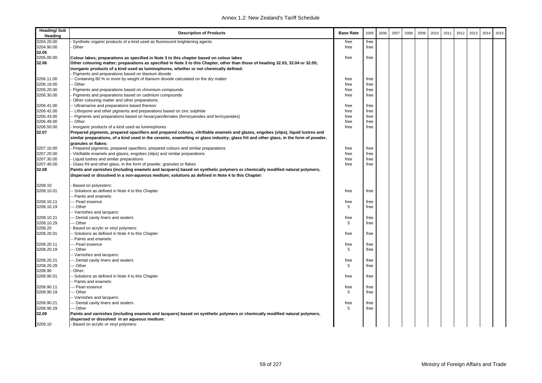| <b>Heading/Sub</b><br>Heading | <b>Description of Products</b>                                                                                                        | <b>Base Rate</b> | 2005 | 2006 | 2007 | 2008 | 2009 | 2010 | 2011 | 2012 | 2013 | 2014 | 2015 |
|-------------------------------|---------------------------------------------------------------------------------------------------------------------------------------|------------------|------|------|------|------|------|------|------|------|------|------|------|
| 3204.20.00                    | Synthetic organic products of a kind used as fluorescent brightening agents                                                           | free             | free |      |      |      |      |      |      |      |      |      |      |
| 3204.90.00                    | Other                                                                                                                                 | free             | free |      |      |      |      |      |      |      |      |      |      |
| 32.05                         |                                                                                                                                       |                  |      |      |      |      |      |      |      |      |      |      |      |
| 3205.00.00                    | Colour lakes; preparations as specified in Note 3 to this chapter based on colour lakes                                               | free             | free |      |      |      |      |      |      |      |      |      |      |
| 32.06                         | Other colouring matter; preparations as specified in Note 3 to this Chapter, other than those of heading 32.03, 32.04 or 32.05;       |                  |      |      |      |      |      |      |      |      |      |      |      |
|                               | inorganic products of a kind used as luminophores, whether or not chemically defined:                                                 |                  |      |      |      |      |      |      |      |      |      |      |      |
|                               | Pigments and preparations based on titanium dioxide                                                                                   |                  |      |      |      |      |      |      |      |      |      |      |      |
| 3206.11.00                    | - Containing 80 % or more by weight of titanium dioxide calculated on the dry matter                                                  | free             | free |      |      |      |      |      |      |      |      |      |      |
| 3206.19.00                    | - Other                                                                                                                               | free             | free |      |      |      |      |      |      |      |      |      |      |
| 3206.20.00                    | Pigments and preparations based on chromium compounds                                                                                 | free             | free |      |      |      |      |      |      |      |      |      |      |
| 3206.30.00                    | Pigments and preparations based on cadmium compounds                                                                                  | free             | free |      |      |      |      |      |      |      |      |      |      |
|                               | Other colouring matter and other preparations:                                                                                        |                  |      |      |      |      |      |      |      |      |      |      |      |
| 3206.41.00                    | - Ultramarine and preparations based thereon                                                                                          | free             | free |      |      |      |      |      |      |      |      |      |      |
| 3206.42.00                    | - Lithopone and other pigments and preparations based on zinc sulphide                                                                | free             | free |      |      |      |      |      |      |      |      |      |      |
| 3206.43.00                    | Pigments and preparations based on hexacyanoferrates (ferrocyanides and ferricyanides)                                                | free             | free |      |      |      |      |      |      |      |      |      |      |
| 3206.49.00                    | - Other                                                                                                                               | free             | free |      |      |      |      |      |      |      |      |      |      |
| 3206.50.00                    | Inorganic products of a kind used as luminophores                                                                                     | free             | free |      |      |      |      |      |      |      |      |      |      |
| 32.07                         | Prepared pigments, prepared opacifiers and prepared colours, vitrifiable enamels and glazes, engobes (slips), liquid lustres and      |                  |      |      |      |      |      |      |      |      |      |      |      |
|                               | similar preparations, of a kind used in the ceramic, enamelling or glass industry; glass frit and other glass, in the form of powder, |                  |      |      |      |      |      |      |      |      |      |      |      |
|                               | granules or flakes:                                                                                                                   |                  |      |      |      |      |      |      |      |      |      |      |      |
| 3207.10.00                    | Prepared pigments, prepared opacifiers, prepared colours and similar preparations                                                     | free             | free |      |      |      |      |      |      |      |      |      |      |
| 3207.20.00                    | Vitrifiable enamels and glazes, engobes (slips) and similar preparations                                                              | free             | free |      |      |      |      |      |      |      |      |      |      |
| 3207.30.00                    | Liquid lustres and similar preparations                                                                                               | free             | free |      |      |      |      |      |      |      |      |      |      |
| 3207.40.00                    | Glass frit and other glass, in the form of powder, granules or flakes                                                                 | free             | free |      |      |      |      |      |      |      |      |      |      |
| 32.08                         | Paints and varnishes (including enamels and lacquers) based on synthetic polymers or chemically modified natural polymers,            |                  |      |      |      |      |      |      |      |      |      |      |      |
|                               | dispersed or dissolved in a non-aqueous medium; solutions as defined in Note 4 to this Chapter:                                       |                  |      |      |      |      |      |      |      |      |      |      |      |
| 3208.10                       | Based on polyesters:                                                                                                                  |                  |      |      |      |      |      |      |      |      |      |      |      |
| 3208.10.01                    | Solutions as defined in Note 4 to this Chapter                                                                                        | free             | free |      |      |      |      |      |      |      |      |      |      |
|                               | - Paints and enamels:                                                                                                                 |                  |      |      |      |      |      |      |      |      |      |      |      |
| 3208.10.11                    | -- Pearl essence                                                                                                                      | free             | free |      |      |      |      |      |      |      |      |      |      |
| 3208.10.19                    | - Other                                                                                                                               | 5                | free |      |      |      |      |      |      |      |      |      |      |
|                               | - Varnishes and lacquers:                                                                                                             |                  |      |      |      |      |      |      |      |      |      |      |      |
| 3208.10.21                    | -- Dental cavity liners and sealers                                                                                                   | free             | free |      |      |      |      |      |      |      |      |      |      |
| 3208.10.29                    | - Other                                                                                                                               | 5                | free |      |      |      |      |      |      |      |      |      |      |
| 3208.20                       | Based on acrylic or vinyl polymers:                                                                                                   |                  |      |      |      |      |      |      |      |      |      |      |      |
| 3208.20.01                    | - Solutions as defined in Note 4 to this Chapter                                                                                      | free             | free |      |      |      |      |      |      |      |      |      |      |
|                               | - Paints and enamels:                                                                                                                 |                  |      |      |      |      |      |      |      |      |      |      |      |
| 3208.20.11                    | -- Pearl essence                                                                                                                      | free             | free |      |      |      |      |      |      |      |      |      |      |
| 3208.20.19                    | - Other                                                                                                                               | 5                | free |      |      |      |      |      |      |      |      |      |      |
|                               | - Varnishes and lacquers:                                                                                                             |                  |      |      |      |      |      |      |      |      |      |      |      |
| 3208.20.21                    | - Dental cavity liners and sealers                                                                                                    | free             | free |      |      |      |      |      |      |      |      |      |      |
| 3208.20.29                    | - Other                                                                                                                               | 5                | free |      |      |      |      |      |      |      |      |      |      |
| 3208.90                       | Other:                                                                                                                                |                  |      |      |      |      |      |      |      |      |      |      |      |
| 3208.90.01                    | Solutions as defined in Note 4 to this Chapter                                                                                        | free             | free |      |      |      |      |      |      |      |      |      |      |
|                               | - Paints and enamels:                                                                                                                 |                  |      |      |      |      |      |      |      |      |      |      |      |
| 3208.90.11                    | -- Pearl essence                                                                                                                      | free             | free |      |      |      |      |      |      |      |      |      |      |
| 3208.90.19                    | - Other                                                                                                                               | 5                | free |      |      |      |      |      |      |      |      |      |      |
|                               | -- Varnishes and lacquers:                                                                                                            |                  |      |      |      |      |      |      |      |      |      |      |      |
| 3208.90.21                    | - Dental cavity liners and sealers                                                                                                    | free             | free |      |      |      |      |      |      |      |      |      |      |
| 3208.90.29                    | - Other                                                                                                                               | 5                | free |      |      |      |      |      |      |      |      |      |      |
| 32.09                         | Paints and varnishes (including enamels and lacquers) based on synthetic polymers or chemically modified natural polymers,            |                  |      |      |      |      |      |      |      |      |      |      |      |
|                               | dispersed or dissolved in an aqueous medium:                                                                                          |                  |      |      |      |      |      |      |      |      |      |      |      |
| 3209.10                       | - Based on acrylic or vinyl polymers:                                                                                                 |                  |      |      |      |      |      |      |      |      |      |      |      |
|                               |                                                                                                                                       |                  |      |      |      |      |      |      |      |      |      |      |      |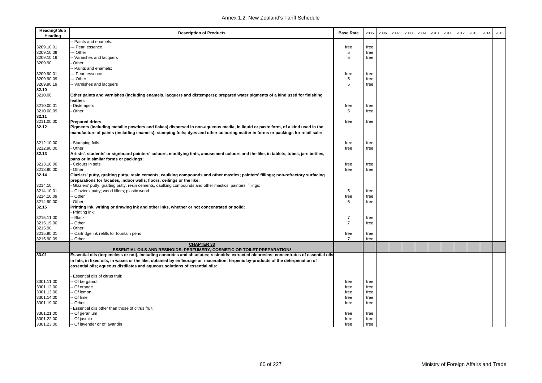| <b>Heading/Sub</b><br>Heading | <b>Description of Products</b>                                                                                                                                                                                             | <b>Base Rate</b> | 2005 | 2006 | 2007 | 2008 | 2009 | 2010 | 2011 | 2012 | 2013 | 2014 | 2015 |
|-------------------------------|----------------------------------------------------------------------------------------------------------------------------------------------------------------------------------------------------------------------------|------------------|------|------|------|------|------|------|------|------|------|------|------|
|                               | - Paints and enamels:                                                                                                                                                                                                      |                  |      |      |      |      |      |      |      |      |      |      |      |
| 3209.10.01                    | -- Pearl essence                                                                                                                                                                                                           | free             | free |      |      |      |      |      |      |      |      |      |      |
| 3209.10.09                    | --- Other                                                                                                                                                                                                                  | 5                | free |      |      |      |      |      |      |      |      |      |      |
| 3209.10.19                    | -- Varnishes and lacquers                                                                                                                                                                                                  | 5                | free |      |      |      |      |      |      |      |      |      |      |
| 3209.90                       | Other:                                                                                                                                                                                                                     |                  |      |      |      |      |      |      |      |      |      |      |      |
|                               | - Paints and enamels:                                                                                                                                                                                                      |                  |      |      |      |      |      |      |      |      |      |      |      |
| 3209.90.01                    | --- Pearl essence                                                                                                                                                                                                          | free             | free |      |      |      |      |      |      |      |      |      |      |
| 3209.90.09                    | --- Other                                                                                                                                                                                                                  | 5                | free |      |      |      |      |      |      |      |      |      |      |
| 3209.90.19                    | -- Varnishes and lacquers                                                                                                                                                                                                  | 5                | free |      |      |      |      |      |      |      |      |      |      |
| 32.10                         |                                                                                                                                                                                                                            |                  |      |      |      |      |      |      |      |      |      |      |      |
| 3210.00                       | Other paints and varnishes (including enamels, lacquers and distempers); prepared water pigments of a kind used for finishing                                                                                              |                  |      |      |      |      |      |      |      |      |      |      |      |
|                               | leather:                                                                                                                                                                                                                   |                  |      |      |      |      |      |      |      |      |      |      |      |
| 3210.00.01                    | <b>Distempers</b>                                                                                                                                                                                                          | free             | free |      |      |      |      |      |      |      |      |      |      |
| 3210.00.09                    | Other                                                                                                                                                                                                                      | 5                | free |      |      |      |      |      |      |      |      |      |      |
| 32.11                         |                                                                                                                                                                                                                            |                  |      |      |      |      |      |      |      |      |      |      |      |
| 3211.00.00                    | <b>Prepared driers</b>                                                                                                                                                                                                     | free             | free |      |      |      |      |      |      |      |      |      |      |
| 32.12                         | Pigments (including metallic powders and flakes) dispersed in non-aqueous media, in liquid or paste form, of a kind used in the                                                                                            |                  |      |      |      |      |      |      |      |      |      |      |      |
|                               | manufacture of paints (including enamels); stamping foils; dyes and other colouring matter in forms or packings for retail sale:                                                                                           |                  |      |      |      |      |      |      |      |      |      |      |      |
|                               |                                                                                                                                                                                                                            |                  |      |      |      |      |      |      |      |      |      |      |      |
| 3212.10.00                    | Stamping foils                                                                                                                                                                                                             | free             | free |      |      |      |      |      |      |      |      |      |      |
| 3212.90.00                    | Other                                                                                                                                                                                                                      | free             | free |      |      |      |      |      |      |      |      |      |      |
| 32.13                         | Artists', students' or signboard painters' colours, modifying tints, amusement colours and the like, in tablets, tubes, jars bottles,                                                                                      |                  |      |      |      |      |      |      |      |      |      |      |      |
|                               | pans or in similar forms or packings:                                                                                                                                                                                      |                  |      |      |      |      |      |      |      |      |      |      |      |
| 3213.10.00                    | - Colours in sets                                                                                                                                                                                                          | free             | free |      |      |      |      |      |      |      |      |      |      |
| 3213.90.00                    | Other                                                                                                                                                                                                                      | free             | free |      |      |      |      |      |      |      |      |      |      |
| 32.14                         | Glaziers' putty, grafting putty, resin cements, caulking compounds and other mastics; painters' fillings; non-refractory surfacing                                                                                         |                  |      |      |      |      |      |      |      |      |      |      |      |
|                               | preparations for facades, indoor walls, floors, ceilings or the like:                                                                                                                                                      |                  |      |      |      |      |      |      |      |      |      |      |      |
| 3214.10                       | Glaziers' putty, grafting putty, resin cements, caulking compounds and other mastics; painters' fillings:                                                                                                                  |                  |      |      |      |      |      |      |      |      |      |      |      |
| 3214.10.01                    | - Glaziers' putty; wood fillers; plastic wood                                                                                                                                                                              | 5                | free |      |      |      |      |      |      |      |      |      |      |
| 3214.10.09                    | - Other                                                                                                                                                                                                                    | free             | free |      |      |      |      |      |      |      |      |      |      |
| 3214.90.00                    | Other                                                                                                                                                                                                                      | 5                | free |      |      |      |      |      |      |      |      |      |      |
| 32.15                         | Printing ink, writing or drawing ink and other inks, whether or not concentrated or solid:                                                                                                                                 |                  |      |      |      |      |      |      |      |      |      |      |      |
|                               | Printing ink:                                                                                                                                                                                                              |                  |      |      |      |      |      |      |      |      |      |      |      |
| 3215.11.00                    | - Black                                                                                                                                                                                                                    | $\overline{7}$   | free |      |      |      |      |      |      |      |      |      |      |
| 3215.19.00                    | - Other                                                                                                                                                                                                                    | $\overline{7}$   | free |      |      |      |      |      |      |      |      |      |      |
| 3215.90                       | Other:                                                                                                                                                                                                                     |                  |      |      |      |      |      |      |      |      |      |      |      |
| 3215.90.01                    | - Cartridge ink refills for fountain pens                                                                                                                                                                                  | free             | free |      |      |      |      |      |      |      |      |      |      |
| 3215.90.09                    | - Other                                                                                                                                                                                                                    | $\overline{7}$   | free |      |      |      |      |      |      |      |      |      |      |
|                               | <b>CHAPTER 33</b>                                                                                                                                                                                                          |                  |      |      |      |      |      |      |      |      |      |      |      |
| 33.01                         | <b>ESSENTIAL OILS AND RESINOIDS: PERFUMERY, COSMETIC OR TOILET PREPARATIONS</b><br>Essential oils (terpeneless or not), including concretes and absolutes; resinoids; extracted oleoresins; concentrates of essential oils |                  |      |      |      |      |      |      |      |      |      |      |      |
|                               |                                                                                                                                                                                                                            |                  |      |      |      |      |      |      |      |      |      |      |      |
|                               | in fats, in fixed oils, in waxes or the like, obtained by enfleurage or maceration; terpenic by-products of the deterpenation of                                                                                           |                  |      |      |      |      |      |      |      |      |      |      |      |
|                               | essential oils; aqueous distillates and aqueous solutions of essential oils:                                                                                                                                               |                  |      |      |      |      |      |      |      |      |      |      |      |
|                               |                                                                                                                                                                                                                            |                  |      |      |      |      |      |      |      |      |      |      |      |
|                               | Essential oils of citrus fruit:                                                                                                                                                                                            |                  |      |      |      |      |      |      |      |      |      |      |      |
| 3301.11.00                    | - Of bergamot                                                                                                                                                                                                              | free             | free |      |      |      |      |      |      |      |      |      |      |
| 3301.12.00                    | - Of orange                                                                                                                                                                                                                | free             | free |      |      |      |      |      |      |      |      |      |      |
| 3301.13.00                    | - Of lemon                                                                                                                                                                                                                 | free             | free |      |      |      |      |      |      |      |      |      |      |
| 3301.14.00                    | - Of lime                                                                                                                                                                                                                  | free             | free |      |      |      |      |      |      |      |      |      |      |
| 3301.19.00                    | - Other                                                                                                                                                                                                                    | free             | free |      |      |      |      |      |      |      |      |      |      |
|                               | Essential oils other than those of citrus fruit:                                                                                                                                                                           |                  |      |      |      |      |      |      |      |      |      |      |      |
| 3301.21.00                    | - Of geranium                                                                                                                                                                                                              | free             | free |      |      |      |      |      |      |      |      |      |      |
| 3301.22.00                    | - Of jasmin                                                                                                                                                                                                                | free             | free |      |      |      |      |      |      |      |      |      |      |
| 3301.23.00                    | -- Of lavender or of lavandin                                                                                                                                                                                              | free             | free |      |      |      |      |      |      |      |      |      |      |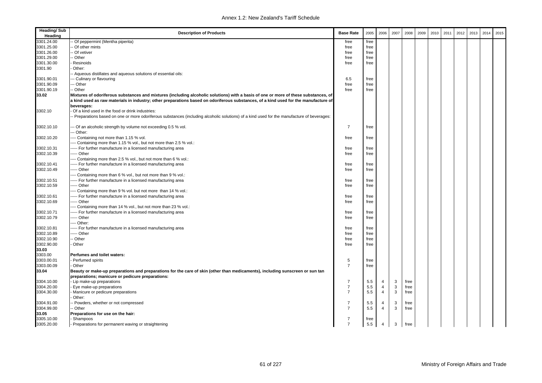| <b>Heading/Sub</b><br>Heading | <b>Description of Products</b>                                                                                                                                                                                                                                             | <b>Base Rate</b> | 2005 | 2006           | 2007         | 2008 | 2009 | 2010 | 2011 | 2012 | 2013 | 2014 | 2015 |
|-------------------------------|----------------------------------------------------------------------------------------------------------------------------------------------------------------------------------------------------------------------------------------------------------------------------|------------------|------|----------------|--------------|------|------|------|------|------|------|------|------|
| 3301.24.00                    | Of peppermint (Mentha piperita)                                                                                                                                                                                                                                            | free             | free |                |              |      |      |      |      |      |      |      |      |
| 3301.25.00                    | Of other mints                                                                                                                                                                                                                                                             | free             | free |                |              |      |      |      |      |      |      |      |      |
| 3301.26.00                    | Of vetiver                                                                                                                                                                                                                                                                 | free             | free |                |              |      |      |      |      |      |      |      |      |
| 3301.29.00                    | Other                                                                                                                                                                                                                                                                      | free             | free |                |              |      |      |      |      |      |      |      |      |
| 3301.30.00                    | Resinoids                                                                                                                                                                                                                                                                  | free             | free |                |              |      |      |      |      |      |      |      |      |
| 3301.90                       | Other:                                                                                                                                                                                                                                                                     |                  |      |                |              |      |      |      |      |      |      |      |      |
|                               | - Aqueous distillates and aqueous solutions of essential oils:                                                                                                                                                                                                             |                  |      |                |              |      |      |      |      |      |      |      |      |
| 3301.90.01                    | -- Culinary or flavouring                                                                                                                                                                                                                                                  | 6.5              | free |                |              |      |      |      |      |      |      |      |      |
| 3301.90.09                    | - Other                                                                                                                                                                                                                                                                    | free             | free |                |              |      |      |      |      |      |      |      |      |
| 3301.90.19                    | - Other                                                                                                                                                                                                                                                                    | free             |      |                |              |      |      |      |      |      |      |      |      |
| 33.02                         |                                                                                                                                                                                                                                                                            |                  | free |                |              |      |      |      |      |      |      |      |      |
|                               | Mixtures of odoriferous substances and mixtures (including alcoholic solutions) with a basis of one or more of these substances, of<br>a kind used as raw materials in industry; other preparations based on odoriferous substances, of a kind used for the manufacture of |                  |      |                |              |      |      |      |      |      |      |      |      |
|                               | beverages:                                                                                                                                                                                                                                                                 |                  |      |                |              |      |      |      |      |      |      |      |      |
| 3302.10                       | Of a kind used in the food or drink industries:                                                                                                                                                                                                                            |                  |      |                |              |      |      |      |      |      |      |      |      |
|                               | - Preparations based on one or more odoriferous substances (including alcoholic solutions) of a kind used for the manufacture of beverages:                                                                                                                                |                  |      |                |              |      |      |      |      |      |      |      |      |
| 3302.10.10                    | - Of an alcoholic strength by volume not exceeding 0.5 % vol.                                                                                                                                                                                                              | $\overline{7}$   | free |                |              |      |      |      |      |      |      |      |      |
| 3302.10.20                    | Other:<br>-- Containing not more than 1.15 % vol.                                                                                                                                                                                                                          | free             | free |                |              |      |      |      |      |      |      |      |      |
|                               | --- Containing more than 1.15 % vol., but not more than 2.5 % vol.:                                                                                                                                                                                                        |                  |      |                |              |      |      |      |      |      |      |      |      |
| 3302.10.31                    | ---- For further manufacture in a licensed manufacturing area                                                                                                                                                                                                              | free             | free |                |              |      |      |      |      |      |      |      |      |
| 3302.10.39                    | ---- Other                                                                                                                                                                                                                                                                 | free             | free |                |              |      |      |      |      |      |      |      |      |
|                               | Containing more than 2.5 % vol., but not more than 6 % vol.:                                                                                                                                                                                                               |                  |      |                |              |      |      |      |      |      |      |      |      |
|                               |                                                                                                                                                                                                                                                                            |                  |      |                |              |      |      |      |      |      |      |      |      |
| 3302.10.41                    | ---- For further manufacture in a licensed manufacturing area<br>---- Other                                                                                                                                                                                                | free             | free |                |              |      |      |      |      |      |      |      |      |
| 3302.10.49                    |                                                                                                                                                                                                                                                                            | free             | free |                |              |      |      |      |      |      |      |      |      |
|                               | -- Containing more than 6 % vol., but not more than 9 % vol.:                                                                                                                                                                                                              |                  |      |                |              |      |      |      |      |      |      |      |      |
| 3302.10.51                    | ---- For further manufacture in a licensed manufacturing area                                                                                                                                                                                                              | free             | free |                |              |      |      |      |      |      |      |      |      |
| 3302.10.59                    | ---- Other                                                                                                                                                                                                                                                                 | free             | free |                |              |      |      |      |      |      |      |      |      |
|                               | --- Containing more than 9 % vol. but not more than 14 % vol.:                                                                                                                                                                                                             |                  |      |                |              |      |      |      |      |      |      |      |      |
| 3302.10.61                    | ---- For further manufacture in a licensed manufacturing area                                                                                                                                                                                                              | free             | free |                |              |      |      |      |      |      |      |      |      |
| 3302.10.69                    | ---- Other                                                                                                                                                                                                                                                                 | free             | free |                |              |      |      |      |      |      |      |      |      |
|                               | --- Containing more than 14 % vol., but not more than 23 % vol.:                                                                                                                                                                                                           |                  |      |                |              |      |      |      |      |      |      |      |      |
| 3302.10.71                    | ----- For further manufacture in a licensed manufacturing area                                                                                                                                                                                                             | free             | free |                |              |      |      |      |      |      |      |      |      |
| 3302.10.79                    | ---- Other                                                                                                                                                                                                                                                                 | free             | free |                |              |      |      |      |      |      |      |      |      |
|                               | --- Other:                                                                                                                                                                                                                                                                 |                  |      |                |              |      |      |      |      |      |      |      |      |
| 3302.10.81                    | ---- For further manufacture in a licensed manufacturing area                                                                                                                                                                                                              | free             | free |                |              |      |      |      |      |      |      |      |      |
| 3302.10.89                    | ---- Other                                                                                                                                                                                                                                                                 | free             | free |                |              |      |      |      |      |      |      |      |      |
| 3302.10.90                    | Other                                                                                                                                                                                                                                                                      | free             | free |                |              |      |      |      |      |      |      |      |      |
| 3302.90.00                    | Other                                                                                                                                                                                                                                                                      | free             | free |                |              |      |      |      |      |      |      |      |      |
| 33.03                         |                                                                                                                                                                                                                                                                            |                  |      |                |              |      |      |      |      |      |      |      |      |
| 3303.00                       | Perfumes and toilet waters:                                                                                                                                                                                                                                                |                  |      |                |              |      |      |      |      |      |      |      |      |
| 3303.00.01                    | Perfumed spirits                                                                                                                                                                                                                                                           | 5                | free |                |              |      |      |      |      |      |      |      |      |
| 3303.00.09                    | Other                                                                                                                                                                                                                                                                      | $\overline{7}$   | free |                |              |      |      |      |      |      |      |      |      |
| 33.04                         | Beauty or make-up preparations and preparations for the care of skin (other than medicaments), including sunscreen or sun tan                                                                                                                                              |                  |      |                |              |      |      |      |      |      |      |      |      |
|                               | preparations; manicure or pedicure preparations:                                                                                                                                                                                                                           |                  |      |                |              |      |      |      |      |      |      |      |      |
| 3304.10.00                    | Lip make-up preparations                                                                                                                                                                                                                                                   | $\overline{7}$   | 5.5  | $\overline{4}$ | 3            | free |      |      |      |      |      |      |      |
| 3304.20.00                    | Eye make-up preparations                                                                                                                                                                                                                                                   | $\overline{7}$   | 5.5  | $\overline{4}$ | $\mathsf 3$  | free |      |      |      |      |      |      |      |
| 3304.30.00                    | Manicure or pedicure preparations                                                                                                                                                                                                                                          | $\overline{7}$   | 5.5  | $\overline{4}$ | 3            | free |      |      |      |      |      |      |      |
|                               | Other:                                                                                                                                                                                                                                                                     |                  |      |                |              |      |      |      |      |      |      |      |      |
| 3304.91.00                    | Powders, whether or not compressed                                                                                                                                                                                                                                         | $\overline{7}$   | 5.5  | 4              | 3            | free |      |      |      |      |      |      |      |
| 3304.99.00                    | Other                                                                                                                                                                                                                                                                      | $\overline{7}$   | 5.5  | $\overline{4}$ | $\mathbf{3}$ | free |      |      |      |      |      |      |      |
| 33.05                         | Preparations for use on the hair:                                                                                                                                                                                                                                          |                  |      |                |              |      |      |      |      |      |      |      |      |
| 3305.10.00                    | Shampoos                                                                                                                                                                                                                                                                   | 7                | free |                |              |      |      |      |      |      |      |      |      |
| 3305.20.00                    |                                                                                                                                                                                                                                                                            | $\overline{7}$   | 5.5  | $\overline{4}$ | 3            |      |      |      |      |      |      |      |      |
|                               | Preparations for permanent waving or straightening                                                                                                                                                                                                                         |                  |      |                |              | free |      |      |      |      |      |      |      |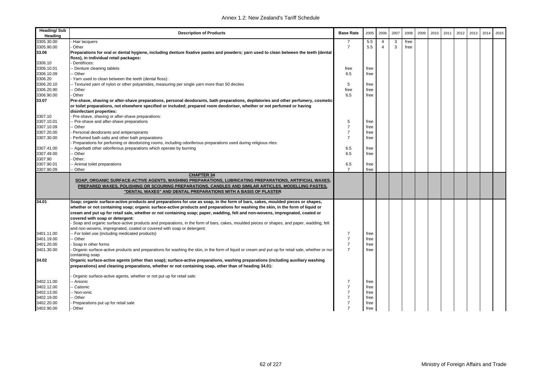| Heading/Sub<br>Heading | <b>Description of Products</b>                                                                                                                                                                                                                                                                       | <b>Base Rate</b> | 2005 | 2006           | 2007 | 2008 | 2009 | 2010 | 2011 | 2012 | 2013 | 2014 | 2015 |
|------------------------|------------------------------------------------------------------------------------------------------------------------------------------------------------------------------------------------------------------------------------------------------------------------------------------------------|------------------|------|----------------|------|------|------|------|------|------|------|------|------|
| 3305.30.00             | Hair lacquers                                                                                                                                                                                                                                                                                        | 7                | 5.5  | $\overline{4}$ | 3    | free |      |      |      |      |      |      |      |
| 3305.90.00             | Other                                                                                                                                                                                                                                                                                                | $\overline{7}$   | 5.5  | $\overline{4}$ | 3    | free |      |      |      |      |      |      |      |
| 33.06                  | Preparations for oral or dental hygiene, including denture fixative pastes and powders; yarn used to clean between the teeth (dental<br>floss), in individual retail packages:                                                                                                                       |                  |      |                |      |      |      |      |      |      |      |      |      |
| 3306.10                | Dentifrices:                                                                                                                                                                                                                                                                                         |                  |      |                |      |      |      |      |      |      |      |      |      |
| 3306.10.01             | Denture cleaning tablets                                                                                                                                                                                                                                                                             | free             | free |                |      |      |      |      |      |      |      |      |      |
| 3306.10.09             | - Other                                                                                                                                                                                                                                                                                              | 6.5              | free |                |      |      |      |      |      |      |      |      |      |
| 3306.20                | Yarn used to clean between the teeth (dental floss):                                                                                                                                                                                                                                                 |                  |      |                |      |      |      |      |      |      |      |      |      |
| 3306.20.10             | - Textured yarn of nylon or other polyamides, measuring per single yarn more than 50 decitex                                                                                                                                                                                                         | 5                | free |                |      |      |      |      |      |      |      |      |      |
| 3306.20.90             | Other                                                                                                                                                                                                                                                                                                | free             | free |                |      |      |      |      |      |      |      |      |      |
| 3306.90.00             | Other                                                                                                                                                                                                                                                                                                | 6.5              | free |                |      |      |      |      |      |      |      |      |      |
| 33.07                  | Pre-shave, shaving or after-shave preparations, personal deodorants, bath preparations, depilatories and other perfumery, cosmetic                                                                                                                                                                   |                  |      |                |      |      |      |      |      |      |      |      |      |
|                        | or toilet preparations, not elsewhere specified or included; prepared room deodoriser, whether or not perfumed or having                                                                                                                                                                             |                  |      |                |      |      |      |      |      |      |      |      |      |
|                        | disinfectant properties:                                                                                                                                                                                                                                                                             |                  |      |                |      |      |      |      |      |      |      |      |      |
| 3307.10                | Pre-shave, shaving or after-shave preparations:                                                                                                                                                                                                                                                      |                  |      |                |      |      |      |      |      |      |      |      |      |
| 3307.10.01             | - Pre-shave and after-shave preparations                                                                                                                                                                                                                                                             | 5                | free |                |      |      |      |      |      |      |      |      |      |
| 3307.10.09             | - Other                                                                                                                                                                                                                                                                                              | $\overline{7}$   | free |                |      |      |      |      |      |      |      |      |      |
| 3307.20.00             | Personal deodorants and antiperspirants                                                                                                                                                                                                                                                              | $\overline{7}$   | free |                |      |      |      |      |      |      |      |      |      |
| 3307.30.00             | Perfumed bath salts and other bath preparations                                                                                                                                                                                                                                                      | $\overline{7}$   | free |                |      |      |      |      |      |      |      |      |      |
|                        | Preparations for perfuming or deodorizing rooms, including odoriferous preparations used during religious rites:                                                                                                                                                                                     |                  |      |                |      |      |      |      |      |      |      |      |      |
| 3307.41.00             | Agarbatti other odoriferous preparations which operate by burning                                                                                                                                                                                                                                    | 6.5              | free |                |      |      |      |      |      |      |      |      |      |
| 3307.49.00             | Other                                                                                                                                                                                                                                                                                                | 6.5              | free |                |      |      |      |      |      |      |      |      |      |
| 3307.90                | Other:                                                                                                                                                                                                                                                                                               |                  |      |                |      |      |      |      |      |      |      |      |      |
| 3307.90.01             | - Animal toilet preparations                                                                                                                                                                                                                                                                         | 6.5              | free |                |      |      |      |      |      |      |      |      |      |
| 3307.90.09             | Other                                                                                                                                                                                                                                                                                                | $\overline{7}$   | free |                |      |      |      |      |      |      |      |      |      |
|                        | <b>CHAPTER 34</b><br>SOAP, ORGANIC SURFACE-ACTIVE AGENTS, WASHING PREPARATIONS, LUBRICATING PREPARATIONS, ARTIFICIAL WAXES,<br>PREPARED WAXES, POLISHING OR SCOURING PREPARATIONS, CANDLES AND SIMILAR ARTICLES, MODELLING PASTES,<br>"DENTAL WAXES" AND DENTAL PREPARATIONS WITH A BASIS OF PLASTER |                  |      |                |      |      |      |      |      |      |      |      |      |
| 34.01                  | Soap; organic surface-active products and preparations for use as soap, in the form of bars, cakes, moulded pieces or shapes,                                                                                                                                                                        |                  |      |                |      |      |      |      |      |      |      |      |      |
|                        | whether or not containing soap; organic surface-active products and preparations for washing the skin, in the form of liquid or                                                                                                                                                                      |                  |      |                |      |      |      |      |      |      |      |      |      |
|                        | cream and put up for retail sale, whether or not containing soap; paper, wadding, felt and non-wovens, impregnated, coated or                                                                                                                                                                        |                  |      |                |      |      |      |      |      |      |      |      |      |
|                        | covered with soap or detergent:                                                                                                                                                                                                                                                                      |                  |      |                |      |      |      |      |      |      |      |      |      |
|                        | Soap and organic surface-active products and preparations, in the form of bars, cakes, moulded pieces or shapes, and paper, wadding, felt                                                                                                                                                            |                  |      |                |      |      |      |      |      |      |      |      |      |
|                        | and non-wovens, impregnated, coated or covered with soap or detergent:                                                                                                                                                                                                                               |                  |      |                |      |      |      |      |      |      |      |      |      |
| 3401.11.00             | - For toilet use (including medicated products)                                                                                                                                                                                                                                                      | 7                | free |                |      |      |      |      |      |      |      |      |      |
| 3401.19.00             | - Other                                                                                                                                                                                                                                                                                              | $\overline{7}$   | free |                |      |      |      |      |      |      |      |      |      |
| 3401.20.00             | Soap in other forms                                                                                                                                                                                                                                                                                  | $\overline{7}$   | free |                |      |      |      |      |      |      |      |      |      |
| 3401.30.00             | Organic surface-active products and preparations for washing the skin, in the form of liquid or cream and put up for retail sale, whether or nor                                                                                                                                                     | $\overline{7}$   | free |                |      |      |      |      |      |      |      |      |      |
|                        | containing soap                                                                                                                                                                                                                                                                                      |                  |      |                |      |      |      |      |      |      |      |      |      |
| 34.02                  | Organic surface-active agents (other than soap); surface-active preparations, washing preparations (including auxiliary washing                                                                                                                                                                      |                  |      |                |      |      |      |      |      |      |      |      |      |
|                        | preparations) and cleaning preparations, whether or not containing soap, other than of heading 34.01:                                                                                                                                                                                                |                  |      |                |      |      |      |      |      |      |      |      |      |
|                        | Organic surface-active agents, whether or not put up for retail sale:                                                                                                                                                                                                                                |                  |      |                |      |      |      |      |      |      |      |      |      |
| 3402.11.00             | - Anionic                                                                                                                                                                                                                                                                                            | 7                | free |                |      |      |      |      |      |      |      |      |      |
| 3402.12.00             | Cationic                                                                                                                                                                                                                                                                                             | $\overline{7}$   | free |                |      |      |      |      |      |      |      |      |      |
| 3402.13.00             | - Non-ionic                                                                                                                                                                                                                                                                                          | $\overline{7}$   | free |                |      |      |      |      |      |      |      |      |      |
| 3402.19.00             | Other                                                                                                                                                                                                                                                                                                | $\overline{7}$   | free |                |      |      |      |      |      |      |      |      |      |
| 3402.20.00             | Preparations put up for retail sale                                                                                                                                                                                                                                                                  | $\overline{7}$   | free |                |      |      |      |      |      |      |      |      |      |
| 3402.90.00             | - Other                                                                                                                                                                                                                                                                                              | $\overline{7}$   | free |                |      |      |      |      |      |      |      |      |      |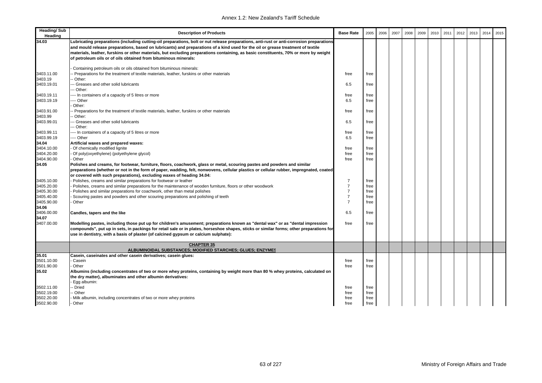| <b>Heading/Sub</b><br>Heading | <b>Description of Products</b>                                                                                                                                                                                                                                                                                                                                                                                                                                                         | <b>Base Rate</b> | 2005 | 2006 | 2007 | 2008 | 2009 | 2010 | 2011 | 2012 | 2013 | 2014 | 2015 |
|-------------------------------|----------------------------------------------------------------------------------------------------------------------------------------------------------------------------------------------------------------------------------------------------------------------------------------------------------------------------------------------------------------------------------------------------------------------------------------------------------------------------------------|------------------|------|------|------|------|------|------|------|------|------|------|------|
| 34.03                         | Lubricating preparations (including cutting-oil preparations, bolt or nut release preparations, anti-rust or anti-corrosion preparations<br>and mould release preparations, based on lubricants) and preparations of a kind used for the oil or grease treatment of textile<br>materials, leather, furskins or other materials, but excluding preparations containing, as basic constituents, 70% or more by weight<br>of petroleum oils or of oils obtained from bituminous minerals: |                  |      |      |      |      |      |      |      |      |      |      |      |
|                               | Containing petroleum oils or oils obtained from bituminous minerals:                                                                                                                                                                                                                                                                                                                                                                                                                   |                  |      |      |      |      |      |      |      |      |      |      |      |
| 3403.11.00                    | - Preparations for the treatment of textile materials, leather, furskins or other materials                                                                                                                                                                                                                                                                                                                                                                                            | free             | free |      |      |      |      |      |      |      |      |      |      |
| 3403.19                       | - Other:                                                                                                                                                                                                                                                                                                                                                                                                                                                                               |                  |      |      |      |      |      |      |      |      |      |      |      |
| 3403.19.01                    | - Greases and other solid lubricants                                                                                                                                                                                                                                                                                                                                                                                                                                                   | 6.5              | free |      |      |      |      |      |      |      |      |      |      |
|                               | - Other:                                                                                                                                                                                                                                                                                                                                                                                                                                                                               |                  |      |      |      |      |      |      |      |      |      |      |      |
| 3403.19.11<br>3403.19.19      | --- In containers of a capacity of 5 litres or more<br>--- Other                                                                                                                                                                                                                                                                                                                                                                                                                       | free<br>6.5      | free |      |      |      |      |      |      |      |      |      |      |
|                               | Other:                                                                                                                                                                                                                                                                                                                                                                                                                                                                                 |                  | free |      |      |      |      |      |      |      |      |      |      |
| 3403.91.00                    | - Preparations for the treatment of textile materials, leather, furskins or other materials                                                                                                                                                                                                                                                                                                                                                                                            | free             | free |      |      |      |      |      |      |      |      |      |      |
| 3403.99                       | - Other:                                                                                                                                                                                                                                                                                                                                                                                                                                                                               |                  |      |      |      |      |      |      |      |      |      |      |      |
| 3403.99.01                    | - Greases and other solid lubricants                                                                                                                                                                                                                                                                                                                                                                                                                                                   | 6.5              | free |      |      |      |      |      |      |      |      |      |      |
|                               | - Other:                                                                                                                                                                                                                                                                                                                                                                                                                                                                               |                  |      |      |      |      |      |      |      |      |      |      |      |
| 3403.99.11                    | --- In containers of a capacity of 5 litres or more                                                                                                                                                                                                                                                                                                                                                                                                                                    | free             | free |      |      |      |      |      |      |      |      |      |      |
| 3403.99.19                    | --- Other                                                                                                                                                                                                                                                                                                                                                                                                                                                                              | 6.5              | free |      |      |      |      |      |      |      |      |      |      |
| 34.04                         | Artificial waxes and prepared waxes:                                                                                                                                                                                                                                                                                                                                                                                                                                                   |                  |      |      |      |      |      |      |      |      |      |      |      |
| 3404.10.00                    | Of chemically modified lignite                                                                                                                                                                                                                                                                                                                                                                                                                                                         | free             | free |      |      |      |      |      |      |      |      |      |      |
| 3404.20.00                    | Of poly(oxyethylene) (polyethylene glycol)                                                                                                                                                                                                                                                                                                                                                                                                                                             | free             | free |      |      |      |      |      |      |      |      |      |      |
| 3404.90.00                    | Other                                                                                                                                                                                                                                                                                                                                                                                                                                                                                  | free             | free |      |      |      |      |      |      |      |      |      |      |
| 34.05                         | Polishes and creams, for footwear, furniture, floors, coachwork, glass or metal, scouring pastes and powders and similar<br>preparations (whether or not in the form of paper, wadding, felt, nonwovens, cellular plastics or cellular rubber, impregnated, coated<br>or covered with such preparations), excluding waxes of heading 34.04:                                                                                                                                            |                  |      |      |      |      |      |      |      |      |      |      |      |
| 3405.10.00                    | Polishes, creams and similar preparations for footwear or leather                                                                                                                                                                                                                                                                                                                                                                                                                      | $\overline{7}$   | free |      |      |      |      |      |      |      |      |      |      |
| 3405.20.00                    | Polishes, creams and similar preparations for the maintenance of wooden furniture, floors or other woodwork                                                                                                                                                                                                                                                                                                                                                                            | $\overline{7}$   | free |      |      |      |      |      |      |      |      |      |      |
| 3405.30.00                    | Polishes and similar preparations for coachwork, other than metal polishes                                                                                                                                                                                                                                                                                                                                                                                                             | $\overline{7}$   | free |      |      |      |      |      |      |      |      |      |      |
| 3405.40.00                    | Scouring pastes and powders and other scouring preparations and polishing of teeth                                                                                                                                                                                                                                                                                                                                                                                                     | $\overline{7}$   | free |      |      |      |      |      |      |      |      |      |      |
| 3405.90.00                    | Other                                                                                                                                                                                                                                                                                                                                                                                                                                                                                  | $\overline{7}$   | free |      |      |      |      |      |      |      |      |      |      |
| 34.06                         |                                                                                                                                                                                                                                                                                                                                                                                                                                                                                        |                  |      |      |      |      |      |      |      |      |      |      |      |
| 3406.00.00                    | Candles, tapers and the like                                                                                                                                                                                                                                                                                                                                                                                                                                                           | 6.5              | free |      |      |      |      |      |      |      |      |      |      |
| 34.07                         |                                                                                                                                                                                                                                                                                                                                                                                                                                                                                        |                  |      |      |      |      |      |      |      |      |      |      |      |
| 3407.00.00                    | Modelling pastes, including those put up for children's amusement; preparations known as "dental wax" or as "dental impression<br>compounds", put up in sets, in packings for retail sale or in plates, horseshoe shapes, sticks or similar forms; other preparations for<br>use in dentistry, with a basis of plaster (of calcined gypsum or calcium sulphate):                                                                                                                       | free             | free |      |      |      |      |      |      |      |      |      |      |
|                               | <b>CHAPTER 35</b>                                                                                                                                                                                                                                                                                                                                                                                                                                                                      |                  |      |      |      |      |      |      |      |      |      |      |      |
|                               | ALBUMINOIDAL SUBSTANCES; MODIFIED STARCHES; GLUES; ENZYMES                                                                                                                                                                                                                                                                                                                                                                                                                             |                  |      |      |      |      |      |      |      |      |      |      |      |
| 35.01                         | Casein, caseinates and other casein derivatives; casein glues:                                                                                                                                                                                                                                                                                                                                                                                                                         |                  |      |      |      |      |      |      |      |      |      |      |      |
| 3501.10.00                    | Casein<br>Other                                                                                                                                                                                                                                                                                                                                                                                                                                                                        | free             | free |      |      |      |      |      |      |      |      |      |      |
| 3501.90.00<br>35.02           |                                                                                                                                                                                                                                                                                                                                                                                                                                                                                        | free             | free |      |      |      |      |      |      |      |      |      |      |
|                               | Albumins (including concentrates of two or more whey proteins, containing by weight more than 80 % whey proteins, calculated on<br>the dry matter), albuminates and other albumin derivatives:                                                                                                                                                                                                                                                                                         |                  |      |      |      |      |      |      |      |      |      |      |      |
|                               | Egg albumin:                                                                                                                                                                                                                                                                                                                                                                                                                                                                           |                  |      |      |      |      |      |      |      |      |      |      |      |
| 3502.11.00                    | - Dried                                                                                                                                                                                                                                                                                                                                                                                                                                                                                | free             | free |      |      |      |      |      |      |      |      |      |      |
| 3502.19.00                    | - Other                                                                                                                                                                                                                                                                                                                                                                                                                                                                                | free             | free |      |      |      |      |      |      |      |      |      |      |
| 3502.20.00                    | Milk albumin, including concentrates of two or more whey proteins                                                                                                                                                                                                                                                                                                                                                                                                                      | free             | free |      |      |      |      |      |      |      |      |      |      |
| 3502.90.00                    | Other                                                                                                                                                                                                                                                                                                                                                                                                                                                                                  | free             | free |      |      |      |      |      |      |      |      |      |      |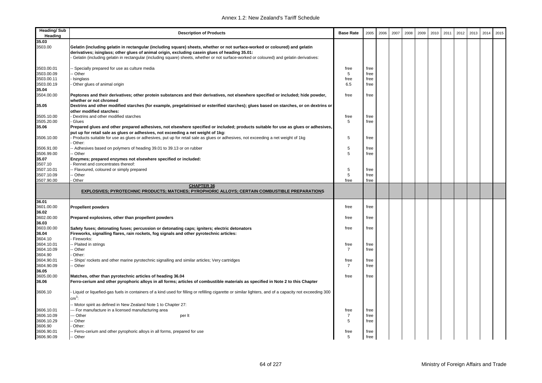| <b>Heading/Sub</b><br>Heading | <b>Description of Products</b>                                                                                                                                    | <b>Base Rate</b> | 2005         | 2006 | 2007 | 2008 | 2009 | 2010 | 2011 | 2012 | 2013 | 2014 | 2015 |
|-------------------------------|-------------------------------------------------------------------------------------------------------------------------------------------------------------------|------------------|--------------|------|------|------|------|------|------|------|------|------|------|
| 35.03                         |                                                                                                                                                                   |                  |              |      |      |      |      |      |      |      |      |      |      |
| 3503.00                       | Gelatin (including gelatin in rectangular (including square) sheets, whether or not surface-worked or coloured) and gelatin                                       |                  |              |      |      |      |      |      |      |      |      |      |      |
|                               | derivatives; isinglass; other glues of animal origin, excluding casein glues of heading 35.01:                                                                    |                  |              |      |      |      |      |      |      |      |      |      |      |
|                               | Gelatin (including gelatin in rectangular (including square) sheets, whether or not surface-worked or coloured) and gelatin derivatives:                          |                  |              |      |      |      |      |      |      |      |      |      |      |
| 3503.00.01                    | Specially prepared for use as culture media                                                                                                                       | free             | free         |      |      |      |      |      |      |      |      |      |      |
| 3503.00.09                    | Other                                                                                                                                                             | 5                | free         |      |      |      |      |      |      |      |      |      |      |
| 3503.00.11                    | Isinglass                                                                                                                                                         | free             | free         |      |      |      |      |      |      |      |      |      |      |
| 3503.00.19                    | Other glues of animal origin                                                                                                                                      | 6.5              | free         |      |      |      |      |      |      |      |      |      |      |
| 35.04                         |                                                                                                                                                                   |                  |              |      |      |      |      |      |      |      |      |      |      |
| 3504.00.00                    | Peptones and their derivatives; other protein substances and their derivatives, not elsewhere specified or included; hide powder,<br>whether or not chromed       | free             | free         |      |      |      |      |      |      |      |      |      |      |
| 35.05                         | Dextrins and other modified starches (for example, pregelatinised or esterified starches); glues based on starches, or on dextrins or<br>other modified starches: |                  |              |      |      |      |      |      |      |      |      |      |      |
| 3505.10.00                    | Dextrins and other modified starches                                                                                                                              | free             | free         |      |      |      |      |      |      |      |      |      |      |
| 3505.20.00                    | Glues                                                                                                                                                             | 5                | free         |      |      |      |      |      |      |      |      |      |      |
| 35.06                         | Prepared glues and other prepared adhesives, not elsewhere specified or included; products suitable for use as glues or adhesives,                                |                  |              |      |      |      |      |      |      |      |      |      |      |
|                               | put up for retail sale as glues or adhesives, not exceeding a net weight of 1 kg:                                                                                 |                  |              |      |      |      |      |      |      |      |      |      |      |
| 3506.10.00                    | Products suitable for use as glues or adhesives, put up for retail sale as glues or adhesives, not exceeding a net weight of 1kg                                  | 5                | free         |      |      |      |      |      |      |      |      |      |      |
|                               | Other:                                                                                                                                                            |                  |              |      |      |      |      |      |      |      |      |      |      |
| 3506.91.00                    | - Adhesives based on polymers of heading 39.01 to 39.13 or on rubber                                                                                              | 5                | free         |      |      |      |      |      |      |      |      |      |      |
| 3506.99.00                    | - Other                                                                                                                                                           | 5                | free         |      |      |      |      |      |      |      |      |      |      |
| 35.07                         | Enzymes; prepared enzymes not elsewhere specified or included:                                                                                                    |                  |              |      |      |      |      |      |      |      |      |      |      |
| 3507.10                       | Rennet and concentrates thereof:                                                                                                                                  |                  |              |      |      |      |      |      |      |      |      |      |      |
| 3507.10.01                    | - Flavoured, coloured or simply prepared                                                                                                                          | 5                | free         |      |      |      |      |      |      |      |      |      |      |
| 3507.10.09                    | Other                                                                                                                                                             | 5                | free         |      |      |      |      |      |      |      |      |      |      |
| 3507.90.00                    | Other                                                                                                                                                             | free             | free         |      |      |      |      |      |      |      |      |      |      |
|                               | <b>CHAPTER 36</b>                                                                                                                                                 |                  |              |      |      |      |      |      |      |      |      |      |      |
|                               | EXPLOSIVES; PYROTECHNIC PRODUCTS; MATCHES; PYROPHORIC ALLOYS; CERTAIN COMBUSTIBLE PREPARATIONS                                                                    |                  |              |      |      |      |      |      |      |      |      |      |      |
| 36.01                         |                                                                                                                                                                   |                  |              |      |      |      |      |      |      |      |      |      |      |
| 3601.00.00                    | <b>Propellent powders</b>                                                                                                                                         | free             | free         |      |      |      |      |      |      |      |      |      |      |
| 36.02                         |                                                                                                                                                                   |                  |              |      |      |      |      |      |      |      |      |      |      |
| 3602.00.00                    | Prepared explosives, other than propellent powders                                                                                                                | free             | free         |      |      |      |      |      |      |      |      |      |      |
| 36.03                         |                                                                                                                                                                   |                  |              |      |      |      |      |      |      |      |      |      |      |
| 3603.00.00                    | Safety fuses; detonating fuses; percussion or detonating caps; igniters; electric detonators                                                                      | free             | free         |      |      |      |      |      |      |      |      |      |      |
| 36.04                         | Fireworks, signalling flares, rain rockets, fog signals and other pyrotechnic articles:                                                                           |                  |              |      |      |      |      |      |      |      |      |      |      |
| 3604.10                       | Fireworks:                                                                                                                                                        |                  |              |      |      |      |      |      |      |      |      |      |      |
| 3604.10.01                    | Plaited in strings                                                                                                                                                | free             | free         |      |      |      |      |      |      |      |      |      |      |
| 3604.10.09                    | Other                                                                                                                                                             | $\overline{7}$   | free         |      |      |      |      |      |      |      |      |      |      |
| 3604.90                       | Other:                                                                                                                                                            |                  |              |      |      |      |      |      |      |      |      |      |      |
| 3604.90.01                    | Ships' rockets and other marine pyrotechnic signalling and similar articles; Very cartridges                                                                      | free             | free         |      |      |      |      |      |      |      |      |      |      |
| 3604.90.09                    | · Other                                                                                                                                                           | $\overline{7}$   | free         |      |      |      |      |      |      |      |      |      |      |
| 36.05                         |                                                                                                                                                                   |                  |              |      |      |      |      |      |      |      |      |      |      |
| 3605.00.00                    | Matches, other than pyrotechnic articles of heading 36.04                                                                                                         | free             | free         |      |      |      |      |      |      |      |      |      |      |
| 36.06                         | Ferro-cerium and other pyrophoric alloys in all forms; articles of combustible materials as specified in Note 2 to this Chapter                                   |                  |              |      |      |      |      |      |      |      |      |      |      |
| 3606.10                       | Liquid or liquefied-gas fuels in containers of a kind used for filling or refilling cigarette or similar lighters, and of a capacity not exceeding 300            |                  |              |      |      |      |      |      |      |      |      |      |      |
|                               | $cm3$ :                                                                                                                                                           |                  |              |      |      |      |      |      |      |      |      |      |      |
|                               | - Motor spirit as defined in New Zealand Note 1 to Chapter 27:                                                                                                    |                  |              |      |      |      |      |      |      |      |      |      |      |
| 3606.10.01                    |                                                                                                                                                                   |                  | free         |      |      |      |      |      |      |      |      |      |      |
|                               | - For manufacture in a licensed manufacturing area                                                                                                                | free             |              |      |      |      |      |      |      |      |      |      |      |
| 3606.10.09                    | - Other<br>per It                                                                                                                                                 | $\overline{7}$   | free         |      |      |      |      |      |      |      |      |      |      |
| 3606.10.29                    | Other                                                                                                                                                             | 5                | free         |      |      |      |      |      |      |      |      |      |      |
| 3606.90<br>3606.90.01         | Other:                                                                                                                                                            |                  |              |      |      |      |      |      |      |      |      |      |      |
| 3606.90.09                    | - Ferro-cerium and other pyrophoric alloys in all forms, prepared for use<br>-- Other                                                                             | free<br>5        | free<br>free |      |      |      |      |      |      |      |      |      |      |
|                               |                                                                                                                                                                   |                  |              |      |      |      |      |      |      |      |      |      |      |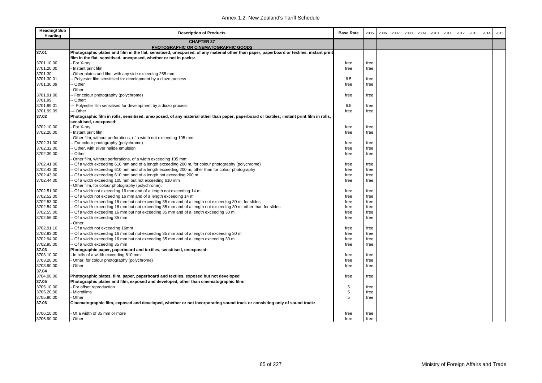| <b>Heading/Sub</b><br>Heading | <b>Description of Products</b>                                                                                                                                                                                | <b>Base Rate</b> | 2005 | 2006 | 2007 | 2008 | 2009 | 2010 | 2011 | 2012 | 2013 | 2014 | 2015 |
|-------------------------------|---------------------------------------------------------------------------------------------------------------------------------------------------------------------------------------------------------------|------------------|------|------|------|------|------|------|------|------|------|------|------|
|                               | <b>CHAPTER 37</b><br>PHOTOGRAPHIC OR CINEMATOGRAPHIC GOODS                                                                                                                                                    |                  |      |      |      |      |      |      |      |      |      |      |      |
| 37.01                         | Photographic plates and film in the flat, sensitised, unexposed, of any material other than paper, paperboard or textiles; instant print<br>film in the flat, sensitised, unexposed, whether or not in packs: |                  |      |      |      |      |      |      |      |      |      |      |      |
| 3701.10.00                    | For X-ray                                                                                                                                                                                                     | free             | free |      |      |      |      |      |      |      |      |      |      |
| 3701.20.00                    | Instant print film                                                                                                                                                                                            | free             | free |      |      |      |      |      |      |      |      |      |      |
| 3701.30                       | Other plates and film, with any side exceeding 255 mm:                                                                                                                                                        |                  |      |      |      |      |      |      |      |      |      |      |      |
| 3701.30.01                    |                                                                                                                                                                                                               |                  |      |      |      |      |      |      |      |      |      |      |      |
|                               | - Polyester film sensitised for development by a diazo process                                                                                                                                                | 6.5              | free |      |      |      |      |      |      |      |      |      |      |
| 3701.30.09                    | Other                                                                                                                                                                                                         | free             | free |      |      |      |      |      |      |      |      |      |      |
|                               | Other:                                                                                                                                                                                                        |                  |      |      |      |      |      |      |      |      |      |      |      |
| 3701.91.00                    | - For colour photography (polychrome)                                                                                                                                                                         | free             | free |      |      |      |      |      |      |      |      |      |      |
| 3701.99                       | Other:                                                                                                                                                                                                        |                  |      |      |      |      |      |      |      |      |      |      |      |
| 3701.99.01                    | - Polyester film sensitised for development by a diazo process                                                                                                                                                | 6.5              | free |      |      |      |      |      |      |      |      |      |      |
| 3701.99.09                    | -- Other                                                                                                                                                                                                      | free             | free |      |      |      |      |      |      |      |      |      |      |
| 37.02                         | Photographic film in rolls, sensitised, unexposed, of any material other than paper, paperboard or textiles; instant print film in rolls,<br>sensitised, unexposed:                                           |                  |      |      |      |      |      |      |      |      |      |      |      |
| 3702.10.00                    | For X-ray                                                                                                                                                                                                     | free             | free |      |      |      |      |      |      |      |      |      |      |
| 3702.20.00                    | Instant print film                                                                                                                                                                                            | free             | free |      |      |      |      |      |      |      |      |      |      |
|                               | Other film, without perforations, of a width not exceeding 105 mm:                                                                                                                                            |                  |      |      |      |      |      |      |      |      |      |      |      |
| 3702.31.00                    | - For colour photography (polychrome)                                                                                                                                                                         | free             | free |      |      |      |      |      |      |      |      |      |      |
| 3702.32.00                    | Other, with silver halide emulsion                                                                                                                                                                            | free             | free |      |      |      |      |      |      |      |      |      |      |
| 3702.39.00                    | Other                                                                                                                                                                                                         | free             | free |      |      |      |      |      |      |      |      |      |      |
|                               | Other film, without perforations, of a width exceeding 105 mm:                                                                                                                                                |                  |      |      |      |      |      |      |      |      |      |      |      |
|                               |                                                                                                                                                                                                               |                  |      |      |      |      |      |      |      |      |      |      |      |
| 3702.41.00                    | Of a width exceeding 610 mm and of a length exceeding 200 m, for colour photography (polychrome)                                                                                                              | free             | free |      |      |      |      |      |      |      |      |      |      |
| 3702.42.00                    | Of a width exceeding 610 mm and of a length exceeding 200 m, other than for colour photography                                                                                                                | free             | free |      |      |      |      |      |      |      |      |      |      |
| 3702.43.00                    | Of a width exceeding 610 mm and of a length not exceeding 200 m                                                                                                                                               | free             | free |      |      |      |      |      |      |      |      |      |      |
| 3702.44.00                    | Of a width exceeding 105 mm but not exceeding 610 mm                                                                                                                                                          | free             | free |      |      |      |      |      |      |      |      |      |      |
|                               | Other film, for colour photography (polychrome):                                                                                                                                                              |                  |      |      |      |      |      |      |      |      |      |      |      |
| 3702.51.00                    | Of a width not exceeding 16 mm and of a length not exceeding 14 m                                                                                                                                             | free             | free |      |      |      |      |      |      |      |      |      |      |
| 3702.52.00                    | Of a width not exceeding 16 mm and of a length exceeding 14 m                                                                                                                                                 | free             | free |      |      |      |      |      |      |      |      |      |      |
| 3702.53.00                    | Of a width exceeding 16 mm but not exceeding 35 mm and of a length not exceeding 30 m, for slides                                                                                                             | free             | free |      |      |      |      |      |      |      |      |      |      |
| 3702.54.00                    | Of a width exceeding 16 mm but not exceeding 35 mm and of a length not exceeding 30 m, other than for slides                                                                                                  | free             | free |      |      |      |      |      |      |      |      |      |      |
| 3702.55.00                    | Of a width exceeding 16 mm but not exceeding 35 mm and of a length exceeding 30 m                                                                                                                             | free             | free |      |      |      |      |      |      |      |      |      |      |
| 3702.56.00                    | Of a width exceeding 35 mm                                                                                                                                                                                    | free             | free |      |      |      |      |      |      |      |      |      |      |
|                               | Other:                                                                                                                                                                                                        |                  |      |      |      |      |      |      |      |      |      |      |      |
| 3702.91.10                    | Of a width not exceeding 16mm                                                                                                                                                                                 | free             | free |      |      |      |      |      |      |      |      |      |      |
| 3702.93.00                    | - Of a width exceeding 16 mm but not exceeding 35 mm and of a length not exceeding 30 m                                                                                                                       | free             | free |      |      |      |      |      |      |      |      |      |      |
| 3702.94.00                    | Of a width exceeding 16 mm but not exceeding 35 mm and of a length exceeding 30 m                                                                                                                             | free             | free |      |      |      |      |      |      |      |      |      |      |
| 3702.95.00                    | Of a width exceeding 35 mm                                                                                                                                                                                    | free             | free |      |      |      |      |      |      |      |      |      |      |
| 37.03                         | Photographic paper, paperboard and textiles, sensitised, unexposed:                                                                                                                                           |                  |      |      |      |      |      |      |      |      |      |      |      |
| 3703.10.00                    | In rolls of a width exceeding 610 mm                                                                                                                                                                          | free             | free |      |      |      |      |      |      |      |      |      |      |
| 3703.20.00                    | Other, for colour photography (polychrome)                                                                                                                                                                    | free             | free |      |      |      |      |      |      |      |      |      |      |
| 3703.90.00                    | Other                                                                                                                                                                                                         | free             | free |      |      |      |      |      |      |      |      |      |      |
| 37.04                         |                                                                                                                                                                                                               |                  |      |      |      |      |      |      |      |      |      |      |      |
| 3704.00.00                    | Photographic plates, film, paper, paperboard and textiles, exposed but not developed                                                                                                                          | free             | free |      |      |      |      |      |      |      |      |      |      |
| 37.05                         | Photographic plates and film, exposed and developed, other than cinematographic film:                                                                                                                         |                  |      |      |      |      |      |      |      |      |      |      |      |
| 3705.10.00                    | For offset reproduction                                                                                                                                                                                       | 5                | free |      |      |      |      |      |      |      |      |      |      |
| 3705.20.00                    | Microfilms                                                                                                                                                                                                    | 5                | free |      |      |      |      |      |      |      |      |      |      |
| 3705.90.00                    | Other                                                                                                                                                                                                         | 5                | free |      |      |      |      |      |      |      |      |      |      |
| 37.06                         | Cinematographic film, exposed and developed, whether or not incorporating sound track or consisting only of sound track:                                                                                      |                  |      |      |      |      |      |      |      |      |      |      |      |
|                               |                                                                                                                                                                                                               |                  |      |      |      |      |      |      |      |      |      |      |      |
| 3706.10.00                    | Of a width of 35 mm or more                                                                                                                                                                                   | free             | free |      |      |      |      |      |      |      |      |      |      |
| 3706.90.00                    | - Other                                                                                                                                                                                                       | free             | free |      |      |      |      |      |      |      |      |      |      |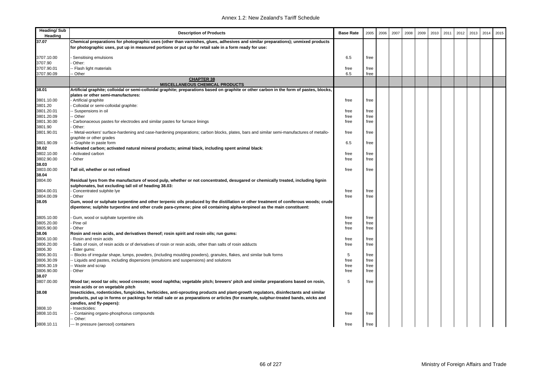| <b>Heading/Sub</b><br>Heading | <b>Description of Products</b>                                                                                                                                                                                                                                  | <b>Base Rate</b> | 2005         | 2006 | 2007 | 2008 | 2009 | 2010 | 2011 | 2012 | 2013 | 2014 | 2015 |
|-------------------------------|-----------------------------------------------------------------------------------------------------------------------------------------------------------------------------------------------------------------------------------------------------------------|------------------|--------------|------|------|------|------|------|------|------|------|------|------|
| 37.07                         | Chemical preparations for photographic uses (other than varnishes, glues, adhesives and similar preparations); unmixed products<br>for photographic uses, put up in measured portions or put up for retail sale in a form ready for use:                        |                  |              |      |      |      |      |      |      |      |      |      |      |
| 3707.10.00                    | Sensitising emulsions                                                                                                                                                                                                                                           | 6.5              | free         |      |      |      |      |      |      |      |      |      |      |
| 3707.90                       | Other:                                                                                                                                                                                                                                                          |                  |              |      |      |      |      |      |      |      |      |      |      |
| 3707.90.01<br>3707.90.09      | - Flash light materials<br>- Other                                                                                                                                                                                                                              | free<br>6.5      | free<br>free |      |      |      |      |      |      |      |      |      |      |
|                               | <b>CHAPTER 38</b>                                                                                                                                                                                                                                               |                  |              |      |      |      |      |      |      |      |      |      |      |
|                               | <b>MISCELLANEOUS CHEMICAL PRODUCTS</b>                                                                                                                                                                                                                          |                  |              |      |      |      |      |      |      |      |      |      |      |
| 38.01                         | Artificial graphite; colloidal or semi-colloidal graphite; preparations based on graphite or other carbon in the form of pastes, blocks,                                                                                                                        |                  |              |      |      |      |      |      |      |      |      |      |      |
|                               | plates or other semi-manufactures:                                                                                                                                                                                                                              |                  |              |      |      |      |      |      |      |      |      |      |      |
| 3801.10.00                    | - Artificial graphite                                                                                                                                                                                                                                           | free             | free         |      |      |      |      |      |      |      |      |      |      |
| 3801.20                       | Colloidal or semi-colloidal graphite:                                                                                                                                                                                                                           |                  |              |      |      |      |      |      |      |      |      |      |      |
| 3801.20.01                    | Suspensions in oil                                                                                                                                                                                                                                              | free             | free         |      |      |      |      |      |      |      |      |      |      |
| 3801.20.09                    | - Other                                                                                                                                                                                                                                                         | free             | free         |      |      |      |      |      |      |      |      |      |      |
| 3801.30.00<br>3801.90         | Carbonaceous pastes for electrodes and similar pastes for furnace linings<br>Other:                                                                                                                                                                             | free             | free         |      |      |      |      |      |      |      |      |      |      |
| 3801.90.01                    | - Metal-workers' surface-hardening and case-hardening preparations; carbon blocks, plates, bars and similar semi-manufactures of metallo-<br>graphite or other grades                                                                                           | free             | free         |      |      |      |      |      |      |      |      |      |      |
| 3801.90.09                    | - Graphite in paste form                                                                                                                                                                                                                                        | 6.5              | free         |      |      |      |      |      |      |      |      |      |      |
| 38.02                         | Activated carbon; activated natural mineral products; animal black, including spent animal black:                                                                                                                                                               |                  |              |      |      |      |      |      |      |      |      |      |      |
| 3802.10.00                    | Activated carbon                                                                                                                                                                                                                                                | free             | free         |      |      |      |      |      |      |      |      |      |      |
| 3802.90.00                    | Other                                                                                                                                                                                                                                                           | free             | free         |      |      |      |      |      |      |      |      |      |      |
| 38.03                         |                                                                                                                                                                                                                                                                 |                  |              |      |      |      |      |      |      |      |      |      |      |
| 3803.00.00                    | Tall oil, whether or not refined                                                                                                                                                                                                                                | free             | free         |      |      |      |      |      |      |      |      |      |      |
| 38.04                         |                                                                                                                                                                                                                                                                 |                  |              |      |      |      |      |      |      |      |      |      |      |
| 3804.00                       | Residual Iyes from the manufacture of wood pulp, whether or not concentrated, desugared or chemically treated, including lignin<br>sulphonates, but excluding tall oil of heading 38.03:                                                                        |                  |              |      |      |      |      |      |      |      |      |      |      |
| 3804.00.01                    | Concentrated sulphite lye                                                                                                                                                                                                                                       | free             | free         |      |      |      |      |      |      |      |      |      |      |
| 3804.00.09                    | Other                                                                                                                                                                                                                                                           | free             | free         |      |      |      |      |      |      |      |      |      |      |
| 38.05                         | Gum, wood or sulphate turpentine and other terpenic oils produced by the distillation or other treatment of coniferous woods; crude<br>dipentene; sulphite turpentine and other crude para-cymene; pine oil containing alpha-terpineol as the main constituent: |                  |              |      |      |      |      |      |      |      |      |      |      |
| 3805.10.00                    | Gum, wood or sulphate turpentine oils                                                                                                                                                                                                                           | free             | free         |      |      |      |      |      |      |      |      |      |      |
| 3805.20.00                    | Pine oil                                                                                                                                                                                                                                                        | free             | free         |      |      |      |      |      |      |      |      |      |      |
| 3805.90.00                    | Other                                                                                                                                                                                                                                                           | free             | free         |      |      |      |      |      |      |      |      |      |      |
| 38.06                         | Rosin and resin acids, and derivatives thereof; rosin spirit and rosin oils; run gums:                                                                                                                                                                          |                  |              |      |      |      |      |      |      |      |      |      |      |
| 3806.10.00                    | Rosin and resin acids                                                                                                                                                                                                                                           | free             | free         |      |      |      |      |      |      |      |      |      |      |
| 3806.20.00                    | Salts of rosin, of resin acids or of derivatives of rosin or resin acids, other than salts of rosin adducts                                                                                                                                                     | free             | free         |      |      |      |      |      |      |      |      |      |      |
| 3806.30                       | Ester gums:                                                                                                                                                                                                                                                     |                  |              |      |      |      |      |      |      |      |      |      |      |
| 3806.30.01                    | Blocks of irregular shape, lumps, powders, (including moulding powders), granules, flakes, and similar bulk forms                                                                                                                                               | 5                | free         |      |      |      |      |      |      |      |      |      |      |
| 3806.30.09                    | - Liquids and pastes, including dispersions (emulsions and suspensions) and solutions                                                                                                                                                                           | free             | free         |      |      |      |      |      |      |      |      |      |      |
| 3806.30.19                    | - Waste and scrap                                                                                                                                                                                                                                               | free             | free         |      |      |      |      |      |      |      |      |      |      |
| 3806.90.00                    | Other                                                                                                                                                                                                                                                           | free             | free         |      |      |      |      |      |      |      |      |      |      |
| 38.07<br>3807.00.00           | Wood tar; wood tar oils; wood creosote; wood naphtha; vegetable pitch; brewers' pitch and similar preparations based on rosin,<br>resin acids or on vegetable pitch                                                                                             | 5                | free         |      |      |      |      |      |      |      |      |      |      |
| 38.08                         | Insecticides, rodenticides, fungicides, herbicides, anti-sprouting products and plant-growth regulators, disinfectants and similar                                                                                                                              |                  |              |      |      |      |      |      |      |      |      |      |      |
|                               | products, put up in forms or packings for retail sale or as preparations or articles (for example, sulphur-treated bands, wicks and                                                                                                                             |                  |              |      |      |      |      |      |      |      |      |      |      |
|                               | candles, and fly-papers):                                                                                                                                                                                                                                       |                  |              |      |      |      |      |      |      |      |      |      |      |
| 3808.10                       | Insecticides:                                                                                                                                                                                                                                                   |                  |              |      |      |      |      |      |      |      |      |      |      |
| 3808.10.01                    | Containing organo-phosphorus compounds<br>- Other:                                                                                                                                                                                                              | free             | free         |      |      |      |      |      |      |      |      |      |      |
| 3808.10.11                    | --- In pressure (aerosol) containers                                                                                                                                                                                                                            | free             | free         |      |      |      |      |      |      |      |      |      |      |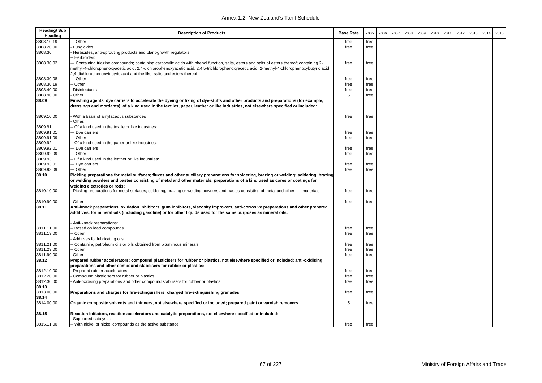| <b>Heading/Sub</b><br>Heading | <b>Description of Products</b>                                                                                                                                                                                                                                                                        | <b>Base Rate</b> | 2005 | 2006 | 2007 | 2008 | 2009 | 2010 | 2011 | 2012 | 2013 | 2014 | 2015 |
|-------------------------------|-------------------------------------------------------------------------------------------------------------------------------------------------------------------------------------------------------------------------------------------------------------------------------------------------------|------------------|------|------|------|------|------|------|------|------|------|------|------|
| 3808.10.19                    | - Other                                                                                                                                                                                                                                                                                               | free             | free |      |      |      |      |      |      |      |      |      |      |
| 3808.20.00                    | Fungicides                                                                                                                                                                                                                                                                                            | free             | free |      |      |      |      |      |      |      |      |      |      |
| 3808.30                       | Herbicides, anti-sprouting products and plant-growth regulators:<br>- Herbicides:                                                                                                                                                                                                                     |                  |      |      |      |      |      |      |      |      |      |      |      |
| 3808.30.02                    | -- Containing triazine compounds; containing carboxylic acids with phenol function, salts, esters and salts of esters thereof; containing 2-<br>methyl-4-chlorophenoxyacetic acid, 2,4-dichlorophenoxyacetic acid, 2,4,5-trichlorophenoxyacetic acid, 2-methyl-4-chlorophenoxybutyric acid,           | free             | free |      |      |      |      |      |      |      |      |      |      |
|                               | 2,4-dichlorophenoxybtuyric acid and the like, salts and esters thereof                                                                                                                                                                                                                                |                  |      |      |      |      |      |      |      |      |      |      |      |
| 3808.30.08                    | --- Other                                                                                                                                                                                                                                                                                             | free             | free |      |      |      |      |      |      |      |      |      |      |
| 3808.30.19                    | - Other                                                                                                                                                                                                                                                                                               | free             | free |      |      |      |      |      |      |      |      |      |      |
| 3808.40.00                    | <b>Disinfectants</b>                                                                                                                                                                                                                                                                                  | free             | free |      |      |      |      |      |      |      |      |      |      |
| 3808.90.00                    | Other                                                                                                                                                                                                                                                                                                 | 5                | free |      |      |      |      |      |      |      |      |      |      |
| 38.09                         | Finishing agents, dye carriers to accelerate the dyeing or fixing of dye-stuffs and other products and preparations (for example,<br>dressings and mordants), of a kind used in the textiles, paper, leather or like industries, not elsewhere specified or included:                                 |                  |      |      |      |      |      |      |      |      |      |      |      |
| 3809.10.00                    | With a basis of amylaceous substances<br>Other:                                                                                                                                                                                                                                                       | free             | free |      |      |      |      |      |      |      |      |      |      |
| 3809.91                       | - Of a kind used in the textile or like industries:                                                                                                                                                                                                                                                   |                  |      |      |      |      |      |      |      |      |      |      |      |
| 3809.91.01                    | -- Dye carriers                                                                                                                                                                                                                                                                                       | free             | free |      |      |      |      |      |      |      |      |      |      |
| 3809.91.09                    | --- Other                                                                                                                                                                                                                                                                                             | free             | free |      |      |      |      |      |      |      |      |      |      |
|                               |                                                                                                                                                                                                                                                                                                       |                  |      |      |      |      |      |      |      |      |      |      |      |
| 3809.92                       | - Of a kind used in the paper or like industries:                                                                                                                                                                                                                                                     |                  |      |      |      |      |      |      |      |      |      |      |      |
| 3809.92.01                    | -- Dye carriers                                                                                                                                                                                                                                                                                       | free             | free |      |      |      |      |      |      |      |      |      |      |
| 3809.92.09                    | -- Other                                                                                                                                                                                                                                                                                              | free             | free |      |      |      |      |      |      |      |      |      |      |
| 3809.93                       | - Of a kind used in the leather or like industries:                                                                                                                                                                                                                                                   |                  |      |      |      |      |      |      |      |      |      |      |      |
| 3809.93.01                    | --- Dye carriers                                                                                                                                                                                                                                                                                      | free             | free |      |      |      |      |      |      |      |      |      |      |
| 3809.93.09                    | --- Other                                                                                                                                                                                                                                                                                             | free             | free |      |      |      |      |      |      |      |      |      |      |
| 38.10                         | Pickling preparations for metal surfaces; fluxes and other auxiliary preparations for soldering, brazing or welding; soldering, brazing<br>or welding powders and pastes consisting of metal and other materials; preparations of a kind used as cores or coatings for<br>welding electrodes or rods: |                  |      |      |      |      |      |      |      |      |      |      |      |
| 3810.10.00                    | Pickling preparations for metal surfaces; soldering, brazing or welding powders and pastes consisting of metal and other<br>materials                                                                                                                                                                 | free             | free |      |      |      |      |      |      |      |      |      |      |
| 3810.90.00                    | Other                                                                                                                                                                                                                                                                                                 | free             | free |      |      |      |      |      |      |      |      |      |      |
| 38.11                         | Anti-knock preparations, oxidation inhibitors, gum inhibitors, viscosity improvers, anti-corrosive preparations and other prepared<br>additives, for mineral oils (including gasoline) or for other liquids used for the same purposes as mineral oils:                                               |                  |      |      |      |      |      |      |      |      |      |      |      |
|                               | Anti-knock preparations:                                                                                                                                                                                                                                                                              |                  |      |      |      |      |      |      |      |      |      |      |      |
| 3811.11.00                    | - Based on lead compounds                                                                                                                                                                                                                                                                             | free             | free |      |      |      |      |      |      |      |      |      |      |
| 3811.19.00                    | - Other                                                                                                                                                                                                                                                                                               | free             | free |      |      |      |      |      |      |      |      |      |      |
| 3811.21.00                    | Additives for lubricating oils:<br>Containing petroleum oils or oils obtained from bituminous minerals                                                                                                                                                                                                | free             | free |      |      |      |      |      |      |      |      |      |      |
| 3811.29.00                    | - Other                                                                                                                                                                                                                                                                                               | free             | free |      |      |      |      |      |      |      |      |      |      |
| 3811.90.00                    | Other                                                                                                                                                                                                                                                                                                 | free             | free |      |      |      |      |      |      |      |      |      |      |
| 38.12                         | Prepared rubber accelerators; compound plasticisers for rubber or plastics, not elsewhere specified or included; anti-oxidising                                                                                                                                                                       |                  |      |      |      |      |      |      |      |      |      |      |      |
|                               | preparations and other compound stabilisers for rubber or plastics:                                                                                                                                                                                                                                   |                  |      |      |      |      |      |      |      |      |      |      |      |
| 3812.10.00                    | Prepared rubber accelerators                                                                                                                                                                                                                                                                          | free             | free |      |      |      |      |      |      |      |      |      |      |
| 3812.20.00                    | Compound plasticisers for rubber or plastics                                                                                                                                                                                                                                                          | free             | free |      |      |      |      |      |      |      |      |      |      |
| 3812.30.00                    | Anti-oxidising preparations and other compound stabilisers for rubber or plastics                                                                                                                                                                                                                     | free             | free |      |      |      |      |      |      |      |      |      |      |
| 38.13                         |                                                                                                                                                                                                                                                                                                       |                  |      |      |      |      |      |      |      |      |      |      |      |
| 3813.00.00                    | Preparations and charges for fire-extinguishers; charged fire-extinguishing grenades                                                                                                                                                                                                                  | free             | free |      |      |      |      |      |      |      |      |      |      |
| 38.14                         |                                                                                                                                                                                                                                                                                                       |                  |      |      |      |      |      |      |      |      |      |      |      |
| 3814.00.00                    | Organic composite solvents and thinners, not elsewhere specified or included; prepared paint or varnish removers                                                                                                                                                                                      | 5                | free |      |      |      |      |      |      |      |      |      |      |
| 38.15                         | Reaction initiators, reaction accelerators and catalytic preparations, not elsewhere specified or included:<br>Supported catalysts:                                                                                                                                                                   |                  |      |      |      |      |      |      |      |      |      |      |      |
| 3815.11.00                    | -- With nickel or nickel compounds as the active substance                                                                                                                                                                                                                                            | free             | free |      |      |      |      |      |      |      |      |      |      |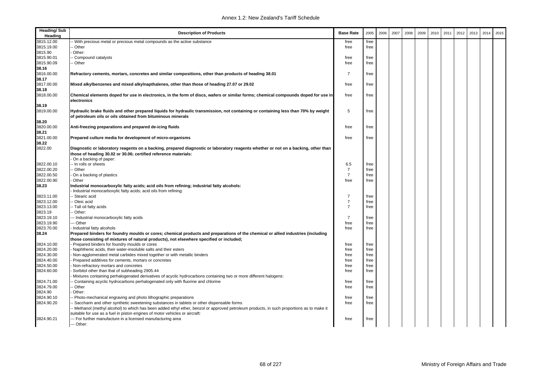| <b>Heading/Sub</b><br>Heading | <b>Description of Products</b>                                                                                                                                                                                                       | <b>Base Rate</b> | 2005         | 2006 | 2007 | 2008 | 2009 | 2010 | 2011 | 2012 | 2013 | 2014 | 2015 |
|-------------------------------|--------------------------------------------------------------------------------------------------------------------------------------------------------------------------------------------------------------------------------------|------------------|--------------|------|------|------|------|------|------|------|------|------|------|
| 3815.12.00                    | With precious metal or precious metal compounds as the active substance                                                                                                                                                              | free             | free         |      |      |      |      |      |      |      |      |      |      |
| 3815.19.00                    | Other                                                                                                                                                                                                                                | free             | free         |      |      |      |      |      |      |      |      |      |      |
| 3815.90                       | Other:                                                                                                                                                                                                                               |                  |              |      |      |      |      |      |      |      |      |      |      |
| 3815.90.01                    | Compound catalysts                                                                                                                                                                                                                   | free             | free         |      |      |      |      |      |      |      |      |      |      |
| 3815.90.09                    | Other                                                                                                                                                                                                                                | free             | free         |      |      |      |      |      |      |      |      |      |      |
| 38.16                         |                                                                                                                                                                                                                                      |                  |              |      |      |      |      |      |      |      |      |      |      |
| 3816.00.00<br>38.17           | Refractory cements, mortars, concretes and similar compositions, other than products of heading 38.01                                                                                                                                | $\overline{7}$   | free         |      |      |      |      |      |      |      |      |      |      |
| 3817.00.00<br>38.18           | Mixed alkylbenzenes and mixed alkylnapthalenes, other than those of heading 27.07 or 29.02                                                                                                                                           | free             | free         |      |      |      |      |      |      |      |      |      |      |
| 3818.00.00                    | Chemical elements doped for use in electronics, in the form of discs, wafers or similar forms; chemical compounds doped for use in<br>electronics                                                                                    | free             | free         |      |      |      |      |      |      |      |      |      |      |
| 38.19                         |                                                                                                                                                                                                                                      |                  |              |      |      |      |      |      |      |      |      |      |      |
| 3819.00.00                    | Hydraulic brake fluids and other prepared liquids for hydraulic transmission, not containing or containing less than 70% by weight<br>of petroleum oils or oils obtained from bituminous minerals                                    | 5                | free         |      |      |      |      |      |      |      |      |      |      |
| 38.20                         |                                                                                                                                                                                                                                      |                  |              |      |      |      |      |      |      |      |      |      |      |
| 3820.00.00                    | Anti-freezing preparations and prepared de-icing fluids                                                                                                                                                                              | free             | free         |      |      |      |      |      |      |      |      |      |      |
| 38.21                         |                                                                                                                                                                                                                                      |                  |              |      |      |      |      |      |      |      |      |      |      |
| 3821.00.00<br>38.22           | Prepared culture media for development of micro-organisms                                                                                                                                                                            | free             | free         |      |      |      |      |      |      |      |      |      |      |
| 3822.00                       | Diagnostic or laboratory reagents on a backing, prepared diagnostic or laboratory reagents whether or not on a backing, other than<br>those of heading 30.02 or 30.06; certified reference materials:<br>On a backing of paper:      |                  |              |      |      |      |      |      |      |      |      |      |      |
| 3822.00.10                    | - In rolls or sheets                                                                                                                                                                                                                 | 6.5              | free         |      |      |      |      |      |      |      |      |      |      |
| 3822.00.20                    | - Other                                                                                                                                                                                                                              | $\overline{7}$   | free         |      |      |      |      |      |      |      |      |      |      |
| 3822.00.50                    | On a backing of plastics                                                                                                                                                                                                             | $\overline{7}$   | free         |      |      |      |      |      |      |      |      |      |      |
| 3822.00.90                    | Other                                                                                                                                                                                                                                | free             | free         |      |      |      |      |      |      |      |      |      |      |
|                               |                                                                                                                                                                                                                                      |                  |              |      |      |      |      |      |      |      |      |      |      |
| 38.23                         | Industrial monocarboxylic fatty acids; acid oils from refining; industrial fatty alcohols:                                                                                                                                           |                  |              |      |      |      |      |      |      |      |      |      |      |
| 3823.11.00                    | Industrial monocarboxylic fatty acids; acid oils from refining:<br>- Stearic acid                                                                                                                                                    | $\overline{7}$   | free         |      |      |      |      |      |      |      |      |      |      |
| 3823.12.00                    | Oleic acid                                                                                                                                                                                                                           | $\overline{7}$   | free         |      |      |      |      |      |      |      |      |      |      |
|                               |                                                                                                                                                                                                                                      | $\overline{7}$   |              |      |      |      |      |      |      |      |      |      |      |
| 3823.13.00                    | - Tall oil fatty acids                                                                                                                                                                                                               |                  | free         |      |      |      |      |      |      |      |      |      |      |
| 3823.19<br>3823.19.10         | Other:                                                                                                                                                                                                                               | $\overline{7}$   |              |      |      |      |      |      |      |      |      |      |      |
| 3823.19.90                    | -- Industrial monocarboxylic fatty acids<br>-- Other                                                                                                                                                                                 | free             | free<br>free |      |      |      |      |      |      |      |      |      |      |
| 3823.70.00                    | Industrial fatty alcohols                                                                                                                                                                                                            |                  | free         |      |      |      |      |      |      |      |      |      |      |
| 38.24                         | Prepared binders for foundry moulds or cores; chemical products and preparations of the chemical or allied industries (including                                                                                                     | free             |              |      |      |      |      |      |      |      |      |      |      |
|                               | those consisting of mixtures of natural products), not elsewhere specified or included;                                                                                                                                              |                  |              |      |      |      |      |      |      |      |      |      |      |
| 3824.10.00                    | Prepared binders for foundry moulds or cores                                                                                                                                                                                         | free             | free         |      |      |      |      |      |      |      |      |      |      |
| 3824.20.00                    | Naphthenic acids, their water-insoluble salts and their esters                                                                                                                                                                       | free             | free         |      |      |      |      |      |      |      |      |      |      |
| 3824.30.00                    | Non-agglomerated metal carbides mixed together or with metallic binders                                                                                                                                                              | free             | free         |      |      |      |      |      |      |      |      |      |      |
| 3824.40.00                    | Prepared additives for cements, mortars or concretes                                                                                                                                                                                 | free             | free         |      |      |      |      |      |      |      |      |      |      |
| 3824.50.00                    | Non-refractory mortars and concretes                                                                                                                                                                                                 | free             | free         |      |      |      |      |      |      |      |      |      |      |
| 3824.60.00                    | Sorbitol other than that of subheading 2905.44                                                                                                                                                                                       | free             | free         |      |      |      |      |      |      |      |      |      |      |
|                               | Mixtures containing perhalogenated derivatives of acyclic hydrocarbons containing two or more different halogens:                                                                                                                    |                  |              |      |      |      |      |      |      |      |      |      |      |
| 3824.71.00                    | Containing acyclic hydrocarbons perhalogenated only with fluorine and chlorine                                                                                                                                                       | free             | free         |      |      |      |      |      |      |      |      |      |      |
| 3824.79.00                    | Other                                                                                                                                                                                                                                | free             | free         |      |      |      |      |      |      |      |      |      |      |
| 3824.90                       | Other:                                                                                                                                                                                                                               |                  |              |      |      |      |      |      |      |      |      |      |      |
| 3824.90.10                    | Photo-mechanical engraving and photo lithographic preparations                                                                                                                                                                       | free             | free         |      |      |      |      |      |      |      |      |      |      |
| 3824.90.20                    | Saccharin and other synthetic sweetening substances in tablets or other dispensable forms<br>Methanol (methyl alcohol) to which has been added ethyl ether, benzol or approved petroleum products, in such proportions as to make it | free             | free         |      |      |      |      |      |      |      |      |      |      |
|                               | suitable for use as a fuel in piston engines of motor vehicles or aircraft:                                                                                                                                                          |                  |              |      |      |      |      |      |      |      |      |      |      |
| 3824.90.21                    | -- For further manufacture in a licensed manufacturing area                                                                                                                                                                          | free             | free         |      |      |      |      |      |      |      |      |      |      |
|                               | --- Other:                                                                                                                                                                                                                           |                  |              |      |      |      |      |      |      |      |      |      |      |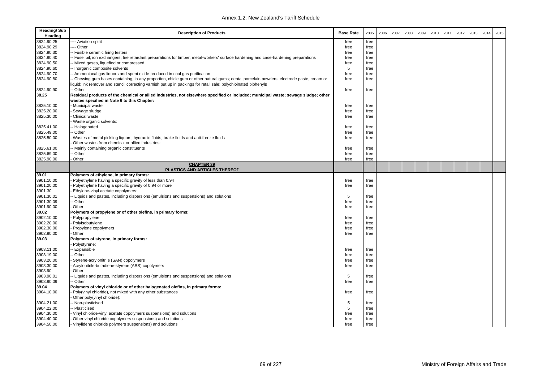| <b>Heading/Sub</b><br>Heading | <b>Description of Products</b>                                                                                                                                                                                                                              | <b>Base Rate</b> | 2005 | 2006 | 2007 | 2008 | 2009 | 2010 | 2011 | 2012 | 2013 | 2014 | 2015 |
|-------------------------------|-------------------------------------------------------------------------------------------------------------------------------------------------------------------------------------------------------------------------------------------------------------|------------------|------|------|------|------|------|------|------|------|------|------|------|
| 3824.90.25                    | --- Aviation spirit                                                                                                                                                                                                                                         | free             | free |      |      |      |      |      |      |      |      |      |      |
| 3824.90.29                    | ---- Other                                                                                                                                                                                                                                                  | free             | free |      |      |      |      |      |      |      |      |      |      |
| 3824.90.30                    | - Fusible ceramic firing testers                                                                                                                                                                                                                            | free             | free |      |      |      |      |      |      |      |      |      |      |
| 3824.90.40                    | Fusel oil; ion exchangers; fire retardant preparations for timber; metal-workers' surface hardening and case-hardening preparations                                                                                                                         | free             | free |      |      |      |      |      |      |      |      |      |      |
| 3824.90.50                    | - Mixed gases, liquefied or compressed                                                                                                                                                                                                                      | free             | free |      |      |      |      |      |      |      |      |      |      |
| 3824.90.60                    | - Inorganic composite solvents                                                                                                                                                                                                                              | 5                | free |      |      |      |      |      |      |      |      |      |      |
| 3824.90.70                    | - Ammoniacal gas liquors and spent oxide produced in coal gas purification                                                                                                                                                                                  | free             | free |      |      |      |      |      |      |      |      |      |      |
| 3824.90.80                    | - Chewing gum bases containing, in any proportion, chicle gum or other natural gums; dental porcelain powders; electrode paste, cream or<br>liquid; ink remover and stencil correcting varnish put up in packings for retail sale; polychloinated biphenyls | free             | free |      |      |      |      |      |      |      |      |      |      |
| 3824.90.90                    | - Other                                                                                                                                                                                                                                                     | free             | free |      |      |      |      |      |      |      |      |      |      |
| 38.25                         | Residual products of the chemical or allied industries, not elsewhere specified or included; municipal waste; sewage sludge; other                                                                                                                          |                  |      |      |      |      |      |      |      |      |      |      |      |
|                               | wastes specified in Note 6 to this Chapter:                                                                                                                                                                                                                 |                  |      |      |      |      |      |      |      |      |      |      |      |
| 3825.10.00                    | Municipal waste                                                                                                                                                                                                                                             | free             | free |      |      |      |      |      |      |      |      |      |      |
| 3825.20.00                    | Sewage sludge                                                                                                                                                                                                                                               | free             | free |      |      |      |      |      |      |      |      |      |      |
| 3825.30.00                    | Clinical waste                                                                                                                                                                                                                                              | free             | free |      |      |      |      |      |      |      |      |      |      |
|                               | Waste organic solvents:                                                                                                                                                                                                                                     |                  |      |      |      |      |      |      |      |      |      |      |      |
| 3825.41.00                    | - Halogenated                                                                                                                                                                                                                                               | free             | free |      |      |      |      |      |      |      |      |      |      |
| 3825.49.00                    | - Other                                                                                                                                                                                                                                                     | free             | free |      |      |      |      |      |      |      |      |      |      |
| 3825.50.00                    | Wastes of metal pickling liquors, hydraulic fluids, brake fluids and anti-freeze fluids                                                                                                                                                                     | free             | free |      |      |      |      |      |      |      |      |      |      |
|                               |                                                                                                                                                                                                                                                             |                  |      |      |      |      |      |      |      |      |      |      |      |
| 3825.61.00                    | Other wastes from chemical or allied industries:                                                                                                                                                                                                            |                  |      |      |      |      |      |      |      |      |      |      |      |
|                               | - Mainly containing organic constituents                                                                                                                                                                                                                    | free             | free |      |      |      |      |      |      |      |      |      |      |
| 3825.69.00                    | - Other                                                                                                                                                                                                                                                     | free             | free |      |      |      |      |      |      |      |      |      |      |
| 3825.90.00                    | Other<br><b>CHAPTER 39</b>                                                                                                                                                                                                                                  | free             | free |      |      |      |      |      |      |      |      |      |      |
|                               | <b>PLASTICS AND ARTICLES THEREOF</b>                                                                                                                                                                                                                        |                  |      |      |      |      |      |      |      |      |      |      |      |
| 39.01                         | Polymers of ethylene, in primary forms:                                                                                                                                                                                                                     |                  |      |      |      |      |      |      |      |      |      |      |      |
| 3901.10.00                    | Polyethylene having a specific gravity of less than 0.94                                                                                                                                                                                                    | free             | free |      |      |      |      |      |      |      |      |      |      |
| 3901.20.00                    | Polyethylene having a specific gravity of 0.94 or more                                                                                                                                                                                                      | free             | free |      |      |      |      |      |      |      |      |      |      |
| 3901.30                       | Ethylene-vinyl acetate copolymers:                                                                                                                                                                                                                          |                  |      |      |      |      |      |      |      |      |      |      |      |
| 3901.30.01                    | - Liquids and pastes, including dispersions (emulsions and suspensions) and solutions                                                                                                                                                                       | 5                | free |      |      |      |      |      |      |      |      |      |      |
| 3901.30.09                    | - Other                                                                                                                                                                                                                                                     | free             | free |      |      |      |      |      |      |      |      |      |      |
| 3901.90.00                    | Other                                                                                                                                                                                                                                                       | free             | free |      |      |      |      |      |      |      |      |      |      |
| 39.02                         | Polymers of propylene or of other olefins, in primary forms:                                                                                                                                                                                                |                  |      |      |      |      |      |      |      |      |      |      |      |
| 3902.10.00                    | Polypropylene                                                                                                                                                                                                                                               | free             | free |      |      |      |      |      |      |      |      |      |      |
| 3902.20.00                    | Polyisobutylene                                                                                                                                                                                                                                             | free             | free |      |      |      |      |      |      |      |      |      |      |
| 3902.30.00                    | Propylene copolymers                                                                                                                                                                                                                                        | free             | free |      |      |      |      |      |      |      |      |      |      |
| 3902.90.00                    | Other                                                                                                                                                                                                                                                       | free             | free |      |      |      |      |      |      |      |      |      |      |
| 39.03                         | Polymers of styrene, in primary forms:<br>Polystyrene:                                                                                                                                                                                                      |                  |      |      |      |      |      |      |      |      |      |      |      |
| 3903.11.00                    | - Expansible                                                                                                                                                                                                                                                | free             | free |      |      |      |      |      |      |      |      |      |      |
| 3903.19.00                    | - Other                                                                                                                                                                                                                                                     | free             | free |      |      |      |      |      |      |      |      |      |      |
| 3903.20.00                    | Styrene-acrylonitrile (SAN) copolymers                                                                                                                                                                                                                      | free             | free |      |      |      |      |      |      |      |      |      |      |
| 3903.30.00                    | Acrylonitrile-butadiene-styrene (ABS) copolymers                                                                                                                                                                                                            | free             | free |      |      |      |      |      |      |      |      |      |      |
| 3903.90                       | Other:                                                                                                                                                                                                                                                      |                  |      |      |      |      |      |      |      |      |      |      |      |
| 3903.90.01                    | - Liquids and pastes, including dispersions (emulsions and suspensions) and solutions                                                                                                                                                                       | 5                | free |      |      |      |      |      |      |      |      |      |      |
| 3903.90.09                    | - Other                                                                                                                                                                                                                                                     | free             | free |      |      |      |      |      |      |      |      |      |      |
| 39.04                         | Polymers of vinyl chloride or of other halogenated olefins, in primary forms:                                                                                                                                                                               |                  |      |      |      |      |      |      |      |      |      |      |      |
| 3904.10.00                    | Poly(vinyl chloride), not mixed with any other substances                                                                                                                                                                                                   | free             | free |      |      |      |      |      |      |      |      |      |      |
|                               |                                                                                                                                                                                                                                                             |                  |      |      |      |      |      |      |      |      |      |      |      |
|                               | Other poly(vinyl chloride):                                                                                                                                                                                                                                 |                  |      |      |      |      |      |      |      |      |      |      |      |
| 3904.21.00                    | - Non-plasticised                                                                                                                                                                                                                                           | 5                | free |      |      |      |      |      |      |      |      |      |      |
| 3904.22.00                    | Plasticised                                                                                                                                                                                                                                                 | 5                | free |      |      |      |      |      |      |      |      |      |      |
| 3904.30.00                    | Vinyl chloride-vinyl acetate copolymers suspensions) and solutions                                                                                                                                                                                          | free             | free |      |      |      |      |      |      |      |      |      |      |
| 3904.40.00                    | Other vinyl chloride copolymers suspensions) and solutions                                                                                                                                                                                                  | free             | free |      |      |      |      |      |      |      |      |      |      |
| 3904.50.00                    | - Vinylidene chloride polymers suspensions) and solutions                                                                                                                                                                                                   | free             | free |      |      |      |      |      |      |      |      |      |      |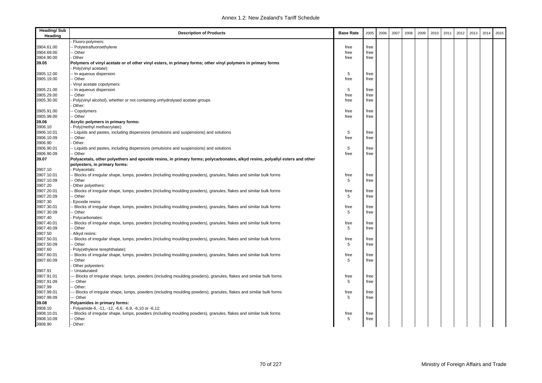| <b>Heading/Sub</b><br>Heading | <b>Description of Products</b>                                                                                               | <b>Base Rate</b> | 2005 | 2006 | 2007 | 2008 | 2009 | 2010 | 2011 | 2012 | 2013 | 2014 | 2015 |
|-------------------------------|------------------------------------------------------------------------------------------------------------------------------|------------------|------|------|------|------|------|------|------|------|------|------|------|
|                               | Fluoro-polymers:                                                                                                             |                  |      |      |      |      |      |      |      |      |      |      |      |
| 3904.61.00                    | - Polytetrafluoroethylene                                                                                                    | free             | free |      |      |      |      |      |      |      |      |      |      |
| 3904.69.00                    | - Other                                                                                                                      | free             | free |      |      |      |      |      |      |      |      |      |      |
| 3904.90.00                    | Other                                                                                                                        | free             | free |      |      |      |      |      |      |      |      |      |      |
| 39.05                         |                                                                                                                              |                  |      |      |      |      |      |      |      |      |      |      |      |
|                               | Polymers of vinyl acetate or of other vinyl esters, in primary forms; other vinyl polymers in primary forms                  |                  |      |      |      |      |      |      |      |      |      |      |      |
|                               | Poly(vinyl acetate):                                                                                                         |                  |      |      |      |      |      |      |      |      |      |      |      |
| 3905.12.00                    | -- In aqueous dispersion                                                                                                     | 5                | free |      |      |      |      |      |      |      |      |      |      |
| 3905.19.00                    | - Other                                                                                                                      | free             | free |      |      |      |      |      |      |      |      |      |      |
|                               | Vinyl acetate copolymers:                                                                                                    |                  |      |      |      |      |      |      |      |      |      |      |      |
| 3905.21.00                    | - In aqueous dispersion                                                                                                      | 5                | free |      |      |      |      |      |      |      |      |      |      |
| 3905.29.00                    | - Other                                                                                                                      | free             | free |      |      |      |      |      |      |      |      |      |      |
| 3905.30.00                    | Poly(vinyl alcohol), whether or not containing unhydrolysed acetate groups                                                   | free             | free |      |      |      |      |      |      |      |      |      |      |
|                               | Other:                                                                                                                       |                  |      |      |      |      |      |      |      |      |      |      |      |
| 3905.91.00                    | - Copolymers                                                                                                                 | free             | free |      |      |      |      |      |      |      |      |      |      |
| 3905.99.00                    | -- Other                                                                                                                     | free             | free |      |      |      |      |      |      |      |      |      |      |
| 39.06                         | Acrylic polymers in primary forms:                                                                                           |                  |      |      |      |      |      |      |      |      |      |      |      |
| 3906.10                       | Poly(methyl methacrylate):                                                                                                   |                  |      |      |      |      |      |      |      |      |      |      |      |
| 3906.10.01                    | - Liquids and pastes, including dispersions (emulsions and suspensions) and solutions                                        | 5                | free |      |      |      |      |      |      |      |      |      |      |
| 3906.10.09                    | - Other                                                                                                                      | free             | free |      |      |      |      |      |      |      |      |      |      |
| 3906.90                       | Other:                                                                                                                       |                  |      |      |      |      |      |      |      |      |      |      |      |
| 3906.90.01                    | - Liquids and pastes, including dispersions (emulsions and suspensions) and solutions                                        | 5                | free |      |      |      |      |      |      |      |      |      |      |
| 3906.90.09                    | - Other                                                                                                                      | free             | free |      |      |      |      |      |      |      |      |      |      |
| 39.07                         | Polyacetals, other polyethers and epoxide resins, in primary forms; polycarbonates, alkyd resins, polyallyl esters and other |                  |      |      |      |      |      |      |      |      |      |      |      |
|                               |                                                                                                                              |                  |      |      |      |      |      |      |      |      |      |      |      |
|                               | polyesters, in primary forms:                                                                                                |                  |      |      |      |      |      |      |      |      |      |      |      |
| 3907.10                       | Polyacetals:                                                                                                                 |                  |      |      |      |      |      |      |      |      |      |      |      |
| 3907.10.01                    | - Blocks of irregular shape, lumps, powders (including moulding powders), granules, flakes and similar bulk forms            | free             | free |      |      |      |      |      |      |      |      |      |      |
| 3907.10.09                    | - Other                                                                                                                      | 5                | free |      |      |      |      |      |      |      |      |      |      |
| 3907.20                       | Other polyethers:                                                                                                            |                  |      |      |      |      |      |      |      |      |      |      |      |
| 3907.20.01                    | - Blocks of irregular shape, lumps, powders (including moulding powders), granules, flakes and similar bulk forms            | free             | free |      |      |      |      |      |      |      |      |      |      |
| 3907.20.09                    | - Other                                                                                                                      | 5                | free |      |      |      |      |      |      |      |      |      |      |
| 3907.30                       | Epoxide resins:                                                                                                              |                  |      |      |      |      |      |      |      |      |      |      |      |
| 3907.30.01                    | - Blocks of irregular shape, lumps, powders (including moulding powders), granules, flakes and similar bulk forms            | free             | free |      |      |      |      |      |      |      |      |      |      |
| 3907.30.09                    | - Other                                                                                                                      | 5                | free |      |      |      |      |      |      |      |      |      |      |
| 3907.40                       | Polycarbonates:                                                                                                              |                  |      |      |      |      |      |      |      |      |      |      |      |
| 3907.40.01                    | - Blocks of irregular shape, lumps, powders (including moulding powders), granules, flakes and similar bulk forms            | free             | free |      |      |      |      |      |      |      |      |      |      |
| 3907.40.09                    | - Other                                                                                                                      | 5                | free |      |      |      |      |      |      |      |      |      |      |
| 3907.50                       | Alkyd resins:                                                                                                                |                  |      |      |      |      |      |      |      |      |      |      |      |
| 3907.50.01                    | - Blocks of irregular shape, lumps, powders (including moulding powders), granules, flakes and similar bulk forms            | free             | free |      |      |      |      |      |      |      |      |      |      |
| 3907.50.09                    | - Other                                                                                                                      | 5                | free |      |      |      |      |      |      |      |      |      |      |
| 3907.60                       | Poly(ethylene terephthalate):                                                                                                |                  |      |      |      |      |      |      |      |      |      |      |      |
| 3907.60.01                    | - Blocks of irregular shape, lumps, powders (including moulding powders), granules, flakes and similar bulk forms            | free             | free |      |      |      |      |      |      |      |      |      |      |
| 3907.60.09                    | - Other                                                                                                                      | 5                | free |      |      |      |      |      |      |      |      |      |      |
|                               |                                                                                                                              |                  |      |      |      |      |      |      |      |      |      |      |      |
|                               | Other polyesters:                                                                                                            |                  |      |      |      |      |      |      |      |      |      |      |      |
| 3907.91                       | - Unsaturated:                                                                                                               |                  |      |      |      |      |      |      |      |      |      |      |      |
| 3907.91.01                    | -- Blocks of irregular shape, lumps, powders (including moulding powders), granules, flakes and similar bulk forms           | free             | free |      |      |      |      |      |      |      |      |      |      |
| 3907.91.09                    | -- Other                                                                                                                     | 5                | free |      |      |      |      |      |      |      |      |      |      |
| 3907.99                       | - Other:                                                                                                                     |                  |      |      |      |      |      |      |      |      |      |      |      |
| 3907.99.01                    | -- Blocks of irregular shape, lumps, powders (including moulding powders), granules, flakes and similar bulk forms           | free             | free |      |      |      |      |      |      |      |      |      |      |
| 3907.99.09                    | -- Other                                                                                                                     | 5                | free |      |      |      |      |      |      |      |      |      |      |
| 39.08                         | Polyamides in primary forms:                                                                                                 |                  |      |      |      |      |      |      |      |      |      |      |      |
| 3908.10                       | Polyamide-6, -11, -12, -6,6, -6,9, -6,10 or -6,12:                                                                           |                  |      |      |      |      |      |      |      |      |      |      |      |
| 3908.10.01                    | - Blocks of irregular shape, lumps, powders (including moulding powders), granules, flakes and similar bulk forms            | free             | free |      |      |      |      |      |      |      |      |      |      |
| 3908.10.09                    | - Other                                                                                                                      | 5                | free |      |      |      |      |      |      |      |      |      |      |
| 3908.90                       | Other:                                                                                                                       |                  |      |      |      |      |      |      |      |      |      |      |      |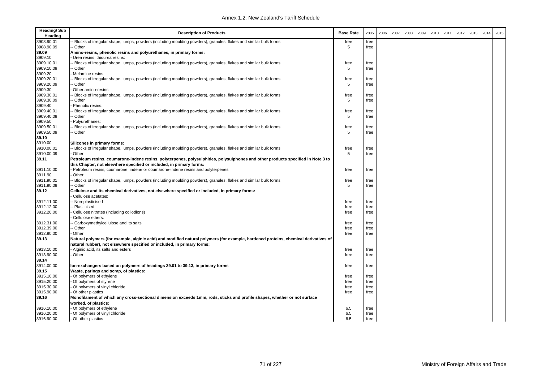| <b>Heading/Sub</b><br>Heading | <b>Description of Products</b>                                                                                                      | <b>Base Rate</b> | 2005 | 2006 | 2007 | 2008 | 2009 | 2010 | 2011 | 2012 | 2013 | 2014 | 2015 |
|-------------------------------|-------------------------------------------------------------------------------------------------------------------------------------|------------------|------|------|------|------|------|------|------|------|------|------|------|
| 3908.90.01                    | - Blocks of irregular shape, lumps, powders (including moulding powders), granules, flakes and similar bulk forms                   | free             | free |      |      |      |      |      |      |      |      |      |      |
| 3908.90.09                    | - Other                                                                                                                             | 5                | free |      |      |      |      |      |      |      |      |      |      |
| 39.09                         | Amino-resins, phenolic resins and polyurethanes, in primary forms:                                                                  |                  |      |      |      |      |      |      |      |      |      |      |      |
| 3909.10                       | Urea resins; thiourea resins:                                                                                                       |                  |      |      |      |      |      |      |      |      |      |      |      |
| 3909.10.01                    | Blocks of irregular shape, lumps, powders (including moulding powders), granules, flakes and similar bulk forms                     | free             | free |      |      |      |      |      |      |      |      |      |      |
| 3909.10.09                    | - Other                                                                                                                             | 5                | free |      |      |      |      |      |      |      |      |      |      |
| 3909.20                       | Melamine resins:                                                                                                                    |                  |      |      |      |      |      |      |      |      |      |      |      |
| 3909.20.01                    | Blocks of irregular shape, lumps, powders (including moulding powders), granules, flakes and similar bulk forms                     | free             | free |      |      |      |      |      |      |      |      |      |      |
| 3909.20.09                    | - Other                                                                                                                             | 5                | free |      |      |      |      |      |      |      |      |      |      |
| 3909.30                       | Other amino-resins:                                                                                                                 |                  |      |      |      |      |      |      |      |      |      |      |      |
| 3909.30.01                    | Blocks of irregular shape, lumps, powders (including moulding powders), granules, flakes and similar bulk forms                     | free             | free |      |      |      |      |      |      |      |      |      |      |
| 3909.30.09                    | - Other                                                                                                                             | 5                | free |      |      |      |      |      |      |      |      |      |      |
| 3909.40                       | Phenolic resins:                                                                                                                    |                  |      |      |      |      |      |      |      |      |      |      |      |
| 3909.40.01                    | Blocks of irregular shape, lumps, powders (including moulding powders), granules, flakes and similar bulk forms                     | free             | free |      |      |      |      |      |      |      |      |      |      |
| 3909.40.09                    | - Other                                                                                                                             | 5                | free |      |      |      |      |      |      |      |      |      |      |
| 3909.50                       | Polyurethanes:                                                                                                                      |                  |      |      |      |      |      |      |      |      |      |      |      |
| 3909.50.01                    | Blocks of irregular shape, lumps, powders (including moulding powders), granules, flakes and similar bulk forms                     | free             | free |      |      |      |      |      |      |      |      |      |      |
| 3909.50.09                    | - Other                                                                                                                             | 5                | free |      |      |      |      |      |      |      |      |      |      |
| 39.10                         |                                                                                                                                     |                  |      |      |      |      |      |      |      |      |      |      |      |
| 3910.00                       | Silicones in primary forms:                                                                                                         |                  |      |      |      |      |      |      |      |      |      |      |      |
| 3910.00.01                    | - Blocks of irregular shape, lumps, powders (including moulding powders), granules, flakes and similar bulk forms                   | free             | free |      |      |      |      |      |      |      |      |      |      |
| 3910.00.09                    | Other                                                                                                                               | 5                | free |      |      |      |      |      |      |      |      |      |      |
| 39.11                         | Petroleum resins, coumarone-indene resins, polyterpenes, polysulphides, polysulphones and other products specified in Note 3 to     |                  |      |      |      |      |      |      |      |      |      |      |      |
|                               | this Chapter, not elsewhere specified or included, in primary forms:                                                                |                  |      |      |      |      |      |      |      |      |      |      |      |
| 3911.10.00                    | Petroleum resins, coumarone, indene or coumarone-indene resins and polyterpenes                                                     | free             | free |      |      |      |      |      |      |      |      |      |      |
| 3911.90                       | Other:                                                                                                                              |                  |      |      |      |      |      |      |      |      |      |      |      |
| 3911.90.01                    | - Blocks of irregular shape, lumps, powders (including moulding powders), granules, flakes and similar bulk forms                   | free             | free |      |      |      |      |      |      |      |      |      |      |
| 3911.90.09                    | - Other                                                                                                                             | 5                | free |      |      |      |      |      |      |      |      |      |      |
| 39.12                         | Cellulose and its chemical derivatives, not elsewhere specified or included, in primary forms:                                      |                  |      |      |      |      |      |      |      |      |      |      |      |
|                               | Cellulose acetates:                                                                                                                 |                  |      |      |      |      |      |      |      |      |      |      |      |
| 3912.11.00                    | - Non-plasticised                                                                                                                   | free             | free |      |      |      |      |      |      |      |      |      |      |
| 3912.12.00                    | - Plasticised                                                                                                                       | free             | free |      |      |      |      |      |      |      |      |      |      |
| 3912.20.00                    | Cellulose nitrates (including collodions)                                                                                           | free             | free |      |      |      |      |      |      |      |      |      |      |
|                               | Cellulose ethers:                                                                                                                   |                  |      |      |      |      |      |      |      |      |      |      |      |
| 3912.31.00                    | - Carboxymethylcellulose and its salts                                                                                              | free             | free |      |      |      |      |      |      |      |      |      |      |
| 3912.39.00                    | - Other                                                                                                                             | free             | free |      |      |      |      |      |      |      |      |      |      |
| 3912.90.00                    | Other                                                                                                                               | free             | free |      |      |      |      |      |      |      |      |      |      |
| 39.13                         | Natural polymers (for example, alginic acid) and modified natural polymers (for example, hardened proteins, chemical derivatives of |                  |      |      |      |      |      |      |      |      |      |      |      |
|                               | natural rubber), not elsewhere specified or included, in primary forms:                                                             |                  |      |      |      |      |      |      |      |      |      |      |      |
| 3913.10.00                    | Alginic acid, its salts and esters                                                                                                  | free             | free |      |      |      |      |      |      |      |      |      |      |
| 3913.90.00                    | Other                                                                                                                               | free             | free |      |      |      |      |      |      |      |      |      |      |
| 39.14                         |                                                                                                                                     |                  |      |      |      |      |      |      |      |      |      |      |      |
| 3914.00.00                    | lon-exchangers based on polymers of headings 39.01 to 39.13, in primary forms                                                       | free             | free |      |      |      |      |      |      |      |      |      |      |
| 39.15                         | Waste, parings and scrap, of plastics:                                                                                              |                  |      |      |      |      |      |      |      |      |      |      |      |
| 3915.10.00                    | Of polymers of ethylene                                                                                                             | free             | free |      |      |      |      |      |      |      |      |      |      |
| 3915.20.00                    | Of polymers of styrene                                                                                                              | free             | free |      |      |      |      |      |      |      |      |      |      |
| 3915.30.00                    | Of polymers of vinyl chloride                                                                                                       | free             | free |      |      |      |      |      |      |      |      |      |      |
| 3915.90.00                    | Of other plastics                                                                                                                   | free             | free |      |      |      |      |      |      |      |      |      |      |
| 39.16                         | Monofilament of which any cross-sectional dimension exceeds 1mm, rods, sticks and profile shapes, whether or not surface            |                  |      |      |      |      |      |      |      |      |      |      |      |
|                               | worked, of plastics:                                                                                                                |                  |      |      |      |      |      |      |      |      |      |      |      |
| 3916.10.00                    | - Of polymers of ethylene                                                                                                           | 6.5              | free |      |      |      |      |      |      |      |      |      |      |
| 3916.20.00                    | Of polymers of vinyl chloride                                                                                                       | 6.5              | free |      |      |      |      |      |      |      |      |      |      |
| 3916.90.00                    | - Of other plastics                                                                                                                 | 6.5              | free |      |      |      |      |      |      |      |      |      |      |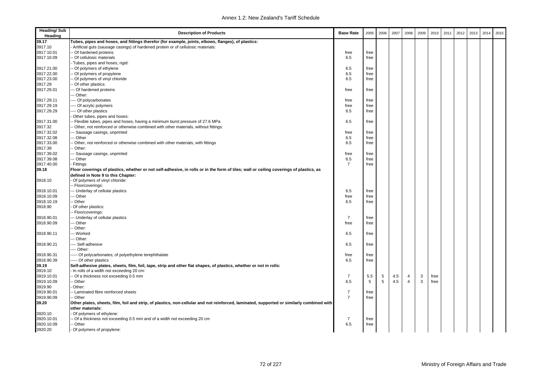| 39.17<br>Tubes, pipes and hoses, and fittings therefor (for example, joints, elbows, flanges), of plastics:<br>3917.10<br>Artificial guts (sausage casings) of hardened protein or of cellulosic materials:<br>3917.10.01<br>Of hardened proteins<br>free<br>free<br>Of cellulosic materials<br>3917.10.09<br>6.5<br>free<br>Tubes, pipes and hoses, rigid:<br>6.5<br>3917.21.00<br>- Of polymers of ethylene<br>free<br>6.5<br>3917.22.00<br>Of polymers of propylene<br>free<br>3917.23.00<br>Of polymers of vinyl chloride<br>6.5<br>free |  |
|----------------------------------------------------------------------------------------------------------------------------------------------------------------------------------------------------------------------------------------------------------------------------------------------------------------------------------------------------------------------------------------------------------------------------------------------------------------------------------------------------------------------------------------------|--|
|                                                                                                                                                                                                                                                                                                                                                                                                                                                                                                                                              |  |
|                                                                                                                                                                                                                                                                                                                                                                                                                                                                                                                                              |  |
|                                                                                                                                                                                                                                                                                                                                                                                                                                                                                                                                              |  |
|                                                                                                                                                                                                                                                                                                                                                                                                                                                                                                                                              |  |
|                                                                                                                                                                                                                                                                                                                                                                                                                                                                                                                                              |  |
|                                                                                                                                                                                                                                                                                                                                                                                                                                                                                                                                              |  |
|                                                                                                                                                                                                                                                                                                                                                                                                                                                                                                                                              |  |
|                                                                                                                                                                                                                                                                                                                                                                                                                                                                                                                                              |  |
| 3917.29<br>Of other plastics:                                                                                                                                                                                                                                                                                                                                                                                                                                                                                                                |  |
| 3917.29.01<br>-- Of hardened proteins<br>free<br>free                                                                                                                                                                                                                                                                                                                                                                                                                                                                                        |  |
| - Other:                                                                                                                                                                                                                                                                                                                                                                                                                                                                                                                                     |  |
| --- Of polycarbonates<br>3917.29.11<br>free<br>free                                                                                                                                                                                                                                                                                                                                                                                                                                                                                          |  |
| 3917.29.19<br>--- Of acrylic polymers<br>free<br>free                                                                                                                                                                                                                                                                                                                                                                                                                                                                                        |  |
| 3917.29.29<br>--- Of other plastics<br>6.5<br>free                                                                                                                                                                                                                                                                                                                                                                                                                                                                                           |  |
| Other tubes, pipes and hoses:                                                                                                                                                                                                                                                                                                                                                                                                                                                                                                                |  |
| 3917.31.00<br>Flexible tubes, pipes and hoses, having a minimum burst pressure of 27.6 MPa<br>6.5<br>free                                                                                                                                                                                                                                                                                                                                                                                                                                    |  |
| 3917.32<br>Other, not reinforced or otherwise combined with other materials, without fittings:                                                                                                                                                                                                                                                                                                                                                                                                                                               |  |
| 3917.32.02<br>-- Sausage casings, unprinted<br>free<br>free                                                                                                                                                                                                                                                                                                                                                                                                                                                                                  |  |
| 3917.32.08<br>-- Other<br>6.5<br>free                                                                                                                                                                                                                                                                                                                                                                                                                                                                                                        |  |
| 3917.33.00<br>6.5<br>Other, not reinforced or otherwise combined with other materials, with fittings<br>free                                                                                                                                                                                                                                                                                                                                                                                                                                 |  |
| 3917.39<br>Other:                                                                                                                                                                                                                                                                                                                                                                                                                                                                                                                            |  |
| -- Sausage casings, unprinted<br>3917.39.02<br>free<br>free                                                                                                                                                                                                                                                                                                                                                                                                                                                                                  |  |
| 3917.39.08<br>6.5<br>-- Other<br>free                                                                                                                                                                                                                                                                                                                                                                                                                                                                                                        |  |
| 3917.40.00<br>$\overline{7}$<br>Fittings<br>free                                                                                                                                                                                                                                                                                                                                                                                                                                                                                             |  |
| 39.18<br>Floor coverings of plastics, whether or not self-adhesive, in rolls or in the form of tiles; wall or ceiling coverings of plastics, as                                                                                                                                                                                                                                                                                                                                                                                              |  |
| defined in Note 9 to this Chapter:                                                                                                                                                                                                                                                                                                                                                                                                                                                                                                           |  |
| Of polymers of vinyl chloride:<br>3918.10                                                                                                                                                                                                                                                                                                                                                                                                                                                                                                    |  |
| - Floorcoverings:                                                                                                                                                                                                                                                                                                                                                                                                                                                                                                                            |  |
| -- Underlay of cellular plastics<br>6.5<br>3918.10.01<br>free                                                                                                                                                                                                                                                                                                                                                                                                                                                                                |  |
| 3918.10.09<br>-- Other<br>free<br>free                                                                                                                                                                                                                                                                                                                                                                                                                                                                                                       |  |
| 3918.10.19<br>- Other<br>6.5<br>free                                                                                                                                                                                                                                                                                                                                                                                                                                                                                                         |  |
| 3918.90<br>Of other plastics:                                                                                                                                                                                                                                                                                                                                                                                                                                                                                                                |  |
| - Floorcoverings:                                                                                                                                                                                                                                                                                                                                                                                                                                                                                                                            |  |
| $\overline{7}$<br>3918.90.01<br>-- Underlay of cellular plastics<br>free                                                                                                                                                                                                                                                                                                                                                                                                                                                                     |  |
| 3918.90.09<br>-- Other<br>free<br>free                                                                                                                                                                                                                                                                                                                                                                                                                                                                                                       |  |
| Other:                                                                                                                                                                                                                                                                                                                                                                                                                                                                                                                                       |  |
| 3918.90.11<br>-- Worked<br>6.5<br>free                                                                                                                                                                                                                                                                                                                                                                                                                                                                                                       |  |
| -- Other:                                                                                                                                                                                                                                                                                                                                                                                                                                                                                                                                    |  |
| 3918.90.21<br>--- Self-adhesive<br>6.5<br>free                                                                                                                                                                                                                                                                                                                                                                                                                                                                                               |  |
| --- Other:                                                                                                                                                                                                                                                                                                                                                                                                                                                                                                                                   |  |
| 3918.90.31<br>---- Of polycarbonates; of polyethylene terephthalate<br>free<br>free                                                                                                                                                                                                                                                                                                                                                                                                                                                          |  |
| 3918.90.39<br>6.5<br>---- Of other plastics<br>free                                                                                                                                                                                                                                                                                                                                                                                                                                                                                          |  |
| 39.19<br>Self-adhesive plates, sheets, film, foil, tape, strip and other flat shapes, of plastics, whether or not in rolls:                                                                                                                                                                                                                                                                                                                                                                                                                  |  |
| 3919.10<br>In rolls of a width not exceeding 20 cm:                                                                                                                                                                                                                                                                                                                                                                                                                                                                                          |  |
| - Of a thickness not exceeding 0.5 mm<br>$\overline{7}$<br>3919.10.01<br>5.5<br>5<br>4.5<br>3<br>free<br>$\overline{4}$                                                                                                                                                                                                                                                                                                                                                                                                                      |  |
| 5<br>3919.10.09<br>- Other<br>6.5<br>5<br>4.5<br>$\overline{4}$<br>3<br>free                                                                                                                                                                                                                                                                                                                                                                                                                                                                 |  |
| 3919.90<br>Other:                                                                                                                                                                                                                                                                                                                                                                                                                                                                                                                            |  |
| $\overline{7}$<br>3919.90.01<br>- Laminated fibre reinforced sheets<br>free                                                                                                                                                                                                                                                                                                                                                                                                                                                                  |  |
| $\overline{7}$<br>3919.90.09<br>- Other<br>free                                                                                                                                                                                                                                                                                                                                                                                                                                                                                              |  |
| 39.20<br>Other plates, sheets, film, foil and strip, of plastics, non-cellular and not reinforced, laminated, supported or similarly combined with                                                                                                                                                                                                                                                                                                                                                                                           |  |
| other materials:                                                                                                                                                                                                                                                                                                                                                                                                                                                                                                                             |  |
| Of polymers of ethylene:<br>3920.10                                                                                                                                                                                                                                                                                                                                                                                                                                                                                                          |  |
| 3920.10.01<br>Of a thickness not exceeding 0.5 mm and of a width not exceeding 20 cm<br>$\overline{7}$<br>free                                                                                                                                                                                                                                                                                                                                                                                                                               |  |
| 3920.10.09<br>- Other<br>6.5<br>free                                                                                                                                                                                                                                                                                                                                                                                                                                                                                                         |  |
| 3920.20<br>Of polymers of propylene:                                                                                                                                                                                                                                                                                                                                                                                                                                                                                                         |  |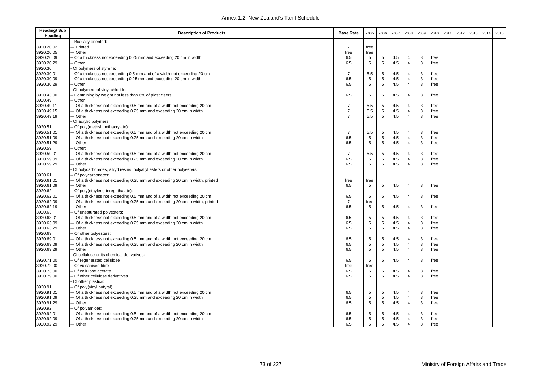| <b>Heading/Sub</b><br>Heading | <b>Description of Products</b>                                             | <b>Base Rate</b> | 2005        | 2006            | 2007 | 2008           | 2009 | 2010 | 2011 | 2012 | 2013 | 2014 | 2015 |
|-------------------------------|----------------------------------------------------------------------------|------------------|-------------|-----------------|------|----------------|------|------|------|------|------|------|------|
|                               | Biaxially oriented:                                                        |                  |             |                 |      |                |      |      |      |      |      |      |      |
| 3920.20.02                    | - Printed                                                                  | $\overline{7}$   | free        |                 |      |                |      |      |      |      |      |      |      |
| 3920.20.05                    | - Other                                                                    | free             | free        |                 |      |                |      |      |      |      |      |      |      |
| 3920.20.09                    | Of a thickness not exceeding 0.25 mm and exceeding 20 cm in width          | 6.5              | 5           | 5               | 4.5  | 4              | 3    | free |      |      |      |      |      |
| 3920.20.29                    | · Other                                                                    | 6.5              | 5           | $5\phantom{.0}$ | 4.5  | $\overline{4}$ | 3    | free |      |      |      |      |      |
| 3920.30                       | Of polymers of styrene:                                                    |                  |             |                 |      |                |      |      |      |      |      |      |      |
| 3920.30.01                    | Of a thickness not exceeding 0.5 mm and of a width not exceeding 20 cm     | 7                | 5.5         | 5               | 4.5  | $\overline{4}$ | 3    | free |      |      |      |      |      |
| 3920.30.09                    | Of a thickness not exceeding 0.25 mm and exceeding 20 cm in width          | 6.5              | 5           | 5               | 4.5  | $\overline{4}$ | 3    | free |      |      |      |      |      |
| 3920.30.29                    | · Other                                                                    | 6.5              | 5           | 5               | 4.5  | $\overline{4}$ | 3    | free |      |      |      |      |      |
|                               | Of polymers of vinyl chloride:                                             |                  |             |                 |      |                |      |      |      |      |      |      |      |
| 3920.43.00                    | Containing by weight not less than 6% of plasticisers                      | 6.5              | 5           | 5               | 4.5  | $\overline{4}$ | 3    | free |      |      |      |      |      |
| 3920.49                       | · Other                                                                    |                  |             |                 |      |                |      |      |      |      |      |      |      |
| 3920.49.11                    | Of a thickness not exceeding 0.5 mm and of a width not exceeding 20 cm     | $\overline{7}$   | 5.5         | 5               | 4.5  | $\overline{4}$ | 3    | free |      |      |      |      |      |
| 3920.49.15                    | - Of a thickness not exceeding 0.25 mm and exceeding 20 cm in width        | $\overline{7}$   | 5.5         | $\,$ 5 $\,$     | 4.5  | $\overline{4}$ | 3    | free |      |      |      |      |      |
| 3920.49.19                    | - Other                                                                    | $\overline{7}$   | 5.5         | 5               | 4.5  | $\overline{4}$ | 3    | free |      |      |      |      |      |
|                               | Of acrylic polymers:                                                       |                  |             |                 |      |                |      |      |      |      |      |      |      |
| 3920.51                       | Of poly(methyl methacrylate):                                              |                  |             |                 |      |                |      |      |      |      |      |      |      |
| 3920.51.01                    | - Of a thickness not exceeding 0.5 mm and of a width not exceeding 20 cm   | $\overline{7}$   | 5.5         | 5               | 4.5  | 4              | 3    | free |      |      |      |      |      |
| 3920.51.09                    | - Of a thickness not exceeding 0.25 mm and exceeding 20 cm in width        | 6.5              | $\,$ 5 $\,$ | $\,$ 5 $\,$     | 4.5  | $\overline{4}$ | 3    | free |      |      |      |      |      |
| 3920.51.29                    | - Other                                                                    | 6.5              | 5           | 5               | 4.5  | $\overline{4}$ | 3    | free |      |      |      |      |      |
| 3920.59                       | Other:                                                                     |                  |             |                 |      |                |      |      |      |      |      |      |      |
| 3920.59.01                    | Of a thickness not exceeding 0.5 mm and of a width not exceeding 20 cm     | 7                | 5.5         | 5               | 4.5  | $\overline{4}$ | 3    | free |      |      |      |      |      |
| 3920.59.09                    | - Of a thickness not exceeding 0.25 mm and exceeding 20 cm in width        | 6.5              | $\,$ 5 $\,$ | $\,$ 5 $\,$     | 4.5  | $\overline{4}$ | 3    | free |      |      |      |      |      |
| 3920.59.29                    | - Other                                                                    | 6.5              | 5           | 5               | 4.5  | $\overline{4}$ | 3    | free |      |      |      |      |      |
|                               | Of polycarbonates, alkyd resins, polyallyl esters or other polyesters:     |                  |             |                 |      |                |      |      |      |      |      |      |      |
| 3920.61                       | Of polycarbonates:                                                         |                  |             |                 |      |                |      |      |      |      |      |      |      |
| 3920.61.01                    | Of a thickness not exceeding 0.25 mm and exceeding 20 cm in width, printed | free             | free        |                 |      |                |      |      |      |      |      |      |      |
| 3920.61.09                    | - Other                                                                    | 6.5              | 5           | 5               | 4.5  | $\overline{4}$ | 3    | free |      |      |      |      |      |
| 3920.62                       | Of poly(ethylene terephthalate):                                           |                  |             |                 |      |                |      |      |      |      |      |      |      |
| 3920.62.01                    | Of a thickness not exceeding 0.5 mm and of a width not exceeding 20 cm     | 6.5              | 5           | 5               | 4.5  | $\overline{4}$ | 3    | free |      |      |      |      |      |
| 3920.62.09                    | Of a thickness not exceeding 0.25 mm and exceeding 20 cm in width, printed | $\overline{7}$   | free        |                 |      |                |      |      |      |      |      |      |      |
| 3920.62.19                    | - Other                                                                    | 6.5              | 5           | 5               | 4.5  | $\overline{4}$ | 3    | free |      |      |      |      |      |
| 3920.63                       | Of unsaturated polyesters:                                                 |                  |             |                 |      |                |      |      |      |      |      |      |      |
| 3920.63.01                    | - Of a thickness not exceeding 0.5 mm and of a width not exceeding 20 cm   | 6.5              | 5           | 5               | 4.5  | $\overline{4}$ | 3    | free |      |      |      |      |      |
| 3920.63.09                    | - Of a thickness not exceeding 0.25 mm and exceeding 20 cm in width        | 6.5              | 5           | 5               | 4.5  | $\overline{4}$ | 3    | free |      |      |      |      |      |
| 3920.63.29                    | - Other                                                                    | 6.5              | 5           | $\,$ 5 $\,$     | 4.5  | 4              | 3    | free |      |      |      |      |      |
| 3920.69                       | Of other polyesters:                                                       |                  |             |                 |      |                |      |      |      |      |      |      |      |
| 3920.69.01                    | Of a thickness not exceeding 0.5 mm and of a width not exceeding 20 cm     | 6.5              | 5           | 5               | 4.5  | 4              | 3    | free |      |      |      |      |      |
| 3920.69.09                    | - Of a thickness not exceeding 0.25 mm and exceeding 20 cm in width        | 6.5              | $\,$ 5 $\,$ | 5               | 4.5  | $\overline{4}$ | 3    | free |      |      |      |      |      |
| 3920.69.29                    | - Other                                                                    | 6.5              | 5           | 5               | 4.5  | $\overline{4}$ | 3    | free |      |      |      |      |      |
|                               | Of cellulose or its chemical derivatives:                                  |                  |             |                 |      |                |      |      |      |      |      |      |      |
| 3920.71.00                    | Of regenerated cellulose                                                   | 6.5              | 5           | 5               | 4.5  | $\overline{4}$ | 3    | free |      |      |      |      |      |
| 3920.72.00                    | Of vulcanised fibre                                                        | free             | free        |                 |      |                |      |      |      |      |      |      |      |
| 3920.73.00                    | Of cellulose acetate                                                       | 6.5              | 5           | 5               | 4.5  | $\overline{4}$ | 3    | free |      |      |      |      |      |
| 3920.79.00                    | Of other cellulose derivatives                                             | 6.5              | 5           | 5               | 4.5  | $\overline{4}$ | 3    | free |      |      |      |      |      |
|                               | Of other plastics:                                                         |                  |             |                 |      |                |      |      |      |      |      |      |      |
| 3920.91                       | Of poly(vinyl butyral):                                                    |                  |             |                 |      |                |      |      |      |      |      |      |      |
| 3920.91.01                    | Of a thickness not exceeding 0.5 mm and of a width not exceeding 20 cm     | 6.5              | 5           | 5               | 4.5  | $\overline{4}$ | 3    | free |      |      |      |      |      |
| 3920.91.09                    | Of a thickness not exceeding 0.25 mm and exceeding 20 cm in width          | 6.5              | $\,$ 5 $\,$ | $\,$ 5 $\,$     | 4.5  | $\overline{4}$ | 3    | free |      |      |      |      |      |
| 3920.91.29                    | - Other                                                                    | 6.5              | $\,$ 5 $\,$ | $\,$ 5 $\,$     | 4.5  | $\overline{4}$ | 3    | free |      |      |      |      |      |
| 3920.92                       | Of polyamides:                                                             |                  |             |                 |      |                |      |      |      |      |      |      |      |
| 3920.92.01                    | - Of a thickness not exceeding 0.5 mm and of a width not exceeding 20 cm   | 6.5              | 5           | 5               | 4.5  | 4              | 3    | free |      |      |      |      |      |
| 3920.92.09                    | - Of a thickness not exceeding 0.25 mm and exceeding 20 cm in width        | 6.5              | $\,$ 5 $\,$ | $\,$ 5 $\,$     | 4.5  | 4              | 3    | free |      |      |      |      |      |
| 3920.92.29                    | -- Other                                                                   | 6.5              | 5           | 5               | 4.5  | $\overline{4}$ | 3    | free |      |      |      |      |      |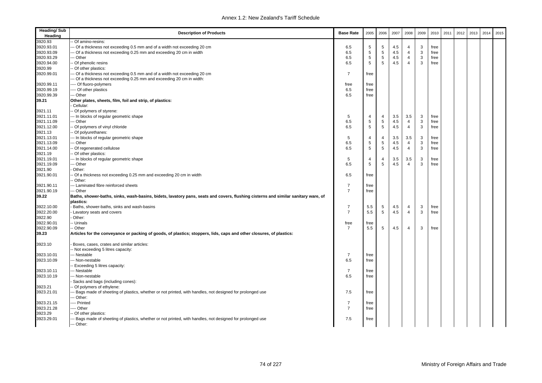| <b>Heading/Sub</b><br>Heading | <b>Description of Products</b>                                                                                                    | <b>Base Rate</b>                 | 2005            | 2006            | 2007 | 2008           | 2009         | 2010 | 2011 | 2012 | 2013 | 2014 | 2015 |
|-------------------------------|-----------------------------------------------------------------------------------------------------------------------------------|----------------------------------|-----------------|-----------------|------|----------------|--------------|------|------|------|------|------|------|
| 3920.93                       | Of amino-resins:                                                                                                                  |                                  |                 |                 |      |                |              |      |      |      |      |      |      |
| 3920.93.01                    | -- Of a thickness not exceeding 0.5 mm and of a width not exceeding 20 cm                                                         | 6.5                              | $\overline{5}$  | 5               | 4.5  | 4              | 3            | free |      |      |      |      |      |
| 3920.93.09                    | -- Of a thickness not exceeding 0.25 mm and exceeding 20 cm in width                                                              | 6.5                              | $5\phantom{.0}$ | 5               | 4.5  | $\overline{4}$ | 3            | free |      |      |      |      |      |
| 3920.93.29                    | -- Other                                                                                                                          | 6.5                              | $\sqrt{5}$      | 5               | 4.5  | $\overline{4}$ | 3            | free |      |      |      |      |      |
| 3920.94.00                    | Of phenolic resins                                                                                                                | 6.5                              | $\,$ 5 $\,$     | 5               | 4.5  | $\overline{4}$ | 3            | free |      |      |      |      |      |
| 3920.99                       | - Of other plastics:                                                                                                              |                                  |                 |                 |      |                |              |      |      |      |      |      |      |
| 3920.99.01                    | -- Of a thickness not exceeding 0.5 mm and of a width not exceeding 20 cm                                                         | $\overline{7}$                   | free            |                 |      |                |              |      |      |      |      |      |      |
|                               | --- Of a thickness not exceeding 0.25 mm and exceeding 20 cm in width:                                                            |                                  |                 |                 |      |                |              |      |      |      |      |      |      |
| 3920.99.11                    | ---- Of fluoro-polymers                                                                                                           | free                             | free            |                 |      |                |              |      |      |      |      |      |      |
| 3920.99.19                    | ---- Of other plastics                                                                                                            | 6.5                              | free            |                 |      |                |              |      |      |      |      |      |      |
| 3920.99.39                    | -- Other                                                                                                                          | 6.5                              | free            |                 |      |                |              |      |      |      |      |      |      |
| 39.21                         | Other plates, sheets, film, foil and strip, of plastics:                                                                          |                                  |                 |                 |      |                |              |      |      |      |      |      |      |
|                               | Cellular:                                                                                                                         |                                  |                 |                 |      |                |              |      |      |      |      |      |      |
| 3921.11                       | - Of polymers of styrene:                                                                                                         |                                  |                 |                 |      |                |              |      |      |      |      |      |      |
| 3921.11.01                    | -- In blocks of regular geometric shape                                                                                           | 5                                | 4               | $\overline{4}$  | 3.5  | 3.5            | 3            | free |      |      |      |      |      |
| 3921.11.09                    | -- Other                                                                                                                          | 6.5                              | $\sqrt{5}$      | 5               | 4.5  | 4              | 3            | free |      |      |      |      |      |
| 3921.12.00                    | - Of polymers of vinyl chloride                                                                                                   | 6.5                              | 5               | 5               | 4.5  | $\overline{4}$ | 3            | free |      |      |      |      |      |
| 3921.13                       | - Of polyurethanes:                                                                                                               |                                  |                 |                 |      |                |              |      |      |      |      |      |      |
| 3921.13.01                    | --- In blocks of regular geometric shape                                                                                          | 5                                | $\overline{4}$  | $\overline{4}$  | 3.5  | 3.5            | 3            | free |      |      |      |      |      |
| 3921.13.09                    | -- Other                                                                                                                          | 6.5                              | $\,$ 5 $\,$     | 5               | 4.5  | $\overline{4}$ | 3            | free |      |      |      |      |      |
| 3921.14.00                    | - Of regenerated cellulose                                                                                                        | 6.5                              | 5               | $5\phantom{.0}$ | 4.5  | $\overline{4}$ | $\mathbf{3}$ | free |      |      |      |      |      |
| 3921.19                       | - Of other plastics:                                                                                                              |                                  |                 |                 |      |                |              |      |      |      |      |      |      |
| 3921.19.01                    | --- In blocks of regular geometric shape                                                                                          | 5                                | 4               | $\overline{4}$  | 3.5  | 3.5            | 3            | free |      |      |      |      |      |
| 3921.19.09                    | -- Other                                                                                                                          | 6.5                              | 5               | 5               | 4.5  | $\overline{4}$ | 3            | free |      |      |      |      |      |
| 3921.90                       | Other:                                                                                                                            |                                  |                 |                 |      |                |              |      |      |      |      |      |      |
| 3921.90.01                    | - Of a thickness not exceeding 0.25 mm and exceeding 20 cm in width                                                               | 6.5                              | free            |                 |      |                |              |      |      |      |      |      |      |
|                               | - Other:                                                                                                                          |                                  |                 |                 |      |                |              |      |      |      |      |      |      |
| 3921.90.11                    | --- Laminated fibre reinforced sheets                                                                                             | $\overline{7}$<br>$\overline{7}$ | free            |                 |      |                |              |      |      |      |      |      |      |
| 3921.90.19<br>39.22           | -- Other                                                                                                                          |                                  | free            |                 |      |                |              |      |      |      |      |      |      |
|                               | Baths, shower-baths, sinks, wash-basins, bidets, lavatory pans, seats and covers, flushing cisterns and similar sanitary ware, of |                                  |                 |                 |      |                |              |      |      |      |      |      |      |
| 3922.10.00                    | plastics:<br>Baths, shower-baths, sinks and wash-basins                                                                           | 7                                | 5.5             | 5               | 4.5  | 4              | 3            | free |      |      |      |      |      |
| 3922.20.00                    | Lavatory seats and covers                                                                                                         | $\overline{7}$                   | 5.5             | 5               | 4.5  | $\overline{4}$ | 3            | free |      |      |      |      |      |
| 3922.90                       | Other:                                                                                                                            |                                  |                 |                 |      |                |              |      |      |      |      |      |      |
| 3922.90.01                    | - Urinals                                                                                                                         | free                             | free            |                 |      |                |              |      |      |      |      |      |      |
| 3922.90.09                    | - Other                                                                                                                           | $\overline{7}$                   | 5.5             | 5               | 4.5  | $\overline{4}$ | 3            | free |      |      |      |      |      |
| 39.23                         | Articles for the conveyance or packing of goods, of plastics; stoppers, lids, caps and other closures, of plastics:               |                                  |                 |                 |      |                |              |      |      |      |      |      |      |
|                               |                                                                                                                                   |                                  |                 |                 |      |                |              |      |      |      |      |      |      |
| 3923.10                       | Boxes, cases, crates and similar articles:                                                                                        |                                  |                 |                 |      |                |              |      |      |      |      |      |      |
|                               | - Not exceeding 5 litres capacity:                                                                                                |                                  |                 |                 |      |                |              |      |      |      |      |      |      |
| 3923.10.01                    | -- Nestable                                                                                                                       | $\overline{7}$                   | free            |                 |      |                |              |      |      |      |      |      |      |
| 3923.10.09                    | -- Non-nestable                                                                                                                   | 6.5                              | free            |                 |      |                |              |      |      |      |      |      |      |
|                               | - Exceeding 5 litres capacity:                                                                                                    |                                  |                 |                 |      |                |              |      |      |      |      |      |      |
| 3923.10.11                    | -- Nestable                                                                                                                       | $\overline{7}$                   | free            |                 |      |                |              |      |      |      |      |      |      |
| 3923.10.19                    | -- Non-nestable                                                                                                                   | 6.5                              | free            |                 |      |                |              |      |      |      |      |      |      |
|                               | Sacks and bags (including cones):                                                                                                 |                                  |                 |                 |      |                |              |      |      |      |      |      |      |
| 3923.21                       | - Of polymers of ethylene:                                                                                                        |                                  |                 |                 |      |                |              |      |      |      |      |      |      |
| 3923.21.01                    | -- Bags made of sheeting of plastics, whether or not printed, with handles, not designed for prolonged use                        | 7.5                              | free            |                 |      |                |              |      |      |      |      |      |      |
|                               | --- Other:                                                                                                                        |                                  |                 |                 |      |                |              |      |      |      |      |      |      |
| 3923.21.15                    | ---- Printed                                                                                                                      | $\overline{7}$                   | free            |                 |      |                |              |      |      |      |      |      |      |
| 3923.21.28                    | ---- Other                                                                                                                        | $\overline{7}$                   | free            |                 |      |                |              |      |      |      |      |      |      |
| 3923.29                       | - Of other plastics:                                                                                                              |                                  |                 |                 |      |                |              |      |      |      |      |      |      |
| 3923.29.01                    | -- Bags made of sheeting of plastics, whether or not printed, with handles, not designed for prolonged use                        | 7.5                              | free            |                 |      |                |              |      |      |      |      |      |      |
|                               | --- Other:                                                                                                                        |                                  |                 |                 |      |                |              |      |      |      |      |      |      |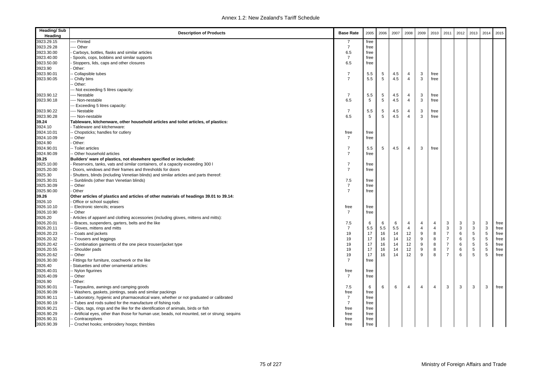| <b>Heading/Sub</b><br>Heading | <b>Description of Products</b>                                                                                    | <b>Base Rate</b> | 2005 | 2006 | 2007 | 2008           | 2009 | 2010           | 2011           | 2012 | 2013        | 2014        | 2015 |
|-------------------------------|-------------------------------------------------------------------------------------------------------------------|------------------|------|------|------|----------------|------|----------------|----------------|------|-------------|-------------|------|
| 3923.29.15                    | -- Printed                                                                                                        | 7                | free |      |      |                |      |                |                |      |             |             |      |
| 3923.29.28                    | --- Other                                                                                                         | $\overline{7}$   | free |      |      |                |      |                |                |      |             |             |      |
| 3923.30.00                    | Carboys, bottles, flasks and similar articles                                                                     | 6.5              | free |      |      |                |      |                |                |      |             |             |      |
| 3923.40.00                    | Spools, cops, bobbins and similar supports                                                                        | $\overline{7}$   | free |      |      |                |      |                |                |      |             |             |      |
| 3923.50.00                    | Stoppers, lids, caps and other closures                                                                           | 6.5              | free |      |      |                |      |                |                |      |             |             |      |
| 3923.90                       | Other:                                                                                                            |                  |      |      |      |                |      |                |                |      |             |             |      |
| 3923.90.01                    | - Collapsible tubes                                                                                               | $\overline{7}$   | 5.5  | 5    | 4.5  | $\overline{4}$ | 3    | free           |                |      |             |             |      |
| 3923.90.05                    | - Chilly bins                                                                                                     | $\overline{7}$   | 5.5  | 5    | 4.5  | $\overline{4}$ | 3    | free           |                |      |             |             |      |
|                               | Other:                                                                                                            |                  |      |      |      |                |      |                |                |      |             |             |      |
|                               | -- Not exceeding 5 litres capacity:                                                                               |                  |      |      |      |                |      |                |                |      |             |             |      |
| 3923.90.12                    | --- Nestable                                                                                                      | $\overline{7}$   | 5.5  | 5    | 4.5  | 4              | 3    | free           |                |      |             |             |      |
| 3923.90.18                    | ---- Non-nestable                                                                                                 | 6.5              | 5    | 5    | 4.5  | $\overline{4}$ | 3    | free           |                |      |             |             |      |
|                               | --- Exceeding 5 litres capacity:                                                                                  |                  |      |      |      |                |      |                |                |      |             |             |      |
| 3923.90.22                    | ---- Nestable                                                                                                     | $\overline{7}$   | 5.5  | 5    | 4.5  | 4              | 3    | free           |                |      |             |             |      |
| 3923.90.28                    | ---- Non-nestable                                                                                                 | 6.5              | 5    | 5    | 4.5  | $\overline{4}$ | 3    | free           |                |      |             |             |      |
| 39.24                         | Tableware, kitchenware, other household articles and toilet articles, of plastics:                                |                  |      |      |      |                |      |                |                |      |             |             |      |
| 3924.10                       | Tableware and kitchenware:                                                                                        |                  |      |      |      |                |      |                |                |      |             |             |      |
| 3924.10.01                    | - Chopsticks; handles for cutlery                                                                                 | free             | free |      |      |                |      |                |                |      |             |             |      |
| 3924.10.09                    | - Other                                                                                                           | $\overline{7}$   | free |      |      |                |      |                |                |      |             |             |      |
| 3924.90                       | Other:                                                                                                            |                  |      |      |      |                |      |                |                |      |             |             |      |
| 3924.90.01                    | -- Toilet articles                                                                                                | $\overline{7}$   | 5.5  | 5    | 4.5  | $\overline{4}$ | 3    | free           |                |      |             |             |      |
| 3924.90.09                    | -- Other household articles                                                                                       | $\overline{7}$   | free |      |      |                |      |                |                |      |             |             |      |
| 39.25                         | Builders' ware of plastics, not elsewhere specified or included:                                                  |                  |      |      |      |                |      |                |                |      |             |             |      |
| 3925.10.00                    | Reservoirs, tanks, vats and similar containers, of a capacity exceeding 300 l                                     | $\overline{7}$   | free |      |      |                |      |                |                |      |             |             |      |
| 3925.20.00                    | Doors, windows and their frames and thresholds for doors                                                          | $\overline{7}$   | free |      |      |                |      |                |                |      |             |             |      |
| 3925.30                       | Shutters, blinds (including Venetian blinds) and similar articles and parts thereof:                              |                  |      |      |      |                |      |                |                |      |             |             |      |
| 3925.30.01                    | - Sunblinds (other than Venetian blinds)                                                                          | 7.5              | free |      |      |                |      |                |                |      |             |             |      |
| 3925.30.09                    | - Other                                                                                                           | $\overline{7}$   | free |      |      |                |      |                |                |      |             |             |      |
| 3925.90.00                    | Other                                                                                                             | $\overline{7}$   | free |      |      |                |      |                |                |      |             |             |      |
| 39.26                         | Other articles of plastics and articles of other materials of headings 39.01 to 39.14:                            |                  |      |      |      |                |      |                |                |      |             |             |      |
| 3926.10                       | Office or school supplies:                                                                                        |                  |      |      |      |                |      |                |                |      |             |             |      |
| 3926.10.10                    | - Electronic stencils; erasers                                                                                    | free             | free |      |      |                |      |                |                |      |             |             |      |
| 3926.10.90                    | - Other                                                                                                           | $\overline{7}$   | free |      |      |                |      |                |                |      |             |             |      |
| 3926.20                       | Articles of apparel and clothing accessories (including gloves, mittens and mitts):                               |                  |      |      |      |                |      |                |                |      |             |             |      |
| 3926.20.01                    | Braces, suspenders, garters, belts and the like                                                                   | 7.5              | 6    | 6    | 6    | 4              | 4    | 4              | 3              | 3    | 3           | 3           | free |
| 3926.20.11                    | - Gloves, mittens and mitts                                                                                       | $\overline{7}$   | 5.5  | 5.5  | 5.5  | $\overline{4}$ | 4    | $\overline{4}$ | $\mathbf{3}$   | 3    | 3           | $\mathsf 3$ | free |
| 3926.20.23                    | - Coats and jackets                                                                                               | 19               | 17   | 16   | 14   | 12             | 9    | 8              | $\overline{7}$ | 6    | $\,$ 5 $\,$ | $\,$ 5 $\,$ | free |
| 3926.20.32                    | -- Trousers and leggings                                                                                          | 19               | 17   | 16   | 14   | 12             | 9    | 8              | $\overline{7}$ | 6    | 5           | $\,$ 5 $\,$ | free |
| 3926.20.42                    | - Combination garments of the one piece trouser/jacket type                                                       | 19               | 17   | 16   | 14   | 12             | 9    | 8              | $\overline{7}$ | 6    | 5           | $\,$ 5 $\,$ | free |
| 3926.20.55                    | - Shoulder pads                                                                                                   | 19               | 17   | 16   | 14   | 12             | 9    | 8              | $\overline{7}$ | 6    | 5           | 5           | free |
| 3926.20.62                    | Other                                                                                                             | 19               | 17   | 16   | 14   | 12             | g    | 8              | $\overline{7}$ | 6    | 5           | 5           | free |
| 3926.30.00                    | Fittings for furniture, coachwork or the like                                                                     | $\overline{7}$   | free |      |      |                |      |                |                |      |             |             |      |
| 3926.40                       | Statuettes and other ornamental articles:                                                                         |                  |      |      |      |                |      |                |                |      |             |             |      |
| 3926.40.01                    | - Nylon figurines                                                                                                 | free             | free |      |      |                |      |                |                |      |             |             |      |
| 3926.40.09                    | - Other                                                                                                           | 7                | free |      |      |                |      |                |                |      |             |             |      |
| 3926.90                       | Other:                                                                                                            |                  |      |      |      |                |      |                |                |      |             |             |      |
| 3926.90.01                    | -- Tarpaulins, awnings and camping goods                                                                          | 7.5              | 6    | 6    | 6    | $\overline{4}$ | 4    | $\overline{4}$ | 3              | 3    | 3           | 3           | free |
| 3926.90.09                    | - Washers, gaskets, jointings, seals and similar packings                                                         | free             | free |      |      |                |      |                |                |      |             |             |      |
| 3926.90.11                    | -- Laboratory, hygienic and pharmaceutical ware, whether or not graduated or calibrated                           | $\overline{7}$   | free |      |      |                |      |                |                |      |             |             |      |
| 3926.90.19                    | - Tubes and rods suited for the manufacture of fishing rods                                                       | $\overline{7}$   | free |      |      |                |      |                |                |      |             |             |      |
| 3926.90.21                    | - Clips, tags, rings and the like for the identification of animals, birds or fish                                | free             | free |      |      |                |      |                |                |      |             |             |      |
| 3926.90.29                    |                                                                                                                   | free             | free |      |      |                |      |                |                |      |             |             |      |
| 3926.90.31                    | - Artificial eyes, other than those for human use; beads, not mounted, set or strung; sequins<br>- Contraceptives | free             | free |      |      |                |      |                |                |      |             |             |      |
| 3926.90.39                    |                                                                                                                   |                  |      |      |      |                |      |                |                |      |             |             |      |
|                               | -- Crochet hooks; embroidery hoops; thimbles                                                                      | free             | free |      |      |                |      |                |                |      |             |             |      |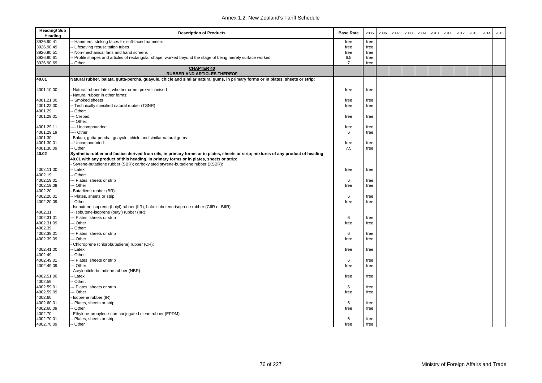| <b>Heading/Sub</b><br>Heading | <b>Description of Products</b>                                                                                                     | <b>Base Rate</b> | 2005 | 2006 | 2007 | 2008 | 2009 | 2010 | 2011 | 2012 | 2013 | 2014 | 2015 |
|-------------------------------|------------------------------------------------------------------------------------------------------------------------------------|------------------|------|------|------|------|------|------|------|------|------|------|------|
| 3926.90.41                    | Hammers; striking faces for soft-faced hammers                                                                                     | free             | free |      |      |      |      |      |      |      |      |      |      |
| 3926.90.49                    | Lifesaving resuscitation tubes                                                                                                     | free             | free |      |      |      |      |      |      |      |      |      |      |
| 3926.90.51                    | Non-mechanical fans and hand screens                                                                                               | free             | free |      |      |      |      |      |      |      |      |      |      |
| 3926.90.61                    | Profile shapes and articles of rectangular shape, worked beyond the stage of being merely surface worked                           | 6.5              | free |      |      |      |      |      |      |      |      |      |      |
| 3926.90.69                    | Other                                                                                                                              | $\overline{7}$   | free |      |      |      |      |      |      |      |      |      |      |
|                               | <b>CHAPTER 40</b><br><b>RUBBER AND ARTICLES THEREOF</b>                                                                            |                  |      |      |      |      |      |      |      |      |      |      |      |
| 40.01                         | Natural rubber, balata, gutta-percha, guayule, chicle and similar natural gums, in primary forms or in plates, sheets or strip:    |                  |      |      |      |      |      |      |      |      |      |      |      |
|                               |                                                                                                                                    |                  |      |      |      |      |      |      |      |      |      |      |      |
| 4001.10.00                    | Natural rubber latex, whether or not pre-vulcanised                                                                                | free             | free |      |      |      |      |      |      |      |      |      |      |
|                               | Natural rubber in other forms:                                                                                                     |                  |      |      |      |      |      |      |      |      |      |      |      |
| 4001.21.00                    | - Smoked sheets                                                                                                                    | free             | free |      |      |      |      |      |      |      |      |      |      |
| 4001.22.00                    | - Technically specified natural rubber (TSNR)                                                                                      | free             | free |      |      |      |      |      |      |      |      |      |      |
| 4001.29                       | Other:                                                                                                                             |                  |      |      |      |      |      |      |      |      |      |      |      |
| 4001.29.01                    | -- Creped                                                                                                                          | free             | free |      |      |      |      |      |      |      |      |      |      |
|                               | -- Other:                                                                                                                          |                  |      |      |      |      |      |      |      |      |      |      |      |
| 4001.29.11                    | --- Uncompounded                                                                                                                   | free             | free |      |      |      |      |      |      |      |      |      |      |
| 4001.29.19                    | --- Other                                                                                                                          | 6                | free |      |      |      |      |      |      |      |      |      |      |
| 4001.30                       | Balata, gutta-percha, guayule, chicle and similar natural gums:                                                                    |                  |      |      |      |      |      |      |      |      |      |      |      |
| 4001.30.01                    | Uncompounded                                                                                                                       | free             | free |      |      |      |      |      |      |      |      |      |      |
| 4001.30.09                    | - Other                                                                                                                            | 7.5              | free |      |      |      |      |      |      |      |      |      |      |
| 40.02                         | Synthetic rubber and factice derived from oils, in primary forms or in plates, sheets or strip; mixtures of any product of heading |                  |      |      |      |      |      |      |      |      |      |      |      |
|                               | 40.01 with any product of this heading, in primary forms or in plates, sheets or strip:                                            |                  |      |      |      |      |      |      |      |      |      |      |      |
|                               | Styrene-butadiene rubber (SBR); carboxylated styrene-butadiene rubber (XSBR):                                                      |                  |      |      |      |      |      |      |      |      |      |      |      |
| 4002.11.00                    | - Latex                                                                                                                            | free             | free |      |      |      |      |      |      |      |      |      |      |
| 4002.19                       | Other:                                                                                                                             |                  |      |      |      |      |      |      |      |      |      |      |      |
| 4002.19.01                    | - Plates, sheets or strip                                                                                                          | 6                | free |      |      |      |      |      |      |      |      |      |      |
| 4002.19.09                    | -- Other                                                                                                                           | free             | free |      |      |      |      |      |      |      |      |      |      |
| 4002.20                       | Butadiene rubber (BR):                                                                                                             |                  |      |      |      |      |      |      |      |      |      |      |      |
| 4002.20.01                    | Plates, sheets or strip                                                                                                            | 6                | free |      |      |      |      |      |      |      |      |      |      |
| 4002.20.09                    | Other                                                                                                                              | free             | free |      |      |      |      |      |      |      |      |      |      |
|                               | Isobutene-isoprene (butyl) rubber (IIR); halo-isobutene-isoprene rubber (CIIR or BIIR):                                            |                  |      |      |      |      |      |      |      |      |      |      |      |
| 4002.31                       | - Isobutene-isoprene (butyl) rubber (IIR):                                                                                         |                  |      |      |      |      |      |      |      |      |      |      |      |
| 4002.31.01                    | -- Plates, sheets or strip                                                                                                         | 6                | free |      |      |      |      |      |      |      |      |      |      |
| 4002.31.09                    | -- Other                                                                                                                           | free             | free |      |      |      |      |      |      |      |      |      |      |
| 4002.39                       | Other:                                                                                                                             |                  |      |      |      |      |      |      |      |      |      |      |      |
| 4002.39.01                    | -- Plates, sheets or strip                                                                                                         | 6                | free |      |      |      |      |      |      |      |      |      |      |
| 4002.39.09                    | -- Other                                                                                                                           | free             | free |      |      |      |      |      |      |      |      |      |      |
|                               | Chloroprene (chlorobutadiene) rubber (CR):                                                                                         |                  |      |      |      |      |      |      |      |      |      |      |      |
| 4002.41.00                    | - Latex                                                                                                                            | free             | free |      |      |      |      |      |      |      |      |      |      |
| 4002.49                       | Other:                                                                                                                             |                  |      |      |      |      |      |      |      |      |      |      |      |
| 4002.49.01                    | -- Plates, sheets or strip                                                                                                         | 6                | free |      |      |      |      |      |      |      |      |      |      |
| 4002.49.09                    | -- Other                                                                                                                           | free             | free |      |      |      |      |      |      |      |      |      |      |
|                               | Acrylonitrile-butadiene rubber (NBR):                                                                                              |                  |      |      |      |      |      |      |      |      |      |      |      |
| 4002.51.00                    | Latex                                                                                                                              | free             | free |      |      |      |      |      |      |      |      |      |      |
| 4002.59                       | Other:                                                                                                                             |                  |      |      |      |      |      |      |      |      |      |      |      |
| 4002.59.01                    | - Plates, sheets or strip                                                                                                          | 6                | free |      |      |      |      |      |      |      |      |      |      |
| 4002.59.09                    | -- Other                                                                                                                           | free             | free |      |      |      |      |      |      |      |      |      |      |
| 4002.60                       | Isoprene rubber (IR):                                                                                                              |                  |      |      |      |      |      |      |      |      |      |      |      |
| 4002.60.01                    | Plates, sheets or strip                                                                                                            | 6                | free |      |      |      |      |      |      |      |      |      |      |
| 4002.60.09                    | - Other                                                                                                                            | free             | free |      |      |      |      |      |      |      |      |      |      |
| 4002.70                       | Ethylene-propylene-non-conjugated diene rubber (EPDM):                                                                             |                  |      |      |      |      |      |      |      |      |      |      |      |
| 4002.70.01                    | Plates, sheets or strip                                                                                                            | 6                | free |      |      |      |      |      |      |      |      |      |      |
| 4002.70.09                    | - Other                                                                                                                            | free             | free |      |      |      |      |      |      |      |      |      |      |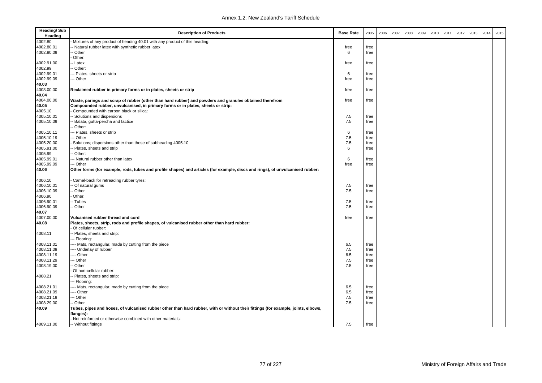| <b>Heading/Sub</b><br>Heading | <b>Description of Products</b>                                                                                                                 | <b>Base Rate</b> | 2005         | 2006 | 2007 | 2008 | 2009 | 2010 | 2011 | 2012 | 2013 | 2014 | 2015 |
|-------------------------------|------------------------------------------------------------------------------------------------------------------------------------------------|------------------|--------------|------|------|------|------|------|------|------|------|------|------|
| 4002.80                       | Mixtures of any product of heading 40.01 with any product of this heading:                                                                     |                  |              |      |      |      |      |      |      |      |      |      |      |
| 4002.80.01                    | - Natural rubber latex with synthetic rubber latex                                                                                             | free             | free         |      |      |      |      |      |      |      |      |      |      |
| 4002.80.09                    | - Other                                                                                                                                        | 6                | free         |      |      |      |      |      |      |      |      |      |      |
|                               | Other:                                                                                                                                         |                  |              |      |      |      |      |      |      |      |      |      |      |
| 4002.91.00                    | - Latex                                                                                                                                        | free             | free         |      |      |      |      |      |      |      |      |      |      |
| 4002.99                       | - Other:                                                                                                                                       |                  |              |      |      |      |      |      |      |      |      |      |      |
| 4002.99.01                    | -- Plates, sheets or strip                                                                                                                     | 6                | free         |      |      |      |      |      |      |      |      |      |      |
| 4002.99.09                    | - Other                                                                                                                                        | free             | free         |      |      |      |      |      |      |      |      |      |      |
| 40.03                         |                                                                                                                                                |                  |              |      |      |      |      |      |      |      |      |      |      |
| 4003.00.00                    | Reclaimed rubber in primary forms or in plates, sheets or strip                                                                                | free             | free         |      |      |      |      |      |      |      |      |      |      |
| 40.04                         |                                                                                                                                                |                  |              |      |      |      |      |      |      |      |      |      |      |
| 4004.00.00                    | Waste, parings and scrap of rubber (other than hard rubber) and powders and granules obtained therefrom                                        | free             | free         |      |      |      |      |      |      |      |      |      |      |
| 40.05                         | Compounded rubber, unvulcanised, in primary forms or in plates, sheets or strip:                                                               |                  |              |      |      |      |      |      |      |      |      |      |      |
| 4005.10                       | Compounded with carbon black or silica:                                                                                                        |                  |              |      |      |      |      |      |      |      |      |      |      |
| 4005.10.01                    | - Solutions and dispersions                                                                                                                    | 7.5              | free         |      |      |      |      |      |      |      |      |      |      |
| 4005.10.09                    | - Balata, gutta-percha and factice                                                                                                             | 7.5              | free         |      |      |      |      |      |      |      |      |      |      |
|                               | Other:                                                                                                                                         |                  |              |      |      |      |      |      |      |      |      |      |      |
| 4005.10.11                    | -- Plates, sheets or strip                                                                                                                     | 6                | free         |      |      |      |      |      |      |      |      |      |      |
| 4005.10.19                    | - Other                                                                                                                                        | 7.5              | free         |      |      |      |      |      |      |      |      |      |      |
| 4005.20.00                    | Solutions; dispersions other than those of subheading 4005.10                                                                                  | 7.5              | free         |      |      |      |      |      |      |      |      |      |      |
| 4005.91.00                    | Plates, sheets and strip                                                                                                                       | 6                | free         |      |      |      |      |      |      |      |      |      |      |
| 4005.99                       | - Other:                                                                                                                                       |                  |              |      |      |      |      |      |      |      |      |      |      |
| 4005.99.01                    | -- Natural rubber other than latex                                                                                                             | 6                | free         |      |      |      |      |      |      |      |      |      |      |
| 4005.99.09                    | -- Other                                                                                                                                       | free             | free         |      |      |      |      |      |      |      |      |      |      |
| 40.06                         |                                                                                                                                                |                  |              |      |      |      |      |      |      |      |      |      |      |
|                               | Other forms (for example, rods, tubes and profile shapes) and articles (for example, discs and rings), of unvulcanised rubber:                 |                  |              |      |      |      |      |      |      |      |      |      |      |
| 4006.10                       | Camel-back for retreading rubber tyres:                                                                                                        |                  |              |      |      |      |      |      |      |      |      |      |      |
| 4006.10.01                    | - Of natural gums                                                                                                                              | 7.5              | free         |      |      |      |      |      |      |      |      |      |      |
| 4006.10.09                    | Other                                                                                                                                          | 7.5              | free         |      |      |      |      |      |      |      |      |      |      |
| 4006.90                       | Other:                                                                                                                                         |                  |              |      |      |      |      |      |      |      |      |      |      |
| 4006.90.01                    | - Tubes                                                                                                                                        | 7.5              | free         |      |      |      |      |      |      |      |      |      |      |
| 4006.90.09                    | - Other                                                                                                                                        | 7.5              | free         |      |      |      |      |      |      |      |      |      |      |
| 40.07                         |                                                                                                                                                |                  |              |      |      |      |      |      |      |      |      |      |      |
| 4007.00.00                    | Vulcanised rubber thread and cord                                                                                                              | free             | free         |      |      |      |      |      |      |      |      |      |      |
| 40.08                         | Plates, sheets, strip, rods and profile shapes, of vulcanised rubber other than hard rubber:                                                   |                  |              |      |      |      |      |      |      |      |      |      |      |
|                               | Of cellular rubber:                                                                                                                            |                  |              |      |      |      |      |      |      |      |      |      |      |
| 4008.11                       | - Plates, sheets and strip:                                                                                                                    |                  |              |      |      |      |      |      |      |      |      |      |      |
|                               | -- Flooring:                                                                                                                                   |                  |              |      |      |      |      |      |      |      |      |      |      |
| 4008.11.01                    | --- Mats, rectangular, made by cutting from the piece                                                                                          | 6.5              | free         |      |      |      |      |      |      |      |      |      |      |
| 4008.11.09                    | --- Underlay of rubber                                                                                                                         | 7.5              | free         |      |      |      |      |      |      |      |      |      |      |
| 4008.11.19                    | --- Other                                                                                                                                      | 6.5              | free         |      |      |      |      |      |      |      |      |      |      |
| 4008.11.29                    | - Other                                                                                                                                        | 7.5              | free         |      |      |      |      |      |      |      |      |      |      |
| 4008.19.00                    | - Other                                                                                                                                        | 7.5              | free         |      |      |      |      |      |      |      |      |      |      |
|                               | Of non-cellular rubber:                                                                                                                        |                  |              |      |      |      |      |      |      |      |      |      |      |
| 4008.21                       | - Plates, sheets and strip:                                                                                                                    |                  |              |      |      |      |      |      |      |      |      |      |      |
|                               | -- Flooring:                                                                                                                                   |                  |              |      |      |      |      |      |      |      |      |      |      |
|                               |                                                                                                                                                | 6.5              |              |      |      |      |      |      |      |      |      |      |      |
| 4008.21.01<br>4008.21.09      | --- Mats, rectangular, made by cutting from the piece<br>--- Other                                                                             | 6.5              | free<br>free |      |      |      |      |      |      |      |      |      |      |
|                               |                                                                                                                                                |                  |              |      |      |      |      |      |      |      |      |      |      |
| 4008.21.19                    | -- Other                                                                                                                                       | 7.5              | free         |      |      |      |      |      |      |      |      |      |      |
| 4008.29.00                    | - Other                                                                                                                                        | 7.5              | free         |      |      |      |      |      |      |      |      |      |      |
| 40.09                         | Tubes, pipes and hoses, of vulcanised rubber other than hard rubber, with or without their fittings (for example, joints, elbows,<br>flanges): |                  |              |      |      |      |      |      |      |      |      |      |      |
|                               | Not reinforced or otherwise combined with other materials:                                                                                     |                  |              |      |      |      |      |      |      |      |      |      |      |
| 4009.11.00                    | -- Without fittings                                                                                                                            | 7.5              | free         |      |      |      |      |      |      |      |      |      |      |
|                               |                                                                                                                                                |                  |              |      |      |      |      |      |      |      |      |      |      |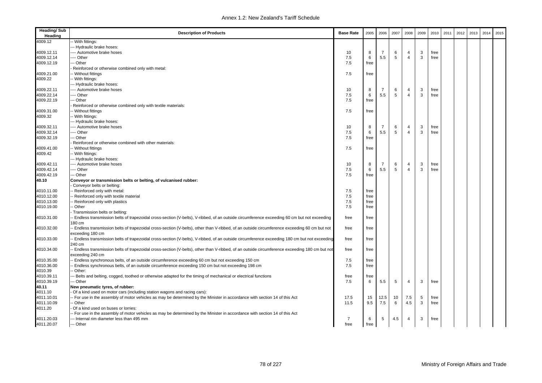| <b>Heading/Sub</b><br>Heading | <b>Description of Products</b>                                                                                                                                                 | <b>Base Rate</b> | 2005 | 2006           | 2007 | 2008           | 2009 | 2010 | 2011 | 2012 | 2013 | 2014 | 2015 |
|-------------------------------|--------------------------------------------------------------------------------------------------------------------------------------------------------------------------------|------------------|------|----------------|------|----------------|------|------|------|------|------|------|------|
| 4009.12                       | - With fittings:                                                                                                                                                               |                  |      |                |      |                |      |      |      |      |      |      |      |
|                               | -- Hydraulic brake hoses:                                                                                                                                                      |                  |      |                |      |                |      |      |      |      |      |      |      |
| 4009.12.11                    | --- Automotive brake hoses                                                                                                                                                     | 10               | 8    | $\overline{7}$ | 6    | $\overline{4}$ | 3    | free |      |      |      |      |      |
| 4009.12.14                    | --- Other                                                                                                                                                                      | 7.5              | 6    | 5.5            | 5    | $\overline{4}$ | 3    | free |      |      |      |      |      |
| 4009.12.19                    | -- Other                                                                                                                                                                       | 7.5              | free |                |      |                |      |      |      |      |      |      |      |
|                               | Reinforced or otherwise combined only with metal:                                                                                                                              |                  |      |                |      |                |      |      |      |      |      |      |      |
| 4009.21.00                    | - Without fittings                                                                                                                                                             | 7.5              | free |                |      |                |      |      |      |      |      |      |      |
| 4009.22                       | - With fittings:                                                                                                                                                               |                  |      |                |      |                |      |      |      |      |      |      |      |
|                               | --- Hydraulic brake hoses:                                                                                                                                                     |                  |      |                |      |                |      |      |      |      |      |      |      |
| 4009.22.11                    | ---- Automotive brake hoses                                                                                                                                                    | 10               | 8    | 7              | 6    | 4              | 3    | free |      |      |      |      |      |
| 4009.22.14                    | --- Other                                                                                                                                                                      | 7.5              | 6    | 5.5            | 5    | $\overline{4}$ | 3    | free |      |      |      |      |      |
| 4009.22.19                    | --- Other                                                                                                                                                                      | 7.5              | free |                |      |                |      |      |      |      |      |      |      |
|                               | Reinforced or otherwise combined only with textile materials:                                                                                                                  |                  |      |                |      |                |      |      |      |      |      |      |      |
| 4009.31.00                    | -- Without fittings                                                                                                                                                            | 7.5              | free |                |      |                |      |      |      |      |      |      |      |
| 4009.32                       | -- With fittings:                                                                                                                                                              |                  |      |                |      |                |      |      |      |      |      |      |      |
|                               | --- Hydraulic brake hoses:                                                                                                                                                     |                  |      |                |      |                |      |      |      |      |      |      |      |
| 4009.32.11                    | --- Automotive brake hoses                                                                                                                                                     | 10               | 8    | 7              | 6    | 4              | 3    | free |      |      |      |      |      |
| 4009.32.14                    | --- Other                                                                                                                                                                      | 7.5              | 6    | 5.5            | 5    | $\overline{4}$ | 3    | free |      |      |      |      |      |
| 4009.32.19                    | -- Other                                                                                                                                                                       | 7.5              | free |                |      |                |      |      |      |      |      |      |      |
|                               | Reinforced or otherwise combined with other materials:                                                                                                                         |                  |      |                |      |                |      |      |      |      |      |      |      |
| 4009.41.00                    | -- Without fittings                                                                                                                                                            | 7.5              | free |                |      |                |      |      |      |      |      |      |      |
| 4009.42                       | - With fittings:                                                                                                                                                               |                  |      |                |      |                |      |      |      |      |      |      |      |
|                               | --- Hydraulic brake hoses:                                                                                                                                                     |                  |      |                |      |                |      |      |      |      |      |      |      |
| 4009.42.11                    | ---- Automotive brake hoses                                                                                                                                                    | 10               | 8    | $\overline{7}$ | 6    | 4              | 3    | free |      |      |      |      |      |
| 4009.42.14                    | ---- Other                                                                                                                                                                     | 7.5              | 6    | 5.5            | 5    | $\overline{4}$ | 3    | free |      |      |      |      |      |
| 4009.42.19                    | -- Other                                                                                                                                                                       | 7.5              | free |                |      |                |      |      |      |      |      |      |      |
| 40.10                         | Conveyor or transmission belts or belting, of vulcanised rubber:                                                                                                               |                  |      |                |      |                |      |      |      |      |      |      |      |
|                               | Conveyor belts or belting:                                                                                                                                                     |                  |      |                |      |                |      |      |      |      |      |      |      |
| 4010.11.00                    | - Reinforced only with metal:                                                                                                                                                  | 7.5              | free |                |      |                |      |      |      |      |      |      |      |
| 4010.12.00                    | Reinforced only with textile material                                                                                                                                          | 7.5              | free |                |      |                |      |      |      |      |      |      |      |
| 4010.13.00                    | Reinforced only with plastics                                                                                                                                                  | 7.5              | free |                |      |                |      |      |      |      |      |      |      |
| 4010.19.00                    | - Other                                                                                                                                                                        | 7.5              | free |                |      |                |      |      |      |      |      |      |      |
| 4010.31.00                    | Transmission belts or belting:<br>- Endless transmission belts of trapezoidal cross-section (V-belts), V-ribbed, of an outside circumference exceeding 60 cm but not exceeding | free             |      |                |      |                |      |      |      |      |      |      |      |
|                               | 180 cm                                                                                                                                                                         |                  | free |                |      |                |      |      |      |      |      |      |      |
| 4010.32.00                    | - Endless transmission belts of trapezoidal cross-section (V-belts), other than V-ribbed, of an outside circumference exceeding 60 cm but not                                  | free             | free |                |      |                |      |      |      |      |      |      |      |
|                               | exceeding 180 cm                                                                                                                                                               |                  |      |                |      |                |      |      |      |      |      |      |      |
| 4010.33.00                    | - Endless transmission belts of trapezoidal cross-section (V-belts), V-ribbed, of an outside circumference exceeding 180 cm but not exceeding                                  | free             | free |                |      |                |      |      |      |      |      |      |      |
|                               | 240 cm                                                                                                                                                                         |                  |      |                |      |                |      |      |      |      |      |      |      |
| 4010.34.00                    | - Endless transmission belts of trapezoidal cross-section (V-belts), other than V-ribbed, of an outside circumference exceeding 180 cm but not                                 | free             | free |                |      |                |      |      |      |      |      |      |      |
|                               | exceeding 240 cm                                                                                                                                                               |                  |      |                |      |                |      |      |      |      |      |      |      |
| 4010.35.00                    | - Endless synchronous belts, of an outside circumference exceeding 60 cm but not exceeding 150 cm                                                                              | 7.5              | free |                |      |                |      |      |      |      |      |      |      |
| 4010.36.00                    | - Endless synchronous belts, of an outside circumference exceeding 150 cm but not exceeding 198 cm                                                                             | 7.5              | free |                |      |                |      |      |      |      |      |      |      |
| 4010.39                       | Other:                                                                                                                                                                         |                  |      |                |      |                |      |      |      |      |      |      |      |
| 4010.39.11                    | - Belts and belting, cogged, toothed or otherwise adapted for the timing of mechanical or electrical functions                                                                 | free             | free |                |      |                |      |      |      |      |      |      |      |
| 4010.39.19                    | -- Other                                                                                                                                                                       | 7.5              | 6    | 5.5            | 5    | $\overline{4}$ | 3    | free |      |      |      |      |      |
| 40.11                         | New pneumatic tyres, of rubber:                                                                                                                                                |                  |      |                |      |                |      |      |      |      |      |      |      |
| 4011.10                       | Of a kind used on motor cars (including station wagons and racing cars):                                                                                                       |                  |      |                |      |                |      |      |      |      |      |      |      |
| 4011.10.01                    | - For use in the assembly of motor vehicles as may be determined by the Minister in accordance with section 14 of this Act                                                     | 17.5             | 15   | 12.5           | 10   | 7.5            | 5    | free |      |      |      |      |      |
| 4011.10.09                    | - Other                                                                                                                                                                        | 11.5             | 9.5  | 7.5            | 6    | 4.5            | 3    | free |      |      |      |      |      |
| 4011.20                       | Of a kind used on buses or lorries:                                                                                                                                            |                  |      |                |      |                |      |      |      |      |      |      |      |
|                               | - For use in the assembly of motor vehicles as may be determined by the Minister in accordance with section 14 of this Act                                                     |                  |      |                |      |                |      |      |      |      |      |      |      |
| 4011.20.03                    | --- Internal rim diameter less than 495 mm                                                                                                                                     | $\overline{7}$   | 6    | 5              | 4.5  | 4              | 3    | free |      |      |      |      |      |
| 4011.20.07                    | --- Other                                                                                                                                                                      | free             | free |                |      |                |      |      |      |      |      |      |      |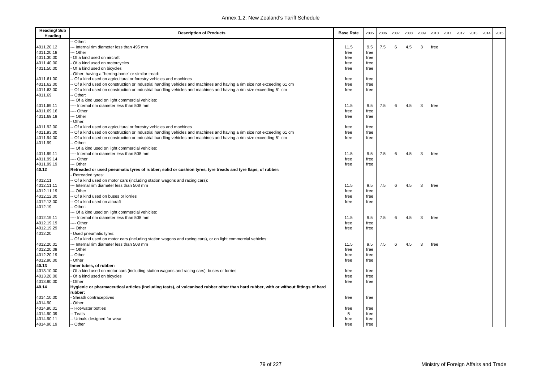| <b>Heading/Sub</b><br>Heading | <b>Description of Products</b>                                                                                                       | <b>Base Rate</b> | 2005 | 2006 | 2007 | 2008 | 2009 | 2010 | 2011 | 2012 | 2013 | 2014 | 2015 |
|-------------------------------|--------------------------------------------------------------------------------------------------------------------------------------|------------------|------|------|------|------|------|------|------|------|------|------|------|
|                               | Other:                                                                                                                               |                  |      |      |      |      |      |      |      |      |      |      |      |
| 4011.20.12                    | -- Internal rim diameter less than 495 mm                                                                                            | 11.5             | 9.5  | 7.5  | 6    | 4.5  | 3    | free |      |      |      |      |      |
| 4011.20.18                    | -- Other                                                                                                                             | free             | free |      |      |      |      |      |      |      |      |      |      |
| 4011.30.00                    | Of a kind used on aircraft                                                                                                           | free             | free |      |      |      |      |      |      |      |      |      |      |
| 4011.40.00                    | Of a kind used on motorcycles                                                                                                        | free             | free |      |      |      |      |      |      |      |      |      |      |
| 4011.50.00                    | Of a kind used on bicycles                                                                                                           | free             | free |      |      |      |      |      |      |      |      |      |      |
|                               | Other, having a "herring-bone" or similar tread:                                                                                     |                  |      |      |      |      |      |      |      |      |      |      |      |
| 4011.61.00                    | Of a kind used on agricultural or forestry vehicles and machines                                                                     | free             | free |      |      |      |      |      |      |      |      |      |      |
| 4011.62.00                    | Of a kind used on construction or industrial handling vehicles and machines and having a rim size not exceeding 61 cm                | free             | free |      |      |      |      |      |      |      |      |      |      |
| 4011.63.00                    | Of a kind used on construction or industrial handling vehicles and machines and having a rim size exceeding 61 cm                    | free             | free |      |      |      |      |      |      |      |      |      |      |
| 4011.69                       | Other:                                                                                                                               |                  |      |      |      |      |      |      |      |      |      |      |      |
|                               | -- Of a kind used on light commercial vehicles:                                                                                      |                  |      |      |      |      |      |      |      |      |      |      |      |
| 4011.69.11                    | --- Internal rim diameter less than 508 mm                                                                                           | 11.5             | 9.5  | 7.5  | 6    | 4.5  | 3    | free |      |      |      |      |      |
| 4011.69.16                    | --- Other                                                                                                                            | free             | free |      |      |      |      |      |      |      |      |      |      |
| 4011.69.19                    | -- Other                                                                                                                             | free             | free |      |      |      |      |      |      |      |      |      |      |
|                               | Other:                                                                                                                               |                  |      |      |      |      |      |      |      |      |      |      |      |
| 4011.92.00                    | Of a kind used on agricultural or forestry vehicles and machines                                                                     | free             | free |      |      |      |      |      |      |      |      |      |      |
| 4011.93.00                    | Of a kind used on construction or industrial handling vehicles and machines and having a rim size not exceeding 61 cm                | free             | free |      |      |      |      |      |      |      |      |      |      |
| 4011.94.00                    | Of a kind used on construction or industrial handling vehicles and machines and having a rim size exceeding 61 cm                    | free             | free |      |      |      |      |      |      |      |      |      |      |
| 4011.99                       | Other:                                                                                                                               |                  |      |      |      |      |      |      |      |      |      |      |      |
|                               | -- Of a kind used on light commercial vehicles:                                                                                      |                  |      |      |      |      |      |      |      |      |      |      |      |
| 4011.99.11                    | --- Internal rim diameter less than 508 mm                                                                                           | 11.5             | 9.5  | 7.5  | 6    | 4.5  | 3    | free |      |      |      |      |      |
| 4011.99.14                    | --- Other                                                                                                                            | free             | free |      |      |      |      |      |      |      |      |      |      |
| 4011.99.19                    | -- Other                                                                                                                             | free             | free |      |      |      |      |      |      |      |      |      |      |
| 40.12                         | Retreaded or used pneumatic tyres of rubber; solid or cushion tyres, tyre treads and tyre flaps, of rubber:<br>Retreaded tyres:      |                  |      |      |      |      |      |      |      |      |      |      |      |
| 4012.11                       | Of a kind used on motor cars (including station wagons and racing cars):                                                             |                  |      |      |      |      |      |      |      |      |      |      |      |
| 4012.11.11                    | - Internal rim diameter less than 508 mm                                                                                             | 11.5             | 9.5  | 7.5  | 6    | 4.5  | 3    | free |      |      |      |      |      |
| 4012.11.19                    | - Other                                                                                                                              | free             | free |      |      |      |      |      |      |      |      |      |      |
| 4012.12.00                    | Of a kind used on buses or lorries                                                                                                   | free             | free |      |      |      |      |      |      |      |      |      |      |
| 4012.13.00                    | Of a kind used on aircraft                                                                                                           | free             | free |      |      |      |      |      |      |      |      |      |      |
| 4012.19                       | Other:                                                                                                                               |                  |      |      |      |      |      |      |      |      |      |      |      |
|                               | -- Of a kind used on light commercial vehicles:                                                                                      |                  |      |      |      |      |      |      |      |      |      |      |      |
| 4012.19.11                    | --- Internal rim diameter less than 508 mm                                                                                           | 11.5             | 9.5  | 7.5  | 6    | 4.5  | 3    | free |      |      |      |      |      |
| 4012.19.19                    | --- Other                                                                                                                            | free             | free |      |      |      |      |      |      |      |      |      |      |
| 4012.19.29                    | -- Other                                                                                                                             | free             | free |      |      |      |      |      |      |      |      |      |      |
| 4012.20                       | Used pneumatic tyres:                                                                                                                |                  |      |      |      |      |      |      |      |      |      |      |      |
|                               | Of a kind used on motor cars (including station wagons and racing cars), or on light commercial vehicles:                            |                  |      |      |      |      |      |      |      |      |      |      |      |
| 4012.20.01                    | - Internal rim diameter less than 508 mm                                                                                             | 11.5             | 9.5  | 7.5  | 6    | 4.5  | 3    | free |      |      |      |      |      |
| 4012.20.09                    | - Other                                                                                                                              | free             | free |      |      |      |      |      |      |      |      |      |      |
| 4012.20.19                    | - Other                                                                                                                              | free             | free |      |      |      |      |      |      |      |      |      |      |
| 4012.90.00                    | Other                                                                                                                                | free             | free |      |      |      |      |      |      |      |      |      |      |
| 40.13                         | Inner tubes, of rubber:                                                                                                              |                  |      |      |      |      |      |      |      |      |      |      |      |
| 4013.10.00                    | Of a kind used on motor cars (including station wagons and racing cars), buses or lorries                                            | free             | free |      |      |      |      |      |      |      |      |      |      |
| 4013.20.00                    | Of a kind used on bicycles                                                                                                           | free             | free |      |      |      |      |      |      |      |      |      |      |
| 4013.90.00                    | Other                                                                                                                                | free             | free |      |      |      |      |      |      |      |      |      |      |
| 40.14                         | Hygienic or pharmaceutical articles (including teats), of vulcanised rubber other than hard rubber, with or without fittings of hard |                  |      |      |      |      |      |      |      |      |      |      |      |
|                               | rubber:                                                                                                                              |                  |      |      |      |      |      |      |      |      |      |      |      |
| 4014.10.00<br>4014.90         | Sheath contraceptives                                                                                                                | free             | free |      |      |      |      |      |      |      |      |      |      |
|                               | Other:                                                                                                                               |                  |      |      |      |      |      |      |      |      |      |      |      |
| 4014.90.01                    | - Hot-water bottles                                                                                                                  | free             | free |      |      |      |      |      |      |      |      |      |      |
| 4014.90.09                    | - Teats                                                                                                                              | 5                | free |      |      |      |      |      |      |      |      |      |      |
| 4014.90.11                    | - Urinals designed for wear                                                                                                          | free             | free |      |      |      |      |      |      |      |      |      |      |
| 4014.90.19                    | -- Other                                                                                                                             | free             | free |      |      |      |      |      |      |      |      |      |      |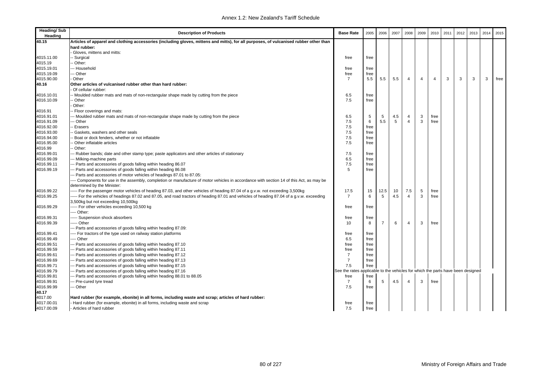| <b>Heading/Sub</b><br>Heading | <b>Description of Products</b>                                                                                                            | <b>Base Rate</b> | 2005                                                              | 2006 | 2007 | 2008           | 2009           | 2010           | 2011 | 2012 | 2013 | 2014 | 2015 |
|-------------------------------|-------------------------------------------------------------------------------------------------------------------------------------------|------------------|-------------------------------------------------------------------|------|------|----------------|----------------|----------------|------|------|------|------|------|
| 40.15                         | Articles of apparel and clothing accessories (including gloves, mittens and mitts), for all purposes, of vulcanised rubber other than     |                  |                                                                   |      |      |                |                |                |      |      |      |      |      |
|                               | hard rubber:                                                                                                                              |                  |                                                                   |      |      |                |                |                |      |      |      |      |      |
|                               | Gloves, mittens and mitts:                                                                                                                |                  |                                                                   |      |      |                |                |                |      |      |      |      |      |
| 4015.11.00                    | <b>Surgical</b>                                                                                                                           | free             | free                                                              |      |      |                |                |                |      |      |      |      |      |
| 4015.19                       | Other:                                                                                                                                    |                  |                                                                   |      |      |                |                |                |      |      |      |      |      |
| 4015.19.01                    | -- Household                                                                                                                              | free             | free                                                              |      |      |                |                |                |      |      |      |      |      |
| 4015.19.09                    | - Other                                                                                                                                   | free             | free                                                              |      |      |                |                |                |      |      |      |      |      |
| 4015.90.00                    | Other                                                                                                                                     | $\overline{7}$   | 5.5                                                               | 5.5  | 5.5  | $\overline{4}$ | $\overline{4}$ | $\overline{4}$ | 3    | 3    | 3    | 3    | free |
| 40.16                         | Other articles of vulcanised rubber other than hard rubber:<br>Of cellular rubber:                                                        |                  |                                                                   |      |      |                |                |                |      |      |      |      |      |
| 4016.10.01                    | Moulded rubber mats and mats of non-rectangular shape made by cutting from the piece                                                      | 6.5              | free                                                              |      |      |                |                |                |      |      |      |      |      |
| 4016.10.09                    | · Other                                                                                                                                   | 7.5              | free                                                              |      |      |                |                |                |      |      |      |      |      |
|                               | Other:                                                                                                                                    |                  |                                                                   |      |      |                |                |                |      |      |      |      |      |
| 4016.91                       | Floor coverings and mats:                                                                                                                 |                  |                                                                   |      |      |                |                |                |      |      |      |      |      |
| 4016.91.01                    | - Moulded rubber mats and mats of non-rectangular shape made by cutting from the piece                                                    | 6.5              | 5                                                                 | 5    | 4.5  | 4              | 3              | free           |      |      |      |      |      |
| 4016.91.09                    | - Other                                                                                                                                   | 7.5              | 6                                                                 | 5.5  | 5    | $\overline{4}$ | 3              | free           |      |      |      |      |      |
| 4016.92.00                    | <b>Erasers</b>                                                                                                                            | 7.5              | free                                                              |      |      |                |                |                |      |      |      |      |      |
| 4016.93.00                    | Gaskets, washers and other seals                                                                                                          | 7.5              | free                                                              |      |      |                |                |                |      |      |      |      |      |
| 4016.94.00                    | Boat or dock fenders, whether or not inflatable                                                                                           | 7.5              | free                                                              |      |      |                |                |                |      |      |      |      |      |
| 4016.95.00                    | Other inflatable articles                                                                                                                 | 7.5              | free                                                              |      |      |                |                |                |      |      |      |      |      |
| 4016.99                       | Other:                                                                                                                                    |                  |                                                                   |      |      |                |                |                |      |      |      |      |      |
| 4016.99.01                    | - Rubber bands; date and other stamp type; paste applicators and other articles of stationary                                             | 7.5              | free                                                              |      |      |                |                |                |      |      |      |      |      |
| 4016.99.09                    | - Milking-machine parts                                                                                                                   | 6.5              | free                                                              |      |      |                |                |                |      |      |      |      |      |
| 4016.99.11                    | Parts and accessories of goods falling within heading 86.07                                                                               | 7.5              | free                                                              |      |      |                |                |                |      |      |      |      |      |
| 4016.99.19                    | Parts and accessories of goods falling within heading 86.08                                                                               | 5                | free                                                              |      |      |                |                |                |      |      |      |      |      |
|                               | - Parts and accessories of motor vehicles of headings 87.01 to 87.05:                                                                     |                  |                                                                   |      |      |                |                |                |      |      |      |      |      |
|                               | --- Components for use in the assembly, completion or manufacture of motor vehicles in accordance with section 14 of this Act, as may be  |                  |                                                                   |      |      |                |                |                |      |      |      |      |      |
|                               | determined by the Minister:                                                                                                               |                  |                                                                   |      |      |                |                |                |      |      |      |      |      |
| 4016.99.22                    | ---- For the passenger motor vehicles of heading 87.03, and other vehicles of heading 87.04 of a g.v.w. not exceeding 3,500kg             | 17.5             | 15                                                                | 12.5 | 10   | 7.5            | 5              | free           |      |      |      |      |      |
| 4016.99.25                    | ---- For the vehicles of headings 87.02 and 87.05, and road tractors of heading 87.01 and vehicles of heading 87.04 of a g.v.w. exceeding | $\overline{7}$   | 6                                                                 | 5    | 4.5  | $\overline{4}$ | 3              | free           |      |      |      |      |      |
|                               | 3,500kg but not exceeding 10,500kg                                                                                                        |                  |                                                                   |      |      |                |                |                |      |      |      |      |      |
| 4016.99.29                    | ----- For other vehicles exceeding 10,500 kg                                                                                              | free             | free                                                              |      |      |                |                |                |      |      |      |      |      |
|                               | --- Other:                                                                                                                                |                  |                                                                   |      |      |                |                |                |      |      |      |      |      |
| 4016.99.31                    | --- Suspension shock absorbers                                                                                                            | free             | free                                                              |      |      |                |                |                |      |      |      |      |      |
| 4016.99.39                    | --- Other                                                                                                                                 | 10               | 8                                                                 | 7    | 6    | $\overline{4}$ | 3              | free           |      |      |      |      |      |
|                               | - Parts and accessories of goods falling within heading 87.09:                                                                            |                  |                                                                   |      |      |                |                |                |      |      |      |      |      |
| 4016.99.41                    | --- For tractors of the type used on railway station platforms                                                                            | free             | free                                                              |      |      |                |                |                |      |      |      |      |      |
| 4016.99.49                    | -- Other                                                                                                                                  | 6.5              | free                                                              |      |      |                |                |                |      |      |      |      |      |
| 4016.99.51                    | - Parts and accessories of goods falling within heading 87.10                                                                             | free             | free                                                              |      |      |                |                |                |      |      |      |      |      |
| 4016.99.59                    | Parts and accessories of goods falling within heading 87.11                                                                               | free             | free                                                              |      |      |                |                |                |      |      |      |      |      |
| 4016.99.61                    | Parts and accessories of goods falling within heading 87.12                                                                               | $\overline{7}$   | free                                                              |      |      |                |                |                |      |      |      |      |      |
| 4016.99.69                    | - Parts and accessories of goods falling within heading 87.13                                                                             | $\overline{7}$   | free                                                              |      |      |                |                |                |      |      |      |      |      |
| 4016.99.71                    | Parts and accessories of goods falling within heading 87.15                                                                               | 7.5              | free                                                              |      |      |                |                |                |      |      |      |      |      |
| 4016.99.79                    | - Parts and accessories of goods falling within heading 87.16                                                                             | See the rates    | applicable to the vehicles for which the parts have been designed |      |      |                |                |                |      |      |      |      |      |
| 4016.99.81                    | Parts and accessories of goods falling within heading 88.01 to 88.05                                                                      | free             | free                                                              |      |      |                |                |                |      |      |      |      |      |
| 4016.99.91                    | - Pre-cured tyre tread                                                                                                                    | $\overline{7}$   | 6                                                                 | 5    | 4.5  | $\overline{4}$ | 3              | free           |      |      |      |      |      |
| 4016.99.99                    | - Other                                                                                                                                   | 7.5              | free                                                              |      |      |                |                |                |      |      |      |      |      |
| 40.17                         |                                                                                                                                           |                  |                                                                   |      |      |                |                |                |      |      |      |      |      |
| 4017.00                       | Hard rubber (for example, ebonite) in all forms, including waste and scrap; articles of hard rubber:                                      |                  |                                                                   |      |      |                |                |                |      |      |      |      |      |
| 4017.00.01                    | Hard rubber (for example, ebonite) in all forms, including waste and scrap                                                                | free             | free                                                              |      |      |                |                |                |      |      |      |      |      |
| 4017.00.09                    | Articles of hard rubber                                                                                                                   | 7.5              | free                                                              |      |      |                |                |                |      |      |      |      |      |
|                               |                                                                                                                                           |                  |                                                                   |      |      |                |                |                |      |      |      |      |      |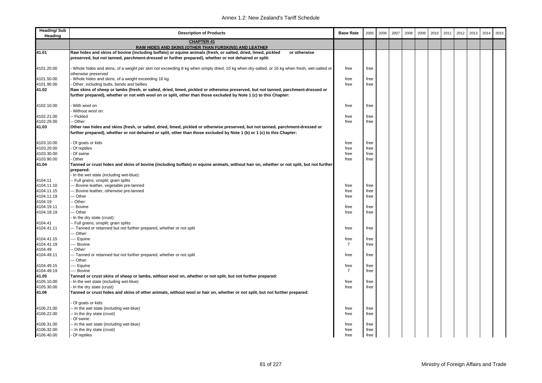| <b>Heading/Sub</b><br>Heading | <b>Description of Products</b>                                                                                                                                                                                                                            | <b>Base Rate</b> | 2005 | 2006 | 2007 | 2008 | 2009 | 2010 | 2011 | 2012 | 2013 | 2014 | 2015 |
|-------------------------------|-----------------------------------------------------------------------------------------------------------------------------------------------------------------------------------------------------------------------------------------------------------|------------------|------|------|------|------|------|------|------|------|------|------|------|
|                               | <b>CHAPTER 41</b><br>RAW HIDES AND SKINS (OTHER THAN FURSKINS) AND LEATHER                                                                                                                                                                                |                  |      |      |      |      |      |      |      |      |      |      |      |
| 41.01                         | Raw hides and skins of bovine (including buffalo) or equine animals (fresh, or salted, dried, limed, pickled<br>or otherwise<br>preserved, but not tanned, parchment-dressed or further prepared), whether or not dehaired or split:                      |                  |      |      |      |      |      |      |      |      |      |      |      |
|                               |                                                                                                                                                                                                                                                           |                  |      |      |      |      |      |      |      |      |      |      |      |
| 4101.20.00                    | Whole hides and skins, of a weight per skin not exceeding 8 kg when simply dried, 10 kg when dry-salted, or 16 kg when fresh, wet-salted or<br>otherwise preserved                                                                                        | free             | free |      |      |      |      |      |      |      |      |      |      |
| 4101.50.00                    | Whole hides and skins, of a weight exceeding 16 kg                                                                                                                                                                                                        | free             | free |      |      |      |      |      |      |      |      |      |      |
| 4101.90.00                    | Other, including butts, bends and bellies                                                                                                                                                                                                                 | free             | free |      |      |      |      |      |      |      |      |      |      |
| 41.02                         | Raw skins of sheep or lambs (fresh, or salted, dried, limed, pickled or otherwise preserved, but not tanned, parchment-dressed or                                                                                                                         |                  |      |      |      |      |      |      |      |      |      |      |      |
|                               | further prepared), whether or not with wool on or split, other than those excluded by Note 1 (c) to this Chapter:                                                                                                                                         |                  |      |      |      |      |      |      |      |      |      |      |      |
| 4102.10.00                    | With wool on                                                                                                                                                                                                                                              | free             | free |      |      |      |      |      |      |      |      |      |      |
|                               | Without wool on:                                                                                                                                                                                                                                          |                  |      |      |      |      |      |      |      |      |      |      |      |
| 4102.21.00                    | - Pickled                                                                                                                                                                                                                                                 | free             | free |      |      |      |      |      |      |      |      |      |      |
| 4102.29.00                    | - Other                                                                                                                                                                                                                                                   | free             | free |      |      |      |      |      |      |      |      |      |      |
| 41.03                         | Other raw hides and skins (fresh, or salted, dried, limed, pickled or otherwise preserved, but not tanned, parchment-dressed or<br>further prepared), whether or not dehaired or split, other than those excluded by Note 1 (b) or 1 (c) to this Chapter: |                  |      |      |      |      |      |      |      |      |      |      |      |
| 4103.10.00                    | Of goats or kids                                                                                                                                                                                                                                          | free             | free |      |      |      |      |      |      |      |      |      |      |
| 4103.20.00                    | Of reptiles                                                                                                                                                                                                                                               | free             | free |      |      |      |      |      |      |      |      |      |      |
| 4103.30.00                    | - Of swine                                                                                                                                                                                                                                                | free             | free |      |      |      |      |      |      |      |      |      |      |
| 4103.90.00                    | Other                                                                                                                                                                                                                                                     | free             | free |      |      |      |      |      |      |      |      |      |      |
| 41.04                         | Tanned or crust hides and skins of bovine (including buffalo) or equine animals, without hair on, whether or not split, but not further                                                                                                                   |                  |      |      |      |      |      |      |      |      |      |      |      |
|                               | prepared:                                                                                                                                                                                                                                                 |                  |      |      |      |      |      |      |      |      |      |      |      |
|                               | In the wet state (including wet-blue):                                                                                                                                                                                                                    |                  |      |      |      |      |      |      |      |      |      |      |      |
| 4104.11                       | -- Full grains, unsplit; grain splits                                                                                                                                                                                                                     |                  |      |      |      |      |      |      |      |      |      |      |      |
| 4104.11.10                    | --- Bovine leather, vegetable pre-tanned                                                                                                                                                                                                                  | free             | free |      |      |      |      |      |      |      |      |      |      |
| 4104.11.15                    | -- Bovine leather, otherwise pre-tanned                                                                                                                                                                                                                   | free             | free |      |      |      |      |      |      |      |      |      |      |
| 4104.11.19                    | -- Other                                                                                                                                                                                                                                                  | free             | free |      |      |      |      |      |      |      |      |      |      |
| 4104.19                       | - Other:                                                                                                                                                                                                                                                  |                  |      |      |      |      |      |      |      |      |      |      |      |
| 4104.19.11                    | -- Bovine                                                                                                                                                                                                                                                 | free             | free |      |      |      |      |      |      |      |      |      |      |
| 4104.19.19                    | -- Other                                                                                                                                                                                                                                                  | free             | free |      |      |      |      |      |      |      |      |      |      |
|                               | In the dry state (crust):                                                                                                                                                                                                                                 |                  |      |      |      |      |      |      |      |      |      |      |      |
| 4104.41                       | - Full grains, unsplit; grain splits:                                                                                                                                                                                                                     |                  |      |      |      |      |      |      |      |      |      |      |      |
| 4104.41.11                    | --- Tanned or retanned but not further prepared, whether or not split                                                                                                                                                                                     | free             | free |      |      |      |      |      |      |      |      |      |      |
|                               | -- Other:                                                                                                                                                                                                                                                 |                  |      |      |      |      |      |      |      |      |      |      |      |
| 4104.41.15                    | --- Equine                                                                                                                                                                                                                                                | free             | free |      |      |      |      |      |      |      |      |      |      |
| 4104.41.19                    | --- Bovine                                                                                                                                                                                                                                                | $\overline{7}$   | free |      |      |      |      |      |      |      |      |      |      |
| 4104.49                       | - Other:                                                                                                                                                                                                                                                  |                  |      |      |      |      |      |      |      |      |      |      |      |
| 4104.49.11                    | --- Tanned or retanned but not further prepared, whether or not split                                                                                                                                                                                     | free             | free |      |      |      |      |      |      |      |      |      |      |
|                               | -- Other:                                                                                                                                                                                                                                                 |                  |      |      |      |      |      |      |      |      |      |      |      |
| 4104.49.15                    | ---- Equine                                                                                                                                                                                                                                               | free             | free |      |      |      |      |      |      |      |      |      |      |
| 4104.49.19                    | --- Bovine                                                                                                                                                                                                                                                | 7                | free |      |      |      |      |      |      |      |      |      |      |
| 41.05                         | Tanned or crust skins of sheep or lambs, without wool on, whether or not split, but not further prepared:                                                                                                                                                 |                  |      |      |      |      |      |      |      |      |      |      |      |
| 4105.10.00                    | In the wet state (including wet-blue)                                                                                                                                                                                                                     | free             | free |      |      |      |      |      |      |      |      |      |      |
| 4105.30.00                    | In the dry state (crust)                                                                                                                                                                                                                                  | free             | free |      |      |      |      |      |      |      |      |      |      |
| 41.06                         | Tanned or crust hides and skins of other animals, without wool or hair on, whether or not split, but not further prepared:                                                                                                                                |                  |      |      |      |      |      |      |      |      |      |      |      |
|                               | Of goats or kids:                                                                                                                                                                                                                                         |                  |      |      |      |      |      |      |      |      |      |      |      |
| 4106.21.00                    | -- In the wet state (including wet-blue)                                                                                                                                                                                                                  | free             | free |      |      |      |      |      |      |      |      |      |      |
| 4106.22.00                    | -- In the dry state (crust)                                                                                                                                                                                                                               | free             | free |      |      |      |      |      |      |      |      |      |      |
|                               | Of swine:                                                                                                                                                                                                                                                 |                  |      |      |      |      |      |      |      |      |      |      |      |
| 4106.31.00                    | -- In the wet state (including wet-blue)                                                                                                                                                                                                                  | free             | free |      |      |      |      |      |      |      |      |      |      |
| 4106.32.00                    | -- In the dry state (crust)                                                                                                                                                                                                                               | free             | free |      |      |      |      |      |      |      |      |      |      |
| 4106.40.00                    | - Of reptiles                                                                                                                                                                                                                                             | free             | free |      |      |      |      |      |      |      |      |      |      |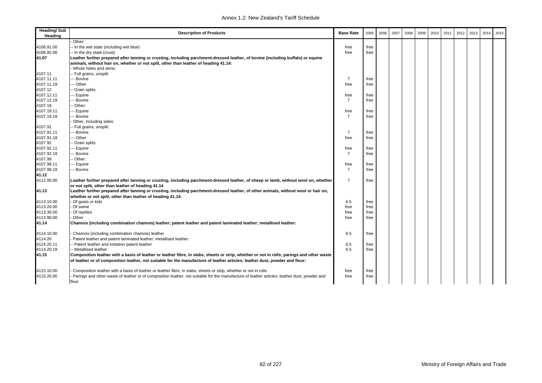| Other:<br>4106.91.00<br>-- In the wet state (including wet blue)<br>free<br>free<br>4106.92.00<br>-- In the dry state (crust)<br>free<br>free<br>41.07<br>Leather further prepared after tanning or crusting, including parchment-dressed leather, of bovine (including buffalo) or equine<br>animals, without hair on, whether or not split, other than leather of heading 41.14:<br>Whole hides and skins:<br>4107.11<br>- Full grains, unsplit:<br>4107.11.11<br>- Bovine<br>$\overline{7}$<br>free<br>4107.11.19<br>- Other<br>free<br>free<br>4107.12<br>- Grain splits:<br>4107.12.11<br>- Equine<br>free<br>free<br>4107.12.19<br>-- Bovine<br>$\overline{7}$<br>free<br>4107.19<br>Other:<br>4107.19.11<br>-- Equine<br>free<br>free<br>4107.19.19<br>$\overline{7}$<br>- Bovine<br>free<br>Other, including sides:<br>4107.91<br>- Full grains, unsplit:<br>$\overline{7}$<br>4107.91.11<br>Bovine<br>free<br>4107.91.19<br>-- Other<br>free<br>free<br>4107.92<br>Grain splits:<br>4107.92.11<br>-- Equine<br>free<br>free<br>4107.92.19<br>- Bovine<br>$\overline{7}$<br>free<br>4107.99<br>- Other:<br>4107.99.11<br>- Equine<br>free<br>free |  |
|-----------------------------------------------------------------------------------------------------------------------------------------------------------------------------------------------------------------------------------------------------------------------------------------------------------------------------------------------------------------------------------------------------------------------------------------------------------------------------------------------------------------------------------------------------------------------------------------------------------------------------------------------------------------------------------------------------------------------------------------------------------------------------------------------------------------------------------------------------------------------------------------------------------------------------------------------------------------------------------------------------------------------------------------------------------------------------------------------------------------------------------------------------------|--|
|                                                                                                                                                                                                                                                                                                                                                                                                                                                                                                                                                                                                                                                                                                                                                                                                                                                                                                                                                                                                                                                                                                                                                           |  |
|                                                                                                                                                                                                                                                                                                                                                                                                                                                                                                                                                                                                                                                                                                                                                                                                                                                                                                                                                                                                                                                                                                                                                           |  |
|                                                                                                                                                                                                                                                                                                                                                                                                                                                                                                                                                                                                                                                                                                                                                                                                                                                                                                                                                                                                                                                                                                                                                           |  |
|                                                                                                                                                                                                                                                                                                                                                                                                                                                                                                                                                                                                                                                                                                                                                                                                                                                                                                                                                                                                                                                                                                                                                           |  |
|                                                                                                                                                                                                                                                                                                                                                                                                                                                                                                                                                                                                                                                                                                                                                                                                                                                                                                                                                                                                                                                                                                                                                           |  |
|                                                                                                                                                                                                                                                                                                                                                                                                                                                                                                                                                                                                                                                                                                                                                                                                                                                                                                                                                                                                                                                                                                                                                           |  |
|                                                                                                                                                                                                                                                                                                                                                                                                                                                                                                                                                                                                                                                                                                                                                                                                                                                                                                                                                                                                                                                                                                                                                           |  |
|                                                                                                                                                                                                                                                                                                                                                                                                                                                                                                                                                                                                                                                                                                                                                                                                                                                                                                                                                                                                                                                                                                                                                           |  |
|                                                                                                                                                                                                                                                                                                                                                                                                                                                                                                                                                                                                                                                                                                                                                                                                                                                                                                                                                                                                                                                                                                                                                           |  |
|                                                                                                                                                                                                                                                                                                                                                                                                                                                                                                                                                                                                                                                                                                                                                                                                                                                                                                                                                                                                                                                                                                                                                           |  |
|                                                                                                                                                                                                                                                                                                                                                                                                                                                                                                                                                                                                                                                                                                                                                                                                                                                                                                                                                                                                                                                                                                                                                           |  |
|                                                                                                                                                                                                                                                                                                                                                                                                                                                                                                                                                                                                                                                                                                                                                                                                                                                                                                                                                                                                                                                                                                                                                           |  |
|                                                                                                                                                                                                                                                                                                                                                                                                                                                                                                                                                                                                                                                                                                                                                                                                                                                                                                                                                                                                                                                                                                                                                           |  |
|                                                                                                                                                                                                                                                                                                                                                                                                                                                                                                                                                                                                                                                                                                                                                                                                                                                                                                                                                                                                                                                                                                                                                           |  |
|                                                                                                                                                                                                                                                                                                                                                                                                                                                                                                                                                                                                                                                                                                                                                                                                                                                                                                                                                                                                                                                                                                                                                           |  |
|                                                                                                                                                                                                                                                                                                                                                                                                                                                                                                                                                                                                                                                                                                                                                                                                                                                                                                                                                                                                                                                                                                                                                           |  |
|                                                                                                                                                                                                                                                                                                                                                                                                                                                                                                                                                                                                                                                                                                                                                                                                                                                                                                                                                                                                                                                                                                                                                           |  |
|                                                                                                                                                                                                                                                                                                                                                                                                                                                                                                                                                                                                                                                                                                                                                                                                                                                                                                                                                                                                                                                                                                                                                           |  |
|                                                                                                                                                                                                                                                                                                                                                                                                                                                                                                                                                                                                                                                                                                                                                                                                                                                                                                                                                                                                                                                                                                                                                           |  |
|                                                                                                                                                                                                                                                                                                                                                                                                                                                                                                                                                                                                                                                                                                                                                                                                                                                                                                                                                                                                                                                                                                                                                           |  |
|                                                                                                                                                                                                                                                                                                                                                                                                                                                                                                                                                                                                                                                                                                                                                                                                                                                                                                                                                                                                                                                                                                                                                           |  |
|                                                                                                                                                                                                                                                                                                                                                                                                                                                                                                                                                                                                                                                                                                                                                                                                                                                                                                                                                                                                                                                                                                                                                           |  |
|                                                                                                                                                                                                                                                                                                                                                                                                                                                                                                                                                                                                                                                                                                                                                                                                                                                                                                                                                                                                                                                                                                                                                           |  |
|                                                                                                                                                                                                                                                                                                                                                                                                                                                                                                                                                                                                                                                                                                                                                                                                                                                                                                                                                                                                                                                                                                                                                           |  |
| 4107.99.19<br>- Bovine<br>$\overline{7}$<br>free                                                                                                                                                                                                                                                                                                                                                                                                                                                                                                                                                                                                                                                                                                                                                                                                                                                                                                                                                                                                                                                                                                          |  |
| 41.12                                                                                                                                                                                                                                                                                                                                                                                                                                                                                                                                                                                                                                                                                                                                                                                                                                                                                                                                                                                                                                                                                                                                                     |  |
| $\overline{7}$<br>4112.00.00<br>Leather further prepared after tanning or crusting, including parchment-dressed leather, of sheep or lamb, without wool on, whether<br>free                                                                                                                                                                                                                                                                                                                                                                                                                                                                                                                                                                                                                                                                                                                                                                                                                                                                                                                                                                               |  |
| or not split, other than leather of heading 41.14                                                                                                                                                                                                                                                                                                                                                                                                                                                                                                                                                                                                                                                                                                                                                                                                                                                                                                                                                                                                                                                                                                         |  |
| Leather further prepared after tanning or crusting, including parchment-dressed leather, of other animals, without wool or hair on,<br>41.13                                                                                                                                                                                                                                                                                                                                                                                                                                                                                                                                                                                                                                                                                                                                                                                                                                                                                                                                                                                                              |  |
| whether or not split, other than leather of heading 41.14:                                                                                                                                                                                                                                                                                                                                                                                                                                                                                                                                                                                                                                                                                                                                                                                                                                                                                                                                                                                                                                                                                                |  |
| - Of goats or kids<br>6.5<br>4113.10.00<br>free                                                                                                                                                                                                                                                                                                                                                                                                                                                                                                                                                                                                                                                                                                                                                                                                                                                                                                                                                                                                                                                                                                           |  |
| 4113.20.00<br>Of swine<br>free<br>free                                                                                                                                                                                                                                                                                                                                                                                                                                                                                                                                                                                                                                                                                                                                                                                                                                                                                                                                                                                                                                                                                                                    |  |
| 4113.30.00<br>Of reptiles<br>free<br>free                                                                                                                                                                                                                                                                                                                                                                                                                                                                                                                                                                                                                                                                                                                                                                                                                                                                                                                                                                                                                                                                                                                 |  |
| 4113.90.00<br>Other<br>free<br>free                                                                                                                                                                                                                                                                                                                                                                                                                                                                                                                                                                                                                                                                                                                                                                                                                                                                                                                                                                                                                                                                                                                       |  |
| 41.14<br>Chamois (including combination chamois) leather; patent leather and patent laminated leather; metallised leather:                                                                                                                                                                                                                                                                                                                                                                                                                                                                                                                                                                                                                                                                                                                                                                                                                                                                                                                                                                                                                                |  |
|                                                                                                                                                                                                                                                                                                                                                                                                                                                                                                                                                                                                                                                                                                                                                                                                                                                                                                                                                                                                                                                                                                                                                           |  |
| Chamois (including combination chamois) leather<br>6.5<br>4114.10.00<br>free                                                                                                                                                                                                                                                                                                                                                                                                                                                                                                                                                                                                                                                                                                                                                                                                                                                                                                                                                                                                                                                                              |  |
| 4114.20<br>Patent leather and patent laminated leather; metallised leather:                                                                                                                                                                                                                                                                                                                                                                                                                                                                                                                                                                                                                                                                                                                                                                                                                                                                                                                                                                                                                                                                               |  |
| 4114.20.11<br>- Patent leather and imitation patent leather<br>6.5<br>free                                                                                                                                                                                                                                                                                                                                                                                                                                                                                                                                                                                                                                                                                                                                                                                                                                                                                                                                                                                                                                                                                |  |
| 4114.20.19<br>- Metallised leather<br>6.5<br>free                                                                                                                                                                                                                                                                                                                                                                                                                                                                                                                                                                                                                                                                                                                                                                                                                                                                                                                                                                                                                                                                                                         |  |
| 41.15<br>Composition leather with a basis of leather or leather fibre, in slabs, sheets or strip, whether or not in rolls; parings and other waste                                                                                                                                                                                                                                                                                                                                                                                                                                                                                                                                                                                                                                                                                                                                                                                                                                                                                                                                                                                                        |  |
|                                                                                                                                                                                                                                                                                                                                                                                                                                                                                                                                                                                                                                                                                                                                                                                                                                                                                                                                                                                                                                                                                                                                                           |  |
| of leather or of composition leather, not suitable for the manufacture of leather articles; leather dust, powder and flour:                                                                                                                                                                                                                                                                                                                                                                                                                                                                                                                                                                                                                                                                                                                                                                                                                                                                                                                                                                                                                               |  |
| 4115.10.00<br>Composition leather with a basis of leather or leather fibre, in slabs, sheets or strip, whether or not in rolls<br>free<br>free                                                                                                                                                                                                                                                                                                                                                                                                                                                                                                                                                                                                                                                                                                                                                                                                                                                                                                                                                                                                            |  |
| 4115.20.00<br>Parings and other waste of leather or of composition leather, not suitable for the manufacture of leather articles; leather dust, powder and<br>free<br>free                                                                                                                                                                                                                                                                                                                                                                                                                                                                                                                                                                                                                                                                                                                                                                                                                                                                                                                                                                                |  |
| flour                                                                                                                                                                                                                                                                                                                                                                                                                                                                                                                                                                                                                                                                                                                                                                                                                                                                                                                                                                                                                                                                                                                                                     |  |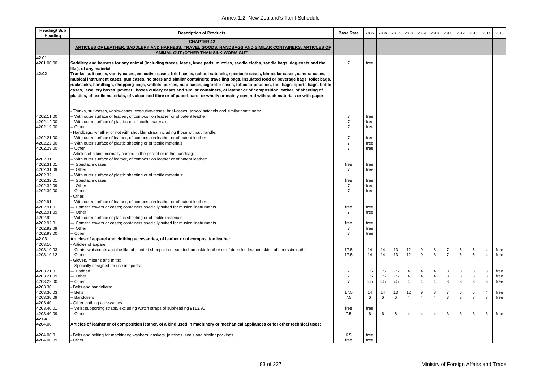| <b>Heading/Sub</b><br>Heading | <b>Description of Products</b>                                                                                                                                      | <b>Base Rate</b>       | 2005         | 2006 | 2007 | 2008           | 2009           | 2010           | 2011           | 2012 | 2013 | 2014           | 2015 |
|-------------------------------|---------------------------------------------------------------------------------------------------------------------------------------------------------------------|------------------------|--------------|------|------|----------------|----------------|----------------|----------------|------|------|----------------|------|
|                               | <b>CHAPTER 42</b><br>ARTICLES OF LEATHER; SADDLERY AND HARNESS; TRAVEL GOODS, HANDBAGS AND SIMILAR CONTAINERS; ARTICLES OF<br>ANIMAL GUT (OTHER THAN SILK-WORM GUT) |                        |              |      |      |                |                |                |                |      |      |                |      |
| 42.01                         |                                                                                                                                                                     |                        |              |      |      |                |                |                |                |      |      |                |      |
| 4201.00.00                    | Saddlery and harness for any animal (including traces, leads, knee pads, muzzles, saddle cloths, saddle bags, dog coats and the                                     | $\overline{7}$         | free         |      |      |                |                |                |                |      |      |                |      |
|                               | like), of any material                                                                                                                                              |                        |              |      |      |                |                |                |                |      |      |                |      |
| 42.02                         | Trunks, suit-cases, vanity-cases, executive-cases, brief-cases, school satchels, spectacle cases, binocular cases, camera cases,                                    |                        |              |      |      |                |                |                |                |      |      |                |      |
|                               | musical instrument cases, gun cases, holsters and similar containers; travelling bags, insulated food or beverage bags, toilet bags,                                |                        |              |      |      |                |                |                |                |      |      |                |      |
|                               | rucksacks, handbags, shopping-bags, wallets, purses, map-cases, cigarette-cases, tobacco-pouches, tool bags, sports bags, bottle-                                   |                        |              |      |      |                |                |                |                |      |      |                |      |
|                               | cases, jewellery boxes, powder boxes cutlery cases and similar containers, of leather or of composition leather, of sheeting of                                     |                        |              |      |      |                |                |                |                |      |      |                |      |
|                               | plastics, of textile materials, of vulcanised fibre or of paperboard, or wholly or mainly covered with such materials or with paper:                                |                        |              |      |      |                |                |                |                |      |      |                |      |
|                               |                                                                                                                                                                     |                        |              |      |      |                |                |                |                |      |      |                |      |
|                               | Trunks, suit-cases, vanity-cases, executive-cases, brief-cases, school satchels and similar containers:                                                             |                        |              |      |      |                |                |                |                |      |      |                |      |
| 4202.11.00                    | With outer surface of leather, of composition leather or of patent leather                                                                                          | $\overline{7}$         | free         |      |      |                |                |                |                |      |      |                |      |
| 4202.12.00                    | With outer surface of plastics or of textile materials                                                                                                              | $\overline{7}$         | free         |      |      |                |                |                |                |      |      |                |      |
| 4202.19.00                    | - Other                                                                                                                                                             | $\overline{7}$         | free         |      |      |                |                |                |                |      |      |                |      |
|                               | Handbags, whether or not with shoulder strap, including those without handle:                                                                                       |                        |              |      |      |                |                |                |                |      |      |                |      |
| 4202.21.00                    | - With outer surface of leather, of composition leather or of patent leather                                                                                        | $\overline{7}$         | free         |      |      |                |                |                |                |      |      |                |      |
| 4202.22.00                    | With outer surface of plastic sheeting or of textile materials                                                                                                      | $\overline{7}$         | free         |      |      |                |                |                |                |      |      |                |      |
| 4202.29.00                    | - Other                                                                                                                                                             | $\overline{7}$         | free         |      |      |                |                |                |                |      |      |                |      |
|                               | Articles of a kind normally carried in the pocket or in the handbag:                                                                                                |                        |              |      |      |                |                |                |                |      |      |                |      |
| 4202.31                       | - With outer surface of leather, of composition leather or of patent leather:                                                                                       |                        |              |      |      |                |                |                |                |      |      |                |      |
| 4202.31.01<br>4202.31.09      | - Spectacle cases<br>- Other                                                                                                                                        | free<br>$\overline{7}$ | free<br>free |      |      |                |                |                |                |      |      |                |      |
| 4202.32                       | With outer surface of plastic sheeting or of textile materials:                                                                                                     |                        |              |      |      |                |                |                |                |      |      |                |      |
| 4202.32.01                    | - Spectacle cases                                                                                                                                                   | free                   | free         |      |      |                |                |                |                |      |      |                |      |
| 4202.32.09                    | - Other                                                                                                                                                             | $\overline{7}$         | free         |      |      |                |                |                |                |      |      |                |      |
| 4202.39.00                    | - Other                                                                                                                                                             | $\overline{7}$         | free         |      |      |                |                |                |                |      |      |                |      |
|                               | Other:                                                                                                                                                              |                        |              |      |      |                |                |                |                |      |      |                |      |
| 4202.91                       | With outer surface of leather, of composition leather or of patent leather:                                                                                         |                        |              |      |      |                |                |                |                |      |      |                |      |
| 4202.91.01                    | - Camera covers or cases; containers specially suited for musical instruments                                                                                       | free                   | free         |      |      |                |                |                |                |      |      |                |      |
| 4202.91.09                    | - Other                                                                                                                                                             | $\overline{7}$         | free         |      |      |                |                |                |                |      |      |                |      |
| 4202.92                       | With outer surface of plastic sheeting or of textile materials:                                                                                                     |                        |              |      |      |                |                |                |                |      |      |                |      |
| 4202.92.01                    | Camera covers or cases; containers specially suited for musical instruments                                                                                         | free                   | free         |      |      |                |                |                |                |      |      |                |      |
| 4202.92.09                    | - Other                                                                                                                                                             | $\overline{7}$         | free         |      |      |                |                |                |                |      |      |                |      |
| 4202.99.00<br>42.03           | - Other                                                                                                                                                             | $\overline{7}$         | free         |      |      |                |                |                |                |      |      |                |      |
| 4203.10                       | Articles of apparel and clothing accessories, of leather or of composition leather:<br>Articles of apparel:                                                         |                        |              |      |      |                |                |                |                |      |      |                |      |
| 4203.10.03                    | Coats, waistcoats and the like of sueded sheepskin or sueded lambskin leather or of deerskin leather; skirts of deerskin leather                                    | 17.5                   | 14           | 14   | 13   | 12             | 9              | 8              | $\overline{7}$ | 6    | 5    |                | free |
| 4203.10.12                    | - Other                                                                                                                                                             | 17.5                   | 14           | 14   | 13   | 12             | 9              | 8              | $\overline{7}$ | 6    | 5    | $\overline{4}$ | free |
|                               | Gloves, mittens and mitts:                                                                                                                                          |                        |              |      |      |                |                |                |                |      |      |                |      |
|                               | Specially designed for use in sports:                                                                                                                               |                        |              |      |      |                |                |                |                |      |      |                |      |
| 4203.21.01                    | -- Padded                                                                                                                                                           | $\overline{7}$         | 5.5          | 5.5  | 5.5  | $\overline{4}$ | $\overline{4}$ | $\overline{4}$ | 3              | 3    | 3    | 3              | free |
| 4203.21.09                    | - Other                                                                                                                                                             | $\overline{7}$         | 5.5          | 5.5  | 5.5  | 4              | $\overline{4}$ | 4              | 3              | 3    | 3    | 3              | free |
| 4203.29.00                    | Other                                                                                                                                                               | $\overline{7}$         | 5.5          | 5.5  | 5.5  | $\overline{4}$ | $\overline{4}$ | $\overline{4}$ | 3              | 3    | 3    | 3              | free |
| 4203.30                       | Belts and bandoliers:                                                                                                                                               |                        |              |      |      |                |                |                |                |      |      |                |      |
| 4203.30.03                    | Belts                                                                                                                                                               | 17.5                   | 14           | 14   | 13   | 12             | 9              | 8              | $\overline{7}$ | 6    | 5    | $\overline{4}$ | free |
| 4203.30.09                    | Bandoliers                                                                                                                                                          | 7.5                    | 6            | 6    | 6    | $\overline{4}$ | $\overline{4}$ | $\overline{4}$ | 3              | 3    | 3    | 3              | free |
| 4203.40                       | Other clothing accessories:                                                                                                                                         |                        |              |      |      |                |                |                |                |      |      |                |      |
| 4203.40.01<br>4203.40.09      | Wrist supporting straps, excluding watch straps of subheading 9113.90<br>- Other                                                                                    | free<br>7.5            | free<br>6    | 6    | 6    | 4              | $\overline{4}$ | $\overline{4}$ | 3              | 3    | 3    | 3              | free |
| 42.04                         |                                                                                                                                                                     |                        |              |      |      |                |                |                |                |      |      |                |      |
| 4204.00                       | Articles of leather or of composition leather, of a kind used in machinery or mechanical appliances or for other technical uses:                                    |                        |              |      |      |                |                |                |                |      |      |                |      |
| 4204.00.01                    | Belts and belting for machinery; washers, gaskets, jointings, seals and similar packings                                                                            | 6.5                    | free         |      |      |                |                |                |                |      |      |                |      |
| 4204.00.09                    | - Other                                                                                                                                                             | free                   | free         |      |      |                |                |                |                |      |      |                |      |
|                               |                                                                                                                                                                     |                        |              |      |      |                |                |                |                |      |      |                |      |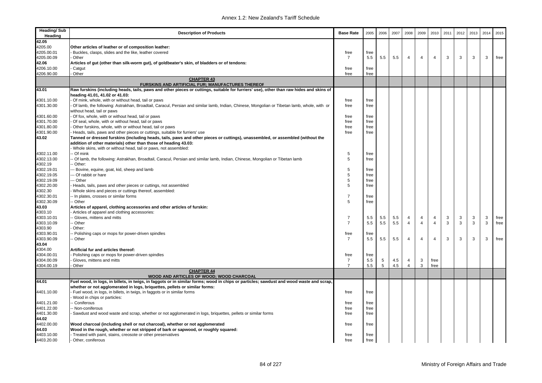| <b>Heading/Sub</b><br>Heading | <b>Description of Products</b>                                                                                                              | <b>Base Rate</b> | 2005 | 2006 | 2007 | 2008           | 2009           | 2010           | 2011         | 2012 | 2013 | 2014 | 2015 |
|-------------------------------|---------------------------------------------------------------------------------------------------------------------------------------------|------------------|------|------|------|----------------|----------------|----------------|--------------|------|------|------|------|
| 42.05                         |                                                                                                                                             |                  |      |      |      |                |                |                |              |      |      |      |      |
| 4205.00                       | Other articles of leather or of composition leather:                                                                                        |                  |      |      |      |                |                |                |              |      |      |      |      |
| 4205.00.01                    | Buckles, clasps, slides and the like, leather covered                                                                                       | free             | free |      |      |                |                |                |              |      |      |      |      |
| 4205.00.09                    | Other                                                                                                                                       | $\overline{7}$   | 5.5  | 5.5  | 5.5  | 4              | $\overline{4}$ | $\overline{4}$ | 3            | 3    | 3    | 3    | free |
| 42.06                         | Articles of gut (other than silk-worm gut), of goldbeater's skin, of bladders or of tendons:                                                |                  |      |      |      |                |                |                |              |      |      |      |      |
| 4206.10.00                    | Catqut                                                                                                                                      | free             | free |      |      |                |                |                |              |      |      |      |      |
| 4206.90.00                    | Other                                                                                                                                       | free             | free |      |      |                |                |                |              |      |      |      |      |
|                               | <b>CHAPTER 43</b><br><b>FURSKINS AND ARTIFICIAL FUR; MANUFACTURES THEREOF</b>                                                               |                  |      |      |      |                |                |                |              |      |      |      |      |
| 43.01                         | Raw furskins (including heads, tails, paws and other pieces or cuttings, suitable for furriers' use), other than raw hides and skins of     |                  |      |      |      |                |                |                |              |      |      |      |      |
|                               | heading 41.01, 41.02 or 41.03:                                                                                                              |                  |      |      |      |                |                |                |              |      |      |      |      |
| 4301.10.00                    | Of mink, whole, with or without head, tail or paws                                                                                          | free             | free |      |      |                |                |                |              |      |      |      |      |
| 4301.30.00                    | Of lamb, the following: Astrakhan, Broadtail, Caracul, Persian and similar lamb, Indian, Chinese, Mongolian or Tibetan lamb, whole, with or | free             | free |      |      |                |                |                |              |      |      |      |      |
|                               | without head, tail or paws                                                                                                                  |                  |      |      |      |                |                |                |              |      |      |      |      |
| 4301.60.00                    | Of fox, whole, with or without head, tail or paws                                                                                           | free             | free |      |      |                |                |                |              |      |      |      |      |
| 4301.70.00                    | Of seal, whole, with or without head, tail or paws                                                                                          | free             | free |      |      |                |                |                |              |      |      |      |      |
| 4301.80.00                    | Other furskins, whole, with or without head, tail or paws                                                                                   | free             | free |      |      |                |                |                |              |      |      |      |      |
| 4301.90.00                    | Heads, tails, paws and other pieces or cuttings, suitable for furriers' use                                                                 | free             | free |      |      |                |                |                |              |      |      |      |      |
| 43.02                         | Tanned or dressed furskins (including heads, tails, paws and other pieces or cuttings), unassembled, or assembled (without the              |                  |      |      |      |                |                |                |              |      |      |      |      |
|                               | addition of other materials) other than those of heading 43.03:                                                                             |                  |      |      |      |                |                |                |              |      |      |      |      |
|                               | Whole skins, with or without head, tail or paws, not assembled:                                                                             |                  |      |      |      |                |                |                |              |      |      |      |      |
| 4302.11.00                    | - Of mink                                                                                                                                   | 5                | free |      |      |                |                |                |              |      |      |      |      |
| 4302.13.00                    | Of lamb, the following: Astrakhan, Broadtail, Caracul, Persian and similar lamb, Indian, Chinese, Mongolian or Tibetan lamb                 | 5                | free |      |      |                |                |                |              |      |      |      |      |
| 4302.19                       | Other:                                                                                                                                      |                  |      |      |      |                |                |                |              |      |      |      |      |
| 4302.19.01                    | -- Bovine, equine, goat, kid, sheep and lamb                                                                                                | 5                | free |      |      |                |                |                |              |      |      |      |      |
| 4302.19.05                    | -- Of rabbit or hare                                                                                                                        | 5                | free |      |      |                |                |                |              |      |      |      |      |
| 4302.19.09                    | --- Other                                                                                                                                   | 5                | free |      |      |                |                |                |              |      |      |      |      |
| 4302.20.00                    | Heads, tails, paws and other pieces or cuttings, not assembled                                                                              | 5                | free |      |      |                |                |                |              |      |      |      |      |
| 4302.30                       | Whole skins and pieces or cuttings thereof, assembled:                                                                                      |                  |      |      |      |                |                |                |              |      |      |      |      |
| 4302.30.01                    | - In plates, crosses or similar forms                                                                                                       | $\overline{7}$   | free |      |      |                |                |                |              |      |      |      |      |
| 4302.30.09                    | - Other                                                                                                                                     | 5                | free |      |      |                |                |                |              |      |      |      |      |
| 43.03                         | Articles of apparel, clothing accessories and other articles of furskin:                                                                    |                  |      |      |      |                |                |                |              |      |      |      |      |
| 4303.10                       | Articles of apparel and clothing accessories:                                                                                               |                  |      |      |      |                |                |                |              |      |      |      |      |
| 4303.10.01                    | Gloves, mittens and mitts                                                                                                                   | $\overline{7}$   | 5.5  | 5.5  | 5.5  | 4              | 4              | $\overline{4}$ | $\mathbf{3}$ | 3    | 3    | 3    | free |
| 4303.10.09                    | - Other                                                                                                                                     | $\overline{7}$   | 5.5  | 5.5  | 5.5  | $\overline{4}$ | $\overline{4}$ | $\overline{4}$ | $\mathbf{3}$ | 3    | 3    | 3    | free |
| 4303.90                       | Other:                                                                                                                                      |                  |      |      |      |                |                |                |              |      |      |      |      |
| 4303.90.01                    | Polishing caps or mops for power-driven spindles                                                                                            | free             | free |      |      |                |                |                |              |      |      |      |      |
| 4303.90.09                    | Other                                                                                                                                       | $\overline{7}$   | 5.5  | 5.5  | 5.5  | $\overline{4}$ | $\overline{4}$ | $\overline{4}$ | 3            | 3    | 3    | 3    | free |
| 43.04                         |                                                                                                                                             |                  |      |      |      |                |                |                |              |      |      |      |      |
| 4304.00                       | Artificial fur and articles thereof:                                                                                                        |                  |      |      |      |                |                |                |              |      |      |      |      |
| 4304.00.01                    | Polishing caps or mops for power-driven spindles                                                                                            | free             | free |      |      |                |                |                |              |      |      |      |      |
| 4304.00.09                    | Gloves, mittens and mitts                                                                                                                   | $\overline{7}$   | 5.5  | 5    | 4.5  | 4              | 3              | free           |              |      |      |      |      |
| 4304.00.19                    | Other                                                                                                                                       | $\overline{7}$   | 5.5  | 5    | 4.5  | $\overline{4}$ | 3              | free           |              |      |      |      |      |
|                               | <b>CHAPTER 44</b>                                                                                                                           |                  |      |      |      |                |                |                |              |      |      |      |      |
|                               | WOOD AND ARTICLES OF WOOD; WOOD CHARCOAL                                                                                                    |                  |      |      |      |                |                |                |              |      |      |      |      |
| 44.01                         | Fuel wood, in logs, in billets, in twigs, in faggots or in similar forms; wood in chips or particles; sawdust and wood waste and scrap,     |                  |      |      |      |                |                |                |              |      |      |      |      |
|                               | whether or not agglomerated in logs, briquettes, pellets or similar forms:                                                                  |                  |      |      |      |                |                |                |              |      |      |      |      |
| 4401.10.00                    | Fuel wood, in logs, in billets, in twigs, in faggots or in similar forms                                                                    | free             | free |      |      |                |                |                |              |      |      |      |      |
|                               | Wood in chips or particles:                                                                                                                 |                  |      |      |      |                |                |                |              |      |      |      |      |
| 4401.21.00                    | Coniferous                                                                                                                                  | free             | free |      |      |                |                |                |              |      |      |      |      |
| 4401.22.00                    | - Non-coniferous                                                                                                                            | free             | free |      |      |                |                |                |              |      |      |      |      |
| 4401.30.00                    | Sawdust and wood waste and scrap, whether or not agglomerated in logs, briquettes, pellets or similar forms                                 | free             | free |      |      |                |                |                |              |      |      |      |      |
| 44.02                         |                                                                                                                                             |                  |      |      |      |                |                |                |              |      |      |      |      |
| 4402.00.00                    | Wood charcoal (including shell or nut charcoal), whether or not agglomerated                                                                | free             | free |      |      |                |                |                |              |      |      |      |      |
| 44.03                         | Wood in the rough, whether or not stripped of bark or sapwood, or roughly squared:                                                          |                  |      |      |      |                |                |                |              |      |      |      |      |
| 4403.10.00                    | - Treated with paint, stains, creosote or other preservatives                                                                               | free             | free |      |      |                |                |                |              |      |      |      |      |
| 4403.20.00                    | - Other, coniferous                                                                                                                         | free             | free |      |      |                |                |                |              |      |      |      |      |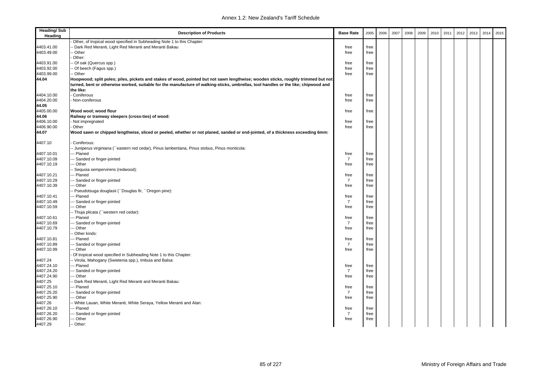| <b>Heading/Sub</b><br>Heading | <b>Description of Products</b>                                                                                                                                                                                                                                           | <b>Base Rate</b> | 2005 | 2006 | 2007 | 2008 | 2009 | 2010 | 2011 | 2012 | 2013 | 2014 | 2015 |
|-------------------------------|--------------------------------------------------------------------------------------------------------------------------------------------------------------------------------------------------------------------------------------------------------------------------|------------------|------|------|------|------|------|------|------|------|------|------|------|
|                               | Other, of tropical wood specified in Subheading Note 1 to this Chapter:                                                                                                                                                                                                  |                  |      |      |      |      |      |      |      |      |      |      |      |
| 4403.41.00                    | - Dark Red Meranti, Light Red Meranti and Meranti Bakau                                                                                                                                                                                                                  | free             | free |      |      |      |      |      |      |      |      |      |      |
| 4403.49.00                    | - Other                                                                                                                                                                                                                                                                  | free             | free |      |      |      |      |      |      |      |      |      |      |
|                               | Other:                                                                                                                                                                                                                                                                   |                  |      |      |      |      |      |      |      |      |      |      |      |
| 4403.91.00                    | - Of oak (Quercus spp.)                                                                                                                                                                                                                                                  | free             | free |      |      |      |      |      |      |      |      |      |      |
| 4403.92.00                    | - Of beech (Fagus spp.)                                                                                                                                                                                                                                                  | free             | free |      |      |      |      |      |      |      |      |      |      |
| 4403.99.00                    | - Other                                                                                                                                                                                                                                                                  | free             | free |      |      |      |      |      |      |      |      |      |      |
| 44.04                         | Hoopwood; split poles; piles, pickets and stakes of wood, pointed but not sawn lengthwise; wooden sticks, roughly trimmed but not<br>turned, bent or otherwise worked, suitable for the manufacture of walking-sticks, umbrellas, tool handles or the like; chipwood and |                  |      |      |      |      |      |      |      |      |      |      |      |
|                               | the like:                                                                                                                                                                                                                                                                |                  |      |      |      |      |      |      |      |      |      |      |      |
| 4404.10.00                    | Coniferous                                                                                                                                                                                                                                                               | free             | free |      |      |      |      |      |      |      |      |      |      |
| 4404.20.00                    | Non-coniferous                                                                                                                                                                                                                                                           | free             | free |      |      |      |      |      |      |      |      |      |      |
| 44.05                         |                                                                                                                                                                                                                                                                          |                  |      |      |      |      |      |      |      |      |      |      |      |
| 4405.00.00                    | Wood wool; wood flour                                                                                                                                                                                                                                                    | free             | free |      |      |      |      |      |      |      |      |      |      |
| 44.06                         | Railway or tramway sleepers (cross-ties) of wood:                                                                                                                                                                                                                        |                  |      |      |      |      |      |      |      |      |      |      |      |
| 4406.10.00                    | Not impregnated                                                                                                                                                                                                                                                          | free             | free |      |      |      |      |      |      |      |      |      |      |
| 4406.90.00                    | Other                                                                                                                                                                                                                                                                    | free             | free |      |      |      |      |      |      |      |      |      |      |
| 44.07                         | Wood sawn or chipped lengthwise, sliced or peeled, whether or not planed, sanded or end-jointed, of a thickness exceeding 6mm:                                                                                                                                           |                  |      |      |      |      |      |      |      |      |      |      |      |
| 4407.10                       | Coniferous:                                                                                                                                                                                                                                                              |                  |      |      |      |      |      |      |      |      |      |      |      |
|                               | - Juniperus virginiana (``eastern red cedar), Pinus lambertiana, Pinus stobus, Pinus monticola:                                                                                                                                                                          |                  |      |      |      |      |      |      |      |      |      |      |      |
| 4407.10.01                    | -- Planed                                                                                                                                                                                                                                                                | free             | free |      |      |      |      |      |      |      |      |      |      |
| 4407.10.09                    | Sanded or finger-jointed                                                                                                                                                                                                                                                 | $\overline{7}$   | free |      |      |      |      |      |      |      |      |      |      |
| 4407.10.19                    | - Other                                                                                                                                                                                                                                                                  | free             | free |      |      |      |      |      |      |      |      |      |      |
|                               | Sequoia sempervirens (redwood):                                                                                                                                                                                                                                          |                  |      |      |      |      |      |      |      |      |      |      |      |
| 4407.10.21                    | -- Planed                                                                                                                                                                                                                                                                | free             | free |      |      |      |      |      |      |      |      |      |      |
| 4407.10.29                    | - Sanded or finger-jointed                                                                                                                                                                                                                                               | $\overline{7}$   | free |      |      |      |      |      |      |      |      |      |      |
| 4407.10.39                    | - Other                                                                                                                                                                                                                                                                  | free             | free |      |      |      |      |      |      |      |      |      |      |
|                               | - Pseudotsuga douglasii (``Douglas fir, ``Oregon pine):                                                                                                                                                                                                                  |                  |      |      |      |      |      |      |      |      |      |      |      |
| 4407.10.41                    | -- Planed                                                                                                                                                                                                                                                                | free             | free |      |      |      |      |      |      |      |      |      |      |
| 4407.10.49                    | -- Sanded or finger-jointed                                                                                                                                                                                                                                              | $\overline{7}$   | free |      |      |      |      |      |      |      |      |      |      |
| 4407.10.59                    | - Other                                                                                                                                                                                                                                                                  | free             | free |      |      |      |      |      |      |      |      |      |      |
|                               | -- Thuja plicata ('western red cedar):                                                                                                                                                                                                                                   |                  |      |      |      |      |      |      |      |      |      |      |      |
| 4407.10.61                    | -- Planed                                                                                                                                                                                                                                                                | free             | free |      |      |      |      |      |      |      |      |      |      |
| 4407.10.69                    | -- Sanded or finger-jointed                                                                                                                                                                                                                                              | $\overline{7}$   | free |      |      |      |      |      |      |      |      |      |      |
| 4407.10.79                    | - Other                                                                                                                                                                                                                                                                  | free             | free |      |      |      |      |      |      |      |      |      |      |
|                               | Other kinds:                                                                                                                                                                                                                                                             |                  |      |      |      |      |      |      |      |      |      |      |      |
| 4407.10.81                    | -- Planed                                                                                                                                                                                                                                                                | free             | free |      |      |      |      |      |      |      |      |      |      |
| 4407.10.89                    | - Sanded or finger-jointed                                                                                                                                                                                                                                               | $\overline{7}$   | free |      |      |      |      |      |      |      |      |      |      |
| 4407.10.99                    | - Other                                                                                                                                                                                                                                                                  | free             | free |      |      |      |      |      |      |      |      |      |      |
|                               | Of tropical wood specified in Subheading Note 1 to this Chapter:                                                                                                                                                                                                         |                  |      |      |      |      |      |      |      |      |      |      |      |
| 4407.24                       | -- Virola, Mahogany (Swietenia spp.), Imbuia and Balsa:                                                                                                                                                                                                                  |                  |      |      |      |      |      |      |      |      |      |      |      |
| 4407.24.10                    | -- Planed                                                                                                                                                                                                                                                                | free             | free |      |      |      |      |      |      |      |      |      |      |
| 4407.24.20                    | Sanded or finger-jointed                                                                                                                                                                                                                                                 | $\overline{7}$   | free |      |      |      |      |      |      |      |      |      |      |
| 4407.24.90                    | - Other                                                                                                                                                                                                                                                                  | free             | free |      |      |      |      |      |      |      |      |      |      |
| 4407.25                       | Dark Red Meranti, Light Red Meranti and Meranti Bakau:                                                                                                                                                                                                                   |                  |      |      |      |      |      |      |      |      |      |      |      |
| 4407.25.10                    | -- Planed                                                                                                                                                                                                                                                                | free             | free |      |      |      |      |      |      |      |      |      |      |
| 4407.25.20                    | -- Sanded or finger-jointed                                                                                                                                                                                                                                              | $\overline{7}$   | free |      |      |      |      |      |      |      |      |      |      |
| 4407.25.90                    | -- Other                                                                                                                                                                                                                                                                 | free             | free |      |      |      |      |      |      |      |      |      |      |
| 4407.26                       | - White Lauan, White Meranti, White Seraya, Yellow Meranti and Alan:                                                                                                                                                                                                     |                  |      |      |      |      |      |      |      |      |      |      |      |
| 4407.26.10                    | -- Planed                                                                                                                                                                                                                                                                | free             | free |      |      |      |      |      |      |      |      |      |      |
| 4407.26.20                    | - Sanded or finger-jointed                                                                                                                                                                                                                                               | $\overline{7}$   | free |      |      |      |      |      |      |      |      |      |      |
| 4407.26.90                    | - Other                                                                                                                                                                                                                                                                  | free             | free |      |      |      |      |      |      |      |      |      |      |
| 4407.29                       | -- Other:                                                                                                                                                                                                                                                                |                  |      |      |      |      |      |      |      |      |      |      |      |
|                               |                                                                                                                                                                                                                                                                          |                  |      |      |      |      |      |      |      |      |      |      |      |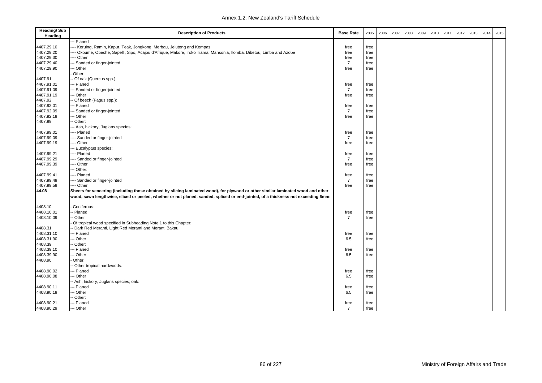| <b>Heading/Sub</b><br>Heading | <b>Description of Products</b>                                                                                                    | <b>Base Rate</b> | 2005 | 2006 | 2007 | 2008 | 2009 | 2010 | 2011 | 2012 | 2013 | 2014 | 2015 |
|-------------------------------|-----------------------------------------------------------------------------------------------------------------------------------|------------------|------|------|------|------|------|------|------|------|------|------|------|
|                               | - Planed                                                                                                                          |                  |      |      |      |      |      |      |      |      |      |      |      |
| 4407.29.10                    | -- Keruing, Ramin, Kapur, Teak, Jongkong, Merbau, Jelutong and Kempas                                                             | free             | free |      |      |      |      |      |      |      |      |      |      |
| 4407.29.20                    | - Okoume, Obeche, Sapelli, Sipo, Acajou d'Afrique, Makore, Iroko Tiama, Mansonia, Ilomba, Dibetou, Limba and Azobe                | free             | free |      |      |      |      |      |      |      |      |      |      |
| 4407.29.30                    | -- Other                                                                                                                          | free             | free |      |      |      |      |      |      |      |      |      |      |
| 4407.29.40                    | - Sanded or finger-jointed                                                                                                        | $\overline{7}$   | free |      |      |      |      |      |      |      |      |      |      |
| 4407.29.90                    | - Other                                                                                                                           | free             | free |      |      |      |      |      |      |      |      |      |      |
|                               | Other:                                                                                                                            |                  |      |      |      |      |      |      |      |      |      |      |      |
| 4407.91                       | Of oak (Quercus spp.):                                                                                                            |                  |      |      |      |      |      |      |      |      |      |      |      |
| 4407.91.01                    | - Planed                                                                                                                          | free             | free |      |      |      |      |      |      |      |      |      |      |
| 4407.91.09                    | -- Sanded or finger-jointed                                                                                                       | $\overline{7}$   | free |      |      |      |      |      |      |      |      |      |      |
| 4407.91.19                    | - Other                                                                                                                           | free             | free |      |      |      |      |      |      |      |      |      |      |
| 4407.92                       | Of beech (Fagus spp.):                                                                                                            |                  |      |      |      |      |      |      |      |      |      |      |      |
| 4407.92.01                    | - Planed                                                                                                                          | free             | free |      |      |      |      |      |      |      |      |      |      |
| 4407.92.09                    | Sanded or finger-jointed                                                                                                          | $\overline{7}$   | free |      |      |      |      |      |      |      |      |      |      |
| 4407.92.19                    | - Other                                                                                                                           | free             | free |      |      |      |      |      |      |      |      |      |      |
| 4407.99                       | Other:                                                                                                                            |                  |      |      |      |      |      |      |      |      |      |      |      |
|                               | - Ash, hickory, Juglans species:                                                                                                  |                  |      |      |      |      |      |      |      |      |      |      |      |
| 4407.99.01                    | -- Planed                                                                                                                         | free             | free |      |      |      |      |      |      |      |      |      |      |
| 4407.99.09                    | --- Sanded or finger-jointed                                                                                                      | $\overline{7}$   | free |      |      |      |      |      |      |      |      |      |      |
| 4407.99.19                    | -- Other                                                                                                                          | free             | free |      |      |      |      |      |      |      |      |      |      |
|                               | - Eucalyptus species:                                                                                                             |                  |      |      |      |      |      |      |      |      |      |      |      |
| 4407.99.21                    | - Planed                                                                                                                          | free             | free |      |      |      |      |      |      |      |      |      |      |
| 4407.99.29                    | --- Sanded or finger-jointed                                                                                                      | $\overline{7}$   | free |      |      |      |      |      |      |      |      |      |      |
| 4407.99.39                    | - Other                                                                                                                           | free             | free |      |      |      |      |      |      |      |      |      |      |
|                               | - Other:                                                                                                                          |                  |      |      |      |      |      |      |      |      |      |      |      |
| 4407.99.41                    | --- Planed                                                                                                                        | free             | free |      |      |      |      |      |      |      |      |      |      |
| 4407.99.49                    | - Sanded or finger-jointed                                                                                                        | $\overline{7}$   | free |      |      |      |      |      |      |      |      |      |      |
| 4407.99.59                    | -- Other                                                                                                                          |                  |      |      |      |      |      |      |      |      |      |      |      |
|                               |                                                                                                                                   | free             | free |      |      |      |      |      |      |      |      |      |      |
| 44.08                         | Sheets for veneering (including those obtained by slicing laminated wood), for plywood or other similar laminated wood and other  |                  |      |      |      |      |      |      |      |      |      |      |      |
|                               | wood, sawn lengthwise, sliced or peeled, whether or not planed, sanded, spliced or end-jointed, of a thickness not exceeding 6mm: |                  |      |      |      |      |      |      |      |      |      |      |      |
| 4408.10                       | Coniferous:                                                                                                                       |                  |      |      |      |      |      |      |      |      |      |      |      |
| 4408.10.01                    | Planed                                                                                                                            | free             | free |      |      |      |      |      |      |      |      |      |      |
| 4408.10.09                    | Other                                                                                                                             | $\overline{7}$   | free |      |      |      |      |      |      |      |      |      |      |
|                               | Of tropical wood specified in Subheading Note 1 to this Chapter:                                                                  |                  |      |      |      |      |      |      |      |      |      |      |      |
| 4408.31                       | Dark Red Meranti, Light Red Meranti and Meranti Bakau:                                                                            |                  |      |      |      |      |      |      |      |      |      |      |      |
| 4408.31.10                    | - Planed                                                                                                                          | free             | free |      |      |      |      |      |      |      |      |      |      |
| 4408.31.90                    | -- Other                                                                                                                          | 6.5              | free |      |      |      |      |      |      |      |      |      |      |
| 4408.39                       | Other:                                                                                                                            |                  |      |      |      |      |      |      |      |      |      |      |      |
| 4408.39.10                    | - Planed                                                                                                                          | free             | free |      |      |      |      |      |      |      |      |      |      |
| 4408.39.90                    | - Other                                                                                                                           | 6.5              | free |      |      |      |      |      |      |      |      |      |      |
| 4408.90                       | Other:                                                                                                                            |                  |      |      |      |      |      |      |      |      |      |      |      |
|                               | Other tropical hardwoods:                                                                                                         |                  |      |      |      |      |      |      |      |      |      |      |      |
| 4408.90.02                    | - Planed                                                                                                                          | free             | free |      |      |      |      |      |      |      |      |      |      |
| 4408.90.08                    | - Other                                                                                                                           | 6.5              | free |      |      |      |      |      |      |      |      |      |      |
|                               | - Ash, hickory, Juglans species; oak:                                                                                             |                  |      |      |      |      |      |      |      |      |      |      |      |
| 4408.90.11                    | - Planed                                                                                                                          | free             | free |      |      |      |      |      |      |      |      |      |      |
| 4408.90.19                    | - Other                                                                                                                           | 6.5              | free |      |      |      |      |      |      |      |      |      |      |
|                               | Other:                                                                                                                            |                  |      |      |      |      |      |      |      |      |      |      |      |
| 4408.90.21                    | -- Planed                                                                                                                         | free             | free |      |      |      |      |      |      |      |      |      |      |
| 4408.90.29                    | --- Other                                                                                                                         | $\overline{7}$   |      |      |      |      |      |      |      |      |      |      |      |
|                               |                                                                                                                                   |                  | free |      |      |      |      |      |      |      |      |      |      |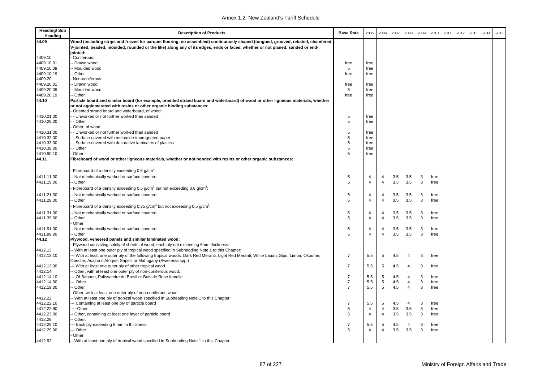| <b>Heading/Sub</b><br>Heading | <b>Description of Products</b>                                                                                                                                                                           | <b>Base Rate</b>                 | 2005           | 2006           | 2007 | 2008           | 2009 | 2010 | 2011 | 2012 | 2013 | 2014 | 2015 |
|-------------------------------|----------------------------------------------------------------------------------------------------------------------------------------------------------------------------------------------------------|----------------------------------|----------------|----------------|------|----------------|------|------|------|------|------|------|------|
| 44.09                         | Wood (including strips and friezes for parquet flooring, no assembled) continuously shaped (tongued, grooved, rebated, chamfered,                                                                        |                                  |                |                |      |                |      |      |      |      |      |      |      |
|                               | V-jointed, beaded, moulded, rounded or the like) along any of its edges, ends or faces, whether or not planed, sanded or end-                                                                            |                                  |                |                |      |                |      |      |      |      |      |      |      |
|                               | jointed:                                                                                                                                                                                                 |                                  |                |                |      |                |      |      |      |      |      |      |      |
| 4409.10                       | Coniferous:                                                                                                                                                                                              |                                  |                |                |      |                |      |      |      |      |      |      |      |
| 4409.10.01                    | - Drawn wood                                                                                                                                                                                             | free                             | free           |                |      |                |      |      |      |      |      |      |      |
| 4409.10.09                    | Moulded wood                                                                                                                                                                                             | 5                                | free           |                |      |                |      |      |      |      |      |      |      |
| 4409.10.19                    | Other                                                                                                                                                                                                    | free                             | free           |                |      |                |      |      |      |      |      |      |      |
| 4409.20<br>4409.20.01         | Non-coniferous:<br>- Drawn wood                                                                                                                                                                          |                                  | free           |                |      |                |      |      |      |      |      |      |      |
| 4409.20.09                    | Moulded wood                                                                                                                                                                                             | free<br>5                        | free           |                |      |                |      |      |      |      |      |      |      |
| 4409.20.19                    | - Other                                                                                                                                                                                                  | free                             | free           |                |      |                |      |      |      |      |      |      |      |
| 44.10                         | Particle board and similar board (for example, oriented strand board and waferboard) of wood or other ligneous materials, whether                                                                        |                                  |                |                |      |                |      |      |      |      |      |      |      |
|                               | or not agglomerated with resins or other organic binding substances:<br>Oriented strand board and waferboard, of wood:                                                                                   |                                  |                |                |      |                |      |      |      |      |      |      |      |
| 4410.21.00                    | - Unworked or not further worked than sanded                                                                                                                                                             | 5                                | free           |                |      |                |      |      |      |      |      |      |      |
| 4410.29.00                    | - Other                                                                                                                                                                                                  | 5                                | free           |                |      |                |      |      |      |      |      |      |      |
|                               | Other, of wood:                                                                                                                                                                                          |                                  |                |                |      |                |      |      |      |      |      |      |      |
| 4410.31.00                    | - Unworked or not further worked than sanded                                                                                                                                                             | 5                                | free           |                |      |                |      |      |      |      |      |      |      |
| 4410.32.00                    | - Surface-covered with melamine-impregnated paper                                                                                                                                                        | 5                                | free           |                |      |                |      |      |      |      |      |      |      |
| 4410.33.00                    | - Surface-covered with decorative laminates of plastics                                                                                                                                                  | 5                                | free           |                |      |                |      |      |      |      |      |      |      |
| 4410.39.00                    | - Other                                                                                                                                                                                                  | 5                                | free           |                |      |                |      |      |      |      |      |      |      |
| 4410.90.10                    | Other                                                                                                                                                                                                    | 5                                | free           |                |      |                |      |      |      |      |      |      |      |
| 44.11                         | Fibreboard of wood or other ligneous materials, whether or not bonded with resins or other organic substances:                                                                                           |                                  |                |                |      |                |      |      |      |      |      |      |      |
|                               | Fibreboard of a density exceeding 0.5 g/cm <sup>3</sup> :                                                                                                                                                |                                  |                |                |      |                |      |      |      |      |      |      |      |
| 4411.11.00                    | Not mechanically worked or surface covered                                                                                                                                                               | 5                                | $\overline{4}$ | 4              | 3.5  | 3.5            | 3    | free |      |      |      |      |      |
| 4411.19.00                    | Other                                                                                                                                                                                                    | 5                                | $\overline{4}$ | $\overline{4}$ | 3.5  | 3.5            | 3    | free |      |      |      |      |      |
|                               | Fibreboard of a density exceeding 0.5 g/cm <sup>3</sup> but not exceeding 0.8 g/cm <sup>3</sup> :                                                                                                        |                                  |                |                |      |                |      |      |      |      |      |      |      |
| 4411.21.00                    | Not mechanically worked or surface covered                                                                                                                                                               | 5                                | 4              | 4              | 3.5  | 3.5            | 3    | free |      |      |      |      |      |
| 4411.29.00                    | Other                                                                                                                                                                                                    | 5                                | $\overline{4}$ | $\overline{4}$ | 3.5  | 3.5            | 3    | free |      |      |      |      |      |
|                               | Fibreboard of a density exceeding 0.35 $g/cm3$ but not exceeding 0.5 $g/cm3$ .                                                                                                                           |                                  |                |                |      |                |      |      |      |      |      |      |      |
| 4411.31.00                    | Not mechanically worked or surface covered                                                                                                                                                               | 5                                | 4              | $\overline{4}$ | 3.5  | 3.5            | 3    | free |      |      |      |      |      |
| 4411.39.00                    | Other                                                                                                                                                                                                    | 5                                | $\overline{4}$ | $\overline{4}$ | 3.5  | 3.5            | 3    | free |      |      |      |      |      |
|                               | Other:                                                                                                                                                                                                   |                                  |                |                |      |                |      |      |      |      |      |      |      |
| 4411.91.00                    | Not mechanically worked or surface covered                                                                                                                                                               | 5                                | 4              | 4              | 3.5  | 3.5            | 3    | free |      |      |      |      |      |
| 4411.99.00                    | Other                                                                                                                                                                                                    | 5                                | $\overline{4}$ | $\overline{4}$ | 3.5  | 3.5            | 3    | free |      |      |      |      |      |
| 44.12                         | Plywood, veneered panels and similar laminated wood:                                                                                                                                                     |                                  |                |                |      |                |      |      |      |      |      |      |      |
|                               | Plywood consisting solely of sheets of wood, each ply not exceeding 6mm thickness:                                                                                                                       |                                  |                |                |      |                |      |      |      |      |      |      |      |
| 4412.13                       | - With at least one outer ply of tropical wood specified in Subheading Note 1 to this Chapter:                                                                                                           |                                  |                |                |      |                |      |      |      |      |      |      |      |
| 4412.13.10                    | -- With at least one outer ply of the following tropical woods: Dark Red Meranti, Light Red Meranti, White Lauan, Sipo, Limba, Okoume,<br>Obeche, Acajou d'Afrique, Sapelli or Mahogany (Swietenia spp.) | -7                               | 5.5            | 5              | 4.5  | 4              | 3    | free |      |      |      |      |      |
| 4412.13.90                    | --- With at least one outer ply of other tropical wood                                                                                                                                                   | 7                                | 5.5            | 5              | 4.5  | 4              | 3    | free |      |      |      |      |      |
| 4412.14                       | Other, with at least one outer ply of non-coniferous wood:                                                                                                                                               |                                  |                |                |      |                |      |      |      |      |      |      |      |
| 4412.14.10                    | - Of Baboen, Palissandre du Bresil or Bois de Rose femelle                                                                                                                                               | $\overline{7}$                   | 5.5            | 5              | 4.5  | 4              | 3    | free |      |      |      |      |      |
| 4412.14.90                    | - Other<br>Other                                                                                                                                                                                         | $\overline{7}$<br>$\overline{7}$ | 5.5            | 5              | 4.5  | $\overline{4}$ | 3    | free |      |      |      |      |      |
| 4412.19.00                    |                                                                                                                                                                                                          |                                  | 5.5            | 5              | 4.5  | $\overline{4}$ | 3    | free |      |      |      |      |      |
|                               | Other, with at least one outer ply of non-coniferous wood<br>- With at least one ply of tropical wood specified in Subheading Note 1 to this Chapter:                                                    |                                  |                |                |      |                |      |      |      |      |      |      |      |
| 4412.22<br>4412.22.10         | - Containing at least one ply of particle board                                                                                                                                                          | -7                               | 5.5            | 5              | 4.5  | $\overline{4}$ | 3    | free |      |      |      |      |      |
| 4412.22.90                    | --- Other                                                                                                                                                                                                | 5                                | 4              | 4              | 3.5  | 3.5            | 3    | free |      |      |      |      |      |
| 4412.23.00                    | Other, containing at least one layer of particle board                                                                                                                                                   | 5                                | 4              | $\overline{4}$ | 3.5  | 3.5            | 3    | free |      |      |      |      |      |
| 4412.29                       | Other:                                                                                                                                                                                                   |                                  |                |                |      |                |      |      |      |      |      |      |      |
| 4412.29.10                    | - Each ply exceeding 6 mm in thickness                                                                                                                                                                   | -7                               | 5.5            | 5              | 4.5  | 4              | 3    | free |      |      |      |      |      |
| 4412.29.90                    | - Other                                                                                                                                                                                                  | 5                                | $\overline{4}$ | $\overline{4}$ | 3.5  | 3.5            | 3    | free |      |      |      |      |      |
|                               | Other:                                                                                                                                                                                                   |                                  |                |                |      |                |      |      |      |      |      |      |      |
| 4412.92                       | -- With at least one ply of tropical wood specified in Subheading Note 1 to this Chapter:                                                                                                                |                                  |                |                |      |                |      |      |      |      |      |      |      |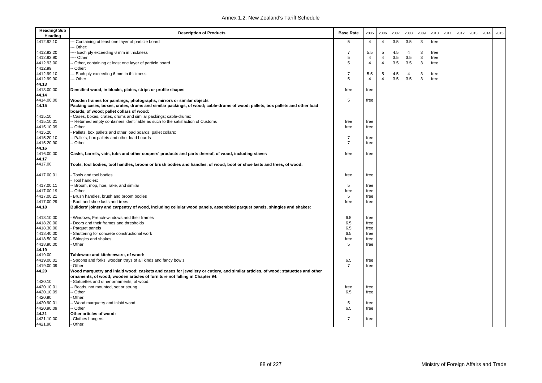| <b>Heading/Sub</b><br>Heading | <b>Description of Products</b>                                                                                                                                          | <b>Base Rate</b> | 2005           | 2006           | 2007 | 2008           | 2009 | 2010 | 2011 | 2012 | 2013 | 2014 | 2015 |
|-------------------------------|-------------------------------------------------------------------------------------------------------------------------------------------------------------------------|------------------|----------------|----------------|------|----------------|------|------|------|------|------|------|------|
| 4412.92.10                    | -- Containing at least one layer of particle board<br>-- Other:                                                                                                         | 5                | 4              | $\overline{4}$ | 3.5  | 3.5            | 3    | free |      |      |      |      |      |
| 4412.92.20                    | --- Each ply exceeding 6 mm in thickness                                                                                                                                | 7                | 5.5            | 5              | 4.5  | 4              | 3    | free |      |      |      |      |      |
| 4412.92.90                    | --- Other                                                                                                                                                               | 5                | $\overline{4}$ | $\overline{4}$ | 3.5  | 3.5            | 3    | free |      |      |      |      |      |
| 4412.93.00                    | Other, containing at least one layer of particle board                                                                                                                  | 5                | $\overline{4}$ | $\overline{4}$ | 3.5  | 3.5            | 3    | free |      |      |      |      |      |
| 4412.99                       | Other:                                                                                                                                                                  |                  |                |                |      |                |      |      |      |      |      |      |      |
| 4412.99.10                    | - Each ply exceeding 6 mm in thickness                                                                                                                                  | $\overline{7}$   | 5.5            | 5              | 4.5  | $\overline{4}$ | 3    | free |      |      |      |      |      |
| 4412.99.90                    | -- Other                                                                                                                                                                | 5                | $\overline{4}$ | $\overline{a}$ | 3.5  | 3.5            | 3    | free |      |      |      |      |      |
| 44.13                         |                                                                                                                                                                         |                  |                |                |      |                |      |      |      |      |      |      |      |
| 4413.00.00                    | Densified wood, in blocks, plates, strips or profile shapes                                                                                                             | free             | free           |                |      |                |      |      |      |      |      |      |      |
| 44.14                         |                                                                                                                                                                         |                  |                |                |      |                |      |      |      |      |      |      |      |
| 4414.00.00                    | Wooden frames for paintings, photographs, mirrors or similar objects                                                                                                    | 5                | free           |                |      |                |      |      |      |      |      |      |      |
| 44.15                         | Packing cases, boxes, crates, drums and similar packings, of wood; cable-drums of wood; pallets, box pallets and other load<br>boards, of wood; pallet collars of wood: |                  |                |                |      |                |      |      |      |      |      |      |      |
| 4415.10                       | Cases, boxes, crates, drums and similar packings; cable-drums:                                                                                                          |                  |                |                |      |                |      |      |      |      |      |      |      |
| 4415.10.01                    | - Returned empty containers identifiable as such to the satisfaction of Customs                                                                                         | free             | free           |                |      |                |      |      |      |      |      |      |      |
| 4415.10.09                    | Other                                                                                                                                                                   | free             | free           |                |      |                |      |      |      |      |      |      |      |
| 4415.20                       | Pallets, box pallets and other load boards; pallet collars:                                                                                                             |                  |                |                |      |                |      |      |      |      |      |      |      |
| 4415.20.10                    | Pallets, box pallets and other load boards                                                                                                                              | 7                | free           |                |      |                |      |      |      |      |      |      |      |
| 4415.20.90                    | Other                                                                                                                                                                   | $\overline{7}$   | free           |                |      |                |      |      |      |      |      |      |      |
| 44.16                         |                                                                                                                                                                         |                  |                |                |      |                |      |      |      |      |      |      |      |
| 4416.00.00                    | Casks, barrels, vats, tubs and other coopers' products and parts thereof, of wood, including staves                                                                     | free             | free           |                |      |                |      |      |      |      |      |      |      |
| 44.17                         |                                                                                                                                                                         |                  |                |                |      |                |      |      |      |      |      |      |      |
| 4417.00                       | Tools, tool bodies, tool handles, broom or brush bodies and handles, of wood; boot or shoe lasts and trees, of wood:                                                    |                  |                |                |      |                |      |      |      |      |      |      |      |
| 4417.00.01                    | Tools and tool bodies                                                                                                                                                   | free             | free           |                |      |                |      |      |      |      |      |      |      |
|                               | Tool handles:                                                                                                                                                           |                  |                |                |      |                |      |      |      |      |      |      |      |
| 4417.00.11                    | Broom, mop, hoe, rake, and similar                                                                                                                                      | 5                | free           |                |      |                |      |      |      |      |      |      |      |
| 4417.00.19                    | Other                                                                                                                                                                   | free<br>5        | free           |                |      |                |      |      |      |      |      |      |      |
| 4417.00.21<br>4417.00.29      | Brush handles, brush and broom bodies<br>Boot and shoe lasts and trees                                                                                                  | free             | free<br>free   |                |      |                |      |      |      |      |      |      |      |
| 44.18                         | Builders' joinery and carpentry of wood, including cellular wood panels, assembled parquet panels, shingles and shakes:                                                 |                  |                |                |      |                |      |      |      |      |      |      |      |
|                               |                                                                                                                                                                         |                  |                |                |      |                |      |      |      |      |      |      |      |
| 4418.10.00                    | Windows, French-windows and their frames                                                                                                                                | 6.5              | free           |                |      |                |      |      |      |      |      |      |      |
| 4418.20.00                    | Doors and their frames and thresholds                                                                                                                                   | 6.5              | free           |                |      |                |      |      |      |      |      |      |      |
| 4418.30.00                    | Parquet panels                                                                                                                                                          | 6.5              | free           |                |      |                |      |      |      |      |      |      |      |
| 4418.40.00                    | Shuttering for concrete constructional work                                                                                                                             | 6.5              | free           |                |      |                |      |      |      |      |      |      |      |
| 4418.50.00<br>4418.90.00      | Shingles and shakes<br>Other                                                                                                                                            | free<br>5        | free<br>free   |                |      |                |      |      |      |      |      |      |      |
| 44.19                         |                                                                                                                                                                         |                  |                |                |      |                |      |      |      |      |      |      |      |
| 4419.00                       | Tableware and kitchenware, of wood:                                                                                                                                     |                  |                |                |      |                |      |      |      |      |      |      |      |
| 4419.00.01                    | Spoons and forks, wooden trays of all kinds and fancy bowls                                                                                                             | 6.5              | free           |                |      |                |      |      |      |      |      |      |      |
| 4419.00.09                    | Other                                                                                                                                                                   | $\overline{7}$   | free           |                |      |                |      |      |      |      |      |      |      |
| 44.20                         | Wood marquetry and inlaid wood; caskets and cases for jewellery or cutlery, and similar articles, of wood; statuettes and other                                         |                  |                |                |      |                |      |      |      |      |      |      |      |
|                               | ornaments, of wood; wooden articles of furniture not falling in Chapter 94:                                                                                             |                  |                |                |      |                |      |      |      |      |      |      |      |
| 4420.10                       | Statuettes and other ornaments, of wood:                                                                                                                                |                  |                |                |      |                |      |      |      |      |      |      |      |
| 4420.10.01                    | Beads, not mounted, set or strung                                                                                                                                       | free             | free           |                |      |                |      |      |      |      |      |      |      |
| 4420.10.09                    | Other                                                                                                                                                                   | 6.5              | free           |                |      |                |      |      |      |      |      |      |      |
| 4420.90                       | Other:                                                                                                                                                                  |                  |                |                |      |                |      |      |      |      |      |      |      |
| 4420.90.01                    | - Wood marquetry and inlaid wood                                                                                                                                        | 5                | free           |                |      |                |      |      |      |      |      |      |      |
| 4420.90.09                    | - Other                                                                                                                                                                 | 6.5              | free           |                |      |                |      |      |      |      |      |      |      |
| 44.21                         | Other articles of wood:                                                                                                                                                 |                  |                |                |      |                |      |      |      |      |      |      |      |
| 4421.10.00                    | Clothes hangers                                                                                                                                                         | $\overline{7}$   | free           |                |      |                |      |      |      |      |      |      |      |
| 4421.90                       | Other:                                                                                                                                                                  |                  |                |                |      |                |      |      |      |      |      |      |      |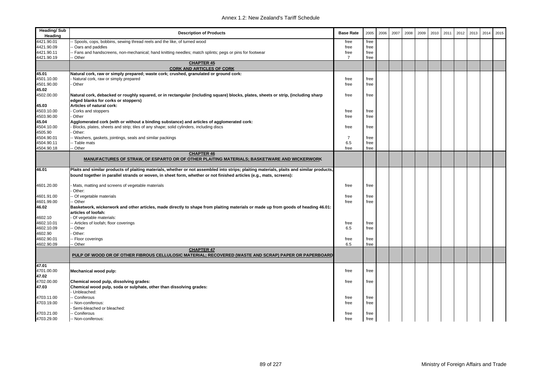| <b>Heading/Sub</b><br>Heading | <b>Description of Products</b>                                                                                                                                                                                                                                   | <b>Base Rate</b> | 2005 | 2006 | 2007 | 2008 | 2009 | 2010 | 2011 | 2012 | 2013 | 2014 | 2015 |
|-------------------------------|------------------------------------------------------------------------------------------------------------------------------------------------------------------------------------------------------------------------------------------------------------------|------------------|------|------|------|------|------|------|------|------|------|------|------|
| 4421.90.01                    | - Spools, cops, bobbins, sewing thread reels and the like, of turned wood                                                                                                                                                                                        | free             | free |      |      |      |      |      |      |      |      |      |      |
| 4421.90.09                    | - Oars and paddles                                                                                                                                                                                                                                               | free             | free |      |      |      |      |      |      |      |      |      |      |
| 4421.90.11                    | - Fans and handscreens, non-mechanical; hand knitting needles; match splints; pegs or pins for footwear                                                                                                                                                          | free             | free |      |      |      |      |      |      |      |      |      |      |
| 4421.90.19                    | - Other                                                                                                                                                                                                                                                          | $\overline{7}$   | free |      |      |      |      |      |      |      |      |      |      |
|                               | <b>CHAPTER 45</b><br><b>CORK AND ARTICLES OF CORK</b>                                                                                                                                                                                                            |                  |      |      |      |      |      |      |      |      |      |      |      |
| 45.01                         | Natural cork, raw or simply prepared; waste cork; crushed, granulated or ground cork:                                                                                                                                                                            |                  |      |      |      |      |      |      |      |      |      |      |      |
| 4501.10.00                    | Natural cork, raw or simply prepared                                                                                                                                                                                                                             | free             | free |      |      |      |      |      |      |      |      |      |      |
| 4501.90.00                    | Other                                                                                                                                                                                                                                                            | free             | free |      |      |      |      |      |      |      |      |      |      |
| 45.02                         |                                                                                                                                                                                                                                                                  |                  |      |      |      |      |      |      |      |      |      |      |      |
| 4502.00.00                    | Natural cork, debacked or roughly squared, or in rectangular (including square) blocks, plates, sheets or strip, (including sharp<br>edged blanks for corks or stoppers)                                                                                         | free             | free |      |      |      |      |      |      |      |      |      |      |
| 45.03                         | Articles of natural cork:                                                                                                                                                                                                                                        |                  |      |      |      |      |      |      |      |      |      |      |      |
| 4503.10.00                    | Corks and stoppers                                                                                                                                                                                                                                               | free             | free |      |      |      |      |      |      |      |      |      |      |
| 4503.90.00                    | Other                                                                                                                                                                                                                                                            | free             | free |      |      |      |      |      |      |      |      |      |      |
| 45.04                         | Agglomerated cork (with or without a binding substance) and articles of agglomerated cork:                                                                                                                                                                       |                  |      |      |      |      |      |      |      |      |      |      |      |
| 4504.10.00                    | Blocks, plates, sheets and strip; tiles of any shape; solid cylinders, including discs                                                                                                                                                                           | free             | free |      |      |      |      |      |      |      |      |      |      |
| 4505.90                       | Other:                                                                                                                                                                                                                                                           |                  |      |      |      |      |      |      |      |      |      |      |      |
| 4504.90.01                    | - Washers, gaskets, jointings, seals and similar packings                                                                                                                                                                                                        | $\overline{7}$   | free |      |      |      |      |      |      |      |      |      |      |
| 4504.90.11                    | -- Table mats                                                                                                                                                                                                                                                    | 6.5              | free |      |      |      |      |      |      |      |      |      |      |
| 4504.90.18                    | -- Other                                                                                                                                                                                                                                                         | free             | free |      |      |      |      |      |      |      |      |      |      |
|                               | <b>CHAPTER 46</b><br>MANUFACTURES OF STRAW, OF ESPARTO OR OF OTHER PLAITING MATERIALS; BASKETWARE AND WICKERWORK                                                                                                                                                 |                  |      |      |      |      |      |      |      |      |      |      |      |
| 46.01                         | Plaits and similar products of plaiting materials, whether or not assembled into strips; plaiting materials, plaits and similar products,<br>bound together in parallel strands or woven, in sheet form, whether or not finished articles (e.g., mats, screens): |                  |      |      |      |      |      |      |      |      |      |      |      |
| 4601.20.00                    | Mats, matting and screens of vegetable materials<br>Other:                                                                                                                                                                                                       | free             | free |      |      |      |      |      |      |      |      |      |      |
| 4601.91.00                    | - Of vegetable materials                                                                                                                                                                                                                                         | free             | free |      |      |      |      |      |      |      |      |      |      |
| 4601.99.00                    | - Other                                                                                                                                                                                                                                                          | free             | free |      |      |      |      |      |      |      |      |      |      |
| 46.02                         | Basketwork, wickerwork and other articles, made directly to shape from plaiting materials or made up from goods of heading 46.01:<br>articles of loofah:                                                                                                         |                  |      |      |      |      |      |      |      |      |      |      |      |
| 4602.10                       | Of vegetable materials:                                                                                                                                                                                                                                          |                  |      |      |      |      |      |      |      |      |      |      |      |
| 4602.10.01                    | -- Articles of loofah; floor coverings                                                                                                                                                                                                                           | free             | free |      |      |      |      |      |      |      |      |      |      |
| 4602.10.09                    | - Other                                                                                                                                                                                                                                                          | 6.5              | free |      |      |      |      |      |      |      |      |      |      |
| 4602.90                       | Other:                                                                                                                                                                                                                                                           |                  |      |      |      |      |      |      |      |      |      |      |      |
| 4602.90.01                    | - Floor coverings                                                                                                                                                                                                                                                | free             | free |      |      |      |      |      |      |      |      |      |      |
| 4602.90.09                    | -- Other                                                                                                                                                                                                                                                         | 6.5              | free |      |      |      |      |      |      |      |      |      |      |
|                               | <b>CHAPTER 47</b><br>PULP OF WOOD OR OF OTHER FIBROUS CELLULOSIC MATERIAL; RECOVERED (WASTE AND SCRAP) PAPER OR PAPERBOARD                                                                                                                                       |                  |      |      |      |      |      |      |      |      |      |      |      |
| 47.01                         |                                                                                                                                                                                                                                                                  |                  |      |      |      |      |      |      |      |      |      |      |      |
| 4701.00.00<br>47.02           | Mechanical wood pulp:                                                                                                                                                                                                                                            | free             | free |      |      |      |      |      |      |      |      |      |      |
| 4702.00.00                    | Chemical wood pulp, dissolving grades:                                                                                                                                                                                                                           | free             | free |      |      |      |      |      |      |      |      |      |      |
| 47.03                         | Chemical wood pulp, soda or sulphate, other than dissolving grades:<br>Unbleached:                                                                                                                                                                               |                  |      |      |      |      |      |      |      |      |      |      |      |
| 4703.11.00                    | -- Coniferous                                                                                                                                                                                                                                                    | free             | free |      |      |      |      |      |      |      |      |      |      |
| 4703.19.00                    | - Non-coniferous:                                                                                                                                                                                                                                                | free             | free |      |      |      |      |      |      |      |      |      |      |
|                               | Semi-bleached or bleached:                                                                                                                                                                                                                                       |                  |      |      |      |      |      |      |      |      |      |      |      |
| 4703.21.00                    | - Coniferous                                                                                                                                                                                                                                                     | free             | free |      |      |      |      |      |      |      |      |      |      |
| 4703.29.00                    | -- Non-coniferous:                                                                                                                                                                                                                                               | free             | free |      |      |      |      |      |      |      |      |      |      |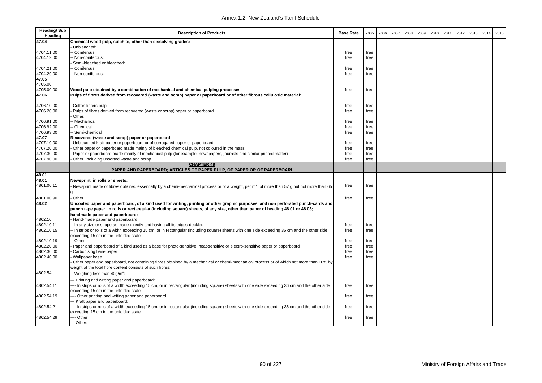| <b>Heading/Sub</b><br>Heading | <b>Description of Products</b>                                                                                                                  | <b>Base Rate</b> | 2005 | 2006 | 2007 | 2008 | 2009 | 2010 | 2011 | 2012 | 2013 | 2014 | 2015 |
|-------------------------------|-------------------------------------------------------------------------------------------------------------------------------------------------|------------------|------|------|------|------|------|------|------|------|------|------|------|
| 47.04                         | Chemical wood pulp, sulphite, other than dissolving grades:                                                                                     |                  |      |      |      |      |      |      |      |      |      |      |      |
|                               | Unbleached:                                                                                                                                     |                  |      |      |      |      |      |      |      |      |      |      |      |
| 4704.11.00                    | - Coniferous                                                                                                                                    | free             | free |      |      |      |      |      |      |      |      |      |      |
| 4704.19.00                    | Non-coniferous:                                                                                                                                 | free             | free |      |      |      |      |      |      |      |      |      |      |
|                               | Semi-bleached or bleached:                                                                                                                      |                  |      |      |      |      |      |      |      |      |      |      |      |
| 4704.21.00                    | Coniferous                                                                                                                                      | free             | free |      |      |      |      |      |      |      |      |      |      |
| 4704.29.00                    | - Non-coniferous:                                                                                                                               | free             | free |      |      |      |      |      |      |      |      |      |      |
| 47.05                         |                                                                                                                                                 |                  |      |      |      |      |      |      |      |      |      |      |      |
| 4705.00                       |                                                                                                                                                 |                  |      |      |      |      |      |      |      |      |      |      |      |
| 4705.00.00                    | Wood pulp obtained by a combination of mechanical and chemical pulping processes                                                                | free             | free |      |      |      |      |      |      |      |      |      |      |
| 47.06                         | Pulps of fibres derived from recovered (waste and scrap) paper or paperboard or of other fibrous cellulosic material:                           |                  |      |      |      |      |      |      |      |      |      |      |      |
| 4706.10.00                    | Cotton linters pulp                                                                                                                             | free             | free |      |      |      |      |      |      |      |      |      |      |
| 4706.20.00                    | Pulps of fibres derived from recovered (waste or scrap) paper or paperboard                                                                     | free             | free |      |      |      |      |      |      |      |      |      |      |
|                               | Other:                                                                                                                                          |                  |      |      |      |      |      |      |      |      |      |      |      |
| 4706.91.00                    | Mechanical                                                                                                                                      | free             | free |      |      |      |      |      |      |      |      |      |      |
| 4706.92.00                    | Chemical                                                                                                                                        | free             | free |      |      |      |      |      |      |      |      |      |      |
| 4706.93.00                    | - Semi-chemical                                                                                                                                 | free             | free |      |      |      |      |      |      |      |      |      |      |
| 47.07                         | Recovered (waste and scrap) paper or paperboard                                                                                                 |                  |      |      |      |      |      |      |      |      |      |      |      |
| 4707.10.00                    | Unbleached kraft paper or paperboard or of corrugated paper or paperboard                                                                       | free             | free |      |      |      |      |      |      |      |      |      |      |
| 4707.20.00                    | Other paper or paperboard made mainly of bleached chemical pulp, not coloured in the mass                                                       | free             | free |      |      |      |      |      |      |      |      |      |      |
| 4707.30.00                    | Paper or paperboard made mainly of mechanical pulp (for example, newspapers, journals and similar printed matter)                               | free             | free |      |      |      |      |      |      |      |      |      |      |
| 4707.90.00                    | Other, including unsorted waste and scrap                                                                                                       | free             | free |      |      |      |      |      |      |      |      |      |      |
|                               | <b>CHAPTER 48</b>                                                                                                                               |                  |      |      |      |      |      |      |      |      |      |      |      |
|                               | PAPER AND PAPERBOARD; ARTICLES OF PAPER PULP, OF PAPER OR OF PAPERBOARD                                                                         |                  |      |      |      |      |      |      |      |      |      |      |      |
| 48.01                         |                                                                                                                                                 |                  |      |      |      |      |      |      |      |      |      |      |      |
| 48.01                         | Newsprint, in rolls or sheets:                                                                                                                  |                  |      |      |      |      |      |      |      |      |      |      |      |
| 4801.00.11                    | Newsprint made of fibres obtained essentially by a chemi-mechanical process or of a weight, per $m^2$ , of more than 57 g but not more than 65  | free             | free |      |      |      |      |      |      |      |      |      |      |
|                               | q                                                                                                                                               |                  |      |      |      |      |      |      |      |      |      |      |      |
| 4801.00.90                    | Other                                                                                                                                           | free             | free |      |      |      |      |      |      |      |      |      |      |
| 48.02                         | Uncoated paper and paperboard, of a kind used for writing, printing or other graphic purposes, and non perforated punch-cards and               |                  |      |      |      |      |      |      |      |      |      |      |      |
|                               | punch tape paper, in rolls or rectangular (including square) sheets, of any size, other than paper of heading 48.01 or 48.03;                   |                  |      |      |      |      |      |      |      |      |      |      |      |
| 4802.10                       | handmade paper and paperboard:<br>Hand-made paper and paperboard                                                                                |                  |      |      |      |      |      |      |      |      |      |      |      |
| 4802.10.11                    | - In any size or shape as made directly and having all its edges deckled                                                                        | free             | free |      |      |      |      |      |      |      |      |      |      |
| 4802.10.15                    | - In strips or rolls of a width exceeding 15 cm, or in rectangular (including square) sheets with one side exceeding 36 cm and the other side   | free             | free |      |      |      |      |      |      |      |      |      |      |
|                               | exceeding 15 cm in the unfolded state                                                                                                           |                  |      |      |      |      |      |      |      |      |      |      |      |
| 4802.10.19                    | - Other                                                                                                                                         | free             | free |      |      |      |      |      |      |      |      |      |      |
| 4802.20.00                    | Paper and paperboard of a kind used as a base for photo-sensitive, heat-sensitive or electro-sensitive paper or paperboard                      | free             | free |      |      |      |      |      |      |      |      |      |      |
| 4802.30.00                    | Carbonising base paper                                                                                                                          | free             | free |      |      |      |      |      |      |      |      |      |      |
| 4802.40.00                    | Wallpaper base                                                                                                                                  | free             | free |      |      |      |      |      |      |      |      |      |      |
|                               | Other paper and paperboard, not containing fibres obtained by a mechanical or chemi-mechanical process or of which not more than 10% by         |                  |      |      |      |      |      |      |      |      |      |      |      |
|                               | weight of the total fibre content consists of such fibres:                                                                                      |                  |      |      |      |      |      |      |      |      |      |      |      |
| 4802.54                       | Weighing less than 40g/m <sup>2</sup> :                                                                                                         |                  |      |      |      |      |      |      |      |      |      |      |      |
|                               | -- Printing and writing paper and paperboard:                                                                                                   |                  |      |      |      |      |      |      |      |      |      |      |      |
| 4802.54.11                    | -- In strips or rolls of a width exceeding 15 cm, or in rectangular (including square) sheets with one side exceeding 36 cm and the other side  | free             | free |      |      |      |      |      |      |      |      |      |      |
|                               | exceeding 15 cm in the unfolded state                                                                                                           |                  |      |      |      |      |      |      |      |      |      |      |      |
| 4802.54.19                    | --- Other printing and writing paper and paperboard                                                                                             | free             | free |      |      |      |      |      |      |      |      |      |      |
|                               | -- Kraft paper and paperboard:                                                                                                                  |                  |      |      |      |      |      |      |      |      |      |      |      |
| 4802.54.21                    | --- In strips or rolls of a width exceeding 15 cm, or in rectangular (including square) sheets with one side exceeding 36 cm and the other side | free             | free |      |      |      |      |      |      |      |      |      |      |
|                               | exceeding 15 cm in the unfolded state                                                                                                           |                  |      |      |      |      |      |      |      |      |      |      |      |
| 4802.54.29                    | - Other                                                                                                                                         | free             | free |      |      |      |      |      |      |      |      |      |      |
|                               | Other:                                                                                                                                          |                  |      |      |      |      |      |      |      |      |      |      |      |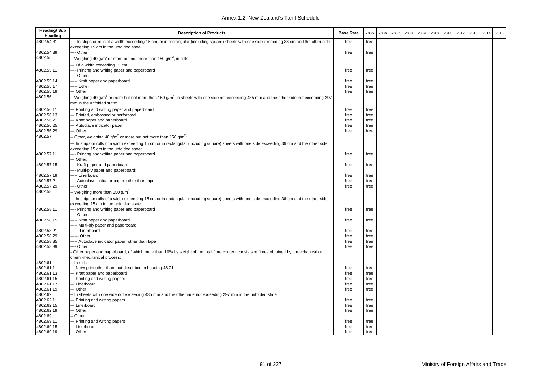| <b>Heading/Sub</b><br>Heading | <b>Description of Products</b>                                                                                                                                                                  | <b>Base Rate</b> | 2005         | 2006 | 2007 | 2008 | 2009 | 2010 | 2011 | 2012 | 2013 | 2014 | 2015 |
|-------------------------------|-------------------------------------------------------------------------------------------------------------------------------------------------------------------------------------------------|------------------|--------------|------|------|------|------|------|------|------|------|------|------|
| 4802.54.31                    | --- In strips or rolls of a width exceeding 15 cm, or in rectangular (including square) sheets with one side exceeding 36 cm and the other side                                                 | free             | free         |      |      |      |      |      |      |      |      |      |      |
|                               | exceeding 15 cm in the unfolded state                                                                                                                                                           |                  |              |      |      |      |      |      |      |      |      |      |      |
| 4802.54.39                    | --- Other                                                                                                                                                                                       | free             | free         |      |      |      |      |      |      |      |      |      |      |
| 4802.55                       | -- Weighing 40 g/m <sup>2</sup> or more but not more than 150 g/m <sup>2</sup> , in rolls:                                                                                                      |                  |              |      |      |      |      |      |      |      |      |      |      |
|                               | -- Of a width exceeding 15 cm:                                                                                                                                                                  |                  |              |      |      |      |      |      |      |      |      |      |      |
| 4802.55.11                    | --- Printing and writing paper and paperboard                                                                                                                                                   | free             | free         |      |      |      |      |      |      |      |      |      |      |
|                               | --- Other:                                                                                                                                                                                      |                  |              |      |      |      |      |      |      |      |      |      |      |
| 4802.55.14                    | ----- Kraft paper and paperboard                                                                                                                                                                | free             | free         |      |      |      |      |      |      |      |      |      |      |
| 4802.55.17<br>4802.55.19      | ---- Other<br>-- Other                                                                                                                                                                          | free<br>free     | free<br>free |      |      |      |      |      |      |      |      |      |      |
| 4802.56                       |                                                                                                                                                                                                 |                  |              |      |      |      |      |      |      |      |      |      |      |
|                               | -- Weighing 40 g/m <sup>2</sup> or more but not more than 150 g/m <sup>2</sup> , in sheets with one side not exceeding 435 mm and the other side not exceeding 297<br>mm in the unfolded state: |                  |              |      |      |      |      |      |      |      |      |      |      |
| 4802.56.11                    | --- Printing and writing paper and paperboard                                                                                                                                                   | free             | free         |      |      |      |      |      |      |      |      |      |      |
| 4802.56.13                    | --- Printed, embossed or perforated                                                                                                                                                             | free             | free         |      |      |      |      |      |      |      |      |      |      |
| 4802.56.21                    | --- Kraft paper and paperboard                                                                                                                                                                  | free             | free         |      |      |      |      |      |      |      |      |      |      |
| 4802.56.25                    | -- Autoclave indicator paper                                                                                                                                                                    | free             | free         |      |      |      |      |      |      |      |      |      |      |
| 4802.56.29                    | --- Other                                                                                                                                                                                       | free             | free         |      |      |      |      |      |      |      |      |      |      |
| 4802.57                       | - Other, weighing 40 g/m <sup>2</sup> or more but not more than 150 g/m <sup>2</sup> :                                                                                                          |                  |              |      |      |      |      |      |      |      |      |      |      |
|                               | -- In strips or rolls of a width exceeding 15 cm or in rectangular (including square) sheets with one side exceeding 36 cm and the other side<br>exceeding 15 cm in the unfolded state:         |                  |              |      |      |      |      |      |      |      |      |      |      |
| 4802.57.11                    | ---- Printing and writing paper and paperboard                                                                                                                                                  | free             | free         |      |      |      |      |      |      |      |      |      |      |
|                               | -- Other:                                                                                                                                                                                       |                  |              |      |      |      |      |      |      |      |      |      |      |
| 4802.57.15                    | --- Kraft paper and paperboard                                                                                                                                                                  | free             | free         |      |      |      |      |      |      |      |      |      |      |
|                               | ---- Multi-ply paper and paperboard:                                                                                                                                                            |                  |              |      |      |      |      |      |      |      |      |      |      |
| 4802.57.19                    | ---- Linerboard                                                                                                                                                                                 | free             | free         |      |      |      |      |      |      |      |      |      |      |
| 4802.57.21                    | ---- Autoclave indicator paper, other than tape                                                                                                                                                 | free             | free         |      |      |      |      |      |      |      |      |      |      |
| 4802.57.29                    | --- Other                                                                                                                                                                                       | free             | free         |      |      |      |      |      |      |      |      |      |      |
| 4802.58                       | - Weighing more than 150 g/m <sup>2</sup> :                                                                                                                                                     |                  |              |      |      |      |      |      |      |      |      |      |      |
|                               | -- In strips or rolls of a width exceeding 15 cm or in rectangular (including square) sheets with one side exceeding 36 cm and the other side<br>exceeding 15 cm in the unfolded state:         |                  |              |      |      |      |      |      |      |      |      |      |      |
| 4802.58.11                    | ---- Printing and writing paper and paperboard<br>--- Other:                                                                                                                                    | free             | free         |      |      |      |      |      |      |      |      |      |      |
| 4802.58.15                    | ----- Kraft paper and paperboard                                                                                                                                                                | free             | free         |      |      |      |      |      |      |      |      |      |      |
|                               | ----- Multi-ply paper and paperboard:                                                                                                                                                           |                  |              |      |      |      |      |      |      |      |      |      |      |
| 4802.58.21                    | ------ Linerboard                                                                                                                                                                               | free             | free         |      |      |      |      |      |      |      |      |      |      |
| 4802.58.29                    | ------ Other                                                                                                                                                                                    | free             | free         |      |      |      |      |      |      |      |      |      |      |
| 4802.58.35                    | ----- Autoclave indicator paper, other than tape                                                                                                                                                | free             | free         |      |      |      |      |      |      |      |      |      |      |
| 4802.58.39                    | --- Other                                                                                                                                                                                       | free             | free         |      |      |      |      |      |      |      |      |      |      |
|                               | Other paper and paperboard, of which more than 10% by weight of the total fibre content consists of fibres obtained by a mechanical or                                                          |                  |              |      |      |      |      |      |      |      |      |      |      |
|                               | chemi-mechanical process:                                                                                                                                                                       |                  |              |      |      |      |      |      |      |      |      |      |      |
| 4802.61                       | -- In rolls:                                                                                                                                                                                    |                  |              |      |      |      |      |      |      |      |      |      |      |
| 4802.61.11                    | --- Newsprint other than that described in heading 48.01                                                                                                                                        | free             | free         |      |      |      |      |      |      |      |      |      |      |
| 4802.61.13                    | --- Kraft paper and paperboard                                                                                                                                                                  | free             | free         |      |      |      |      |      |      |      |      |      |      |
| 4802.61.15                    | --- Printing and writing papers                                                                                                                                                                 | free             | free         |      |      |      |      |      |      |      |      |      |      |
| 4802.61.17                    | --- Linerboard                                                                                                                                                                                  | free             | free         |      |      |      |      |      |      |      |      |      |      |
| 4802.61.19                    | --- Other                                                                                                                                                                                       | free             | free         |      |      |      |      |      |      |      |      |      |      |
| 4802.62                       | - In sheets with one side not exceeding 435 mm and the other side not exceeding 297 mm in the unfolded state                                                                                    |                  |              |      |      |      |      |      |      |      |      |      |      |
| 4802.62.11<br>4802.62.15      | --- Printing and writing papers<br>--- Linerboard                                                                                                                                               | free             | free         |      |      |      |      |      |      |      |      |      |      |
| 4802.62.19                    | -- Other                                                                                                                                                                                        | free<br>free     | free<br>free |      |      |      |      |      |      |      |      |      |      |
| 4802.69                       | - Other:                                                                                                                                                                                        |                  |              |      |      |      |      |      |      |      |      |      |      |
| 4802.69.11                    | --- Printing and writing papers                                                                                                                                                                 | free             | free         |      |      |      |      |      |      |      |      |      |      |
| 4802.69.15                    | --- Linerboard                                                                                                                                                                                  | free             | free         |      |      |      |      |      |      |      |      |      |      |
| 4802.69.19                    | --- Other                                                                                                                                                                                       | free             | free         |      |      |      |      |      |      |      |      |      |      |
|                               |                                                                                                                                                                                                 |                  |              |      |      |      |      |      |      |      |      |      |      |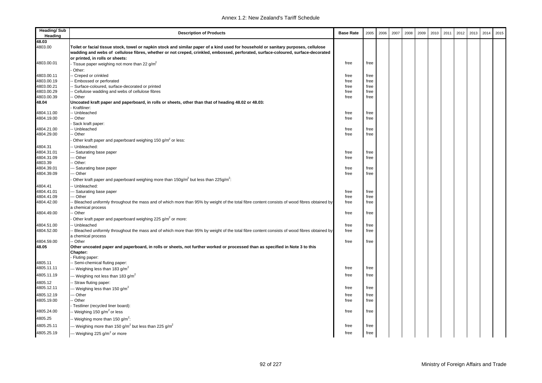| <b>Heading/Sub</b><br>Heading | <b>Description of Products</b>                                                                                                                                                                                                                                          | <b>Base Rate</b> | 2005         | 2006 | 2007 | 2008 | 2009 | 2010 | 2011 | 2012 | 2013 | 2014 | 2015 |
|-------------------------------|-------------------------------------------------------------------------------------------------------------------------------------------------------------------------------------------------------------------------------------------------------------------------|------------------|--------------|------|------|------|------|------|------|------|------|------|------|
| 48.03                         |                                                                                                                                                                                                                                                                         |                  |              |      |      |      |      |      |      |      |      |      |      |
| 4803.00                       | Toilet or facial tissue stock, towel or napkin stock and similar paper of a kind used for household or sanitary purposes, cellulose<br>wadding and webs of cellulose fibres, whether or not creped, crinkled, embossed, perforated, surface-coloured, surface-decorated |                  |              |      |      |      |      |      |      |      |      |      |      |
|                               | or printed, in rolls or sheets:                                                                                                                                                                                                                                         |                  |              |      |      |      |      |      |      |      |      |      |      |
| 4803.00.01                    | Tissue paper weighing not more than 22 g/m <sup>2</sup>                                                                                                                                                                                                                 | free             | free         |      |      |      |      |      |      |      |      |      |      |
|                               | Other:                                                                                                                                                                                                                                                                  |                  |              |      |      |      |      |      |      |      |      |      |      |
| 4803.00.11                    | - Creped or crinkled                                                                                                                                                                                                                                                    | free             | free         |      |      |      |      |      |      |      |      |      |      |
| 4803.00.19<br>4803.00.21      | Embossed or perforated                                                                                                                                                                                                                                                  | free             | free         |      |      |      |      |      |      |      |      |      |      |
| 4803.00.29                    | - Surface-coloured, surface-decorated or printed<br>Cellulose wadding and webs of cellulose fibres                                                                                                                                                                      | free<br>free     | free<br>free |      |      |      |      |      |      |      |      |      |      |
| 4803.00.39                    | - Other                                                                                                                                                                                                                                                                 | free             | free         |      |      |      |      |      |      |      |      |      |      |
| 48.04                         | Uncoated kraft paper and paperboard, in rolls or sheets, other than that of heading 48.02 or 48.03:<br>Kraftliner:                                                                                                                                                      |                  |              |      |      |      |      |      |      |      |      |      |      |
| 4804.11.00                    | - Unbleached                                                                                                                                                                                                                                                            | free             | free         |      |      |      |      |      |      |      |      |      |      |
| 4804.19.00                    | - Other                                                                                                                                                                                                                                                                 | free             | free         |      |      |      |      |      |      |      |      |      |      |
|                               | Sack kraft paper:                                                                                                                                                                                                                                                       |                  |              |      |      |      |      |      |      |      |      |      |      |
| 4804.21.00                    | Unbleached                                                                                                                                                                                                                                                              | free             | free         |      |      |      |      |      |      |      |      |      |      |
| 4804.29.00                    | Other                                                                                                                                                                                                                                                                   | free             | free         |      |      |      |      |      |      |      |      |      |      |
|                               | Other kraft paper and paperboard weighing 150 g/m <sup>2</sup> or less:                                                                                                                                                                                                 |                  |              |      |      |      |      |      |      |      |      |      |      |
| 4804.31                       | - Unbleached:                                                                                                                                                                                                                                                           |                  |              |      |      |      |      |      |      |      |      |      |      |
| 4804.31.01                    | - Saturating base paper                                                                                                                                                                                                                                                 | free             | free         |      |      |      |      |      |      |      |      |      |      |
| 4804.31.09                    | - Other                                                                                                                                                                                                                                                                 | free             | free         |      |      |      |      |      |      |      |      |      |      |
| 4803.39                       | Other:                                                                                                                                                                                                                                                                  |                  |              |      |      |      |      |      |      |      |      |      |      |
| 4804.39.01                    | - Saturating base paper                                                                                                                                                                                                                                                 | free             | free         |      |      |      |      |      |      |      |      |      |      |
| 4804.39.09                    | -- Other<br>Other kraft paper and paperboard weighing more than $150g/m^2$ but less than $225g/m^2$ .                                                                                                                                                                   | free             | free         |      |      |      |      |      |      |      |      |      |      |
|                               |                                                                                                                                                                                                                                                                         |                  |              |      |      |      |      |      |      |      |      |      |      |
| 4804.41                       | -- Unbleached:                                                                                                                                                                                                                                                          |                  |              |      |      |      |      |      |      |      |      |      |      |
| 4804.41.01<br>4804.41.09      | - Saturating base paper<br>- Other                                                                                                                                                                                                                                      | free<br>free     | free<br>free |      |      |      |      |      |      |      |      |      |      |
| 4804.42.00                    | - Bleached uniformly throughout the mass and of which more than 95% by weight of the total fibre content consists of wood fibres obtained by                                                                                                                            | free             | free         |      |      |      |      |      |      |      |      |      |      |
|                               | a chemical process                                                                                                                                                                                                                                                      |                  |              |      |      |      |      |      |      |      |      |      |      |
| 4804.49.00                    | - Other                                                                                                                                                                                                                                                                 | free             | free         |      |      |      |      |      |      |      |      |      |      |
|                               | Other kraft paper and paperboard weighing 225 g/m <sup>2</sup> or more:                                                                                                                                                                                                 |                  |              |      |      |      |      |      |      |      |      |      |      |
| 4804.51.00                    | - Unbleached                                                                                                                                                                                                                                                            | free             | free         |      |      |      |      |      |      |      |      |      |      |
| 4804.52.00                    | Bleached uniformly throughout the mass and of which more than 95% by weight of the total fibre content consists of wood fibres obtained by<br>a chemical process                                                                                                        | free             | free         |      |      |      |      |      |      |      |      |      |      |
| 4804.59.00                    | - Other                                                                                                                                                                                                                                                                 | free             | free         |      |      |      |      |      |      |      |      |      |      |
| 48.05                         | Other uncoated paper and paperboard, in rolls or sheets, not further worked or processed than as specified in Note 3 to this<br>Chapter:                                                                                                                                |                  |              |      |      |      |      |      |      |      |      |      |      |
|                               | Fluting paper:                                                                                                                                                                                                                                                          |                  |              |      |      |      |      |      |      |      |      |      |      |
| 4805.11                       | - Semi-chemical fluting paper:                                                                                                                                                                                                                                          |                  |              |      |      |      |      |      |      |      |      |      |      |
| 4805.11.11                    | -- Weighing less than 183 g/m <sup>2</sup>                                                                                                                                                                                                                              | free             | free         |      |      |      |      |      |      |      |      |      |      |
| 4805.11.19                    | -- Weighing not less than 183 g/m <sup>2</sup>                                                                                                                                                                                                                          | free             | free         |      |      |      |      |      |      |      |      |      |      |
| 4805.12                       | Straw fluting paper:                                                                                                                                                                                                                                                    |                  |              |      |      |      |      |      |      |      |      |      |      |
| 4805.12.11                    | - Weighing less than 150 g/m <sup>2</sup>                                                                                                                                                                                                                               | free             | free         |      |      |      |      |      |      |      |      |      |      |
| 4805.12.19                    | - Other                                                                                                                                                                                                                                                                 | free             | free         |      |      |      |      |      |      |      |      |      |      |
| 4805.19.00                    | · Other                                                                                                                                                                                                                                                                 | free             | free         |      |      |      |      |      |      |      |      |      |      |
|                               | Testliner (recycled liner board):                                                                                                                                                                                                                                       |                  |              |      |      |      |      |      |      |      |      |      |      |
| 4805.24.00                    | Weighing 150 g/m <sup>2</sup> or less                                                                                                                                                                                                                                   | free             | free         |      |      |      |      |      |      |      |      |      |      |
| 4805.25                       | - Weighing more than 150 g/m <sup>2</sup> :                                                                                                                                                                                                                             |                  |              |      |      |      |      |      |      |      |      |      |      |
| 4805.25.11                    | - Weighing more than 150 g/m <sup>2</sup> but less than 225 g/m <sup>2</sup>                                                                                                                                                                                            | free             | free         |      |      |      |      |      |      |      |      |      |      |
| 4805.25.19                    | -- Weighing 225 g/m <sup>2</sup> or more                                                                                                                                                                                                                                | free             | free         |      |      |      |      |      |      |      |      |      |      |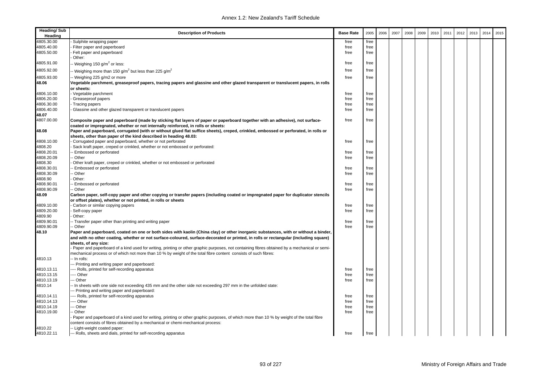| <b>Heading/Sub</b><br>Heading | <b>Description of Products</b>                                                                                                                                                                                                                                                                                                                                                                                                                      | <b>Base Rate</b> | 2005 | 2006 | 2007 | 2008 | 2009 | 2010 | 2011 | 2012 | 2013 | 2014 | 2015 |
|-------------------------------|-----------------------------------------------------------------------------------------------------------------------------------------------------------------------------------------------------------------------------------------------------------------------------------------------------------------------------------------------------------------------------------------------------------------------------------------------------|------------------|------|------|------|------|------|------|------|------|------|------|------|
| 4805.30.00                    | Sulphite wrapping paper                                                                                                                                                                                                                                                                                                                                                                                                                             | free             | free |      |      |      |      |      |      |      |      |      |      |
| 4805.40.00                    | Filter paper and paperboard                                                                                                                                                                                                                                                                                                                                                                                                                         | free             | free |      |      |      |      |      |      |      |      |      |      |
| 4805.50.00                    | Felt paper and paperboard                                                                                                                                                                                                                                                                                                                                                                                                                           | free             | free |      |      |      |      |      |      |      |      |      |      |
|                               | Other:                                                                                                                                                                                                                                                                                                                                                                                                                                              |                  |      |      |      |      |      |      |      |      |      |      |      |
| 4805.91.00                    | - Weighing 150 g/m <sup>2</sup> or less:                                                                                                                                                                                                                                                                                                                                                                                                            | free             | free |      |      |      |      |      |      |      |      |      |      |
| 4805.92.00                    | Weighing more than 150 g/m <sup>2</sup> but less than 225 g/m <sup>2</sup>                                                                                                                                                                                                                                                                                                                                                                          | free             | free |      |      |      |      |      |      |      |      |      |      |
| 4805.93.00                    | - Weighing 225 g/m2 or more                                                                                                                                                                                                                                                                                                                                                                                                                         | free             | free |      |      |      |      |      |      |      |      |      |      |
| 48.06                         | Vegetable parchment, greaseproof papers, tracing papers and glassine and other glazed transparent or translucent papers, in rolls<br>or sheets:                                                                                                                                                                                                                                                                                                     |                  |      |      |      |      |      |      |      |      |      |      |      |
| 4806.10.00                    | Vegetable parchment                                                                                                                                                                                                                                                                                                                                                                                                                                 | free             | free |      |      |      |      |      |      |      |      |      |      |
| 4806.20.00                    | Greaseproof papers                                                                                                                                                                                                                                                                                                                                                                                                                                  | free             | free |      |      |      |      |      |      |      |      |      |      |
| 4806.30.00                    | Tracing papers                                                                                                                                                                                                                                                                                                                                                                                                                                      | free             | free |      |      |      |      |      |      |      |      |      |      |
| 4806.40.00                    | Glassine and other glazed transparent or translucent papers                                                                                                                                                                                                                                                                                                                                                                                         | free             | free |      |      |      |      |      |      |      |      |      |      |
| 48.07                         |                                                                                                                                                                                                                                                                                                                                                                                                                                                     |                  |      |      |      |      |      |      |      |      |      |      |      |
| 4807.00.00                    | Composite paper and paperboard (made by sticking flat layers of paper or paperboard together with an adhesive), not surface-<br>coated or impregnated, whether or not internally reinforced, in rolls or sheets:                                                                                                                                                                                                                                    | free             | free |      |      |      |      |      |      |      |      |      |      |
| 48.08                         | Paper and paperboard, corrugated (with or without glued flat suffice sheets), creped, crinkled, embossed or perforated, in rolls or<br>sheets, other than paper of the kind described in heading 48.03:                                                                                                                                                                                                                                             |                  |      |      |      |      |      |      |      |      |      |      |      |
| 4808.10.00                    | Corrugated paper and paperboard, whether or not perforated                                                                                                                                                                                                                                                                                                                                                                                          | free             | free |      |      |      |      |      |      |      |      |      |      |
| 4808.20                       | Sack kraft paper, creped or crinkled, whether or not embossed or perforated:                                                                                                                                                                                                                                                                                                                                                                        |                  |      |      |      |      |      |      |      |      |      |      |      |
| 4808.20.01                    | Embossed or perforated                                                                                                                                                                                                                                                                                                                                                                                                                              | free             | free |      |      |      |      |      |      |      |      |      |      |
| 4808.20.09                    | · Other                                                                                                                                                                                                                                                                                                                                                                                                                                             | free             | free |      |      |      |      |      |      |      |      |      |      |
| 4808.30                       | Other kraft paper, creped or crinkled, whether or not embossed or perforated                                                                                                                                                                                                                                                                                                                                                                        |                  |      |      |      |      |      |      |      |      |      |      |      |
| 4808.30.01                    | Embossed or perforated                                                                                                                                                                                                                                                                                                                                                                                                                              | free             | free |      |      |      |      |      |      |      |      |      |      |
| 4808.30.09                    | Other                                                                                                                                                                                                                                                                                                                                                                                                                                               | free             | free |      |      |      |      |      |      |      |      |      |      |
| 4808.90                       | Other:                                                                                                                                                                                                                                                                                                                                                                                                                                              |                  |      |      |      |      |      |      |      |      |      |      |      |
| 4808.90.01                    | Embossed or perforated                                                                                                                                                                                                                                                                                                                                                                                                                              | free             | free |      |      |      |      |      |      |      |      |      |      |
| 4808.90.09                    | Other                                                                                                                                                                                                                                                                                                                                                                                                                                               | free             | free |      |      |      |      |      |      |      |      |      |      |
| 48.09                         | Carbon paper, self-copy paper and other copying or transfer papers (including coated or impregnated paper for duplicator stencils<br>or offset plates), whether or not printed, in rolls or sheets                                                                                                                                                                                                                                                  |                  |      |      |      |      |      |      |      |      |      |      |      |
| 4809.10.00                    | Carbon or similar copying papers                                                                                                                                                                                                                                                                                                                                                                                                                    | free             | free |      |      |      |      |      |      |      |      |      |      |
| 4809.20.00                    | Self-copy paper                                                                                                                                                                                                                                                                                                                                                                                                                                     | free             | free |      |      |      |      |      |      |      |      |      |      |
| 4809.90                       | Other:                                                                                                                                                                                                                                                                                                                                                                                                                                              |                  |      |      |      |      |      |      |      |      |      |      |      |
| 4809.90.01                    | Transfer paper other than printing and writing paper                                                                                                                                                                                                                                                                                                                                                                                                | free             | free |      |      |      |      |      |      |      |      |      |      |
| 4809.90.09                    | - Other                                                                                                                                                                                                                                                                                                                                                                                                                                             | free             | free |      |      |      |      |      |      |      |      |      |      |
| 48.10                         | Paper and paperboard, coated on one or both sides with kaolin (China clay) or other inorganic substances, with or without a binder,<br>and with no other coating, whether or not surface-coloured, surface-decorated or printed, in rolls or rectangular (including square)<br>sheets, of any size:<br>Paper and paperboard of a kind used for writing, printing or other graphic purposes, not containing fibres obtained by a mechanical or semi- |                  |      |      |      |      |      |      |      |      |      |      |      |
| 4810.13                       | mechanical process or of which not more than 10 % by weight of the total fibre content consists of such fibres:<br>- In rolls:                                                                                                                                                                                                                                                                                                                      |                  |      |      |      |      |      |      |      |      |      |      |      |
|                               | -- Printing and writing paper and paperboard:                                                                                                                                                                                                                                                                                                                                                                                                       |                  |      |      |      |      |      |      |      |      |      |      |      |
| 4810.13.11                    | --- Rolls, printed for self-recording apparatus                                                                                                                                                                                                                                                                                                                                                                                                     | free             | free |      |      |      |      |      |      |      |      |      |      |
| 4810.13.15                    | --- Other                                                                                                                                                                                                                                                                                                                                                                                                                                           | free             | free |      |      |      |      |      |      |      |      |      |      |
| 4810.13.19                    | -- Other                                                                                                                                                                                                                                                                                                                                                                                                                                            | free             | free |      |      |      |      |      |      |      |      |      |      |
| 4810.14                       | - In sheets with one side not exceeding 435 mm and the other side not exceeding 297 mm in the unfolded state:                                                                                                                                                                                                                                                                                                                                       |                  |      |      |      |      |      |      |      |      |      |      |      |
|                               | -- Printing and writing paper and paperboard:                                                                                                                                                                                                                                                                                                                                                                                                       |                  |      |      |      |      |      |      |      |      |      |      |      |
| 4810.14.11                    | --- Rolls, printed for self-recording apparatus                                                                                                                                                                                                                                                                                                                                                                                                     | free             | free |      |      |      |      |      |      |      |      |      |      |
| 4810.14.13                    | --- Other                                                                                                                                                                                                                                                                                                                                                                                                                                           | free             | free |      |      |      |      |      |      |      |      |      |      |
| 4810.14.19                    | -- Other                                                                                                                                                                                                                                                                                                                                                                                                                                            | free             | free |      |      |      |      |      |      |      |      |      |      |
| 4810.19.00                    | ⋅ Other                                                                                                                                                                                                                                                                                                                                                                                                                                             | free             | free |      |      |      |      |      |      |      |      |      |      |
|                               | Paper and paperboard of a kind used for writing, printing or other graphic purposes, of which more than 10 % by weight of the total fibre<br>content consists of fibres obtained by a mechanical or chemi-mechanical process:                                                                                                                                                                                                                       |                  |      |      |      |      |      |      |      |      |      |      |      |
| 4810.22                       | - Light-weight coated paper:                                                                                                                                                                                                                                                                                                                                                                                                                        |                  |      |      |      |      |      |      |      |      |      |      |      |
| 4810.22.11                    | --- Rolls, sheets and dials, printed for self-recording apparatus                                                                                                                                                                                                                                                                                                                                                                                   | free             | free |      |      |      |      |      |      |      |      |      |      |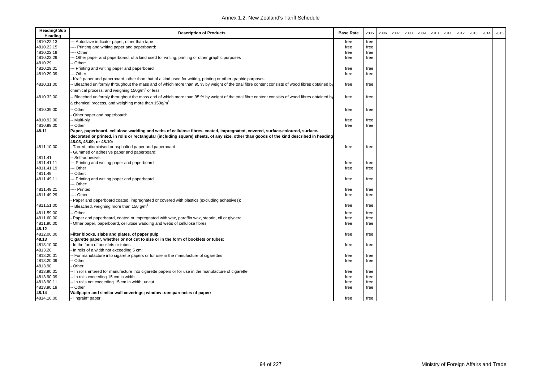| <b>Heading/Sub</b><br>Heading | <b>Description of Products</b>                                                                                                                                          | <b>Base Rate</b> | 2005         | 2006 | 2007 | 2008 | 2009 | 2010 | 2011 | 2012 | 2013 | 2014 | 2015 |
|-------------------------------|-------------------------------------------------------------------------------------------------------------------------------------------------------------------------|------------------|--------------|------|------|------|------|------|------|------|------|------|------|
| 4810.22.13                    | -- Autoclave indicator paper, other than tape                                                                                                                           | free             | free         |      |      |      |      |      |      |      |      |      |      |
| 4810.22.15                    | - Printing and writing paper and paperboard:                                                                                                                            | free             | free         |      |      |      |      |      |      |      |      |      |      |
| 4810.22.19                    | --- Other                                                                                                                                                               | free             | free         |      |      |      |      |      |      |      |      |      |      |
| 4810.22.29                    | -- Other paper and paperboard, of a kind used for writing, printing or other graphic purposes                                                                           | free             | free         |      |      |      |      |      |      |      |      |      |      |
| 4810.29                       | Other:                                                                                                                                                                  |                  |              |      |      |      |      |      |      |      |      |      |      |
| 4810.29.01                    | -- Printing and writing paper and paperboard                                                                                                                            | free             | free         |      |      |      |      |      |      |      |      |      |      |
| 4810.29.09                    | - Other                                                                                                                                                                 | free             | free         |      |      |      |      |      |      |      |      |      |      |
|                               | Kraft paper and paperboard, other than that of a kind used for writing, printing or other graphic purposes:                                                             |                  |              |      |      |      |      |      |      |      |      |      |      |
| 4810.31.00                    | Bleached uniformly throughout the mass and of which more than 95 % by weight of the total fibre content consists of wood fibres obtained by                             | free             | free         |      |      |      |      |      |      |      |      |      |      |
|                               | chemical process, and weighing 150g/m <sup>2</sup> or less                                                                                                              |                  |              |      |      |      |      |      |      |      |      |      |      |
| 4810.32.00                    | Bleached uniformly throughout the mass and of which more than 95 % by weight of the total fibre content consists of wood fibres obtained by                             | free             | free         |      |      |      |      |      |      |      |      |      |      |
|                               | a chemical process, and weighing more than 150g/m <sup>2</sup>                                                                                                          |                  |              |      |      |      |      |      |      |      |      |      |      |
| 4810.39.00                    | Other                                                                                                                                                                   | free             | free         |      |      |      |      |      |      |      |      |      |      |
|                               | Other paper and paperboard:                                                                                                                                             |                  |              |      |      |      |      |      |      |      |      |      |      |
| 4810.92.00                    | - Multi-ply                                                                                                                                                             | free             | free         |      |      |      |      |      |      |      |      |      |      |
| 4810.99.00                    | - Other                                                                                                                                                                 | free             | free         |      |      |      |      |      |      |      |      |      |      |
| 48.11                         | Paper, paperboard, cellulose wadding and webs of cellulose fibres, coated, impregnated, covered, surface-coloured, surface-                                             |                  |              |      |      |      |      |      |      |      |      |      |      |
|                               | decorated or printed, in rolls or rectangular (including square) sheets, of any size, other than goods of the kind described in heading                                 |                  |              |      |      |      |      |      |      |      |      |      |      |
|                               | 48.03. 48.09. or 48.10:                                                                                                                                                 |                  |              |      |      |      |      |      |      |      |      |      |      |
| 4811.10.00                    | Tarred, bituminised or asphalted paper and paperboard                                                                                                                   | free             | free         |      |      |      |      |      |      |      |      |      |      |
|                               | Gummed or adhesive paper and paperboard:                                                                                                                                |                  |              |      |      |      |      |      |      |      |      |      |      |
| 4811.41                       | Self-adhesive:                                                                                                                                                          |                  |              |      |      |      |      |      |      |      |      |      |      |
| 4811.41.11<br>4811.41.19      | - Printing and writing paper and paperboard                                                                                                                             | free             | free         |      |      |      |      |      |      |      |      |      |      |
| 4811.49                       | - Other<br>Other:                                                                                                                                                       | free             | free         |      |      |      |      |      |      |      |      |      |      |
| 4811.49.11                    | - Printing and writing paper and paperboard                                                                                                                             | free             | free         |      |      |      |      |      |      |      |      |      |      |
|                               | -- Other:                                                                                                                                                               |                  |              |      |      |      |      |      |      |      |      |      |      |
| 4811.49.21                    | ---- Printed                                                                                                                                                            | free             | free         |      |      |      |      |      |      |      |      |      |      |
| 4811.49.29                    | --- Other                                                                                                                                                               | free             | free         |      |      |      |      |      |      |      |      |      |      |
|                               | Paper and paperboard coated, impregnated or covered with plastics (excluding adhesives):                                                                                |                  |              |      |      |      |      |      |      |      |      |      |      |
| 4811.51.00                    | Bleached, weighing more than 150 g/m <sup>2</sup>                                                                                                                       | free             | free         |      |      |      |      |      |      |      |      |      |      |
|                               | Other                                                                                                                                                                   |                  |              |      |      |      |      |      |      |      |      |      |      |
| 4811.59.00<br>4811.60.00      |                                                                                                                                                                         | free             | free         |      |      |      |      |      |      |      |      |      |      |
| 4811.90.00                    | Paper and paperboard, coated or impregnated with wax, paraffin wax, stearin, oil or glycerol<br>Other paper, paperboard, cellulose wadding and webs of cellulose fibres | free<br>free     | free<br>free |      |      |      |      |      |      |      |      |      |      |
| 48.12                         |                                                                                                                                                                         |                  |              |      |      |      |      |      |      |      |      |      |      |
| 4812.00.00                    | Filter blocks, slabs and plates, of paper pulp                                                                                                                          | free             | free         |      |      |      |      |      |      |      |      |      |      |
| 48.13                         | Cigarette paper, whether or not cut to size or in the form of booklets or tubes:                                                                                        |                  |              |      |      |      |      |      |      |      |      |      |      |
| 4813.10.00                    | In the form of booklets or tubes                                                                                                                                        | free             | free         |      |      |      |      |      |      |      |      |      |      |
| 4813.20                       | In rolls of a width not exceeding 5 cm:                                                                                                                                 |                  |              |      |      |      |      |      |      |      |      |      |      |
| 4813.20.01                    | - For manufacture into cigarette papers or for use in the manufacture of cigarettes                                                                                     | free             | free         |      |      |      |      |      |      |      |      |      |      |
| 4813.20.09                    | - Other                                                                                                                                                                 | free             | free         |      |      |      |      |      |      |      |      |      |      |
| 4813.90                       | Other:                                                                                                                                                                  |                  |              |      |      |      |      |      |      |      |      |      |      |
| 4813.90.01                    | - In rolls entered for manufacture into cigarette papers or for use in the manufacture of cigarette                                                                     | free             | free         |      |      |      |      |      |      |      |      |      |      |
| 4813.90.09                    | - In rolls exceeding 15 cm in width                                                                                                                                     | free             | free         |      |      |      |      |      |      |      |      |      |      |
| 4813.90.11                    | - In rolls not exceeding 15 cm in width, uncut                                                                                                                          | free             | free         |      |      |      |      |      |      |      |      |      |      |
| 4813.90.19                    | ⋅ Other                                                                                                                                                                 | free             | free         |      |      |      |      |      |      |      |      |      |      |
| 48.14                         | Wallpaper and similar wall coverings; window transparencies of paper:                                                                                                   |                  |              |      |      |      |      |      |      |      |      |      |      |
| 4814.10.00                    | - "Ingrain" paper                                                                                                                                                       | free             | free         |      |      |      |      |      |      |      |      |      |      |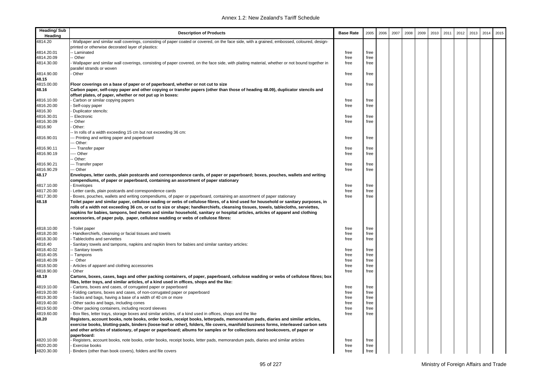| 4814.20<br>Wallpaper and similar wall coverings, consisting of paper coated or covered, on the face side, with a grained, embossed, coloured, design-<br>printed or otherwise decorated layer of plastics:<br>4814.20.01<br>- Laminated<br>free<br>free<br>4814.20.09<br>Other<br>free<br>free<br>4814.30.00<br>Wallpaper and similar wall coverings, consisting of paper covered, on the face side, with plaiting material, whether or not bound together in<br>free<br>free<br>parallel strands or woven<br>4814.90.00<br>Other<br>free<br>free<br>48.15<br>4815.00.00<br>Floor coverings on a base of paper or of paperboard, whether or not cut to size<br>free<br>free<br>48.16<br>Carbon paper, self-copy paper and other copying or transfer papers (other than those of heading 48.09), duplicator stencils and<br>offset plates, of paper, whether or not put up in boxes:<br>4816.10.00<br>Carbon or similar copying papers<br>free<br>free<br>4816.20.00<br>Self-copy paper<br>free<br>free<br>4816.30<br>Duplicator stencils:<br>4816.30.01<br><b>Electronic</b><br>free<br>free<br>4816.30.09<br>Other<br>free<br>free<br>4816.90<br>Other:<br>- In rolls of a width exceeding 15 cm but not exceeding 36 cm:<br>4816.90.01<br>-- Printing and writing paper and paperboard<br>free<br>free<br>-- Other:<br>4816.90.11<br>--- Transfer paper<br>free<br>free<br>4816.90.19<br>--- Other<br>free<br>free<br>Other:<br>4816.90.21<br>-- Transfer paper<br>free<br>free<br>4816.90.29<br>-- Other<br>free<br>free<br>48.17<br>Envelopes, letter cards, plain postcards and correspondence cards, of paper or paperboard; boxes, pouches, wallets and writing<br>compendiums, of paper or paperboard, containing an assortment of paper stationary<br>4817.10.00<br>Envelopes<br>free<br>free<br>4817.20.00<br>free<br>Letter cards, plain postcards and correspondence cards<br>free<br>4817.30.00<br>Boxes, pouches, wallets and writing compendiums, of paper or paperboard, containing an assortment of paper stationary<br>free<br>free<br>48.18<br>Toilet paper and similar paper, cellulose wading or webs of cellulose fibres, of a kind used for household or sanitary purposes, in<br>rolls of a width not exceeding 36 cm, or cut to size or shape; handkerchiefs, cleansing tissues, towels, tablecloths, serviettes,<br>napkins for babies, tampons, bed sheets and similar household, sanitary or hospital articles, articles of apparel and clothing<br>accessories, of paper pulp, paper, cellulose wadding or webs of cellulose fibres:<br>4818.10.00<br>Toilet paper<br>free<br>free<br>4818.20.00<br>Handkerchiefs, cleansing or facial tissues and towels<br>free<br>free<br>4818.30.00<br>Tablecloths and serviettes<br>free<br>free<br>4818.40<br>Sanitary towels and tampons, napkins and napkin liners for babies and similar sanitary articles:<br>4818.40.02<br>Sanitary towels<br>free<br>free<br>4818.40.05<br>- Tampons<br>free<br>free<br>4818.40.09<br>- Other<br>free<br>free<br>4818.50.00<br>Articles of apparel and clothing accessories<br>free<br>free<br>4818.90.00<br>Other<br>free<br>free<br>48.19<br>Cartons, boxes, cases, bags and other packing containers, of paper, paperboard, cellulose wadding or webs of cellulose fibres; box<br>files, letter trays, and similar articles, of a kind used in offices, shops and the like:<br>4819.10.00<br>Cartons, boxes and cases, of corrugated paper or paperboard<br>free<br>free<br>4819.20.00<br>Folding cartons, boxes and cases, of non-corrugated paper or paperboard<br>free<br>free<br>4819.30.00<br>free<br>Sacks and bags, having a base of a width of 40 cm or more<br>free<br>4819.40.00<br>Other sacks and bags, including cones<br>free<br>free<br>4819.50.00<br>Other packing containers, including record sleeves<br>free<br>free<br>4819.60.00<br>Box files, letter trays, storage boxes and similar articles, of a kind used in offices, shops and the like<br>free<br>free<br>48.20<br>Registers, account books, note books, order books, receipt books, letterpads, memorandum pads, diaries and similar articles,<br>exercise books, blotting-pads, binders (loose-leaf or other), folders, file covers, manifold business forms, interleaved carbon sets<br>and other articles of stationary, of paper or paperboard; albums for samples or for collections and bookcovers, of paper or<br>paperboard:<br>4820.10.00<br>Registers, account books, note books, order books, receipt books, letter pads, memorandum pads, diaries and similar articles<br>free<br>free<br>free<br>free<br>Exercise books<br>Binders (other than book covers), folders and file covers<br>free<br>free | <b>Heading/Sub</b><br>Heading | <b>Description of Products</b> | <b>Base Rate</b> | 2005 | 2006 | 2007 | 2008 | 2009 | 2010 | 2011 | 2012 | 2013 | 2014 | 2015 |
|-------------------------------------------------------------------------------------------------------------------------------------------------------------------------------------------------------------------------------------------------------------------------------------------------------------------------------------------------------------------------------------------------------------------------------------------------------------------------------------------------------------------------------------------------------------------------------------------------------------------------------------------------------------------------------------------------------------------------------------------------------------------------------------------------------------------------------------------------------------------------------------------------------------------------------------------------------------------------------------------------------------------------------------------------------------------------------------------------------------------------------------------------------------------------------------------------------------------------------------------------------------------------------------------------------------------------------------------------------------------------------------------------------------------------------------------------------------------------------------------------------------------------------------------------------------------------------------------------------------------------------------------------------------------------------------------------------------------------------------------------------------------------------------------------------------------------------------------------------------------------------------------------------------------------------------------------------------------------------------------------------------------------------------------------------------------------------------------------------------------------------------------------------------------------------------------------------------------------------------------------------------------------------------------------------------------------------------------------------------------------------------------------------------------------------------------------------------------------------------------------------------------------------------------------------------------------------------------------------------------------------------------------------------------------------------------------------------------------------------------------------------------------------------------------------------------------------------------------------------------------------------------------------------------------------------------------------------------------------------------------------------------------------------------------------------------------------------------------------------------------------------------------------------------------------------------------------------------------------------------------------------------------------------------------------------------------------------------------------------------------------------------------------------------------------------------------------------------------------------------------------------------------------------------------------------------------------------------------------------------------------------------------------------------------------------------------------------------------------------------------------------------------------------------------------------------------------------------------------------------------------------------------------------------------------------------------------------------------------------------------------------------------------------------------------------------------------------------------------------------------------------------------------------------------------------------------------------------------------------------------------------------------------------------------------------------------------------------------------------------------------------------------------------------------------------------------------------------------------------------------------------------------------------------------------------------------------------------------------------------------------------------------------------------------------------------------------------|-------------------------------|--------------------------------|------------------|------|------|------|------|------|------|------|------|------|------|------|
|                                                                                                                                                                                                                                                                                                                                                                                                                                                                                                                                                                                                                                                                                                                                                                                                                                                                                                                                                                                                                                                                                                                                                                                                                                                                                                                                                                                                                                                                                                                                                                                                                                                                                                                                                                                                                                                                                                                                                                                                                                                                                                                                                                                                                                                                                                                                                                                                                                                                                                                                                                                                                                                                                                                                                                                                                                                                                                                                                                                                                                                                                                                                                                                                                                                                                                                                                                                                                                                                                                                                                                                                                                                                                                                                                                                                                                                                                                                                                                                                                                                                                                                                                                                                                                                                                                                                                                                                                                                                                                                                                                                                                                                                                                             |                               |                                |                  |      |      |      |      |      |      |      |      |      |      |      |
|                                                                                                                                                                                                                                                                                                                                                                                                                                                                                                                                                                                                                                                                                                                                                                                                                                                                                                                                                                                                                                                                                                                                                                                                                                                                                                                                                                                                                                                                                                                                                                                                                                                                                                                                                                                                                                                                                                                                                                                                                                                                                                                                                                                                                                                                                                                                                                                                                                                                                                                                                                                                                                                                                                                                                                                                                                                                                                                                                                                                                                                                                                                                                                                                                                                                                                                                                                                                                                                                                                                                                                                                                                                                                                                                                                                                                                                                                                                                                                                                                                                                                                                                                                                                                                                                                                                                                                                                                                                                                                                                                                                                                                                                                                             |                               |                                |                  |      |      |      |      |      |      |      |      |      |      |      |
|                                                                                                                                                                                                                                                                                                                                                                                                                                                                                                                                                                                                                                                                                                                                                                                                                                                                                                                                                                                                                                                                                                                                                                                                                                                                                                                                                                                                                                                                                                                                                                                                                                                                                                                                                                                                                                                                                                                                                                                                                                                                                                                                                                                                                                                                                                                                                                                                                                                                                                                                                                                                                                                                                                                                                                                                                                                                                                                                                                                                                                                                                                                                                                                                                                                                                                                                                                                                                                                                                                                                                                                                                                                                                                                                                                                                                                                                                                                                                                                                                                                                                                                                                                                                                                                                                                                                                                                                                                                                                                                                                                                                                                                                                                             |                               |                                |                  |      |      |      |      |      |      |      |      |      |      |      |
|                                                                                                                                                                                                                                                                                                                                                                                                                                                                                                                                                                                                                                                                                                                                                                                                                                                                                                                                                                                                                                                                                                                                                                                                                                                                                                                                                                                                                                                                                                                                                                                                                                                                                                                                                                                                                                                                                                                                                                                                                                                                                                                                                                                                                                                                                                                                                                                                                                                                                                                                                                                                                                                                                                                                                                                                                                                                                                                                                                                                                                                                                                                                                                                                                                                                                                                                                                                                                                                                                                                                                                                                                                                                                                                                                                                                                                                                                                                                                                                                                                                                                                                                                                                                                                                                                                                                                                                                                                                                                                                                                                                                                                                                                                             |                               |                                |                  |      |      |      |      |      |      |      |      |      |      |      |
|                                                                                                                                                                                                                                                                                                                                                                                                                                                                                                                                                                                                                                                                                                                                                                                                                                                                                                                                                                                                                                                                                                                                                                                                                                                                                                                                                                                                                                                                                                                                                                                                                                                                                                                                                                                                                                                                                                                                                                                                                                                                                                                                                                                                                                                                                                                                                                                                                                                                                                                                                                                                                                                                                                                                                                                                                                                                                                                                                                                                                                                                                                                                                                                                                                                                                                                                                                                                                                                                                                                                                                                                                                                                                                                                                                                                                                                                                                                                                                                                                                                                                                                                                                                                                                                                                                                                                                                                                                                                                                                                                                                                                                                                                                             |                               |                                |                  |      |      |      |      |      |      |      |      |      |      |      |
|                                                                                                                                                                                                                                                                                                                                                                                                                                                                                                                                                                                                                                                                                                                                                                                                                                                                                                                                                                                                                                                                                                                                                                                                                                                                                                                                                                                                                                                                                                                                                                                                                                                                                                                                                                                                                                                                                                                                                                                                                                                                                                                                                                                                                                                                                                                                                                                                                                                                                                                                                                                                                                                                                                                                                                                                                                                                                                                                                                                                                                                                                                                                                                                                                                                                                                                                                                                                                                                                                                                                                                                                                                                                                                                                                                                                                                                                                                                                                                                                                                                                                                                                                                                                                                                                                                                                                                                                                                                                                                                                                                                                                                                                                                             |                               |                                |                  |      |      |      |      |      |      |      |      |      |      |      |
|                                                                                                                                                                                                                                                                                                                                                                                                                                                                                                                                                                                                                                                                                                                                                                                                                                                                                                                                                                                                                                                                                                                                                                                                                                                                                                                                                                                                                                                                                                                                                                                                                                                                                                                                                                                                                                                                                                                                                                                                                                                                                                                                                                                                                                                                                                                                                                                                                                                                                                                                                                                                                                                                                                                                                                                                                                                                                                                                                                                                                                                                                                                                                                                                                                                                                                                                                                                                                                                                                                                                                                                                                                                                                                                                                                                                                                                                                                                                                                                                                                                                                                                                                                                                                                                                                                                                                                                                                                                                                                                                                                                                                                                                                                             |                               |                                |                  |      |      |      |      |      |      |      |      |      |      |      |
|                                                                                                                                                                                                                                                                                                                                                                                                                                                                                                                                                                                                                                                                                                                                                                                                                                                                                                                                                                                                                                                                                                                                                                                                                                                                                                                                                                                                                                                                                                                                                                                                                                                                                                                                                                                                                                                                                                                                                                                                                                                                                                                                                                                                                                                                                                                                                                                                                                                                                                                                                                                                                                                                                                                                                                                                                                                                                                                                                                                                                                                                                                                                                                                                                                                                                                                                                                                                                                                                                                                                                                                                                                                                                                                                                                                                                                                                                                                                                                                                                                                                                                                                                                                                                                                                                                                                                                                                                                                                                                                                                                                                                                                                                                             |                               |                                |                  |      |      |      |      |      |      |      |      |      |      |      |
|                                                                                                                                                                                                                                                                                                                                                                                                                                                                                                                                                                                                                                                                                                                                                                                                                                                                                                                                                                                                                                                                                                                                                                                                                                                                                                                                                                                                                                                                                                                                                                                                                                                                                                                                                                                                                                                                                                                                                                                                                                                                                                                                                                                                                                                                                                                                                                                                                                                                                                                                                                                                                                                                                                                                                                                                                                                                                                                                                                                                                                                                                                                                                                                                                                                                                                                                                                                                                                                                                                                                                                                                                                                                                                                                                                                                                                                                                                                                                                                                                                                                                                                                                                                                                                                                                                                                                                                                                                                                                                                                                                                                                                                                                                             |                               |                                |                  |      |      |      |      |      |      |      |      |      |      |      |
|                                                                                                                                                                                                                                                                                                                                                                                                                                                                                                                                                                                                                                                                                                                                                                                                                                                                                                                                                                                                                                                                                                                                                                                                                                                                                                                                                                                                                                                                                                                                                                                                                                                                                                                                                                                                                                                                                                                                                                                                                                                                                                                                                                                                                                                                                                                                                                                                                                                                                                                                                                                                                                                                                                                                                                                                                                                                                                                                                                                                                                                                                                                                                                                                                                                                                                                                                                                                                                                                                                                                                                                                                                                                                                                                                                                                                                                                                                                                                                                                                                                                                                                                                                                                                                                                                                                                                                                                                                                                                                                                                                                                                                                                                                             |                               |                                |                  |      |      |      |      |      |      |      |      |      |      |      |
|                                                                                                                                                                                                                                                                                                                                                                                                                                                                                                                                                                                                                                                                                                                                                                                                                                                                                                                                                                                                                                                                                                                                                                                                                                                                                                                                                                                                                                                                                                                                                                                                                                                                                                                                                                                                                                                                                                                                                                                                                                                                                                                                                                                                                                                                                                                                                                                                                                                                                                                                                                                                                                                                                                                                                                                                                                                                                                                                                                                                                                                                                                                                                                                                                                                                                                                                                                                                                                                                                                                                                                                                                                                                                                                                                                                                                                                                                                                                                                                                                                                                                                                                                                                                                                                                                                                                                                                                                                                                                                                                                                                                                                                                                                             |                               |                                |                  |      |      |      |      |      |      |      |      |      |      |      |
|                                                                                                                                                                                                                                                                                                                                                                                                                                                                                                                                                                                                                                                                                                                                                                                                                                                                                                                                                                                                                                                                                                                                                                                                                                                                                                                                                                                                                                                                                                                                                                                                                                                                                                                                                                                                                                                                                                                                                                                                                                                                                                                                                                                                                                                                                                                                                                                                                                                                                                                                                                                                                                                                                                                                                                                                                                                                                                                                                                                                                                                                                                                                                                                                                                                                                                                                                                                                                                                                                                                                                                                                                                                                                                                                                                                                                                                                                                                                                                                                                                                                                                                                                                                                                                                                                                                                                                                                                                                                                                                                                                                                                                                                                                             |                               |                                |                  |      |      |      |      |      |      |      |      |      |      |      |
|                                                                                                                                                                                                                                                                                                                                                                                                                                                                                                                                                                                                                                                                                                                                                                                                                                                                                                                                                                                                                                                                                                                                                                                                                                                                                                                                                                                                                                                                                                                                                                                                                                                                                                                                                                                                                                                                                                                                                                                                                                                                                                                                                                                                                                                                                                                                                                                                                                                                                                                                                                                                                                                                                                                                                                                                                                                                                                                                                                                                                                                                                                                                                                                                                                                                                                                                                                                                                                                                                                                                                                                                                                                                                                                                                                                                                                                                                                                                                                                                                                                                                                                                                                                                                                                                                                                                                                                                                                                                                                                                                                                                                                                                                                             |                               |                                |                  |      |      |      |      |      |      |      |      |      |      |      |
|                                                                                                                                                                                                                                                                                                                                                                                                                                                                                                                                                                                                                                                                                                                                                                                                                                                                                                                                                                                                                                                                                                                                                                                                                                                                                                                                                                                                                                                                                                                                                                                                                                                                                                                                                                                                                                                                                                                                                                                                                                                                                                                                                                                                                                                                                                                                                                                                                                                                                                                                                                                                                                                                                                                                                                                                                                                                                                                                                                                                                                                                                                                                                                                                                                                                                                                                                                                                                                                                                                                                                                                                                                                                                                                                                                                                                                                                                                                                                                                                                                                                                                                                                                                                                                                                                                                                                                                                                                                                                                                                                                                                                                                                                                             |                               |                                |                  |      |      |      |      |      |      |      |      |      |      |      |
|                                                                                                                                                                                                                                                                                                                                                                                                                                                                                                                                                                                                                                                                                                                                                                                                                                                                                                                                                                                                                                                                                                                                                                                                                                                                                                                                                                                                                                                                                                                                                                                                                                                                                                                                                                                                                                                                                                                                                                                                                                                                                                                                                                                                                                                                                                                                                                                                                                                                                                                                                                                                                                                                                                                                                                                                                                                                                                                                                                                                                                                                                                                                                                                                                                                                                                                                                                                                                                                                                                                                                                                                                                                                                                                                                                                                                                                                                                                                                                                                                                                                                                                                                                                                                                                                                                                                                                                                                                                                                                                                                                                                                                                                                                             |                               |                                |                  |      |      |      |      |      |      |      |      |      |      |      |
|                                                                                                                                                                                                                                                                                                                                                                                                                                                                                                                                                                                                                                                                                                                                                                                                                                                                                                                                                                                                                                                                                                                                                                                                                                                                                                                                                                                                                                                                                                                                                                                                                                                                                                                                                                                                                                                                                                                                                                                                                                                                                                                                                                                                                                                                                                                                                                                                                                                                                                                                                                                                                                                                                                                                                                                                                                                                                                                                                                                                                                                                                                                                                                                                                                                                                                                                                                                                                                                                                                                                                                                                                                                                                                                                                                                                                                                                                                                                                                                                                                                                                                                                                                                                                                                                                                                                                                                                                                                                                                                                                                                                                                                                                                             |                               |                                |                  |      |      |      |      |      |      |      |      |      |      |      |
|                                                                                                                                                                                                                                                                                                                                                                                                                                                                                                                                                                                                                                                                                                                                                                                                                                                                                                                                                                                                                                                                                                                                                                                                                                                                                                                                                                                                                                                                                                                                                                                                                                                                                                                                                                                                                                                                                                                                                                                                                                                                                                                                                                                                                                                                                                                                                                                                                                                                                                                                                                                                                                                                                                                                                                                                                                                                                                                                                                                                                                                                                                                                                                                                                                                                                                                                                                                                                                                                                                                                                                                                                                                                                                                                                                                                                                                                                                                                                                                                                                                                                                                                                                                                                                                                                                                                                                                                                                                                                                                                                                                                                                                                                                             |                               |                                |                  |      |      |      |      |      |      |      |      |      |      |      |
|                                                                                                                                                                                                                                                                                                                                                                                                                                                                                                                                                                                                                                                                                                                                                                                                                                                                                                                                                                                                                                                                                                                                                                                                                                                                                                                                                                                                                                                                                                                                                                                                                                                                                                                                                                                                                                                                                                                                                                                                                                                                                                                                                                                                                                                                                                                                                                                                                                                                                                                                                                                                                                                                                                                                                                                                                                                                                                                                                                                                                                                                                                                                                                                                                                                                                                                                                                                                                                                                                                                                                                                                                                                                                                                                                                                                                                                                                                                                                                                                                                                                                                                                                                                                                                                                                                                                                                                                                                                                                                                                                                                                                                                                                                             |                               |                                |                  |      |      |      |      |      |      |      |      |      |      |      |
|                                                                                                                                                                                                                                                                                                                                                                                                                                                                                                                                                                                                                                                                                                                                                                                                                                                                                                                                                                                                                                                                                                                                                                                                                                                                                                                                                                                                                                                                                                                                                                                                                                                                                                                                                                                                                                                                                                                                                                                                                                                                                                                                                                                                                                                                                                                                                                                                                                                                                                                                                                                                                                                                                                                                                                                                                                                                                                                                                                                                                                                                                                                                                                                                                                                                                                                                                                                                                                                                                                                                                                                                                                                                                                                                                                                                                                                                                                                                                                                                                                                                                                                                                                                                                                                                                                                                                                                                                                                                                                                                                                                                                                                                                                             |                               |                                |                  |      |      |      |      |      |      |      |      |      |      |      |
|                                                                                                                                                                                                                                                                                                                                                                                                                                                                                                                                                                                                                                                                                                                                                                                                                                                                                                                                                                                                                                                                                                                                                                                                                                                                                                                                                                                                                                                                                                                                                                                                                                                                                                                                                                                                                                                                                                                                                                                                                                                                                                                                                                                                                                                                                                                                                                                                                                                                                                                                                                                                                                                                                                                                                                                                                                                                                                                                                                                                                                                                                                                                                                                                                                                                                                                                                                                                                                                                                                                                                                                                                                                                                                                                                                                                                                                                                                                                                                                                                                                                                                                                                                                                                                                                                                                                                                                                                                                                                                                                                                                                                                                                                                             |                               |                                |                  |      |      |      |      |      |      |      |      |      |      |      |
|                                                                                                                                                                                                                                                                                                                                                                                                                                                                                                                                                                                                                                                                                                                                                                                                                                                                                                                                                                                                                                                                                                                                                                                                                                                                                                                                                                                                                                                                                                                                                                                                                                                                                                                                                                                                                                                                                                                                                                                                                                                                                                                                                                                                                                                                                                                                                                                                                                                                                                                                                                                                                                                                                                                                                                                                                                                                                                                                                                                                                                                                                                                                                                                                                                                                                                                                                                                                                                                                                                                                                                                                                                                                                                                                                                                                                                                                                                                                                                                                                                                                                                                                                                                                                                                                                                                                                                                                                                                                                                                                                                                                                                                                                                             |                               |                                |                  |      |      |      |      |      |      |      |      |      |      |      |
|                                                                                                                                                                                                                                                                                                                                                                                                                                                                                                                                                                                                                                                                                                                                                                                                                                                                                                                                                                                                                                                                                                                                                                                                                                                                                                                                                                                                                                                                                                                                                                                                                                                                                                                                                                                                                                                                                                                                                                                                                                                                                                                                                                                                                                                                                                                                                                                                                                                                                                                                                                                                                                                                                                                                                                                                                                                                                                                                                                                                                                                                                                                                                                                                                                                                                                                                                                                                                                                                                                                                                                                                                                                                                                                                                                                                                                                                                                                                                                                                                                                                                                                                                                                                                                                                                                                                                                                                                                                                                                                                                                                                                                                                                                             |                               |                                |                  |      |      |      |      |      |      |      |      |      |      |      |
|                                                                                                                                                                                                                                                                                                                                                                                                                                                                                                                                                                                                                                                                                                                                                                                                                                                                                                                                                                                                                                                                                                                                                                                                                                                                                                                                                                                                                                                                                                                                                                                                                                                                                                                                                                                                                                                                                                                                                                                                                                                                                                                                                                                                                                                                                                                                                                                                                                                                                                                                                                                                                                                                                                                                                                                                                                                                                                                                                                                                                                                                                                                                                                                                                                                                                                                                                                                                                                                                                                                                                                                                                                                                                                                                                                                                                                                                                                                                                                                                                                                                                                                                                                                                                                                                                                                                                                                                                                                                                                                                                                                                                                                                                                             |                               |                                |                  |      |      |      |      |      |      |      |      |      |      |      |
|                                                                                                                                                                                                                                                                                                                                                                                                                                                                                                                                                                                                                                                                                                                                                                                                                                                                                                                                                                                                                                                                                                                                                                                                                                                                                                                                                                                                                                                                                                                                                                                                                                                                                                                                                                                                                                                                                                                                                                                                                                                                                                                                                                                                                                                                                                                                                                                                                                                                                                                                                                                                                                                                                                                                                                                                                                                                                                                                                                                                                                                                                                                                                                                                                                                                                                                                                                                                                                                                                                                                                                                                                                                                                                                                                                                                                                                                                                                                                                                                                                                                                                                                                                                                                                                                                                                                                                                                                                                                                                                                                                                                                                                                                                             |                               |                                |                  |      |      |      |      |      |      |      |      |      |      |      |
|                                                                                                                                                                                                                                                                                                                                                                                                                                                                                                                                                                                                                                                                                                                                                                                                                                                                                                                                                                                                                                                                                                                                                                                                                                                                                                                                                                                                                                                                                                                                                                                                                                                                                                                                                                                                                                                                                                                                                                                                                                                                                                                                                                                                                                                                                                                                                                                                                                                                                                                                                                                                                                                                                                                                                                                                                                                                                                                                                                                                                                                                                                                                                                                                                                                                                                                                                                                                                                                                                                                                                                                                                                                                                                                                                                                                                                                                                                                                                                                                                                                                                                                                                                                                                                                                                                                                                                                                                                                                                                                                                                                                                                                                                                             |                               |                                |                  |      |      |      |      |      |      |      |      |      |      |      |
|                                                                                                                                                                                                                                                                                                                                                                                                                                                                                                                                                                                                                                                                                                                                                                                                                                                                                                                                                                                                                                                                                                                                                                                                                                                                                                                                                                                                                                                                                                                                                                                                                                                                                                                                                                                                                                                                                                                                                                                                                                                                                                                                                                                                                                                                                                                                                                                                                                                                                                                                                                                                                                                                                                                                                                                                                                                                                                                                                                                                                                                                                                                                                                                                                                                                                                                                                                                                                                                                                                                                                                                                                                                                                                                                                                                                                                                                                                                                                                                                                                                                                                                                                                                                                                                                                                                                                                                                                                                                                                                                                                                                                                                                                                             |                               |                                |                  |      |      |      |      |      |      |      |      |      |      |      |
|                                                                                                                                                                                                                                                                                                                                                                                                                                                                                                                                                                                                                                                                                                                                                                                                                                                                                                                                                                                                                                                                                                                                                                                                                                                                                                                                                                                                                                                                                                                                                                                                                                                                                                                                                                                                                                                                                                                                                                                                                                                                                                                                                                                                                                                                                                                                                                                                                                                                                                                                                                                                                                                                                                                                                                                                                                                                                                                                                                                                                                                                                                                                                                                                                                                                                                                                                                                                                                                                                                                                                                                                                                                                                                                                                                                                                                                                                                                                                                                                                                                                                                                                                                                                                                                                                                                                                                                                                                                                                                                                                                                                                                                                                                             |                               |                                |                  |      |      |      |      |      |      |      |      |      |      |      |
|                                                                                                                                                                                                                                                                                                                                                                                                                                                                                                                                                                                                                                                                                                                                                                                                                                                                                                                                                                                                                                                                                                                                                                                                                                                                                                                                                                                                                                                                                                                                                                                                                                                                                                                                                                                                                                                                                                                                                                                                                                                                                                                                                                                                                                                                                                                                                                                                                                                                                                                                                                                                                                                                                                                                                                                                                                                                                                                                                                                                                                                                                                                                                                                                                                                                                                                                                                                                                                                                                                                                                                                                                                                                                                                                                                                                                                                                                                                                                                                                                                                                                                                                                                                                                                                                                                                                                                                                                                                                                                                                                                                                                                                                                                             |                               |                                |                  |      |      |      |      |      |      |      |      |      |      |      |
|                                                                                                                                                                                                                                                                                                                                                                                                                                                                                                                                                                                                                                                                                                                                                                                                                                                                                                                                                                                                                                                                                                                                                                                                                                                                                                                                                                                                                                                                                                                                                                                                                                                                                                                                                                                                                                                                                                                                                                                                                                                                                                                                                                                                                                                                                                                                                                                                                                                                                                                                                                                                                                                                                                                                                                                                                                                                                                                                                                                                                                                                                                                                                                                                                                                                                                                                                                                                                                                                                                                                                                                                                                                                                                                                                                                                                                                                                                                                                                                                                                                                                                                                                                                                                                                                                                                                                                                                                                                                                                                                                                                                                                                                                                             |                               |                                |                  |      |      |      |      |      |      |      |      |      |      |      |
|                                                                                                                                                                                                                                                                                                                                                                                                                                                                                                                                                                                                                                                                                                                                                                                                                                                                                                                                                                                                                                                                                                                                                                                                                                                                                                                                                                                                                                                                                                                                                                                                                                                                                                                                                                                                                                                                                                                                                                                                                                                                                                                                                                                                                                                                                                                                                                                                                                                                                                                                                                                                                                                                                                                                                                                                                                                                                                                                                                                                                                                                                                                                                                                                                                                                                                                                                                                                                                                                                                                                                                                                                                                                                                                                                                                                                                                                                                                                                                                                                                                                                                                                                                                                                                                                                                                                                                                                                                                                                                                                                                                                                                                                                                             |                               |                                |                  |      |      |      |      |      |      |      |      |      |      |      |
|                                                                                                                                                                                                                                                                                                                                                                                                                                                                                                                                                                                                                                                                                                                                                                                                                                                                                                                                                                                                                                                                                                                                                                                                                                                                                                                                                                                                                                                                                                                                                                                                                                                                                                                                                                                                                                                                                                                                                                                                                                                                                                                                                                                                                                                                                                                                                                                                                                                                                                                                                                                                                                                                                                                                                                                                                                                                                                                                                                                                                                                                                                                                                                                                                                                                                                                                                                                                                                                                                                                                                                                                                                                                                                                                                                                                                                                                                                                                                                                                                                                                                                                                                                                                                                                                                                                                                                                                                                                                                                                                                                                                                                                                                                             |                               |                                |                  |      |      |      |      |      |      |      |      |      |      |      |
|                                                                                                                                                                                                                                                                                                                                                                                                                                                                                                                                                                                                                                                                                                                                                                                                                                                                                                                                                                                                                                                                                                                                                                                                                                                                                                                                                                                                                                                                                                                                                                                                                                                                                                                                                                                                                                                                                                                                                                                                                                                                                                                                                                                                                                                                                                                                                                                                                                                                                                                                                                                                                                                                                                                                                                                                                                                                                                                                                                                                                                                                                                                                                                                                                                                                                                                                                                                                                                                                                                                                                                                                                                                                                                                                                                                                                                                                                                                                                                                                                                                                                                                                                                                                                                                                                                                                                                                                                                                                                                                                                                                                                                                                                                             |                               |                                |                  |      |      |      |      |      |      |      |      |      |      |      |
|                                                                                                                                                                                                                                                                                                                                                                                                                                                                                                                                                                                                                                                                                                                                                                                                                                                                                                                                                                                                                                                                                                                                                                                                                                                                                                                                                                                                                                                                                                                                                                                                                                                                                                                                                                                                                                                                                                                                                                                                                                                                                                                                                                                                                                                                                                                                                                                                                                                                                                                                                                                                                                                                                                                                                                                                                                                                                                                                                                                                                                                                                                                                                                                                                                                                                                                                                                                                                                                                                                                                                                                                                                                                                                                                                                                                                                                                                                                                                                                                                                                                                                                                                                                                                                                                                                                                                                                                                                                                                                                                                                                                                                                                                                             |                               |                                |                  |      |      |      |      |      |      |      |      |      |      |      |
|                                                                                                                                                                                                                                                                                                                                                                                                                                                                                                                                                                                                                                                                                                                                                                                                                                                                                                                                                                                                                                                                                                                                                                                                                                                                                                                                                                                                                                                                                                                                                                                                                                                                                                                                                                                                                                                                                                                                                                                                                                                                                                                                                                                                                                                                                                                                                                                                                                                                                                                                                                                                                                                                                                                                                                                                                                                                                                                                                                                                                                                                                                                                                                                                                                                                                                                                                                                                                                                                                                                                                                                                                                                                                                                                                                                                                                                                                                                                                                                                                                                                                                                                                                                                                                                                                                                                                                                                                                                                                                                                                                                                                                                                                                             |                               |                                |                  |      |      |      |      |      |      |      |      |      |      |      |
|                                                                                                                                                                                                                                                                                                                                                                                                                                                                                                                                                                                                                                                                                                                                                                                                                                                                                                                                                                                                                                                                                                                                                                                                                                                                                                                                                                                                                                                                                                                                                                                                                                                                                                                                                                                                                                                                                                                                                                                                                                                                                                                                                                                                                                                                                                                                                                                                                                                                                                                                                                                                                                                                                                                                                                                                                                                                                                                                                                                                                                                                                                                                                                                                                                                                                                                                                                                                                                                                                                                                                                                                                                                                                                                                                                                                                                                                                                                                                                                                                                                                                                                                                                                                                                                                                                                                                                                                                                                                                                                                                                                                                                                                                                             |                               |                                |                  |      |      |      |      |      |      |      |      |      |      |      |
|                                                                                                                                                                                                                                                                                                                                                                                                                                                                                                                                                                                                                                                                                                                                                                                                                                                                                                                                                                                                                                                                                                                                                                                                                                                                                                                                                                                                                                                                                                                                                                                                                                                                                                                                                                                                                                                                                                                                                                                                                                                                                                                                                                                                                                                                                                                                                                                                                                                                                                                                                                                                                                                                                                                                                                                                                                                                                                                                                                                                                                                                                                                                                                                                                                                                                                                                                                                                                                                                                                                                                                                                                                                                                                                                                                                                                                                                                                                                                                                                                                                                                                                                                                                                                                                                                                                                                                                                                                                                                                                                                                                                                                                                                                             |                               |                                |                  |      |      |      |      |      |      |      |      |      |      |      |
|                                                                                                                                                                                                                                                                                                                                                                                                                                                                                                                                                                                                                                                                                                                                                                                                                                                                                                                                                                                                                                                                                                                                                                                                                                                                                                                                                                                                                                                                                                                                                                                                                                                                                                                                                                                                                                                                                                                                                                                                                                                                                                                                                                                                                                                                                                                                                                                                                                                                                                                                                                                                                                                                                                                                                                                                                                                                                                                                                                                                                                                                                                                                                                                                                                                                                                                                                                                                                                                                                                                                                                                                                                                                                                                                                                                                                                                                                                                                                                                                                                                                                                                                                                                                                                                                                                                                                                                                                                                                                                                                                                                                                                                                                                             |                               |                                |                  |      |      |      |      |      |      |      |      |      |      |      |
|                                                                                                                                                                                                                                                                                                                                                                                                                                                                                                                                                                                                                                                                                                                                                                                                                                                                                                                                                                                                                                                                                                                                                                                                                                                                                                                                                                                                                                                                                                                                                                                                                                                                                                                                                                                                                                                                                                                                                                                                                                                                                                                                                                                                                                                                                                                                                                                                                                                                                                                                                                                                                                                                                                                                                                                                                                                                                                                                                                                                                                                                                                                                                                                                                                                                                                                                                                                                                                                                                                                                                                                                                                                                                                                                                                                                                                                                                                                                                                                                                                                                                                                                                                                                                                                                                                                                                                                                                                                                                                                                                                                                                                                                                                             |                               |                                |                  |      |      |      |      |      |      |      |      |      |      |      |
|                                                                                                                                                                                                                                                                                                                                                                                                                                                                                                                                                                                                                                                                                                                                                                                                                                                                                                                                                                                                                                                                                                                                                                                                                                                                                                                                                                                                                                                                                                                                                                                                                                                                                                                                                                                                                                                                                                                                                                                                                                                                                                                                                                                                                                                                                                                                                                                                                                                                                                                                                                                                                                                                                                                                                                                                                                                                                                                                                                                                                                                                                                                                                                                                                                                                                                                                                                                                                                                                                                                                                                                                                                                                                                                                                                                                                                                                                                                                                                                                                                                                                                                                                                                                                                                                                                                                                                                                                                                                                                                                                                                                                                                                                                             |                               |                                |                  |      |      |      |      |      |      |      |      |      |      |      |
|                                                                                                                                                                                                                                                                                                                                                                                                                                                                                                                                                                                                                                                                                                                                                                                                                                                                                                                                                                                                                                                                                                                                                                                                                                                                                                                                                                                                                                                                                                                                                                                                                                                                                                                                                                                                                                                                                                                                                                                                                                                                                                                                                                                                                                                                                                                                                                                                                                                                                                                                                                                                                                                                                                                                                                                                                                                                                                                                                                                                                                                                                                                                                                                                                                                                                                                                                                                                                                                                                                                                                                                                                                                                                                                                                                                                                                                                                                                                                                                                                                                                                                                                                                                                                                                                                                                                                                                                                                                                                                                                                                                                                                                                                                             |                               |                                |                  |      |      |      |      |      |      |      |      |      |      |      |
|                                                                                                                                                                                                                                                                                                                                                                                                                                                                                                                                                                                                                                                                                                                                                                                                                                                                                                                                                                                                                                                                                                                                                                                                                                                                                                                                                                                                                                                                                                                                                                                                                                                                                                                                                                                                                                                                                                                                                                                                                                                                                                                                                                                                                                                                                                                                                                                                                                                                                                                                                                                                                                                                                                                                                                                                                                                                                                                                                                                                                                                                                                                                                                                                                                                                                                                                                                                                                                                                                                                                                                                                                                                                                                                                                                                                                                                                                                                                                                                                                                                                                                                                                                                                                                                                                                                                                                                                                                                                                                                                                                                                                                                                                                             |                               |                                |                  |      |      |      |      |      |      |      |      |      |      |      |
|                                                                                                                                                                                                                                                                                                                                                                                                                                                                                                                                                                                                                                                                                                                                                                                                                                                                                                                                                                                                                                                                                                                                                                                                                                                                                                                                                                                                                                                                                                                                                                                                                                                                                                                                                                                                                                                                                                                                                                                                                                                                                                                                                                                                                                                                                                                                                                                                                                                                                                                                                                                                                                                                                                                                                                                                                                                                                                                                                                                                                                                                                                                                                                                                                                                                                                                                                                                                                                                                                                                                                                                                                                                                                                                                                                                                                                                                                                                                                                                                                                                                                                                                                                                                                                                                                                                                                                                                                                                                                                                                                                                                                                                                                                             |                               |                                |                  |      |      |      |      |      |      |      |      |      |      |      |
|                                                                                                                                                                                                                                                                                                                                                                                                                                                                                                                                                                                                                                                                                                                                                                                                                                                                                                                                                                                                                                                                                                                                                                                                                                                                                                                                                                                                                                                                                                                                                                                                                                                                                                                                                                                                                                                                                                                                                                                                                                                                                                                                                                                                                                                                                                                                                                                                                                                                                                                                                                                                                                                                                                                                                                                                                                                                                                                                                                                                                                                                                                                                                                                                                                                                                                                                                                                                                                                                                                                                                                                                                                                                                                                                                                                                                                                                                                                                                                                                                                                                                                                                                                                                                                                                                                                                                                                                                                                                                                                                                                                                                                                                                                             |                               |                                |                  |      |      |      |      |      |      |      |      |      |      |      |
|                                                                                                                                                                                                                                                                                                                                                                                                                                                                                                                                                                                                                                                                                                                                                                                                                                                                                                                                                                                                                                                                                                                                                                                                                                                                                                                                                                                                                                                                                                                                                                                                                                                                                                                                                                                                                                                                                                                                                                                                                                                                                                                                                                                                                                                                                                                                                                                                                                                                                                                                                                                                                                                                                                                                                                                                                                                                                                                                                                                                                                                                                                                                                                                                                                                                                                                                                                                                                                                                                                                                                                                                                                                                                                                                                                                                                                                                                                                                                                                                                                                                                                                                                                                                                                                                                                                                                                                                                                                                                                                                                                                                                                                                                                             |                               |                                |                  |      |      |      |      |      |      |      |      |      |      |      |
|                                                                                                                                                                                                                                                                                                                                                                                                                                                                                                                                                                                                                                                                                                                                                                                                                                                                                                                                                                                                                                                                                                                                                                                                                                                                                                                                                                                                                                                                                                                                                                                                                                                                                                                                                                                                                                                                                                                                                                                                                                                                                                                                                                                                                                                                                                                                                                                                                                                                                                                                                                                                                                                                                                                                                                                                                                                                                                                                                                                                                                                                                                                                                                                                                                                                                                                                                                                                                                                                                                                                                                                                                                                                                                                                                                                                                                                                                                                                                                                                                                                                                                                                                                                                                                                                                                                                                                                                                                                                                                                                                                                                                                                                                                             |                               |                                |                  |      |      |      |      |      |      |      |      |      |      |      |
|                                                                                                                                                                                                                                                                                                                                                                                                                                                                                                                                                                                                                                                                                                                                                                                                                                                                                                                                                                                                                                                                                                                                                                                                                                                                                                                                                                                                                                                                                                                                                                                                                                                                                                                                                                                                                                                                                                                                                                                                                                                                                                                                                                                                                                                                                                                                                                                                                                                                                                                                                                                                                                                                                                                                                                                                                                                                                                                                                                                                                                                                                                                                                                                                                                                                                                                                                                                                                                                                                                                                                                                                                                                                                                                                                                                                                                                                                                                                                                                                                                                                                                                                                                                                                                                                                                                                                                                                                                                                                                                                                                                                                                                                                                             |                               |                                |                  |      |      |      |      |      |      |      |      |      |      |      |
|                                                                                                                                                                                                                                                                                                                                                                                                                                                                                                                                                                                                                                                                                                                                                                                                                                                                                                                                                                                                                                                                                                                                                                                                                                                                                                                                                                                                                                                                                                                                                                                                                                                                                                                                                                                                                                                                                                                                                                                                                                                                                                                                                                                                                                                                                                                                                                                                                                                                                                                                                                                                                                                                                                                                                                                                                                                                                                                                                                                                                                                                                                                                                                                                                                                                                                                                                                                                                                                                                                                                                                                                                                                                                                                                                                                                                                                                                                                                                                                                                                                                                                                                                                                                                                                                                                                                                                                                                                                                                                                                                                                                                                                                                                             |                               |                                |                  |      |      |      |      |      |      |      |      |      |      |      |
|                                                                                                                                                                                                                                                                                                                                                                                                                                                                                                                                                                                                                                                                                                                                                                                                                                                                                                                                                                                                                                                                                                                                                                                                                                                                                                                                                                                                                                                                                                                                                                                                                                                                                                                                                                                                                                                                                                                                                                                                                                                                                                                                                                                                                                                                                                                                                                                                                                                                                                                                                                                                                                                                                                                                                                                                                                                                                                                                                                                                                                                                                                                                                                                                                                                                                                                                                                                                                                                                                                                                                                                                                                                                                                                                                                                                                                                                                                                                                                                                                                                                                                                                                                                                                                                                                                                                                                                                                                                                                                                                                                                                                                                                                                             |                               |                                |                  |      |      |      |      |      |      |      |      |      |      |      |
|                                                                                                                                                                                                                                                                                                                                                                                                                                                                                                                                                                                                                                                                                                                                                                                                                                                                                                                                                                                                                                                                                                                                                                                                                                                                                                                                                                                                                                                                                                                                                                                                                                                                                                                                                                                                                                                                                                                                                                                                                                                                                                                                                                                                                                                                                                                                                                                                                                                                                                                                                                                                                                                                                                                                                                                                                                                                                                                                                                                                                                                                                                                                                                                                                                                                                                                                                                                                                                                                                                                                                                                                                                                                                                                                                                                                                                                                                                                                                                                                                                                                                                                                                                                                                                                                                                                                                                                                                                                                                                                                                                                                                                                                                                             |                               |                                |                  |      |      |      |      |      |      |      |      |      |      |      |
|                                                                                                                                                                                                                                                                                                                                                                                                                                                                                                                                                                                                                                                                                                                                                                                                                                                                                                                                                                                                                                                                                                                                                                                                                                                                                                                                                                                                                                                                                                                                                                                                                                                                                                                                                                                                                                                                                                                                                                                                                                                                                                                                                                                                                                                                                                                                                                                                                                                                                                                                                                                                                                                                                                                                                                                                                                                                                                                                                                                                                                                                                                                                                                                                                                                                                                                                                                                                                                                                                                                                                                                                                                                                                                                                                                                                                                                                                                                                                                                                                                                                                                                                                                                                                                                                                                                                                                                                                                                                                                                                                                                                                                                                                                             |                               |                                |                  |      |      |      |      |      |      |      |      |      |      |      |
|                                                                                                                                                                                                                                                                                                                                                                                                                                                                                                                                                                                                                                                                                                                                                                                                                                                                                                                                                                                                                                                                                                                                                                                                                                                                                                                                                                                                                                                                                                                                                                                                                                                                                                                                                                                                                                                                                                                                                                                                                                                                                                                                                                                                                                                                                                                                                                                                                                                                                                                                                                                                                                                                                                                                                                                                                                                                                                                                                                                                                                                                                                                                                                                                                                                                                                                                                                                                                                                                                                                                                                                                                                                                                                                                                                                                                                                                                                                                                                                                                                                                                                                                                                                                                                                                                                                                                                                                                                                                                                                                                                                                                                                                                                             |                               |                                |                  |      |      |      |      |      |      |      |      |      |      |      |
|                                                                                                                                                                                                                                                                                                                                                                                                                                                                                                                                                                                                                                                                                                                                                                                                                                                                                                                                                                                                                                                                                                                                                                                                                                                                                                                                                                                                                                                                                                                                                                                                                                                                                                                                                                                                                                                                                                                                                                                                                                                                                                                                                                                                                                                                                                                                                                                                                                                                                                                                                                                                                                                                                                                                                                                                                                                                                                                                                                                                                                                                                                                                                                                                                                                                                                                                                                                                                                                                                                                                                                                                                                                                                                                                                                                                                                                                                                                                                                                                                                                                                                                                                                                                                                                                                                                                                                                                                                                                                                                                                                                                                                                                                                             |                               |                                |                  |      |      |      |      |      |      |      |      |      |      |      |
|                                                                                                                                                                                                                                                                                                                                                                                                                                                                                                                                                                                                                                                                                                                                                                                                                                                                                                                                                                                                                                                                                                                                                                                                                                                                                                                                                                                                                                                                                                                                                                                                                                                                                                                                                                                                                                                                                                                                                                                                                                                                                                                                                                                                                                                                                                                                                                                                                                                                                                                                                                                                                                                                                                                                                                                                                                                                                                                                                                                                                                                                                                                                                                                                                                                                                                                                                                                                                                                                                                                                                                                                                                                                                                                                                                                                                                                                                                                                                                                                                                                                                                                                                                                                                                                                                                                                                                                                                                                                                                                                                                                                                                                                                                             |                               |                                |                  |      |      |      |      |      |      |      |      |      |      |      |
|                                                                                                                                                                                                                                                                                                                                                                                                                                                                                                                                                                                                                                                                                                                                                                                                                                                                                                                                                                                                                                                                                                                                                                                                                                                                                                                                                                                                                                                                                                                                                                                                                                                                                                                                                                                                                                                                                                                                                                                                                                                                                                                                                                                                                                                                                                                                                                                                                                                                                                                                                                                                                                                                                                                                                                                                                                                                                                                                                                                                                                                                                                                                                                                                                                                                                                                                                                                                                                                                                                                                                                                                                                                                                                                                                                                                                                                                                                                                                                                                                                                                                                                                                                                                                                                                                                                                                                                                                                                                                                                                                                                                                                                                                                             | 4820.20.00                    |                                |                  |      |      |      |      |      |      |      |      |      |      |      |
|                                                                                                                                                                                                                                                                                                                                                                                                                                                                                                                                                                                                                                                                                                                                                                                                                                                                                                                                                                                                                                                                                                                                                                                                                                                                                                                                                                                                                                                                                                                                                                                                                                                                                                                                                                                                                                                                                                                                                                                                                                                                                                                                                                                                                                                                                                                                                                                                                                                                                                                                                                                                                                                                                                                                                                                                                                                                                                                                                                                                                                                                                                                                                                                                                                                                                                                                                                                                                                                                                                                                                                                                                                                                                                                                                                                                                                                                                                                                                                                                                                                                                                                                                                                                                                                                                                                                                                                                                                                                                                                                                                                                                                                                                                             | 4820.30.00                    |                                |                  |      |      |      |      |      |      |      |      |      |      |      |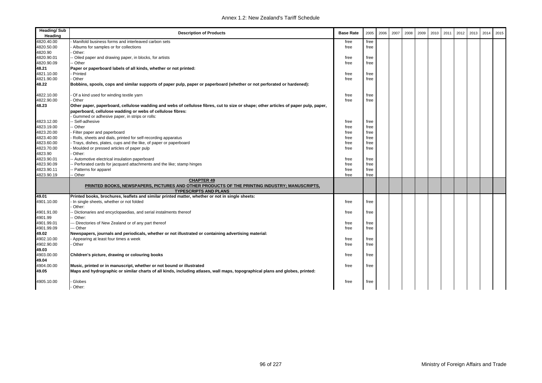| 4820.40.00<br>Manifold business forms and interleaved carbon sets<br>free<br>free<br>4820.50.00<br>Albums for samples or for collections<br>free<br>free<br>4820.90<br>Other:<br>4820.90.01<br>Oiled paper and drawing paper, in blocks, for artists<br>free<br>free<br>4820.90.09<br>- Other<br>free<br>free<br>48.21<br>Paper or paperboard labels of all kinds, whether or not printed:<br>4821.10.00<br>Printed<br>free<br>free<br>4821.90.00<br>Other<br>free<br>free<br>48.22<br>Bobbins, spools, cops and similar supports of paper pulp, paper or paperboard (whether or not perforated or hardened):<br>4822.10.00<br>Of a kind used for winding textile yarn<br>free<br>free<br>4822.90.00<br>Other<br>free<br>free<br>48.23<br>Other paper, paperboard, cellulose wadding and webs of cellulose fibres, cut to size or shape; other articles of paper pulp, paper,<br>paperboard, cellulose wadding or webs of cellulose fibres:<br>Gummed or adhesive paper, in strips or rolls:<br>Self-adhesive<br>4823.12.00<br>free<br>free<br>4823.19.00<br>- Other<br>free<br>free<br>4823.20.00<br>free<br>Filter paper and paperboard<br>free<br>4823.40.00<br>Rolls, sheets and dials, printed for self-recording apparatus<br>free<br>free<br>4823.60.00<br>Trays, dishes, plates, cups and the like, of paper or paperboard<br>free<br>free<br>4823.70.00<br>Moulded or pressed articles of paper pulp<br>free<br>free<br>4823.90<br>Other:<br>4823.90.01<br>- Automotive electrical insulation paperboard<br>free<br>free<br>4823.90.09<br>Perforated cards for jacquard attachments and the like; stamp hinges<br>free<br>free<br>4823.90.11<br>Patterns for apparel<br>free<br>free<br>4823.90.19<br>- Other<br>free<br>free<br><b>CHAPTER 49</b><br>PRINTED BOOKS, NEWSPAPERS, PICTURES AND OTHER PRODUCTS OF THE PRINTING INDUSTRY; MANUSCRIPTS,<br><b>TYPESCRIPTS AND PLANS</b><br>49.01<br>Printed books, brochures, leaflets and similar printed matter, whether or not in single sheets:<br>4901.10.00<br>In single sheets, whether or not folded<br>free<br>free<br>Other:<br>4901.91.00<br>Dictionaries and encyclopaedias, and serial instalments thereof<br>free<br>free<br>4901.99<br>Other:<br>4901.99.01<br>-- Directories of New Zealand or of any part thereof<br>free<br>free<br>4901.99.09<br>-- Other<br>free<br>free<br>49.02<br>Newspapers, journals and periodicals, whether or not illustrated or containing advertising material:<br>4902.10.00<br>Appearing at least four times a week<br>free<br>free<br>4902.90.00<br>Other<br>free<br>free<br>49.03<br>4903.00.00<br>Children's picture, drawing or colouring books<br>free<br>free<br>49.04 | Heading/Sub<br>Heading | <b>Description of Products</b>                                       | <b>Base Rate</b> | 2005 | 2006 | 2007 | 2008 | 2009 | 2010 | 2011 | 2012 | 2013 | 2014 | 2015 |
|-----------------------------------------------------------------------------------------------------------------------------------------------------------------------------------------------------------------------------------------------------------------------------------------------------------------------------------------------------------------------------------------------------------------------------------------------------------------------------------------------------------------------------------------------------------------------------------------------------------------------------------------------------------------------------------------------------------------------------------------------------------------------------------------------------------------------------------------------------------------------------------------------------------------------------------------------------------------------------------------------------------------------------------------------------------------------------------------------------------------------------------------------------------------------------------------------------------------------------------------------------------------------------------------------------------------------------------------------------------------------------------------------------------------------------------------------------------------------------------------------------------------------------------------------------------------------------------------------------------------------------------------------------------------------------------------------------------------------------------------------------------------------------------------------------------------------------------------------------------------------------------------------------------------------------------------------------------------------------------------------------------------------------------------------------------------------------------------------------------------------------------------------------------------------------------------------------------------------------------------------------------------------------------------------------------------------------------------------------------------------------------------------------------------------------------------------------------------------------------------------------------------------------------------------------------------------------------------------------------------------------------------------------------------------------------|------------------------|----------------------------------------------------------------------|------------------|------|------|------|------|------|------|------|------|------|------|------|
|                                                                                                                                                                                                                                                                                                                                                                                                                                                                                                                                                                                                                                                                                                                                                                                                                                                                                                                                                                                                                                                                                                                                                                                                                                                                                                                                                                                                                                                                                                                                                                                                                                                                                                                                                                                                                                                                                                                                                                                                                                                                                                                                                                                                                                                                                                                                                                                                                                                                                                                                                                                                                                                                                   |                        |                                                                      |                  |      |      |      |      |      |      |      |      |      |      |      |
|                                                                                                                                                                                                                                                                                                                                                                                                                                                                                                                                                                                                                                                                                                                                                                                                                                                                                                                                                                                                                                                                                                                                                                                                                                                                                                                                                                                                                                                                                                                                                                                                                                                                                                                                                                                                                                                                                                                                                                                                                                                                                                                                                                                                                                                                                                                                                                                                                                                                                                                                                                                                                                                                                   |                        |                                                                      |                  |      |      |      |      |      |      |      |      |      |      |      |
|                                                                                                                                                                                                                                                                                                                                                                                                                                                                                                                                                                                                                                                                                                                                                                                                                                                                                                                                                                                                                                                                                                                                                                                                                                                                                                                                                                                                                                                                                                                                                                                                                                                                                                                                                                                                                                                                                                                                                                                                                                                                                                                                                                                                                                                                                                                                                                                                                                                                                                                                                                                                                                                                                   |                        |                                                                      |                  |      |      |      |      |      |      |      |      |      |      |      |
|                                                                                                                                                                                                                                                                                                                                                                                                                                                                                                                                                                                                                                                                                                                                                                                                                                                                                                                                                                                                                                                                                                                                                                                                                                                                                                                                                                                                                                                                                                                                                                                                                                                                                                                                                                                                                                                                                                                                                                                                                                                                                                                                                                                                                                                                                                                                                                                                                                                                                                                                                                                                                                                                                   |                        |                                                                      |                  |      |      |      |      |      |      |      |      |      |      |      |
|                                                                                                                                                                                                                                                                                                                                                                                                                                                                                                                                                                                                                                                                                                                                                                                                                                                                                                                                                                                                                                                                                                                                                                                                                                                                                                                                                                                                                                                                                                                                                                                                                                                                                                                                                                                                                                                                                                                                                                                                                                                                                                                                                                                                                                                                                                                                                                                                                                                                                                                                                                                                                                                                                   |                        |                                                                      |                  |      |      |      |      |      |      |      |      |      |      |      |
|                                                                                                                                                                                                                                                                                                                                                                                                                                                                                                                                                                                                                                                                                                                                                                                                                                                                                                                                                                                                                                                                                                                                                                                                                                                                                                                                                                                                                                                                                                                                                                                                                                                                                                                                                                                                                                                                                                                                                                                                                                                                                                                                                                                                                                                                                                                                                                                                                                                                                                                                                                                                                                                                                   |                        |                                                                      |                  |      |      |      |      |      |      |      |      |      |      |      |
|                                                                                                                                                                                                                                                                                                                                                                                                                                                                                                                                                                                                                                                                                                                                                                                                                                                                                                                                                                                                                                                                                                                                                                                                                                                                                                                                                                                                                                                                                                                                                                                                                                                                                                                                                                                                                                                                                                                                                                                                                                                                                                                                                                                                                                                                                                                                                                                                                                                                                                                                                                                                                                                                                   |                        |                                                                      |                  |      |      |      |      |      |      |      |      |      |      |      |
|                                                                                                                                                                                                                                                                                                                                                                                                                                                                                                                                                                                                                                                                                                                                                                                                                                                                                                                                                                                                                                                                                                                                                                                                                                                                                                                                                                                                                                                                                                                                                                                                                                                                                                                                                                                                                                                                                                                                                                                                                                                                                                                                                                                                                                                                                                                                                                                                                                                                                                                                                                                                                                                                                   |                        |                                                                      |                  |      |      |      |      |      |      |      |      |      |      |      |
|                                                                                                                                                                                                                                                                                                                                                                                                                                                                                                                                                                                                                                                                                                                                                                                                                                                                                                                                                                                                                                                                                                                                                                                                                                                                                                                                                                                                                                                                                                                                                                                                                                                                                                                                                                                                                                                                                                                                                                                                                                                                                                                                                                                                                                                                                                                                                                                                                                                                                                                                                                                                                                                                                   |                        |                                                                      |                  |      |      |      |      |      |      |      |      |      |      |      |
|                                                                                                                                                                                                                                                                                                                                                                                                                                                                                                                                                                                                                                                                                                                                                                                                                                                                                                                                                                                                                                                                                                                                                                                                                                                                                                                                                                                                                                                                                                                                                                                                                                                                                                                                                                                                                                                                                                                                                                                                                                                                                                                                                                                                                                                                                                                                                                                                                                                                                                                                                                                                                                                                                   |                        |                                                                      |                  |      |      |      |      |      |      |      |      |      |      |      |
|                                                                                                                                                                                                                                                                                                                                                                                                                                                                                                                                                                                                                                                                                                                                                                                                                                                                                                                                                                                                                                                                                                                                                                                                                                                                                                                                                                                                                                                                                                                                                                                                                                                                                                                                                                                                                                                                                                                                                                                                                                                                                                                                                                                                                                                                                                                                                                                                                                                                                                                                                                                                                                                                                   |                        |                                                                      |                  |      |      |      |      |      |      |      |      |      |      |      |
|                                                                                                                                                                                                                                                                                                                                                                                                                                                                                                                                                                                                                                                                                                                                                                                                                                                                                                                                                                                                                                                                                                                                                                                                                                                                                                                                                                                                                                                                                                                                                                                                                                                                                                                                                                                                                                                                                                                                                                                                                                                                                                                                                                                                                                                                                                                                                                                                                                                                                                                                                                                                                                                                                   |                        |                                                                      |                  |      |      |      |      |      |      |      |      |      |      |      |
|                                                                                                                                                                                                                                                                                                                                                                                                                                                                                                                                                                                                                                                                                                                                                                                                                                                                                                                                                                                                                                                                                                                                                                                                                                                                                                                                                                                                                                                                                                                                                                                                                                                                                                                                                                                                                                                                                                                                                                                                                                                                                                                                                                                                                                                                                                                                                                                                                                                                                                                                                                                                                                                                                   |                        |                                                                      |                  |      |      |      |      |      |      |      |      |      |      |      |
|                                                                                                                                                                                                                                                                                                                                                                                                                                                                                                                                                                                                                                                                                                                                                                                                                                                                                                                                                                                                                                                                                                                                                                                                                                                                                                                                                                                                                                                                                                                                                                                                                                                                                                                                                                                                                                                                                                                                                                                                                                                                                                                                                                                                                                                                                                                                                                                                                                                                                                                                                                                                                                                                                   |                        |                                                                      |                  |      |      |      |      |      |      |      |      |      |      |      |
|                                                                                                                                                                                                                                                                                                                                                                                                                                                                                                                                                                                                                                                                                                                                                                                                                                                                                                                                                                                                                                                                                                                                                                                                                                                                                                                                                                                                                                                                                                                                                                                                                                                                                                                                                                                                                                                                                                                                                                                                                                                                                                                                                                                                                                                                                                                                                                                                                                                                                                                                                                                                                                                                                   |                        |                                                                      |                  |      |      |      |      |      |      |      |      |      |      |      |
|                                                                                                                                                                                                                                                                                                                                                                                                                                                                                                                                                                                                                                                                                                                                                                                                                                                                                                                                                                                                                                                                                                                                                                                                                                                                                                                                                                                                                                                                                                                                                                                                                                                                                                                                                                                                                                                                                                                                                                                                                                                                                                                                                                                                                                                                                                                                                                                                                                                                                                                                                                                                                                                                                   |                        |                                                                      |                  |      |      |      |      |      |      |      |      |      |      |      |
|                                                                                                                                                                                                                                                                                                                                                                                                                                                                                                                                                                                                                                                                                                                                                                                                                                                                                                                                                                                                                                                                                                                                                                                                                                                                                                                                                                                                                                                                                                                                                                                                                                                                                                                                                                                                                                                                                                                                                                                                                                                                                                                                                                                                                                                                                                                                                                                                                                                                                                                                                                                                                                                                                   |                        |                                                                      |                  |      |      |      |      |      |      |      |      |      |      |      |
|                                                                                                                                                                                                                                                                                                                                                                                                                                                                                                                                                                                                                                                                                                                                                                                                                                                                                                                                                                                                                                                                                                                                                                                                                                                                                                                                                                                                                                                                                                                                                                                                                                                                                                                                                                                                                                                                                                                                                                                                                                                                                                                                                                                                                                                                                                                                                                                                                                                                                                                                                                                                                                                                                   |                        |                                                                      |                  |      |      |      |      |      |      |      |      |      |      |      |
|                                                                                                                                                                                                                                                                                                                                                                                                                                                                                                                                                                                                                                                                                                                                                                                                                                                                                                                                                                                                                                                                                                                                                                                                                                                                                                                                                                                                                                                                                                                                                                                                                                                                                                                                                                                                                                                                                                                                                                                                                                                                                                                                                                                                                                                                                                                                                                                                                                                                                                                                                                                                                                                                                   |                        |                                                                      |                  |      |      |      |      |      |      |      |      |      |      |      |
|                                                                                                                                                                                                                                                                                                                                                                                                                                                                                                                                                                                                                                                                                                                                                                                                                                                                                                                                                                                                                                                                                                                                                                                                                                                                                                                                                                                                                                                                                                                                                                                                                                                                                                                                                                                                                                                                                                                                                                                                                                                                                                                                                                                                                                                                                                                                                                                                                                                                                                                                                                                                                                                                                   |                        |                                                                      |                  |      |      |      |      |      |      |      |      |      |      |      |
|                                                                                                                                                                                                                                                                                                                                                                                                                                                                                                                                                                                                                                                                                                                                                                                                                                                                                                                                                                                                                                                                                                                                                                                                                                                                                                                                                                                                                                                                                                                                                                                                                                                                                                                                                                                                                                                                                                                                                                                                                                                                                                                                                                                                                                                                                                                                                                                                                                                                                                                                                                                                                                                                                   |                        |                                                                      |                  |      |      |      |      |      |      |      |      |      |      |      |
|                                                                                                                                                                                                                                                                                                                                                                                                                                                                                                                                                                                                                                                                                                                                                                                                                                                                                                                                                                                                                                                                                                                                                                                                                                                                                                                                                                                                                                                                                                                                                                                                                                                                                                                                                                                                                                                                                                                                                                                                                                                                                                                                                                                                                                                                                                                                                                                                                                                                                                                                                                                                                                                                                   |                        |                                                                      |                  |      |      |      |      |      |      |      |      |      |      |      |
|                                                                                                                                                                                                                                                                                                                                                                                                                                                                                                                                                                                                                                                                                                                                                                                                                                                                                                                                                                                                                                                                                                                                                                                                                                                                                                                                                                                                                                                                                                                                                                                                                                                                                                                                                                                                                                                                                                                                                                                                                                                                                                                                                                                                                                                                                                                                                                                                                                                                                                                                                                                                                                                                                   |                        |                                                                      |                  |      |      |      |      |      |      |      |      |      |      |      |
|                                                                                                                                                                                                                                                                                                                                                                                                                                                                                                                                                                                                                                                                                                                                                                                                                                                                                                                                                                                                                                                                                                                                                                                                                                                                                                                                                                                                                                                                                                                                                                                                                                                                                                                                                                                                                                                                                                                                                                                                                                                                                                                                                                                                                                                                                                                                                                                                                                                                                                                                                                                                                                                                                   |                        |                                                                      |                  |      |      |      |      |      |      |      |      |      |      |      |
|                                                                                                                                                                                                                                                                                                                                                                                                                                                                                                                                                                                                                                                                                                                                                                                                                                                                                                                                                                                                                                                                                                                                                                                                                                                                                                                                                                                                                                                                                                                                                                                                                                                                                                                                                                                                                                                                                                                                                                                                                                                                                                                                                                                                                                                                                                                                                                                                                                                                                                                                                                                                                                                                                   |                        |                                                                      |                  |      |      |      |      |      |      |      |      |      |      |      |
|                                                                                                                                                                                                                                                                                                                                                                                                                                                                                                                                                                                                                                                                                                                                                                                                                                                                                                                                                                                                                                                                                                                                                                                                                                                                                                                                                                                                                                                                                                                                                                                                                                                                                                                                                                                                                                                                                                                                                                                                                                                                                                                                                                                                                                                                                                                                                                                                                                                                                                                                                                                                                                                                                   |                        |                                                                      |                  |      |      |      |      |      |      |      |      |      |      |      |
|                                                                                                                                                                                                                                                                                                                                                                                                                                                                                                                                                                                                                                                                                                                                                                                                                                                                                                                                                                                                                                                                                                                                                                                                                                                                                                                                                                                                                                                                                                                                                                                                                                                                                                                                                                                                                                                                                                                                                                                                                                                                                                                                                                                                                                                                                                                                                                                                                                                                                                                                                                                                                                                                                   |                        |                                                                      |                  |      |      |      |      |      |      |      |      |      |      |      |
|                                                                                                                                                                                                                                                                                                                                                                                                                                                                                                                                                                                                                                                                                                                                                                                                                                                                                                                                                                                                                                                                                                                                                                                                                                                                                                                                                                                                                                                                                                                                                                                                                                                                                                                                                                                                                                                                                                                                                                                                                                                                                                                                                                                                                                                                                                                                                                                                                                                                                                                                                                                                                                                                                   |                        |                                                                      |                  |      |      |      |      |      |      |      |      |      |      |      |
|                                                                                                                                                                                                                                                                                                                                                                                                                                                                                                                                                                                                                                                                                                                                                                                                                                                                                                                                                                                                                                                                                                                                                                                                                                                                                                                                                                                                                                                                                                                                                                                                                                                                                                                                                                                                                                                                                                                                                                                                                                                                                                                                                                                                                                                                                                                                                                                                                                                                                                                                                                                                                                                                                   |                        |                                                                      |                  |      |      |      |      |      |      |      |      |      |      |      |
|                                                                                                                                                                                                                                                                                                                                                                                                                                                                                                                                                                                                                                                                                                                                                                                                                                                                                                                                                                                                                                                                                                                                                                                                                                                                                                                                                                                                                                                                                                                                                                                                                                                                                                                                                                                                                                                                                                                                                                                                                                                                                                                                                                                                                                                                                                                                                                                                                                                                                                                                                                                                                                                                                   |                        |                                                                      |                  |      |      |      |      |      |      |      |      |      |      |      |
|                                                                                                                                                                                                                                                                                                                                                                                                                                                                                                                                                                                                                                                                                                                                                                                                                                                                                                                                                                                                                                                                                                                                                                                                                                                                                                                                                                                                                                                                                                                                                                                                                                                                                                                                                                                                                                                                                                                                                                                                                                                                                                                                                                                                                                                                                                                                                                                                                                                                                                                                                                                                                                                                                   |                        |                                                                      |                  |      |      |      |      |      |      |      |      |      |      |      |
|                                                                                                                                                                                                                                                                                                                                                                                                                                                                                                                                                                                                                                                                                                                                                                                                                                                                                                                                                                                                                                                                                                                                                                                                                                                                                                                                                                                                                                                                                                                                                                                                                                                                                                                                                                                                                                                                                                                                                                                                                                                                                                                                                                                                                                                                                                                                                                                                                                                                                                                                                                                                                                                                                   |                        |                                                                      |                  |      |      |      |      |      |      |      |      |      |      |      |
|                                                                                                                                                                                                                                                                                                                                                                                                                                                                                                                                                                                                                                                                                                                                                                                                                                                                                                                                                                                                                                                                                                                                                                                                                                                                                                                                                                                                                                                                                                                                                                                                                                                                                                                                                                                                                                                                                                                                                                                                                                                                                                                                                                                                                                                                                                                                                                                                                                                                                                                                                                                                                                                                                   |                        |                                                                      |                  |      |      |      |      |      |      |      |      |      |      |      |
|                                                                                                                                                                                                                                                                                                                                                                                                                                                                                                                                                                                                                                                                                                                                                                                                                                                                                                                                                                                                                                                                                                                                                                                                                                                                                                                                                                                                                                                                                                                                                                                                                                                                                                                                                                                                                                                                                                                                                                                                                                                                                                                                                                                                                                                                                                                                                                                                                                                                                                                                                                                                                                                                                   |                        |                                                                      |                  |      |      |      |      |      |      |      |      |      |      |      |
|                                                                                                                                                                                                                                                                                                                                                                                                                                                                                                                                                                                                                                                                                                                                                                                                                                                                                                                                                                                                                                                                                                                                                                                                                                                                                                                                                                                                                                                                                                                                                                                                                                                                                                                                                                                                                                                                                                                                                                                                                                                                                                                                                                                                                                                                                                                                                                                                                                                                                                                                                                                                                                                                                   |                        |                                                                      |                  |      |      |      |      |      |      |      |      |      |      |      |
| free<br>free                                                                                                                                                                                                                                                                                                                                                                                                                                                                                                                                                                                                                                                                                                                                                                                                                                                                                                                                                                                                                                                                                                                                                                                                                                                                                                                                                                                                                                                                                                                                                                                                                                                                                                                                                                                                                                                                                                                                                                                                                                                                                                                                                                                                                                                                                                                                                                                                                                                                                                                                                                                                                                                                      | 4904.00.00             | Music, printed or in manuscript, whether or not bound or illustrated |                  |      |      |      |      |      |      |      |      |      |      |      |
| 49.05<br>Maps and hydrographic or similar charts of all kinds, including atlases, wall maps, topographical plans and globes, printed:                                                                                                                                                                                                                                                                                                                                                                                                                                                                                                                                                                                                                                                                                                                                                                                                                                                                                                                                                                                                                                                                                                                                                                                                                                                                                                                                                                                                                                                                                                                                                                                                                                                                                                                                                                                                                                                                                                                                                                                                                                                                                                                                                                                                                                                                                                                                                                                                                                                                                                                                             |                        |                                                                      |                  |      |      |      |      |      |      |      |      |      |      |      |
| Globes<br>4905.10.00<br>free<br>free                                                                                                                                                                                                                                                                                                                                                                                                                                                                                                                                                                                                                                                                                                                                                                                                                                                                                                                                                                                                                                                                                                                                                                                                                                                                                                                                                                                                                                                                                                                                                                                                                                                                                                                                                                                                                                                                                                                                                                                                                                                                                                                                                                                                                                                                                                                                                                                                                                                                                                                                                                                                                                              |                        |                                                                      |                  |      |      |      |      |      |      |      |      |      |      |      |
| Other:                                                                                                                                                                                                                                                                                                                                                                                                                                                                                                                                                                                                                                                                                                                                                                                                                                                                                                                                                                                                                                                                                                                                                                                                                                                                                                                                                                                                                                                                                                                                                                                                                                                                                                                                                                                                                                                                                                                                                                                                                                                                                                                                                                                                                                                                                                                                                                                                                                                                                                                                                                                                                                                                            |                        |                                                                      |                  |      |      |      |      |      |      |      |      |      |      |      |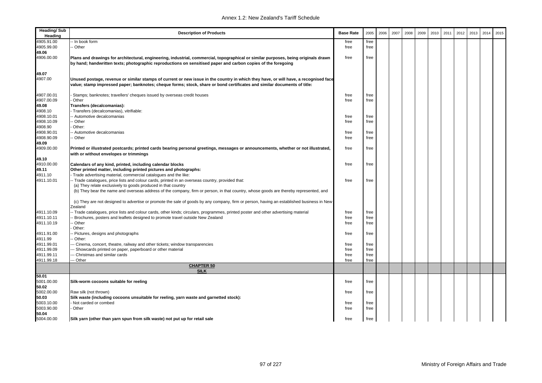| <b>Heading/Sub</b><br>Heading | <b>Description of Products</b>                                                                                                                                                                                                                                   | <b>Base Rate</b> | 2005 | 2006 | 2007 | 2008 | 2009 | 2010 | 2011 | 2012 | 2013 | 2014 | 2015 |
|-------------------------------|------------------------------------------------------------------------------------------------------------------------------------------------------------------------------------------------------------------------------------------------------------------|------------------|------|------|------|------|------|------|------|------|------|------|------|
| 4905.91.00                    | - In book form                                                                                                                                                                                                                                                   | free             | free |      |      |      |      |      |      |      |      |      |      |
| 4905.99.00                    | - Other                                                                                                                                                                                                                                                          | free             | free |      |      |      |      |      |      |      |      |      |      |
| 49.06                         |                                                                                                                                                                                                                                                                  |                  |      |      |      |      |      |      |      |      |      |      |      |
| 4906.00.00                    | Plans and drawings for architectural, engineering, industrial, commercial, topographical or similar purposes, being originals drawn<br>by hand; handwritten texts; photographic reproductions on sensitised paper and carbon copies of the foregoing             | free             | free |      |      |      |      |      |      |      |      |      |      |
| 49.07                         |                                                                                                                                                                                                                                                                  |                  |      |      |      |      |      |      |      |      |      |      |      |
| 4907.00                       | Unused postage, revenue or similar stamps of current or new issue in the country in which they have, or will have, a recognised face<br>value; stamp impressed paper; banknotes; cheque forms; stock, share or bond certificates and similar documents of title: |                  |      |      |      |      |      |      |      |      |      |      |      |
| 4907.00.01                    | Stamps; banknotes; travellers' cheques issued by overseas credit houses                                                                                                                                                                                          | free             | free |      |      |      |      |      |      |      |      |      |      |
| 4907.00.09                    | Other                                                                                                                                                                                                                                                            | free             | free |      |      |      |      |      |      |      |      |      |      |
| 49.08                         | Transfers (decalcomanias):                                                                                                                                                                                                                                       |                  |      |      |      |      |      |      |      |      |      |      |      |
| 4908.10                       | Transfers (decalcomanias), vitrifiable:                                                                                                                                                                                                                          |                  |      |      |      |      |      |      |      |      |      |      |      |
| 4908.10.01                    | - Automotive decalcomanias                                                                                                                                                                                                                                       | free             | free |      |      |      |      |      |      |      |      |      |      |
| 4908.10.09                    | - Other                                                                                                                                                                                                                                                          | free             | free |      |      |      |      |      |      |      |      |      |      |
| 4908.90                       | Other:                                                                                                                                                                                                                                                           |                  |      |      |      |      |      |      |      |      |      |      |      |
| 4908.90.01                    | Automotive decalcomanias                                                                                                                                                                                                                                         | free             | free |      |      |      |      |      |      |      |      |      |      |
| 4908.90.09                    | - Other                                                                                                                                                                                                                                                          | free             | free |      |      |      |      |      |      |      |      |      |      |
| 49.09                         |                                                                                                                                                                                                                                                                  |                  |      |      |      |      |      |      |      |      |      |      |      |
| 4909.00.00                    | Printed or illustrated postcards; printed cards bearing personal greetings, messages or announcements, whether or not illustrated,<br>with or without envelopes or trimmings                                                                                     | free             | free |      |      |      |      |      |      |      |      |      |      |
| 49.10                         |                                                                                                                                                                                                                                                                  |                  |      |      |      |      |      |      |      |      |      |      |      |
| 4910.00.00                    | Calendars of any kind, printed, including calendar blocks                                                                                                                                                                                                        | free             | free |      |      |      |      |      |      |      |      |      |      |
| 49.11                         | Other printed matter, including printed pictures and photographs:                                                                                                                                                                                                |                  |      |      |      |      |      |      |      |      |      |      |      |
| 4911.10                       | Trade advertising material, commercial catalogues and the like:                                                                                                                                                                                                  |                  |      |      |      |      |      |      |      |      |      |      |      |
| 4911.10.01                    | - Trade catalogues, price lists and colour cards, printed in an overseas country, provided that:                                                                                                                                                                 | free             | free |      |      |      |      |      |      |      |      |      |      |
|                               | (a) They relate exclusively to goods produced in that country<br>(b) They bear the name and overseas address of the company, firm or person, in that country, whose goods are thereby represented, and                                                           |                  |      |      |      |      |      |      |      |      |      |      |      |
|                               | (c) They are not designed to advertise or promote the sale of goods by any company, firm or person, having an established business in New<br>Zealand                                                                                                             |                  |      |      |      |      |      |      |      |      |      |      |      |
| 4911.10.09                    | - Trade catalogues, price lists and colour cards, other kinds; circulars, programmes, printed poster and other advertising material                                                                                                                              | free             | free |      |      |      |      |      |      |      |      |      |      |
| 4911.10.11                    | Brochures, posters and leaflets designed to promote travel outside New Zealand                                                                                                                                                                                   | free             | free |      |      |      |      |      |      |      |      |      |      |
| 4911.10.19                    | - Other                                                                                                                                                                                                                                                          | free             | free |      |      |      |      |      |      |      |      |      |      |
|                               | Other:                                                                                                                                                                                                                                                           |                  |      |      |      |      |      |      |      |      |      |      |      |
| 4911.91.00                    | Pictures, designs and photographs                                                                                                                                                                                                                                | free             | free |      |      |      |      |      |      |      |      |      |      |
| 4911.99                       | Other:                                                                                                                                                                                                                                                           |                  |      |      |      |      |      |      |      |      |      |      |      |
| 4911.99.01                    | - Cinema, concert, theatre, railway and other tickets; window transparencies                                                                                                                                                                                     | free             | free |      |      |      |      |      |      |      |      |      |      |
| 4911.99.09                    | - Showcards printed on paper, paperboard or other material                                                                                                                                                                                                       | free             | free |      |      |      |      |      |      |      |      |      |      |
| 4911.99.11                    | Christmas and similar cards                                                                                                                                                                                                                                      | free             | free |      |      |      |      |      |      |      |      |      |      |
| 4911.99.18                    | - Other                                                                                                                                                                                                                                                          | free             | free |      |      |      |      |      |      |      |      |      |      |
|                               | <b>CHAPTER 50</b><br><b>SILK</b>                                                                                                                                                                                                                                 |                  |      |      |      |      |      |      |      |      |      |      |      |
| 50.01                         |                                                                                                                                                                                                                                                                  |                  |      |      |      |      |      |      |      |      |      |      |      |
| 5001.00.00<br>50.02           | Silk-worm cocoons suitable for reeling                                                                                                                                                                                                                           | free             | free |      |      |      |      |      |      |      |      |      |      |
| 5002.00.00                    | Raw silk (not thrown)                                                                                                                                                                                                                                            | free             | free |      |      |      |      |      |      |      |      |      |      |
| 50.03                         | Silk waste (including cocoons unsuitable for reeling, yarn waste and garnetted stock):                                                                                                                                                                           |                  |      |      |      |      |      |      |      |      |      |      |      |
| 5003.10.00                    | Not carded or combed                                                                                                                                                                                                                                             | free             | free |      |      |      |      |      |      |      |      |      |      |
| 5003.90.00                    | Other                                                                                                                                                                                                                                                            | free             | free |      |      |      |      |      |      |      |      |      |      |
| 50.04                         |                                                                                                                                                                                                                                                                  |                  |      |      |      |      |      |      |      |      |      |      |      |
| 5004.00.00                    | Silk yarn (other than yarn spun from silk waste) not put up for retail sale                                                                                                                                                                                      | free             | free |      |      |      |      |      |      |      |      |      |      |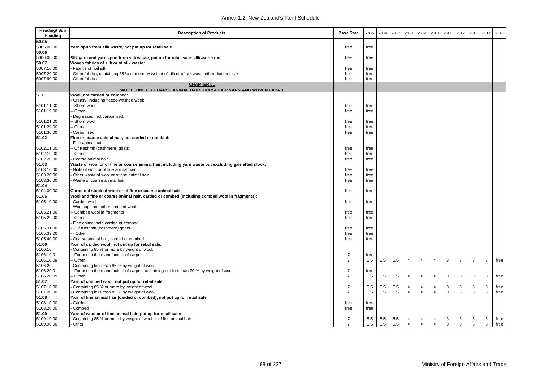| <b>Heading/Sub</b><br>Heading | <b>Description of Products</b>                                                                      | <b>Base Rate</b> | 2005        | 2006 | 2007       | 2008                | 2009           | 2010                             | 2011         | 2012              | 2013   | 2014 | 2015 |
|-------------------------------|-----------------------------------------------------------------------------------------------------|------------------|-------------|------|------------|---------------------|----------------|----------------------------------|--------------|-------------------|--------|------|------|
| 50.05                         |                                                                                                     |                  |             |      |            |                     |                |                                  |              |                   |        |      |      |
| 5005.00.00                    | Yarn spun from silk waste, not put up for retail sale                                               | free             | free        |      |            |                     |                |                                  |              |                   |        |      |      |
| 50.06                         |                                                                                                     |                  |             |      |            |                     |                |                                  |              |                   |        |      |      |
| 5006.00.00                    | Silk yarn and yarn spun from silk waste, put up for retail sale; silk-worm gut                      | free             | free        |      |            |                     |                |                                  |              |                   |        |      |      |
| 50.07                         | Woven fabrics of silk or of silk waste:                                                             |                  |             |      |            |                     |                |                                  |              |                   |        |      |      |
| 5007.10.00                    | Fabrics of noil silk                                                                                | free             | free        |      |            |                     |                |                                  |              |                   |        |      |      |
| 5007.20.00                    | Other fabrics, containing 85 % or more by weight of silk or of silk waste other than noil silk      | free             | free        |      |            |                     |                |                                  |              |                   |        |      |      |
| 5007.90.00                    | Other fabrics                                                                                       | free             | free        |      |            |                     |                |                                  |              |                   |        |      |      |
|                               | <b>CHAPTER 51</b><br>WOOL, FINE OR COARSE ANIMAL HAIR; HORSEHAIR YARN AND WOVEN FABRIC              |                  |             |      |            |                     |                |                                  |              |                   |        |      |      |
| 51.01                         | Wool, not carded or combed:                                                                         |                  |             |      |            |                     |                |                                  |              |                   |        |      |      |
|                               | Greasy, including fleece-washed wool:                                                               |                  |             |      |            |                     |                |                                  |              |                   |        |      |      |
| 5101.11.00                    | - Shorn wool                                                                                        | free             | free        |      |            |                     |                |                                  |              |                   |        |      |      |
| 5101.19.00                    | - Other                                                                                             | free             | free        |      |            |                     |                |                                  |              |                   |        |      |      |
|                               | Degreased, not carbonised:                                                                          |                  |             |      |            |                     |                |                                  |              |                   |        |      |      |
| 5101.21.00                    | - Shorn wool                                                                                        | free             | free        |      |            |                     |                |                                  |              |                   |        |      |      |
| 5101.29.00                    | - Other                                                                                             | free             | free        |      |            |                     |                |                                  |              |                   |        |      |      |
| 5101.30.00                    | Carbonised                                                                                          | free             | free        |      |            |                     |                |                                  |              |                   |        |      |      |
| 51.02                         | Fine or coarse animal hair, not carded or combed:                                                   |                  |             |      |            |                     |                |                                  |              |                   |        |      |      |
|                               | Fine animal hair                                                                                    |                  |             |      |            |                     |                |                                  |              |                   |        |      |      |
| 5102.11.00                    | - Of Kashmir (cashmere) goats                                                                       | free             | free        |      |            |                     |                |                                  |              |                   |        |      |      |
| 5102.19.00                    | - Other                                                                                             | free             | free        |      |            |                     |                |                                  |              |                   |        |      |      |
| 5102.20.00                    | Coarse animal hair                                                                                  | free             | free        |      |            |                     |                |                                  |              |                   |        |      |      |
| 51.03                         | Waste of wool or of fine or coarse animal hair, including yarn waste but excluding garnetted stock: |                  |             |      |            |                     |                |                                  |              |                   |        |      |      |
| 5103.10.00                    | Noils of wool or of fine animal hair                                                                | free             | free        |      |            |                     |                |                                  |              |                   |        |      |      |
| 5103.20.00                    | Other waste of wool or of fine animal hair                                                          | free             | free        |      |            |                     |                |                                  |              |                   |        |      |      |
| 5103.30.00                    | Waste of coarse animal hair                                                                         | free             | free        |      |            |                     |                |                                  |              |                   |        |      |      |
| 51.04                         |                                                                                                     |                  |             |      |            |                     |                |                                  |              |                   |        |      |      |
| 5104.00.00                    | Garnetted stock of wool or of fine or coarse animal hair                                            | free             | free        |      |            |                     |                |                                  |              |                   |        |      |      |
| 51.05                         | Wool and fine or coarse animal hair, carded or combed (including combed wool in fragments):         |                  |             |      |            |                     |                |                                  |              |                   |        |      |      |
| 5105.10.00                    | Carded wool                                                                                         | free             | free        |      |            |                     |                |                                  |              |                   |        |      |      |
|                               | Wool tops and other combed wool:                                                                    |                  |             |      |            |                     |                |                                  |              |                   |        |      |      |
| 5105.21.00                    | - Combed wool in fragments                                                                          | free             | free        |      |            |                     |                |                                  |              |                   |        |      |      |
| 5105.29.00                    | - Other                                                                                             | free             | free        |      |            |                     |                |                                  |              |                   |        |      |      |
|                               | Fine animal hair, carded or combed:                                                                 |                  |             |      |            |                     |                |                                  |              |                   |        |      |      |
|                               | - Of Kashmir (cashmere) goats                                                                       | free             | free        |      |            |                     |                |                                  |              |                   |        |      |      |
| 5105.31.00<br>5105.39.00      | - Other                                                                                             | free             | free        |      |            |                     |                |                                  |              |                   |        |      |      |
| 5105.40.00                    | Coarse animal hair, carded or combed                                                                | free             | free        |      |            |                     |                |                                  |              |                   |        |      |      |
| 51.06                         | Yarn of carded wool, not put up for retail sale:                                                    |                  |             |      |            |                     |                |                                  |              |                   |        |      |      |
|                               |                                                                                                     |                  |             |      |            |                     |                |                                  |              |                   |        |      |      |
| 5106.10<br>5106.10.01         | Containing 85 % or more by weight of wool:<br>- For use in the manufacture of carpets               | $\overline{7}$   |             |      |            |                     |                |                                  |              |                   |        |      |      |
|                               | - Other                                                                                             | $\overline{7}$   | free<br>5.5 | 5.5  | 5.5        | $\overline{4}$      | $\overline{4}$ | $\overline{4}$                   | 3            | 3                 | 3      | 3    |      |
| 5106.10.09                    |                                                                                                     |                  |             |      |            |                     |                |                                  |              |                   |        |      | free |
| 5106.20<br>5106.20.01         | Containing less than 85 % by weight of wool:                                                        | $\overline{7}$   |             |      |            |                     |                |                                  |              |                   |        |      |      |
|                               | - For use in the manufacture of carpets containing not less than 70 % by weight of wool<br>- Other  | $\overline{7}$   | free        |      |            |                     | $\overline{4}$ | $\overline{4}$                   |              |                   |        |      |      |
| 5106.20.09<br>51.07           |                                                                                                     |                  | 5.5         | 5.5  | 5.5        | 4                   |                |                                  | 3            | 3                 | 3      | 3    | free |
|                               | Yarn of combed wool, not put up for retail sale:                                                    | $\overline{7}$   |             |      |            |                     | $\overline{4}$ |                                  | 3            |                   |        |      |      |
| 5107.10.00                    | Containing 85 % or more by weight of wool                                                           | $\overline{7}$   | 5.5         | 5.5  | 5.5<br>5.5 | 4<br>$\overline{4}$ | $\overline{4}$ | $\overline{4}$<br>$\overline{4}$ | $\mathbf{3}$ | 3<br>$\mathbf{3}$ | 3<br>3 | 3    | free |
| 5107.20.00                    | Containing less than 85 % by weight of wool                                                         |                  | 5.5         | 5.5  |            |                     |                |                                  |              |                   |        | 3    | free |
| 51.08                         | Yarn of fine animal hair (carded or combed), not put up for retail sale:                            |                  |             |      |            |                     |                |                                  |              |                   |        |      |      |
| 5108.10.00                    | Carded                                                                                              | free             | free        |      |            |                     |                |                                  |              |                   |        |      |      |
| 5108.20.00                    | Combed                                                                                              | free             | free        |      |            |                     |                |                                  |              |                   |        |      |      |
| 51.09                         | Yarn of wool or of fine animal hair, put up for retail sale:                                        |                  |             |      |            |                     |                |                                  |              |                   |        |      |      |
| 5109.10.00                    | Containing 85 % or more by weight of wool or of fine animal hair                                    | $\overline{7}$   | 5.5         | 5.5  | 5.5        | $\overline{4}$      | $\overline{4}$ | 4                                | 3            | 3                 | 3      | 3    | free |
| 5109.90.00                    | Other                                                                                               | $\overline{7}$   | 5.5         | 5.5  | 5.5        | $\overline{4}$      | $\overline{4}$ | $\overline{4}$                   | $\mathbf{3}$ | $\mathbf{3}$      | 3      | 3    | free |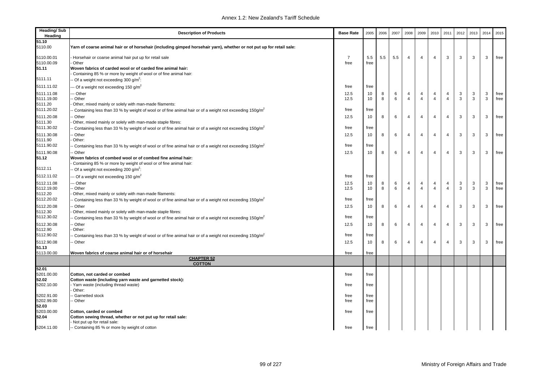| <b>Heading/Sub</b><br>Heading | <b>Description of Products</b>                                                                                              | <b>Base Rate</b> | 2005 | 2006 | 2007 | 2008           | 2009           | 2010                    | 2011           | 2012 | 2013 | 2014 | 2015 |
|-------------------------------|-----------------------------------------------------------------------------------------------------------------------------|------------------|------|------|------|----------------|----------------|-------------------------|----------------|------|------|------|------|
| 51.10                         |                                                                                                                             |                  |      |      |      |                |                |                         |                |      |      |      |      |
| 5110.00                       | Yarn of coarse animal hair or of horsehair (including gimped horsehair yarn), whether or not put up for retail sale:        |                  |      |      |      |                |                |                         |                |      |      |      |      |
| 5110.00.01                    | Horsehair or coarse animal hair put up for retail sale                                                                      | $\overline{7}$   | 5.5  | 5.5  | 5.5  | $\overline{4}$ | $\overline{4}$ | $\overline{4}$          | 3              | 3    | 3    | 3    | free |
| 5110.00.09                    | Other                                                                                                                       | free             | free |      |      |                |                |                         |                |      |      |      |      |
| 51.11                         | Woven fabrics of carded wool or of carded fine animal hair:                                                                 |                  |      |      |      |                |                |                         |                |      |      |      |      |
|                               | Containing 85 % or more by weight of wool or of fine animal hair:                                                           |                  |      |      |      |                |                |                         |                |      |      |      |      |
| 5111.11                       | - Of a weight not exceeding 300 g/m <sup>2</sup> :                                                                          |                  |      |      |      |                |                |                         |                |      |      |      |      |
| 5111.11.02                    | -- Of a weight not exceeding 150 g/m <sup>2</sup>                                                                           | free             | free |      |      |                |                |                         |                |      |      |      |      |
| 5111.11.08                    | -- Other                                                                                                                    | 12.5             | 10   | 8    | 6    | 4              | 4              | 4                       | 4              | 3    | 3    | 3    | free |
| 5111.19.00                    | - Other                                                                                                                     | 12.5             | 10   | 8    | 6    | $\overline{4}$ | $\overline{4}$ | $\overline{4}$          | $\overline{4}$ | 3    | 3    | 3    | free |
| 5111.20                       | Other, mixed mainly or solely with man-made filaments:                                                                      |                  |      |      |      |                |                |                         |                |      |      |      |      |
| 5111.20.02                    | Containing less than 33 % by weight of wool or of fine animal hair or of a weight not exceeding 150g/m <sup>2</sup>         | free             | free |      |      |                |                |                         |                |      |      |      |      |
| 5111.20.08                    | - Other                                                                                                                     | 12.5             | 10   | 8    | 6    | $\overline{4}$ | 4              | $\overline{4}$          | $\overline{4}$ | 3    | 3    | 3    | free |
| 5111.30                       | Other, mixed mainly or solely with man-made staple fibres:                                                                  |                  |      |      |      |                |                |                         |                |      |      |      |      |
| 5111.30.02                    | Containing less than 33 % by weight of wool or of fine animal hair or of a weight not exceeding 150g/m <sup>2</sup>         | free             | free |      |      |                |                |                         |                |      |      |      |      |
| 5111.30.08                    | - Other                                                                                                                     | 12.5             | 10   | 8    | 6    | $\overline{4}$ | $\overline{4}$ | $\overline{4}$          | $\overline{4}$ | 3    | 3    | 3    | free |
| 5111.90                       | Other:                                                                                                                      |                  |      |      |      |                |                |                         |                |      |      |      |      |
| 5111.90.02                    | - Containing less than 33 % by weight of wool or of fine animal hair or of a weight not exceeding 150g/m <sup>2</sup>       | free             | free |      |      |                |                |                         |                |      |      |      |      |
| 5111.90.08                    | - Other                                                                                                                     | 12.5             | 10   | 8    | 6    | $\overline{4}$ | 4              | $\overline{\mathbf{4}}$ | $\overline{4}$ | 3    | 3    | 3    | free |
| 51.12                         | Woven fabrics of combed wool or of combed fine animal hair:                                                                 |                  |      |      |      |                |                |                         |                |      |      |      |      |
|                               | Containing 85 % or more by weight of wool or of fine animal hair:                                                           |                  |      |      |      |                |                |                         |                |      |      |      |      |
| 5112.11                       | - Of a weight not exceeding 200 g/m <sup>2</sup> :                                                                          |                  |      |      |      |                |                |                         |                |      |      |      |      |
| 5112.11.02                    | -- Of a weight not exceeding 150 g/m <sup>2</sup>                                                                           | free             | free |      |      |                |                |                         |                |      |      |      |      |
| 5112.11.08                    | -- Other                                                                                                                    | 12.5             | 10   | 8    | 6    | 4              | 4              | 4                       | $\overline{4}$ | 3    | 3    | 3    | free |
| 5112.19.00                    | - Other                                                                                                                     | 12.5             | 10   | 8    | 6    | $\overline{4}$ | $\overline{4}$ | $\overline{4}$          | $\overline{4}$ | 3    | 3    | 3    | free |
| 5112.20                       | Other, mixed mainly or solely with man-made filaments:                                                                      |                  |      |      |      |                |                |                         |                |      |      |      |      |
| 5112.20.02                    | $\cdot$ Containing less than 33 % by weight of wool or of fine animal hair or of a weight not exceeding 150g/m <sup>2</sup> | free             | free |      |      |                |                |                         |                |      |      |      |      |
| 5112.20.08                    | - Other                                                                                                                     | 12.5             | 10   | 8    | 6    | $\overline{4}$ | $\overline{4}$ | $\overline{4}$          | $\overline{4}$ | 3    | 3    | 3    | free |
| 5112.30                       | Other, mixed mainly or solely with man-made staple fibres:                                                                  |                  |      |      |      |                |                |                         |                |      |      |      |      |
| 5112.30.02                    | $\cdot$ Containing less than 33 % by weight of wool or of fine animal hair or of a weight not exceeding 150g/m <sup>2</sup> | free             | free |      |      |                |                |                         |                |      |      |      |      |
| 5112.30.08                    | - Other                                                                                                                     | 12.5             | 10   | 8    | 6    | $\overline{4}$ | $\overline{4}$ | $\overline{4}$          | 4              | 3    | 3    | 3    | free |
| 5112.90                       | Other:                                                                                                                      |                  |      |      |      |                |                |                         |                |      |      |      |      |
| 5112.90.02                    | Containing less than 33 % by weight of wool or of fine animal hair or of a weight not exceeding 150g/m <sup>2</sup>         | free             | free |      |      |                |                |                         |                |      |      |      |      |
| 5112.90.08                    | - Other                                                                                                                     | 12.5             | 10   | 8    | 6    | $\overline{4}$ | $\overline{4}$ | $\overline{4}$          | $\overline{4}$ | 3    | 3    | 3    | free |
| 51.13                         |                                                                                                                             |                  |      |      |      |                |                |                         |                |      |      |      |      |
| 5113.00.00                    | Woven fabrics of coarse animal hair or of horsehair                                                                         | free             | free |      |      |                |                |                         |                |      |      |      |      |
|                               | <b>CHAPTER 52</b><br><b>COTTON</b>                                                                                          |                  |      |      |      |                |                |                         |                |      |      |      |      |
| 52.01                         |                                                                                                                             |                  |      |      |      |                |                |                         |                |      |      |      |      |
| 5201.00.00                    | Cotton, not carded or combed                                                                                                | free             | free |      |      |                |                |                         |                |      |      |      |      |
| 52.02                         | Cotton waste (including yarn waste and garnetted stock):                                                                    |                  |      |      |      |                |                |                         |                |      |      |      |      |
| 5202.10.00                    | Yarn waste (including thread waste)                                                                                         | free             | free |      |      |                |                |                         |                |      |      |      |      |
|                               | Other:                                                                                                                      |                  |      |      |      |                |                |                         |                |      |      |      |      |
| 5202.91.00                    | - Garnetted stock                                                                                                           | free             | free |      |      |                |                |                         |                |      |      |      |      |
| 5202.99.00                    | -- Other                                                                                                                    | free             | free |      |      |                |                |                         |                |      |      |      |      |
| 52.03<br>5203.00.00           |                                                                                                                             | free             | free |      |      |                |                |                         |                |      |      |      |      |
| 52.04                         | Cotton, carded or combed<br>Cotton sewing thread, whether or not put up for retail sale:                                    |                  |      |      |      |                |                |                         |                |      |      |      |      |
|                               | Not put up for retail sale:                                                                                                 |                  |      |      |      |                |                |                         |                |      |      |      |      |
| 5204.11.00                    | -- Containing 85 % or more by weight of cotton                                                                              | free             | free |      |      |                |                |                         |                |      |      |      |      |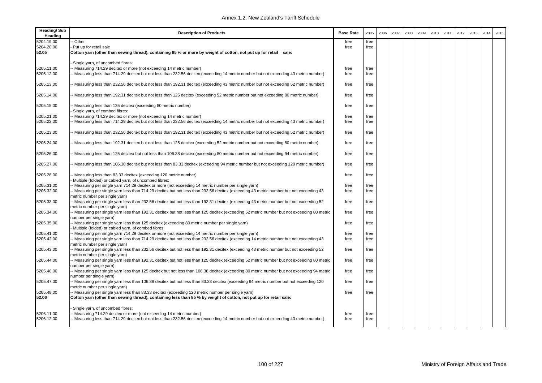| <b>Heading/Sub</b><br>Heading | <b>Description of Products</b>                                                                                                                                                                           | <b>Base Rate</b> | 2005         | 2006 | 2007 | 2008 | 2009 | 2010 | 2011 | 2012 | 2013 | 2014 | 2015 |
|-------------------------------|----------------------------------------------------------------------------------------------------------------------------------------------------------------------------------------------------------|------------------|--------------|------|------|------|------|------|------|------|------|------|------|
| 5204.19.00                    | Other                                                                                                                                                                                                    | free             | free         |      |      |      |      |      |      |      |      |      |      |
| 5204.20.00                    | Put up for retail sale                                                                                                                                                                                   | free             | free         |      |      |      |      |      |      |      |      |      |      |
| 52.05                         | Cotton yarn (other than sewing thread), containing 85 % or more by weight of cotton, not put up for retail sale:                                                                                         |                  |              |      |      |      |      |      |      |      |      |      |      |
|                               | Single yarn, of uncombed fibres:                                                                                                                                                                         |                  |              |      |      |      |      |      |      |      |      |      |      |
| 5205.11.00<br>5205.12.00      | Measuring 714.29 decitex or more (not exceeding 14 metric number)<br>Measuring less than 714.29 decitex but not less than 232.56 decitex (exceeding 14 metric number but not exceeding 43 metric number) | free<br>free     | free<br>free |      |      |      |      |      |      |      |      |      |      |
| 5205.13.00                    | - Measuring less than 232.56 decitex but not less than 192.31 decitex (exceeding 43 metric number but not exceeding 52 metric number)                                                                    | free             | free         |      |      |      |      |      |      |      |      |      |      |
| 5205.14.00                    | - Measuring less than 192.31 decitex but not less than 125 decitex (exceeding 52 metric number but not exceeding 80 metric number)                                                                       | free             | free         |      |      |      |      |      |      |      |      |      |      |
| 5205.15.00                    | Measuring less than 125 decitex (exceeding 80 metric number)<br>Single yarn, of combed fibres:                                                                                                           | free             | free         |      |      |      |      |      |      |      |      |      |      |
| 5205.21.00                    | Measuring 714.29 decitex or more (not exceeding 14 metric number)                                                                                                                                        | free             | free         |      |      |      |      |      |      |      |      |      |      |
| 5205.22.00                    | - Measuring less than 714.29 decitex but not less than 232.56 decitex (exceeding 14 metric number but not exceeding 43 metric number)                                                                    | free             | free         |      |      |      |      |      |      |      |      |      |      |
| 5205.23.00                    | Measuring less than 232.56 decitex but not less than 192.31 decitex (exceeding 43 metric number but not exceeding 52 metric number)                                                                      | free             | free         |      |      |      |      |      |      |      |      |      |      |
| 5205.24.00                    | Measuring less than 192.31 decitex but not less than 125 decitex (exceeding 52 metric number but not exceeding 80 metric number)                                                                         | free             | free         |      |      |      |      |      |      |      |      |      |      |
| 5205.26.00                    | - Measuring less than 125 decitex but not less than 106.38 decitex (exceeding 80 metric number but not exceeding 94 metric number)                                                                       | free             | free         |      |      |      |      |      |      |      |      |      |      |
| 5205.27.00                    | Measuring less than 106.38 decitex but not less than 83.33 decitex (exceeding 94 metric number but not exceeding 120 metric number)                                                                      | free             | free         |      |      |      |      |      |      |      |      |      |      |
| 5205.28.00                    | Measuring less than 83.33 decitex (exceeding 120 metric number)<br>Multiple (folded) or cabled yarn, of uncombed fibres:                                                                                 | free             | free         |      |      |      |      |      |      |      |      |      |      |
| 5205.31.00                    | - Measuring per single yarn 714.29 decitex or more (not exceeding 14 metric number per single yarn)                                                                                                      | free             | free         |      |      |      |      |      |      |      |      |      |      |
| 5205.32.00                    | - Measuring per single yarn less than 714.29 decitex but not less than 232.56 decitex (exceeding 43 metric number but not exceeding 43<br>metric number per single yarn)                                 | free             | free         |      |      |      |      |      |      |      |      |      |      |
| 5205.33.00                    | - Measuring per single yarn less than 232.56 decitex but not less than 192.31 decitex (exceeding 43 metric number but not exceeding 52<br>metric number per single yarn)                                 | free             | free         |      |      |      |      |      |      |      |      |      |      |
| 5205.34.00                    | - Measuring per single yarn less than 192.31 decitex but not less than 125 decitex (exceeding 52 metric number but not exceeding 80 metric<br>number per single yarn)                                    | free             | free         |      |      |      |      |      |      |      |      |      |      |
| 5205.35.00                    | - Measuring per single yarn less than 125 decitex (exceeding 80 metric number per single yarn)<br>Multiple (folded) or cabled yarn, of combed fibres:                                                    | free             | free         |      |      |      |      |      |      |      |      |      |      |
| 5205.41.00                    | - Measuring per single yarn 714.29 decitex or more (not exceeding 14 metric number per single yarn)                                                                                                      | free             | free         |      |      |      |      |      |      |      |      |      |      |
| 5205.42.00                    | - Measuring per single yarn less than 714.29 decitex but not less than 232.56 decitex (exceeding 14 metric number but not exceeding 43<br>metric number per single yarn)                                 | free             | free         |      |      |      |      |      |      |      |      |      |      |
| 5205.43.00                    | - Measuring per single yarn less than 232.56 decitex but not less than 192.31 decitex (exceeding 43 metric number but not exceeding 52<br>metric number per single yarn)                                 | free             | free         |      |      |      |      |      |      |      |      |      |      |
| 5205.44.00                    | - Measuring per single yarn less than 192.31 decitex but not less than 125 decitex (exceeding 52 metric number but not exceeding 80 metric<br>number per single yarn)                                    | free             | free         |      |      |      |      |      |      |      |      |      |      |
| 5205.46.00                    | - Measuring per single yarn less than 125 decitex but not less than 106.38 decitex (exceeding 80 metric number but not exceeding 94 metric<br>number per single yarn)                                    | free             | free         |      |      |      |      |      |      |      |      |      |      |
| 5205.47.00                    | - Measuring per single yarn less than 106.38 decitex but not less than 83.33 decitex (exceeding 94 metric number but not exceeding 120<br>metric number per single yarn)                                 | free             | free         |      |      |      |      |      |      |      |      |      |      |
| 5205.48.00                    | - Measuring per single yarn less than 83.33 decitex (exceeding 120 metric number per single yarn)                                                                                                        | free             | free         |      |      |      |      |      |      |      |      |      |      |
| 52.06                         | Cotton yarn (other than sewing thread), containing less than 85 % by weight of cotton, not put up for retail sale:                                                                                       |                  |              |      |      |      |      |      |      |      |      |      |      |
|                               | Single yarn, of uncombed fibres:                                                                                                                                                                         |                  |              |      |      |      |      |      |      |      |      |      |      |
| 5206.11.00                    | Measuring 714.29 decitex or more (not exceeding 14 metric number)                                                                                                                                        | free             | free         |      |      |      |      |      |      |      |      |      |      |
| 5206.12.00                    | - Measuring less than 714.29 decitex but not less than 232.56 decitex (exceeding 14 metric number but not exceeding 43 metric number)                                                                    | free             | free         |      |      |      |      |      |      |      |      |      |      |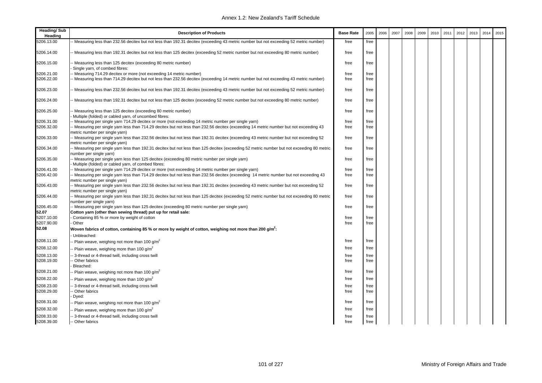| <b>Heading/Sub</b><br>Heading | <b>Description of Products</b>                                                                                                                                            | <b>Base Rate</b> | 2005 | 2006 | 2007 | 2008 | 2009 | 2010 | 2011 | 2012 | 2013 | 2014 | 2015 |
|-------------------------------|---------------------------------------------------------------------------------------------------------------------------------------------------------------------------|------------------|------|------|------|------|------|------|------|------|------|------|------|
| 5206.13.00                    | - Measuring less than 232.56 decitex but not less than 192.31 decitex (exceeding 43 metric number but not exceeding 52 metric number)                                     | free             | free |      |      |      |      |      |      |      |      |      |      |
| 5206.14.00                    | - Measuring less than 192.31 decitex but not less than 125 decitex (exceeding 52 metric number but not exceeding 80 metric number)                                        | free             | free |      |      |      |      |      |      |      |      |      |      |
| 5206.15.00                    | Measuring less than 125 decitex (exceeding 80 metric number)<br>Single yarn, of combed fibres:                                                                            | free             | free |      |      |      |      |      |      |      |      |      |      |
| 5206.21.00                    | - Measuring 714.29 decitex or more (not exceeding 14 metric number)                                                                                                       | free             | free |      |      |      |      |      |      |      |      |      |      |
| 5206.22.00                    | - Measuring less than 714.29 decitex but not less than 232.56 decitex (exceeding 14 metric number but not exceeding 43 metric number)                                     | free             | free |      |      |      |      |      |      |      |      |      |      |
| 5206.23.00                    | - Measuring less than 232.56 decitex but not less than 192.31 decitex (exceeding 43 metric number but not exceeding 52 metric number)                                     | free             | free |      |      |      |      |      |      |      |      |      |      |
| 5206.24.00                    | - Measuring less than 192.31 decitex but not less than 125 decitex (exceeding 52 metric number but not exceeding 80 metric number)                                        | free             | free |      |      |      |      |      |      |      |      |      |      |
| 5206.25.00                    | - Measuring less than 125 decitex (exceeding 80 metric number)<br>Multiple (folded) or cabled yarn, of uncombed fibres:                                                   | free             | free |      |      |      |      |      |      |      |      |      |      |
| 5206.31.00                    | - Measuring per single yarn 714.29 decitex or more (not exceeding 14 metric number per single yarn)                                                                       | free             | free |      |      |      |      |      |      |      |      |      |      |
| 5206.32.00                    | -- Measuring per single yarn less than 714.29 decitex but not less than 232.56 decitex (exceeding 14 metric number but not exceeding 43<br>metric number per single yarn) | free             | free |      |      |      |      |      |      |      |      |      |      |
| 5206.33.00                    | -- Measuring per single yarn less than 232.56 decitex but not less than 192.31 decitex (exceeding 43 metric number but not exceeding 52<br>metric number per single yarn) | free             | free |      |      |      |      |      |      |      |      |      |      |
| 5206.34.00                    | -- Measuring per single yarn less than 192.31 decitex but not less than 125 decitex (exceeding 52 metric number but not exceeding 80 metric<br>number per single yarn)    | free             | free |      |      |      |      |      |      |      |      |      |      |
| 5206.35.00                    | -- Measuring per single yarn less than 125 decitex (exceeding 80 metric number per single yarn)<br>Multiple (folded) or cabled yarn, of combed fibres:                    | free             | free |      |      |      |      |      |      |      |      |      |      |
| 5206.41.00                    | - Measuring per single yarn 714.29 decitex or more (not exceeding 14 metric number per single yarn)                                                                       | free             | free |      |      |      |      |      |      |      |      |      |      |
| 5206.42.00                    | -- Measuring per single yarn less than 714.29 decitex but not less than 232.56 decitex (exceeding 14 metric number but not exceeding 43<br>metric number per single yarn) | free             | free |      |      |      |      |      |      |      |      |      |      |
| 5206.43.00                    | -- Measuring per single yarn less than 232.56 decitex but not less than 192.31 decitex (exceeding 43 metric number but not exceeding 52<br>metric number per single yarn) | free             | free |      |      |      |      |      |      |      |      |      |      |
| 5206.44.00                    | -- Measuring per single yarn less than 192.31 decitex but not less than 125 decitex (exceeding 52 metric number but not exceeding 80 metric<br>number per single yarn)    | free             | free |      |      |      |      |      |      |      |      |      |      |
| 5206.45.00                    | -- Measuring per single yarn less than 125 decitex (exceeding 80 metric number per single yarn)                                                                           | free             | free |      |      |      |      |      |      |      |      |      |      |
| 52.07                         | Cotton yarn (other than sewing thread) put up for retail sale:                                                                                                            |                  |      |      |      |      |      |      |      |      |      |      |      |
| 5207.10.00                    | Containing 85 % or more by weight of cotton                                                                                                                               | free             | free |      |      |      |      |      |      |      |      |      |      |
| 5207.90.00                    | Other                                                                                                                                                                     | free             | free |      |      |      |      |      |      |      |      |      |      |
| 52.08                         | Woven fabrics of cotton, containing 85 % or more by weight of cotton, weighing not more than 200 g/m <sup>2</sup> :<br>Unbleached:                                        |                  |      |      |      |      |      |      |      |      |      |      |      |
| 5208.11.00                    | Plain weave, weighing not more than 100 g/m <sup>2</sup>                                                                                                                  | free             | free |      |      |      |      |      |      |      |      |      |      |
| 5208.12.00                    | - Plain weave, weighing more than 100 g/m <sup>2</sup>                                                                                                                    | free             | free |      |      |      |      |      |      |      |      |      |      |
| 5208.13.00                    | 3-thread or 4-thread twill, including cross twill                                                                                                                         | free             | free |      |      |      |      |      |      |      |      |      |      |
| 5208.19.00                    | Other fabrics<br>Bleached:                                                                                                                                                | free             | free |      |      |      |      |      |      |      |      |      |      |
| 5208.21.00                    | Plain weave, weighing not more than 100 g/m <sup>2</sup>                                                                                                                  | free             | free |      |      |      |      |      |      |      |      |      |      |
| 5208.22.00                    | Plain weave, weighing more than 100 $q/m^2$                                                                                                                               | free             | free |      |      |      |      |      |      |      |      |      |      |
| 5208.23.00                    | 3-thread or 4-thread twill, including cross twill                                                                                                                         | free             | free |      |      |      |      |      |      |      |      |      |      |
| 5208.29.00                    | Other fabrics<br>Dyed:                                                                                                                                                    | free             | free |      |      |      |      |      |      |      |      |      |      |
| 5208.31.00                    | - Plain weave, weighing not more than 100 g/m <sup>2</sup>                                                                                                                | free             | free |      |      |      |      |      |      |      |      |      |      |
| 5208.32.00                    | Plain weave, weighing more than 100 $g/m^2$                                                                                                                               | free             | free |      |      |      |      |      |      |      |      |      |      |
| 5208.33.00                    | - 3-thread or 4-thread twill, including cross twill                                                                                                                       | free             | free |      |      |      |      |      |      |      |      |      |      |
| 5208.39.00                    | -- Other fabrics                                                                                                                                                          | free             | free |      |      |      |      |      |      |      |      |      |      |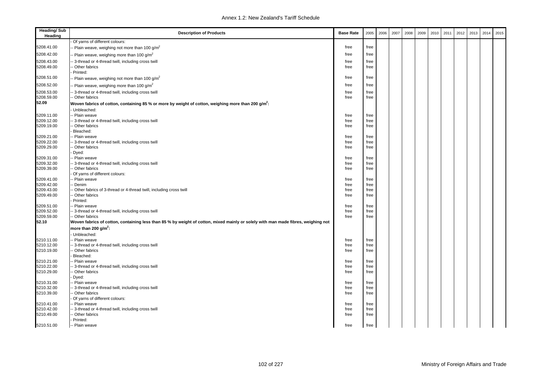| <b>Heading/Sub</b><br>Heading | <b>Description of Products</b>                                                                                                    | <b>Base Rate</b> | 2005         | 2006 | 2007 | 2008 | 2009 | 2010 | 2011 | 2012 | 2013 | 2014 | 2015 |
|-------------------------------|-----------------------------------------------------------------------------------------------------------------------------------|------------------|--------------|------|------|------|------|------|------|------|------|------|------|
|                               | Of yarns of different colours:                                                                                                    |                  |              |      |      |      |      |      |      |      |      |      |      |
| 5208.41.00                    | - Plain weave, weighing not more than 100 g/m <sup>2</sup>                                                                        | free             | free         |      |      |      |      |      |      |      |      |      |      |
| 5208.42.00                    | - Plain weave, weighing more than 100 g/m <sup>2</sup>                                                                            | free             | free         |      |      |      |      |      |      |      |      |      |      |
| 5208.43.00                    | 3-thread or 4-thread twill, including cross twill                                                                                 | free             | free         |      |      |      |      |      |      |      |      |      |      |
| 5208.49.00                    | Other fabrics                                                                                                                     | free             | free         |      |      |      |      |      |      |      |      |      |      |
|                               | Printed:                                                                                                                          |                  |              |      |      |      |      |      |      |      |      |      |      |
| 5208.51.00                    | - Plain weave, weighing not more than 100 g/m <sup>2</sup>                                                                        | free             | free         |      |      |      |      |      |      |      |      |      |      |
| 5208.52.00                    | Plain weave, weighing more than 100 g/m <sup>2</sup>                                                                              | free             | free         |      |      |      |      |      |      |      |      |      |      |
| 5208.53.00                    | - 3-thread or 4-thread twill, including cross twill                                                                               | free             | free         |      |      |      |      |      |      |      |      |      |      |
| 5208.59.00                    | - Other fabrics                                                                                                                   | free             | free         |      |      |      |      |      |      |      |      |      |      |
| 52.09                         | Woven fabrics of cotton, containing 85 % or more by weight of cotton, weighing more than 200 g/m $\hat{}$ :                       |                  |              |      |      |      |      |      |      |      |      |      |      |
|                               | Unbleached:                                                                                                                       |                  |              |      |      |      |      |      |      |      |      |      |      |
| 5209.11.00                    | - Plain weave                                                                                                                     | free             | free         |      |      |      |      |      |      |      |      |      |      |
| 5209.12.00                    | - 3-thread or 4-thread twill, including cross twill                                                                               | free             | free         |      |      |      |      |      |      |      |      |      |      |
| 5209.19.00                    | Other fabrics                                                                                                                     | free             | free         |      |      |      |      |      |      |      |      |      |      |
|                               | Bleached:                                                                                                                         |                  |              |      |      |      |      |      |      |      |      |      |      |
| 5209.21.00                    | -- Plain weave                                                                                                                    | free             | free         |      |      |      |      |      |      |      |      |      |      |
| 5209.22.00                    | - 3-thread or 4-thread twill, including cross twill                                                                               | free             | free         |      |      |      |      |      |      |      |      |      |      |
| 5209.29.00                    | - Other fabrics<br>Dyed:                                                                                                          | free             | free         |      |      |      |      |      |      |      |      |      |      |
| 5209.31.00                    | - Plain weave                                                                                                                     | free             | free         |      |      |      |      |      |      |      |      |      |      |
| 5209.32.00                    | - 3-thread or 4-thread twill, including cross twill                                                                               | free             | free         |      |      |      |      |      |      |      |      |      |      |
| 5209.39.00                    | - Other fabrics                                                                                                                   | free             | free         |      |      |      |      |      |      |      |      |      |      |
|                               | Of yarns of different colours:                                                                                                    |                  |              |      |      |      |      |      |      |      |      |      |      |
| 5209.41.00                    | - Plain weave                                                                                                                     | free             | free         |      |      |      |      |      |      |      |      |      |      |
| 5209.42.00                    | - Denim                                                                                                                           | free             | free         |      |      |      |      |      |      |      |      |      |      |
| 5209.43.00                    | - Other fabrics of 3-thread or 4-thread twill, including cross twill                                                              | free             | free         |      |      |      |      |      |      |      |      |      |      |
| 5209.49.00                    | Other fabrics                                                                                                                     | free             | free         |      |      |      |      |      |      |      |      |      |      |
|                               | Printed:                                                                                                                          |                  |              |      |      |      |      |      |      |      |      |      |      |
| 5209.51.00                    | - Plain weave                                                                                                                     | free             | free         |      |      |      |      |      |      |      |      |      |      |
| 5209.52.00<br>5209.59.00      | -- 3-thread or 4-thread twill, including cross twill<br>-- Other fabrics                                                          | free<br>free     | free         |      |      |      |      |      |      |      |      |      |      |
| 52.10                         | Woven fabrics of cotton, containing less than 85 % by weight of cotton, mixed mainly or solely with man made fibres, weighing not |                  | free         |      |      |      |      |      |      |      |      |      |      |
|                               | more than 200 g/m <sup>2</sup> :                                                                                                  |                  |              |      |      |      |      |      |      |      |      |      |      |
|                               |                                                                                                                                   |                  |              |      |      |      |      |      |      |      |      |      |      |
| 5210.11.00                    | Unbleached:<br>- Plain weave                                                                                                      | free             | free         |      |      |      |      |      |      |      |      |      |      |
| 5210.12.00                    | - 3-thread or 4-thread twill, including cross twill                                                                               | free             | free         |      |      |      |      |      |      |      |      |      |      |
| 5210.19.00                    | - Other fabrics                                                                                                                   | free             | free         |      |      |      |      |      |      |      |      |      |      |
|                               | Bleached:                                                                                                                         |                  |              |      |      |      |      |      |      |      |      |      |      |
| 5210.21.00                    | - Plain weave                                                                                                                     | free             | free         |      |      |      |      |      |      |      |      |      |      |
| 5210.22.00                    | - 3-thread or 4-thread twill, including cross twill                                                                               | free             | free         |      |      |      |      |      |      |      |      |      |      |
| 5210.29.00                    | - Other fabrics                                                                                                                   | free             | free         |      |      |      |      |      |      |      |      |      |      |
|                               | Dyed:                                                                                                                             |                  |              |      |      |      |      |      |      |      |      |      |      |
| 5210.31.00                    | - Plain weave                                                                                                                     | free             | free         |      |      |      |      |      |      |      |      |      |      |
| 5210.32.00                    | - 3-thread or 4-thread twill, including cross twill                                                                               | free             | free         |      |      |      |      |      |      |      |      |      |      |
| 5210.39.00                    | - Other fabrics                                                                                                                   | free             | free         |      |      |      |      |      |      |      |      |      |      |
|                               | Of yarns of different colours:                                                                                                    |                  |              |      |      |      |      |      |      |      |      |      |      |
| 5210.41.00<br>5210.42.00      | -- Plain weave<br>- 3-thread or 4-thread twill, including cross twill                                                             | free<br>free     | free<br>free |      |      |      |      |      |      |      |      |      |      |
| 5210.49.00                    | - Other fabrics                                                                                                                   | free             | free         |      |      |      |      |      |      |      |      |      |      |
|                               | Printed:                                                                                                                          |                  |              |      |      |      |      |      |      |      |      |      |      |
| 5210.51.00                    | -- Plain weave                                                                                                                    | free             | free         |      |      |      |      |      |      |      |      |      |      |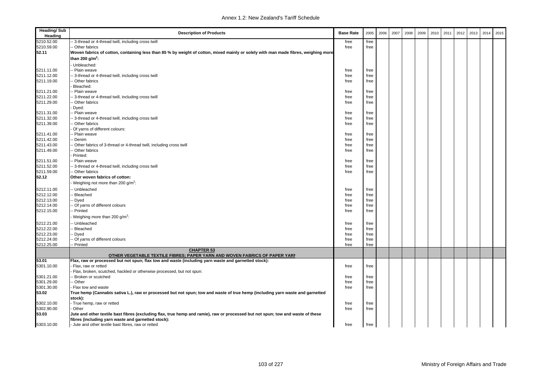| <b>Heading/Sub</b><br>Heading | <b>Description of Products</b>                                                                                                     | <b>Base Rate</b> | 2005         | 2006 | 2007 | 2008 | 2009 | 2010 | 2011 | 2012 | 2013 | 2014 | 2015 |
|-------------------------------|------------------------------------------------------------------------------------------------------------------------------------|------------------|--------------|------|------|------|------|------|------|------|------|------|------|
| 5210.52.00                    | 3-thread or 4-thread twill, including cross twill                                                                                  | free             | free         |      |      |      |      |      |      |      |      |      |      |
| 5210.59.00                    | - Other fabrics                                                                                                                    | free             | free         |      |      |      |      |      |      |      |      |      |      |
| 52.11                         | Woven fabrics of cotton, containing less than 85 % by weight of cotton, mixed mainly or solely with man made fibres, weighing more |                  |              |      |      |      |      |      |      |      |      |      |      |
|                               | than 200 g/m <sup>2</sup> :                                                                                                        |                  |              |      |      |      |      |      |      |      |      |      |      |
|                               | Unbleached:                                                                                                                        |                  |              |      |      |      |      |      |      |      |      |      |      |
| 5211.11.00                    | - Plain weave                                                                                                                      | free             | free         |      |      |      |      |      |      |      |      |      |      |
| 5211.12.00                    | 3-thread or 4-thread twill, including cross twill                                                                                  | free             | free         |      |      |      |      |      |      |      |      |      |      |
| 5211.19.00                    | Other fabrics                                                                                                                      | free             | free         |      |      |      |      |      |      |      |      |      |      |
|                               | Bleached:                                                                                                                          |                  |              |      |      |      |      |      |      |      |      |      |      |
| 5211.21.00                    | Plain weave                                                                                                                        | free             | free         |      |      |      |      |      |      |      |      |      |      |
| 5211.22.00                    | 3-thread or 4-thread twill, including cross twill                                                                                  | free             | free         |      |      |      |      |      |      |      |      |      |      |
| 5211.29.00                    | Other fabrics                                                                                                                      | free             | free         |      |      |      |      |      |      |      |      |      |      |
|                               | Dyed:                                                                                                                              |                  |              |      |      |      |      |      |      |      |      |      |      |
| 5211.31.00                    | - Plain weave                                                                                                                      | free             | free         |      |      |      |      |      |      |      |      |      |      |
| 5211.32.00                    | 3-thread or 4-thread twill, including cross twill                                                                                  | free             | free         |      |      |      |      |      |      |      |      |      |      |
| 5211.39.00                    | - Other fabrics                                                                                                                    | free             | free         |      |      |      |      |      |      |      |      |      |      |
|                               | Of yarns of different colours:                                                                                                     |                  |              |      |      |      |      |      |      |      |      |      |      |
| 5211.41.00                    | - Plain weave                                                                                                                      | free             | free         |      |      |      |      |      |      |      |      |      |      |
| 5211.42.00<br>5211.43.00      | - Denim<br>Other fabrics of 3-thread or 4-thread twill, including cross twill                                                      | free<br>free     | free<br>free |      |      |      |      |      |      |      |      |      |      |
| 5211.49.00                    | Other fabrics                                                                                                                      | free             | free         |      |      |      |      |      |      |      |      |      |      |
|                               | Printed:                                                                                                                           |                  |              |      |      |      |      |      |      |      |      |      |      |
| 5211.51.00                    | - Plain weave                                                                                                                      | free             | free         |      |      |      |      |      |      |      |      |      |      |
| 5211.52.00                    | 3-thread or 4-thread twill, including cross twill                                                                                  | free             | free         |      |      |      |      |      |      |      |      |      |      |
| 5211.59.00                    | - Other fabrics                                                                                                                    | free             | free         |      |      |      |      |      |      |      |      |      |      |
| 52.12                         | Other woven fabrics of cotton:                                                                                                     |                  |              |      |      |      |      |      |      |      |      |      |      |
|                               | Weighing not more than 200 g/m <sup>2</sup> :                                                                                      |                  |              |      |      |      |      |      |      |      |      |      |      |
|                               | - Unbleached                                                                                                                       |                  | free         |      |      |      |      |      |      |      |      |      |      |
| 5212.11.00<br>5212.12.00      | <b>Bleached</b>                                                                                                                    | free<br>free     | free         |      |      |      |      |      |      |      |      |      |      |
| 5212.13.00                    | Dyed                                                                                                                               | free             | free         |      |      |      |      |      |      |      |      |      |      |
| 5212.14.00                    | Of yarns of different colours                                                                                                      | free             | free         |      |      |      |      |      |      |      |      |      |      |
| 5212.15.00                    | Printed                                                                                                                            | free             | free         |      |      |      |      |      |      |      |      |      |      |
|                               | Weighing more than 200 $g/m^2$ :                                                                                                   |                  |              |      |      |      |      |      |      |      |      |      |      |
|                               |                                                                                                                                    |                  |              |      |      |      |      |      |      |      |      |      |      |
| 5212.21.00                    | Unbleached                                                                                                                         | free             | free         |      |      |      |      |      |      |      |      |      |      |
| 5212.22.00                    | <b>Bleached</b>                                                                                                                    | free             | free         |      |      |      |      |      |      |      |      |      |      |
| 5212.23.00<br>5212.24.00      | Dyed<br>Of yarns of different colours                                                                                              | free             | free<br>free |      |      |      |      |      |      |      |      |      |      |
|                               | Printed                                                                                                                            | free<br>free     | free         |      |      |      |      |      |      |      |      |      |      |
| 5212.25.00                    | <b>CHAPTER 53</b>                                                                                                                  |                  |              |      |      |      |      |      |      |      |      |      |      |
|                               | OTHER VEGETABLE TEXTILE FIBRES; PAPER YARN AND WOVEN FABRICS OF PAPER YARN                                                         |                  |              |      |      |      |      |      |      |      |      |      |      |
| 53.01                         | Flax, raw or processed but not spun; flax tow and waste (including yarn waste and garnetted stock):                                |                  |              |      |      |      |      |      |      |      |      |      |      |
| 5301.10.00                    | Flax, raw or retted                                                                                                                | free             | free         |      |      |      |      |      |      |      |      |      |      |
|                               | Flax, broken, scutched, hackled or otherwise processed, but not spun:                                                              |                  |              |      |      |      |      |      |      |      |      |      |      |
| 5301.21.00                    | Broken or scutched                                                                                                                 | free             | free         |      |      |      |      |      |      |      |      |      |      |
| 5301.29.00                    | - Other                                                                                                                            | free             | free         |      |      |      |      |      |      |      |      |      |      |
| 5301.30.00                    | Flax tow and waste                                                                                                                 | free             | free         |      |      |      |      |      |      |      |      |      |      |
| 53.02                         | True hemp (Cannabis sativa L.), raw or processed but not spun; tow and waste of true hemp (including yarn waste and garnetted      |                  |              |      |      |      |      |      |      |      |      |      |      |
|                               | stock):                                                                                                                            |                  |              |      |      |      |      |      |      |      |      |      |      |
| 5302.10.00                    | True hemp, raw or retted                                                                                                           | free             | free         |      |      |      |      |      |      |      |      |      |      |
| 5302.90.00                    | Other                                                                                                                              | free             | free         |      |      |      |      |      |      |      |      |      |      |
| 53.03                         | Jute and other textile bast fibres (excluding flax, true hemp and ramie), raw or processed but not spun; tow and waste of these    |                  |              |      |      |      |      |      |      |      |      |      |      |
|                               | fibres (including yarn waste and garnetted stock):                                                                                 |                  |              |      |      |      |      |      |      |      |      |      |      |
| 5303.10.00                    | - Jute and other textile bast fibres, raw or retted                                                                                | free             | free         |      |      |      |      |      |      |      |      |      |      |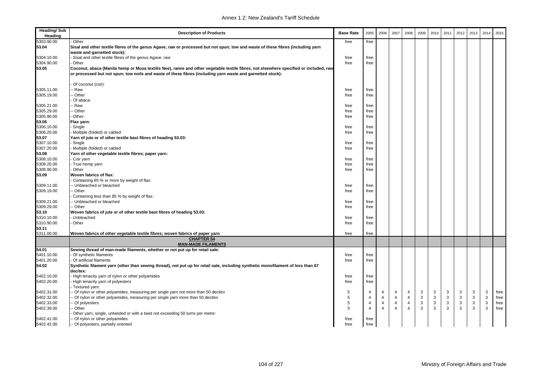| <b>Heading/Sub</b><br>Heading | <b>Description of Products</b>                                                                                                        | <b>Base Rate</b> | 2005           | 2006           | 2007           | 2008           | 2009         | 2010         | 2011 | 2012 | 2013         | 2014         | 2015 |
|-------------------------------|---------------------------------------------------------------------------------------------------------------------------------------|------------------|----------------|----------------|----------------|----------------|--------------|--------------|------|------|--------------|--------------|------|
| 5303.90.00                    | Other                                                                                                                                 | free             | free           |                |                |                |              |              |      |      |              |              |      |
| 53.04                         | Sisal and other textile fibres of the genus Agave, raw or processed but not spun; tow and waste of these fibres (including yarn       |                  |                |                |                |                |              |              |      |      |              |              |      |
|                               | waste and garnetted stock):                                                                                                           |                  |                |                |                |                |              |              |      |      |              |              |      |
| 5304.10.00                    | Sisal and other textile fibres of the genus Agave, raw                                                                                | free             | free           |                |                |                |              |              |      |      |              |              |      |
| 5304.90.00                    | Other                                                                                                                                 | free             | free           |                |                |                |              |              |      |      |              |              |      |
| 53.05                         | Coconut, abaca (Manila hemp or Musa textilis Nee), ramie and other vegetable textile fibres, not elsewhere specified or included, raw |                  |                |                |                |                |              |              |      |      |              |              |      |
|                               | or processed but not spun; tow noils and waste of these fibres (including yarn waste and garnetted stock):                            |                  |                |                |                |                |              |              |      |      |              |              |      |
|                               | Of coconut (coir):                                                                                                                    |                  |                |                |                |                |              |              |      |      |              |              |      |
| 5305.11.00                    | - Raw                                                                                                                                 | free             | free           |                |                |                |              |              |      |      |              |              |      |
| 5305.19.00                    | - Other                                                                                                                               | free             | free           |                |                |                |              |              |      |      |              |              |      |
|                               | Of abaca:                                                                                                                             |                  |                |                |                |                |              |              |      |      |              |              |      |
| 5305.21.00                    | - Raw                                                                                                                                 | free             | free           |                |                |                |              |              |      |      |              |              |      |
| 5305.29.00                    | - Other                                                                                                                               | free             | free           |                |                |                |              |              |      |      |              |              |      |
| 5305.90.00                    | Other:                                                                                                                                | free             | free           |                |                |                |              |              |      |      |              |              |      |
| 53.06                         | Flax yarn:                                                                                                                            |                  |                |                |                |                |              |              |      |      |              |              |      |
| 5306.10.00                    | Single                                                                                                                                | free             | free           |                |                |                |              |              |      |      |              |              |      |
| 5306.20.00                    | Multiple (folded) or cabled                                                                                                           | free             | free           |                |                |                |              |              |      |      |              |              |      |
| 53.07                         | Yarn of jute or of other textile bast fibres of heading 53.03:                                                                        |                  |                |                |                |                |              |              |      |      |              |              |      |
| 5307.10.00                    | Single                                                                                                                                | free             | free           |                |                |                |              |              |      |      |              |              |      |
| 5307.20.00                    | Multiple (folded) or cabled                                                                                                           | free             | free           |                |                |                |              |              |      |      |              |              |      |
| 53.08                         | Yarn of other vegetable textile fibres; paper yarn:                                                                                   |                  |                |                |                |                |              |              |      |      |              |              |      |
| 5308.10.00                    | Coir yarn                                                                                                                             | free             | free           |                |                |                |              |              |      |      |              |              |      |
| 5308.20.00                    | True hemp yarn                                                                                                                        | free             | free           |                |                |                |              |              |      |      |              |              |      |
| 5308.90.00                    | Other                                                                                                                                 | free             | free           |                |                |                |              |              |      |      |              |              |      |
| 53.09                         | Woven fabrics of flax:                                                                                                                |                  |                |                |                |                |              |              |      |      |              |              |      |
|                               | Containing 85 % or more by weight of flax:                                                                                            |                  |                |                |                |                |              |              |      |      |              |              |      |
| 5309.11.00                    | -- Unbleached or bleached                                                                                                             | free             | free           |                |                |                |              |              |      |      |              |              |      |
| 5309.19.00                    | - Other                                                                                                                               | free             | free           |                |                |                |              |              |      |      |              |              |      |
|                               | Containing less than 85 % by weight of flax:                                                                                          |                  |                |                |                |                |              |              |      |      |              |              |      |
| 5309.21.00                    | - Unbleached or bleached                                                                                                              | free             | free           |                |                |                |              |              |      |      |              |              |      |
| 5309.29.00                    | - Other                                                                                                                               | free             | free           |                |                |                |              |              |      |      |              |              |      |
| 53.10                         | Woven fabrics of jute or of other textile bast fibres of heading 53.03:                                                               |                  |                |                |                |                |              |              |      |      |              |              |      |
| 5310.10.00                    | Unbleached                                                                                                                            | free             | free           |                |                |                |              |              |      |      |              |              |      |
| 5310.90.00                    | Other                                                                                                                                 | free             | free           |                |                |                |              |              |      |      |              |              |      |
| 53.11                         |                                                                                                                                       |                  |                |                |                |                |              |              |      |      |              |              |      |
| 5311.00.00                    | Woven fabrics of other vegetable textile fibres; woven fabrics of paper yarn                                                          | free             | free           |                |                |                |              |              |      |      |              |              |      |
|                               | <b>CHAPTER 54</b>                                                                                                                     |                  |                |                |                |                |              |              |      |      |              |              |      |
| 54.01                         | <b>MAN-MADE FILAMENTS</b><br>Sewing thread of man-made filaments, whether or not put up for retail sale:                              |                  |                |                |                |                |              |              |      |      |              |              |      |
| 5401.10.00                    | Of synthetic filaments                                                                                                                |                  |                |                |                |                |              |              |      |      |              |              |      |
| 5401.20.00                    | Of artificial filaments                                                                                                               | free<br>free     | free<br>free   |                |                |                |              |              |      |      |              |              |      |
|                               |                                                                                                                                       |                  |                |                |                |                |              |              |      |      |              |              |      |
| 54.02                         | Synthetic filament yarn (other than sewing thread), not put up for retail sale, including synthetic monofilament of less than 67      |                  |                |                |                |                |              |              |      |      |              |              |      |
|                               | decitex:                                                                                                                              |                  |                |                |                |                |              |              |      |      |              |              |      |
| 5402.10.00<br>5402.20.00      | High tenacity yarn of nylon or other polyamides<br>High tenacity yarn of polyesters                                                   | free<br>free     | free<br>free   |                |                |                |              |              |      |      |              |              |      |
|                               | Textured yarn:                                                                                                                        |                  |                |                |                |                |              |              |      |      |              |              |      |
| 5402.31.00                    | - Of nylon or other polyamides, measuring per single yarn not more than 50 decitex                                                    | 5                | 4              | 4              | 4              | 4              | 3            | 3            | 3    | 3    | 3            | 3            | free |
| 5402.32.00                    | - Of nylon or other polyamides, measuring per single yarn more than 50 decitex                                                        | 5                | $\overline{4}$ | $\overline{4}$ | $\overline{4}$ | $\overline{4}$ | 3            | $\mathbf{3}$ | 3    | 3    | $\mathsf 3$  | $\mathbf{3}$ | free |
| 5402.33.00                    | Of polyesters                                                                                                                         | 5                | $\overline{4}$ | $\overline{4}$ | $\overline{4}$ | $\overline{4}$ | $\mathbf{3}$ | $\mathbf{3}$ | 3    | 3    | $\mathbf{3}$ | 3            | free |
| 5402.39.00                    | - Other                                                                                                                               | 5                | $\overline{4}$ | $\overline{4}$ | $\overline{4}$ | $\overline{4}$ | 3            | $\mathbf{3}$ | 3    | 3    | 3            | 3            | free |
|                               | Other yarn, single, untwisted or with a twist not exceeding 50 turns per metre:                                                       |                  |                |                |                |                |              |              |      |      |              |              |      |
| 5402.41.00                    | - Of nylon or other polyamides                                                                                                        | free             | free           |                |                |                |              |              |      |      |              |              |      |
| 5402.42.00                    | -- Of polyesters, partially oriented                                                                                                  | free             | free           |                |                |                |              |              |      |      |              |              |      |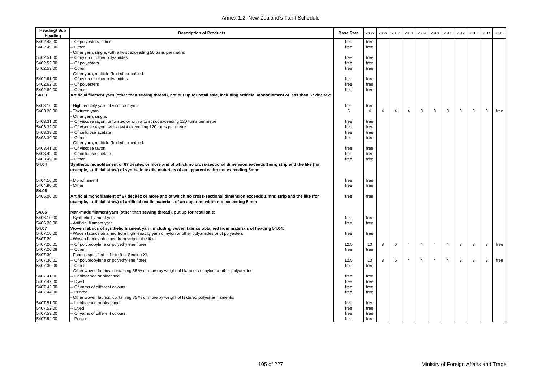| <b>Heading/Sub</b><br>Heading | <b>Description of Products</b>                                                                                                                                                                                                      | <b>Base Rate</b> | 2005 | 2006 | 2007           | 2008           | 2009           | 2010           | 2011           | 2012 | 2013 | 2014 | 2015 |
|-------------------------------|-------------------------------------------------------------------------------------------------------------------------------------------------------------------------------------------------------------------------------------|------------------|------|------|----------------|----------------|----------------|----------------|----------------|------|------|------|------|
| 5402.43.00                    | Of polyesters, other                                                                                                                                                                                                                | free             | free |      |                |                |                |                |                |      |      |      |      |
| 5402.49.00                    | Other                                                                                                                                                                                                                               | free             | free |      |                |                |                |                |                |      |      |      |      |
|                               | Other yarn, single, with a twist exceeding 50 turns per metre:                                                                                                                                                                      |                  |      |      |                |                |                |                |                |      |      |      |      |
| 5402.51.00                    | Of nylon or other polyamides                                                                                                                                                                                                        | free             | free |      |                |                |                |                |                |      |      |      |      |
| 5402.52.00                    | Of polyesters                                                                                                                                                                                                                       | free             | free |      |                |                |                |                |                |      |      |      |      |
| 5402.59.00                    | - Other                                                                                                                                                                                                                             | free             | free |      |                |                |                |                |                |      |      |      |      |
|                               | Other yarn, multiple (folded) or cabled:                                                                                                                                                                                            |                  |      |      |                |                |                |                |                |      |      |      |      |
| 5402.61.00                    | Of nylon or other polyamides                                                                                                                                                                                                        | free             | free |      |                |                |                |                |                |      |      |      |      |
| 5402.62.00                    | Of polyesters                                                                                                                                                                                                                       | free             | free |      |                |                |                |                |                |      |      |      |      |
| 5402.69.00                    | - Other                                                                                                                                                                                                                             | free             | free |      |                |                |                |                |                |      |      |      |      |
| 54.03                         | Artificial filament yarn (other than sewing thread), not put up for retail sale, including artificial monofilament of less than 67 decitex:                                                                                         |                  |      |      |                |                |                |                |                |      |      |      |      |
| 5403.10.00                    | High tenacity yarn of viscose rayon                                                                                                                                                                                                 | free             | free |      |                |                |                |                |                |      |      |      |      |
| 5403.20.00                    | Textured yarn                                                                                                                                                                                                                       | 5                | 4    | 4    | $\overline{4}$ | $\overline{4}$ | 3              | 3              | 3              | 3    | 3    | 3    | free |
|                               | Other yarn, single:                                                                                                                                                                                                                 |                  |      |      |                |                |                |                |                |      |      |      |      |
| 5403.31.00                    | Of viscose rayon, untwisted or with a twist not exceeding 120 turns per metre                                                                                                                                                       | free             | free |      |                |                |                |                |                |      |      |      |      |
| 5403.32.00                    | Of viscose rayon, with a twist exceeding 120 turns per metre                                                                                                                                                                        | free             | free |      |                |                |                |                |                |      |      |      |      |
| 5403.33.00                    | Of cellulose acetate                                                                                                                                                                                                                | free             | free |      |                |                |                |                |                |      |      |      |      |
| 5403.39.00                    | · Other                                                                                                                                                                                                                             | free             | free |      |                |                |                |                |                |      |      |      |      |
|                               | Other yarn, multiple (folded) or cabled:                                                                                                                                                                                            |                  |      |      |                |                |                |                |                |      |      |      |      |
| 5403.41.00                    | Of viscose rayon                                                                                                                                                                                                                    | free             | free |      |                |                |                |                |                |      |      |      |      |
| 5403.42.00                    | Of cellulose acetate                                                                                                                                                                                                                | free             | free |      |                |                |                |                |                |      |      |      |      |
| 5403.49.00                    | - Other                                                                                                                                                                                                                             | free             | free |      |                |                |                |                |                |      |      |      |      |
| 54.04                         | Synthetic monofilament of 67 decitex or more and of which no cross-sectional dimension exceeds 1mm; strip and the like (for<br>example, artificial straw) of synthetic textile materials of an apparent width not exceeding 5mm:    |                  |      |      |                |                |                |                |                |      |      |      |      |
| 5404.10.00                    | Monofilament                                                                                                                                                                                                                        | free             | free |      |                |                |                |                |                |      |      |      |      |
| 5404.90.00                    | Other                                                                                                                                                                                                                               | free             | free |      |                |                |                |                |                |      |      |      |      |
| 54.05                         |                                                                                                                                                                                                                                     |                  |      |      |                |                |                |                |                |      |      |      |      |
| 5405.00.00                    | Artificial monofilament of 67 decitex or more and of which no cross-sectional dimension exceeds 1 mm; strip and the like (for<br>example, artificial straw) of artificial textile materials of an apparent width not exceeding 5 mm | free             | free |      |                |                |                |                |                |      |      |      |      |
| 54.06                         | Man-made filament yarn (other than sewing thread), put up for retail sale:                                                                                                                                                          |                  |      |      |                |                |                |                |                |      |      |      |      |
| 5406.10.00                    | Synthetic filament yarn                                                                                                                                                                                                             | free             | free |      |                |                |                |                |                |      |      |      |      |
| 5406.20.00                    | Artificial filament yarn                                                                                                                                                                                                            | free             | free |      |                |                |                |                |                |      |      |      |      |
| 54.07                         | Woven fabrics of synthetic filament yarn, including woven fabrics obtained from materials of heading 54.04:                                                                                                                         |                  |      |      |                |                |                |                |                |      |      |      |      |
| 5407.10.00                    | Woven fabrics obtained from high tenacity yarn of nylon or other polyamides or of polyesters                                                                                                                                        | free             | free |      |                |                |                |                |                |      |      |      |      |
| 5407.20                       | Woven fabrics obtained from strip or the like:                                                                                                                                                                                      |                  |      |      |                |                |                |                |                |      |      |      |      |
| 5407.20.01                    | Of polypropylene or polyethylene fibres                                                                                                                                                                                             | 12.5             | 10   | 8    | 6              | $\overline{4}$ | $\overline{4}$ | $\overline{4}$ | $\overline{4}$ | 3    | 3    | 3    | free |
| 5407.20.09                    | - Other                                                                                                                                                                                                                             | free             | free |      |                |                |                |                |                |      |      |      |      |
| 5407.30                       | Fabrics specified in Note 9 to Section XI:                                                                                                                                                                                          |                  |      |      |                |                |                |                |                |      |      |      |      |
| 5407.30.01                    | Of polypropylene or polyethylene fibres                                                                                                                                                                                             | 12.5             | 10   | 8    | 6              | $\overline{4}$ | $\overline{4}$ | $\overline{4}$ | $\overline{4}$ | 3    | 3    | 3    | free |
| 5407.30.09                    | - Other                                                                                                                                                                                                                             | free             | free |      |                |                |                |                |                |      |      |      |      |
|                               | Other woven fabrics, containing 85 % or more by weight of filaments of nylon or other polyamides:                                                                                                                                   |                  |      |      |                |                |                |                |                |      |      |      |      |
| 5407.41.00                    | - Unbleached or bleached                                                                                                                                                                                                            | free             | free |      |                |                |                |                |                |      |      |      |      |
| 5407.42.00                    | Dyed                                                                                                                                                                                                                                | free             | free |      |                |                |                |                |                |      |      |      |      |
| 5407.43.00                    | - Of yarns of different colours                                                                                                                                                                                                     | free             | free |      |                |                |                |                |                |      |      |      |      |
| 5407.44.00                    | Printed                                                                                                                                                                                                                             | free             | free |      |                |                |                |                |                |      |      |      |      |
|                               | Other woven fabrics, containing 85 % or more by weight of textured polyester filaments:                                                                                                                                             |                  |      |      |                |                |                |                |                |      |      |      |      |
| 5407.51.00                    | Unbleached or bleached                                                                                                                                                                                                              | free             | free |      |                |                |                |                |                |      |      |      |      |
| 5407.52.00                    | - Dyed                                                                                                                                                                                                                              | free             | free |      |                |                |                |                |                |      |      |      |      |
| 5407.53.00                    | - Of yarns of different colours                                                                                                                                                                                                     | free             | free |      |                |                |                |                |                |      |      |      |      |
| 5407.54.00                    | -- Printed                                                                                                                                                                                                                          | free             | free |      |                |                |                |                |                |      |      |      |      |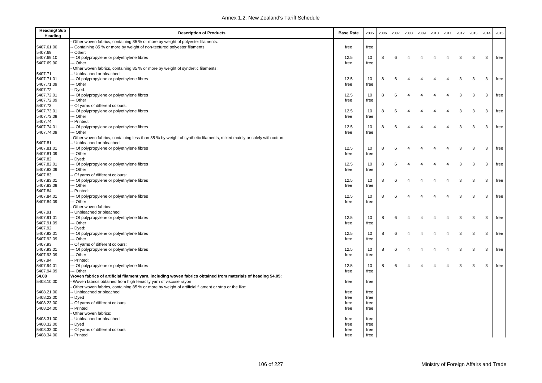| <b>Heading/Sub</b><br>Heading | <b>Description of Products</b>                                                                                       | <b>Base Rate</b> | 2005 | 2006 | 2007 | 2008           | 2009           | 2010           | 2011           | 2012 | 2013 | 2014 | 2015 |
|-------------------------------|----------------------------------------------------------------------------------------------------------------------|------------------|------|------|------|----------------|----------------|----------------|----------------|------|------|------|------|
|                               | Other woven fabrics, containing 85 % or more by weight of polyester filaments:                                       |                  |      |      |      |                |                |                |                |      |      |      |      |
| 5407.61.00                    | Containing 85 % or more by weight of non-textured polyester filaments                                                | free             | free |      |      |                |                |                |                |      |      |      |      |
| 5407.69                       | Other:                                                                                                               |                  |      |      |      |                |                |                |                |      |      |      |      |
| 5407.69.10                    | Of polypropylene or polyethylene fibres                                                                              | 12.5             | 10   | 8    | 6    | $\overline{4}$ | $\overline{4}$ | $\overline{4}$ | $\overline{4}$ | 3    | 3    | 3    | free |
| 5407.69.90                    | Other                                                                                                                | free             | free |      |      |                |                |                |                |      |      |      |      |
|                               | Other woven fabrics, containing 85 % or more by weight of synthetic filaments:                                       |                  |      |      |      |                |                |                |                |      |      |      |      |
| 5407.71                       | - Unbleached or bleached:                                                                                            |                  |      |      |      |                |                |                |                |      |      |      |      |
| 5407.71.01                    | Of polypropylene or polyethylene fibres                                                                              | 12.5             | 10   | 8    | 6    | 4              | $\overline{4}$ | $\overline{4}$ | 4              | 3    | 3    | 3    | free |
| 5407.71.09                    | Other                                                                                                                | free             | free |      |      |                |                |                |                |      |      |      |      |
| 5407.72                       | Dyed:                                                                                                                |                  |      |      |      |                |                |                |                |      |      |      |      |
| 5407.72.01                    | Of polypropylene or polyethylene fibres                                                                              | 12.5             | 10   | 8    | 6    | 4              | $\overline{4}$ | $\overline{4}$ | 4              | 3    | 3    | 3    | free |
| 5407.72.09                    | Other                                                                                                                | free             | free |      |      |                |                |                |                |      |      |      |      |
| 5407.73                       | Of yarns of different colours:                                                                                       |                  |      |      |      | $\overline{4}$ |                | $\overline{4}$ | $\overline{4}$ | 3    | 3    |      |      |
| 5407.73.01                    | Of polypropylene or polyethylene fibres                                                                              | 12.5             | 10   | 8    | 6    |                | $\overline{4}$ |                |                |      |      | 3    | free |
| 5407.73.09                    | - Other                                                                                                              | free             | free |      |      |                |                |                |                |      |      |      |      |
| 5407.74                       | Printed:                                                                                                             |                  |      |      |      |                |                |                |                |      |      |      |      |
| 5407.74.01                    | Of polypropylene or polyethylene fibres                                                                              | 12.5             | 10   | 8    | 6    | $\overline{4}$ | $\overline{4}$ | $\overline{4}$ | $\overline{4}$ | 3    | 3    | 3    | free |
| 5407.74.09                    | - Other                                                                                                              | free             | free |      |      |                |                |                |                |      |      |      |      |
|                               | Other woven fabrics, containing less than 85 % by weight of synthetic filaments, mixed mainly or solely with cotton: |                  |      |      |      |                |                |                |                |      |      |      |      |
| 5407.81                       | Unbleached or bleached:                                                                                              |                  |      |      |      |                |                |                |                |      |      |      |      |
| 5407.81.01                    | - Of polypropylene or polyethylene fibres                                                                            | 12.5             | 10   | 8    | 6    | $\overline{4}$ | $\overline{4}$ | $\overline{4}$ | $\overline{4}$ | 3    | 3    | 3    | free |
| 5407.81.09                    | - Other                                                                                                              | free             | free |      |      |                |                |                |                |      |      |      |      |
| 5407.82                       | Dyed:                                                                                                                |                  |      |      |      |                |                |                |                |      |      |      |      |
| 5407.82.01                    | - Of polypropylene or polyethylene fibres                                                                            | 12.5             | 10   | 8    | 6    | $\overline{4}$ | $\overline{4}$ | $\overline{4}$ | $\overline{4}$ | 3    | 3    | 3    | free |
| 5407.82.09                    | - Other                                                                                                              | free             | free |      |      |                |                |                |                |      |      |      |      |
| 5407.83                       | Of yarns of different colours:                                                                                       |                  |      |      |      |                |                |                |                |      |      |      |      |
| 5407.83.01                    | Of polypropylene or polyethylene fibres                                                                              | 12.5             | 10   | 8    | 6    | $\overline{4}$ | $\overline{4}$ | $\overline{4}$ | $\overline{4}$ | 3    | 3    | 3    | free |
| 5407.83.09                    | Other                                                                                                                | free             | free |      |      |                |                |                |                |      |      |      |      |
| 5407.84                       | Printed:                                                                                                             |                  |      |      |      |                |                |                |                |      |      |      |      |
| 5407.84.01                    | Of polypropylene or polyethylene fibres                                                                              | 12.5             | 10   | 8    | 6    | $\overline{4}$ | $\overline{4}$ | $\overline{4}$ | 4              | 3    | 3    | 3    | free |
| 5407.84.09                    | - Other                                                                                                              | free             | free |      |      |                |                |                |                |      |      |      |      |
|                               | Other woven fabrics:                                                                                                 |                  |      |      |      |                |                |                |                |      |      |      |      |
| 5407.91                       | - Unbleached or bleached:                                                                                            |                  |      |      |      |                |                |                |                |      |      |      |      |
| 5407.91.01                    | - Of polypropylene or polyethylene fibres                                                                            | 12.5             | 10   | 8    | 6    | 4              | $\overline{4}$ | $\overline{4}$ | 4              | 3    | 3    | 3    | free |
| 5407.91.09                    | Other                                                                                                                | free             | free |      |      |                |                |                |                |      |      |      |      |
| 5407.92                       | Dyed:                                                                                                                |                  |      |      |      |                |                |                |                |      |      |      |      |
| 5407.92.01                    | Of polypropylene or polyethylene fibres                                                                              | 12.5             | 10   | 8    | 6    | $\overline{4}$ | 4              | $\overline{4}$ | $\overline{4}$ | 3    | 3    | 3    | free |
| 5407.92.09                    | - Other                                                                                                              | free             | free |      |      |                |                |                |                |      |      |      |      |
| 5407.93                       | Of yarns of different colours:                                                                                       |                  |      |      |      |                |                |                |                |      |      |      |      |
| 5407.93.01                    | - Of polypropylene or polyethylene fibres                                                                            | 12.5             | 10   | 8    | 6    | $\overline{4}$ | $\overline{4}$ | $\overline{4}$ | 4              | 3    | 3    | 3    | free |
| 5407.93.09                    | - Other                                                                                                              | free             | free |      |      |                |                |                |                |      |      |      |      |
| 5407.94                       | Printed:                                                                                                             |                  |      |      |      |                | $\overline{4}$ | $\overline{4}$ |                |      |      |      |      |
| 5407.94.01                    | - Of polypropylene or polyethylene fibres                                                                            | 12.5             | 10   | 8    | 6    | $\overline{4}$ |                |                | $\overline{4}$ | 3    | 3    | 3    | free |
| 5407.94.09                    | -- Other                                                                                                             | free             | free |      |      |                |                |                |                |      |      |      |      |
| 54.08                         | Woven fabrics of artificial filament yarn, including woven fabrics obtained from materials of heading 54.05:         |                  |      |      |      |                |                |                |                |      |      |      |      |
| 5408.10.00                    | Woven fabrics obtained from high tenacity yarn of viscose rayon                                                      | free             | free |      |      |                |                |                |                |      |      |      |      |
|                               | Other woven fabrics, containing 85 % or more by weight of artificial filament or strip or the like:                  |                  |      |      |      |                |                |                |                |      |      |      |      |
| 5408.21.00                    | - Unbleached or bleached                                                                                             | free             | free |      |      |                |                |                |                |      |      |      |      |
| 5408.22.00<br>5408.23.00      | Dyed                                                                                                                 | free             | free |      |      |                |                |                |                |      |      |      |      |
|                               | Of yarns of different colours<br>- Printed                                                                           | free             | free |      |      |                |                |                |                |      |      |      |      |
| 5408.24.00                    |                                                                                                                      | free             | free |      |      |                |                |                |                |      |      |      |      |
|                               | Other woven fabrics:                                                                                                 |                  |      |      |      |                |                |                |                |      |      |      |      |
| 5408.31.00                    | - Unbleached or bleached                                                                                             | free             | free |      |      |                |                |                |                |      |      |      |      |
| 5408.32.00                    | - Dyed                                                                                                               | free             | free |      |      |                |                |                |                |      |      |      |      |
| 5408.33.00                    | - Of yarns of different colours                                                                                      | free             | free |      |      |                |                |                |                |      |      |      |      |
| 5408.34.00                    | -- Printed                                                                                                           | free             | free |      |      |                |                |                |                |      |      |      |      |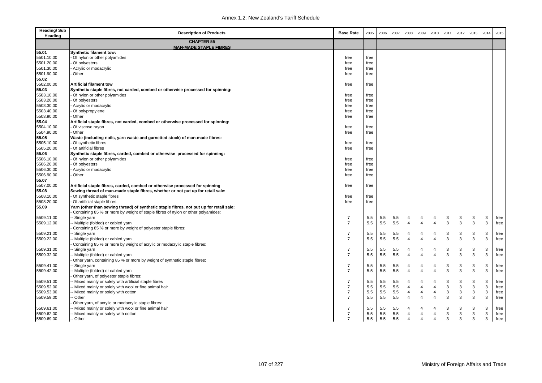| <b>Heading/Sub</b><br>Heading | <b>Description of Products</b>                                                          | <b>Base Rate</b> | 2005 | 2006 | 2007 | 2008           | 2009           | 2010           | 2011         | 2012 | 2013 | 2014                      | 2015 |
|-------------------------------|-----------------------------------------------------------------------------------------|------------------|------|------|------|----------------|----------------|----------------|--------------|------|------|---------------------------|------|
|                               | <b>CHAPTER 55</b><br><b>MAN-MADE STAPLE FIBRES</b>                                      |                  |      |      |      |                |                |                |              |      |      |                           |      |
| 55.01                         | <b>Synthetic filament tow:</b>                                                          |                  |      |      |      |                |                |                |              |      |      |                           |      |
| 5501.10.00                    | Of nylon or other polyamides                                                            | free             | free |      |      |                |                |                |              |      |      |                           |      |
| 5501.20.00                    | Of polyesters                                                                           | free             | free |      |      |                |                |                |              |      |      |                           |      |
| 5501.30.00                    | Acrylic or modacrylic                                                                   | free             | free |      |      |                |                |                |              |      |      |                           |      |
| 5501.90.00                    | Other                                                                                   | free             | free |      |      |                |                |                |              |      |      |                           |      |
| 55.02                         |                                                                                         |                  |      |      |      |                |                |                |              |      |      |                           |      |
| 5502.00.00                    | <b>Artificial filament tow</b>                                                          | free             | free |      |      |                |                |                |              |      |      |                           |      |
| 55.03                         | Synthetic staple fibres, not carded, combed or otherwise processed for spinning:        |                  |      |      |      |                |                |                |              |      |      |                           |      |
| 5503.10.00                    | Of nylon or other polyamides                                                            | free             | free |      |      |                |                |                |              |      |      |                           |      |
| 5503.20.00                    | Of polyesters                                                                           | free             | free |      |      |                |                |                |              |      |      |                           |      |
| 5503.30.00                    | Acrylic or modacrylic                                                                   | free             | free |      |      |                |                |                |              |      |      |                           |      |
| 5503.40.00                    | Of polypropylene                                                                        | free             | free |      |      |                |                |                |              |      |      |                           |      |
| 5503.90.00                    | Other                                                                                   | free             | free |      |      |                |                |                |              |      |      |                           |      |
| 55.04                         | Artificial staple fibres, not carded, combed or otherwise processed for spinning:       |                  |      |      |      |                |                |                |              |      |      |                           |      |
| 5504.10.00                    | Of viscose rayon                                                                        | free             | free |      |      |                |                |                |              |      |      |                           |      |
| 5504.90.00                    | Other                                                                                   | free             | free |      |      |                |                |                |              |      |      |                           |      |
| 55.05                         | Waste (including noils, yarn waste and garnetted stock) of man-made fibres:             |                  |      |      |      |                |                |                |              |      |      |                           |      |
| 5505.10.00                    | Of synthetic fibres                                                                     | free             | free |      |      |                |                |                |              |      |      |                           |      |
| 5505.20.00                    | Of artificial fibres                                                                    | free             | free |      |      |                |                |                |              |      |      |                           |      |
| 55.06                         | Synthetic staple fibres, carded, combed or otherwise processed for spinning:            |                  |      |      |      |                |                |                |              |      |      |                           |      |
| 5506.10.00                    | Of nylon or other polyamides                                                            | free             | free |      |      |                |                |                |              |      |      |                           |      |
| 5506.20.00                    | Of polyesters                                                                           | free             | free |      |      |                |                |                |              |      |      |                           |      |
| 5506.30.00                    | Acrylic or modacrylic                                                                   | free             | free |      |      |                |                |                |              |      |      |                           |      |
| 5506.90.00                    | Other                                                                                   | free             | free |      |      |                |                |                |              |      |      |                           |      |
| 55.07                         |                                                                                         |                  |      |      |      |                |                |                |              |      |      |                           |      |
| 5507.00.00                    | Artificial staple fibres, carded, combed or otherwise processed for spinning            | free             | free |      |      |                |                |                |              |      |      |                           |      |
| 55.08                         | Sewing thread of man-made staple fibres, whether or not put up for retail sale:         |                  |      |      |      |                |                |                |              |      |      |                           |      |
| 5508.10.00                    | Of synthetic staple fibres                                                              | free             | free |      |      |                |                |                |              |      |      |                           |      |
| 5508.20.00                    | Of artificial staple fibres                                                             | free             | free |      |      |                |                |                |              |      |      |                           |      |
| 55.09                         | Yarn (other than sewing thread) of synthetic staple fibres, not put up for retail sale: |                  |      |      |      |                |                |                |              |      |      |                           |      |
|                               | Containing 85 % or more by weight of staple fibres of nylon or other polyamides:        |                  |      |      |      |                |                |                |              |      |      |                           |      |
| 5509.11.00                    | Single yarn                                                                             | $\overline{7}$   | 5.5  | 5.5  | 5.5  | 4              | 4              | $\overline{4}$ | 3            | 3    | 3    | 3                         | free |
| 5509.12.00                    | - Multiple (folded) or cabled yarn                                                      | $\overline{7}$   | 5.5  | 5.5  | 5.5  | $\overline{4}$ | 4              | 4              | $\mathbf{3}$ | 3    | 3    | 3                         | free |
|                               | Containing 85 % or more by weight of polyester staple fibres:                           |                  |      |      |      |                |                |                |              |      |      |                           |      |
| 5509.21.00                    | Single yarn                                                                             | $\overline{7}$   | 5.5  | 5.5  | 5.5  | 4              | 4              | $\overline{4}$ | 3            | 3    | 3    | 3                         | free |
| 5509.22.00                    | - Multiple (folded) or cabled yarn                                                      | $\overline{7}$   | 5.5  | 5.5  | 5.5  | $\overline{4}$ | $\overline{4}$ | $\overline{4}$ | $\mathbf{3}$ | 3    | 3    | 3                         | free |
|                               | Containing 85 % or more by weight of acrylic or modacrylic staple fibres:               |                  |      |      |      |                |                |                |              |      |      |                           |      |
| 5509.31.00                    | Single yarn                                                                             | $\overline{7}$   | 5.5  | 5.5  | 5.5  | 4              | 4              | $\overline{4}$ | 3            | 3    | 3    | 3                         | free |
| 5509.32.00                    | Multiple (folded) or cabled yarn                                                        | $\overline{7}$   | 5.5  | 5.5  | 5.5  | $\overline{4}$ | 4              | $\overline{4}$ | 3            | 3    | 3    | 3                         | free |
|                               | Other yarn, containing 85 % or more by weight of synthetic staple fibres:               |                  |      |      |      |                |                |                |              |      |      |                           |      |
| 5509.41.00                    | Single yarn                                                                             | $\overline{7}$   | 5.5  | 5.5  | 5.5  | 4              | 4              | $\overline{4}$ | 3            | 3    | 3    | 3                         | free |
| 5509.42.00                    | - Multiple (folded) or cabled yarn                                                      | $\overline{7}$   | 5.5  | 5.5  | 5.5  | $\overline{4}$ | 4              | $\overline{4}$ | 3            | 3    | 3    | 3                         | free |
|                               | Other yarn, of polyester staple fibres:                                                 |                  |      |      |      |                |                |                |              |      |      |                           |      |
| 5509.51.00                    | - Mixed mainly or solely with artificial staple fibres                                  | $\overline{7}$   | 5.5  | 5.5  | 5.5  | 4              | 4              | $\overline{4}$ | 3            | 3    | 3    | 3                         | free |
| 5509.52.00                    | Mixed mainly or solely with wool or fine animal hair                                    | $\overline{7}$   | 5.5  | 5.5  | 5.5  | $\overline{4}$ | $\overline{4}$ | $\overline{4}$ | 3            | 3    | 3    | 3                         | free |
| 5509.53.00                    | Mixed mainly or solely with cotton                                                      | $\overline{7}$   | 5.5  | 5.5  | 5.5  | $\overline{4}$ | $\overline{4}$ | $\overline{4}$ | $\mathbf{3}$ | 3    | 3    | $\mathsf 3$               | free |
| 5509.59.00                    | Other                                                                                   | $\overline{7}$   | 5.5  | 5.5  | 5.5  | $\overline{4}$ | $\overline{4}$ | $\overline{4}$ | 3            | 3    | 3    | 3                         | free |
|                               | Other yarn, of acrylic or modacrylic staple fibres:                                     |                  |      |      |      |                |                |                |              |      |      |                           |      |
| 5509.61.00                    | Mixed mainly or solely with wool or fine animal hair                                    | $\overline{7}$   | 5.5  | 5.5  | 5.5  | 4              | 4              | $\overline{4}$ | 3            | 3    | 3    | 3                         | free |
| 5509.62.00                    | - Mixed mainly or solely with cotton                                                    | $\overline{7}$   | 5.5  | 5.5  | 5.5  | $\overline{4}$ | 4              | $\overline{4}$ | 3            | 3    | 3    | $\ensuremath{\mathsf{3}}$ | free |
| 5509.69.00                    | -- Other                                                                                | $\overline{7}$   | 5.5  | 5.5  | 5.5  | $\overline{4}$ | $\overline{4}$ | $\overline{4}$ | 3            | 3    | 3    | 3                         | free |
|                               |                                                                                         |                  |      |      |      |                |                |                |              |      |      |                           |      |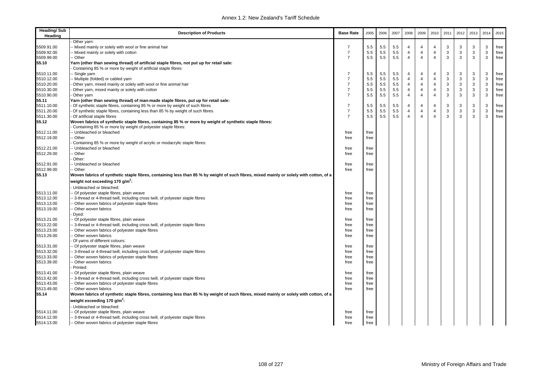| <b>Heading/Sub</b><br>Heading | <b>Description of Products</b>                                                                                                                                           | <b>Base Rate</b> | 2005 | 2006 | 2007    | 2008           | 2009           | 2010           | 2011 | 2012 | 2013         | 2014 | 2015 |
|-------------------------------|--------------------------------------------------------------------------------------------------------------------------------------------------------------------------|------------------|------|------|---------|----------------|----------------|----------------|------|------|--------------|------|------|
|                               | Other yarn:                                                                                                                                                              |                  |      |      |         |                |                |                |      |      |              |      |      |
| 5509.91.00                    | Mixed mainly or solely with wool or fine animal hair                                                                                                                     | 7                | 5.5  | 5.5  | 5.5     | 4              | 4              | $\overline{4}$ | 3    | 3    | 3            | 3    | free |
| 5509.92.00                    | Mixed mainly or solely with cotton                                                                                                                                       | $\overline{7}$   | 5.5  | 5.5  | 5.5     | $\overline{4}$ | $\overline{4}$ | $\overline{4}$ | 3    | 3    | 3            | 3    | free |
| 5509.99.00                    | - Other                                                                                                                                                                  | $\overline{7}$   | 5.5  | 5.5  | 5.5     | $\overline{4}$ | $\overline{4}$ | $\overline{4}$ | 3    | 3    | 3            | 3    | free |
| 55.10                         | Yarn (other than sewing thread) of artificial staple fibres, not put up for retail sale:                                                                                 |                  |      |      |         |                |                |                |      |      |              |      |      |
|                               | Containing 85 % or more by weight of artificial staple fibres:                                                                                                           |                  |      |      |         |                |                |                |      |      |              |      |      |
| 5510.11.00                    | - Single yarn                                                                                                                                                            | $\overline{7}$   | 5.5  | 5.5  | 5.5     | 4              | 4              | $\overline{4}$ | 3    | 3    | 3            | 3    | free |
| 5510.12.00                    | - Multiple (folded) or cabled yarn                                                                                                                                       | $\overline{7}$   | 5.5  | 5.5  | 5.5     | $\overline{4}$ | 4              | $\overline{4}$ | 3    | 3    | $\mathsf 3$  | 3    | free |
| 5510.20.00                    | Other yarn, mixed mainly or solely with wool or fine animal hair                                                                                                         | $\overline{7}$   | 5.5  | 5.5  | 5.5     | $\overline{4}$ | 4              | $\overline{4}$ | 3    | 3    | $\mathsf 3$  | 3    | free |
| 5510.30.00                    | Other yarn, mixed mainly or solely with cotton                                                                                                                           | $\overline{7}$   | 5.5  | 5.5  | 5.5     | $\overline{4}$ | $\overline{4}$ | $\overline{4}$ | 3    | 3    | 3            | 3    | free |
| 5510.90.00                    | Other yarn                                                                                                                                                               | $\overline{7}$   | 5.5  | 5.5  | $5.5\,$ | $\overline{4}$ | $\overline{4}$ | $\overline{4}$ | 3    | 3    | $\mathbf{3}$ | 3    | free |
| 55.11                         | Yarn (other than sewing thread) of man-made staple fibres, put up for retail sale:                                                                                       |                  |      |      |         |                |                |                |      |      |              |      |      |
| 5511.10.00                    | Of synthetic staple fibres, containing 85 % or more by weight of such fibres                                                                                             | $\overline{7}$   | 5.5  | 5.5  | 5.5     | $\overline{4}$ | $\overline{4}$ | $\overline{4}$ | 3    | 3    | 3            | 3    | free |
| 5511.20.00                    | Of synthetic staple fibres, containing less than 85 % by weight of such fibres                                                                                           | $\overline{7}$   | 5.5  | 5.5  | 5.5     | $\overline{4}$ | 4              | $\overline{4}$ | 3    | 3    | $\mathsf 3$  | 3    | free |
| 5511.30.00                    | Of artificial staple fibres                                                                                                                                              | $\overline{7}$   | 5.5  | 5.5  | 5.5     | $\overline{4}$ | $\overline{4}$ | $\overline{4}$ | 3    | 3    | 3            | 3    | free |
| 55.12                         | Woven fabrics of synthetic staple fibres, containing 85 % or more by weight of synthetic staple fibres:<br>Containing 85 % or more by weight of polyester staple fibres: |                  |      |      |         |                |                |                |      |      |              |      |      |
| 5512.11.00                    | - Unbleached or bleached                                                                                                                                                 | free             | free |      |         |                |                |                |      |      |              |      |      |
| 5512.19.00                    | - Other                                                                                                                                                                  | free             | free |      |         |                |                |                |      |      |              |      |      |
|                               | Containing 85 % or more by weight of acrylic or modacrylic staple fibres:                                                                                                |                  |      |      |         |                |                |                |      |      |              |      |      |
| 5512.21.00                    | - Unbleached or bleached                                                                                                                                                 | free             | free |      |         |                |                |                |      |      |              |      |      |
| 5512.29.00                    | - Other                                                                                                                                                                  | free             | free |      |         |                |                |                |      |      |              |      |      |
|                               | Other:                                                                                                                                                                   |                  |      |      |         |                |                |                |      |      |              |      |      |
| 5512.91.00                    | - Unbleached or bleached                                                                                                                                                 | free             | free |      |         |                |                |                |      |      |              |      |      |
| 5512.99.00                    | - Other                                                                                                                                                                  | free             | free |      |         |                |                |                |      |      |              |      |      |
| 55.13                         | Woven fabrics of synthetic staple fibres, containing less than 85 % by weight of such fibres, mixed mainly or solely with cotton, of a                                   |                  |      |      |         |                |                |                |      |      |              |      |      |
|                               | weight not exceeding 170 g/m <sup>2</sup> :                                                                                                                              |                  |      |      |         |                |                |                |      |      |              |      |      |
|                               | Unbleached or bleached:                                                                                                                                                  |                  |      |      |         |                |                |                |      |      |              |      |      |
| 5513.11.00                    | - Of polyester staple fibres, plain weave                                                                                                                                | free             | free |      |         |                |                |                |      |      |              |      |      |
| 5513.12.00                    | 3-thread or 4-thread twill, including cross twill, of polyester staple fibres                                                                                            | free             | free |      |         |                |                |                |      |      |              |      |      |
| 5513.13.00                    | - Other woven fabrics of polyester staple fibres                                                                                                                         | free             | free |      |         |                |                |                |      |      |              |      |      |
| 5513.19.00                    | Other woven fabrics                                                                                                                                                      | free             | free |      |         |                |                |                |      |      |              |      |      |
|                               | Dyed:                                                                                                                                                                    |                  |      |      |         |                |                |                |      |      |              |      |      |
| 5513.21.00                    | Of polyester staple fibres, plain weave                                                                                                                                  | free             | free |      |         |                |                |                |      |      |              |      |      |
| 5513.22.00                    | - 3-thread or 4-thread twill, including cross twill, of polyester staple fibres                                                                                          | free             | free |      |         |                |                |                |      |      |              |      |      |
| 5513.23.00                    | Other woven fabrics of polyester staple fibres                                                                                                                           | free             | free |      |         |                |                |                |      |      |              |      |      |
| 5513.29.00                    | Other woven fabrics                                                                                                                                                      | free             | free |      |         |                |                |                |      |      |              |      |      |
|                               | Of yarns of different colours:                                                                                                                                           |                  |      |      |         |                |                |                |      |      |              |      |      |
| 5513.31.00                    | - Of polyester staple fibres, plain weave                                                                                                                                | free             | free |      |         |                |                |                |      |      |              |      |      |
| 5513.32.00                    | - 3-thread or 4-thread twill, including cross twill, of polyester staple fibres                                                                                          | free             | free |      |         |                |                |                |      |      |              |      |      |
| 5513.33.00                    | - Other woven fabrics of polyester staple fibres                                                                                                                         | free             | free |      |         |                |                |                |      |      |              |      |      |
| 5513.39.00                    | Other woven fabrics                                                                                                                                                      | free             | free |      |         |                |                |                |      |      |              |      |      |
|                               | Printed:                                                                                                                                                                 |                  |      |      |         |                |                |                |      |      |              |      |      |
| 5513.41.00                    | - Of polyester staple fibres, plain weave                                                                                                                                | free             | free |      |         |                |                |                |      |      |              |      |      |
| 5513.42.00                    | 3-thread or 4-thread twill, including cross twill, of polyester staple fibres                                                                                            | free             | free |      |         |                |                |                |      |      |              |      |      |
| 5513.43.00                    | - Other woven fabrics of polyester staple fibres                                                                                                                         | free             | free |      |         |                |                |                |      |      |              |      |      |
| 5513.49.00                    | - Other woven fabrics                                                                                                                                                    | free             | free |      |         |                |                |                |      |      |              |      |      |
| 55.14                         | Woven fabrics of synthetic staple fibres, containing less than 85 % by weight of such fibres, mixed mainly or solely with cotton, of a                                   |                  |      |      |         |                |                |                |      |      |              |      |      |
|                               | weight exceeding 170 g/m <sup>2</sup> :                                                                                                                                  |                  |      |      |         |                |                |                |      |      |              |      |      |
|                               | Unbleached or bleached:                                                                                                                                                  |                  |      |      |         |                |                |                |      |      |              |      |      |
| 5514.11.00                    | - Of polyester staple fibres, plain weave                                                                                                                                | free             | free |      |         |                |                |                |      |      |              |      |      |
| 5514.12.00                    | -- 3-thread or 4-thread twill, including cross twill, of polyester staple fibres                                                                                         | free             | free |      |         |                |                |                |      |      |              |      |      |
| 5514.13.00                    | - Other woven fabrics of polyester staple fibres                                                                                                                         | free             | free |      |         |                |                |                |      |      |              |      |      |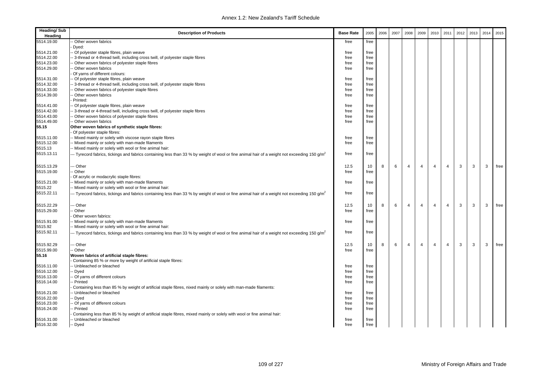| <b>Heading/Sub</b><br>Heading | <b>Description of Products</b>                                                                                                                          | <b>Base Rate</b> | 2005 | 2006 | 2007 | 2008           | 2009           | 2010           | 2011           | 2012 | 2013 | 2014 | 2015 |
|-------------------------------|---------------------------------------------------------------------------------------------------------------------------------------------------------|------------------|------|------|------|----------------|----------------|----------------|----------------|------|------|------|------|
| 5514.19.00                    | - Other woven fabrics                                                                                                                                   | free             | free |      |      |                |                |                |                |      |      |      |      |
|                               | Dyed:                                                                                                                                                   |                  |      |      |      |                |                |                |                |      |      |      |      |
| 5514.21.00                    | - Of polyester staple fibres, plain weave                                                                                                               | free             | free |      |      |                |                |                |                |      |      |      |      |
| 5514.22.00                    | - 3-thread or 4-thread twill, including cross twill, of polyester staple fibres                                                                         | free             | free |      |      |                |                |                |                |      |      |      |      |
| 5514.23.00                    | Other woven fabrics of polyester staple fibres                                                                                                          | free             | free |      |      |                |                |                |                |      |      |      |      |
| 5514.29.00                    | - Other woven fabrics                                                                                                                                   | free             | free |      |      |                |                |                |                |      |      |      |      |
|                               | Of yarns of different colours:                                                                                                                          |                  |      |      |      |                |                |                |                |      |      |      |      |
| 5514.31.00                    | - Of polyester staple fibres, plain weave                                                                                                               | free             | free |      |      |                |                |                |                |      |      |      |      |
| 5514.32.00                    | - 3-thread or 4-thread twill, including cross twill, of polyester staple fibres                                                                         | free             | free |      |      |                |                |                |                |      |      |      |      |
| 5514.33.00                    | - Other woven fabrics of polyester staple fibres                                                                                                        | free             | free |      |      |                |                |                |                |      |      |      |      |
| 5514.39.00                    | Other woven fabrics                                                                                                                                     | free             | free |      |      |                |                |                |                |      |      |      |      |
|                               | Printed:                                                                                                                                                |                  |      |      |      |                |                |                |                |      |      |      |      |
| 5514.41.00                    | - Of polyester staple fibres, plain weave                                                                                                               | free             | free |      |      |                |                |                |                |      |      |      |      |
| 5514.42.00                    | - 3-thread or 4-thread twill, including cross twill, of polyester staple fibres                                                                         | free             | free |      |      |                |                |                |                |      |      |      |      |
| 5514.43.00                    | - Other woven fabrics of polyester staple fibres                                                                                                        | free             | free |      |      |                |                |                |                |      |      |      |      |
| 5514.49.00                    | - Other woven fabrics                                                                                                                                   | free             | free |      |      |                |                |                |                |      |      |      |      |
| 55.15                         | Other woven fabrics of synthetic staple fibres:                                                                                                         |                  |      |      |      |                |                |                |                |      |      |      |      |
|                               | Of polyester staple fibres:                                                                                                                             |                  |      |      |      |                |                |                |                |      |      |      |      |
| 5515.11.00                    | -- Mixed mainly or solely with viscose rayon staple fibres                                                                                              | free             | free |      |      |                |                |                |                |      |      |      |      |
| 5515.12.00                    | - Mixed mainly or solely with man-made filaments                                                                                                        | free             | free |      |      |                |                |                |                |      |      |      |      |
| 5515.13                       | -- Mixed mainly or solely with wool or fine animal hair:                                                                                                |                  |      |      |      |                |                |                |                |      |      |      |      |
| 5515.13.11                    | - Tyrecord fabrics, tickings and fabrics containing less than 33 % by weight of wool or fine animal hair of a weight not exceeding 150 g/m <sup>2</sup> | free             | free |      |      |                |                |                |                |      |      |      |      |
| 5515.13.29                    | -- Other                                                                                                                                                | 12.5             | 10   | 8    | 6    | $\overline{4}$ | $\overline{4}$ | $\overline{4}$ | $\overline{4}$ | 3    | 3    | 3    | free |
| 5515.19.00                    | Other                                                                                                                                                   | free             | free |      |      |                |                |                |                |      |      |      |      |
|                               | Of acrylic or modacrylic staple fibres:                                                                                                                 |                  |      |      |      |                |                |                |                |      |      |      |      |
| 5515.21.00                    | - Mixed mainly or solely with man-made filaments                                                                                                        | free             | free |      |      |                |                |                |                |      |      |      |      |
| 5515.22                       | - Mixed mainly or solely with wool or fine animal hair:                                                                                                 |                  |      |      |      |                |                |                |                |      |      |      |      |
| 5515.22.11                    | - Tyrecord fabrics, tickings and fabrics containing less than 33 % by weight of wool or fine animal hair of a weight not exceeding 150 g/m <sup>2</sup> | free             | free |      |      |                |                |                |                |      |      |      |      |
| 5515.22.29                    | - Other                                                                                                                                                 | 12.5             | 10   | 8    | 6    | $\overline{4}$ | $\overline{4}$ | $\overline{4}$ | $\overline{4}$ | 3    | 3    | 3    | free |
| 5515.29.00                    | Other                                                                                                                                                   | free             | free |      |      |                |                |                |                |      |      |      |      |
|                               | Other woven fabrics:                                                                                                                                    |                  |      |      |      |                |                |                |                |      |      |      |      |
| 5515.91.00                    | -- Mixed mainly or solely with man-made filaments                                                                                                       | free             | free |      |      |                |                |                |                |      |      |      |      |
| 5515.92                       | - Mixed mainly or solely with wool or fine animal hair:                                                                                                 |                  |      |      |      |                |                |                |                |      |      |      |      |
| 5515.92.11                    | - Tyrecord fabrics, tickings and fabrics containing less than 33 % by weight of wool or fine animal hair of a weight not exceeding 150 g/m <sup>2</sup> | free             | free |      |      |                |                |                |                |      |      |      |      |
| 5515.92.29                    | - Other                                                                                                                                                 | 12.5             | 10   | 8    | 6    | $\overline{4}$ | $\overline{4}$ | $\overline{4}$ | $\overline{4}$ | 3    | 3    | 3    | free |
| 5515.99.00                    | - Other                                                                                                                                                 | free             | free |      |      |                |                |                |                |      |      |      |      |
| 55.16                         | Woven fabrics of artificial staple fibres:                                                                                                              |                  |      |      |      |                |                |                |                |      |      |      |      |
|                               | Containing 85 % or more by weight of artificial staple fibres:                                                                                          |                  |      |      |      |                |                |                |                |      |      |      |      |
| 5516.11.00                    | - Unbleached or bleached                                                                                                                                | free             | free |      |      |                |                |                |                |      |      |      |      |
| 5516.12.00                    | - Dyed                                                                                                                                                  | free             | free |      |      |                |                |                |                |      |      |      |      |
| 5516.13.00                    | - Of yarns of different colours                                                                                                                         | free             | free |      |      |                |                |                |                |      |      |      |      |
| 5516.14.00                    | - Printed                                                                                                                                               | free             | free |      |      |                |                |                |                |      |      |      |      |
|                               | Containing less than 85 % by weight of artificial staple fibres, nixed mainly or solely with man-made filaments:                                        |                  |      |      |      |                |                |                |                |      |      |      |      |
| 5516.21.00                    | - Unbleached or bleached                                                                                                                                | free             | free |      |      |                |                |                |                |      |      |      |      |
| 5516.22.00                    | - Dyed                                                                                                                                                  | free             | free |      |      |                |                |                |                |      |      |      |      |
| 5516.23.00                    | - Of yarns of different colours                                                                                                                         | free             | free |      |      |                |                |                |                |      |      |      |      |
| 5516.24.00                    | - Printed                                                                                                                                               | free             | free |      |      |                |                |                |                |      |      |      |      |
|                               | Containing less than 85 % by weight of artificial staple fibres, mixed mainly or solely with wool or fine animal hair:                                  |                  |      |      |      |                |                |                |                |      |      |      |      |
| 5516.31.00                    | - Unbleached or bleached                                                                                                                                | free             | free |      |      |                |                |                |                |      |      |      |      |
| 5516.32.00                    | -- Dyed                                                                                                                                                 | free             | free |      |      |                |                |                |                |      |      |      |      |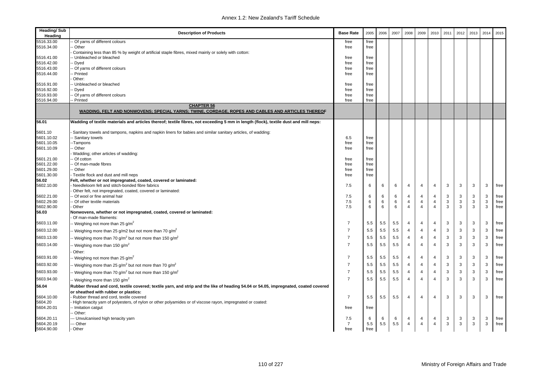| <b>Heading/Sub</b><br>Heading | <b>Description of Products</b>                                                                                                       | <b>Base Rate</b> | 2005 | 2006    | 2007 | 2008           | 2009           | 2010                    | 2011         | 2012 | 2013 | 2014 | 2015 |
|-------------------------------|--------------------------------------------------------------------------------------------------------------------------------------|------------------|------|---------|------|----------------|----------------|-------------------------|--------------|------|------|------|------|
| 5516.33.00                    | - Of yarns of different colours                                                                                                      | free             | free |         |      |                |                |                         |              |      |      |      |      |
| 5516.34.00                    | - Other                                                                                                                              | free             | free |         |      |                |                |                         |              |      |      |      |      |
|                               | Containing less than 85 % by weight of artificial staple fibres, mixed mainly or solely with cotton:                                 |                  |      |         |      |                |                |                         |              |      |      |      |      |
| 5516.41.00                    | - Unbleached or bleached                                                                                                             | free             | free |         |      |                |                |                         |              |      |      |      |      |
| 5516.42.00                    | Dyed -                                                                                                                               | free             | free |         |      |                |                |                         |              |      |      |      |      |
| 5516.43.00                    | - Of yarns of different colours                                                                                                      | free             | free |         |      |                |                |                         |              |      |      |      |      |
| 5516.44.00                    | - Printed<br>Other:                                                                                                                  | free             | free |         |      |                |                |                         |              |      |      |      |      |
| 5516.91.00                    | - Unbleached or bleached                                                                                                             | free             | free |         |      |                |                |                         |              |      |      |      |      |
| 5516.92.00                    | - Dyed                                                                                                                               | free             | free |         |      |                |                |                         |              |      |      |      |      |
| 5516.93.00                    | - Of yarns of different colours                                                                                                      | free             | free |         |      |                |                |                         |              |      |      |      |      |
| 5516.94.00                    | Printed                                                                                                                              | free             | free |         |      |                |                |                         |              |      |      |      |      |
|                               | <b>CHAPTER 56</b><br>WADDING, FELT AND NONWOVENS; SPECIAL YARNS; TWINE, CORDAGE, ROPES AND CABLES AND ARTICLES THEREOF               |                  |      |         |      |                |                |                         |              |      |      |      |      |
| 56.01                         | Wadding of textile materials and articles thereof; textile fibres, not exceeding 5 mm in length (flock), textile dust and mill neps: |                  |      |         |      |                |                |                         |              |      |      |      |      |
| 5601.10                       | Sanitary towels and tampons, napkins and napkin liners for babies and similar sanitary articles, of wadding:                         |                  |      |         |      |                |                |                         |              |      |      |      |      |
| 5601.10.02                    | - Sanitary towels                                                                                                                    | 6.5              | free |         |      |                |                |                         |              |      |      |      |      |
| 5601.10.05                    | --Tampons                                                                                                                            | free             | free |         |      |                |                |                         |              |      |      |      |      |
| 5601.10.09                    | - Other                                                                                                                              | free             | free |         |      |                |                |                         |              |      |      |      |      |
|                               | Wadding; other articles of wadding:                                                                                                  |                  |      |         |      |                |                |                         |              |      |      |      |      |
| 5601.21.00                    | -- Of cotton                                                                                                                         | free             | free |         |      |                |                |                         |              |      |      |      |      |
| 5601.22.00                    | - Of man-made fibres                                                                                                                 | free             | free |         |      |                |                |                         |              |      |      |      |      |
| 5601.29.00                    | - Other                                                                                                                              | free             | free |         |      |                |                |                         |              |      |      |      |      |
| 5601.30.00                    | Textile flock and dust and mill neps                                                                                                 | free             | free |         |      |                |                |                         |              |      |      |      |      |
| 56.02<br>5602.10.00           | Felt, whether or not impregnated, coated, covered or laminated:<br>Needleloom felt and stitch-bonded fibre fabrics                   | 7.5              | 6    | 6       | 6    | 4              | 4              | $\overline{4}$          | 3            | 3    | 3    | 3    | free |
|                               | Other felt, not impregnated, coated, covered or laminated:                                                                           |                  |      |         |      |                |                |                         |              |      |      |      |      |
| 5602.21.00                    | - Of wool or fine animal hair                                                                                                        | 7.5              | 6    | 6       | 6    | 4              | 4              | $\overline{4}$          | 3            | 3    | 3    | 3    | free |
| 5602.29.00                    | - Of other textile materials                                                                                                         | 7.5              | 6    | 6       | 6    | 4              | 4              | $\overline{4}$          | $\mathbf{3}$ | 3    | 3    | 3    | free |
| 5602.90.00                    | Other                                                                                                                                | 7.5              | 6    | $\,6\,$ | 6    | $\overline{4}$ | $\overline{4}$ | $\overline{4}$          | 3            | 3    | 3    | 3    | free |
| 56.03                         | Nonwovens, whether or not impregnated, coated, covered or laminated:                                                                 |                  |      |         |      |                |                |                         |              |      |      |      |      |
|                               | Of man-made filaments:                                                                                                               |                  |      |         |      |                |                |                         |              |      |      |      |      |
| 5603.11.00                    | -- Weighing not more than 25 g/m <sup>2</sup>                                                                                        | $\overline{7}$   | 5.5  | 5.5     | 5.5  | 4              | $\overline{4}$ | $\overline{4}$          | 3            | 3    | 3    | 3    | free |
| 5603.12.00                    | - Weighing more than 25 g/m2 but not more than 70 g/m <sup>2</sup>                                                                   | $\overline{7}$   | 5.5  | 5.5     | 5.5  | 4              | $\overline{4}$ | $\overline{4}$          | 3            | 3    | 3    | 3    | free |
| 5603.13.00                    | - Weighing more than 70 g/m <sup>2</sup> but not more than 150 g/m <sup>2</sup>                                                      | $\overline{7}$   | 5.5  | 5.5     | 5.5  | $\overline{4}$ | $\overline{4}$ | $\overline{4}$          | 3            | 3    | 3    | 3    | free |
| 5603.14.00                    | - Weighing more than 150 g/m <sup>2</sup>                                                                                            | $\overline{7}$   | 5.5  | 5.5     | 5.5  | $\overline{4}$ | $\overline{4}$ | $\overline{4}$          | 3            | 3    | 3    | 3    | free |
|                               | Other:                                                                                                                               |                  |      |         |      |                |                |                         |              |      |      |      |      |
| 5603.91.00                    | -- Weighing not more than 25 g/m <sup>2</sup>                                                                                        | $\overline{7}$   | 5.5  | 5.5     | 5.5  | 4              | 4              | 4                       | 3            | 3    | 3    | 3    | free |
| 5603.92.00                    | -- Weighing more than 25 $g/m^2$ but not more than 70 $g/m^2$                                                                        | $\overline{7}$   | 5.5  | 5.5     | 5.5  | $\overline{4}$ | $\overline{4}$ | $\overline{4}$          | 3            | 3    | 3    | 3    | free |
| 5603.93.00                    | - Weighing more than 70 g/m <sup>2</sup> but not more than 150 g/m <sup>2</sup>                                                      | $\overline{7}$   | 5.5  | 5.5     | 5.5  | 4              | $\overline{4}$ | $\overline{4}$          | 3            | 3    | 3    | 3    | free |
| 5603.94.00                    | -- Weighing more than 150 g/m <sup>2</sup>                                                                                           | $\overline{7}$   | 5.5  | 5.5     | 5.5  | 4              | 4              | $\overline{\mathbf{4}}$ | 3            | 3    | 3    | 3    | free |
| 56.04                         | Rubber thread and cord, textile covered; textile yarn, and strip and the like of heading 54.04 or 54.05, impregnated, coated covered |                  |      |         |      |                |                |                         |              |      |      |      |      |
|                               | or sheathed with rubber or plastics:                                                                                                 |                  |      |         |      |                |                |                         |              |      |      |      |      |
| 5604.10.00                    | Rubber thread and cord, textile covered                                                                                              | $\overline{7}$   | 5.5  | 5.5     | 5.5  | $\overline{4}$ | $\overline{4}$ | $\overline{4}$          | 3            | 3    | 3    | 3    | free |
| 5604.20                       | High tenacity yarn of polyesters, of nylon or other polyamides or of viscose rayon, impregnated or coated:                           |                  |      |         |      |                |                |                         |              |      |      |      |      |
| 5604.20.01                    | - Imitation catqut                                                                                                                   | free             | free |         |      |                |                |                         |              |      |      |      |      |
|                               | - Other:                                                                                                                             |                  |      |         |      |                |                |                         |              |      |      |      |      |
| 5604.20.11                    | --- Unvulcanised high tenacity yarn                                                                                                  | 7.5              | 6    | 6       | 6    | 4              | 4              | $\overline{4}$          | 3            | 3    | 3    | 3    | free |
| 5604.20.19                    | --- Other                                                                                                                            | $\overline{7}$   | 5.5  | 5.5     | 5.5  | $\overline{4}$ | $\overline{4}$ | $\overline{4}$          | 3            | 3    | 3    | 3    | free |
| 5604.90.00                    | - Other                                                                                                                              | free             | free |         |      |                |                |                         |              |      |      |      |      |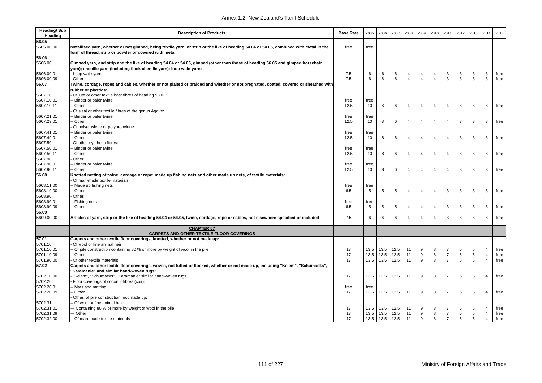| <b>Heading/Sub</b><br>Heading | <b>Description of Products</b>                                                                                                                                                                  | <b>Base Rate</b> | 2005 | 2006 | 2007            | 2008           | 2009           | 2010                    | 2011           | 2012 | 2013           | 2014           | 2015 |
|-------------------------------|-------------------------------------------------------------------------------------------------------------------------------------------------------------------------------------------------|------------------|------|------|-----------------|----------------|----------------|-------------------------|----------------|------|----------------|----------------|------|
| 56.05                         |                                                                                                                                                                                                 |                  |      |      |                 |                |                |                         |                |      |                |                |      |
| 5605.00.00                    | Metallised yarn, whether or not gimped, being textile yarn, or strip or the like of heading 54.04 or 54.05, combined with metal in the<br>form of thread, strip or powder or covered with metal | free             | free |      |                 |                |                |                         |                |      |                |                |      |
| 56.06                         |                                                                                                                                                                                                 |                  |      |      |                 |                |                |                         |                |      |                |                |      |
| 5606.00                       | Gimped yarn, and strip and the like of heading 54.04 or 54.05, gimped (other than those of heading 56.05 and gimped horsehair                                                                   |                  |      |      |                 |                |                |                         |                |      |                |                |      |
|                               | yarn); chenille yarn (including flock chenille yarn); loop wale-yarn:                                                                                                                           |                  |      |      |                 |                |                |                         |                |      |                |                |      |
| 5606.00.01                    | - Loop wale-yarn                                                                                                                                                                                | 7.5              | 6    | 6    | 6               | 4              | 4              | $\overline{4}$          | 3              | 3    | 3              | 3              | free |
| 5606.00.09                    | Other                                                                                                                                                                                           | 7.5              | 6    | 6    | 6               | $\overline{4}$ | $\overline{4}$ | $\overline{4}$          | 3              | 3    | 3              | 3              | free |
| 56.07                         | Twine, cordage, ropes and cables, whether or not plaited or braided and whether or not pregnated, coated, covered or sheathed with                                                              |                  |      |      |                 |                |                |                         |                |      |                |                |      |
|                               | rubber or plastics:                                                                                                                                                                             |                  |      |      |                 |                |                |                         |                |      |                |                |      |
| 5607.10                       | Of jute or other textile bast fibres of heading 53.03:                                                                                                                                          |                  |      |      |                 |                |                |                         |                |      |                |                |      |
| 5607.10.01                    | Binder or baler twine                                                                                                                                                                           | free             | free |      |                 |                |                |                         |                |      |                |                |      |
| 5607.10.11                    | - Other                                                                                                                                                                                         | 12.5             | 10   | 8    | 6               | $\overline{4}$ | $\overline{4}$ | $\overline{\mathbf{4}}$ | $\overline{4}$ | 3    | 3              | 3              | free |
|                               | Of sisal or other textile fibres of the genus Agave:                                                                                                                                            |                  |      |      |                 |                |                |                         |                |      |                |                |      |
| 5607.21.01                    | Binder or baler twine                                                                                                                                                                           | free             | free |      |                 |                |                |                         |                |      |                |                |      |
| 5607.29.01                    | Other                                                                                                                                                                                           | 12.5             | 10   | 8    | 6               | $\overline{4}$ | $\overline{4}$ | $\overline{4}$          | $\overline{4}$ | 3    | 3              | 3              | free |
|                               | Of polyethylene or polypropylene:                                                                                                                                                               |                  |      |      |                 |                |                |                         |                |      |                |                |      |
| 5607.41.01                    | Binder or baler twine                                                                                                                                                                           | free             | free |      |                 |                |                |                         |                |      |                |                |      |
| 5607.49.01                    | Other                                                                                                                                                                                           | 12.5             | 10   | 8    | 6               | $\overline{4}$ | 4              | $\overline{\mathbf{4}}$ | $\overline{4}$ | 3    | 3              | 3              | free |
| 5607.50                       | Of other synthetic fibres:                                                                                                                                                                      |                  |      |      |                 |                |                |                         |                |      |                |                |      |
| 5607.50.01                    | Binder or baler twine                                                                                                                                                                           | free             | free |      |                 |                |                |                         |                |      |                |                |      |
| 5607.50.11                    | Other                                                                                                                                                                                           | 12.5             | 10   | 8    | 6               | $\overline{4}$ | 4              | $\overline{4}$          | $\overline{4}$ | 3    | 3              | 3              | free |
| 5607.90                       | Other:                                                                                                                                                                                          |                  |      |      |                 |                |                |                         |                |      |                |                |      |
| 5607.90.01                    | Binder or baler twine                                                                                                                                                                           | free             | free |      |                 |                |                |                         |                |      |                |                |      |
| 5607.90.11                    | - Other                                                                                                                                                                                         | 12.5             | 10   | 8    | 6               | $\overline{4}$ | 4              | $\overline{4}$          | $\overline{4}$ | 3    | 3              | 3              | free |
| 56.08                         | Knotted netting of twine, cordage or rope; made up fishing nets and other made up nets, of textile materials:<br>Of man-made textile materials:                                                 |                  |      |      |                 |                |                |                         |                |      |                |                |      |
| 5608.11.00                    | Made up fishing nets                                                                                                                                                                            | free             | free |      |                 |                |                |                         |                |      |                |                |      |
| 5608.19.00                    | Other                                                                                                                                                                                           | 6.5              | 5    | 5    | 5               | $\overline{4}$ | 4              | $\overline{4}$          | 3              | 3    | 3              | 3              | free |
| 5608.90                       | Other:                                                                                                                                                                                          |                  |      |      |                 |                |                |                         |                |      |                |                |      |
| 5608.90.01                    | - Fishing nets                                                                                                                                                                                  | free             | free |      |                 |                |                |                         |                |      |                |                |      |
| 5608.90.09                    | Other                                                                                                                                                                                           | 6.5              | 5    | 5    | $5\phantom{.0}$ | 4              | 4              | $\overline{4}$          | 3              | 3    | 3              | 3              | free |
| 56.09                         |                                                                                                                                                                                                 |                  |      |      |                 |                |                |                         |                |      |                |                |      |
| 5609.00.00                    | Articles of yarn, strip or the like of heading 54.04 or 54.05, twine, cordage, rope or cables, not elsewhere specified or included                                                              | 7.5              | 6    | 6    | 6               | $\overline{4}$ | 4              | $\overline{4}$          | 3              | 3    | 3              | 3              | free |
|                               | <b>CHAPTER 57</b><br><b>CARPETS AND OTHER TEXTILE FLOOR COVERINGS</b>                                                                                                                           |                  |      |      |                 |                |                |                         |                |      |                |                |      |
| 57.01                         | Carpets and other textile floor coverings, knotted, whether or not made up:                                                                                                                     |                  |      |      |                 |                |                |                         |                |      |                |                |      |
| 5701.10                       | Of wool or fine animal hair:                                                                                                                                                                    |                  |      |      |                 |                |                |                         |                |      |                |                |      |
| 5701.10.01                    | - Of pile construction containing 80 % or more by weight of wool in the pile                                                                                                                    | 17               | 13.5 | 13.5 | 12.5            | 11             | 9              | 8                       | 7              | 6    | 5              | $\overline{4}$ | free |
| 5701.10.09                    | Other                                                                                                                                                                                           | 17               | 13.5 | 13.5 | 12.5            | 11             | 9              | 8                       | $\overline{7}$ | 6    | $\overline{5}$ | $\overline{4}$ | free |
| 5701.90.00                    | Of other textile materials                                                                                                                                                                      | 17               | 13.5 | 13.5 | 12.5            | 11             | 9              | 8                       | $\overline{7}$ | 6    | 5              | $\overline{4}$ | free |
| 57.02                         | Carpets and other textile floor coverings, woven, not tufted or flocked, whether or not made up, including "Kelem", "Schumacks",                                                                |                  |      |      |                 |                |                |                         |                |      |                |                |      |
|                               | 'Karamanie" and similar hand-woven rugs:                                                                                                                                                        |                  |      |      |                 |                |                |                         |                |      |                |                |      |
| 5702.10.00                    | "Kelem", "Schumacks", "Karamanie" similar hand-woven rugs                                                                                                                                       | 17               | 13.5 | 13.5 | 12.5            | 11             | 9              | 8                       | $\overline{7}$ | 6    | 5              | $\overline{4}$ | free |
| 5702.20                       | Floor coverings of coconut fibres (coir):                                                                                                                                                       |                  |      |      |                 |                |                |                         |                |      |                |                |      |
| 5702.20.01                    | Mats and matting                                                                                                                                                                                | free             | free |      |                 |                |                |                         |                |      |                |                |      |
| 5702.20.09                    | Other                                                                                                                                                                                           | 17               | 13.5 | 13.5 | 12.5            | 11             | 9              | 8                       | $\overline{7}$ | 6    | 5              | 4              | free |
|                               | Other, of pile construction, not made up:                                                                                                                                                       |                  |      |      |                 |                |                |                         |                |      |                |                |      |
| 5702.31                       | Of wool or fine animal hair:                                                                                                                                                                    |                  |      |      |                 |                |                |                         |                |      |                |                |      |
| 5702.31.01                    | - Containing 80 % or more by weight of wool in the pile                                                                                                                                         | 17               | 13.5 | 13.5 | 12.5            | 11             | 9              | 8                       | $\overline{7}$ | 6    | 5              | $\overline{4}$ | free |
| 5702.31.09                    | - Other                                                                                                                                                                                         | 17               | 13.5 | 13.5 | 12.5            | 11             | 9              | 8                       | $\overline{7}$ | 6    | 5              | 4              | free |
| 5702.32.00                    | - Of man-made textile materials                                                                                                                                                                 | 17               | 13.5 | 13.5 | 12.5            | 11             | 9              | 8                       | $\overline{7}$ | 6    | 5              | $\overline{4}$ | free |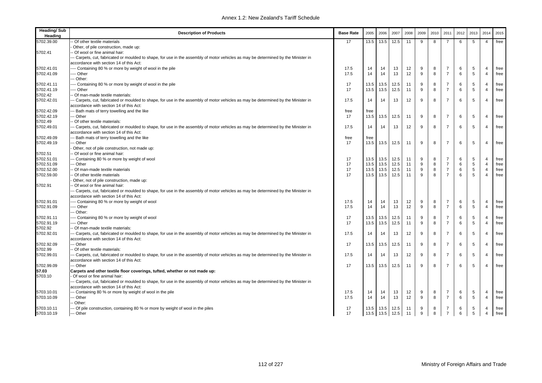| <b>Heading/Sub</b><br>Heading | <b>Description of Products</b>                                                                                                                                                | <b>Base Rate</b> | 2005 | 2006           | 2007 | 2008 | 2009 | 2010 | 2011           | 2012 | 2013 | 2014           | 2015 |
|-------------------------------|-------------------------------------------------------------------------------------------------------------------------------------------------------------------------------|------------------|------|----------------|------|------|------|------|----------------|------|------|----------------|------|
| 5702.39.00                    | - Of other textile materials                                                                                                                                                  | 17               | 13.5 | 13.5           | 12.5 | 11   | 9    | 8    | -7             | 6    | 5    | $\overline{4}$ | free |
|                               | Other, of pile construction, made up:                                                                                                                                         |                  |      |                |      |      |      |      |                |      |      |                |      |
| 5702.41                       | - Of wool or fine animal hair:                                                                                                                                                |                  |      |                |      |      |      |      |                |      |      |                |      |
|                               | -- Carpets, cut, fabricated or moulded to shape, for use in the assembly of motor vehicles as may be determined by the Minister in                                            |                  |      |                |      |      |      |      |                |      |      |                |      |
|                               | accordance with section 14 of this Act:                                                                                                                                       |                  |      |                |      |      |      |      |                |      |      |                |      |
| 5702.41.01                    | ---- Containing 80 % or more by weight of wool in the pile                                                                                                                    | 17.5             | 14   | 14             | 13   | 12   | 9    | 8    | 7              | 6    | 5    | $\overline{4}$ | free |
| 5702.41.09                    | --- Other                                                                                                                                                                     | 17.5             | 14   | 14             | 13   | 12   | 9    | 8    | $\overline{7}$ | 6    | 5    | $\overline{4}$ | free |
|                               | -- Other:                                                                                                                                                                     |                  |      |                |      |      |      |      |                |      |      |                |      |
| 5702.41.11                    | --- Containing 80 % or more by weight of wool in the pile                                                                                                                     | 17               | 13.5 | 13.5           | 12.5 | 11   | 9    | 8    | $\overline{7}$ | 6    | 5    | $\overline{4}$ | free |
| 5702.41.19                    | --- Other                                                                                                                                                                     | 17               | 13.5 | 13.5           | 12.5 | 11   | 9    | 8    | $\overline{7}$ | 6    | 5    | $\overline{4}$ | free |
| 5702.42                       | - Of man-made textile materials:                                                                                                                                              |                  |      |                |      |      |      |      |                |      |      |                |      |
| 5702.42.01                    | -- Carpets, cut, fabricated or moulded to shape, for use in the assembly of motor vehicles as may be determined by the Minister in                                            | 17.5             | 14   | 14             | 13   | 12   | 9    | 8    | 7              | 6    | 5    | $\overline{4}$ | free |
|                               | accordance with section 14 of this Act:                                                                                                                                       |                  |      |                |      |      |      |      |                |      |      |                |      |
| 5702.42.09                    | -- Bath mats of terry towelling and the like                                                                                                                                  | free             | free |                |      |      |      |      |                |      |      |                |      |
| 5702.42.19                    | -- Other                                                                                                                                                                      | 17               | 13.5 | 13.5           | 12.5 | 11   | 9    | 8    | 7              | 6    | 5    | $\overline{4}$ | free |
| 5702.49                       | -- Of other textile materials:                                                                                                                                                |                  |      |                |      |      |      |      |                |      |      |                |      |
| 5702.49.01                    | -- Carpets, cut, fabricated or moulded to shape, for use in the assembly of motor vehicles as may be determined by the Minister in<br>accordance with section 14 of this Act: | 17.5             | 14   | 14             | 13   | 12   | 9    | 8    | $\overline{7}$ | 6    | 5    | $\overline{4}$ | free |
| 5702.49.09                    | -- Bath mats of terry towelling and the like                                                                                                                                  | free             | free |                |      |      |      |      |                |      |      |                |      |
| 5702.49.19                    | -- Other                                                                                                                                                                      | 17               | 13.5 | 13.5           | 12.5 | 11   | 9    | 8    | $\overline{7}$ | 6    | 5    | $\overline{4}$ | free |
|                               | Other, not of pile construction, not made up:                                                                                                                                 |                  |      |                |      |      |      |      |                |      |      |                |      |
| 5702.51                       | - Of wool or fine animal hair:                                                                                                                                                |                  |      |                |      |      |      |      |                |      |      |                |      |
| 5702.51.01                    | -- Containing 80 % or more by weight of wool                                                                                                                                  | 17               | 13.5 | 13.5           | 12.5 | 11   | 9    | 8    | 7              | 6    | 5    | $\overline{4}$ | free |
| 5702.51.09                    | -- Other                                                                                                                                                                      | 17               | 13.5 | 13.5           | 12.5 | 11   | 9    | 8    | $\overline{7}$ | 6    | 5    | $\overline{4}$ | free |
| 5702.52.00                    | - Of man-made textile materials                                                                                                                                               | 17               | 13.5 | 13.5           | 12.5 | 11   | 9    | 8    | $\overline{7}$ | 6    | 5    | $\overline{4}$ | free |
| 5702.59.00                    | Of other textile materials                                                                                                                                                    | 17               | 13.5 | 13.5           | 12.5 | 11   | 9    | 8    | $\overline{7}$ | 6    | 5    | $\overline{4}$ | free |
|                               | Other, not of pile construction, made up:                                                                                                                                     |                  |      |                |      |      |      |      |                |      |      |                |      |
| 5702.91                       | Of wool or fine animal hair:                                                                                                                                                  |                  |      |                |      |      |      |      |                |      |      |                |      |
|                               | -- Carpets, cut, fabricated or moulded to shape, for use in the assembly of motor vehicles as may be determined by the Minister in                                            |                  |      |                |      |      |      |      |                |      |      |                |      |
|                               | accordance with section 14 of this Act:                                                                                                                                       |                  |      |                |      |      |      |      |                |      |      |                |      |
| 5702.91.01                    | ---- Containing 80 % or more by weight of wool                                                                                                                                | 17.5             | 14   | 14             | 13   | 12   | 9    | 8    | $\overline{7}$ | 6    | 5    | $\overline{4}$ | free |
| 5702.91.09                    | --- Other                                                                                                                                                                     | 17.5             | 14   | 14             | 13   | 12   | 9    | 8    | $\overline{7}$ | 6    | 5    | $\overline{4}$ | free |
|                               | -- Other:                                                                                                                                                                     |                  |      |                |      |      |      |      |                |      |      |                |      |
| 5702.91.11                    | ---- Containing 80 % or more by weight of wool                                                                                                                                | 17               | 13.5 | 13.5           | 12.5 | 11   | 9    | 8    | $\overline{7}$ | 6    | 5    | $\overline{4}$ | free |
| 5702.91.19                    | --- Other                                                                                                                                                                     | 17               | 13.5 | 13.5           | 12.5 | 11   | 9    | 8    | $\overline{7}$ | 6    | 5    | $\overline{4}$ | free |
| 5702.92                       | Of man-made textile materials:                                                                                                                                                |                  |      |                |      |      |      |      |                |      |      |                |      |
| 5702.92.01                    | -- Carpets, cut, fabricated or moulded to shape, for use in the assembly of motor vehicles as may be determined by the Minister in                                            | 17.5             | 14   | 14             | 13   | 12   | 9    | 8    | $\overline{7}$ | 6    | 5    | $\overline{4}$ | free |
|                               | accordance with section 14 of this Act:                                                                                                                                       |                  |      |                |      |      |      |      |                |      |      |                |      |
| 5702.92.09                    | -- Other                                                                                                                                                                      | 17               | 13.5 | 13.5           | 12.5 | 11   | 9    | 8    | $\overline{7}$ | 6    | 5    | $\overline{4}$ | free |
| 5702.99                       | Of other textile materials:                                                                                                                                                   |                  |      |                |      |      |      |      |                |      |      |                |      |
| 5702.99.01                    | -- Carpets, cut, fabricated or moulded to shape, for use in the assembly of motor vehicles as may be determined by the Minister in<br>accordance with section 14 of this Act: | 17.5             | 14   | 14             | 13   | 12   | 9    | 8    | $\overline{7}$ | 6    | 5    | $\overline{4}$ | free |
| 5702.99.09                    | -- Other                                                                                                                                                                      | 17               | 13.5 | 13.5           | 12.5 | 11   | 9    | 8    | 7              | 6    | .5   | $\overline{4}$ | free |
| 57.03                         | Carpets and other textile floor coverings, tufted, whether or not made up:                                                                                                    |                  |      |                |      |      |      |      |                |      |      |                |      |
| 5703.10                       | Of wool or fine animal hair:                                                                                                                                                  |                  |      |                |      |      |      |      |                |      |      |                |      |
|                               | -- Carpets, cut, fabricated or moulded to shape, for use in the assembly of motor vehicles as may be determined by the Minister in                                            |                  |      |                |      |      |      |      |                |      |      |                |      |
|                               | accordance with section 14 of this Act:                                                                                                                                       |                  |      |                |      |      |      |      |                |      |      |                |      |
| 5703.10.01                    | -- Containing 80 % or more by weight of wool in the pile                                                                                                                      | 17.5             | 14   | 14             | 13   | 12   | 9    | 8    | 7              | 6    | 5    | $\overline{4}$ | free |
| 5703.10.09                    | -- Other                                                                                                                                                                      | 17.5             | 14   | 14             | 13   | 12   | 9    | 8    | $\overline{7}$ | 6    | 5    | $\overline{4}$ | free |
|                               | - Other:                                                                                                                                                                      |                  |      |                |      |      |      |      |                |      |      |                |      |
| 5703.10.11                    | --- Of pile construction, containing 80 % or more by weight of wool in the piles                                                                                              | 17               | 13.5 | 13.5           | 12.5 | 11   | 9    | 8    | 7              | 6    | 5    | $\overline{4}$ | free |
| 5703.10.19                    | --- Other                                                                                                                                                                     | 17               |      | 13.5 13.5 12.5 |      | 11   | 9    | 8    | $\overline{7}$ | 6    | 5    | $\overline{4}$ | free |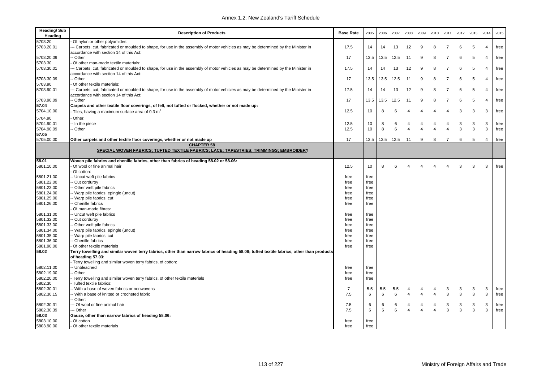| <b>Heading/Sub</b><br>Heading | <b>Description of Products</b>                                                                                                                                                | <b>Base Rate</b> | 2005 | 2006 | 2007 | 2008           | 2009           | 2010           | 2011           | 2012 | 2013 | 2014           | 2015 |
|-------------------------------|-------------------------------------------------------------------------------------------------------------------------------------------------------------------------------|------------------|------|------|------|----------------|----------------|----------------|----------------|------|------|----------------|------|
| 5703.20                       | Of nylon or other polyamides:                                                                                                                                                 |                  |      |      |      |                |                |                |                |      |      |                |      |
| 5703.20.01                    | - Carpets, cut, fabricated or moulded to shape, for use in the assembly of motor vehicles as may be determined by the Minister in<br>accordance with section 14 of this Act:  | 17.5             | 14   | 14   | 13   | 12             | 9              | 8              | $\overline{7}$ | 6    | 5    | $\overline{4}$ | free |
| 5703.20.09                    | - Other                                                                                                                                                                       | 17               | 13.5 | 13.5 | 12.5 | 11             | 9              | 8              | $\overline{7}$ | 6    | 5    | $\overline{4}$ | free |
| 5703.30                       | Of other man-made textile materials:                                                                                                                                          |                  |      |      |      |                |                |                |                |      |      |                |      |
| 5703.30.01                    | -- Carpets, cut, fabricated or moulded to shape, for use in the assembly of motor vehicles as may be determined by the Minister in<br>accordance with section 14 of this Act: | 17.5             | 14   | 14   | 13   | 12             | 9              | 8              | $\overline{7}$ | 6    | 5    | $\overline{4}$ | free |
| 5703.30.09                    | - Other                                                                                                                                                                       | 17               | 13.5 | 13.5 | 12.5 | 11             | 9              | 8              | $\overline{7}$ | 6    | 5    | $\overline{4}$ | free |
| 5703.90                       | Of other textile materials:                                                                                                                                                   |                  |      |      |      |                |                |                |                |      |      |                |      |
| 5703.90.01                    | -- Carpets, cut, fabricated or moulded to shape, for use in the assembly of motor vehicles as may be determined by the Minister in<br>accordance with section 14 of this Act: | 17.5             | 14   | 14   | 13   | 12             | 9              | 8              | $\overline{7}$ | 6    | 5    | $\overline{4}$ | free |
| 5703.90.09                    | - Other                                                                                                                                                                       | 17               | 13.5 | 13.5 | 12.5 | 11             | 9              | 8              | $\overline{7}$ | 6    | 5    | $\Delta$       | free |
| 57.04                         | Carpets and other textile floor coverings, of felt, not tufted or flocked, whether or not made up:                                                                            |                  |      |      |      |                |                |                |                |      |      |                |      |
| 5704.10.00                    | Tiles, having a maximum surface area of 0.3 m <sup>2</sup>                                                                                                                    | 12.5             | 10   | 8    | 6    | $\overline{4}$ | $\overline{4}$ | $\overline{4}$ | $\overline{4}$ | 3    | 3    | 3              | free |
|                               |                                                                                                                                                                               |                  |      |      |      |                |                |                |                |      |      |                |      |
| 5704.90                       | Other:                                                                                                                                                                        |                  |      |      |      |                |                |                |                |      |      |                |      |
| 5704.90.01                    | - In the piece                                                                                                                                                                | 12.5             | 10   | 8    | 6    | $\overline{4}$ | 4              | $\overline{4}$ | $\overline{4}$ | 3    | 3    | 3              | free |
| 5704.90.09                    | - Other                                                                                                                                                                       | 12.5             | 10   | 8    | 6    | $\overline{4}$ | 4              | $\overline{4}$ | $\overline{4}$ | 3    | 3    | 3              | free |
| 57.05                         |                                                                                                                                                                               |                  |      |      |      |                |                |                | $\overline{7}$ |      |      |                |      |
| 5705.00.00                    | Other carpets and other textile floor coverings, whether or not made up<br><b>CHAPTER 58</b>                                                                                  | 17               | 13.5 | 13.5 | 12.5 | 11             | 9              | 8              |                | 6    | 5    | $\overline{4}$ | free |
|                               | SPECIAL WOVEN FABRICS; TUFTED TEXTILE FABRICS; LACE; TAPESTRIES; TRIMMINGS; EMBROIDERY                                                                                        |                  |      |      |      |                |                |                |                |      |      |                |      |
| 58.01                         | Woven pile fabrics and chenille fabrics, other than fabrics of heading 58.02 or 58.06:                                                                                        |                  |      |      |      |                |                |                |                |      |      |                |      |
| 5801.10.00                    | Of wool or fine animal hair                                                                                                                                                   | 12.5             | 10   | 8    | 6    | $\overline{4}$ | $\overline{4}$ | $\overline{4}$ | $\overline{4}$ | 3    | 3    | 3              | free |
|                               | Of cotton:                                                                                                                                                                    |                  |      |      |      |                |                |                |                |      |      |                |      |
| 5801.21.00                    | - Uncut weft pile fabrics                                                                                                                                                     | free             | free |      |      |                |                |                |                |      |      |                |      |
| 5801.22.00                    | Cut corduroy                                                                                                                                                                  | free             | free |      |      |                |                |                |                |      |      |                |      |
| 5801.23.00                    | - Other weft pile fabrics                                                                                                                                                     | free             | free |      |      |                |                |                |                |      |      |                |      |
| 5801.24.00                    | Warp pile fabrics, epingle (uncut)                                                                                                                                            | free             | free |      |      |                |                |                |                |      |      |                |      |
| 5801.25.00                    | - Warp pile fabrics, cut                                                                                                                                                      | free             | free |      |      |                |                |                |                |      |      |                |      |
| 5801.26.00                    | Chenille fabrics                                                                                                                                                              | free             | free |      |      |                |                |                |                |      |      |                |      |
|                               | Of man-made fibres:                                                                                                                                                           |                  |      |      |      |                |                |                |                |      |      |                |      |
| 5801.31.00                    | - Uncut weft pile fabrics                                                                                                                                                     | free             | free |      |      |                |                |                |                |      |      |                |      |
| 5801.32.00                    | Cut corduroy                                                                                                                                                                  | free             | free |      |      |                |                |                |                |      |      |                |      |
| 5801.33.00                    | Other weft pile fabrics                                                                                                                                                       | free             | free |      |      |                |                |                |                |      |      |                |      |
| 5801.34.00                    | - Warp pile fabrics, epingle (uncut)                                                                                                                                          | free             | free |      |      |                |                |                |                |      |      |                |      |
| 5801.35.00                    | - Warp pile fabrics, cut                                                                                                                                                      | free             | free |      |      |                |                |                |                |      |      |                |      |
| 5801.36.00                    | Chenille fabrics                                                                                                                                                              | free             | free |      |      |                |                |                |                |      |      |                |      |
| 5801.90.00                    | Of other textile materials                                                                                                                                                    | free             | free |      |      |                |                |                |                |      |      |                |      |
| 58.02                         | Terry towelling and similar woven terry fabrics, other than narrow fabrics of heading 58.06; tufted textile fabrics, other than products                                      |                  |      |      |      |                |                |                |                |      |      |                |      |
|                               | of heading 57.03:                                                                                                                                                             |                  |      |      |      |                |                |                |                |      |      |                |      |
|                               | Terry towelling and similar woven terry fabrics, of cotton:                                                                                                                   |                  |      |      |      |                |                |                |                |      |      |                |      |
| 5802.11.00                    | - Unbleached                                                                                                                                                                  | free             | free |      |      |                |                |                |                |      |      |                |      |
| 5802.19.00                    | - Other                                                                                                                                                                       | free             | free |      |      |                |                |                |                |      |      |                |      |
| 5802.20.00                    | Terry towelling and similar woven terry fabrics, of other textile materials                                                                                                   | free             | free |      |      |                |                |                |                |      |      |                |      |
| 5802.30                       | Tufted textile fabrics:                                                                                                                                                       |                  |      |      |      |                |                |                |                |      |      |                |      |
| 5802.30.01                    | - With a base of woven fabrics or nonwovens                                                                                                                                   | $\overline{7}$   | 5.5  | 5.5  | 5.5  | $\overline{4}$ | $\overline{4}$ | 4              | $\mathbf{3}$   | 3    | 3    | 3              | free |
| 5802.30.15                    | With a base of knitted or crocheted fabric                                                                                                                                    | 7.5              | 6    | 6    | 6    | $\overline{4}$ | $\overline{4}$ | $\overline{4}$ | $\mathbf{3}$   | 3    | 3    | 3              | free |
|                               | Other:                                                                                                                                                                        |                  |      |      |      |                |                |                |                |      |      |                |      |
| 5802.30.31                    | - Of wool or fine animal hair                                                                                                                                                 | 7.5              | 6    | 6    | 6    | $\overline{4}$ | $\overline{4}$ | $\overline{4}$ | $\mathbf{3}$   | 3    | 3    | 3              | free |
| 5802.30.39                    | - Other                                                                                                                                                                       | 7.5              | 6    | 6    | 6    | $\overline{A}$ | $\overline{4}$ | $\overline{4}$ | 3              | 3    | 3    | 3              | free |
|                               |                                                                                                                                                                               |                  |      |      |      |                |                |                |                |      |      |                |      |
| 58.03                         | Gauze, other than narrow fabrics of heading 58.06:<br>Of cotton                                                                                                               |                  |      |      |      |                |                |                |                |      |      |                |      |
| 5803.10.00                    |                                                                                                                                                                               | free             | free |      |      |                |                |                |                |      |      |                |      |
| 5803.90.00                    | - Of other textile materials                                                                                                                                                  | free             | free |      |      |                |                |                |                |      |      |                |      |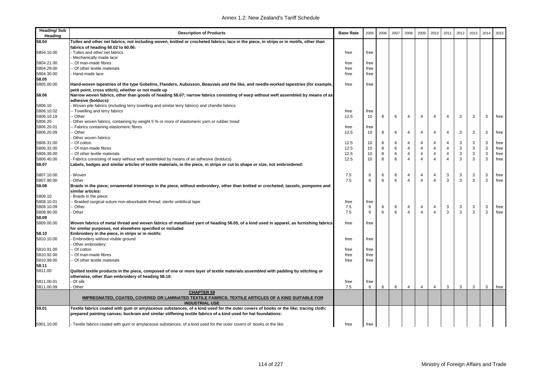| <b>Heading/Sub</b><br>Heading | <b>Description of Products</b>                                                                                                                                                                                                                     | <b>Base Rate</b> | 2005 | 2006 | 2007  | 2008           | 2009           | 2010           | 2011           | 2012 | 2013        | 2014        | 2015 |
|-------------------------------|----------------------------------------------------------------------------------------------------------------------------------------------------------------------------------------------------------------------------------------------------|------------------|------|------|-------|----------------|----------------|----------------|----------------|------|-------------|-------------|------|
| 58.04                         | Tulles and other net fabrics, not including woven, knitted or crocheted fabrics; lace in the piece, in strips or in motifs, other than                                                                                                             |                  |      |      |       |                |                |                |                |      |             |             |      |
|                               | fabrics of heading 60.02 to 60.06:                                                                                                                                                                                                                 |                  |      |      |       |                |                |                |                |      |             |             |      |
| 5804.10.00                    | Tulles and other net fabrics                                                                                                                                                                                                                       | free             | free |      |       |                |                |                |                |      |             |             |      |
|                               | Mechanically made lace:                                                                                                                                                                                                                            |                  |      |      |       |                |                |                |                |      |             |             |      |
| 5804.21.00                    | Of man-made fibres                                                                                                                                                                                                                                 | free             | free |      |       |                |                |                |                |      |             |             |      |
| 5804.29.00                    | - Of other textile materials                                                                                                                                                                                                                       | free             | free |      |       |                |                |                |                |      |             |             |      |
| 5804.30.00                    | Hand-made lace                                                                                                                                                                                                                                     | free             | free |      |       |                |                |                |                |      |             |             |      |
| 58.05                         |                                                                                                                                                                                                                                                    |                  |      |      |       |                |                |                |                |      |             |             |      |
| 5805.00.00                    | Hand-woven tapestries of the type Gobelins, Flanders, Aubusson, Beauvais and the like, and needle-worked tapestries (for example,                                                                                                                  | free             | free |      |       |                |                |                |                |      |             |             |      |
|                               | petit point, cross stitch), whether or not made up                                                                                                                                                                                                 |                  |      |      |       |                |                |                |                |      |             |             |      |
| 58.06                         | Narrow woven fabrics, other than goods of heading 58.07; narrow fabrics consisting of warp without weft assembled by means of as<br>adhesive (bolducs):                                                                                            |                  |      |      |       |                |                |                |                |      |             |             |      |
| 5806.10                       | Woven pile fabrics (including terry towelling and similar terry fabrics) and chenille fabrics:                                                                                                                                                     |                  |      |      |       |                |                |                |                |      |             |             |      |
| 5806.10.02                    | - Towelling and terry fabrics                                                                                                                                                                                                                      | free             | free |      |       |                |                |                |                |      |             |             |      |
| 5806.10.19                    | - Other                                                                                                                                                                                                                                            | 12.5             | 10   | 8    | 6     | $\overline{4}$ | $\overline{4}$ | $\overline{4}$ | $\overline{4}$ | 3    | 3           | 3           | free |
| 5806.20                       | Other woven fabrics, containing by weight 5 % or more of elastomeric yarn or rubber tread:                                                                                                                                                         |                  |      |      |       |                |                |                |                |      |             |             |      |
| 5806.20.01                    | Fabrics containing elastomeric fibres                                                                                                                                                                                                              | free             | free |      |       |                |                |                |                |      |             |             |      |
| 5806.20.09                    | · Other                                                                                                                                                                                                                                            | 12.5             | 10   | 8    | 6     | $\overline{4}$ | 4              | $\overline{4}$ | $\overline{4}$ | 3    | 3           | 3           | free |
|                               | Other woven fabrics:                                                                                                                                                                                                                               |                  |      |      |       |                |                |                |                |      |             |             |      |
| 5806.31.00                    | Of cotton                                                                                                                                                                                                                                          | 12.5             | 10   | 8    | 6     | $\overline{4}$ | $\overline{4}$ | $\overline{4}$ | $\overline{4}$ | 3    | 3           | 3           | free |
| 5806.32.00                    | Of man-made fibres                                                                                                                                                                                                                                 | 12.5             | 10   | 8    | 6     | $\overline{4}$ | $\overline{4}$ | $\overline{4}$ | $\overline{4}$ | 3    | 3           | 3           | free |
| 5806.39.00                    | - Of other textile materials                                                                                                                                                                                                                       | 12.5             | 10   | 8    | $\,6$ | $\overline{4}$ | $\overline{4}$ | 4              | $\overline{4}$ | 3    | $\mathsf 3$ | $\mathsf 3$ | free |
| 5806.40.00                    | Fabrics consisting of warp without weft assembled by means of an adhesive (bolducs)                                                                                                                                                                | 12.5             | 10   | 8    | 6     | $\overline{4}$ | $\overline{4}$ | $\overline{4}$ | $\overline{4}$ | 3    | 3           | 3           | free |
| 58.07                         | abels, badges and similar articles of textile materials, in the piece, in strips or cut to shape or size, not embroidered:                                                                                                                         |                  |      |      |       |                |                |                |                |      |             |             |      |
| 5807.10.00                    | · Woven                                                                                                                                                                                                                                            | 7.5              | 6    | 6    | 6     | $\overline{4}$ | 4              | $\overline{4}$ | 3              | 3    | 3           | 3           | free |
| 5807.90.00                    | Other                                                                                                                                                                                                                                              | 7.5              | 6    | 6    | 6     | $\overline{4}$ | $\overline{4}$ | $\overline{4}$ | 3              | 3    | 3           | 3           | free |
| 58.08                         | Braids in the piece; ornamental trimmings in the piece, without embroidery, other than knitted or crocheted; tassels, pompoms and<br>similar articles:                                                                                             |                  |      |      |       |                |                |                |                |      |             |             |      |
| 5808.10                       | Braids in the piece:                                                                                                                                                                                                                               |                  |      |      |       |                |                |                |                |      |             |             |      |
| 5808.10.01                    | Braided surgical suture non-absorbable thread; sterile umbilical tape                                                                                                                                                                              | free             | free |      |       |                |                |                |                |      |             |             |      |
| 5808.10.09                    | · Other                                                                                                                                                                                                                                            | 7.5              | 6    | 6    | 6     | 4              | 4              | 4              | 3              | 3    | 3           | 3           | free |
| 5808.90.00                    | Other                                                                                                                                                                                                                                              | 7.5              | 6    | 6    | 6     | $\overline{4}$ | $\overline{4}$ | $\overline{4}$ | 3              | 3    | 3           | 3           | free |
| 58.09                         |                                                                                                                                                                                                                                                    |                  |      |      |       |                |                |                |                |      |             |             |      |
| 5809.00.00                    | Woven fabrics of metal thread and woven fabrics of metallised yarn of heading 56.05, of a kind used in apparel, as furnishing fabrics<br>for similar purposes, not elsewhere specified or included                                                 | free             | free |      |       |                |                |                |                |      |             |             |      |
| 58.10                         | Embroidery in the piece, in strips or in motifs:                                                                                                                                                                                                   |                  |      |      |       |                |                |                |                |      |             |             |      |
| 5810.10.00                    | Embroidery without visible ground                                                                                                                                                                                                                  | free             | free |      |       |                |                |                |                |      |             |             |      |
|                               | Other embroidery:                                                                                                                                                                                                                                  |                  |      |      |       |                |                |                |                |      |             |             |      |
| 5810.91.00                    | Of cotton                                                                                                                                                                                                                                          | free             | free |      |       |                |                |                |                |      |             |             |      |
| 5810.92.00                    | Of man-made fibres                                                                                                                                                                                                                                 | free             | free |      |       |                |                |                |                |      |             |             |      |
| 5810.99.00                    | Of other textile materials                                                                                                                                                                                                                         | free             | free |      |       |                |                |                |                |      |             |             |      |
| 58.11                         |                                                                                                                                                                                                                                                    |                  |      |      |       |                |                |                |                |      |             |             |      |
| 5811.00                       | Quilted textile products in the piece, composed of one or more layer of textile materials assembled with padding by stitching or<br>otherwise, other than embroidery of heading 58.10:                                                             |                  |      |      |       |                |                |                |                |      |             |             |      |
| 5811.00.01                    | Of silk                                                                                                                                                                                                                                            | free             | free |      |       |                |                |                |                |      |             |             |      |
| 5811.00.09                    | Other                                                                                                                                                                                                                                              | 7.5              | 6    | 6    | 6     | $\overline{4}$ | $\overline{4}$ | $\overline{4}$ | 3              | 3    | 3           | 3           | free |
|                               | <b>CHAPTER 59</b><br>IMPREGNATED, COATED, COVERED OR LAMINATED TEXTILE FABRICS; TEXTILE ARTICLES OF A KIND SUITABLE FOR                                                                                                                            |                  |      |      |       |                |                |                |                |      |             |             |      |
|                               | <b>INDUSTRIAL USE</b>                                                                                                                                                                                                                              |                  |      |      |       |                |                |                |                |      |             |             |      |
| 59.01                         | Textile fabrics coated with gum or amylaceous substances, of a kind used for the outer covers of books or the like; tracing cloth;<br>prepared painting canvas; buckram and similar stiffening textile fabrics of a kind used for hat foundations: |                  |      |      |       |                |                |                |                |      |             |             |      |
|                               |                                                                                                                                                                                                                                                    |                  |      |      |       |                |                |                |                |      |             |             |      |
| 5901.10.00                    | Textile fabrics coated with gum or amylaceous substances, of a kind used for the outer covers of books or the like                                                                                                                                 | free             | free |      |       |                |                |                |                |      |             |             |      |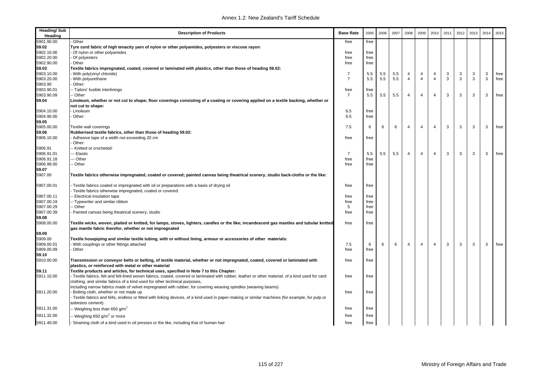| <b>Heading/Sub</b><br>Heading | <b>Description of Products</b>                                                                                                                                                                     | <b>Base Rate</b> | 2005 | 2006 | 2007 | 2008           | 2009                    | 2010           | 2011 | 2012 | 2013         | 2014 | 2015 |
|-------------------------------|----------------------------------------------------------------------------------------------------------------------------------------------------------------------------------------------------|------------------|------|------|------|----------------|-------------------------|----------------|------|------|--------------|------|------|
| 5901.90.00                    | Other                                                                                                                                                                                              | free             | free |      |      |                |                         |                |      |      |              |      |      |
| 59.02                         | Tyre cord fabric of high tenacity yarn of nylon or other polyamides, polyesters or viscose rayon:                                                                                                  |                  |      |      |      |                |                         |                |      |      |              |      |      |
| 5902.10.00                    | Of nylon or other polyamides                                                                                                                                                                       | free             | free |      |      |                |                         |                |      |      |              |      |      |
| 5902.20.00                    | Of polyesters                                                                                                                                                                                      | free             | free |      |      |                |                         |                |      |      |              |      |      |
| 5902.90.00                    | Other                                                                                                                                                                                              | free             | free |      |      |                |                         |                |      |      |              |      |      |
| 59.03                         | Textile fabrics impregnated, coated, covered or laminated with plastics, other than those of heading 59.02:                                                                                        |                  |      |      |      |                |                         |                |      |      |              |      |      |
| 5903.10.00                    | With poly(vinyl chloride)                                                                                                                                                                          | $\overline{7}$   | 5.5  | 5.5  | 5.5  | $\overline{4}$ | $\overline{4}$          | 4              | 3    | 3    | 3            | 3    | free |
| 5903.20.00                    | With polyurethane                                                                                                                                                                                  | $\overline{7}$   | 5.5  | 5.5  | 5.5  | $\overline{4}$ | $\overline{4}$          | $\overline{4}$ | 3    | 3    | $\mathbf{3}$ | 3    | free |
| 5903.90                       | Other:                                                                                                                                                                                             |                  |      |      |      |                |                         |                |      |      |              |      |      |
| 5903.90.01                    | -- Tailors' fusible interlinings                                                                                                                                                                   | free             | free |      |      |                |                         |                |      |      |              |      |      |
| 5903.90.09                    | - Other                                                                                                                                                                                            | $\overline{7}$   | 5.5  | 5.5  | 5.5  | $\overline{4}$ | $\overline{\mathbf{A}}$ | $\overline{4}$ | 3    | 3    | 3            | 3    | free |
| 59.04                         | Linoleum, whether or not cut to shape; floor coverings consisting of a coating or covering applied on a textile backing, whether or                                                                |                  |      |      |      |                |                         |                |      |      |              |      |      |
|                               | not cut to shape:                                                                                                                                                                                  |                  |      |      |      |                |                         |                |      |      |              |      |      |
| 5904.10.00                    | Linoleum                                                                                                                                                                                           | 6.5              | free |      |      |                |                         |                |      |      |              |      |      |
| 5904.90.00                    | Other:                                                                                                                                                                                             | 6.5              | free |      |      |                |                         |                |      |      |              |      |      |
| 59.05                         |                                                                                                                                                                                                    |                  |      |      |      |                |                         |                |      |      |              |      |      |
| 5905.00.00                    | Textile wall coverings                                                                                                                                                                             | 7.5              | 6    | 6    | 6    | $\overline{4}$ | $\overline{4}$          | $\overline{4}$ | 3    | 3    | 3            | 3    | free |
| 59.06                         | Rubberised textile fabrics, other than those of heading 59.02:                                                                                                                                     |                  |      |      |      |                |                         |                |      |      |              |      |      |
| 5906.10.00                    | Adhesive tape of a width not exceeding 20 cm                                                                                                                                                       | free             | free |      |      |                |                         |                |      |      |              |      |      |
|                               | Other:                                                                                                                                                                                             |                  |      |      |      |                |                         |                |      |      |              |      |      |
| 5906.91                       | Knitted or crocheted:                                                                                                                                                                              |                  |      |      |      |                |                         |                |      |      |              |      |      |
| 5906.91.01                    | - Elastic                                                                                                                                                                                          | $\overline{7}$   | 5.5  | 5.5  | 5.5  | 4              | $\overline{4}$          | $\overline{4}$ | 3    | 3    | 3            | 3    | free |
| 5906.91.18                    | Other                                                                                                                                                                                              | free             | free |      |      |                |                         |                |      |      |              |      |      |
| 5906.99.00                    | - Other                                                                                                                                                                                            | free             | free |      |      |                |                         |                |      |      |              |      |      |
| 59.07<br>5907.00              | Textile fabrics otherwise impregnated, coated or covered; painted canvas being theatrical scenery, studio back-cloths or the like:                                                                 |                  |      |      |      |                |                         |                |      |      |              |      |      |
| 5907.00.01                    | Textile fabrics coated or impregnated with oil or preparations with a basis of drying oil                                                                                                          | free             | free |      |      |                |                         |                |      |      |              |      |      |
|                               | Textile fabrics otherwise impregnated, coated or covered:                                                                                                                                          |                  |      |      |      |                |                         |                |      |      |              |      |      |
| 5907.00.11                    | - Electrical insulation tape                                                                                                                                                                       | free             | free |      |      |                |                         |                |      |      |              |      |      |
| 5907.00.19                    | - Typewriter and similar ribbon                                                                                                                                                                    | free             | free |      |      |                |                         |                |      |      |              |      |      |
| 5907.00.29                    | Other                                                                                                                                                                                              | 5                | free |      |      |                |                         |                |      |      |              |      |      |
| 5907.00.39                    | Painted canvas being theatrical scenery, studio                                                                                                                                                    | free             | free |      |      |                |                         |                |      |      |              |      |      |
| 59.08                         |                                                                                                                                                                                                    |                  |      |      |      |                |                         |                |      |      |              |      |      |
| 5908.00.00                    | Textile wicks, woven, plaited or knitted, for lamps, stoves, lighters, candles or the like; incandescent gas mantles and tubular knitted<br>gas mantle fabric therefor, whether or not impregnated | free             | free |      |      |                |                         |                |      |      |              |      |      |
| 59.09                         |                                                                                                                                                                                                    |                  |      |      |      |                |                         |                |      |      |              |      |      |
| 5909.00                       | Textile hosepiping and similar textile tubing, with or without lining, armour or accessories of other materials:                                                                                   |                  |      |      |      |                |                         |                |      |      |              |      |      |
| 5909.00.01                    | With couplings or other fittings attached                                                                                                                                                          | 7.5              | 6    | 6    | 6    | $\overline{4}$ | 4                       | $\overline{4}$ | 3    | 3    | 3            | 3    | free |
| 5909.00.09                    | Other                                                                                                                                                                                              | free             | free |      |      |                |                         |                |      |      |              |      |      |
| 59.10                         |                                                                                                                                                                                                    |                  |      |      |      |                |                         |                |      |      |              |      |      |
| 5910.00.00                    | Transmission or conveyor belts or belting, of textile material, whether or not impregnated, coated, covered or laminated with<br>plastics, or reinforced with metal or other material              | free             | free |      |      |                |                         |                |      |      |              |      |      |
| 59.11                         | Textile products and articles, for technical uses, specified in Note 7 to this Chapter:                                                                                                            |                  |      |      |      |                |                         |                |      |      |              |      |      |
| 5911.10.00                    | Textile fabrics, felt and felt-lined woven fabrics, coated, covered or laminated with rubber, leather or other material, of a kind used for card                                                   | free             | free |      |      |                |                         |                |      |      |              |      |      |
|                               | clothing, and similar fabrics of a kind used for other technical purposes,                                                                                                                         |                  |      |      |      |                |                         |                |      |      |              |      |      |
|                               | including narrow fabrics made of velvet impregnated with rubber, for covering weaving spindles (weaving beams)                                                                                     |                  |      |      |      |                |                         |                |      |      |              |      |      |
| 5911.20.00                    | Bolting cloth, whether or not made up                                                                                                                                                              | free             | free |      |      |                |                         |                |      |      |              |      |      |
|                               | Textile fabrics and felts, endless or fitted with linking devices, of a kind used in paper-making or similar machines (for example, for pulp or<br>asbestos cement):                               |                  |      |      |      |                |                         |                |      |      |              |      |      |
| 5911.31.00                    | - Weighing less than 650 g/m <sup>2</sup>                                                                                                                                                          | free             | free |      |      |                |                         |                |      |      |              |      |      |
| 5911.32.00                    | - Weighing 650 g/m <sup>2</sup> or more                                                                                                                                                            | free             | free |      |      |                |                         |                |      |      |              |      |      |
| 5911.40.00                    | - Straining cloth of a kind used in oil presses or the like, including that of human hair                                                                                                          | free             | free |      |      |                |                         |                |      |      |              |      |      |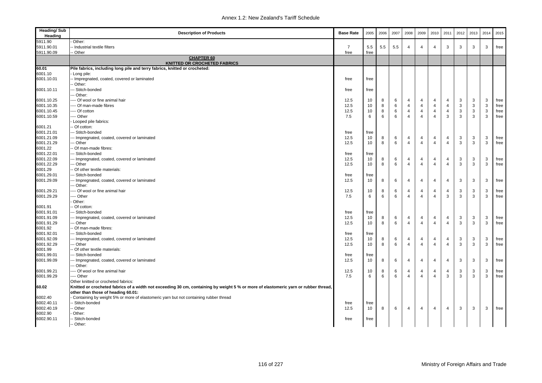| <b>Heading/Sub</b><br>Heading | <b>Description of Products</b>                                                                                                      | <b>Base Rate</b> | 2005       | 2006   | 2007   | 2008                             | 2009           | 2010           | 2011           | 2012 | 2013   | 2014   | 2015         |
|-------------------------------|-------------------------------------------------------------------------------------------------------------------------------------|------------------|------------|--------|--------|----------------------------------|----------------|----------------|----------------|------|--------|--------|--------------|
| 5911.90                       | Other:                                                                                                                              |                  |            |        |        |                                  |                |                |                |      |        |        |              |
| 5911.90.01                    | Industrial textile filters                                                                                                          | $\overline{7}$   | 5.5        | 5.5    | 5.5    | 4                                | $\overline{4}$ | $\overline{4}$ | 3              | 3    | 3      | 3      | free         |
| 5911.90.09                    | Other                                                                                                                               | free             | free       |        |        |                                  |                |                |                |      |        |        |              |
|                               | <b>CHAPTER 60</b><br><b>KNITTED OR CROCHETED FABRICS</b>                                                                            |                  |            |        |        |                                  |                |                |                |      |        |        |              |
| 60.01                         | Pile fabrics, including long pile and terry fabrics, knitted or crocheted:                                                          |                  |            |        |        |                                  |                |                |                |      |        |        |              |
| 6001.10                       | Long pile:                                                                                                                          |                  |            |        |        |                                  |                |                |                |      |        |        |              |
| 6001.10.01                    | Impregnated, coated, covered or laminated                                                                                           | free             | free       |        |        |                                  |                |                |                |      |        |        |              |
|                               | Other:                                                                                                                              |                  |            |        |        |                                  |                |                |                |      |        |        |              |
| 6001.10.11                    | - Stitch-bonded                                                                                                                     | free             | free       |        |        |                                  |                |                |                |      |        |        |              |
|                               | - Other:                                                                                                                            |                  |            |        |        |                                  |                |                |                |      |        |        |              |
| 6001.10.25                    | --- Of wool or fine animal hair                                                                                                     | 12.5             | 10         | 8      | 6      | $\overline{4}$                   | 4              | $\overline{4}$ | $\overline{4}$ | 3    | 3      | 3      | free         |
| 6001.10.35                    | --- Of man-made fibres                                                                                                              | 12.5             | 10         | 8      | 6      | $\overline{4}$                   | 4              | $\overline{4}$ | $\overline{4}$ | 3    | 3      | 3      | free         |
| 6001.10.45                    | ---- Of cotton                                                                                                                      | 12.5             | 10         | 8      | 6      | $\overline{4}$                   | $\overline{4}$ | $\overline{4}$ | $\overline{4}$ | 3    | 3      | 3      | free         |
| 6001.10.59                    | --- Other                                                                                                                           | 7.5              | 6          | 6      | 6      | $\overline{4}$                   | $\overline{4}$ | $\overline{4}$ | 3              | 3    | 3      | 3      | free         |
|                               | Looped pile fabrics:                                                                                                                |                  |            |        |        |                                  |                |                |                |      |        |        |              |
| 6001.21                       | Of cotton:                                                                                                                          |                  |            |        |        |                                  |                |                |                |      |        |        |              |
| 6001.21.01                    | -- Stitch-bonded                                                                                                                    | free             | free       |        |        |                                  |                |                |                |      |        |        |              |
| 6001.21.09                    | - Impregnated, coated, covered or laminated                                                                                         | 12.5             | 10         | 8      | 6      | 4                                | 4              | 4              | 4              | 3    | 3      | 3      | free         |
| 6001.21.29                    | - Other                                                                                                                             | 12.5             | 10         | 8      | 6      | $\overline{4}$                   | $\overline{4}$ | $\Delta$       | $\overline{4}$ | 3    | 3      | 3      | free         |
| 6001.22                       | Of man-made fibres:                                                                                                                 |                  |            |        |        |                                  |                |                |                |      |        |        |              |
| 6001.22.01                    | - Stitch-bonded                                                                                                                     | free             | free       |        |        |                                  |                |                |                |      |        |        |              |
| 6001.22.09                    | -- Impregnated, coated, covered or laminated                                                                                        | 12.5             | 10         | 8      | 6      | $\overline{4}$<br>$\overline{4}$ | 4              | 4              | $\overline{4}$ | 3    | 3      | 3      | free         |
| 6001.22.29                    | - Other                                                                                                                             | 12.5             | 10         | 8      | 6      |                                  | $\overline{4}$ | $\overline{4}$ | $\overline{4}$ | 3    | 3      | 3      | free         |
| 6001.29                       | - Of other textile materials:                                                                                                       |                  |            |        |        |                                  |                |                |                |      |        |        |              |
| 6001.29.01                    | - Stitch-bonded                                                                                                                     | free             | free<br>10 | 8      |        | $\overline{4}$                   | $\overline{4}$ |                | $\overline{4}$ |      | 3      |        |              |
| 6001.29.09                    | - Impregnated, coated, covered or laminated<br>- Other:                                                                             | 12.5             |            |        | 6      |                                  |                | $\overline{4}$ |                | 3    |        | 3      | free         |
|                               | --- Of wool or fine animal hair                                                                                                     |                  |            |        |        | $\overline{4}$                   | $\overline{4}$ | $\overline{4}$ | $\overline{4}$ | 3    |        |        |              |
| 6001.29.21<br>6001.29.29      | -- Other                                                                                                                            | 12.5<br>7.5      | 10<br>6    | 8<br>6 | 6<br>6 | $\overline{4}$                   | $\overline{4}$ | $\overline{4}$ | 3              | 3    | 3<br>3 | 3<br>3 | free<br>free |
|                               | Other:                                                                                                                              |                  |            |        |        |                                  |                |                |                |      |        |        |              |
| 6001.91                       | - Of cotton:                                                                                                                        |                  |            |        |        |                                  |                |                |                |      |        |        |              |
| 6001.91.01                    | -- Stitch-bonded                                                                                                                    | free             | free       |        |        |                                  |                |                |                |      |        |        |              |
| 6001.91.09                    | - Impregnated, coated, covered or laminated                                                                                         | 12.5             | 10         | 8      | 6      | $\overline{4}$                   | 4              | 4              | 4              | 3    | 3      | 3      | free         |
| 6001.91.29                    | - Other                                                                                                                             | 12.5             | 10         | 8      | 6      | $\overline{4}$                   | $\overline{4}$ | $\overline{4}$ | $\overline{4}$ | 3    | 3      | 3      | free         |
| 6001.92                       | Of man-made fibres:                                                                                                                 |                  |            |        |        |                                  |                |                |                |      |        |        |              |
| 6001.92.01                    | -- Stitch-bonded                                                                                                                    | free             | free       |        |        |                                  |                |                |                |      |        |        |              |
| 6001.92.09                    | -- Impregnated, coated, covered or laminated                                                                                        | 12.5             | 10         | 8      | 6      | $\overline{4}$                   | 4              | $\overline{4}$ | $\overline{4}$ | 3    | 3      | 3      | free         |
| 6001.92.29                    | - Other                                                                                                                             | 12.5             | 10         | 8      | 6      | $\Delta$                         | $\overline{4}$ | $\overline{4}$ | $\overline{4}$ | 3    | 3      | 3      | free         |
| 6001.99                       | Of other textile materials:                                                                                                         |                  |            |        |        |                                  |                |                |                |      |        |        |              |
| 6001.99.01                    | - Stitch-bonded                                                                                                                     | free             | free       |        |        |                                  |                |                |                |      |        |        |              |
| 6001.99.09                    | - Impregnated, coated, covered or laminated                                                                                         | 12.5             | 10         | 8      | 6      | 4                                | 4              | $\overline{4}$ | $\overline{4}$ | 3    | 3      | 3      | free         |
|                               | - Other:                                                                                                                            |                  |            |        |        |                                  |                |                |                |      |        |        |              |
| 6001.99.21                    | --- Of wool or fine animal hair                                                                                                     | 12.5             | 10         | 8      | 6      | $\overline{4}$                   | $\overline{4}$ | $\overline{4}$ | $\overline{4}$ | 3    | 3      | 3      | free         |
| 6001.99.29                    | --- Other                                                                                                                           | 7.5              | 6          | 6      | 6      | $\overline{4}$                   | $\overline{4}$ | $\overline{4}$ | 3              | 3    | 3      | 3      | free         |
|                               | Other knitted or crocheted fabrics:                                                                                                 |                  |            |        |        |                                  |                |                |                |      |        |        |              |
| 60.02                         | Knitted or crocheted fabrics of a width not exceeding 30 cm, containing by weight 5 % or more of elastomeric yarn or rubber thread, |                  |            |        |        |                                  |                |                |                |      |        |        |              |
|                               | other than those of heading 60.01:                                                                                                  |                  |            |        |        |                                  |                |                |                |      |        |        |              |
| 6002.40                       | Containing by weight 5% or more of elastomeric yarn but not containing rubber thread                                                |                  |            |        |        |                                  |                |                |                |      |        |        |              |
| 6002.40.11                    | - Stitch-bonded                                                                                                                     | free             | free       |        |        |                                  |                |                |                |      |        |        |              |
| 6002.40.19                    | - Other                                                                                                                             | 12.5             | 10         | 8      | 6      | $\overline{4}$                   | $\overline{4}$ | $\overline{4}$ | $\overline{4}$ | 3    | 3      | 3      | free         |
| 6002.90                       | Other:                                                                                                                              |                  |            |        |        |                                  |                |                |                |      |        |        |              |
| 6002.90.11                    | - Stitch-bonded                                                                                                                     | free             | free       |        |        |                                  |                |                |                |      |        |        |              |
|                               | - Other:                                                                                                                            |                  |            |        |        |                                  |                |                |                |      |        |        |              |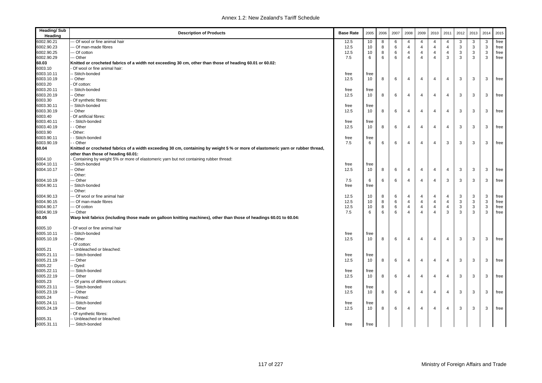| <b>Heading/Sub</b><br>Heading | <b>Description of Products</b>                                                                                                  | <b>Base Rate</b> | 2005            | 2006   | 2007   | 2008                | 2009                                      | 2010                             | 2011                             | 2012   | 2013   | 2014   | 2015         |
|-------------------------------|---------------------------------------------------------------------------------------------------------------------------------|------------------|-----------------|--------|--------|---------------------|-------------------------------------------|----------------------------------|----------------------------------|--------|--------|--------|--------------|
| 6002.90.21                    | -- Of wool or fine animal hair                                                                                                  | 12.5             | 10              | 8      | 6      | 4                   | 4                                         | $\overline{4}$                   | -4                               | 3      | 3      | 3      | free         |
| 6002.90.23                    | -- Of man-made fibres                                                                                                           | 12.5             | 10              | 8      | 6      | $\overline{4}$      | $\overline{\mathbf{4}}$                   | $\overline{4}$                   | $\overline{4}$                   | 3      | 3      | 3      | free         |
| 6002.90.25                    | --- Of cotton                                                                                                                   | 12.5             | 10              | 8      | 6      | $\overline{4}$      | $\overline{4}$                            | $\overline{4}$                   | $\overline{4}$                   | 3      | 3      | 3      | free         |
| 6002.90.29                    | -- Other                                                                                                                        | 7.5              | $6\phantom{1}6$ | 6      | 6      | $\overline{4}$      | $\overline{4}$                            | $\overline{4}$                   | 3                                | 3      | 3      | 3      | free         |
| 60.03                         | Knitted or crocheted fabrics of a width not exceeding 30 cm, other than those of heading 60.01 or 60.02:                        |                  |                 |        |        |                     |                                           |                                  |                                  |        |        |        |              |
| 6003.10                       | Of wool or fine animal hair:                                                                                                    |                  |                 |        |        |                     |                                           |                                  |                                  |        |        |        |              |
| 6003.10.11                    | - Stitch-bonded                                                                                                                 | free             | free            |        |        |                     |                                           |                                  |                                  |        |        |        |              |
| 6003.10.19                    | - Other                                                                                                                         | 12.5             | 10              | 8      | 6      | $\overline{4}$      | $\overline{\mathbf{4}}$                   | $\overline{4}$                   | $\overline{4}$                   | 3      | 3      | 3      | free         |
| 6003.20                       | Of cotton:                                                                                                                      |                  |                 |        |        |                     |                                           |                                  |                                  |        |        |        |              |
| 6003.20.11                    | - Stitch-bonded                                                                                                                 | free             | free            |        |        |                     |                                           |                                  |                                  |        |        |        |              |
| 6003.20.19                    | - Other                                                                                                                         | 12.5             | 10              | 8      | 6      | $\overline{4}$      | $\overline{\mathbf{4}}$                   | $\overline{4}$                   | $\overline{4}$                   | 3      | 3      | 3      | free         |
| 6003.30                       | Of synthetic fibres:                                                                                                            |                  |                 |        |        |                     |                                           |                                  |                                  |        |        |        |              |
| 6003.30.11                    | - Stitch-bonded                                                                                                                 | free             | free            |        |        |                     |                                           |                                  |                                  |        |        |        |              |
| 6003.30.19                    | - Other                                                                                                                         | 12.5             | 10              | 8      | 6      | $\overline{4}$      | $\overline{\mathbf{4}}$                   | $\overline{4}$                   | $\overline{4}$                   | 3      | 3      | 3      | free         |
| 6003.40                       | Of artificial fibres:                                                                                                           |                  |                 |        |        |                     |                                           |                                  |                                  |        |        |        |              |
| 6003.40.11                    | - Stitch-bonded                                                                                                                 | free             | free            |        |        |                     |                                           |                                  |                                  |        |        |        |              |
| 6003.40.19                    | - Other                                                                                                                         | 12.5             | 10              | 8      | 6      | $\overline{4}$      | $\overline{4}$                            | $\overline{4}$                   | $\overline{4}$                   | 3      | 3      | 3      | free         |
| 6003.90                       | Other:                                                                                                                          |                  |                 |        |        |                     |                                           |                                  |                                  |        |        |        |              |
| 6003.90.11                    | - Stitch-bonded                                                                                                                 | free             | free            |        |        |                     |                                           |                                  |                                  |        |        |        |              |
| 6003.90.19                    | - Other                                                                                                                         | 7.5              | 6               | 6      | 6      | $\overline{4}$      | $\overline{4}$                            | $\overline{4}$                   | 3                                | 3      | 3      | 3      | free         |
| 60.04                         | Knitted or crocheted fabrics of a width exceeding 30 cm, containing by weight 5 % or more of elastomeric yarn or rubber thread, |                  |                 |        |        |                     |                                           |                                  |                                  |        |        |        |              |
|                               | other than those of heading 60.01:                                                                                              |                  |                 |        |        |                     |                                           |                                  |                                  |        |        |        |              |
| 6004.10                       | Containing by weight 5% or more of elastomeric yarn but not containing rubber thread:                                           |                  |                 |        |        |                     |                                           |                                  |                                  |        |        |        |              |
| 6004.10.11                    | - Stitch-bonded                                                                                                                 | free             | free            |        |        |                     |                                           |                                  |                                  |        |        |        |              |
| 6004.10.17                    | - Other                                                                                                                         | 12.5             | 10              | 8      | 6      | 4                   | $\overline{4}$                            | $\overline{4}$                   | $\overline{4}$                   | 3      | 3      | 3      | free         |
|                               | - Other:                                                                                                                        |                  |                 |        |        |                     |                                           |                                  |                                  |        |        |        |              |
| 6004.10.19                    | -- Other                                                                                                                        | 7.5              | 6               | 6      | 6      | 4                   | $\overline{4}$                            | $\overline{4}$                   | 3                                | 3      | 3      | 3      | free         |
| 6004.90.11                    | - Stitch-bonded                                                                                                                 | free             | free            |        |        |                     |                                           |                                  |                                  |        |        |        |              |
|                               | Other:                                                                                                                          |                  |                 |        |        |                     |                                           |                                  |                                  |        |        |        |              |
| 6004.90.13                    | -- Of wool or fine animal hair<br>-- Of man-made fibres                                                                         | 12.5             | 10              | 8      | 6      | 4                   | $\overline{\mathbf{4}}$<br>$\overline{4}$ | $\overline{4}$<br>$\overline{4}$ | $\overline{4}$<br>$\overline{4}$ | 3      | 3      | 3<br>3 | free         |
| 6004.90.15<br>6004.90.17      | --- Of cotton                                                                                                                   | 12.5<br>12.5     | 10<br>10        | 8<br>8 | 6<br>6 | 4<br>$\overline{4}$ | $\overline{4}$                            | $\overline{4}$                   | $\overline{4}$                   | 3<br>3 | 3<br>3 | 3      | free<br>free |
| 6004.90.19                    | --- Other                                                                                                                       | 7.5              | 6               | 6      | 6      | $\overline{4}$      | $\overline{4}$                            | $\overline{4}$                   | 3                                | 3      | 3      | 3      | free         |
| 60.05                         | Warp knit fabrics (including those made on galloon knitting machines), other than those of headings 60.01 to 60.04:             |                  |                 |        |        |                     |                                           |                                  |                                  |        |        |        |              |
|                               |                                                                                                                                 |                  |                 |        |        |                     |                                           |                                  |                                  |        |        |        |              |
| 6005.10                       | Of wool or fine animal hair                                                                                                     |                  |                 |        |        |                     |                                           |                                  |                                  |        |        |        |              |
| 6005.10.11                    | - Stitch-bonded                                                                                                                 | free             | free            |        |        |                     |                                           |                                  |                                  |        |        |        |              |
| 6005.10.19                    | - Other                                                                                                                         | 12.5             | 10              | 8      | 6      | $\overline{4}$      | $\overline{\mathbf{4}}$                   | $\overline{4}$                   | $\overline{4}$                   | 3      | 3      | 3      | free         |
|                               | Of cotton:                                                                                                                      |                  |                 |        |        |                     |                                           |                                  |                                  |        |        |        |              |
| 6005.21                       | -- Unbleached or bleached:                                                                                                      |                  |                 |        |        |                     |                                           |                                  |                                  |        |        |        |              |
| 6005.21.11                    | -- Stitch-bonded                                                                                                                | free             | free            |        |        |                     |                                           |                                  |                                  |        |        |        |              |
| 6005.21.19                    | -- Other                                                                                                                        | 12.5             | 10              | 8      | 6      | 4                   | $\overline{4}$                            | $\overline{4}$                   | $\overline{4}$                   | 3      | 3      | 3      | free         |
| 6005.22                       | - Dyed:                                                                                                                         |                  |                 |        |        |                     |                                           |                                  |                                  |        |        |        |              |
| 6005.22.11                    | --- Stitch-bonded                                                                                                               | free             | free            |        |        |                     |                                           |                                  |                                  |        |        |        |              |
| 6005.22.19                    | -- Other                                                                                                                        | 12.5             | 10              | 8      | 6      | 4                   | $\overline{4}$                            | $\overline{4}$                   | $\overline{4}$                   | 3      | 3      | 3      | free         |
| 6005.23                       | - Of yarns of different colours:                                                                                                |                  |                 |        |        |                     |                                           |                                  |                                  |        |        |        |              |
| 6005.23.11                    | -- Stitch-bonded                                                                                                                | free             | free            |        |        |                     |                                           |                                  |                                  |        |        |        |              |
| 6005.23.19                    | -- Other                                                                                                                        | 12.5             | 10              | 8      | 6      | 4                   | $\overline{4}$                            | $\overline{4}$                   | $\overline{4}$                   | 3      | 3      | 3      | free         |
| 6005.24                       | -- Printed:                                                                                                                     |                  |                 |        |        |                     |                                           |                                  |                                  |        |        |        |              |
| 6005.24.11                    | -- Stitch-bonded                                                                                                                | free             | free            |        |        |                     |                                           |                                  |                                  |        |        |        |              |
| 6005.24.19                    | -- Other                                                                                                                        | 12.5             | 10              | 8      | 6      | 4                   | $\overline{4}$                            | 4                                | $\overline{4}$                   | 3      | 3      | 3      | free         |
|                               | Of synthetic fibres:                                                                                                            |                  |                 |        |        |                     |                                           |                                  |                                  |        |        |        |              |
| 6005.31                       | -- Unbleached or bleached:                                                                                                      |                  |                 |        |        |                     |                                           |                                  |                                  |        |        |        |              |
| 6005.31.11                    | --- Stitch-bonded                                                                                                               | free             | free            |        |        |                     |                                           |                                  |                                  |        |        |        |              |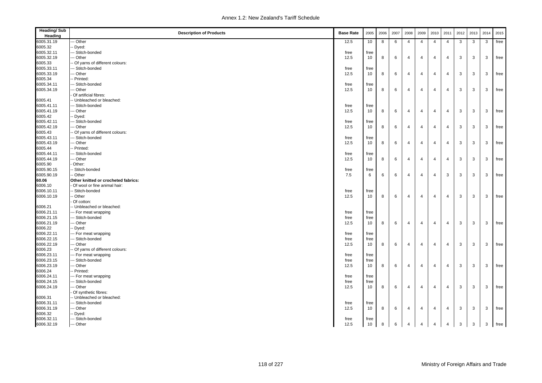| <b>Heading/Sub</b><br>Heading | <b>Description of Products</b>      | <b>Base Rate</b> | 2005 | 2006 | 2007 | 2008           | 2009                    | 2010           | 2011           | 2012 | 2013 | 2014 | 2015 |
|-------------------------------|-------------------------------------|------------------|------|------|------|----------------|-------------------------|----------------|----------------|------|------|------|------|
| 6005.31.19                    | - Other                             | 12.5             | 10   | 8    | 6    | 4              | $\overline{4}$          | $\overline{4}$ | $\overline{4}$ | 3    | 3    | 3    | free |
| 6005.32                       | Dyed:                               |                  |      |      |      |                |                         |                |                |      |      |      |      |
| 6005.32.11                    | - Stitch-bonded                     | free             | free |      |      |                |                         |                |                |      |      |      |      |
| 6005.32.19                    | - Other                             | 12.5             | 10   | 8    | 6    | 4              | 4                       | $\overline{4}$ | $\overline{4}$ | 3    | 3    | 3    | free |
| 6005.33                       | Of yarns of different colours:      |                  |      |      |      |                |                         |                |                |      |      |      |      |
| 6005.33.11                    | - Stitch-bonded                     | free             | free |      |      |                |                         |                |                |      |      |      |      |
| 6005.33.19                    | - Other                             | 12.5             | 10   | 8    | 6    | 4              | $\overline{4}$          | $\overline{4}$ | $\overline{4}$ | 3    | 3    | 3    | free |
| 6005.34                       | - Printed:                          |                  |      |      |      |                |                         |                |                |      |      |      |      |
| 6005.34.11                    | -- Stitch-bonded                    | free             | free |      |      |                |                         |                |                |      |      |      |      |
| 6005.34.19                    | - Other                             | 12.5             | 10   | 8    | 6    | 4              | $\overline{4}$          | $\overline{4}$ | $\overline{4}$ | 3    | 3    | 3    | free |
|                               | Of artificial fibres:               |                  |      |      |      |                |                         |                |                |      |      |      |      |
| 6005.41                       | - Unbleached or bleached:           |                  |      |      |      |                |                         |                |                |      |      |      |      |
| 6005.41.11                    | -- Stitch-bonded                    | free             | free |      |      |                |                         |                |                |      |      |      |      |
| 6005.41.19                    | - Other                             | 12.5             | 10   | 8    | 6    | $\overline{4}$ | $\overline{\mathbf{4}}$ | $\overline{4}$ | $\overline{4}$ | 3    | 3    | 3    | free |
| 6005.42                       | Dyed:                               |                  |      |      |      |                |                         |                |                |      |      |      |      |
| 6005.42.11                    | - Stitch-bonded                     | free             | free |      |      |                |                         |                |                |      |      |      |      |
| 6005.42.19                    | - Other                             | 12.5             | 10   | 8    | 6    | 4              | $\overline{4}$          | $\overline{4}$ | $\overline{4}$ | 3    | 3    | 3    | free |
| 6005.43                       | Of yarns of different colours:      |                  |      |      |      |                |                         |                |                |      |      |      |      |
| 6005.43.11                    | -- Stitch-bonded                    | free             | free |      |      |                |                         |                |                |      |      |      |      |
| 6005.43.19                    | - Other                             | 12.5             | 10   | 8    | 6    | 4              | $\overline{4}$          | $\overline{4}$ | $\overline{4}$ | 3    | 3    | 3    | free |
| 6005.44                       | - Printed:                          |                  |      |      |      |                |                         |                |                |      |      |      |      |
| 6005.44.11                    | -- Stitch-bonded                    | free             | free |      |      |                |                         |                |                |      |      |      |      |
| 6005.44.19                    | - Other                             | 12.5             | 10   | 8    | 6    | $\overline{4}$ | $\overline{4}$          | $\overline{4}$ | $\overline{4}$ | 3    | 3    | 3    | free |
| 6005.90                       | Other:                              |                  |      |      |      |                |                         |                |                |      |      |      |      |
| 6005.90.15                    | Stitch-bonded                       | free             | free |      |      |                |                         |                |                |      |      |      |      |
| 6005.90.19                    | Other                               | 7.5              | 6    | 6    | 6    | $\overline{4}$ | $\overline{4}$          | $\overline{4}$ | 3              | 3    | 3    | 3    | free |
| 60.06                         | Other knitted or crocheted fabrics: |                  |      |      |      |                |                         |                |                |      |      |      |      |
| 6006.10                       | Of wool or fine animal hair:        |                  |      |      |      |                |                         |                |                |      |      |      |      |
| 6006.10.11                    | - Stitch-bonded                     | free             | free |      |      |                |                         |                |                |      |      |      |      |
| 6006.10.19                    | - Other                             | 12.5             | 10   | 8    | 6    | $\overline{4}$ | $\overline{4}$          | $\overline{4}$ | $\overline{4}$ | 3    | 3    | 3    | free |
|                               | Of cotton:                          |                  |      |      |      |                |                         |                |                |      |      |      |      |
| 6006.21                       | - Unbleached or bleached:           |                  |      |      |      |                |                         |                |                |      |      |      |      |
| 6006.21.11                    | -- For meat wrapping                | free             | free |      |      |                |                         |                |                |      |      |      |      |
| 6006.21.15                    | -- Stitch-bonded                    | free             | free |      |      |                |                         |                |                |      |      |      |      |
| 6006.21.19                    | - Other                             | 12.5             | 10   | 8    | 6    | $\overline{4}$ | $\overline{4}$          | $\overline{4}$ | $\overline{4}$ | 3    | 3    | 3    | free |
| 6006.22                       | Dyed:                               |                  |      |      |      |                |                         |                |                |      |      |      |      |
| 6006.22.11                    | --- For meat wrapping               | free             | free |      |      |                |                         |                |                |      |      |      |      |
| 6006.22.15                    | - Stitch-bonded                     | free             | free |      |      |                |                         |                |                |      |      |      |      |
| 6006.22.19                    | - Other                             | 12.5             | 10   | 8    | 6    | 4              | $\overline{4}$          | $\overline{4}$ | $\overline{4}$ | 3    | 3    | 3    | free |
| 6006.23                       | Of yarns of different colours:      |                  |      |      |      |                |                         |                |                |      |      |      |      |
| 6006.23.11                    | - For meat wrapping                 | free             | free |      |      |                |                         |                |                |      |      |      |      |
| 6006.23.15                    | - Stitch-bonded                     | free             | free |      |      |                |                         |                |                |      |      |      |      |
| 6006.23.19                    | -- Other                            | 12.5             | 10   | 8    | 6    | $\overline{4}$ | $\overline{4}$          | $\overline{4}$ | $\overline{4}$ | 3    | 3    | 3    | free |
| 6006.24                       | - Printed:                          |                  |      |      |      |                |                         |                |                |      |      |      |      |
| 6006.24.11                    | --- For meat wrapping               | free             | free |      |      |                |                         |                |                |      |      |      |      |
| 6006.24.15                    | -- Stitch-bonded                    | free             | free |      |      |                |                         |                |                |      |      |      |      |
| 6006.24.19                    | - Other                             | 12.5             | 10   | 8    | 6    | $\overline{4}$ | $\overline{4}$          | $\overline{4}$ | $\overline{4}$ | 3    | 3    | 3    | free |
|                               | Of synthetic fibres:                |                  |      |      |      |                |                         |                |                |      |      |      |      |
| 6006.31                       | - Unbleached or bleached:           |                  |      |      |      |                |                         |                |                |      |      |      |      |
| 6006.31.11                    | -- Stitch-bonded                    | free             | free |      |      |                |                         |                |                |      |      |      |      |
| 6006.31.19                    | - Other                             | 12.5             | 10   | 8    | 6    | $\overline{4}$ | $\overline{4}$          | 4              | $\overline{4}$ | 3    | 3    | 3    | free |
| 6006.32                       | Dyed:                               |                  |      |      |      |                |                         |                |                |      |      |      |      |
| 6006.32.11                    | -- Stitch-bonded                    | free             | free |      |      |                |                         |                |                |      |      |      |      |
| 6006.32.19                    | --- Other                           | 12.5             | 10   | 8    | 6    | $\overline{4}$ | $\overline{4}$          | $\overline{4}$ | $\overline{4}$ | 3    | 3    | 3    | free |
|                               |                                     |                  |      |      |      |                |                         |                |                |      |      |      |      |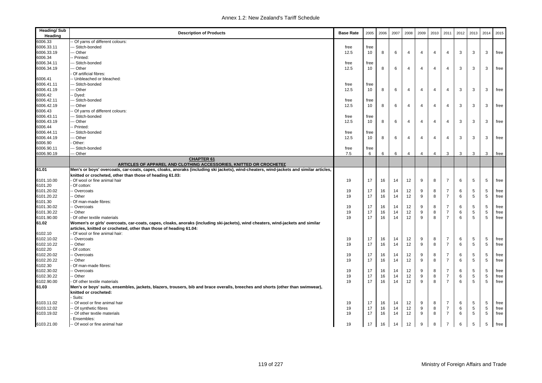| <b>Heading/Sub</b><br>Heading | <b>Description of Products</b>                                                                                                         | <b>Base Rate</b> | 2005 | 2006 | 2007 | 2008           | 2009           | 2010           | 2011           | 2012 | 2013            | 2014 | 2015 |
|-------------------------------|----------------------------------------------------------------------------------------------------------------------------------------|------------------|------|------|------|----------------|----------------|----------------|----------------|------|-----------------|------|------|
| 6006.33                       | Of yarns of different colours:                                                                                                         |                  |      |      |      |                |                |                |                |      |                 |      |      |
| 6006.33.11                    | - Stitch-bonded                                                                                                                        | free             | free |      |      |                |                |                |                |      |                 |      |      |
| 6006.33.19                    | - Other                                                                                                                                | 12.5             | 10   | 8    | 6    | $\overline{4}$ | $\overline{4}$ | $\overline{4}$ | $\overline{4}$ | 3    | 3               | 3    | free |
| 6006.34                       | Printed:                                                                                                                               |                  |      |      |      |                |                |                |                |      |                 |      |      |
| 6006.34.11                    | - Stitch-bonded                                                                                                                        | free             | free |      |      |                |                |                |                |      |                 |      |      |
| 6006.34.19                    | -- Other                                                                                                                               | 12.5             | 10   | 8    | 6    | $\overline{4}$ | $\overline{4}$ | $\overline{4}$ | $\overline{4}$ | 3    | 3               | 3    | free |
|                               | Of artificial fibres:                                                                                                                  |                  |      |      |      |                |                |                |                |      |                 |      |      |
| 6006.41                       | - Unbleached or bleached:                                                                                                              |                  |      |      |      |                |                |                |                |      |                 |      |      |
| 6006.41.11                    | - Stitch-bonded                                                                                                                        | free             | free |      |      |                |                |                |                |      |                 |      |      |
| 6006.41.19                    | - Other                                                                                                                                | 12.5             | 10   | 8    | 6    | $\overline{4}$ | $\overline{4}$ | $\overline{4}$ | $\overline{4}$ | 3    | 3               | 3    | free |
| 6006.42                       | Dyed:                                                                                                                                  |                  |      |      |      |                |                |                |                |      |                 |      |      |
| 6006.42.11                    | - Stitch-bonded                                                                                                                        | free             | free |      |      |                |                |                |                |      |                 |      |      |
| 6006.42.19                    | -- Other                                                                                                                               | 12.5             | 10   | 8    | 6    | $\overline{4}$ | $\overline{4}$ | $\overline{4}$ | $\overline{4}$ | 3    | 3               | 3    | free |
| 6006.43                       | Of yarns of different colours:                                                                                                         |                  |      |      |      |                |                |                |                |      |                 |      |      |
| 6006.43.11                    | - Stitch-bonded                                                                                                                        | free             | free |      |      |                |                |                |                |      |                 |      |      |
| 6006.43.19                    | -- Other                                                                                                                               | 12.5             | 10   | 8    | 6    | $\overline{4}$ | $\overline{4}$ | $\overline{4}$ | $\overline{4}$ | 3    | 3               | 3    | free |
| 6006.44                       | Printed:                                                                                                                               |                  |      |      |      |                |                |                |                |      |                 |      |      |
| 6006.44.11                    | - Stitch-bonded                                                                                                                        | free             | free |      |      |                |                |                |                |      |                 |      |      |
| 6006.44.19                    | - Other                                                                                                                                | 12.5             | 10   | 8    | 6    | $\overline{4}$ | $\overline{4}$ | $\overline{4}$ | $\overline{4}$ | 3    | 3               | 3    | free |
| 6006.90                       | Other:                                                                                                                                 |                  |      |      |      |                |                |                |                |      |                 |      |      |
| 6006.90.11                    | - Stitch-bonded                                                                                                                        | free             | free |      |      |                |                |                |                |      |                 |      |      |
| 6006.90.19                    | - Other                                                                                                                                | 7.5              | 6    | 6    | 6    | $\overline{4}$ | $\overline{4}$ | $\overline{4}$ | 3              | 3    | 3               | 3    | free |
|                               | <b>CHAPTER 61</b><br>ARTICLES OF APPAREL AND CLOTHING ACCESSORIES, KNITTED OR CROCHETED                                                |                  |      |      |      |                |                |                |                |      |                 |      |      |
| 61.01                         | Men's or boys' overcoats, car-coats, capes, cloaks, anoraks (including ski jackets), wind-cheaters, wind-jackets and similar articles, |                  |      |      |      |                |                |                |                |      |                 |      |      |
|                               | knitted or crocheted, other than those of heading 61.03:                                                                               |                  |      |      |      |                |                |                |                |      |                 |      |      |
| 6101.10.00                    | Of wool or fine animal hair                                                                                                            | 19               | 17   | 16   | 14   | 12             | 9              | 8              | $\overline{7}$ | 6    | 5               | 5    | free |
| 6101.20                       | Of cotton:                                                                                                                             |                  |      |      |      |                |                |                |                |      |                 |      |      |
| 6101.20.02                    | - Overcoats                                                                                                                            | 19               | 17   | 16   | 14   | 12             | 9              | 8              | $\overline{7}$ | 6    | 5               | 5    | free |
| 6101.20.22                    | - Other                                                                                                                                | 19               | 17   | 16   | 14   | 12             | 9              | 8              | $\overline{7}$ | 6    | 5               | 5    | free |
| 6101.30                       | Of man-made fibres:                                                                                                                    |                  |      |      |      |                |                |                |                |      |                 |      |      |
| 6101.30.02                    | Overcoats                                                                                                                              | 19               | 17   | 16   | 14   | 12             | 9              | 8              | $\overline{7}$ | 6    | 5               | 5    | free |
| 6101.30.22                    | - Other                                                                                                                                | 19               | 17   | 16   | 14   | 12             | 9              | 8              | $\overline{7}$ | 6    | 5               | 5    | free |
| 6101.90.00                    | Of other textile materials                                                                                                             | 19               | 17   | 16   | 14   | 12             | 9              | 8              | $\overline{7}$ | 6    | 5               | 5    | free |
| 61.02                         | Women's or girls' overcoats, car-coats, capes, cloaks, anoraks (including ski-jackets), wind cheaters, wind-jackets and similar        |                  |      |      |      |                |                |                |                |      |                 |      |      |
|                               | articles, knitted or crocheted, other than those of heading 61.04:                                                                     |                  |      |      |      |                |                |                |                |      |                 |      |      |
| 6102.10                       | Of wool or fine animal hair:                                                                                                           |                  |      |      |      |                |                |                |                |      |                 |      |      |
| 6102.10.02                    | Overcoats                                                                                                                              | 19               | 17   | 16   | 14   | 12             | 9              | 8              | 7              | 6    | 5               | 5    | free |
| 6102.10.22                    | Other                                                                                                                                  | 19               | 17   | 16   | 14   | 12             | 9              | 8              | $\overline{7}$ | 6    | 5               | 5    | free |
| 6102.20                       | Of cotton:                                                                                                                             |                  |      |      |      |                |                |                |                |      |                 |      |      |
| 6102.20.02                    | - Overcoats                                                                                                                            | 19               | 17   | 16   | 14   | 12             | 9              | 8              | $\overline{7}$ | 6    | 5               | 5    | free |
| 6102.20.22                    | - Other                                                                                                                                | 19               | 17   | 16   | 14   | 12             | 9              | 8              | $\overline{7}$ | 6    | 5               | 5    | free |
| 6102.30                       | Of man-made fibres:                                                                                                                    |                  |      |      |      |                |                |                |                |      |                 |      |      |
| 6102.30.02                    | Overcoats                                                                                                                              | 19               | 17   | 16   | 14   | 12             | 9              | 8              | $\overline{7}$ | 6    | 5               | 5    | free |
| 6102.30.22                    | - Other                                                                                                                                | 19               | 17   | 16   | 14   | 12             | 9              | 8              | $\overline{7}$ | 6    | 5               | 5    | free |
| 6102.90.00                    | Of other textile materials                                                                                                             | 19               | 17   | 16   | 14   | 12             | $\mathbf{q}$   | 8              | $\overline{7}$ | 6    | 5               | 5    | free |
| 61.03                         | Men's or boys' suits, ensembles, jackets, blazers, trousers, bib and brace overalls, breeches and shorts (other than swimwear),        |                  |      |      |      |                |                |                |                |      |                 |      |      |
|                               | knitted or crocheted:                                                                                                                  |                  |      |      |      |                |                |                |                |      |                 |      |      |
|                               | Suits:                                                                                                                                 |                  |      |      |      |                |                |                |                |      |                 |      |      |
| 6103.11.02                    | - Of wool or fine animal hair                                                                                                          | 19               | 17   | 16   | 14   | 12             | 9              | 8              | $\overline{7}$ | 6    | 5               | 5    | free |
| 6103.12.02                    | Of synthetic fibres                                                                                                                    | 19               | 17   | 16   | 14   | 12             | 9              | 8              | $\overline{7}$ | 6    | $5\overline{)}$ | 5    | free |
| 6103.19.02                    | - Of other textile materials                                                                                                           | 19               | 17   | 16   | 14   | 12             | 9              | 8              | $\overline{7}$ | 6    | 5               | 5    | free |
|                               | Ensembles:                                                                                                                             |                  |      |      |      |                |                |                |                |      |                 |      |      |
| 6103.21.00                    | -- Of wool or fine animal hair                                                                                                         | 19               | 17   | 16   | 14   | 12             | 9              | 8              | $\overline{7}$ | 6    | 5               | 5    | free |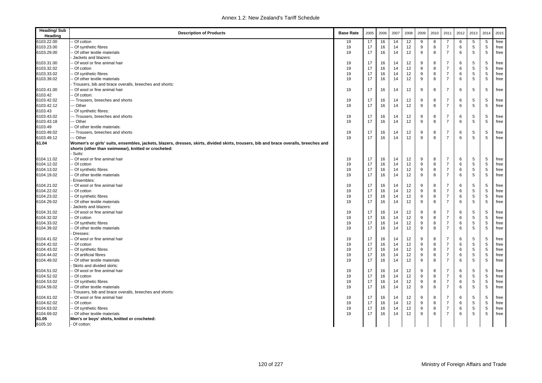| <b>Heading/Sub</b><br>Heading | <b>Description of Products</b>                                                                                                        | <b>Base Rate</b> | 2005 | 2006 | 2007 | 2008 | 2009 | 2010 | 2011           | 2012 | 2013       | 2014 | 2015 |
|-------------------------------|---------------------------------------------------------------------------------------------------------------------------------------|------------------|------|------|------|------|------|------|----------------|------|------------|------|------|
| 6103.22.00                    | Of cotton                                                                                                                             | 19               | 17   | 16   | 14   | 12   | 9    | 8    | 7              | 6    | 5          | 5    | free |
| 6103.23.00                    | Of synthetic fibres                                                                                                                   | 19               | 17   | 16   | 14   | 12   | 9    | 8    | $\overline{7}$ | 6    | 5          | 5    | free |
| 6103.29.00                    | Of other textile materials                                                                                                            | 19               | 17   | 16   | 14   | 12   | 9    | 8    | $\overline{7}$ | 6    | 5          | 5    | free |
|                               | Jackets and blazers:                                                                                                                  |                  |      |      |      |      |      |      |                |      |            |      |      |
| 6103.31.00                    | Of wool or fine animal hair                                                                                                           | 19               | 17   | 16   | 14   | 12   | 9    | 8    | $\overline{7}$ | 6    | 5          | 5    | free |
| 6103.32.02                    | - Of cotton                                                                                                                           | 19               | 17   | 16   | 14   | 12   | 9    | 8    | $\overline{7}$ | 6    | 5          | 5    | free |
| 6103.33.02                    | Of synthetic fibres                                                                                                                   | 19               | 17   | 16   | 14   | 12   | 9    | 8    | $\overline{7}$ | 6    | 5          | 5    | free |
| 6103.39.02                    | Of other textile materials                                                                                                            | 19               | 17   | 16   | 14   | 12   | 9    | 8    | $\overline{7}$ | 6    | 5          | 5    | free |
|                               | Trousers, bib and brace overalls, breeches and shorts:                                                                                |                  |      |      |      |      |      |      |                |      |            |      |      |
| 6103.41.00                    | Of wool or fine animal hair                                                                                                           | 19               | 17   | 16   | 14   | 12   | 9    | 8    | $\overline{7}$ | 6    | 5          | 5    | free |
| 6103.42                       | Of cotton:                                                                                                                            |                  |      |      |      |      |      |      |                |      |            |      |      |
| 6103.42.02                    | -- Trousers, breeches and shorts                                                                                                      | 19               | 17   | 16   | 14   | 12   | 9    | 8    | $\overline{7}$ | 6    | 5          | 5    | free |
| 6103.42.12                    | -- Other                                                                                                                              | 19               | 17   | 16   | 14   | 12   | 9    | 8    | $\overline{7}$ | 6    | 5          | 5    | free |
| 6103.43                       | Of synthetic fibres:                                                                                                                  |                  |      |      |      |      |      |      |                |      |            |      |      |
| 6103.43.02                    | -- Trousers, breeches and shorts                                                                                                      | 19               | 17   | 16   | 14   | 12   | 9    | 8    | 7              | 6    | 5          | 5    | free |
| 6103.43.18                    | -- Other                                                                                                                              | 19               | 17   | 16   | 14   | 12   | 9    | 8    | $\overline{7}$ | 6    | 5          | 5    | free |
| 6103.49                       | Of other textile materials:                                                                                                           |                  |      |      |      |      |      |      |                |      |            |      |      |
| 6103.49.02                    | -- Trousers, breeches and shorts                                                                                                      | 19               | 17   | 16   | 14   | 12   | 9    | 8    | 7              | 6    | 5          | 5    | free |
| 6103.49.12                    | -- Other                                                                                                                              | 19               | 17   | 16   | 14   | 12   | 9    | 8    | $\overline{7}$ | 6    | 5          | 5    | free |
| 61.04                         | Women's or girls' suits, ensembles, jackets, blazers, dresses, skirts, divided skirts, trousers, bib and brace overalls, breeches and |                  |      |      |      |      |      |      |                |      |            |      |      |
|                               | shorts (other than swimwear), knitted or crocheted:<br>Suits:                                                                         |                  |      |      |      |      |      |      |                |      |            |      |      |
| 6104.11.02                    | Of wool or fine animal hair                                                                                                           | 19               | 17   | 16   | 14   | 12   | 9    | 8    | $\overline{7}$ | 6    | 5          | 5    | free |
| 6104.12.02                    | Of cotton                                                                                                                             | 19               | 17   | 16   | 14   | 12   | 9    | 8    | $\overline{7}$ | 6    | $\sqrt{5}$ | 5    | free |
| 6104.13.02                    | Of synthetic fibres                                                                                                                   | 19               | 17   | 16   | 14   | 12   | 9    | 8    | $\overline{7}$ | 6    | 5          | 5    | free |
| 6104.19.02                    | Of other textile materials                                                                                                            | 19               | 17   | 16   | 14   | 12   | 9    | 8    | $\overline{7}$ | 6    | 5          | 5    | free |
|                               | Ensembles:                                                                                                                            |                  |      |      |      |      |      |      |                |      |            |      |      |
| 6104.21.02                    | Of wool or fine animal hair                                                                                                           | 19               | 17   | 16   | 14   | 12   | 9    | 8    | $\overline{7}$ | 6    | 5          | 5    | free |
| 6104.22.02                    | Of cotton                                                                                                                             | 19               | 17   | 16   | 14   | 12   | 9    | 8    | $\overline{7}$ | 6    | 5          | 5    | free |
| 6104.23.02                    | Of synthetic fibres                                                                                                                   | 19               | 17   | 16   | 14   | 12   | 9    | 8    | $\overline{7}$ | 6    | 5          | 5    | free |
| 6104.29.02                    | Of other textile materials                                                                                                            | 19               | 17   | 16   | 14   | 12   | 9    | 8    | $\overline{7}$ | 6    | 5          | 5    | free |
|                               | Jackets and blazers:                                                                                                                  |                  |      |      |      |      |      |      |                |      |            |      |      |
| 6104.31.02                    | Of wool or fine animal hair                                                                                                           | 19               | 17   | 16   | 14   | 12   | 9    | 8    | $\overline{7}$ | 6    | 5          | 5    | free |
| 6104.32.02                    | Of cotton                                                                                                                             | 19               | 17   | 16   | 14   | 12   | 9    | 8    | $\overline{7}$ | 6    | 5          | 5    | free |
| 6104.33.02                    | Of synthetic fibres                                                                                                                   | 19               | 17   | 16   | 14   | 12   | 9    | 8    | $\overline{7}$ | 6    | 5          | 5    | free |
| 6104.39.02                    | Of other textile materials                                                                                                            | 19               | 17   | 16   | 14   | 12   | 9    | 8    | $\overline{7}$ | 6    | 5          | 5    | free |
|                               | Dresses:                                                                                                                              |                  |      |      |      |      |      |      |                |      |            |      |      |
| 6104.41.02                    | Of wool or fine animal hair                                                                                                           | 19               | 17   | 16   | 14   | 12   | 9    | 8    | $\overline{7}$ | 6    | $\sqrt{5}$ | 5    | free |
| 6104.42.02                    | Of cotton                                                                                                                             | 19               | 17   | 16   | 14   | 12   | 9    | 8    | $\overline{7}$ | 6    | 5          | 5    | free |
| 6104.43.02                    | Of synthetic fibres                                                                                                                   | 19               | 17   | 16   | 14   | 12   | 9    | 8    | $\overline{7}$ | 6    | 5          | 5    | free |
| 6104.44.02                    | Of artificial fibres                                                                                                                  | 19               | 17   | 16   | 14   | 12   | 9    | 8    | $\overline{7}$ | 6    | 5          | 5    | free |
| 6104.49.02                    | Of other textile materials                                                                                                            | 19               | 17   | 16   | 14   | 12   | 9    | 8    | $\overline{7}$ | 6    | 5          | 5    | free |
|                               | Skirts and divided skirts:                                                                                                            |                  |      |      |      |      |      |      |                |      |            |      |      |
| 6104.51.02                    | Of wool or fine animal hair                                                                                                           | 19               | 17   | 16   | 14   | 12   | 9    | 8    | 7              | 6    | 5          | 5    | free |
| 6104.52.02                    | Of cotton                                                                                                                             | 19               | 17   | 16   | 14   | 12   | 9    | 8    | $\overline{7}$ | 6    | 5          | 5    | free |
| 6104.53.02                    | Of synthetic fibres                                                                                                                   | 19               | 17   | 16   | 14   | 12   | 9    | 8    | $\overline{7}$ | 6    | 5          | 5    | free |
| 6104.59.02                    | Of other textile materials                                                                                                            | 19               | 17   | 16   | 14   | 12   | 9    | 8    | $\overline{7}$ | 6    | 5          | 5    | free |
|                               | Trousers, bib and brace overalls, breeches and shorts:                                                                                |                  |      |      |      |      |      |      |                |      |            |      |      |
| 6104.61.02                    | Of wool or fine animal hair                                                                                                           | 19               | 17   | 16   | 14   | 12   | 9    | 8    | $\overline{7}$ | 6    | 5          | 5    | free |
| 6104.62.02                    | - Of cotton                                                                                                                           | 19               | 17   | 16   | 14   | 12   | 9    | 8    | $\overline{7}$ | 6    | 5          | 5    | free |
| 6104.63.02                    | Of synthetic fibres                                                                                                                   | 19               | 17   | 16   | 14   | 12   | 9    | 8    | $\overline{7}$ | 6    | $\sqrt{5}$ | 5    | free |
| 6104.69.02                    | Of other textile materials                                                                                                            | 19               | 17   | 16   | 14   | 12   | 9    | 8    | $\overline{7}$ | 6    | 5          | 5    | free |
| 61.05                         | Men's or boys' shirts, knitted or crocheted:                                                                                          |                  |      |      |      |      |      |      |                |      |            |      |      |
| 6105.10                       | - Of cotton:                                                                                                                          |                  |      |      |      |      |      |      |                |      |            |      |      |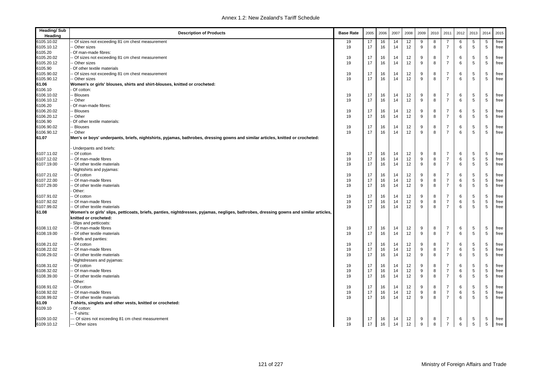| <b>Heading/Sub</b><br>Heading | <b>Description of Products</b>                                                                                                                           | <b>Base Rate</b> | 2005 | 2006 | 2007 | 2008 | 2009 | 2010         | 2011           | 2012 | 2013        | 2014       | 2015 |
|-------------------------------|----------------------------------------------------------------------------------------------------------------------------------------------------------|------------------|------|------|------|------|------|--------------|----------------|------|-------------|------------|------|
| 6105.10.02                    | - Of sizes not exceeding 81 cm chest measurement                                                                                                         | 19               | 17   | 16   | 14   | 12   | 9    | 8            | 7              | 6    | 5           | 5          | free |
| 6105.10.12                    | Other sizes                                                                                                                                              | 19               | 17   | 16   | 14   | 12   | 9    | 8            | $\overline{7}$ | 6    | 5           | 5          | free |
| 6105.20                       | Of man-made fibres:                                                                                                                                      |                  |      |      |      |      |      |              |                |      |             |            |      |
| 6105.20.02                    | - Of sizes not exceeding 81 cm chest measurement                                                                                                         | 19               | 17   | 16   | 14   | 12   | 9    | 8            | $\overline{7}$ | 6    | 5           | 5          | free |
| 6105.20.12                    | Other sizes                                                                                                                                              | 19               | 17   | 16   | 14   | 12   | 9    | 8            | $\overline{7}$ | 6    | 5           | 5          | free |
| 6105.90                       | Of other textile materials                                                                                                                               |                  |      |      |      |      |      |              |                |      |             |            |      |
| 6105.90.02                    | - Of sizes not exceeding 81 cm chest measurement                                                                                                         | 19               | 17   | 16   | 14   | 12   | 9    | 8            | $\overline{7}$ | 6    | 5           | 5          | free |
| 6105.90.12                    | - Other sizes                                                                                                                                            | 19               | 17   | 16   | 14   | 12   | 9    | 8            | $\overline{7}$ | 6    | 5           | 5          | free |
| 61.06                         | Women's or girls' blouses, shirts and shirt-blouses, knitted or crocheted:                                                                               |                  |      |      |      |      |      |              |                |      |             |            |      |
| 6106.10                       | Of cotton:                                                                                                                                               |                  |      |      |      |      |      |              |                |      |             |            |      |
| 6106.10.02                    | - Blouses                                                                                                                                                | 19               | 17   | 16   | 14   | 12   | 9    | 8            | $\overline{7}$ | 6    | 5           | 5          | free |
| 6106.10.12                    | - Other                                                                                                                                                  | 19               | 17   | 16   | 14   | 12   | 9    | 8            | $\overline{7}$ | 6    | 5           | 5          | free |
| 6106.20                       | Of man-made fibres:                                                                                                                                      |                  |      |      |      |      |      |              |                |      |             |            |      |
| 6106.20.02                    | - Blouses                                                                                                                                                | 19               | 17   | 16   | 14   | 12   | 9    | 8            | $\overline{7}$ | 6    | 5           | 5          | free |
| 6106.20.12                    | - Other                                                                                                                                                  | 19               | 17   | 16   | 14   | 12   | 9    | 8            | $\overline{7}$ | 6    | 5           | 5          | free |
| 6106.90                       | Of other textile materials:                                                                                                                              |                  |      |      |      |      |      |              |                |      |             |            |      |
| 6106.90.02                    | - Blouses                                                                                                                                                | 19               | 17   | 16   | 14   | 12   | 9    | 8            | $\overline{7}$ | 6    | 5           | 5          |      |
|                               |                                                                                                                                                          |                  | 17   |      | 14   | 12   |      | 8            |                | 6    | 5           |            | free |
| 6106.90.12                    | -- Other                                                                                                                                                 | 19               |      | 16   |      |      | 9    |              | $\overline{7}$ |      |             | 5          | free |
| 61.07                         | Men's or boys' underpants, briefs, nightshirts, pyjamas, bathrobes, dressing gowns and similar articles, knitted or crocheted:<br>Underpants and briefs: |                  |      |      |      |      |      |              |                |      |             |            |      |
| 6107.11.02                    | - Of cotton                                                                                                                                              | 19               | 17   | 16   | 14   | 12   | 9    | 8            | 7              | 6    | 5           | 5          | free |
| 6107.12.02                    | - Of man-made fibres                                                                                                                                     | 19               | 17   | 16   | 14   | 12   | 9    | 8            | $\overline{7}$ | 6    | $\,$ 5 $\,$ | 5          | free |
| 6107.19.00                    | - Of other textile materials                                                                                                                             |                  | 17   | 16   | 14   | 12   | 9    | 8            | $\overline{7}$ | 6    | 5           | $\sqrt{5}$ | free |
|                               |                                                                                                                                                          | 19               |      |      |      |      |      |              |                |      |             |            |      |
|                               | Nightshirts and pyjamas:                                                                                                                                 |                  |      |      |      |      |      |              |                |      |             |            |      |
| 6107.21.02                    | - Of cotton                                                                                                                                              | 19               | 17   | 16   | 14   | 12   | 9    | 8            | $\overline{7}$ | 6    | 5           | 5          | free |
| 6107.22.00                    | - Of man-made fibres                                                                                                                                     | 19               | 17   | 16   | 14   | 12   | 9    | 8            | $\overline{7}$ | 6    | $\,$ 5 $\,$ | 5          | free |
| 6107.29.00                    | - Of other textile materials                                                                                                                             | 19               | 17   | 16   | 14   | 12   | 9    | 8            | $\overline{7}$ | 6    | 5           | 5          | free |
|                               | Other:                                                                                                                                                   |                  |      |      |      |      |      |              |                |      |             |            |      |
| 6107.91.02                    | - Of cotton                                                                                                                                              | 19               | 17   | 16   | 14   | 12   | 9    | 8            | $\overline{7}$ | 6    | 5           | 5          | free |
| 6107.92.02                    | - Of man-made fibres                                                                                                                                     | 19               | 17   | 16   | 14   | 12   | 9    | 8            | $\overline{7}$ | 6    | 5           | 5          | free |
| 6107.99.02                    | - Of other textile materials                                                                                                                             | 19               | 17   | 16   | 14   | 12   | 9    | $\mathsf{R}$ | $\overline{7}$ | 6    | 5           | 5          | free |
| 61.08                         | Women's or girls' slips, petticoats, briefs, panties, nightdresses, pyjamas, negliges, bathrobes, dressing gowns and similar articles,                   |                  |      |      |      |      |      |              |                |      |             |            |      |
|                               | knitted or crocheted:                                                                                                                                    |                  |      |      |      |      |      |              |                |      |             |            |      |
|                               | Slips and petticoats:                                                                                                                                    |                  |      |      |      |      |      |              |                |      |             |            |      |
| 6108.11.02                    | - Of man-made fibres                                                                                                                                     | 19               | 17   | 16   | 14   | 12   | 9    | 8            | $\overline{7}$ | 6    | 5           | 5          | free |
| 6108.19.00                    | -- Of other textile materials                                                                                                                            | 19               | 17   | 16   | 14   | 12   | 9    | 8            | $\overline{7}$ | 6    | 5           | 5          | free |
|                               | Briefs and panties:                                                                                                                                      |                  |      |      |      |      |      |              |                |      |             |            |      |
| 6108.21.02                    | - Of cotton                                                                                                                                              | 19               | 17   | 16   | 14   | 12   | 9    | 8            | $\overline{7}$ | 6    | 5           | 5          | free |
| 6108.22.02                    | -- Of man-made fibres                                                                                                                                    | 19               | 17   | 16   | 14   | 12   | 9    | 8            | $\overline{7}$ | 6    | 5           | 5          | free |
| 6108.29.02                    | - Of other textile materials                                                                                                                             | 19               | 17   | 16   | 14   | 12   | 9    | 8            | $\overline{7}$ | 6    | 5           | 5          | free |
|                               | Nightdresses and pyjamas:                                                                                                                                |                  |      |      |      |      |      |              |                |      |             |            |      |
| 6108.31.02                    | - Of cotton                                                                                                                                              | 19               | 17   | 16   | 14   | 12   | 9    | 8            | $\overline{7}$ | 6    | 5           | 5          | free |
| 6108.32.02                    | - Of man-made fibres                                                                                                                                     | 19               | 17   | 16   | 14   | 12   | 9    | 8            | $\overline{7}$ | 6    | 5           | 5          | free |
| 6108.39.00                    | Of other textile materials                                                                                                                               | 19               | 17   | 16   | 14   | 12   | 9    | 8            | $\overline{7}$ | 6    | 5           | 5          | free |
|                               | Other:                                                                                                                                                   |                  |      |      |      |      |      |              |                |      |             |            |      |
| 6108.91.02                    | - Of cotton                                                                                                                                              | 19               | 17   | 16   | 14   | 12   | 9    | 8            | $\overline{7}$ | 6    | 5           | 5          | free |
| 6108.92.02                    | - Of man-made fibres                                                                                                                                     | 19               | 17   | 16   | 14   | 12   | 9    | 8            | $\overline{7}$ | 6    | 5           | 5          | free |
| 6108.99.02                    | - Of other textile materials                                                                                                                             | 19               | 17   | 16   | 14   | 12   | 9    | 8            | $\overline{7}$ | 6    | 5           | 5          | free |
|                               |                                                                                                                                                          |                  |      |      |      |      |      |              |                |      |             |            |      |
| 61.09                         | T-shirts, singlets and other vests, knitted or crocheted:                                                                                                |                  |      |      |      |      |      |              |                |      |             |            |      |
| 6109.10                       | Of cotton:                                                                                                                                               |                  |      |      |      |      |      |              |                |      |             |            |      |
|                               | -- T-shirts:                                                                                                                                             |                  |      |      |      |      |      |              |                |      |             |            |      |
| 6109.10.02                    | -- Of sizes not exceeding 81 cm chest measurement                                                                                                        | 19               | 17   | 16   | 14   | 12   | 9    | 8            | $\overline{7}$ | 6    | 5           | 5          | free |
| 6109.10.12                    | --- Other sizes                                                                                                                                          | 19               | 17   | 16   | 14   | 12   | 9    | 8            | $\overline{7}$ | 6    | 5           | 5          | free |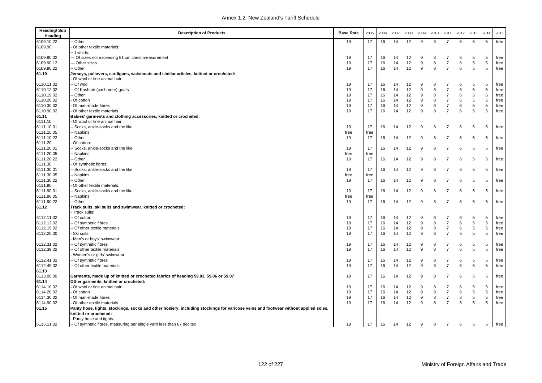| <b>Heading/Sub</b><br>Heading | <b>Description of Products</b>                                                                                                                              | <b>Base Rate</b> | 2005 | 2006 | 2007 | 2008            | 2009 | 2010 | 2011           | 2012 | 2013       | 2014            | 2015 |
|-------------------------------|-------------------------------------------------------------------------------------------------------------------------------------------------------------|------------------|------|------|------|-----------------|------|------|----------------|------|------------|-----------------|------|
| 6109.10.22                    | - Other                                                                                                                                                     | 19               | 17   | 16   | 14   | 12              | 9    | 8    | 7              | 6    | 5          | 5               | free |
| 6109.90                       | Of other textile materials:                                                                                                                                 |                  |      |      |      |                 |      |      |                |      |            |                 |      |
|                               | -- T-shirts:                                                                                                                                                |                  |      |      |      |                 |      |      |                |      |            |                 |      |
| 6109.90.02                    | - Of sizes not exceeding 81 cm chest measurement                                                                                                            | 19               | 17   | 16   | 14   | 12              | 9    | 8    | 7              | 6    | 5          | 5               | free |
| 6109.90.12                    | - Other sizes                                                                                                                                               | 19               | 17   | 16   | 14   | 12              | 9    | 8    | $\overline{7}$ | 6    | 5          | 5               | free |
| 6109.90.22                    | -- Other                                                                                                                                                    | 19               | 17   | 16   | 14   | 12              | 9    | 8    | $\overline{7}$ | 6    | 5          | 5               | free |
| 61.10                         | Jerseys, pullovers, cardigans, waistcoats and similar articles, knitted or crocheted:                                                                       |                  |      |      |      |                 |      |      |                |      |            |                 |      |
|                               | Of wool or fine animal hair:                                                                                                                                |                  |      |      |      |                 |      |      |                |      |            |                 |      |
| 6110.11.02                    | - Of wool                                                                                                                                                   | 19               | 17   | 16   | 14   | 12              | 9    | 8    | 7              | 6    | 5          | 5               | free |
| 6110.12.02                    | - Of Kashmir (cashmere) goats                                                                                                                               | 19               | 17   | 16   | 14   | 12              | 9    | 8    | $\overline{7}$ | 6    | 5          | 5               | free |
| 6110.19.02                    | Other                                                                                                                                                       | 19               | 17   | 16   | 14   | 12              | 9    | 8    | $\overline{7}$ | 6    | 5          | 5               | free |
| 6110.20.02                    | Of cotton                                                                                                                                                   | 19               | 17   | 16   | 14   | 12              | 9    | 8    | $\overline{7}$ | 6    | $\sqrt{5}$ | 5               | free |
| 6110.30.02                    | Of man-made fibres                                                                                                                                          | 19               | 17   | 16   | 14   | 12              | 9    | 8    | $\overline{7}$ | 6    | 5          | 5               | free |
| 6110.90.02                    | Of other textile materials                                                                                                                                  | 19               | 17   | 16   | 14   | 12              | 9    | 8    | $\overline{7}$ | 6    | 5          | 5               | free |
| 61.11                         | Babies' garments and clothing accessories, knitted or crocheted:                                                                                            |                  |      |      |      |                 |      |      |                |      |            |                 |      |
| 6111.10                       | Of wool or fine animal hair:                                                                                                                                |                  |      |      |      |                 |      |      |                |      |            |                 |      |
| 6111.10.01                    | - Socks, ankle-socks and the like                                                                                                                           | 19               | 17   | 16   | 14   | 12              | 9    | 8    | $\overline{7}$ | 6    | 5          | 5               | free |
| 6111.10.05                    | - Napkins                                                                                                                                                   | free             | free |      |      |                 |      |      |                |      |            |                 |      |
| 6111.10.22                    | -- Other                                                                                                                                                    | 19               | 17   | 16   | 14   | 12              | 9    | 8    | $\overline{7}$ | 6    | 5          | 5               | free |
| 6111.20                       | Of cotton:                                                                                                                                                  |                  |      |      |      |                 |      |      |                |      |            |                 |      |
| 6111.20.01                    | - Socks, ankle-socks and the like                                                                                                                           | 19               | 17   | 16   | 14   | 12              | 9    | 8    | $\overline{7}$ | 6    | 5          | 5               | free |
| 6111.20.05                    | - Napkins                                                                                                                                                   | free             | free |      |      |                 |      |      |                |      |            |                 |      |
| 6111.20.22                    | - Other                                                                                                                                                     | 19               | 17   | 16   | 14   | 12              | 9    | 8    | $\overline{7}$ | 6    | 5          | 5               | free |
| 6111.30                       | Of synthetic fibres:                                                                                                                                        |                  |      |      |      |                 |      |      |                |      |            |                 |      |
| 6111.30.01                    | - Socks, ankle-socks and the like                                                                                                                           | 19               | 17   | 16   | 14   | 12              | 9    | 8    | $\overline{7}$ | 6    | 5          | 5               | free |
| 6111.30.05                    | -- Napkins                                                                                                                                                  | free             | free |      |      |                 |      |      |                |      |            |                 |      |
| 6111.30.22                    | - Other                                                                                                                                                     | 19               | 17   | 16   | 14   | 12              | 9    | 8    | $\overline{7}$ | 6    | 5          | 5               | free |
| 6111.90                       | Of other textile materials:                                                                                                                                 |                  |      |      |      |                 |      |      |                |      |            |                 |      |
| 6111.90.01                    | - Socks, ankle-socks and the like                                                                                                                           | 19               | 17   | 16   | 14   | 12              | 9    | 8    | 7              | 6    | 5          | 5               | free |
| 6111.90.05                    | -- Napkins                                                                                                                                                  | free             | free |      |      |                 |      |      |                |      |            |                 |      |
| 6111.90.22                    | -- Other                                                                                                                                                    | 19               | 17   | 16   | 14   | 12              | 9    | 8    | $\overline{7}$ | 6    | 5          | 5               | free |
| 61.12                         | Track suits, ski suits and swimwear, knitted or crocheted:                                                                                                  |                  |      |      |      |                 |      |      |                |      |            |                 |      |
|                               | - Track suits:                                                                                                                                              |                  |      |      |      |                 |      |      |                |      |            |                 |      |
| 6112.11.02                    | - Of cotton                                                                                                                                                 | 19               | 17   | 16   | 14   | 12              | 9    | 8    | $\overline{7}$ | 6    | 5          | 5               | free |
| 6112.12.02                    | - Of synthetic fibres                                                                                                                                       | 19               | 17   | 16   | 14   | 12              | 9    | 8    | $\overline{7}$ | 6    | 5          | 5               | free |
| 6112.19.02                    | - Of other textile materials                                                                                                                                | 19               | 17   | 16   | 14   | 12              | 9    | 8    | $\overline{7}$ | 6    | $\sqrt{5}$ | 5               | free |
| 6112.20.00                    | Ski suits                                                                                                                                                   | 19               | 17   | 16   | 14   | 12              | 9    | 8    | $\overline{7}$ | 6    | 5          | 5               | free |
|                               | Men's or boys' swimwear:                                                                                                                                    |                  |      |      |      |                 |      |      |                |      |            |                 |      |
| 6112.31.02                    | - Of synthetic fibres                                                                                                                                       | 19               | 17   | 16   | 14   | 12              | 9    | 8    | $\overline{7}$ | 6    | 5          | 5               | free |
| 6112.39.02                    | - Of other textile materials                                                                                                                                | 19               | 17   | 16   | 14   | 12              | 9    | 8    | $\overline{7}$ | 6    | 5          | 5               | free |
|                               | Women's or girls' swimwear:                                                                                                                                 |                  |      |      |      |                 |      |      |                |      |            |                 |      |
| 6112.41.02                    | - Of synthetic fibres                                                                                                                                       | 19               | 17   | 16   | 14   | 12              | 9    | 8    | $\overline{7}$ | 6    | 5          | 5               | free |
| 6112.49.02                    | - Of other textile materials                                                                                                                                | 19               | 17   | 16   | 14   | 12              | 9    | 8    | $\overline{7}$ | 6    | 5          | $5\phantom{.0}$ | free |
| 61.13                         |                                                                                                                                                             |                  |      |      |      |                 |      |      |                |      |            |                 |      |
| 6113.00.00                    | Garments, made up of knitted or crocheted fabrics of heading 59.03, 59.06 or 59.07                                                                          | 19               | 17   | 16   | 14   | 12              | 9    | 8    | $\overline{7}$ | 6    | 5          | 5               | free |
| 61.14                         | Other garments, knitted or crocheted:                                                                                                                       |                  |      |      |      |                 |      |      |                |      |            |                 |      |
| 6114.10.02                    | Of wool or fine animal hair                                                                                                                                 | 19               | 17   | 16   | 14   | 12              | 9    | 8    | 7              | 6    | 5          | 5               | free |
| 6114.20.02                    | Of cotton                                                                                                                                                   | 19               | 17   | 16   | 14   | 12              | 9    | 8    | $\overline{7}$ | 6    | 5          | 5               | free |
| 6114.30.02                    | Of man-made fibres                                                                                                                                          | 19               | 17   | 16   | 14   | 12              | 9    | 8    | $\overline{7}$ | 6    | 5          | 5               | free |
| 6114.90.02                    | Of other textile materials                                                                                                                                  | 19               | 17   | 16   | 14   | 12 <sup>2</sup> | 9    | 8    | $\overline{7}$ | 6    | 5          | 5               | free |
| 61.15                         | Panty hose, tights, stockings, socks and other hosiery, including stockings for varicose veins and footwear without applied soles,<br>knitted or crocheted: |                  |      |      |      |                 |      |      |                |      |            |                 |      |
|                               | - Panty hose and tights:                                                                                                                                    |                  |      |      |      |                 |      |      |                |      |            |                 |      |
| 6115.11.02                    | -- Of synthetic fibres, measuring per single yarn less than 67 decitex                                                                                      | 19               | 17   | 16   | 14   | 12              | 9    | 8    | $\overline{7}$ | 6    | 5          | 5               | free |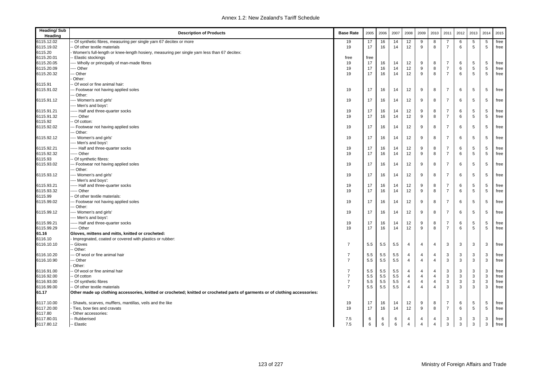| <b>Heading/Sub</b><br>Heading | <b>Description of Products</b>                                                                                               | <b>Base Rate</b> | 2005 | 2006 | 2007 | 2008           | 2009           | 2010           | 2011           | 2012         | 2013         | 2014 | 2015 |
|-------------------------------|------------------------------------------------------------------------------------------------------------------------------|------------------|------|------|------|----------------|----------------|----------------|----------------|--------------|--------------|------|------|
| 6115.12.02                    | Of synthetic fibres, measuring per single yarn 67 decitex or more                                                            | 19               | 17   | 16   | 14   | 12             | 9              | 8              | 7              | 6            | 5            | 5    | free |
| 6115.19.02                    | Of other textile materials                                                                                                   | 19               | 17   | 16   | 14   | 12             | 9              | 8              | $\overline{7}$ | 6            | 5            | 5    | free |
| 6115.20                       | Women's full-length or knee-length hosiery, measuring per single yarn less than 67 decitex:                                  |                  |      |      |      |                |                |                |                |              |              |      |      |
| 6115.20.01                    | - Elastic stockings                                                                                                          | free             | free |      |      |                |                |                |                |              |              |      |      |
| 6115.20.05                    | --- Wholly or principally of man-made fibres                                                                                 | 19               | 17   | 16   | 14   | 12             | 9              | 8              | $\overline{7}$ | 6            | 5            | 5    | free |
| 6115.20.09                    | --- Other                                                                                                                    | 19               | 17   | 16   | 14   | 12             | 9              | 8              | $\overline{7}$ | 6            | $\,$ 5 $\,$  | 5    | free |
| 6115.20.32                    | -- Other                                                                                                                     | 19               | 17   | 16   | 14   | 12             | 9              | 8              | $\overline{7}$ | 6            | 5            | 5    | free |
|                               | Other:                                                                                                                       |                  |      |      |      |                |                |                |                |              |              |      |      |
| 6115.91                       | Of wool or fine animal hair:                                                                                                 |                  |      |      |      |                |                |                |                |              |              |      |      |
| 6115.91.02                    | -- Footwear not having applied soles                                                                                         | 19               | 17   | 16   | 14   | 12             | 9              | 8              | $\overline{7}$ | 6            | 5            | 5    | free |
|                               | -- Other:                                                                                                                    |                  |      |      |      |                |                |                |                |              |              |      |      |
| 6115.91.12                    | --- Women's and girls'                                                                                                       | 19               | 17   | 16   | 14   | 12             | 9              | 8              | $\overline{7}$ | 6            | 5            | 5    | free |
|                               | --- Men's and boys':                                                                                                         |                  |      |      |      |                |                |                |                |              |              |      |      |
| 6115.91.21                    | ---- Half and three-quarter socks                                                                                            | 19               | 17   | 16   | 14   | 12             | 9              | 8              | $\overline{7}$ | 6            | 5            | 5    | free |
| 6115.91.32                    | ---- Other                                                                                                                   | 19               | 17   | 16   | 14   | 12             | 9              | 8              | $\overline{7}$ | 6            | 5            | 5    | free |
| 6115.92                       | - Of cotton:                                                                                                                 |                  |      |      |      |                |                |                |                |              |              |      |      |
| 6115.92.02                    | -- Footwear not having applied soles                                                                                         | 19               | 17   | 16   | 14   | 12             | 9              | 8              | $\overline{7}$ | 6            | 5            | 5    | free |
|                               | -- Other:                                                                                                                    |                  |      |      |      |                |                |                |                |              |              |      |      |
| 6115.92.12                    | --- Women's and girls'                                                                                                       | 19               | 17   | 16   | 14   | 12             | 9              | 8              | $\overline{7}$ | 6            | 5            | 5    | free |
|                               | --- Men's and boys':                                                                                                         |                  |      |      |      |                |                |                |                |              |              |      |      |
| 6115.92.21                    | ---- Half and three-quarter socks                                                                                            | 19               | 17   | 16   | 14   | 12             | 9              | 8              | $\overline{7}$ | 6            | 5            | 5    | free |
| 6115.92.32                    | ---- Other                                                                                                                   | 19               | 17   | 16   | 14   | 12             | 9              | 8              | $\overline{7}$ | 6            | 5            | 5    | free |
| 6115.93                       | Of synthetic fibres:                                                                                                         |                  |      |      |      |                |                |                |                |              |              |      |      |
| 6115.93.02                    | - Footwear not having applied soles                                                                                          | 19               | 17   | 16   | 14   | 12             | 9              | 8              | $\overline{7}$ | 6            | 5            | 5    | free |
|                               | -- Other:                                                                                                                    |                  |      |      |      |                |                |                |                |              |              |      |      |
| 6115.93.12                    | --- Women's and girls'                                                                                                       | 19               | 17   | 16   | 14   | 12             | 9              | 8              | $\overline{7}$ | 6            | 5            | 5    | free |
|                               | --- Men's and boys':                                                                                                         |                  |      |      |      |                |                |                |                |              |              |      |      |
| 6115.93.21                    | ---- Half and three-quarter socks                                                                                            | 19               | 17   | 16   | 14   | 12             | 9              | 8              | $\overline{7}$ | 6            | 5            | 5    | free |
| 6115.93.32                    | ---- Other                                                                                                                   | 19               | 17   | 16   | 14   | 12             | 9              | 8              | $\overline{7}$ | 6            | 5            | 5    | free |
| 6115.99                       | Of other textile materials:                                                                                                  |                  |      |      |      |                |                |                |                |              |              |      |      |
| 6115.99.02                    | -- Footwear not having applied soles                                                                                         | 19               | 17   | 16   | 14   | 12             | 9              | 8              | $\overline{7}$ | 6            | 5            | 5    | free |
|                               | -- Other:                                                                                                                    |                  |      |      |      |                |                |                |                |              |              |      |      |
| 6115.99.12                    | --- Women's and girls'                                                                                                       | 19               | 17   | 16   | 14   | 12             | 9              | 8              | $\overline{7}$ | 6            | 5            | 5    | free |
|                               | --- Men's and boys':                                                                                                         |                  |      |      |      |                |                |                |                |              |              |      |      |
| 6115.99.21                    | ---- Half and three-quarter socks                                                                                            | 19               | 17   | 16   | 14   | 12             | 9              | 8              | $\overline{7}$ | 6            | 5            | 5    | free |
| 6115.99.29                    | ---- Other                                                                                                                   | 19               | 17   | 16   | 14   | 12             | 9              | 8              | $\overline{7}$ | 6            | 5            | 5    | free |
| 61.16                         | Gloves, mittens and mitts, knitted or crocheted:                                                                             |                  |      |      |      |                |                |                |                |              |              |      |      |
| 6116.10                       | Impregnated, coated or covered with plastics or rubber:                                                                      |                  |      |      |      |                |                |                |                |              |              |      |      |
| 6116.10.10                    | Gloves                                                                                                                       | $\overline{7}$   | 5.5  | 5.5  | 5.5  | $\overline{4}$ | 4              | $\overline{4}$ | 3              | 3            | 3            | 3    | free |
|                               | Other:                                                                                                                       |                  |      |      |      |                |                |                |                |              |              |      |      |
| 6116.10.20                    | -- Of wool or fine animal hair                                                                                               | $\overline{7}$   | 5.5  | 5.5  | 5.5  | $\overline{4}$ | $\overline{4}$ | $\overline{4}$ | 3              | 3            | 3            | 3    | free |
| 6116.10.90                    | -- Other                                                                                                                     | $\overline{7}$   | 5.5  | 5.5  | 5.5  | $\overline{4}$ | $\overline{4}$ | $\overline{4}$ | 3              | 3            | $\mathbf{3}$ | 3    | free |
|                               | Other:                                                                                                                       |                  |      |      |      |                |                |                |                |              |              |      |      |
| 6116.91.00                    | Of wool or fine animal hair                                                                                                  | $\overline{7}$   | 5.5  | 5.5  | 5.5  | $\overline{4}$ | $\overline{4}$ | $\overline{4}$ | 3              | 3            | 3            | 3    | free |
| 6116.92.00                    | Of cotton                                                                                                                    | $\overline{7}$   | 5.5  | 5.5  | 5.5  | $\overline{4}$ | $\overline{4}$ | $\overline{4}$ | $\mathbf{3}$   | $\mathbf{3}$ | $\sqrt{3}$   | 3    | free |
| 6116.93.00                    | Of synthetic fibres                                                                                                          | $\overline{7}$   | 5.5  | 5.5  | 5.5  | $\overline{4}$ | $\overline{4}$ | $\overline{4}$ | 3              | 3            | 3            | 3    | free |
| 6116.99.00                    | - Of other textile materials                                                                                                 | $\overline{7}$   | 5.5  | 5.5  | 5.5  | $\overline{4}$ | $\overline{4}$ | $\overline{4}$ | 3              | 3            | 3            | 3    | free |
| 61.17                         | Other made up clothing accessories, knitted or crocheted; knitted or crocheted parts of garments or of clothing accessories: |                  |      |      |      |                |                |                |                |              |              |      |      |
| 6117.10.00                    | Shawls, scarves, mufflers, mantillas, veils and the like                                                                     | 19               | 17   | 16   | 14   | 12             | 9              | 8              | $\overline{7}$ | 6            | 5            | 5    | free |
| 6117.20.00                    | Ties, bow ties and cravats                                                                                                   | 19               | 17   | 16   | 14   | 12             | 9              | 8              | $\overline{7}$ | 6            | 5            | 5    | free |
| 6117.80                       | Other accessories:                                                                                                           |                  |      |      |      |                |                |                |                |              |              |      |      |
| 6117.80.01                    | - Rubberised                                                                                                                 | 7.5              | 6    | 6    | 6    | $\overline{4}$ | 4              | $\overline{4}$ | 3              | 3            | 3            | 3    | free |
| 6117.80.12                    | -- Elastic                                                                                                                   | 7.5              | 6    | 6    | 6    | $\overline{4}$ | $\overline{4}$ | $\overline{4}$ | 3              | 3            | $\mathsf 3$  | 3    | free |
|                               |                                                                                                                              |                  |      |      |      |                |                |                |                |              |              |      |      |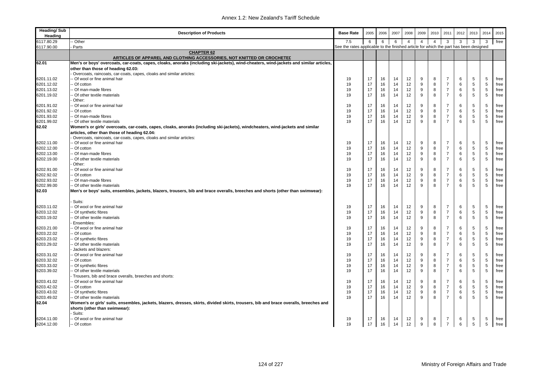| <b>Heading/Sub</b><br>Heading | <b>Description of Products</b>                                                                                                         | <b>Base Rate</b>                                                                      | 2005     | 2006     | 2007     | 2008           | 2009           | 2010           | 2011                             | 2012   | 2013         | 2014        | 2015 |
|-------------------------------|----------------------------------------------------------------------------------------------------------------------------------------|---------------------------------------------------------------------------------------|----------|----------|----------|----------------|----------------|----------------|----------------------------------|--------|--------------|-------------|------|
| 6117.80.29                    | - Other                                                                                                                                | 7.5                                                                                   | 6        | 6        | 6        | $\overline{4}$ | $\overline{4}$ | $\overline{4}$ | 3                                | 3      | $\mathbf{3}$ | 3           | free |
| 6117.90.00                    | Parts                                                                                                                                  | See the rates applicable to the finished article for which the part has been designed |          |          |          |                |                |                |                                  |        |              |             |      |
|                               | <b>CHAPTER 62</b><br>ARTICLES OF APPAREL AND CLOTHING ACCESSORIES, NOT KNITTED OR CROCHETED                                            |                                                                                       |          |          |          |                |                |                |                                  |        |              |             |      |
| 62.01                         | Men's or boys' overcoats, car-coats, capes, cloaks, anoraks (including ski-jackets), wind-cheaters, wind-jackets and similar articles, |                                                                                       |          |          |          |                |                |                |                                  |        |              |             |      |
|                               | other than those of heading 62.03:                                                                                                     |                                                                                       |          |          |          |                |                |                |                                  |        |              |             |      |
|                               | Overcoats, raincoats, car-coats, capes, cloaks and similar articles:                                                                   |                                                                                       |          |          |          |                |                |                |                                  |        |              |             |      |
| 6201.11.02                    | -- Of wool or fine animal hair                                                                                                         | 19                                                                                    | 17       | 16       | 14       | 12             | 9              | 8              | 7                                | 6      | 5            | 5           | free |
| 6201.12.02                    | - Of cotton                                                                                                                            | 19                                                                                    | 17       | 16       | 14       | 12             | 9              | 8              | $\overline{7}$                   | 6      | 5            | 5           | free |
| 6201.13.02                    | - Of man-made fibres                                                                                                                   | 19                                                                                    | 17       | 16       | 14       | 12             | 9              | 8              | $\overline{7}$                   | 6      | 5            | 5           | free |
| 6201.19.02                    | - Of other textile materials                                                                                                           | 19                                                                                    | 17       | 16       | 14       | 12             | 9              | 8              | $\overline{7}$                   | 6      | 5            | 5           | free |
|                               | Other:                                                                                                                                 |                                                                                       |          |          |          |                |                |                |                                  |        |              |             |      |
| 6201.91.02                    | - Of wool or fine animal hair                                                                                                          | 19                                                                                    | 17       | 16       | 14       | 12             | 9              | 8              | $\overline{7}$                   | 6      | 5            | 5           | free |
| 6201.92.02                    | - Of cotton                                                                                                                            | 19<br>19                                                                              | 17<br>17 | 16<br>16 | 14<br>14 | 12             | 9<br>9         | 8<br>8         | $\overline{7}$<br>$\overline{7}$ | 6<br>6 | 5            | 5           | free |
| 6201.93.02                    | - Of man-made fibres                                                                                                                   |                                                                                       |          |          |          | 12             | $\mathbf{q}$   | 8              | $\overline{7}$                   | 6      | 5            | 5           | free |
| 6201.99.02<br>62.02           | -- Of other textile materials                                                                                                          | 19                                                                                    | 17       | 16       | 14       | 12             |                |                |                                  |        | 5            | 5           | free |
|                               | Women's or girls' overcoats, car-coats, capes, cloaks, anoraks (including ski-jackets), windcheaters, wind-jackets and similar         |                                                                                       |          |          |          |                |                |                |                                  |        |              |             |      |
|                               | articles, other than those of heading 62.04:<br>Overcoats, raincoats, car-coats, capes, cloaks and similar articles:                   |                                                                                       |          |          |          |                |                |                |                                  |        |              |             |      |
| 6202.11.00                    | - Of wool or fine animal hair                                                                                                          | 19                                                                                    | 17       | 16       | 14       | 12             | 9              | 8              | $\overline{7}$                   | 6      | 5            | 5           | free |
| 6202.12.00                    | - Of cotton                                                                                                                            | 19                                                                                    | 17       | 16       | 14       | 12             | 9              | 8              | $\overline{7}$                   | 6      | 5            | 5           | free |
| 6202.13.00                    | - Of man-made fibres                                                                                                                   | 19                                                                                    | 17       | 16       | 14       | 12             | 9              | 8              | $\overline{7}$                   | 6      | 5            | $\,$ 5 $\,$ | free |
| 6202.19.00                    | - Of other textile materials                                                                                                           | 19                                                                                    | 17       | 16       | 14       | 12             | 9              | 8              | $\overline{7}$                   | 6      | 5            | 5           | free |
|                               | Other:                                                                                                                                 |                                                                                       |          |          |          |                |                |                |                                  |        |              |             |      |
| 6202.91.00                    | - Of wool or fine animal hair                                                                                                          | 19                                                                                    | 17       | 16       | 14       | 12             | 9              | 8              | $\overline{7}$                   | 6      | 5            | 5           | free |
| 6202.92.02                    | - Of cotton                                                                                                                            | 19                                                                                    | 17       | 16       | 14       | 12             | 9              | 8              | $\overline{7}$                   | 6      | 5            | 5           | free |
| 6202.93.02                    | - Of man-made fibres                                                                                                                   | 19                                                                                    | 17       | 16       | 14       | 12             | 9              | 8              | $\overline{7}$                   | 6      | 5            | 5           | free |
| 6202.99.00                    | -- Of other textile materials                                                                                                          | 19                                                                                    | 17       | 16       | 14       | 12             | 9              | 8              | $\overline{7}$                   | 6      | 5            | 5           | free |
| 62.03                         | Men's or boys' suits, ensembles, jackets, blazers, trousers, bib and brace overalls, breeches and shorts (other than swimwear):        |                                                                                       |          |          |          |                |                |                |                                  |        |              |             |      |
|                               |                                                                                                                                        |                                                                                       |          |          |          |                |                |                |                                  |        |              |             |      |
|                               | Suits:                                                                                                                                 |                                                                                       |          |          |          |                |                |                |                                  |        |              |             |      |
| 6203.11.02                    | - Of wool or fine animal hair                                                                                                          | 19                                                                                    | 17       | 16       | 14       | 12             | 9              | 8              | 7                                | 6      | 5            | 5           | free |
| 6203.12.02                    | - Of synthetic fibres                                                                                                                  | 19                                                                                    | 17       | 16       | 14       | 12             | 9              | 8              | $\overline{7}$                   | 6      | 5            | 5           | free |
| 6203.19.02                    | - Of other textile materials                                                                                                           | 19                                                                                    | 17       | 16       | 14       | 12             | 9              | 8              | $\overline{7}$                   | 6      | 5            | 5           | free |
|                               | Ensembles:                                                                                                                             |                                                                                       |          |          |          |                |                |                |                                  |        |              |             |      |
| 6203.21.00                    | - Of wool or fine animal hair                                                                                                          | 19                                                                                    | 17       | 16       | 14       | 12             | 9              | 8              | $\overline{7}$                   | 6      | 5            | 5           | free |
| 6203.22.02                    | - Of cotton                                                                                                                            | 19                                                                                    | 17       | 16       | 14       | 12             | 9              | 8              | $\overline{7}$                   | 6      | 5            | 5           | free |
| 6203.23.02                    | - Of synthetic fibres                                                                                                                  | 19                                                                                    | 17       | 16       | 14       | 12             | 9              | 8              | $\overline{7}$                   | 6      | 5            | 5           | free |
| 6203.29.02                    | - Of other textile materials                                                                                                           | 19                                                                                    | 17       | 16       | 14       | 12             | 9              | 8              | $\overline{7}$                   | 6      | 5            | 5           | free |
|                               | Jackets and blazers:                                                                                                                   |                                                                                       |          |          |          |                |                |                |                                  |        |              |             |      |
| 6203.31.02                    | - Of wool or fine animal hair                                                                                                          | 19                                                                                    | 17       | 16       | 14       | 12             | 9              | 8              | 7                                | 6      | 5            | 5           | free |
| 6203.32.02                    | - Of cotton                                                                                                                            | 19                                                                                    | 17       | 16       | 14       | 12             | 9              | 8              | $\overline{7}$                   | 6      | 5            | 5           | free |
| 6203.33.02                    | - Of synthetic fibres                                                                                                                  | 19                                                                                    | 17       | 16       | 14       | 12             | 9              | 8              | $\overline{7}$                   | 6      | 5            | 5           | free |
| 6203.39.02                    | - Of other textile materials                                                                                                           | 19                                                                                    | 17       | 16       | 14       | 12             | 9              | 8              | $\overline{7}$                   | 6      | 5            | 5           | free |
|                               | Trousers, bib and brace overalls, breeches and shorts:                                                                                 |                                                                                       |          |          |          |                |                |                |                                  |        |              |             |      |
| 6203.41.02                    | - Of wool or fine animal hair                                                                                                          | 19                                                                                    | 17       | 16       | 14       | 12             | 9              | 8              | $\overline{7}$                   | 6      | 5            | 5           | free |
| 6203.42.02                    | - Of cotton                                                                                                                            | 19                                                                                    | 17       | 16       | 14       | 12             | 9              | 8              | $\overline{7}$                   | 6      | 5            | 5           | free |
| 6203.43.02                    | -- Of synthetic fibres                                                                                                                 | 19                                                                                    | 17       | 16       | 14       | 12             | 9              | 8              | $\overline{7}$                   | 6      | 5            | 5           | free |
| 6203.49.02                    | -- Of other textile materials                                                                                                          | 19                                                                                    | 17       | 16       | 14       | 12             | 9              | 8              | $\overline{7}$                   | 6      | 5            | 5           | free |
| 62.04                         | Women's or girls' suits, ensembles, jackets, blazers, dresses, skirts, divided skirts, trousers, bib and brace overalls, breeches and  |                                                                                       |          |          |          |                |                |                |                                  |        |              |             |      |
|                               | shorts (other than swimwear):                                                                                                          |                                                                                       |          |          |          |                |                |                |                                  |        |              |             |      |
|                               | Suits:                                                                                                                                 |                                                                                       |          |          |          |                |                |                |                                  |        |              |             |      |
| 6204.11.00                    | -- Of wool or fine animal hair                                                                                                         | 19                                                                                    | 17       | 16       | 14       | 12             | 9              | 8              | 7                                | 6      | 5            | 5           | free |
| 6204.12.00                    | -- Of cotton                                                                                                                           | 19                                                                                    | 17       | 16       | 14       | 12             | 9              | 8              | $\overline{7}$                   | 6      | 5            | 5           | free |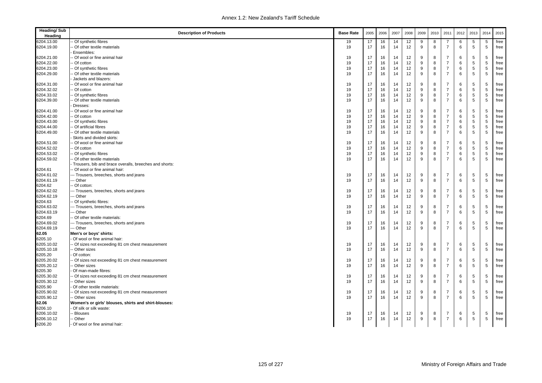| <b>Heading/Sub</b><br>Heading | <b>Description of Products</b>                         | <b>Base Rate</b> | 2005 | 2006 | 2007 | 2008 | 2009 | 2010 | 2011           | 2012 | 2013        | 2014       | 2015 |
|-------------------------------|--------------------------------------------------------|------------------|------|------|------|------|------|------|----------------|------|-------------|------------|------|
| 6204.13.00                    | Of synthetic fibres                                    | 19               | 17   | 16   | 14   | 12   | 9    | 8    | -7             | 6    | 5           | 5          | free |
| 6204.19.00                    | Of other textile materials                             | 19               | 17   | 16   | 14   | 12   | 9    | 8    | $\overline{7}$ | 6    | 5           | 5          | free |
|                               | Ensembles:                                             |                  |      |      |      |      |      |      |                |      |             |            |      |
| 6204.21.00                    | - Of wool or fine animal hair                          | 19               | 17   | 16   | 14   | 12   | 9    | 8    | $\overline{7}$ | 6    | 5           | 5          | free |
| 6204.22.00                    | - Of cotton                                            | 19               | 17   | 16   | 14   | 12   | 9    | 8    | $\overline{7}$ | 6    | $\,$ 5 $\,$ | $\sqrt{5}$ | free |
| 6204.23.00                    | - Of synthetic fibres                                  | 19               | 17   | 16   | 14   | 12   | 9    | 8    | $\overline{7}$ | 6    | 5           | 5          | free |
| 6204.29.00                    | - Of other textile materials                           | 19               | 17   | 16   | 14   | 12   | 9    | 8    | $\overline{7}$ | 6    | 5           | 5          | free |
|                               | Jackets and blazers:                                   |                  |      |      |      |      |      |      |                |      |             |            |      |
| 6204.31.00                    | - Of wool or fine animal hair                          | 19               | 17   | 16   | 14   | 12   | 9    | 8    | $\overline{7}$ | 6    | 5           | 5          | free |
| 6204.32.02                    | - Of cotton                                            | 19               | 17   | 16   | 14   | 12   | 9    | 8    | $\overline{7}$ | 6    | $\,$ 5 $\,$ | 5          | free |
| 6204.33.02                    | Of synthetic fibres                                    | 19               | 17   | 16   | 14   | 12   | 9    | 8    | $\overline{7}$ | 6    | 5           | 5          | free |
| 6204.39.00                    | - Of other textile materials                           | 19               | 17   | 16   | 14   | 12   | 9    | 8    | $\overline{7}$ | 6    | 5           | 5          | free |
|                               | Dresses:                                               |                  |      |      |      |      |      |      |                |      |             |            |      |
| 6204.41.00                    | Of wool or fine animal hair                            | 19               | 17   | 16   | 14   | 12   | 9    | 8    | $\overline{7}$ | 6    | 5           | 5          | free |
| 6204.42.00                    | - Of cotton                                            | 19               | 17   | 16   | 14   | 12   | 9    | 8    | $\overline{7}$ | 6    | 5           | 5          | free |
| 6204.43.00                    | Of synthetic fibres                                    | 19               | 17   | 16   | 14   | 12   | 9    | 8    | $\overline{7}$ | 6    | 5           | 5          | free |
| 6204.44.00                    | Of artificial fibres                                   | 19               | 17   | 16   | 14   | 12   | 9    | 8    | $\overline{7}$ | 6    | 5           | 5          | free |
|                               |                                                        | 19               | 17   | 16   | 14   |      | 9    | 8    | $\overline{7}$ | 6    | 5           | 5          |      |
| 6204.49.00                    | - Of other textile materials                           |                  |      |      |      | 12   |      |      |                |      |             |            | free |
|                               | Skirts and divided skirts:                             |                  |      |      |      |      |      |      | $\overline{7}$ |      |             |            |      |
| 6204.51.00                    | - Of wool or fine animal hair                          | 19               | 17   | 16   | 14   | 12   | 9    | 8    |                | 6    | 5           | 5          | free |
| 6204.52.02                    | - Of cotton                                            | 19               | 17   | 16   | 14   | 12   | 9    | 8    | $\overline{7}$ | 6    | 5           | 5          | free |
| 6204.53.02                    | - Of synthetic fibres                                  | 19               | 17   | 16   | 14   | 12   | 9    | 8    | $\overline{7}$ | 6    | $\,$ 5 $\,$ | $\sqrt{5}$ | free |
| 6204.59.02                    | - Of other textile materials                           | 19               | 17   | 16   | 14   | 12   | 9    | 8    | $\overline{7}$ | 6    | 5           | 5          | free |
|                               | Trousers, bib and brace overalls, breeches and shorts: |                  |      |      |      |      |      |      |                |      |             |            |      |
| 6204.61                       | - Of wool or fine animal hair:                         |                  |      |      |      |      |      |      |                |      |             |            |      |
| 6204.61.02                    | --- Trousers, breeches, shorts and jeans               | 19               | 17   | 16   | 14   | 12   | 9    | 8    | $\overline{7}$ | 6    | 5           | 5          | free |
| 6204.61.19                    | -- Other                                               | 19               | 17   | 16   | 14   | 12   | 9    | 8    | $\overline{7}$ | 6    | 5           | 5          | free |
| 6204.62                       | - Of cotton:                                           |                  |      |      |      |      |      |      |                |      |             |            |      |
| 6204.62.02                    | --- Trousers, breeches, shorts and jeans               | 19               | 17   | 16   | 14   | 12   | 9    | 8    | $\overline{7}$ | 6    | 5           | 5          | free |
| 6204.62.19                    | -- Other                                               | 19               | 17   | 16   | 14   | 12   | 9    | 8    | $\overline{7}$ | 6    | 5           | 5          | free |
| 6204.63                       | - Of synthetic fibres:                                 |                  |      |      |      |      |      |      |                |      |             |            |      |
| 6204.63.02                    | --- Trousers, breeches, shorts and jeans               | 19               | 17   | 16   | 14   | 12   | 9    | 8    | $\overline{7}$ | 6    | 5           | 5          | free |
| 6204.63.19                    | -- Other                                               | 19               | 17   | 16   | 14   | 12   | 9    | 8    | $\overline{7}$ | 6    | 5           | 5          | free |
| 6204.69                       | - Of other textile materials:                          |                  |      |      |      |      |      |      |                |      |             |            |      |
| 6204.69.02                    | --- Trousers, breeches, shorts and jeans               | 19               | 17   | 16   | 14   | 12   | 9    | 8    | $\overline{7}$ | 6    | 5           | 5          | free |
| 6204.69.19                    | --- Other                                              | 19               | 17   | 16   | 14   | 12   | 9    | 8    | $\overline{7}$ | 6    | 5           | 5          | free |
| 62.05                         | Men's or boys' shirts:                                 |                  |      |      |      |      |      |      |                |      |             |            |      |
| 6205.10                       | Of wool or fine animal hair:                           |                  |      |      |      |      |      |      |                |      |             |            |      |
| 6205.10.02                    | - Of sizes not exceeding 81 cm chest measurement       | 19               | 17   | 16   | 14   | 12   | 9    | 8    | $\overline{7}$ | 6    | 5           | 5          | free |
| 6205.10.18                    | - Other sizes                                          | 19               | 17   | 16   | 14   | 12   | 9    | 8    | $\overline{7}$ | 6    | 5           | 5          | free |
| 6205.20                       | Of cotton:                                             |                  |      |      |      |      |      |      |                |      |             |            |      |
| 6205.20.02                    | - Of sizes not exceeding 81 cm chest measurement       | 19               | 17   | 16   | 14   | 12   | 9    | 8    | $\overline{7}$ | 6    | 5           | 5          | free |
| 6205.20.12                    | - Other sizes                                          | 19               | 17   | 16   | 14   | 12   | 9    | 8    | $\overline{7}$ | 6    | 5           | 5          | free |
| 6205.30                       | Of man-made fibres:                                    |                  |      |      |      |      |      |      |                |      |             |            |      |
| 6205.30.02                    | - Of sizes not exceeding 81 cm chest measurement       | 19               | 17   | 16   | 14   | 12   | 9    | 8    | $\overline{7}$ | 6    | 5           | 5          | free |
| 6205.30.12                    | - Other sizes                                          | 19               | 17   | 16   | 14   | 12   | 9    | 8    | $\overline{7}$ | 6    | 5           | 5          | free |
|                               |                                                        |                  |      |      |      |      |      |      |                |      |             |            |      |
| 6205.90                       | Of other textile materials:                            |                  |      |      |      |      |      |      |                |      |             |            |      |
| 6205.90.02                    | - Of sizes not exceeding 81 cm chest measurement       | 19               | 17   | 16   | 14   | 12   | 9    | 8    | 7              | 6    | 5           | 5          | free |
| 6205.90.12                    | - Other sizes                                          | 19               | 17   | 16   | 14   | 12   | 9    | 8    | $\overline{7}$ | 6    | 5           | 5          | free |
| 62.06                         | Women's or girls' blouses, shirts and shirt-blouses:   |                  |      |      |      |      |      |      |                |      |             |            |      |
| 6206.10                       | Of silk or silk waste:                                 |                  |      |      |      |      |      |      |                |      |             |            |      |
| 6206.10.02                    | Blouses                                                | 19               | 17   | 16   | 14   | 12   | 9    | 8    | $\overline{7}$ | 6    | 5           | 5          | free |
| 6206.10.12                    | - Other                                                | 19               | 17   | 16   | 14   | 12   | 9    | 8    | $\overline{7}$ | 6    | 5           | 5          | free |
| 6206.20                       | Of wool or fine animal hair:                           |                  |      |      |      |      |      |      |                |      |             |            |      |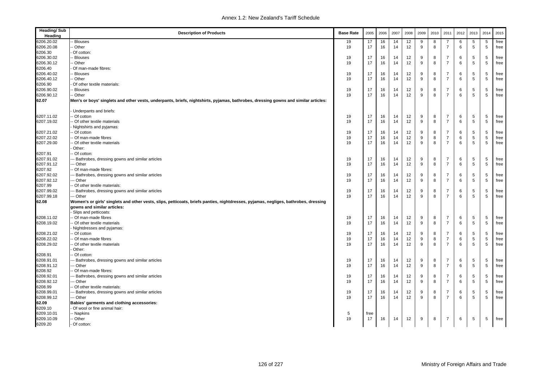| <b>Heading/Sub</b><br>Heading | <b>Description of Products</b>                                                                                                      | <b>Base Rate</b> | 2005 | 2006 | 2007 | 2008 | 2009         | 2010 | 2011           | 2012 | 2013 | 2014 | 2015 |
|-------------------------------|-------------------------------------------------------------------------------------------------------------------------------------|------------------|------|------|------|------|--------------|------|----------------|------|------|------|------|
| 6206.20.02                    | Blouses                                                                                                                             | 19               | 17   | 16   | 14   | 12   | 9            | 8    | -7             | 6    | 5    | 5    | free |
| 6206.20.08                    | Other                                                                                                                               | 19               | 17   | 16   | 14   | 12   | 9            | 8    | $\overline{7}$ | 6    | 5    | 5    | free |
| 6206.30                       | Of cotton:                                                                                                                          |                  |      |      |      |      |              |      |                |      |      |      |      |
| 6206.30.02                    | Blouses                                                                                                                             | 19               | 17   | 16   | 14   | 12   | 9            | 8    | $\overline{7}$ | 6    | 5    | 5    | free |
| 6206.30.12                    | - Other                                                                                                                             | 19               | 17   | 16   | 14   | 12   | 9            | 8    | $\overline{7}$ | 6    | 5    | 5    | free |
| 6206.40                       | Of man-made fibres:                                                                                                                 |                  |      |      |      |      |              |      |                |      |      |      |      |
| 6206.40.02                    | Blouses                                                                                                                             | 19               | 17   | 16   | 14   | 12   | 9            | 8    | $\overline{7}$ | 6    | 5    | 5    | free |
| 6206.40.12                    | - Other                                                                                                                             | 19               | 17   | 16   | 14   | 12   | 9            | 8    | $\overline{7}$ | 6    | 5    | 5    | free |
| 6206.90                       | Of other textile materials:                                                                                                         |                  |      |      |      |      |              |      |                |      |      |      |      |
| 6206.90.02                    | Blouses                                                                                                                             | 19               | 17   | 16   | 14   | 12   | 9            | 8    | $\overline{7}$ | 6    | 5    | 5    | free |
| 6206.90.12                    | - Other                                                                                                                             | 19               | 17   | 16   | 14   | 12   | $\mathbf{q}$ | 8    | $\overline{7}$ | 6    | 5    | 5    | free |
| 62.07                         | Men's or boys' singlets and other vests, underpants, briefs, nightshirts, pyjamas, bathrobes, dressing gowns and similar articles:  |                  |      |      |      |      |              |      |                |      |      |      |      |
|                               | Underpants and briefs:                                                                                                              |                  |      |      |      |      |              |      |                |      |      |      |      |
| 6207.11.02                    | - Of cotton                                                                                                                         | 19               | 17   | 16   | 14   | 12   | 9            | 8    | $\overline{7}$ | 6    | 5    | 5    | free |
| 6207.19.02                    | Of other textile materials                                                                                                          | 19               | 17   | 16   | 14   | 12   | 9            | 8    | $\overline{7}$ | 6    | 5    | 5    | free |
|                               | Nightshirts and pyjamas:                                                                                                            |                  |      |      |      |      |              |      |                |      |      |      |      |
| 6207.21.02                    | - Of cotton                                                                                                                         | 19               | 17   | 16   | 14   | 12   | 9            | 8    | $\overline{7}$ | 6    | 5    | 5    | free |
| 6207.22.02                    | - Of man-made fibres                                                                                                                | 19               | 17   | 16   | 14   | 12   | 9            | 8    | $\overline{7}$ | 6    | 5    | 5    | free |
| 6207.29.00                    | - Of other textile materials                                                                                                        | 19               | 17   | 16   | 14   | 12   | 9            | 8    | $\overline{7}$ | 6    | 5    | 5    | free |
|                               | Other:                                                                                                                              |                  |      |      |      |      |              |      |                |      |      |      |      |
| 6207.91                       | - Of cotton:                                                                                                                        |                  |      |      |      |      |              |      |                |      |      |      |      |
| 6207.91.02                    | -- Bathrobes, dressing gowns and similar articles                                                                                   | 19               | 17   | 16   | 14   | 12   | 9            | 8    | $\overline{7}$ | 6    | 5    | 5    | free |
| 6207.91.12                    | -- Other                                                                                                                            | 19               | 17   | 16   | 14   | 12   | 9            | 8    | $\overline{7}$ | 6    | 5    | 5    | free |
| 6207.92                       | Of man-made fibres:                                                                                                                 |                  |      |      |      |      |              |      |                |      |      |      |      |
| 6207.92.02                    | -- Bathrobes, dressing gowns and similar articles                                                                                   | 19               | 17   | 16   | 14   | 12   | 9            | 8    | $\overline{7}$ | 6    | 5    | 5    | free |
| 6207.92.12                    | -- Other                                                                                                                            | 19               | 17   | 16   | 14   | 12   | 9            | 8    | $\overline{7}$ | 6    | 5    | 5    | free |
| 6207.99                       | Of other textile materials:                                                                                                         |                  |      |      |      |      |              |      |                |      |      |      |      |
| 6207.99.02                    | -- Bathrobes, dressing gowns and similar articles                                                                                   | 19               | 17   | 16   | 14   | 12   | 9            | 8    | $\overline{7}$ | 6    | 5    | 5    | free |
| 6207.99.18                    | --- Other                                                                                                                           | 19               | 17   | 16   | 14   | 12   | 9            | 8    | $\overline{7}$ | 6    | 5    | 5    | free |
| 62.08                         | Women's or girls' singlets and other vests, slips, petticoats, briefs panties, nightdresses, pyjamas, negliges, bathrobes, dressing |                  |      |      |      |      |              |      |                |      |      |      |      |
|                               | gowns and similar articles:                                                                                                         |                  |      |      |      |      |              |      |                |      |      |      |      |
|                               | Slips and petticoats:                                                                                                               |                  |      |      |      |      |              |      |                |      |      |      |      |
| 6208.11.02                    | - Of man-made fibres                                                                                                                | 19               | 17   | 16   | 14   | 12   | 9            | 8    | $\overline{7}$ | 6    | 5    | 5    | free |
| 6208.19.02                    | Of other textile materials                                                                                                          | 19               | 17   | 16   | 14   | 12   | 9            | 8    | $\overline{7}$ | 6    | 5    | 5    | free |
|                               | Nightdresses and pyjamas:                                                                                                           |                  |      |      |      |      |              |      |                |      |      |      |      |
| 6208.21.02                    | - Of cotton                                                                                                                         | 19               | 17   | 16   | 14   | 12   | 9            | 8    | $\overline{7}$ | 6    | 5    | 5    | free |
| 6208.22.02                    | Of man-made fibres                                                                                                                  | 19               | 17   | 16   | 14   | 12   | 9            | 8    | $\overline{7}$ | 6    | 5    | 5    | free |
| 6208.29.02                    | - Of other textile materials                                                                                                        | 19               | 17   | 16   | 14   | 12   | q            | 8    | $\overline{7}$ | 6    | 5    | 5    | free |
|                               | Other:                                                                                                                              |                  |      |      |      |      |              |      |                |      |      |      |      |
| 6208.91                       | - Of cotton:                                                                                                                        |                  |      |      |      |      |              |      |                |      |      |      |      |
| 6208.91.01                    | -- Bathrobes, dressing gowns and similar articles                                                                                   | 19               | 17   | 16   | 14   | 12   | 9            | 8    | -7             | 6    | 5    | 5    | free |
| 6208.91.12                    | -- Other                                                                                                                            | 19               | 17   | 16   | 14   | 12   | 9            | 8    | $\overline{7}$ | 6    | 5    | 5    | free |
| 6208.92                       | Of man-made fibres:                                                                                                                 |                  |      |      |      |      |              |      |                |      |      |      |      |
| 6208.92.01                    | -- Bathrobes, dressing gowns and similar articles                                                                                   | 19               | 17   | 16   | 14   | 12   | 9            | 8    | -7             | 6    | 5    | 5    | free |
| 6208.92.12                    | -- Other                                                                                                                            | 19               | 17   | 16   | 14   | 12   | 9            | 8    | $\overline{7}$ | 6    | 5    | 5    | free |
| 6208.99                       | - Of other textile materials:                                                                                                       |                  |      |      |      |      |              |      |                |      |      |      |      |
| 6208.99.01                    | -- Bathrobes, dressing gowns and similar articles                                                                                   | 19               | 17   | 16   | 14   | 12   | 9            | 8    | -7             | 6    | 5    | 5    | free |
| 6208.99.12                    | --- Other                                                                                                                           | 19               | 17   | 16   | 14   | 12   | <sub>9</sub> | 8    | 7              | 6    | 5    | 5    | free |
| 62.09                         | Babies' garments and clothing accessories:                                                                                          |                  |      |      |      |      |              |      |                |      |      |      |      |
| 6209.10                       | Of wool or fine animal hair:                                                                                                        |                  |      |      |      |      |              |      |                |      |      |      |      |
| 6209.10.01                    | - Napkins                                                                                                                           | 5                | free |      |      |      |              |      |                |      |      |      |      |
| 6209.10.09                    | - Other                                                                                                                             | 19               | 17   | 16   | 14   | 12   | 9            | 8    | $\overline{7}$ | 6    | 5    | 5    | free |
| 6209.20                       | Of cotton:                                                                                                                          |                  |      |      |      |      |              |      |                |      |      |      |      |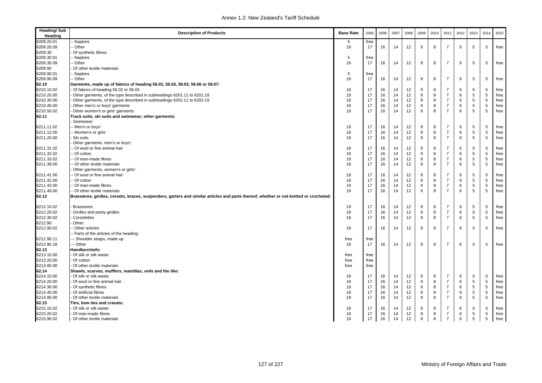| <b>Heading/Sub</b><br>Heading | <b>Description of Products</b>                                                                                                         | <b>Base Rate</b> | 2005 | 2006 | 2007 | 2008 | 2009 | 2010         | 2011           | 2012 | 2013        | 2014        | 2015 |
|-------------------------------|----------------------------------------------------------------------------------------------------------------------------------------|------------------|------|------|------|------|------|--------------|----------------|------|-------------|-------------|------|
| 6209.20.01                    | - Napkins                                                                                                                              | 5                | free |      |      |      |      |              |                |      |             |             |      |
| 6209.20.09                    | - Other                                                                                                                                | 19               | 17   | 16   | 14   | 12   | 9    | 8            | $\overline{7}$ | 6    | 5           | 5           | free |
| 6209.30                       | Of synthetic fibres:                                                                                                                   |                  |      |      |      |      |      |              |                |      |             |             |      |
| 6209.30.01                    | - Napkins                                                                                                                              | 5                | free |      |      |      |      |              |                |      |             |             |      |
| 6209.30.09                    | - Other                                                                                                                                | 19               | 17   | 16   | 14   | 12   | 9    | 8            | $\overline{7}$ | 6    | 5           | 5           | free |
| 6209.90                       | Of other textile materials:                                                                                                            |                  |      |      |      |      |      |              |                |      |             |             |      |
| 6209.90.01                    | -- Napkins                                                                                                                             | 5                | free |      |      |      |      |              |                |      |             |             |      |
| 6209.90.09                    | - Other                                                                                                                                | 19               | 17   | 16   | 14   | 12   | 9    | 8            | $\overline{7}$ | 6    | 5           | 5           | free |
| 62.10                         | Garments, made up of fabrics of heading 56.02, 56.03, 59.03, 59.06 or 59.07:                                                           |                  |      |      |      |      |      |              |                |      |             |             |      |
| 6210.10.02                    | Of fabrics of heading 56.02 or 56.03                                                                                                   | 19               | 17   | 16   | 14   | 12   | 9    | 8            | $\overline{7}$ | 6    | 5           | 5           | free |
| 6210.20.00                    | Other garments, of the type described in subheadings 6201.11 to 6201.19                                                                | 19               | 17   | 16   | 14   | 12   | 9    | 8            | $\overline{7}$ | 6    | 5           | 5           | free |
| 6210.30.00                    | Other garments, of the type described in subheadings 6202.11 to 6202.19                                                                | 19               | 17   | 16   | 14   | 12   | 9    | 8            | $\overline{7}$ | 6    | $\,$ 5 $\,$ | $\,$ 5 $\,$ | free |
| 6210.40.00                    | Other men's or boys' garments                                                                                                          | 19               | 17   | 16   | 14   | 12   | 9    | 8            | $\overline{7}$ | 6    | 5           | 5           | free |
| 6210.50.02                    | Other women's or girls' garments                                                                                                       | 19               | 17   | 16   | 14   | 12   | 9    | 8            | $\overline{7}$ | 6    | 5           | 5           | free |
| 62.11                         | Track suits, ski suits and swimwear; other garments:<br>Swimwear:                                                                      |                  |      |      |      |      |      |              |                |      |             |             |      |
| 6211.11.02                    | -- Men's or boys'                                                                                                                      | 19               | 17   | 16   | 14   | 12   | 9    | 8            | $\overline{7}$ | 6    | 5           | 5           | free |
| 6211.12.00                    | -- Women's or girls'                                                                                                                   | 19               | 17   | 16   | 14   | 12   | 9    | 8            | $\overline{7}$ | 6    | 5           | 5           | free |
| 6211.20.00                    | Ski suits                                                                                                                              | 19               | 17   | 16   | 14   | 12   | 9    | 8            | $\overline{7}$ | 6    | 5           | 5           | free |
|                               | Other garments, men's or boys':                                                                                                        |                  |      |      |      |      |      |              |                |      |             |             |      |
| 6211.31.02                    | - Of wool or fine animal hair                                                                                                          | 19               | 17   | 16   | 14   | 12   | 9    | 8            | $\overline{7}$ | 6    | 5           | 5           | free |
| 6211.32.02                    | - Of cotton                                                                                                                            | 19               | 17   | 16   | 14   | 12   | 9    | 8            | $\overline{7}$ | 6    | $\,$ 5 $\,$ | $\,$ 5 $\,$ | free |
| 6211.33.02                    | - Of man-made fibres                                                                                                                   | 19               | 17   | 16   | 14   | 12   | 9    | 8            | $\overline{7}$ | 6    | 5           | 5           | free |
| 6211.39.00                    | - Of other textile materials                                                                                                           | 19               | 17   | 16   | 14   | 12   | 9    | 8            | $\overline{7}$ | 6    | 5           | 5           | free |
|                               | Other garments, women's or girls':                                                                                                     |                  |      |      |      |      |      |              |                |      |             |             |      |
| 6211.41.00                    | - Of wool or fine animal hair                                                                                                          | 19               | 17   | 16   | 14   | 12   | 9    | 8            | $\overline{7}$ | 6    | 5           | 5           | free |
| 6211.42.00                    | - Of cotton                                                                                                                            | 19               | 17   | 16   | 14   | 12   | 9    | 8            | $\overline{7}$ | 6    | 5           | 5           | free |
| 6211.43.00                    | - Of man-made fibres                                                                                                                   | 19               | 17   | 16   | 14   | 12   | 9    | 8            | $\overline{7}$ | 6    | 5           | 5           | free |
| 6211.49.00                    | -- Of other textile materials                                                                                                          | 19               | 17   | 16   | 14   | 12   | 9    | $\mathsf{R}$ | $\overline{7}$ | 6    | 5           | 5           | free |
| 62.12                         | Brassieres, girdles, corsets, braces, suspenders, garters and similar articles and parts thereof, whether or not knitted or crocheted: |                  |      |      |      |      |      |              |                |      |             |             |      |
| 6212.10.02                    | <b>Brassieres</b>                                                                                                                      | 19               | 17   | 16   | 14   | 12   | 9    | 8            | $\overline{7}$ | 6    | 5           | 5           | free |
| 6212.20.02                    | Girdles and panty-girdles                                                                                                              | 19               | 17   | 16   | 14   | 12   | 9    | 8            | $\overline{7}$ | 6    | 5           | 5           | free |
| 6212.30.02                    | Corselettes                                                                                                                            | 19               | 17   | 16   | 14   | 12   | 9    | 8            | $\overline{7}$ | 6    | 5           | 5           | free |
| 6212.90                       | Other:                                                                                                                                 |                  |      |      | 14   |      |      | 8            | $\overline{7}$ |      |             |             |      |
| 6212.90.02                    | - Other articles                                                                                                                       | 19               | 17   | 16   |      | 12   | 9    |              |                | 6    | 5           | 5           | free |
| 6212.90.11                    | - Parts of the articles of the heading:<br>--- Shoulder straps, made up                                                                |                  | free |      |      |      |      |              |                |      |             |             |      |
| 6212.90.18                    | -- Other                                                                                                                               | free<br>19       | 17   | 16   | 14   | 12   | 9    | $\mathsf{R}$ | $\overline{7}$ | 6    | 5           | 5           | free |
| 62.13                         | Handkerchiefs:                                                                                                                         |                  |      |      |      |      |      |              |                |      |             |             |      |
| 6213.10.00                    | - Of silk or silk waste                                                                                                                | free             | free |      |      |      |      |              |                |      |             |             |      |
| 6213.20.00                    | Of cotton                                                                                                                              | free             | free |      |      |      |      |              |                |      |             |             |      |
| 6213.90.00                    | - Of other textile materials                                                                                                           | free             | free |      |      |      |      |              |                |      |             |             |      |
| 62.14                         | Shawls, scarves, mufflers, mantillas, veils and the like:                                                                              |                  |      |      |      |      |      |              |                |      |             |             |      |
| 6214.10.00                    | - Of silk or silk waste                                                                                                                | 19               | 17   | 16   | 14   | 12   | 9    | 8            | $\overline{7}$ | 6    | 5           | 5           | free |
| 6214.20.00                    | - Of wool or fine animal hair                                                                                                          | 19               | 17   | 16   | 14   | 12   | 9    | 8            | $\overline{7}$ | 6    | 5           | 5           | free |
| 6214.30.00                    | - Of synthetic fibres                                                                                                                  | 19               | 17   | 16   | 14   | 12   | 9    | 8            | $\overline{7}$ | 6    | 5           | 5           | free |
| 6214.40.00                    | - Of artificial fibres                                                                                                                 | 19               | 17   | 16   | 14   | 12   | 9    | 8            | $\overline{7}$ | 6    | 5           | 5           | free |
| 6214.90.00                    | - Of other textile materials                                                                                                           | 19               | 17   | 16   | 14   | 12   | 9    | 8            | $\overline{7}$ | 6    | 5           | 5           | free |
| 62.15                         | Ties, bow ties and cravats:                                                                                                            |                  |      |      |      |      |      |              |                |      |             |             |      |
| 6215.10.02                    | - Of silk or silk waste                                                                                                                | 19               | 17   | 16   | 14   | 12   | 9    | 8            | $\overline{7}$ | 6    | 5           | 5           | free |
| 6215.20.02                    | Of man-made fibres                                                                                                                     | 19               | 17   | 16   | 14   | 12   | 9    | 8            | $\overline{7}$ | 6    | 5           | $\,$ 5 $\,$ | free |
| 6215.90.02                    | - Of other textile materials                                                                                                           | 19               | 17   | 16   | 14   | 12   | 9    | 8            | $\overline{7}$ | 6    | 5           | 5           | free |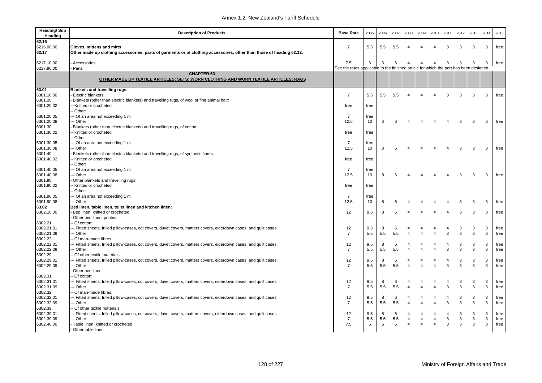| <b>Heading/Sub</b><br>Heading | <b>Description of Products</b>                                                                                                 | <b>Base Rate</b>                                                                      | 2005 | 2006 | 2007 | 2008                | 2009           | 2010           | 2011           | 2012 | 2013 | 2014 | 2015 |
|-------------------------------|--------------------------------------------------------------------------------------------------------------------------------|---------------------------------------------------------------------------------------|------|------|------|---------------------|----------------|----------------|----------------|------|------|------|------|
| 62.16                         |                                                                                                                                |                                                                                       |      |      |      |                     |                |                |                |      |      |      |      |
| 6216.00.00                    | Gloves, mittens and mitts                                                                                                      | $\overline{7}$                                                                        | 5.5  | 5.5  | 5.5  | $\overline{4}$      | $\overline{4}$ | $\overline{4}$ | 3              | 3    | 3    | 3    | free |
| 62.17                         | Other made up clothing accessories; parts of garments or of clothing accessories, other than those of heading 62.12:           |                                                                                       |      |      |      |                     |                |                |                |      |      |      |      |
| 6217.10.00                    | Accessories                                                                                                                    | 7.5                                                                                   | 6    | 6    | 6    | 4                   | 4              | $\overline{4}$ | 3              | 3    | 3    | 3    | free |
| 6217.90.00                    | Parts                                                                                                                          | See the rates applicable to the finished article for which the part has been designed |      |      |      |                     |                |                |                |      |      |      |      |
|                               | <b>CHAPTER 63</b>                                                                                                              |                                                                                       |      |      |      |                     |                |                |                |      |      |      |      |
|                               | OTHER MADE UP TEXTILE ARTICLES; SETS; WORN CLOTHING AND WORN TEXTILE ARTICLES; RAGS                                            |                                                                                       |      |      |      |                     |                |                |                |      |      |      |      |
| 63.01                         | <b>Blankets and travelling rugs:</b>                                                                                           |                                                                                       |      |      |      |                     |                |                |                |      |      |      |      |
| 6301.10.00                    | Electric blankets                                                                                                              | $\overline{7}$                                                                        | 5.5  | 5.5  | 5.5  | $\overline{4}$      | $\overline{4}$ | $\overline{4}$ | 3              | 3    | 3    | 3    | free |
| 6301.20                       | Blankets (other than electric blankets) and travelling rugs, of wool or fine animal hair:                                      |                                                                                       |      |      |      |                     |                |                |                |      |      |      |      |
| 6301.20.02                    | Knitted or crocheted                                                                                                           | free                                                                                  | free |      |      |                     |                |                |                |      |      |      |      |
|                               | - Other:                                                                                                                       |                                                                                       |      |      |      |                     |                |                |                |      |      |      |      |
| 6301.20.05                    | -- Of an area not exceeding 1 m                                                                                                | $\overline{7}$                                                                        | free |      |      |                     |                |                |                |      |      |      |      |
| 6301.20.08                    | -- Other                                                                                                                       | 12.5                                                                                  | 10   | 8    | 6    | $\overline{4}$      | $\overline{4}$ | $\overline{4}$ | 4              | 3    | 3    | 3    | free |
| 6301.30                       | Blankets (other than electric blankets) and travelling rugs, of cotton:                                                        |                                                                                       |      |      |      |                     |                |                |                |      |      |      |      |
| 6301.30.02                    | Knitted or crocheted                                                                                                           | free                                                                                  | free |      |      |                     |                |                |                |      |      |      |      |
|                               | Other:                                                                                                                         |                                                                                       |      |      |      |                     |                |                |                |      |      |      |      |
| 6301.30.05                    | -- Of an area not exceeding 1 m                                                                                                | 7                                                                                     | free |      |      |                     |                |                |                |      |      |      |      |
| 6301.30.08                    | -- Other                                                                                                                       | 12.5                                                                                  | 10   | 8    | 6    | 4                   | $\overline{4}$ | $\overline{4}$ | 4              | 3    | 3    | 3    | free |
| 6301.40                       | Blankets (other than electric blankets) and travelling rugs, of synthetic fibres:                                              |                                                                                       |      |      |      |                     |                |                |                |      |      |      |      |
| 6301.40.02                    | Knitted or crocheted                                                                                                           | free                                                                                  | free |      |      |                     |                |                |                |      |      |      |      |
|                               | - Other:                                                                                                                       |                                                                                       |      |      |      |                     |                |                |                |      |      |      |      |
| 6301.40.05                    | -- Of an area not exceeding 1 m                                                                                                | $\overline{7}$                                                                        | free |      |      |                     |                |                |                |      |      |      |      |
| 6301.40.08                    | -- Other                                                                                                                       | 12.5                                                                                  | 10   | 8    | 6    | $\overline{4}$      | $\overline{4}$ | $\overline{4}$ | 4              | 3    | 3    | 3    | free |
| 6301.90                       | Other blankets and travelling rugs:                                                                                            |                                                                                       |      |      |      |                     |                |                |                |      |      |      |      |
| 6301.90.02                    | Knitted or crocheted                                                                                                           | free                                                                                  | free |      |      |                     |                |                |                |      |      |      |      |
|                               | Other:                                                                                                                         |                                                                                       |      |      |      |                     |                |                |                |      |      |      |      |
| 6301.90.05                    | --- Of an area not exceeding 1 m                                                                                               | 7                                                                                     | free |      |      |                     |                |                |                |      |      |      |      |
| 6301.90.08                    | -- Other                                                                                                                       | 12.5                                                                                  | 10   | 8    | 6    | 4                   | 4              | $\overline{4}$ | $\overline{4}$ | 3    | 3    | 3    | free |
| 63.02                         | Bed linen, table linen, toilet linen and kitchen linen:                                                                        |                                                                                       |      |      |      |                     |                |                |                |      |      |      |      |
| 6302.10.00                    | Bed linen, knitted or crocheted                                                                                                | 12                                                                                    | 9.5  | 8    | 6    | $\overline{4}$      | $\overline{4}$ | $\overline{4}$ | 4              | 3    | 3    | 3    | free |
|                               | Other bed linen, printed:                                                                                                      |                                                                                       |      |      |      |                     |                |                |                |      |      |      |      |
| 6302.21                       | - Of cotton:                                                                                                                   |                                                                                       |      |      |      |                     |                |                |                |      |      |      |      |
| 6302.21.01                    | -- Fitted sheets, frilled pillow-cases, cot covers, duvet covers, matters covers, eiderdown cases, and quilt cases             | 12                                                                                    | 9.5  | 8    | 6    | 4<br>$\overline{4}$ | 4              | $\overline{4}$ | $\overline{4}$ | 3    | 3    | 3    | free |
| 6302.21.09<br>6302.22         | -- Other<br>Of man-made fibres:                                                                                                | $\overline{7}$                                                                        | 5.5  | 5.5  | 5.5  |                     | $\overline{4}$ | $\overline{4}$ | 3              | 3    | 3    | 3    | free |
|                               |                                                                                                                                | 12                                                                                    | 9.5  | 8    | 6    | $\overline{4}$      | 4              | $\overline{4}$ | 4              | 3    | 3    | 3    | free |
| 6302.22.01<br>6302.22.09      | -- Fitted sheets, frilled pillow-cases, cot covers, duvet covers, matters covers, eiderdown cases, and quilt cases<br>-- Other | $\overline{7}$                                                                        | 5.5  | 5.5  | 5.5  | $\overline{4}$      | $\overline{4}$ | $\overline{4}$ | 3              | 3    | 3    | 3    | free |
| 6302.29                       | - Of other textile materials:                                                                                                  |                                                                                       |      |      |      |                     |                |                |                |      |      |      |      |
| 6302.29.01                    | -- Fitted sheets, frilled pillow-cases, cot covers, duvet covers, matters covers, eiderdown cases, and quilt cases             | 12                                                                                    | 9.5  | 8    | 6    | 4                   | 4              | $\overline{4}$ | 4              | 3    | 3    | 3    | free |
| 6302.29.09                    | -- Other                                                                                                                       | $\overline{7}$                                                                        | 5.5  | 5.5  | 5.5  | $\overline{4}$      | $\overline{4}$ | $\overline{4}$ | 3              | 3    | 3    | 3    | free |
|                               | Other bed linen:                                                                                                               |                                                                                       |      |      |      |                     |                |                |                |      |      |      |      |
| 6302.31                       | - Of cotton:                                                                                                                   |                                                                                       |      |      |      |                     |                |                |                |      |      |      |      |
| 6302.31.01                    | -- Fitted sheets, frilled pillow-cases, cot covers, duvet covers, matters covers, eiderdown cases, and quilt cases             | 12                                                                                    | 9.5  | 8    | 6    | $\overline{4}$      | $\overline{4}$ | $\overline{4}$ | 4              | 3    | 3    | 3    | free |
| 6302.31.09                    | -- Other                                                                                                                       | $\overline{7}$                                                                        | 5.5  | 5.5  | 5.5  | $\overline{4}$      | 4              | $\overline{4}$ | 3              | 3    | 3    | 3    | free |
| 6302.32                       | Of man-made fibres:                                                                                                            |                                                                                       |      |      |      |                     |                |                |                |      |      |      |      |
| 6302.32.01                    | -- Fitted sheets, frilled pillow-cases, cot covers, duvet covers, matters covers, eiderdown cases, and quilt cases             | 12                                                                                    | 9.5  | 8    | 6    | $\overline{4}$      | 4              | $\overline{4}$ | $\overline{4}$ | 3    | 3    | 3    | free |
| 6302.32.09                    | - Other                                                                                                                        | $\overline{7}$                                                                        | 5.5  | 5.5  | 5.5  | $\overline{4}$      | $\overline{4}$ | $\overline{4}$ | 3              | 3    | 3    | 3    | free |
| 6302.39                       | - Of other textile materials:                                                                                                  |                                                                                       |      |      |      |                     |                |                |                |      |      |      |      |
| 6302.39.01                    | -- Fitted sheets, frilled pillow-cases, cot covers, duvet covers, matters covers, eiderdown cases, and quilt cases             | 12                                                                                    | 9.5  | 8    | 6    | 4                   | 4              | $\overline{4}$ | 4              | 3    | 3    | 3    | free |
| 6302.39.09                    | -- Other                                                                                                                       | $\overline{7}$                                                                        | 5.5  | 5.5  | 5.5  | 4                   | 4              | $\overline{4}$ | 3              | 3    | 3    | 3    | free |
| 6302.40.00                    | - Table linen, knitted or crocheted                                                                                            | 7.5                                                                                   | 6    | 6    | 6    | $\overline{4}$      | $\overline{4}$ | $\overline{4}$ | 3              | 3    | 3    | 3    | free |
|                               | - Other table linen:                                                                                                           |                                                                                       |      |      |      |                     |                |                |                |      |      |      |      |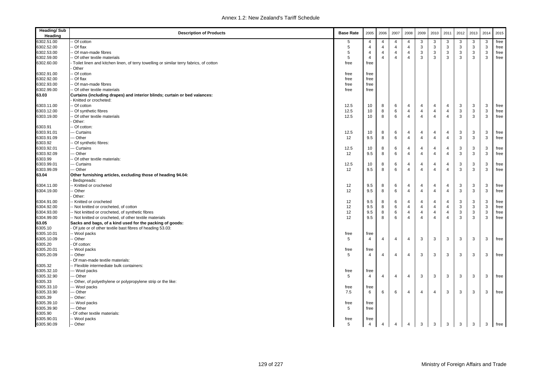| <b>Heading/Sub</b><br>Heading | <b>Description of Products</b>                                                         | <b>Base Rate</b> | 2005           | 2006           | 2007           | 2008                | 2009           | 2010                | 2011           | 2012 | 2013        | 2014         | 2015 |
|-------------------------------|----------------------------------------------------------------------------------------|------------------|----------------|----------------|----------------|---------------------|----------------|---------------------|----------------|------|-------------|--------------|------|
| 6302.51.00                    | Of cotton                                                                              | 5                | 4              | 4              | $\overline{4}$ | 4                   | 3              | 3                   | 3              | 3    | 3           | 3            | free |
| 6302.52.00                    | Of flax                                                                                | 5                | $\overline{4}$ | $\overline{4}$ | $\overline{4}$ | $\overline{4}$      | 3              | 3                   | 3              | 3    | 3           | 3            | free |
| 6302.53.00                    | Of man-made fibres                                                                     | 5                | $\overline{4}$ | $\overline{4}$ | $\overline{4}$ | $\overline{4}$      | 3              | $\mathbf{3}$        | 3              | 3    | 3           | $\mathsf 3$  | free |
| 6302.59.00                    | - Of other textile materials                                                           | 5                | $\overline{4}$ | $\overline{4}$ | $\overline{a}$ | $\overline{4}$      | 3              | 3                   | 3              | 3    | 3           | 3            | free |
| 6302.60.00                    | Toilet linen and kitchen linen, of terry towelling or similar terry fabrics, of cotton | free             | free           |                |                |                     |                |                     |                |      |             |              |      |
|                               | Other                                                                                  |                  |                |                |                |                     |                |                     |                |      |             |              |      |
| 6302.91.00                    | Of cotton                                                                              | free             | free           |                |                |                     |                |                     |                |      |             |              |      |
| 6302.92.00                    | Of flax                                                                                | free             | free           |                |                |                     |                |                     |                |      |             |              |      |
| 6302.93.00                    | Of man-made fibres                                                                     | free             | free           |                |                |                     |                |                     |                |      |             |              |      |
| 6302.99.00                    | - Of other textile materials                                                           | free             | free           |                |                |                     |                |                     |                |      |             |              |      |
| 63.03                         | Curtains (including drapes) and interior blinds; curtain or bed valances:              |                  |                |                |                |                     |                |                     |                |      |             |              |      |
|                               | Knitted or crocheted:                                                                  |                  |                |                |                |                     |                |                     |                |      |             |              |      |
| 6303.11.00                    | - Of cotton                                                                            | 12.5             | 10             | 8              | 6              | 4                   | 4              | 4                   | 4              | 3    | 3           | 3            | free |
| 6303.12.00                    | Of synthetic fibres                                                                    | 12.5             | 10             | 8              | 6              | $\overline{4}$      | $\overline{4}$ | $\overline{4}$      | $\overline{4}$ | 3    | 3           | $\mathsf 3$  | free |
| 6303.19.00                    | Of other textile materials                                                             | 12.5             | 10             | 8              | 6              | $\overline{4}$      | $\overline{4}$ | $\overline{4}$      | $\overline{4}$ | 3    | 3           | 3            | free |
|                               | Other:                                                                                 |                  |                |                |                |                     |                |                     |                |      |             |              |      |
| 6303.91                       | - Of cotton:                                                                           |                  |                |                |                |                     |                |                     |                |      |             |              |      |
| 6303.91.01                    | -- Curtains                                                                            | 12.5             | 10             | 8              | 6              | $\overline{4}$      | 4              |                     | $\overline{4}$ | 3    | 3           | 3            |      |
| 6303.91.09                    | -- Other                                                                               |                  | 9.5            | 8              | 6              | $\overline{4}$      | $\overline{4}$ | 4<br>$\overline{4}$ | $\overline{4}$ | 3    | 3           | $\mathbf{3}$ | free |
|                               |                                                                                        | 12               |                |                |                |                     |                |                     |                |      |             |              | free |
| 6303.92                       | Of synthetic fibres:                                                                   |                  |                |                |                |                     |                |                     |                |      |             |              |      |
| 6303.92.01                    | -- Curtains                                                                            | 12.5             | 10             | 8              | 6              | 4<br>$\overline{4}$ | $\overline{4}$ | 4                   | $\overline{4}$ | 3    | 3           | 3            | free |
| 6303.92.09                    | -- Other                                                                               | 12               | 9.5            | 8              | 6              |                     | $\overline{4}$ | $\overline{4}$      | $\overline{4}$ | 3    | 3           | 3            | free |
| 6303.99                       | - Of other textile materials:                                                          |                  |                |                |                |                     |                |                     |                |      |             |              |      |
| 6303.99.01                    | -- Curtains                                                                            | 12.5             | 10             | 8              | 6              | $\overline{4}$      | $\overline{4}$ | 4                   | $\overline{4}$ | 3    | 3           | 3            | free |
| 6303.99.09                    | -- Other                                                                               | 12               | 9.5            | 8              | 6              | $\overline{4}$      | $\overline{4}$ | $\overline{4}$      | $\overline{4}$ | 3    | 3           | 3            | free |
| 63.04                         | Other furnishing articles, excluding those of heading 94.04:<br>Bedspreads:            |                  |                |                |                |                     |                |                     |                |      |             |              |      |
| 6304.11.00                    | - Knitted or crocheted                                                                 | 12               | 9.5            | 8              | 6              | $\overline{4}$      | $\overline{4}$ | 4                   | $\overline{4}$ | 3    | 3           | 3            | free |
| 6304.19.00                    | Other                                                                                  | 12               | 9.5            | 8              | 6              | $\overline{4}$      | $\overline{4}$ | $\overline{4}$      | $\overline{4}$ | 3    | 3           | $\mathsf 3$  | free |
|                               | Other:                                                                                 |                  |                |                |                |                     |                |                     |                |      |             |              |      |
| 6304.91.00                    | - Knitted or crocheted                                                                 | 12               | 9.5            | 8              | 6              | $\overline{4}$      | $\overline{4}$ | $\overline{4}$      | $\overline{4}$ | 3    | 3           | 3            | free |
| 6304.92.00                    | - Not knitted or crocheted, of cotton                                                  | 12               | 9.5            | 8              | 6              | $\overline{4}$      | $\overline{4}$ | $\overline{4}$      | $\overline{4}$ | 3    | 3           | $\mathsf 3$  | free |
| 6304.93.00                    | - Not knitted or crocheted, of synthetic fibres                                        | 12               | 9.5            | 8              | 6              | $\overline{4}$      | $\overline{4}$ | $\overline{4}$      | $\overline{4}$ | 3    | $\mathsf 3$ | $\mathsf 3$  | free |
| 6304.99.00                    | - Not knitted or crocheted, of other textile materials                                 | 12               | 9.5            | 8              | 6              | $\overline{4}$      | $\overline{4}$ | $\overline{4}$      | $\overline{4}$ | 3    | 3           | 3            | free |
| 63.05                         | Sacks and bags, of a kind used for the packing of goods:                               |                  |                |                |                |                     |                |                     |                |      |             |              |      |
| 6305.10                       | Of jute or of other textile bast fibres of heading 53.03:                              |                  |                |                |                |                     |                |                     |                |      |             |              |      |
| 6305.10.01                    | - Wool packs                                                                           | free             | free           |                |                |                     |                |                     |                |      |             |              |      |
| 6305.10.09                    | - Other                                                                                | 5                | $\overline{4}$ | $\overline{4}$ | $\overline{4}$ | $\overline{4}$      | 3              | 3                   | 3              | 3    | 3           | 3            | free |
| 6305.20                       | Of cotton:                                                                             |                  |                |                |                |                     |                |                     |                |      |             |              |      |
| 6305.20.01                    | - Wool packs                                                                           | free             | free           |                |                |                     |                |                     |                |      |             |              |      |
| 6305.20.09                    | Other                                                                                  | 5                | $\overline{4}$ | $\overline{4}$ | $\overline{4}$ | $\overline{4}$      | 3              | 3                   | 3              | 3    | 3           | 3            | free |
|                               | Of man-made textile materials:                                                         |                  |                |                |                |                     |                |                     |                |      |             |              |      |
| 6305.32                       | - Flexible intermediate bulk containers:                                               |                  |                |                |                |                     |                |                     |                |      |             |              |      |
| 6305.32.10                    | -- Wool packs                                                                          | free             | free           |                |                |                     |                |                     |                |      |             |              |      |
| 6305.32.90                    | -- Other                                                                               | 5                | $\overline{4}$ | $\overline{4}$ | $\overline{4}$ | $\overline{4}$      | 3              | 3                   | 3              | 3    | 3           | 3            | free |
| 6305.33                       | - Other, of polyethylene or polypropylene strip or the like:                           |                  |                |                |                |                     |                |                     |                |      |             |              |      |
| 6305.33.10                    |                                                                                        |                  |                |                |                |                     |                |                     |                |      |             |              |      |
| 6305.33.90                    | -- Wool packs<br>-- Other                                                              | free<br>7.5      | free<br>6      | 6              | 6              | $\overline{4}$      | $\overline{4}$ | $\overline{4}$      | 3              | 3    |             |              |      |
|                               |                                                                                        |                  |                |                |                |                     |                |                     |                |      | 3           | 3            | free |
| 6305.39                       | Other:                                                                                 |                  |                |                |                |                     |                |                     |                |      |             |              |      |
| 6305.39.10                    | -- Wool packs                                                                          | free             | free           |                |                |                     |                |                     |                |      |             |              |      |
| 6305.39.90                    | -- Other                                                                               | 5                | free           |                |                |                     |                |                     |                |      |             |              |      |
| 6305.90                       | Of other textile materials:                                                            |                  |                |                |                |                     |                |                     |                |      |             |              |      |
| 6305.90.01                    | - Wool packs                                                                           | free             | free           |                |                |                     |                |                     |                |      |             |              |      |
| 6305.90.09                    | -- Other                                                                               | 5                | $\overline{4}$ | $\overline{4}$ | $\overline{4}$ | $\overline{4}$      | 3              | 3                   | $\mathbf{3}$   | 3    | 3           | 3            | free |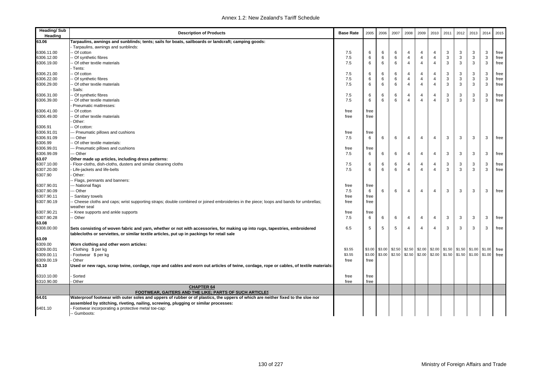| Tarpaulins, awnings and sunblinds; tents; sails for boats, sailboards or landcraft; camping goods:<br>Tarpaulins, awnings and sunblinds:<br>3<br>3<br>3<br>Of cotton<br>7.5<br>6<br>6<br>4<br>4<br>$\overline{4}$<br>3<br>free<br>6<br>3<br>3<br>3<br>free<br>6306.12.00<br>Of synthetic fibres<br>7.5<br>6<br>6<br>6<br>$\overline{4}$<br>$\overline{4}$<br>$\overline{4}$<br>3<br>6<br>3<br>3<br>3<br>3<br>free<br>6306.19.00<br>- Of other textile materials<br>7.5<br>6<br>6<br>4<br>$\overline{4}$<br>$\overline{4}$<br>Tents:<br>3<br>$\mathsf 3$<br>$\mathsf 3$<br>free<br>6306.21.00<br>- Of cotton<br>7.5<br>6<br>4<br>4<br>$\overline{4}$<br>3<br>6<br>6<br>6<br>3<br>3<br>6306.22.00<br>Of synthetic fibres<br>7.5<br>6<br>6<br>4<br>4<br>$\overline{4}$<br>3<br>3<br>free<br>6<br>6<br>$\overline{4}$<br>3<br>3<br>3<br>3<br>free<br>6306.29.00<br>Of other textile materials<br>7.5<br>6<br>$\overline{4}$<br>$\overline{4}$<br>Sails:<br>3<br>$\mathsf 3$<br>$\mathsf 3$<br>6306.31.00<br>Of synthetic fibres<br>4<br>$\overline{4}$<br>3<br>free<br>7.5<br>6<br>6<br>6<br>4<br>3<br>3<br>6306.39.00<br>Of other textile materials<br>7.5<br>6<br>6<br>6<br>$\overline{4}$<br>$\overline{4}$<br>3<br>3<br>free<br>$\overline{4}$<br>Pneumatic mattresses:<br>6306.41.00<br>Of cotton<br>free<br>free<br>6306.49.00<br>Of other textile materials<br>free<br>free<br>Other:<br>6306.91<br>Of cotton:<br>6306.91.01<br>-- Pneumatic pillows and cushions<br>free<br>free<br>-- Other<br>3<br>3<br>6306.91.09<br>6<br>$\overline{4}$<br>$\overline{4}$<br>3<br>3<br>free<br>7.5<br>6<br>6<br>$\overline{4}$<br>6306.99<br>Of other textile materials:<br>6306.99.01<br>-- Pneumatic pillows and cushions<br>free<br>free<br>6306.99.09<br>-- Other<br>3<br>3<br>free<br>7.5<br>6<br>6<br>4<br>4<br>$\overline{4}$<br>3<br>3<br>6<br>63.07<br>Other made up articles, including dress patterns:<br>6307.10.00<br>$\mathsf 3$<br>Floor-cloths, dish-cloths, dusters and similar cleaning cloths<br>3<br>3<br>3<br>free<br>7.5<br>6<br>6<br>6<br>$\overline{4}$<br>4<br>$\overline{4}$<br>6307.20.00<br>6<br>6<br>$\overline{4}$<br>3<br>3<br>3<br>free<br>Life-jackets and life-belts<br>7.5<br>6<br>$\overline{4}$<br>$\overline{4}$<br>3<br>6307.90<br>Other:<br>Flags, pennants and banners:<br>-- National flags<br>6307.90.01<br>free<br>free<br>6307.90.09<br>3<br>3<br>3<br>-- Other<br>7.5<br>6<br>6<br>6<br>$\overline{4}$<br>$\overline{4}$<br>3<br>free<br>4<br>6307.90.11<br>Sanitary towels<br>free<br>free<br>6307.90.19<br>Cheese cloths and caps; wrist supporting straps; double combined or joined embroideries in the piece; loops and bands for umbrellas;<br>free<br>free<br>weather seal<br>6307.90.21<br>Knee supports and ankle supports<br>free<br>free<br>6307.90.28<br>3<br>3<br>3<br>3<br>Other<br>7.5<br>6<br>6<br>6<br>$\overline{4}$<br>$\overline{4}$<br>free<br>$\overline{4}$<br>63.08<br>6308.00.00<br>6.5<br>5<br>3<br>3<br>3<br>free<br>5<br>5<br>$\overline{4}$<br>$\overline{4}$<br>3<br>Sets consisting of woven fabric and yarn, whether or not with accessories, for making up into rugs, tapestries, embroidered<br>4<br>tablecloths or serviettes, or similar textile articles, put up in packings for retail sale<br>Worn clothing and other worn articles:<br>\$3.00<br>\$2.50<br>\$2.50<br>\$2.00<br>$$2.00$ $$1.50$ $$1.50$ $$1.00$ $$1.00$<br>\$3.55<br>\$3.00<br>free<br>Clothing \$ per kg<br>\$3.00<br>\$3.00<br>\$2.50<br>\$2.50<br>\$2.00<br>$$2.00$ $$1.50$ $$1.50$ $$1.00$ $$1.00$<br>\$3.55<br>free<br>Footwear \$ per kg<br>free<br>Other<br>free<br>Used or new rags, scrap twine, cordage, rope and cables and worn out articles of twine, cordage, rope or cables, of textile materials:<br>Sorted<br>free<br>free<br>Other<br>free<br>free<br><b>CHAPTER 64</b><br>FOOTWEAR, GAITERS AND THE LIKE; PARTS OF SUCH ARTICLES<br>Waterproof footwear with outer soles and uppers of rubber or of plastics, the uppers of which are neither fixed to the sloe nor<br>assembled by stitching, riveting, nailing, screwing, plugging or similar processes:<br>Footwear incorporating a protective metal toe-cap:<br>-- Gumboots: | <b>Heading/Sub</b><br>Heading | <b>Description of Products</b> | <b>Base Rate</b> | 2005 | 2006 | 2007 | 2008 | 2009 | 2010 | 2011 | 2012 | 2013 | 2014 | 2015 |
|--------------------------------------------------------------------------------------------------------------------------------------------------------------------------------------------------------------------------------------------------------------------------------------------------------------------------------------------------------------------------------------------------------------------------------------------------------------------------------------------------------------------------------------------------------------------------------------------------------------------------------------------------------------------------------------------------------------------------------------------------------------------------------------------------------------------------------------------------------------------------------------------------------------------------------------------------------------------------------------------------------------------------------------------------------------------------------------------------------------------------------------------------------------------------------------------------------------------------------------------------------------------------------------------------------------------------------------------------------------------------------------------------------------------------------------------------------------------------------------------------------------------------------------------------------------------------------------------------------------------------------------------------------------------------------------------------------------------------------------------------------------------------------------------------------------------------------------------------------------------------------------------------------------------------------------------------------------------------------------------------------------------------------------------------------------------------------------------------------------------------------------------------------------------------------------------------------------------------------------------------------------------------------------------------------------------------------------------------------------------------------------------------------------------------------------------------------------------------------------------------------------------------------------------------------------------------------------------------------------------------------------------------------------------------------------------------------------------------------------------------------------------------------------------------------------------------------------------------------------------------------------------------------------------------------------------------------------------------------------------------------------------------------------------------------------------------------------------------------------------------------------------------------------------------------------------------------------------------------------------------------------------------------------------------------------------------------------------------------------------------------------------------------------------------------------------------------------------------------------------------------------------------------------------------------------------------------------------------------------------------------------------------------------------------------------------------------------------------------------------------------------------------------------------------------------------------------------------------------------------------------------------------------------------------------------------------------------------------------------------------------------------------------------------------------------------------------------------------------------------------------------------------------------------------------------------------|-------------------------------|--------------------------------|------------------|------|------|------|------|------|------|------|------|------|------|------|
|                                                                                                                                                                                                                                                                                                                                                                                                                                                                                                                                                                                                                                                                                                                                                                                                                                                                                                                                                                                                                                                                                                                                                                                                                                                                                                                                                                                                                                                                                                                                                                                                                                                                                                                                                                                                                                                                                                                                                                                                                                                                                                                                                                                                                                                                                                                                                                                                                                                                                                                                                                                                                                                                                                                                                                                                                                                                                                                                                                                                                                                                                                                                                                                                                                                                                                                                                                                                                                                                                                                                                                                                                                                                                                                                                                                                                                                                                                                                                                                                                                                                                                                                                                                                  | 63.06                         |                                |                  |      |      |      |      |      |      |      |      |      |      |      |
|                                                                                                                                                                                                                                                                                                                                                                                                                                                                                                                                                                                                                                                                                                                                                                                                                                                                                                                                                                                                                                                                                                                                                                                                                                                                                                                                                                                                                                                                                                                                                                                                                                                                                                                                                                                                                                                                                                                                                                                                                                                                                                                                                                                                                                                                                                                                                                                                                                                                                                                                                                                                                                                                                                                                                                                                                                                                                                                                                                                                                                                                                                                                                                                                                                                                                                                                                                                                                                                                                                                                                                                                                                                                                                                                                                                                                                                                                                                                                                                                                                                                                                                                                                                                  |                               |                                |                  |      |      |      |      |      |      |      |      |      |      |      |
|                                                                                                                                                                                                                                                                                                                                                                                                                                                                                                                                                                                                                                                                                                                                                                                                                                                                                                                                                                                                                                                                                                                                                                                                                                                                                                                                                                                                                                                                                                                                                                                                                                                                                                                                                                                                                                                                                                                                                                                                                                                                                                                                                                                                                                                                                                                                                                                                                                                                                                                                                                                                                                                                                                                                                                                                                                                                                                                                                                                                                                                                                                                                                                                                                                                                                                                                                                                                                                                                                                                                                                                                                                                                                                                                                                                                                                                                                                                                                                                                                                                                                                                                                                                                  | 6306.11.00                    |                                |                  |      |      |      |      |      |      |      |      |      |      |      |
|                                                                                                                                                                                                                                                                                                                                                                                                                                                                                                                                                                                                                                                                                                                                                                                                                                                                                                                                                                                                                                                                                                                                                                                                                                                                                                                                                                                                                                                                                                                                                                                                                                                                                                                                                                                                                                                                                                                                                                                                                                                                                                                                                                                                                                                                                                                                                                                                                                                                                                                                                                                                                                                                                                                                                                                                                                                                                                                                                                                                                                                                                                                                                                                                                                                                                                                                                                                                                                                                                                                                                                                                                                                                                                                                                                                                                                                                                                                                                                                                                                                                                                                                                                                                  |                               |                                |                  |      |      |      |      |      |      |      |      |      |      |      |
|                                                                                                                                                                                                                                                                                                                                                                                                                                                                                                                                                                                                                                                                                                                                                                                                                                                                                                                                                                                                                                                                                                                                                                                                                                                                                                                                                                                                                                                                                                                                                                                                                                                                                                                                                                                                                                                                                                                                                                                                                                                                                                                                                                                                                                                                                                                                                                                                                                                                                                                                                                                                                                                                                                                                                                                                                                                                                                                                                                                                                                                                                                                                                                                                                                                                                                                                                                                                                                                                                                                                                                                                                                                                                                                                                                                                                                                                                                                                                                                                                                                                                                                                                                                                  |                               |                                |                  |      |      |      |      |      |      |      |      |      |      |      |
|                                                                                                                                                                                                                                                                                                                                                                                                                                                                                                                                                                                                                                                                                                                                                                                                                                                                                                                                                                                                                                                                                                                                                                                                                                                                                                                                                                                                                                                                                                                                                                                                                                                                                                                                                                                                                                                                                                                                                                                                                                                                                                                                                                                                                                                                                                                                                                                                                                                                                                                                                                                                                                                                                                                                                                                                                                                                                                                                                                                                                                                                                                                                                                                                                                                                                                                                                                                                                                                                                                                                                                                                                                                                                                                                                                                                                                                                                                                                                                                                                                                                                                                                                                                                  |                               |                                |                  |      |      |      |      |      |      |      |      |      |      |      |
|                                                                                                                                                                                                                                                                                                                                                                                                                                                                                                                                                                                                                                                                                                                                                                                                                                                                                                                                                                                                                                                                                                                                                                                                                                                                                                                                                                                                                                                                                                                                                                                                                                                                                                                                                                                                                                                                                                                                                                                                                                                                                                                                                                                                                                                                                                                                                                                                                                                                                                                                                                                                                                                                                                                                                                                                                                                                                                                                                                                                                                                                                                                                                                                                                                                                                                                                                                                                                                                                                                                                                                                                                                                                                                                                                                                                                                                                                                                                                                                                                                                                                                                                                                                                  |                               |                                |                  |      |      |      |      |      |      |      |      |      |      |      |
|                                                                                                                                                                                                                                                                                                                                                                                                                                                                                                                                                                                                                                                                                                                                                                                                                                                                                                                                                                                                                                                                                                                                                                                                                                                                                                                                                                                                                                                                                                                                                                                                                                                                                                                                                                                                                                                                                                                                                                                                                                                                                                                                                                                                                                                                                                                                                                                                                                                                                                                                                                                                                                                                                                                                                                                                                                                                                                                                                                                                                                                                                                                                                                                                                                                                                                                                                                                                                                                                                                                                                                                                                                                                                                                                                                                                                                                                                                                                                                                                                                                                                                                                                                                                  |                               |                                |                  |      |      |      |      |      |      |      |      |      |      |      |
|                                                                                                                                                                                                                                                                                                                                                                                                                                                                                                                                                                                                                                                                                                                                                                                                                                                                                                                                                                                                                                                                                                                                                                                                                                                                                                                                                                                                                                                                                                                                                                                                                                                                                                                                                                                                                                                                                                                                                                                                                                                                                                                                                                                                                                                                                                                                                                                                                                                                                                                                                                                                                                                                                                                                                                                                                                                                                                                                                                                                                                                                                                                                                                                                                                                                                                                                                                                                                                                                                                                                                                                                                                                                                                                                                                                                                                                                                                                                                                                                                                                                                                                                                                                                  |                               |                                |                  |      |      |      |      |      |      |      |      |      |      |      |
|                                                                                                                                                                                                                                                                                                                                                                                                                                                                                                                                                                                                                                                                                                                                                                                                                                                                                                                                                                                                                                                                                                                                                                                                                                                                                                                                                                                                                                                                                                                                                                                                                                                                                                                                                                                                                                                                                                                                                                                                                                                                                                                                                                                                                                                                                                                                                                                                                                                                                                                                                                                                                                                                                                                                                                                                                                                                                                                                                                                                                                                                                                                                                                                                                                                                                                                                                                                                                                                                                                                                                                                                                                                                                                                                                                                                                                                                                                                                                                                                                                                                                                                                                                                                  |                               |                                |                  |      |      |      |      |      |      |      |      |      |      |      |
|                                                                                                                                                                                                                                                                                                                                                                                                                                                                                                                                                                                                                                                                                                                                                                                                                                                                                                                                                                                                                                                                                                                                                                                                                                                                                                                                                                                                                                                                                                                                                                                                                                                                                                                                                                                                                                                                                                                                                                                                                                                                                                                                                                                                                                                                                                                                                                                                                                                                                                                                                                                                                                                                                                                                                                                                                                                                                                                                                                                                                                                                                                                                                                                                                                                                                                                                                                                                                                                                                                                                                                                                                                                                                                                                                                                                                                                                                                                                                                                                                                                                                                                                                                                                  |                               |                                |                  |      |      |      |      |      |      |      |      |      |      |      |
|                                                                                                                                                                                                                                                                                                                                                                                                                                                                                                                                                                                                                                                                                                                                                                                                                                                                                                                                                                                                                                                                                                                                                                                                                                                                                                                                                                                                                                                                                                                                                                                                                                                                                                                                                                                                                                                                                                                                                                                                                                                                                                                                                                                                                                                                                                                                                                                                                                                                                                                                                                                                                                                                                                                                                                                                                                                                                                                                                                                                                                                                                                                                                                                                                                                                                                                                                                                                                                                                                                                                                                                                                                                                                                                                                                                                                                                                                                                                                                                                                                                                                                                                                                                                  |                               |                                |                  |      |      |      |      |      |      |      |      |      |      |      |
|                                                                                                                                                                                                                                                                                                                                                                                                                                                                                                                                                                                                                                                                                                                                                                                                                                                                                                                                                                                                                                                                                                                                                                                                                                                                                                                                                                                                                                                                                                                                                                                                                                                                                                                                                                                                                                                                                                                                                                                                                                                                                                                                                                                                                                                                                                                                                                                                                                                                                                                                                                                                                                                                                                                                                                                                                                                                                                                                                                                                                                                                                                                                                                                                                                                                                                                                                                                                                                                                                                                                                                                                                                                                                                                                                                                                                                                                                                                                                                                                                                                                                                                                                                                                  |                               |                                |                  |      |      |      |      |      |      |      |      |      |      |      |
|                                                                                                                                                                                                                                                                                                                                                                                                                                                                                                                                                                                                                                                                                                                                                                                                                                                                                                                                                                                                                                                                                                                                                                                                                                                                                                                                                                                                                                                                                                                                                                                                                                                                                                                                                                                                                                                                                                                                                                                                                                                                                                                                                                                                                                                                                                                                                                                                                                                                                                                                                                                                                                                                                                                                                                                                                                                                                                                                                                                                                                                                                                                                                                                                                                                                                                                                                                                                                                                                                                                                                                                                                                                                                                                                                                                                                                                                                                                                                                                                                                                                                                                                                                                                  |                               |                                |                  |      |      |      |      |      |      |      |      |      |      |      |
|                                                                                                                                                                                                                                                                                                                                                                                                                                                                                                                                                                                                                                                                                                                                                                                                                                                                                                                                                                                                                                                                                                                                                                                                                                                                                                                                                                                                                                                                                                                                                                                                                                                                                                                                                                                                                                                                                                                                                                                                                                                                                                                                                                                                                                                                                                                                                                                                                                                                                                                                                                                                                                                                                                                                                                                                                                                                                                                                                                                                                                                                                                                                                                                                                                                                                                                                                                                                                                                                                                                                                                                                                                                                                                                                                                                                                                                                                                                                                                                                                                                                                                                                                                                                  |                               |                                |                  |      |      |      |      |      |      |      |      |      |      |      |
|                                                                                                                                                                                                                                                                                                                                                                                                                                                                                                                                                                                                                                                                                                                                                                                                                                                                                                                                                                                                                                                                                                                                                                                                                                                                                                                                                                                                                                                                                                                                                                                                                                                                                                                                                                                                                                                                                                                                                                                                                                                                                                                                                                                                                                                                                                                                                                                                                                                                                                                                                                                                                                                                                                                                                                                                                                                                                                                                                                                                                                                                                                                                                                                                                                                                                                                                                                                                                                                                                                                                                                                                                                                                                                                                                                                                                                                                                                                                                                                                                                                                                                                                                                                                  |                               |                                |                  |      |      |      |      |      |      |      |      |      |      |      |
|                                                                                                                                                                                                                                                                                                                                                                                                                                                                                                                                                                                                                                                                                                                                                                                                                                                                                                                                                                                                                                                                                                                                                                                                                                                                                                                                                                                                                                                                                                                                                                                                                                                                                                                                                                                                                                                                                                                                                                                                                                                                                                                                                                                                                                                                                                                                                                                                                                                                                                                                                                                                                                                                                                                                                                                                                                                                                                                                                                                                                                                                                                                                                                                                                                                                                                                                                                                                                                                                                                                                                                                                                                                                                                                                                                                                                                                                                                                                                                                                                                                                                                                                                                                                  |                               |                                |                  |      |      |      |      |      |      |      |      |      |      |      |
|                                                                                                                                                                                                                                                                                                                                                                                                                                                                                                                                                                                                                                                                                                                                                                                                                                                                                                                                                                                                                                                                                                                                                                                                                                                                                                                                                                                                                                                                                                                                                                                                                                                                                                                                                                                                                                                                                                                                                                                                                                                                                                                                                                                                                                                                                                                                                                                                                                                                                                                                                                                                                                                                                                                                                                                                                                                                                                                                                                                                                                                                                                                                                                                                                                                                                                                                                                                                                                                                                                                                                                                                                                                                                                                                                                                                                                                                                                                                                                                                                                                                                                                                                                                                  |                               |                                |                  |      |      |      |      |      |      |      |      |      |      |      |
|                                                                                                                                                                                                                                                                                                                                                                                                                                                                                                                                                                                                                                                                                                                                                                                                                                                                                                                                                                                                                                                                                                                                                                                                                                                                                                                                                                                                                                                                                                                                                                                                                                                                                                                                                                                                                                                                                                                                                                                                                                                                                                                                                                                                                                                                                                                                                                                                                                                                                                                                                                                                                                                                                                                                                                                                                                                                                                                                                                                                                                                                                                                                                                                                                                                                                                                                                                                                                                                                                                                                                                                                                                                                                                                                                                                                                                                                                                                                                                                                                                                                                                                                                                                                  |                               |                                |                  |      |      |      |      |      |      |      |      |      |      |      |
|                                                                                                                                                                                                                                                                                                                                                                                                                                                                                                                                                                                                                                                                                                                                                                                                                                                                                                                                                                                                                                                                                                                                                                                                                                                                                                                                                                                                                                                                                                                                                                                                                                                                                                                                                                                                                                                                                                                                                                                                                                                                                                                                                                                                                                                                                                                                                                                                                                                                                                                                                                                                                                                                                                                                                                                                                                                                                                                                                                                                                                                                                                                                                                                                                                                                                                                                                                                                                                                                                                                                                                                                                                                                                                                                                                                                                                                                                                                                                                                                                                                                                                                                                                                                  |                               |                                |                  |      |      |      |      |      |      |      |      |      |      |      |
|                                                                                                                                                                                                                                                                                                                                                                                                                                                                                                                                                                                                                                                                                                                                                                                                                                                                                                                                                                                                                                                                                                                                                                                                                                                                                                                                                                                                                                                                                                                                                                                                                                                                                                                                                                                                                                                                                                                                                                                                                                                                                                                                                                                                                                                                                                                                                                                                                                                                                                                                                                                                                                                                                                                                                                                                                                                                                                                                                                                                                                                                                                                                                                                                                                                                                                                                                                                                                                                                                                                                                                                                                                                                                                                                                                                                                                                                                                                                                                                                                                                                                                                                                                                                  |                               |                                |                  |      |      |      |      |      |      |      |      |      |      |      |
|                                                                                                                                                                                                                                                                                                                                                                                                                                                                                                                                                                                                                                                                                                                                                                                                                                                                                                                                                                                                                                                                                                                                                                                                                                                                                                                                                                                                                                                                                                                                                                                                                                                                                                                                                                                                                                                                                                                                                                                                                                                                                                                                                                                                                                                                                                                                                                                                                                                                                                                                                                                                                                                                                                                                                                                                                                                                                                                                                                                                                                                                                                                                                                                                                                                                                                                                                                                                                                                                                                                                                                                                                                                                                                                                                                                                                                                                                                                                                                                                                                                                                                                                                                                                  |                               |                                |                  |      |      |      |      |      |      |      |      |      |      |      |
|                                                                                                                                                                                                                                                                                                                                                                                                                                                                                                                                                                                                                                                                                                                                                                                                                                                                                                                                                                                                                                                                                                                                                                                                                                                                                                                                                                                                                                                                                                                                                                                                                                                                                                                                                                                                                                                                                                                                                                                                                                                                                                                                                                                                                                                                                                                                                                                                                                                                                                                                                                                                                                                                                                                                                                                                                                                                                                                                                                                                                                                                                                                                                                                                                                                                                                                                                                                                                                                                                                                                                                                                                                                                                                                                                                                                                                                                                                                                                                                                                                                                                                                                                                                                  |                               |                                |                  |      |      |      |      |      |      |      |      |      |      |      |
|                                                                                                                                                                                                                                                                                                                                                                                                                                                                                                                                                                                                                                                                                                                                                                                                                                                                                                                                                                                                                                                                                                                                                                                                                                                                                                                                                                                                                                                                                                                                                                                                                                                                                                                                                                                                                                                                                                                                                                                                                                                                                                                                                                                                                                                                                                                                                                                                                                                                                                                                                                                                                                                                                                                                                                                                                                                                                                                                                                                                                                                                                                                                                                                                                                                                                                                                                                                                                                                                                                                                                                                                                                                                                                                                                                                                                                                                                                                                                                                                                                                                                                                                                                                                  |                               |                                |                  |      |      |      |      |      |      |      |      |      |      |      |
|                                                                                                                                                                                                                                                                                                                                                                                                                                                                                                                                                                                                                                                                                                                                                                                                                                                                                                                                                                                                                                                                                                                                                                                                                                                                                                                                                                                                                                                                                                                                                                                                                                                                                                                                                                                                                                                                                                                                                                                                                                                                                                                                                                                                                                                                                                                                                                                                                                                                                                                                                                                                                                                                                                                                                                                                                                                                                                                                                                                                                                                                                                                                                                                                                                                                                                                                                                                                                                                                                                                                                                                                                                                                                                                                                                                                                                                                                                                                                                                                                                                                                                                                                                                                  |                               |                                |                  |      |      |      |      |      |      |      |      |      |      |      |
|                                                                                                                                                                                                                                                                                                                                                                                                                                                                                                                                                                                                                                                                                                                                                                                                                                                                                                                                                                                                                                                                                                                                                                                                                                                                                                                                                                                                                                                                                                                                                                                                                                                                                                                                                                                                                                                                                                                                                                                                                                                                                                                                                                                                                                                                                                                                                                                                                                                                                                                                                                                                                                                                                                                                                                                                                                                                                                                                                                                                                                                                                                                                                                                                                                                                                                                                                                                                                                                                                                                                                                                                                                                                                                                                                                                                                                                                                                                                                                                                                                                                                                                                                                                                  |                               |                                |                  |      |      |      |      |      |      |      |      |      |      |      |
|                                                                                                                                                                                                                                                                                                                                                                                                                                                                                                                                                                                                                                                                                                                                                                                                                                                                                                                                                                                                                                                                                                                                                                                                                                                                                                                                                                                                                                                                                                                                                                                                                                                                                                                                                                                                                                                                                                                                                                                                                                                                                                                                                                                                                                                                                                                                                                                                                                                                                                                                                                                                                                                                                                                                                                                                                                                                                                                                                                                                                                                                                                                                                                                                                                                                                                                                                                                                                                                                                                                                                                                                                                                                                                                                                                                                                                                                                                                                                                                                                                                                                                                                                                                                  |                               |                                |                  |      |      |      |      |      |      |      |      |      |      |      |
|                                                                                                                                                                                                                                                                                                                                                                                                                                                                                                                                                                                                                                                                                                                                                                                                                                                                                                                                                                                                                                                                                                                                                                                                                                                                                                                                                                                                                                                                                                                                                                                                                                                                                                                                                                                                                                                                                                                                                                                                                                                                                                                                                                                                                                                                                                                                                                                                                                                                                                                                                                                                                                                                                                                                                                                                                                                                                                                                                                                                                                                                                                                                                                                                                                                                                                                                                                                                                                                                                                                                                                                                                                                                                                                                                                                                                                                                                                                                                                                                                                                                                                                                                                                                  |                               |                                |                  |      |      |      |      |      |      |      |      |      |      |      |
|                                                                                                                                                                                                                                                                                                                                                                                                                                                                                                                                                                                                                                                                                                                                                                                                                                                                                                                                                                                                                                                                                                                                                                                                                                                                                                                                                                                                                                                                                                                                                                                                                                                                                                                                                                                                                                                                                                                                                                                                                                                                                                                                                                                                                                                                                                                                                                                                                                                                                                                                                                                                                                                                                                                                                                                                                                                                                                                                                                                                                                                                                                                                                                                                                                                                                                                                                                                                                                                                                                                                                                                                                                                                                                                                                                                                                                                                                                                                                                                                                                                                                                                                                                                                  |                               |                                |                  |      |      |      |      |      |      |      |      |      |      |      |
|                                                                                                                                                                                                                                                                                                                                                                                                                                                                                                                                                                                                                                                                                                                                                                                                                                                                                                                                                                                                                                                                                                                                                                                                                                                                                                                                                                                                                                                                                                                                                                                                                                                                                                                                                                                                                                                                                                                                                                                                                                                                                                                                                                                                                                                                                                                                                                                                                                                                                                                                                                                                                                                                                                                                                                                                                                                                                                                                                                                                                                                                                                                                                                                                                                                                                                                                                                                                                                                                                                                                                                                                                                                                                                                                                                                                                                                                                                                                                                                                                                                                                                                                                                                                  |                               |                                |                  |      |      |      |      |      |      |      |      |      |      |      |
|                                                                                                                                                                                                                                                                                                                                                                                                                                                                                                                                                                                                                                                                                                                                                                                                                                                                                                                                                                                                                                                                                                                                                                                                                                                                                                                                                                                                                                                                                                                                                                                                                                                                                                                                                                                                                                                                                                                                                                                                                                                                                                                                                                                                                                                                                                                                                                                                                                                                                                                                                                                                                                                                                                                                                                                                                                                                                                                                                                                                                                                                                                                                                                                                                                                                                                                                                                                                                                                                                                                                                                                                                                                                                                                                                                                                                                                                                                                                                                                                                                                                                                                                                                                                  |                               |                                |                  |      |      |      |      |      |      |      |      |      |      |      |
|                                                                                                                                                                                                                                                                                                                                                                                                                                                                                                                                                                                                                                                                                                                                                                                                                                                                                                                                                                                                                                                                                                                                                                                                                                                                                                                                                                                                                                                                                                                                                                                                                                                                                                                                                                                                                                                                                                                                                                                                                                                                                                                                                                                                                                                                                                                                                                                                                                                                                                                                                                                                                                                                                                                                                                                                                                                                                                                                                                                                                                                                                                                                                                                                                                                                                                                                                                                                                                                                                                                                                                                                                                                                                                                                                                                                                                                                                                                                                                                                                                                                                                                                                                                                  |                               |                                |                  |      |      |      |      |      |      |      |      |      |      |      |
|                                                                                                                                                                                                                                                                                                                                                                                                                                                                                                                                                                                                                                                                                                                                                                                                                                                                                                                                                                                                                                                                                                                                                                                                                                                                                                                                                                                                                                                                                                                                                                                                                                                                                                                                                                                                                                                                                                                                                                                                                                                                                                                                                                                                                                                                                                                                                                                                                                                                                                                                                                                                                                                                                                                                                                                                                                                                                                                                                                                                                                                                                                                                                                                                                                                                                                                                                                                                                                                                                                                                                                                                                                                                                                                                                                                                                                                                                                                                                                                                                                                                                                                                                                                                  |                               |                                |                  |      |      |      |      |      |      |      |      |      |      |      |
|                                                                                                                                                                                                                                                                                                                                                                                                                                                                                                                                                                                                                                                                                                                                                                                                                                                                                                                                                                                                                                                                                                                                                                                                                                                                                                                                                                                                                                                                                                                                                                                                                                                                                                                                                                                                                                                                                                                                                                                                                                                                                                                                                                                                                                                                                                                                                                                                                                                                                                                                                                                                                                                                                                                                                                                                                                                                                                                                                                                                                                                                                                                                                                                                                                                                                                                                                                                                                                                                                                                                                                                                                                                                                                                                                                                                                                                                                                                                                                                                                                                                                                                                                                                                  |                               |                                |                  |      |      |      |      |      |      |      |      |      |      |      |
|                                                                                                                                                                                                                                                                                                                                                                                                                                                                                                                                                                                                                                                                                                                                                                                                                                                                                                                                                                                                                                                                                                                                                                                                                                                                                                                                                                                                                                                                                                                                                                                                                                                                                                                                                                                                                                                                                                                                                                                                                                                                                                                                                                                                                                                                                                                                                                                                                                                                                                                                                                                                                                                                                                                                                                                                                                                                                                                                                                                                                                                                                                                                                                                                                                                                                                                                                                                                                                                                                                                                                                                                                                                                                                                                                                                                                                                                                                                                                                                                                                                                                                                                                                                                  |                               |                                |                  |      |      |      |      |      |      |      |      |      |      |      |
|                                                                                                                                                                                                                                                                                                                                                                                                                                                                                                                                                                                                                                                                                                                                                                                                                                                                                                                                                                                                                                                                                                                                                                                                                                                                                                                                                                                                                                                                                                                                                                                                                                                                                                                                                                                                                                                                                                                                                                                                                                                                                                                                                                                                                                                                                                                                                                                                                                                                                                                                                                                                                                                                                                                                                                                                                                                                                                                                                                                                                                                                                                                                                                                                                                                                                                                                                                                                                                                                                                                                                                                                                                                                                                                                                                                                                                                                                                                                                                                                                                                                                                                                                                                                  |                               |                                |                  |      |      |      |      |      |      |      |      |      |      |      |
|                                                                                                                                                                                                                                                                                                                                                                                                                                                                                                                                                                                                                                                                                                                                                                                                                                                                                                                                                                                                                                                                                                                                                                                                                                                                                                                                                                                                                                                                                                                                                                                                                                                                                                                                                                                                                                                                                                                                                                                                                                                                                                                                                                                                                                                                                                                                                                                                                                                                                                                                                                                                                                                                                                                                                                                                                                                                                                                                                                                                                                                                                                                                                                                                                                                                                                                                                                                                                                                                                                                                                                                                                                                                                                                                                                                                                                                                                                                                                                                                                                                                                                                                                                                                  | 63.09                         |                                |                  |      |      |      |      |      |      |      |      |      |      |      |
|                                                                                                                                                                                                                                                                                                                                                                                                                                                                                                                                                                                                                                                                                                                                                                                                                                                                                                                                                                                                                                                                                                                                                                                                                                                                                                                                                                                                                                                                                                                                                                                                                                                                                                                                                                                                                                                                                                                                                                                                                                                                                                                                                                                                                                                                                                                                                                                                                                                                                                                                                                                                                                                                                                                                                                                                                                                                                                                                                                                                                                                                                                                                                                                                                                                                                                                                                                                                                                                                                                                                                                                                                                                                                                                                                                                                                                                                                                                                                                                                                                                                                                                                                                                                  | 6309.00                       |                                |                  |      |      |      |      |      |      |      |      |      |      |      |
|                                                                                                                                                                                                                                                                                                                                                                                                                                                                                                                                                                                                                                                                                                                                                                                                                                                                                                                                                                                                                                                                                                                                                                                                                                                                                                                                                                                                                                                                                                                                                                                                                                                                                                                                                                                                                                                                                                                                                                                                                                                                                                                                                                                                                                                                                                                                                                                                                                                                                                                                                                                                                                                                                                                                                                                                                                                                                                                                                                                                                                                                                                                                                                                                                                                                                                                                                                                                                                                                                                                                                                                                                                                                                                                                                                                                                                                                                                                                                                                                                                                                                                                                                                                                  | 6309.00.01                    |                                |                  |      |      |      |      |      |      |      |      |      |      |      |
|                                                                                                                                                                                                                                                                                                                                                                                                                                                                                                                                                                                                                                                                                                                                                                                                                                                                                                                                                                                                                                                                                                                                                                                                                                                                                                                                                                                                                                                                                                                                                                                                                                                                                                                                                                                                                                                                                                                                                                                                                                                                                                                                                                                                                                                                                                                                                                                                                                                                                                                                                                                                                                                                                                                                                                                                                                                                                                                                                                                                                                                                                                                                                                                                                                                                                                                                                                                                                                                                                                                                                                                                                                                                                                                                                                                                                                                                                                                                                                                                                                                                                                                                                                                                  | 6309.00.11                    |                                |                  |      |      |      |      |      |      |      |      |      |      |      |
|                                                                                                                                                                                                                                                                                                                                                                                                                                                                                                                                                                                                                                                                                                                                                                                                                                                                                                                                                                                                                                                                                                                                                                                                                                                                                                                                                                                                                                                                                                                                                                                                                                                                                                                                                                                                                                                                                                                                                                                                                                                                                                                                                                                                                                                                                                                                                                                                                                                                                                                                                                                                                                                                                                                                                                                                                                                                                                                                                                                                                                                                                                                                                                                                                                                                                                                                                                                                                                                                                                                                                                                                                                                                                                                                                                                                                                                                                                                                                                                                                                                                                                                                                                                                  | 6309.00.19                    |                                |                  |      |      |      |      |      |      |      |      |      |      |      |
|                                                                                                                                                                                                                                                                                                                                                                                                                                                                                                                                                                                                                                                                                                                                                                                                                                                                                                                                                                                                                                                                                                                                                                                                                                                                                                                                                                                                                                                                                                                                                                                                                                                                                                                                                                                                                                                                                                                                                                                                                                                                                                                                                                                                                                                                                                                                                                                                                                                                                                                                                                                                                                                                                                                                                                                                                                                                                                                                                                                                                                                                                                                                                                                                                                                                                                                                                                                                                                                                                                                                                                                                                                                                                                                                                                                                                                                                                                                                                                                                                                                                                                                                                                                                  | 63.10                         |                                |                  |      |      |      |      |      |      |      |      |      |      |      |
|                                                                                                                                                                                                                                                                                                                                                                                                                                                                                                                                                                                                                                                                                                                                                                                                                                                                                                                                                                                                                                                                                                                                                                                                                                                                                                                                                                                                                                                                                                                                                                                                                                                                                                                                                                                                                                                                                                                                                                                                                                                                                                                                                                                                                                                                                                                                                                                                                                                                                                                                                                                                                                                                                                                                                                                                                                                                                                                                                                                                                                                                                                                                                                                                                                                                                                                                                                                                                                                                                                                                                                                                                                                                                                                                                                                                                                                                                                                                                                                                                                                                                                                                                                                                  |                               |                                |                  |      |      |      |      |      |      |      |      |      |      |      |
|                                                                                                                                                                                                                                                                                                                                                                                                                                                                                                                                                                                                                                                                                                                                                                                                                                                                                                                                                                                                                                                                                                                                                                                                                                                                                                                                                                                                                                                                                                                                                                                                                                                                                                                                                                                                                                                                                                                                                                                                                                                                                                                                                                                                                                                                                                                                                                                                                                                                                                                                                                                                                                                                                                                                                                                                                                                                                                                                                                                                                                                                                                                                                                                                                                                                                                                                                                                                                                                                                                                                                                                                                                                                                                                                                                                                                                                                                                                                                                                                                                                                                                                                                                                                  | 6310.10.00                    |                                |                  |      |      |      |      |      |      |      |      |      |      |      |
|                                                                                                                                                                                                                                                                                                                                                                                                                                                                                                                                                                                                                                                                                                                                                                                                                                                                                                                                                                                                                                                                                                                                                                                                                                                                                                                                                                                                                                                                                                                                                                                                                                                                                                                                                                                                                                                                                                                                                                                                                                                                                                                                                                                                                                                                                                                                                                                                                                                                                                                                                                                                                                                                                                                                                                                                                                                                                                                                                                                                                                                                                                                                                                                                                                                                                                                                                                                                                                                                                                                                                                                                                                                                                                                                                                                                                                                                                                                                                                                                                                                                                                                                                                                                  | 6310.90.00                    |                                |                  |      |      |      |      |      |      |      |      |      |      |      |
|                                                                                                                                                                                                                                                                                                                                                                                                                                                                                                                                                                                                                                                                                                                                                                                                                                                                                                                                                                                                                                                                                                                                                                                                                                                                                                                                                                                                                                                                                                                                                                                                                                                                                                                                                                                                                                                                                                                                                                                                                                                                                                                                                                                                                                                                                                                                                                                                                                                                                                                                                                                                                                                                                                                                                                                                                                                                                                                                                                                                                                                                                                                                                                                                                                                                                                                                                                                                                                                                                                                                                                                                                                                                                                                                                                                                                                                                                                                                                                                                                                                                                                                                                                                                  |                               |                                |                  |      |      |      |      |      |      |      |      |      |      |      |
|                                                                                                                                                                                                                                                                                                                                                                                                                                                                                                                                                                                                                                                                                                                                                                                                                                                                                                                                                                                                                                                                                                                                                                                                                                                                                                                                                                                                                                                                                                                                                                                                                                                                                                                                                                                                                                                                                                                                                                                                                                                                                                                                                                                                                                                                                                                                                                                                                                                                                                                                                                                                                                                                                                                                                                                                                                                                                                                                                                                                                                                                                                                                                                                                                                                                                                                                                                                                                                                                                                                                                                                                                                                                                                                                                                                                                                                                                                                                                                                                                                                                                                                                                                                                  | 64.01                         |                                |                  |      |      |      |      |      |      |      |      |      |      |      |
|                                                                                                                                                                                                                                                                                                                                                                                                                                                                                                                                                                                                                                                                                                                                                                                                                                                                                                                                                                                                                                                                                                                                                                                                                                                                                                                                                                                                                                                                                                                                                                                                                                                                                                                                                                                                                                                                                                                                                                                                                                                                                                                                                                                                                                                                                                                                                                                                                                                                                                                                                                                                                                                                                                                                                                                                                                                                                                                                                                                                                                                                                                                                                                                                                                                                                                                                                                                                                                                                                                                                                                                                                                                                                                                                                                                                                                                                                                                                                                                                                                                                                                                                                                                                  |                               |                                |                  |      |      |      |      |      |      |      |      |      |      |      |
|                                                                                                                                                                                                                                                                                                                                                                                                                                                                                                                                                                                                                                                                                                                                                                                                                                                                                                                                                                                                                                                                                                                                                                                                                                                                                                                                                                                                                                                                                                                                                                                                                                                                                                                                                                                                                                                                                                                                                                                                                                                                                                                                                                                                                                                                                                                                                                                                                                                                                                                                                                                                                                                                                                                                                                                                                                                                                                                                                                                                                                                                                                                                                                                                                                                                                                                                                                                                                                                                                                                                                                                                                                                                                                                                                                                                                                                                                                                                                                                                                                                                                                                                                                                                  | 6401.10                       |                                |                  |      |      |      |      |      |      |      |      |      |      |      |
|                                                                                                                                                                                                                                                                                                                                                                                                                                                                                                                                                                                                                                                                                                                                                                                                                                                                                                                                                                                                                                                                                                                                                                                                                                                                                                                                                                                                                                                                                                                                                                                                                                                                                                                                                                                                                                                                                                                                                                                                                                                                                                                                                                                                                                                                                                                                                                                                                                                                                                                                                                                                                                                                                                                                                                                                                                                                                                                                                                                                                                                                                                                                                                                                                                                                                                                                                                                                                                                                                                                                                                                                                                                                                                                                                                                                                                                                                                                                                                                                                                                                                                                                                                                                  |                               |                                |                  |      |      |      |      |      |      |      |      |      |      |      |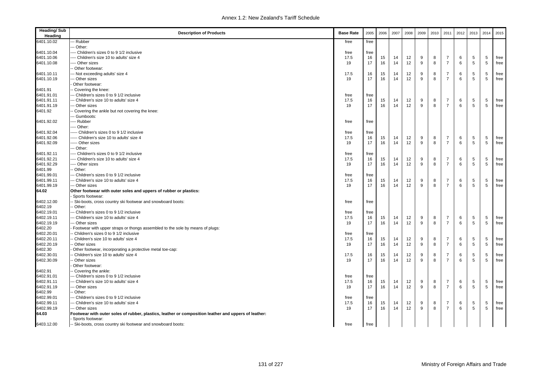| <b>Heading/Sub</b><br>Heading | <b>Description of Products</b>                                                                                           | <b>Base Rate</b> | 2005 | 2006 | 2007 | 2008 | 2009         | 2010 | 2011           | 2012 | 2013        | 2014        | 2015 |
|-------------------------------|--------------------------------------------------------------------------------------------------------------------------|------------------|------|------|------|------|--------------|------|----------------|------|-------------|-------------|------|
| 6401.10.02                    | Rubber                                                                                                                   | free             | free |      |      |      |              |      |                |      |             |             |      |
|                               | Other:                                                                                                                   |                  |      |      |      |      |              |      |                |      |             |             |      |
| 6401.10.04                    | ---- Children's sizes 0 to 9 1/2 inclusive                                                                               | free             | free |      |      |      |              |      |                |      |             |             |      |
| 6401.10.06                    | --- Children's size 10 to adults' size 4                                                                                 | 17.5             | 16   | 15   | 14   | 12   | 9            | 8    | $\overline{7}$ | 6    | 5           | 5           | free |
| 6401.10.08                    | -- Other sizes                                                                                                           | 19               | 17   | 16   | 14   | 12   | 9            | 8    | $\overline{7}$ | 6    | $\,$ 5 $\,$ | $\,$ 5 $\,$ | free |
|                               | - Other footwear:                                                                                                        |                  |      |      |      |      |              |      |                |      |             |             |      |
| 6401.10.11                    | - Not exceeding adults' size 4                                                                                           | 17.5             | 16   | 15   | 14   | 12   | 9            | 8    | $\overline{7}$ | 6    | 5           | 5           | free |
| 6401.10.19                    | - Other sizes                                                                                                            | 19               | 17   | 16   | 14   | 12   | $\mathbf{q}$ | 8    | $\overline{7}$ | 6    | 5           | 5           | free |
|                               | Other footwear:                                                                                                          |                  |      |      |      |      |              |      |                |      |             |             |      |
| 6401.91                       | - Covering the knee:                                                                                                     |                  |      |      |      |      |              |      |                |      |             |             |      |
| 6401.91.01                    | -- Children's sizes 0 to 9 1/2 inclusive                                                                                 | free             | free |      |      |      |              |      |                |      |             |             |      |
| 6401.91.11                    | - Children's size 10 to adults' size 4                                                                                   | 17.5             | 16   | 15   | 14   | 12   | 9            | 8    | $\overline{7}$ | 6    | 5           | 5           | free |
| 6401.91.19                    | -- Other sizes                                                                                                           | 19               | 17   | 16   | 14   | 12   | 9            | 8    | $\overline{7}$ | 6    | 5           | 5           | free |
| 6401.92                       | - Covering the ankle but not covering the knee:                                                                          |                  |      |      |      |      |              |      |                |      |             |             |      |
|                               | - Gumboots:                                                                                                              |                  |      |      |      |      |              |      |                |      |             |             |      |
| 6401.92.02                    | --- Rubber                                                                                                               | free             | free |      |      |      |              |      |                |      |             |             |      |
|                               | --- Other:                                                                                                               |                  |      |      |      |      |              |      |                |      |             |             |      |
| 6401.92.04                    | --- Children's sizes 0 to 9 1/2 inclusive                                                                                | free             | free |      |      |      |              |      |                |      |             |             |      |
| 6401.92.06                    | ---- Children's size 10 to adults' size 4                                                                                | 17.5             | 16   | 15   | 14   | 12   | 9            | 8    | 7              | 6    | 5           | 5           | free |
| 6401.92.09                    | --- Other sizes                                                                                                          | 19               | 17   | 16   | 14   | 12   | 9            | 8    | $\overline{7}$ | 6    | 5           | 5           | free |
|                               | -- Other:                                                                                                                |                  |      |      |      |      |              |      |                |      |             |             |      |
| 6401.92.11                    | --- Children's sizes 0 to 9 1/2 inclusive                                                                                | free             | free |      |      |      |              |      |                |      |             |             |      |
| 6401.92.21                    | --- Children's size 10 to adults' size 4                                                                                 | 17.5             | 16   | 15   | 14   | 12   | 9            | 8    | $\overline{7}$ | 6    | 5           | 5           | free |
| 6401.92.29                    | --- Other sizes                                                                                                          | 19               | 17   | 16   | 14   | 12   | 9            | 8    | $\overline{7}$ | 6    | $\,$ 5 $\,$ | 5           | free |
| 6401.99                       | - Other:                                                                                                                 |                  |      |      |      |      |              |      |                |      |             |             |      |
| 6401.99.01                    | Children's sizes 0 to 9 1/2 inclusive                                                                                    | free             | free |      |      |      |              |      |                |      |             |             |      |
| 6401.99.11                    | - Children's size 10 to adults' size 4                                                                                   | 17.5             | 16   | 15   | 14   | 12   | 9            | 8    | $\overline{7}$ | 6    | 5           | 5           | free |
| 6401.99.19                    | -- Other sizes                                                                                                           | 19               | 17   | 16   | 14   | 12   | 9            | 8    | $\overline{7}$ | 6    | 5           | 5           | free |
| 64.02                         | Other footwear with outer soles and uppers of rubber or plastics:                                                        |                  |      |      |      |      |              |      |                |      |             |             |      |
|                               | Sports footwear:                                                                                                         |                  |      |      |      |      |              |      |                |      |             |             |      |
| 6402.12.00                    | - Ski-boots, cross country ski footwear and snowboard boots:                                                             | free             | free |      |      |      |              |      |                |      |             |             |      |
| 6402.19                       | Other:                                                                                                                   |                  |      |      |      |      |              |      |                |      |             |             |      |
| 6402.19.01                    | - Children's sizes 0 to 9 1/2 inclusive                                                                                  | free             | free |      |      |      |              |      |                |      |             |             |      |
| 6402.19.11                    | - Children's size 10 to adults' size 4                                                                                   | 17.5             | 16   | 15   | 14   | 12   | 9            | 8    | $\overline{7}$ | 6    | 5           | 5           | free |
| 6402.19.19                    | -- Other sizes                                                                                                           | 19               | 17   | 16   | 14   | 12   | 9            | 8    | $\overline{7}$ | 6    | 5           | 5           | free |
| 6402.20                       | Footwear with upper straps or thongs assembled to the sole by means of plugs:                                            |                  |      |      |      |      |              |      |                |      |             |             |      |
| 6402.20.01                    | - Children's sizes 0 to 9 1/2 inclusive                                                                                  | free             | free |      |      |      |              |      |                |      |             |             |      |
| 6402.20.11                    | - Children's size 10 to adults' size 4                                                                                   | 17.5             | 16   | 15   | 14   | 12   | 9            | 8    | 7              | 6    | 5           | 5           | free |
| 6402.20.19                    | Other sizes                                                                                                              | 19               | 17   | 16   | 14   | 12   | 9            | 8    | $\overline{7}$ | 6    | 5           | 5           | free |
| 6402.30                       | Other footwear, incorporating a protective metal toe-cap:                                                                |                  |      |      |      |      |              |      |                |      |             |             |      |
| 6402.30.01                    | Children's size 10 to adults' size 4                                                                                     | 17.5             | 16   | 15   | 14   | 12   | 9            | 8    | $\overline{7}$ | 6    | 5           | 5           | free |
| 6402.30.09                    | Other sizes                                                                                                              | 19               | 17   | 16   | 14   | 12   | 9            | 8    | $\overline{7}$ | 6    | 5           | 5           | free |
|                               | Other footwear:                                                                                                          |                  |      |      |      |      |              |      |                |      |             |             |      |
| 6402.91                       | Covering the ankle:                                                                                                      |                  |      |      |      |      |              |      |                |      |             |             |      |
| 6402.91.01                    | -- Children's sizes 0 to 9 1/2 inclusive                                                                                 | free             | free |      |      |      |              |      |                |      |             |             |      |
| 6402.91.11                    | -- Children's size 10 to adults' size 4                                                                                  | 17.5             | 16   | 15   | 14   | 12   | 9            | 8    | 7              | 6    | 5           | 5           | free |
| 6402.91.19                    | - Other sizes                                                                                                            | 19               | 17   | 16   | 14   | 12   | 9            | 8    | $\overline{7}$ | 6    | 5           | 5           | free |
| 6402.99                       | Other:                                                                                                                   |                  |      |      |      |      |              |      |                |      |             |             |      |
| 6402.99.01                    | -- Children's sizes 0 to 9 1/2 inclusive                                                                                 | free             | free |      |      |      |              |      |                |      |             |             |      |
| 6402.99.11                    | -- Children's size 10 to adults' size 4                                                                                  | 17.5             | 16   | 15   | 14   | 12   | 9            | 8    | 7              | 6    | 5           | 5           | free |
| 6402.99.19                    | - Other sizes                                                                                                            | 19               | 17   | 16   | 14   | 12   | 9            | 8    | $\overline{7}$ | 6    | 5           | 5           | free |
| 64.03                         | Footwear with outer soles of rubber, plastics, leather or composition leather and uppers of leather:<br>Sports footwear: |                  |      |      |      |      |              |      |                |      |             |             |      |
|                               |                                                                                                                          |                  |      |      |      |      |              |      |                |      |             |             |      |
| 6403.12.00                    | -- Ski-boots, cross country ski footwear and snowboard boots:                                                            | free             | free |      |      |      |              |      |                |      |             |             |      |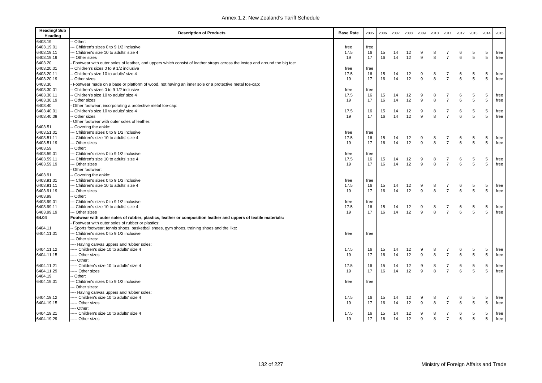| <b>Heading/Sub</b><br>Heading | <b>Description of Products</b>                                                                                             | <b>Base Rate</b> | 2005 | 2006 | 2007 | 2008 | 2009         | 2010 | 2011           | 2012 | 2013 | 2014 | 2015         |
|-------------------------------|----------------------------------------------------------------------------------------------------------------------------|------------------|------|------|------|------|--------------|------|----------------|------|------|------|--------------|
| 6403.19                       | Other:                                                                                                                     |                  |      |      |      |      |              |      |                |      |      |      |              |
| 6403.19.01                    | -- Children's sizes 0 to 9 1/2 inclusive                                                                                   | free             | free |      |      |      |              |      |                |      |      |      |              |
| 6403.19.11                    | -- Children's size 10 to adults' size 4                                                                                    | 17.5             | 16   | 15   | 14   | 12   | 9            | 8    | $\overline{7}$ | 6    | 5    | 5    | free         |
| 6403.19.19                    | -- Other sizes                                                                                                             | 19               | 17   | 16   | 14   | 12   | 9            | 8    | $\overline{7}$ | 6    | 5    | 5    | free         |
| 6403.20                       | Footwear with outer soles of leather, and uppers which consist of leather straps across the instep and around the big toe: |                  |      |      |      |      |              |      |                |      |      |      |              |
| 6403.20.01                    | - Children's sizes 0 to 9 1/2 inclusive                                                                                    | free             | free |      |      |      |              |      |                |      |      |      |              |
| 6403.20.11                    | - Children's size 10 to adults' size 4                                                                                     | 17.5             | 16   | 15   | 14   | 12   | 9            | 8    | $\overline{7}$ | 6    | 5    | 5    | free         |
| 6403.20.19                    | - Other sizes                                                                                                              | 19               | 17   | 16   | 14   | 12   | 9            | 8    | $\overline{7}$ | 6    | 5    | 5    | free         |
| 6403.30                       | Footwear made on a base or platform of wood, not having an inner sole or a protective metal toe-cap:                       |                  |      |      |      |      |              |      |                |      |      |      |              |
| 6403.30.01                    | - Children's sizes 0 to 9 1/2 inclusive                                                                                    | free             | free |      |      |      |              |      |                |      |      |      |              |
| 6403.30.11                    | - Children's size 10 to adults' size 4                                                                                     | 17.5             | 16   | 15   | 14   | 12   | 9            | 8    | $\overline{7}$ | 6    | 5    | 5    | free         |
| 6403.30.19                    | Other sizes                                                                                                                | 19               | 17   | 16   | 14   | 12   | $\mathsf g$  | 8    | $\overline{7}$ | 6    | 5    | 5    | free         |
| 6403.40                       | Other footwear, incorporating a protective metal toe-cap:                                                                  |                  |      |      |      |      |              |      |                |      |      |      |              |
| 6403.40.01                    | - Children's size 10 to adults' size 4                                                                                     | 17.5             | 16   | 15   | 14   | 12   | 9            | 8    | $\overline{7}$ | 6    | 5    | 5    | free         |
| 6403.40.09                    | - Other sizes                                                                                                              | 19               | 17   | 16   | 14   | 12   | $\mathbf{q}$ | 8    | $\overline{7}$ | 6    | 5    | 5    | free         |
|                               | Other footwear with outer soles of leather:                                                                                |                  |      |      |      |      |              |      |                |      |      |      |              |
| 6403.51                       | - Covering the ankle:                                                                                                      |                  |      |      |      |      |              |      |                |      |      |      |              |
| 6403.51.01                    | -- Children's sizes 0 to 9 1/2 inclusive                                                                                   | free             | free |      |      |      |              |      |                |      |      |      |              |
| 6403.51.11                    | -- Children's size 10 to adults' size 4                                                                                    | 17.5             | 16   | 15   | 14   | 12   | 9            | 8    | $\overline{7}$ | 6    | 5    | 5    | free         |
| 6403.51.19                    | -- Other sizes                                                                                                             | 19               | 17   | 16   | 14   | 12   | 9            | 8    | $\overline{7}$ | 6    | 5    | 5    | free         |
| 6403.59                       | - Other:                                                                                                                   |                  |      |      |      |      |              |      |                |      |      |      |              |
| 6403.59.01                    | -- Children's sizes 0 to 9 1/2 inclusive                                                                                   | free             | free |      |      |      |              |      |                |      |      |      |              |
| 6403.59.11                    | --- Children's size 10 to adults' size 4                                                                                   | 17.5             | 16   | 15   | 14   | 12   | 9            | 8    | $\overline{7}$ | 6    | 5    | 5    | free         |
| 6403.59.19                    | -- Other sizes                                                                                                             | 19               | 17   | 16   | 14   | 12   | 9            | 8    | $\overline{7}$ | 6    | 5    | 5    | free         |
|                               | Other footwear:                                                                                                            |                  |      |      |      |      |              |      |                |      |      |      |              |
| 6403.91                       | - Covering the ankle:                                                                                                      |                  |      |      |      |      |              |      |                |      |      |      |              |
| 6403.91.01                    | -- Children's sizes 0 to 9 1/2 inclusive                                                                                   | free             | free |      |      |      |              |      |                |      |      |      |              |
| 6403.91.11                    | -- Children's size 10 to adults' size 4                                                                                    | 17.5             | 16   | 15   | 14   | 12   | 9            | 8    | 7              | 6    | 5    | 5    | free         |
| 6403.91.19                    | -- Other sizes                                                                                                             | 19               | 17   | 16   | 14   | 12   | 9            | 8    | $\overline{7}$ | 6    | 5    | 5    | free         |
| 6403.99                       | - Other:                                                                                                                   |                  |      |      |      |      |              |      |                |      |      |      |              |
| 6403.99.01                    | -- Children's sizes 0 to 9 1/2 inclusive                                                                                   | free             | free |      |      |      |              |      |                |      |      |      |              |
| 6403.99.11                    | -- Children's size 10 to adults' size 4                                                                                    | 17.5             | 16   | 15   | 14   | 12   | 9            | 8    | $\overline{7}$ | 6    | 5    | 5    | free         |
| 6403.99.19                    | -- Other sizes                                                                                                             | 19               | 17   | 16   | 14   | 12   | 9            | 8    | $\overline{7}$ | 6    | 5    | 5    | free         |
| 64.04                         | Footwear with outer soles of rubber, plastics, leather or composition leather and uppers of textile materials:             |                  |      |      |      |      |              |      |                |      |      |      |              |
|                               | Footwear with outer soles of rubber or plastics:                                                                           |                  |      |      |      |      |              |      |                |      |      |      |              |
| 6404.11                       | - Sports footwear; tennis shoes, basketball shoes, gym shoes, training shoes and the like:                                 |                  |      |      |      |      |              |      |                |      |      |      |              |
| 6404.11.01                    | --- Children's sizes 0 to 9 1/2 inclusive                                                                                  | free             | free |      |      |      |              |      |                |      |      |      |              |
|                               | -- Other sizes:                                                                                                            |                  |      |      |      |      |              |      |                |      |      |      |              |
|                               | --- Having canvas uppers and rubber soles:                                                                                 |                  |      |      |      |      |              |      |                |      |      |      |              |
| 6404.11.12                    | ---- Children's size 10 to adults' size 4                                                                                  | 17.5             | 16   | 15   | 14   | 12   | 9            | 8    | $\overline{7}$ | 6    | 5    | 5    |              |
| 6404.11.15                    | ----- Other sizes                                                                                                          | 19               | 17   | 16   | 14   | 12   | 9            | 8    | $\overline{7}$ | 6    | 5    | 5    | free<br>free |
|                               | ---- Other:                                                                                                                |                  |      |      |      |      |              |      |                |      |      |      |              |
| 6404.11.21                    | ---- Children's size 10 to adults' size 4                                                                                  | 17.5             | 16   | 15   | 14   | 12   | 9            | 8    | $\overline{7}$ | 6    | 5    | 5    | free         |
| 6404.11.29                    | ---- Other sizes                                                                                                           | 19               | 17   | 16   | 14   | 12   | 9            | 8    | $\overline{7}$ | 6    | 5    | 5    |              |
| 6404.19                       | - Other:                                                                                                                   |                  |      |      |      |      |              |      |                |      |      |      | free         |
| 6404.19.01                    | -- Children's sizes 0 to 9 1/2 inclusive                                                                                   | free             |      |      |      |      |              |      |                |      |      |      |              |
|                               | -- Other sizes:                                                                                                            |                  | free |      |      |      |              |      |                |      |      |      |              |
|                               |                                                                                                                            |                  |      |      |      |      |              |      |                |      |      |      |              |
|                               | ---- Having canvas uppers and rubber soles:                                                                                |                  |      |      |      |      |              |      |                |      |      |      |              |
| 6404.19.12                    | ----- Children's size 10 to adults' size 4                                                                                 | 17.5             | 16   | 15   | 14   | 12   | 9            | 8    | 7              | 6    | 5    | 5    | free         |
| 6404.19.15                    | ----- Other sizes                                                                                                          | 19               | 17   | 16   | 14   | 12   | 9            | 8    | $\overline{7}$ | 6    | 5    | 5    | free         |
|                               | ---- Other:                                                                                                                |                  |      |      |      |      |              |      |                |      |      |      |              |
| 6404.19.21                    | ----- Children's size 10 to adults' size 4                                                                                 | 17.5             | 16   | 15   | 14   | 12   | 9            | 8    | 7              | 6    | 5    | 5    | free         |
| 6404.19.29                    | ----- Other sizes                                                                                                          | 19               | 17   | 16   | 14   | 12   | 9            | 8    | $\overline{7}$ | 6    | 5    | 5    | free         |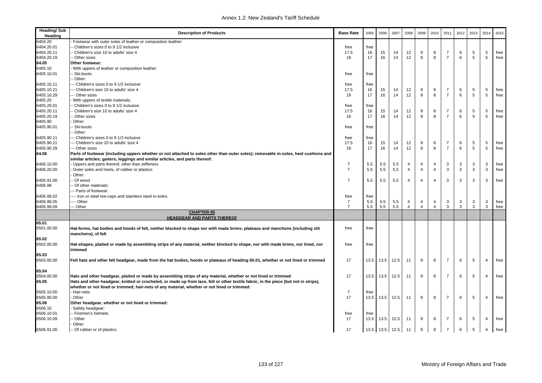| <b>Heading/Sub</b><br>Heading | <b>Description of Products</b>                                                                                                       | <b>Base Rate</b> | 2005 | 2006 | 2007      | 2008           | 2009           | 2010           | 2011           | 2012 | 2013            | 2014 | 2015 |
|-------------------------------|--------------------------------------------------------------------------------------------------------------------------------------|------------------|------|------|-----------|----------------|----------------|----------------|----------------|------|-----------------|------|------|
| 6404.20                       | Footwear with outer soles of leather or composition leather:                                                                         |                  |      |      |           |                |                |                |                |      |                 |      |      |
| 6404.20.01                    | Children's sizes 0 to 9 1/2 inclusive                                                                                                | free             | free |      |           |                |                |                |                |      |                 |      |      |
| 6404.20.11                    | Children's size 10 to adults' size 4                                                                                                 | 17.5             | 16   | 15   | 14        | 12             | 9              | 8              | $\overline{7}$ | 6    | 5               | 5    | free |
| 6404.20.19                    | Other sizes                                                                                                                          | 19               | 17   | 16   | 14        | 12             | 9              | 8              | $\overline{7}$ | 6    | 5               | 5    | free |
| 64.05                         | Other footwear:                                                                                                                      |                  |      |      |           |                |                |                |                |      |                 |      |      |
| 6405.10                       | With uppers of leather or composition leather:                                                                                       |                  |      |      |           |                |                |                |                |      |                 |      |      |
| 6405.10.01                    | Ski-boots                                                                                                                            | free             | free |      |           |                |                |                |                |      |                 |      |      |
|                               | Other:                                                                                                                               |                  |      |      |           |                |                |                |                |      |                 |      |      |
| 6405.10.11                    | Children's sizes 0 to 9 1/2 inclusive                                                                                                | free             | free |      |           |                |                |                |                |      |                 |      |      |
| 6405.10.21                    | - Children's size 10 to adults' size 4                                                                                               | 17.5             | 16   | 15   | 14        | 12             | 9              | 8              | $\overline{7}$ | 6    | 5               | 5    | free |
| 6405.10.29                    | - Other sizes                                                                                                                        | 19               | 17   | 16   | 14        | 12             | 9              | 8              | $\overline{7}$ | 6    | $5\phantom{.0}$ | 5    | free |
| 6405.20                       | With uppers of textile materials:                                                                                                    |                  |      |      |           |                |                |                |                |      |                 |      |      |
| 6405.20.01                    | Children's sizes 0 to 9 1/2 inclusive                                                                                                | free             | free |      |           |                |                |                |                |      |                 |      |      |
| 6405.20.11                    | Children's size 10 to adults' size 4                                                                                                 | 17.5             | 16   | 15   | 14        | 12             | 9              | 8              | $\overline{7}$ | 6    | 5               | 5    | free |
| 6405.20.19                    | Other sizes                                                                                                                          | 19               | 17   | 16   | 14        | 12             | 9              | 8              | $\overline{7}$ | 6    | 5               | 5    | free |
| 6405.90                       | Other:                                                                                                                               |                  |      |      |           |                |                |                |                |      |                 |      |      |
| 6405.90.01                    | Ski-boots                                                                                                                            | free             | free |      |           |                |                |                |                |      |                 |      |      |
|                               | Other:                                                                                                                               |                  |      |      |           |                |                |                |                |      |                 |      |      |
| 6405.90.11                    | - Children's sizes 0 to 9 1/2 inclusive                                                                                              | free             | free |      |           |                |                |                |                |      |                 |      |      |
| 6405.90.21                    | - Children's size 10 to adults' size 4                                                                                               | 17.5             | 16   | 15   | 14        | 12             | 9              | 8              | $\overline{7}$ | 6    | 5               | 5    | free |
| 6405.90.29                    | -- Other sizes                                                                                                                       | 19               | 17   | 16   | 14        | 12             | 9              | 8              | $\overline{7}$ | 6    | 5               | 5    | free |
| 64.06                         | Parts of footwear (including uppers whether or not attached to soles other than outer soles); removable in-soles, heel cushions and  |                  |      |      |           |                |                |                |                |      |                 |      |      |
|                               | similar articles; gaiters, leggings and similar articles, and parts thereof:                                                         |                  |      |      |           |                |                |                |                |      |                 |      |      |
| 6406.10.00                    | Uppers and parts thereof, other than stiffeners                                                                                      | $\overline{7}$   | 5.5  | 5.5  | 5.5       | 4              | 4              | 4              | 3              | 3    | 3               | 3    | free |
| 6406.20.00                    | Outer soles and heels, of rubber or plastics                                                                                         | $\overline{7}$   | 5.5  | 5.5  | 5.5       | 4              | $\overline{4}$ | 4              | 3              | 3    | $\mathbf{3}$    | 3    | free |
|                               | Other:                                                                                                                               |                  |      |      |           |                |                |                |                |      |                 |      |      |
| 6406.91.00                    | Of wood                                                                                                                              | $\overline{7}$   | 5.5  | 5.5  | 5.5       | $\overline{4}$ | $\overline{4}$ | $\overline{4}$ | 3              | 3    | 3               | 3    | free |
| 6406.99                       | Of other materials:                                                                                                                  |                  |      |      |           |                |                |                |                |      |                 |      |      |
|                               | -- Parts of footwear:                                                                                                                |                  |      |      |           |                |                |                |                |      |                 |      |      |
| 6406.99.02                    | --- Iron or steel toe-caps and stainless steel in-soles                                                                              | free             | free |      |           |                |                |                |                |      |                 |      |      |
| 6406.99.05                    | - Other                                                                                                                              | $\overline{7}$   | 5.5  | 5.5  | 5.5       | $\overline{4}$ | 4              | 4              | 3              | 3    | 3               | 3    | free |
| 6406.99.09                    | Other<br><b>CHAPTER 65</b>                                                                                                           | $\overline{7}$   | 5.5  | 5.5  | 5.5       | $\overline{4}$ | $\overline{4}$ | $\overline{4}$ | 3              | 3    | $\mathbf{3}$    | 3    | free |
|                               | <b>HEADGEAR AND PARTS THEREOF</b>                                                                                                    |                  |      |      |           |                |                |                |                |      |                 |      |      |
| 65.01                         |                                                                                                                                      |                  |      |      |           |                |                |                |                |      |                 |      |      |
| 6501.00.00                    | Hat-forms, hat bodies and hoods of felt, neither blocked to shape nor with made brims; plateaux and manchons (including slit         | free             | free |      |           |                |                |                |                |      |                 |      |      |
|                               | manchons), of felt                                                                                                                   |                  |      |      |           |                |                |                |                |      |                 |      |      |
| 65.02                         |                                                                                                                                      |                  |      |      |           |                |                |                |                |      |                 |      |      |
| 6502.00.00                    | Hat-shapes, plaited or made by assembling strips of any material, neither blocked to shape, nor with made brims, nor lined, nor      | free             | free |      |           |                |                |                |                |      |                 |      |      |
|                               | trimmed                                                                                                                              |                  |      |      |           |                |                |                |                |      |                 |      |      |
| 65.03                         |                                                                                                                                      |                  |      |      |           |                |                |                |                |      |                 |      |      |
| 6503.00.00                    | Felt hats and other felt headgear, made from the hat bodies, hoods or plateaux of heading 65.01, whether or not lined or trimmed     | 17               | 13.5 | 13.5 | 12.5      | 11             | 9              | 8              | $\overline{7}$ | 6    | 5               | 4    | free |
|                               |                                                                                                                                      |                  |      |      |           |                |                |                |                |      |                 |      |      |
| 65.04                         |                                                                                                                                      |                  |      |      |           |                |                |                |                |      |                 |      |      |
| 6504.00.00                    | Hats and other headgear, plaited or made by assembling strips of any material, whether or not lined or trimmed                       | 17               | 13.5 | 13.5 | 12.5      | 11             | 9              | 8              | $\overline{7}$ | 6    | 5               | 4    | free |
| 65.05                         | Hats and other headgear, knitted or crocheted, or made up from lace, felt or other textile fabric, in the piece (but not in strips), |                  |      |      |           |                |                |                |                |      |                 |      |      |
|                               | whether or not lined or trimmed; hair-nets of any material, whether or not lined or trimmed:                                         |                  |      |      |           |                |                |                |                |      |                 |      |      |
| 6505.10.00                    | Hair-nets                                                                                                                            | $\overline{7}$   | free |      |           |                |                |                |                |      |                 |      |      |
| 6505.90.00                    | Other                                                                                                                                | 17               | 13.5 | 13.5 | 12.5      | 11             | 9              | 8              | $\overline{7}$ | 6    | 5               | 4    | free |
| 65.06                         | Other headgear, whether or not lined or trimmed:                                                                                     |                  |      |      |           |                |                |                |                |      |                 |      |      |
| 6506.10                       | Safety headgear:                                                                                                                     |                  |      |      |           |                |                |                |                |      |                 |      |      |
| 6506.10.01                    | Firemen's helmets                                                                                                                    | free             | free |      |           |                |                |                |                |      |                 |      |      |
| 6506.10.09                    | Other                                                                                                                                | 17               | 13.5 | 13.5 | 12.5      | 11             | 9              | 8              | $\overline{7}$ | 6    | 5               | 4    | free |
|                               | Other:                                                                                                                               |                  |      |      |           |                |                |                |                |      |                 |      |      |
| 6506.91.00                    | - Of rubber or of plastics                                                                                                           | 17               | 13.5 |      | 13.5 12.5 | 11             | 9              | 8              | $\overline{7}$ | 6    | 5               | 4    | free |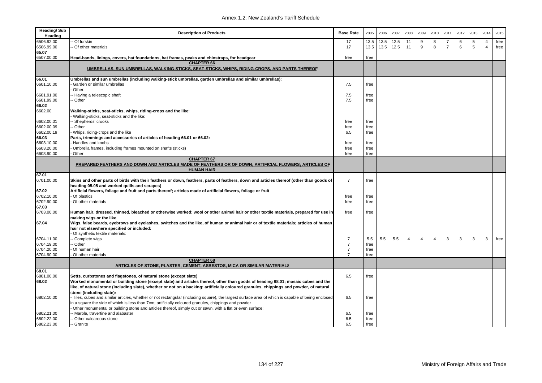| <b>Heading/Sub</b><br>Heading | <b>Description of Products</b>                                                                                                                                                          | <b>Base Rate</b> | 2005 | 2006 | 2007 | 2008           | 2009 | 2010           | 2011           | 2012 | 2013 | 2014                    | 2015 |
|-------------------------------|-----------------------------------------------------------------------------------------------------------------------------------------------------------------------------------------|------------------|------|------|------|----------------|------|----------------|----------------|------|------|-------------------------|------|
| 6506.92.00                    | Of furskin                                                                                                                                                                              | 17               | 13.5 | 13.5 | 12.5 | 11             | 9    | 8              | -7             | 6    | 5    | $\overline{\mathbf{4}}$ | free |
| 6506.99.00                    | Of other materials                                                                                                                                                                      | 17               | 13.5 | 13.5 | 12.5 | 11             | 9    | 8              | $\overline{7}$ | 6    | 5    | $\overline{4}$          | free |
| 65.07                         |                                                                                                                                                                                         |                  |      |      |      |                |      |                |                |      |      |                         |      |
| 6507.00.00                    | Head-bands, linings, covers, hat foundations, hat frames, peaks and chinstraps, for headgear                                                                                            | free             | free |      |      |                |      |                |                |      |      |                         |      |
|                               | <b>CHAPTER 66</b><br>UMBRELLAS, SUN UMBRELLAS, WALKING-STICKS, SEAT-STICKS, WHIPS, RIDING-CROPS, AND PARTS THEREOF                                                                      |                  |      |      |      |                |      |                |                |      |      |                         |      |
| 66.01                         | Umbrellas and sun umbrellas (including walking-stick umbrellas, garden umbrellas and similar umbrellas):                                                                                |                  |      |      |      |                |      |                |                |      |      |                         |      |
| 6601.10.00                    | Garden or similar umbrellas                                                                                                                                                             | 7.5              | free |      |      |                |      |                |                |      |      |                         |      |
|                               | Other:                                                                                                                                                                                  |                  |      |      |      |                |      |                |                |      |      |                         |      |
| 6601.91.00                    | - Having a telescopic shaft                                                                                                                                                             | 7.5              | free |      |      |                |      |                |                |      |      |                         |      |
| 6601.99.00                    | - Other                                                                                                                                                                                 | 7.5              | free |      |      |                |      |                |                |      |      |                         |      |
| 66.02                         |                                                                                                                                                                                         |                  |      |      |      |                |      |                |                |      |      |                         |      |
| 6602.00                       | Walking-sticks, seat-sticks, whips, riding-crops and the like:<br>Walking-sticks, seat-sticks and the like:                                                                             |                  |      |      |      |                |      |                |                |      |      |                         |      |
| 6602.00.01                    | - Shepherds' crooks                                                                                                                                                                     | free             | free |      |      |                |      |                |                |      |      |                         |      |
| 6602.00.09                    | - Other                                                                                                                                                                                 | free             | free |      |      |                |      |                |                |      |      |                         |      |
| 6602.00.19                    | Whips, riding-crops and the like                                                                                                                                                        | 6.5              | free |      |      |                |      |                |                |      |      |                         |      |
| 66.03                         | Parts, trimmings and accessories of articles of heading 66.01 or 66.02:                                                                                                                 |                  |      |      |      |                |      |                |                |      |      |                         |      |
| 6603.10.00                    | Handles and knobs                                                                                                                                                                       | free             | free |      |      |                |      |                |                |      |      |                         |      |
| 6603.20.00                    | Umbrella frames, including frames mounted on shafts (sticks)                                                                                                                            | free             | free |      |      |                |      |                |                |      |      |                         |      |
| 6603.90.00                    | Other                                                                                                                                                                                   | free             | free |      |      |                |      |                |                |      |      |                         |      |
|                               | <b>CHAPTER 67</b>                                                                                                                                                                       |                  |      |      |      |                |      |                |                |      |      |                         |      |
|                               | PREPARED FEATHERS AND DOWN AND ARTICLES MADE OF FEATHERS OR OF DOWN; ARTIFICIAL FLOWERS; ARTICLES OF                                                                                    |                  |      |      |      |                |      |                |                |      |      |                         |      |
|                               | <b>HUMAN HAIR</b>                                                                                                                                                                       |                  |      |      |      |                |      |                |                |      |      |                         |      |
| 67.01                         |                                                                                                                                                                                         |                  |      |      |      |                |      |                |                |      |      |                         |      |
| 6701.00.00                    | Skins and other parts of birds with their feathers or down, feathers, parts of feathers, down and articles thereof (other than goods of<br>heading 05.05 and worked quills and scrapes) | $\overline{7}$   | free |      |      |                |      |                |                |      |      |                         |      |
| 67.02                         | Artificial flowers, foliage and fruit and parts thereof; articles made of artificial flowers, foliage or fruit                                                                          |                  |      |      |      |                |      |                |                |      |      |                         |      |
| 6702.10.00                    | Of plastics                                                                                                                                                                             | free             | free |      |      |                |      |                |                |      |      |                         |      |
| 6702.90.00                    | Of other materials                                                                                                                                                                      | free             | free |      |      |                |      |                |                |      |      |                         |      |
| 67.03                         |                                                                                                                                                                                         |                  |      |      |      |                |      |                |                |      |      |                         |      |
| 6703.00.00                    | Human hair, dressed, thinned, bleached or otherwise worked; wool or other animal hair or other textile materials, prepared for use in<br>making wigs or the like                        | free             | free |      |      |                |      |                |                |      |      |                         |      |
| 67.04                         | Wigs, false beards, eyebrows and eyelashes, switches and the like, of human or animal hair or of textile materials; articles of human                                                   |                  |      |      |      |                |      |                |                |      |      |                         |      |
|                               | hair not elsewhere specified or included:<br>Of synthetic textile materials:                                                                                                            |                  |      |      |      |                |      |                |                |      |      |                         |      |
| 6704.11.00                    | - Complete wigs                                                                                                                                                                         | $\overline{7}$   | 5.5  | 5.5  | 5.5  | $\overline{4}$ | 4    | $\overline{4}$ | 3              | 3    | 3    | 3                       | free |
| 6704.19.00                    | - Other                                                                                                                                                                                 | $\overline{7}$   | free |      |      |                |      |                |                |      |      |                         |      |
| 6704.20.00                    | Of human hair                                                                                                                                                                           | $\overline{7}$   | free |      |      |                |      |                |                |      |      |                         |      |
| 6704.90.00                    | Of other materials                                                                                                                                                                      | $\overline{7}$   | free |      |      |                |      |                |                |      |      |                         |      |
|                               | <b>CHAPTER 68</b><br>ARTICLES OF STONE, PLASTER, CEMENT, ASBESTOS, MICA OR SIMILAR MATERIAL!                                                                                            |                  |      |      |      |                |      |                |                |      |      |                         |      |
| 68.01                         |                                                                                                                                                                                         |                  |      |      |      |                |      |                |                |      |      |                         |      |
| 6801.00.00                    | Setts, curbstones and flagstones, of natural stone (except slate)                                                                                                                       | 6.5              | free |      |      |                |      |                |                |      |      |                         |      |
| 68.02                         | Worked monumental or building stone (except slate) and articles thereof, other than goods of heading 68.01; mosaic cubes and the                                                        |                  |      |      |      |                |      |                |                |      |      |                         |      |
|                               | like, of natural stone (including slate), whether or not on a backing; artificially coloured granules, chippings and powder, of natural                                                 |                  |      |      |      |                |      |                |                |      |      |                         |      |
|                               | stone (including slate):                                                                                                                                                                |                  |      |      |      |                |      |                |                |      |      |                         |      |
| 6802.10.00                    | Tiles, cubes and similar articles, whether or not rectangular (including square), the largest surface area of which is capable of being enclosed                                        | 6.5              | free |      |      |                |      |                |                |      |      |                         |      |
|                               | in a square the side of which is less than 7cm; artificially coloured granules, chippings and powder                                                                                    |                  |      |      |      |                |      |                |                |      |      |                         |      |
|                               | Other monumental or building stone and articles thereof, simply cut or sawn, with a flat or even surface:                                                                               |                  |      |      |      |                |      |                |                |      |      |                         |      |
| 6802.21.00                    | - Marble, travertine and alabaster                                                                                                                                                      | 6.5              | free |      |      |                |      |                |                |      |      |                         |      |
| 6802.22.00                    | - Other calcareous stone                                                                                                                                                                | 6.5              | free |      |      |                |      |                |                |      |      |                         |      |
| 6802.23.00                    | -- Granite                                                                                                                                                                              | 6.5              | free |      |      |                |      |                |                |      |      |                         |      |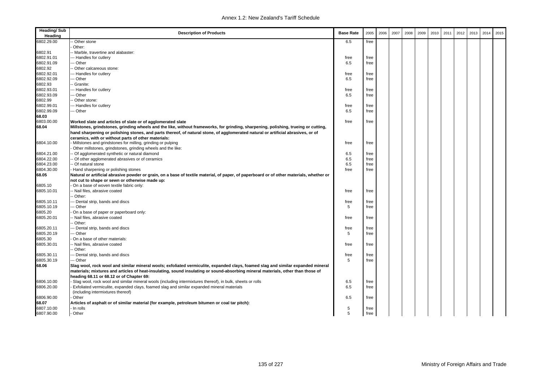| <b>Heading/Sub</b><br>Heading | <b>Description of Products</b>                                                                                                                                                             | <b>Base Rate</b> | 2005 | 2006 | 2007 | 2008 | 2009 | 2010 | 2011 | 2012 | 2013 | 2014 | 2015 |
|-------------------------------|--------------------------------------------------------------------------------------------------------------------------------------------------------------------------------------------|------------------|------|------|------|------|------|------|------|------|------|------|------|
| 6802.29.00                    | - Other stone                                                                                                                                                                              | 6.5              | free |      |      |      |      |      |      |      |      |      |      |
|                               | Other:                                                                                                                                                                                     |                  |      |      |      |      |      |      |      |      |      |      |      |
| 6802.91                       | - Marble, travertine and alabaster:                                                                                                                                                        |                  |      |      |      |      |      |      |      |      |      |      |      |
| 6802.91.01                    | --- Handles for cutlery                                                                                                                                                                    | free             | free |      |      |      |      |      |      |      |      |      |      |
| 6802.91.09                    | -- Other                                                                                                                                                                                   | 6.5              | free |      |      |      |      |      |      |      |      |      |      |
| 6802.92                       | - Other calcareous stone:                                                                                                                                                                  |                  |      |      |      |      |      |      |      |      |      |      |      |
| 6802.92.01                    | --- Handles for cutlery                                                                                                                                                                    | free             | free |      |      |      |      |      |      |      |      |      |      |
| 6802.92.09                    | -- Other                                                                                                                                                                                   | 6.5              | free |      |      |      |      |      |      |      |      |      |      |
| 6802.93                       | - Granite:                                                                                                                                                                                 |                  |      |      |      |      |      |      |      |      |      |      |      |
| 6802.93.01                    | --- Handles for cutlery                                                                                                                                                                    | free             | free |      |      |      |      |      |      |      |      |      |      |
| 6802.93.09                    | -- Other                                                                                                                                                                                   | 6.5              | free |      |      |      |      |      |      |      |      |      |      |
| 6802.99                       | - Other stone:                                                                                                                                                                             |                  |      |      |      |      |      |      |      |      |      |      |      |
| 6802.99.01                    | --- Handles for cutlery                                                                                                                                                                    | free             | free |      |      |      |      |      |      |      |      |      |      |
| 6802.99.09                    | --- Other                                                                                                                                                                                  | 6.5              | free |      |      |      |      |      |      |      |      |      |      |
| 68.03                         |                                                                                                                                                                                            |                  |      |      |      |      |      |      |      |      |      |      |      |
| 6803.00.00                    | Worked slate and articles of slate or of agglomerated slate                                                                                                                                | free             | free |      |      |      |      |      |      |      |      |      |      |
| 68.04                         | Millstones, grindstones, grinding wheels and the like, without frameworks, for grinding, sharpening, polishing, trueing or cutting,                                                        |                  |      |      |      |      |      |      |      |      |      |      |      |
|                               | hand sharpening or polishing stones, and parts thereof, of natural stone, of agglomerated natural or artificial abrasives, or of                                                           |                  |      |      |      |      |      |      |      |      |      |      |      |
|                               | ceramics, with or without parts of other materials:                                                                                                                                        |                  |      |      |      |      |      |      |      |      |      |      |      |
| 6804.10.00                    | Millstones and grindstones for milling, grinding or pulping                                                                                                                                | free             | free |      |      |      |      |      |      |      |      |      |      |
|                               | Other millstones, grindstones, grinding wheels and the like:                                                                                                                               |                  |      |      |      |      |      |      |      |      |      |      |      |
| 6804.21.00                    | - Of agglomerated synthetic or natural diamond                                                                                                                                             | 6.5              | free |      |      |      |      |      |      |      |      |      |      |
| 6804.22.00                    | - Of other agglomerated abrasives or of ceramics                                                                                                                                           | 6.5              | free |      |      |      |      |      |      |      |      |      |      |
| 6804.23.00                    | - Of natural stone                                                                                                                                                                         | 6.5              | free |      |      |      |      |      |      |      |      |      |      |
| 6804.30.00                    | Hand sharpening or polishing stones                                                                                                                                                        | free             | free |      |      |      |      |      |      |      |      |      |      |
| 68.05                         | Natural or artificial abrasive powder or grain, on a base of textile material, of paper, of paperboard or of other materials, whether or<br>not cut to shape or sewn or otherwise made up: |                  |      |      |      |      |      |      |      |      |      |      |      |
| 6805.10                       | On a base of woven textile fabric only:                                                                                                                                                    |                  |      |      |      |      |      |      |      |      |      |      |      |
| 6805.10.01                    | -- Nail files, abrasive coated                                                                                                                                                             | free             | free |      |      |      |      |      |      |      |      |      |      |
|                               | - Other:                                                                                                                                                                                   |                  |      |      |      |      |      |      |      |      |      |      |      |
| 6805.10.11                    | -- Dental strip, bands and discs                                                                                                                                                           | free             | free |      |      |      |      |      |      |      |      |      |      |
| 6805.10.19                    | -- Other                                                                                                                                                                                   | 5                | free |      |      |      |      |      |      |      |      |      |      |
| 6805.20                       | On a base of paper or paperboard only:                                                                                                                                                     |                  |      |      |      |      |      |      |      |      |      |      |      |
| 6805.20.01                    | - Nail files, abrasive coated                                                                                                                                                              | free             | free |      |      |      |      |      |      |      |      |      |      |
|                               | - Other:                                                                                                                                                                                   |                  |      |      |      |      |      |      |      |      |      |      |      |
| 6805.20.11                    | -- Dental strip, bands and discs                                                                                                                                                           | free             | free |      |      |      |      |      |      |      |      |      |      |
| 6805.20.19                    | -- Other                                                                                                                                                                                   | 5                | free |      |      |      |      |      |      |      |      |      |      |
| 6805.30                       | On a base of other materials:                                                                                                                                                              |                  |      |      |      |      |      |      |      |      |      |      |      |
| 6805.30.01                    | - Nail files, abrasive coated                                                                                                                                                              | free             | free |      |      |      |      |      |      |      |      |      |      |
|                               | Other:                                                                                                                                                                                     |                  |      |      |      |      |      |      |      |      |      |      |      |
| 6805.30.11                    | -- Dental strip, bands and discs                                                                                                                                                           | free             | free |      |      |      |      |      |      |      |      |      |      |
| 6805.30.19                    | --- Other                                                                                                                                                                                  | 5                | free |      |      |      |      |      |      |      |      |      |      |
| 68.06                         | Slag wool, rock wool and similar mineral wools; exfoliated vermiculite, expanded clays, foamed slag and similar expanded mineral                                                           |                  |      |      |      |      |      |      |      |      |      |      |      |
|                               | materials; mixtures and articles of heat-insulating, sound insulating or sound-absorbing mineral materials, other than those of                                                            |                  |      |      |      |      |      |      |      |      |      |      |      |
|                               | heading 68.11 or 68.12 or of Chapter 69:                                                                                                                                                   |                  |      |      |      |      |      |      |      |      |      |      |      |
| 6806.10.00                    | Slag wool, rock wool and similar mineral wools (including intermixtures thereof), in bulk, sheets or rolls                                                                                 | 6.5              | free |      |      |      |      |      |      |      |      |      |      |
| 6806.20.00                    | Exfoliated vermiculite, expanded clays, foamed slag and similar expanded mineral materials                                                                                                 | 6.5              | free |      |      |      |      |      |      |      |      |      |      |
|                               | (including intermixtures thereof)                                                                                                                                                          |                  |      |      |      |      |      |      |      |      |      |      |      |
| 6806.90.00                    | Other                                                                                                                                                                                      | 6.5              | free |      |      |      |      |      |      |      |      |      |      |
| 68.07                         | Articles of asphalt or of similar material (for example, petroleum bitumen or coal tar pitch):                                                                                             |                  |      |      |      |      |      |      |      |      |      |      |      |
| 6807.10.00                    | In rolls                                                                                                                                                                                   | 5                | free |      |      |      |      |      |      |      |      |      |      |
| 6807.90.00                    | Other                                                                                                                                                                                      | 5                | free |      |      |      |      |      |      |      |      |      |      |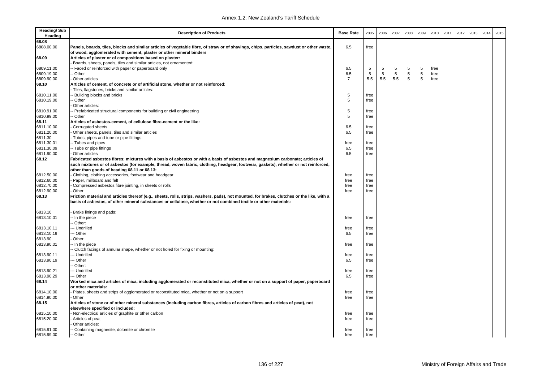| <b>Heading/Sub</b><br>Heading | <b>Description of Products</b>                                                                                                                                      | <b>Base Rate</b> | 2005         | 2006       | 2007 | 2008        | 2009       | 2010 | 2011 | 2012 | 2013 | 2014 | 2015 |
|-------------------------------|---------------------------------------------------------------------------------------------------------------------------------------------------------------------|------------------|--------------|------------|------|-------------|------------|------|------|------|------|------|------|
| 68.08                         |                                                                                                                                                                     |                  |              |            |      |             |            |      |      |      |      |      |      |
| 6808.00.00                    | Panels, boards, tiles, blocks and similar articles of vegetable fibre, of straw or of shavings, chips, particles, sawdust or other waste,                           | 6.5              | free         |            |      |             |            |      |      |      |      |      |      |
|                               | of wood, agglomerated with cement, plaster or other mineral binders                                                                                                 |                  |              |            |      |             |            |      |      |      |      |      |      |
| 68.09                         | Articles of plaster or of compositions based on plaster:                                                                                                            |                  |              |            |      |             |            |      |      |      |      |      |      |
|                               | Boards, sheets, panels, tiles and similar articles, not ornamented:                                                                                                 |                  |              |            |      |             |            |      |      |      |      |      |      |
| 6809.11.00                    | - Faced or reinforced with paper or paperboard only                                                                                                                 | 6.5              | $\sqrt{5}$   | $\sqrt{5}$ | 5    | 5           | $\sqrt{5}$ | free |      |      |      |      |      |
| 6809.19.00                    | - Other                                                                                                                                                             | 6.5              | 5            | 5          | 5    | $\,$ 5 $\,$ | 5          | free |      |      |      |      |      |
| 6809.90.00                    | Other articles                                                                                                                                                      | 7                | 5.5          | 5.5        | 5.5  | 5           | 5          | free |      |      |      |      |      |
| 68.10                         | Articles of cement, of concrete or of artificial stone, whether or not reinforced:                                                                                  |                  |              |            |      |             |            |      |      |      |      |      |      |
|                               | Tiles, flagstones, bricks and similar articles:                                                                                                                     |                  |              |            |      |             |            |      |      |      |      |      |      |
| 6810.11.00                    | - Building blocks and bricks                                                                                                                                        | 5                | free         |            |      |             |            |      |      |      |      |      |      |
| 6810.19.00                    | - Other                                                                                                                                                             | 5                | free         |            |      |             |            |      |      |      |      |      |      |
|                               | Other articles:                                                                                                                                                     |                  |              |            |      |             |            |      |      |      |      |      |      |
| 6810.91.00                    | - Prefabricated structural components for building or civil engineering                                                                                             | 5                | free         |            |      |             |            |      |      |      |      |      |      |
| 6810.99.00                    | - Other                                                                                                                                                             | 5                | free         |            |      |             |            |      |      |      |      |      |      |
| 68.11                         | Articles of asbestos-cement, of cellulose fibre-cement or the like:                                                                                                 |                  |              |            |      |             |            |      |      |      |      |      |      |
| 6811.10.00                    | Corrugated sheets                                                                                                                                                   | 6.5              | free         |            |      |             |            |      |      |      |      |      |      |
| 6811.20.00                    | Other sheets, panels, tiles and similar articles                                                                                                                    | 6.5              | free         |            |      |             |            |      |      |      |      |      |      |
| 6811.30                       | Tubes, pipes and tube or pipe fittings:                                                                                                                             |                  |              |            |      |             |            |      |      |      |      |      |      |
| 6811.30.01                    | -- Tubes and pipes                                                                                                                                                  | free             | free         |            |      |             |            |      |      |      |      |      |      |
| 6811.30.09                    | -- Tube or pipe fittings                                                                                                                                            | 6.5              | free         |            |      |             |            |      |      |      |      |      |      |
| 6811.90.00                    | Other articles                                                                                                                                                      | 6.5              | free         |            |      |             |            |      |      |      |      |      |      |
| 68.12                         | Fabricated asbestos fibres; mixtures with a basis of asbestos or with a basis of asbestos and magnesium carbonate; articles of                                      |                  |              |            |      |             |            |      |      |      |      |      |      |
|                               | such mixtures or of asbestos (for example, thread, woven fabric, clothing, headgear, footwear, gaskets), whether or not reinforced,                                 |                  |              |            |      |             |            |      |      |      |      |      |      |
|                               |                                                                                                                                                                     |                  |              |            |      |             |            |      |      |      |      |      |      |
|                               | other than goods of heading 68.11 or 68.13:                                                                                                                         | free             |              |            |      |             |            |      |      |      |      |      |      |
| 6812.50.00<br>6812.60.00      | Clothing, clothing accessories, footwear and headgear<br>Paper, millboard and felt                                                                                  | free             | free<br>free |            |      |             |            |      |      |      |      |      |      |
|                               |                                                                                                                                                                     |                  |              |            |      |             |            |      |      |      |      |      |      |
| 6812.70.00                    | Compressed asbestos fibre jointing, in sheets or rolls                                                                                                              | free             | free         |            |      |             |            |      |      |      |      |      |      |
| 6812.90.00                    | Other                                                                                                                                                               | free             | free         |            |      |             |            |      |      |      |      |      |      |
| 68.13                         | Friction material and articles thereof (e.g., sheets, rolls, strips, washers, pads), not mounted, for brakes, clutches or the like, with a                          |                  |              |            |      |             |            |      |      |      |      |      |      |
|                               | basis of asbestos, of other mineral substances or cellulose, whether or not combined textile or other materials:                                                    |                  |              |            |      |             |            |      |      |      |      |      |      |
| 6813.10                       | Brake linings and pads:                                                                                                                                             |                  |              |            |      |             |            |      |      |      |      |      |      |
| 6813.10.01                    | - In the piece                                                                                                                                                      | free             | free         |            |      |             |            |      |      |      |      |      |      |
|                               | - Other:                                                                                                                                                            |                  |              |            |      |             |            |      |      |      |      |      |      |
| 6813.10.11                    | -- Undrilled                                                                                                                                                        | free             | free         |            |      |             |            |      |      |      |      |      |      |
| 6813.10.19                    | -- Other                                                                                                                                                            | 6.5              | free         |            |      |             |            |      |      |      |      |      |      |
| 6813.90                       | Other:                                                                                                                                                              |                  |              |            |      |             |            |      |      |      |      |      |      |
| 6813.90.01                    | -- In the piece                                                                                                                                                     | free             | free         |            |      |             |            |      |      |      |      |      |      |
|                               | - Clutch facings of annular shape, whether or not holed for fixing or mounting:                                                                                     |                  |              |            |      |             |            |      |      |      |      |      |      |
| 6813.90.11                    | -- Undrilled                                                                                                                                                        | free             | free         |            |      |             |            |      |      |      |      |      |      |
| 6813.90.19                    | -- Other                                                                                                                                                            | 6.5              | free         |            |      |             |            |      |      |      |      |      |      |
|                               | Other:                                                                                                                                                              |                  |              |            |      |             |            |      |      |      |      |      |      |
| 6813.90.21                    | --- Undrilled                                                                                                                                                       | free             | free         |            |      |             |            |      |      |      |      |      |      |
| 6813.90.29                    | --- Other                                                                                                                                                           | 6.5              | free         |            |      |             |            |      |      |      |      |      |      |
| 68.14                         | Worked mica and articles of mica, including agglomerated or reconstituted mica, whether or not on a support of paper, paperboard                                    |                  |              |            |      |             |            |      |      |      |      |      |      |
|                               | or other materials:                                                                                                                                                 |                  |              |            |      |             |            |      |      |      |      |      |      |
|                               |                                                                                                                                                                     | free             |              |            |      |             |            |      |      |      |      |      |      |
| 6814.10.00<br>6814.90.00      | Plates, sheets and strips of agglomerated or reconstituted mica, whether or not on a support<br>Other                                                               | free             | free         |            |      |             |            |      |      |      |      |      |      |
|                               |                                                                                                                                                                     |                  | free         |            |      |             |            |      |      |      |      |      |      |
| 68.15                         | Articles of stone or of other mineral substances (including carbon fibres, articles of carbon fibres and articles of peat), not<br>elsewhere specified or included: |                  |              |            |      |             |            |      |      |      |      |      |      |
| 6815.10.00                    | Non-electrical articles of graphite or other carbon                                                                                                                 | free             | free         |            |      |             |            |      |      |      |      |      |      |
| 6815.20.00                    | Articles of peat                                                                                                                                                    | free             | free         |            |      |             |            |      |      |      |      |      |      |
|                               | Other articles:                                                                                                                                                     |                  |              |            |      |             |            |      |      |      |      |      |      |
| 6815.91.00                    | - Containing magnesite, dolomite or chromite                                                                                                                        | free             | free         |            |      |             |            |      |      |      |      |      |      |
| 6815.99.00                    | - Other                                                                                                                                                             | free             | free         |            |      |             |            |      |      |      |      |      |      |
|                               |                                                                                                                                                                     |                  |              |            |      |             |            |      |      |      |      |      |      |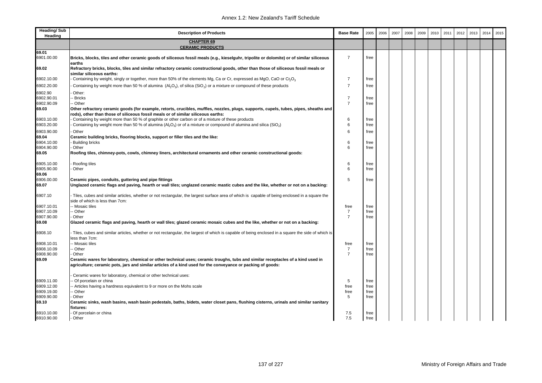| <b>Heading/Sub</b><br>Heading | <b>Description of Products</b>                                                                                                                                                                                                                 | <b>Base Rate</b> | 2005 | 2006 | 2007 | 2008 | 2009 | 2010 | 2011 | 2012 | 2013 | 2014 | 2015 |
|-------------------------------|------------------------------------------------------------------------------------------------------------------------------------------------------------------------------------------------------------------------------------------------|------------------|------|------|------|------|------|------|------|------|------|------|------|
|                               | <b>CHAPTER 69</b>                                                                                                                                                                                                                              |                  |      |      |      |      |      |      |      |      |      |      |      |
| 69.01                         | <b>CERAMIC PRODUCTS</b>                                                                                                                                                                                                                        |                  |      |      |      |      |      |      |      |      |      |      |      |
| 6901.00.00                    | Bricks, blocks, tiles and other ceramic goods of siliceous fossil meals (e.g., kieselguhr, tripolite or dolomite) or of similar siliceous<br>earths                                                                                            | $\overline{7}$   | free |      |      |      |      |      |      |      |      |      |      |
| 69.02                         | Refractory bricks, blocks, tiles and similar refractory ceramic constructional goods, other than those of siliceous fossil meals or<br>similar siliceous earths:                                                                               |                  |      |      |      |      |      |      |      |      |      |      |      |
| 6902.10.00                    | Containing by weight, singly or together, more than 50% of the elements Mg, Ca or Cr, expressed as MgO, CaO or Cr <sub>2</sub> O <sub>3</sub>                                                                                                  | $\overline{7}$   | free |      |      |      |      |      |      |      |      |      |      |
| 6902.20.00                    | Containing by weight more than 50 % of alumina $(A, Q_3)$ , of silica (SiO <sub>2</sub> ) or a mixture or compound of these products                                                                                                           | $\overline{7}$   | free |      |      |      |      |      |      |      |      |      |      |
| 6902.90                       | Other:                                                                                                                                                                                                                                         |                  |      |      |      |      |      |      |      |      |      |      |      |
| 6902.90.01                    | - Bricks                                                                                                                                                                                                                                       | $\overline{7}$   | free |      |      |      |      |      |      |      |      |      |      |
| 6902.90.09                    | -- Other                                                                                                                                                                                                                                       | $\overline{7}$   | free |      |      |      |      |      |      |      |      |      |      |
| 69.03                         | Other refractory ceramic goods (for example, retorts, crucibles, muffles, nozzles, plugs, supports, cupels, tubes, pipes, sheaths and<br>rods), other than those of siliceous fossil meals or of similar siliceous earths:                     |                  |      |      |      |      |      |      |      |      |      |      |      |
| 6903.10.00                    | Containing by weight more than 50 % of graphite or other carbon or of a mixture of these products                                                                                                                                              | 6                | free |      |      |      |      |      |      |      |      |      |      |
| 6903.20.00                    | Containing by weight more than 50 % of alumina ( $A5O3$ ) or of a mixture or compound of alumina and silica (SiO <sub>2</sub> )                                                                                                                | 6                | free |      |      |      |      |      |      |      |      |      |      |
| 6903.90.00                    | Other                                                                                                                                                                                                                                          | 6                | free |      |      |      |      |      |      |      |      |      |      |
| 69.04                         | Ceramic building bricks, flooring blocks, support or filler tiles and the like:                                                                                                                                                                |                  |      |      |      |      |      |      |      |      |      |      |      |
| 6904.10.00                    | <b>Building bricks</b>                                                                                                                                                                                                                         | 6                | free |      |      |      |      |      |      |      |      |      |      |
| 6904.90.00                    | Other                                                                                                                                                                                                                                          | 6                | free |      |      |      |      |      |      |      |      |      |      |
| 69.05                         | Roofing tiles, chimney-pots, cowls, chimney liners, architectural ornaments and other ceramic constructional goods:                                                                                                                            |                  |      |      |      |      |      |      |      |      |      |      |      |
| 6905.10.00                    | Roofing tiles                                                                                                                                                                                                                                  | 6                | free |      |      |      |      |      |      |      |      |      |      |
| 6905.90.00                    | Other                                                                                                                                                                                                                                          | 6                | free |      |      |      |      |      |      |      |      |      |      |
| 69.06                         |                                                                                                                                                                                                                                                | 5                |      |      |      |      |      |      |      |      |      |      |      |
| 6906.00.00<br>69.07           | Ceramic pipes, conduits, guttering and pipe fittings<br>Unglazed ceramic flags and paving, hearth or wall tiles; unglazed ceramic mastic cubes and the like, whether or not on a backing:                                                      |                  | free |      |      |      |      |      |      |      |      |      |      |
| 6907.10                       | Tiles, cubes and similar articles, whether or not rectangular, the largest surface area of which is capable of being enclosed in a square the<br>side of which is less than 7cm:                                                               |                  |      |      |      |      |      |      |      |      |      |      |      |
| 6907.10.01                    | -- Mosaic tiles                                                                                                                                                                                                                                | free             | free |      |      |      |      |      |      |      |      |      |      |
| 6907.10.09                    | - Other                                                                                                                                                                                                                                        | $\overline{7}$   | free |      |      |      |      |      |      |      |      |      |      |
| 6907.90.00                    | Other                                                                                                                                                                                                                                          | $\overline{7}$   | free |      |      |      |      |      |      |      |      |      |      |
| 69.08                         | Glazed ceramic flags and paving, hearth or wall tiles; glazed ceramic mosaic cubes and the like, whether or not on a backing:                                                                                                                  |                  |      |      |      |      |      |      |      |      |      |      |      |
| 6908.10                       | - Tiles, cubes and similar articles, whether or not rectangular, the largest of which is capable of being enclosed in a square the side of which is<br>less than 7cm:                                                                          |                  |      |      |      |      |      |      |      |      |      |      |      |
| 6908.10.01                    | -- Mosaic tiles                                                                                                                                                                                                                                | free             | free |      |      |      |      |      |      |      |      |      |      |
| 6908.10.09                    | - Other                                                                                                                                                                                                                                        | $\overline{7}$   | free |      |      |      |      |      |      |      |      |      |      |
| 6908.90.00                    | Other                                                                                                                                                                                                                                          | $\overline{7}$   | free |      |      |      |      |      |      |      |      |      |      |
| 69.09                         | Ceramic wares for laboratory, chemical or other technical uses; ceramic troughs, tubs and similar receptacles of a kind used in<br>agriculture; ceramic pots, jars and similar articles of a kind used for the conveyance or packing of goods: |                  |      |      |      |      |      |      |      |      |      |      |      |
|                               | Ceramic wares for laboratory, chemical or other technical uses:                                                                                                                                                                                |                  |      |      |      |      |      |      |      |      |      |      |      |
| 6909.11.00                    | - Of porcelain or china                                                                                                                                                                                                                        | 5                | free |      |      |      |      |      |      |      |      |      |      |
| 6909.12.00                    | - Articles having a hardness equivalent to 9 or more on the Mohs scale                                                                                                                                                                         | free             | free |      |      |      |      |      |      |      |      |      |      |
| 6909.19.00                    | - Other                                                                                                                                                                                                                                        | free             | free |      |      |      |      |      |      |      |      |      |      |
| 6909.90.00                    | Other                                                                                                                                                                                                                                          | 5                | free |      |      |      |      |      |      |      |      |      |      |
| 69.10                         | Ceramic sinks, wash basins, wash basin pedestals, baths, bidets, water closet pans, flushing cisterns, urinals and similar sanitary<br>fixtures:                                                                                               |                  |      |      |      |      |      |      |      |      |      |      |      |
| 6910.10.00                    | Of porcelain or china                                                                                                                                                                                                                          | 7.5              | free |      |      |      |      |      |      |      |      |      |      |
| 6910.90.00                    | Other                                                                                                                                                                                                                                          | 7.5              | free |      |      |      |      |      |      |      |      |      |      |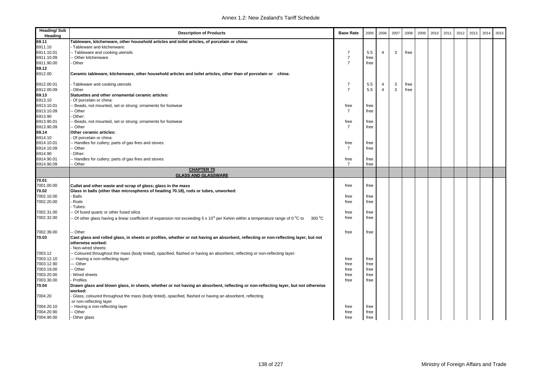| <b>Heading/Sub</b><br>Heading | <b>Description of Products</b>                                                                                                                                       | <b>Base Rate</b> | 2005 | 2006           | 2007 | 2008 | 2009 | 2010 | 2011 | 2012 | 2013 | 2014 | 2015 |
|-------------------------------|----------------------------------------------------------------------------------------------------------------------------------------------------------------------|------------------|------|----------------|------|------|------|------|------|------|------|------|------|
| 69.11                         | Tableware, kitchenware, other household articles and toilet articles, of porcelain or china:                                                                         |                  |      |                |      |      |      |      |      |      |      |      |      |
| 6911.10                       | Tableware and kitchenware:                                                                                                                                           |                  |      |                |      |      |      |      |      |      |      |      |      |
| 6911.10.01                    | -- Tableware and cooking utensils                                                                                                                                    | $\overline{7}$   | 5.5  | $\overline{4}$ | 3    | free |      |      |      |      |      |      |      |
| 6911.10.09                    | - Other kitchenware                                                                                                                                                  | $\overline{7}$   | free |                |      |      |      |      |      |      |      |      |      |
| 6911.90.00                    | Other                                                                                                                                                                | $\overline{7}$   | free |                |      |      |      |      |      |      |      |      |      |
| 69.12                         |                                                                                                                                                                      |                  |      |                |      |      |      |      |      |      |      |      |      |
| 6912.00                       | Ceramic tableware, kitchenware, other household articles and toilet articles, other than of porcelain or china:                                                      |                  |      |                |      |      |      |      |      |      |      |      |      |
| 6912.00.01                    | Tableware and cooking utensils                                                                                                                                       | $\overline{7}$   | 5.5  | $\overline{4}$ | 3    | free |      |      |      |      |      |      |      |
| 6912.00.09                    | Other                                                                                                                                                                | $\overline{7}$   | 5.5  | $\overline{4}$ | 3    | free |      |      |      |      |      |      |      |
| 69.13                         | Statuettes and other ornamental ceramic articles:                                                                                                                    |                  |      |                |      |      |      |      |      |      |      |      |      |
| 6913.10                       | Of porcelain or china:                                                                                                                                               |                  |      |                |      |      |      |      |      |      |      |      |      |
| 6913.10.01                    | - Beads, not mounted, set or strung; ornaments for footwear                                                                                                          | free             | free |                |      |      |      |      |      |      |      |      |      |
| 6913.10.09                    | Other                                                                                                                                                                | $\overline{7}$   | free |                |      |      |      |      |      |      |      |      |      |
| 6913.90                       | Other:                                                                                                                                                               |                  |      |                |      |      |      |      |      |      |      |      |      |
| 6913.90.01                    | - Beads, not mounted, set or strung; ornaments for footwear                                                                                                          | free             | free |                |      |      |      |      |      |      |      |      |      |
| 6913.90.09                    | - Other                                                                                                                                                              | $\overline{7}$   | free |                |      |      |      |      |      |      |      |      |      |
| 69.14                         | Other ceramic articles:                                                                                                                                              |                  |      |                |      |      |      |      |      |      |      |      |      |
| 6914.10                       | Of porcelain or china:                                                                                                                                               |                  |      |                |      |      |      |      |      |      |      |      |      |
| 6914.10.01                    | - Handles for cutlery; parts of gas fires and stoves                                                                                                                 | free             | free |                |      |      |      |      |      |      |      |      |      |
| 6914.10.09                    | - Other                                                                                                                                                              | 7                | free |                |      |      |      |      |      |      |      |      |      |
| 6914.90                       | Other:                                                                                                                                                               |                  |      |                |      |      |      |      |      |      |      |      |      |
| 6914.90.01                    | - Handles for cutlery; parts of gas fires and stoves                                                                                                                 | free             | free |                |      |      |      |      |      |      |      |      |      |
| 6914.90.09                    | - Other                                                                                                                                                              | $\overline{7}$   | free |                |      |      |      |      |      |      |      |      |      |
|                               | <b>CHAPTER 70</b>                                                                                                                                                    |                  |      |                |      |      |      |      |      |      |      |      |      |
|                               | <b>GLASS AND GLASSWARE</b>                                                                                                                                           |                  |      |                |      |      |      |      |      |      |      |      |      |
| 70.01                         |                                                                                                                                                                      |                  |      |                |      |      |      |      |      |      |      |      |      |
| 7001.00.00                    | Cullet and other waste and scrap of glass; glass in the mass                                                                                                         | free             | free |                |      |      |      |      |      |      |      |      |      |
| 70.02                         | Glass in balls (other than microspheres of heading 70.18), rods or tubes, unworked:                                                                                  |                  |      |                |      |      |      |      |      |      |      |      |      |
| 7002.10.00                    | <b>Balls</b>                                                                                                                                                         | free             | free |                |      |      |      |      |      |      |      |      |      |
| 7002.20.00                    | Rods                                                                                                                                                                 | free             | free |                |      |      |      |      |      |      |      |      |      |
|                               | Tubes:                                                                                                                                                               |                  |      |                |      |      |      |      |      |      |      |      |      |
| 7002.31.00                    | - Of fused quartz or other fused silica                                                                                                                              | free             | free |                |      |      |      |      |      |      |      |      |      |
| 7002.32.00                    | Of other glass having a linear coefficient of expansion not exceeding 5 x 10 <sup>°</sup> per Kelvin within a temperature range of 0 <sup>°</sup> C to<br>$300\,^0C$ | free             | free |                |      |      |      |      |      |      |      |      |      |
|                               |                                                                                                                                                                      |                  |      |                |      |      |      |      |      |      |      |      |      |
| 7002.39.00                    | -- Other                                                                                                                                                             | free             | free |                |      |      |      |      |      |      |      |      |      |
| 70.03                         | Cast glass and rolled glass, in sheets or profiles, whether or not having an absorbent, reflecting or non-reflecting layer, but not<br>otherwise worked:             |                  |      |                |      |      |      |      |      |      |      |      |      |
|                               | Non-wired sheets:                                                                                                                                                    |                  |      |                |      |      |      |      |      |      |      |      |      |
| 7003.12                       | - Coloured throughout the mass (body tinted), opacified, flashed or having an absorbent, reflecting or non-reflecting layer:                                         |                  |      |                |      |      |      |      |      |      |      |      |      |
| 7003.12.10                    | -- Having a non-reflecting layer                                                                                                                                     | free             | free |                |      |      |      |      |      |      |      |      |      |
| 7003.12.90                    | - Other                                                                                                                                                              | free             | free |                |      |      |      |      |      |      |      |      |      |
| 7003.19.00                    | - Other                                                                                                                                                              | free             | free |                |      |      |      |      |      |      |      |      |      |
| 7003.20.00                    | Wired sheets                                                                                                                                                         | free             | free |                |      |      |      |      |      |      |      |      |      |
| 7003.30.00                    | Profiles                                                                                                                                                             | free             | free |                |      |      |      |      |      |      |      |      |      |
| 70.04                         | Drawn glass and blown glass, in sheets, whether or not having an absorbent, reflecting or non-reflecting layer, but not otherwise                                    |                  |      |                |      |      |      |      |      |      |      |      |      |
|                               | worked:                                                                                                                                                              |                  |      |                |      |      |      |      |      |      |      |      |      |
| 7004.20                       | Glass, coloured throughout the mass (body tinted), opacified, flashed or having an absorbent, reflecting                                                             |                  |      |                |      |      |      |      |      |      |      |      |      |
|                               | or non-reflecting layer                                                                                                                                              |                  |      |                |      |      |      |      |      |      |      |      |      |
| 7004.20.10                    | -- Having a non-reflecting layer                                                                                                                                     | free             | free |                |      |      |      |      |      |      |      |      |      |
| 7004.20.90                    | - Other                                                                                                                                                              | free             | free |                |      |      |      |      |      |      |      |      |      |
| 7004.90.00                    | Other glass                                                                                                                                                          | free             | free |                |      |      |      |      |      |      |      |      |      |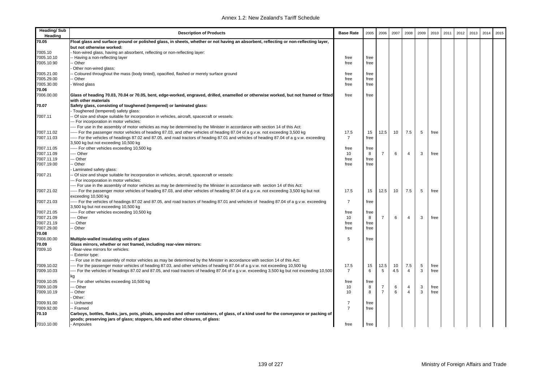| Heading/Sub<br>Heading | <b>Description of Products</b>                                                                                                                                                                                          | <b>Base Rate</b> | 2005      | 2006           | 2007 | 2008           | 2009 | 2010 | 2011 | 2012 | 2013 | 2014 | 2015 |
|------------------------|-------------------------------------------------------------------------------------------------------------------------------------------------------------------------------------------------------------------------|------------------|-----------|----------------|------|----------------|------|------|------|------|------|------|------|
| 70.05                  | Float glass and surface ground or polished glass, in sheets, whether or not having an absorbent, reflecting or non-reflecting layer,                                                                                    |                  |           |                |      |                |      |      |      |      |      |      |      |
|                        | but not otherwise worked:                                                                                                                                                                                               |                  |           |                |      |                |      |      |      |      |      |      |      |
| 7005.10                | Non-wired glass, having an absorbent, reflecting or non-reflecting layer:                                                                                                                                               |                  |           |                |      |                |      |      |      |      |      |      |      |
| 7005.10.10             | - Having a non-reflecting layer                                                                                                                                                                                         | free             | free      |                |      |                |      |      |      |      |      |      |      |
| 7005.10.90             | Other                                                                                                                                                                                                                   | free             | free      |                |      |                |      |      |      |      |      |      |      |
|                        | Other non-wired glass:                                                                                                                                                                                                  |                  |           |                |      |                |      |      |      |      |      |      |      |
| 7005.21.00             | Coloured throughout the mass (body tinted), opacified, flashed or merely surface ground                                                                                                                                 | free             | free      |                |      |                |      |      |      |      |      |      |      |
| 7005.29.00             | - Other                                                                                                                                                                                                                 | free             | free      |                |      |                |      |      |      |      |      |      |      |
| 7005.30.00             | Wired glass                                                                                                                                                                                                             | free             | free      |                |      |                |      |      |      |      |      |      |      |
| 70.06                  |                                                                                                                                                                                                                         |                  |           |                |      |                |      |      |      |      |      |      |      |
| 7006.00.00             | Glass of heading 70.03, 70.04 or 70.05, bent, edge-worked, engraved, drilled, enamelled or otherwise worked, but not framed or fitted<br>with other materials                                                           | free             | free      |                |      |                |      |      |      |      |      |      |      |
| 70.07                  | Safety glass, consisting of toughened (tempered) or laminated glass:<br>Toughened (tempered) safety glass:                                                                                                              |                  |           |                |      |                |      |      |      |      |      |      |      |
| 7007.11                | - Of size and shape suitable for incorporation in vehicles, aircraft, spacecraft or vessels:                                                                                                                            |                  |           |                |      |                |      |      |      |      |      |      |      |
|                        | -- For incorporation in motor vehicles:                                                                                                                                                                                 |                  |           |                |      |                |      |      |      |      |      |      |      |
|                        | --- For use in the assembly of motor vehicles as may be determined by the Minister in accordance with section 14 of this Act:                                                                                           |                  |           |                |      |                |      |      |      |      |      |      |      |
| 7007.11.02             | ---- For the passenger motor vehicles of heading 87.03, and other vehicles of heading 87.04 of a g.v.w. not exceeding 3,500 kg                                                                                          | 17.5             | 15        | 12.5           | 10   | 7.5            | 5    | free |      |      |      |      |      |
| 7007.11.03             | ---- For the vehicles of headings 87.02 and 87.05, and road tractors of heading 87.01 and vehicles of heading 87.04 of a g.v.w. exceeding                                                                               | $\overline{7}$   | free      |                |      |                |      |      |      |      |      |      |      |
|                        | 3,500 kg but not exceeding 10,500 kg                                                                                                                                                                                    |                  |           |                |      |                |      |      |      |      |      |      |      |
| 7007.11.05             | ---- For other vehicles exceeding 10,500 kg                                                                                                                                                                             | free             | free      |                |      |                |      |      |      |      |      |      |      |
| 7007.11.09             | --- Other                                                                                                                                                                                                               | 10               | 8         | $\overline{7}$ | 6    | $\overline{4}$ | 3    | free |      |      |      |      |      |
| 7007.11.19             | -- Other                                                                                                                                                                                                                | free             | free      |                |      |                |      |      |      |      |      |      |      |
| 7007.19.00             | - Other                                                                                                                                                                                                                 | free             | free      |                |      |                |      |      |      |      |      |      |      |
|                        | Laminated safety glass:                                                                                                                                                                                                 |                  |           |                |      |                |      |      |      |      |      |      |      |
| 7007.21                | Of size and shape suitable for incorporation in vehicles, aircraft, spacecraft or vessels:                                                                                                                              |                  |           |                |      |                |      |      |      |      |      |      |      |
|                        | -- For incorporation in motor vehicles:                                                                                                                                                                                 |                  |           |                |      |                |      |      |      |      |      |      |      |
|                        | --- For use in the assembly of motor vehicles as may be determined by the Minister in accordance with section 14 of this Act:                                                                                           |                  |           |                |      |                |      |      |      |      |      |      |      |
| 7007.21.02             | ---- For the passenger motor vehicles of heading 87.03, and other vehicles of heading 87.04 of a g.v.w. not exceeding 3,500 kg but not                                                                                  | 17.5             | 15        | 12.5           | 10   | 7.5            | 5    | free |      |      |      |      |      |
|                        | exceeding 10,500 kg                                                                                                                                                                                                     |                  |           |                |      |                |      |      |      |      |      |      |      |
| 7007.21.03             | ---- For the vehicles of headings 87.02 and 87.05, and road tractors of heading 87.01 and vehicles of heading 87.04 of a g.v.w. exceeding                                                                               | $\overline{7}$   | free      |                |      |                |      |      |      |      |      |      |      |
| 7007.21.05             | 3,500 kg but not exceeding 10,500 kg                                                                                                                                                                                    |                  |           |                |      |                |      |      |      |      |      |      |      |
| 7007.21.09             | ---- For other vehicles exceeding 10,500 kg<br>--- Other                                                                                                                                                                | free<br>10       | free<br>8 | 7              | 6    | $\overline{4}$ | 3    | free |      |      |      |      |      |
| 7007.21.19             | -- Other                                                                                                                                                                                                                | free             | free      |                |      |                |      |      |      |      |      |      |      |
| 7007.29.00             | - Other                                                                                                                                                                                                                 | free             | free      |                |      |                |      |      |      |      |      |      |      |
| 70.08                  |                                                                                                                                                                                                                         |                  |           |                |      |                |      |      |      |      |      |      |      |
| 7008.00.00             | Multiple-walled insulating units of glass                                                                                                                                                                               | 5                | free      |                |      |                |      |      |      |      |      |      |      |
| 70.09                  | Glass mirrors, whether or not framed, including rear-view mirrors:                                                                                                                                                      |                  |           |                |      |                |      |      |      |      |      |      |      |
| 7009.10                | Rear-view mirrors for vehicles:                                                                                                                                                                                         |                  |           |                |      |                |      |      |      |      |      |      |      |
|                        | - Exterior type:                                                                                                                                                                                                        |                  |           |                |      |                |      |      |      |      |      |      |      |
|                        | -- For use in the assembly of motor vehicles as may be determined by the Minister in accordance with section 14 of this Act:                                                                                            |                  |           |                |      |                |      |      |      |      |      |      |      |
| 7009.10.02             | --- For the passenger motor vehicles of heading 87.03, and other vehicles of heading 87.04 of a g.v.w. not exceeding 10,500 kg                                                                                          | 17.5             | 15        | 12.5           | 10   | 7.5            | 5    | free |      |      |      |      |      |
| 7009.10.03             | For the vehicles of headings 87.02 and 87.05, and road tractors of heading 87.04 of a g.v.w. exceeding 3,500 kg but not exceeding 10,500<br>kg                                                                          | $\overline{7}$   | 6         | 5              | 4.5  | $\overline{4}$ | 3    | free |      |      |      |      |      |
| 7009.10.05             | --- For other vehicles exceeding 10,500 kg                                                                                                                                                                              | free             | free      |                |      |                |      |      |      |      |      |      |      |
| 7009.10.09             | -- Other                                                                                                                                                                                                                | 10               | 8         | $\overline{7}$ | 6    | 4              | 3    | free |      |      |      |      |      |
| 7009.10.19             | · Other                                                                                                                                                                                                                 | 10               | 8         | $\overline{7}$ | 6    | $\overline{4}$ | 3    | free |      |      |      |      |      |
|                        | Other:                                                                                                                                                                                                                  |                  |           |                |      |                |      |      |      |      |      |      |      |
| 7009.91.00             | - Unframed                                                                                                                                                                                                              | $\overline{7}$   | free      |                |      |                |      |      |      |      |      |      |      |
| 7009.92.00             | - Framed                                                                                                                                                                                                                | $\overline{7}$   | free      |                |      |                |      |      |      |      |      |      |      |
| 70.10                  | Carboys, bottles, flasks, jars, pots, phials, ampoules and other containers, of glass, of a kind used for the conveyance or packing of<br>goods; preserving jars of glass; stoppers, lids and other closures, of glass: |                  |           |                |      |                |      |      |      |      |      |      |      |
| 7010.10.00             | - Ampoules                                                                                                                                                                                                              | free             | free      |                |      |                |      |      |      |      |      |      |      |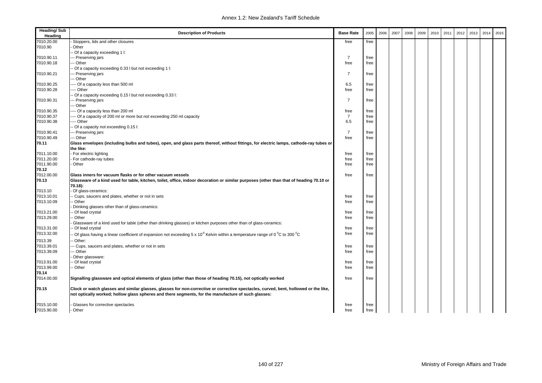| <b>Heading/Sub</b><br>Heading | <b>Description of Products</b>                                                                                                          | <b>Base Rate</b> | 2005 | 2006 | 2007 | 2008 | 2009 | 2010 | 2011 | 2012 | 2013 | 2014 | 2015 |
|-------------------------------|-----------------------------------------------------------------------------------------------------------------------------------------|------------------|------|------|------|------|------|------|------|------|------|------|------|
| 7010.20.00                    | Stoppers, lids and other closures                                                                                                       | free             | free |      |      |      |      |      |      |      |      |      |      |
| 7010.90                       | Other                                                                                                                                   |                  |      |      |      |      |      |      |      |      |      |      |      |
|                               | Of a capacity exceeding 1 I:                                                                                                            |                  |      |      |      |      |      |      |      |      |      |      |      |
| 7010.90.11                    | -- Preserving jars                                                                                                                      | $\overline{7}$   | free |      |      |      |      |      |      |      |      |      |      |
| 7010.90.18                    | -- Other                                                                                                                                | free             | free |      |      |      |      |      |      |      |      |      |      |
|                               | Of a capacity exceeding 0.33 I but not exceeding 1 I:                                                                                   |                  |      |      |      |      |      |      |      |      |      |      |      |
| 7010.90.21                    | -- Preserving jars                                                                                                                      | $\overline{7}$   | free |      |      |      |      |      |      |      |      |      |      |
|                               | -- Other                                                                                                                                |                  |      |      |      |      |      |      |      |      |      |      |      |
| 7010.90.25                    | --- Of a capacity less than 500 ml                                                                                                      | 6.5              | free |      |      |      |      |      |      |      |      |      |      |
| 7010.90.28                    | --- Other                                                                                                                               | free             | free |      |      |      |      |      |      |      |      |      |      |
|                               | Of a capacity exceeding 0.15 I but not exceeding 0.33 I:                                                                                |                  |      |      |      |      |      |      |      |      |      |      |      |
| 7010.90.31                    | -- Preserving jars                                                                                                                      | $\overline{7}$   | free |      |      |      |      |      |      |      |      |      |      |
|                               | -- Other                                                                                                                                |                  |      |      |      |      |      |      |      |      |      |      |      |
| 7010.90.35                    | --- Of a capacity less than 200 ml                                                                                                      | free             | free |      |      |      |      |      |      |      |      |      |      |
| 7010.90.37                    | --- Of a capacity of 200 ml or more but not exceeding 250 ml capacity                                                                   | $\overline{7}$   | free |      |      |      |      |      |      |      |      |      |      |
| 7010.90.38                    | --- Other                                                                                                                               | 6.5              | free |      |      |      |      |      |      |      |      |      |      |
|                               | Of a capacity not exceeding 0.15 l:                                                                                                     |                  |      |      |      |      |      |      |      |      |      |      |      |
| 7010.90.41                    | -- Preserving jars                                                                                                                      | $\overline{7}$   | free |      |      |      |      |      |      |      |      |      |      |
| 7010.90.49                    | -- Other                                                                                                                                | free             | free |      |      |      |      |      |      |      |      |      |      |
| 70.11                         | Glass envelopes (including bulbs and tubes), open, and glass parts thereof, without fittings, for electric lamps, cathode-ray tubes or  |                  |      |      |      |      |      |      |      |      |      |      |      |
|                               | the like:                                                                                                                               |                  |      |      |      |      |      |      |      |      |      |      |      |
| 7011.10.00                    | For electric lighting                                                                                                                   | free             | free |      |      |      |      |      |      |      |      |      |      |
| 7011.20.00                    | For cathode-ray tubes                                                                                                                   | free             | free |      |      |      |      |      |      |      |      |      |      |
| 7011.90.00                    | Other                                                                                                                                   | free             | free |      |      |      |      |      |      |      |      |      |      |
| 70.12                         |                                                                                                                                         |                  |      |      |      |      |      |      |      |      |      |      |      |
| 7012.00.00                    | Glass inners for vacuum flasks or for other vacuum vessels                                                                              | free             | free |      |      |      |      |      |      |      |      |      |      |
| 70.13                         | Glassware of a kind used for table, kitchen, toilet, office, indoor decoration or similar purposes (other than that of heading 70.10 or |                  |      |      |      |      |      |      |      |      |      |      |      |
|                               | 70.18):                                                                                                                                 |                  |      |      |      |      |      |      |      |      |      |      |      |
| 7013.10                       | Of glass-ceramics:                                                                                                                      |                  |      |      |      |      |      |      |      |      |      |      |      |
| 7013.10.01                    | Cups, saucers and plates, whether or not in sets                                                                                        | free             | free |      |      |      |      |      |      |      |      |      |      |
| 7013.10.09                    | Other                                                                                                                                   | free             | free |      |      |      |      |      |      |      |      |      |      |
|                               | Drinking glasses other than of glass-ceramics:                                                                                          |                  |      |      |      |      |      |      |      |      |      |      |      |
| 7013.21.00                    | Of lead crystal                                                                                                                         | free             | free |      |      |      |      |      |      |      |      |      |      |
| 7013.29.00                    | Other                                                                                                                                   | free             | free |      |      |      |      |      |      |      |      |      |      |
|                               | Glassware of a kind used for table (other than drinking glasses) or kitchen purposes other than of glass-ceramics:                      |                  |      |      |      |      |      |      |      |      |      |      |      |
| 7013.31.00                    | Of lead crystal                                                                                                                         | free             | free |      |      |      |      |      |      |      |      |      |      |
| 7013.32.00                    | Of glass having a linear coefficient of expansion not exceeding $5 \times 10^6$ Kelvin within a temperature range of 0 °C to 300 °C     | free             | free |      |      |      |      |      |      |      |      |      |      |
| 7013.39                       | Other:                                                                                                                                  |                  |      |      |      |      |      |      |      |      |      |      |      |
| 7013.39.01                    | -- Cups, saucers and plates, whether or not in sets                                                                                     | free             | free |      |      |      |      |      |      |      |      |      |      |
| 7013.39.09                    | - Other                                                                                                                                 | free             | free |      |      |      |      |      |      |      |      |      |      |
|                               | Other glassware:                                                                                                                        |                  |      |      |      |      |      |      |      |      |      |      |      |
| 7013.91.00                    | Of lead crystal                                                                                                                         | free             | free |      |      |      |      |      |      |      |      |      |      |
| 7013.99.00                    | Other                                                                                                                                   | free             | free |      |      |      |      |      |      |      |      |      |      |
| 70.14                         |                                                                                                                                         |                  |      |      |      |      |      |      |      |      |      |      |      |
| 7014.00.00                    | Signalling glassware and optical elements of glass (other than those of heading 70.15), not optically worked                            | free             | free |      |      |      |      |      |      |      |      |      |      |
| 70.15                         | Clock or watch glasses and similar glasses, glasses for non-corrective or corrective spectacles, curved, bent, hollowed or the like,    |                  |      |      |      |      |      |      |      |      |      |      |      |
|                               | not optically worked; hollow glass spheres and there segments, for the manufacture of such glasses:                                     |                  |      |      |      |      |      |      |      |      |      |      |      |
| 7015.10.00                    | Glasses for corrective spectacles                                                                                                       | free             | free |      |      |      |      |      |      |      |      |      |      |
| 7015.90.00                    | Other                                                                                                                                   | free             | free |      |      |      |      |      |      |      |      |      |      |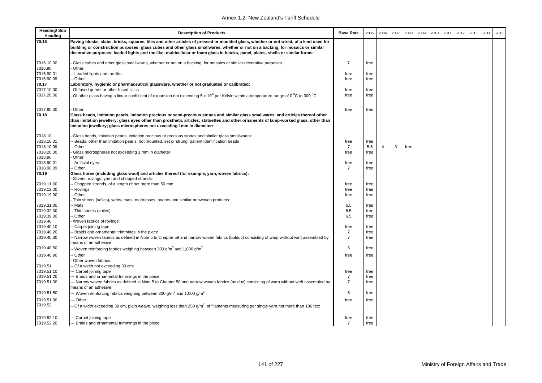| <b>Heading/Sub</b><br>Heading | <b>Description of Products</b>                                                                                                                                                                                                                                                                                                                                                                             | <b>Base Rate</b> | 2005         | 2006           | 2007 | 2008 | 2009 | 2010 | 2011 | 2012 | 2013 | 2014 | 2015 |
|-------------------------------|------------------------------------------------------------------------------------------------------------------------------------------------------------------------------------------------------------------------------------------------------------------------------------------------------------------------------------------------------------------------------------------------------------|------------------|--------------|----------------|------|------|------|------|------|------|------|------|------|
| 70.16                         | Paving blocks, slabs, bricks, squares, tiles and other articles of pressed or moulded glass, whether or not wired, of a kind used for<br>building or construction purposes; glass cubes and other glass smallwares, whether or not on a backing, for mosaics or similar<br>decorative purposes; leaded lights and the like; multicellular or foam glass in blocks, panel, plates, shells or similar forms: |                  |              |                |      |      |      |      |      |      |      |      |      |
| 7016.10.00                    | Glass cubes and other glass smallwares, whether or not on a backing, for mosaics or similar decorative purposes                                                                                                                                                                                                                                                                                            | $\overline{7}$   | free         |                |      |      |      |      |      |      |      |      |      |
| 7016.90                       | Other:                                                                                                                                                                                                                                                                                                                                                                                                     |                  |              |                |      |      |      |      |      |      |      |      |      |
| 7016.90.01                    | -- Leaded lights and the like                                                                                                                                                                                                                                                                                                                                                                              | free             | free         |                |      |      |      |      |      |      |      |      |      |
| 7016.90.09                    | - Other                                                                                                                                                                                                                                                                                                                                                                                                    | free             | free         |                |      |      |      |      |      |      |      |      |      |
| 70.17                         | Laboratory, hygienic or pharmaceutical glassware, whether or not graduated or calibrated:                                                                                                                                                                                                                                                                                                                  |                  |              |                |      |      |      |      |      |      |      |      |      |
| 7017.10.00                    | Of fused quartz or other fused silica                                                                                                                                                                                                                                                                                                                                                                      | free             | free         |                |      |      |      |      |      |      |      |      |      |
| 7017.20.00                    | Of other glass having a linear coefficient of expansion not exceeding 5 x 10 <sup>6</sup> per Kelvin within a temperature range of 0 <sup>°</sup> C to 300 <sup>°</sup> C                                                                                                                                                                                                                                  | free             | free         |                |      |      |      |      |      |      |      |      |      |
| 7017.90.00                    | Other                                                                                                                                                                                                                                                                                                                                                                                                      | free             | free         |                |      |      |      |      |      |      |      |      |      |
| 70.18                         | Glass beads, imitation pearls, imitation precious or semi-precious stones and similar glass smallwares, and articles thereof other<br>than imitation jewellery; glass eyes other than prosthetic articles; statuettes and other ornaments of lamp-worked glass, other than<br>imitation jewellery; glass microspheres not exceeding 1mm in diameter:                                                       |                  |              |                |      |      |      |      |      |      |      |      |      |
| 7018.10                       | Glass beads, imitation pearls, imitation precious or precious stones and similar glass smallwares:                                                                                                                                                                                                                                                                                                         |                  |              |                |      |      |      |      |      |      |      |      |      |
| 7018.10.01                    | Beads, other than imitation pearls, not mounted, set or strung; patient identification beads                                                                                                                                                                                                                                                                                                               | free             | free         |                |      |      |      |      |      |      |      |      |      |
| 7018.10.09                    | Other                                                                                                                                                                                                                                                                                                                                                                                                      | 7                | 5.5          | $\overline{4}$ | 3    | free |      |      |      |      |      |      |      |
| 7018.20.00                    | Glass microspheres not exceeding 1 mm in diameter                                                                                                                                                                                                                                                                                                                                                          | free             | free         |                |      |      |      |      |      |      |      |      |      |
| 7018.90                       | Other:                                                                                                                                                                                                                                                                                                                                                                                                     |                  |              |                |      |      |      |      |      |      |      |      |      |
| 7018.90.01                    | -- Artificial eyes                                                                                                                                                                                                                                                                                                                                                                                         | free             | free         |                |      |      |      |      |      |      |      |      |      |
| 7018.90.09                    | - Other                                                                                                                                                                                                                                                                                                                                                                                                    | $\overline{7}$   | free         |                |      |      |      |      |      |      |      |      |      |
| 70.19                         | Glass fibres (including glass wool) and articles thereof (for example, yarn, woven fabrics):                                                                                                                                                                                                                                                                                                               |                  |              |                |      |      |      |      |      |      |      |      |      |
|                               | Slivers, rovings, yarn and chopped strands:                                                                                                                                                                                                                                                                                                                                                                |                  |              |                |      |      |      |      |      |      |      |      |      |
| 7019.11.00<br>7019.12.00      | - Chopped strands, of a length of not more than 50 mm<br>- Rovings                                                                                                                                                                                                                                                                                                                                         | free<br>free     | free<br>free |                |      |      |      |      |      |      |      |      |      |
| 7019.19.00                    | - Other                                                                                                                                                                                                                                                                                                                                                                                                    | free             | free         |                |      |      |      |      |      |      |      |      |      |
|                               | Thin sheets (voiles), webs, mats, mattresses, boards and similar nonwoven products:                                                                                                                                                                                                                                                                                                                        |                  |              |                |      |      |      |      |      |      |      |      |      |
| 7019.31.00                    | - Mats                                                                                                                                                                                                                                                                                                                                                                                                     | 6.5              | free         |                |      |      |      |      |      |      |      |      |      |
| 7019.32.00                    | -- Thin sheets (voiles)                                                                                                                                                                                                                                                                                                                                                                                    | 6.5              | free         |                |      |      |      |      |      |      |      |      |      |
| 7019.39.00                    | - Other                                                                                                                                                                                                                                                                                                                                                                                                    | 6.5              | free         |                |      |      |      |      |      |      |      |      |      |
| 7019.40                       | Woven fabrics of rovings:                                                                                                                                                                                                                                                                                                                                                                                  |                  |              |                |      |      |      |      |      |      |      |      |      |
| 7019.40.10                    | - Carpet joining tape                                                                                                                                                                                                                                                                                                                                                                                      | free             | free         |                |      |      |      |      |      |      |      |      |      |
| 7019.40.20                    | - Braids and ornamental trimmings in the piece                                                                                                                                                                                                                                                                                                                                                             | $\overline{7}$   | free         |                |      |      |      |      |      |      |      |      |      |
| 7019.40.30                    | - Narrow woven fabrics as defined in Note 5 to Chapter 58 and narrow woven fabrics (bolduc) consisting of warp without weft assembled by<br>means of an adhesive                                                                                                                                                                                                                                           | $\overline{7}$   | free         |                |      |      |      |      |      |      |      |      |      |
| 7019.40.50                    | -- Woven reinforcing fabrics weighing between 300 g/m <sup>2</sup> and 1,000 g/m <sup>2</sup>                                                                                                                                                                                                                                                                                                              | 6                | free         |                |      |      |      |      |      |      |      |      |      |
| 7019.40.90                    | - Other                                                                                                                                                                                                                                                                                                                                                                                                    | free             | free         |                |      |      |      |      |      |      |      |      |      |
|                               | Other woven fabrics:                                                                                                                                                                                                                                                                                                                                                                                       |                  |              |                |      |      |      |      |      |      |      |      |      |
| 7019.51                       | - Of a width not exceeding 30 cm:                                                                                                                                                                                                                                                                                                                                                                          |                  |              |                |      |      |      |      |      |      |      |      |      |
| 7019.51.10                    | -- Carpet joining tape                                                                                                                                                                                                                                                                                                                                                                                     | free             | free         |                |      |      |      |      |      |      |      |      |      |
| 7019.51.20                    | -- Braids and ornamental trimmings in the piece                                                                                                                                                                                                                                                                                                                                                            | $\overline{7}$   | free         |                |      |      |      |      |      |      |      |      |      |
| 7019.51.30                    | -- Narrow woven fabrics as defined in Note 5 to Chapter 58 and narrow woven fabrics (bolduc) consisting of warp without weft assembled by<br>means of an adhesive                                                                                                                                                                                                                                          | $\overline{7}$   | free         |                |      |      |      |      |      |      |      |      |      |
| 7019.51.50                    | -- Woven reinforcing fabrics weighing between 300 g/m <sup>2</sup> and 1,000 g/m <sup>2</sup>                                                                                                                                                                                                                                                                                                              | 6                | free         |                |      |      |      |      |      |      |      |      |      |
| 7019.51.90                    | -- Other                                                                                                                                                                                                                                                                                                                                                                                                   | free             | free         |                |      |      |      |      |      |      |      |      |      |
| 7019.52                       | Of a width exceeding 30 cm, plain weave, weighing less than 250 g/m <sup>2</sup> , of filaments measuring per single yarn not more than 136 tex:                                                                                                                                                                                                                                                           |                  |              |                |      |      |      |      |      |      |      |      |      |
| 7019.52.10                    | -- Carpet joining tape                                                                                                                                                                                                                                                                                                                                                                                     | free             | free         |                |      |      |      |      |      |      |      |      |      |
| 7019.52.20                    | --- Braids and ornamental trimmings in the piece                                                                                                                                                                                                                                                                                                                                                           | 7                | free         |                |      |      |      |      |      |      |      |      |      |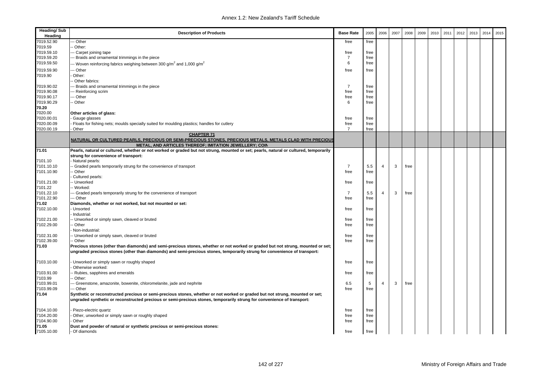| <b>Heading/Sub</b><br>Heading | <b>Description of Products</b>                                                                                                                                     | <b>Base Rate</b> | 2005 | 2006           | 2007 | 2008 | 2009 | 2010 | 2011 | 2012 | 2013 | 2014 | 2015 |
|-------------------------------|--------------------------------------------------------------------------------------------------------------------------------------------------------------------|------------------|------|----------------|------|------|------|------|------|------|------|------|------|
| 7019.52.90                    | -- Other                                                                                                                                                           | free             | free |                |      |      |      |      |      |      |      |      |      |
| 7019.59                       | Other:                                                                                                                                                             |                  |      |                |      |      |      |      |      |      |      |      |      |
| 7019.59.10                    | Carpet joining tape                                                                                                                                                | free             | free |                |      |      |      |      |      |      |      |      |      |
| 7019.59.20                    | -- Braids and ornamental trimmings in the piece                                                                                                                    | $\overline{7}$   | free |                |      |      |      |      |      |      |      |      |      |
| 7019.59.50                    | -- Woven reinforcing fabrics weighing between 300 g/m <sup>2</sup> and 1,000 g/m <sup>2</sup>                                                                      | 6                | free |                |      |      |      |      |      |      |      |      |      |
| 7019.59.90                    | - Other                                                                                                                                                            | free             | free |                |      |      |      |      |      |      |      |      |      |
| 7019.90                       | Other:                                                                                                                                                             |                  |      |                |      |      |      |      |      |      |      |      |      |
|                               | Other fabrics:                                                                                                                                                     |                  |      |                |      |      |      |      |      |      |      |      |      |
| 7019.90.02                    | - Braids and ornamental trimmings in the piece                                                                                                                     | $\overline{7}$   | free |                |      |      |      |      |      |      |      |      |      |
| 7019.90.08                    | - Reinforcing scrim                                                                                                                                                | free             | free |                |      |      |      |      |      |      |      |      |      |
| 7019.90.17                    | -- Other                                                                                                                                                           | free             | free |                |      |      |      |      |      |      |      |      |      |
| 7019.90.29                    | - Other                                                                                                                                                            | 6                | free |                |      |      |      |      |      |      |      |      |      |
| 70.20                         |                                                                                                                                                                    |                  |      |                |      |      |      |      |      |      |      |      |      |
| 7020.00                       | Other articles of glass:                                                                                                                                           |                  |      |                |      |      |      |      |      |      |      |      |      |
| 7020.00.01                    | Gauge glasses                                                                                                                                                      | free             | free |                |      |      |      |      |      |      |      |      |      |
| 7020.00.09                    | Floats for fishing nets; moulds specially suited for moulding plastics; handles for cutlery                                                                        | free             | free |                |      |      |      |      |      |      |      |      |      |
| 7020.00.19                    | Other                                                                                                                                                              | $\overline{7}$   | free |                |      |      |      |      |      |      |      |      |      |
|                               | <b>CHAPTER 71</b>                                                                                                                                                  |                  |      |                |      |      |      |      |      |      |      |      |      |
|                               | NATURAL OR CULTURED PEARLS, PRECIOUS OR SEMI-PRECIOUS STONES, PRECIOUS METALS, METALS CLAD WITH PRECIOUS<br>METAL, AND ARTICLES THEREOF; IMITATION JEWELLERY; COIN |                  |      |                |      |      |      |      |      |      |      |      |      |
| 71.01                         | Pearls, natural or cultured, whether or not worked or graded but not strung, mounted or set; pearls, natural or cultured, temporarily                              |                  |      |                |      |      |      |      |      |      |      |      |      |
|                               | strung for convenience of transport:                                                                                                                               |                  |      |                |      |      |      |      |      |      |      |      |      |
| 7101.10                       | - Natural pearls:                                                                                                                                                  |                  |      |                |      |      |      |      |      |      |      |      |      |
| 7101.10.10                    | Graded pearls temporarily strung for the convenience of transport                                                                                                  | $\overline{7}$   | 5.5  | $\overline{4}$ | 3    | free |      |      |      |      |      |      |      |
| 7101.10.90                    | - Other                                                                                                                                                            | free             | free |                |      |      |      |      |      |      |      |      |      |
|                               | Cultured pearls:                                                                                                                                                   |                  |      |                |      |      |      |      |      |      |      |      |      |
| 7101.21.00                    | - Unworked                                                                                                                                                         | free             | free |                |      |      |      |      |      |      |      |      |      |
| 7101.22                       | - Worked:                                                                                                                                                          |                  |      |                |      |      |      |      |      |      |      |      |      |
| 7101.22.10                    | -- Graded pearls temporarily strung for the convenience of transport                                                                                               | $\overline{7}$   | 5.5  | $\overline{4}$ | 3    | free |      |      |      |      |      |      |      |
| 7101.22.90                    | -- Other                                                                                                                                                           | free             | free |                |      |      |      |      |      |      |      |      |      |
| 71.02                         | Diamonds, whether or not worked, but not mounted or set:                                                                                                           |                  |      |                |      |      |      |      |      |      |      |      |      |
| 7102.10.00                    | Unsorted                                                                                                                                                           | free             | free |                |      |      |      |      |      |      |      |      |      |
|                               | Industrial:                                                                                                                                                        |                  |      |                |      |      |      |      |      |      |      |      |      |
| 7102.21.00                    | - Unworked or simply sawn, cleaved or bruted                                                                                                                       | free             | free |                |      |      |      |      |      |      |      |      |      |
| 7102.29.00                    | Other                                                                                                                                                              | free             | free |                |      |      |      |      |      |      |      |      |      |
|                               | Non-industrial:                                                                                                                                                    |                  |      |                |      |      |      |      |      |      |      |      |      |
| 7102.31.00                    | - Unworked or simply sawn, cleaved or bruted                                                                                                                       | free             | free |                |      |      |      |      |      |      |      |      |      |
| 7102.39.00                    | ⋅ Other                                                                                                                                                            | free             | free |                |      |      |      |      |      |      |      |      |      |
| 71.03                         | Precious stones (other than diamonds) and semi-precious stones, whether or not worked or graded but not strung, mounted or set;                                    |                  |      |                |      |      |      |      |      |      |      |      |      |
|                               | ungraded precious stones (other than diamonds) and semi-precious stones, temporarily strung for convenience of transport:                                          |                  |      |                |      |      |      |      |      |      |      |      |      |
|                               |                                                                                                                                                                    |                  |      |                |      |      |      |      |      |      |      |      |      |
| 7103.10.00                    | Unworked or simply sawn or roughly shaped<br>Otherwise worked:                                                                                                     | free             | free |                |      |      |      |      |      |      |      |      |      |
| 7103.91.00                    | - Rubies, sapphires and emeralds                                                                                                                                   | free             | free |                |      |      |      |      |      |      |      |      |      |
| 7103.99                       | Other:                                                                                                                                                             |                  |      |                |      |      |      |      |      |      |      |      |      |
| 7103.99.01                    | Greenstone, amazonite, bowenite, chloromelanite, jade and nephrite                                                                                                 | 6.5              | 5    | $\overline{4}$ | 3    | free |      |      |      |      |      |      |      |
| 7103.99.09                    | -- Other                                                                                                                                                           | free             | free |                |      |      |      |      |      |      |      |      |      |
| 71.04                         | Synthetic or reconstructed precious or semi-precious stones, whether or not worked or graded but not strung, mounted or set;                                       |                  |      |                |      |      |      |      |      |      |      |      |      |
|                               | ungraded synthetic or reconstructed precious or semi-precious stones, temporarily strung for convenience of transport:                                             |                  |      |                |      |      |      |      |      |      |      |      |      |
|                               |                                                                                                                                                                    |                  |      |                |      |      |      |      |      |      |      |      |      |
| 7104.10.00                    | Piezo-electric quartz                                                                                                                                              | free             | free |                |      |      |      |      |      |      |      |      |      |
| 7104.20.00                    | Other, unworked or simply sawn or roughly shaped                                                                                                                   | free             | free |                |      |      |      |      |      |      |      |      |      |
| 7104.90.00                    | <b>Other</b>                                                                                                                                                       | free             | free |                |      |      |      |      |      |      |      |      |      |
| 71.05                         | Dust and powder of natural or synthetic precious or semi-precious stones:                                                                                          |                  |      |                |      |      |      |      |      |      |      |      |      |
| 7105.10.00                    | - Of diamonds                                                                                                                                                      | free             | free |                |      |      |      |      |      |      |      |      |      |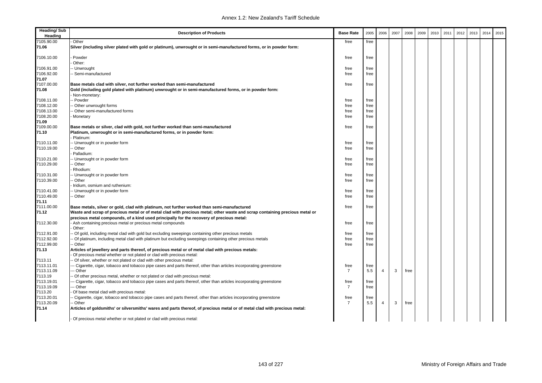| <b>Heading/Sub</b><br>Heading | <b>Description of Products</b>                                                                                             | <b>Base Rate</b> | 2005         | 2006           | 2007 | 2008 | 2009 | 2010 | 2011 | 2012 | 2013 | 2014 | 2015 |
|-------------------------------|----------------------------------------------------------------------------------------------------------------------------|------------------|--------------|----------------|------|------|------|------|------|------|------|------|------|
| 7105.90.00                    | Other                                                                                                                      | free             | free         |                |      |      |      |      |      |      |      |      |      |
| 71.06                         | Silver (including silver plated with gold or platinum), unwrought or in semi-manufactured forms, or in powder form:        |                  |              |                |      |      |      |      |      |      |      |      |      |
| 7106.10.00                    | Powder                                                                                                                     | free             | free         |                |      |      |      |      |      |      |      |      |      |
|                               | Other:                                                                                                                     |                  |              |                |      |      |      |      |      |      |      |      |      |
| 7106.91.00                    | - Unwrought                                                                                                                | free             | free         |                |      |      |      |      |      |      |      |      |      |
| 7106.92.00                    | Semi-manufactured                                                                                                          | free             | free         |                |      |      |      |      |      |      |      |      |      |
| 71.07                         |                                                                                                                            |                  |              |                |      |      |      |      |      |      |      |      |      |
| 7107.00.00                    | Base metals clad with silver, not further worked than semi-manufactured                                                    | free             | free         |                |      |      |      |      |      |      |      |      |      |
| 71.08                         | Gold (including gold plated with platinum) unwrought or in semi-manufactured forms, or in powder form:                     |                  |              |                |      |      |      |      |      |      |      |      |      |
|                               | Non-monetary:                                                                                                              |                  |              |                |      |      |      |      |      |      |      |      |      |
| 7108.11.00                    | - Powder                                                                                                                   | free             | free<br>free |                |      |      |      |      |      |      |      |      |      |
| 7108.12.00<br>7108.13.00      | Other unwrought forms<br>Other semi-manufactured forms                                                                     | free<br>free     | free         |                |      |      |      |      |      |      |      |      |      |
| 7108.20.00                    | Monetary                                                                                                                   | free             | free         |                |      |      |      |      |      |      |      |      |      |
| 71.09                         |                                                                                                                            |                  |              |                |      |      |      |      |      |      |      |      |      |
| 7109.00.00                    | Base metals or silver, clad with gold, not further worked than semi-manufactured                                           | free             | free         |                |      |      |      |      |      |      |      |      |      |
| 71.10                         | Platinum, unwrought or in semi-manufactured forms, or in powder form:                                                      |                  |              |                |      |      |      |      |      |      |      |      |      |
|                               | Platinum:                                                                                                                  |                  |              |                |      |      |      |      |      |      |      |      |      |
| 7110.11.00                    | - Unwrought or in powder form                                                                                              | free             | free         |                |      |      |      |      |      |      |      |      |      |
| 7110.19.00                    | Other                                                                                                                      | free             | free         |                |      |      |      |      |      |      |      |      |      |
|                               | Palladium:                                                                                                                 |                  |              |                |      |      |      |      |      |      |      |      |      |
| 7110.21.00                    | - Unwrought or in powder form                                                                                              | free             | free         |                |      |      |      |      |      |      |      |      |      |
| 7110.29.00                    | Other                                                                                                                      | free             | free         |                |      |      |      |      |      |      |      |      |      |
|                               | Rhodium:                                                                                                                   |                  |              |                |      |      |      |      |      |      |      |      |      |
| 7110.31.00                    | - Unwrought or in powder form                                                                                              | free             | free         |                |      |      |      |      |      |      |      |      |      |
| 7110.39.00                    | Other                                                                                                                      | free             | free         |                |      |      |      |      |      |      |      |      |      |
|                               | Iridium, osmium and ruthenium:                                                                                             |                  |              |                |      |      |      |      |      |      |      |      |      |
| 7110.41.00                    | - Unwrought or in powder form                                                                                              | free             | free         |                |      |      |      |      |      |      |      |      |      |
| 7110.49.00                    | - Other                                                                                                                    | free             | free         |                |      |      |      |      |      |      |      |      |      |
| 71.11                         |                                                                                                                            |                  |              |                |      |      |      |      |      |      |      |      |      |
| 7111.00.00                    | Base metals, silver or gold, clad with platinum, not further worked than semi-manufactured                                 | free             | free         |                |      |      |      |      |      |      |      |      |      |
| 71.12                         | Waste and scrap of precious metal or of metal clad with precious metal; other waste and scrap containing precious metal or |                  |              |                |      |      |      |      |      |      |      |      |      |
|                               | precious metal compounds, of a kind used principally for the recovery of precious metal:                                   |                  |              |                |      |      |      |      |      |      |      |      |      |
| 7112.30.00                    | Ash containing precious metal or precious metal compounds                                                                  | free             | free         |                |      |      |      |      |      |      |      |      |      |
|                               | Other:                                                                                                                     |                  |              |                |      |      |      |      |      |      |      |      |      |
| 7112.91.00<br>7112.92.00      | Of gold, including metal clad with gold but excluding sweepings containing other precious metals                           | free<br>free     | free<br>free |                |      |      |      |      |      |      |      |      |      |
| 7112.99.00                    | Of platinum, including metal clad with platinum but excluding sweepings containing other precious metals<br>Other          | free             | free         |                |      |      |      |      |      |      |      |      |      |
| 71.13                         | Articles of jewellery and parts thereof, of precious metal or of metal clad with precious metals:                          |                  |              |                |      |      |      |      |      |      |      |      |      |
|                               | Of precious metal whether or not plated or clad with precious metal:                                                       |                  |              |                |      |      |      |      |      |      |      |      |      |
| 7113.11                       | Of silver, whether or not plated or clad with other precious metal:                                                        |                  |              |                |      |      |      |      |      |      |      |      |      |
| 7113.11.01                    | - Cigarette, cigar, tobacco and tobacco pipe cases and parts thereof, other than articles incorporating greenstone         | free             | free         |                |      |      |      |      |      |      |      |      |      |
| 7113.11.09                    | - Other                                                                                                                    | $\overline{7}$   | 5.5          | $\overline{4}$ | 3    | free |      |      |      |      |      |      |      |
| 7113.19                       | Of other precious metal, whether or not plated or clad with precious metal:                                                |                  |              |                |      |      |      |      |      |      |      |      |      |
| 7113.19.01                    | - Cigarette, cigar, tobacco and tobacco pipe cases and parts thereof, other than articles incorporating greenstone         | free             | free         |                |      |      |      |      |      |      |      |      |      |
| 7113.19.09                    | - Other                                                                                                                    | $\overline{7}$   | free         |                |      |      |      |      |      |      |      |      |      |
| 7113.20                       | Of base metal clad with precious metal:                                                                                    |                  |              |                |      |      |      |      |      |      |      |      |      |
| 7113.20.01                    | Cigarette, cigar, tobacco and tobacco pipe cases and parts thereof, other than articles incorporating greenstone           | free             | free         |                |      |      |      |      |      |      |      |      |      |
| 7113.20.09                    | Other                                                                                                                      | $\overline{7}$   | 5.5          | $\overline{4}$ | 3    | free |      |      |      |      |      |      |      |
| 71.14                         | Articles of goldsmiths' or silversmiths' wares and parts thereof, of precious metal or of metal clad with precious metal:  |                  |              |                |      |      |      |      |      |      |      |      |      |
|                               | - Of precious metal whether or not plated or clad with precious metal:                                                     |                  |              |                |      |      |      |      |      |      |      |      |      |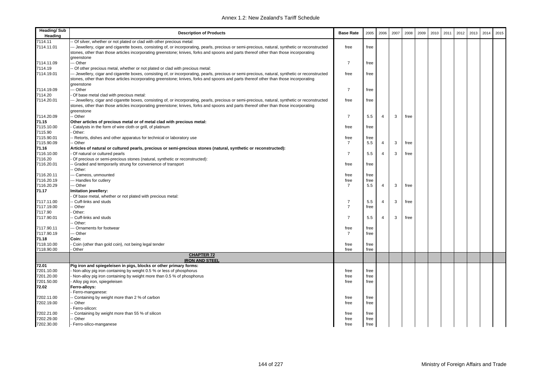| <b>Heading/Sub</b><br>Heading | <b>Description of Products</b>                                                                                                                                                                                                                                                                           | <b>Base Rate</b> | 2005         | 2006           | 2007 | 2008 | 2009 | 2010 | 2011 | 2012 | 2013 | 2014 | 2015 |
|-------------------------------|----------------------------------------------------------------------------------------------------------------------------------------------------------------------------------------------------------------------------------------------------------------------------------------------------------|------------------|--------------|----------------|------|------|------|------|------|------|------|------|------|
| 7114.11                       | - Of silver, whether or not plated or clad with other precious metal:                                                                                                                                                                                                                                    |                  |              |                |      |      |      |      |      |      |      |      |      |
| 7114.11.01                    | -- Jewellery, cigar and cigarette boxes, consisting of, or incorporating, pearls, precious or semi-precious, natural, synthetic or reconstructed<br>stones, other than those articles incorporating greenstone; knives, forks and spoons and parts thereof other than those incorporating                | free             | free         |                |      |      |      |      |      |      |      |      |      |
| 7114.11.09                    | greenstone<br>-- Other                                                                                                                                                                                                                                                                                   | $\overline{7}$   | free         |                |      |      |      |      |      |      |      |      |      |
| 7114.19                       |                                                                                                                                                                                                                                                                                                          |                  |              |                |      |      |      |      |      |      |      |      |      |
| 7114.19.01                    | - Of other precious metal, whether or not plated or clad with precious metal:                                                                                                                                                                                                                            | free             | free         |                |      |      |      |      |      |      |      |      |      |
|                               | -- Jewellery, cigar and cigarette boxes, consisting of, or incorporating, pearls, precious or semi-precious, natural, synthetic or reconstructed<br>stones, other than those articles incorporating greenstone; knives, forks and spoons and parts thereof other than those incorporating<br>greenstone  |                  |              |                |      |      |      |      |      |      |      |      |      |
| 7114.19.09                    | -- Other                                                                                                                                                                                                                                                                                                 | $\overline{7}$   | free         |                |      |      |      |      |      |      |      |      |      |
| 7114.20                       | Of base metal clad with precious metal:                                                                                                                                                                                                                                                                  |                  |              |                |      |      |      |      |      |      |      |      |      |
| 7114.20.01                    | --- Jewellery, cigar and cigarette boxes, consisting of, or incorporating, pearls, precious or semi-precious, natural, synthetic or reconstructed<br>stones, other than those articles incorporating greenstone; knives, forks and spoons and parts thereof other than those incorporating<br>greenstone | free             | free         |                |      |      |      |      |      |      |      |      |      |
| 7114.20.09                    | -- Other                                                                                                                                                                                                                                                                                                 | 7                | 5.5          | $\overline{4}$ | 3    | free |      |      |      |      |      |      |      |
| 71.15                         | Other articles of precious metal or of metal clad with precious metal:                                                                                                                                                                                                                                   |                  |              |                |      |      |      |      |      |      |      |      |      |
| 7115.10.00                    | Catalysts in the form of wire cloth or grill, of platinum                                                                                                                                                                                                                                                | free             | free         |                |      |      |      |      |      |      |      |      |      |
| 7115.90                       | Other:                                                                                                                                                                                                                                                                                                   |                  |              |                |      |      |      |      |      |      |      |      |      |
| 7115.90.01                    | - Retorts, dishes and other apparatus for technical or laboratory use                                                                                                                                                                                                                                    | free             | free         |                |      |      |      |      |      |      |      |      |      |
| 7115.90.09                    | - Other                                                                                                                                                                                                                                                                                                  | $\overline{7}$   | 5.5          | 4              | 3    | free |      |      |      |      |      |      |      |
| 71.16                         | Articles of natural or cultured pearls, precious or semi-precious stones (natural, synthetic or reconstructed):                                                                                                                                                                                          |                  |              |                |      |      |      |      |      |      |      |      |      |
| 7116.10.00                    | Of natural or cultured pearls                                                                                                                                                                                                                                                                            | $\overline{7}$   | 5.5          | $\overline{4}$ | 3    | free |      |      |      |      |      |      |      |
| 7116.20                       | Of precious or semi-precious stones (natural, synthetic or reconstructed):                                                                                                                                                                                                                               |                  |              |                |      |      |      |      |      |      |      |      |      |
| 7116.20.01                    | - Graded and temporarily strung for convenience of transport<br>- Other:                                                                                                                                                                                                                                 | free             | free         |                |      |      |      |      |      |      |      |      |      |
| 7116.20.11                    | -- Cameos, unmounted                                                                                                                                                                                                                                                                                     | free             | free         |                |      |      |      |      |      |      |      |      |      |
| 7116.20.19                    | --- Handles for cutlery                                                                                                                                                                                                                                                                                  | free             | free         |                |      |      |      |      |      |      |      |      |      |
| 7116.20.29                    | -- Other                                                                                                                                                                                                                                                                                                 | $\overline{7}$   | 5.5          | $\overline{4}$ | 3    | free |      |      |      |      |      |      |      |
| 71.17                         | Imitation jewellery:                                                                                                                                                                                                                                                                                     |                  |              |                |      |      |      |      |      |      |      |      |      |
|                               | Of base metal, whether or not plated with precious metal:                                                                                                                                                                                                                                                |                  |              |                |      |      |      |      |      |      |      |      |      |
| 7117.11.00                    | - Cuff-links and studs                                                                                                                                                                                                                                                                                   | $\overline{7}$   | 5.5          | $\overline{4}$ | 3    | free |      |      |      |      |      |      |      |
| 7117.19.00                    | - Other                                                                                                                                                                                                                                                                                                  | $\overline{7}$   | free         |                |      |      |      |      |      |      |      |      |      |
| 7117.90                       | Other:                                                                                                                                                                                                                                                                                                   |                  |              |                |      |      |      |      |      |      |      |      |      |
| 7117.90.01                    | - Cuff-links and studs<br>- Other:                                                                                                                                                                                                                                                                       | $\overline{7}$   | 5.5          | $\overline{4}$ | 3    | free |      |      |      |      |      |      |      |
| 7117.90.11                    | -- Ornaments for footwear                                                                                                                                                                                                                                                                                | free             | free         |                |      |      |      |      |      |      |      |      |      |
| 7117.90.19                    | --- Other                                                                                                                                                                                                                                                                                                | $\overline{7}$   | free         |                |      |      |      |      |      |      |      |      |      |
| 71.18                         | Coin:                                                                                                                                                                                                                                                                                                    |                  |              |                |      |      |      |      |      |      |      |      |      |
| 7118.10.00                    | Coin (other than gold coin), not being legal tender                                                                                                                                                                                                                                                      | free             | free         |                |      |      |      |      |      |      |      |      |      |
| 7118.90.00                    | Other                                                                                                                                                                                                                                                                                                    | free             | free         |                |      |      |      |      |      |      |      |      |      |
|                               | <b>CHAPTER 72</b><br><b>IRON AND STEEL</b>                                                                                                                                                                                                                                                               |                  |              |                |      |      |      |      |      |      |      |      |      |
| 72.01                         | Pig iron and spiegeleisen in pigs, blocks or other primary forms:                                                                                                                                                                                                                                        |                  |              |                |      |      |      |      |      |      |      |      |      |
| 7201.10.00                    | Non-alloy pig iron containing by weight 0.5 % or less of phosphorus                                                                                                                                                                                                                                      | free             | free         |                |      |      |      |      |      |      |      |      |      |
| 7201.20.00                    | Non-alloy pig iron containing by weight more than 0.5 % of phosphorus                                                                                                                                                                                                                                    | free             | free         |                |      |      |      |      |      |      |      |      |      |
| 7201.50.00                    | Alloy pig iron, spiegeleisen                                                                                                                                                                                                                                                                             | free             | free         |                |      |      |      |      |      |      |      |      |      |
| 72.02                         | Ferro-alloys:                                                                                                                                                                                                                                                                                            |                  |              |                |      |      |      |      |      |      |      |      |      |
|                               | Ferro-manganese:                                                                                                                                                                                                                                                                                         |                  |              |                |      |      |      |      |      |      |      |      |      |
| 7202.11.00                    | - Containing by weight more than 2 % of carbon                                                                                                                                                                                                                                                           | free             | free         |                |      |      |      |      |      |      |      |      |      |
| 7202.19.00                    | - Other                                                                                                                                                                                                                                                                                                  | free             | free         |                |      |      |      |      |      |      |      |      |      |
|                               | Ferro-silicon:                                                                                                                                                                                                                                                                                           |                  |              |                |      |      |      |      |      |      |      |      |      |
| 7202.21.00                    | Containing by weight more than 55 % of silicon                                                                                                                                                                                                                                                           | free             | free         |                |      |      |      |      |      |      |      |      |      |
| 7202.29.00                    | - Other                                                                                                                                                                                                                                                                                                  | free             | free<br>free |                |      |      |      |      |      |      |      |      |      |
| 7202.30.00                    | Ferro-silico-manganese                                                                                                                                                                                                                                                                                   | free             |              |                |      |      |      |      |      |      |      |      |      |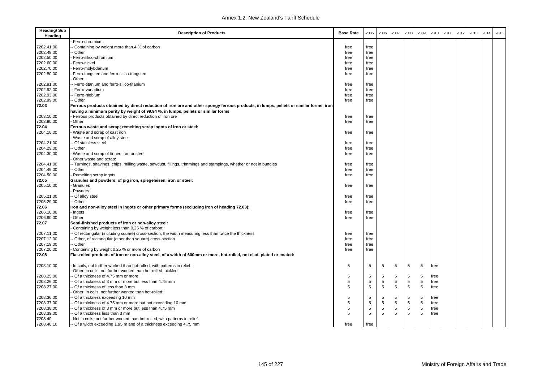| <b>Heading/Sub</b><br>Heading | <b>Description of Products</b>                                                                                                        | <b>Base Rate</b> | 2005            | 2006        | 2007 | 2008        | 2009       | 2010 | 2011 | 2012 | 2013 | 2014 | 2015 |
|-------------------------------|---------------------------------------------------------------------------------------------------------------------------------------|------------------|-----------------|-------------|------|-------------|------------|------|------|------|------|------|------|
|                               | Ferro-chromium:                                                                                                                       |                  |                 |             |      |             |            |      |      |      |      |      |      |
| 7202.41.00                    | - Containing by weight more than 4 % of carbon                                                                                        | free             | free            |             |      |             |            |      |      |      |      |      |      |
| 7202.49.00                    | - Other                                                                                                                               | free             | free            |             |      |             |            |      |      |      |      |      |      |
| 7202.50.00                    | Ferro-silico-chromium                                                                                                                 | free             | free            |             |      |             |            |      |      |      |      |      |      |
| 7202.60.00                    | Ferro-nickel                                                                                                                          | free             | free            |             |      |             |            |      |      |      |      |      |      |
| 7202.70.00                    | Ferro-molybdenum                                                                                                                      | free             | free            |             |      |             |            |      |      |      |      |      |      |
| 7202.80.00                    | Ferro-tungsten and ferro-silico-tungsten<br>Other:                                                                                    | free             | free            |             |      |             |            |      |      |      |      |      |      |
| 7202.91.00                    | -- Ferro-titanium and ferro-silico-titanium                                                                                           | free             | free            |             |      |             |            |      |      |      |      |      |      |
| 7202.92.00                    | -- Ferro-vanadium                                                                                                                     | free             | free            |             |      |             |            |      |      |      |      |      |      |
| 7202.93.00                    | -- Ferro-niobium                                                                                                                      | free             | free            |             |      |             |            |      |      |      |      |      |      |
| 7202.99.00                    | -- Other                                                                                                                              | free             | free            |             |      |             |            |      |      |      |      |      |      |
| 72.03                         | Ferrous products obtained by direct reduction of iron ore and other spongy ferrous products, in lumps, pellets or similar forms; iron |                  |                 |             |      |             |            |      |      |      |      |      |      |
|                               | having a minimum purity by weight of 99.94 %, in lumps, pellets or similar forms:                                                     |                  |                 |             |      |             |            |      |      |      |      |      |      |
| 7203.10.00                    | Ferrous products obtained by direct reduction of iron ore                                                                             | free             | free            |             |      |             |            |      |      |      |      |      |      |
| 7203.90.00                    | Other                                                                                                                                 | free             | free            |             |      |             |            |      |      |      |      |      |      |
| 72.04                         | Ferrous waste and scrap; remelting scrap ingots of iron or steel:                                                                     |                  |                 |             |      |             |            |      |      |      |      |      |      |
| 7204.10.00                    | Waste and scrap of cast iron                                                                                                          | free             | free            |             |      |             |            |      |      |      |      |      |      |
|                               | Waste and scrap of alloy steel:                                                                                                       |                  |                 |             |      |             |            |      |      |      |      |      |      |
| 7204.21.00                    | - Of stainless steel                                                                                                                  | free             | free            |             |      |             |            |      |      |      |      |      |      |
| 7204.29.00                    | -- Other                                                                                                                              | free             | free            |             |      |             |            |      |      |      |      |      |      |
| 7204.30.00                    | Waste and scrap of tinned iron or steel<br>Other waste and scrap:                                                                     | free             | free            |             |      |             |            |      |      |      |      |      |      |
| 7204.41.00                    | -- Turnings, shavings, chips, milling waste, sawdust, fillings, trimmings and stampings, whether or not in bundles                    | free             | free            |             |      |             |            |      |      |      |      |      |      |
| 7204.49.00                    | - Other                                                                                                                               | free             | free            |             |      |             |            |      |      |      |      |      |      |
| 7204.50.00                    | Remelting scrap ingots                                                                                                                | free             | free            |             |      |             |            |      |      |      |      |      |      |
| 72.05                         | Granules and powders, of pig iron, spiegeleisen, iron or steel:                                                                       |                  |                 |             |      |             |            |      |      |      |      |      |      |
| 7205.10.00                    | Granules                                                                                                                              | free             | free            |             |      |             |            |      |      |      |      |      |      |
|                               | Powders:                                                                                                                              |                  |                 |             |      |             |            |      |      |      |      |      |      |
| 7205.21.00                    | -- Of alloy steel                                                                                                                     | free             | free            |             |      |             |            |      |      |      |      |      |      |
| 7205.29.00                    | -- Other                                                                                                                              | free             | free            |             |      |             |            |      |      |      |      |      |      |
| 72.06                         | Iron and non-alloy steel in ingots or other primary forms (excluding iron of heading 72.03):                                          |                  |                 |             |      |             |            |      |      |      |      |      |      |
|                               |                                                                                                                                       | free             |                 |             |      |             |            |      |      |      |      |      |      |
| 7206.10.00                    | - Ingots                                                                                                                              |                  | free            |             |      |             |            |      |      |      |      |      |      |
| 7206.90.00                    | Other                                                                                                                                 | free             | free            |             |      |             |            |      |      |      |      |      |      |
| 72.07                         | Semi-finished products of iron or non-alloy steel:<br>Containing by weight less than 0.25 % of carbon:                                |                  |                 |             |      |             |            |      |      |      |      |      |      |
| 7207.11.00                    | - Of rectangular (including square) cross-section, the width measuring less than twice the thickness                                  | free             | free            |             |      |             |            |      |      |      |      |      |      |
| 7207.12.00                    | - Other, of rectangular (other than square) cross-section                                                                             | free             | free            |             |      |             |            |      |      |      |      |      |      |
| 7207.19.00                    | - Other                                                                                                                               | free             | free            |             |      |             |            |      |      |      |      |      |      |
| 7207.20.00                    | Containing by weight 0.25 % or more of carbon                                                                                         | free             | free            |             |      |             |            |      |      |      |      |      |      |
| 72.08                         | Flat-rolled products of iron or non-alloy steel, of a width of 600mm or more, hot-rolled, not clad, plated or coated:                 |                  |                 |             |      |             |            |      |      |      |      |      |      |
| 7208.10.00                    | In coils, not further worked than hot-rolled, with patterns in relief:                                                                | .5               | 5               | 5           | 5    | 5           | 5          | free |      |      |      |      |      |
|                               | Other, in coils, not further worked than hot-rolled, pickled:                                                                         |                  |                 |             |      |             |            |      |      |      |      |      |      |
| 7208.25.00                    | - Of a thickness of 4.75 mm or more                                                                                                   | 5                | 5               | 5           | 5    | 5           | 5          | free |      |      |      |      |      |
| 7208.26.00                    | - Of a thickness of 3 mm or more but less than 4.75 mm                                                                                | 5                | 5               | 5           | 5    | $\sqrt{5}$  | 5          | free |      |      |      |      |      |
| 7208.27.00                    | - Of a thickness of less than 3 mm                                                                                                    | 5                | $5\phantom{.0}$ | $\,$ 5 $\,$ | 5    | $\sqrt{5}$  | $\sqrt{5}$ | free |      |      |      |      |      |
|                               | Other, in coils, not further worked than hot-rolled:                                                                                  |                  |                 |             |      |             |            |      |      |      |      |      |      |
| 7208.36.00                    | - Of a thickness exceeding 10 mm                                                                                                      | 5                | 5               | 5           | 5    | 5           | 5          | free |      |      |      |      |      |
| 7208.37.00                    | - Of a thickness of 4.75 mm or more but not exceeding 10 mm                                                                           | 5                | $\mathbf 5$     | 5           | 5    | $\,$ 5 $\,$ | 5          | free |      |      |      |      |      |
| 7208.38.00                    | - Of a thickness of 3 mm or more but less than 4.75 mm                                                                                | 5                | 5               | 5           | 5    | 5           | $\sqrt{5}$ | free |      |      |      |      |      |
| 7208.39.00                    | -- Of a thickness less than 3 mm                                                                                                      | 5                | 5               | 5           | 5    | 5           | 5          | free |      |      |      |      |      |
| 7208.40                       | - Not in coils, not further worked than hot-rolled, with patterns in relief:                                                          |                  |                 |             |      |             |            |      |      |      |      |      |      |
| 7208.40.10                    | -- Of a width exceeding 1.95 m and of a thickness exceeding 4.75 mm                                                                   | free             | free            |             |      |             |            |      |      |      |      |      |      |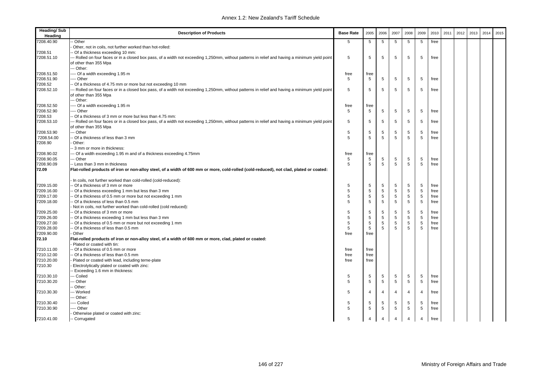| <b>Heading/Sub</b><br>Heading | <b>Description of Products</b>                                                                                                                 | <b>Base Rate</b> | 2005           | 2006            | 2007           | 2008           | 2009           | 2010 | 2011 | 2012 | 2013 | 2014 | 2015 |
|-------------------------------|------------------------------------------------------------------------------------------------------------------------------------------------|------------------|----------------|-----------------|----------------|----------------|----------------|------|------|------|------|------|------|
| 7208.40.90                    | Other                                                                                                                                          | 5                | 5              | 5               | 5              | 5              | 5              | free |      |      |      |      |      |
|                               | Other, not in coils, not further worked than hot-rolled:                                                                                       |                  |                |                 |                |                |                |      |      |      |      |      |      |
| 7208.51                       | - Of a thickness exceeding 10 mm:                                                                                                              |                  |                |                 |                |                |                |      |      |      |      |      |      |
| 7208.51.10                    | - Rolled on four faces or in a closed box pass, of a width not exceeding 1,250mm, without patterns in relief and having a minimum yield point  | 5                | 5              | 5               | 5              | 5              | 5              | free |      |      |      |      |      |
|                               | of other than 355 Mpa                                                                                                                          |                  |                |                 |                |                |                |      |      |      |      |      |      |
|                               | -- Other:                                                                                                                                      |                  |                |                 |                |                |                |      |      |      |      |      |      |
| 7208.51.50                    | -- Of a width exceeding 1.95 m                                                                                                                 | free             | free           |                 |                |                |                |      |      |      |      |      |      |
| 7208.51.90                    | --- Other                                                                                                                                      | 5                | 5              | $5\phantom{.0}$ | 5              | 5              | 5              | free |      |      |      |      |      |
| 7208.52                       | Of a thickness of 4.75 mm or more but not exceeding 10 mm                                                                                      |                  |                |                 |                |                |                |      |      |      |      |      |      |
| 7208.52.10                    | -- Rolled on four faces or in a closed box pass, of a width not exceeding 1,250mm, without patterns in relief and having a minimum yield point | 5                | 5              | 5               | 5              | 5              | 5              | free |      |      |      |      |      |
|                               | of other than 355 Mpa                                                                                                                          |                  |                |                 |                |                |                |      |      |      |      |      |      |
|                               | -- Other:                                                                                                                                      |                  |                |                 |                |                |                |      |      |      |      |      |      |
| 7208.52.50                    | --- Of a width exceeding 1.95 m                                                                                                                | free             | free           |                 |                |                |                |      |      |      |      |      |      |
| 7208.52.90                    | -- Other                                                                                                                                       | 5                | 5              | 5               | 5              | 5              | 5              | free |      |      |      |      |      |
| 7208.53                       | - Of a thickness of 3 mm or more but less than 4.75 mm:                                                                                        |                  |                |                 |                |                |                |      |      |      |      |      |      |
| 7208.53.10                    | - Rolled on four faces or in a closed box pass, of a width not exceeding 1,250mm, without patterns in relief and having a minimum yield point  | 5                | 5              | 5               | 5              | 5              | 5              | free |      |      |      |      |      |
|                               | of other than 355 Mpa                                                                                                                          |                  |                |                 |                |                |                |      |      |      |      |      |      |
| 7208.53.90                    | - Other                                                                                                                                        | 5                | 5              | 5               | 5              | 5              | 5              | free |      |      |      |      |      |
| 7208.54.00                    | Of a thickness of less than 3 mm                                                                                                               | 5                | 5              | 5               | 5              | 5              | 5              | free |      |      |      |      |      |
| 7208.90                       | Other:                                                                                                                                         |                  |                |                 |                |                |                |      |      |      |      |      |      |
|                               | - 3 mm or more in thickness:                                                                                                                   |                  |                |                 |                |                |                |      |      |      |      |      |      |
| 7208.90.02                    | - Of a width exceeding 1.95 m and of a thickness exceeding 4.75mm                                                                              | free             | free           |                 |                |                |                |      |      |      |      |      |      |
| 7208.90.05                    | - Other                                                                                                                                        | 5                | 5              | 5               | 5              | 5              | 5              | free |      |      |      |      |      |
| 7208.90.09                    | - Less than 3 mm in thickness                                                                                                                  | 5                | 5              | 5               | 5              | 5              | 5              | free |      |      |      |      |      |
| 72.09                         | Flat-rolled products of iron or non-alloy steel, of a width of 600 mm or more, cold-rolled (cold-reduced), not clad, plated or coated:         |                  |                |                 |                |                |                |      |      |      |      |      |      |
|                               | In coils, not further worked than cold-rolled (cold-reduced):                                                                                  |                  |                |                 |                |                |                |      |      |      |      |      |      |
| 7209.15.00                    | - Of a thickness of 3 mm or more                                                                                                               | 5                | 5              | 5               | 5              | 5              | 5              | free |      |      |      |      |      |
| 7209.16.00                    | - Of a thickness exceeding 1 mm but less than 3 mm                                                                                             | 5                | $\sqrt{5}$     | $\,$ 5 $\,$     | 5              | 5              | $\,$ 5 $\,$    | free |      |      |      |      |      |
| 7209.17.00                    | - Of a thickness of 0.5 mm or more but not exceeding 1 mm                                                                                      | 5                | 5              | 5               | 5              | 5              | 5              | free |      |      |      |      |      |
| 7209.18.00                    | - Of a thickness of less than 0.5 mm                                                                                                           | 5                | 5              | 5               | 5              | 5              | 5              | free |      |      |      |      |      |
|                               | Not in coils, not further worked than cold-rolled (cold reduced):                                                                              |                  |                |                 |                |                |                |      |      |      |      |      |      |
| 7209.25.00                    | - Of a thickness of 3 mm or more                                                                                                               | 5                | 5              | 5               | 5              | $\,$ 5 $\,$    | 5              | free |      |      |      |      |      |
| 7209.26.00                    | - Of a thickness exceeding 1 mm but less than 3 mm                                                                                             | 5                | 5              | 5               | 5              | $\,$ 5 $\,$    | 5              | free |      |      |      |      |      |
| 7209.27.00                    | - Of a thickness of 0.5 mm or more but not exceeding 1 mm                                                                                      | 5                | 5              | 5               | 5              | $\,$ 5 $\,$    | $\,$ 5 $\,$    | free |      |      |      |      |      |
| 7209.28.00                    | - Of a thickness of less than 0.5 mm                                                                                                           | 5                | 5              | 5               | 5              | 5              | 5              | free |      |      |      |      |      |
| 7209.90.00                    | Other                                                                                                                                          | free             | free           |                 |                |                |                |      |      |      |      |      |      |
| 72.10                         | Flat-rolled products of iron or non-alloy steel, of a width of 600 mm or more, clad, plated or coated:<br>Plated or coated with tin:           |                  |                |                 |                |                |                |      |      |      |      |      |      |
| 7210.11.00                    | - Of a thickness of 0.5 mm or more                                                                                                             | free             | free           |                 |                |                |                |      |      |      |      |      |      |
| 7210.12.00                    | - Of a thickness of less than 0.5 mm                                                                                                           | free             | free           |                 |                |                |                |      |      |      |      |      |      |
| 7210.20.00                    | Plated or coated with lead, including terne-plate                                                                                              | free             | free           |                 |                |                |                |      |      |      |      |      |      |
| 7210.30                       | Electrolytically plated or coated with zinc:                                                                                                   |                  |                |                 |                |                |                |      |      |      |      |      |      |
|                               | - Exceeding 1.6 mm in thickness:                                                                                                               |                  |                |                 |                |                |                |      |      |      |      |      |      |
| 7210.30.10                    | - Coiled                                                                                                                                       | 5                | 5              | 5               | 5              | 5              | 5              | free |      |      |      |      |      |
| 7210.30.20                    | - Other                                                                                                                                        | 5                | 5              | 5               | 5              | 5              | 5              | free |      |      |      |      |      |
|                               | Other:                                                                                                                                         |                  |                |                 |                |                |                |      |      |      |      |      |      |
| 7210.30.30                    | -- Worked                                                                                                                                      | 5                | $\overline{4}$ | $\overline{4}$  | $\overline{4}$ | $\overline{4}$ | $\overline{4}$ | free |      |      |      |      |      |
|                               | -- Other:                                                                                                                                      |                  |                |                 |                |                |                |      |      |      |      |      |      |
| 7210.30.40                    | --- Coiled                                                                                                                                     | 5                | 5              | 5               | 5              | 5              | 5              | free |      |      |      |      |      |
| 7210.30.90                    | --- Other                                                                                                                                      | 5                | 5              | $\sqrt{5}$      | $\,$ 5 $\,$    | 5              | 5              | free |      |      |      |      |      |
|                               | Otherwise plated or coated with zinc:                                                                                                          |                  |                |                 |                |                |                |      |      |      |      |      |      |
| 7210.41.00                    | -- Corrugated                                                                                                                                  | 5                | $\overline{4}$ | $\overline{4}$  | $\overline{4}$ | $\overline{4}$ | $\overline{4}$ | free |      |      |      |      |      |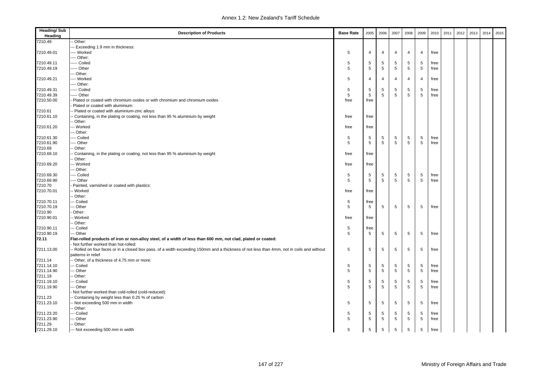| <b>Heading/Sub</b><br>Heading | <b>Description of Products</b>                                                                                                             | <b>Base Rate</b> | 2005           | 2006           | 2007           | 2008            | 2009           | 2010 | 2011 | 2012 | 2013 | 2014 | 2015 |
|-------------------------------|--------------------------------------------------------------------------------------------------------------------------------------------|------------------|----------------|----------------|----------------|-----------------|----------------|------|------|------|------|------|------|
| 7210.49                       | - Other:                                                                                                                                   |                  |                |                |                |                 |                |      |      |      |      |      |      |
|                               | -- Exceeding 1.9 mm in thickness:                                                                                                          |                  |                |                |                |                 |                |      |      |      |      |      |      |
| 7210.49.01                    | --- Worked                                                                                                                                 | 5                | $\overline{4}$ | $\overline{4}$ | $\overline{4}$ | $\overline{4}$  | $\overline{4}$ | free |      |      |      |      |      |
|                               | ---- Other:                                                                                                                                |                  |                |                |                |                 |                |      |      |      |      |      |      |
| 7210.49.11                    | ---- Coiled                                                                                                                                | 5                | 5              | 5              | 5              | 5               | 5              | free |      |      |      |      |      |
| 7210.49.19                    | ---- Other                                                                                                                                 | 5                | 5              | 5              | 5              | 5               | 5              | free |      |      |      |      |      |
|                               | --- Other:                                                                                                                                 |                  |                |                |                |                 |                |      |      |      |      |      |      |
| 7210.49.21                    | ---- Worked                                                                                                                                | 5                | $\overline{4}$ | $\overline{4}$ | $\overline{4}$ | $\overline{4}$  | $\overline{4}$ | free |      |      |      |      |      |
|                               | ---- Other:                                                                                                                                |                  |                |                |                |                 |                |      |      |      |      |      |      |
| 7210.49.31                    | ----- Coiled                                                                                                                               | 5                | 5              | 5              | 5              | 5               | 5              | free |      |      |      |      |      |
| 7210.49.39                    | ---- Other                                                                                                                                 | 5                | 5              | 5              | 5              | 5               | 5              | free |      |      |      |      |      |
| 7210.50.00                    | Plated or coated with chromium oxides or with chromium and chromium oxides                                                                 | free             | free           |                |                |                 |                |      |      |      |      |      |      |
|                               | Plated or coated with aluminium:                                                                                                           |                  |                |                |                |                 |                |      |      |      |      |      |      |
| 7210.61                       | - Plated or coated with aluminium-zinc alloys:                                                                                             |                  |                |                |                |                 |                |      |      |      |      |      |      |
| 7210.61.10                    | - Containing, in the plating or coating, not less than 95 % aluminium by weight                                                            | free             | free           |                |                |                 |                |      |      |      |      |      |      |
|                               | - Other:                                                                                                                                   |                  |                |                |                |                 |                |      |      |      |      |      |      |
| 7210.61.20                    | --- Worked                                                                                                                                 | free             | free           |                |                |                 |                |      |      |      |      |      |      |
|                               | -- Other:                                                                                                                                  |                  |                |                |                |                 |                |      |      |      |      |      |      |
| 7210.61.30                    | --- Coiled                                                                                                                                 | 5                | 5              | 5              | 5              | 5               | 5              | free |      |      |      |      |      |
| 7210.61.90                    | ---- Other                                                                                                                                 | 5                | 5              | 5              | 5              | 5               | 5              | free |      |      |      |      |      |
| 7210.69                       | - Other:                                                                                                                                   |                  |                |                |                |                 |                |      |      |      |      |      |      |
| 7210.69.10                    | Containing, in the plating or coating, not less than 95 % aluminium by weight                                                              | free             | free           |                |                |                 |                |      |      |      |      |      |      |
|                               | - Other:                                                                                                                                   |                  |                |                |                |                 |                |      |      |      |      |      |      |
| 7210.69.20                    | -- Worked                                                                                                                                  | free             | free           |                |                |                 |                |      |      |      |      |      |      |
|                               | -- Other:                                                                                                                                  |                  |                |                |                |                 |                |      |      |      |      |      |      |
| 7210.69.30                    | ---- Coiled                                                                                                                                | 5                | 5              | 5              | 5              | 5               | 5              | free |      |      |      |      |      |
| 7210.69.90                    | ---- Other                                                                                                                                 | 5                | 5              | 5              | 5              | 5               | 5              | free |      |      |      |      |      |
| 7210.70                       | Painted, varnished or coated with plastics:                                                                                                |                  |                |                |                |                 |                |      |      |      |      |      |      |
| 7210.70.01                    | -- Worked                                                                                                                                  | free             | free           |                |                |                 |                |      |      |      |      |      |      |
|                               | - Other:                                                                                                                                   |                  |                |                |                |                 |                |      |      |      |      |      |      |
| 7210.70.11                    | -- Coiled                                                                                                                                  | 5                | free           |                |                |                 |                |      |      |      |      |      |      |
| 7210.70.19                    | -- Other                                                                                                                                   | 5                | 5              | 5              | 5              | 5               | 5              | free |      |      |      |      |      |
| 7210.90                       | Other:                                                                                                                                     |                  |                |                |                |                 |                |      |      |      |      |      |      |
| 7210.90.01                    | - Worked                                                                                                                                   | free             | free           |                |                |                 |                |      |      |      |      |      |      |
|                               | - Other:                                                                                                                                   |                  |                |                |                |                 |                |      |      |      |      |      |      |
| 7210.90.11                    | --- Coiled                                                                                                                                 | 5                | free           |                |                |                 |                |      |      |      |      |      |      |
| 7210.90.19                    | --- Other                                                                                                                                  | 5                | 5              | 5              | 5              | 5               | 5              | free |      |      |      |      |      |
| 72.11                         | Flat-rolled products of iron or non-alloy steel, of a width of less than 600 mm, not clad, plated or coated:                               |                  |                |                |                |                 |                |      |      |      |      |      |      |
|                               | Not further worked than hot-rolled:                                                                                                        |                  |                |                |                |                 |                |      |      |      |      |      |      |
| 7211.13.00                    | -- Rolled on four faces or in a closed box pass, of a width exceeding 150mm and a thickness of not less than 4mm, not in coils and without | 5                | 5              | 5              | 5              | 5               | 5              | free |      |      |      |      |      |
|                               | patterns in relief                                                                                                                         |                  |                |                |                |                 |                |      |      |      |      |      |      |
| 7211.14                       | - Other, of a thickness of 4.75 mm or more:                                                                                                |                  |                |                |                |                 |                |      |      |      |      |      |      |
| 7211.14.10                    | -- Coiled                                                                                                                                  | 5                | 5              | 5              | 5              | 5               | 5              | free |      |      |      |      |      |
| 7211.14.90                    | -- Other                                                                                                                                   | 5                | 5              | $\sqrt{5}$     | $\sqrt{5}$     | $5\phantom{.0}$ | 5              | free |      |      |      |      |      |
| 7211.19                       | - Other:                                                                                                                                   |                  |                |                |                |                 |                |      |      |      |      |      |      |
| 7211.19.10                    | --- Coiled                                                                                                                                 | 5                | 5              | 5              | 5              | 5               | 5              | free |      |      |      |      |      |
| 7211.19.90                    | -- Other                                                                                                                                   | 5                | 5              | 5              | 5              | 5               | 5              | free |      |      |      |      |      |
|                               | Not further worked than cold-rolled (cold-reduced):                                                                                        |                  |                |                |                |                 |                |      |      |      |      |      |      |
| 7211.23                       | - Containing by weight less than 0.25 % of carbon                                                                                          |                  |                |                |                |                 |                |      |      |      |      |      |      |
| 7211.23.10                    | - Not exceeding 500 mm in width                                                                                                            | 5                | 5              | 5              | 5              | 5               | 5              | free |      |      |      |      |      |
|                               | - Other:                                                                                                                                   |                  |                |                |                |                 |                |      |      |      |      |      |      |
| 7211.23.20                    | -- Coiled                                                                                                                                  | 5                | 5              | 5              | 5              | 5               | 5              | free |      |      |      |      |      |
| 7211.23.90                    | --- Other                                                                                                                                  | 5                | 5              | 5              | 5              | 5               | 5              | free |      |      |      |      |      |
| 7211.29                       | -- Other:                                                                                                                                  |                  |                |                |                |                 |                |      |      |      |      |      |      |
| 7211.29.10                    | --- Not exceeding 500 mm in width                                                                                                          | 5                | 5              | 5              | 5              | 5               | 5              | free |      |      |      |      |      |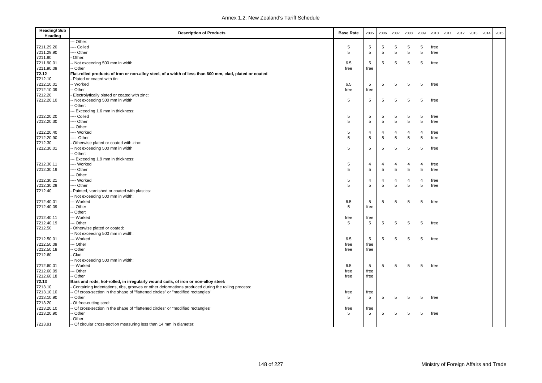| <b>Heading/Sub</b><br>Heading | <b>Description of Products</b>                                                                          | <b>Base Rate</b> | 2005           | 2006            | 2007            | 2008           | 2009           | 2010 | 2011 | 2012 | 2013 | 2014 | 2015 |
|-------------------------------|---------------------------------------------------------------------------------------------------------|------------------|----------------|-----------------|-----------------|----------------|----------------|------|------|------|------|------|------|
|                               | -- Other:                                                                                               |                  |                |                 |                 |                |                |      |      |      |      |      |      |
| 7211.29.20                    | --- Coiled                                                                                              | 5                | 5              | 5               | 5               | 5              | 5              | free |      |      |      |      |      |
| 7211.29.90                    | ---- Other                                                                                              | 5                | 5              | 5               | 5               | 5              | 5              | free |      |      |      |      |      |
| 7211.90                       | Other:                                                                                                  |                  |                |                 |                 |                |                |      |      |      |      |      |      |
| 7211.90.01                    | - Not exceeding 500 mm in width                                                                         | 6.5              | 5              | $\,$ 5 $\,$     | 5               | 5              | 5              | free |      |      |      |      |      |
| 7211.90.09                    | - Other                                                                                                 | free             | free           |                 |                 |                |                |      |      |      |      |      |      |
| 72.12                         | Flat-rolled products of iron or non-alloy steel, of a width of less than 600 mm, clad, plated or coated |                  |                |                 |                 |                |                |      |      |      |      |      |      |
| 7212.10                       | Plated or coated with tin:                                                                              |                  |                |                 |                 |                |                |      |      |      |      |      |      |
| 7212.10.01                    | -- Worked                                                                                               | 6.5              | 5              | 5               | 5               | 5              | 5              | free |      |      |      |      |      |
| 7212.10.09                    | - Other                                                                                                 | free             | free           |                 |                 |                |                |      |      |      |      |      |      |
| 7212.20                       | Electrolytically plated or coated with zinc:                                                            |                  |                |                 |                 |                |                |      |      |      |      |      |      |
| 7212.20.10                    | - Not exceeding 500 mm in width                                                                         | 5                | 5              | 5               | 5               | 5              | 5              | free |      |      |      |      |      |
|                               | - Other:                                                                                                |                  |                |                 |                 |                |                |      |      |      |      |      |      |
|                               | -- Exceeding 1.6 mm in thickness:                                                                       |                  |                |                 |                 |                |                |      |      |      |      |      |      |
| 7212.20.20                    | --- Coiled                                                                                              | 5                | 5              | 5               | 5               | 5              | 5              | free |      |      |      |      |      |
| 7212.20.30                    | --- Other                                                                                               | 5                | 5              | $\,$ 5          | 5               | $\sqrt{5}$     | 5              | free |      |      |      |      |      |
|                               | --- Other:                                                                                              |                  |                |                 |                 |                |                |      |      |      |      |      |      |
| 7212.20.40                    | ---- Worked                                                                                             | 5                | 4              | 4               | 4               | 4              | $\overline{4}$ | free |      |      |      |      |      |
| 7212.20.90                    | ---- Other                                                                                              | 5                | 5              | $5\phantom{.0}$ | $\,$ 5 $\,$     | $\sqrt{5}$     | $\sqrt{5}$     | free |      |      |      |      |      |
| 7212.30                       | Otherwise plated or coated with zinc:                                                                   |                  |                |                 |                 |                |                |      |      |      |      |      |      |
| 7212.30.01                    | -- Not exceeding 500 mm in width                                                                        | 5                | 5              | 5               | 5               | 5              | 5              | free |      |      |      |      |      |
|                               | - Other:                                                                                                |                  |                |                 |                 |                |                |      |      |      |      |      |      |
|                               | --- Exceeding 1.9 mm in thickness:                                                                      |                  |                |                 |                 |                |                |      |      |      |      |      |      |
| 7212.30.11                    | ---- Worked                                                                                             | 5                | $\overline{4}$ | 4               | $\overline{4}$  | 4              | $\overline{4}$ | free |      |      |      |      |      |
| 7212.30.19                    | ---- Other                                                                                              | 5                | 5              | $\,$ 5 $\,$     | $5\phantom{.0}$ | 5              | 5              | free |      |      |      |      |      |
|                               | --- Other:                                                                                              |                  |                |                 |                 |                |                |      |      |      |      |      |      |
| 7212.30.21                    | ---- Worked                                                                                             | 5                | $\overline{4}$ | 4               | $\overline{4}$  | $\overline{4}$ | $\overline{4}$ | free |      |      |      |      |      |
|                               |                                                                                                         | 5                |                |                 | 5               | 5              |                |      |      |      |      |      |      |
| 7212.30.29                    | ---- Other                                                                                              |                  | 5              | $\,$ 5 $\,$     |                 |                | 5              | free |      |      |      |      |      |
| 7212.40                       | Painted, varnished or coated with plastics:                                                             |                  |                |                 |                 |                |                |      |      |      |      |      |      |
|                               | - Not exceeding 500 mm in width:                                                                        |                  |                |                 |                 |                |                |      |      |      |      |      |      |
| 7212.40.01                    | -- Worked                                                                                               | 6.5              | 5              | 5               | 5               | 5              | 5              | free |      |      |      |      |      |
| 7212.40.09                    | -- Other                                                                                                | 5                | free           |                 |                 |                |                |      |      |      |      |      |      |
|                               | - Other:                                                                                                |                  |                |                 |                 |                |                |      |      |      |      |      |      |
| 7212.40.11                    | -- Worked                                                                                               | free             | free           |                 |                 |                |                |      |      |      |      |      |      |
| 7212.40.19                    | -- Other                                                                                                | 5                | 5              | 5               | 5               | 5              | 5              | free |      |      |      |      |      |
| 7212.50                       | Otherwise plated or coated:                                                                             |                  |                |                 |                 |                |                |      |      |      |      |      |      |
|                               | -- Not exceeding 500 mm in width:                                                                       |                  |                |                 |                 |                |                |      |      |      |      |      |      |
| 7212.50.01                    | --- Worked                                                                                              | 6.5              | 5              | 5               | 5               | 5              | 5              | free |      |      |      |      |      |
| 7212.50.09                    | -- Other                                                                                                | free             | free           |                 |                 |                |                |      |      |      |      |      |      |
| 7212.50.18                    | - Other                                                                                                 | free             | free           |                 |                 |                |                |      |      |      |      |      |      |
| 7212.60                       | Clad                                                                                                    |                  |                |                 |                 |                |                |      |      |      |      |      |      |
|                               | - Not exceeding 500 mm in width:                                                                        |                  |                |                 |                 |                |                |      |      |      |      |      |      |
| 7212.60.01                    | --- Worked                                                                                              | 6.5              | 5              | 5               | 5               | 5              | 5              | free |      |      |      |      |      |
| 7212.60.09                    | -- Other                                                                                                | free             | free           |                 |                 |                |                |      |      |      |      |      |      |
| 7212.60.18                    | - Other                                                                                                 | free             | free           |                 |                 |                |                |      |      |      |      |      |      |
| 72.13                         | Bars and rods, hot-rolled, in irregularly wound coils, of iron or non-alloy steel:                      |                  |                |                 |                 |                |                |      |      |      |      |      |      |
| 7213.10                       | Containing indentations, ribs, grooves or other deformations produced during the rolling process:       |                  |                |                 |                 |                |                |      |      |      |      |      |      |
| 7213.10.10                    | - Of cross-section in the shape of "flattened circles" or "modified rectangles"                         | free             | free           |                 |                 |                |                |      |      |      |      |      |      |
| 7213.10.90                    | - Other                                                                                                 | 5                | 5              | $\,$ 5          | $\,$ 5          | 5              | 5              | free |      |      |      |      |      |
| 7213.20                       | Of free-cutting steel:                                                                                  |                  |                |                 |                 |                |                |      |      |      |      |      |      |
| 7213.20.10                    | Of cross-section in the shape of "flattened circles" or "modified rectangles"                           | free             | free           |                 |                 |                |                |      |      |      |      |      |      |
| 7213.20.90                    | - Other                                                                                                 | 5                | 5              | 5               | 5               | 5              | 5              | free |      |      |      |      |      |
|                               | Other:                                                                                                  |                  |                |                 |                 |                |                |      |      |      |      |      |      |
| 7213.91                       | -- Of circular cross-section measuring less than 14 mm in diameter:                                     |                  |                |                 |                 |                |                |      |      |      |      |      |      |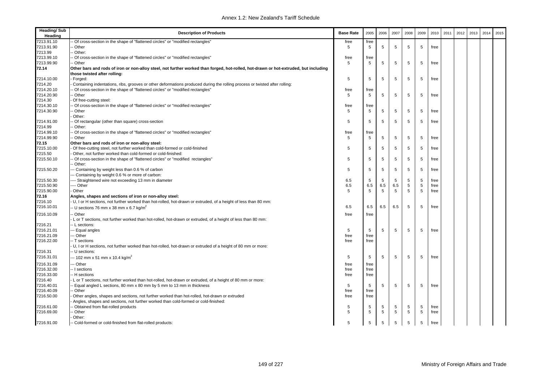| <b>Heading/Sub</b><br>Heading | <b>Description of Products</b>                                                                                                       | <b>Base Rate</b> | 2005 | 2006 | 2007 | 2008 | 2009 | 2010 | 2011 | 2012 | 2013 | 2014 | 2015 |
|-------------------------------|--------------------------------------------------------------------------------------------------------------------------------------|------------------|------|------|------|------|------|------|------|------|------|------|------|
| 7213.91.10                    | Of cross-section in the shape of "flattened circles" or "modified rectangles'                                                        | free             | free |      |      |      |      |      |      |      |      |      |      |
| 7213.91.90                    | Other                                                                                                                                | 5                | 5    | 5    | 5    | 5    | 5    | free |      |      |      |      |      |
| 7213.99                       | - Other:                                                                                                                             |                  |      |      |      |      |      |      |      |      |      |      |      |
| 7213.99.10                    | Of cross-section in the shape of "flattened circles" or "modified rectangles"                                                        | free             | free |      |      |      |      |      |      |      |      |      |      |
| 7213.99.90                    | - Other                                                                                                                              | 5                | 5    | 5    | 5    | 5    | 5    | free |      |      |      |      |      |
| 72.14                         | Other bars and rods of iron or non-alloy steel, not further worked than forged, hot-rolled, hot-drawn or hot-extruded, but including |                  |      |      |      |      |      |      |      |      |      |      |      |
|                               | those twisted after rolling:                                                                                                         |                  |      |      |      |      |      |      |      |      |      |      |      |
| 7214.10.00                    | Forged:                                                                                                                              | 5                | 5    | 5    | 5    | 5    | 5    | free |      |      |      |      |      |
| 7214.20                       | Containing indentations, ribs, grooves or other deformations produced during the rolling process or twisted after rolling:           |                  |      |      |      |      |      |      |      |      |      |      |      |
| 7214.20.10                    | Of cross-section in the shape of "flattened circles" or "modified rectangles"                                                        | free             | free |      |      |      |      |      |      |      |      |      |      |
| 7214.20.90                    | · Other                                                                                                                              | 5                | 5    | 5    | 5    | 5    | 5    | free |      |      |      |      |      |
| 7214.30                       | Of free-cutting steel:                                                                                                               |                  |      |      |      |      |      |      |      |      |      |      |      |
| 7214.30.10                    | Of cross-section in the shape of "flattened circles" or "modified rectangles'                                                        | free             | free |      |      |      |      |      |      |      |      |      |      |
| 7214.30.90                    | Other                                                                                                                                | 5                | 5    | 5    | 5    | 5    | 5    | free |      |      |      |      |      |
|                               | Other:                                                                                                                               |                  |      |      |      |      |      |      |      |      |      |      |      |
| 7214.91.00                    | Of rectangular (other than square) cross-section                                                                                     | 5                | 5    | 5    | 5    | 5    | 5    | free |      |      |      |      |      |
| 7214.99                       | Other:                                                                                                                               |                  |      |      |      |      |      |      |      |      |      |      |      |
| 7214.99.10                    | Of cross-section in the shape of "flattened circles" or "modified rectangles"                                                        | free             | free |      |      |      |      |      |      |      |      |      |      |
| 7214.99.90                    | - Other                                                                                                                              | 5                | 5    | 5    | 5    | 5    | 5    | free |      |      |      |      |      |
| 72.15                         | Other bars and rods of iron or non-alloy steel:                                                                                      |                  |      |      |      |      |      |      |      |      |      |      |      |
| 7215.10.00                    | Of free-cutting steel, not further worked than cold-formed or cold-finished                                                          | 5                | 5    | 5    | 5    | 5    | 5    | free |      |      |      |      |      |
| 7215.50                       | Other, not further worked than cold-formed or cold-finished:                                                                         |                  |      |      |      |      |      |      |      |      |      |      |      |
| 7215.50.10                    | Of cross-section in the shape of "flattened circles" or "modified rectangles"                                                        | 5                | 5    | 5    | 5    | 5    | 5    | free |      |      |      |      |      |
|                               | - Other:                                                                                                                             |                  |      |      |      |      |      |      |      |      |      |      |      |
| 7215.50.20                    | - Containing by weight less than 0.6 % of carbon                                                                                     | 5                | 5    | 5    | 5    | 5    | 5    | free |      |      |      |      |      |
|                               | - Containing by weight 0.6 % or more of carbon:                                                                                      |                  |      |      |      |      |      |      |      |      |      |      |      |
| 7215.50.30                    | --- Straightened wire not exceeding 13 mm in diameter                                                                                | 6.5              | 5    | 5    | 5    | 5    | 5    | free |      |      |      |      |      |
| 7215.50.90                    | --- Other                                                                                                                            | 6.5              | 6.5  | 6.5  | 6.5  | 5    | 5    | free |      |      |      |      |      |
| 7215.90.00                    | Other                                                                                                                                | 5                | 5    | 5    | 5    | 5    | 5    | free |      |      |      |      |      |
| 72.16                         | Angles, shapes and sections of iron or non-alloy steel:                                                                              |                  |      |      |      |      |      |      |      |      |      |      |      |
| 7216.10                       | U, I or H sections, not further worked than hot-rolled, hot-drawn or extruded, of a height of less than 80 mm:                       |                  |      |      |      |      |      |      |      |      |      |      |      |
| 7216.10.01                    | - U sections 76 mm x 38 mm x 6.7 kg/m <sup>2</sup>                                                                                   | 6.5              | 6.5  | 6.5  | 6.5  | 5    | 5    | free |      |      |      |      |      |
| 7216.10.09                    | Other                                                                                                                                | free             | free |      |      |      |      |      |      |      |      |      |      |
|                               | L or T sections, not further worked than hot-rolled, hot-drawn or extruded, of a height of less than 80 mm:                          |                  |      |      |      |      |      |      |      |      |      |      |      |
| 7216.21                       | -- L sections:                                                                                                                       |                  |      |      |      |      |      |      |      |      |      |      |      |
| 7216.21.01                    | -- Equal angles                                                                                                                      | 5                | 5    | 5    | 5    | 5    | 5    | free |      |      |      |      |      |
| 7216.21.09                    | -- Other                                                                                                                             | free             | free |      |      |      |      |      |      |      |      |      |      |
| 7216.22.00                    | -- T sections                                                                                                                        | free             | free |      |      |      |      |      |      |      |      |      |      |
|                               | U, I or H sections, not further worked than hot-rolled, hot-drawn or extruded of a height of 80 mm or more:                          |                  |      |      |      |      |      |      |      |      |      |      |      |
| 7216.31                       | -- U sections:                                                                                                                       |                  |      |      |      |      |      |      |      |      |      |      |      |
| 7216.31.01                    |                                                                                                                                      | 5                |      | 5    | 5    | 5    | 5    | free |      |      |      |      |      |
|                               | -- 102 mm x 51 mm x 10.4 kg/m <sup>2</sup>                                                                                           |                  | 5    |      |      |      |      |      |      |      |      |      |      |
| 7216.31.09                    | - Other                                                                                                                              | free             | free |      |      |      |      |      |      |      |      |      |      |
| 7216.32.00                    | -- I sections                                                                                                                        | free             | free |      |      |      |      |      |      |      |      |      |      |
| 7216.33.00                    | - H sections                                                                                                                         | free             | free |      |      |      |      |      |      |      |      |      |      |
| 7216.40                       | L or T sections, not further worked than hot-rolled, hot-drawn or extruded, of a height of 80 mm or more:                            |                  |      |      |      |      |      |      |      |      |      |      |      |
| 7216.40.01                    | - Equal angled L sections, 80 mm x 80 mm by 5 mm to 13 mm in thickness                                                               | 5                | 5    | 5    | 5    | 5    | 5    | free |      |      |      |      |      |
| 7216.40.09                    | - Other                                                                                                                              | free             | free |      |      |      |      |      |      |      |      |      |      |
| 7216.50.00                    | Other angles, shapes and sections, not further worked than hot-rolled, hot-drawn or extruded                                         | free             | free |      |      |      |      |      |      |      |      |      |      |
|                               | Angles, shapes and sections, not further worked than cold-formed or cold-finished:                                                   |                  |      |      |      |      |      |      |      |      |      |      |      |
| 7216.61.00                    | - Obtained from flat-rolled products                                                                                                 | 5                | 5    | 5    | 5    | 5    | 5    | free |      |      |      |      |      |
| 7216.69.00                    | - Other                                                                                                                              | 5                | 5    | 5    | 5    | 5    | 5    | free |      |      |      |      |      |
|                               | Other:                                                                                                                               |                  |      |      |      |      |      |      |      |      |      |      |      |
| 7216.91.00                    | - Cold-formed or cold-finished from flat-rolled products:                                                                            | 5                | 5    | 5    | 5    | 5    | 5    | free |      |      |      |      |      |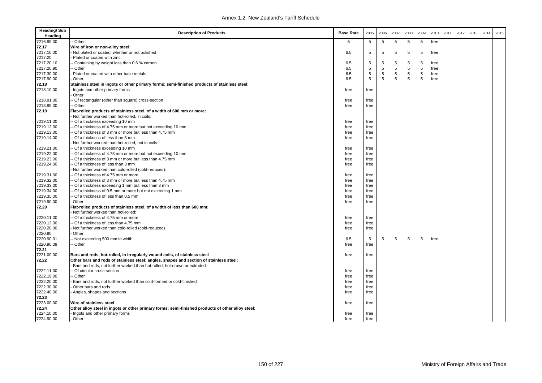| <b>Heading/Sub</b><br>Heading | <b>Description of Products</b>                                                                                          | <b>Base Rate</b> | 2005       | 2006       | 2007 | 2008        | 2009 | 2010 | 2011 | 2012 | 2013 | 2014 | 2015 |
|-------------------------------|-------------------------------------------------------------------------------------------------------------------------|------------------|------------|------------|------|-------------|------|------|------|------|------|------|------|
| 7216.99.00                    | - Other:                                                                                                                | 5                | 5          | 5          | 5    | 5           | 5    | free |      |      |      |      |      |
| 72.17                         | Wire of iron or non-alloy steel:                                                                                        |                  |            |            |      |             |      |      |      |      |      |      |      |
| 7217.10.00                    | Not plated or coated, whether or not polished                                                                           | 6.5              | 5          | 5          | 5    | 5           | 5    | free |      |      |      |      |      |
| 7217.20                       | Plated or coated with zinc:                                                                                             |                  |            |            |      |             |      |      |      |      |      |      |      |
| 7217.20.10                    | - Containing by weight less than 0.6 % carbon                                                                           | 6.5              | 5          | 5          | 5    | 5           | 5    | free |      |      |      |      |      |
| 7217.20.90                    | - Other                                                                                                                 | 6.5              | $\sqrt{5}$ | $\sqrt{5}$ | 5    | 5           | 5    | free |      |      |      |      |      |
| 7217.30.00                    | Plated or coated with other base metals                                                                                 | 6.5              | 5          | 5          | 5    | $\,$ 5 $\,$ | 5    | free |      |      |      |      |      |
| 7217.90.00                    | Other                                                                                                                   | 6.5              | 5          | 5          | 5    | 5           | 5    | free |      |      |      |      |      |
| 72.18                         | Stainless steel in ingots or other primary forms; semi-finished products of stainless steel:                            |                  |            |            |      |             |      |      |      |      |      |      |      |
| 7218.10.00                    | Ingots and other primary forms                                                                                          | free             | free       |            |      |             |      |      |      |      |      |      |      |
|                               | Other:                                                                                                                  |                  |            |            |      |             |      |      |      |      |      |      |      |
| 7218.91.00                    | - Of rectangular (other than square) cross-section                                                                      | free             | free       |            |      |             |      |      |      |      |      |      |      |
| 7218.99.00                    | - Other                                                                                                                 | free             | free       |            |      |             |      |      |      |      |      |      |      |
| 72.19                         | Flat-rolled products of stainless steel, of a width of 600 mm or more:<br>Not further worked than hot-rolled, in coils: |                  |            |            |      |             |      |      |      |      |      |      |      |
|                               |                                                                                                                         |                  |            |            |      |             |      |      |      |      |      |      |      |
| 7219.11.00                    | - Of a thickness exceeding 10 mm                                                                                        | free             | free       |            |      |             |      |      |      |      |      |      |      |
| 7219.12.00                    | - Of a thickness of 4.75 mm or more but not exceeding 10 mm                                                             | free             | free       |            |      |             |      |      |      |      |      |      |      |
| 7219.13.00                    | - Of a thickness of 3 mm or more but less than 4.75 mm                                                                  | free             | free       |            |      |             |      |      |      |      |      |      |      |
| 7219.14.00                    | - Of a thickness of less than 3 mm                                                                                      | free             | free       |            |      |             |      |      |      |      |      |      |      |
|                               | Not further worked than hot-rolled, not in coils:                                                                       |                  |            |            |      |             |      |      |      |      |      |      |      |
| 7219.21.00                    | - Of a thickness exceeding 10 mm                                                                                        | free             | free       |            |      |             |      |      |      |      |      |      |      |
| 7219.22.00                    | - Of a thickness of 4.75 mm or more but not exceeding 10 mm                                                             | free             | free       |            |      |             |      |      |      |      |      |      |      |
| 7219.23.00                    | - Of a thickness of 3 mm or more but less than 4.75 mm                                                                  | free             | free       |            |      |             |      |      |      |      |      |      |      |
| 7219.24.00                    | Of a thickness of less than 3 mm                                                                                        | free             | free       |            |      |             |      |      |      |      |      |      |      |
|                               | Not further worked than cold-rolled (cold-reduced):                                                                     |                  |            |            |      |             |      |      |      |      |      |      |      |
| 7219.31.00                    | - Of a thickness of 4.75 mm or more                                                                                     | free             | free       |            |      |             |      |      |      |      |      |      |      |
| 7219.32.00                    | - Of a thickness of 3 mm or more but less than 4.75 mm                                                                  | free             | free       |            |      |             |      |      |      |      |      |      |      |
| 7219.33.00                    | - Of a thickness exceeding 1 mm but less than 3 mm                                                                      | free             | free       |            |      |             |      |      |      |      |      |      |      |
| 7219.34.00                    | - Of a thickness of 0.5 mm or more but not exceeding 1 mm                                                               | free             | free       |            |      |             |      |      |      |      |      |      |      |
| 7219.35.00<br>7219.90.00      | - Of a thickness of less than 0.5 mm<br>Other                                                                           | free             | free       |            |      |             |      |      |      |      |      |      |      |
|                               |                                                                                                                         | free             | free       |            |      |             |      |      |      |      |      |      |      |
| 72.20                         | Flat-rolled products of stainless steel, of a width of less than 600 mm:<br>Not further worked than hot-rolled:         |                  |            |            |      |             |      |      |      |      |      |      |      |
| 7220.11.00                    | - Of a thickness of 4.75 mm or more                                                                                     | free             | free       |            |      |             |      |      |      |      |      |      |      |
| 7220.12.00                    | - Of a thickness of less than 4.75 mm                                                                                   | free             | free       |            |      |             |      |      |      |      |      |      |      |
| 7220.20.00                    | Not further worked than cold-rolled (cold-reduced)                                                                      | free             | free       |            |      |             |      |      |      |      |      |      |      |
| 7220.90                       | Other:                                                                                                                  |                  |            |            |      |             |      |      |      |      |      |      |      |
| 7220.90.01                    | - Not exceeding 500 mm in width                                                                                         | 6.5              | 5          | 5          | 5    | 5           | 5    | free |      |      |      |      |      |
| 7220.90.09                    | - Other                                                                                                                 | free             | free       |            |      |             |      |      |      |      |      |      |      |
| 72.21                         |                                                                                                                         |                  |            |            |      |             |      |      |      |      |      |      |      |
| 7221.00.00                    | Bars and rods, hot-rolled, in irregularly wound coils, of stainless steel                                               | free             | free       |            |      |             |      |      |      |      |      |      |      |
| 72.22                         | Other bars and rods of stainless steel; angles, shapes and section of stainless steel:                                  |                  |            |            |      |             |      |      |      |      |      |      |      |
|                               | Bars and rods, not further worked than hot-rolled, hot-drawn or extruded:                                               |                  |            |            |      |             |      |      |      |      |      |      |      |
| 7222.11.00                    | - Of circular cross-section                                                                                             | free             | free       |            |      |             |      |      |      |      |      |      |      |
| 7222.19.00                    | - Other                                                                                                                 | free             | free       |            |      |             |      |      |      |      |      |      |      |
| 7222.20.00                    | Bars and rods, not further worked than cold-formed or cold-finished                                                     | free             | free       |            |      |             |      |      |      |      |      |      |      |
| 7222.30.00                    | Other bars and rods                                                                                                     | free             | free       |            |      |             |      |      |      |      |      |      |      |
| 7222.40.00                    | Angles, shapes and sections                                                                                             | free             | free       |            |      |             |      |      |      |      |      |      |      |
| 72.23                         |                                                                                                                         |                  |            |            |      |             |      |      |      |      |      |      |      |
| 7223.00.00                    | Wire of stainless steel                                                                                                 | free             | free       |            |      |             |      |      |      |      |      |      |      |
| 72.24                         | Other alloy steel in ingots or other primary forms; semi-finished products of other alloy steel:                        |                  |            |            |      |             |      |      |      |      |      |      |      |
| 7224.10.00                    | - Ingots and other primary forms                                                                                        | free             | free       |            |      |             |      |      |      |      |      |      |      |
| 7224.90.00                    | - Other                                                                                                                 | free             | free       |            |      |             |      |      |      |      |      |      |      |
|                               |                                                                                                                         |                  |            |            |      |             |      |      |      |      |      |      |      |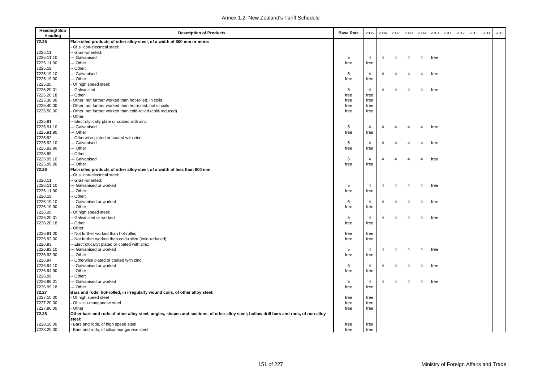| <b>Heading/Sub</b><br>Heading | <b>Description of Products</b>                                                                                                        | <b>Base Rate</b> | 2005           | 2006           | 2007           | 2008           | 2009           | 2010 | 2011 | 2012 | 2013 | 2014 | 2015 |
|-------------------------------|---------------------------------------------------------------------------------------------------------------------------------------|------------------|----------------|----------------|----------------|----------------|----------------|------|------|------|------|------|------|
| 72.25                         | Flat-rolled products of other alloy steel, of a width of 600 mm or more:                                                              |                  |                |                |                |                |                |      |      |      |      |      |      |
|                               | Of silicon-electrical steel:                                                                                                          |                  |                |                |                |                |                |      |      |      |      |      |      |
| 7225.11                       | - Grain-oriented:                                                                                                                     |                  |                |                |                |                |                |      |      |      |      |      |      |
| 7225.11.10                    | -- Galvanised                                                                                                                         | 5                | 4              | $\overline{4}$ | $\overline{4}$ | 4              | $\overline{4}$ | free |      |      |      |      |      |
| 7225.11.90                    | -- Other                                                                                                                              | free             | free           |                |                |                |                |      |      |      |      |      |      |
| 7225.19                       | - Other:                                                                                                                              |                  |                |                |                |                |                |      |      |      |      |      |      |
| 7225.19.10                    | -- Galvanised                                                                                                                         | 5                | $\overline{4}$ | $\overline{4}$ | 4              | 4              | 4              | free |      |      |      |      |      |
| 7225.19.90                    | -- Other                                                                                                                              | free             | free           |                |                |                |                |      |      |      |      |      |      |
| 7225.20                       | Of high speed steel:                                                                                                                  |                  |                |                |                |                |                |      |      |      |      |      |      |
| 7225.20.01                    | - Galvanised                                                                                                                          | 5                | 4              | $\overline{4}$ | $\overline{4}$ | 4              | 4              | free |      |      |      |      |      |
| 7225.20.18                    | - Other                                                                                                                               | free             | free           |                |                |                |                |      |      |      |      |      |      |
| 7225.30.00                    | Other, not further worked than hot-rolled, in coils                                                                                   | free             | free           |                |                |                |                |      |      |      |      |      |      |
| 7225.40.00                    | Other, not further worked than hot-rolled, not in coils                                                                               | free             | free           |                |                |                |                |      |      |      |      |      |      |
| 7225.50.00                    | Other, not further worked than cold-rolled (cold-reduced)                                                                             | free             | free           |                |                |                |                |      |      |      |      |      |      |
|                               | Other:                                                                                                                                |                  |                |                |                |                |                |      |      |      |      |      |      |
| 7225.91                       | Electrolytically plate or coated with zinc:                                                                                           |                  |                |                |                |                |                |      |      |      |      |      |      |
| 7225.91.10                    | -- Galvanised                                                                                                                         | 5                | $\overline{4}$ | $\overline{4}$ | $\overline{4}$ | 4              | $\overline{4}$ | free |      |      |      |      |      |
| 7225.91.90                    | -- Other                                                                                                                              | free             | free           |                |                |                |                |      |      |      |      |      |      |
| 7225.92                       | Otherwise plated or coated with zinc:                                                                                                 |                  |                |                |                |                |                |      |      |      |      |      |      |
| 7225.92.10                    | -- Galvanised                                                                                                                         | 5                | $\overline{4}$ | $\overline{4}$ | $\overline{4}$ | 4              | $\overline{4}$ | free |      |      |      |      |      |
| 7225.92.90                    | -- Other                                                                                                                              | free             | free           |                |                |                |                |      |      |      |      |      |      |
| 7225.99                       | - Other:                                                                                                                              |                  |                |                |                |                |                |      |      |      |      |      |      |
| 7225.99.10                    | -- Galvanised                                                                                                                         | 5                | 4              | $\overline{4}$ | $\overline{4}$ | $\overline{4}$ | $\overline{4}$ | free |      |      |      |      |      |
| 7225.99.90                    | --- Other                                                                                                                             | free             | free           |                |                |                |                |      |      |      |      |      |      |
| 72.26                         | Flat-rolled products of other alloy steel, of a width of less than 600 mm:                                                            |                  |                |                |                |                |                |      |      |      |      |      |      |
|                               | Of silicon-electrical steel:                                                                                                          |                  |                |                |                |                |                |      |      |      |      |      |      |
| 7226.11                       | -- Grain-oriented:                                                                                                                    |                  |                |                |                |                |                |      |      |      |      |      |      |
| 7226.11.10                    | --- Galvanised or worked                                                                                                              | 5                | 4              | $\overline{4}$ | $\overline{4}$ | 4              | $\overline{4}$ | free |      |      |      |      |      |
| 7226.11.90                    | -- Other                                                                                                                              | free             | free           |                |                |                |                |      |      |      |      |      |      |
| 7226.19                       | - Other:                                                                                                                              |                  |                |                |                |                |                |      |      |      |      |      |      |
| 7226.19.10                    | --- Galvanised or worked                                                                                                              | 5                | 4              | $\overline{4}$ | 4              | 4              | 4              | free |      |      |      |      |      |
| 7226.19.90                    | -- Other                                                                                                                              | free             | free           |                |                |                |                |      |      |      |      |      |      |
| 7226.20                       | Of high speed steel:                                                                                                                  |                  |                |                |                |                |                |      |      |      |      |      |      |
| 7226.20.01                    | - Galvanised or worked                                                                                                                | 5                | 4              | $\overline{4}$ | $\overline{4}$ | 4              | 4              | free |      |      |      |      |      |
| 7226.20.18                    | - Other                                                                                                                               | free             | free           |                |                |                |                |      |      |      |      |      |      |
|                               | Other:                                                                                                                                |                  |                |                |                |                |                |      |      |      |      |      |      |
| 7226.91.00                    | - Not further worked than hot-rolled                                                                                                  | free             | free           |                |                |                |                |      |      |      |      |      |      |
| 7226.92.00                    | Not further worked than cold-rolled (cold-reduced)                                                                                    | free             | free           |                |                |                |                |      |      |      |      |      |      |
| 7226.93                       | Electrolticallyt plated or coated with zinc:                                                                                          |                  |                |                |                |                |                |      |      |      |      |      |      |
| 7226.93.10                    | -- Galvanised or worked                                                                                                               | 5                | 4              | $\overline{4}$ | $\overline{4}$ | 4              | $\overline{4}$ | free |      |      |      |      |      |
| 7226.93.90                    | - Other                                                                                                                               | free             | free           |                |                |                |                |      |      |      |      |      |      |
| 7226.94                       | - Otherwise plated or coated with zinc:                                                                                               |                  |                |                |                |                |                |      |      |      |      |      |      |
| 7226.94.10                    | -- Galvanised or worked                                                                                                               | 5                | 4              | $\overline{4}$ | $\overline{4}$ | 4              | $\overline{4}$ | free |      |      |      |      |      |
| 7226.94.90                    | -- Other                                                                                                                              | free             | free           |                |                |                |                |      |      |      |      |      |      |
| 7226.99                       | - Other:                                                                                                                              |                  |                |                |                |                |                |      |      |      |      |      |      |
| 7226.99.01                    | -- Galvanised or worked                                                                                                               | 5                | $\overline{4}$ | $\overline{4}$ | $\overline{4}$ | $\overline{4}$ | $\overline{4}$ | free |      |      |      |      |      |
| 7226.99.18                    | -- Other                                                                                                                              | free             | free           |                |                |                |                |      |      |      |      |      |      |
| 72.27                         | Bars and rods, hot-rolled, in irregularly wound coils, of other alloy steel:                                                          |                  |                |                |                |                |                |      |      |      |      |      |      |
| 7227.10.00<br>7227.20.00      | Of high speed steel                                                                                                                   | free<br>free     | free           |                |                |                |                |      |      |      |      |      |      |
|                               | Of silico-manganese steel<br>Other                                                                                                    |                  | free           |                |                |                |                |      |      |      |      |      |      |
| 7227.90.00                    |                                                                                                                                       | free             | free           |                |                |                |                |      |      |      |      |      |      |
| 72.28                         | Other bars and rods of other alloy steel; angles, shapes and sections, of other alloy steel; hollow drill bars and rods, of non-alloy |                  |                |                |                |                |                |      |      |      |      |      |      |
|                               | steel:                                                                                                                                |                  |                |                |                |                |                |      |      |      |      |      |      |
| 7228.10.00                    | Bars and rods, of high speed steel                                                                                                    | free             | free           |                |                |                |                |      |      |      |      |      |      |
| 7228.20.00                    | Bars and rods, of silico-manganese steel                                                                                              | free             | free           |                |                |                |                |      |      |      |      |      |      |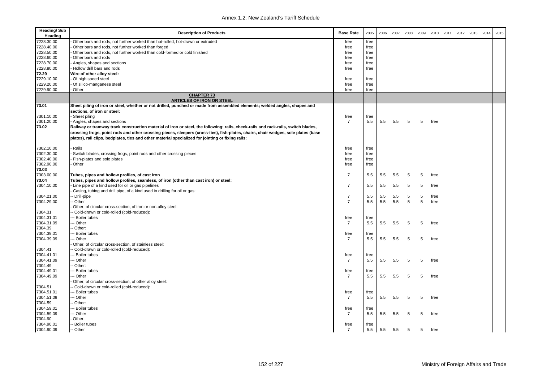| <b>Heading/Sub</b><br>Heading | <b>Description of Products</b>                                                                                                                                                                                                                                                                                                                                              | <b>Base Rate</b> | 2005         | 2006 | 2007 | 2008 | 2009 | 2010 | 2011 | 2012 | 2013 | 2014 | 2015 |
|-------------------------------|-----------------------------------------------------------------------------------------------------------------------------------------------------------------------------------------------------------------------------------------------------------------------------------------------------------------------------------------------------------------------------|------------------|--------------|------|------|------|------|------|------|------|------|------|------|
| 7228.30.00                    | Other bars and rods, not further worked than hot-rolled, hot-drawn or extruded                                                                                                                                                                                                                                                                                              | free             | free         |      |      |      |      |      |      |      |      |      |      |
| 7228.40.00                    | Other bars and rods, not further worked than forged                                                                                                                                                                                                                                                                                                                         | free             | free         |      |      |      |      |      |      |      |      |      |      |
| 7228.50.00                    | Other bars and rods, not further worked than cold-formed or cold finished                                                                                                                                                                                                                                                                                                   | free             | free         |      |      |      |      |      |      |      |      |      |      |
| 7228.60.00                    | Other bars and rods                                                                                                                                                                                                                                                                                                                                                         | free             | free         |      |      |      |      |      |      |      |      |      |      |
| 7228.70.00                    | Angles, shapes and sections                                                                                                                                                                                                                                                                                                                                                 | free             | free         |      |      |      |      |      |      |      |      |      |      |
| 7228.80.00                    | - Hollow drill bars and rods                                                                                                                                                                                                                                                                                                                                                | free             | free         |      |      |      |      |      |      |      |      |      |      |
| 72.29                         | Wire of other alloy steel:                                                                                                                                                                                                                                                                                                                                                  |                  |              |      |      |      |      |      |      |      |      |      |      |
| 7229.10.00                    | - Of high speed steel                                                                                                                                                                                                                                                                                                                                                       | free             | free         |      |      |      |      |      |      |      |      |      |      |
| 7229.20.00                    | - Of silico-manganese steel                                                                                                                                                                                                                                                                                                                                                 | free             | free         |      |      |      |      |      |      |      |      |      |      |
| 7229.90.00                    | Other                                                                                                                                                                                                                                                                                                                                                                       | free             | free         |      |      |      |      |      |      |      |      |      |      |
|                               | <b>CHAPTER 73</b><br><b>ARTICLES OF IRON OR STEEL</b>                                                                                                                                                                                                                                                                                                                       |                  |              |      |      |      |      |      |      |      |      |      |      |
| 73.01                         | Sheet piling of iron or steel, whether or not drilled, punched or made from assembled elements; welded angles, shapes and                                                                                                                                                                                                                                                   |                  |              |      |      |      |      |      |      |      |      |      |      |
|                               | sections, of iron or steel:                                                                                                                                                                                                                                                                                                                                                 |                  |              |      |      |      |      |      |      |      |      |      |      |
| 7301.10.00                    | Sheet piling                                                                                                                                                                                                                                                                                                                                                                | free             | free         |      |      |      |      |      |      |      |      |      |      |
| 7301.20.00                    | Angles, shapes and sections                                                                                                                                                                                                                                                                                                                                                 | $\overline{7}$   | 5.5          | 5.5  | 5.5  | 5    | 5    | free |      |      |      |      |      |
| 73.02                         | Railway or tramway track construction material of iron or steel, the following: rails, check-rails and rack-rails, switch blades,<br>crossing frogs, point rods and other crossing pieces, sleepers (cross-ties), fish-plates, chairs, chair wedges, sole plates (base<br>plates), rail clips, bedplates, ties and other material specialized for jointing or fixing rails: |                  |              |      |      |      |      |      |      |      |      |      |      |
| 7302.10.00                    | Rails                                                                                                                                                                                                                                                                                                                                                                       |                  |              |      |      |      |      |      |      |      |      |      |      |
| 7302.30.00                    | Switch blades, crossing frogs, point rods and other crossing pieces                                                                                                                                                                                                                                                                                                         | free<br>free     | free<br>free |      |      |      |      |      |      |      |      |      |      |
| 7302.40.00                    | Fish-plates and sole plates                                                                                                                                                                                                                                                                                                                                                 | free             | free         |      |      |      |      |      |      |      |      |      |      |
| 7302.90.00                    | Other                                                                                                                                                                                                                                                                                                                                                                       | free             | free         |      |      |      |      |      |      |      |      |      |      |
| 73.03                         |                                                                                                                                                                                                                                                                                                                                                                             |                  |              |      |      |      |      |      |      |      |      |      |      |
| 7303.00.00                    | Tubes, pipes and hollow profiles, of cast iron                                                                                                                                                                                                                                                                                                                              | $\overline{7}$   | 5.5          | 5.5  | 5.5  | 5    | 5    | free |      |      |      |      |      |
| 73.04                         | Tubes, pipes and hollow profiles, seamless, of iron (other than cast iron) or steel:                                                                                                                                                                                                                                                                                        |                  |              |      |      |      |      |      |      |      |      |      |      |
| 7304.10.00                    | Line pipe of a kind used for oil or gas pipelines                                                                                                                                                                                                                                                                                                                           | $\overline{7}$   | 5.5          | 5.5  | 5.5  | 5    | 5    | free |      |      |      |      |      |
|                               | Casing, tubing and drill pipe, of a kind used in drilling for oil or gas:                                                                                                                                                                                                                                                                                                   |                  |              |      |      |      |      |      |      |      |      |      |      |
| 7304.21.00                    | - Drill-pipe                                                                                                                                                                                                                                                                                                                                                                | $\overline{7}$   | 5.5          | 5.5  | 5.5  | 5    | 5    | free |      |      |      |      |      |
| 7304.29.00                    | - Other                                                                                                                                                                                                                                                                                                                                                                     | $\overline{7}$   | 5.5          | 5.5  | 5.5  | 5    | 5    | free |      |      |      |      |      |
|                               | Other, of circular cross-section, of iron or non-alloy steel:                                                                                                                                                                                                                                                                                                               |                  |              |      |      |      |      |      |      |      |      |      |      |
| 7304.31                       | - Cold-drawn or cold-rolled (cold-reduced):                                                                                                                                                                                                                                                                                                                                 |                  |              |      |      |      |      |      |      |      |      |      |      |
| 7304.31.01                    | --- Boiler tubes                                                                                                                                                                                                                                                                                                                                                            | free             | free         |      |      |      |      |      |      |      |      |      |      |
| 7304.31.09                    | -- Other                                                                                                                                                                                                                                                                                                                                                                    | $\overline{7}$   | 5.5          | 5.5  | 5.5  | 5    | 5    | free |      |      |      |      |      |
| 7304.39                       | - Other:                                                                                                                                                                                                                                                                                                                                                                    |                  |              |      |      |      |      |      |      |      |      |      |      |
| 7304.39.01                    | -- Boiler tubes                                                                                                                                                                                                                                                                                                                                                             | free             | free         |      |      |      |      |      |      |      |      |      |      |
| 7304.39.09                    | -- Other                                                                                                                                                                                                                                                                                                                                                                    | $\overline{7}$   | 5.5          | 5.5  | 5.5  | 5    | 5    | free |      |      |      |      |      |
|                               | Other, of circular cross-section, of stainless steel:                                                                                                                                                                                                                                                                                                                       |                  |              |      |      |      |      |      |      |      |      |      |      |
| 7304.41                       | - Cold-drawn or cold-rolled (cold-reduced):                                                                                                                                                                                                                                                                                                                                 |                  |              |      |      |      |      |      |      |      |      |      |      |
| 7304.41.01                    | -- Boiler tubes                                                                                                                                                                                                                                                                                                                                                             | free             | free         |      |      |      |      |      |      |      |      |      |      |
| 7304.41.09                    | -- Other                                                                                                                                                                                                                                                                                                                                                                    | $\overline{7}$   | 5.5          | 5.5  | 5.5  | 5    | 5    | free |      |      |      |      |      |
| 7304.49                       | -- Other:                                                                                                                                                                                                                                                                                                                                                                   |                  |              |      |      |      |      |      |      |      |      |      |      |
| 7304.49.01                    | -- Boiler tubes                                                                                                                                                                                                                                                                                                                                                             | free             | free         |      |      |      |      |      |      |      |      |      |      |
| 7304.49.09                    | - Other                                                                                                                                                                                                                                                                                                                                                                     | $\overline{7}$   | 5.5          | 5.5  | 5.5  | 5    | 5    | free |      |      |      |      |      |
|                               | Other, of circular cross-section, of other alloy steel:                                                                                                                                                                                                                                                                                                                     |                  |              |      |      |      |      |      |      |      |      |      |      |
| 7304.51                       | - Cold-drawn or cold-rolled (cold-reduced):                                                                                                                                                                                                                                                                                                                                 |                  |              |      |      |      |      |      |      |      |      |      |      |
| 7304.51.01                    | --- Boiler tubes                                                                                                                                                                                                                                                                                                                                                            | free             | free         |      |      |      |      |      |      |      |      |      |      |
| 7304.51.09                    | -- Other                                                                                                                                                                                                                                                                                                                                                                    | $\overline{7}$   | 5.5          | 5.5  | 5.5  | 5    | 5    | free |      |      |      |      |      |
| 7304.59                       | - Other:                                                                                                                                                                                                                                                                                                                                                                    |                  |              |      |      |      |      |      |      |      |      |      |      |
| 7304.59.01                    | --- Boiler tubes                                                                                                                                                                                                                                                                                                                                                            | free             | free         |      |      |      |      |      |      |      |      |      |      |
| 7304.59.09                    | -- Other                                                                                                                                                                                                                                                                                                                                                                    | $\overline{7}$   | 5.5          | 5.5  | 5.5  | 5    | 5    | free |      |      |      |      |      |
| 7304.90                       | Other:                                                                                                                                                                                                                                                                                                                                                                      |                  |              |      |      |      |      |      |      |      |      |      |      |
| 7304.90.01                    | - Boiler tubes                                                                                                                                                                                                                                                                                                                                                              | free             | free         |      |      |      |      |      |      |      |      |      |      |
| 7304.90.09                    | -- Other                                                                                                                                                                                                                                                                                                                                                                    | $\overline{7}$   | 5.5          | 5.5  | 5.5  | 5    | 5    | free |      |      |      |      |      |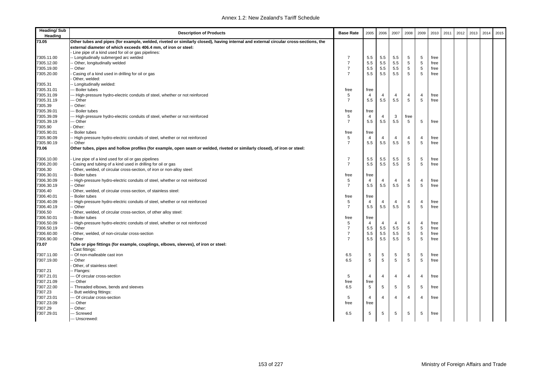| <b>Heading/Sub</b><br>Heading | <b>Description of Products</b>                                                                                                      | <b>Base Rate</b> | 2005           | 2006           | 2007                    | 2008           | 2009           | 2010 | 2011 | 2012 | 2013 | 2014 | 2015 |
|-------------------------------|-------------------------------------------------------------------------------------------------------------------------------------|------------------|----------------|----------------|-------------------------|----------------|----------------|------|------|------|------|------|------|
| 73.05                         | Other tubes and pipes (for example, welded, riveted or similarly closed), having internal and external circular cross-sections, the |                  |                |                |                         |                |                |      |      |      |      |      |      |
|                               | external diameter of which exceeds 406.4 mm, of iron or steel:                                                                      |                  |                |                |                         |                |                |      |      |      |      |      |      |
|                               | - Line pipe of a kind used for oil or gas pipelines:                                                                                |                  |                |                |                         |                |                |      |      |      |      |      |      |
| 7305.11.00                    | -- Longitudinally submerged arc welded                                                                                              | $\overline{7}$   | 5.5            | 5.5            | 5.5                     | 5              | 5              | free |      |      |      |      |      |
| 7305.12.00                    | - Other, longitudinally welded                                                                                                      | $\overline{7}$   | 5.5            | 5.5            | 5.5                     | 5              | $\,$ 5 $\,$    | free |      |      |      |      |      |
| 7305.19.00                    | - Other                                                                                                                             | $\overline{7}$   | 5.5            | 5.5            | 5.5                     | 5              | 5              | free |      |      |      |      |      |
| 7305.20.00                    | Casing of a kind used in drilling for oil or gas                                                                                    | $\overline{7}$   | 5.5            | 5.5            | 5.5                     | 5              | 5              | free |      |      |      |      |      |
|                               | Other, welded:                                                                                                                      |                  |                |                |                         |                |                |      |      |      |      |      |      |
| 7305.31                       | - Longitudinally welded:                                                                                                            |                  |                |                |                         |                |                |      |      |      |      |      |      |
| 7305.31.01                    | -- Boiler tubes                                                                                                                     | free             | free           |                |                         |                |                |      |      |      |      |      |      |
| 7305.31.09                    | --- High-pressure hydro-electric conduits of steel, whether or not reinforced                                                       | 5                | $\overline{4}$ | $\overline{4}$ | $\overline{4}$          | $\overline{4}$ | 4              | free |      |      |      |      |      |
| 7305.31.19                    | -- Other                                                                                                                            | $\overline{7}$   | 5.5            | 5.5            | 5.5                     | 5              | 5              | free |      |      |      |      |      |
| 7305.39                       | - Other:                                                                                                                            |                  |                |                |                         |                |                |      |      |      |      |      |      |
| 7305.39.01                    | --- Boiler tubes                                                                                                                    | free             | free           |                |                         |                |                |      |      |      |      |      |      |
| 7305.39.09                    | --- High-pressure hydro-electric conduits of steel, whether or not reinforced                                                       | 5                | $\overline{4}$ | 4              | 3                       | free           |                |      |      |      |      |      |      |
| 7305.39.19                    | --- Other                                                                                                                           | $\overline{7}$   | 5.5            | 5.5            | 5.5                     | 5              | 5              | free |      |      |      |      |      |
| 7305.90                       | - Other:                                                                                                                            |                  |                |                |                         |                |                |      |      |      |      |      |      |
| 7305.90.01                    | - Boiler tubes                                                                                                                      | free             | free           |                |                         |                |                |      |      |      |      |      |      |
| 7305.90.09                    | -- High-pressure hydro-electric conduits of steel, whether or not reinforced                                                        | 5                | $\overline{4}$ | 4              | $\overline{4}$          | 4              | 4              | free |      |      |      |      |      |
| 7305.90.19                    | -- Other                                                                                                                            | $\overline{7}$   | 5.5            | 5.5            | 5.5                     | 5              | 5              | free |      |      |      |      |      |
| 73.06                         | Other tubes, pipes and hollow profiles (for example, open seam or welded, riveted or similarly closed), of iron or steel:           |                  |                |                |                         |                |                |      |      |      |      |      |      |
| 7306.10.00                    | Line pipe of a kind used for oil or gas pipelines                                                                                   | 7                | 5.5            | 5.5            | 5.5                     | 5              | 5              | free |      |      |      |      |      |
| 7306.20.00                    | Casing and tubing of a kind used in drilling for oil or gas                                                                         | $\overline{7}$   | 5.5            | 5.5            | 5.5                     | 5              | 5              | free |      |      |      |      |      |
| 7306.30                       | Other, welded, of circular cross-section, of iron or non-alloy steel:                                                               |                  |                |                |                         |                |                |      |      |      |      |      |      |
| 7306.30.01                    | - Boiler tubes                                                                                                                      | free             | free           |                |                         |                |                |      |      |      |      |      |      |
| 7306.30.09                    | -- High-pressure hydro-electric conduits of steel, whether or not reinforced                                                        | 5                | $\overline{4}$ | 4              | $\overline{4}$          | $\overline{4}$ | $\overline{4}$ | free |      |      |      |      |      |
| 7306.30.19                    | - Other                                                                                                                             | $\overline{7}$   | 5.5            | 5.5            | 5.5                     | 5              | 5              | free |      |      |      |      |      |
| 7306.40                       | Other, welded, of circular cross-section, of stainless steel:                                                                       |                  |                |                |                         |                |                |      |      |      |      |      |      |
| 7306.40.01                    | - Boiler tubes                                                                                                                      | free             | free           |                |                         |                |                |      |      |      |      |      |      |
| 7306.40.09                    | -- High-pressure hydro-electric conduits of steel, whether or not reinforced                                                        | 5                | 4              | 4              | $\overline{\mathbf{4}}$ | $\overline{4}$ | $\overline{4}$ | free |      |      |      |      |      |
| 7306.40.19                    | - Other                                                                                                                             | $\overline{7}$   | 5.5            | 5.5            | 5.5                     | 5              | 5              | free |      |      |      |      |      |
| 7306.50                       | Other, welded, of circular cross-section, of other alloy steel:                                                                     |                  |                |                |                         |                |                |      |      |      |      |      |      |
| 7306.50.01                    | - Boiler tubes                                                                                                                      | free             | free           |                |                         |                |                |      |      |      |      |      |      |
| 7306.50.09                    | -- High-pressure hydro-electric conduits of steel, whether or not reinforced                                                        | 5                | 4              | 4              | 4                       | 4              | $\overline{4}$ | free |      |      |      |      |      |
| 7306.50.19                    | - Other                                                                                                                             | $\overline{7}$   | 5.5            | 5.5            | 5.5                     | 5              | 5              | free |      |      |      |      |      |
| 7306.60.00                    | Other, welded, of non-circular cross-section                                                                                        | $\overline{7}$   | 5.5            | 5.5            | 5.5                     | $\sqrt{5}$     | 5              | free |      |      |      |      |      |
| 7306.90.00                    | Other                                                                                                                               | $\overline{7}$   | 5.5            | 5.5            | 5.5                     | 5              | 5              | free |      |      |      |      |      |
| 73.07                         | Tube or pipe fittings (for example, couplings, elbows, sleeves), of iron or steel:<br>Cast fittings:                                |                  |                |                |                         |                |                |      |      |      |      |      |      |
| 7307.11.00                    | - Of non-malleable cast iron                                                                                                        | 6.5              | 5              | 5              | 5                       | 5              | 5              | free |      |      |      |      |      |
| 7307.19.00                    | - Other                                                                                                                             | 6.5              | 5              | 5              | 5                       | 5              | 5              | free |      |      |      |      |      |
|                               | Other, of stainless steel:                                                                                                          |                  |                |                |                         |                |                |      |      |      |      |      |      |
| 7307.21                       | - Flanges:                                                                                                                          |                  |                |                |                         |                |                |      |      |      |      |      |      |
| 7307.21.01                    | --- Of circular cross-section                                                                                                       | 5                | 4              | 4              | 4                       | $\overline{4}$ | 4              | free |      |      |      |      |      |
| 7307.21.09                    | -- Other                                                                                                                            | free             | free           |                |                         |                |                |      |      |      |      |      |      |
| 7307.22.00                    | -- Threaded elbows, bends and sleeves                                                                                               | 6.5              | 5              | 5              | 5                       | 5              | 5              | free |      |      |      |      |      |
| 7307.23                       | - Butt welding fittings:                                                                                                            |                  |                |                |                         |                |                |      |      |      |      |      |      |
| 7307.23.01                    | -- Of circular cross-section                                                                                                        | 5                | 4              | 4              | $\overline{4}$          | 4              | 4              | free |      |      |      |      |      |
| 7307.23.09                    | -- Other                                                                                                                            | free             | free           |                |                         |                |                |      |      |      |      |      |      |
| 7307.29                       | - Other:                                                                                                                            |                  |                |                |                         |                |                |      |      |      |      |      |      |
| 7307.29.01                    | --- Screwed                                                                                                                         | 6.5              | 5              | 5              | 5                       | 5              | 5              | free |      |      |      |      |      |
|                               | --- Unscrewed:                                                                                                                      |                  |                |                |                         |                |                |      |      |      |      |      |      |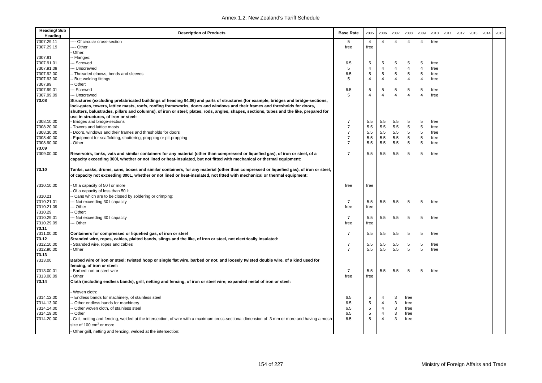| <b>Heading/Sub</b><br>Heading | <b>Description of Products</b>                                                                                                                                                                                                                                    | <b>Base Rate</b> | 2005           | 2006           | 2007           | 2008           | 2009           | 2010 | 2011 | 2012 | 2013 | 2014 | 2015 |
|-------------------------------|-------------------------------------------------------------------------------------------------------------------------------------------------------------------------------------------------------------------------------------------------------------------|------------------|----------------|----------------|----------------|----------------|----------------|------|------|------|------|------|------|
| 7307.29.11                    | --- Of circular cross-section                                                                                                                                                                                                                                     | 5                | $\overline{4}$ | $\overline{4}$ | $\overline{4}$ | $\overline{4}$ | $\overline{4}$ | free |      |      |      |      |      |
| 7307.29.19                    | --- Other                                                                                                                                                                                                                                                         | free             | free           |                |                |                |                |      |      |      |      |      |      |
|                               | Other:                                                                                                                                                                                                                                                            |                  |                |                |                |                |                |      |      |      |      |      |      |
| 7307.91                       | - Flanges:                                                                                                                                                                                                                                                        |                  |                |                |                |                |                |      |      |      |      |      |      |
| 7307.91.01                    | -- Screwed                                                                                                                                                                                                                                                        | 6.5              | 5              | 5              | 5              | 5              | 5              | free |      |      |      |      |      |
| 7307.91.09                    | -- Unscrewed                                                                                                                                                                                                                                                      | 5                | $\overline{4}$ | $\overline{4}$ | $\overline{4}$ | $\overline{4}$ | $\overline{4}$ | free |      |      |      |      |      |
| 7307.92.00                    | -- Threaded elbows, bends and sleeves                                                                                                                                                                                                                             | 6.5              | $\sqrt{5}$     | $\,$ 5 $\,$    | 5              | 5              | 5              | free |      |      |      |      |      |
| 7307.93.00                    | - Butt welding fittings                                                                                                                                                                                                                                           | 5                | $\overline{4}$ | $\overline{4}$ | 4              | 4              | $\overline{4}$ | free |      |      |      |      |      |
| 7307.99                       | - Other:                                                                                                                                                                                                                                                          |                  |                |                |                |                |                |      |      |      |      |      |      |
| 7307.99.01                    | --- Screwed                                                                                                                                                                                                                                                       | 6.5              | 5              | 5              | 5              | 5              | 5              | free |      |      |      |      |      |
| 7307.99.09                    | --- Unscrewed                                                                                                                                                                                                                                                     | 5                | $\overline{4}$ | $\overline{4}$ | $\overline{4}$ | $\overline{4}$ | $\overline{4}$ | free |      |      |      |      |      |
| 73.08                         | Structures (excluding prefabricated buildings of heading 94.06) and parts of structures (for example, bridges and bridge-sections,                                                                                                                                |                  |                |                |                |                |                |      |      |      |      |      |      |
|                               | lock-gates, towers, lattice masts, roofs, roofing frameworks, doors and windows and their frames and thresholds for doors,                                                                                                                                        |                  |                |                |                |                |                |      |      |      |      |      |      |
|                               | shutters, balustrades, pillars and columns), of iron or steel; plates, rods, angles, shapes, sections, tubes and the like, prepared for                                                                                                                           |                  |                |                |                |                |                |      |      |      |      |      |      |
|                               | use in structures, of iron or steel:                                                                                                                                                                                                                              |                  |                |                |                |                |                |      |      |      |      |      |      |
| 7308.10.00                    | Bridges and bridge-sections                                                                                                                                                                                                                                       | $\overline{7}$   | 5.5            | 5.5            | 5.5            | 5              | 5              | free |      |      |      |      |      |
| 7308.20.00                    | Towers and lattice masts                                                                                                                                                                                                                                          | $\overline{7}$   | 5.5            | 5.5            | 5.5            | 5              | 5              | free |      |      |      |      |      |
| 7308.30.00                    | Doors, windows and their frames and thresholds for doors                                                                                                                                                                                                          | $\overline{7}$   | 5.5            | 5.5            | 5.5            | 5              | 5              | free |      |      |      |      |      |
| 7308.40.00                    | Equipment for scaffolding, shuttering, propping or pit-propping                                                                                                                                                                                                   | $\overline{7}$   | 5.5            | 5.5            | 5.5            | 5              | 5              | free |      |      |      |      |      |
| 7308.90.00                    | Other                                                                                                                                                                                                                                                             | $\overline{7}$   | 5.5            | $5.5\,$        | 5.5            | $\,$ 5 $\,$    | 5              | free |      |      |      |      |      |
| 73.09                         |                                                                                                                                                                                                                                                                   |                  |                |                |                |                |                |      |      |      |      |      |      |
| 7309.00.00                    | Reservoirs, tanks, vats and similar containers for any material (other than compressed or liquefied gas), of iron or steel, of a<br>capacity exceeding 300l, whether or not lined or heat-insulated, but not fitted with mechanical or thermal equipment:         | $\overline{7}$   | 5.5            | 5.5            | 5.5            | 5              | 5              | free |      |      |      |      |      |
| 73.10                         | Tanks, casks, drums, cans, boxes and similar containers, for any material (other than compressed or liquefied gas), of iron or steel,<br>of capacity not exceeding 300L, whether or not lined or heat-insulated, not fitted with mechanical or thermal equipment: |                  |                |                |                |                |                |      |      |      |      |      |      |
| 7310.10.00                    | Of a capacity of 50 I or more<br>Of a capacity of less than 50 l:                                                                                                                                                                                                 | free             | free           |                |                |                |                |      |      |      |      |      |      |
| 7310.21                       | - Cans which are to be closed by soldering or crimping:                                                                                                                                                                                                           |                  |                |                |                |                |                |      |      |      |      |      |      |
| 7310.21.01                    | --- Not exceeding 30 I capacity                                                                                                                                                                                                                                   | $\overline{7}$   | 5.5            | 5.5            | 5.5            | 5              | 5              | free |      |      |      |      |      |
| 7310.21.09                    | -- Other                                                                                                                                                                                                                                                          | free             | free           |                |                |                |                |      |      |      |      |      |      |
| 7310.29                       | - Other:                                                                                                                                                                                                                                                          |                  |                |                |                |                |                |      |      |      |      |      |      |
| 7310.29.01                    | --- Not exceeding 30 I capacity                                                                                                                                                                                                                                   | 7                | 5.5            | 5.5            | 5.5            | 5              | 5              | free |      |      |      |      |      |
| 7310.29.09                    | -- Other                                                                                                                                                                                                                                                          | free             | free           |                |                |                |                |      |      |      |      |      |      |
| 73.11                         |                                                                                                                                                                                                                                                                   |                  |                |                |                |                |                |      |      |      |      |      |      |
| 7311.00.00                    | Containers for compressed or liquefied gas, of iron or steel                                                                                                                                                                                                      | 7                | 5.5            | 5.5            | 5.5            | 5              | 5              | free |      |      |      |      |      |
| 73.12                         | Stranded wire, ropes, cables, plaited bands, slings and the like, of iron or steel, not electrically insulated:                                                                                                                                                   |                  |                |                |                |                |                |      |      |      |      |      |      |
| 7312.10.00                    | Stranded wire, ropes and cables                                                                                                                                                                                                                                   | 7                | 5.5            | 5.5            | 5.5            | 5              | 5              | free |      |      |      |      |      |
| 7312.90.00                    | Other                                                                                                                                                                                                                                                             | $\overline{7}$   | 5.5            | 5.5            | 5.5            | 5              | 5              | free |      |      |      |      |      |
| 73.13                         |                                                                                                                                                                                                                                                                   |                  |                |                |                |                |                |      |      |      |      |      |      |
| 7313.00                       | Barbed wire of iron or steel; twisted hoop or single flat wire, barbed or not, and loosely twisted double wire, of a kind used for                                                                                                                                |                  |                |                |                |                |                |      |      |      |      |      |      |
|                               | fencing, of iron or steel:                                                                                                                                                                                                                                        |                  |                |                |                |                |                |      |      |      |      |      |      |
| 7313.00.01                    | Barbed iron or steel wire                                                                                                                                                                                                                                         | $\overline{7}$   | 5.5            | 5.5            | 5.5            | 5              | 5              | free |      |      |      |      |      |
| 7313.00.09                    | Other                                                                                                                                                                                                                                                             | free             | free           |                |                |                |                |      |      |      |      |      |      |
| 73.14                         | Cloth (including endless bands), grill, netting and fencing, of iron or steel wire; expanded metal of iron or steel:                                                                                                                                              |                  |                |                |                |                |                |      |      |      |      |      |      |
|                               | Woven cloth:                                                                                                                                                                                                                                                      |                  |                |                |                |                |                |      |      |      |      |      |      |
| 7314.12.00                    | - Endless bands for machinery, of stainless steel                                                                                                                                                                                                                 | 6.5              | 5              | 4              | 3              | free           |                |      |      |      |      |      |      |
| 7314.13.00                    | - Other endless bands for machinery                                                                                                                                                                                                                               | 6.5              | $\,$ 5 $\,$    | $\overline{4}$ | 3              | free           |                |      |      |      |      |      |      |
| 7314.14.00                    | - Other woven cloth, of stainless steel                                                                                                                                                                                                                           | 6.5              | $\sqrt{5}$     | $\overline{4}$ | 3              | free           |                |      |      |      |      |      |      |
| 7314.19.00                    | - Other                                                                                                                                                                                                                                                           | 6.5              | 5              | $\overline{4}$ | 3              | free           |                |      |      |      |      |      |      |
| 7314.20.00                    | Grill, netting and fencing, welded at the intersection, of wire with a maximum cross-sectional dimension of 3 mm or more and having a mesh                                                                                                                        | 6.5              | 5              | $\overline{4}$ | 3              | free           |                |      |      |      |      |      |      |
|                               | size of 100 cm <sup>2</sup> or more                                                                                                                                                                                                                               |                  |                |                |                |                |                |      |      |      |      |      |      |
|                               | - Other grill, netting and fencing, welded at the intersection:                                                                                                                                                                                                   |                  |                |                |                |                |                |      |      |      |      |      |      |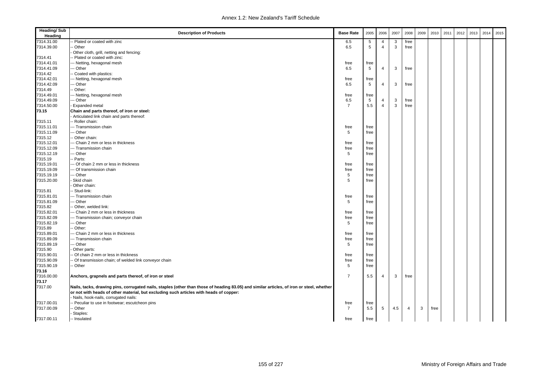| <b>Heading/Sub</b><br>Heading | <b>Description of Products</b>                                                                                                            | <b>Base Rate</b> | 2005            | 2006           | 2007 | 2008 | 2009 | 2010 | 2011 | 2012 | 2013 | 2014 | 2015 |
|-------------------------------|-------------------------------------------------------------------------------------------------------------------------------------------|------------------|-----------------|----------------|------|------|------|------|------|------|------|------|------|
| 7314.31.00                    | - Plated or coated with zinc                                                                                                              | 6.5              | 5               | $\overline{4}$ | 3    | free |      |      |      |      |      |      |      |
| 7314.39.00                    | - Other                                                                                                                                   | 6.5              | $5\phantom{.0}$ | $\overline{4}$ | 3    | free |      |      |      |      |      |      |      |
|                               | Other cloth, grill, netting and fencing:                                                                                                  |                  |                 |                |      |      |      |      |      |      |      |      |      |
| 7314.41                       | - Plated or coated with zinc:                                                                                                             |                  |                 |                |      |      |      |      |      |      |      |      |      |
| 7314.41.01                    | -- Netting, hexagonal mesh                                                                                                                | free             | free            |                |      |      |      |      |      |      |      |      |      |
| 7314.41.09                    | -- Other                                                                                                                                  | 6.5              | $5\phantom{.0}$ | $\overline{4}$ | 3    | free |      |      |      |      |      |      |      |
| 7314.42                       | Coated with plastics:                                                                                                                     |                  |                 |                |      |      |      |      |      |      |      |      |      |
| 7314.42.01                    | -- Netting, hexagonal mesh                                                                                                                | free             | free            |                |      |      |      |      |      |      |      |      |      |
| 7314.42.09                    | -- Other                                                                                                                                  | 6.5              | 5               | $\overline{4}$ | 3    | free |      |      |      |      |      |      |      |
| 7314.49                       | Other:                                                                                                                                    |                  |                 |                |      |      |      |      |      |      |      |      |      |
| 7314.49.01                    | -- Netting, hexagonal mesh                                                                                                                | free             | free            |                |      |      |      |      |      |      |      |      |      |
| 7314.49.09                    | -- Other                                                                                                                                  | 6.5              | 5               | $\overline{4}$ | 3    | free |      |      |      |      |      |      |      |
| 7314.50.00                    | Expanded metal                                                                                                                            | $\overline{7}$   | 5.5             | $\overline{4}$ | 3    | free |      |      |      |      |      |      |      |
| 73.15                         | Chain and parts thereof, of iron or steel:                                                                                                |                  |                 |                |      |      |      |      |      |      |      |      |      |
|                               | Articulated link chain and parts thereof:                                                                                                 |                  |                 |                |      |      |      |      |      |      |      |      |      |
| 7315.11                       | - Roller chain:                                                                                                                           |                  |                 |                |      |      |      |      |      |      |      |      |      |
| 7315.11.01                    | -- Transmission chain                                                                                                                     | free             | free            |                |      |      |      |      |      |      |      |      |      |
| 7315.11.09                    | -- Other                                                                                                                                  | 5                | free            |                |      |      |      |      |      |      |      |      |      |
| 7315.12                       | Other chain:                                                                                                                              |                  |                 |                |      |      |      |      |      |      |      |      |      |
| 7315.12.01                    | -- Chain 2 mm or less in thickness                                                                                                        | free             | free            |                |      |      |      |      |      |      |      |      |      |
| 7315.12.09                    | --- Transmission chain                                                                                                                    | free             | free            |                |      |      |      |      |      |      |      |      |      |
| 7315.12.19                    | -- Other                                                                                                                                  | 5                | free            |                |      |      |      |      |      |      |      |      |      |
| 7315.19                       | - Parts:                                                                                                                                  |                  |                 |                |      |      |      |      |      |      |      |      |      |
| 7315.19.01                    | -- Of chain 2 mm or less in thickness                                                                                                     | free             | free            |                |      |      |      |      |      |      |      |      |      |
| 7315.19.09                    | -- Of transmission chain                                                                                                                  | free             | free            |                |      |      |      |      |      |      |      |      |      |
| 7315.19.19                    | -- Other                                                                                                                                  | 5                | free            |                |      |      |      |      |      |      |      |      |      |
| 7315.20.00                    | Skid chain                                                                                                                                | 5                | free            |                |      |      |      |      |      |      |      |      |      |
|                               | Other chain:                                                                                                                              |                  |                 |                |      |      |      |      |      |      |      |      |      |
| 7315.81                       | - Stud-link:                                                                                                                              |                  |                 |                |      |      |      |      |      |      |      |      |      |
| 7315.81.01                    | -- Transmission chain                                                                                                                     | free             | free            |                |      |      |      |      |      |      |      |      |      |
| 7315.81.09                    | -- Other                                                                                                                                  | 5                | free            |                |      |      |      |      |      |      |      |      |      |
| 7315.82                       | - Other, welded link:                                                                                                                     |                  |                 |                |      |      |      |      |      |      |      |      |      |
| 7315.82.01                    | -- Chain 2 mm or less in thickness                                                                                                        | free             | free            |                |      |      |      |      |      |      |      |      |      |
| 7315.82.09                    | -- Transmission chain; conveyor chain                                                                                                     | free             | free            |                |      |      |      |      |      |      |      |      |      |
| 7315.82.19                    | -- Other                                                                                                                                  | 5                | free            |                |      |      |      |      |      |      |      |      |      |
| 7315.89                       | Other:                                                                                                                                    |                  |                 |                |      |      |      |      |      |      |      |      |      |
| 7315.89.01                    | -- Chain 2 mm or less in thickness                                                                                                        | free             | free            |                |      |      |      |      |      |      |      |      |      |
| 7315.89.09                    | -- Transmission chain                                                                                                                     | free             | free            |                |      |      |      |      |      |      |      |      |      |
| 7315.89.19                    | -- Other                                                                                                                                  | 5                | free            |                |      |      |      |      |      |      |      |      |      |
| 7315.90                       | Other parts:                                                                                                                              |                  |                 |                |      |      |      |      |      |      |      |      |      |
| 7315.90.01                    | Of chain 2 mm or less in thickness                                                                                                        | free             | free            |                |      |      |      |      |      |      |      |      |      |
| 7315.90.09                    | Of transmission chain; of welded link conveyor chain                                                                                      | free             | free            |                |      |      |      |      |      |      |      |      |      |
| 7315.90.19                    | - Other                                                                                                                                   | 5                | free            |                |      |      |      |      |      |      |      |      |      |
| 73.16                         |                                                                                                                                           |                  |                 |                |      |      |      |      |      |      |      |      |      |
| 7316.00.00                    | Anchors, grapnels and parts thereof, of iron or steel                                                                                     | $\overline{7}$   | 5.5             | $\overline{4}$ | 3    | free |      |      |      |      |      |      |      |
| 73.17                         |                                                                                                                                           |                  |                 |                |      |      |      |      |      |      |      |      |      |
| 7317.00                       | Nails, tacks, drawing pins, corrugated nails, staples (other than those of heading 83.05) and similar articles, of iron or steel, whether |                  |                 |                |      |      |      |      |      |      |      |      |      |
|                               | or not with heads of other material, but excluding such articles with heads of copper:                                                    |                  |                 |                |      |      |      |      |      |      |      |      |      |
|                               | Nails, hook-nails, corrugated nails:                                                                                                      |                  |                 |                |      |      |      |      |      |      |      |      |      |
| 7317.00.01                    | - Peculiar to use in footwear; escutcheon pins                                                                                            | free             | free            |                |      |      |      |      |      |      |      |      |      |
| 7317.00.09                    | - Other                                                                                                                                   | $\overline{7}$   | 5.5             | 5              | 4.5  | 4    | 3    | free |      |      |      |      |      |
|                               | Staples:                                                                                                                                  |                  |                 |                |      |      |      |      |      |      |      |      |      |
| 7317.00.11                    | -- Insulated                                                                                                                              | free             | free            |                |      |      |      |      |      |      |      |      |      |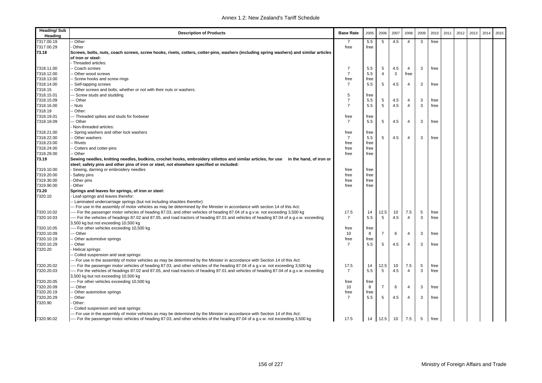| <b>Heading/Sub</b><br>Heading | <b>Description of Products</b>                                                                                                            | <b>Base Rate</b> | 2005 | 2006           | 2007 | 2008           | 2009 | 2010 | 2011 | 2012 | 2013 | 2014 | 2015 |
|-------------------------------|-------------------------------------------------------------------------------------------------------------------------------------------|------------------|------|----------------|------|----------------|------|------|------|------|------|------|------|
| 7317.00.19                    | - Other                                                                                                                                   | -7               | 5.5  | 5              | 4.5  | $\overline{4}$ | 3    | free |      |      |      |      |      |
| 7317.00.29                    | Other                                                                                                                                     | free             | free |                |      |                |      |      |      |      |      |      |      |
| 73.18                         | Screws, bolts, nuts, coach screws, screw hooks, rivets, cotters, cotter-pins, washers (including spring washers) and similar articles     |                  |      |                |      |                |      |      |      |      |      |      |      |
|                               | of iron or steel:                                                                                                                         |                  |      |                |      |                |      |      |      |      |      |      |      |
|                               | - Threaded articles:                                                                                                                      |                  |      |                |      |                |      |      |      |      |      |      |      |
| 7318.11.00                    | - Coach screws                                                                                                                            | $\overline{7}$   | 5.5  | 5              | 4.5  | 4              | 3    | free |      |      |      |      |      |
| 7318.12.00                    | - Other wood screws                                                                                                                       | $\overline{7}$   | 5.5  | $\overline{4}$ | 3    | free           |      |      |      |      |      |      |      |
| 7318.13.00                    | - Screw hooks and screw rings                                                                                                             | free             | free |                |      |                |      |      |      |      |      |      |      |
| 7318.14.00                    | - Self-tapping screws                                                                                                                     | $\overline{7}$   | 5.5  | 5              | 4.5  | $\overline{4}$ | 3    | free |      |      |      |      |      |
| 7318.15                       | - Other screws and bolts, whether or not with their nuts or washers:                                                                      |                  |      |                |      |                |      |      |      |      |      |      |      |
| 7318.15.01                    | -- Screw studs and studding                                                                                                               | 5                | free |                |      |                |      |      |      |      |      |      |      |
| 7318.15.09                    | -- Other                                                                                                                                  | $\overline{7}$   | 5.5  | 5              | 4.5  | 4              | 3    | free |      |      |      |      |      |
| 7318.16.00                    | - Nuts                                                                                                                                    | $\overline{7}$   | 5.5  | 5              | 4.5  | $\overline{4}$ | 3    | free |      |      |      |      |      |
| 7318.19                       | - Other:                                                                                                                                  |                  |      |                |      |                |      |      |      |      |      |      |      |
| 7318.19.01                    | -- Threaded spikes and studs for footwear                                                                                                 | free             | free |                |      |                |      |      |      |      |      |      |      |
| 7318.19.09                    | -- Other                                                                                                                                  | $\overline{7}$   | 5.5  | 5              | 4.5  | $\overline{4}$ | 3    | free |      |      |      |      |      |
|                               | Non-threaded articles:                                                                                                                    |                  |      |                |      |                |      |      |      |      |      |      |      |
| 7318.21.00                    | - Spring washers and other lock washers                                                                                                   | free             | free |                |      |                |      |      |      |      |      |      |      |
| 7318.22.00                    | - Other washers                                                                                                                           | $\overline{7}$   | 5.5  | 5              | 4.5  | $\overline{4}$ | 3    | free |      |      |      |      |      |
| 7318.23.00                    | - Rivets                                                                                                                                  | free             | free |                |      |                |      |      |      |      |      |      |      |
| 7318.24.00                    | - Cotters and cotter-pins                                                                                                                 | free             | free |                |      |                |      |      |      |      |      |      |      |
| 7318.29.00                    | - Other                                                                                                                                   | free             | free |                |      |                |      |      |      |      |      |      |      |
| 73.19                         | Sewing needles, knitting needles, bodkins, crochet hooks, embroidery stilettos and similar articles, for use in the hand, of iron or      |                  |      |                |      |                |      |      |      |      |      |      |      |
|                               | steel; safety pins and other pins of iron or steel, not elsewhere specified or included:                                                  |                  |      |                |      |                |      |      |      |      |      |      |      |
| 7319.10.00                    | Sewing, darning or embroidery needles                                                                                                     | free             | free |                |      |                |      |      |      |      |      |      |      |
| 7319.20.00                    | Safety pins                                                                                                                               | free             | free |                |      |                |      |      |      |      |      |      |      |
| 7319.30.00                    | Other pins                                                                                                                                | free             | free |                |      |                |      |      |      |      |      |      |      |
| 7319.90.00                    | Other                                                                                                                                     | free             | free |                |      |                |      |      |      |      |      |      |      |
| 73.20                         | Springs and leaves for springs, of iron or steel:                                                                                         |                  |      |                |      |                |      |      |      |      |      |      |      |
| 7320.10                       | Leaf-springs and leaves therefor:                                                                                                         |                  |      |                |      |                |      |      |      |      |      |      |      |
|                               | - Laminated undercarriage springs (but not including shackles therefor):                                                                  |                  |      |                |      |                |      |      |      |      |      |      |      |
|                               | -- For use in the assembly of motor vehicles as may be determined by the Minister in accordance with section 14 of this Act:              |                  |      |                |      |                |      |      |      |      |      |      |      |
| 7320.10.02                    | ---- For the passenger motor vehicles of heading 87.03, and other vehicles of heading 87.04 of a g.v.w. not exceeding 3,500 kg            | 17.5             | 14   | 12.5           | 10   | 7.5            | 5    | free |      |      |      |      |      |
| 7320.10.03                    | ---- For the vehicles of headings 87.02 and 87.05, and road tractors of heading 87.01 and vehicles of heading 87.04 of a g.v.w. exceeding | $\overline{7}$   | 5.5  | 5              | 4.5  | $\overline{4}$ | 3    | free |      |      |      |      |      |
|                               | 3,500 kg but not exceeding 10,500 kg                                                                                                      |                  |      |                |      |                |      |      |      |      |      |      |      |
| 7320.10.05                    | ---- For other vehicles exceeding 10,500 kg                                                                                               | free             | free |                |      |                |      |      |      |      |      |      |      |
| 7320.10.09                    | -- Other                                                                                                                                  | 10               | 8    | $\overline{7}$ | 6    | 4              | 3    | free |      |      |      |      |      |
| 7320.10.19                    | - Other automotive springs                                                                                                                | free             | free |                |      |                |      |      |      |      |      |      |      |
| 7320.10.29                    | - Other                                                                                                                                   | $\overline{7}$   | 5.5  | 5              | 4.5  | $\overline{4}$ | 3    | free |      |      |      |      |      |
| 7320.20                       | Helical springs:                                                                                                                          |                  |      |                |      |                |      |      |      |      |      |      |      |
|                               | - Coiled suspension and seat springs:                                                                                                     |                  |      |                |      |                |      |      |      |      |      |      |      |
|                               | -- For use in the assembly of motor vehicles as may be determined by the Minister in accordance with Section 14 of this Act:              |                  |      |                |      |                |      |      |      |      |      |      |      |
| 7320.20.02                    | ---- For the passenger motor vehicles of heading 87.03, and other vehicles of the heading 87.04 of a g.v.w. not exceeding 3,500 kg        | 17.5             | 14   | 12.5           | 10   | 7.5            | 5    | free |      |      |      |      |      |
| 7320.20.03                    | --- For the vehicles of headings 87.02 and 87.05, and road tractors of heading 87.01 and vehicles of heading 87.04 of a g.v.w. exceeding  | $\overline{7}$   | 5.5  | 5              | 4.5  | $\overline{4}$ | 3    | free |      |      |      |      |      |
|                               | 3,500 kg but not exceeding 10,500 kg                                                                                                      |                  |      |                |      |                |      |      |      |      |      |      |      |
| 7320.20.05                    | ---- For other vehicles exceeding 10,500 kg                                                                                               | free             | free |                |      |                |      |      |      |      |      |      |      |
| 7320.20.09                    | -- Other                                                                                                                                  | 10               | 8    | $\overline{7}$ | 6    | $\overline{4}$ | 3    | free |      |      |      |      |      |
| 7320.20.19                    | - Other automotive springs                                                                                                                | free             | free |                |      |                |      |      |      |      |      |      |      |
| 7320.20.29                    | - Other                                                                                                                                   | $\overline{7}$   | 5.5  | 5              | 4.5  | $\overline{4}$ | 3    | free |      |      |      |      |      |
| 7320.90                       | Other:                                                                                                                                    |                  |      |                |      |                |      |      |      |      |      |      |      |
|                               | - Coiled suspension and seat springs:                                                                                                     |                  |      |                |      |                |      |      |      |      |      |      |      |
|                               | --- For use in the assembly of motor vehicles as may be determined by the Minister in accordance with Section 14 of this Act:             |                  |      |                |      |                |      |      |      |      |      |      |      |
| 7320.90.02                    | ---- For the passenger motor vehicles of heading 87.03, and other vehicles of the heading 87.04 of a g.v.w. not exceeding 3,500 kg        | 17.5             | 14   | 12.5           | 10   | 7.5            | 5    | free |      |      |      |      |      |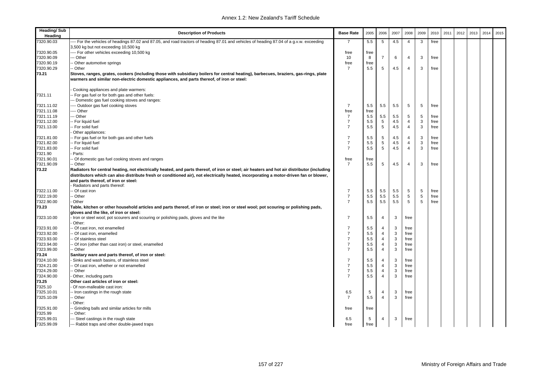| <b>Heading/Sub</b><br>Heading | <b>Description of Products</b>                                                                                                                                                                                                                                                        | <b>Base Rate</b> | 2005 | 2006            | 2007 | 2008           | 2009       | 2010 | 2011 | 2012 | 2013 | 2014 | 2015 |
|-------------------------------|---------------------------------------------------------------------------------------------------------------------------------------------------------------------------------------------------------------------------------------------------------------------------------------|------------------|------|-----------------|------|----------------|------------|------|------|------|------|------|------|
| 7320.90.03                    | -- For the vehicles of headings 87.02 and 87.05, and road tractors of heading 87.01 and vehicles of heading 87.04 of a g.v.w. exceeding                                                                                                                                               | 7                | 5.5  | 5               | 4.5  | $\overline{4}$ | 3          | free |      |      |      |      |      |
|                               | 3,500 kg but not exceeding 10,500 kg                                                                                                                                                                                                                                                  |                  |      |                 |      |                |            |      |      |      |      |      |      |
| 7320.90.05                    | --- For other vehicles exceeding 10,500 kg                                                                                                                                                                                                                                            | free             | free |                 |      |                |            |      |      |      |      |      |      |
| 7320.90.09                    | -- Other                                                                                                                                                                                                                                                                              | 10               | 8    | $\overline{7}$  | 6    | $\overline{4}$ | 3          | free |      |      |      |      |      |
| 7320.90.19                    | - Other automotive springs                                                                                                                                                                                                                                                            | free             | free |                 |      |                |            |      |      |      |      |      |      |
| 7320.90.29                    | -- Other                                                                                                                                                                                                                                                                              | $\overline{7}$   | 5.5  | 5               | 4.5  | 4              | 3          | free |      |      |      |      |      |
| 73.21                         | Stoves, ranges, grates, cookers (including those with subsidiary boilers for central heating), barbecues, braziers, gas-rings, plate<br>warmers and similar non-electric domestic appliances, and parts thereof, of iron or steel:                                                    |                  |      |                 |      |                |            |      |      |      |      |      |      |
| 7321.11                       | Cooking appliances and plate warmers:<br>- For gas fuel or for both gas and other fuels:                                                                                                                                                                                              |                  |      |                 |      |                |            |      |      |      |      |      |      |
|                               | -- Domestic gas fuel cooking stoves and ranges:                                                                                                                                                                                                                                       |                  |      |                 |      |                |            |      |      |      |      |      |      |
| 7321.11.02                    | --- Outdoor gas fuel cooking stoves                                                                                                                                                                                                                                                   | $\overline{7}$   | 5.5  | 5.5             | 5.5  | 5              | 5          | free |      |      |      |      |      |
| 7321.11.08                    | ---- Other                                                                                                                                                                                                                                                                            | free             | free |                 |      |                |            |      |      |      |      |      |      |
| 7321.11.19                    | --- Other                                                                                                                                                                                                                                                                             | $\overline{7}$   | 5.5  | 5.5             | 5.5  | 5              | 5          | free |      |      |      |      |      |
| 7321.12.00                    | -- For liquid fuel                                                                                                                                                                                                                                                                    | $\overline{7}$   | 5.5  | $5\phantom{.0}$ | 4.5  | 4              | 3          | free |      |      |      |      |      |
| 7321.13.00                    | -- For solid fuel                                                                                                                                                                                                                                                                     | $\overline{7}$   | 5.5  | 5               | 4.5  | $\overline{4}$ | 3          | free |      |      |      |      |      |
|                               | Other appliances:                                                                                                                                                                                                                                                                     |                  |      |                 |      |                |            |      |      |      |      |      |      |
| 7321.81.00                    | -- For gas fuel or for both gas and other fuels                                                                                                                                                                                                                                       | $\overline{7}$   | 5.5  | 5               | 4.5  | 4              | 3          | free |      |      |      |      |      |
| 7321.82.00                    | -- For liquid fuel                                                                                                                                                                                                                                                                    | $\overline{7}$   | 5.5  | 5               | 4.5  | $\overline{4}$ | 3          | free |      |      |      |      |      |
| 7321.83.00                    | - For solid fuel                                                                                                                                                                                                                                                                      | $\overline{7}$   | 5.5  | 5               | 4.5  | $\overline{4}$ | 3          | free |      |      |      |      |      |
| 7321.90                       | Parts:                                                                                                                                                                                                                                                                                |                  |      |                 |      |                |            |      |      |      |      |      |      |
| 7321.90.01                    | - Of domestic gas fuel cooking stoves and ranges                                                                                                                                                                                                                                      | free             | free |                 |      |                |            |      |      |      |      |      |      |
| 7321.90.09                    | - Other                                                                                                                                                                                                                                                                               | $\overline{7}$   | 5.5  | 5               | 4.5  | $\overline{4}$ | 3          | free |      |      |      |      |      |
| 73.22                         | Radiators for central heating, not electrically heated, and parts thereof, of iron or steel; air heaters and hot air distributor (including<br>distributors which can also distribute fresh or conditioned air), not electrically heated, incorporating a motor-driven fan or blower, |                  |      |                 |      |                |            |      |      |      |      |      |      |
|                               | and parts thereof, of iron or steel:<br>Radiators and parts thereof:                                                                                                                                                                                                                  |                  |      |                 |      |                |            |      |      |      |      |      |      |
| 7322.11.00                    | - Of cast iron                                                                                                                                                                                                                                                                        | $\overline{7}$   | 5.5  | 5.5             | 5.5  | 5              | 5          | free |      |      |      |      |      |
| 7322.19.00                    | - Other                                                                                                                                                                                                                                                                               | $\overline{7}$   | 5.5  | 5.5             | 5.5  | 5              | $\sqrt{5}$ | free |      |      |      |      |      |
| 7322.90.00                    | Other                                                                                                                                                                                                                                                                                 | $\overline{7}$   | 5.5  | 5.5             | 5.5  | 5              | 5          | free |      |      |      |      |      |
| 73.23                         | Table, kitchen or other household articles and parts thereof, of iron or steel; iron or steel wool; pot scouring or polishing pads,<br>gloves and the like, of iron or steel:                                                                                                         |                  |      |                 |      |                |            |      |      |      |      |      |      |
| 7323.10.00                    | Iron or steel wool; pot scourers and scouring or polishing pads, gloves and the like<br>Other:                                                                                                                                                                                        | $\overline{7}$   | 5.5  | $\overline{4}$  | 3    | free           |            |      |      |      |      |      |      |
| 7323.91.00                    | - Of cast iron, not enamelled                                                                                                                                                                                                                                                         | 7                | 5.5  | 4               | 3    | free           |            |      |      |      |      |      |      |
| 7323.92.00                    | - Of cast iron, enamelled                                                                                                                                                                                                                                                             | $\overline{7}$   | 5.5  | $\overline{4}$  | 3    | free           |            |      |      |      |      |      |      |
| 7323.93.00                    | - Of stainless steel                                                                                                                                                                                                                                                                  | $\overline{7}$   | 5.5  | 4               | 3    | free           |            |      |      |      |      |      |      |
| 7323.94.00                    | - Of iron (other than cast iron) or steel, enamelled                                                                                                                                                                                                                                  | $\overline{7}$   | 5.5  | $\overline{4}$  | 3    | free           |            |      |      |      |      |      |      |
| 7323.99.00                    | - Other                                                                                                                                                                                                                                                                               | $\overline{7}$   | 5.5  | $\overline{4}$  | 3    | free           |            |      |      |      |      |      |      |
| 73.24                         | Sanitary ware and parts thereof, of iron or steel:                                                                                                                                                                                                                                    |                  |      |                 |      |                |            |      |      |      |      |      |      |
| 7324.10.00                    | Sinks and wash basins, of stainless steel                                                                                                                                                                                                                                             | 7                | 5.5  | $\overline{4}$  | 3    | free           |            |      |      |      |      |      |      |
| 7324.21.00                    | - Of cast iron, whether or not enamelled                                                                                                                                                                                                                                              | $\overline{7}$   | 5.5  | $\overline{4}$  | 3    | free           |            |      |      |      |      |      |      |
| 7324.29.00                    | - Other                                                                                                                                                                                                                                                                               | $\overline{7}$   | 5.5  | $\overline{4}$  | 3    | free           |            |      |      |      |      |      |      |
| 7324.90.00                    | Other, including parts                                                                                                                                                                                                                                                                | $\overline{7}$   | 5.5  | $\overline{4}$  | 3    | free           |            |      |      |      |      |      |      |
| 73.25                         | Other cast articles of iron or steel:                                                                                                                                                                                                                                                 |                  |      |                 |      |                |            |      |      |      |      |      |      |
| 7325.10                       | Of non-malleable cast iron:                                                                                                                                                                                                                                                           |                  |      |                 |      |                |            |      |      |      |      |      |      |
| 7325.10.01                    | -- Iron castings in the rough state                                                                                                                                                                                                                                                   | 6.5              | 5    | $\overline{4}$  | 3    | free           |            |      |      |      |      |      |      |
| 7325.10.09                    | - Other                                                                                                                                                                                                                                                                               | $\overline{7}$   | 5.5  | $\overline{4}$  | 3    | free           |            |      |      |      |      |      |      |
|                               | Other:                                                                                                                                                                                                                                                                                |                  |      |                 |      |                |            |      |      |      |      |      |      |
| 7325.91.00                    | - Grinding balls and similar articles for mills                                                                                                                                                                                                                                       | free             | free |                 |      |                |            |      |      |      |      |      |      |
| 7325.99                       | - Other:                                                                                                                                                                                                                                                                              |                  |      |                 |      |                |            |      |      |      |      |      |      |
| 7325.99.01                    | -- Steel castings in the rough state                                                                                                                                                                                                                                                  | 6.5              | 5    | $\overline{4}$  | 3    | free           |            |      |      |      |      |      |      |
| 7325.99.09                    | --- Rabbit traps and other double-jawed traps                                                                                                                                                                                                                                         | free             | free |                 |      |                |            |      |      |      |      |      |      |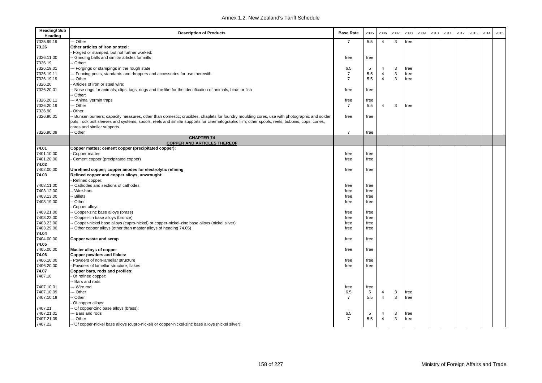| <b>Heading/Sub</b><br>Heading | <b>Description of Products</b>                                                                                                               | <b>Base Rate</b> | 2005 | 2006           | 2007 | 2008 | 2009 | 2010 | 2011 | 2012 | 2013 | 2014 | 2015 |
|-------------------------------|----------------------------------------------------------------------------------------------------------------------------------------------|------------------|------|----------------|------|------|------|------|------|------|------|------|------|
| 7325.99.19                    | - Other                                                                                                                                      | $\overline{7}$   | 5.5  | $\overline{4}$ | 3    | free |      |      |      |      |      |      |      |
| 73.26                         | Other articles of iron or steel:                                                                                                             |                  |      |                |      |      |      |      |      |      |      |      |      |
|                               | Forged or stamped, but not further worked:                                                                                                   |                  |      |                |      |      |      |      |      |      |      |      |      |
| 7326.11.00                    | Grinding balls and similar articles for mills                                                                                                | free             | free |                |      |      |      |      |      |      |      |      |      |
| 7326.19                       | Other:                                                                                                                                       |                  |      |                |      |      |      |      |      |      |      |      |      |
| 7326.19.01                    | -- Forgings or stampings in the rough state                                                                                                  | 6.5              | 5    | 4              | 3    | free |      |      |      |      |      |      |      |
| 7326.19.11                    | - Fencing posts, standards and droppers and accessories for use therewith                                                                    | $\overline{7}$   | 5.5  | $\overline{4}$ | 3    | free |      |      |      |      |      |      |      |
| 7326.19.19                    | - Other                                                                                                                                      | $\overline{7}$   | 5.5  | $\overline{4}$ | 3    | free |      |      |      |      |      |      |      |
| 7326.20                       | Articles of iron or steel wire:                                                                                                              |                  |      |                |      |      |      |      |      |      |      |      |      |
| 7326.20.01                    | - Nose rings for animals; clips, tags, rings and the like for the identification of animals, birds or fish                                   | free             | free |                |      |      |      |      |      |      |      |      |      |
|                               | Other:                                                                                                                                       |                  |      |                |      |      |      |      |      |      |      |      |      |
| 7326.20.11                    | -- Animal vermin traps                                                                                                                       | free             | free |                |      |      |      |      |      |      |      |      |      |
| 7326.20.19                    | - Other                                                                                                                                      | $\overline{7}$   | 5.5  | $\overline{4}$ | 3    | free |      |      |      |      |      |      |      |
| 7326.90                       | Other:                                                                                                                                       |                  |      |                |      |      |      |      |      |      |      |      |      |
| 7326.90.01                    | - Bunsen burners; capacity measures, other than domestic; crucibles, chaplets for foundry moulding cores, use with photographic and solder   | free             | free |                |      |      |      |      |      |      |      |      |      |
|                               | pots; rock bolt sleeves and systems; spools, reels and similar supports for cinematographic film; other spools, reels, bobbins, cops, cones, |                  |      |                |      |      |      |      |      |      |      |      |      |
|                               | cores and similar supports                                                                                                                   |                  |      |                |      |      |      |      |      |      |      |      |      |
| 7326.90.09                    | - Other                                                                                                                                      | $\overline{7}$   | free |                |      |      |      |      |      |      |      |      |      |
|                               | <b>CHAPTER 74</b><br><b>COPPER AND ARTICLES THEREOF</b>                                                                                      |                  |      |                |      |      |      |      |      |      |      |      |      |
| 74.01                         | Copper mattes; cement copper (precipitated copper):                                                                                          |                  |      |                |      |      |      |      |      |      |      |      |      |
| 7401.10.00                    | Copper mattes                                                                                                                                | free             | free |                |      |      |      |      |      |      |      |      |      |
| 7401.20.00                    | Cement copper (precipitated copper)                                                                                                          | free             | free |                |      |      |      |      |      |      |      |      |      |
| 74.02                         |                                                                                                                                              |                  |      |                |      |      |      |      |      |      |      |      |      |
| 7402.00.00                    | Unrefined copper; copper anodes for electrolytic refining                                                                                    | free             | free |                |      |      |      |      |      |      |      |      |      |
| 74.03                         | Refined copper and copper alloys, unwrought:                                                                                                 |                  |      |                |      |      |      |      |      |      |      |      |      |
|                               | Refined copper:                                                                                                                              |                  |      |                |      |      |      |      |      |      |      |      |      |
| 7403.11.00                    | Cathodes and sections of cathodes                                                                                                            | free             | free |                |      |      |      |      |      |      |      |      |      |
| 7403.12.00                    | Wire-bars                                                                                                                                    | free             | free |                |      |      |      |      |      |      |      |      |      |
| 7403.13.00                    | <b>Billets</b>                                                                                                                               | free             | free |                |      |      |      |      |      |      |      |      |      |
| 7403.19.00                    | Other                                                                                                                                        | free             | free |                |      |      |      |      |      |      |      |      |      |
|                               | Copper alloys:                                                                                                                               |                  |      |                |      |      |      |      |      |      |      |      |      |
| 7403.21.00                    | Copper-zinc base alloys (brass)                                                                                                              | free             | free |                |      |      |      |      |      |      |      |      |      |
| 7403.22.00                    | Copper-tin base alloys (bronze)                                                                                                              | free             | free |                |      |      |      |      |      |      |      |      |      |
| 7403.23.00                    | Copper-nickel base alloys (cupro-nickel) or copper-nickel-zinc base alloys (nickel silver)                                                   | free             | free |                |      |      |      |      |      |      |      |      |      |
| 7403.29.00                    | Other copper alloys (other than master alloys of heading 74.05)                                                                              | free             | free |                |      |      |      |      |      |      |      |      |      |
| 74.04                         |                                                                                                                                              |                  |      |                |      |      |      |      |      |      |      |      |      |
| 7404.00.00                    | Copper waste and scrap                                                                                                                       | free             | free |                |      |      |      |      |      |      |      |      |      |
| 74.05                         |                                                                                                                                              |                  |      |                |      |      |      |      |      |      |      |      |      |
| 7405.00.00                    | Master alloys of copper                                                                                                                      | free             | free |                |      |      |      |      |      |      |      |      |      |
| 74.06                         | Copper powders and flakes:                                                                                                                   |                  |      |                |      |      |      |      |      |      |      |      |      |
| 7406.10.00                    | Powders of non-lamellar structure                                                                                                            | free             | free |                |      |      |      |      |      |      |      |      |      |
| 7406.20.00                    | Powders of lamellar structure; flakes                                                                                                        | free             | free |                |      |      |      |      |      |      |      |      |      |
| 74.07                         | Copper bars, rods and profiles:                                                                                                              |                  |      |                |      |      |      |      |      |      |      |      |      |
| 7407.10                       | Of refined copper:                                                                                                                           |                  |      |                |      |      |      |      |      |      |      |      |      |
|                               | Bars and rods:                                                                                                                               |                  |      |                |      |      |      |      |      |      |      |      |      |
| 7407.10.01                    | -- Wire rod                                                                                                                                  | free             | free |                |      |      |      |      |      |      |      |      |      |
| 7407.10.09                    | - Other                                                                                                                                      | 6.5              | 5    | $\overline{4}$ | 3    | free |      |      |      |      |      |      |      |
| 7407.10.19                    | - Other                                                                                                                                      | $\overline{7}$   | 5.5  | $\overline{4}$ | 3    | free |      |      |      |      |      |      |      |
|                               | Of copper alloys:                                                                                                                            |                  |      |                |      |      |      |      |      |      |      |      |      |
| 7407.21                       | Of copper-zinc base alloys (brass):                                                                                                          |                  |      |                |      |      |      |      |      |      |      |      |      |
| 7407.21.01                    | - Bars and rods                                                                                                                              | 6.5              | 5    | $\overline{4}$ | 3    | free |      |      |      |      |      |      |      |
| 7407.21.09                    | - Other                                                                                                                                      | $\overline{7}$   | 5.5  | $\overline{4}$ | 3    | free |      |      |      |      |      |      |      |
| 7407.22                       | Of copper-nickel base alloys (cupro-nickel) or copper-nickel-zinc base alloys (nickel silver):                                               |                  |      |                |      |      |      |      |      |      |      |      |      |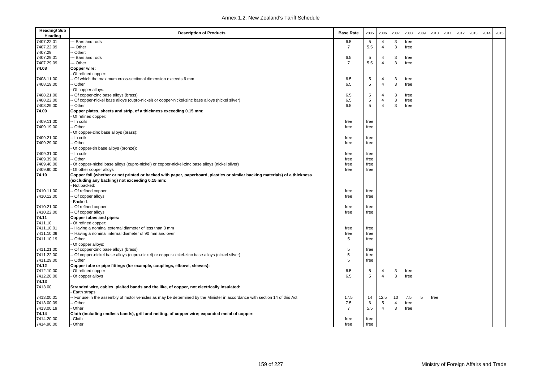| <b>Heading/Sub</b><br>Heading | <b>Description of Products</b>                                                                                              | <b>Base Rate</b> | 2005           | 2006           | 2007           | 2008 | 2009 | 2010 | 2011 | 2012 | 2013 | 2014 | 2015 |
|-------------------------------|-----------------------------------------------------------------------------------------------------------------------------|------------------|----------------|----------------|----------------|------|------|------|------|------|------|------|------|
| 7407.22.01                    | - Bars and rods                                                                                                             | 6.5              | 5              | 4              | 3              | free |      |      |      |      |      |      |      |
| 7407.22.09                    | - Other                                                                                                                     | $\overline{7}$   | 5.5            | $\overline{4}$ | 3              | free |      |      |      |      |      |      |      |
| 7407.29                       | - Other:                                                                                                                    |                  |                |                |                |      |      |      |      |      |      |      |      |
| 7407.29.01                    | - Bars and rods                                                                                                             | 6.5              | 5              | 4              | 3              | free |      |      |      |      |      |      |      |
| 7407.29.09                    | -- Other                                                                                                                    | $\overline{7}$   | 5.5            | $\overline{4}$ | $\mathbf{3}$   | free |      |      |      |      |      |      |      |
| 74.08                         | Copper wire:                                                                                                                |                  |                |                |                |      |      |      |      |      |      |      |      |
|                               | Of refined copper:                                                                                                          |                  |                |                |                |      |      |      |      |      |      |      |      |
| 7408.11.00                    | Of which the maximum cross-sectional dimension exceeds 6 mm                                                                 | 6.5              | $\overline{5}$ | 4              | 3              | free |      |      |      |      |      |      |      |
| 7408.19.00                    | Other                                                                                                                       | 6.5              | $\sqrt{5}$     | $\overline{4}$ | 3              | free |      |      |      |      |      |      |      |
|                               | Of copper alloys:                                                                                                           |                  |                |                |                |      |      |      |      |      |      |      |      |
| 7408.21.00                    | Of copper-zinc base alloys (brass)                                                                                          | 6.5              | 5              | 4              | 3              | free |      |      |      |      |      |      |      |
| 7408.22.00                    | Of copper-nickel base alloys (cupro-nickel) or copper-nickel-zinc base alloys (nickel silver)                               | 6.5              | 5              | $\overline{4}$ | 3              | free |      |      |      |      |      |      |      |
| 7408.29.00                    | Other                                                                                                                       | 6.5              | 5              | $\overline{4}$ | 3              | free |      |      |      |      |      |      |      |
| 74.09                         | Copper plates, sheets and strip, of a thickness exceeding 0.15 mm:                                                          |                  |                |                |                |      |      |      |      |      |      |      |      |
|                               | Of refined copper:                                                                                                          |                  |                |                |                |      |      |      |      |      |      |      |      |
| 7409.11.00                    | - In coils                                                                                                                  | free             | free           |                |                |      |      |      |      |      |      |      |      |
| 7409.19.00                    | Other                                                                                                                       | free             | free           |                |                |      |      |      |      |      |      |      |      |
|                               | Of copper-zinc base alloys (brass):                                                                                         |                  |                |                |                |      |      |      |      |      |      |      |      |
| 7409.21.00                    | In coils                                                                                                                    | free             | free           |                |                |      |      |      |      |      |      |      |      |
| 7409.29.00                    | Other                                                                                                                       | free             | free           |                |                |      |      |      |      |      |      |      |      |
|                               | Of copper-tin base alloys (bronze):                                                                                         |                  |                |                |                |      |      |      |      |      |      |      |      |
| 7409.31.00                    | In coils                                                                                                                    |                  |                |                |                |      |      |      |      |      |      |      |      |
|                               |                                                                                                                             | free             | free           |                |                |      |      |      |      |      |      |      |      |
| 7409.39.00                    | Other                                                                                                                       | free             | free           |                |                |      |      |      |      |      |      |      |      |
| 7409.40.00                    | Of copper-nickel base alloys (cupro-nickel) or copper-nickel-zinc base alloys (nickel silver)                               | free             | free           |                |                |      |      |      |      |      |      |      |      |
| 7409.90.00                    | Of other copper alloys                                                                                                      | free             | free           |                |                |      |      |      |      |      |      |      |      |
| 74.10                         | Copper foil (whether or not printed or backed with paper, paperboard, plastics or similar backing materials) of a thickness |                  |                |                |                |      |      |      |      |      |      |      |      |
|                               | (excluding any backing) not exceeding 0.15 mm:                                                                              |                  |                |                |                |      |      |      |      |      |      |      |      |
|                               | Not backed:                                                                                                                 |                  |                |                |                |      |      |      |      |      |      |      |      |
| 7410.11.00                    | Of refined copper                                                                                                           | free             | free           |                |                |      |      |      |      |      |      |      |      |
| 7410.12.00                    | Of copper alloys                                                                                                            | free             | free           |                |                |      |      |      |      |      |      |      |      |
|                               | Backed:                                                                                                                     |                  |                |                |                |      |      |      |      |      |      |      |      |
| 7410.21.00                    | Of refined copper                                                                                                           | free             | free           |                |                |      |      |      |      |      |      |      |      |
| 7410.22.00                    | Of copper alloys                                                                                                            | free             | free           |                |                |      |      |      |      |      |      |      |      |
| 74.11                         | Copper tubes and pipes:                                                                                                     |                  |                |                |                |      |      |      |      |      |      |      |      |
| 7411.10                       | Of refined copper:                                                                                                          |                  |                |                |                |      |      |      |      |      |      |      |      |
| 7411.10.01                    | - Having a nominal external diameter of less than 3 mm                                                                      | free             | free           |                |                |      |      |      |      |      |      |      |      |
| 7411.10.09                    | - Having a nominal internal diameter of 90 mm and over                                                                      | free             | free           |                |                |      |      |      |      |      |      |      |      |
| 7411.10.19                    | Other                                                                                                                       | 5                | free           |                |                |      |      |      |      |      |      |      |      |
|                               | Of copper alloys:                                                                                                           |                  |                |                |                |      |      |      |      |      |      |      |      |
| 7411.21.00                    | Of copper-zinc base alloys (brass)                                                                                          | 5                | free           |                |                |      |      |      |      |      |      |      |      |
| 7411.22.00                    | Of copper-nickel base alloys (cupro-nickel) or copper-nickel-zinc base alloys (nickel silver)                               | 5                | free           |                |                |      |      |      |      |      |      |      |      |
| 7411.29.00                    | - Other                                                                                                                     | 5                | free           |                |                |      |      |      |      |      |      |      |      |
| 74.12                         | Copper tube or pipe fittings (for example, couplings, elbows, sleeves):                                                     |                  |                |                |                |      |      |      |      |      |      |      |      |
| 7412.10.00                    | Of refined copper                                                                                                           | 6.5              | 5              | 4              | 3              | free |      |      |      |      |      |      |      |
| 7412.20.00                    | Of copper alloys                                                                                                            | 6.5              | 5              | $\overline{4}$ | 3              | free |      |      |      |      |      |      |      |
| 74.13                         |                                                                                                                             |                  |                |                |                |      |      |      |      |      |      |      |      |
| 7413.00                       | Stranded wire, cables, plaited bands and the like, of copper, not electrically insulated:                                   |                  |                |                |                |      |      |      |      |      |      |      |      |
|                               | Earth straps:                                                                                                               |                  |                |                |                |      |      |      |      |      |      |      |      |
| 7413.00.01                    | - For use in the assembly of motor vehicles as may be determined by the Minister in accordance with section 14 of this Act  | 17.5             | 14             | 12.5           | 10             | 7.5  | 5    | free |      |      |      |      |      |
| 7413.00.09                    | Other                                                                                                                       | 7.5              | 6              | 5              | $\overline{4}$ | free |      |      |      |      |      |      |      |
| 7413.00.19                    | Other                                                                                                                       | $\overline{7}$   | 5.5            | $\overline{4}$ | 3              | free |      |      |      |      |      |      |      |
| 74.14                         |                                                                                                                             |                  |                |                |                |      |      |      |      |      |      |      |      |
| 7414.20.00                    | Cloth (including endless bands), grill and netting, of copper wire; expanded metal of copper:<br>Cloth                      |                  |                |                |                |      |      |      |      |      |      |      |      |
|                               |                                                                                                                             | free             | free           |                |                |      |      |      |      |      |      |      |      |
| 7414.90.00                    | Other                                                                                                                       | free             | free           |                |                |      |      |      |      |      |      |      |      |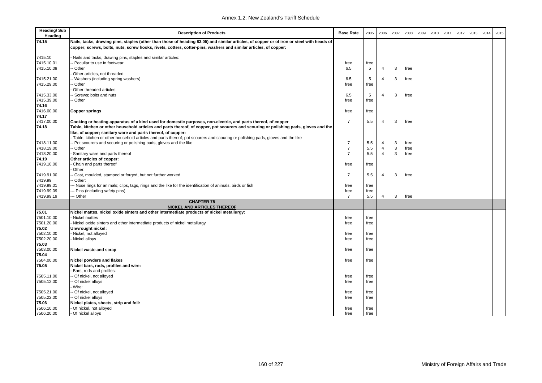| <b>Heading/Sub</b><br>Heading | <b>Description of Products</b>                                                                                                            | <b>Base Rate</b> | 2005 | 2006           | 2007 | 2008 | 2009 | 2010 | 2011 | 2012 | 2013 | 2014 | 2015 |
|-------------------------------|-------------------------------------------------------------------------------------------------------------------------------------------|------------------|------|----------------|------|------|------|------|------|------|------|------|------|
| 74.15                         | Nails, tacks, drawing pins, staples (other than those of heading 83.05) and similar articles, of copper or of iron or steel with heads of |                  |      |                |      |      |      |      |      |      |      |      |      |
|                               | copper; screws, bolts, nuts, screw hooks, rivets, cotters, cotter-pins, washers and similar articles, of copper:                          |                  |      |                |      |      |      |      |      |      |      |      |      |
| 7415.10                       | Nails and tacks, drawing pins, staples and similar articles:                                                                              |                  |      |                |      |      |      |      |      |      |      |      |      |
| 7415.10.01                    | Peculiar to use in footwear                                                                                                               | free             | free |                |      |      |      |      |      |      |      |      |      |
| 7415.10.09                    | Other                                                                                                                                     | 6.5              | 5    | 4              | 3    | free |      |      |      |      |      |      |      |
|                               | Other articles, not threaded:                                                                                                             |                  |      |                |      |      |      |      |      |      |      |      |      |
| 7415.21.00                    | - Washers (including spring washers)                                                                                                      | 6.5              | 5    | 4              | 3    | free |      |      |      |      |      |      |      |
| 7415.29.00                    | Other                                                                                                                                     | free             | free |                |      |      |      |      |      |      |      |      |      |
|                               | Other threaded articles:                                                                                                                  |                  |      |                |      |      |      |      |      |      |      |      |      |
| 7415.33.00                    | Screws; bolts and nuts                                                                                                                    | 6.5              | 5    | 4              | 3    | free |      |      |      |      |      |      |      |
| 7415.39.00                    | Other                                                                                                                                     | free             | free |                |      |      |      |      |      |      |      |      |      |
| 74.16                         |                                                                                                                                           |                  |      |                |      |      |      |      |      |      |      |      |      |
| 7416.00.00                    | <b>Copper springs</b>                                                                                                                     | free             | free |                |      |      |      |      |      |      |      |      |      |
| 74.17                         |                                                                                                                                           |                  |      |                |      |      |      |      |      |      |      |      |      |
| 7417.00.00                    | Cooking or heating apparatus of a kind used for domestic purposes, non-electric, and parts thereof, of copper                             | $\overline{7}$   | 5.5  | 4              | 3    | free |      |      |      |      |      |      |      |
| 74.18                         | Table, kitchen or other household articles and parts thereof, of copper, pot scourers and scouring or polishing pads, gloves and the      |                  |      |                |      |      |      |      |      |      |      |      |      |
|                               | like, of copper; sanitary ware and parts thereof, of copper:                                                                              |                  |      |                |      |      |      |      |      |      |      |      |      |
|                               | Table, kitchen or other household articles and parts thereof; pot scourers and scouring or polishing pads, gloves and the like            |                  |      |                |      |      |      |      |      |      |      |      |      |
| 7418.11.00                    | Pot scourers and scouring or polishing pads, gloves and the like                                                                          | $\overline{7}$   | 5.5  | 4              | 3    | free |      |      |      |      |      |      |      |
| 7418.19.00                    | - Other                                                                                                                                   | $\overline{7}$   | 5.5  | $\overline{4}$ | 3    | free |      |      |      |      |      |      |      |
| 7418.20.00                    | Sanitary ware and parts thereof                                                                                                           | $\overline{7}$   | 5.5  | $\overline{4}$ | 3    | free |      |      |      |      |      |      |      |
| 74.19                         | Other articles of copper:                                                                                                                 |                  |      |                |      |      |      |      |      |      |      |      |      |
| 7419.10.00                    | Chain and parts thereof                                                                                                                   | free             | free |                |      |      |      |      |      |      |      |      |      |
|                               | Other:                                                                                                                                    | $\overline{7}$   |      | 4              |      |      |      |      |      |      |      |      |      |
| 7419.91.00<br>7419.99         | Cast, moulded, stamped or forged, but not further worked<br>Other:                                                                        |                  | 5.5  |                | 3    | free |      |      |      |      |      |      |      |
| 7419.99.01                    | - Nose rings for animals; clips, tags, rings and the like for the identification of animals, birds or fish                                | free             | free |                |      |      |      |      |      |      |      |      |      |
| 7419.99.09                    | - Pins (including safety pins)                                                                                                            | free             | free |                |      |      |      |      |      |      |      |      |      |
| 7419.99.19                    | -- Other                                                                                                                                  | $\overline{7}$   | 5.5  | 4              | 3    | free |      |      |      |      |      |      |      |
|                               | <b>CHAPTER 75</b>                                                                                                                         |                  |      |                |      |      |      |      |      |      |      |      |      |
|                               | NICKEL AND ARTICLES THEREOF                                                                                                               |                  |      |                |      |      |      |      |      |      |      |      |      |
| 75.01                         | Nickel mattes, nickel oxide sinters and other intermediate products of nickel metallurgy:                                                 |                  |      |                |      |      |      |      |      |      |      |      |      |
| 7501.10.00                    | Nickel mattes                                                                                                                             | free             | free |                |      |      |      |      |      |      |      |      |      |
| 7501.20.00                    | Nickel oxide sinters and other intermediate products of nickel metallurgy                                                                 | free             | free |                |      |      |      |      |      |      |      |      |      |
| 75.02                         | Unwrought nickel:                                                                                                                         |                  |      |                |      |      |      |      |      |      |      |      |      |
| 7502.10.00                    | Nickel, not alloyed                                                                                                                       | free             | free |                |      |      |      |      |      |      |      |      |      |
| 7502.20.00                    | Nickel alloys                                                                                                                             | free             | free |                |      |      |      |      |      |      |      |      |      |
| 75.03<br>7503.00.00           |                                                                                                                                           |                  |      |                |      |      |      |      |      |      |      |      |      |
| 75.04                         | Nickel waste and scrap                                                                                                                    | free             | free |                |      |      |      |      |      |      |      |      |      |
| 7504.00.00                    | <b>Nickel powders and flakes</b>                                                                                                          | free             | free |                |      |      |      |      |      |      |      |      |      |
| 75.05                         | Nickel bars, rods, profiles and wire:                                                                                                     |                  |      |                |      |      |      |      |      |      |      |      |      |
|                               | Bars, rods and profiles:                                                                                                                  |                  |      |                |      |      |      |      |      |      |      |      |      |
| 7505.11.00                    | Of nickel, not alloyed                                                                                                                    | free             | free |                |      |      |      |      |      |      |      |      |      |
| 7505.12.00                    | - Of nickel alloys                                                                                                                        | free             | free |                |      |      |      |      |      |      |      |      |      |
|                               | Wire:                                                                                                                                     |                  |      |                |      |      |      |      |      |      |      |      |      |
| 7505.21.00                    | Of nickel, not alloyed                                                                                                                    | free             | free |                |      |      |      |      |      |      |      |      |      |
| 7505.22.00                    | Of nickel alloys                                                                                                                          | free             | free |                |      |      |      |      |      |      |      |      |      |
| 75.06                         | Nickel plates, sheets, strip and foil:                                                                                                    |                  |      |                |      |      |      |      |      |      |      |      |      |
| 7506.10.00                    | Of nickel, not alloyed                                                                                                                    | free             | free |                |      |      |      |      |      |      |      |      |      |
| 7506.20.00                    | - Of nickel alloys                                                                                                                        | free             | free |                |      |      |      |      |      |      |      |      |      |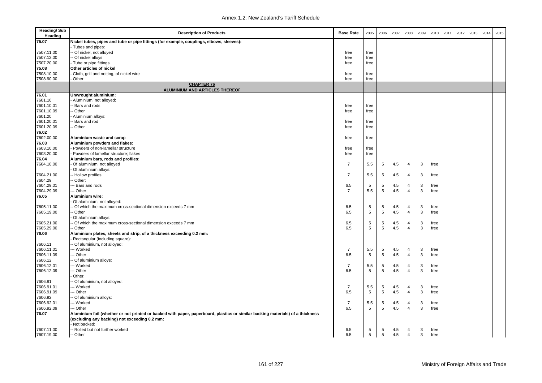| <b>Heading/Sub</b><br>Heading | <b>Description of Products</b>                                                                                                 | <b>Base Rate</b> | 2005 | 2006            | 2007 | 2008           | 2009         | 2010 | 2011 | 2012 | 2013 | 2014 | 2015 |
|-------------------------------|--------------------------------------------------------------------------------------------------------------------------------|------------------|------|-----------------|------|----------------|--------------|------|------|------|------|------|------|
| 75.07                         | Nickel tubes, pipes and tube or pipe fittings (for example, couplings, elbows, sleeves):                                       |                  |      |                 |      |                |              |      |      |      |      |      |      |
|                               | Tubes and pipes:                                                                                                               |                  |      |                 |      |                |              |      |      |      |      |      |      |
| 7507.11.00                    | - Of nickel, not alloyed                                                                                                       | free             | free |                 |      |                |              |      |      |      |      |      |      |
| 7507.12.00                    | - Of nickel alloys                                                                                                             | free             | free |                 |      |                |              |      |      |      |      |      |      |
| 7507.20.00                    | - Tube or pipe fittings                                                                                                        | free             | free |                 |      |                |              |      |      |      |      |      |      |
| 75.08                         | Other articles of nickel                                                                                                       |                  |      |                 |      |                |              |      |      |      |      |      |      |
| 7508.10.00                    | Cloth, grill and netting, of nickel wire                                                                                       | free             | free |                 |      |                |              |      |      |      |      |      |      |
| 7508.90.00                    | Other                                                                                                                          | free             | free |                 |      |                |              |      |      |      |      |      |      |
|                               | <b>CHAPTER 76</b><br><b>ALUMINIUM AND ARTICLES THEREOF</b>                                                                     |                  |      |                 |      |                |              |      |      |      |      |      |      |
| 76.01                         | Unwrought aluminium:                                                                                                           |                  |      |                 |      |                |              |      |      |      |      |      |      |
| 7601.10                       | Aluminium, not alloyed:                                                                                                        |                  |      |                 |      |                |              |      |      |      |      |      |      |
| 7601.10.01                    | Bars and rods                                                                                                                  | free             | free |                 |      |                |              |      |      |      |      |      |      |
| 7601.10.09                    | - Other                                                                                                                        | free             | free |                 |      |                |              |      |      |      |      |      |      |
| 7601.20                       | Aluminium alloys:                                                                                                              |                  |      |                 |      |                |              |      |      |      |      |      |      |
| 7601.20.01                    | Bars and rod                                                                                                                   | free             | free |                 |      |                |              |      |      |      |      |      |      |
| 7601.20.09                    | - Other                                                                                                                        | free             | free |                 |      |                |              |      |      |      |      |      |      |
| 76.02                         |                                                                                                                                |                  |      |                 |      |                |              |      |      |      |      |      |      |
| 7602.00.00                    | Aluminium waste and scrap                                                                                                      | free             | free |                 |      |                |              |      |      |      |      |      |      |
| 76.03                         | Aluminium powders and flakes:                                                                                                  |                  |      |                 |      |                |              |      |      |      |      |      |      |
| 7603.10.00                    | - Powders of non-lamellar structure                                                                                            | free             | free |                 |      |                |              |      |      |      |      |      |      |
| 7603.20.00                    | - Powders of lamellar structure; flakes                                                                                        | free             | free |                 |      |                |              |      |      |      |      |      |      |
| 76.04                         | Aluminium bars, rods and profiles:                                                                                             |                  |      |                 |      |                |              |      |      |      |      |      |      |
| 7604.10.00                    | Of aluminium, not alloyed                                                                                                      | $\overline{7}$   | 5.5  | 5               | 4.5  | 4              | 3            | free |      |      |      |      |      |
|                               | Of aluminium alloys:                                                                                                           |                  |      |                 |      |                |              |      |      |      |      |      |      |
| 7604.21.00                    | - Hollow profiles                                                                                                              | $\overline{7}$   | 5.5  | 5               | 4.5  | 4              | 3            | free |      |      |      |      |      |
| 7604.29                       | Other:                                                                                                                         |                  |      |                 |      |                |              |      |      |      |      |      |      |
| 7604.29.01                    | Bars and rods                                                                                                                  | 6.5              | 5    | 5               | 4.5  | 4              | 3            | free |      |      |      |      |      |
| 7604.29.09                    | -- Other                                                                                                                       | $\overline{7}$   | 5.5  | $5\phantom{.0}$ | 4.5  | 4              | 3            | free |      |      |      |      |      |
| 76.05                         | Aluminium wire:                                                                                                                |                  |      |                 |      |                |              |      |      |      |      |      |      |
|                               | Of aluminium, not alloyed:                                                                                                     |                  |      |                 |      |                |              |      |      |      |      |      |      |
| 7605.11.00                    | - Of which the maximum cross-sectional dimension exceeds 7 mm                                                                  | 6.5              | 5    | 5               | 4.5  | 4              | 3            | free |      |      |      |      |      |
| 7605.19.00                    | - Other                                                                                                                        | 6.5              | 5    | 5               | 4.5  | $\overline{4}$ | 3            | free |      |      |      |      |      |
|                               | Of aluminium alloys:                                                                                                           |                  |      |                 |      |                |              |      |      |      |      |      |      |
| 7605.21.00                    | - Of which the maximum cross-sectional dimension exceeds 7 mm                                                                  | 6.5              | 5    | 5               | 4.5  | $\overline{4}$ | 3            | free |      |      |      |      |      |
| 7605.29.00                    | - Other                                                                                                                        | 6.5              | 5    | 5               | 4.5  | 4              | 3            | free |      |      |      |      |      |
| 76.06                         | Aluminium plates, sheets and strip, of a thickness exceeding 0.2 mm:                                                           |                  |      |                 |      |                |              |      |      |      |      |      |      |
|                               | Rectangular (including square):                                                                                                |                  |      |                 |      |                |              |      |      |      |      |      |      |
| 7606.11                       | - Of aluminium, not alloyed:                                                                                                   |                  |      |                 |      |                |              |      |      |      |      |      |      |
| 7606.11.01                    | --- Worked                                                                                                                     | $\overline{7}$   | 5.5  | 5               | 4.5  | 4              | 3            | free |      |      |      |      |      |
| 7606.11.09                    | - Other                                                                                                                        | 6.5              | 5    | 5               | 4.5  | 4              | 3            | free |      |      |      |      |      |
| 7606.12                       | Of aluminium alloys:                                                                                                           |                  |      |                 |      |                |              |      |      |      |      |      |      |
| 7606.12.01                    | -- Worked                                                                                                                      | $\overline{7}$   | 5.5  | 5               | 4.5  | 4              | 3            | free |      |      |      |      |      |
| 7606.12.09                    | - Other                                                                                                                        | 6.5              | 5    | 5               | 4.5  | 4              | 3            | free |      |      |      |      |      |
|                               | Other:                                                                                                                         |                  |      |                 |      |                |              |      |      |      |      |      |      |
| 7606.91                       | - Of aluminium, not alloyed:                                                                                                   |                  |      |                 |      |                |              |      |      |      |      |      |      |
| 7606.91.01                    | --- Worked                                                                                                                     | $\overline{7}$   | 5.5  | 5               | 4.5  | 4              | 3            | free |      |      |      |      |      |
| 7606.91.09                    | - Other                                                                                                                        | 6.5              | 5    | 5               | 4.5  | 4              | 3            | free |      |      |      |      |      |
| 7606.92                       | Of aluminium alloys:                                                                                                           |                  |      |                 |      |                |              |      |      |      |      |      |      |
| 7606.92.01                    | -- Worked                                                                                                                      | $\overline{7}$   | 5.5  | 5               | 4.5  | 4              | 3            | free |      |      |      |      |      |
| 7606.92.09                    | - Other                                                                                                                        | 6.5              | 5    | 5               | 4.5  | $\overline{4}$ | 3            | free |      |      |      |      |      |
| 76.07                         | Aluminium foil (whether or not printed or backed with paper, paperboard, plastics or similar backing materials) of a thickness |                  |      |                 |      |                |              |      |      |      |      |      |      |
|                               | (excluding any backing) not exceeding 0.2 mm:                                                                                  |                  |      |                 |      |                |              |      |      |      |      |      |      |
|                               | Not backed:                                                                                                                    |                  |      |                 |      |                |              |      |      |      |      |      |      |
| 7607.11.00                    | - Rolled but not further worked                                                                                                | 6.5              | 5    | 5               | 4.5  | 4              | 3            | free |      |      |      |      |      |
| 7607.19.00                    | -- Other                                                                                                                       | 6.5              | 5    | $5\overline{)}$ | 4.5  | $\overline{4}$ | $\mathbf{3}$ | free |      |      |      |      |      |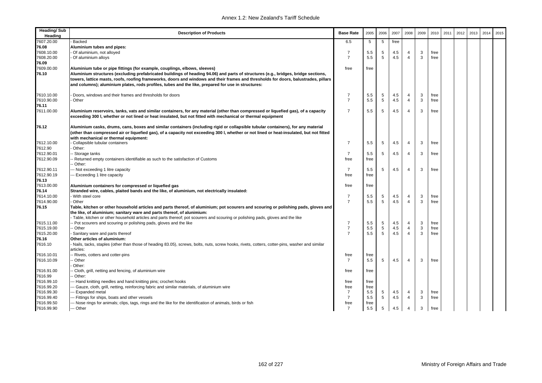| <b>Heading/Sub</b><br>Heading | <b>Description of Products</b>                                                                                                                | <b>Base Rate</b>       | 2005        | 2006            | 2007 | 2008           | 2009         | 2010 | 2011 | 2012 | 2013 | 2014 | 2015 |
|-------------------------------|-----------------------------------------------------------------------------------------------------------------------------------------------|------------------------|-------------|-----------------|------|----------------|--------------|------|------|------|------|------|------|
| 7607.20.00                    | <b>Backed</b>                                                                                                                                 | 6.5                    | 5           | 5               | free |                |              |      |      |      |      |      |      |
| 76.08                         | Aluminium tubes and pipes:                                                                                                                    |                        |             |                 |      |                |              |      |      |      |      |      |      |
| 7608.10.00                    | Of aluminium, not alloyed                                                                                                                     | $\overline{7}$         | 5.5         | 5               | 4.5  | $\overline{4}$ | 3            | free |      |      |      |      |      |
| 7608.20.00                    | Of aluminium alloys                                                                                                                           | $\overline{7}$         | 5.5         | 5               | 4.5  | $\overline{4}$ | 3            | free |      |      |      |      |      |
| 76.09                         |                                                                                                                                               |                        |             |                 |      |                |              |      |      |      |      |      |      |
| 7609.00.00                    | Aluminium tube or pipe fittings (for example, couplings, elbows, sleeves)                                                                     | free                   | free        |                 |      |                |              |      |      |      |      |      |      |
| 76.10                         | Aluminium structures (excluding prefabricated buildings of heading 94.06) and parts of structures (e.g., bridges, bridge sections,            |                        |             |                 |      |                |              |      |      |      |      |      |      |
|                               | towers, lattice masts, roofs, roofing frameworks, doors and windows and their frames and thresholds for doors, balustrades, pillars           |                        |             |                 |      |                |              |      |      |      |      |      |      |
|                               | and columns); aluminium plates, rods profiles, tubes and the like, prepared for use in structures:                                            |                        |             |                 |      |                |              |      |      |      |      |      |      |
|                               |                                                                                                                                               |                        |             |                 |      |                |              |      |      |      |      |      |      |
| 7610.10.00                    | Doors, windows and their frames and thresholds for doors                                                                                      | 7                      | 5.5         | 5               | 4.5  | 4              | 3            | free |      |      |      |      |      |
| 7610.90.00                    | Other                                                                                                                                         | $\overline{7}$         | 5.5         | $5\phantom{.0}$ | 4.5  | 4              | $\mathbf{3}$ | free |      |      |      |      |      |
| 76.11                         |                                                                                                                                               |                        |             |                 |      |                |              |      |      |      |      |      |      |
| 7611.00.00                    | Aluminium reservoirs, tanks, vats and similar containers, for any material (other than compressed or liquefied gas), of a capacity            | $\overline{7}$         | 5.5         | 5               | 4.5  | $\overline{4}$ | 3            | free |      |      |      |      |      |
|                               | exceeding 300 I, whether or not lined or heat insulated, but not fitted with mechanical or thermal equipment                                  |                        |             |                 |      |                |              |      |      |      |      |      |      |
|                               |                                                                                                                                               |                        |             |                 |      |                |              |      |      |      |      |      |      |
| 76.12                         | Aluminium casks, drums, cans, boxes and similar containers (including rigid or collapsible tubular containers), for any material              |                        |             |                 |      |                |              |      |      |      |      |      |      |
|                               | (other than compressed air or liquefied gas), of a capacity not exceeding 300 l, whether or not lined or heat-insulated, but not fitted       |                        |             |                 |      |                |              |      |      |      |      |      |      |
| 7612.10.00                    | with mechanical or thermal equipment:<br>Collapsible tubular containers                                                                       | $\overline{7}$         | 5.5         | 5               | 4.5  | 4              | 3            | free |      |      |      |      |      |
| 7612.90                       | Other:                                                                                                                                        |                        |             |                 |      |                |              |      |      |      |      |      |      |
| 7612.90.01                    | - Storage tanks                                                                                                                               | $\overline{7}$         | 5.5         | 5               | 4.5  | $\overline{4}$ | 3            | free |      |      |      |      |      |
| 7612.90.09                    | Returned empty containers identifiable as such to the satisfaction of Customs                                                                 | free                   | free        |                 |      |                |              |      |      |      |      |      |      |
|                               | Other:                                                                                                                                        |                        |             |                 |      |                |              |      |      |      |      |      |      |
| 7612.90.11                    | -- Not exceeding 1 litre capacity                                                                                                             | $\overline{7}$         | 5.5         | 5               | 4.5  | $\overline{4}$ | 3            | free |      |      |      |      |      |
| 7612.90.19                    | -- Exceeding 1 litre capacity                                                                                                                 | free                   | free        |                 |      |                |              |      |      |      |      |      |      |
| 76.13                         |                                                                                                                                               |                        |             |                 |      |                |              |      |      |      |      |      |      |
| 7613.00.00                    | Aluminium containers for compressed or liquefied gas                                                                                          | free                   | free        |                 |      |                |              |      |      |      |      |      |      |
| 76.14                         | Stranded wire, cables, plaited bands and the like, of aluminium, not electrically insulated:                                                  |                        |             |                 |      |                |              |      |      |      |      |      |      |
| 7614.10.00                    | With steel core                                                                                                                               | $\overline{7}$         | 5.5         | 5               | 4.5  | 4              | 3            | free |      |      |      |      |      |
| 7614.90.00                    | Other                                                                                                                                         | $\overline{7}$         | 5.5         | 5               | 4.5  | $\overline{4}$ | 3            | free |      |      |      |      |      |
| 76.15                         | Table, kitchen or other household articles and parts thereof, of aluminium; pot scourers and scouring or polishing pads, gloves and           |                        |             |                 |      |                |              |      |      |      |      |      |      |
|                               | the like, of aluminium; sanitary ware and parts thereof, of alunimium:                                                                        |                        |             |                 |      |                |              |      |      |      |      |      |      |
|                               | Table, kitchen or other household articles and parts thereof; pot scourers and scouring or polishing pads, gloves and the like                |                        |             |                 |      |                |              |      |      |      |      |      |      |
| 7615.11.00                    | - Pot scourers and scouring or polishing pads, gloves and the like                                                                            | $\overline{7}$         | 5.5         | 5               | 4.5  | 4              | 3            | free |      |      |      |      |      |
| 7615.19.00                    | - Other                                                                                                                                       | $\overline{7}$         | 5.5         | 5               | 4.5  | $\overline{4}$ | 3            | free |      |      |      |      |      |
| 7615.20.00                    | Sanitary ware and parts thereof                                                                                                               | $\overline{7}$         | 5.5         | 5               | 4.5  | $\overline{4}$ | 3            | free |      |      |      |      |      |
| 76.16                         | Other articles of aluminium:                                                                                                                  |                        |             |                 |      |                |              |      |      |      |      |      |      |
| 7616.10                       | Nails, tacks, staples (other than those of heading 83.05), screws, bolts, nuts, screw hooks, rivets, cotters, cotter-pins, washer and similar |                        |             |                 |      |                |              |      |      |      |      |      |      |
|                               | articles:                                                                                                                                     |                        |             |                 |      |                |              |      |      |      |      |      |      |
| 7616.10.01                    | - Rivets, cotters and cotter-pins                                                                                                             | free                   | free        |                 |      |                |              |      |      |      |      |      |      |
| 7616.10.09                    | - Other                                                                                                                                       | $\overline{7}$         | 5.5         | 5               | 4.5  | $\overline{4}$ | 3            | free |      |      |      |      |      |
|                               | Other:                                                                                                                                        |                        |             |                 |      |                |              |      |      |      |      |      |      |
| 7616.91.00                    | Cloth, grill, netting and fencing, of aluminium wire                                                                                          | free                   | free        |                 |      |                |              |      |      |      |      |      |      |
| 7616.99                       | Other:                                                                                                                                        |                        |             |                 |      |                |              |      |      |      |      |      |      |
| 7616.99.10                    | -- Hand knitting needles and hand knitting pins; crochet hooks                                                                                | free                   | free        |                 |      |                |              |      |      |      |      |      |      |
| 7616.99.20                    | -- Gauze, cloth, grill, netting, reinforcing fabric and similar materials, of aluminium wire                                                  | free                   | free        |                 |      |                |              |      |      |      |      |      |      |
| 7616.99.30                    | -- Expanded metal                                                                                                                             | $\overline{7}$         | 5.5         | 5               | 4.5  | 4              | 3            | free |      |      |      |      |      |
| 7616.99.40                    | --- Fittings for ships, boats and other vessels                                                                                               | $\overline{7}$         | 5.5         | 5               | 4.5  | 4              | 3            | free |      |      |      |      |      |
| 7616.99.50<br>7616.99.90      | -- Nose rings for animals; clips, tags, rings and the like for the identification of animals, birds or fish                                   | free<br>$\overline{7}$ | free<br>5.5 | 5               |      |                | 3            |      |      |      |      |      |      |
|                               | --- Other                                                                                                                                     |                        |             |                 | 4.5  | 4              |              | free |      |      |      |      |      |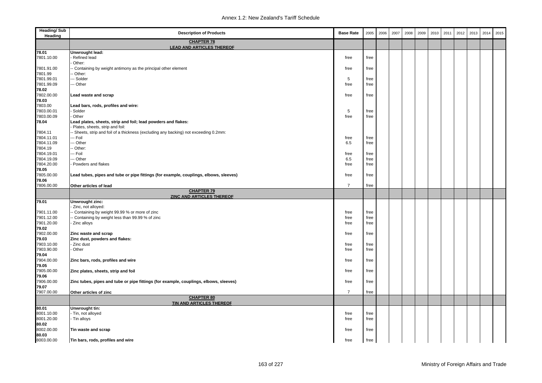| <b>Heading/Sub</b><br>Heading | <b>Description of Products</b>                                                        | <b>Base Rate</b> | 2005 | 2006 | 2007 | 2008 | 2009 | 2010 | 2011 | 2012 | 2013 | 2014 | 2015 |
|-------------------------------|---------------------------------------------------------------------------------------|------------------|------|------|------|------|------|------|------|------|------|------|------|
|                               | <b>CHAPTER 78</b><br><b>LEAD AND ARTICLES THEREOF</b>                                 |                  |      |      |      |      |      |      |      |      |      |      |      |
| 78.01                         | Unwrought lead:                                                                       |                  |      |      |      |      |      |      |      |      |      |      |      |
| 7801.10.00                    | Refined lead                                                                          | free             | free |      |      |      |      |      |      |      |      |      |      |
|                               | Other:                                                                                |                  |      |      |      |      |      |      |      |      |      |      |      |
| 7801.91.00                    | Containing by weight antimony as the principal other element                          | free             | free |      |      |      |      |      |      |      |      |      |      |
| 7801.99                       | Other:                                                                                |                  |      |      |      |      |      |      |      |      |      |      |      |
| 7801.99.01                    | - Solder                                                                              | 5                | free |      |      |      |      |      |      |      |      |      |      |
| 7801.99.09                    | - Other                                                                               | free             | free |      |      |      |      |      |      |      |      |      |      |
| 78.02                         |                                                                                       |                  |      |      |      |      |      |      |      |      |      |      |      |
| 7802.00.00                    | Lead waste and scrap                                                                  | free             | free |      |      |      |      |      |      |      |      |      |      |
| 78.03                         |                                                                                       |                  |      |      |      |      |      |      |      |      |      |      |      |
| 7803.00                       | Lead bars, rods, profiles and wire:                                                   |                  |      |      |      |      |      |      |      |      |      |      |      |
| 7803.00.01                    | Solder                                                                                | 5                | free |      |      |      |      |      |      |      |      |      |      |
| 7803.00.09                    | Other                                                                                 | free             | free |      |      |      |      |      |      |      |      |      |      |
| 78.04                         | Lead plates, sheets, strip and foil; lead powders and flakes:                         |                  |      |      |      |      |      |      |      |      |      |      |      |
|                               | Plates, sheets, strip and foil:                                                       |                  |      |      |      |      |      |      |      |      |      |      |      |
| 7804.11                       | - Sheets, strip and foil of a thickness (excluding any backing) not exceeding 0.2mm:  |                  |      |      |      |      |      |      |      |      |      |      |      |
| 7804.11.01                    | -- Foil                                                                               | free             | free |      |      |      |      |      |      |      |      |      |      |
| 7804.11.09                    | - Other                                                                               | 6.5              | free |      |      |      |      |      |      |      |      |      |      |
| 7804.19                       | Other:                                                                                |                  |      |      |      |      |      |      |      |      |      |      |      |
| 7804.19.01                    | -- Foil                                                                               | free             | free |      |      |      |      |      |      |      |      |      |      |
| 7804.19.09                    | -- Other                                                                              | 6.5              | free |      |      |      |      |      |      |      |      |      |      |
| 7804.20.00                    | Powders and flakes                                                                    | free             | free |      |      |      |      |      |      |      |      |      |      |
| 78.05                         |                                                                                       |                  |      |      |      |      |      |      |      |      |      |      |      |
| 7805.00.00                    | Lead tubes, pipes and tube or pipe fittings (for example, couplings, elbows, sleeves) | free             | free |      |      |      |      |      |      |      |      |      |      |
| 78.06                         |                                                                                       |                  |      |      |      |      |      |      |      |      |      |      |      |
| 7806.00.00                    | Other articles of lead<br><b>CHAPTER 79</b>                                           | $\overline{7}$   | free |      |      |      |      |      |      |      |      |      |      |
|                               | <b>ZINC AND ARTICLES THEREOF</b>                                                      |                  |      |      |      |      |      |      |      |      |      |      |      |
| 79.01                         | Unwrought zinc:                                                                       |                  |      |      |      |      |      |      |      |      |      |      |      |
|                               | Zinc, not alloyed:                                                                    |                  |      |      |      |      |      |      |      |      |      |      |      |
| 7901.11.00                    | Containing by weight 99.99 % or more of zinc                                          | free             | free |      |      |      |      |      |      |      |      |      |      |
| 7901.12.00                    | Containing by weight less than 99.99 % of zinc                                        | free             | free |      |      |      |      |      |      |      |      |      |      |
| 7901.20.00                    | Zinc alloys                                                                           | free             | free |      |      |      |      |      |      |      |      |      |      |
| 79.02                         |                                                                                       |                  |      |      |      |      |      |      |      |      |      |      |      |
| 7902.00.00                    | Zinc waste and scrap                                                                  | free             | free |      |      |      |      |      |      |      |      |      |      |
| 79.03                         | Zinc dust, powders and flakes:                                                        |                  |      |      |      |      |      |      |      |      |      |      |      |
| 7903.10.00                    | - Zinc dust                                                                           | free             | free |      |      |      |      |      |      |      |      |      |      |
| 7903.90.00                    | Other                                                                                 | free             | free |      |      |      |      |      |      |      |      |      |      |
| 79.04                         |                                                                                       |                  |      |      |      |      |      |      |      |      |      |      |      |
| 7904.00.00                    | Zinc bars, rods, profiles and wire                                                    | free             | free |      |      |      |      |      |      |      |      |      |      |
| 79.05                         |                                                                                       |                  |      |      |      |      |      |      |      |      |      |      |      |
| 7905.00.00                    | Zinc plates, sheets, strip and foil                                                   | free             | free |      |      |      |      |      |      |      |      |      |      |
| 79.06                         |                                                                                       |                  |      |      |      |      |      |      |      |      |      |      |      |
| 7906.00.00                    | Zinc tubes, pipes and tube or pipe fittings (for example, couplings, elbows, sleeves) | free             | free |      |      |      |      |      |      |      |      |      |      |
| 79.07                         |                                                                                       |                  |      |      |      |      |      |      |      |      |      |      |      |
| 7907.00.00                    | Other articles of zinc                                                                | $\overline{7}$   | free |      |      |      |      |      |      |      |      |      |      |
|                               | <b>CHAPTER 80</b><br>TIN AND ARTICLES THEREOF                                         |                  |      |      |      |      |      |      |      |      |      |      |      |
| 80.01                         | Unwrought tin:                                                                        |                  |      |      |      |      |      |      |      |      |      |      |      |
| 8001.10.00                    | Tin, not alloyed                                                                      | free             | free |      |      |      |      |      |      |      |      |      |      |
| 8001.20.00                    | Tin alloys                                                                            | free             | free |      |      |      |      |      |      |      |      |      |      |
| 80.02                         |                                                                                       |                  |      |      |      |      |      |      |      |      |      |      |      |
| 8002.00.00                    | Tin waste and scrap                                                                   | free             | free |      |      |      |      |      |      |      |      |      |      |
| 80.03                         |                                                                                       |                  |      |      |      |      |      |      |      |      |      |      |      |
| 8003.00.00                    | Tin bars, rods, profiles and wire                                                     | free             | free |      |      |      |      |      |      |      |      |      |      |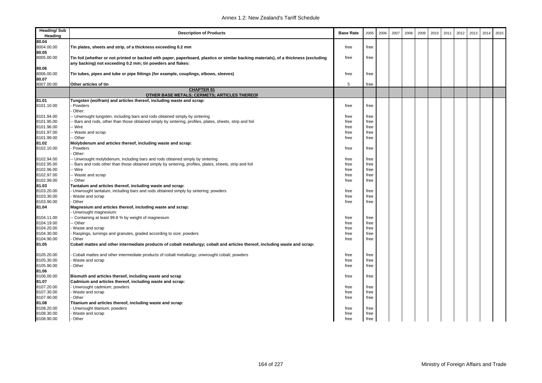| <b>Heading/Sub</b><br>Heading | <b>Description of Products</b>                                                                                                       | <b>Base Rate</b> | 2005 | 2006 | 2007 | 2008 | 2009 | 2010 | 2011 | 2012 | 2013 | 2014 | 2015 |
|-------------------------------|--------------------------------------------------------------------------------------------------------------------------------------|------------------|------|------|------|------|------|------|------|------|------|------|------|
| 80.04                         |                                                                                                                                      |                  |      |      |      |      |      |      |      |      |      |      |      |
| 8004.00.00                    | Tin plates, sheets and strip, of a thickness exceeding 0.2 mm                                                                        | free             | free |      |      |      |      |      |      |      |      |      |      |
| 80.05                         |                                                                                                                                      |                  |      |      |      |      |      |      |      |      |      |      |      |
| 8005.00.00                    | Tin foil (whether or not printed or backed with paper, paperboard, plastics or similar backing materials), of a thickness (excluding | free             | free |      |      |      |      |      |      |      |      |      |      |
|                               | any backing) not exceeding 0.2 mm; tin powders and flakes:                                                                           |                  |      |      |      |      |      |      |      |      |      |      |      |
| 80.06<br>8006.00.00           |                                                                                                                                      | free             |      |      |      |      |      |      |      |      |      |      |      |
| 80.07                         | Tin tubes, pipes and tube or pipe fittings (for example, couplings, elbows, sleeves)                                                 |                  | free |      |      |      |      |      |      |      |      |      |      |
| 8007.00.00                    | Other articles of tin                                                                                                                | 5                | free |      |      |      |      |      |      |      |      |      |      |
|                               | <b>CHAPTER 81</b>                                                                                                                    |                  |      |      |      |      |      |      |      |      |      |      |      |
|                               | OTHER BASE METALS; CERMETS; ARTICLES THEREOF                                                                                         |                  |      |      |      |      |      |      |      |      |      |      |      |
| 81.01                         | Tungsten (wolfram) and articles thereof, including waste and scrap:                                                                  |                  |      |      |      |      |      |      |      |      |      |      |      |
| 8101.10.00                    | Powders                                                                                                                              | free             | free |      |      |      |      |      |      |      |      |      |      |
|                               | Other:                                                                                                                               |                  |      |      |      |      |      |      |      |      |      |      |      |
| 8101.94.00                    | - Unwrought tungsten, including bars and rods obtained simply by sintering                                                           | free             | free |      |      |      |      |      |      |      |      |      |      |
| 8101.95.00                    | Bars and rods, other than those obtained simply by sintering, profiles, plates, sheets, strip and foil                               | free             | free |      |      |      |      |      |      |      |      |      |      |
| 8101.96.00                    | - Wire                                                                                                                               | free             | free |      |      |      |      |      |      |      |      |      |      |
| 8101.97.00                    | - Waste and scrap                                                                                                                    | free             | free |      |      |      |      |      |      |      |      |      |      |
| 8101.99.00                    | - Other                                                                                                                              | free             | free |      |      |      |      |      |      |      |      |      |      |
| 81.02                         | Molybdenum and articles thereof, including waste and scrap:                                                                          |                  |      |      |      |      |      |      |      |      |      |      |      |
| 8102.10.00                    | Powders                                                                                                                              | free             | free |      |      |      |      |      |      |      |      |      |      |
|                               | Other:                                                                                                                               |                  |      |      |      |      |      |      |      |      |      |      |      |
| 8102.94.00                    | - Unwrought molybdenum, including bars and rods obtained simply by sintering                                                         | free             | free |      |      |      |      |      |      |      |      |      |      |
| 8102.95.00                    | Bars and rods other than those obtained simply by sintering, profiles, plates, sheets, strip and foil                                | free             | free |      |      |      |      |      |      |      |      |      |      |
| 8102.96.00                    | - Wire                                                                                                                               | free             | free |      |      |      |      |      |      |      |      |      |      |
| 8102.97.00<br>8102.99.00      | Waste and scrap<br>- Other                                                                                                           | free<br>free     | free |      |      |      |      |      |      |      |      |      |      |
| 81.03                         | Tantalum and articles thereof, including waste and scrap:                                                                            |                  | free |      |      |      |      |      |      |      |      |      |      |
| 8103.20.00                    | Unwrought tantalum, including bars and rods obtained simply by sintering; powders                                                    | free             | free |      |      |      |      |      |      |      |      |      |      |
| 8103.30.00                    | Waste and scrap                                                                                                                      | free             | free |      |      |      |      |      |      |      |      |      |      |
| 8103.90.00                    | Other                                                                                                                                | free             | free |      |      |      |      |      |      |      |      |      |      |
| 81.04                         | Magnesium and articles thereof, including waste and scrap:                                                                           |                  |      |      |      |      |      |      |      |      |      |      |      |
|                               | Unwrought magnesium:                                                                                                                 |                  |      |      |      |      |      |      |      |      |      |      |      |
| 8104.11.00                    | - Containing at least 99.8 % by weight of magnesium                                                                                  | free             | free |      |      |      |      |      |      |      |      |      |      |
| 8104.19.00                    | - Other                                                                                                                              | free             | free |      |      |      |      |      |      |      |      |      |      |
| 8104.20.00                    | Waste and scrap                                                                                                                      | free             | free |      |      |      |      |      |      |      |      |      |      |
| 8104.30.00                    | Raspings, turnings and granules, graded according to size; powders                                                                   | free             | free |      |      |      |      |      |      |      |      |      |      |
| 8104.90.00                    | Other                                                                                                                                | free             | free |      |      |      |      |      |      |      |      |      |      |
| 81.05                         | Cobalt mattes and other intermediate products of cobalt metallurgy; cobalt and articles thereof, including waste and scrap:          |                  |      |      |      |      |      |      |      |      |      |      |      |
| 8105.20.00                    | Cobalt mattes and other intermediate products of cobalt metallurgy; unwrought cobalt; powders                                        | free             | free |      |      |      |      |      |      |      |      |      |      |
| 8105.30.00                    | Waste and scrap                                                                                                                      | free             | free |      |      |      |      |      |      |      |      |      |      |
| 8105.90.00                    | Other                                                                                                                                | free             | free |      |      |      |      |      |      |      |      |      |      |
| 81.06                         |                                                                                                                                      |                  |      |      |      |      |      |      |      |      |      |      |      |
| 8106.00.00                    | Bismuth and articles thereof, including waste and scrap                                                                              | free             | free |      |      |      |      |      |      |      |      |      |      |
| 81.07                         | Cadmium and articles thereof, including waste and scrap:                                                                             |                  |      |      |      |      |      |      |      |      |      |      |      |
| 8107.20.00                    | - Unwrought cadmium; powders                                                                                                         | free             | free |      |      |      |      |      |      |      |      |      |      |
| 8107.30.00                    | Waste and scrap                                                                                                                      | free             | free |      |      |      |      |      |      |      |      |      |      |
| 8107.90.00                    | Other                                                                                                                                | free             | free |      |      |      |      |      |      |      |      |      |      |
| 81.08                         | Titanium and articles thereof, including waste and scrap:                                                                            |                  |      |      |      |      |      |      |      |      |      |      |      |
| 8108.20.00                    | Unwrought titanium; powders                                                                                                          | free             | free |      |      |      |      |      |      |      |      |      |      |
| 8108.30.00<br>8108.90.00      | Waste and scrap                                                                                                                      | free             | free |      |      |      |      |      |      |      |      |      |      |
|                               | - Other                                                                                                                              | free             | free |      |      |      |      |      |      |      |      |      |      |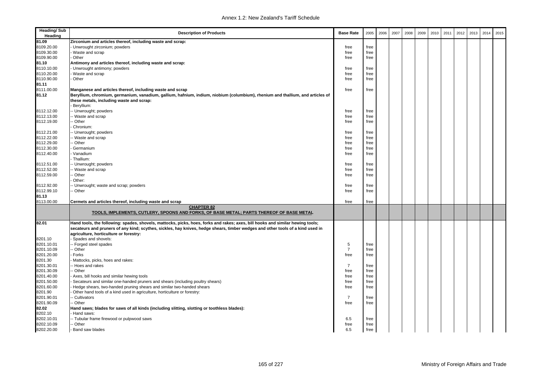| <b>Heading/Sub</b><br>Heading | <b>Description of Products</b>                                                                                                 | <b>Base Rate</b> | 2005 | 2006 | 2007 | 2008 | 2009 | 2010 | 2011 | 2012 | 2013 | 2014 | 2015 |
|-------------------------------|--------------------------------------------------------------------------------------------------------------------------------|------------------|------|------|------|------|------|------|------|------|------|------|------|
| 81.09                         | Zirconium and articles thereof, including waste and scrap:                                                                     |                  |      |      |      |      |      |      |      |      |      |      |      |
| 8109.20.00                    | Unwrought zirconium; powders                                                                                                   | free             | free |      |      |      |      |      |      |      |      |      |      |
| 8109.30.00                    | Waste and scrap                                                                                                                | free             | free |      |      |      |      |      |      |      |      |      |      |
| 8109.90.00                    | Other                                                                                                                          | free             | free |      |      |      |      |      |      |      |      |      |      |
| 81.10                         | Antimony and articles thereof, including waste and scrap:                                                                      |                  |      |      |      |      |      |      |      |      |      |      |      |
| 8110.10.00                    | Unwrought antimony; powders                                                                                                    | free             | free |      |      |      |      |      |      |      |      |      |      |
| 8110.20.00                    | Waste and scrap                                                                                                                | free             | free |      |      |      |      |      |      |      |      |      |      |
| 8110.90.00                    | Other                                                                                                                          | free             | free |      |      |      |      |      |      |      |      |      |      |
| 81.11                         |                                                                                                                                |                  |      |      |      |      |      |      |      |      |      |      |      |
| 8111.00.00                    | Manganese and articles thereof, including waste and scrap                                                                      | free             | free |      |      |      |      |      |      |      |      |      |      |
| 81.12                         | Beryllium, chromium, germanium, vanadium, gallium, hafnium, indium, niobium (columbium), rhenium and thallium, and articles of |                  |      |      |      |      |      |      |      |      |      |      |      |
|                               | these metals, including waste and scrap:                                                                                       |                  |      |      |      |      |      |      |      |      |      |      |      |
|                               | Beryllium:                                                                                                                     |                  |      |      |      |      |      |      |      |      |      |      |      |
| 8112.12.00                    | - Unwrought; powders                                                                                                           | free             | free |      |      |      |      |      |      |      |      |      |      |
| 8112.13.00                    | - Waste and scrap                                                                                                              | free             | free |      |      |      |      |      |      |      |      |      |      |
| 8112.19.00                    | - Other                                                                                                                        | free             | free |      |      |      |      |      |      |      |      |      |      |
|                               | Chronium:                                                                                                                      |                  |      |      |      |      |      |      |      |      |      |      |      |
| 8112.21.00                    | - Unwrought; powders                                                                                                           | free             | free |      |      |      |      |      |      |      |      |      |      |
| 8112.22.00                    | - Waste and scrap                                                                                                              | free             | free |      |      |      |      |      |      |      |      |      |      |
| 8112.29.00                    | - Other                                                                                                                        | free             | free |      |      |      |      |      |      |      |      |      |      |
| 8112.30.00                    | Germanium                                                                                                                      | free             | free |      |      |      |      |      |      |      |      |      |      |
| 8112.40.00                    | Vanadium                                                                                                                       | free             | free |      |      |      |      |      |      |      |      |      |      |
|                               | Thallium:                                                                                                                      |                  |      |      |      |      |      |      |      |      |      |      |      |
| 8112.51.00                    | - Unwrought; powders                                                                                                           | free             | free |      |      |      |      |      |      |      |      |      |      |
| 8112.52.00                    | - Waste and scrap                                                                                                              | free             | free |      |      |      |      |      |      |      |      |      |      |
| 8112.59.00                    | - Other                                                                                                                        | free             | free |      |      |      |      |      |      |      |      |      |      |
|                               | Other:                                                                                                                         |                  |      |      |      |      |      |      |      |      |      |      |      |
| 8112.92.00                    | - Unwrought; waste and scrap; powders                                                                                          | free             | free |      |      |      |      |      |      |      |      |      |      |
| 8112.99.10                    | - Other                                                                                                                        | free             | free |      |      |      |      |      |      |      |      |      |      |
| 81.13                         |                                                                                                                                |                  |      |      |      |      |      |      |      |      |      |      |      |
| 8113.00.00                    | Cermets and articles thereof, including waste and scrap                                                                        | free             | free |      |      |      |      |      |      |      |      |      |      |
|                               | <b>CHAPTER 82</b>                                                                                                              |                  |      |      |      |      |      |      |      |      |      |      |      |
|                               | TOOLS, IMPLEMENTS, CUTLERY, SPOONS AND FORKS, OF BASE METAL; PARTS THEREOF OF BASE METAL                                       |                  |      |      |      |      |      |      |      |      |      |      |      |
| 82.01                         | Hand tools, the following: spades, shovels, mattocks, picks, hoes, forks and rakes; axes, bill hooks and similar hewing tools; |                  |      |      |      |      |      |      |      |      |      |      |      |
|                               | secateurs and pruners of any kind; scythes, sickles, hay knives, hedge shears, timber wedges and other tools of a kind used in |                  |      |      |      |      |      |      |      |      |      |      |      |
|                               | agriculture, horticulture or forestry:                                                                                         |                  |      |      |      |      |      |      |      |      |      |      |      |
| 8201.10                       | Spades and shovels:                                                                                                            |                  |      |      |      |      |      |      |      |      |      |      |      |
| 8201.10.01                    | - Forged steel spades                                                                                                          | 5                | free |      |      |      |      |      |      |      |      |      |      |
| 8201.10.09                    | - Other                                                                                                                        | $\overline{7}$   | free |      |      |      |      |      |      |      |      |      |      |
| 8201.20.00                    | Forks                                                                                                                          | free             | free |      |      |      |      |      |      |      |      |      |      |
| 8201.30                       | Mattocks, picks, hoes and rakes:                                                                                               |                  |      |      |      |      |      |      |      |      |      |      |      |
| 8201.30.01                    | - Hoes and rakes                                                                                                               | $\overline{7}$   | free |      |      |      |      |      |      |      |      |      |      |
| 8201.30.09                    | - Other                                                                                                                        | free             | free |      |      |      |      |      |      |      |      |      |      |
| 8201.40.00                    | Axes, bill hooks and similar hewing tools                                                                                      | free             | free |      |      |      |      |      |      |      |      |      |      |
| 8201.50.00                    | Secateurs and similar one-handed pruners and shears (including poultry shears)                                                 | free             | free |      |      |      |      |      |      |      |      |      |      |
| 8201.60.00                    | Hedge shears, two-handed pruning shears and similar two-handed shears                                                          | free             | free |      |      |      |      |      |      |      |      |      |      |
| 8201.90                       | Other hand tools of a kind used in agriculture, horticulture or forestry:                                                      |                  |      |      |      |      |      |      |      |      |      |      |      |
| 8201.90.01                    | - Cultivators                                                                                                                  | $\overline{7}$   | free |      |      |      |      |      |      |      |      |      |      |
| 8201.90.09                    | - Other                                                                                                                        | free             | free |      |      |      |      |      |      |      |      |      |      |
| 82.02                         | Hand saws; blades for saws of all kinds (including slitting, slotting or toothless blades):                                    |                  |      |      |      |      |      |      |      |      |      |      |      |
| 8202.10                       | Hand saws:                                                                                                                     |                  |      |      |      |      |      |      |      |      |      |      |      |
|                               |                                                                                                                                |                  |      |      |      |      |      |      |      |      |      |      |      |
| 8202.10.01                    | - Tubular frame firewood or pulpwood saws<br>- Other                                                                           | 6.5              | free |      |      |      |      |      |      |      |      |      |      |
| 8202.10.09                    |                                                                                                                                | free             | free |      |      |      |      |      |      |      |      |      |      |
| 8202.20.00                    | Band saw blades                                                                                                                | 6.5              | free |      |      |      |      |      |      |      |      |      |      |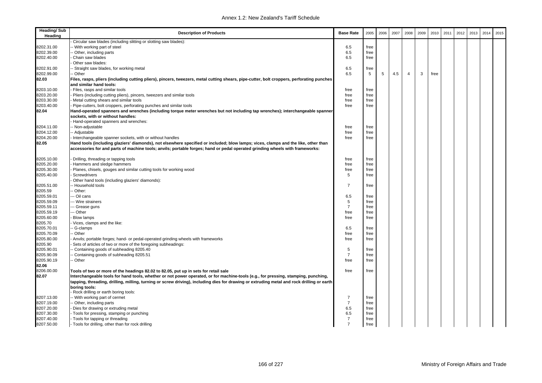| <b>Heading/Sub</b><br>Heading | <b>Description of Products</b>                                                                                                                                                                                                                                     | <b>Base Rate</b>             | 2005         | 2006 | 2007 | 2008 | 2009 | 2010 | 2011 | 2012 | 2013 | 2014 | 2015 |
|-------------------------------|--------------------------------------------------------------------------------------------------------------------------------------------------------------------------------------------------------------------------------------------------------------------|------------------------------|--------------|------|------|------|------|------|------|------|------|------|------|
|                               | Circular saw blades (including slitting or slotting saw blades):                                                                                                                                                                                                   |                              |              |      |      |      |      |      |      |      |      |      |      |
| 8202.31.00                    | - With working part of steel                                                                                                                                                                                                                                       | 6.5                          | free         |      |      |      |      |      |      |      |      |      |      |
| 8202.39.00                    | - Other, including parts                                                                                                                                                                                                                                           | 6.5                          | free         |      |      |      |      |      |      |      |      |      |      |
| 8202.40.00                    | Chain saw blades                                                                                                                                                                                                                                                   | 6.5                          | free         |      |      |      |      |      |      |      |      |      |      |
|                               | Other saw blades:                                                                                                                                                                                                                                                  |                              |              |      |      |      |      |      |      |      |      |      |      |
| 8202.91.00                    | -- Straight saw blades, for working metal                                                                                                                                                                                                                          | 6.5                          | free         |      |      |      |      |      |      |      |      |      |      |
| 8202.99.00                    | - Other                                                                                                                                                                                                                                                            | 6.5                          | 5            | 5    | 4.5  | 4    | 3    | free |      |      |      |      |      |
| 82.03                         | Files, rasps, pliers (including cutting pliers), pincers, tweezers, metal cutting shears, pipe-cutter, bolt croppers, perforating punches<br>and similar hand tools:                                                                                               |                              |              |      |      |      |      |      |      |      |      |      |      |
| 8203.10.00                    | Files, rasps and similar tools                                                                                                                                                                                                                                     | free                         | free         |      |      |      |      |      |      |      |      |      |      |
| 8203.20.00                    | Pliers (including cutting pliers), pincers, tweezers and similar tools                                                                                                                                                                                             | free                         | free         |      |      |      |      |      |      |      |      |      |      |
| 8203.30.00                    | Metal cutting shears and similar tools                                                                                                                                                                                                                             | free                         | free         |      |      |      |      |      |      |      |      |      |      |
| 8203.40.00                    | Pipe-cutters, bolt croppers, perforating punches and similar tools                                                                                                                                                                                                 | free                         | free         |      |      |      |      |      |      |      |      |      |      |
| 82.04                         | Hand-operated spanners and wrenches (including torque meter wrenches but not including tap wrenches); interchangeable spanner                                                                                                                                      |                              |              |      |      |      |      |      |      |      |      |      |      |
|                               | sockets, with or without handles:                                                                                                                                                                                                                                  |                              |              |      |      |      |      |      |      |      |      |      |      |
|                               | Hand-operated spanners and wrenches:                                                                                                                                                                                                                               |                              |              |      |      |      |      |      |      |      |      |      |      |
| 8204.11.00                    | - Non-adjustable                                                                                                                                                                                                                                                   | free                         | free         |      |      |      |      |      |      |      |      |      |      |
| 8204.12.00                    | -- Adjustable                                                                                                                                                                                                                                                      | free                         | free         |      |      |      |      |      |      |      |      |      |      |
| 8204.20.00                    | Interchangeable spanner sockets, with or without handles                                                                                                                                                                                                           | free                         | free         |      |      |      |      |      |      |      |      |      |      |
| 82.05                         | Hand tools (including glaziers' diamonds), not elsewhere specified or included; blow lamps; vices, clamps and the like, other than<br>accessories for and parts of machine tools; anvils; portable forges; hand or pedal operated grinding wheels with frameworks: |                              |              |      |      |      |      |      |      |      |      |      |      |
| 8205.10.00                    | Drilling, threading or tapping tools                                                                                                                                                                                                                               | free                         | free         |      |      |      |      |      |      |      |      |      |      |
| 8205.20.00                    | Hammers and sledge hammers                                                                                                                                                                                                                                         | free                         | free         |      |      |      |      |      |      |      |      |      |      |
| 8205.30.00                    | Planes, chisels, gouges and similar cutting tools for working wood                                                                                                                                                                                                 | free                         | free         |      |      |      |      |      |      |      |      |      |      |
| 8205.40.00                    | Screwdrivers                                                                                                                                                                                                                                                       | 5                            | free         |      |      |      |      |      |      |      |      |      |      |
|                               | Other hand tools (including glaziers' diamonds):                                                                                                                                                                                                                   |                              |              |      |      |      |      |      |      |      |      |      |      |
| 8205.51.00                    | - Household tools                                                                                                                                                                                                                                                  | $\overline{7}$               | free         |      |      |      |      |      |      |      |      |      |      |
| 8205.59                       | - Other:                                                                                                                                                                                                                                                           |                              |              |      |      |      |      |      |      |      |      |      |      |
| 8205.59.01                    | --- Oil cans                                                                                                                                                                                                                                                       | 6.5                          | free         |      |      |      |      |      |      |      |      |      |      |
| 8205.59.09                    | --- Wire strainers                                                                                                                                                                                                                                                 | $\sqrt{5}$<br>$\overline{7}$ | free         |      |      |      |      |      |      |      |      |      |      |
| 8205.59.11                    | --- Grease guns                                                                                                                                                                                                                                                    |                              | free         |      |      |      |      |      |      |      |      |      |      |
| 8205.59.19<br>8205.60.00      | -- Other<br>Blow lamps                                                                                                                                                                                                                                             | free                         | free<br>free |      |      |      |      |      |      |      |      |      |      |
| 8205.70                       | Vices, clamps and the like:                                                                                                                                                                                                                                        | free                         |              |      |      |      |      |      |      |      |      |      |      |
| 8205.70.01                    | - G-clamps                                                                                                                                                                                                                                                         | 6.5                          | free         |      |      |      |      |      |      |      |      |      |      |
| 8205.70.09                    | - Other                                                                                                                                                                                                                                                            | free                         | free         |      |      |      |      |      |      |      |      |      |      |
| 8205.80.00                    | Anvils; portable forges; hand- or pedal-operated grinding wheels with frameworks                                                                                                                                                                                   | free                         | free         |      |      |      |      |      |      |      |      |      |      |
| 8205.90                       | Sets of articles of two or more of the foregoing subheadings:                                                                                                                                                                                                      |                              |              |      |      |      |      |      |      |      |      |      |      |
| 8205.90.01                    | - Containing goods of subheading 8205.40                                                                                                                                                                                                                           | 5                            | free         |      |      |      |      |      |      |      |      |      |      |
| 8205.90.09                    | - Containing goods of subheading 8205.51                                                                                                                                                                                                                           | $\overline{7}$               | free         |      |      |      |      |      |      |      |      |      |      |
| 8205.90.19                    | - Other                                                                                                                                                                                                                                                            | free                         | free         |      |      |      |      |      |      |      |      |      |      |
| 82.06                         |                                                                                                                                                                                                                                                                    |                              |              |      |      |      |      |      |      |      |      |      |      |
| 8206.00.00                    | Tools of two or more of the headings 82.02 to 82.05, put up in sets for retail sale                                                                                                                                                                                | free                         | free         |      |      |      |      |      |      |      |      |      |      |
| 82.07                         | Interchangeable tools for hand tools, whether or not power operated, or for machine-tools (e.g., for pressing, stamping, punching,                                                                                                                                 |                              |              |      |      |      |      |      |      |      |      |      |      |
|                               | tapping, threading, drilling, milling, turning or screw driving), including dies for drawing or extruding metal and rock drilling or earth <br>borina tools:                                                                                                       |                              |              |      |      |      |      |      |      |      |      |      |      |
|                               | Rock drilling or earth boring tools:                                                                                                                                                                                                                               |                              |              |      |      |      |      |      |      |      |      |      |      |
| 8207.13.00                    | -- With working part of cermet                                                                                                                                                                                                                                     | $\overline{7}$               | free         |      |      |      |      |      |      |      |      |      |      |
| 8207.19.00                    | - Other, including parts                                                                                                                                                                                                                                           | $\overline{7}$               | free         |      |      |      |      |      |      |      |      |      |      |
| 8207.20.00                    | Dies for drawing or extruding metal                                                                                                                                                                                                                                | 6.5                          | free         |      |      |      |      |      |      |      |      |      |      |
| 8207.30.00                    | Tools for pressing, stamping or punching                                                                                                                                                                                                                           | 6.5                          | free         |      |      |      |      |      |      |      |      |      |      |
| 8207.40.00                    | - Tools for tapping or threading                                                                                                                                                                                                                                   | $\overline{7}$               | free         |      |      |      |      |      |      |      |      |      |      |
| 8207.50.00                    | - Tools for drilling, other than for rock drilling                                                                                                                                                                                                                 | $\overline{7}$               | free         |      |      |      |      |      |      |      |      |      |      |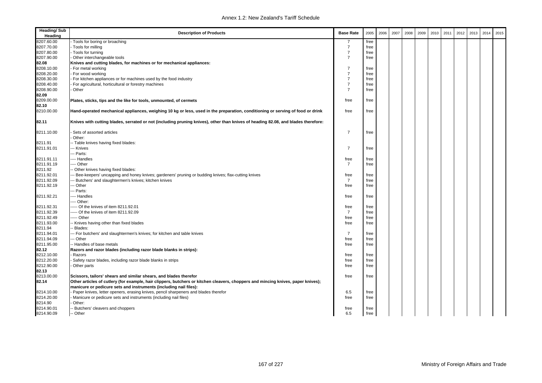| <b>Heading/Sub</b><br>Heading | <b>Description of Products</b>                                                                                                    | <b>Base Rate</b> | 2005 | 2006 | 2007 | 2008 | 2009 | 2010 | 2011 | 2012 | 2013 | 2014 | 2015 |
|-------------------------------|-----------------------------------------------------------------------------------------------------------------------------------|------------------|------|------|------|------|------|------|------|------|------|------|------|
| 8207.60.00                    | Tools for boring or broaching                                                                                                     |                  | free |      |      |      |      |      |      |      |      |      |      |
| 8207.70.00                    | - Tools for milling                                                                                                               | $\overline{7}$   | free |      |      |      |      |      |      |      |      |      |      |
| 8207.80.00                    | - Tools for turning                                                                                                               | $\overline{7}$   | free |      |      |      |      |      |      |      |      |      |      |
| 8207.90.00                    | Other interchangeable tools                                                                                                       | $\overline{7}$   | free |      |      |      |      |      |      |      |      |      |      |
| 82.08                         | Knives and cutting blades, for machines or for mechanical appliances:                                                             |                  |      |      |      |      |      |      |      |      |      |      |      |
| 8208.10.00                    | For metal working                                                                                                                 | $\overline{7}$   | free |      |      |      |      |      |      |      |      |      |      |
| 8208.20.00                    | - For wood working                                                                                                                | $\overline{7}$   | free |      |      |      |      |      |      |      |      |      |      |
| 8208.30.00                    | For kitchen appliances or for machines used by the food industry                                                                  | $\overline{7}$   | free |      |      |      |      |      |      |      |      |      |      |
| 8208.40.00                    | For agricultural, horticultural or forestry machines                                                                              | $\overline{7}$   | free |      |      |      |      |      |      |      |      |      |      |
| 8208.90.00                    | Other                                                                                                                             | $\overline{7}$   | free |      |      |      |      |      |      |      |      |      |      |
| 82.09                         |                                                                                                                                   |                  |      |      |      |      |      |      |      |      |      |      |      |
| 8209.00.00                    | Plates, sticks, tips and the like for tools, unmounted, of cermets                                                                | free             | free |      |      |      |      |      |      |      |      |      |      |
| 82.10                         |                                                                                                                                   |                  |      |      |      |      |      |      |      |      |      |      |      |
| 8210.00.00                    | Hand-operated mechanical appliances, weighing 10 kg or less, used in the preparation, conditioning or serving of food or drink    | free             | free |      |      |      |      |      |      |      |      |      |      |
| 82.11                         | Knives with cutting blades, serrated or not (including pruning knives), other than knives of heading 82.08, and blades therefore: |                  |      |      |      |      |      |      |      |      |      |      |      |
| 8211.10.00                    | Sets of assorted articles                                                                                                         | 7                | free |      |      |      |      |      |      |      |      |      |      |
|                               | Other:                                                                                                                            |                  |      |      |      |      |      |      |      |      |      |      |      |
| 8211.91                       | -- Table knives having fixed blades:                                                                                              | $\overline{7}$   |      |      |      |      |      |      |      |      |      |      |      |
| 8211.91.01                    | -- Knives                                                                                                                         |                  | free |      |      |      |      |      |      |      |      |      |      |
|                               | -- Parts:                                                                                                                         |                  |      |      |      |      |      |      |      |      |      |      |      |
| 8211.91.11                    | --- Handles                                                                                                                       | free             | free |      |      |      |      |      |      |      |      |      |      |
| 8211.91.19                    | --- Other                                                                                                                         | $\overline{7}$   | free |      |      |      |      |      |      |      |      |      |      |
| 8211.92                       | - Other knives having fixed blades:                                                                                               |                  |      |      |      |      |      |      |      |      |      |      |      |
| 8211.92.01                    | Bee-keepers' uncapping and honey knives; gardeners' pruning or budding knives; flax-cutting knives                                | free             | free |      |      |      |      |      |      |      |      |      |      |
| 8211.92.09                    | Butchers' and slaughtermen's knives; kitchen knives                                                                               | $\overline{7}$   | free |      |      |      |      |      |      |      |      |      |      |
| 8211.92.19                    | - Other                                                                                                                           | free             | free |      |      |      |      |      |      |      |      |      |      |
|                               | - Parts:                                                                                                                          |                  |      |      |      |      |      |      |      |      |      |      |      |
| 8211.92.21                    | --- Handles                                                                                                                       | free             | free |      |      |      |      |      |      |      |      |      |      |
|                               | --- Other:                                                                                                                        |                  |      |      |      |      |      |      |      |      |      |      |      |
| 8211.92.31                    | ----- Of the knives of item 8211.92.01                                                                                            | free             | free |      |      |      |      |      |      |      |      |      |      |
| 8211.92.39                    | ---- Of the knives of item 8211.92.09                                                                                             | $\overline{7}$   | free |      |      |      |      |      |      |      |      |      |      |
| 8211.92.49                    | ---- Other                                                                                                                        | free             | free |      |      |      |      |      |      |      |      |      |      |
| 8211.93.00                    | - Knives having other than fixed blades                                                                                           | free             | free |      |      |      |      |      |      |      |      |      |      |
| 8211.94                       | Blades:                                                                                                                           |                  |      |      |      |      |      |      |      |      |      |      |      |
| 8211.94.01                    | --- For butchers' and slaughtermen's knives; for kitchen and table knives                                                         | 7                | free |      |      |      |      |      |      |      |      |      |      |
| 8211.94.09                    | - Other                                                                                                                           | free             | free |      |      |      |      |      |      |      |      |      |      |
| 8211.95.00                    | -- Handles of base metals                                                                                                         | free             | free |      |      |      |      |      |      |      |      |      |      |
| 82.12                         | Razors and razor blades (including razor blade blanks in strips):                                                                 |                  |      |      |      |      |      |      |      |      |      |      |      |
| 8212.10.00                    | Razors                                                                                                                            | free             | free |      |      |      |      |      |      |      |      |      |      |
| 8212.20.00                    | Safety razor blades, including razor blade blanks in strips                                                                       | free             | free |      |      |      |      |      |      |      |      |      |      |
| 8212.90.00                    | Other parts                                                                                                                       | free             | free |      |      |      |      |      |      |      |      |      |      |
| 82.13                         |                                                                                                                                   |                  |      |      |      |      |      |      |      |      |      |      |      |
| 8213.00.00                    | Scissors, tailors' shears and similar shears, and blades therefor                                                                 | free             | free |      |      |      |      |      |      |      |      |      |      |
| 82.14                         | Other articles of cutlery (for example, hair clippers, butchers or kitchen cleavers, choppers and mincing knives, paper knives);  |                  |      |      |      |      |      |      |      |      |      |      |      |
|                               | manicure or pedicure sets and instruments (including nail files):                                                                 |                  |      |      |      |      |      |      |      |      |      |      |      |
| 8214.10.00                    | Paper knives, letter openers, erasing knives, pencil sharpeners and blades therefor                                               | 6.5              | free |      |      |      |      |      |      |      |      |      |      |
| 8214.20.00                    | Manicure or pedicure sets and instruments (including nail files)                                                                  | free             | free |      |      |      |      |      |      |      |      |      |      |
| 8214.90                       | Other:                                                                                                                            |                  |      |      |      |      |      |      |      |      |      |      |      |
| 8214.90.01                    | -- Butchers' cleavers and choppers                                                                                                | free             | free |      |      |      |      |      |      |      |      |      |      |
| 8214.90.09                    | -- Other                                                                                                                          | 6.5              | free |      |      |      |      |      |      |      |      |      |      |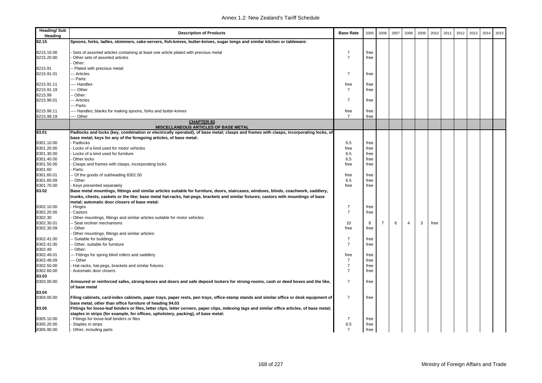| Heading/Sub<br>Heading   | <b>Description of Products</b>                                                                                                                                                                             | <b>Base Rate</b>       | 2005 | 2006           | 2007 | 2008           | 2009 | 2010 | 2011 | 2012 | 2013 | 2014 | 2015 |
|--------------------------|------------------------------------------------------------------------------------------------------------------------------------------------------------------------------------------------------------|------------------------|------|----------------|------|----------------|------|------|------|------|------|------|------|
| 82.15                    | Spoons, forks, ladles, skimmers, cake-servers, fish-knives, butter-knives, sugar tongs and similar kitchen or tableware:                                                                                   |                        |      |                |      |                |      |      |      |      |      |      |      |
| 8215.10.00               | Sets of assorted articles containing at least one article plated with precious metal                                                                                                                       | 7                      | free |                |      |                |      |      |      |      |      |      |      |
| 8215.20.00               | Other sets of assorted articles<br>Other:                                                                                                                                                                  | $\overline{7}$         | free |                |      |                |      |      |      |      |      |      |      |
| 8215.91                  | - Plated with precious metal:                                                                                                                                                                              |                        |      |                |      |                |      |      |      |      |      |      |      |
| 8215.91.01               | -- Articles                                                                                                                                                                                                | 7                      | free |                |      |                |      |      |      |      |      |      |      |
|                          | --- Parts:                                                                                                                                                                                                 |                        |      |                |      |                |      |      |      |      |      |      |      |
| 8215.91.11<br>8215.91.19 | --- Handles<br>--- Other                                                                                                                                                                                   | free<br>$\overline{7}$ | free |                |      |                |      |      |      |      |      |      |      |
| 8215.99                  | - Other:                                                                                                                                                                                                   |                        | free |                |      |                |      |      |      |      |      |      |      |
| 8215.99.01               | -- Articles                                                                                                                                                                                                | $\overline{7}$         | free |                |      |                |      |      |      |      |      |      |      |
|                          | -- Parts:                                                                                                                                                                                                  |                        |      |                |      |                |      |      |      |      |      |      |      |
| 8215.99.11               | --- Handles; blanks for making spoons, forks and butter-knives                                                                                                                                             | free                   | free |                |      |                |      |      |      |      |      |      |      |
| 8215.99.19               | --- Other                                                                                                                                                                                                  | $\overline{7}$         | free |                |      |                |      |      |      |      |      |      |      |
|                          | <b>CHAPTER 83</b><br><b>MISCELLANEOUS ARTICLES OF BASE METAL</b>                                                                                                                                           |                        |      |                |      |                |      |      |      |      |      |      |      |
| 83.01                    | Padlocks and locks (key, combination or electrically operated), of base metal; clasps and frames with clasps, incorporating locks, of                                                                      |                        |      |                |      |                |      |      |      |      |      |      |      |
|                          | base metal; keys for any of the foregoing articles, of base metal:                                                                                                                                         |                        |      |                |      |                |      |      |      |      |      |      |      |
| 8301.10.00               | Padlocks                                                                                                                                                                                                   | 6.5                    | free |                |      |                |      |      |      |      |      |      |      |
| 8301.20.00               | Locks of a kind used for motor vehicles                                                                                                                                                                    | free                   | free |                |      |                |      |      |      |      |      |      |      |
| 8301.30.00               | Locks of a kind used for furniture                                                                                                                                                                         | 6.5                    | free |                |      |                |      |      |      |      |      |      |      |
| 8301.40.00               | Other locks                                                                                                                                                                                                | 6.5                    | free |                |      |                |      |      |      |      |      |      |      |
| 8301.50.00<br>8301.60    | Clasps and frames with clasps, incorporating locks<br>Parts:                                                                                                                                               | free                   | free |                |      |                |      |      |      |      |      |      |      |
| 8301.60.01               | Of the goods of subheading 8301.50                                                                                                                                                                         | free                   | free |                |      |                |      |      |      |      |      |      |      |
| 8301.60.09               | - Other                                                                                                                                                                                                    | 6.5                    | free |                |      |                |      |      |      |      |      |      |      |
| 8301.70.00               | Keys presented separately                                                                                                                                                                                  | free                   | free |                |      |                |      |      |      |      |      |      |      |
| 83.02                    | Base metal mountings, fittings and similar articles suitable for furniture, doors, staircases, windows, blinds, coachwork, saddlery,                                                                       |                        |      |                |      |                |      |      |      |      |      |      |      |
|                          | trunks, chests, caskets or the like; base metal hat-racks, hat-pegs, brackets and similar fixtures; castors with mountings of base                                                                         |                        |      |                |      |                |      |      |      |      |      |      |      |
|                          | metal; automatic door closers of base metal:                                                                                                                                                               |                        |      |                |      |                |      |      |      |      |      |      |      |
| 8302.10.00               | Hinges                                                                                                                                                                                                     | $\overline{7}$         | free |                |      |                |      |      |      |      |      |      |      |
| 8302.20.00               | Castors                                                                                                                                                                                                    | $\overline{7}$         | free |                |      |                |      |      |      |      |      |      |      |
| 8302.30                  | Other mountings, fittings and similar articles suitable for motor vehicles:                                                                                                                                |                        |      |                |      |                |      |      |      |      |      |      |      |
| 8302.30.01               | Seat recliner mechanisms                                                                                                                                                                                   | 10                     | 8    | $\overline{7}$ | 6    | $\overline{4}$ | 3    | free |      |      |      |      |      |
| 8302.30.09               | - Other                                                                                                                                                                                                    | free                   | free |                |      |                |      |      |      |      |      |      |      |
| 8302.41.00               | Other mountings, fittings and similar articles:<br>Suitable for buildings                                                                                                                                  | $\overline{7}$         | free |                |      |                |      |      |      |      |      |      |      |
| 8302.42.00               | - Other, suitable for furniture                                                                                                                                                                            | $\overline{7}$         | free |                |      |                |      |      |      |      |      |      |      |
| 8302.49                  | - Other:                                                                                                                                                                                                   |                        |      |                |      |                |      |      |      |      |      |      |      |
| 8302.49.01               | -- Fittings for spring blind rollers and saddlery                                                                                                                                                          | free                   | free |                |      |                |      |      |      |      |      |      |      |
| 8302.49.09               | -- Other                                                                                                                                                                                                   | $\overline{7}$         | free |                |      |                |      |      |      |      |      |      |      |
| 8302.50.00               | Hat-racks, hat-pegs, brackets and similar fixtures                                                                                                                                                         | $\overline{7}$         | free |                |      |                |      |      |      |      |      |      |      |
| 8302.60.00               | Automatic door closers                                                                                                                                                                                     | $\overline{7}$         | free |                |      |                |      |      |      |      |      |      |      |
| 83.03                    |                                                                                                                                                                                                            |                        |      |                |      |                |      |      |      |      |      |      |      |
| 8303.00.00               | Armoured or reinforced safes, strong-boxes and doors and safe deposit lockers for strong-rooms, cash or deed boxes and the like,                                                                           | 7                      | free |                |      |                |      |      |      |      |      |      |      |
|                          | of base metal                                                                                                                                                                                              |                        |      |                |      |                |      |      |      |      |      |      |      |
| 83.04                    |                                                                                                                                                                                                            |                        |      |                |      |                |      |      |      |      |      |      |      |
| 8304.00.00               | Filing cabinets, card-index cabinets, paper trays, paper rests, pen trays, office-stamp stands and similar office or desk equipment of                                                                     | $\overline{7}$         | free |                |      |                |      |      |      |      |      |      |      |
| 83.05                    | base metal, other than office furniture of heading 94.03<br>Fittings for loose-leaf binders or files, letter clips, letter corners, paper clips, indexing tags and similar office articles, of base metal; |                        |      |                |      |                |      |      |      |      |      |      |      |
|                          | staples in strips (for example, for offices, upholstery, packing), of base metal:                                                                                                                          |                        |      |                |      |                |      |      |      |      |      |      |      |
| 8305.10.00               | Fittings for loose-leaf binders or files                                                                                                                                                                   | 7                      | free |                |      |                |      |      |      |      |      |      |      |
| 8305.20.00               | Staples in strips                                                                                                                                                                                          | 6.5                    | free |                |      |                |      |      |      |      |      |      |      |
| 8305.90.00               | Other, including parts                                                                                                                                                                                     | $\overline{7}$         | free |                |      |                |      |      |      |      |      |      |      |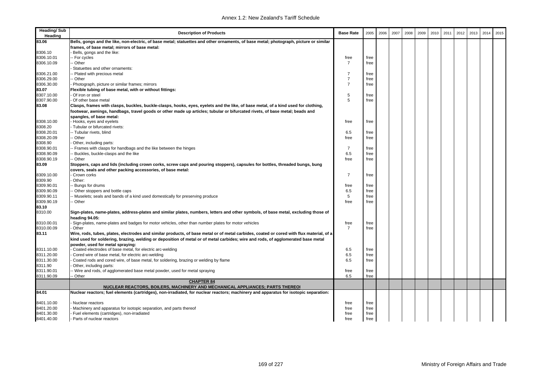| <b>Heading/Sub</b><br>Heading | <b>Description of Products</b>                                                                                                                                                                                                                                               | <b>Base Rate</b> | 2005 | 2006 | 2007 | 2008 | 2009 | 2010 | 2011 | 2012 | 2013 | 2014 | 2015 |
|-------------------------------|------------------------------------------------------------------------------------------------------------------------------------------------------------------------------------------------------------------------------------------------------------------------------|------------------|------|------|------|------|------|------|------|------|------|------|------|
| 83.06                         | Bells, gongs and the like, non-electric, of base metal; statuettes and other ornaments, of base metal; photograph, picture or similar                                                                                                                                        |                  |      |      |      |      |      |      |      |      |      |      |      |
|                               | frames, of base metal; mirrors of base metal:                                                                                                                                                                                                                                |                  |      |      |      |      |      |      |      |      |      |      |      |
| 8306.10                       | Bells, gongs and the like:                                                                                                                                                                                                                                                   |                  |      |      |      |      |      |      |      |      |      |      |      |
| 8306.10.01                    | - For cycles                                                                                                                                                                                                                                                                 | free             | free |      |      |      |      |      |      |      |      |      |      |
| 8306.10.09                    | - Other                                                                                                                                                                                                                                                                      | $\overline{7}$   | free |      |      |      |      |      |      |      |      |      |      |
|                               | Statuettes and other ornaments:                                                                                                                                                                                                                                              |                  |      |      |      |      |      |      |      |      |      |      |      |
| 8306.21.00                    | Plated with precious metal                                                                                                                                                                                                                                                   | $\overline{7}$   | free |      |      |      |      |      |      |      |      |      |      |
| 8306.29.00                    | Other                                                                                                                                                                                                                                                                        | $\overline{7}$   | free |      |      |      |      |      |      |      |      |      |      |
| 8306.30.00                    | Photograph, picture or similar frames; mirrors                                                                                                                                                                                                                               | $\overline{7}$   | free |      |      |      |      |      |      |      |      |      |      |
| 83.07                         | Flexible tubing of base metal, with or without fittings:                                                                                                                                                                                                                     |                  |      |      |      |      |      |      |      |      |      |      |      |
| 8307.10.00                    | Of iron or steel                                                                                                                                                                                                                                                             | 5                | free |      |      |      |      |      |      |      |      |      |      |
| 8307.90.00                    | Of other base metal                                                                                                                                                                                                                                                          | 5                | free |      |      |      |      |      |      |      |      |      |      |
| 83.08                         | Clasps, frames with clasps, buckles, buckle-clasps, hooks, eyes, eyelets and the like, of base metal, of a kind used for clothing,<br>footwear, awnings, handbags, travel goods or other made up articles; tubular or bifurcated rivets, of base metal; beads and            |                  |      |      |      |      |      |      |      |      |      |      |      |
|                               | spangles, of base metal:                                                                                                                                                                                                                                                     |                  |      |      |      |      |      |      |      |      |      |      |      |
| 8308.10.00                    | Hooks, eyes and eyelets                                                                                                                                                                                                                                                      | free             | free |      |      |      |      |      |      |      |      |      |      |
| 8308.20                       | - Tubular or bifurcated rivets:                                                                                                                                                                                                                                              |                  |      |      |      |      |      |      |      |      |      |      |      |
| 8308.20.01                    | -- Tubular rivets, blind                                                                                                                                                                                                                                                     | 6.5              | free |      |      |      |      |      |      |      |      |      |      |
| 8308.20.09                    | - Other                                                                                                                                                                                                                                                                      | free             | free |      |      |      |      |      |      |      |      |      |      |
| 8308.90                       | Other, including parts:                                                                                                                                                                                                                                                      |                  |      |      |      |      |      |      |      |      |      |      |      |
| 8308.90.01                    | Frames with clasps for handbags and the like between the hinges                                                                                                                                                                                                              | $\overline{7}$   | free |      |      |      |      |      |      |      |      |      |      |
| 8308.90.09                    | Buckles, buckle-clasps and the like                                                                                                                                                                                                                                          | 6.5              | free |      |      |      |      |      |      |      |      |      |      |
| 8308.90.19                    | - Other                                                                                                                                                                                                                                                                      | free             | free |      |      |      |      |      |      |      |      |      |      |
| 83.09                         | Stoppers, caps and lids (including crown corks, screw caps and pouring stoppers), capsules for bottles, threaded bungs, bung<br>covers, seals and other packing accessories, of base metal:                                                                                  |                  |      |      |      |      |      |      |      |      |      |      |      |
| 8309.10.00                    | Crown corks                                                                                                                                                                                                                                                                  | $\overline{7}$   | free |      |      |      |      |      |      |      |      |      |      |
| 8309.90                       | Other:                                                                                                                                                                                                                                                                       |                  |      |      |      |      |      |      |      |      |      |      |      |
| 8309.90.01                    | Bungs for drums                                                                                                                                                                                                                                                              | free             | free |      |      |      |      |      |      |      |      |      |      |
| 8309.90.09                    | Other stoppers and bottle caps                                                                                                                                                                                                                                               | 6.5              | free |      |      |      |      |      |      |      |      |      |      |
| 8309.90.11                    | - Muselets; seals and bands of a kind used domestically for preserving produce                                                                                                                                                                                               | 5                | free |      |      |      |      |      |      |      |      |      |      |
| 8309.90.19                    | - Other                                                                                                                                                                                                                                                                      | free             | free |      |      |      |      |      |      |      |      |      |      |
| 83.10                         |                                                                                                                                                                                                                                                                              |                  |      |      |      |      |      |      |      |      |      |      |      |
| 8310.00                       | Sign-plates, name-plates, address-plates and similar plates, numbers, letters and other symbols, of base metal, excluding those of<br>heading 94.05:                                                                                                                         |                  |      |      |      |      |      |      |      |      |      |      |      |
| 8310.00.01                    | Sign-plates, name-plates and badges for motor vehicles, other than number plates for motor vehicles                                                                                                                                                                          | free             | free |      |      |      |      |      |      |      |      |      |      |
| 8310.00.09                    | Other                                                                                                                                                                                                                                                                        | $\overline{7}$   | free |      |      |      |      |      |      |      |      |      |      |
| 83.11                         | Wire, rods, tubes, plates, electrodes and similar products, of base metal or of metal carbides, coated or cored with flux material, of a<br>kind used for soldering, brazing, welding or deposition of metal or of metal carbides; wire and rods, of agglomerated base metal |                  |      |      |      |      |      |      |      |      |      |      |      |
|                               | powder, used for metal spraying:                                                                                                                                                                                                                                             |                  |      |      |      |      |      |      |      |      |      |      |      |
| 8311.10.00                    | Coated electrodes of base metal, for electric arc-welding                                                                                                                                                                                                                    | 6.5              | free |      |      |      |      |      |      |      |      |      |      |
| 8311.20.00                    | Cored wire of base metal, for electric arc-welding                                                                                                                                                                                                                           | 6.5              | free |      |      |      |      |      |      |      |      |      |      |
| 8311.30.00                    | Coated rods and cored wire, of base metal, for soldering, brazing or welding by flame                                                                                                                                                                                        | 6.5              | free |      |      |      |      |      |      |      |      |      |      |
| 8311.90                       | Other, including parts:                                                                                                                                                                                                                                                      |                  |      |      |      |      |      |      |      |      |      |      |      |
| 8311.90.01                    | - Wire and rods, of agglomerated base metal powder, used for metal spraying                                                                                                                                                                                                  | free             | free |      |      |      |      |      |      |      |      |      |      |
| 8311.90.09                    | Other                                                                                                                                                                                                                                                                        | 6.5              | free |      |      |      |      |      |      |      |      |      |      |
|                               | <b>CHAPTER 84</b><br>NUCLEAR REACTORS, BOILERS, MACHINERY AND MECHANICAL APPLIANCES; PARTS THEREOI                                                                                                                                                                           |                  |      |      |      |      |      |      |      |      |      |      |      |
| 84.01                         | Nuclear reactors; fuel elements (cartridges), non-irradiated, for nuclear reactors; machinery and apparatus for isotopic separation:                                                                                                                                         |                  |      |      |      |      |      |      |      |      |      |      |      |
| 8401.10.00                    | Nuclear reactors                                                                                                                                                                                                                                                             | free             | free |      |      |      |      |      |      |      |      |      |      |
| 8401.20.00                    | Machinery and apparatus for isotopic separation, and parts thereof                                                                                                                                                                                                           | free             | free |      |      |      |      |      |      |      |      |      |      |
| 8401.30.00                    | Fuel elements (cartridges), non-irradiated                                                                                                                                                                                                                                   | free             | free |      |      |      |      |      |      |      |      |      |      |
| 8401.40.00                    | Parts of nuclear reactors                                                                                                                                                                                                                                                    | free             | free |      |      |      |      |      |      |      |      |      |      |
|                               |                                                                                                                                                                                                                                                                              |                  |      |      |      |      |      |      |      |      |      |      |      |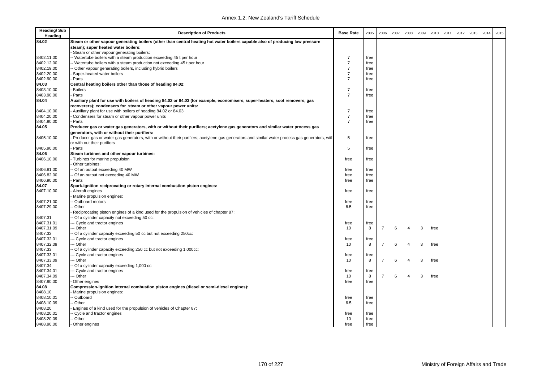| <b>Heading/Sub</b><br>Heading | <b>Description of Products</b>                                                                                                                 | <b>Base Rate</b> | 2005 | 2006           | 2007 | 2008                    | 2009 | 2010 | 2011 | 2012 | 2013 | 2014 | 2015 |
|-------------------------------|------------------------------------------------------------------------------------------------------------------------------------------------|------------------|------|----------------|------|-------------------------|------|------|------|------|------|------|------|
| 84.02                         | Steam or other vapour generating boilers (other than central heating hot water boilers capable also of producing low pressure                  |                  |      |                |      |                         |      |      |      |      |      |      |      |
|                               | steam); super heated water boilers:                                                                                                            |                  |      |                |      |                         |      |      |      |      |      |      |      |
|                               | Steam or other vapour generating boilers:                                                                                                      |                  |      |                |      |                         |      |      |      |      |      |      |      |
| 8402.11.00                    | - Watertube boilers with a steam production exceeding 45 t per hour                                                                            | $\overline{7}$   | free |                |      |                         |      |      |      |      |      |      |      |
| 8402.12.00                    | - Watertube boilers with a steam production not exceeding 45 t per hour                                                                        | $\overline{7}$   | free |                |      |                         |      |      |      |      |      |      |      |
| 8402.19.00                    | Other vapour generating boilers, including hybrid boilers                                                                                      | $\overline{7}$   | free |                |      |                         |      |      |      |      |      |      |      |
| 8402.20.00                    | Super-heated water boilers                                                                                                                     | $\overline{7}$   | free |                |      |                         |      |      |      |      |      |      |      |
| 8402.90.00                    | Parts                                                                                                                                          | $\overline{7}$   | free |                |      |                         |      |      |      |      |      |      |      |
| 84.03                         | Central heating boilers other than those of heading 84.02:                                                                                     |                  |      |                |      |                         |      |      |      |      |      |      |      |
| 8403.10.00                    | <b>Boilers</b>                                                                                                                                 | $\overline{7}$   | free |                |      |                         |      |      |      |      |      |      |      |
| 8403.90.00                    | Parts                                                                                                                                          | $\overline{7}$   | free |                |      |                         |      |      |      |      |      |      |      |
| 84.04                         | Auxiliary plant for use with boilers of heading 84.02 or 84.03 (for example, economisers, super-heaters, soot removers, gas                    |                  |      |                |      |                         |      |      |      |      |      |      |      |
|                               | recoverers); condensers for steam or other vapour power units:                                                                                 |                  |      |                |      |                         |      |      |      |      |      |      |      |
| 8404.10.00                    | Auxiliary plant for use with boilers of heading 84.02 or 84.03                                                                                 | $\overline{7}$   | free |                |      |                         |      |      |      |      |      |      |      |
| 8404.20.00                    | Condensers for steam or other vapour power units                                                                                               | $\overline{7}$   | free |                |      |                         |      |      |      |      |      |      |      |
| 8404.90.00                    | Parts                                                                                                                                          | $\overline{7}$   | free |                |      |                         |      |      |      |      |      |      |      |
| 84.05                         | Producer gas or water gas generators, with or without their purifiers; acetylene gas generators and similar water process gas                  |                  |      |                |      |                         |      |      |      |      |      |      |      |
|                               | generators, with or without their purifiers:                                                                                                   |                  |      |                |      |                         |      |      |      |      |      |      |      |
| 8405.10.00                    | Producer gas or water gas generators, with or without their purifiers; acetylene gas generators and similar water process gas generators, with | 5                | free |                |      |                         |      |      |      |      |      |      |      |
|                               | or with out their purifiers                                                                                                                    |                  |      |                |      |                         |      |      |      |      |      |      |      |
| 8405.90.00                    | Parts                                                                                                                                          | 5                | free |                |      |                         |      |      |      |      |      |      |      |
| 84.06                         | Steam turbines and other vapour turbines:                                                                                                      |                  |      |                |      |                         |      |      |      |      |      |      |      |
| 8406.10.00                    | Turbines for marine propulsion                                                                                                                 | free             | free |                |      |                         |      |      |      |      |      |      |      |
|                               | Other turbines:                                                                                                                                |                  |      |                |      |                         |      |      |      |      |      |      |      |
| 8406.81.00                    | - Of an output exceeding 40 MW                                                                                                                 | free             | free |                |      |                         |      |      |      |      |      |      |      |
| 8406.82.00                    | - Of an output not exceeding 40 MW                                                                                                             | free             | free |                |      |                         |      |      |      |      |      |      |      |
| 8406.90.00                    | Parts                                                                                                                                          | free             | free |                |      |                         |      |      |      |      |      |      |      |
| 84.07                         | Spark-ignition reciprocating or rotary internal combustion piston engines:                                                                     |                  |      |                |      |                         |      |      |      |      |      |      |      |
| 8407.10.00                    | Aircraft engines                                                                                                                               | free             | free |                |      |                         |      |      |      |      |      |      |      |
|                               | Marine propulsion engines:                                                                                                                     |                  |      |                |      |                         |      |      |      |      |      |      |      |
| 8407.21.00                    | Outboard motors                                                                                                                                | free             | free |                |      |                         |      |      |      |      |      |      |      |
| 8407.29.00                    | Other                                                                                                                                          | 6.5              | free |                |      |                         |      |      |      |      |      |      |      |
|                               | Reciprocating piston engines of a kind used for the propulsion of vehicles of chapter 87:                                                      |                  |      |                |      |                         |      |      |      |      |      |      |      |
| 8407.31                       | Of a cylinder capacity not exceeding 50 cc:                                                                                                    |                  |      |                |      |                         |      |      |      |      |      |      |      |
| 8407.31.01                    | - Cycle and tractor engines                                                                                                                    | free             | free |                |      |                         |      |      |      |      |      |      |      |
| 8407.31.09                    | - Other                                                                                                                                        | 10               | 8    | $\overline{7}$ | 6    | $\overline{4}$          | 3    | free |      |      |      |      |      |
| 8407.32                       | Of a cylinder capacity exceeding 50 cc but not exceeding 250cc:                                                                                |                  |      |                |      |                         |      |      |      |      |      |      |      |
| 8407.32.01                    | - Cycle and tractor engines                                                                                                                    | free             | free |                |      |                         |      |      |      |      |      |      |      |
| 8407.32.09                    | - Other                                                                                                                                        | 10               | 8    | $\overline{7}$ | 6    | $\overline{\mathbf{A}}$ | 3    | free |      |      |      |      |      |
| 8407.33                       | Of a cylinder capacity exceeding 250 cc but not exceeding 1,000cc:                                                                             |                  |      |                |      |                         |      |      |      |      |      |      |      |
| 8407.33.01                    | - Cycle and tractor engines                                                                                                                    | free             | free |                |      |                         |      |      |      |      |      |      |      |
| 8407.33.09                    | - Other                                                                                                                                        | 10               | 8    | $\overline{7}$ | 6    | $\overline{4}$          | 3    | free |      |      |      |      |      |
| 8407.34                       | Of a cylinder capacity exceeding 1,000 cc:                                                                                                     |                  |      |                |      |                         |      |      |      |      |      |      |      |
| 8407.34.01                    | - Cycle and tractor engines                                                                                                                    | free             | free |                |      |                         |      |      |      |      |      |      |      |
| 8407.34.09                    | - Other                                                                                                                                        | 10               | 8    | $\overline{7}$ | 6    | $\overline{4}$          | 3    | free |      |      |      |      |      |
| 8407.90.00                    | Other engines                                                                                                                                  | free             | free |                |      |                         |      |      |      |      |      |      |      |
| 84.08                         | Compression-ignition internal combustion piston engines (diesel or semi-diesel engines):                                                       |                  |      |                |      |                         |      |      |      |      |      |      |      |
| 8408.10                       | Marine propulsion engines:                                                                                                                     |                  |      |                |      |                         |      |      |      |      |      |      |      |
| 8408.10.01                    | - Outboard                                                                                                                                     | free             | free |                |      |                         |      |      |      |      |      |      |      |
| 8408.10.09                    | Other                                                                                                                                          | 6.5              | free |                |      |                         |      |      |      |      |      |      |      |
| 8408.20                       | Engines of a kind used for the propulsion of vehicles of Chapter 87:                                                                           |                  |      |                |      |                         |      |      |      |      |      |      |      |
| 8408.20.01                    | Cycle and tractor engines                                                                                                                      | free             | free |                |      |                         |      |      |      |      |      |      |      |
| 8408.20.09                    | - Other                                                                                                                                        | 10               | free |                |      |                         |      |      |      |      |      |      |      |
| 8408.90.00                    | Other engines                                                                                                                                  | free             | free |                |      |                         |      |      |      |      |      |      |      |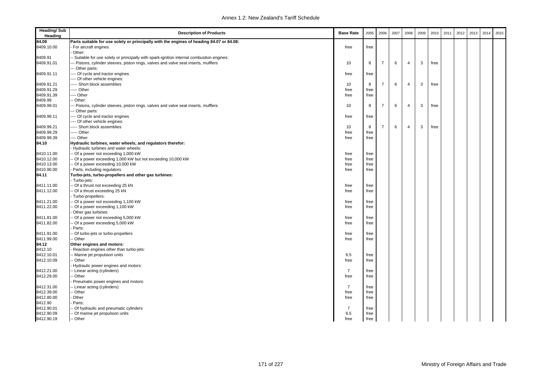| <b>Heading/Sub</b><br>Heading | <b>Description of Products</b>                                                           | <b>Base Rate</b> | 2005 | 2006           | 2007 | 2008           | 2009 | 2010 | 2011 | 2012 | 2013 | 2014 | 2015 |
|-------------------------------|------------------------------------------------------------------------------------------|------------------|------|----------------|------|----------------|------|------|------|------|------|------|------|
| 84.09                         | Parts suitable for use solely or principally with the engines of heading 84.07 or 84.08: |                  |      |                |      |                |      |      |      |      |      |      |      |
| 8409.10.00                    | For aircraft engines                                                                     | free             | free |                |      |                |      |      |      |      |      |      |      |
|                               | Other:                                                                                   |                  |      |                |      |                |      |      |      |      |      |      |      |
| 8409.91                       | Suitable for use solely or principally with spark-ignition internal combustion engines:  |                  |      |                |      |                |      |      |      |      |      |      |      |
| 8409.91.01                    | - Pistons, cylinder sleeves, piston rings, valves and valve seat inserts, mufflers       | 10               | 8    | $\overline{7}$ | 6    | 4              | 3    | free |      |      |      |      |      |
|                               | - Other parts:                                                                           |                  |      |                |      |                |      |      |      |      |      |      |      |
| 8409.91.11                    | --- Of cycle and tractor engines                                                         | free             | free |                |      |                |      |      |      |      |      |      |      |
|                               | --- Of other vehicle engines:                                                            |                  |      |                |      |                |      |      |      |      |      |      |      |
| 8409.91.21                    | ---- Short block assemblies                                                              | 10               | 8    | 7              | 6    | $\overline{4}$ | 3    | free |      |      |      |      |      |
| 8409.91.29                    | --- Other                                                                                | free             | free |                |      |                |      |      |      |      |      |      |      |
| 8409.91.39                    | --- Other                                                                                | free             | free |                |      |                |      |      |      |      |      |      |      |
| 8409.99                       | Other:                                                                                   |                  |      |                |      |                |      |      |      |      |      |      |      |
| 8409.99.01                    | - Pistons, cylinder sleeves, piston rings, valves and valve seat inserts, mufflers       | 10               | 8    | $\overline{7}$ | 6    | $\overline{4}$ | 3    | free |      |      |      |      |      |
|                               | - Other parts:                                                                           |                  |      |                |      |                |      |      |      |      |      |      |      |
| 8409.99.11                    | -- Of cycle and tractor engines                                                          | free             | free |                |      |                |      |      |      |      |      |      |      |
|                               | --- Of other vehicle engines:                                                            |                  |      |                |      |                |      |      |      |      |      |      |      |
| 8409.99.21                    | --- Short block assemblies                                                               | 10               | 8    | $\overline{7}$ | 6    | $\overline{4}$ | 3    | free |      |      |      |      |      |
| 8409.99.29                    | ---- Other                                                                               | free             | free |                |      |                |      |      |      |      |      |      |      |
| 8409.99.39                    | --- Other                                                                                | free             | free |                |      |                |      |      |      |      |      |      |      |
| 84.10                         | Hydraulic turbines, water wheels, and regulators therefor:                               |                  |      |                |      |                |      |      |      |      |      |      |      |
|                               | Hydraulic turbines and water wheels:                                                     |                  |      |                |      |                |      |      |      |      |      |      |      |
| 8410.11.00                    | - Of a power not exceeding 1,000 kW                                                      | free             | free |                |      |                |      |      |      |      |      |      |      |
| 8410.12.00                    | - Of a power exceeding 1,000 kW but not exceeding 10,000 kW                              | free             | free |                |      |                |      |      |      |      |      |      |      |
| 8410.13.00                    | - Of a power exceeding 10,000 kW                                                         | free             | free |                |      |                |      |      |      |      |      |      |      |
| 8410.90.00                    | Parts, including regulators                                                              | free             | free |                |      |                |      |      |      |      |      |      |      |
| 84.11                         | Turbo-jets, turbo-propellers and other gas turbines:                                     |                  |      |                |      |                |      |      |      |      |      |      |      |
|                               | Turbo-jets:                                                                              |                  |      |                |      |                |      |      |      |      |      |      |      |
| 8411.11.00                    | - Of a thrust not exceeding 25 kN                                                        | free             | free |                |      |                |      |      |      |      |      |      |      |
| 8411.12.00                    | Of a thrust exceeding 25 kN                                                              | free             | free |                |      |                |      |      |      |      |      |      |      |
|                               | Turbo-propellers:                                                                        |                  |      |                |      |                |      |      |      |      |      |      |      |
| 8411.21.00                    | - Of a power not exceeding 1,100 kW                                                      | free             | free |                |      |                |      |      |      |      |      |      |      |
| 8411.22.00                    | Of a power exceeding 1,100 kW                                                            | free             | free |                |      |                |      |      |      |      |      |      |      |
|                               | Other gas turbines:                                                                      |                  |      |                |      |                |      |      |      |      |      |      |      |
| 8411.81.00                    | - Of a power not exceeding 5,000 kW                                                      | free             | free |                |      |                |      |      |      |      |      |      |      |
| 8411.82.00                    | Of a power exceeding 5,000 kW                                                            | free             | free |                |      |                |      |      |      |      |      |      |      |
|                               | Parts:                                                                                   |                  |      |                |      |                |      |      |      |      |      |      |      |
| 8411.91.00                    | - Of turbo-jets or turbo-propellers                                                      | free             | free |                |      |                |      |      |      |      |      |      |      |
| 8411.99.00                    | Other                                                                                    | free             | free |                |      |                |      |      |      |      |      |      |      |
| 84.12                         | Other engines and motors:                                                                |                  |      |                |      |                |      |      |      |      |      |      |      |
| 8412.10                       | Reaction engines other than turbo-jets:                                                  |                  |      |                |      |                |      |      |      |      |      |      |      |
| 8412.10.01                    | - Marine jet propulsion units                                                            | 6.5              | free |                |      |                |      |      |      |      |      |      |      |
| 8412.10.09                    | Other                                                                                    | free             | free |                |      |                |      |      |      |      |      |      |      |
|                               | Hydraulic power engines and motors:                                                      |                  |      |                |      |                |      |      |      |      |      |      |      |
| 8412.21.00                    | Linear acting (cylinders)                                                                | $\overline{7}$   | free |                |      |                |      |      |      |      |      |      |      |
| 8412.29.00                    | Other                                                                                    | free             | free |                |      |                |      |      |      |      |      |      |      |
|                               | Pneumatic power engines and motors:                                                      |                  |      |                |      |                |      |      |      |      |      |      |      |
| 8412.31.00                    | - Linear acting (cylinders)                                                              | $\overline{7}$   | free |                |      |                |      |      |      |      |      |      |      |
| 8412.39.00                    | Other                                                                                    | free             | free |                |      |                |      |      |      |      |      |      |      |
| 8412.80.00                    | Other                                                                                    | free             | free |                |      |                |      |      |      |      |      |      |      |
| 8412.90                       | Parts:                                                                                   |                  |      |                |      |                |      |      |      |      |      |      |      |
| 8412.90.01                    | - Of hydraulic and pneumatic cylinders                                                   | $\overline{7}$   | free |                |      |                |      |      |      |      |      |      |      |
| 8412.90.09                    | - Of marine jet propulsion units                                                         | 6.5              | free |                |      |                |      |      |      |      |      |      |      |
| 8412.90.19                    | -- Other                                                                                 | free             | free |                |      |                |      |      |      |      |      |      |      |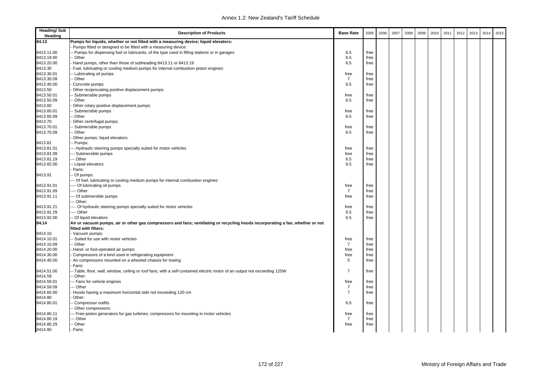| <b>Heading/Sub</b><br>Heading | <b>Description of Products</b>                                                                                                 | <b>Base Rate</b> | 2005         | 2006 | 2007 | 2008 | 2009 | 2010 | 2011 | 2012 | 2013 | 2014 | 2015 |
|-------------------------------|--------------------------------------------------------------------------------------------------------------------------------|------------------|--------------|------|------|------|------|------|------|------|------|------|------|
| 84.13                         | Pumps for liquids, whether or not fitted with a measuring device; liquid elevators:                                            |                  |              |      |      |      |      |      |      |      |      |      |      |
|                               | Pumps fitted or designed to be fitted with a measuring device:                                                                 |                  |              |      |      |      |      |      |      |      |      |      |      |
| 8413.11.00                    | Pumps for dispensing fuel or lubricants, of the type used in filling stations or in garages                                    | 6.5              | free         |      |      |      |      |      |      |      |      |      |      |
| 8413.19.00                    | Other                                                                                                                          | 6.5              | free         |      |      |      |      |      |      |      |      |      |      |
| 8413.20.00                    | Hand pumps, other than those of subheading 8413.11 or 8413.19                                                                  | 6.5              | free         |      |      |      |      |      |      |      |      |      |      |
| 8413.30                       | Fuel, lubricating or cooling medium pumps for internal combustion piston engines:                                              |                  |              |      |      |      |      |      |      |      |      |      |      |
| 8413.30.01                    | Lubricating oil pumps                                                                                                          | free             | free         |      |      |      |      |      |      |      |      |      |      |
| 8413.30.09                    | - Other                                                                                                                        | $\overline{7}$   | free         |      |      |      |      |      |      |      |      |      |      |
| 8413.40.00                    | Concrete pumps                                                                                                                 | 6.5              | free         |      |      |      |      |      |      |      |      |      |      |
| 8413.50                       | Other reciprocating positive displacement pumps:                                                                               |                  |              |      |      |      |      |      |      |      |      |      |      |
| 8413.50.01                    | Submersible pumps                                                                                                              | free             | free         |      |      |      |      |      |      |      |      |      |      |
| 8413.50.09                    | Other                                                                                                                          | 6.5              | free         |      |      |      |      |      |      |      |      |      |      |
| 8413.60                       | Other rotary positive displacement pumps:                                                                                      |                  |              |      |      |      |      |      |      |      |      |      |      |
| 8413.60.01                    | Submersible pumps                                                                                                              | free             | free         |      |      |      |      |      |      |      |      |      |      |
| 8413.60.09                    | - Other                                                                                                                        | 6.5              | free         |      |      |      |      |      |      |      |      |      |      |
| 8413.70                       | Other centrifugal pumps:                                                                                                       |                  |              |      |      |      |      |      |      |      |      |      |      |
| 8413.70.01                    | Submersible pumps                                                                                                              | free             | free         |      |      |      |      |      |      |      |      |      |      |
| 8413.70.09                    | Other                                                                                                                          | 6.5              | free         |      |      |      |      |      |      |      |      |      |      |
|                               | Other pumps; liquid elevators:                                                                                                 |                  |              |      |      |      |      |      |      |      |      |      |      |
| 8413.81                       | - Pumps:                                                                                                                       |                  |              |      |      |      |      |      |      |      |      |      |      |
| 8413.81.01<br>8413.81.09      | - Hydraulic steering pumps specially suited for motor vehicles<br>- Submersible pumps                                          | free             | free         |      |      |      |      |      |      |      |      |      |      |
| 8413.81.19                    | -- Other                                                                                                                       | free<br>6.5      | free<br>free |      |      |      |      |      |      |      |      |      |      |
| 8413.82.00                    | - Liquid elevators                                                                                                             | 6.5              | free         |      |      |      |      |      |      |      |      |      |      |
|                               | Parts:                                                                                                                         |                  |              |      |      |      |      |      |      |      |      |      |      |
| 8413.91                       | Of pumps:                                                                                                                      |                  |              |      |      |      |      |      |      |      |      |      |      |
|                               | - Of fuel, lubricating or cooling medium pumps for internal combustion engines:                                                |                  |              |      |      |      |      |      |      |      |      |      |      |
| 8413.91.01                    | --- Of lubricating oil pumps                                                                                                   | free             | free         |      |      |      |      |      |      |      |      |      |      |
| 8413.91.09                    | --- Other                                                                                                                      | $\overline{7}$   | free         |      |      |      |      |      |      |      |      |      |      |
| 8413.91.11                    | -- Of submersible pumps                                                                                                        | free             | free         |      |      |      |      |      |      |      |      |      |      |
|                               | - Other:                                                                                                                       |                  |              |      |      |      |      |      |      |      |      |      |      |
| 8413.91.21                    | --- Of hydraulic steering pumps specially suited for motor vehicles                                                            | free             | free         |      |      |      |      |      |      |      |      |      |      |
| 8413.91.29                    | --- Other                                                                                                                      | 6.5              | free         |      |      |      |      |      |      |      |      |      |      |
| 8413.92.00                    | -- Of liquid elevators                                                                                                         | 6.5              | free         |      |      |      |      |      |      |      |      |      |      |
| 84.14                         | Air or vacuum pumps, air or other gas compressors and fans; ventilating or recycling hoods incorporating a fan, whether or not |                  |              |      |      |      |      |      |      |      |      |      |      |
|                               | fitted with filters:                                                                                                           |                  |              |      |      |      |      |      |      |      |      |      |      |
| 8414.10                       | Vacuum pumps:                                                                                                                  |                  |              |      |      |      |      |      |      |      |      |      |      |
| 8414.10.01                    | - Suited for use with motor vehicles                                                                                           | free             | free         |      |      |      |      |      |      |      |      |      |      |
| 8414.10.09                    | - Other                                                                                                                        | $\overline{7}$   | free         |      |      |      |      |      |      |      |      |      |      |
| 8414.20.00                    | Hand- or foot-operated air pumps                                                                                               | free             | free         |      |      |      |      |      |      |      |      |      |      |
| 8414.30.00                    | Compressors of a kind used in refrigerating equipment                                                                          | free             | free         |      |      |      |      |      |      |      |      |      |      |
| 8414.40.00                    | Air compressors mounted on a wheeled chassis for towing                                                                        | 5                | free         |      |      |      |      |      |      |      |      |      |      |
|                               | Fans:                                                                                                                          |                  |              |      |      |      |      |      |      |      |      |      |      |
| 8414.51.00                    | - Table, floor, wall, window, ceiling or roof fans, with a self-contained electric motor of an output not exceeding 125W       | $\overline{7}$   | free         |      |      |      |      |      |      |      |      |      |      |
| 8414.59                       | Other:                                                                                                                         |                  |              |      |      |      |      |      |      |      |      |      |      |
| 8414.59.01                    | - Fans for vehicle engines                                                                                                     | free             | free         |      |      |      |      |      |      |      |      |      |      |
| 8414.59.09                    | - Other                                                                                                                        | $\overline{7}$   | free         |      |      |      |      |      |      |      |      |      |      |
| 8414.60.00                    | Hoods having a maximum horizontal side not exceeding 120 cm                                                                    | $\overline{7}$   | free         |      |      |      |      |      |      |      |      |      |      |
| 8414.80                       | Other:                                                                                                                         |                  |              |      |      |      |      |      |      |      |      |      |      |
| 8414.80.01                    | Compressor outfits                                                                                                             | 6.5              | free         |      |      |      |      |      |      |      |      |      |      |
|                               | Other compressors:                                                                                                             |                  |              |      |      |      |      |      |      |      |      |      |      |
| 8414.80.11                    | -- Free-piston generators for gas turbines; compressors for mounting in motor vehicles                                         | free             | free         |      |      |      |      |      |      |      |      |      |      |
| 8414.80.19                    | -- Other                                                                                                                       | $\overline{7}$   | free         |      |      |      |      |      |      |      |      |      |      |
| 8414.80.29                    | - Other                                                                                                                        | free             | free         |      |      |      |      |      |      |      |      |      |      |
| 8414.90                       | Parts:                                                                                                                         |                  |              |      |      |      |      |      |      |      |      |      |      |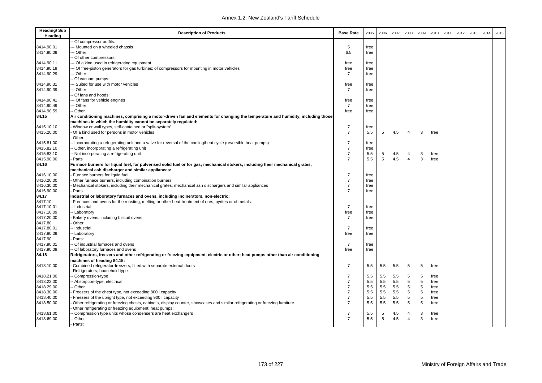| <b>Heading/Sub</b><br>Heading | <b>Description of Products</b>                                                                                                                                                     | <b>Base Rate</b>       | 2005 | 2006 | 2007 | 2008           | 2009 | 2010 | 2011 | 2012 | 2013 | 2014 | 2015 |
|-------------------------------|------------------------------------------------------------------------------------------------------------------------------------------------------------------------------------|------------------------|------|------|------|----------------|------|------|------|------|------|------|------|
|                               | Of compressor outfits:                                                                                                                                                             |                        |      |      |      |                |      |      |      |      |      |      |      |
| 8414.90.01                    | -- Mounted on a wheeled chassis                                                                                                                                                    | 5                      | free |      |      |                |      |      |      |      |      |      |      |
| 8414.90.09                    | -- Other                                                                                                                                                                           | 6.5                    | free |      |      |                |      |      |      |      |      |      |      |
|                               | - Of other compressors:                                                                                                                                                            |                        |      |      |      |                |      |      |      |      |      |      |      |
| 8414.90.11                    | -- Of a kind used in refrigerating equipment                                                                                                                                       | free                   | free |      |      |                |      |      |      |      |      |      |      |
| 8414.90.19                    | -- Of free-piston generators for gas turbines; of compressors for mounting in motor vehicles                                                                                       | free                   | free |      |      |                |      |      |      |      |      |      |      |
| 8414.90.29                    | -- Other                                                                                                                                                                           | $\overline{7}$         | free |      |      |                |      |      |      |      |      |      |      |
|                               | Of vacuum pumps:                                                                                                                                                                   |                        |      |      |      |                |      |      |      |      |      |      |      |
| 8414.90.31                    | -- Suited for use with motor vehicles                                                                                                                                              | free                   | free |      |      |                |      |      |      |      |      |      |      |
| 8414.90.39                    | -- Other                                                                                                                                                                           | 7                      | free |      |      |                |      |      |      |      |      |      |      |
|                               | - Of fans and hoods:                                                                                                                                                               |                        |      |      |      |                |      |      |      |      |      |      |      |
| 8414.90.41                    | -- Of fans for vehicle engines                                                                                                                                                     | free                   | free |      |      |                |      |      |      |      |      |      |      |
| 8414.90.49                    | -- Other                                                                                                                                                                           | $\overline{7}$         | free |      |      |                |      |      |      |      |      |      |      |
| 8414.90.59                    | - Other                                                                                                                                                                            | free                   | free |      |      |                |      |      |      |      |      |      |      |
| 84.15                         | Air conditioning machines, comprising a motor-driven fan and elements for changing the temperature and humidity, including those                                                   |                        |      |      |      |                |      |      |      |      |      |      |      |
|                               | machines in which the humidity cannot be separately regulated:                                                                                                                     |                        |      |      |      |                |      |      |      |      |      |      |      |
| 8415.10.10                    | Window or wall types, self-contained or "split-system"                                                                                                                             | $\overline{7}$         | free |      |      |                |      |      |      |      |      |      |      |
| 8415.20.00                    | Of a kind used for persons in motor vehicles                                                                                                                                       | $\overline{7}$         | 5.5  | 5    | 4.5  | $\overline{4}$ | 3    | free |      |      |      |      |      |
|                               | Other:                                                                                                                                                                             |                        |      |      |      |                |      |      |      |      |      |      |      |
| 8415.81.00                    | - Incorporating a refrigerating unit and a valve for reversal of the cooling/heat cycle (reversible heat pumps)                                                                    | $\overline{7}$         | free |      |      |                |      |      |      |      |      |      |      |
| 8415.82.10                    | - Other, incorporating a refrigerating unit                                                                                                                                        | $\overline{7}$         | free |      |      |                |      |      |      |      |      |      |      |
| 8415.83.10                    | - Not incorporating a refrigerating unit                                                                                                                                           | $\overline{7}$         | 5.5  | 5    | 4.5  | 4              | 3    | free |      |      |      |      |      |
| 8415.90.00                    | Parts                                                                                                                                                                              | $\overline{7}$         | 5.5  | 5    | 4.5  | $\overline{4}$ | 3    | free |      |      |      |      |      |
| 84.16                         | Furnace burners for liquid fuel, for pulverised solid fuel or for gas; mechanical stokers, including their mechanical grates,<br>mechanical ash discharger and similar appliances: |                        |      |      |      |                |      |      |      |      |      |      |      |
| 8416.10.00                    | Furnace burners for liquid fuel                                                                                                                                                    | $\overline{7}$         | free |      |      |                |      |      |      |      |      |      |      |
| 8416.20.00                    | Other furnace burners, including combination burners                                                                                                                               | $\overline{7}$         | free |      |      |                |      |      |      |      |      |      |      |
| 8416.30.00                    | Mechanical stokers, including their mechanical grates, mechanical ash dischargers and similar appliances                                                                           | $\overline{7}$         | free |      |      |                |      |      |      |      |      |      |      |
| 8416.90.00                    | Parts                                                                                                                                                                              | $\overline{7}$         |      |      |      |                |      |      |      |      |      |      |      |
| 84.17                         |                                                                                                                                                                                    |                        | free |      |      |                |      |      |      |      |      |      |      |
|                               | Industrial or laboratory furnaces and ovens, including incinerators, non-electric:                                                                                                 |                        |      |      |      |                |      |      |      |      |      |      |      |
| 8417.10                       | Furnaces and ovens for the roasting, melting or other heat-treatment of ores, pyrites or of metals:                                                                                | $\overline{7}$         |      |      |      |                |      |      |      |      |      |      |      |
| 8417.10.01                    | -- Industrial                                                                                                                                                                      |                        | free |      |      |                |      |      |      |      |      |      |      |
| 8417.10.09                    | - Laboratory                                                                                                                                                                       | free<br>$\overline{7}$ | free |      |      |                |      |      |      |      |      |      |      |
| 8417.20.00                    | Bakery ovens, including biscuit ovens                                                                                                                                              |                        | free |      |      |                |      |      |      |      |      |      |      |
| 8417.80                       | Other:                                                                                                                                                                             | $\overline{7}$         |      |      |      |                |      |      |      |      |      |      |      |
| 8417.80.01                    | - Industrial                                                                                                                                                                       |                        | free |      |      |                |      |      |      |      |      |      |      |
| 8417.80.09                    | - Laboratory                                                                                                                                                                       | free                   | free |      |      |                |      |      |      |      |      |      |      |
| 8417.90                       | Parts:                                                                                                                                                                             |                        |      |      |      |                |      |      |      |      |      |      |      |
| 8417.90.01                    | - Of industrial furnaces and ovens                                                                                                                                                 | $\overline{7}$         | free |      |      |                |      |      |      |      |      |      |      |
| 8417.90.09                    | -- Of laboratory furnaces and ovens                                                                                                                                                | free                   | free |      |      |                |      |      |      |      |      |      |      |
| 84.18                         | Refrigerators, freezers and other refrigerating or freezing equipment, electric or other; heat pumps other than air conditioning                                                   |                        |      |      |      |                |      |      |      |      |      |      |      |
|                               | machines of heading 84.15:                                                                                                                                                         |                        |      |      |      |                |      |      |      |      |      |      |      |
| 8418.10.00                    | Combined refrigerator-freezers, fitted with separate external doors                                                                                                                | 7                      | 5.5  | 5.5  | 5.5  | 5              | 5    | free |      |      |      |      |      |
|                               | Refrigerators, household type:                                                                                                                                                     |                        |      |      |      |                |      |      |      |      |      |      |      |
| 8418.21.00                    | - Compression-type                                                                                                                                                                 | 7                      | 5.5  | 5.5  | 5.5  | 5              | 5    | free |      |      |      |      |      |
| 8418.22.00                    | - Absorption-type, electrical                                                                                                                                                      | $\overline{7}$         | 5.5  | 5.5  | 5.5  | 5              | 5    | free |      |      |      |      |      |
| 8418.29.00                    | - Other                                                                                                                                                                            | $\overline{7}$         | 5.5  | 5.5  | 5.5  | 5              | 5    | free |      |      |      |      |      |
| 8418.30.00                    | Freezers of the chest type, not exceeding 800 I capacity                                                                                                                           | $\overline{7}$         | 5.5  | 5.5  | 5.5  | 5              | 5    | free |      |      |      |      |      |
| 8418.40.00                    | Freezers of the upright type, not exceeding 900 I capacity                                                                                                                         | $\overline{7}$         | 5.5  | 5.5  | 5.5  | 5              | 5    | free |      |      |      |      |      |
| 8418.50.00                    | Other refrigerating or freezing chests, cabinets, display counter, showcases and similar refrigerating or freezing furniture                                                       | $\overline{7}$         | 5.5  | 5.5  | 5.5  | 5              | 5    | free |      |      |      |      |      |
|                               | Other refrigerating or freezing equipment; heat pumps:                                                                                                                             |                        |      |      |      |                |      |      |      |      |      |      |      |
| 8418.61.00                    | Compression type units whose condensers are heat exchangers                                                                                                                        | 7                      | 5.5  | 5    | 4.5  | 4              | 3    | free |      |      |      |      |      |
| 8418.69.00                    | - Other                                                                                                                                                                            | $\overline{7}$         | 5.5  | 5    | 4.5  | $\overline{4}$ | 3    | free |      |      |      |      |      |
|                               | Parts:                                                                                                                                                                             |                        |      |      |      |                |      |      |      |      |      |      |      |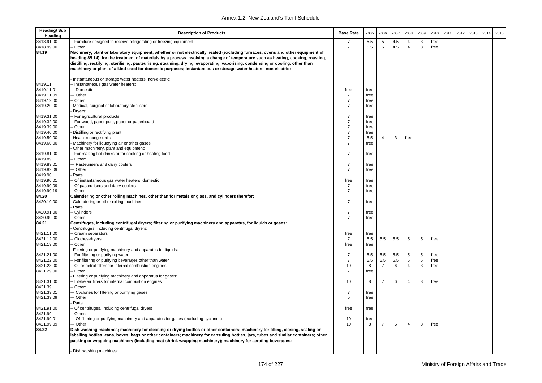| <b>Heading/Sub</b><br>Heading | <b>Description of Products</b>                                                                                                                                                                                                                                                                                                                                                                                                                                                                                           | <b>Base Rate</b>                 | 2005         | 2006           | 2007       | 2008                | 2009   | 2010         | 2011 | 2012 | 2013 | 2014 | 2015 |
|-------------------------------|--------------------------------------------------------------------------------------------------------------------------------------------------------------------------------------------------------------------------------------------------------------------------------------------------------------------------------------------------------------------------------------------------------------------------------------------------------------------------------------------------------------------------|----------------------------------|--------------|----------------|------------|---------------------|--------|--------------|------|------|------|------|------|
| 8418.91.00<br>8418.99.00      | Furniture designed to receive refrigerating or freezing equipment<br>- Other                                                                                                                                                                                                                                                                                                                                                                                                                                             | $\overline{7}$                   | 5.5<br>5.5   | 5<br>5         | 4.5<br>4.5 | 4<br>$\overline{4}$ | 3<br>3 | free<br>free |      |      |      |      |      |
| 84.19                         | Machinery, plant or laboratory equipment, whether or not electrically heated (excluding furnaces, ovens and other equipment of<br>heading 85.14), for the treatment of materials by a process involving a change of temperature such as heating, cooking, roasting,<br>distilling, rectifying, sterilising, pasteurising, steaming, drying, evaporating, vaporising, condensing or cooling, other than<br>machinery or plant of a kind used for domestic purposes; instantaneous or storage water heaters, non-electric: |                                  |              |                |            |                     |        |              |      |      |      |      |      |
| 8419.11                       | Instantaneous or storage water heaters, non-electric:<br>- Instantaneous gas water heaters:                                                                                                                                                                                                                                                                                                                                                                                                                              |                                  |              |                |            |                     |        |              |      |      |      |      |      |
| 8419.11.01                    | -- Domestic                                                                                                                                                                                                                                                                                                                                                                                                                                                                                                              | free                             | free         |                |            |                     |        |              |      |      |      |      |      |
| 8419.11.09                    | - Other                                                                                                                                                                                                                                                                                                                                                                                                                                                                                                                  | $\overline{7}$                   | free         |                |            |                     |        |              |      |      |      |      |      |
| 8419.19.00                    | - Other                                                                                                                                                                                                                                                                                                                                                                                                                                                                                                                  | $\overline{7}$                   | free         |                |            |                     |        |              |      |      |      |      |      |
| 8419.20.00                    | Medical, surgical or laboratory sterilisers<br>Dryers:                                                                                                                                                                                                                                                                                                                                                                                                                                                                   | $\overline{7}$                   | free         |                |            |                     |        |              |      |      |      |      |      |
| 8419.31.00                    | - For agricultural products                                                                                                                                                                                                                                                                                                                                                                                                                                                                                              | $\overline{7}$                   | free         |                |            |                     |        |              |      |      |      |      |      |
| 8419.32.00                    | - For wood, paper pulp, paper or paperboard                                                                                                                                                                                                                                                                                                                                                                                                                                                                              | $\overline{7}$                   | free         |                |            |                     |        |              |      |      |      |      |      |
| 8419.39.00                    | - Other                                                                                                                                                                                                                                                                                                                                                                                                                                                                                                                  | $\overline{7}$                   | free         |                |            |                     |        |              |      |      |      |      |      |
| 8419.40.00                    | Distilling or rectifying plant                                                                                                                                                                                                                                                                                                                                                                                                                                                                                           | $\overline{7}$                   | free         |                |            |                     |        |              |      |      |      |      |      |
| 8419.50.00                    | Heat exchange units                                                                                                                                                                                                                                                                                                                                                                                                                                                                                                      | $\overline{7}$<br>$\overline{7}$ | 5.5          | $\overline{4}$ | 3          | free                |        |              |      |      |      |      |      |
| 8419.60.00                    | Machinery for liquefying air or other gases<br>Other machinery, plant and equipment:                                                                                                                                                                                                                                                                                                                                                                                                                                     |                                  | free         |                |            |                     |        |              |      |      |      |      |      |
| 8419.81.00<br>8419.89         | For making hot drinks or for cooking or heating food<br>Other:                                                                                                                                                                                                                                                                                                                                                                                                                                                           | $\overline{7}$                   | free         |                |            |                     |        |              |      |      |      |      |      |
| 8419.89.01                    | - Pasteurisers and dairy coolers                                                                                                                                                                                                                                                                                                                                                                                                                                                                                         | $\overline{7}$                   | free         |                |            |                     |        |              |      |      |      |      |      |
| 8419.89.09                    | -- Other                                                                                                                                                                                                                                                                                                                                                                                                                                                                                                                 | $\overline{7}$                   | free         |                |            |                     |        |              |      |      |      |      |      |
| 8419.90                       | Parts:                                                                                                                                                                                                                                                                                                                                                                                                                                                                                                                   |                                  |              |                |            |                     |        |              |      |      |      |      |      |
| 8419.90.01                    | Of instantaneous gas water heaters, domestic                                                                                                                                                                                                                                                                                                                                                                                                                                                                             | free                             | free         |                |            |                     |        |              |      |      |      |      |      |
| 8419.90.09                    | Of pasteurisers and dairy coolers                                                                                                                                                                                                                                                                                                                                                                                                                                                                                        | 7                                | free         |                |            |                     |        |              |      |      |      |      |      |
| 8419.90.19                    | - Other                                                                                                                                                                                                                                                                                                                                                                                                                                                                                                                  | $\overline{7}$                   | free         |                |            |                     |        |              |      |      |      |      |      |
| 84.20                         | Calendering or other rolling machines, other than for metals or glass, and cylinders therefor:                                                                                                                                                                                                                                                                                                                                                                                                                           |                                  |              |                |            |                     |        |              |      |      |      |      |      |
| 8420.10.00                    | Calendering or other rolling machines                                                                                                                                                                                                                                                                                                                                                                                                                                                                                    | $\overline{7}$                   | free         |                |            |                     |        |              |      |      |      |      |      |
|                               | Parts:                                                                                                                                                                                                                                                                                                                                                                                                                                                                                                                   | $\overline{7}$                   |              |                |            |                     |        |              |      |      |      |      |      |
| 8420.91.00<br>8420.99.00      | - Cylinders<br>- Other                                                                                                                                                                                                                                                                                                                                                                                                                                                                                                   | $\overline{7}$                   | free<br>free |                |            |                     |        |              |      |      |      |      |      |
| 84.21                         | Centrifuges, including centrifugal dryers; filtering or purifying machinery and apparatus, for liquids or gases:                                                                                                                                                                                                                                                                                                                                                                                                         |                                  |              |                |            |                     |        |              |      |      |      |      |      |
|                               | Centrifuges, including centrifugal dryers:                                                                                                                                                                                                                                                                                                                                                                                                                                                                               |                                  |              |                |            |                     |        |              |      |      |      |      |      |
| 8421.11.00<br>8421.12.00      | Cream separators<br>Clothes-dryers                                                                                                                                                                                                                                                                                                                                                                                                                                                                                       | free<br>$\overline{7}$           | free<br>5.5  | 5.5            | 5.5        | 5                   | 5      | free         |      |      |      |      |      |
| 8421.19.00                    | - Other                                                                                                                                                                                                                                                                                                                                                                                                                                                                                                                  | free                             | free         |                |            |                     |        |              |      |      |      |      |      |
|                               | Filtering or purifying machinery and apparatus for liquids:                                                                                                                                                                                                                                                                                                                                                                                                                                                              |                                  |              |                |            |                     |        |              |      |      |      |      |      |
| 8421.21.00                    | For filtering or purifying water                                                                                                                                                                                                                                                                                                                                                                                                                                                                                         | $\overline{7}$                   | 5.5          | 5.5            | 5.5        | 5                   | 5      | free         |      |      |      |      |      |
| 8421.22.00                    | - For filtering or purifying beverages other than water                                                                                                                                                                                                                                                                                                                                                                                                                                                                  | $\overline{7}$                   | 5.5          | 5.5            | 5.5        | 5                   | 5      | free         |      |      |      |      |      |
| 8421.23.00                    | Oil or petrol-filters for internal combustion engines                                                                                                                                                                                                                                                                                                                                                                                                                                                                    | 10                               | 8            | $\overline{7}$ | 6          | $\overline{4}$      | 3      | free         |      |      |      |      |      |
| 8421.29.00                    | - Other                                                                                                                                                                                                                                                                                                                                                                                                                                                                                                                  | $\overline{7}$                   | free         |                |            |                     |        |              |      |      |      |      |      |
|                               | Filtering or purifying machinery and apparatus for gases:                                                                                                                                                                                                                                                                                                                                                                                                                                                                |                                  |              |                |            |                     |        |              |      |      |      |      |      |
| 8421.31.00                    | Intake air filters for internal combustion engines                                                                                                                                                                                                                                                                                                                                                                                                                                                                       | 10                               | 8            | $\overline{7}$ | 6          | $\overline{4}$      | 3      | free         |      |      |      |      |      |
| 8421.39                       | - Other:                                                                                                                                                                                                                                                                                                                                                                                                                                                                                                                 |                                  |              |                |            |                     |        |              |      |      |      |      |      |
| 8421.39.01                    | -- Cyclones for filtering or purifying gases                                                                                                                                                                                                                                                                                                                                                                                                                                                                             | 7                                | free         |                |            |                     |        |              |      |      |      |      |      |
| 8421.39.09                    | -- Other                                                                                                                                                                                                                                                                                                                                                                                                                                                                                                                 | 5                                | free         |                |            |                     |        |              |      |      |      |      |      |
|                               | Parts:                                                                                                                                                                                                                                                                                                                                                                                                                                                                                                                   |                                  |              |                |            |                     |        |              |      |      |      |      |      |
| 8421.91.00<br>8421.99         | Of centrifuges, including centrifugal dryers<br>Other:                                                                                                                                                                                                                                                                                                                                                                                                                                                                   | free                             | free         |                |            |                     |        |              |      |      |      |      |      |
| 8421.99.01                    | -- Of filtering or purifying machinery and apparatus for gases (excluding cyclones)                                                                                                                                                                                                                                                                                                                                                                                                                                      | 10                               | free         |                |            |                     |        |              |      |      |      |      |      |
| 8421.99.09                    | -- Other                                                                                                                                                                                                                                                                                                                                                                                                                                                                                                                 | 10                               | 8            | $\overline{7}$ | 6          | $\overline{4}$      | 3      | free         |      |      |      |      |      |
| 84.22                         | Dish washing machines; machinery for cleaning or drying bottles or other containers; machinery for filling, closing, sealing or                                                                                                                                                                                                                                                                                                                                                                                          |                                  |              |                |            |                     |        |              |      |      |      |      |      |
|                               | labelling bottles, cans, boxes, bags or other containers; machinery for capsuling bottles, jars, tubes and similar containers; other                                                                                                                                                                                                                                                                                                                                                                                     |                                  |              |                |            |                     |        |              |      |      |      |      |      |
|                               | packing or wrapping machinery (including heat-shrink wrapping machinery); machinery for aerating beverages:                                                                                                                                                                                                                                                                                                                                                                                                              |                                  |              |                |            |                     |        |              |      |      |      |      |      |
|                               | - Dish washing machines:                                                                                                                                                                                                                                                                                                                                                                                                                                                                                                 |                                  |              |                |            |                     |        |              |      |      |      |      |      |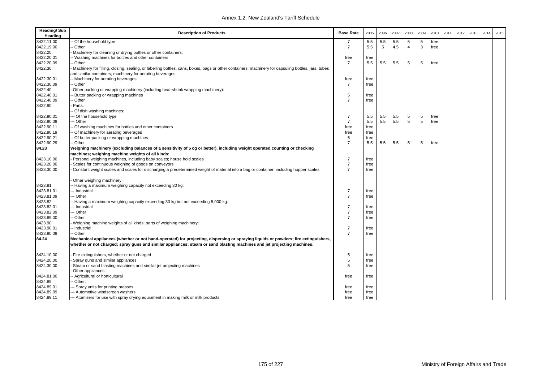| <b>Heading/Sub</b><br>Heading | <b>Description of Products</b>                                                                                                                                                 | <b>Base Rate</b>    | 2005 | 2006 | 2007 | 2008                    | 2009 | 2010 | 2011 | 2012 | 2013 | 2014 | 2015 |
|-------------------------------|--------------------------------------------------------------------------------------------------------------------------------------------------------------------------------|---------------------|------|------|------|-------------------------|------|------|------|------|------|------|------|
| 8422.11.00                    | Of the household type                                                                                                                                                          |                     | 5.5  | 5.5  | 5.5  | 5                       | 5    | free |      |      |      |      |      |
| 8422.19.00                    | Other                                                                                                                                                                          | $\overline{7}$      | 5.5  | 5    | 4.5  | $\overline{\mathbf{A}}$ | 3    | free |      |      |      |      |      |
| 8422.20                       | Machinery for cleaning or drying bottles or other containers:                                                                                                                  |                     |      |      |      |                         |      |      |      |      |      |      |      |
| 8422.20.01                    | - Washing machines for bottles and other containers                                                                                                                            | free                | free |      |      |                         |      |      |      |      |      |      |      |
| 8422.20.09                    | - Other                                                                                                                                                                        | $\overline{7}$      | 5.5  | 5.5  | 5.5  | 5                       | 5    | free |      |      |      |      |      |
| 8422.30                       | - Machinery for filling, closing, sealing, or labelling bottles, cans, boxes, bags or other containers; machinery for capsuling bottles, jars, tubes                           |                     |      |      |      |                         |      |      |      |      |      |      |      |
|                               | and similar containers; machinery for aerating beverages:                                                                                                                      |                     |      |      |      |                         |      |      |      |      |      |      |      |
| 8422.30.01                    | -- Machinery for aerating beverages                                                                                                                                            | free                | free |      |      |                         |      |      |      |      |      |      |      |
| 8422.30.09                    | - Other                                                                                                                                                                        | $\overline{7}$      | free |      |      |                         |      |      |      |      |      |      |      |
| 8422.40                       | Other packing or wrapping machinery (including heat-shrink wrapping machinery):                                                                                                |                     |      |      |      |                         |      |      |      |      |      |      |      |
| 8422.40.01                    | Butter packing or wrapping machines                                                                                                                                            | 5                   | free |      |      |                         |      |      |      |      |      |      |      |
| 8422.40.09                    | - Other                                                                                                                                                                        | $\overline{7}$      | free |      |      |                         |      |      |      |      |      |      |      |
| 8422.90                       | Parts:                                                                                                                                                                         |                     |      |      |      |                         |      |      |      |      |      |      |      |
|                               | - Of dish washing machines:                                                                                                                                                    |                     |      |      |      |                         |      |      |      |      |      |      |      |
| 8422.90.01                    | -- Of the household type                                                                                                                                                       | 7                   | 5.5  | 5.5  | 5.5  | 5                       | 5    | free |      |      |      |      |      |
| 8422.90.09                    | -- Other                                                                                                                                                                       | $\overline{7}$      | 5.5  | 5.5  | 5.5  | 5                       | 5    | free |      |      |      |      |      |
| 8422.90.11                    | - Of washing machines for bottles and other containers                                                                                                                         | free                | free |      |      |                         |      |      |      |      |      |      |      |
| 8422.90.19                    |                                                                                                                                                                                |                     |      |      |      |                         |      |      |      |      |      |      |      |
|                               | - Of machinery for aerating beverages                                                                                                                                          | free                | free |      |      |                         |      |      |      |      |      |      |      |
| 8422.90.21                    | - Of butter packing or wrapping machines                                                                                                                                       | 5<br>$\overline{7}$ | free |      |      |                         |      |      |      |      |      |      |      |
| 8422.90.29                    | -- Other                                                                                                                                                                       |                     | 5.5  | 5.5  | 5.5  | 5                       | 5    | free |      |      |      |      |      |
| 84.23                         | Weighing machinery (excluding balances of a sensitivity of 5 cg or better), including weight operated counting or checking<br>machines; weighing machine weights of all kinds: |                     |      |      |      |                         |      |      |      |      |      |      |      |
| 8423.10.00                    | Personal weighing machines, including baby scales; house hold scales                                                                                                           | $\overline{7}$      | free |      |      |                         |      |      |      |      |      |      |      |
| 8423.20.00                    | Scales for continuous weighing of goods on conveyors                                                                                                                           | $\overline{7}$      | free |      |      |                         |      |      |      |      |      |      |      |
| 8423.30.00                    | Constant weight scales and scales for discharging a predetermined weight of material into a bag or container, including hopper scales                                          | $\overline{7}$      | free |      |      |                         |      |      |      |      |      |      |      |
|                               | Other weighing machinery:                                                                                                                                                      |                     |      |      |      |                         |      |      |      |      |      |      |      |
| 8423.81                       | - Having a maximum weighing capacity not exceeding 30 kg:                                                                                                                      |                     |      |      |      |                         |      |      |      |      |      |      |      |
| 8423.81.01                    | --- Industrial                                                                                                                                                                 | $\overline{7}$      | free |      |      |                         |      |      |      |      |      |      |      |
| 8423.81.09                    | --- Other                                                                                                                                                                      | $\overline{7}$      | free |      |      |                         |      |      |      |      |      |      |      |
| 8423.82                       | -- Having a maximum weighing capacity exceeding 30 kg but not exceeding 5,000 kg:                                                                                              |                     |      |      |      |                         |      |      |      |      |      |      |      |
| 8423.82.01                    | --- Industrial                                                                                                                                                                 | $\overline{7}$      | free |      |      |                         |      |      |      |      |      |      |      |
| 8423.82.09                    | -- Other                                                                                                                                                                       | $\overline{7}$      | free |      |      |                         |      |      |      |      |      |      |      |
| 8423.89.00                    | - Other                                                                                                                                                                        | $\overline{7}$      | free |      |      |                         |      |      |      |      |      |      |      |
| 8423.90                       | Weighing machine weights of all kinds; parts of weighing machinery:                                                                                                            |                     |      |      |      |                         |      |      |      |      |      |      |      |
| 8423.90.01                    | - Industrial                                                                                                                                                                   | $\overline{7}$      | free |      |      |                         |      |      |      |      |      |      |      |
| 8423.90.09                    | -- Other                                                                                                                                                                       | $\overline{7}$      | free |      |      |                         |      |      |      |      |      |      |      |
| 84.24                         | Mechanical appliances (whether or not hand-operated) for projecting, dispersing or spraying liquids or powders; fire extinguishers,                                            |                     |      |      |      |                         |      |      |      |      |      |      |      |
|                               | whether or not charged; spray guns and similar appliances; steam or sand blasting machines and jet projecting machines:                                                        |                     |      |      |      |                         |      |      |      |      |      |      |      |
| 8424.10.00                    | Fire extinguishers, whether or not charged                                                                                                                                     | 5                   | free |      |      |                         |      |      |      |      |      |      |      |
| 8424.20.00                    | Spray guns and similar appliances                                                                                                                                              | 5                   | free |      |      |                         |      |      |      |      |      |      |      |
| 8424.30.00                    | Steam or sand blasting machines and similar jet projecting machines                                                                                                            | 5                   | free |      |      |                         |      |      |      |      |      |      |      |
|                               | Other appliances:                                                                                                                                                              |                     |      |      |      |                         |      |      |      |      |      |      |      |
| 8424.81.00                    | - Agricultural or horticultural                                                                                                                                                | free                | free |      |      |                         |      |      |      |      |      |      |      |
| 8424.89                       | Other:                                                                                                                                                                         |                     |      |      |      |                         |      |      |      |      |      |      |      |
| 8424.89.01                    | -- Spray units for printing presses                                                                                                                                            | free                | free |      |      |                         |      |      |      |      |      |      |      |
| 8424.89.09                    | --- Automotive windscreen washers                                                                                                                                              | free                | free |      |      |                         |      |      |      |      |      |      |      |
| 8424.89.11                    | --- Atomisers for use with spray drying equipment in making milk or milk products                                                                                              | free                | free |      |      |                         |      |      |      |      |      |      |      |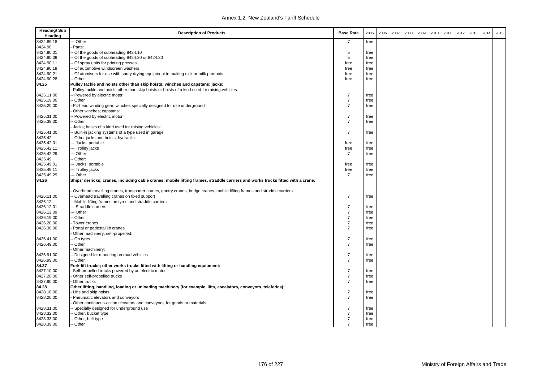| <b>Heading/Sub</b><br>Heading | <b>Description of Products</b>                                                                                                  | <b>Base Rate</b> | 2005 | 2006 | 2007 | 2008 | 2009 | 2010 | 2011 | 2012 | 2013 | 2014 | 2015 |
|-------------------------------|---------------------------------------------------------------------------------------------------------------------------------|------------------|------|------|------|------|------|------|------|------|------|------|------|
| 8424.89.18                    | - Other                                                                                                                         | $\overline{7}$   | free |      |      |      |      |      |      |      |      |      |      |
| 8424.90                       | Parts:                                                                                                                          |                  |      |      |      |      |      |      |      |      |      |      |      |
| 8424.90.01                    | - Of the goods of subheading 8424.10                                                                                            | 5                | free |      |      |      |      |      |      |      |      |      |      |
| 8424.90.09                    | - Of the goods of subheading 8424.20 or 8424.30                                                                                 | 5                | free |      |      |      |      |      |      |      |      |      |      |
| 8424.90.11                    | - Of spray units for printing presses                                                                                           | free             | free |      |      |      |      |      |      |      |      |      |      |
| 8424.90.19                    | - Of automotive windscreen washers                                                                                              | free             | free |      |      |      |      |      |      |      |      |      |      |
| 8424.90.21                    | - Of atomisers for use with spray drying equipment in making milk or milk products                                              | free             | free |      |      |      |      |      |      |      |      |      |      |
| 8424.90.28                    | - Other                                                                                                                         | free             | free |      |      |      |      |      |      |      |      |      |      |
| 84.25                         | Pulley tackle and hoists other than skip hoists; winches and capstans; jacks:                                                   |                  |      |      |      |      |      |      |      |      |      |      |      |
|                               | Pulley tackle and hoists other than skip hoists or hoists of a kind used for raising vehicles:                                  |                  |      |      |      |      |      |      |      |      |      |      |      |
| 8425.11.00                    | - Powered by electric motor                                                                                                     | 7                | free |      |      |      |      |      |      |      |      |      |      |
| 8425.19.00                    | - Other                                                                                                                         | $\overline{7}$   | free |      |      |      |      |      |      |      |      |      |      |
| 8425.20.00                    | Pit-head winding gear; winches specially designed for use underground                                                           | $\overline{7}$   | free |      |      |      |      |      |      |      |      |      |      |
|                               | Other winches; capstans:                                                                                                        |                  |      |      |      |      |      |      |      |      |      |      |      |
| 8425.31.00                    | - Powered by electric motor                                                                                                     | $\overline{7}$   | free |      |      |      |      |      |      |      |      |      |      |
| 8425.39.00                    | - Other                                                                                                                         | $\overline{7}$   | free |      |      |      |      |      |      |      |      |      |      |
|                               | Jacks; hoists of a kind used for raising vehicles:                                                                              |                  |      |      |      |      |      |      |      |      |      |      |      |
| 8425.41.00                    | - Built-in jacking systems of a type used in garage                                                                             | $\overline{7}$   | free |      |      |      |      |      |      |      |      |      |      |
| 8425.42                       | - Other jacks and hoists, hydraulic:                                                                                            |                  |      |      |      |      |      |      |      |      |      |      |      |
| 8425.42.01                    | -- Jacks, portable                                                                                                              | free             | free |      |      |      |      |      |      |      |      |      |      |
| 8425.42.11                    | -- Trolley jacks                                                                                                                | free             | free |      |      |      |      |      |      |      |      |      |      |
| 8425.42.29                    | -- Other                                                                                                                        | $\overline{7}$   | free |      |      |      |      |      |      |      |      |      |      |
| 8425.49                       | - Other:                                                                                                                        |                  |      |      |      |      |      |      |      |      |      |      |      |
| 8425.49.01                    | -- Jacks, portable                                                                                                              | free             | free |      |      |      |      |      |      |      |      |      |      |
| 8425.49.11                    | --- Trolley jacks                                                                                                               | free             | free |      |      |      |      |      |      |      |      |      |      |
| 8425.49.29                    | -- Other                                                                                                                        | $\overline{7}$   | free |      |      |      |      |      |      |      |      |      |      |
| 84.26                         | Ships' derricks; cranes, including cable cranes; mobile lifting frames, straddle carriers and works trucks fitted with a crane: |                  |      |      |      |      |      |      |      |      |      |      |      |
|                               | Overhead travelling cranes, transporter cranes, gantry cranes, bridge cranes, mobile lifting frames and straddle carriers:      |                  |      |      |      |      |      |      |      |      |      |      |      |
| 8426.11.00                    | - Overhead travelling cranes on fixed support                                                                                   | $\overline{7}$   | free |      |      |      |      |      |      |      |      |      |      |
| 8426.12                       | - Mobile lifting frames on tyres and straddle carriers:                                                                         |                  |      |      |      |      |      |      |      |      |      |      |      |
| 8426.12.01                    | Straddle carriers                                                                                                               | $\overline{7}$   | free |      |      |      |      |      |      |      |      |      |      |
| 8426.12.09                    | -- Other                                                                                                                        | $\overline{7}$   | free |      |      |      |      |      |      |      |      |      |      |
| 8426.19.00                    | - Other                                                                                                                         | $\overline{7}$   | free |      |      |      |      |      |      |      |      |      |      |
| 8426.20.00                    | Tower cranes                                                                                                                    | $\overline{7}$   | free |      |      |      |      |      |      |      |      |      |      |
| 8426.30.00                    | Portal or pedestal jib cranes                                                                                                   | $\overline{7}$   | free |      |      |      |      |      |      |      |      |      |      |
|                               | Other machinery, self-propelled:                                                                                                |                  |      |      |      |      |      |      |      |      |      |      |      |
| 8426.41.00                    | - On tyres                                                                                                                      | $\overline{7}$   | free |      |      |      |      |      |      |      |      |      |      |
| 8426.49.00                    | - Other                                                                                                                         | $\overline{7}$   | free |      |      |      |      |      |      |      |      |      |      |
|                               | Other machinery:                                                                                                                |                  |      |      |      |      |      |      |      |      |      |      |      |
| 8426.91.00                    | - Designed for mounting on road vehicles                                                                                        | $\overline{7}$   | free |      |      |      |      |      |      |      |      |      |      |
| 8426.99.00                    | - Other                                                                                                                         | $\overline{7}$   | free |      |      |      |      |      |      |      |      |      |      |
| 84.27                         | Fork-lift trucks; other works trucks fitted with lifting or handling equipment:                                                 |                  |      |      |      |      |      |      |      |      |      |      |      |
| 8427.10.00                    | Self-propelled trucks powered by an electric motor                                                                              | $\overline{7}$   | free |      |      |      |      |      |      |      |      |      |      |
| 8427.20.00                    | Other self-propelled trucks                                                                                                     | $\overline{7}$   | free |      |      |      |      |      |      |      |      |      |      |
| 8427.90.00                    | Other trucks                                                                                                                    | $\overline{7}$   | free |      |      |      |      |      |      |      |      |      |      |
| 84.28                         | Other lifting, handling, loading or unloading machinery (for example, lifts, escalators, conveyors, teleferics):                |                  |      |      |      |      |      |      |      |      |      |      |      |
| 8428.10.00                    | Lifts and skip hoists                                                                                                           | $\overline{7}$   | free |      |      |      |      |      |      |      |      |      |      |
| 8428.20.00                    | Pneumatic elevators and conveyors                                                                                               | $\overline{7}$   | free |      |      |      |      |      |      |      |      |      |      |
|                               | Other continuous-action elevators and conveyors, for goods or materials:                                                        |                  |      |      |      |      |      |      |      |      |      |      |      |
| 8428.31.00                    | - Specially designed for underground use                                                                                        | $\overline{7}$   | free |      |      |      |      |      |      |      |      |      |      |
| 8428.32.00                    | - Other, bucket type                                                                                                            | $\overline{7}$   | free |      |      |      |      |      |      |      |      |      |      |
| 8428.33.00                    | - Other, belt type                                                                                                              | $\overline{7}$   | free |      |      |      |      |      |      |      |      |      |      |
| 8428.39.00                    | -- Other                                                                                                                        | $\overline{7}$   | free |      |      |      |      |      |      |      |      |      |      |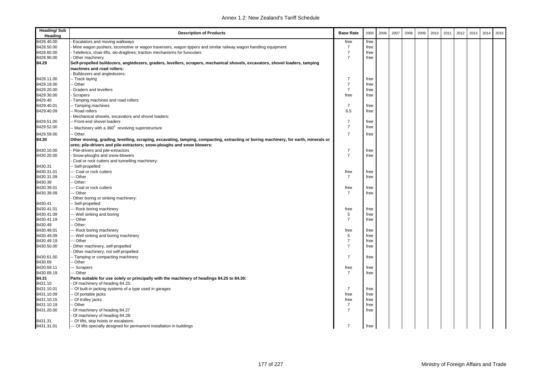| <b>Heading/Sub</b><br>Heading | <b>Description of Products</b>                                                                                                      | <b>Base Rate</b> | 2005 | 2006 | 2007 | 2008 | 2009 | 2010 | 2011 | 2012 | 2013 | 2014 | 2015 |
|-------------------------------|-------------------------------------------------------------------------------------------------------------------------------------|------------------|------|------|------|------|------|------|------|------|------|------|------|
| 8428.40.00                    | Escalators and moving walkways                                                                                                      | free             | free |      |      |      |      |      |      |      |      |      |      |
| 8428.50.00                    | Mine wagon pushers, locomotive or wagon traversers, wagon tippers and similar railway wagon handling equipment                      | $\overline{7}$   | free |      |      |      |      |      |      |      |      |      |      |
| 8428.60.00                    | - Teleferics, chair-lifts, ski-draglines; traction mechanisms for funiculars                                                        | $\overline{7}$   | free |      |      |      |      |      |      |      |      |      |      |
| 8428.90.00                    | Other machinery                                                                                                                     | $\overline{7}$   | free |      |      |      |      |      |      |      |      |      |      |
| 84.29                         | Self-propelled bulldozers, angledozers, graders, levellers, scrapers, mechanical shovels, excavators, shovel loaders, tamping       |                  |      |      |      |      |      |      |      |      |      |      |      |
|                               | machines and road rollers:                                                                                                          |                  |      |      |      |      |      |      |      |      |      |      |      |
|                               | Bulldozers and angledozers:                                                                                                         |                  |      |      |      |      |      |      |      |      |      |      |      |
| 8429.11.00                    | - Track laying                                                                                                                      | $\overline{7}$   | free |      |      |      |      |      |      |      |      |      |      |
| 8429.19.00                    | - Other                                                                                                                             | $\overline{7}$   | free |      |      |      |      |      |      |      |      |      |      |
| 8429.20.00                    | Graders and levellers                                                                                                               | $\overline{7}$   | free |      |      |      |      |      |      |      |      |      |      |
| 8429.30.00                    | Scrapers                                                                                                                            | free             | free |      |      |      |      |      |      |      |      |      |      |
| 8429.40                       | Tamping machines and road rollers:                                                                                                  |                  |      |      |      |      |      |      |      |      |      |      |      |
| 8429.40.01                    | - Tamping machines                                                                                                                  | $\overline{7}$   | free |      |      |      |      |      |      |      |      |      |      |
| 8429.40.09                    | Road rollers                                                                                                                        | 6.5              | free |      |      |      |      |      |      |      |      |      |      |
|                               | Mechanical shovels, excavators and shovel loaders:                                                                                  |                  |      |      |      |      |      |      |      |      |      |      |      |
| 8429.51.00                    | Front-end shovel loaders                                                                                                            | $\overline{7}$   | free |      |      |      |      |      |      |      |      |      |      |
| 8429.52.00                    |                                                                                                                                     | $\overline{7}$   | free |      |      |      |      |      |      |      |      |      |      |
|                               | - Machinery with a $360^0$ revolving superstructure                                                                                 |                  |      |      |      |      |      |      |      |      |      |      |      |
| 8429.59.00                    | - Other                                                                                                                             | $\overline{7}$   | free |      |      |      |      |      |      |      |      |      |      |
| 84.30                         | Other moving, grading, levelling, scraping, excavating, tamping, compacting, extracting or boring machinery, for earth, minerals or |                  |      |      |      |      |      |      |      |      |      |      |      |
|                               | ores; pile-drivers and pile-extractors; snow-ploughs and snow blowers:                                                              |                  |      |      |      |      |      |      |      |      |      |      |      |
| 8430.10.00                    | Pile-drivers and pile-extractors                                                                                                    | $\overline{7}$   | free |      |      |      |      |      |      |      |      |      |      |
| 8430.20.00                    | Snow-ploughs and snow-blowers                                                                                                       | $\overline{7}$   | free |      |      |      |      |      |      |      |      |      |      |
|                               | Coal or rock cutters and tunnelling machinery:                                                                                      |                  |      |      |      |      |      |      |      |      |      |      |      |
| 8430.31                       | - Self-propelled:                                                                                                                   |                  |      |      |      |      |      |      |      |      |      |      |      |
| 8430.31.01                    | --- Coal or rock cutters                                                                                                            | free             | free |      |      |      |      |      |      |      |      |      |      |
| 8430.31.09                    | -- Other                                                                                                                            | $\overline{7}$   | free |      |      |      |      |      |      |      |      |      |      |
| 8430.39                       | - Other:                                                                                                                            |                  |      |      |      |      |      |      |      |      |      |      |      |
| 8430.39.01                    | --- Coal or rock cutters                                                                                                            | free             | free |      |      |      |      |      |      |      |      |      |      |
| 8430.39.09                    | -- Other                                                                                                                            | $\overline{7}$   | free |      |      |      |      |      |      |      |      |      |      |
|                               | Other boring or sinking machinery:                                                                                                  |                  |      |      |      |      |      |      |      |      |      |      |      |
| 8430.41                       | - Self-propelled:                                                                                                                   |                  |      |      |      |      |      |      |      |      |      |      |      |
| 8430.41.01                    | --- Rock boring machinery                                                                                                           | free             | free |      |      |      |      |      |      |      |      |      |      |
| 8430.41.09                    | --- Well sinking and boring                                                                                                         | 5                | free |      |      |      |      |      |      |      |      |      |      |
| 8430.41.19                    | -- Other                                                                                                                            | $\overline{7}$   | free |      |      |      |      |      |      |      |      |      |      |
| 8430.49                       | - Other:                                                                                                                            |                  |      |      |      |      |      |      |      |      |      |      |      |
| 8430.49.01                    | --- Rock boring machinery                                                                                                           | free             | free |      |      |      |      |      |      |      |      |      |      |
| 8430.49.09                    | --- Well sinking and boring machinery                                                                                               | $\,$ 5 $\,$      | free |      |      |      |      |      |      |      |      |      |      |
| 8430.49.19                    | -- Other                                                                                                                            | $\overline{7}$   | free |      |      |      |      |      |      |      |      |      |      |
| 8430.50.00                    | Other machinery, self-propelled                                                                                                     | $\overline{7}$   | free |      |      |      |      |      |      |      |      |      |      |
|                               | Other machinery, not self-propelled:                                                                                                |                  |      |      |      |      |      |      |      |      |      |      |      |
| 8430.61.00                    | -- Tamping or compacting machinery                                                                                                  | $\overline{7}$   | free |      |      |      |      |      |      |      |      |      |      |
| 8430.69                       | - Other                                                                                                                             |                  |      |      |      |      |      |      |      |      |      |      |      |
| 8430.69.11                    | --- Scrapers                                                                                                                        | free             | free |      |      |      |      |      |      |      |      |      |      |
| 8430.69.19                    | -- Other                                                                                                                            | $\overline{7}$   | free |      |      |      |      |      |      |      |      |      |      |
| 84.31                         | Parts suitable for use solely or principally with the machinery of headings 84.25 to 84.30:                                         |                  |      |      |      |      |      |      |      |      |      |      |      |
| 8431.10                       | Of machinery of heading 84.25:                                                                                                      |                  |      |      |      |      |      |      |      |      |      |      |      |
| 8431.10.01                    | - Of built-in jacking systems of a type used in garages                                                                             | $\overline{7}$   | free |      |      |      |      |      |      |      |      |      |      |
| 8431.10.09                    | - Of portable jacks                                                                                                                 | free             | free |      |      |      |      |      |      |      |      |      |      |
| 8431.10.15                    | - Of trolley jacks                                                                                                                  | free             | free |      |      |      |      |      |      |      |      |      |      |
| 8431.10.19                    | Other                                                                                                                               | $\overline{7}$   | free |      |      |      |      |      |      |      |      |      |      |
| 8431.20.00                    | Of machinery of heading 84.27                                                                                                       | $\overline{7}$   | free |      |      |      |      |      |      |      |      |      |      |
|                               |                                                                                                                                     |                  |      |      |      |      |      |      |      |      |      |      |      |
|                               | Of machinery of heading 84.28:                                                                                                      |                  |      |      |      |      |      |      |      |      |      |      |      |
| 8431.31                       | - Of lifts, skip hoists or escalators:                                                                                              |                  |      |      |      |      |      |      |      |      |      |      |      |
| 8431.31.01                    | --- Of lifts specially designed for permanent installation in buildings                                                             | $\overline{7}$   | free |      |      |      |      |      |      |      |      |      |      |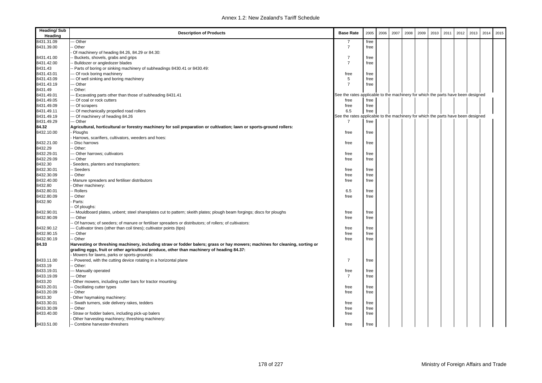| <b>Heading/Sub</b><br>Heading | <b>Description of Products</b>                                                                                                                                                                                                                                         | <b>Base Rate</b>                                                                 | 2005 | 2006 | 2007 | 2008 | 2009 | 2010 | 2011 | 2012 | 2013 | 2014 | 2015 |
|-------------------------------|------------------------------------------------------------------------------------------------------------------------------------------------------------------------------------------------------------------------------------------------------------------------|----------------------------------------------------------------------------------|------|------|------|------|------|------|------|------|------|------|------|
| 8431.31.09                    | - Other                                                                                                                                                                                                                                                                | 7                                                                                | free |      |      |      |      |      |      |      |      |      |      |
| 8431.39.00                    | Other                                                                                                                                                                                                                                                                  | $\overline{7}$                                                                   | free |      |      |      |      |      |      |      |      |      |      |
|                               | Of machinery of heading 84.26, 84.29 or 84.30:                                                                                                                                                                                                                         |                                                                                  |      |      |      |      |      |      |      |      |      |      |      |
| 8431.41.00                    | Buckets, shovels, grabs and grips                                                                                                                                                                                                                                      | $\overline{7}$                                                                   | free |      |      |      |      |      |      |      |      |      |      |
| 8431.42.00                    | Bulldozer or angledozer blades                                                                                                                                                                                                                                         | $\overline{7}$                                                                   | free |      |      |      |      |      |      |      |      |      |      |
| 8431.43                       | - Parts of boring or sinking machinery of subheadings 8430.41 or 8430.49:                                                                                                                                                                                              |                                                                                  |      |      |      |      |      |      |      |      |      |      |      |
| 8431.43.01                    | Of rock boring machinery                                                                                                                                                                                                                                               | free                                                                             | free |      |      |      |      |      |      |      |      |      |      |
| 8431.43.09                    | - Of well sinking and boring machinery                                                                                                                                                                                                                                 | 5                                                                                | free |      |      |      |      |      |      |      |      |      |      |
| 8431.43.19                    | - Other                                                                                                                                                                                                                                                                | $\overline{7}$                                                                   | free |      |      |      |      |      |      |      |      |      |      |
| 8431.49                       | Other:                                                                                                                                                                                                                                                                 |                                                                                  |      |      |      |      |      |      |      |      |      |      |      |
| 8431.49.01                    | Excavating parts other than those of subheading 8431.41                                                                                                                                                                                                                | See the rates applicable to the machinery for which the parts have been designed |      |      |      |      |      |      |      |      |      |      |      |
| 8431.49.05                    | - Of coal or rock cutters                                                                                                                                                                                                                                              | free                                                                             | free |      |      |      |      |      |      |      |      |      |      |
| 8431.49.09                    | - Of scrapers                                                                                                                                                                                                                                                          | free                                                                             | free |      |      |      |      |      |      |      |      |      |      |
| 8431.49.11                    | - Of mechanically propelled road rollers                                                                                                                                                                                                                               | 6.5                                                                              | free |      |      |      |      |      |      |      |      |      |      |
| 8431.49.19                    | - Of machinery of heading 84.26                                                                                                                                                                                                                                        | See the rates applicable to the machinery for which the parts have been designed |      |      |      |      |      |      |      |      |      |      |      |
| 8431.49.29                    | - Other                                                                                                                                                                                                                                                                | $\overline{7}$                                                                   | free |      |      |      |      |      |      |      |      |      |      |
| 84.32                         | Agricultural, horticultural or forestry machinery for soil preparation or cultivation; lawn or sports-ground rollers:                                                                                                                                                  |                                                                                  |      |      |      |      |      |      |      |      |      |      |      |
| 8432.10.00                    | Ploughs                                                                                                                                                                                                                                                                | free                                                                             | free |      |      |      |      |      |      |      |      |      |      |
|                               | Harrows, scarifiers, cultivators, weeders and hoes:                                                                                                                                                                                                                    |                                                                                  |      |      |      |      |      |      |      |      |      |      |      |
| 8432.21.00                    | - Disc harrows                                                                                                                                                                                                                                                         | free                                                                             | free |      |      |      |      |      |      |      |      |      |      |
| 8432.29                       | - Other:                                                                                                                                                                                                                                                               |                                                                                  |      |      |      |      |      |      |      |      |      |      |      |
| 8432.29.01                    | -- Other harrows; cultivators                                                                                                                                                                                                                                          | free                                                                             | free |      |      |      |      |      |      |      |      |      |      |
| 8432.29.09                    | - Other                                                                                                                                                                                                                                                                | free                                                                             | free |      |      |      |      |      |      |      |      |      |      |
| 8432.30                       | Seeders, planters and transplanters:                                                                                                                                                                                                                                   |                                                                                  |      |      |      |      |      |      |      |      |      |      |      |
| 8432.30.01                    | Seeders                                                                                                                                                                                                                                                                | free                                                                             | free |      |      |      |      |      |      |      |      |      |      |
| 8432.30.09                    | Other                                                                                                                                                                                                                                                                  | free                                                                             | free |      |      |      |      |      |      |      |      |      |      |
| 8432.40.00                    | Manure spreaders and fertiliser distributors                                                                                                                                                                                                                           | free                                                                             | free |      |      |      |      |      |      |      |      |      |      |
| 8432.80                       | Other machinery:                                                                                                                                                                                                                                                       |                                                                                  |      |      |      |      |      |      |      |      |      |      |      |
| 8432.80.01                    | Rollers                                                                                                                                                                                                                                                                | 6.5                                                                              | free |      |      |      |      |      |      |      |      |      |      |
| 8432.80.09                    | - Other                                                                                                                                                                                                                                                                | free                                                                             | free |      |      |      |      |      |      |      |      |      |      |
| 8432.90                       | Parts:                                                                                                                                                                                                                                                                 |                                                                                  |      |      |      |      |      |      |      |      |      |      |      |
|                               | Of ploughs:                                                                                                                                                                                                                                                            |                                                                                  |      |      |      |      |      |      |      |      |      |      |      |
| 8432.90.01                    | - Mouldboard plates, unbent; steel shareplates cut to pattern; skeith plates; plough beam forgings; discs for ploughs                                                                                                                                                  | free                                                                             | free |      |      |      |      |      |      |      |      |      |      |
| 8432.90.09                    | - Other                                                                                                                                                                                                                                                                | free                                                                             | free |      |      |      |      |      |      |      |      |      |      |
|                               | Of harrows; of seeders; of manure or fertiliser spreaders or distributors; of rollers; of cultivators:                                                                                                                                                                 |                                                                                  |      |      |      |      |      |      |      |      |      |      |      |
| 8432.90.12                    | - Cultivator tines (other than coil tines); cultivator points (tips)                                                                                                                                                                                                   | free                                                                             | free |      |      |      |      |      |      |      |      |      |      |
| 8432.90.15                    | - Other                                                                                                                                                                                                                                                                | free                                                                             | free |      |      |      |      |      |      |      |      |      |      |
| 8432.90.19                    | - Other                                                                                                                                                                                                                                                                | free                                                                             | free |      |      |      |      |      |      |      |      |      |      |
| 84.33                         | Harvesting or threshing machinery, including straw or fodder balers; grass or hay mowers; machines for cleaning, sorting or<br>grading eggs, fruit or other agricultural produce, other than machinery of heading 84.37:<br>Mowers for lawns, parks or sports-grounds: |                                                                                  |      |      |      |      |      |      |      |      |      |      |      |
| 8433.11.00                    | - Powered, with the cutting device rotating in a horizontal plane                                                                                                                                                                                                      | $\overline{7}$                                                                   | free |      |      |      |      |      |      |      |      |      |      |
| 8433.19                       | Other:                                                                                                                                                                                                                                                                 |                                                                                  |      |      |      |      |      |      |      |      |      |      |      |
| 8433.19.01                    | -- Manually operated                                                                                                                                                                                                                                                   | free                                                                             | free |      |      |      |      |      |      |      |      |      |      |
| 8433.19.09                    | - Other                                                                                                                                                                                                                                                                | $\overline{7}$                                                                   | free |      |      |      |      |      |      |      |      |      |      |
| 8433.20                       | Other mowers, including cutter bars for tractor mounting:                                                                                                                                                                                                              |                                                                                  |      |      |      |      |      |      |      |      |      |      |      |
| 8433.20.01                    | Oscillating cutter types                                                                                                                                                                                                                                               | free                                                                             | free |      |      |      |      |      |      |      |      |      |      |
| 8433.20.09                    | - Other                                                                                                                                                                                                                                                                | free                                                                             | free |      |      |      |      |      |      |      |      |      |      |
| 8433.30                       | Other haymaking machinery:                                                                                                                                                                                                                                             |                                                                                  |      |      |      |      |      |      |      |      |      |      |      |
| 8433.30.01                    | Swath turners, side delivery rakes, tedders                                                                                                                                                                                                                            | free                                                                             | free |      |      |      |      |      |      |      |      |      |      |
| 8433.30.09                    | - Other                                                                                                                                                                                                                                                                | free                                                                             | free |      |      |      |      |      |      |      |      |      |      |
| 8433.40.00                    | Straw or fodder balers, including pick-up balers                                                                                                                                                                                                                       | free                                                                             | free |      |      |      |      |      |      |      |      |      |      |
|                               | Other harvesting machinery; threshing machinery:                                                                                                                                                                                                                       |                                                                                  |      |      |      |      |      |      |      |      |      |      |      |
| 8433.51.00                    | -- Combine harvester-threshers                                                                                                                                                                                                                                         | free                                                                             | free |      |      |      |      |      |      |      |      |      |      |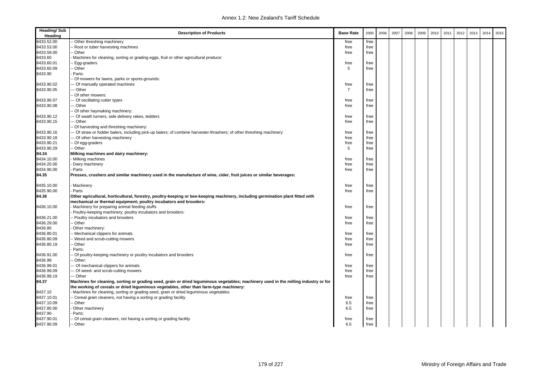| <b>Heading/Sub</b><br>Heading | <b>Description of Products</b>                                                                                                      | <b>Base Rate</b> | 2005 | 2006 | 2007 | 2008 | 2009 | 2010 | 2011 | 2012 | 2013 | 2014 | 2015 |
|-------------------------------|-------------------------------------------------------------------------------------------------------------------------------------|------------------|------|------|------|------|------|------|------|------|------|------|------|
| 8433.52.00                    | Other threshing machinery                                                                                                           | free             | free |      |      |      |      |      |      |      |      |      |      |
| 8433.53.00                    | Root or tuber harvesting machines                                                                                                   | free             | free |      |      |      |      |      |      |      |      |      |      |
| 8433.59.00                    | - Other                                                                                                                             | free             | free |      |      |      |      |      |      |      |      |      |      |
| 8433.60                       | Machines for cleaning, sorting or grading eggs, fruit or other agricultural produce:                                                |                  |      |      |      |      |      |      |      |      |      |      |      |
| 8433.60.01                    | - Egg-graders                                                                                                                       | free             | free |      |      |      |      |      |      |      |      |      |      |
| 8433.60.09                    | - Other                                                                                                                             | 5                | free |      |      |      |      |      |      |      |      |      |      |
| 8433.90                       | Parts:                                                                                                                              |                  |      |      |      |      |      |      |      |      |      |      |      |
|                               | Of mowers for lawns, parks or sports-grounds:                                                                                       |                  |      |      |      |      |      |      |      |      |      |      |      |
| 8433.90.02                    | -- Of manually operated machines                                                                                                    | free             | free |      |      |      |      |      |      |      |      |      |      |
| 8433.90.05                    | -- Other                                                                                                                            | 7                | free |      |      |      |      |      |      |      |      |      |      |
|                               | - Of other mowers:                                                                                                                  |                  |      |      |      |      |      |      |      |      |      |      |      |
| 8433.90.07                    | -- Of oscillating cutter types                                                                                                      | free             | free |      |      |      |      |      |      |      |      |      |      |
| 8433.90.08                    | -- Other                                                                                                                            | free             | free |      |      |      |      |      |      |      |      |      |      |
|                               | - Of other haymaking machinery:                                                                                                     |                  |      |      |      |      |      |      |      |      |      |      |      |
| 8433.90.12                    | -- Of swath turners, side delivery rakes, tedders                                                                                   | free             | free |      |      |      |      |      |      |      |      |      |      |
| 8433.90.15                    | -- Other                                                                                                                            | free             | free |      |      |      |      |      |      |      |      |      |      |
|                               |                                                                                                                                     |                  |      |      |      |      |      |      |      |      |      |      |      |
|                               | - Of harvesting and threshing machinery:                                                                                            |                  |      |      |      |      |      |      |      |      |      |      |      |
| 8433.90.16                    | -- Of straw or fodder balers, including pick-up balers; of combine harvester-thrashers; of other threshing machinery                | free             | free |      |      |      |      |      |      |      |      |      |      |
| 8433.90.18                    | -- Of other harvesting machinery                                                                                                    | free             | free |      |      |      |      |      |      |      |      |      |      |
| 8433.90.21                    | - Of egg-graders                                                                                                                    | free             | free |      |      |      |      |      |      |      |      |      |      |
| 8433.90.29                    | -- Other                                                                                                                            | 5                | free |      |      |      |      |      |      |      |      |      |      |
| 84.34                         | Milking machines and dairy machinery:                                                                                               |                  |      |      |      |      |      |      |      |      |      |      |      |
| 8434.10.00                    | Milking machines                                                                                                                    | free             | free |      |      |      |      |      |      |      |      |      |      |
| 8434.20.00                    | Dairy machinery                                                                                                                     | free             | free |      |      |      |      |      |      |      |      |      |      |
| 8434.90.00                    | Parts                                                                                                                               | free             | free |      |      |      |      |      |      |      |      |      |      |
| 84.35                         | Presses, crushers and similar machinery used in the manufacture of wine, cider, fruit juices or similar beverages:                  |                  |      |      |      |      |      |      |      |      |      |      |      |
| 8435.10.00                    | Machinery                                                                                                                           | free             | free |      |      |      |      |      |      |      |      |      |      |
| 8435.90.00                    | Parts                                                                                                                               | free             | free |      |      |      |      |      |      |      |      |      |      |
| 84.36                         | Other agricultural, horticultural, forestry, poultry-keeping or bee-keeping machinery, including germination plant fitted with      |                  |      |      |      |      |      |      |      |      |      |      |      |
|                               | mechanical or thermal equipment; poultry incubators and brooders:                                                                   |                  |      |      |      |      |      |      |      |      |      |      |      |
| 8436.10.00                    | Machinery for preparing animal feeding stuffs                                                                                       | free             | free |      |      |      |      |      |      |      |      |      |      |
|                               | Poultry-keeping machinery; poultry incubators and brooders:                                                                         |                  |      |      |      |      |      |      |      |      |      |      |      |
| 8436.21.00                    | - Poultry incubators and brooders                                                                                                   | free             | free |      |      |      |      |      |      |      |      |      |      |
| 8436.29.00                    | - Other                                                                                                                             | free             | free |      |      |      |      |      |      |      |      |      |      |
| 8436.80                       | Other machinery:                                                                                                                    |                  |      |      |      |      |      |      |      |      |      |      |      |
| 8436.80.01                    | - Mechanical clippers for animals                                                                                                   | free             | free |      |      |      |      |      |      |      |      |      |      |
| 8436.80.09                    | - Weed and scrub-cutting mowers                                                                                                     | free             | free |      |      |      |      |      |      |      |      |      |      |
| 8436.80.19                    | - Other                                                                                                                             | free             | free |      |      |      |      |      |      |      |      |      |      |
|                               | Parts:                                                                                                                              |                  |      |      |      |      |      |      |      |      |      |      |      |
| 8436.91.00                    | - Of poultry-keeping machinery or poultry incubators and brooders                                                                   | free             | free |      |      |      |      |      |      |      |      |      |      |
| 8436.99                       | - Other:                                                                                                                            |                  |      |      |      |      |      |      |      |      |      |      |      |
| 8436.99.01                    | -- Of mechanical clippers for animals                                                                                               | free             | free |      |      |      |      |      |      |      |      |      |      |
| 8436.99.09                    | --- Of weed- and scrub-cutting mowers                                                                                               | free             | free |      |      |      |      |      |      |      |      |      |      |
| 8436.99.19                    | --- Other                                                                                                                           | free             | free |      |      |      |      |      |      |      |      |      |      |
| 84.37                         | Machines for cleaning, sorting or grading seed, grain or dried leguminous vegetables; machinery used in the milling industry or for |                  |      |      |      |      |      |      |      |      |      |      |      |
|                               | the working of cereals or dried leguminous vegetables, other than farm-type machinery:                                              |                  |      |      |      |      |      |      |      |      |      |      |      |
| 8437.10                       | Machines for cleaning, sorting or grading seed, grain or dried leguminous vegetables:                                               |                  |      |      |      |      |      |      |      |      |      |      |      |
| 8437.10.01                    | - Cereal grain cleaners, not having a sorting or grading facility                                                                   | free             | free |      |      |      |      |      |      |      |      |      |      |
| 8437.10.09                    | - Other                                                                                                                             | 6.5              | free |      |      |      |      |      |      |      |      |      |      |
| 8437.80.00                    | Other machinery                                                                                                                     | 6.5              | free |      |      |      |      |      |      |      |      |      |      |
| 8437.90                       | Parts:                                                                                                                              |                  |      |      |      |      |      |      |      |      |      |      |      |
| 8437.90.01                    | - Of cereal grain cleaners, not having a sorting or grading facility                                                                | free             | free |      |      |      |      |      |      |      |      |      |      |
| 8437.90.09                    | - Other                                                                                                                             | 6.5              | free |      |      |      |      |      |      |      |      |      |      |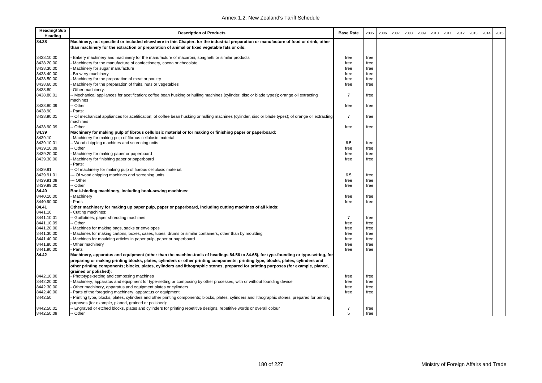| <b>Heading/Sub</b><br>Heading | <b>Description of Products</b>                                                                                                                                   | <b>Base Rate</b> | 2005         | 2006 | 2007 | 2008 | 2009 | 2010 | 2011 | 2012 | 2013 | 2014 | 2015 |
|-------------------------------|------------------------------------------------------------------------------------------------------------------------------------------------------------------|------------------|--------------|------|------|------|------|------|------|------|------|------|------|
| 84.38                         | Machinery, not specified or included elsewhere in this Chapter, for the industrial preparation or manufacture of food or drink, other                            |                  |              |      |      |      |      |      |      |      |      |      |      |
|                               | than machinery for the extraction or preparation of animal or fixed vegetable fats or oils:                                                                      |                  |              |      |      |      |      |      |      |      |      |      |      |
| 8438.10.00                    | Bakery machinery and machinery for the manufacture of macaroni, spaghetti or similar products                                                                    | free             | free         |      |      |      |      |      |      |      |      |      |      |
| 8438.20.00                    | Machinery for the manufacture of confectionery, cocoa or chocolate                                                                                               | free             | free         |      |      |      |      |      |      |      |      |      |      |
| 8438.30.00                    | Machinery for sugar manufacture                                                                                                                                  | free             | free         |      |      |      |      |      |      |      |      |      |      |
| 8438.40.00                    | Brewery machinery                                                                                                                                                | free             | free         |      |      |      |      |      |      |      |      |      |      |
| 8438.50.00                    | Machinery for the preparation of meat or poultry                                                                                                                 | free             | free         |      |      |      |      |      |      |      |      |      |      |
| 8438.60.00                    | Machinery for the preparation of fruits, nuts or vegetables                                                                                                      | free             | free         |      |      |      |      |      |      |      |      |      |      |
| 8438.80                       | Other machinery:                                                                                                                                                 |                  |              |      |      |      |      |      |      |      |      |      |      |
| 8438.80.01                    | - Mechanical appliances for acetification; coffee bean husking or hulling machines (cylinder, disc or blade types); orange oil extracting                        | $\overline{7}$   | free         |      |      |      |      |      |      |      |      |      |      |
|                               | nachines                                                                                                                                                         |                  |              |      |      |      |      |      |      |      |      |      |      |
| 8438.80.09                    | - Other                                                                                                                                                          | free             | free         |      |      |      |      |      |      |      |      |      |      |
| 8438.90                       | Parts:                                                                                                                                                           |                  |              |      |      |      |      |      |      |      |      |      |      |
| 8438.90.01                    | Of mechanical appliances for acetification; of coffee bean husking or hulling machines (cylinder, disc or blade types); of orange oil extracting                 | $\overline{7}$   | free         |      |      |      |      |      |      |      |      |      |      |
|                               | nachines                                                                                                                                                         |                  |              |      |      |      |      |      |      |      |      |      |      |
| 8438.90.09                    | - Other                                                                                                                                                          | free             | free         |      |      |      |      |      |      |      |      |      |      |
| 84.39                         | Machinery for making pulp of fibrous cellulosic material or for making or finishing paper or paperboard:                                                         |                  |              |      |      |      |      |      |      |      |      |      |      |
| 8439.10                       | Machinery for making pulp of fibrous cellulosic material:                                                                                                        |                  |              |      |      |      |      |      |      |      |      |      |      |
| 8439.10.01                    | - Wood chipping machines and screening units                                                                                                                     | 6.5              | free         |      |      |      |      |      |      |      |      |      |      |
| 8439.10.09                    | Other                                                                                                                                                            | free             | free         |      |      |      |      |      |      |      |      |      |      |
| 8439.20.00                    | Machinery for making paper or paperboard                                                                                                                         | free             | free         |      |      |      |      |      |      |      |      |      |      |
| 8439.30.00                    | Machinery for finishing paper or paperboard                                                                                                                      | free             | free         |      |      |      |      |      |      |      |      |      |      |
|                               | Parts:                                                                                                                                                           |                  |              |      |      |      |      |      |      |      |      |      |      |
| 8439.91                       | Of machinery for making pulp of fibrous cellulosic material:                                                                                                     |                  |              |      |      |      |      |      |      |      |      |      |      |
| 8439.91.01                    | - Of wood chipping machines and screening units                                                                                                                  | 6.5              | free         |      |      |      |      |      |      |      |      |      |      |
| 8439.91.09                    | -- Other                                                                                                                                                         | free             | free         |      |      |      |      |      |      |      |      |      |      |
| 8439.99.00                    | Other                                                                                                                                                            | free             | free         |      |      |      |      |      |      |      |      |      |      |
| 84.40                         | Book-binding machinery, including book-sewing machines:                                                                                                          |                  |              |      |      |      |      |      |      |      |      |      |      |
| 8440.10.00                    | Machinery                                                                                                                                                        | free             | free         |      |      |      |      |      |      |      |      |      |      |
| 8440.90.00                    | Parts                                                                                                                                                            | free             | free         |      |      |      |      |      |      |      |      |      |      |
| 84.41                         | Other machinery for making up paper pulp, paper or paperboard, including cutting machines of all kinds:                                                          |                  |              |      |      |      |      |      |      |      |      |      |      |
| 8441.10                       | Cutting machines:                                                                                                                                                |                  |              |      |      |      |      |      |      |      |      |      |      |
| 8441.10.01                    | Guillotines; paper shredding machines                                                                                                                            | $\overline{7}$   | free         |      |      |      |      |      |      |      |      |      |      |
| 8441.10.09                    | - Other                                                                                                                                                          | free             | free         |      |      |      |      |      |      |      |      |      |      |
| 8441.20.00                    | Machines for making bags, sacks or envelopes                                                                                                                     | free             | free         |      |      |      |      |      |      |      |      |      |      |
| 8441.30.00                    | Machines for making cartons, boxes, cases, tubes, drums or similar containers, other than by moulding                                                            | free             | free         |      |      |      |      |      |      |      |      |      |      |
| 8441.40.00                    | Machines for moulding articles in paper pulp, paper or paperboard                                                                                                | free             | free         |      |      |      |      |      |      |      |      |      |      |
| 8441.80.00                    | Other machinery                                                                                                                                                  | free             | free         |      |      |      |      |      |      |      |      |      |      |
| 8441.90.00                    | Parts                                                                                                                                                            | free             | free         |      |      |      |      |      |      |      |      |      |      |
| 84.42                         | Machinery, apparatus and equipment (other than the machine-tools of headings 84.56 to 84.65), for type-founding or type-setting, for                             |                  |              |      |      |      |      |      |      |      |      |      |      |
|                               | preparing or making printing blocks, plates, cylinders or other printing components; printing type, blocks, plates, cylinders and                                |                  |              |      |      |      |      |      |      |      |      |      |      |
|                               | other printing components; blocks, plates, cylinders and lithographic stones, prepared for printing purposes (for example, planed,                               |                  |              |      |      |      |      |      |      |      |      |      |      |
| 8442.10.00                    | grained or polished):                                                                                                                                            |                  |              |      |      |      |      |      |      |      |      |      |      |
| 8442.20.00                    | Phototype-setting and composing machines<br>Machinery, apparatus and equipment for type-setting or composing by other processes, with or without founding device | free<br>free     | free<br>free |      |      |      |      |      |      |      |      |      |      |
| 8442.30.00                    | Other machinery, apparatus and equipment plates or cylinders                                                                                                     | free             | free         |      |      |      |      |      |      |      |      |      |      |
| 8442.40.00                    | Parts of the foregoing machinery, apparatus or equipment                                                                                                         | free             | free         |      |      |      |      |      |      |      |      |      |      |
| 8442.50                       | Printing type, blocks, plates, cylinders and other printing components; blocks, plates, cylinders and lithographic stones, prepared for printing                 |                  |              |      |      |      |      |      |      |      |      |      |      |
|                               | purposes (for example, planed, grained or polished):                                                                                                             |                  |              |      |      |      |      |      |      |      |      |      |      |
| 8442.50.01                    | - Engraved or etched blocks, plates and cylinders for printing repetitive designs, repetitive words or overall colour                                            | $\overline{7}$   | free         |      |      |      |      |      |      |      |      |      |      |
| 8442.50.09                    | -- Other                                                                                                                                                         | 5                | free         |      |      |      |      |      |      |      |      |      |      |
|                               |                                                                                                                                                                  |                  |              |      |      |      |      |      |      |      |      |      |      |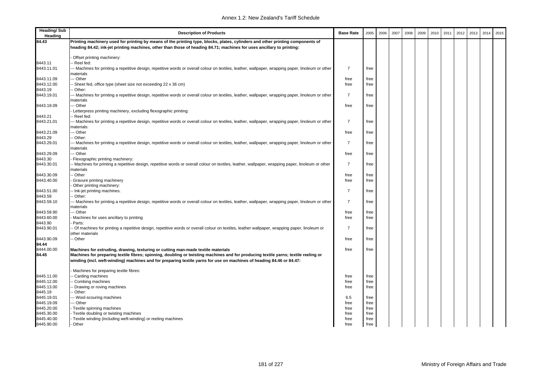| <b>Heading/Sub</b><br>Heading | <b>Description of Products</b>                                                                                                                                                                                                                          | <b>Base Rate</b> | 2005         | 2006 | 2007 | 2008 | 2009 | 2010 | 2011 | 2012 | 2013 | 2014 | 2015 |
|-------------------------------|---------------------------------------------------------------------------------------------------------------------------------------------------------------------------------------------------------------------------------------------------------|------------------|--------------|------|------|------|------|------|------|------|------|------|------|
| 84.43                         | Printing machinery used for printing by means of the printing type, blocks, plates, cylinders and other printing components of<br>heading 84.42; ink-jet printing machines, other than those of heading 84.71; machines for uses ancillary to printing: |                  |              |      |      |      |      |      |      |      |      |      |      |
|                               |                                                                                                                                                                                                                                                         |                  |              |      |      |      |      |      |      |      |      |      |      |
|                               | Offset printing machinery:                                                                                                                                                                                                                              |                  |              |      |      |      |      |      |      |      |      |      |      |
| 8443.11                       | Reel fed:                                                                                                                                                                                                                                               |                  |              |      |      |      |      |      |      |      |      |      |      |
| 8443.11.01                    | -- Machines for printing a repetitive design, repetitive words or overall colour on textiles, leather, wallpaper, wrapping paper, linoleum or other                                                                                                     | $\overline{7}$   | free         |      |      |      |      |      |      |      |      |      |      |
|                               | materials                                                                                                                                                                                                                                               |                  |              |      |      |      |      |      |      |      |      |      |      |
| 8443.11.09                    | - Other                                                                                                                                                                                                                                                 | free             | free         |      |      |      |      |      |      |      |      |      |      |
| 8443.12.00                    | Sheet fed, office type (sheet size not exceeding 22 x 36 cm)                                                                                                                                                                                            | free             | free         |      |      |      |      |      |      |      |      |      |      |
| 8443.19                       | Other:                                                                                                                                                                                                                                                  |                  |              |      |      |      |      |      |      |      |      |      |      |
| 8443.19.01                    | - Machines for printing a repetitive design, repetitive words or overall colour on textiles, leather, wallpaper, wrapping paper, linoleum or other                                                                                                      | $\overline{7}$   | free         |      |      |      |      |      |      |      |      |      |      |
|                               | materials<br>- Other                                                                                                                                                                                                                                    |                  |              |      |      |      |      |      |      |      |      |      |      |
| 8443.19.09                    | Letterpress printing machinery, excluding flexographic printing:                                                                                                                                                                                        | free             | free         |      |      |      |      |      |      |      |      |      |      |
| 8443.21                       | - Reel fed:                                                                                                                                                                                                                                             |                  |              |      |      |      |      |      |      |      |      |      |      |
| 8443.21.01                    | - Machines for printing a repetitive design, repetitive words or overall colour on textiles, leather, wallpaper, wrapping paper, linoleum or other                                                                                                      | $\overline{7}$   | free         |      |      |      |      |      |      |      |      |      |      |
|                               | materials:                                                                                                                                                                                                                                              |                  |              |      |      |      |      |      |      |      |      |      |      |
| 8443.21.09                    | - Other                                                                                                                                                                                                                                                 | free             | free         |      |      |      |      |      |      |      |      |      |      |
| 8443.29                       | Other:                                                                                                                                                                                                                                                  |                  |              |      |      |      |      |      |      |      |      |      |      |
| 8443.29.01                    | -- Machines for printing a repetitive design, repetitive words or overall colour on textiles, leather, wallpaper, wrapping paper, linoleum or other                                                                                                     | $\overline{7}$   | free         |      |      |      |      |      |      |      |      |      |      |
|                               | materials                                                                                                                                                                                                                                               |                  |              |      |      |      |      |      |      |      |      |      |      |
| 8443.29.09                    | - Other                                                                                                                                                                                                                                                 | free             | free         |      |      |      |      |      |      |      |      |      |      |
| 8443.30                       | Flexographic printing machinery:                                                                                                                                                                                                                        |                  |              |      |      |      |      |      |      |      |      |      |      |
| 8443.30.01                    | - Machines for printing a repetitive design, repetitive words or overall colour on textiles, leather, wallpaper, wrapping paper, linoleum or other                                                                                                      | $\overline{7}$   | free         |      |      |      |      |      |      |      |      |      |      |
|                               | materials                                                                                                                                                                                                                                               |                  |              |      |      |      |      |      |      |      |      |      |      |
| 8443.30.09                    | - Other                                                                                                                                                                                                                                                 | free             | free         |      |      |      |      |      |      |      |      |      |      |
| 8443.40.00                    | Gravure printing machinery                                                                                                                                                                                                                              | free             | free         |      |      |      |      |      |      |      |      |      |      |
|                               | Other printing machinery:                                                                                                                                                                                                                               |                  |              |      |      |      |      |      |      |      |      |      |      |
| 8443.51.00                    | - Ink-jet printing machines.                                                                                                                                                                                                                            | $\overline{7}$   | free         |      |      |      |      |      |      |      |      |      |      |
| 8443.59                       | - Other:                                                                                                                                                                                                                                                |                  |              |      |      |      |      |      |      |      |      |      |      |
| 8443.59.10                    | -- Machines for printing a repetitive design, repetitive words or overall colour on textiles, leather, wallpaper, wrapping paper, linoleum or other                                                                                                     | $\overline{7}$   | free         |      |      |      |      |      |      |      |      |      |      |
|                               | materials                                                                                                                                                                                                                                               |                  |              |      |      |      |      |      |      |      |      |      |      |
| 8443.59.90                    | -- Other                                                                                                                                                                                                                                                | free             | free         |      |      |      |      |      |      |      |      |      |      |
| 8443.60.00<br>8443.90         | Machines for uses ancillary to printing<br>Parts:                                                                                                                                                                                                       | free             | free         |      |      |      |      |      |      |      |      |      |      |
| 8443.90.01                    | Of machines for printing a repetitive design, repetitive words or overall colour on textiles, leather wallpaper, wrapping paper, linoleum or                                                                                                            | 7                | free         |      |      |      |      |      |      |      |      |      |      |
|                               | other materials                                                                                                                                                                                                                                         |                  |              |      |      |      |      |      |      |      |      |      |      |
| 8443.90.09                    | - Other                                                                                                                                                                                                                                                 | free             | free         |      |      |      |      |      |      |      |      |      |      |
| 84.44                         |                                                                                                                                                                                                                                                         |                  |              |      |      |      |      |      |      |      |      |      |      |
| 8444.00.00                    | Machines for extruding, drawing, texturing or cutting man-made textile materials                                                                                                                                                                        | free             | free         |      |      |      |      |      |      |      |      |      |      |
| 84.45                         | Machines for preparing textile fibres; spinning, doubling or twisting machines and for producing textile yarns; textile reeling or                                                                                                                      |                  |              |      |      |      |      |      |      |      |      |      |      |
|                               | winding (incl. weft-winding) machines and for preparing textile yarns for use on machines of heading 84.46 or 84.47:                                                                                                                                    |                  |              |      |      |      |      |      |      |      |      |      |      |
|                               | Machines for preparing textile fibres:                                                                                                                                                                                                                  |                  |              |      |      |      |      |      |      |      |      |      |      |
| 8445.11.00                    | Carding machines                                                                                                                                                                                                                                        | free             | free         |      |      |      |      |      |      |      |      |      |      |
| 8445.12.00                    | Combing machines                                                                                                                                                                                                                                        | free             | free         |      |      |      |      |      |      |      |      |      |      |
| 8445.13.00                    | Drawing or roving machines                                                                                                                                                                                                                              | free             | free         |      |      |      |      |      |      |      |      |      |      |
| 8445.19                       | Other:                                                                                                                                                                                                                                                  |                  |              |      |      |      |      |      |      |      |      |      |      |
| 8445.19.01                    | -- Wool-scouring machines                                                                                                                                                                                                                               | 6.5              | free         |      |      |      |      |      |      |      |      |      |      |
| 8445.19.09                    | - Other                                                                                                                                                                                                                                                 | free             | free         |      |      |      |      |      |      |      |      |      |      |
| 8445.20.00                    | Textile spinning machines                                                                                                                                                                                                                               | free             | free         |      |      |      |      |      |      |      |      |      |      |
| 8445.30.00<br>8445.40.00      | Textile doubling or twisting machines                                                                                                                                                                                                                   | free<br>free     | free<br>free |      |      |      |      |      |      |      |      |      |      |
| 8445.90.00                    | Textile winding (including weft-winding) or reeling machines<br>Other                                                                                                                                                                                   | free             | free         |      |      |      |      |      |      |      |      |      |      |
|                               |                                                                                                                                                                                                                                                         |                  |              |      |      |      |      |      |      |      |      |      |      |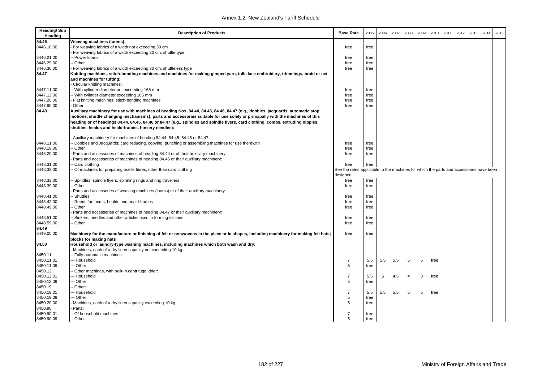| <b>Heading/Sub</b><br>Heading | <b>Description of Products</b>                                                                                                                                                                                                                                                                                                                                                                                                                              | <b>Base Rate</b>                                                                       | 2005 | 2006 | 2007 | 2008           | 2009 | 2010 | 2011 | 2012 | 2013 | 2014 | 2015 |
|-------------------------------|-------------------------------------------------------------------------------------------------------------------------------------------------------------------------------------------------------------------------------------------------------------------------------------------------------------------------------------------------------------------------------------------------------------------------------------------------------------|----------------------------------------------------------------------------------------|------|------|------|----------------|------|------|------|------|------|------|------|
| 84.46                         | Weaving machines (looms):                                                                                                                                                                                                                                                                                                                                                                                                                                   |                                                                                        |      |      |      |                |      |      |      |      |      |      |      |
| 8446.10.00                    | For weaving fabrics of a width not exceeding 30 cm                                                                                                                                                                                                                                                                                                                                                                                                          | free                                                                                   | free |      |      |                |      |      |      |      |      |      |      |
|                               | For weaving fabrics of a width exceeding 30 cm, shuttle type:                                                                                                                                                                                                                                                                                                                                                                                               |                                                                                        |      |      |      |                |      |      |      |      |      |      |      |
| 8446.21.00                    | - Power looms                                                                                                                                                                                                                                                                                                                                                                                                                                               | free                                                                                   | free |      |      |                |      |      |      |      |      |      |      |
| 8446.29.00                    | - Other                                                                                                                                                                                                                                                                                                                                                                                                                                                     | free                                                                                   | free |      |      |                |      |      |      |      |      |      |      |
| 8446.30.00                    | For weaving fabrics of a width exceeding 30 cm, shuttleless type                                                                                                                                                                                                                                                                                                                                                                                            | free                                                                                   | free |      |      |                |      |      |      |      |      |      |      |
| 84.47                         | Knitting machines, stitch-bonding machines and machines for making gimped yarn, tulle lace embroidery, trimmings, braid or net                                                                                                                                                                                                                                                                                                                              |                                                                                        |      |      |      |                |      |      |      |      |      |      |      |
|                               | and machines for tufting:<br>Circular knitting machines:                                                                                                                                                                                                                                                                                                                                                                                                    |                                                                                        |      |      |      |                |      |      |      |      |      |      |      |
| 8447.11.00                    | - With cylinder diameter not exceeding 165 mm                                                                                                                                                                                                                                                                                                                                                                                                               | free                                                                                   | free |      |      |                |      |      |      |      |      |      |      |
| 8447.12.00                    | -- With cylinder diameter exceeding 165 mm                                                                                                                                                                                                                                                                                                                                                                                                                  | free                                                                                   | free |      |      |                |      |      |      |      |      |      |      |
| 8447.20.00                    | Flat knitting machines; stitch-bonding machines                                                                                                                                                                                                                                                                                                                                                                                                             | free                                                                                   | free |      |      |                |      |      |      |      |      |      |      |
| 8447.90.00                    | Other                                                                                                                                                                                                                                                                                                                                                                                                                                                       | free                                                                                   | free |      |      |                |      |      |      |      |      |      |      |
| 84.48                         | Auxiliary machinery for use with machines of heading Nos. 84.44, 84.45, 84.46, 84.47 (e.g., dobbies, jacquards, automatic stop<br>motions, shuttle changing mechanisms); parts and accessories suitable for use solely or principally with the machines of this<br>heading or of headings 84.44, 84.45, 84.46 or 84.47 (e.g., spindles and spindle flyers, card clothing, combs, extruding nipples,<br>shuttles, healds and heald-frames, hosiery needles): |                                                                                        |      |      |      |                |      |      |      |      |      |      |      |
|                               | Auxiliary machinery for machines of heading 84.44, 84.45, 84.46 or 84.47:                                                                                                                                                                                                                                                                                                                                                                                   |                                                                                        |      |      |      |                |      |      |      |      |      |      |      |
| 8448.11.00                    | Dobbies and Jacquards; card reducing, copying, punching or assembling machines for use therewith                                                                                                                                                                                                                                                                                                                                                            | free                                                                                   | free |      |      |                |      |      |      |      |      |      |      |
| 8448.19.00                    | - Other                                                                                                                                                                                                                                                                                                                                                                                                                                                     | free                                                                                   | free |      |      |                |      |      |      |      |      |      |      |
| 8448.20.00                    | Parts and accessories of machines of heading 84.44 or of their auxiliary machinery                                                                                                                                                                                                                                                                                                                                                                          | free                                                                                   | free |      |      |                |      |      |      |      |      |      |      |
|                               | Parts and accessories of machines of heading 84.45 or their auxiliary machinery:                                                                                                                                                                                                                                                                                                                                                                            |                                                                                        |      |      |      |                |      |      |      |      |      |      |      |
| 8448.31.00                    | Card clothing                                                                                                                                                                                                                                                                                                                                                                                                                                               | free                                                                                   | free |      |      |                |      |      |      |      |      |      |      |
| 8448.32.00                    | - Of machines for preparing textile fibres, other than card clothing                                                                                                                                                                                                                                                                                                                                                                                        | See the rates applicable to the machines for which the parts and accessories have been |      |      |      |                |      |      |      |      |      |      |      |
|                               |                                                                                                                                                                                                                                                                                                                                                                                                                                                             | designed                                                                               |      |      |      |                |      |      |      |      |      |      |      |
| 8448.33.00                    | Spindles, spindle flyers, spinning rings and ring travellers                                                                                                                                                                                                                                                                                                                                                                                                | free                                                                                   | free |      |      |                |      |      |      |      |      |      |      |
| 8448.39.00                    | - Other                                                                                                                                                                                                                                                                                                                                                                                                                                                     | free                                                                                   | free |      |      |                |      |      |      |      |      |      |      |
|                               | Parts and accessories of weaving machines (looms) or of their auxiliary machinery:                                                                                                                                                                                                                                                                                                                                                                          |                                                                                        |      |      |      |                |      |      |      |      |      |      |      |
| 8448.41.00                    | - Shuttles                                                                                                                                                                                                                                                                                                                                                                                                                                                  | free                                                                                   | free |      |      |                |      |      |      |      |      |      |      |
| 8448.42.00                    | - Reeds for looms, healds and heald-frames                                                                                                                                                                                                                                                                                                                                                                                                                  | free                                                                                   | free |      |      |                |      |      |      |      |      |      |      |
| 8448.49.00                    | Other                                                                                                                                                                                                                                                                                                                                                                                                                                                       | free                                                                                   | free |      |      |                |      |      |      |      |      |      |      |
|                               | Parts and accessories of machines of heading 84.47 or their auxiliary machinery:                                                                                                                                                                                                                                                                                                                                                                            |                                                                                        |      |      |      |                |      |      |      |      |      |      |      |
| 8448.51.00                    | - Sinkers, needles and other articles used in forming stitches                                                                                                                                                                                                                                                                                                                                                                                              | free                                                                                   | free |      |      |                |      |      |      |      |      |      |      |
| 8448.59.00                    | - Other                                                                                                                                                                                                                                                                                                                                                                                                                                                     | free                                                                                   | free |      |      |                |      |      |      |      |      |      |      |
| 84.49                         |                                                                                                                                                                                                                                                                                                                                                                                                                                                             |                                                                                        |      |      |      |                |      |      |      |      |      |      |      |
| 8449.00.00                    | Machinery for the manufacture or finishing of felt or nonwovens in the piece or in shapes, including machinery for making felt hats;<br>blocks for making hats                                                                                                                                                                                                                                                                                              | free                                                                                   | free |      |      |                |      |      |      |      |      |      |      |
| 84.50                         | Household or laundry-type washing machines, including machines which both wash and dry:                                                                                                                                                                                                                                                                                                                                                                     |                                                                                        |      |      |      |                |      |      |      |      |      |      |      |
|                               | Machines, each of a dry linen capacity not exceeding 10 kg:                                                                                                                                                                                                                                                                                                                                                                                                 |                                                                                        |      |      |      |                |      |      |      |      |      |      |      |
| 8450.11                       | -- Fully-automatic machines:                                                                                                                                                                                                                                                                                                                                                                                                                                |                                                                                        |      |      |      |                |      |      |      |      |      |      |      |
| 8450.11.01                    | --- Household                                                                                                                                                                                                                                                                                                                                                                                                                                               | $\overline{7}$                                                                         | 5.5  | 5.5  | 5.5  | 5              | 5    | free |      |      |      |      |      |
| 8450.11.09                    | -- Other                                                                                                                                                                                                                                                                                                                                                                                                                                                    | 5                                                                                      | free |      |      |                |      |      |      |      |      |      |      |
| 8450.12                       | - Other machines, with built-in centrifugal drier:                                                                                                                                                                                                                                                                                                                                                                                                          |                                                                                        |      |      |      |                |      |      |      |      |      |      |      |
| 8450.12.01                    | --- Household                                                                                                                                                                                                                                                                                                                                                                                                                                               | $\overline{7}$                                                                         | 5.5  | 5    | 4.5  | $\overline{4}$ | 3    | free |      |      |      |      |      |
| 8450.12.09                    | -- Other                                                                                                                                                                                                                                                                                                                                                                                                                                                    | 5                                                                                      | free |      |      |                |      |      |      |      |      |      |      |
| 8450.19                       | - Other:                                                                                                                                                                                                                                                                                                                                                                                                                                                    |                                                                                        |      |      |      |                |      |      |      |      |      |      |      |
|                               |                                                                                                                                                                                                                                                                                                                                                                                                                                                             | $\overline{7}$                                                                         |      |      |      |                |      |      |      |      |      |      |      |
| 8450.19.01                    | --- Household                                                                                                                                                                                                                                                                                                                                                                                                                                               |                                                                                        | 5.5  | 5.5  | 5.5  | 5              | 5    | free |      |      |      |      |      |
| 8450.19.09                    | -- Other                                                                                                                                                                                                                                                                                                                                                                                                                                                    | 5<br>5                                                                                 | free |      |      |                |      |      |      |      |      |      |      |
| 8450.20.00                    | Machines, each of a dry linen capacity exceeding 10 kg                                                                                                                                                                                                                                                                                                                                                                                                      |                                                                                        | free |      |      |                |      |      |      |      |      |      |      |
| 8450.90                       | Parts:                                                                                                                                                                                                                                                                                                                                                                                                                                                      |                                                                                        |      |      |      |                |      |      |      |      |      |      |      |
| 8450.90.01                    | - Of household machines                                                                                                                                                                                                                                                                                                                                                                                                                                     | $\overline{7}$                                                                         | free |      |      |                |      |      |      |      |      |      |      |
| 8450.90.09                    | - Other                                                                                                                                                                                                                                                                                                                                                                                                                                                     | 5                                                                                      | free |      |      |                |      |      |      |      |      |      |      |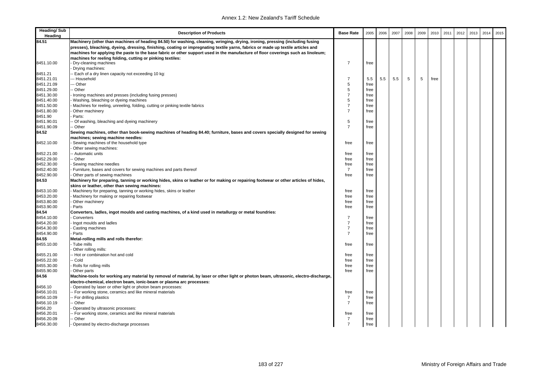| <b>Heading/Sub</b><br>Heading | <b>Description of Products</b>                                                                                                                                                                                | <b>Base Rate</b>                 | 2005         | 2006 | 2007 | 2008 | 2009 | 2010 | 2011 | 2012 | 2013 | 2014 | 2015 |
|-------------------------------|---------------------------------------------------------------------------------------------------------------------------------------------------------------------------------------------------------------|----------------------------------|--------------|------|------|------|------|------|------|------|------|------|------|
| 84.51                         | Machinery (other than machines of heading 84.50) for washing, cleaning, wringing, drying, ironing, pressing (including fusing                                                                                 |                                  |              |      |      |      |      |      |      |      |      |      |      |
|                               | presses), bleaching, dyeing, dressing, finishing, coating or impregnating textile yarns, fabrics or made up textile articles and                                                                              |                                  |              |      |      |      |      |      |      |      |      |      |      |
|                               | machines for applying the paste to the base fabric or other support used in the manufacture of floor coverings such as linoleum;                                                                              |                                  |              |      |      |      |      |      |      |      |      |      |      |
|                               | machines for reeling folding, cutting or pinking textiles:                                                                                                                                                    |                                  |              |      |      |      |      |      |      |      |      |      |      |
| 8451.10.00                    | Dry-cleaning machines                                                                                                                                                                                         | $\overline{7}$                   | free         |      |      |      |      |      |      |      |      |      |      |
|                               | Drying machines:                                                                                                                                                                                              |                                  |              |      |      |      |      |      |      |      |      |      |      |
| 8451.21                       | - Each of a dry linen capacity not exceeding 10 kg:                                                                                                                                                           |                                  |              |      |      |      |      |      |      |      |      |      |      |
| 8451.21.01                    | -- Household                                                                                                                                                                                                  | $\overline{7}$                   | 5.5          | 5.5  | 5.5  | 5    | 5    | free |      |      |      |      |      |
| 8451.21.09                    | -- Other                                                                                                                                                                                                      | 5                                | free         |      |      |      |      |      |      |      |      |      |      |
| 8451.29.00                    | - Other                                                                                                                                                                                                       | 5                                | free         |      |      |      |      |      |      |      |      |      |      |
| 8451.30.00                    | Ironing machines and presses (including fusing presses)                                                                                                                                                       | $\overline{7}$                   | free         |      |      |      |      |      |      |      |      |      |      |
| 8451.40.00                    | Washing, bleaching or dyeing machines                                                                                                                                                                         | 5                                | free         |      |      |      |      |      |      |      |      |      |      |
| 8451.50.00                    | Machines for reeling, unreeling, folding, cutting or pinking textile fabrics                                                                                                                                  | $\overline{7}$<br>$\overline{7}$ | free         |      |      |      |      |      |      |      |      |      |      |
| 8451.80.00                    | Other machinery                                                                                                                                                                                               |                                  | free         |      |      |      |      |      |      |      |      |      |      |
| 8451.90                       | Parts:                                                                                                                                                                                                        |                                  |              |      |      |      |      |      |      |      |      |      |      |
| 8451.90.01                    | - Of washing, bleaching and dyeing machinery                                                                                                                                                                  | $\,$ 5 $\,$<br>$\overline{7}$    | free         |      |      |      |      |      |      |      |      |      |      |
| 8451.90.09<br>84.52           | - Other                                                                                                                                                                                                       |                                  | free         |      |      |      |      |      |      |      |      |      |      |
|                               | Sewing machines, other than book-sewing machines of heading 84.40; furniture, bases and covers specially designed for sewing                                                                                  |                                  |              |      |      |      |      |      |      |      |      |      |      |
|                               | machines; sewing machine needles:                                                                                                                                                                             |                                  |              |      |      |      |      |      |      |      |      |      |      |
| 8452.10.00                    | Sewing machines of the household type                                                                                                                                                                         | free                             | free         |      |      |      |      |      |      |      |      |      |      |
| 8452.21.00                    | Other sewing machines:<br>- Automatic units                                                                                                                                                                   | free                             | free         |      |      |      |      |      |      |      |      |      |      |
| 8452.29.00                    | - Other                                                                                                                                                                                                       | free                             | free         |      |      |      |      |      |      |      |      |      |      |
| 8452.30.00                    | Sewing machine needles                                                                                                                                                                                        | free                             | free         |      |      |      |      |      |      |      |      |      |      |
| 8452.40.00                    | - Furniture, bases and covers for sewing machines and parts thereof                                                                                                                                           | $\overline{7}$                   | free         |      |      |      |      |      |      |      |      |      |      |
| 8452.90.00                    | Other parts of sewing machines                                                                                                                                                                                | free                             | free         |      |      |      |      |      |      |      |      |      |      |
| 84.53                         | Machinery for preparing, tanning or working hides, skins or leather or for making or repairing footwear or other articles of hides,                                                                           |                                  |              |      |      |      |      |      |      |      |      |      |      |
|                               | skins or leather, other than sewing machines:                                                                                                                                                                 |                                  |              |      |      |      |      |      |      |      |      |      |      |
| 8453.10.00                    | Machinery for preparing, tanning or working hides, skins or leather                                                                                                                                           | free                             | free         |      |      |      |      |      |      |      |      |      |      |
| 8453.20.00                    | Machinery for making or repairing footwear                                                                                                                                                                    | free                             | free         |      |      |      |      |      |      |      |      |      |      |
| 8453.80.00                    | Other machinery                                                                                                                                                                                               | free                             | free         |      |      |      |      |      |      |      |      |      |      |
| 8453.90.00                    | Parts                                                                                                                                                                                                         | free                             | free         |      |      |      |      |      |      |      |      |      |      |
| 84.54                         | Converters, ladles, ingot moulds and casting machines, of a kind used in metallurgy or metal foundries:                                                                                                       |                                  |              |      |      |      |      |      |      |      |      |      |      |
| 8454.10.00                    | Converters                                                                                                                                                                                                    | $\overline{7}$                   | free         |      |      |      |      |      |      |      |      |      |      |
| 8454.20.00                    | Ingot moulds and ladles                                                                                                                                                                                       | $\overline{7}$                   | free         |      |      |      |      |      |      |      |      |      |      |
| 8454.30.00                    | Casting machines                                                                                                                                                                                              | $\overline{7}$                   | free         |      |      |      |      |      |      |      |      |      |      |
| 8454.90.00                    | Parts                                                                                                                                                                                                         | $\overline{7}$                   | free         |      |      |      |      |      |      |      |      |      |      |
| 84.55                         | Metal-rolling mills and rolls therefor:                                                                                                                                                                       |                                  |              |      |      |      |      |      |      |      |      |      |      |
| 8455.10.00                    | Tube mills                                                                                                                                                                                                    | free                             | free         |      |      |      |      |      |      |      |      |      |      |
|                               | Other rolling mills:                                                                                                                                                                                          |                                  |              |      |      |      |      |      |      |      |      |      |      |
| 8455.21.00                    | -- Hot or combination hot and cold                                                                                                                                                                            | free                             | free         |      |      |      |      |      |      |      |      |      |      |
| 8455.22.00                    | - Cold                                                                                                                                                                                                        | free                             | free         |      |      |      |      |      |      |      |      |      |      |
| 8455.30.00                    | Rolls for rolling mills                                                                                                                                                                                       | free<br>free                     | free<br>free |      |      |      |      |      |      |      |      |      |      |
| 8455.90.00<br>84.56           | Other parts                                                                                                                                                                                                   |                                  |              |      |      |      |      |      |      |      |      |      |      |
|                               | Machine-tools for working any material by removal of material, by laser or other light or photon beam, ultrasonic, electro-discharge,<br>electro-chemical, electron beam, ionic-beam or plasma arc processes: |                                  |              |      |      |      |      |      |      |      |      |      |      |
| 8456.10                       | Operated by laser or other light or photon beam processes:                                                                                                                                                    |                                  |              |      |      |      |      |      |      |      |      |      |      |
| 8456.10.01                    | - For working stone, ceramics and like mineral materials                                                                                                                                                      | free                             | free         |      |      |      |      |      |      |      |      |      |      |
| 8456.10.09                    | - For drilling plastics                                                                                                                                                                                       | $\overline{7}$                   | free         |      |      |      |      |      |      |      |      |      |      |
| 8456.10.19                    | - Other                                                                                                                                                                                                       | $\overline{7}$                   | free         |      |      |      |      |      |      |      |      |      |      |
| 8456.20                       | Operated by ultrasonic processes:                                                                                                                                                                             |                                  |              |      |      |      |      |      |      |      |      |      |      |
| 8456.20.01                    | - For working stone, ceramics and like mineral materials                                                                                                                                                      | free                             | free         |      |      |      |      |      |      |      |      |      |      |
| 8456.20.09                    | - Other                                                                                                                                                                                                       | $\overline{7}$                   | free         |      |      |      |      |      |      |      |      |      |      |
| 8456.30.00                    | Operated by electro-discharge processes                                                                                                                                                                       | $\overline{7}$                   | free         |      |      |      |      |      |      |      |      |      |      |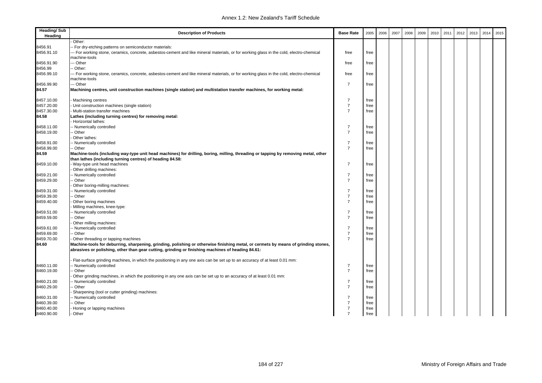| <b>Heading/Sub</b><br>Heading | <b>Description of Products</b>                                                                                                                                                                                                          | <b>Base Rate</b>                 | 2005 | 2006 | 2007 | 2008 | 2009 | 2010 | 2011 | 2012 | 2013 | 2014 | 2015 |
|-------------------------------|-----------------------------------------------------------------------------------------------------------------------------------------------------------------------------------------------------------------------------------------|----------------------------------|------|------|------|------|------|------|------|------|------|------|------|
|                               | Other:                                                                                                                                                                                                                                  |                                  |      |      |      |      |      |      |      |      |      |      |      |
| 8456.91                       | - For dry-etching patterns on semiconductor materials:                                                                                                                                                                                  |                                  |      |      |      |      |      |      |      |      |      |      |      |
| 8456.91.10                    | -- For working stone, ceramics, concrete, asbestos-cement and like mineral materials, or for working glass in the cold, electro-chemical<br>machine-tools                                                                               | free                             | free |      |      |      |      |      |      |      |      |      |      |
| 8456.91.90                    | - Other                                                                                                                                                                                                                                 | free                             | free |      |      |      |      |      |      |      |      |      |      |
| 8456.99                       | - Other:                                                                                                                                                                                                                                |                                  |      |      |      |      |      |      |      |      |      |      |      |
| 8456.99.10                    | -- For working stone, ceramics, concrete, asbestos-cement and like mineral materials, or for working glass in the cold, electro-chemical<br>machine-tools                                                                               | free                             | free |      |      |      |      |      |      |      |      |      |      |
| 8456.99.90                    | -- Other                                                                                                                                                                                                                                | 7                                |      |      |      |      |      |      |      |      |      |      |      |
| 84.57                         | Machining centres, unit construction machines (single station) and multistation transfer machines, for working metal:                                                                                                                   |                                  | free |      |      |      |      |      |      |      |      |      |      |
|                               |                                                                                                                                                                                                                                         |                                  |      |      |      |      |      |      |      |      |      |      |      |
| 8457.10.00                    | Machining centres                                                                                                                                                                                                                       | 7<br>$\overline{7}$              | free |      |      |      |      |      |      |      |      |      |      |
| 8457.20.00                    | Unit construction machines (single station)                                                                                                                                                                                             |                                  | free |      |      |      |      |      |      |      |      |      |      |
| 8457.30.00                    | Multi-station transfer machines                                                                                                                                                                                                         | $\overline{7}$                   | free |      |      |      |      |      |      |      |      |      |      |
| 84.58                         | Lathes (including turning centres) for removing metal:<br>Horizontal lathes:                                                                                                                                                            |                                  |      |      |      |      |      |      |      |      |      |      |      |
|                               |                                                                                                                                                                                                                                         | $\overline{7}$                   |      |      |      |      |      |      |      |      |      |      |      |
| 8458.11.00<br>8458.19.00      | - Numerically controlled                                                                                                                                                                                                                | $\overline{7}$                   | free |      |      |      |      |      |      |      |      |      |      |
|                               | - Other                                                                                                                                                                                                                                 |                                  | free |      |      |      |      |      |      |      |      |      |      |
|                               | Other lathes:                                                                                                                                                                                                                           | $\overline{7}$                   |      |      |      |      |      |      |      |      |      |      |      |
| 8458.91.00                    | - Numerically controlled                                                                                                                                                                                                                | $\overline{7}$                   | free |      |      |      |      |      |      |      |      |      |      |
| 8458.99.00                    | -- Other                                                                                                                                                                                                                                |                                  | free |      |      |      |      |      |      |      |      |      |      |
| 84.59                         | Machine-tools (including way-type unit head machines) for drilling, boring, milling, threading or tapping by removing metal, other                                                                                                      |                                  |      |      |      |      |      |      |      |      |      |      |      |
|                               | than lathes (including turning centres) of heading 84.58:                                                                                                                                                                               | $\overline{7}$                   |      |      |      |      |      |      |      |      |      |      |      |
| 8459.10.00                    | Way-type unit head machines                                                                                                                                                                                                             |                                  | free |      |      |      |      |      |      |      |      |      |      |
|                               | Other drilling machines:<br>- Numerically controlled                                                                                                                                                                                    | $\overline{7}$                   |      |      |      |      |      |      |      |      |      |      |      |
| 8459.21.00                    | - Other                                                                                                                                                                                                                                 | $\overline{7}$                   | free |      |      |      |      |      |      |      |      |      |      |
| 8459.29.00                    |                                                                                                                                                                                                                                         |                                  | free |      |      |      |      |      |      |      |      |      |      |
|                               | Other boring-milling machines:                                                                                                                                                                                                          |                                  |      |      |      |      |      |      |      |      |      |      |      |
| 8459.31.00                    | - Numerically controlled                                                                                                                                                                                                                | $\overline{7}$                   | free |      |      |      |      |      |      |      |      |      |      |
| 8459.39.00                    | - Other                                                                                                                                                                                                                                 | $\overline{7}$<br>$\overline{7}$ | free |      |      |      |      |      |      |      |      |      |      |
| 8459.40.00                    | Other boring machines                                                                                                                                                                                                                   |                                  | free |      |      |      |      |      |      |      |      |      |      |
|                               | Milling machines, knee-type:                                                                                                                                                                                                            |                                  |      |      |      |      |      |      |      |      |      |      |      |
| 8459.51.00                    | - Numerically controlled                                                                                                                                                                                                                | $\overline{7}$                   | free |      |      |      |      |      |      |      |      |      |      |
| 8459.59.00                    | - Other                                                                                                                                                                                                                                 | $\overline{7}$                   | free |      |      |      |      |      |      |      |      |      |      |
|                               | Other milling machines:                                                                                                                                                                                                                 |                                  |      |      |      |      |      |      |      |      |      |      |      |
| 8459.61.00                    | - Numerically controlled                                                                                                                                                                                                                | $\overline{7}$                   | free |      |      |      |      |      |      |      |      |      |      |
| 8459.69.00                    | - Other                                                                                                                                                                                                                                 | $\overline{7}$<br>$\overline{7}$ | free |      |      |      |      |      |      |      |      |      |      |
| 8459.70.00                    | Other threading or tapping machines                                                                                                                                                                                                     |                                  | free |      |      |      |      |      |      |      |      |      |      |
| 84.60                         | Machine-tools for deburring, sharpening, grinding, polishing or otherwise finishing metal, or cermets by means of grinding stones,<br>abrasives or polishing, other than gear cutting, grinding or finishing machines of heading 84.61: |                                  |      |      |      |      |      |      |      |      |      |      |      |
|                               | Flat-surface grinding machines, in which the positioning in any one axis can be set up to an accuracy of at least 0.01 mm:                                                                                                              |                                  |      |      |      |      |      |      |      |      |      |      |      |
| 8460.11.00                    | - Numerically controlled                                                                                                                                                                                                                | $\overline{7}$                   | free |      |      |      |      |      |      |      |      |      |      |
| 8460.19.00                    | - Other                                                                                                                                                                                                                                 | $\overline{7}$                   | free |      |      |      |      |      |      |      |      |      |      |
|                               | Other grinding machines, in which the positioning in any one axis can be set up to an accuracy of at least 0.01 mm:                                                                                                                     |                                  |      |      |      |      |      |      |      |      |      |      |      |
| 8460.21.00                    | - Numerically controlled                                                                                                                                                                                                                | $\overline{7}$                   | free |      |      |      |      |      |      |      |      |      |      |
| 8460.29.00                    | - Other                                                                                                                                                                                                                                 | $\overline{7}$                   | free |      |      |      |      |      |      |      |      |      |      |
|                               | Sharpening (tool or cutter grinding) machines:                                                                                                                                                                                          |                                  |      |      |      |      |      |      |      |      |      |      |      |
| 8460.31.00                    | - Numerically controlled                                                                                                                                                                                                                | $\overline{7}$                   | free |      |      |      |      |      |      |      |      |      |      |
| 8460.39.00                    | - Other                                                                                                                                                                                                                                 | $\overline{7}$                   | free |      |      |      |      |      |      |      |      |      |      |
| 8460.40.00                    | Honing or lapping machines                                                                                                                                                                                                              | $\overline{7}$                   | free |      |      |      |      |      |      |      |      |      |      |
| 8460.90.00                    | Other                                                                                                                                                                                                                                   | $\overline{7}$                   | free |      |      |      |      |      |      |      |      |      |      |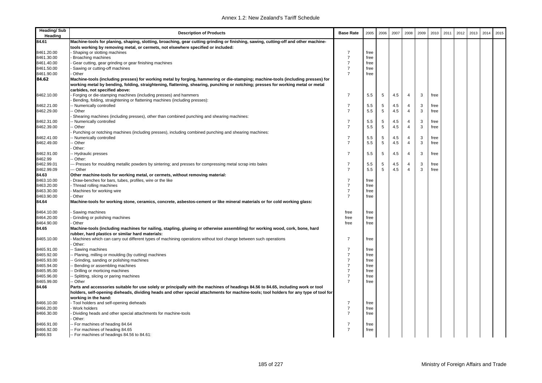| 84.61<br>Machine-tools for planing, shaping, slotting, broaching, gear cutting grinding or finishing, sawing, cutting-off and other machine-<br>tools working by removing metal, or cermets, not elsewhere specified or included:<br>$\overline{7}$<br>8461.20.00<br>Shaping or slotting machines<br>free<br>$\overline{7}$<br>8461.30.00<br>Broaching machines<br>free<br>$\overline{7}$<br>8461.40.00<br>Gear cutting, gear grinding or gear finishing machines<br>free<br>$\overline{7}$<br>8461.50.00<br>Sawing or cutting-off machines<br>free<br>8461.90.00<br>$\overline{7}$<br>Other<br>free<br>84.62<br>Machine-tools (including presses) for working metal by forging, hammering or die-stamping; machine-tools (including presses) for<br>working metal by bending, folding, straightening, flattening, shearing, punching or notching; presses for working metal or metal<br>carbides, not specified above:<br>$\overline{7}$<br>8462.10.00<br>Forging or die-stamping machines (including presses) and hammers<br>5<br>3<br>5.5<br>4.5<br>$\overline{4}$<br>free<br>Bending, folding, straightening or flattening machines (including presses):<br>$\overline{7}$<br>$\,$ 5 $\,$<br>3<br>8462.21.00<br>- Numerically controlled<br>4.5<br>4<br>free<br>5.5<br>5<br>8462.29.00<br>Other<br>$\overline{7}$<br>5.5<br>4.5<br>$\overline{4}$<br>3<br>free<br>Shearing machines (including presses), other than combined punching and shearing machines:<br>$\overline{7}$<br>5<br>3<br>8462.31.00<br>Numerically controlled<br>4.5<br>$\overline{4}$<br>5.5<br>free<br>$\overline{7}$<br>5<br>$\overline{4}$<br>3<br>8462.39.00<br>5.5<br>4.5<br>Other<br>free<br>Punching or notching machines (including presses), including combined punching and shearing machines:<br>$\overline{7}$<br>3<br>8462.41.00<br>- Numerically controlled<br>5<br>$\overline{4}$<br>5.5<br>4.5<br>free<br>5<br>$\overline{7}$<br>$\overline{4}$<br>3<br>8462.49.00<br>5.5<br>4.5<br>Other<br>free<br>Other:<br>$\overline{7}$<br>8462.91.00<br>5<br>4.5<br>4<br>3<br>- Hydraulic presses<br>5.5<br>free<br>8462.99<br>- Other:<br>8462.99.01<br>$\overline{7}$<br>3<br>- Presses for moulding metallic powders by sintering; and presses for compressing metal scrap into bales<br>5<br>4.5<br>$\overline{4}$<br>free<br>5.5<br>8462.99.09<br>5<br>$\overline{4}$<br>3<br>-- Other<br>$\overline{7}$<br>4.5<br>free<br>5.5<br>84.63<br>Other machine-tools for working metal, or cermets, without removing material:<br>8463.10.00<br>$\overline{7}$<br>Draw-benches for bars, tubes, profiles, wire or the like<br>free<br>$\overline{7}$<br>8463.20.00<br>Thread rolling machines<br>free<br>$\overline{7}$<br>8463.30.00<br>Machines for working wire<br>free<br>8463.90.00<br>$\overline{7}$<br>Other<br>free<br>84.64<br>Machine-tools for working stone, ceramics, concrete, asbestos-cement or like mineral materials or for cold working glass:<br>8464.10.00<br>Sawing machines<br>free<br>free<br>8464.20.00<br>Grinding or polishing machines<br>free<br>free<br>8464.90.00<br>Other<br>free<br>free<br>84.65<br>Machine-tools (including machines for nailing, stapling, glueing or otherwise assembling) for working wood, cork, bone, hard<br>rubber, hard plastics or similar hard materials:<br>$\overline{7}$<br>8465.10.00<br>Machines which can carry out different types of machining operations without tool change between such operations<br>free<br>Other:<br>8465.91.00<br>$\overline{7}$<br>- Sawing machines<br>free<br>8465.92.00<br>$\overline{7}$<br>Planing, milling or moulding (by cutting) machines<br>free<br>8465.93.00<br>Grinding, sanding or polishing machines<br>$\overline{7}$<br>free<br>8465.94.00<br>$\overline{7}$<br>Bending or assembling machines<br>free<br>$\overline{7}$<br>8465.95.00<br>Drilling or morticing machines<br>free<br>$\overline{7}$<br>8465.96.00<br>Splitting, slicing or paring machines<br>free<br>$\overline{7}$<br>8465.99.00<br>Other<br>free<br>84.66<br>Parts and accessories suitable for use solely or principally with the machines of headings 84.56 to 84.65, including work or tool<br>holders, self-opening dieheads, dividing heads and other special attachments for machine-tools; tool holders for any type of tool for<br>working in the hand:<br>- Tool holders and self-opening dieheads<br>$\overline{7}$<br>8466.10.00<br>free<br>8466.20.00<br>$\overline{7}$<br>Work holders<br>free<br>8466.30.00<br>$\overline{7}$<br>Dividing heads and other special attachments for machine-tools<br>free<br>Other:<br>$\overline{7}$<br>8466.91.00<br>- For machines of heading 84.64<br>free<br>8466.92.00<br>$\overline{7}$<br>-- For machines of heading 84.65<br>free | <b>Heading/Sub</b><br>Heading | <b>Description of Products</b>              | <b>Base Rate</b> | 2005 | 2006 | 2007 | 2008 | 2009 | 2010 | 2011 | 2012 | 2013 | 2014 | 2015 |
|------------------------------------------------------------------------------------------------------------------------------------------------------------------------------------------------------------------------------------------------------------------------------------------------------------------------------------------------------------------------------------------------------------------------------------------------------------------------------------------------------------------------------------------------------------------------------------------------------------------------------------------------------------------------------------------------------------------------------------------------------------------------------------------------------------------------------------------------------------------------------------------------------------------------------------------------------------------------------------------------------------------------------------------------------------------------------------------------------------------------------------------------------------------------------------------------------------------------------------------------------------------------------------------------------------------------------------------------------------------------------------------------------------------------------------------------------------------------------------------------------------------------------------------------------------------------------------------------------------------------------------------------------------------------------------------------------------------------------------------------------------------------------------------------------------------------------------------------------------------------------------------------------------------------------------------------------------------------------------------------------------------------------------------------------------------------------------------------------------------------------------------------------------------------------------------------------------------------------------------------------------------------------------------------------------------------------------------------------------------------------------------------------------------------------------------------------------------------------------------------------------------------------------------------------------------------------------------------------------------------------------------------------------------------------------------------------------------------------------------------------------------------------------------------------------------------------------------------------------------------------------------------------------------------------------------------------------------------------------------------------------------------------------------------------------------------------------------------------------------------------------------------------------------------------------------------------------------------------------------------------------------------------------------------------------------------------------------------------------------------------------------------------------------------------------------------------------------------------------------------------------------------------------------------------------------------------------------------------------------------------------------------------------------------------------------------------------------------------------------------------------------------------------------------------------------------------------------------------------------------------------------------------------------------------------------------------------------------------------------------------------------------------------------------------------------------------------------------------------------------------------------------------------------------------------------------------------------------------------------------------------------------------------------------------------------------------------------------------------------------------------------------------------------------------------------------------------------------------------------------------------------------------------------------------------------------------------------------------------------------------------------------------------------------------------------------------------------------------------------------------|-------------------------------|---------------------------------------------|------------------|------|------|------|------|------|------|------|------|------|------|------|
|                                                                                                                                                                                                                                                                                                                                                                                                                                                                                                                                                                                                                                                                                                                                                                                                                                                                                                                                                                                                                                                                                                                                                                                                                                                                                                                                                                                                                                                                                                                                                                                                                                                                                                                                                                                                                                                                                                                                                                                                                                                                                                                                                                                                                                                                                                                                                                                                                                                                                                                                                                                                                                                                                                                                                                                                                                                                                                                                                                                                                                                                                                                                                                                                                                                                                                                                                                                                                                                                                                                                                                                                                                                                                                                                                                                                                                                                                                                                                                                                                                                                                                                                                                                                                                                                                                                                                                                                                                                                                                                                                                                                                                                                                                                                                      |                               |                                             |                  |      |      |      |      |      |      |      |      |      |      |      |
|                                                                                                                                                                                                                                                                                                                                                                                                                                                                                                                                                                                                                                                                                                                                                                                                                                                                                                                                                                                                                                                                                                                                                                                                                                                                                                                                                                                                                                                                                                                                                                                                                                                                                                                                                                                                                                                                                                                                                                                                                                                                                                                                                                                                                                                                                                                                                                                                                                                                                                                                                                                                                                                                                                                                                                                                                                                                                                                                                                                                                                                                                                                                                                                                                                                                                                                                                                                                                                                                                                                                                                                                                                                                                                                                                                                                                                                                                                                                                                                                                                                                                                                                                                                                                                                                                                                                                                                                                                                                                                                                                                                                                                                                                                                                                      |                               |                                             |                  |      |      |      |      |      |      |      |      |      |      |      |
|                                                                                                                                                                                                                                                                                                                                                                                                                                                                                                                                                                                                                                                                                                                                                                                                                                                                                                                                                                                                                                                                                                                                                                                                                                                                                                                                                                                                                                                                                                                                                                                                                                                                                                                                                                                                                                                                                                                                                                                                                                                                                                                                                                                                                                                                                                                                                                                                                                                                                                                                                                                                                                                                                                                                                                                                                                                                                                                                                                                                                                                                                                                                                                                                                                                                                                                                                                                                                                                                                                                                                                                                                                                                                                                                                                                                                                                                                                                                                                                                                                                                                                                                                                                                                                                                                                                                                                                                                                                                                                                                                                                                                                                                                                                                                      |                               |                                             |                  |      |      |      |      |      |      |      |      |      |      |      |
|                                                                                                                                                                                                                                                                                                                                                                                                                                                                                                                                                                                                                                                                                                                                                                                                                                                                                                                                                                                                                                                                                                                                                                                                                                                                                                                                                                                                                                                                                                                                                                                                                                                                                                                                                                                                                                                                                                                                                                                                                                                                                                                                                                                                                                                                                                                                                                                                                                                                                                                                                                                                                                                                                                                                                                                                                                                                                                                                                                                                                                                                                                                                                                                                                                                                                                                                                                                                                                                                                                                                                                                                                                                                                                                                                                                                                                                                                                                                                                                                                                                                                                                                                                                                                                                                                                                                                                                                                                                                                                                                                                                                                                                                                                                                                      |                               |                                             |                  |      |      |      |      |      |      |      |      |      |      |      |
|                                                                                                                                                                                                                                                                                                                                                                                                                                                                                                                                                                                                                                                                                                                                                                                                                                                                                                                                                                                                                                                                                                                                                                                                                                                                                                                                                                                                                                                                                                                                                                                                                                                                                                                                                                                                                                                                                                                                                                                                                                                                                                                                                                                                                                                                                                                                                                                                                                                                                                                                                                                                                                                                                                                                                                                                                                                                                                                                                                                                                                                                                                                                                                                                                                                                                                                                                                                                                                                                                                                                                                                                                                                                                                                                                                                                                                                                                                                                                                                                                                                                                                                                                                                                                                                                                                                                                                                                                                                                                                                                                                                                                                                                                                                                                      |                               |                                             |                  |      |      |      |      |      |      |      |      |      |      |      |
|                                                                                                                                                                                                                                                                                                                                                                                                                                                                                                                                                                                                                                                                                                                                                                                                                                                                                                                                                                                                                                                                                                                                                                                                                                                                                                                                                                                                                                                                                                                                                                                                                                                                                                                                                                                                                                                                                                                                                                                                                                                                                                                                                                                                                                                                                                                                                                                                                                                                                                                                                                                                                                                                                                                                                                                                                                                                                                                                                                                                                                                                                                                                                                                                                                                                                                                                                                                                                                                                                                                                                                                                                                                                                                                                                                                                                                                                                                                                                                                                                                                                                                                                                                                                                                                                                                                                                                                                                                                                                                                                                                                                                                                                                                                                                      |                               |                                             |                  |      |      |      |      |      |      |      |      |      |      |      |
|                                                                                                                                                                                                                                                                                                                                                                                                                                                                                                                                                                                                                                                                                                                                                                                                                                                                                                                                                                                                                                                                                                                                                                                                                                                                                                                                                                                                                                                                                                                                                                                                                                                                                                                                                                                                                                                                                                                                                                                                                                                                                                                                                                                                                                                                                                                                                                                                                                                                                                                                                                                                                                                                                                                                                                                                                                                                                                                                                                                                                                                                                                                                                                                                                                                                                                                                                                                                                                                                                                                                                                                                                                                                                                                                                                                                                                                                                                                                                                                                                                                                                                                                                                                                                                                                                                                                                                                                                                                                                                                                                                                                                                                                                                                                                      |                               |                                             |                  |      |      |      |      |      |      |      |      |      |      |      |
|                                                                                                                                                                                                                                                                                                                                                                                                                                                                                                                                                                                                                                                                                                                                                                                                                                                                                                                                                                                                                                                                                                                                                                                                                                                                                                                                                                                                                                                                                                                                                                                                                                                                                                                                                                                                                                                                                                                                                                                                                                                                                                                                                                                                                                                                                                                                                                                                                                                                                                                                                                                                                                                                                                                                                                                                                                                                                                                                                                                                                                                                                                                                                                                                                                                                                                                                                                                                                                                                                                                                                                                                                                                                                                                                                                                                                                                                                                                                                                                                                                                                                                                                                                                                                                                                                                                                                                                                                                                                                                                                                                                                                                                                                                                                                      |                               |                                             |                  |      |      |      |      |      |      |      |      |      |      |      |
|                                                                                                                                                                                                                                                                                                                                                                                                                                                                                                                                                                                                                                                                                                                                                                                                                                                                                                                                                                                                                                                                                                                                                                                                                                                                                                                                                                                                                                                                                                                                                                                                                                                                                                                                                                                                                                                                                                                                                                                                                                                                                                                                                                                                                                                                                                                                                                                                                                                                                                                                                                                                                                                                                                                                                                                                                                                                                                                                                                                                                                                                                                                                                                                                                                                                                                                                                                                                                                                                                                                                                                                                                                                                                                                                                                                                                                                                                                                                                                                                                                                                                                                                                                                                                                                                                                                                                                                                                                                                                                                                                                                                                                                                                                                                                      |                               |                                             |                  |      |      |      |      |      |      |      |      |      |      |      |
|                                                                                                                                                                                                                                                                                                                                                                                                                                                                                                                                                                                                                                                                                                                                                                                                                                                                                                                                                                                                                                                                                                                                                                                                                                                                                                                                                                                                                                                                                                                                                                                                                                                                                                                                                                                                                                                                                                                                                                                                                                                                                                                                                                                                                                                                                                                                                                                                                                                                                                                                                                                                                                                                                                                                                                                                                                                                                                                                                                                                                                                                                                                                                                                                                                                                                                                                                                                                                                                                                                                                                                                                                                                                                                                                                                                                                                                                                                                                                                                                                                                                                                                                                                                                                                                                                                                                                                                                                                                                                                                                                                                                                                                                                                                                                      |                               |                                             |                  |      |      |      |      |      |      |      |      |      |      |      |
|                                                                                                                                                                                                                                                                                                                                                                                                                                                                                                                                                                                                                                                                                                                                                                                                                                                                                                                                                                                                                                                                                                                                                                                                                                                                                                                                                                                                                                                                                                                                                                                                                                                                                                                                                                                                                                                                                                                                                                                                                                                                                                                                                                                                                                                                                                                                                                                                                                                                                                                                                                                                                                                                                                                                                                                                                                                                                                                                                                                                                                                                                                                                                                                                                                                                                                                                                                                                                                                                                                                                                                                                                                                                                                                                                                                                                                                                                                                                                                                                                                                                                                                                                                                                                                                                                                                                                                                                                                                                                                                                                                                                                                                                                                                                                      |                               |                                             |                  |      |      |      |      |      |      |      |      |      |      |      |
|                                                                                                                                                                                                                                                                                                                                                                                                                                                                                                                                                                                                                                                                                                                                                                                                                                                                                                                                                                                                                                                                                                                                                                                                                                                                                                                                                                                                                                                                                                                                                                                                                                                                                                                                                                                                                                                                                                                                                                                                                                                                                                                                                                                                                                                                                                                                                                                                                                                                                                                                                                                                                                                                                                                                                                                                                                                                                                                                                                                                                                                                                                                                                                                                                                                                                                                                                                                                                                                                                                                                                                                                                                                                                                                                                                                                                                                                                                                                                                                                                                                                                                                                                                                                                                                                                                                                                                                                                                                                                                                                                                                                                                                                                                                                                      |                               |                                             |                  |      |      |      |      |      |      |      |      |      |      |      |
|                                                                                                                                                                                                                                                                                                                                                                                                                                                                                                                                                                                                                                                                                                                                                                                                                                                                                                                                                                                                                                                                                                                                                                                                                                                                                                                                                                                                                                                                                                                                                                                                                                                                                                                                                                                                                                                                                                                                                                                                                                                                                                                                                                                                                                                                                                                                                                                                                                                                                                                                                                                                                                                                                                                                                                                                                                                                                                                                                                                                                                                                                                                                                                                                                                                                                                                                                                                                                                                                                                                                                                                                                                                                                                                                                                                                                                                                                                                                                                                                                                                                                                                                                                                                                                                                                                                                                                                                                                                                                                                                                                                                                                                                                                                                                      |                               |                                             |                  |      |      |      |      |      |      |      |      |      |      |      |
|                                                                                                                                                                                                                                                                                                                                                                                                                                                                                                                                                                                                                                                                                                                                                                                                                                                                                                                                                                                                                                                                                                                                                                                                                                                                                                                                                                                                                                                                                                                                                                                                                                                                                                                                                                                                                                                                                                                                                                                                                                                                                                                                                                                                                                                                                                                                                                                                                                                                                                                                                                                                                                                                                                                                                                                                                                                                                                                                                                                                                                                                                                                                                                                                                                                                                                                                                                                                                                                                                                                                                                                                                                                                                                                                                                                                                                                                                                                                                                                                                                                                                                                                                                                                                                                                                                                                                                                                                                                                                                                                                                                                                                                                                                                                                      |                               |                                             |                  |      |      |      |      |      |      |      |      |      |      |      |
|                                                                                                                                                                                                                                                                                                                                                                                                                                                                                                                                                                                                                                                                                                                                                                                                                                                                                                                                                                                                                                                                                                                                                                                                                                                                                                                                                                                                                                                                                                                                                                                                                                                                                                                                                                                                                                                                                                                                                                                                                                                                                                                                                                                                                                                                                                                                                                                                                                                                                                                                                                                                                                                                                                                                                                                                                                                                                                                                                                                                                                                                                                                                                                                                                                                                                                                                                                                                                                                                                                                                                                                                                                                                                                                                                                                                                                                                                                                                                                                                                                                                                                                                                                                                                                                                                                                                                                                                                                                                                                                                                                                                                                                                                                                                                      |                               |                                             |                  |      |      |      |      |      |      |      |      |      |      |      |
|                                                                                                                                                                                                                                                                                                                                                                                                                                                                                                                                                                                                                                                                                                                                                                                                                                                                                                                                                                                                                                                                                                                                                                                                                                                                                                                                                                                                                                                                                                                                                                                                                                                                                                                                                                                                                                                                                                                                                                                                                                                                                                                                                                                                                                                                                                                                                                                                                                                                                                                                                                                                                                                                                                                                                                                                                                                                                                                                                                                                                                                                                                                                                                                                                                                                                                                                                                                                                                                                                                                                                                                                                                                                                                                                                                                                                                                                                                                                                                                                                                                                                                                                                                                                                                                                                                                                                                                                                                                                                                                                                                                                                                                                                                                                                      |                               |                                             |                  |      |      |      |      |      |      |      |      |      |      |      |
|                                                                                                                                                                                                                                                                                                                                                                                                                                                                                                                                                                                                                                                                                                                                                                                                                                                                                                                                                                                                                                                                                                                                                                                                                                                                                                                                                                                                                                                                                                                                                                                                                                                                                                                                                                                                                                                                                                                                                                                                                                                                                                                                                                                                                                                                                                                                                                                                                                                                                                                                                                                                                                                                                                                                                                                                                                                                                                                                                                                                                                                                                                                                                                                                                                                                                                                                                                                                                                                                                                                                                                                                                                                                                                                                                                                                                                                                                                                                                                                                                                                                                                                                                                                                                                                                                                                                                                                                                                                                                                                                                                                                                                                                                                                                                      |                               |                                             |                  |      |      |      |      |      |      |      |      |      |      |      |
|                                                                                                                                                                                                                                                                                                                                                                                                                                                                                                                                                                                                                                                                                                                                                                                                                                                                                                                                                                                                                                                                                                                                                                                                                                                                                                                                                                                                                                                                                                                                                                                                                                                                                                                                                                                                                                                                                                                                                                                                                                                                                                                                                                                                                                                                                                                                                                                                                                                                                                                                                                                                                                                                                                                                                                                                                                                                                                                                                                                                                                                                                                                                                                                                                                                                                                                                                                                                                                                                                                                                                                                                                                                                                                                                                                                                                                                                                                                                                                                                                                                                                                                                                                                                                                                                                                                                                                                                                                                                                                                                                                                                                                                                                                                                                      |                               |                                             |                  |      |      |      |      |      |      |      |      |      |      |      |
|                                                                                                                                                                                                                                                                                                                                                                                                                                                                                                                                                                                                                                                                                                                                                                                                                                                                                                                                                                                                                                                                                                                                                                                                                                                                                                                                                                                                                                                                                                                                                                                                                                                                                                                                                                                                                                                                                                                                                                                                                                                                                                                                                                                                                                                                                                                                                                                                                                                                                                                                                                                                                                                                                                                                                                                                                                                                                                                                                                                                                                                                                                                                                                                                                                                                                                                                                                                                                                                                                                                                                                                                                                                                                                                                                                                                                                                                                                                                                                                                                                                                                                                                                                                                                                                                                                                                                                                                                                                                                                                                                                                                                                                                                                                                                      |                               |                                             |                  |      |      |      |      |      |      |      |      |      |      |      |
|                                                                                                                                                                                                                                                                                                                                                                                                                                                                                                                                                                                                                                                                                                                                                                                                                                                                                                                                                                                                                                                                                                                                                                                                                                                                                                                                                                                                                                                                                                                                                                                                                                                                                                                                                                                                                                                                                                                                                                                                                                                                                                                                                                                                                                                                                                                                                                                                                                                                                                                                                                                                                                                                                                                                                                                                                                                                                                                                                                                                                                                                                                                                                                                                                                                                                                                                                                                                                                                                                                                                                                                                                                                                                                                                                                                                                                                                                                                                                                                                                                                                                                                                                                                                                                                                                                                                                                                                                                                                                                                                                                                                                                                                                                                                                      |                               |                                             |                  |      |      |      |      |      |      |      |      |      |      |      |
|                                                                                                                                                                                                                                                                                                                                                                                                                                                                                                                                                                                                                                                                                                                                                                                                                                                                                                                                                                                                                                                                                                                                                                                                                                                                                                                                                                                                                                                                                                                                                                                                                                                                                                                                                                                                                                                                                                                                                                                                                                                                                                                                                                                                                                                                                                                                                                                                                                                                                                                                                                                                                                                                                                                                                                                                                                                                                                                                                                                                                                                                                                                                                                                                                                                                                                                                                                                                                                                                                                                                                                                                                                                                                                                                                                                                                                                                                                                                                                                                                                                                                                                                                                                                                                                                                                                                                                                                                                                                                                                                                                                                                                                                                                                                                      |                               |                                             |                  |      |      |      |      |      |      |      |      |      |      |      |
|                                                                                                                                                                                                                                                                                                                                                                                                                                                                                                                                                                                                                                                                                                                                                                                                                                                                                                                                                                                                                                                                                                                                                                                                                                                                                                                                                                                                                                                                                                                                                                                                                                                                                                                                                                                                                                                                                                                                                                                                                                                                                                                                                                                                                                                                                                                                                                                                                                                                                                                                                                                                                                                                                                                                                                                                                                                                                                                                                                                                                                                                                                                                                                                                                                                                                                                                                                                                                                                                                                                                                                                                                                                                                                                                                                                                                                                                                                                                                                                                                                                                                                                                                                                                                                                                                                                                                                                                                                                                                                                                                                                                                                                                                                                                                      |                               |                                             |                  |      |      |      |      |      |      |      |      |      |      |      |
|                                                                                                                                                                                                                                                                                                                                                                                                                                                                                                                                                                                                                                                                                                                                                                                                                                                                                                                                                                                                                                                                                                                                                                                                                                                                                                                                                                                                                                                                                                                                                                                                                                                                                                                                                                                                                                                                                                                                                                                                                                                                                                                                                                                                                                                                                                                                                                                                                                                                                                                                                                                                                                                                                                                                                                                                                                                                                                                                                                                                                                                                                                                                                                                                                                                                                                                                                                                                                                                                                                                                                                                                                                                                                                                                                                                                                                                                                                                                                                                                                                                                                                                                                                                                                                                                                                                                                                                                                                                                                                                                                                                                                                                                                                                                                      |                               |                                             |                  |      |      |      |      |      |      |      |      |      |      |      |
|                                                                                                                                                                                                                                                                                                                                                                                                                                                                                                                                                                                                                                                                                                                                                                                                                                                                                                                                                                                                                                                                                                                                                                                                                                                                                                                                                                                                                                                                                                                                                                                                                                                                                                                                                                                                                                                                                                                                                                                                                                                                                                                                                                                                                                                                                                                                                                                                                                                                                                                                                                                                                                                                                                                                                                                                                                                                                                                                                                                                                                                                                                                                                                                                                                                                                                                                                                                                                                                                                                                                                                                                                                                                                                                                                                                                                                                                                                                                                                                                                                                                                                                                                                                                                                                                                                                                                                                                                                                                                                                                                                                                                                                                                                                                                      |                               |                                             |                  |      |      |      |      |      |      |      |      |      |      |      |
|                                                                                                                                                                                                                                                                                                                                                                                                                                                                                                                                                                                                                                                                                                                                                                                                                                                                                                                                                                                                                                                                                                                                                                                                                                                                                                                                                                                                                                                                                                                                                                                                                                                                                                                                                                                                                                                                                                                                                                                                                                                                                                                                                                                                                                                                                                                                                                                                                                                                                                                                                                                                                                                                                                                                                                                                                                                                                                                                                                                                                                                                                                                                                                                                                                                                                                                                                                                                                                                                                                                                                                                                                                                                                                                                                                                                                                                                                                                                                                                                                                                                                                                                                                                                                                                                                                                                                                                                                                                                                                                                                                                                                                                                                                                                                      |                               |                                             |                  |      |      |      |      |      |      |      |      |      |      |      |
|                                                                                                                                                                                                                                                                                                                                                                                                                                                                                                                                                                                                                                                                                                                                                                                                                                                                                                                                                                                                                                                                                                                                                                                                                                                                                                                                                                                                                                                                                                                                                                                                                                                                                                                                                                                                                                                                                                                                                                                                                                                                                                                                                                                                                                                                                                                                                                                                                                                                                                                                                                                                                                                                                                                                                                                                                                                                                                                                                                                                                                                                                                                                                                                                                                                                                                                                                                                                                                                                                                                                                                                                                                                                                                                                                                                                                                                                                                                                                                                                                                                                                                                                                                                                                                                                                                                                                                                                                                                                                                                                                                                                                                                                                                                                                      |                               |                                             |                  |      |      |      |      |      |      |      |      |      |      |      |
|                                                                                                                                                                                                                                                                                                                                                                                                                                                                                                                                                                                                                                                                                                                                                                                                                                                                                                                                                                                                                                                                                                                                                                                                                                                                                                                                                                                                                                                                                                                                                                                                                                                                                                                                                                                                                                                                                                                                                                                                                                                                                                                                                                                                                                                                                                                                                                                                                                                                                                                                                                                                                                                                                                                                                                                                                                                                                                                                                                                                                                                                                                                                                                                                                                                                                                                                                                                                                                                                                                                                                                                                                                                                                                                                                                                                                                                                                                                                                                                                                                                                                                                                                                                                                                                                                                                                                                                                                                                                                                                                                                                                                                                                                                                                                      |                               |                                             |                  |      |      |      |      |      |      |      |      |      |      |      |
|                                                                                                                                                                                                                                                                                                                                                                                                                                                                                                                                                                                                                                                                                                                                                                                                                                                                                                                                                                                                                                                                                                                                                                                                                                                                                                                                                                                                                                                                                                                                                                                                                                                                                                                                                                                                                                                                                                                                                                                                                                                                                                                                                                                                                                                                                                                                                                                                                                                                                                                                                                                                                                                                                                                                                                                                                                                                                                                                                                                                                                                                                                                                                                                                                                                                                                                                                                                                                                                                                                                                                                                                                                                                                                                                                                                                                                                                                                                                                                                                                                                                                                                                                                                                                                                                                                                                                                                                                                                                                                                                                                                                                                                                                                                                                      |                               |                                             |                  |      |      |      |      |      |      |      |      |      |      |      |
|                                                                                                                                                                                                                                                                                                                                                                                                                                                                                                                                                                                                                                                                                                                                                                                                                                                                                                                                                                                                                                                                                                                                                                                                                                                                                                                                                                                                                                                                                                                                                                                                                                                                                                                                                                                                                                                                                                                                                                                                                                                                                                                                                                                                                                                                                                                                                                                                                                                                                                                                                                                                                                                                                                                                                                                                                                                                                                                                                                                                                                                                                                                                                                                                                                                                                                                                                                                                                                                                                                                                                                                                                                                                                                                                                                                                                                                                                                                                                                                                                                                                                                                                                                                                                                                                                                                                                                                                                                                                                                                                                                                                                                                                                                                                                      |                               |                                             |                  |      |      |      |      |      |      |      |      |      |      |      |
|                                                                                                                                                                                                                                                                                                                                                                                                                                                                                                                                                                                                                                                                                                                                                                                                                                                                                                                                                                                                                                                                                                                                                                                                                                                                                                                                                                                                                                                                                                                                                                                                                                                                                                                                                                                                                                                                                                                                                                                                                                                                                                                                                                                                                                                                                                                                                                                                                                                                                                                                                                                                                                                                                                                                                                                                                                                                                                                                                                                                                                                                                                                                                                                                                                                                                                                                                                                                                                                                                                                                                                                                                                                                                                                                                                                                                                                                                                                                                                                                                                                                                                                                                                                                                                                                                                                                                                                                                                                                                                                                                                                                                                                                                                                                                      |                               |                                             |                  |      |      |      |      |      |      |      |      |      |      |      |
|                                                                                                                                                                                                                                                                                                                                                                                                                                                                                                                                                                                                                                                                                                                                                                                                                                                                                                                                                                                                                                                                                                                                                                                                                                                                                                                                                                                                                                                                                                                                                                                                                                                                                                                                                                                                                                                                                                                                                                                                                                                                                                                                                                                                                                                                                                                                                                                                                                                                                                                                                                                                                                                                                                                                                                                                                                                                                                                                                                                                                                                                                                                                                                                                                                                                                                                                                                                                                                                                                                                                                                                                                                                                                                                                                                                                                                                                                                                                                                                                                                                                                                                                                                                                                                                                                                                                                                                                                                                                                                                                                                                                                                                                                                                                                      |                               |                                             |                  |      |      |      |      |      |      |      |      |      |      |      |
|                                                                                                                                                                                                                                                                                                                                                                                                                                                                                                                                                                                                                                                                                                                                                                                                                                                                                                                                                                                                                                                                                                                                                                                                                                                                                                                                                                                                                                                                                                                                                                                                                                                                                                                                                                                                                                                                                                                                                                                                                                                                                                                                                                                                                                                                                                                                                                                                                                                                                                                                                                                                                                                                                                                                                                                                                                                                                                                                                                                                                                                                                                                                                                                                                                                                                                                                                                                                                                                                                                                                                                                                                                                                                                                                                                                                                                                                                                                                                                                                                                                                                                                                                                                                                                                                                                                                                                                                                                                                                                                                                                                                                                                                                                                                                      |                               |                                             |                  |      |      |      |      |      |      |      |      |      |      |      |
|                                                                                                                                                                                                                                                                                                                                                                                                                                                                                                                                                                                                                                                                                                                                                                                                                                                                                                                                                                                                                                                                                                                                                                                                                                                                                                                                                                                                                                                                                                                                                                                                                                                                                                                                                                                                                                                                                                                                                                                                                                                                                                                                                                                                                                                                                                                                                                                                                                                                                                                                                                                                                                                                                                                                                                                                                                                                                                                                                                                                                                                                                                                                                                                                                                                                                                                                                                                                                                                                                                                                                                                                                                                                                                                                                                                                                                                                                                                                                                                                                                                                                                                                                                                                                                                                                                                                                                                                                                                                                                                                                                                                                                                                                                                                                      |                               |                                             |                  |      |      |      |      |      |      |      |      |      |      |      |
|                                                                                                                                                                                                                                                                                                                                                                                                                                                                                                                                                                                                                                                                                                                                                                                                                                                                                                                                                                                                                                                                                                                                                                                                                                                                                                                                                                                                                                                                                                                                                                                                                                                                                                                                                                                                                                                                                                                                                                                                                                                                                                                                                                                                                                                                                                                                                                                                                                                                                                                                                                                                                                                                                                                                                                                                                                                                                                                                                                                                                                                                                                                                                                                                                                                                                                                                                                                                                                                                                                                                                                                                                                                                                                                                                                                                                                                                                                                                                                                                                                                                                                                                                                                                                                                                                                                                                                                                                                                                                                                                                                                                                                                                                                                                                      |                               |                                             |                  |      |      |      |      |      |      |      |      |      |      |      |
|                                                                                                                                                                                                                                                                                                                                                                                                                                                                                                                                                                                                                                                                                                                                                                                                                                                                                                                                                                                                                                                                                                                                                                                                                                                                                                                                                                                                                                                                                                                                                                                                                                                                                                                                                                                                                                                                                                                                                                                                                                                                                                                                                                                                                                                                                                                                                                                                                                                                                                                                                                                                                                                                                                                                                                                                                                                                                                                                                                                                                                                                                                                                                                                                                                                                                                                                                                                                                                                                                                                                                                                                                                                                                                                                                                                                                                                                                                                                                                                                                                                                                                                                                                                                                                                                                                                                                                                                                                                                                                                                                                                                                                                                                                                                                      |                               |                                             |                  |      |      |      |      |      |      |      |      |      |      |      |
|                                                                                                                                                                                                                                                                                                                                                                                                                                                                                                                                                                                                                                                                                                                                                                                                                                                                                                                                                                                                                                                                                                                                                                                                                                                                                                                                                                                                                                                                                                                                                                                                                                                                                                                                                                                                                                                                                                                                                                                                                                                                                                                                                                                                                                                                                                                                                                                                                                                                                                                                                                                                                                                                                                                                                                                                                                                                                                                                                                                                                                                                                                                                                                                                                                                                                                                                                                                                                                                                                                                                                                                                                                                                                                                                                                                                                                                                                                                                                                                                                                                                                                                                                                                                                                                                                                                                                                                                                                                                                                                                                                                                                                                                                                                                                      |                               |                                             |                  |      |      |      |      |      |      |      |      |      |      |      |
|                                                                                                                                                                                                                                                                                                                                                                                                                                                                                                                                                                                                                                                                                                                                                                                                                                                                                                                                                                                                                                                                                                                                                                                                                                                                                                                                                                                                                                                                                                                                                                                                                                                                                                                                                                                                                                                                                                                                                                                                                                                                                                                                                                                                                                                                                                                                                                                                                                                                                                                                                                                                                                                                                                                                                                                                                                                                                                                                                                                                                                                                                                                                                                                                                                                                                                                                                                                                                                                                                                                                                                                                                                                                                                                                                                                                                                                                                                                                                                                                                                                                                                                                                                                                                                                                                                                                                                                                                                                                                                                                                                                                                                                                                                                                                      |                               |                                             |                  |      |      |      |      |      |      |      |      |      |      |      |
|                                                                                                                                                                                                                                                                                                                                                                                                                                                                                                                                                                                                                                                                                                                                                                                                                                                                                                                                                                                                                                                                                                                                                                                                                                                                                                                                                                                                                                                                                                                                                                                                                                                                                                                                                                                                                                                                                                                                                                                                                                                                                                                                                                                                                                                                                                                                                                                                                                                                                                                                                                                                                                                                                                                                                                                                                                                                                                                                                                                                                                                                                                                                                                                                                                                                                                                                                                                                                                                                                                                                                                                                                                                                                                                                                                                                                                                                                                                                                                                                                                                                                                                                                                                                                                                                                                                                                                                                                                                                                                                                                                                                                                                                                                                                                      |                               |                                             |                  |      |      |      |      |      |      |      |      |      |      |      |
|                                                                                                                                                                                                                                                                                                                                                                                                                                                                                                                                                                                                                                                                                                                                                                                                                                                                                                                                                                                                                                                                                                                                                                                                                                                                                                                                                                                                                                                                                                                                                                                                                                                                                                                                                                                                                                                                                                                                                                                                                                                                                                                                                                                                                                                                                                                                                                                                                                                                                                                                                                                                                                                                                                                                                                                                                                                                                                                                                                                                                                                                                                                                                                                                                                                                                                                                                                                                                                                                                                                                                                                                                                                                                                                                                                                                                                                                                                                                                                                                                                                                                                                                                                                                                                                                                                                                                                                                                                                                                                                                                                                                                                                                                                                                                      |                               |                                             |                  |      |      |      |      |      |      |      |      |      |      |      |
|                                                                                                                                                                                                                                                                                                                                                                                                                                                                                                                                                                                                                                                                                                                                                                                                                                                                                                                                                                                                                                                                                                                                                                                                                                                                                                                                                                                                                                                                                                                                                                                                                                                                                                                                                                                                                                                                                                                                                                                                                                                                                                                                                                                                                                                                                                                                                                                                                                                                                                                                                                                                                                                                                                                                                                                                                                                                                                                                                                                                                                                                                                                                                                                                                                                                                                                                                                                                                                                                                                                                                                                                                                                                                                                                                                                                                                                                                                                                                                                                                                                                                                                                                                                                                                                                                                                                                                                                                                                                                                                                                                                                                                                                                                                                                      |                               |                                             |                  |      |      |      |      |      |      |      |      |      |      |      |
|                                                                                                                                                                                                                                                                                                                                                                                                                                                                                                                                                                                                                                                                                                                                                                                                                                                                                                                                                                                                                                                                                                                                                                                                                                                                                                                                                                                                                                                                                                                                                                                                                                                                                                                                                                                                                                                                                                                                                                                                                                                                                                                                                                                                                                                                                                                                                                                                                                                                                                                                                                                                                                                                                                                                                                                                                                                                                                                                                                                                                                                                                                                                                                                                                                                                                                                                                                                                                                                                                                                                                                                                                                                                                                                                                                                                                                                                                                                                                                                                                                                                                                                                                                                                                                                                                                                                                                                                                                                                                                                                                                                                                                                                                                                                                      |                               |                                             |                  |      |      |      |      |      |      |      |      |      |      |      |
|                                                                                                                                                                                                                                                                                                                                                                                                                                                                                                                                                                                                                                                                                                                                                                                                                                                                                                                                                                                                                                                                                                                                                                                                                                                                                                                                                                                                                                                                                                                                                                                                                                                                                                                                                                                                                                                                                                                                                                                                                                                                                                                                                                                                                                                                                                                                                                                                                                                                                                                                                                                                                                                                                                                                                                                                                                                                                                                                                                                                                                                                                                                                                                                                                                                                                                                                                                                                                                                                                                                                                                                                                                                                                                                                                                                                                                                                                                                                                                                                                                                                                                                                                                                                                                                                                                                                                                                                                                                                                                                                                                                                                                                                                                                                                      |                               |                                             |                  |      |      |      |      |      |      |      |      |      |      |      |
|                                                                                                                                                                                                                                                                                                                                                                                                                                                                                                                                                                                                                                                                                                                                                                                                                                                                                                                                                                                                                                                                                                                                                                                                                                                                                                                                                                                                                                                                                                                                                                                                                                                                                                                                                                                                                                                                                                                                                                                                                                                                                                                                                                                                                                                                                                                                                                                                                                                                                                                                                                                                                                                                                                                                                                                                                                                                                                                                                                                                                                                                                                                                                                                                                                                                                                                                                                                                                                                                                                                                                                                                                                                                                                                                                                                                                                                                                                                                                                                                                                                                                                                                                                                                                                                                                                                                                                                                                                                                                                                                                                                                                                                                                                                                                      |                               |                                             |                  |      |      |      |      |      |      |      |      |      |      |      |
|                                                                                                                                                                                                                                                                                                                                                                                                                                                                                                                                                                                                                                                                                                                                                                                                                                                                                                                                                                                                                                                                                                                                                                                                                                                                                                                                                                                                                                                                                                                                                                                                                                                                                                                                                                                                                                                                                                                                                                                                                                                                                                                                                                                                                                                                                                                                                                                                                                                                                                                                                                                                                                                                                                                                                                                                                                                                                                                                                                                                                                                                                                                                                                                                                                                                                                                                                                                                                                                                                                                                                                                                                                                                                                                                                                                                                                                                                                                                                                                                                                                                                                                                                                                                                                                                                                                                                                                                                                                                                                                                                                                                                                                                                                                                                      |                               |                                             |                  |      |      |      |      |      |      |      |      |      |      |      |
|                                                                                                                                                                                                                                                                                                                                                                                                                                                                                                                                                                                                                                                                                                                                                                                                                                                                                                                                                                                                                                                                                                                                                                                                                                                                                                                                                                                                                                                                                                                                                                                                                                                                                                                                                                                                                                                                                                                                                                                                                                                                                                                                                                                                                                                                                                                                                                                                                                                                                                                                                                                                                                                                                                                                                                                                                                                                                                                                                                                                                                                                                                                                                                                                                                                                                                                                                                                                                                                                                                                                                                                                                                                                                                                                                                                                                                                                                                                                                                                                                                                                                                                                                                                                                                                                                                                                                                                                                                                                                                                                                                                                                                                                                                                                                      |                               |                                             |                  |      |      |      |      |      |      |      |      |      |      |      |
|                                                                                                                                                                                                                                                                                                                                                                                                                                                                                                                                                                                                                                                                                                                                                                                                                                                                                                                                                                                                                                                                                                                                                                                                                                                                                                                                                                                                                                                                                                                                                                                                                                                                                                                                                                                                                                                                                                                                                                                                                                                                                                                                                                                                                                                                                                                                                                                                                                                                                                                                                                                                                                                                                                                                                                                                                                                                                                                                                                                                                                                                                                                                                                                                                                                                                                                                                                                                                                                                                                                                                                                                                                                                                                                                                                                                                                                                                                                                                                                                                                                                                                                                                                                                                                                                                                                                                                                                                                                                                                                                                                                                                                                                                                                                                      |                               |                                             |                  |      |      |      |      |      |      |      |      |      |      |      |
|                                                                                                                                                                                                                                                                                                                                                                                                                                                                                                                                                                                                                                                                                                                                                                                                                                                                                                                                                                                                                                                                                                                                                                                                                                                                                                                                                                                                                                                                                                                                                                                                                                                                                                                                                                                                                                                                                                                                                                                                                                                                                                                                                                                                                                                                                                                                                                                                                                                                                                                                                                                                                                                                                                                                                                                                                                                                                                                                                                                                                                                                                                                                                                                                                                                                                                                                                                                                                                                                                                                                                                                                                                                                                                                                                                                                                                                                                                                                                                                                                                                                                                                                                                                                                                                                                                                                                                                                                                                                                                                                                                                                                                                                                                                                                      |                               |                                             |                  |      |      |      |      |      |      |      |      |      |      |      |
|                                                                                                                                                                                                                                                                                                                                                                                                                                                                                                                                                                                                                                                                                                                                                                                                                                                                                                                                                                                                                                                                                                                                                                                                                                                                                                                                                                                                                                                                                                                                                                                                                                                                                                                                                                                                                                                                                                                                                                                                                                                                                                                                                                                                                                                                                                                                                                                                                                                                                                                                                                                                                                                                                                                                                                                                                                                                                                                                                                                                                                                                                                                                                                                                                                                                                                                                                                                                                                                                                                                                                                                                                                                                                                                                                                                                                                                                                                                                                                                                                                                                                                                                                                                                                                                                                                                                                                                                                                                                                                                                                                                                                                                                                                                                                      |                               |                                             |                  |      |      |      |      |      |      |      |      |      |      |      |
|                                                                                                                                                                                                                                                                                                                                                                                                                                                                                                                                                                                                                                                                                                                                                                                                                                                                                                                                                                                                                                                                                                                                                                                                                                                                                                                                                                                                                                                                                                                                                                                                                                                                                                                                                                                                                                                                                                                                                                                                                                                                                                                                                                                                                                                                                                                                                                                                                                                                                                                                                                                                                                                                                                                                                                                                                                                                                                                                                                                                                                                                                                                                                                                                                                                                                                                                                                                                                                                                                                                                                                                                                                                                                                                                                                                                                                                                                                                                                                                                                                                                                                                                                                                                                                                                                                                                                                                                                                                                                                                                                                                                                                                                                                                                                      |                               |                                             |                  |      |      |      |      |      |      |      |      |      |      |      |
|                                                                                                                                                                                                                                                                                                                                                                                                                                                                                                                                                                                                                                                                                                                                                                                                                                                                                                                                                                                                                                                                                                                                                                                                                                                                                                                                                                                                                                                                                                                                                                                                                                                                                                                                                                                                                                                                                                                                                                                                                                                                                                                                                                                                                                                                                                                                                                                                                                                                                                                                                                                                                                                                                                                                                                                                                                                                                                                                                                                                                                                                                                                                                                                                                                                                                                                                                                                                                                                                                                                                                                                                                                                                                                                                                                                                                                                                                                                                                                                                                                                                                                                                                                                                                                                                                                                                                                                                                                                                                                                                                                                                                                                                                                                                                      |                               |                                             |                  |      |      |      |      |      |      |      |      |      |      |      |
|                                                                                                                                                                                                                                                                                                                                                                                                                                                                                                                                                                                                                                                                                                                                                                                                                                                                                                                                                                                                                                                                                                                                                                                                                                                                                                                                                                                                                                                                                                                                                                                                                                                                                                                                                                                                                                                                                                                                                                                                                                                                                                                                                                                                                                                                                                                                                                                                                                                                                                                                                                                                                                                                                                                                                                                                                                                                                                                                                                                                                                                                                                                                                                                                                                                                                                                                                                                                                                                                                                                                                                                                                                                                                                                                                                                                                                                                                                                                                                                                                                                                                                                                                                                                                                                                                                                                                                                                                                                                                                                                                                                                                                                                                                                                                      |                               |                                             |                  |      |      |      |      |      |      |      |      |      |      |      |
|                                                                                                                                                                                                                                                                                                                                                                                                                                                                                                                                                                                                                                                                                                                                                                                                                                                                                                                                                                                                                                                                                                                                                                                                                                                                                                                                                                                                                                                                                                                                                                                                                                                                                                                                                                                                                                                                                                                                                                                                                                                                                                                                                                                                                                                                                                                                                                                                                                                                                                                                                                                                                                                                                                                                                                                                                                                                                                                                                                                                                                                                                                                                                                                                                                                                                                                                                                                                                                                                                                                                                                                                                                                                                                                                                                                                                                                                                                                                                                                                                                                                                                                                                                                                                                                                                                                                                                                                                                                                                                                                                                                                                                                                                                                                                      | 8466.93                       | -- For machines of headings 84.56 to 84.61: |                  |      |      |      |      |      |      |      |      |      |      |      |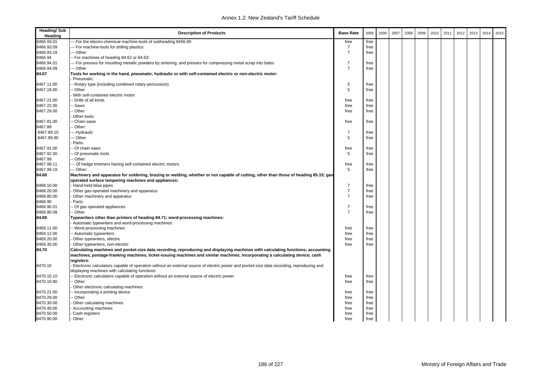| <b>Heading/Sub</b><br>Heading | <b>Description of Products</b>                                                                                                           | <b>Base Rate</b> | 2005 | 2006 | 2007 | 2008 | 2009 | 2010 | 2011 | 2012 | 2013 | 2014 | 2015 |
|-------------------------------|------------------------------------------------------------------------------------------------------------------------------------------|------------------|------|------|------|------|------|------|------|------|------|------|------|
| 8466.93.01                    | - For the electro-chemical machine-tools of subheading 8456.90                                                                           | free             | free |      |      |      |      |      |      |      |      |      |      |
| 8466.93.09                    | -- For machine-tools for drilling plastics                                                                                               | $\overline{7}$   | free |      |      |      |      |      |      |      |      |      |      |
| 8466.93.19                    | -- Other                                                                                                                                 | $\overline{7}$   | free |      |      |      |      |      |      |      |      |      |      |
| 8466.94                       | For machines of heading 84.62 or 84.63:                                                                                                  |                  |      |      |      |      |      |      |      |      |      |      |      |
| 8466.94.01                    | -- For presses for moulding metallic powders by sintering; and presses for compressing metal scrap into bales                            | $\overline{7}$   | free |      |      |      |      |      |      |      |      |      |      |
| 8466.94.09                    | -- Other                                                                                                                                 | $\overline{7}$   | free |      |      |      |      |      |      |      |      |      |      |
| 84.67                         | Tools for working in the hand, pneumatic, hydraulic or with self-contained electric or non-electric motor:                               |                  |      |      |      |      |      |      |      |      |      |      |      |
|                               | Pneumatic:                                                                                                                               |                  |      |      |      |      |      |      |      |      |      |      |      |
| 8467.11.00                    | Rotary type (including combined rotary-percussion)                                                                                       | 5                | free |      |      |      |      |      |      |      |      |      |      |
| 8467.19.00                    | Other                                                                                                                                    | 5                | free |      |      |      |      |      |      |      |      |      |      |
|                               | With self-contained electric motor:                                                                                                      |                  |      |      |      |      |      |      |      |      |      |      |      |
| 8467.21.00                    | Drills of all kinds                                                                                                                      | free             | free |      |      |      |      |      |      |      |      |      |      |
| 8467.22.00                    | <b>Saws</b>                                                                                                                              | free             | free |      |      |      |      |      |      |      |      |      |      |
| 8467.29.00                    | Other                                                                                                                                    | free             | free |      |      |      |      |      |      |      |      |      |      |
|                               | Other tools:                                                                                                                             |                  |      |      |      |      |      |      |      |      |      |      |      |
| 8467.81.00                    | Chain saws                                                                                                                               | free             | free |      |      |      |      |      |      |      |      |      |      |
| 8467.89                       | Other:                                                                                                                                   |                  |      |      |      |      |      |      |      |      |      |      |      |
| 8467.89.10                    | -- Hydraulic                                                                                                                             | $\overline{7}$   | free |      |      |      |      |      |      |      |      |      |      |
| 8467.89.90                    | -- Other                                                                                                                                 | 5                | free |      |      |      |      |      |      |      |      |      |      |
|                               | Parts:                                                                                                                                   |                  |      |      |      |      |      |      |      |      |      |      |      |
| 8467.91.00                    | Of chain saws                                                                                                                            | free             | free |      |      |      |      |      |      |      |      |      |      |
| 8467.92.00                    | Of pneumatic tools                                                                                                                       | 5                | free |      |      |      |      |      |      |      |      |      |      |
| 8467.99                       | Other:                                                                                                                                   |                  |      |      |      |      |      |      |      |      |      |      |      |
| 8467.99.11                    | -- Of hedge trimmers having self-contained electric motors                                                                               | free             | free |      |      |      |      |      |      |      |      |      |      |
| 8467.99.19                    | -- Other:                                                                                                                                | 5                | free |      |      |      |      |      |      |      |      |      |      |
| 84.68                         | Machinery and apparatus for soldering, brazing or welding, whether or not capable of cutting, other than those of heading 85.15; gas     |                  |      |      |      |      |      |      |      |      |      |      |      |
|                               | operated surface tempering machines and appliances:                                                                                      |                  |      |      |      |      |      |      |      |      |      |      |      |
| 8468.10.00                    | Hand-held blow pipes                                                                                                                     | $\overline{7}$   | free |      |      |      |      |      |      |      |      |      |      |
| 8468.20.00                    | Other gas-operated machinery and apparatus                                                                                               | $\overline{7}$   | free |      |      |      |      |      |      |      |      |      |      |
| 8468.80.00                    | Other machinery and apparatus                                                                                                            | $\overline{7}$   | free |      |      |      |      |      |      |      |      |      |      |
| 8468.90                       | Parts:                                                                                                                                   |                  |      |      |      |      |      |      |      |      |      |      |      |
| 8468.90.01                    | Of gas operated appliances                                                                                                               | $\overline{7}$   | free |      |      |      |      |      |      |      |      |      |      |
| 8468.90.09                    | Other                                                                                                                                    | $\overline{7}$   | free |      |      |      |      |      |      |      |      |      |      |
| 84.69                         | Typewriters other than printers of heading 84.71; word-processing machines:                                                              |                  |      |      |      |      |      |      |      |      |      |      |      |
|                               | Automatic typewriters and word-processing machines:                                                                                      |                  |      |      |      |      |      |      |      |      |      |      |      |
| 8469.11.00                    | - Word-processing machines                                                                                                               | free             | free |      |      |      |      |      |      |      |      |      |      |
| 8469.12.00                    | - Automatic typewriters                                                                                                                  | free             | free |      |      |      |      |      |      |      |      |      |      |
| 8469.20.00                    |                                                                                                                                          | free             | free |      |      |      |      |      |      |      |      |      |      |
| 8469.30.00                    | Other typewriters, electric                                                                                                              | free             | free |      |      |      |      |      |      |      |      |      |      |
|                               | Other typewriters, non-electric                                                                                                          |                  |      |      |      |      |      |      |      |      |      |      |      |
| 84.70                         | Calculating machines and pocket-size data recording, reproducing and displaying machines with calculating functions; accounting          |                  |      |      |      |      |      |      |      |      |      |      |      |
|                               | machines, postage-franking machines, ticket-issuing machines and similar machines, incorporating a calculating device; cash              |                  |      |      |      |      |      |      |      |      |      |      |      |
|                               | registers:                                                                                                                               |                  |      |      |      |      |      |      |      |      |      |      |      |
| 8470.10                       | Electronic calculators capable of operation without an external source of electric power and pocket-size data recording, reproducing and |                  |      |      |      |      |      |      |      |      |      |      |      |
|                               | displaying machines with calculating functions:                                                                                          |                  |      |      |      |      |      |      |      |      |      |      |      |
| 8470.10.10                    | Electronic calculators capable of operation without an external source of electric power                                                 | free             | free |      |      |      |      |      |      |      |      |      |      |
| 8470.10.90                    | Other                                                                                                                                    | free             | free |      |      |      |      |      |      |      |      |      |      |
|                               | Other electronic calculating machines:                                                                                                   |                  |      |      |      |      |      |      |      |      |      |      |      |
| 8470.21.00                    | Incorporating a printing device                                                                                                          | free             | free |      |      |      |      |      |      |      |      |      |      |
| 8470.29.00                    | Other                                                                                                                                    | free             | free |      |      |      |      |      |      |      |      |      |      |
| 8470.30.00                    | Other calculating machines                                                                                                               | free             | free |      |      |      |      |      |      |      |      |      |      |
| 8470.40.00                    | Accounting machines                                                                                                                      | free             | free |      |      |      |      |      |      |      |      |      |      |
| 8470.50.00                    | Cash registers                                                                                                                           | free             | free |      |      |      |      |      |      |      |      |      |      |
| 8470.90.00                    | Other                                                                                                                                    | free             | free |      |      |      |      |      |      |      |      |      |      |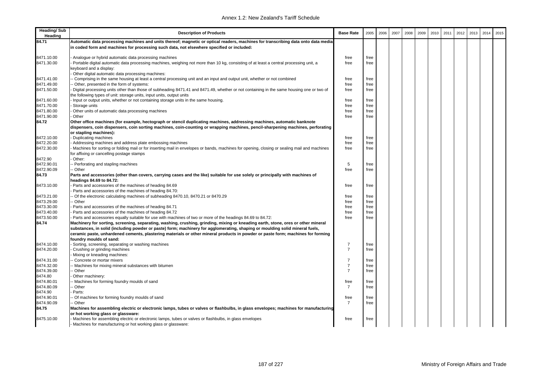| <b>Heading/Sub</b><br>Heading | <b>Description of Products</b>                                                                                                                             | <b>Base Rate</b>                 | 2005 | 2006 | 2007 | 2008 | 2009 | 2010 | 2011 | 2012 | 2013 | 2014 | 2015 |
|-------------------------------|------------------------------------------------------------------------------------------------------------------------------------------------------------|----------------------------------|------|------|------|------|------|------|------|------|------|------|------|
| 84.71                         | Automatic data processing machines and units thereof; magnetic or optical readers, machines for transcribing data onto data media                          |                                  |      |      |      |      |      |      |      |      |      |      |      |
|                               | in coded form and machines for processing such data, not elsewhere specified or included:                                                                  |                                  |      |      |      |      |      |      |      |      |      |      |      |
| 8471.10.00                    | Analogue or hybrid automatic data processing machines                                                                                                      | free                             | free |      |      |      |      |      |      |      |      |      |      |
| 8471.30.00                    | Portable digital automatic data processing machines, weighing not more than 10 kg, consisting of at least a central processing unit, a                     | free                             | free |      |      |      |      |      |      |      |      |      |      |
|                               | keyboard and a display:                                                                                                                                    |                                  |      |      |      |      |      |      |      |      |      |      |      |
|                               | Other digital automatic data processing machines:                                                                                                          |                                  |      |      |      |      |      |      |      |      |      |      |      |
| 8471.41.00                    | Comprising in the same housing at least a central processing unit and an input and output unit, whether or not combined                                    | free                             | free |      |      |      |      |      |      |      |      |      |      |
| 8471.49.00                    | Other, presented in the form of systems:                                                                                                                   | free                             | free |      |      |      |      |      |      |      |      |      |      |
| 8471.50.00                    | Digital processing units other than those of subheading 8471.41 and 8471.49, whether or not containing in the same housing one or two of                   | free                             | free |      |      |      |      |      |      |      |      |      |      |
|                               | the following types of unit: storage units, input units, output units                                                                                      |                                  |      |      |      |      |      |      |      |      |      |      |      |
| 8471.60.00                    | Input or output units, whether or not containing storage units in the same housing.                                                                        | free                             | free |      |      |      |      |      |      |      |      |      |      |
| 8471.70.00                    | Storage units                                                                                                                                              | free                             | free |      |      |      |      |      |      |      |      |      |      |
| 8471.80.00                    | Other units of automatic data processing machines                                                                                                          | free                             | free |      |      |      |      |      |      |      |      |      |      |
| 8471.90.00                    | · Other                                                                                                                                                    | free                             | free |      |      |      |      |      |      |      |      |      |      |
| 84.72                         | Other office machines (for example, hectograph or stencil duplicating machines, addressing machines, automatic banknote                                    |                                  |      |      |      |      |      |      |      |      |      |      |      |
|                               | dispensers, coin dispensers, coin sorting machines, coin-counting or wrapping machines, pencil-sharpening machines, perforating                            |                                  |      |      |      |      |      |      |      |      |      |      |      |
|                               | or stapling machines):                                                                                                                                     |                                  |      |      |      |      |      |      |      |      |      |      |      |
| 8472.10.00                    | Duplicating machines                                                                                                                                       | free                             | free |      |      |      |      |      |      |      |      |      |      |
| 8472.20.00                    | Addressing machines and address plate embossing machines                                                                                                   | free                             | free |      |      |      |      |      |      |      |      |      |      |
| 8472.30.00                    | Machines for sorting or folding mail or for inserting mail in envelopes or bands, machines for opening, closing or sealing mail and machines               | free                             | free |      |      |      |      |      |      |      |      |      |      |
|                               | for affixing or cancelling postage stamps                                                                                                                  |                                  |      |      |      |      |      |      |      |      |      |      |      |
| 8472.90                       | Other:                                                                                                                                                     |                                  |      |      |      |      |      |      |      |      |      |      |      |
| 8472.90.01                    | Perforating and stapling machines                                                                                                                          | 5                                | free |      |      |      |      |      |      |      |      |      |      |
| 8472.90.09                    | - Other                                                                                                                                                    | free                             | free |      |      |      |      |      |      |      |      |      |      |
| 84.73                         | Parts and accessories (other than covers, carrying cases and the like) suitable for use solely or principally with machines of<br>headings 84.69 to 84.72: |                                  |      |      |      |      |      |      |      |      |      |      |      |
| 8473.10.00                    | Parts and accessories of the machines of heading 84.69                                                                                                     | free                             | free |      |      |      |      |      |      |      |      |      |      |
|                               | Parts and accessories of the machines of heading 84.70:                                                                                                    |                                  |      |      |      |      |      |      |      |      |      |      |      |
| 8473.21.00                    | Of the electronic calculating machines of subheading 8470.10, 8470.21 or 8470.29                                                                           | free                             | free |      |      |      |      |      |      |      |      |      |      |
| 8473.29.00                    | ⋅ Other                                                                                                                                                    | free                             | free |      |      |      |      |      |      |      |      |      |      |
| 8473.30.00                    | Parts and accessories of the machines of heading 84.71                                                                                                     | free                             | free |      |      |      |      |      |      |      |      |      |      |
| 8473.40.00                    | Parts and accessories of the machines of heading 84.72                                                                                                     | free                             | free |      |      |      |      |      |      |      |      |      |      |
| 8473.50.00                    | Parts and accessories equally suitable for use with machines of two or more of the headings 84.69 to 84.72:                                                | free                             | free |      |      |      |      |      |      |      |      |      |      |
| 84.74                         | Machinery for sorting, screening, separating, washing, crushing, grinding, mixing or kneading earth, stone, ores or other mineral                          |                                  |      |      |      |      |      |      |      |      |      |      |      |
|                               | substances, in solid (including powder or paste) form; machinery for agglomerating, shaping or moulding solid mineral fuels,                               |                                  |      |      |      |      |      |      |      |      |      |      |      |
|                               | ceramic paste, unhardened cements, plastering materials or other mineral products in powder or paste form; machines for forming                            |                                  |      |      |      |      |      |      |      |      |      |      |      |
|                               | foundry moulds of sand:                                                                                                                                    |                                  |      |      |      |      |      |      |      |      |      |      |      |
| 8474.10.00                    | Sorting, screening, separating or washing machines                                                                                                         | $\overline{7}$                   | free |      |      |      |      |      |      |      |      |      |      |
| 8474.20.00                    | Crushing or grinding machines                                                                                                                              | $\overline{7}$                   | free |      |      |      |      |      |      |      |      |      |      |
|                               | Mixing or kneading machines:                                                                                                                               |                                  |      |      |      |      |      |      |      |      |      |      |      |
| 8474.31.00                    | Concrete or mortar mixers                                                                                                                                  | $\overline{7}$                   | free |      |      |      |      |      |      |      |      |      |      |
| 8474.32.00                    | Machines for mixing mineral substances with bitumen                                                                                                        | $\overline{7}$<br>$\overline{7}$ | free |      |      |      |      |      |      |      |      |      |      |
| 8474.39.00<br>8474.80         | Other                                                                                                                                                      |                                  | free |      |      |      |      |      |      |      |      |      |      |
| 8474.80.01                    | Other machinery:<br>Machines for forming foundry moulds of sand                                                                                            | free                             | free |      |      |      |      |      |      |      |      |      |      |
| 8474.80.09                    | ⋅ Other                                                                                                                                                    | $\overline{7}$                   | free |      |      |      |      |      |      |      |      |      |      |
| 8474.90                       | Parts:                                                                                                                                                     |                                  |      |      |      |      |      |      |      |      |      |      |      |
| 8474.90.01                    | Of machines for forming foundry moulds of sand                                                                                                             | free                             | free |      |      |      |      |      |      |      |      |      |      |
| 8474.90.09                    | Other                                                                                                                                                      | $\overline{7}$                   | free |      |      |      |      |      |      |      |      |      |      |
| 84.75                         | Machines for assembling electric or electronic lamps, tubes or valves or flashbulbs, in glass envelopes; machines for manufacturing                        |                                  |      |      |      |      |      |      |      |      |      |      |      |
|                               | or hot working glass or glassware:                                                                                                                         |                                  |      |      |      |      |      |      |      |      |      |      |      |
| 8475.10.00                    | Machines for assembling electric or electronic lamps, tubes or valves or flashbulbs, in glass envelopes                                                    | free                             | free |      |      |      |      |      |      |      |      |      |      |
|                               | Machines for manufacturing or hot working glass or glassware:                                                                                              |                                  |      |      |      |      |      |      |      |      |      |      |      |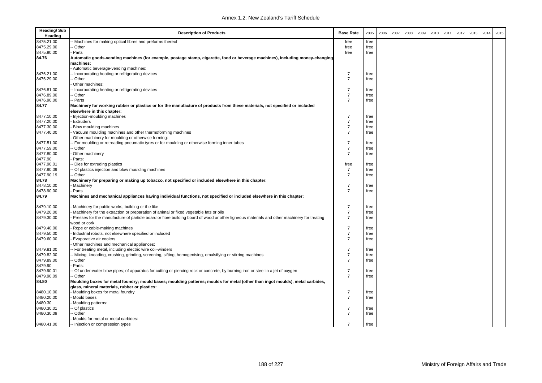| <b>Heading/Sub</b><br>Heading | <b>Description of Products</b>                                                                                                                                                 | <b>Base Rate</b>                 | 2005 | 2006 | 2007 | 2008 | 2009 | 2010 | 2011 | 2012 | 2013 | 2014 | 2015 |
|-------------------------------|--------------------------------------------------------------------------------------------------------------------------------------------------------------------------------|----------------------------------|------|------|------|------|------|------|------|------|------|------|------|
| 8475.21.00                    | - Machines for making optical fibres and preforms thereof                                                                                                                      | free                             | free |      |      |      |      |      |      |      |      |      |      |
| 8475.29.00                    | - Other                                                                                                                                                                        | free                             | free |      |      |      |      |      |      |      |      |      |      |
| 8475.90.00                    | Parts                                                                                                                                                                          | free                             | free |      |      |      |      |      |      |      |      |      |      |
| 84.76                         | Automatic goods-vending machines (for example, postage stamp, cigarette, food or beverage machines), including money-changing                                                  |                                  |      |      |      |      |      |      |      |      |      |      |      |
|                               | machines:                                                                                                                                                                      |                                  |      |      |      |      |      |      |      |      |      |      |      |
|                               | Automatic beverage-vending machines:                                                                                                                                           |                                  |      |      |      |      |      |      |      |      |      |      |      |
| 8476.21.00                    | - Incorporating heating or refrigerating devices                                                                                                                               | $\overline{7}$                   | free |      |      |      |      |      |      |      |      |      |      |
| 8476.29.00                    | - Other                                                                                                                                                                        | $\overline{7}$                   | free |      |      |      |      |      |      |      |      |      |      |
|                               | Other machines:                                                                                                                                                                |                                  |      |      |      |      |      |      |      |      |      |      |      |
| 8476.81.00                    | - Incorporating heating or refrigerating devices                                                                                                                               | $\overline{7}$                   | free |      |      |      |      |      |      |      |      |      |      |
| 8476.89.00                    | - Other                                                                                                                                                                        | $\overline{7}$                   | free |      |      |      |      |      |      |      |      |      |      |
| 8476.90.00                    | - Parts                                                                                                                                                                        | $\overline{7}$                   | free |      |      |      |      |      |      |      |      |      |      |
| 84.77                         | Machinery for working rubber or plastics or for the manufacture of products from these materials, not specified or included<br>elsewhere in this chapter:                      |                                  |      |      |      |      |      |      |      |      |      |      |      |
| 8477.10.00                    | Injection-moulding machines                                                                                                                                                    | $\overline{7}$                   | free |      |      |      |      |      |      |      |      |      |      |
| 8477.20.00                    | <b>Extruders</b>                                                                                                                                                               | $\overline{7}$                   | free |      |      |      |      |      |      |      |      |      |      |
| 8477.30.00                    | Blow moulding machines                                                                                                                                                         | $\overline{7}$                   | free |      |      |      |      |      |      |      |      |      |      |
| 8477.40.00                    | Vacuum moulding machines and other thermoforming machines                                                                                                                      | $\overline{7}$                   | free |      |      |      |      |      |      |      |      |      |      |
|                               | Other machinery for moulding or otherwise forming:                                                                                                                             |                                  |      |      |      |      |      |      |      |      |      |      |      |
| 8477.51.00                    | - For moulding or retreading pneumatic tyres or for moulding or otherwise forming inner tubes                                                                                  | $\overline{7}$                   | free |      |      |      |      |      |      |      |      |      |      |
| 8477.59.00                    | - Other                                                                                                                                                                        | $\overline{7}$                   | free |      |      |      |      |      |      |      |      |      |      |
| 8477.80.00                    | Other machinery                                                                                                                                                                | $\overline{7}$                   | free |      |      |      |      |      |      |      |      |      |      |
| 8477.90                       | Parts:                                                                                                                                                                         |                                  |      |      |      |      |      |      |      |      |      |      |      |
| 8477.90.01                    | Dies for extruding plastics                                                                                                                                                    | free                             | free |      |      |      |      |      |      |      |      |      |      |
| 8477.90.09                    | - Of plastics injection and blow moulding machines                                                                                                                             | $\overline{7}$                   | free |      |      |      |      |      |      |      |      |      |      |
| 8477.90.19                    | - Other                                                                                                                                                                        | $\overline{7}$                   | free |      |      |      |      |      |      |      |      |      |      |
| 84.78                         | Machinery for preparing or making up tobacco, not specified or included elsewhere in this chapter:                                                                             |                                  |      |      |      |      |      |      |      |      |      |      |      |
| 8478.10.00                    | <b>Machinery</b>                                                                                                                                                               | $\overline{7}$                   | free |      |      |      |      |      |      |      |      |      |      |
| 8478.90.00                    | Parts                                                                                                                                                                          | $\overline{7}$                   | free |      |      |      |      |      |      |      |      |      |      |
| 84.79                         | Machines and mechanical appliances having individual functions, not specified or included elsewhere in this chapter:                                                           |                                  |      |      |      |      |      |      |      |      |      |      |      |
| 8479.10.00                    | Machinery for public works, building or the like                                                                                                                               | $\overline{7}$                   | free |      |      |      |      |      |      |      |      |      |      |
| 8479.20.00                    | Machinery for the extraction or preparation of animal or fixed vegetable fats or oils                                                                                          | $\overline{7}$                   | free |      |      |      |      |      |      |      |      |      |      |
| 8479.30.00                    | Presses for the manufacture of particle board or fibre building board of wood or other ligneous materials and other machinery for treating                                     | $\overline{7}$                   | free |      |      |      |      |      |      |      |      |      |      |
|                               | wood or cork                                                                                                                                                                   |                                  |      |      |      |      |      |      |      |      |      |      |      |
| 8479.40.00                    | Rope or cable-making machines                                                                                                                                                  | $\overline{7}$                   | free |      |      |      |      |      |      |      |      |      |      |
| 8479.50.00                    | Industrial robots, not elsewhere specified or included                                                                                                                         | $\overline{7}$                   | free |      |      |      |      |      |      |      |      |      |      |
| 8479.60.00                    | Evaporative air coolers                                                                                                                                                        | $\overline{7}$                   | free |      |      |      |      |      |      |      |      |      |      |
|                               | Other machines and mechanical appliances:                                                                                                                                      |                                  |      |      |      |      |      |      |      |      |      |      |      |
| 8479.81.00                    | - For treating metal, including electric wire coil-winders                                                                                                                     | $\overline{7}$                   | free |      |      |      |      |      |      |      |      |      |      |
| 8479.82.00                    | - Mixing, kneading, crushing, grinding, screening, sifting, homogenising, emulsifying or stirring machines                                                                     | $\overline{7}$                   | free |      |      |      |      |      |      |      |      |      |      |
| 8479.89.00                    | - Other                                                                                                                                                                        | $\overline{7}$                   | free |      |      |      |      |      |      |      |      |      |      |
| 8479.90                       | Parts:                                                                                                                                                                         |                                  |      |      |      |      |      |      |      |      |      |      |      |
| 8479.90.01                    | - Of under-water blow pipes; of apparatus for cutting or piercing rock or concrete, by burning iron or steel in a jet of oxygen                                                | $\overline{7}$<br>$\overline{7}$ | free |      |      |      |      |      |      |      |      |      |      |
| 8479.90.09                    | -- Other                                                                                                                                                                       |                                  | free |      |      |      |      |      |      |      |      |      |      |
| 84.80                         | Moulding boxes for metal foundry; mould bases; moulding patterns; moulds for metal (other than ingot moulds), metal carbides,<br>glass, mineral materials, rubber or plastics: |                                  |      |      |      |      |      |      |      |      |      |      |      |
| 8480.10.00                    | Moulding boxes for metal foundry                                                                                                                                               | $\overline{7}$                   | free |      |      |      |      |      |      |      |      |      |      |
| 8480.20.00                    | Mould bases                                                                                                                                                                    | $\overline{7}$                   | free |      |      |      |      |      |      |      |      |      |      |
| 8480.30                       | Moulding patterns:                                                                                                                                                             |                                  |      |      |      |      |      |      |      |      |      |      |      |
| 8480.30.01                    | - Of plastics                                                                                                                                                                  | $\overline{7}$                   | free |      |      |      |      |      |      |      |      |      |      |
| 8480.30.09                    | - Other                                                                                                                                                                        | $\overline{7}$                   | free |      |      |      |      |      |      |      |      |      |      |
|                               | Moulds for metal or metal carbides:                                                                                                                                            |                                  |      |      |      |      |      |      |      |      |      |      |      |
| 8480.41.00                    | -- Injection or compression types                                                                                                                                              | $\overline{7}$                   | free |      |      |      |      |      |      |      |      |      |      |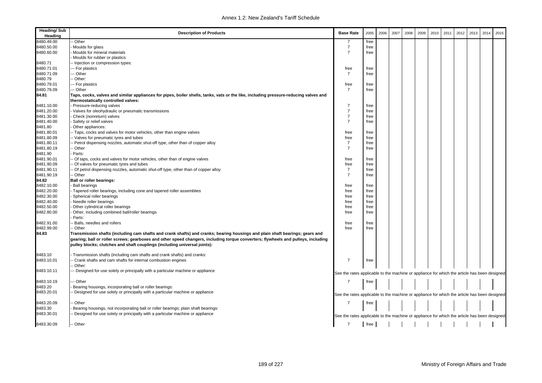| <b>Heading/Sub</b><br>Heading | <b>Description of Products</b>                                                                                                                                                                                                                                                                                                                 | <b>Base Rate</b>                                                                             | 2005 | 2006 | 2007 | 2008 | 2009 | 2010 | 2011 | 2012 | 2013 | 2014 | 2015 |
|-------------------------------|------------------------------------------------------------------------------------------------------------------------------------------------------------------------------------------------------------------------------------------------------------------------------------------------------------------------------------------------|----------------------------------------------------------------------------------------------|------|------|------|------|------|------|------|------|------|------|------|
| 8480.49.00                    | - Other                                                                                                                                                                                                                                                                                                                                        | 7                                                                                            | free |      |      |      |      |      |      |      |      |      |      |
| 8480.50.00                    | Moulds for glass                                                                                                                                                                                                                                                                                                                               | $\overline{7}$                                                                               | free |      |      |      |      |      |      |      |      |      |      |
| 8480.60.00                    | Moulds for mineral materials                                                                                                                                                                                                                                                                                                                   | $\overline{7}$                                                                               | free |      |      |      |      |      |      |      |      |      |      |
|                               | Moulds for rubber or plastics:                                                                                                                                                                                                                                                                                                                 |                                                                                              |      |      |      |      |      |      |      |      |      |      |      |
| 8480.71                       | -- Injection or compression types:                                                                                                                                                                                                                                                                                                             |                                                                                              |      |      |      |      |      |      |      |      |      |      |      |
| 8480.71.01                    | --- For plastics                                                                                                                                                                                                                                                                                                                               | free                                                                                         | free |      |      |      |      |      |      |      |      |      |      |
| 8480.71.09                    | -- Other                                                                                                                                                                                                                                                                                                                                       | $\overline{7}$                                                                               | free |      |      |      |      |      |      |      |      |      |      |
| 8480.79                       | - Other:                                                                                                                                                                                                                                                                                                                                       |                                                                                              |      |      |      |      |      |      |      |      |      |      |      |
| 8480.79.01                    | --- For plastics                                                                                                                                                                                                                                                                                                                               | free                                                                                         | free |      |      |      |      |      |      |      |      |      |      |
| 8480.79.09                    | -- Other                                                                                                                                                                                                                                                                                                                                       | $\overline{7}$                                                                               | free |      |      |      |      |      |      |      |      |      |      |
| 84.81                         | Taps, cocks, valves and similar appliances for pipes, boiler shells, tanks, vats or the like, including pressure-reducing valves and<br>thermostatically controlled valves:                                                                                                                                                                    |                                                                                              |      |      |      |      |      |      |      |      |      |      |      |
| 8481.10.00                    | Pressure-reducing valves                                                                                                                                                                                                                                                                                                                       | $\overline{7}$                                                                               | free |      |      |      |      |      |      |      |      |      |      |
| 8481.20.00                    | Valves for oleohydraulic or pneumatic transmissions                                                                                                                                                                                                                                                                                            | $\overline{7}$                                                                               | free |      |      |      |      |      |      |      |      |      |      |
| 8481.30.00                    | Check (nonreturn) valves                                                                                                                                                                                                                                                                                                                       | $\overline{7}$                                                                               | free |      |      |      |      |      |      |      |      |      |      |
| 8481.40.00                    | Safety or relief valves                                                                                                                                                                                                                                                                                                                        | $\overline{7}$                                                                               | free |      |      |      |      |      |      |      |      |      |      |
| 8481.80                       | Other appliances:                                                                                                                                                                                                                                                                                                                              |                                                                                              |      |      |      |      |      |      |      |      |      |      |      |
| 8481.80.01                    | -- Taps, cocks and valves for motor vehicles, other than engine valves                                                                                                                                                                                                                                                                         | free                                                                                         | free |      |      |      |      |      |      |      |      |      |      |
| 8481.80.09                    | - Valves for pneumatic tyres and tubes                                                                                                                                                                                                                                                                                                         | free                                                                                         | free |      |      |      |      |      |      |      |      |      |      |
| 8481.80.11                    | - Petrol dispensing nozzles, automatic shut-off type, other than of copper alloy                                                                                                                                                                                                                                                               | $\overline{7}$                                                                               | free |      |      |      |      |      |      |      |      |      |      |
| 8481.80.19                    | - Other                                                                                                                                                                                                                                                                                                                                        | $\overline{7}$                                                                               | free |      |      |      |      |      |      |      |      |      |      |
| 8481.90                       | Parts:                                                                                                                                                                                                                                                                                                                                         |                                                                                              |      |      |      |      |      |      |      |      |      |      |      |
| 8481.90.01                    | Of taps, cocks and valves for motor vehicles, other than of engine valves                                                                                                                                                                                                                                                                      | free                                                                                         | free |      |      |      |      |      |      |      |      |      |      |
| 8481.90.09                    | - Of valves for pneumatic tyres and tubes                                                                                                                                                                                                                                                                                                      | free                                                                                         | free |      |      |      |      |      |      |      |      |      |      |
| 8481.90.11                    | Of petrol dispensing nozzles, automatic shut-off type, other than of copper alloy                                                                                                                                                                                                                                                              | $\overline{7}$                                                                               | free |      |      |      |      |      |      |      |      |      |      |
| 8481.90.19                    | - Other                                                                                                                                                                                                                                                                                                                                        | $\overline{7}$                                                                               | free |      |      |      |      |      |      |      |      |      |      |
| 84.82                         | <b>Ball or roller bearings:</b>                                                                                                                                                                                                                                                                                                                |                                                                                              |      |      |      |      |      |      |      |      |      |      |      |
| 8482.10.00                    | <b>Ball bearings</b>                                                                                                                                                                                                                                                                                                                           | free                                                                                         | free |      |      |      |      |      |      |      |      |      |      |
| 8482.20.00                    | Tapered roller bearings, including cone and tapered roller assemblies                                                                                                                                                                                                                                                                          | free                                                                                         | free |      |      |      |      |      |      |      |      |      |      |
| 8482.30.00                    | Spherical roller bearings                                                                                                                                                                                                                                                                                                                      | free                                                                                         | free |      |      |      |      |      |      |      |      |      |      |
| 8482.40.00                    | Needle roller bearings                                                                                                                                                                                                                                                                                                                         | free                                                                                         | free |      |      |      |      |      |      |      |      |      |      |
| 8482.50.00                    | Other cylindrical roller bearings                                                                                                                                                                                                                                                                                                              | free                                                                                         | free |      |      |      |      |      |      |      |      |      |      |
| 8482.80.00                    | Other, including combined ball/roller bearings                                                                                                                                                                                                                                                                                                 | free                                                                                         | free |      |      |      |      |      |      |      |      |      |      |
|                               | Parts:                                                                                                                                                                                                                                                                                                                                         |                                                                                              |      |      |      |      |      |      |      |      |      |      |      |
| 8482.91.00                    | Balls, needles and rollers                                                                                                                                                                                                                                                                                                                     | free                                                                                         | free |      |      |      |      |      |      |      |      |      |      |
| 8482.99.00                    | - Other                                                                                                                                                                                                                                                                                                                                        | free                                                                                         | free |      |      |      |      |      |      |      |      |      |      |
| 84.83                         | Transmission shafts (including cam shafts and crank shafts) and cranks; bearing housings and plain shaft bearings; gears and<br>gearing; ball or roller screws; gearboxes and other speed changers, including torque converters; flywheels and pulleys, including<br>pulley blocks; clutches and shaft couplings (including universal joints): |                                                                                              |      |      |      |      |      |      |      |      |      |      |      |
| 8483.10                       | Transmission shafts (including cam shafts and crank shafts) and cranks:                                                                                                                                                                                                                                                                        |                                                                                              |      |      |      |      |      |      |      |      |      |      |      |
| 8483.10.01                    | - Crank shafts and cam shafts for internal combustion engines                                                                                                                                                                                                                                                                                  | 7                                                                                            | free |      |      |      |      |      |      |      |      |      |      |
|                               | - Other:                                                                                                                                                                                                                                                                                                                                       |                                                                                              |      |      |      |      |      |      |      |      |      |      |      |
| 8483.10.11                    | - Designed for use solely or principally with a particular machine or appliance                                                                                                                                                                                                                                                                | See the rates applicable to the machine or appliance for which the article has been designed |      |      |      |      |      |      |      |      |      |      |      |
| 8483.10.19                    | - Other                                                                                                                                                                                                                                                                                                                                        | $\overline{7}$                                                                               | free |      |      |      |      |      |      |      |      |      |      |
| 8483.20                       | Bearing housings, incorporating ball or roller bearings:                                                                                                                                                                                                                                                                                       |                                                                                              |      |      |      |      |      |      |      |      |      |      |      |
| 8483.20.01                    | Designed for use solely or principally with a particular machine or appliance                                                                                                                                                                                                                                                                  |                                                                                              |      |      |      |      |      |      |      |      |      |      |      |
|                               |                                                                                                                                                                                                                                                                                                                                                | See the rates applicable to the machine or appliance for which the article has been designed |      |      |      |      |      |      |      |      |      |      |      |
| 8483.20.09                    | - Other                                                                                                                                                                                                                                                                                                                                        | 7                                                                                            | free |      |      |      |      |      |      |      |      |      |      |
| 8483.30                       | Bearing housings, not incorporating ball or roller bearings; plain shaft bearings:                                                                                                                                                                                                                                                             |                                                                                              |      |      |      |      |      |      |      |      |      |      |      |
| 8483.30.01                    | - Designed for use solely or principally with a particular machine or appliance                                                                                                                                                                                                                                                                |                                                                                              |      |      |      |      |      |      |      |      |      |      |      |
|                               |                                                                                                                                                                                                                                                                                                                                                | See the rates applicable to the machine or appliance for which the article has been designed |      |      |      |      |      |      |      |      |      |      |      |
| 8483.30.09                    | -- Other                                                                                                                                                                                                                                                                                                                                       | $\overline{7}$                                                                               | free |      |      |      |      |      |      |      |      |      |      |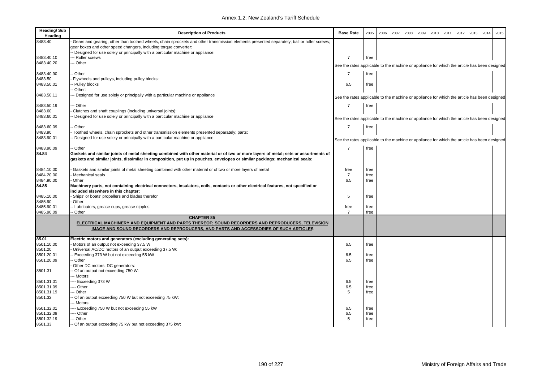| <b>Heading/Sub</b><br>Heading | <b>Description of Products</b>                                                                                                             | <b>Base Rate</b>                                                                             | 2005         | 2006 | 2007 | 2008 | 2009 | 2010 | 2011 | 2012 | 2013 | 2014 | 2015 |
|-------------------------------|--------------------------------------------------------------------------------------------------------------------------------------------|----------------------------------------------------------------------------------------------|--------------|------|------|------|------|------|------|------|------|------|------|
| 8483.40                       | Gears and gearing, other than toothed wheels, chain sprockets and other transmission elements presented separately; ball or roller screws; |                                                                                              |              |      |      |      |      |      |      |      |      |      |      |
|                               | gear boxes and other speed changers, including torque converter:                                                                           |                                                                                              |              |      |      |      |      |      |      |      |      |      |      |
|                               | Designed for use solely or principally with a particular machine or appliance:                                                             |                                                                                              |              |      |      |      |      |      |      |      |      |      |      |
| 8483.40.10                    | -- Roller screws                                                                                                                           | $\overline{7}$                                                                               | free         |      |      |      |      |      |      |      |      |      |      |
| 8483.40.20                    | -- Other                                                                                                                                   | See the rates applicable to the machine or appliance for which the article has been designed |              |      |      |      |      |      |      |      |      |      |      |
|                               |                                                                                                                                            |                                                                                              |              |      |      |      |      |      |      |      |      |      |      |
| 8483.40.90                    | Other                                                                                                                                      | $\overline{7}$                                                                               | free         |      |      |      |      |      |      |      |      |      |      |
| 8483.50<br>8483.50.01         | Flywheels and pulleys, including pulley blocks:<br>Pulley blocks                                                                           | 6.5                                                                                          |              |      |      |      |      |      |      |      |      |      |      |
|                               | Other:                                                                                                                                     |                                                                                              | free         |      |      |      |      |      |      |      |      |      |      |
| 8483.50.11                    | -- Designed for use solely or principally with a particular machine or appliance                                                           |                                                                                              |              |      |      |      |      |      |      |      |      |      |      |
|                               |                                                                                                                                            | See the rates applicable to the machine or appliance for which the article has been designed |              |      |      |      |      |      |      |      |      |      |      |
| 8483.50.19                    | -- Other                                                                                                                                   | $\overline{7}$                                                                               | free         |      |      |      |      |      |      |      |      |      |      |
| 8483.60                       | Clutches and shaft couplings (including universal joints):                                                                                 |                                                                                              |              |      |      |      |      |      |      |      |      |      |      |
| 8483.60.01                    | Designed for use solely or principally with a particular machine or appliance                                                              | See the rates applicable to the machine or appliance for which the article has been designed |              |      |      |      |      |      |      |      |      |      |      |
|                               |                                                                                                                                            |                                                                                              |              |      |      |      |      |      |      |      |      |      |      |
| 8483.60.09                    | Other                                                                                                                                      | $\overline{7}$                                                                               | free         |      |      |      |      |      |      |      |      |      |      |
| 8483.90                       | Toothed wheels, chain sprockets and other transmission elements presented separately; parts:                                               |                                                                                              |              |      |      |      |      |      |      |      |      |      |      |
| 8483.90.01                    | Designed for use solely or principally with a particular machine or appliance                                                              | See the rates applicable to the machine or appliance for which the article has been designed |              |      |      |      |      |      |      |      |      |      |      |
|                               |                                                                                                                                            |                                                                                              |              |      |      |      |      |      |      |      |      |      |      |
| 8483.90.09                    | - Other                                                                                                                                    | $\overline{7}$                                                                               | free         |      |      |      |      |      |      |      |      |      |      |
| 84.84                         | Gaskets and similar joints of metal sheeting combined with other material or of two or more layers of metal; sets or assortments of        |                                                                                              |              |      |      |      |      |      |      |      |      |      |      |
|                               | gaskets and similar joints, dissimilar in composition, put up in pouches, envelopes or similar packings; mechanical seals:                 |                                                                                              |              |      |      |      |      |      |      |      |      |      |      |
| 8484.10.00                    | Gaskets and similar joints of metal sheeting combined with other material or of two or more layers of metal                                | free                                                                                         | free         |      |      |      |      |      |      |      |      |      |      |
| 8484.20.00                    | Mechanical seals                                                                                                                           | $\overline{7}$                                                                               | free         |      |      |      |      |      |      |      |      |      |      |
| 8484.90.00                    | Other                                                                                                                                      | 6.5                                                                                          | free         |      |      |      |      |      |      |      |      |      |      |
| 84.85                         | Machinery parts, not containing electrical connectors, insulators, coils, contacts or other electrical features, not specified or          |                                                                                              |              |      |      |      |      |      |      |      |      |      |      |
|                               | included elsewhere in this chapter:                                                                                                        |                                                                                              |              |      |      |      |      |      |      |      |      |      |      |
| 8485.10.00                    | Ships' or boats' propellers and blades therefor                                                                                            | .5                                                                                           | free         |      |      |      |      |      |      |      |      |      |      |
| 8485.90                       | Other:                                                                                                                                     |                                                                                              |              |      |      |      |      |      |      |      |      |      |      |
| 8485.90.01                    | Lubricators, grease cups, grease nipples                                                                                                   | free                                                                                         | free         |      |      |      |      |      |      |      |      |      |      |
| 8485.90.09                    | Other                                                                                                                                      | $\overline{7}$                                                                               | free         |      |      |      |      |      |      |      |      |      |      |
|                               | <b>CHAPTER 85</b>                                                                                                                          |                                                                                              |              |      |      |      |      |      |      |      |      |      |      |
|                               | ELECTRICAL MACHINERY AND EQUIPMENT AND PARTS THEREOF; SOUND RECORDERS AND REPRODUCERS, TELEVISION                                          |                                                                                              |              |      |      |      |      |      |      |      |      |      |      |
|                               | IMAGE AND SOUND RECORDERS AND REPRODUCERS, AND PARTS AND ACCESSORIES OF SUCH ARTICLES                                                      |                                                                                              |              |      |      |      |      |      |      |      |      |      |      |
| 85.01                         | Electric motors and generators (excluding generating sets):                                                                                |                                                                                              |              |      |      |      |      |      |      |      |      |      |      |
| 8501.10.00                    | Motors of an output not exceeding 37.5 W                                                                                                   | 6.5                                                                                          | free         |      |      |      |      |      |      |      |      |      |      |
| 8501.20                       | Universal AC/DC motors of an output exceeding 37.5 W:                                                                                      |                                                                                              |              |      |      |      |      |      |      |      |      |      |      |
| 8501.20.01                    | Exceeding 373 W but not exceeding 55 kW                                                                                                    | 6.5                                                                                          | free         |      |      |      |      |      |      |      |      |      |      |
| 8501.20.09                    | - Other                                                                                                                                    | 6.5                                                                                          | free         |      |      |      |      |      |      |      |      |      |      |
|                               | Other DC motors; DC generators:                                                                                                            |                                                                                              |              |      |      |      |      |      |      |      |      |      |      |
| 8501.31                       | - Of an output not exceeding 750 W:                                                                                                        |                                                                                              |              |      |      |      |      |      |      |      |      |      |      |
|                               | -- Motors:                                                                                                                                 |                                                                                              |              |      |      |      |      |      |      |      |      |      |      |
| 8501.31.01                    | ---- Exceeding 373 W                                                                                                                       | 6.5                                                                                          | free         |      |      |      |      |      |      |      |      |      |      |
| 8501.31.09                    | --- Other                                                                                                                                  | 6.5                                                                                          | free         |      |      |      |      |      |      |      |      |      |      |
| 8501.31.19                    | -- Other                                                                                                                                   | 5                                                                                            | free         |      |      |      |      |      |      |      |      |      |      |
| 8501.32                       | - Of an output exceeding 750 W but not exceeding 75 kW:                                                                                    |                                                                                              |              |      |      |      |      |      |      |      |      |      |      |
|                               | -- Motors:                                                                                                                                 |                                                                                              |              |      |      |      |      |      |      |      |      |      |      |
| 8501.32.01<br>8501.32.09      | --- Exceeding 750 W but not exceeding 55 kW<br>--- Other                                                                                   | 6.5<br>6.5                                                                                   | free<br>free |      |      |      |      |      |      |      |      |      |      |
| 8501.32.19                    | --- Other                                                                                                                                  | 5                                                                                            | free         |      |      |      |      |      |      |      |      |      |      |
| 8501.33                       | -- Of an output exceeding 75 kW but not exceeding 375 kW:                                                                                  |                                                                                              |              |      |      |      |      |      |      |      |      |      |      |
|                               |                                                                                                                                            |                                                                                              |              |      |      |      |      |      |      |      |      |      |      |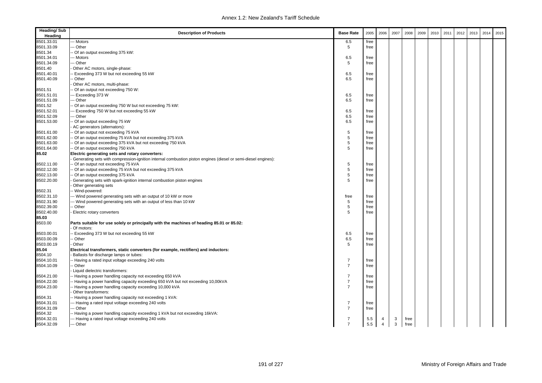| <b>Heading/Sub</b><br>Heading | <b>Description of Products</b>                                                                                | <b>Base Rate</b> | 2005       | 2006                | 2007   | 2008 | 2009 | 2010 | 2011 | 2012 | 2013 | 2014 | 2015 |
|-------------------------------|---------------------------------------------------------------------------------------------------------------|------------------|------------|---------------------|--------|------|------|------|------|------|------|------|------|
| 8501.33.01                    | -- Motors                                                                                                     | 6.5              | free       |                     |        |      |      |      |      |      |      |      |      |
| 8501.33.09                    | -- Other                                                                                                      | 5                | free       |                     |        |      |      |      |      |      |      |      |      |
| 8501.34                       | - Of an output exceeding 375 kW:                                                                              |                  |            |                     |        |      |      |      |      |      |      |      |      |
| 8501.34.01                    | -- Motors                                                                                                     | 6.5              | free       |                     |        |      |      |      |      |      |      |      |      |
| 8501.34.09                    | -- Other                                                                                                      | 5                | free       |                     |        |      |      |      |      |      |      |      |      |
| 8501.40                       | Other AC motors, single-phase:                                                                                |                  |            |                     |        |      |      |      |      |      |      |      |      |
| 8501.40.01                    | Exceeding 373 W but not exceeding 55 kW                                                                       | 6.5              | free       |                     |        |      |      |      |      |      |      |      |      |
| 8501.40.09                    | - Other                                                                                                       | 6.5              | free       |                     |        |      |      |      |      |      |      |      |      |
|                               | Other AC motors, multi-phase:                                                                                 |                  |            |                     |        |      |      |      |      |      |      |      |      |
| 8501.51                       | - Of an output not exceeding 750 W:                                                                           |                  |            |                     |        |      |      |      |      |      |      |      |      |
| 8501.51.01                    | -- Exceeding 373 W                                                                                            | 6.5              | free       |                     |        |      |      |      |      |      |      |      |      |
| 8501.51.09                    | -- Other                                                                                                      | 6.5              | free       |                     |        |      |      |      |      |      |      |      |      |
| 8501.52                       | - Of an output exceeding 750 W but not exceeding 75 kW:                                                       |                  |            |                     |        |      |      |      |      |      |      |      |      |
| 8501.52.01                    | -- Exceeding 750 W but not exceeding 55 kW                                                                    | 6.5              | free       |                     |        |      |      |      |      |      |      |      |      |
| 8501.52.09                    | -- Other                                                                                                      | 6.5              | free       |                     |        |      |      |      |      |      |      |      |      |
| 8501.53.00                    | - Of an output exceeding 75 kW                                                                                | 6.5              | free       |                     |        |      |      |      |      |      |      |      |      |
|                               | AC generators (alternators):                                                                                  |                  |            |                     |        |      |      |      |      |      |      |      |      |
| 8501.61.00                    | - Of an output not exceeding 75 kVA                                                                           | 5                | free       |                     |        |      |      |      |      |      |      |      |      |
| 8501.62.00                    | - Of an output exceeding 75 kVA but not exceeding 375 kVA                                                     | 5                | free       |                     |        |      |      |      |      |      |      |      |      |
| 8501.63.00                    | - Of an output exceeding 375 kVA but not exceeding 750 kVA                                                    | 5                | free       |                     |        |      |      |      |      |      |      |      |      |
| 8501.64.00                    | - Of an output exceeding 750 kVA                                                                              | 5                | free       |                     |        |      |      |      |      |      |      |      |      |
| 85.02                         | Electric generating sets and rotary converters:                                                               |                  |            |                     |        |      |      |      |      |      |      |      |      |
|                               | Generating sets with compression-ignition internal combustion piston engines (diesel or semi-diesel engines): |                  |            |                     |        |      |      |      |      |      |      |      |      |
| 8502.11.00                    | Of an output not exceeding 75 kVA                                                                             | 5                | free       |                     |        |      |      |      |      |      |      |      |      |
| 8502.12.00                    | - Of an output exceeding 75 kVA but not exceeding 375 kVA                                                     | 5                | free       |                     |        |      |      |      |      |      |      |      |      |
| 8502.13.00                    | Of an output exceeding 375 kVA                                                                                | 5                | free       |                     |        |      |      |      |      |      |      |      |      |
| 8502.20.00                    | Generating sets with spark-ignition internal combustion piston engines                                        | 5                | free       |                     |        |      |      |      |      |      |      |      |      |
|                               | Other generating sets                                                                                         |                  |            |                     |        |      |      |      |      |      |      |      |      |
| 8502.31                       | -- Wind-powered:                                                                                              |                  |            |                     |        |      |      |      |      |      |      |      |      |
| 8502.31.10                    | -- Wind powered generating sets with an output of 10 kW or more                                               | free             | free       |                     |        |      |      |      |      |      |      |      |      |
| 8502.31.90                    | -- Wind powered generating sets with an output of less than 10 kW                                             | 5                | free       |                     |        |      |      |      |      |      |      |      |      |
| 8502.39.00                    | - Other                                                                                                       | 5                | free       |                     |        |      |      |      |      |      |      |      |      |
| 8502.40.00                    | Electric rotary converters                                                                                    | 5                | free       |                     |        |      |      |      |      |      |      |      |      |
| 85.03                         |                                                                                                               |                  |            |                     |        |      |      |      |      |      |      |      |      |
| 8503.00                       | Parts suitable for use solely or principally with the machines of heading 85.01 or 85.02:<br>Of motors:       |                  |            |                     |        |      |      |      |      |      |      |      |      |
| 8503.00.01                    | - Exceeding 373 W but not exceeding 55 kW                                                                     | 6.5              | free       |                     |        |      |      |      |      |      |      |      |      |
| 8503.00.09                    | - Other                                                                                                       | 6.5              | free       |                     |        |      |      |      |      |      |      |      |      |
| 8503.00.19                    | Other                                                                                                         | 5                | free       |                     |        |      |      |      |      |      |      |      |      |
| 85.04                         | Electrical transformers, static converters (for example, rectifiers) and inductors:                           |                  |            |                     |        |      |      |      |      |      |      |      |      |
| 8504.10                       | Ballasts for discharge lamps or tubes:                                                                        |                  |            |                     |        |      |      |      |      |      |      |      |      |
| 8504.10.01                    | - Having a rated input voltage exceeding 240 volts                                                            | $\overline{7}$   | free       |                     |        |      |      |      |      |      |      |      |      |
| 8504.10.09                    | - Other                                                                                                       | $\overline{7}$   | free       |                     |        |      |      |      |      |      |      |      |      |
|                               | Liquid dielectric transformers:                                                                               |                  |            |                     |        |      |      |      |      |      |      |      |      |
| 8504.21.00                    | - Having a power handling capacity not exceeding 650 kVA                                                      | $\overline{7}$   | free       |                     |        |      |      |      |      |      |      |      |      |
| 8504.22.00                    | - Having a power handling capacity exceeding 650 kVA but not exceeding 10,00kVA                               | $\overline{7}$   | free       |                     |        |      |      |      |      |      |      |      |      |
| 8504.23.00                    | - Having a power handling capacity exceeding 10,000 kVA                                                       | $\overline{7}$   | free       |                     |        |      |      |      |      |      |      |      |      |
|                               | Other transformers:                                                                                           |                  |            |                     |        |      |      |      |      |      |      |      |      |
| 8504.31                       | - Having a power handling capacity not exceeding 1 kVA:                                                       |                  |            |                     |        |      |      |      |      |      |      |      |      |
| 8504.31.01                    | --- Having a rated input voltage exceeding 240 volts                                                          | $\overline{7}$   | free       |                     |        |      |      |      |      |      |      |      |      |
| 8504.31.09                    | -- Other                                                                                                      | $\overline{7}$   | free       |                     |        |      |      |      |      |      |      |      |      |
| 8504.32                       | - Having a power handling capacity exceeding 1 kVA but not exceeding 16kVA:                                   |                  |            |                     |        |      |      |      |      |      |      |      |      |
| 8504.32.01                    | --- Having a rated input voltage exceeding 240 volts                                                          | $\overline{7}$   |            |                     |        | free |      |      |      |      |      |      |      |
| 8504.32.09                    | --- Other                                                                                                     | $\overline{7}$   | 5.5<br>5.5 | 4<br>$\overline{4}$ | 3<br>3 | free |      |      |      |      |      |      |      |
|                               |                                                                                                               |                  |            |                     |        |      |      |      |      |      |      |      |      |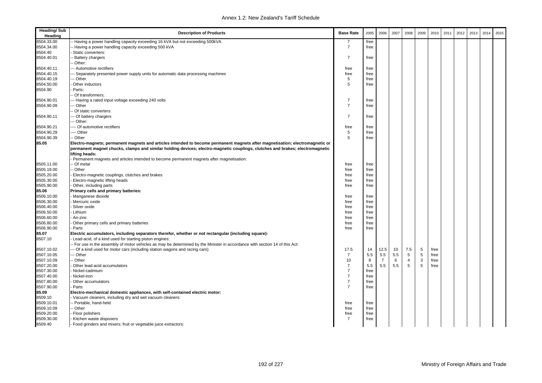| <b>Heading/Sub</b><br>Heading | <b>Description of Products</b>                                                                                                                                                                                                                                | <b>Base Rate</b>                 | 2005 | 2006           | 2007 | 2008   | 2009   | 2010 | 2011 | 2012 | 2013 | 2014 | 2015 |
|-------------------------------|---------------------------------------------------------------------------------------------------------------------------------------------------------------------------------------------------------------------------------------------------------------|----------------------------------|------|----------------|------|--------|--------|------|------|------|------|------|------|
| 8504.33.00                    | - Having a power handling capacity exceeding 16 kVA but not exceeding 500kVA                                                                                                                                                                                  | 7                                | free |                |      |        |        |      |      |      |      |      |      |
| 8504.34.00                    | Having a power handling capacity exceeding 500 kVA                                                                                                                                                                                                            | $\overline{7}$                   | free |                |      |        |        |      |      |      |      |      |      |
| 8504.40                       | Static converters:                                                                                                                                                                                                                                            |                                  |      |                |      |        |        |      |      |      |      |      |      |
| 8504.40.01                    | <b>Battery chargers</b>                                                                                                                                                                                                                                       | 7                                | free |                |      |        |        |      |      |      |      |      |      |
|                               | Other:                                                                                                                                                                                                                                                        |                                  |      |                |      |        |        |      |      |      |      |      |      |
| 8504.40.11                    | --- Automotive rectifiers                                                                                                                                                                                                                                     | free                             | free |                |      |        |        |      |      |      |      |      |      |
| 8504.40.15                    | -- Separately presented power supply units for automatic data processing machines                                                                                                                                                                             | free                             | free |                |      |        |        |      |      |      |      |      |      |
| 8504.40.19                    | -- Other                                                                                                                                                                                                                                                      | 5                                | free |                |      |        |        |      |      |      |      |      |      |
| 8504.50.00                    | Other inductors                                                                                                                                                                                                                                               | 5                                | free |                |      |        |        |      |      |      |      |      |      |
| 8504.90                       | Parts:                                                                                                                                                                                                                                                        |                                  |      |                |      |        |        |      |      |      |      |      |      |
|                               | - Of transformers:                                                                                                                                                                                                                                            |                                  |      |                |      |        |        |      |      |      |      |      |      |
| 8504.90.01                    | --- Having a rated input voltage exceeding 240 volts                                                                                                                                                                                                          | $\overline{7}$                   | free |                |      |        |        |      |      |      |      |      |      |
| 8504.90.09                    | -- Other                                                                                                                                                                                                                                                      | $\overline{7}$                   | free |                |      |        |        |      |      |      |      |      |      |
|                               | - Of static converters:                                                                                                                                                                                                                                       |                                  |      |                |      |        |        |      |      |      |      |      |      |
| 8504.90.11                    | -- Of battery chargers                                                                                                                                                                                                                                        | $\overline{7}$                   | free |                |      |        |        |      |      |      |      |      |      |
|                               | -- Other:                                                                                                                                                                                                                                                     |                                  |      |                |      |        |        |      |      |      |      |      |      |
| 8504.90.21                    | ---- Of automotive rectifiers                                                                                                                                                                                                                                 | free                             | free |                |      |        |        |      |      |      |      |      |      |
| 8504.90.29                    | ---- Other                                                                                                                                                                                                                                                    | 5                                | free |                |      |        |        |      |      |      |      |      |      |
| 8504.90.39                    | - Other                                                                                                                                                                                                                                                       | 5                                | free |                |      |        |        |      |      |      |      |      |      |
| 85.05                         | Electro-magnets; permanent magnets and articles intended to become permanent magnets after magnetisation; electromagnetic or<br>permanent magnet chucks, clamps and similar holding devices; electro-magnetic couplings, clutches and brakes; electromagnetic |                                  |      |                |      |        |        |      |      |      |      |      |      |
|                               | lifting heads:                                                                                                                                                                                                                                                |                                  |      |                |      |        |        |      |      |      |      |      |      |
|                               | Permanent magnets and articles intended to become permanent magnets after magnetisation:                                                                                                                                                                      |                                  |      |                |      |        |        |      |      |      |      |      |      |
| 8505.11.00                    | - Of metal                                                                                                                                                                                                                                                    | free                             | free |                |      |        |        |      |      |      |      |      |      |
| 8505.19.00                    | - Other                                                                                                                                                                                                                                                       | free                             | free |                |      |        |        |      |      |      |      |      |      |
| 8505.20.00                    | Electro-magnetic couplings, clutches and brakes                                                                                                                                                                                                               | free                             | free |                |      |        |        |      |      |      |      |      |      |
| 8505.30.00                    | Electro-magnetic lifting heads                                                                                                                                                                                                                                | free                             | free |                |      |        |        |      |      |      |      |      |      |
| 8505.90.00                    | Other, including parts                                                                                                                                                                                                                                        | free                             | free |                |      |        |        |      |      |      |      |      |      |
| 85.06                         | Primary cells and primary batteries:                                                                                                                                                                                                                          |                                  |      |                |      |        |        |      |      |      |      |      |      |
| 8506.10.00                    | Manganese dioxide                                                                                                                                                                                                                                             | free                             | free |                |      |        |        |      |      |      |      |      |      |
| 8506.30.00                    | Mercuric oxide                                                                                                                                                                                                                                                | free                             | free |                |      |        |        |      |      |      |      |      |      |
| 8506.40.00                    | Silver oxide                                                                                                                                                                                                                                                  | free                             | free |                |      |        |        |      |      |      |      |      |      |
| 8506.50.00                    | Lithium                                                                                                                                                                                                                                                       | free                             | free |                |      |        |        |      |      |      |      |      |      |
| 8506.60.00                    | Air-zinc                                                                                                                                                                                                                                                      | free                             | free |                |      |        |        |      |      |      |      |      |      |
| 8506.80.00                    | Other primary cells and primary batteries                                                                                                                                                                                                                     | free                             | free |                |      |        |        |      |      |      |      |      |      |
| 8506.90.00                    | Parts                                                                                                                                                                                                                                                         | free                             | free |                |      |        |        |      |      |      |      |      |      |
| 85.07<br>8507.10              | Electric accumulators, including separators therefor, whether or not rectangular (including square):<br>Lead-acid, of a kind used for starting piston engines:                                                                                                |                                  |      |                |      |        |        |      |      |      |      |      |      |
|                               | - For use in the assembly of motor vehicles as may be determined by the Minister in accordance with section 14 of this Act:                                                                                                                                   |                                  |      |                |      |        |        |      |      |      |      |      |      |
| 8507.10.02                    | -- Of a kind used for motor cars (including station wagons and racing cars)                                                                                                                                                                                   | 17.5                             | 14   | 12.5           | 10   | 7.5    | 5      | free |      |      |      |      |      |
| 8507.10.05                    | -- Other                                                                                                                                                                                                                                                      | $\overline{7}$                   | 5.5  | 5.5            | 5.5  | 5      | 5      | free |      |      |      |      |      |
| 8507.10.09                    | - Other                                                                                                                                                                                                                                                       | 10                               | 8    | $\overline{7}$ | 6    | 4<br>5 | 3<br>5 | free |      |      |      |      |      |
| 8507.20.00                    | Other lead-acid accumulators                                                                                                                                                                                                                                  | $\overline{7}$<br>$\overline{7}$ | 5.5  | 5.5            | 5.5  |        |        | free |      |      |      |      |      |
| 8507.30.00                    | Nickel-cadmium                                                                                                                                                                                                                                                | $\overline{7}$                   | free |                |      |        |        |      |      |      |      |      |      |
| 8507.40.00                    | Nickel-iron                                                                                                                                                                                                                                                   | $\overline{7}$                   | free |                |      |        |        |      |      |      |      |      |      |
| 8507.80.00                    | Other accumulators                                                                                                                                                                                                                                            | $\overline{7}$                   | free |                |      |        |        |      |      |      |      |      |      |
| 8507.90.00                    | Parts                                                                                                                                                                                                                                                         |                                  | free |                |      |        |        |      |      |      |      |      |      |
| 85.09                         | Electro-mechanical domestic appliances, with self-contained electric motor:                                                                                                                                                                                   |                                  |      |                |      |        |        |      |      |      |      |      |      |
| 8509.10<br>8509.10.01         | Vacuum cleaners, including dry and wet vacuum cleaners:<br>- Portable, hand-held                                                                                                                                                                              |                                  |      |                |      |        |        |      |      |      |      |      |      |
|                               |                                                                                                                                                                                                                                                               | free                             | free |                |      |        |        |      |      |      |      |      |      |
| 8509.10.09                    | - Other                                                                                                                                                                                                                                                       | free                             | free |                |      |        |        |      |      |      |      |      |      |
| 8509.20.00                    | Floor polishers                                                                                                                                                                                                                                               | free                             | free |                |      |        |        |      |      |      |      |      |      |
| 8509.30.00                    | Kitchen waste disposers                                                                                                                                                                                                                                       | $\overline{7}$                   | free |                |      |        |        |      |      |      |      |      |      |
| 8509.40                       | Food grinders and mixers; fruit or vegetable juice extractors:                                                                                                                                                                                                |                                  |      |                |      |        |        |      |      |      |      |      |      |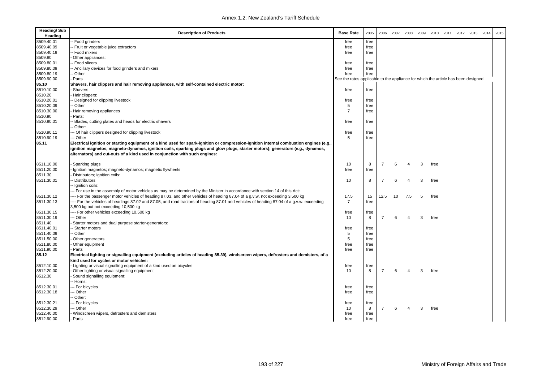| <b>Heading/Sub</b><br>Heading | <b>Description of Products</b>                                                                                                            | <b>Base Rate</b>                                                                  | 2005 | 2006           | 2007 | 2008           | 2009 | 2010 | 2011 | 2012 | 2013 | 2014 | 2015 |
|-------------------------------|-------------------------------------------------------------------------------------------------------------------------------------------|-----------------------------------------------------------------------------------|------|----------------|------|----------------|------|------|------|------|------|------|------|
| 8509.40.01                    | Food grinders                                                                                                                             | free                                                                              | free |                |      |                |      |      |      |      |      |      |      |
| 8509.40.09                    | Fruit or vegetable juice extractors                                                                                                       | free                                                                              | free |                |      |                |      |      |      |      |      |      |      |
| 8509.40.19                    | - Food mixers                                                                                                                             | free                                                                              | free |                |      |                |      |      |      |      |      |      |      |
| 8509.80                       | Other appliances:                                                                                                                         |                                                                                   |      |                |      |                |      |      |      |      |      |      |      |
| 8509.80.01                    | Food slicers                                                                                                                              | free                                                                              | free |                |      |                |      |      |      |      |      |      |      |
| 8509.80.09                    | - Ancillary devices for food grinders and mixers                                                                                          | free                                                                              | free |                |      |                |      |      |      |      |      |      |      |
| 8509.80.19                    | - Other                                                                                                                                   | free                                                                              | free |                |      |                |      |      |      |      |      |      |      |
| 8509.90.00                    | Parts                                                                                                                                     | See the rates applicable to the appliance for which the article has been designed |      |                |      |                |      |      |      |      |      |      |      |
| 85.10                         | Shavers, hair clippers and hair removing appliances, with self-contained electric motor:                                                  |                                                                                   |      |                |      |                |      |      |      |      |      |      |      |
| 8510.10.00                    | Shavers                                                                                                                                   | free                                                                              | free |                |      |                |      |      |      |      |      |      |      |
| 8510.20                       | Hair clippers:                                                                                                                            |                                                                                   |      |                |      |                |      |      |      |      |      |      |      |
| 8510.20.01                    | Designed for clipping livestock                                                                                                           | free                                                                              | free |                |      |                |      |      |      |      |      |      |      |
| 8510.20.09                    | Other                                                                                                                                     | 5                                                                                 | free |                |      |                |      |      |      |      |      |      |      |
| 8510.30.00                    | Hair removing appliances                                                                                                                  | $\overline{7}$                                                                    | free |                |      |                |      |      |      |      |      |      |      |
| 8510.90                       | Parts:                                                                                                                                    |                                                                                   |      |                |      |                |      |      |      |      |      |      |      |
| 8510.90.01                    | Blades, cutting plates and heads for electric shavers                                                                                     | free                                                                              | free |                |      |                |      |      |      |      |      |      |      |
|                               | Other:                                                                                                                                    |                                                                                   |      |                |      |                |      |      |      |      |      |      |      |
| 8510.90.11                    | -- Of hair clippers designed for clipping livestock                                                                                       | free                                                                              | free |                |      |                |      |      |      |      |      |      |      |
| 8510.90.19                    | -- Other                                                                                                                                  | 5                                                                                 | free |                |      |                |      |      |      |      |      |      |      |
| 85.11                         | Electrical ignition or starting equipment of a kind used for spark-ignition or compression-ignition internal combustion engines (e.g.     |                                                                                   |      |                |      |                |      |      |      |      |      |      |      |
|                               | ignition magnetos, magneto-dynamos, ignition coils, sparking plugs and glow plugs, starter motors); generators (e.g., dynamos,            |                                                                                   |      |                |      |                |      |      |      |      |      |      |      |
|                               | alternators) and cut-outs of a kind used in conjunction with such engines:                                                                |                                                                                   |      |                |      |                |      |      |      |      |      |      |      |
|                               |                                                                                                                                           |                                                                                   |      |                |      |                |      |      |      |      |      |      |      |
| 8511.10.00                    | Sparking plugs                                                                                                                            | 10                                                                                | 8    | $\overline{7}$ | 6    | $\overline{4}$ | 3    | free |      |      |      |      |      |
| 8511.20.00                    | Ignition magnetos; magneto-dynamos; magnetic flywheels                                                                                    | free                                                                              | free |                |      |                |      |      |      |      |      |      |      |
| 8511.30                       | Distributors; ignition coils:                                                                                                             |                                                                                   |      |                |      |                |      |      |      |      |      |      |      |
| 8511.30.01                    | Distributors                                                                                                                              | 10                                                                                | 8    | $\overline{7}$ | 6    | $\overline{4}$ | 3    | free |      |      |      |      |      |
|                               | Ignition coils:                                                                                                                           |                                                                                   |      |                |      |                |      |      |      |      |      |      |      |
|                               | --- For use in the assembly of motor vehicles as may be determined by the Minister in accordance with section 14 of this Act:             |                                                                                   |      |                |      |                |      |      |      |      |      |      |      |
| 8511.30.12                    | --- For the passenger motor vehicles of heading 87.03, and other vehicles of heading 87.04 of a g.v.w. not exceeding 3,500 kg             | 17.5                                                                              | 15   | 12.5           | 10   | 7.5            | 5    | free |      |      |      |      |      |
| 8511.30.13                    | ---- For the vehicles of headings 87.02 and 87.05, and road tractors of heading 87.01 and vehicles of heading 87.04 of a g.v.w. exceeding | $\overline{7}$                                                                    | free |                |      |                |      |      |      |      |      |      |      |
|                               | 3,500 kg but not exceeding 10,500 kg                                                                                                      |                                                                                   |      |                |      |                |      |      |      |      |      |      |      |
| 8511.30.15                    | ---- For other vehicles exceeding 10,500 kg                                                                                               | free                                                                              | free |                |      |                |      |      |      |      |      |      |      |
| 8511.30.19                    | -- Other                                                                                                                                  | 10                                                                                | 8    | $\overline{7}$ | 6    | $\overline{4}$ | 3    | free |      |      |      |      |      |
| 8511.40                       | Starter motors and dual purpose starter-generators:                                                                                       |                                                                                   |      |                |      |                |      |      |      |      |      |      |      |
| 8511.40.01                    | - Starter motors                                                                                                                          | free                                                                              | free |                |      |                |      |      |      |      |      |      |      |
| 8511.40.09                    | - Other                                                                                                                                   | 5                                                                                 | free |                |      |                |      |      |      |      |      |      |      |
| 8511.50.00                    | Other generators                                                                                                                          | 5                                                                                 | free |                |      |                |      |      |      |      |      |      |      |
| 8511.80.00                    | Other equipment                                                                                                                           | free                                                                              | free |                |      |                |      |      |      |      |      |      |      |
| 8511.90.00                    | Parts                                                                                                                                     | free                                                                              | free |                |      |                |      |      |      |      |      |      |      |
| 85.12                         | Electrical lighting or signalling equipment (excluding articles of heading 85.39), windscreen wipers, defrosters and demisters, of a      |                                                                                   |      |                |      |                |      |      |      |      |      |      |      |
|                               | kind used for cycles or motor vehicles:                                                                                                   |                                                                                   |      |                |      |                |      |      |      |      |      |      |      |
| 8512.10.00                    | Lighting or visual signalling equipment of a kind used on bicycles                                                                        | free                                                                              | free |                |      |                |      |      |      |      |      |      |      |
| 8512.20.00                    | Other lighting or visual signalling equipment                                                                                             | 10                                                                                | 8    | $\overline{7}$ | 6    | $\overline{4}$ | 3    | free |      |      |      |      |      |
| 8512.30                       | Sound signalling equipment:                                                                                                               |                                                                                   |      |                |      |                |      |      |      |      |      |      |      |
|                               | - Horns:                                                                                                                                  |                                                                                   |      |                |      |                |      |      |      |      |      |      |      |
| 8512.30.01                    | -- For bicycles                                                                                                                           | free                                                                              | free |                |      |                |      |      |      |      |      |      |      |
| 8512.30.18                    | -- Other                                                                                                                                  | free                                                                              | free |                |      |                |      |      |      |      |      |      |      |
|                               | - Other:                                                                                                                                  |                                                                                   |      |                |      |                |      |      |      |      |      |      |      |
| 8512.30.21                    | -- For bicycles                                                                                                                           | free                                                                              | free |                |      |                |      |      |      |      |      |      |      |
| 8512.30.29                    | -- Other                                                                                                                                  | 10                                                                                | 8    | $\overline{7}$ | 6    | $\overline{4}$ | 3    | free |      |      |      |      |      |
| 8512.40.00                    | Windscreen wipers, defrosters and demisters                                                                                               | free                                                                              | free |                |      |                |      |      |      |      |      |      |      |
| 8512.90.00                    | Parts                                                                                                                                     | free                                                                              | free |                |      |                |      |      |      |      |      |      |      |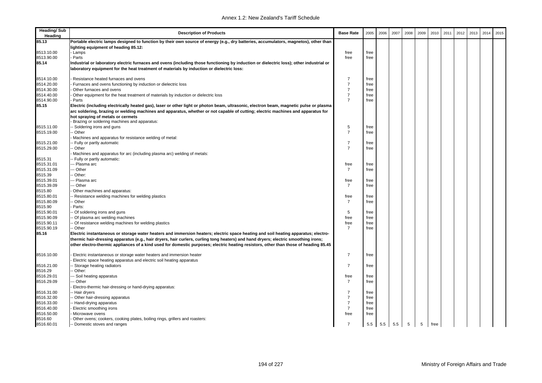| <b>Heading/Sub</b><br>Heading | <b>Description of Products</b>                                                                                                                                                                                                                                             | <b>Base Rate</b> | 2005 | 2006 | 2007 | 2008 | 2009 | 2010 | 2011 | 2012 | 2013 | 2014 | 2015 |
|-------------------------------|----------------------------------------------------------------------------------------------------------------------------------------------------------------------------------------------------------------------------------------------------------------------------|------------------|------|------|------|------|------|------|------|------|------|------|------|
| 85.13                         | Portable electric lamps designed to function by their own source of energy (e.g., dry batteries, accumulators, magnetos), other than                                                                                                                                       |                  |      |      |      |      |      |      |      |      |      |      |      |
|                               | lighting equipment of heading 85.12:                                                                                                                                                                                                                                       |                  |      |      |      |      |      |      |      |      |      |      |      |
| 8513.10.00                    | Lamps                                                                                                                                                                                                                                                                      | free             | free |      |      |      |      |      |      |      |      |      |      |
| 8513.90.00                    | Parts                                                                                                                                                                                                                                                                      | free             | free |      |      |      |      |      |      |      |      |      |      |
| 85.14                         | Industrial or laboratory electric furnaces and ovens (including those functioning by induction or dielectric loss); other industrial or                                                                                                                                    |                  |      |      |      |      |      |      |      |      |      |      |      |
|                               | laboratory equipment for the heat treatment of materials by induction or dielectric loss:                                                                                                                                                                                  |                  |      |      |      |      |      |      |      |      |      |      |      |
| 8514.10.00                    | Resistance heated furnaces and ovens                                                                                                                                                                                                                                       | $\overline{7}$   | free |      |      |      |      |      |      |      |      |      |      |
| 8514.20.00                    | Furnaces and ovens functioning by induction or dielectric loss                                                                                                                                                                                                             | $\overline{7}$   | free |      |      |      |      |      |      |      |      |      |      |
| 8514.30.00                    | Other furnaces and ovens                                                                                                                                                                                                                                                   | $\overline{7}$   | free |      |      |      |      |      |      |      |      |      |      |
| 8514.40.00                    | Other equipment for the heat treatment of materials by induction or dielectric loss                                                                                                                                                                                        | $\overline{7}$   | free |      |      |      |      |      |      |      |      |      |      |
| 8514.90.00                    | Parts                                                                                                                                                                                                                                                                      | $\overline{7}$   | free |      |      |      |      |      |      |      |      |      |      |
| 85.15                         | Electric (including electrically heated gas), laser or other light or photon beam, ultrasonic, electron beam, magnetic pulse or plasma<br>arc soldering, brazing or welding machines and apparatus, whether or not capable of cutting; electric machines and apparatus for |                  |      |      |      |      |      |      |      |      |      |      |      |
|                               | hot spraying of metals or cermets                                                                                                                                                                                                                                          |                  |      |      |      |      |      |      |      |      |      |      |      |
|                               | Brazing or soldering machines and apparatus:                                                                                                                                                                                                                               |                  |      |      |      |      |      |      |      |      |      |      |      |
| 8515.11.00                    | Soldering irons and guns                                                                                                                                                                                                                                                   | 5                | free |      |      |      |      |      |      |      |      |      |      |
| 8515.19.00                    | Other                                                                                                                                                                                                                                                                      | $\overline{7}$   | free |      |      |      |      |      |      |      |      |      |      |
|                               | Machines and apparatus for resistance welding of metal:                                                                                                                                                                                                                    |                  |      |      |      |      |      |      |      |      |      |      |      |
| 8515.21.00                    | Fully or partly automatic                                                                                                                                                                                                                                                  | $\overline{7}$   | free |      |      |      |      |      |      |      |      |      |      |
| 8515.29.00                    | Other                                                                                                                                                                                                                                                                      | $\overline{7}$   | free |      |      |      |      |      |      |      |      |      |      |
|                               | Machines and apparatus for arc (including plasma arc) welding of metals:                                                                                                                                                                                                   |                  |      |      |      |      |      |      |      |      |      |      |      |
| 8515.31                       | Fully or partly automatic:                                                                                                                                                                                                                                                 |                  |      |      |      |      |      |      |      |      |      |      |      |
| 8515.31.01                    | -- Plasma arc                                                                                                                                                                                                                                                              | free             | free |      |      |      |      |      |      |      |      |      |      |
| 8515.31.09                    | - Other                                                                                                                                                                                                                                                                    | $\overline{7}$   | free |      |      |      |      |      |      |      |      |      |      |
| 8515.39                       | Other:                                                                                                                                                                                                                                                                     |                  |      |      |      |      |      |      |      |      |      |      |      |
| 8515.39.01                    | - Plasma arc                                                                                                                                                                                                                                                               | free             | free |      |      |      |      |      |      |      |      |      |      |
| 8515.39.09                    | - Other                                                                                                                                                                                                                                                                    | $\overline{7}$   | free |      |      |      |      |      |      |      |      |      |      |
| 8515.80                       | Other machines and apparatus:                                                                                                                                                                                                                                              |                  |      |      |      |      |      |      |      |      |      |      |      |
| 8515.80.01                    | Resistance welding machines for welding plastics                                                                                                                                                                                                                           | free             | free |      |      |      |      |      |      |      |      |      |      |
| 8515.80.09                    | Other                                                                                                                                                                                                                                                                      | $\overline{7}$   | free |      |      |      |      |      |      |      |      |      |      |
| 8515.90                       | Parts:                                                                                                                                                                                                                                                                     |                  |      |      |      |      |      |      |      |      |      |      |      |
| 8515.90.01                    | Of soldering irons and guns                                                                                                                                                                                                                                                | 5                | free |      |      |      |      |      |      |      |      |      |      |
| 8515.90.09                    | Of plasma arc welding machines                                                                                                                                                                                                                                             | free             | free |      |      |      |      |      |      |      |      |      |      |
| 8515.90.11                    | Of resistance welding machines for welding plastics                                                                                                                                                                                                                        | free             | free |      |      |      |      |      |      |      |      |      |      |
| 8515.90.19                    | - Other                                                                                                                                                                                                                                                                    | $\overline{7}$   | free |      |      |      |      |      |      |      |      |      |      |
| 85.16                         | Electric instantaneous or storage water heaters and immersion heaters; electric space heating and soil heating apparatus; electro-<br>thermic hair-dressing apparatus (e.g., hair dryers, hair curlers, curling tong heaters) and hand dryers; electric smoothing irons;   |                  |      |      |      |      |      |      |      |      |      |      |      |
|                               | other electro-thermic appliances of a kind used for domestic purposes; electric heating resistors, other than those of heading 85.45                                                                                                                                       |                  |      |      |      |      |      |      |      |      |      |      |      |
| 8516.10.00                    | Electric instantaneous or storage water heaters and immersion heater                                                                                                                                                                                                       | $\overline{7}$   | free |      |      |      |      |      |      |      |      |      |      |
|                               | Electric space heating apparatus and electric soil heating apparatus                                                                                                                                                                                                       |                  |      |      |      |      |      |      |      |      |      |      |      |
| 8516.21.00                    | Storage heating radiators                                                                                                                                                                                                                                                  | $\overline{7}$   | free |      |      |      |      |      |      |      |      |      |      |
| 8516.29                       | Other:                                                                                                                                                                                                                                                                     |                  |      |      |      |      |      |      |      |      |      |      |      |
| 8516.29.01                    | - Soil heating apparatus                                                                                                                                                                                                                                                   | free             | free |      |      |      |      |      |      |      |      |      |      |
| 8516.29.09                    | - Other                                                                                                                                                                                                                                                                    | $\overline{7}$   | free |      |      |      |      |      |      |      |      |      |      |
|                               | Electro-thermic hair-dressing or hand-drying apparatus:                                                                                                                                                                                                                    |                  |      |      |      |      |      |      |      |      |      |      |      |
| 8516.31.00                    | Hair dryers                                                                                                                                                                                                                                                                | $\overline{7}$   | free |      |      |      |      |      |      |      |      |      |      |
| 8516.32.00                    | Other hair-dressing apparatus                                                                                                                                                                                                                                              | $\overline{7}$   | free |      |      |      |      |      |      |      |      |      |      |
| 8516.33.00                    | - Hand-drying apparatus                                                                                                                                                                                                                                                    | $\overline{7}$   | free |      |      |      |      |      |      |      |      |      |      |
| 8516.40.00                    | Electric smoothing irons                                                                                                                                                                                                                                                   | $\overline{7}$   | free |      |      |      |      |      |      |      |      |      |      |
| 8516.50.00                    | Microwave ovens                                                                                                                                                                                                                                                            | free             | free |      |      |      |      |      |      |      |      |      |      |
| 8516.60                       | Other ovens; cookers, cooking plates, boiling rings, grillers and roasters:                                                                                                                                                                                                |                  |      |      |      |      |      |      |      |      |      |      |      |
| 8516.60.01                    | - Domestic stoves and ranges                                                                                                                                                                                                                                               | $\overline{7}$   | 5.5  | 5.5  | 5.5  | 5    | 5    | free |      |      |      |      |      |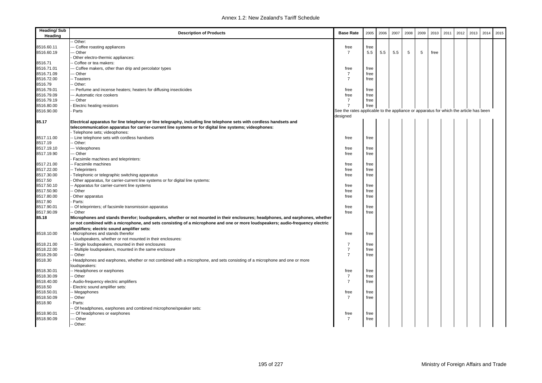| <b>Heading/Sub</b><br>Heading | <b>Description of Products</b>                                                                                                | <b>Base Rate</b>                                                                      | 2005 | 2006 | 2007 | 2008 | 2009 | 2010 | 2011 | 2012 | 2013 | 2014 | 2015 |
|-------------------------------|-------------------------------------------------------------------------------------------------------------------------------|---------------------------------------------------------------------------------------|------|------|------|------|------|------|------|------|------|------|------|
|                               | Other:                                                                                                                        |                                                                                       |      |      |      |      |      |      |      |      |      |      |      |
| 8516.60.11                    | -- Coffee roasting appliances                                                                                                 | free                                                                                  | free |      |      |      |      |      |      |      |      |      |      |
| 8516.60.19                    | -- Other                                                                                                                      | $\overline{7}$                                                                        | 5.5  | 5.5  | 5.5  | 5    | 5    | free |      |      |      |      |      |
|                               | Other electro-thermic appliances:                                                                                             |                                                                                       |      |      |      |      |      |      |      |      |      |      |      |
| 8516.71                       | - Coffee or tea makers:                                                                                                       |                                                                                       |      |      |      |      |      |      |      |      |      |      |      |
| 8516.71.01                    | --- Coffee makers, other than drip and percolator types                                                                       | free                                                                                  | free |      |      |      |      |      |      |      |      |      |      |
| 8516.71.09                    | -- Other                                                                                                                      | $\overline{7}$                                                                        | free |      |      |      |      |      |      |      |      |      |      |
| 8516.72.00                    | -- Toasters                                                                                                                   | $\overline{7}$                                                                        | free |      |      |      |      |      |      |      |      |      |      |
| 8516.79                       | -- Other:                                                                                                                     |                                                                                       |      |      |      |      |      |      |      |      |      |      |      |
| 8516.79.01                    | --- Perfume and incense heaters; heaters for diffusing insecticides                                                           | free                                                                                  | free |      |      |      |      |      |      |      |      |      |      |
| 8516.79.09                    | --- Automatic rice cookers                                                                                                    | free                                                                                  | free |      |      |      |      |      |      |      |      |      |      |
| 8516.79.19                    | -- Other                                                                                                                      | $\overline{7}$                                                                        | free |      |      |      |      |      |      |      |      |      |      |
| 8516.80.00                    | Electric heating resistors                                                                                                    | $\overline{7}$                                                                        | free |      |      |      |      |      |      |      |      |      |      |
| 8516.90.00                    | Parts                                                                                                                         | See the rates applicable to the appliance or apparatus for which the article has been |      |      |      |      |      |      |      |      |      |      |      |
|                               |                                                                                                                               | designed                                                                              |      |      |      |      |      |      |      |      |      |      |      |
| 85.17                         | Electrical apparatus for line telephony or line telegraphy, including line telephone sets with cordless handsets and          |                                                                                       |      |      |      |      |      |      |      |      |      |      |      |
|                               | telecommunication apparatus for carrier-current line systems or for digital line systems; videophones:                        |                                                                                       |      |      |      |      |      |      |      |      |      |      |      |
|                               | - Telephone sets; videophones:                                                                                                |                                                                                       |      |      |      |      |      |      |      |      |      |      |      |
| 8517.11.00                    | - Line telephone sets with cordless handsets                                                                                  | free                                                                                  | free |      |      |      |      |      |      |      |      |      |      |
| 8517.19                       | - Other:                                                                                                                      |                                                                                       |      |      |      |      |      |      |      |      |      |      |      |
| 8517.19.10                    | --- Videophones                                                                                                               | free                                                                                  | free |      |      |      |      |      |      |      |      |      |      |
| 8517.19.90                    | -- Other                                                                                                                      | free                                                                                  | free |      |      |      |      |      |      |      |      |      |      |
|                               | Facsimile machines and teleprinters:                                                                                          |                                                                                       |      |      |      |      |      |      |      |      |      |      |      |
| 8517.21.00                    | -- Facsimile machines                                                                                                         | free                                                                                  | free |      |      |      |      |      |      |      |      |      |      |
| 8517.22.00                    | -- Teleprinters                                                                                                               | free                                                                                  | free |      |      |      |      |      |      |      |      |      |      |
| 8517.30.00                    | Telephonic or telegraphic switching apparatus                                                                                 | free                                                                                  | free |      |      |      |      |      |      |      |      |      |      |
| 8517.50                       | Other apparatus, for carrier-current line systems or for digital line systems:                                                |                                                                                       |      |      |      |      |      |      |      |      |      |      |      |
| 8517.50.10                    | - Apparatus for carrier-current line systems                                                                                  | free                                                                                  | free |      |      |      |      |      |      |      |      |      |      |
| 8517.50.90                    | - Other                                                                                                                       | free                                                                                  | free |      |      |      |      |      |      |      |      |      |      |
| 8517.80.00                    | Other apparatus                                                                                                               | free                                                                                  | free |      |      |      |      |      |      |      |      |      |      |
| 8517.90                       | Parts:                                                                                                                        |                                                                                       |      |      |      |      |      |      |      |      |      |      |      |
| 8517.90.01                    | - Of teleprinters; of facsimile transmission apparatus                                                                        | free                                                                                  | free |      |      |      |      |      |      |      |      |      |      |
| 8517.90.09                    | - Other                                                                                                                       | free                                                                                  | free |      |      |      |      |      |      |      |      |      |      |
| 85.18                         | Microphones and stands therefor; loudspeakers, whether or not mounted in their enclosures; headphones, and earphones, whether |                                                                                       |      |      |      |      |      |      |      |      |      |      |      |
|                               | or not combined with a microphone, and sets consisting of a microphone and one or more loudspeakers; audio-frequency electric |                                                                                       |      |      |      |      |      |      |      |      |      |      |      |
|                               | amplifiers; electric sound amplifier sets:                                                                                    |                                                                                       |      |      |      |      |      |      |      |      |      |      |      |
| 8518.10.00                    | Microphones and stands therefor                                                                                               | free                                                                                  | free |      |      |      |      |      |      |      |      |      |      |
|                               | Loudspeakers, whether or not mounted in their enclosures:                                                                     |                                                                                       |      |      |      |      |      |      |      |      |      |      |      |
| 8518.21.00                    | - Single loudspeakers, mounted in their enclosures                                                                            | $\overline{7}$                                                                        | free |      |      |      |      |      |      |      |      |      |      |
| 8518.22.00                    | - Multiple loudspeakers, mounted in the same enclosure                                                                        | $\overline{7}$                                                                        | free |      |      |      |      |      |      |      |      |      |      |
| 8518.29.00                    | - Other                                                                                                                       | $\overline{7}$                                                                        | free |      |      |      |      |      |      |      |      |      |      |
| 8518.30                       | Headphones and earphones, whether or not combined with a microphone, and sets consisting of a microphone and one or more      |                                                                                       |      |      |      |      |      |      |      |      |      |      |      |
|                               | loudspeakers:                                                                                                                 |                                                                                       |      |      |      |      |      |      |      |      |      |      |      |
| 8518.30.01                    | - Headphones or earphones                                                                                                     | free                                                                                  | free |      |      |      |      |      |      |      |      |      |      |
| 8518.30.09                    | - Other                                                                                                                       | 7                                                                                     | free |      |      |      |      |      |      |      |      |      |      |
| 8518.40.00                    | Audio-frequency electric amplifiers                                                                                           | $\overline{7}$                                                                        | free |      |      |      |      |      |      |      |      |      |      |
| 8518.50                       | Electric sound amplifier sets:                                                                                                |                                                                                       |      |      |      |      |      |      |      |      |      |      |      |
| 8518.50.01                    | - Megaphones                                                                                                                  | free                                                                                  | free |      |      |      |      |      |      |      |      |      |      |
| 8518.50.09                    | - Other                                                                                                                       | $\overline{7}$                                                                        | free |      |      |      |      |      |      |      |      |      |      |
| 8518.90                       | Parts:                                                                                                                        |                                                                                       |      |      |      |      |      |      |      |      |      |      |      |
|                               | Of headphones, earphones and combined microphone/speaker sets:                                                                |                                                                                       |      |      |      |      |      |      |      |      |      |      |      |
| 8518.90.01                    | -- Of headphones or earphones                                                                                                 | free                                                                                  | free |      |      |      |      |      |      |      |      |      |      |
| 8518.90.09                    | -- Other                                                                                                                      | 7                                                                                     | free |      |      |      |      |      |      |      |      |      |      |
|                               | -- Other:                                                                                                                     |                                                                                       |      |      |      |      |      |      |      |      |      |      |      |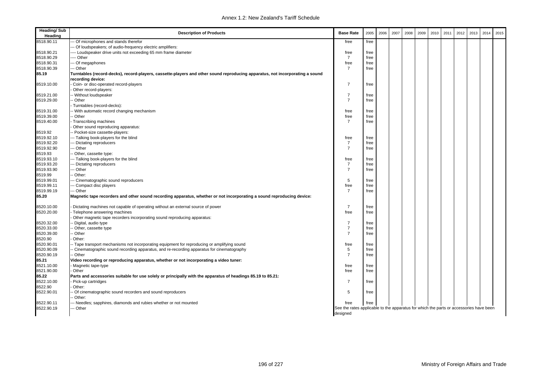| <b>Heading/Sub</b><br>Heading | <b>Description of Products</b>                                                                                               | <b>Base Rate</b>                                                                       | 2005 | 2006 | 2007 | 2008 | 2009 | 2010 | 2011 | 2012 | 2013 | 2014 | 2015 |
|-------------------------------|------------------------------------------------------------------------------------------------------------------------------|----------------------------------------------------------------------------------------|------|------|------|------|------|------|------|------|------|------|------|
| 8518.90.11                    | Of microphones and stands therefor                                                                                           | free                                                                                   | free |      |      |      |      |      |      |      |      |      |      |
|                               | Of loudspeakers; of audio-frequency electric amplifiers:                                                                     |                                                                                        |      |      |      |      |      |      |      |      |      |      |      |
| 8518.90.21                    | --- Loudspeaker drive units not exceeding 65 mm frame diameter                                                               | free                                                                                   | free |      |      |      |      |      |      |      |      |      |      |
| 8518.90.29                    | --- Other                                                                                                                    | $\overline{7}$                                                                         | free |      |      |      |      |      |      |      |      |      |      |
| 8518.90.31                    | -- Of megaphones                                                                                                             | free                                                                                   | free |      |      |      |      |      |      |      |      |      |      |
| 8518.90.39                    | - Other                                                                                                                      | $\overline{7}$                                                                         | free |      |      |      |      |      |      |      |      |      |      |
| 85.19                         | Turntables (record-decks), record-players, cassette-players and other sound reproducing apparatus, not incorporating a sound |                                                                                        |      |      |      |      |      |      |      |      |      |      |      |
|                               | recording device:                                                                                                            |                                                                                        |      |      |      |      |      |      |      |      |      |      |      |
| 8519.10.00                    | Coin- or disc-operated record-players                                                                                        | $\overline{7}$                                                                         | free |      |      |      |      |      |      |      |      |      |      |
|                               | Other record-players:                                                                                                        |                                                                                        |      |      |      |      |      |      |      |      |      |      |      |
| 8519.21.00                    | -- Without loudspeaker                                                                                                       | $\overline{7}$                                                                         | free |      |      |      |      |      |      |      |      |      |      |
| 8519.29.00                    | - Other                                                                                                                      | $\overline{7}$                                                                         | free |      |      |      |      |      |      |      |      |      |      |
|                               | Turntables (record-decks):                                                                                                   |                                                                                        |      |      |      |      |      |      |      |      |      |      |      |
| 8519.31.00                    | - With automatic record changing mechanism                                                                                   | free                                                                                   | free |      |      |      |      |      |      |      |      |      |      |
| 8519.39.00                    | -- Other                                                                                                                     | free                                                                                   | free |      |      |      |      |      |      |      |      |      |      |
| 8519.40.00                    | Transcribing machines                                                                                                        | $\overline{7}$                                                                         | free |      |      |      |      |      |      |      |      |      |      |
|                               | Other sound reproducing apparatus:                                                                                           |                                                                                        |      |      |      |      |      |      |      |      |      |      |      |
| 8519.92                       | - Pocket-size cassette-players:                                                                                              |                                                                                        |      |      |      |      |      |      |      |      |      |      |      |
| 8519.92.10                    | -- Talking book-players for the blind                                                                                        | free                                                                                   | free |      |      |      |      |      |      |      |      |      |      |
| 8519.92.20                    | - Dictating reproducers                                                                                                      | $\overline{7}$                                                                         | free |      |      |      |      |      |      |      |      |      |      |
| 8519.92.90                    | -- Other                                                                                                                     | $\overline{7}$                                                                         | free |      |      |      |      |      |      |      |      |      |      |
| 8519.93                       | Other, cassette type:                                                                                                        |                                                                                        |      |      |      |      |      |      |      |      |      |      |      |
| 8519.93.10                    | -- Talking book-players for the blind                                                                                        | free                                                                                   | free |      |      |      |      |      |      |      |      |      |      |
| 8519.93.20                    | - Dictating reproducers                                                                                                      | $\overline{7}$                                                                         | free |      |      |      |      |      |      |      |      |      |      |
| 8519.93.90                    | - Other                                                                                                                      | $\overline{7}$                                                                         | free |      |      |      |      |      |      |      |      |      |      |
| 8519.99                       | - Other:                                                                                                                     |                                                                                        |      |      |      |      |      |      |      |      |      |      |      |
| 8519.99.01                    | -- Cinematographic sound reproducers                                                                                         | 5                                                                                      | free |      |      |      |      |      |      |      |      |      |      |
| 8519.99.11                    | - Compact disc players                                                                                                       | free                                                                                   | free |      |      |      |      |      |      |      |      |      |      |
| 8519.99.19                    | -- Other                                                                                                                     | $\overline{7}$                                                                         | free |      |      |      |      |      |      |      |      |      |      |
| 85.20                         | Magnetic tape recorders and other sound recording apparatus, whether or not incorporating a sound reproducing device:        |                                                                                        |      |      |      |      |      |      |      |      |      |      |      |
|                               |                                                                                                                              |                                                                                        |      |      |      |      |      |      |      |      |      |      |      |
| 8520.10.00                    | Dictating machines not capable of operating without an external source of power                                              | $\overline{7}$                                                                         | free |      |      |      |      |      |      |      |      |      |      |
| 8520.20.00                    | Telephone answering machines                                                                                                 | free                                                                                   | free |      |      |      |      |      |      |      |      |      |      |
|                               | Other magnetic tape recorders incorporating sound reproducing apparatus:                                                     |                                                                                        |      |      |      |      |      |      |      |      |      |      |      |
| 8520.32.00                    | - Digital, audio type                                                                                                        | $\overline{7}$                                                                         | free |      |      |      |      |      |      |      |      |      |      |
| 8520.33.00                    | Other, cassette type                                                                                                         | $\overline{7}$                                                                         | free |      |      |      |      |      |      |      |      |      |      |
| 8520.39.00                    | - Other                                                                                                                      | $\overline{7}$                                                                         | free |      |      |      |      |      |      |      |      |      |      |
| 8520.90                       | Other:                                                                                                                       |                                                                                        |      |      |      |      |      |      |      |      |      |      |      |
| 8520.90.01                    | -- Tape transport mechanisms not incorporating equipment for reproducing or amplifying sound                                 | free                                                                                   | free |      |      |      |      |      |      |      |      |      |      |
| 8520.90.09                    | - Cinematographic sound recording apparatus, and re-recording apparatus for cinematography                                   | 5                                                                                      | free |      |      |      |      |      |      |      |      |      |      |
| 8520.90.19                    | - Other                                                                                                                      | $\overline{7}$                                                                         |      |      |      |      |      |      |      |      |      |      |      |
|                               |                                                                                                                              |                                                                                        | free |      |      |      |      |      |      |      |      |      |      |
| 85.21                         | Video recording or reproducing apparatus, whether or not incorporating a video tuner:                                        |                                                                                        |      |      |      |      |      |      |      |      |      |      |      |
| 8521.10.00                    | Magnetic tape-type                                                                                                           | free                                                                                   | free |      |      |      |      |      |      |      |      |      |      |
| 8521.90.00                    | Other                                                                                                                        | free                                                                                   | free |      |      |      |      |      |      |      |      |      |      |
| 85.22                         | Parts and accessories suitable for use solely or principally with the apparatus of headings 85.19 to 85.21:                  |                                                                                        |      |      |      |      |      |      |      |      |      |      |      |
| 8522.10.00                    | Pick-up cartridges                                                                                                           | $\overline{7}$                                                                         | free |      |      |      |      |      |      |      |      |      |      |
| 8522.90                       | Other:                                                                                                                       |                                                                                        |      |      |      |      |      |      |      |      |      |      |      |
| 8522.90.01                    | Of cinematographic sound recorders and sound reproducers                                                                     | 5                                                                                      | free |      |      |      |      |      |      |      |      |      |      |
|                               | Other:                                                                                                                       |                                                                                        |      |      |      |      |      |      |      |      |      |      |      |
| 8522.90.11                    | Needles; sapphires, diamonds and rubies whether or not mounted                                                               | free                                                                                   | free |      |      |      |      |      |      |      |      |      |      |
| 8522.90.19                    | Other                                                                                                                        | See the rates applicable to the apparatus for which the parts or accessories have been |      |      |      |      |      |      |      |      |      |      |      |
|                               |                                                                                                                              | desianed                                                                               |      |      |      |      |      |      |      |      |      |      |      |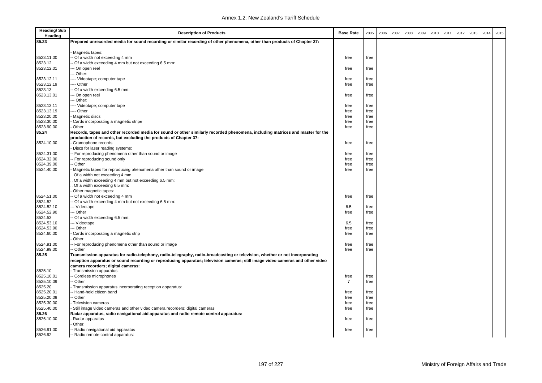| <b>Heading/Sub</b><br>Heading | <b>Description of Products</b>                                                                                                 | <b>Base Rate</b> | 2005         | 2006 | 2007 | 2008 | 2009 | 2010 | 2011 | 2012 | 2013 | 2014 | 2015 |
|-------------------------------|--------------------------------------------------------------------------------------------------------------------------------|------------------|--------------|------|------|------|------|------|------|------|------|------|------|
| 85.23                         | Prepared unrecorded media for sound recording or similar recording of other phenomena, other than products of Chapter 37:      |                  |              |      |      |      |      |      |      |      |      |      |      |
|                               |                                                                                                                                |                  |              |      |      |      |      |      |      |      |      |      |      |
|                               | Magnetic tapes:                                                                                                                |                  |              |      |      |      |      |      |      |      |      |      |      |
| 8523.11.00                    | - Of a width not exceeding 4 mm                                                                                                | free             | free         |      |      |      |      |      |      |      |      |      |      |
| 8523.12                       | Of a width exceeding 4 mm but not exceeding 6.5 mm:                                                                            |                  |              |      |      |      |      |      |      |      |      |      |      |
| 8523.12.01                    | -- On open reel                                                                                                                | free             | free         |      |      |      |      |      |      |      |      |      |      |
|                               | -- Other:                                                                                                                      |                  |              |      |      |      |      |      |      |      |      |      |      |
| 8523.12.11<br>8523.12.19      | --- Videotape; computer tape<br>--- Other                                                                                      | free             | free<br>free |      |      |      |      |      |      |      |      |      |      |
| 8523.13                       |                                                                                                                                | free             |              |      |      |      |      |      |      |      |      |      |      |
| 8523.13.01                    | - Of a width exceeding 6.5 mm:<br>-- On open reel                                                                              | free             | free         |      |      |      |      |      |      |      |      |      |      |
|                               | -- Other:                                                                                                                      |                  |              |      |      |      |      |      |      |      |      |      |      |
| 8523.13.11                    | --- Videotape; computer tape                                                                                                   | free             | free         |      |      |      |      |      |      |      |      |      |      |
| 8523.13.19                    | --- Other                                                                                                                      | free             | free         |      |      |      |      |      |      |      |      |      |      |
| 8523.20.00                    | Magnetic discs                                                                                                                 | free             | free         |      |      |      |      |      |      |      |      |      |      |
| 8523.30.00                    | Cards incorporating a magnetic stripe                                                                                          | free             | free         |      |      |      |      |      |      |      |      |      |      |
| 8523.90.00                    | Other                                                                                                                          | free             | free         |      |      |      |      |      |      |      |      |      |      |
| 85.24                         | Records, tapes and other recorded media for sound or other similarly recorded phenomena, including matrices and master for the |                  |              |      |      |      |      |      |      |      |      |      |      |
|                               | production of records, but excluding the products of Chapter 37:                                                               |                  |              |      |      |      |      |      |      |      |      |      |      |
| 8524.10.00                    | Gramophone records                                                                                                             | free             | free         |      |      |      |      |      |      |      |      |      |      |
|                               | Discs for laser reading systems:                                                                                               |                  |              |      |      |      |      |      |      |      |      |      |      |
| 8524.31.00                    | - For reproducing phenomena other than sound or image                                                                          | free             | free         |      |      |      |      |      |      |      |      |      |      |
| 8524.32.00                    | For reproducing sound only                                                                                                     | free             | free         |      |      |      |      |      |      |      |      |      |      |
| 8524.39.00                    | - Other                                                                                                                        | free             | free         |      |      |      |      |      |      |      |      |      |      |
| 8524.40.00                    | Magnetic tapes for reproducing phenomena other than sound or image                                                             | free             | free         |      |      |      |      |      |      |      |      |      |      |
|                               | Of a width not exceeding 4 mm                                                                                                  |                  |              |      |      |      |      |      |      |      |      |      |      |
|                               | Of a width exceeding 4 mm but not exceeding 6.5 mm:                                                                            |                  |              |      |      |      |      |      |      |      |      |      |      |
|                               | Of a width exceeding 6.5 mm:                                                                                                   |                  |              |      |      |      |      |      |      |      |      |      |      |
|                               | Other magnetic tapes:                                                                                                          |                  |              |      |      |      |      |      |      |      |      |      |      |
| 8524.51.00                    | Of a width not exceeding 4 mm                                                                                                  | free             | free         |      |      |      |      |      |      |      |      |      |      |
| 8524.52                       | Of a width exceeding 4 mm but not exceeding 6.5 mm:                                                                            |                  |              |      |      |      |      |      |      |      |      |      |      |
| 8524.52.10                    | -- Videotape                                                                                                                   | 6.5              | free         |      |      |      |      |      |      |      |      |      |      |
| 8524.52.90                    | -- Other                                                                                                                       | free             | free         |      |      |      |      |      |      |      |      |      |      |
| 8524.53                       | Of a width exceeding 6.5 mm:                                                                                                   |                  |              |      |      |      |      |      |      |      |      |      |      |
| 8524.53.10                    | -- Videotape                                                                                                                   | 6.5              | free         |      |      |      |      |      |      |      |      |      |      |
| 8524.53.90                    | -- Other                                                                                                                       | free             | free         |      |      |      |      |      |      |      |      |      |      |
| 8524.60.00                    | Cards incorporating a magnetic strip                                                                                           | free             | free         |      |      |      |      |      |      |      |      |      |      |
|                               | Other                                                                                                                          |                  |              |      |      |      |      |      |      |      |      |      |      |
| 8524.91.00                    | For reproducing phenomena other than sound or image                                                                            | free             | free         |      |      |      |      |      |      |      |      |      |      |
| 8524.99.00                    | Other                                                                                                                          | free             | free         |      |      |      |      |      |      |      |      |      |      |
| 85.25                         | Transmission apparatus for radio-telephony, radio-telegraphy, radio-broadcasting or television, whether or not incorporating   |                  |              |      |      |      |      |      |      |      |      |      |      |
|                               | reception apparatus or sound recording or reproducing apparatus; television cameras; still image video cameras and other video |                  |              |      |      |      |      |      |      |      |      |      |      |
|                               | camera recorders; digital cameras:                                                                                             |                  |              |      |      |      |      |      |      |      |      |      |      |
| 8525.10                       | Transmission apparatus:                                                                                                        |                  |              |      |      |      |      |      |      |      |      |      |      |
| 8525.10.01                    | - Cordless microphones                                                                                                         | free             | free         |      |      |      |      |      |      |      |      |      |      |
| 8525.10.09                    | - Other                                                                                                                        | $\overline{7}$   | free         |      |      |      |      |      |      |      |      |      |      |
| 8525.20                       | Transmission apparatus incorporating reception apparatus:                                                                      |                  |              |      |      |      |      |      |      |      |      |      |      |
| 8525.20.01                    | Hand-held citizen band                                                                                                         | free             | free         |      |      |      |      |      |      |      |      |      |      |
| 8525.20.09                    | - Other                                                                                                                        | free             | free         |      |      |      |      |      |      |      |      |      |      |
| 8525.30.00                    | Television cameras                                                                                                             | free             | free         |      |      |      |      |      |      |      |      |      |      |
| 8525.40.00                    | Still image video cameras and other video camera recorders; digital cameras                                                    | free             | free         |      |      |      |      |      |      |      |      |      |      |
| 85.26                         | Radar apparatus, radio navigational aid apparatus and radio remote control apparatus:                                          |                  |              |      |      |      |      |      |      |      |      |      |      |
| 8526.10.00                    | Radar apparatus                                                                                                                | free             | free         |      |      |      |      |      |      |      |      |      |      |
|                               | Other:                                                                                                                         |                  |              |      |      |      |      |      |      |      |      |      |      |
| 8526.91.00                    | Radio navigational aid apparatus                                                                                               | free             | free         |      |      |      |      |      |      |      |      |      |      |
| 8526.92                       | Radio remote control apparatus:                                                                                                |                  |              |      |      |      |      |      |      |      |      |      |      |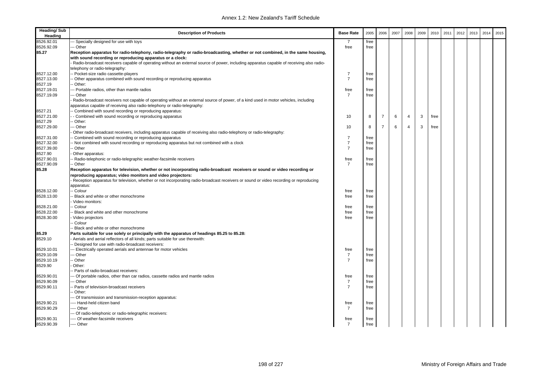| <b>Heading/Sub</b><br>Heading | <b>Description of Products</b>                                                                                                                                                                       | <b>Base Rate</b> | 2005 | 2006           | 2007 | 2008           | 2009 | 2010 | 2011 | 2012 | 2013 | 2014 | 2015 |
|-------------------------------|------------------------------------------------------------------------------------------------------------------------------------------------------------------------------------------------------|------------------|------|----------------|------|----------------|------|------|------|------|------|------|------|
| 8526.92.01                    | -- Specially designed for use with toys                                                                                                                                                              | 7                | free |                |      |                |      |      |      |      |      |      |      |
| 8526.92.09                    | -- Other                                                                                                                                                                                             | free             | free |                |      |                |      |      |      |      |      |      |      |
| 85.27                         | Reception apparatus for radio-telephony, radio-telegraphy or radio-broadcasting, whether or not combined, in the same housing,                                                                       |                  |      |                |      |                |      |      |      |      |      |      |      |
|                               | with sound recording or reproducing apparatus or a clock:                                                                                                                                            |                  |      |                |      |                |      |      |      |      |      |      |      |
|                               | - Radio-broadcast receivers capable of operating without an external source of power, including apparatus capable of receiving also radio-                                                           |                  |      |                |      |                |      |      |      |      |      |      |      |
|                               | telephony or radio-telegraphy:                                                                                                                                                                       |                  |      |                |      |                |      |      |      |      |      |      |      |
| 8527.12.00                    | - Pocket-size radio cassette-players                                                                                                                                                                 | 7                | free |                |      |                |      |      |      |      |      |      |      |
| 8527.13.00                    | - Other apparatus combined with sound recording or reproducing apparatus                                                                                                                             | $\overline{7}$   | free |                |      |                |      |      |      |      |      |      |      |
| 8527.19                       | - Other:                                                                                                                                                                                             |                  |      |                |      |                |      |      |      |      |      |      |      |
| 8527.19.01                    | -- Portable radios, other than mantle radios                                                                                                                                                         | free             | free |                |      |                |      |      |      |      |      |      |      |
| 8527.19.09                    | -- Other                                                                                                                                                                                             | $\overline{7}$   | free |                |      |                |      |      |      |      |      |      |      |
|                               | Radio-broadcast receivers not capable of operating without an external source of power, of a kind used in motor vehicles, including                                                                  |                  |      |                |      |                |      |      |      |      |      |      |      |
|                               | apparatus capable of receiving also radio-telephony or radio-telegraphy:                                                                                                                             |                  |      |                |      |                |      |      |      |      |      |      |      |
| 8527.21                       | - Combined with sound recording or reproducing apparatus:                                                                                                                                            |                  |      |                |      |                |      |      |      |      |      |      |      |
| 8527.21.00                    | - Combined with sound recording or reproducing apparatus                                                                                                                                             | 10               | 8    | $\overline{7}$ | 6    | 4              | 3    | free |      |      |      |      |      |
| 8527.29                       | - Other:                                                                                                                                                                                             |                  |      |                |      |                |      |      |      |      |      |      |      |
| 8527.29.00                    | -- Other                                                                                                                                                                                             | 10               | 8    | $\overline{7}$ | 6    | $\overline{4}$ | 3    | free |      |      |      |      |      |
|                               | Other radio-broadcast receivers, including apparatus capable of receiving also radio-telephony or radio-telegraphy:                                                                                  |                  |      |                |      |                |      |      |      |      |      |      |      |
| 8527.31.00                    | Combined with sound recording or reproducing apparatus                                                                                                                                               | $\overline{7}$   | free |                |      |                |      |      |      |      |      |      |      |
| 8527.32.00                    | - Not combined with sound recording or reproducing apparatus but not combined with a clock                                                                                                           | $\overline{7}$   | free |                |      |                |      |      |      |      |      |      |      |
| 8527.39.00                    | - Other                                                                                                                                                                                              | $\overline{7}$   | free |                |      |                |      |      |      |      |      |      |      |
| 8527.90                       | Other apparatus:                                                                                                                                                                                     |                  |      |                |      |                |      |      |      |      |      |      |      |
| 8527.90.01                    | Radio-telephonic or radio-telegraphic weather-facsimile receivers                                                                                                                                    | free             | free |                |      |                |      |      |      |      |      |      |      |
| 8527.90.09                    | - Other                                                                                                                                                                                              | $\overline{7}$   | free |                |      |                |      |      |      |      |      |      |      |
| 85.28                         | Reception apparatus for television, whether or not incorporating radio-broadcast receivers or sound or video recording or                                                                            |                  |      |                |      |                |      |      |      |      |      |      |      |
|                               | reproducing apparatus; video monitors and video projectors:<br>Reception apparatus for television, whether or not incorporating radio-broadcast receivers or sound or video recording or reproducing |                  |      |                |      |                |      |      |      |      |      |      |      |
|                               |                                                                                                                                                                                                      |                  |      |                |      |                |      |      |      |      |      |      |      |
| 8528.12.00                    | apparatus:<br>- Colour                                                                                                                                                                               | free             | free |                |      |                |      |      |      |      |      |      |      |
| 8528.13.00                    | Black and white or other monochrome                                                                                                                                                                  | free             | free |                |      |                |      |      |      |      |      |      |      |
|                               | Video monitors:                                                                                                                                                                                      |                  |      |                |      |                |      |      |      |      |      |      |      |
| 8528.21.00                    | - Colour                                                                                                                                                                                             | free             | free |                |      |                |      |      |      |      |      |      |      |
| 8528.22.00                    | Black and white and other monochrome                                                                                                                                                                 | free             | free |                |      |                |      |      |      |      |      |      |      |
| 8528.30.00                    | Video projectors                                                                                                                                                                                     | free             | free |                |      |                |      |      |      |      |      |      |      |
|                               | Colour                                                                                                                                                                                               |                  |      |                |      |                |      |      |      |      |      |      |      |
|                               | Black and white or other monochrome                                                                                                                                                                  |                  |      |                |      |                |      |      |      |      |      |      |      |
| 85.29                         | Parts suitable for use solely or principally with the apparatus of headings 85.25 to 85.28:                                                                                                          |                  |      |                |      |                |      |      |      |      |      |      |      |
| 8529.10                       | Aerials and aerial reflectors of all kinds; parts suitable for use therewith:                                                                                                                        |                  |      |                |      |                |      |      |      |      |      |      |      |
|                               | Designed for use with radio-broadcast receivers:                                                                                                                                                     |                  |      |                |      |                |      |      |      |      |      |      |      |
| 8529.10.01                    | - Electrically operated aerials and antennae for motor vehicles                                                                                                                                      | free             | free |                |      |                |      |      |      |      |      |      |      |
| 8529.10.09                    | -- Other                                                                                                                                                                                             | $\overline{7}$   | free |                |      |                |      |      |      |      |      |      |      |
| 8529.10.19                    | - Other                                                                                                                                                                                              | $\overline{7}$   | free |                |      |                |      |      |      |      |      |      |      |
| 8529.90                       | Other:                                                                                                                                                                                               |                  |      |                |      |                |      |      |      |      |      |      |      |
|                               | Parts of radio-broadcast receivers:                                                                                                                                                                  |                  |      |                |      |                |      |      |      |      |      |      |      |
| 8529.90.01                    | -- Of portable radios, other than car radios, cassette radios and mantle radios                                                                                                                      | free             | free |                |      |                |      |      |      |      |      |      |      |
| 8529.90.09                    | - Other                                                                                                                                                                                              | $\overline{7}$   | free |                |      |                |      |      |      |      |      |      |      |
| 8529.90.11                    | Parts of television-broadcast receivers                                                                                                                                                              | $\overline{7}$   | free |                |      |                |      |      |      |      |      |      |      |
|                               | - Other:                                                                                                                                                                                             |                  |      |                |      |                |      |      |      |      |      |      |      |
|                               | --- Of transmission and transmission-reception apparatus:                                                                                                                                            |                  |      |                |      |                |      |      |      |      |      |      |      |
| 8529.90.21                    | ---- Hand-held citizen band                                                                                                                                                                          | free             | free |                |      |                |      |      |      |      |      |      |      |
| 8529.90.29                    | --- Other                                                                                                                                                                                            | $\overline{7}$   | free |                |      |                |      |      |      |      |      |      |      |
|                               | -- Of radio-telephonic or radio-telegraphic receivers:                                                                                                                                               |                  |      |                |      |                |      |      |      |      |      |      |      |
| 8529.90.31                    | --- Of weather-facsimile receivers                                                                                                                                                                   | free             | free |                |      |                |      |      |      |      |      |      |      |
| 8529.90.39                    | ---- Other                                                                                                                                                                                           | $\overline{7}$   | free |                |      |                |      |      |      |      |      |      |      |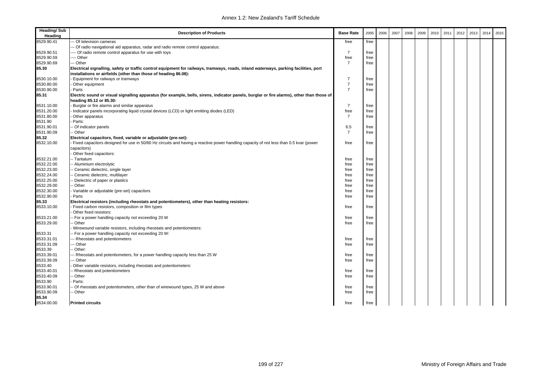| <b>Heading/Sub</b><br>Heading | <b>Description of Products</b>                                                                                                            | <b>Base Rate</b> | 2005 | 2006 | 2007 | 2008 | 2009 | 2010 | 2011 | 2012 | 2013 | 2014 | 2015 |
|-------------------------------|-------------------------------------------------------------------------------------------------------------------------------------------|------------------|------|------|------|------|------|------|------|------|------|------|------|
| 8529.90.41                    | Of television cameras                                                                                                                     | free             | free |      |      |      |      |      |      |      |      |      |      |
|                               | - Of radio navigational aid apparatus, radar and radio remote control apparatus:                                                          |                  |      |      |      |      |      |      |      |      |      |      |      |
| 8529.90.51                    | --- Of radio remote control apparatus for use with toys                                                                                   | $\overline{7}$   | free |      |      |      |      |      |      |      |      |      |      |
| 8529.90.59                    | --- Other                                                                                                                                 | free             | free |      |      |      |      |      |      |      |      |      |      |
| 8529.90.69                    | - Other                                                                                                                                   | $\overline{7}$   | free |      |      |      |      |      |      |      |      |      |      |
| 85.30                         | Electrical signalling, safety or traffic control equipment for railways, tramways, roads, inland waterways, parking facilities, port      |                  |      |      |      |      |      |      |      |      |      |      |      |
|                               | installations or airfields (other than those of heading 86.08):                                                                           |                  |      |      |      |      |      |      |      |      |      |      |      |
| 8530.10.00                    | Equipment for railways or tramways                                                                                                        | 7                | free |      |      |      |      |      |      |      |      |      |      |
| 8530.80.00                    | Other equipment                                                                                                                           | $\overline{7}$   | free |      |      |      |      |      |      |      |      |      |      |
| 8530.90.00                    | Parts                                                                                                                                     | $\overline{7}$   | free |      |      |      |      |      |      |      |      |      |      |
| 85.31                         | Electric sound or visual signalling apparatus (for example, bells, sirens, indicator panels, burglar or fire alarms), other than those of |                  |      |      |      |      |      |      |      |      |      |      |      |
|                               | heading 85.12 or 85.30:                                                                                                                   |                  |      |      |      |      |      |      |      |      |      |      |      |
| 8531.10.00                    | Burglar or fire alarms and similar apparatus                                                                                              | $\overline{7}$   | free |      |      |      |      |      |      |      |      |      |      |
| 8531.20.00                    | Indicator panels incorporating liquid crystal devices (LCD) or light emitting diodes (LED)                                                | free             | free |      |      |      |      |      |      |      |      |      |      |
| 8531.80.00                    | Other apparatus                                                                                                                           | $\overline{7}$   | free |      |      |      |      |      |      |      |      |      |      |
| 8531.90                       | Parts:                                                                                                                                    |                  |      |      |      |      |      |      |      |      |      |      |      |
| 8531.90.01                    | - Of indicator panels                                                                                                                     | 6.5              | free |      |      |      |      |      |      |      |      |      |      |
| 8531.90.09                    | -- Other                                                                                                                                  | $\overline{7}$   | free |      |      |      |      |      |      |      |      |      |      |
| 85.32                         | Electrical capacitors, fixed, variable or adjustable (pre-set):                                                                           |                  |      |      |      |      |      |      |      |      |      |      |      |
| 8532.10.00                    | Fixed capacitors designed for use in 50/60 Hz circuits and having a reactive power handling capacity of not less than 0.5 kvar (power     | free             | free |      |      |      |      |      |      |      |      |      |      |
|                               | capacitors)                                                                                                                               |                  |      |      |      |      |      |      |      |      |      |      |      |
|                               | Other fixed capacitors:                                                                                                                   |                  |      |      |      |      |      |      |      |      |      |      |      |
| 8532.21.00                    | -- Tantalum                                                                                                                               | free             | free |      |      |      |      |      |      |      |      |      |      |
| 8532.22.00                    | -- Aluminium electrolytic                                                                                                                 | free             | free |      |      |      |      |      |      |      |      |      |      |
| 8532.23.00                    | -- Ceramic dielectric, single layer                                                                                                       | free             | free |      |      |      |      |      |      |      |      |      |      |
| 8532.24.00                    | Ceramic dielectric, multilayer                                                                                                            | free             | free |      |      |      |      |      |      |      |      |      |      |
| 8532.25.00                    | - Dielectric of paper or plastics                                                                                                         | free             | free |      |      |      |      |      |      |      |      |      |      |
| 8532.29.00                    | Other                                                                                                                                     | free             | free |      |      |      |      |      |      |      |      |      |      |
| 8532.30.00                    | Variable or adjustable (pre-set) capacitors                                                                                               | free             | free |      |      |      |      |      |      |      |      |      |      |
| 8532.90.00                    | Parts                                                                                                                                     | free             | free |      |      |      |      |      |      |      |      |      |      |
| 85.33                         | Electrical resistors (including rheostats and potentiometers), other than heating resistors:                                              |                  |      |      |      |      |      |      |      |      |      |      |      |
| 8533.10.00                    | Fixed carbon resistors, composition or film types                                                                                         | free             | free |      |      |      |      |      |      |      |      |      |      |
|                               | Other fixed resistors:                                                                                                                    |                  |      |      |      |      |      |      |      |      |      |      |      |
| 8533.21.00                    | - For a power handling capacity not exceeding 20 W                                                                                        | free             | free |      |      |      |      |      |      |      |      |      |      |
| 8533.29.00                    | - Other                                                                                                                                   | free             | free |      |      |      |      |      |      |      |      |      |      |
|                               | Wirewound variable resistors, including rheostats and potentiometers:                                                                     |                  |      |      |      |      |      |      |      |      |      |      |      |
| 8533.31                       | -- For a power handling capacity not exceeding 20 W:                                                                                      |                  |      |      |      |      |      |      |      |      |      |      |      |
| 8533.31.01                    | - Rheostats and potentiometers                                                                                                            | free             | free |      |      |      |      |      |      |      |      |      |      |
| 8533.31.09                    | - Other                                                                                                                                   | free             | free |      |      |      |      |      |      |      |      |      |      |
| 8533.39                       | Other:                                                                                                                                    |                  |      |      |      |      |      |      |      |      |      |      |      |
|                               |                                                                                                                                           |                  |      |      |      |      |      |      |      |      |      |      |      |
| 8533.39.01<br>8533.39.09      | Rheostats and potentiometers, for a power handling capacity less than 25 W                                                                | free             | free |      |      |      |      |      |      |      |      |      |      |
|                               | Other                                                                                                                                     | free             | free |      |      |      |      |      |      |      |      |      |      |
| 8533.40<br>8533.40.01         | Other variable resistors, including rheostats and potentiometers:                                                                         |                  |      |      |      |      |      |      |      |      |      |      |      |
|                               | - Rheostats and potentiometers                                                                                                            | free             | free |      |      |      |      |      |      |      |      |      |      |
| 8533.40.09<br>8533.90         | Other                                                                                                                                     | free             | free |      |      |      |      |      |      |      |      |      |      |
|                               | Parts:                                                                                                                                    |                  |      |      |      |      |      |      |      |      |      |      |      |
| 8533.90.01                    | Of rheostats and potentiometers, other than of wirewound types, 25 W and above                                                            | free             | free |      |      |      |      |      |      |      |      |      |      |
| 8533.90.09                    | - Other                                                                                                                                   | free             | free |      |      |      |      |      |      |      |      |      |      |
| 85.34                         |                                                                                                                                           |                  |      |      |      |      |      |      |      |      |      |      |      |
| 8534.00.00                    | <b>Printed circuits</b>                                                                                                                   | free             | free |      |      |      |      |      |      |      |      |      |      |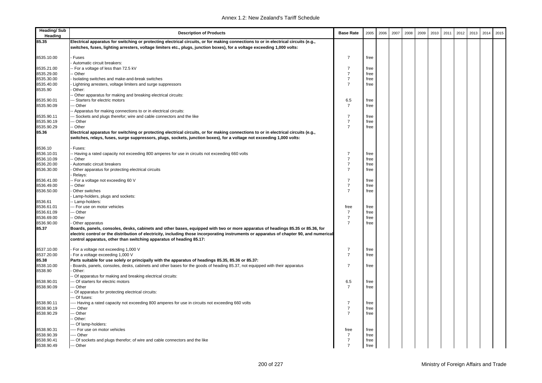| <b>Heading/Sub</b><br>Heading | <b>Description of Products</b>                                                                                                                                                                                                                                                                                                                    | <b>Base Rate</b>                 | 2005 | 2006 | 2007 | 2008 | 2009 | 2010 | 2011 | 2012 | 2013 | 2014 | 2015 |
|-------------------------------|---------------------------------------------------------------------------------------------------------------------------------------------------------------------------------------------------------------------------------------------------------------------------------------------------------------------------------------------------|----------------------------------|------|------|------|------|------|------|------|------|------|------|------|
| 85.35                         | Electrical apparatus for switching or protecting electrical circuits, or for making connections to or in electrical circuits (e.g.,<br>switches, fuses, lighting arresters, voltage limiters etc., plugs, junction boxes), for a voltage exceeding 1,000 volts:                                                                                   |                                  |      |      |      |      |      |      |      |      |      |      |      |
| 8535.10.00                    | Fuses                                                                                                                                                                                                                                                                                                                                             | $\overline{7}$                   | free |      |      |      |      |      |      |      |      |      |      |
|                               | Automatic circuit breakers:                                                                                                                                                                                                                                                                                                                       |                                  |      |      |      |      |      |      |      |      |      |      |      |
| 8535.21.00                    | - For a voltage of less than 72.5 kV                                                                                                                                                                                                                                                                                                              | $\overline{7}$                   | free |      |      |      |      |      |      |      |      |      |      |
| 8535.29.00                    | - Other                                                                                                                                                                                                                                                                                                                                           | $\overline{7}$                   | free |      |      |      |      |      |      |      |      |      |      |
| 8535.30.00                    | Isolating switches and make-and-break switches                                                                                                                                                                                                                                                                                                    | $\overline{7}$                   | free |      |      |      |      |      |      |      |      |      |      |
| 8535.40.00                    | Lightning arresters, voltage limiters and surge suppressors                                                                                                                                                                                                                                                                                       | $\overline{7}$                   | free |      |      |      |      |      |      |      |      |      |      |
| 8535.90                       | Other:                                                                                                                                                                                                                                                                                                                                            |                                  |      |      |      |      |      |      |      |      |      |      |      |
|                               | - Other apparatus for making and breaking electrical circuits:                                                                                                                                                                                                                                                                                    |                                  |      |      |      |      |      |      |      |      |      |      |      |
| 8535.90.01                    | -- Starters for electric motors                                                                                                                                                                                                                                                                                                                   | 6.5                              | free |      |      |      |      |      |      |      |      |      |      |
| 8535.90.09                    | -- Other                                                                                                                                                                                                                                                                                                                                          | $\overline{7}$                   | free |      |      |      |      |      |      |      |      |      |      |
|                               | - Apparatus for making connections to or in electrical circuits:                                                                                                                                                                                                                                                                                  |                                  |      |      |      |      |      |      |      |      |      |      |      |
| 8535.90.11                    | -- Sockets and plugs therefor; wire and cable connectors and the like                                                                                                                                                                                                                                                                             | $\overline{7}$                   | free |      |      |      |      |      |      |      |      |      |      |
| 8535.90.19                    | -- Other                                                                                                                                                                                                                                                                                                                                          | $\overline{7}$<br>$\overline{7}$ | free |      |      |      |      |      |      |      |      |      |      |
| 8535.90.29<br>85.36           | - Other<br>Electrical apparatus for switching or protecting electrical circuits, or for making connections to or in electrical circuits (e.g.,                                                                                                                                                                                                    |                                  | free |      |      |      |      |      |      |      |      |      |      |
|                               | switches, relays, fuses, surge suppressors, plugs, sockets, junction boxes), for a voltage not exceeding 1,000 volts:                                                                                                                                                                                                                             |                                  |      |      |      |      |      |      |      |      |      |      |      |
| 8536.10                       | Fuses:                                                                                                                                                                                                                                                                                                                                            |                                  |      |      |      |      |      |      |      |      |      |      |      |
| 8536.10.01                    | - Having a rated capacity not exceeding 800 amperes for use in circuits not exceeding 660 volts                                                                                                                                                                                                                                                   | $\overline{7}$                   | free |      |      |      |      |      |      |      |      |      |      |
| 8536.10.09                    | - Other                                                                                                                                                                                                                                                                                                                                           | $\overline{7}$                   | free |      |      |      |      |      |      |      |      |      |      |
| 8536.20.00                    | Automatic circuit breakers                                                                                                                                                                                                                                                                                                                        | $\overline{7}$                   | free |      |      |      |      |      |      |      |      |      |      |
| 8536.30.00                    | Other apparatus for protecting electrical circuits                                                                                                                                                                                                                                                                                                | $\overline{7}$                   | free |      |      |      |      |      |      |      |      |      |      |
|                               | Relays:                                                                                                                                                                                                                                                                                                                                           |                                  |      |      |      |      |      |      |      |      |      |      |      |
| 8536.41.00                    | - For a voltage not exceeding 60 V                                                                                                                                                                                                                                                                                                                | $\overline{7}$                   | free |      |      |      |      |      |      |      |      |      |      |
| 8536.49.00                    | - Other                                                                                                                                                                                                                                                                                                                                           | $\overline{7}$                   | free |      |      |      |      |      |      |      |      |      |      |
| 8536.50.00                    | Other switches                                                                                                                                                                                                                                                                                                                                    | $\overline{7}$                   | free |      |      |      |      |      |      |      |      |      |      |
|                               | Lamp-holders, plugs and sockets:                                                                                                                                                                                                                                                                                                                  |                                  |      |      |      |      |      |      |      |      |      |      |      |
| 8536.61                       | - Lamp-holders:                                                                                                                                                                                                                                                                                                                                   |                                  |      |      |      |      |      |      |      |      |      |      |      |
| 8536.61.01                    | -- For use on motor vehicles                                                                                                                                                                                                                                                                                                                      | free                             | free |      |      |      |      |      |      |      |      |      |      |
| 8536.61.09                    | -- Other                                                                                                                                                                                                                                                                                                                                          | $\overline{7}$                   | free |      |      |      |      |      |      |      |      |      |      |
| 8536.69.00                    | -- Other                                                                                                                                                                                                                                                                                                                                          | $\overline{7}$                   | free |      |      |      |      |      |      |      |      |      |      |
| 8536.90.00                    | Other apparatus                                                                                                                                                                                                                                                                                                                                   | $\overline{7}$                   | free |      |      |      |      |      |      |      |      |      |      |
| 85.37                         | Boards, panels, consoles, desks, cabinets and other bases, equipped with two or more apparatus of headings 85.35 or 85.36, for<br>electric control or the distribution of electricity, including those incorporating instruments or apparatus of chapter 90, and numerical<br>control apparatus, other than switching apparatus of heading 85.17: |                                  |      |      |      |      |      |      |      |      |      |      |      |
|                               |                                                                                                                                                                                                                                                                                                                                                   |                                  |      |      |      |      |      |      |      |      |      |      |      |
| 8537.10.00                    | - For a voltage not exceeding 1,000 V                                                                                                                                                                                                                                                                                                             | $\overline{7}$                   | free |      |      |      |      |      |      |      |      |      |      |
| 8537.20.00                    | - For a voltage exceeding 1,000 V                                                                                                                                                                                                                                                                                                                 | $\overline{7}$                   | free |      |      |      |      |      |      |      |      |      |      |
| 85.38                         | Parts suitable for use solely or principally with the apparatus of headings 85.35, 85.36 or 85.37:                                                                                                                                                                                                                                                |                                  |      |      |      |      |      |      |      |      |      |      |      |
| 8538.10.00                    | Boards, panels, consoles, desks, cabinets and other bases for the goods of heading 85.37, not equipped with their apparatus                                                                                                                                                                                                                       | $\overline{7}$                   | free |      |      |      |      |      |      |      |      |      |      |
| 8538.90                       | Other:                                                                                                                                                                                                                                                                                                                                            |                                  |      |      |      |      |      |      |      |      |      |      |      |
|                               | - Of apparatus for making and breaking electrical circuits:                                                                                                                                                                                                                                                                                       |                                  |      |      |      |      |      |      |      |      |      |      |      |
| 8538.90.01                    | -- Of starters for electric motors                                                                                                                                                                                                                                                                                                                | 6.5                              | free |      |      |      |      |      |      |      |      |      |      |
| 8538.90.09                    | -- Other                                                                                                                                                                                                                                                                                                                                          | $\overline{7}$                   | free |      |      |      |      |      |      |      |      |      |      |
|                               | Of apparatus for protecting electrical circuits:<br>-- Of fuses:                                                                                                                                                                                                                                                                                  |                                  |      |      |      |      |      |      |      |      |      |      |      |
| 8538.90.11                    | --- Having a rated capacity not exceeding 800 amperes for use in circuits not exceeding 660 volts                                                                                                                                                                                                                                                 | $\overline{7}$                   | free |      |      |      |      |      |      |      |      |      |      |
| 8538.90.19                    | --- Other                                                                                                                                                                                                                                                                                                                                         | $\overline{7}$                   | free |      |      |      |      |      |      |      |      |      |      |
| 8538.90.29                    | -- Other                                                                                                                                                                                                                                                                                                                                          | $\overline{7}$                   | free |      |      |      |      |      |      |      |      |      |      |
|                               | - Other:                                                                                                                                                                                                                                                                                                                                          |                                  |      |      |      |      |      |      |      |      |      |      |      |
|                               | -- Of lamp-holders:                                                                                                                                                                                                                                                                                                                               |                                  |      |      |      |      |      |      |      |      |      |      |      |
| 8538.90.31                    | ---- For use on motor vehicles                                                                                                                                                                                                                                                                                                                    | free                             | free |      |      |      |      |      |      |      |      |      |      |
| 8538.90.39                    | --- Other                                                                                                                                                                                                                                                                                                                                         | $\overline{7}$                   | free |      |      |      |      |      |      |      |      |      |      |
| 8538.90.41                    | --- Of sockets and plugs therefor; of wire and cable connectors and the like                                                                                                                                                                                                                                                                      | $\overline{7}$                   | free |      |      |      |      |      |      |      |      |      |      |
| 8538.90.49                    | --- Other                                                                                                                                                                                                                                                                                                                                         | $\overline{7}$                   | free |      |      |      |      |      |      |      |      |      |      |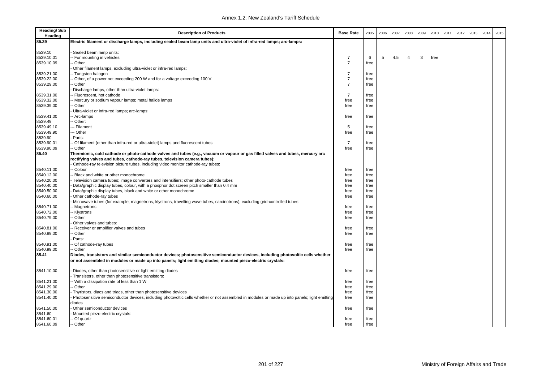| Electric filament or discharge lamps, including sealed beam lamp units and ultra-violet of infra-red lamps; arc-lamps:<br>8539.10<br>Sealed beam lamp units:<br>8539.10.01<br>- For mounting in vehicles<br>3<br>7<br>5<br>4.5<br>$\overline{4}$<br>6<br>free<br>$\overline{7}$<br>8539.10.09<br>- Other<br>free<br>Other filament lamps, excluding ultra-violet or infra-red lamps:<br>8539.21.00<br>$\overline{7}$<br>- Tungsten halogen<br>free<br>$\overline{7}$<br>8539.22.00<br>-- Other, of a power not exceeding 200 W and for a voltage exceeding 100 V<br>free<br>8539.29.00<br>- Other<br>$\overline{7}$<br>free<br>Discharge lamps, other than ultra-violet lamps:<br>8539.31.00<br>- Fluorescent, hot cathode<br>$\overline{7}$<br>free<br>8539.32.00<br>- Mercury or sodium vapour lamps; metal halide lamps<br>free<br>free<br>8539.39.00<br>- Other<br>free<br>free<br>Ultra-violet or infra-red lamps; arc-lamps:<br>8539.41.00<br>-- Arc-lamps<br>free<br>free<br>8539.49<br>- Other:<br>8539.49.10<br>5<br>-- Filament<br>free<br>8539.49.90<br>-- Other<br>free<br>free<br>8539.90<br>Parts:<br>8539.90.01<br>- Of filament (other than infra-red or ultra-violet) lamps and fluorescent tubes<br>$\overline{7}$<br>free<br>8539.90.09<br>-- Other<br>free<br>free<br>85.40<br>Thermionic, cold cathode or photo-cathode valves and tubes (e.g., vacuum or vapour or gas filled valves and tubes, mercury arc<br>rectifying valves and tubes, cathode-ray tubes, television camera tubes):<br>Cathode-ray television picture tubes, including video monitor cathode-ray tubes:<br>8540.11.00<br>-- Colour<br>free<br>free<br>8540.12.00<br>- Black and white or other monochrome<br>free<br>free<br>8540.20.00<br>Television camera tubes; image converters and intensifiers; other photo-cathode tubes<br>free<br>free<br>8540.40.00<br>Data/graphic display tubes, colour, with a phosphor dot screen pitch smaller than 0.4 mm<br>free<br>free<br>8540.50.00<br>Data/graphic display tubes, black and white or other monochrome<br>free<br>free<br>8540.60.00<br>Other cathode-ray tubes<br>free<br>free<br>Microwave tubes (for example, magnetrons, klystrons, travelling wave tubes, carcinotrons), excluding grid-controlled tubes:<br>8540.71.00<br>- Magnetrons<br>free<br>free<br>8540.72.00<br>- Klystrons<br>free<br>free<br>8540.79.00<br>- Other<br>free<br>free<br>Other valves and tubes:<br>8540.81.00<br>- Receiver or amplifier valves and tubes<br>free<br>free<br>8540.89.00<br>- Other<br>free<br>free<br>Parts:<br>8540.91.00<br>-- Of cathode-ray tubes<br>free<br>free<br>8540.99.00<br>-- Other<br>free<br>free<br>85.41<br>Diodes, transistors and similar semiconductor devices; photosensitive semiconductor devices, including photovoltic cells whether<br>or not assembled in modules or made up into panels; light emitting diodes; mounted piezo-electric crystals:<br>8541.10.00<br>Diodes, other than photosensitive or light emitting diodes<br>free<br>free<br>Transistors, other than photosensitive transistors:<br>8541.21.00<br>-- With a dissipation rate of less than 1 W<br>free<br>free<br>8541.29.00<br>- Other<br>free<br>free<br>8541.30.00<br>Thyristors, diacs and triacs, other than photosensitive devices<br>free<br>free<br>8541.40.00<br>Photosensitive semiconductor devices, including photovoltic cells whether or not assembled in modules or made up into panels; light emitting<br>free<br>free<br>diodes<br>8541.50.00<br>Other semiconductor devices<br>free<br>free<br>8541.60<br>Mounted piezo-electric crystals:<br>8541.60.01<br>-- Of quartz<br>free<br>free<br>-- Other<br>free<br>free | <b>Heading/Sub</b><br>Heading | <b>Description of Products</b> | <b>Base Rate</b> | 2005 | 2006 | 2007 | 2008 | 2009 | 2010 | 2011 | 2012 | 2013 | 2014 | 2015 |
|-----------------------------------------------------------------------------------------------------------------------------------------------------------------------------------------------------------------------------------------------------------------------------------------------------------------------------------------------------------------------------------------------------------------------------------------------------------------------------------------------------------------------------------------------------------------------------------------------------------------------------------------------------------------------------------------------------------------------------------------------------------------------------------------------------------------------------------------------------------------------------------------------------------------------------------------------------------------------------------------------------------------------------------------------------------------------------------------------------------------------------------------------------------------------------------------------------------------------------------------------------------------------------------------------------------------------------------------------------------------------------------------------------------------------------------------------------------------------------------------------------------------------------------------------------------------------------------------------------------------------------------------------------------------------------------------------------------------------------------------------------------------------------------------------------------------------------------------------------------------------------------------------------------------------------------------------------------------------------------------------------------------------------------------------------------------------------------------------------------------------------------------------------------------------------------------------------------------------------------------------------------------------------------------------------------------------------------------------------------------------------------------------------------------------------------------------------------------------------------------------------------------------------------------------------------------------------------------------------------------------------------------------------------------------------------------------------------------------------------------------------------------------------------------------------------------------------------------------------------------------------------------------------------------------------------------------------------------------------------------------------------------------------------------------------------------------------------------------------------------------------------------------------------------------------------------------------------------------------------------------------------------------------------------------------------------------------------------------------------------------------------------------------------------------------------------------------------------------------------------------------------------------------------------------------------------------------------------------------------------------------------------------------------------------------------|-------------------------------|--------------------------------|------------------|------|------|------|------|------|------|------|------|------|------|------|
|                                                                                                                                                                                                                                                                                                                                                                                                                                                                                                                                                                                                                                                                                                                                                                                                                                                                                                                                                                                                                                                                                                                                                                                                                                                                                                                                                                                                                                                                                                                                                                                                                                                                                                                                                                                                                                                                                                                                                                                                                                                                                                                                                                                                                                                                                                                                                                                                                                                                                                                                                                                                                                                                                                                                                                                                                                                                                                                                                                                                                                                                                                                                                                                                                                                                                                                                                                                                                                                                                                                                                                                                                                                                                   | 85.39                         |                                |                  |      |      |      |      |      |      |      |      |      |      |      |
|                                                                                                                                                                                                                                                                                                                                                                                                                                                                                                                                                                                                                                                                                                                                                                                                                                                                                                                                                                                                                                                                                                                                                                                                                                                                                                                                                                                                                                                                                                                                                                                                                                                                                                                                                                                                                                                                                                                                                                                                                                                                                                                                                                                                                                                                                                                                                                                                                                                                                                                                                                                                                                                                                                                                                                                                                                                                                                                                                                                                                                                                                                                                                                                                                                                                                                                                                                                                                                                                                                                                                                                                                                                                                   |                               |                                |                  |      |      |      |      |      |      |      |      |      |      |      |
|                                                                                                                                                                                                                                                                                                                                                                                                                                                                                                                                                                                                                                                                                                                                                                                                                                                                                                                                                                                                                                                                                                                                                                                                                                                                                                                                                                                                                                                                                                                                                                                                                                                                                                                                                                                                                                                                                                                                                                                                                                                                                                                                                                                                                                                                                                                                                                                                                                                                                                                                                                                                                                                                                                                                                                                                                                                                                                                                                                                                                                                                                                                                                                                                                                                                                                                                                                                                                                                                                                                                                                                                                                                                                   |                               |                                |                  |      |      |      |      |      |      |      |      |      |      |      |
|                                                                                                                                                                                                                                                                                                                                                                                                                                                                                                                                                                                                                                                                                                                                                                                                                                                                                                                                                                                                                                                                                                                                                                                                                                                                                                                                                                                                                                                                                                                                                                                                                                                                                                                                                                                                                                                                                                                                                                                                                                                                                                                                                                                                                                                                                                                                                                                                                                                                                                                                                                                                                                                                                                                                                                                                                                                                                                                                                                                                                                                                                                                                                                                                                                                                                                                                                                                                                                                                                                                                                                                                                                                                                   |                               |                                |                  |      |      |      |      |      |      |      |      |      |      |      |
|                                                                                                                                                                                                                                                                                                                                                                                                                                                                                                                                                                                                                                                                                                                                                                                                                                                                                                                                                                                                                                                                                                                                                                                                                                                                                                                                                                                                                                                                                                                                                                                                                                                                                                                                                                                                                                                                                                                                                                                                                                                                                                                                                                                                                                                                                                                                                                                                                                                                                                                                                                                                                                                                                                                                                                                                                                                                                                                                                                                                                                                                                                                                                                                                                                                                                                                                                                                                                                                                                                                                                                                                                                                                                   |                               |                                |                  |      |      |      |      |      |      |      |      |      |      |      |
|                                                                                                                                                                                                                                                                                                                                                                                                                                                                                                                                                                                                                                                                                                                                                                                                                                                                                                                                                                                                                                                                                                                                                                                                                                                                                                                                                                                                                                                                                                                                                                                                                                                                                                                                                                                                                                                                                                                                                                                                                                                                                                                                                                                                                                                                                                                                                                                                                                                                                                                                                                                                                                                                                                                                                                                                                                                                                                                                                                                                                                                                                                                                                                                                                                                                                                                                                                                                                                                                                                                                                                                                                                                                                   |                               |                                |                  |      |      |      |      |      |      |      |      |      |      |      |
|                                                                                                                                                                                                                                                                                                                                                                                                                                                                                                                                                                                                                                                                                                                                                                                                                                                                                                                                                                                                                                                                                                                                                                                                                                                                                                                                                                                                                                                                                                                                                                                                                                                                                                                                                                                                                                                                                                                                                                                                                                                                                                                                                                                                                                                                                                                                                                                                                                                                                                                                                                                                                                                                                                                                                                                                                                                                                                                                                                                                                                                                                                                                                                                                                                                                                                                                                                                                                                                                                                                                                                                                                                                                                   |                               |                                |                  |      |      |      |      |      |      |      |      |      |      |      |
|                                                                                                                                                                                                                                                                                                                                                                                                                                                                                                                                                                                                                                                                                                                                                                                                                                                                                                                                                                                                                                                                                                                                                                                                                                                                                                                                                                                                                                                                                                                                                                                                                                                                                                                                                                                                                                                                                                                                                                                                                                                                                                                                                                                                                                                                                                                                                                                                                                                                                                                                                                                                                                                                                                                                                                                                                                                                                                                                                                                                                                                                                                                                                                                                                                                                                                                                                                                                                                                                                                                                                                                                                                                                                   |                               |                                |                  |      |      |      |      |      |      |      |      |      |      |      |
|                                                                                                                                                                                                                                                                                                                                                                                                                                                                                                                                                                                                                                                                                                                                                                                                                                                                                                                                                                                                                                                                                                                                                                                                                                                                                                                                                                                                                                                                                                                                                                                                                                                                                                                                                                                                                                                                                                                                                                                                                                                                                                                                                                                                                                                                                                                                                                                                                                                                                                                                                                                                                                                                                                                                                                                                                                                                                                                                                                                                                                                                                                                                                                                                                                                                                                                                                                                                                                                                                                                                                                                                                                                                                   |                               |                                |                  |      |      |      |      |      |      |      |      |      |      |      |
|                                                                                                                                                                                                                                                                                                                                                                                                                                                                                                                                                                                                                                                                                                                                                                                                                                                                                                                                                                                                                                                                                                                                                                                                                                                                                                                                                                                                                                                                                                                                                                                                                                                                                                                                                                                                                                                                                                                                                                                                                                                                                                                                                                                                                                                                                                                                                                                                                                                                                                                                                                                                                                                                                                                                                                                                                                                                                                                                                                                                                                                                                                                                                                                                                                                                                                                                                                                                                                                                                                                                                                                                                                                                                   |                               |                                |                  |      |      |      |      |      |      |      |      |      |      |      |
|                                                                                                                                                                                                                                                                                                                                                                                                                                                                                                                                                                                                                                                                                                                                                                                                                                                                                                                                                                                                                                                                                                                                                                                                                                                                                                                                                                                                                                                                                                                                                                                                                                                                                                                                                                                                                                                                                                                                                                                                                                                                                                                                                                                                                                                                                                                                                                                                                                                                                                                                                                                                                                                                                                                                                                                                                                                                                                                                                                                                                                                                                                                                                                                                                                                                                                                                                                                                                                                                                                                                                                                                                                                                                   |                               |                                |                  |      |      |      |      |      |      |      |      |      |      |      |
|                                                                                                                                                                                                                                                                                                                                                                                                                                                                                                                                                                                                                                                                                                                                                                                                                                                                                                                                                                                                                                                                                                                                                                                                                                                                                                                                                                                                                                                                                                                                                                                                                                                                                                                                                                                                                                                                                                                                                                                                                                                                                                                                                                                                                                                                                                                                                                                                                                                                                                                                                                                                                                                                                                                                                                                                                                                                                                                                                                                                                                                                                                                                                                                                                                                                                                                                                                                                                                                                                                                                                                                                                                                                                   |                               |                                |                  |      |      |      |      |      |      |      |      |      |      |      |
|                                                                                                                                                                                                                                                                                                                                                                                                                                                                                                                                                                                                                                                                                                                                                                                                                                                                                                                                                                                                                                                                                                                                                                                                                                                                                                                                                                                                                                                                                                                                                                                                                                                                                                                                                                                                                                                                                                                                                                                                                                                                                                                                                                                                                                                                                                                                                                                                                                                                                                                                                                                                                                                                                                                                                                                                                                                                                                                                                                                                                                                                                                                                                                                                                                                                                                                                                                                                                                                                                                                                                                                                                                                                                   |                               |                                |                  |      |      |      |      |      |      |      |      |      |      |      |
|                                                                                                                                                                                                                                                                                                                                                                                                                                                                                                                                                                                                                                                                                                                                                                                                                                                                                                                                                                                                                                                                                                                                                                                                                                                                                                                                                                                                                                                                                                                                                                                                                                                                                                                                                                                                                                                                                                                                                                                                                                                                                                                                                                                                                                                                                                                                                                                                                                                                                                                                                                                                                                                                                                                                                                                                                                                                                                                                                                                                                                                                                                                                                                                                                                                                                                                                                                                                                                                                                                                                                                                                                                                                                   |                               |                                |                  |      |      |      |      |      |      |      |      |      |      |      |
|                                                                                                                                                                                                                                                                                                                                                                                                                                                                                                                                                                                                                                                                                                                                                                                                                                                                                                                                                                                                                                                                                                                                                                                                                                                                                                                                                                                                                                                                                                                                                                                                                                                                                                                                                                                                                                                                                                                                                                                                                                                                                                                                                                                                                                                                                                                                                                                                                                                                                                                                                                                                                                                                                                                                                                                                                                                                                                                                                                                                                                                                                                                                                                                                                                                                                                                                                                                                                                                                                                                                                                                                                                                                                   |                               |                                |                  |      |      |      |      |      |      |      |      |      |      |      |
|                                                                                                                                                                                                                                                                                                                                                                                                                                                                                                                                                                                                                                                                                                                                                                                                                                                                                                                                                                                                                                                                                                                                                                                                                                                                                                                                                                                                                                                                                                                                                                                                                                                                                                                                                                                                                                                                                                                                                                                                                                                                                                                                                                                                                                                                                                                                                                                                                                                                                                                                                                                                                                                                                                                                                                                                                                                                                                                                                                                                                                                                                                                                                                                                                                                                                                                                                                                                                                                                                                                                                                                                                                                                                   |                               |                                |                  |      |      |      |      |      |      |      |      |      |      |      |
|                                                                                                                                                                                                                                                                                                                                                                                                                                                                                                                                                                                                                                                                                                                                                                                                                                                                                                                                                                                                                                                                                                                                                                                                                                                                                                                                                                                                                                                                                                                                                                                                                                                                                                                                                                                                                                                                                                                                                                                                                                                                                                                                                                                                                                                                                                                                                                                                                                                                                                                                                                                                                                                                                                                                                                                                                                                                                                                                                                                                                                                                                                                                                                                                                                                                                                                                                                                                                                                                                                                                                                                                                                                                                   |                               |                                |                  |      |      |      |      |      |      |      |      |      |      |      |
|                                                                                                                                                                                                                                                                                                                                                                                                                                                                                                                                                                                                                                                                                                                                                                                                                                                                                                                                                                                                                                                                                                                                                                                                                                                                                                                                                                                                                                                                                                                                                                                                                                                                                                                                                                                                                                                                                                                                                                                                                                                                                                                                                                                                                                                                                                                                                                                                                                                                                                                                                                                                                                                                                                                                                                                                                                                                                                                                                                                                                                                                                                                                                                                                                                                                                                                                                                                                                                                                                                                                                                                                                                                                                   |                               |                                |                  |      |      |      |      |      |      |      |      |      |      |      |
|                                                                                                                                                                                                                                                                                                                                                                                                                                                                                                                                                                                                                                                                                                                                                                                                                                                                                                                                                                                                                                                                                                                                                                                                                                                                                                                                                                                                                                                                                                                                                                                                                                                                                                                                                                                                                                                                                                                                                                                                                                                                                                                                                                                                                                                                                                                                                                                                                                                                                                                                                                                                                                                                                                                                                                                                                                                                                                                                                                                                                                                                                                                                                                                                                                                                                                                                                                                                                                                                                                                                                                                                                                                                                   |                               |                                |                  |      |      |      |      |      |      |      |      |      |      |      |
|                                                                                                                                                                                                                                                                                                                                                                                                                                                                                                                                                                                                                                                                                                                                                                                                                                                                                                                                                                                                                                                                                                                                                                                                                                                                                                                                                                                                                                                                                                                                                                                                                                                                                                                                                                                                                                                                                                                                                                                                                                                                                                                                                                                                                                                                                                                                                                                                                                                                                                                                                                                                                                                                                                                                                                                                                                                                                                                                                                                                                                                                                                                                                                                                                                                                                                                                                                                                                                                                                                                                                                                                                                                                                   |                               |                                |                  |      |      |      |      |      |      |      |      |      |      |      |
|                                                                                                                                                                                                                                                                                                                                                                                                                                                                                                                                                                                                                                                                                                                                                                                                                                                                                                                                                                                                                                                                                                                                                                                                                                                                                                                                                                                                                                                                                                                                                                                                                                                                                                                                                                                                                                                                                                                                                                                                                                                                                                                                                                                                                                                                                                                                                                                                                                                                                                                                                                                                                                                                                                                                                                                                                                                                                                                                                                                                                                                                                                                                                                                                                                                                                                                                                                                                                                                                                                                                                                                                                                                                                   |                               |                                |                  |      |      |      |      |      |      |      |      |      |      |      |
|                                                                                                                                                                                                                                                                                                                                                                                                                                                                                                                                                                                                                                                                                                                                                                                                                                                                                                                                                                                                                                                                                                                                                                                                                                                                                                                                                                                                                                                                                                                                                                                                                                                                                                                                                                                                                                                                                                                                                                                                                                                                                                                                                                                                                                                                                                                                                                                                                                                                                                                                                                                                                                                                                                                                                                                                                                                                                                                                                                                                                                                                                                                                                                                                                                                                                                                                                                                                                                                                                                                                                                                                                                                                                   |                               |                                |                  |      |      |      |      |      |      |      |      |      |      |      |
|                                                                                                                                                                                                                                                                                                                                                                                                                                                                                                                                                                                                                                                                                                                                                                                                                                                                                                                                                                                                                                                                                                                                                                                                                                                                                                                                                                                                                                                                                                                                                                                                                                                                                                                                                                                                                                                                                                                                                                                                                                                                                                                                                                                                                                                                                                                                                                                                                                                                                                                                                                                                                                                                                                                                                                                                                                                                                                                                                                                                                                                                                                                                                                                                                                                                                                                                                                                                                                                                                                                                                                                                                                                                                   |                               |                                |                  |      |      |      |      |      |      |      |      |      |      |      |
|                                                                                                                                                                                                                                                                                                                                                                                                                                                                                                                                                                                                                                                                                                                                                                                                                                                                                                                                                                                                                                                                                                                                                                                                                                                                                                                                                                                                                                                                                                                                                                                                                                                                                                                                                                                                                                                                                                                                                                                                                                                                                                                                                                                                                                                                                                                                                                                                                                                                                                                                                                                                                                                                                                                                                                                                                                                                                                                                                                                                                                                                                                                                                                                                                                                                                                                                                                                                                                                                                                                                                                                                                                                                                   |                               |                                |                  |      |      |      |      |      |      |      |      |      |      |      |
|                                                                                                                                                                                                                                                                                                                                                                                                                                                                                                                                                                                                                                                                                                                                                                                                                                                                                                                                                                                                                                                                                                                                                                                                                                                                                                                                                                                                                                                                                                                                                                                                                                                                                                                                                                                                                                                                                                                                                                                                                                                                                                                                                                                                                                                                                                                                                                                                                                                                                                                                                                                                                                                                                                                                                                                                                                                                                                                                                                                                                                                                                                                                                                                                                                                                                                                                                                                                                                                                                                                                                                                                                                                                                   |                               |                                |                  |      |      |      |      |      |      |      |      |      |      |      |
|                                                                                                                                                                                                                                                                                                                                                                                                                                                                                                                                                                                                                                                                                                                                                                                                                                                                                                                                                                                                                                                                                                                                                                                                                                                                                                                                                                                                                                                                                                                                                                                                                                                                                                                                                                                                                                                                                                                                                                                                                                                                                                                                                                                                                                                                                                                                                                                                                                                                                                                                                                                                                                                                                                                                                                                                                                                                                                                                                                                                                                                                                                                                                                                                                                                                                                                                                                                                                                                                                                                                                                                                                                                                                   |                               |                                |                  |      |      |      |      |      |      |      |      |      |      |      |
|                                                                                                                                                                                                                                                                                                                                                                                                                                                                                                                                                                                                                                                                                                                                                                                                                                                                                                                                                                                                                                                                                                                                                                                                                                                                                                                                                                                                                                                                                                                                                                                                                                                                                                                                                                                                                                                                                                                                                                                                                                                                                                                                                                                                                                                                                                                                                                                                                                                                                                                                                                                                                                                                                                                                                                                                                                                                                                                                                                                                                                                                                                                                                                                                                                                                                                                                                                                                                                                                                                                                                                                                                                                                                   |                               |                                |                  |      |      |      |      |      |      |      |      |      |      |      |
|                                                                                                                                                                                                                                                                                                                                                                                                                                                                                                                                                                                                                                                                                                                                                                                                                                                                                                                                                                                                                                                                                                                                                                                                                                                                                                                                                                                                                                                                                                                                                                                                                                                                                                                                                                                                                                                                                                                                                                                                                                                                                                                                                                                                                                                                                                                                                                                                                                                                                                                                                                                                                                                                                                                                                                                                                                                                                                                                                                                                                                                                                                                                                                                                                                                                                                                                                                                                                                                                                                                                                                                                                                                                                   |                               |                                |                  |      |      |      |      |      |      |      |      |      |      |      |
|                                                                                                                                                                                                                                                                                                                                                                                                                                                                                                                                                                                                                                                                                                                                                                                                                                                                                                                                                                                                                                                                                                                                                                                                                                                                                                                                                                                                                                                                                                                                                                                                                                                                                                                                                                                                                                                                                                                                                                                                                                                                                                                                                                                                                                                                                                                                                                                                                                                                                                                                                                                                                                                                                                                                                                                                                                                                                                                                                                                                                                                                                                                                                                                                                                                                                                                                                                                                                                                                                                                                                                                                                                                                                   |                               |                                |                  |      |      |      |      |      |      |      |      |      |      |      |
|                                                                                                                                                                                                                                                                                                                                                                                                                                                                                                                                                                                                                                                                                                                                                                                                                                                                                                                                                                                                                                                                                                                                                                                                                                                                                                                                                                                                                                                                                                                                                                                                                                                                                                                                                                                                                                                                                                                                                                                                                                                                                                                                                                                                                                                                                                                                                                                                                                                                                                                                                                                                                                                                                                                                                                                                                                                                                                                                                                                                                                                                                                                                                                                                                                                                                                                                                                                                                                                                                                                                                                                                                                                                                   |                               |                                |                  |      |      |      |      |      |      |      |      |      |      |      |
|                                                                                                                                                                                                                                                                                                                                                                                                                                                                                                                                                                                                                                                                                                                                                                                                                                                                                                                                                                                                                                                                                                                                                                                                                                                                                                                                                                                                                                                                                                                                                                                                                                                                                                                                                                                                                                                                                                                                                                                                                                                                                                                                                                                                                                                                                                                                                                                                                                                                                                                                                                                                                                                                                                                                                                                                                                                                                                                                                                                                                                                                                                                                                                                                                                                                                                                                                                                                                                                                                                                                                                                                                                                                                   |                               |                                |                  |      |      |      |      |      |      |      |      |      |      |      |
|                                                                                                                                                                                                                                                                                                                                                                                                                                                                                                                                                                                                                                                                                                                                                                                                                                                                                                                                                                                                                                                                                                                                                                                                                                                                                                                                                                                                                                                                                                                                                                                                                                                                                                                                                                                                                                                                                                                                                                                                                                                                                                                                                                                                                                                                                                                                                                                                                                                                                                                                                                                                                                                                                                                                                                                                                                                                                                                                                                                                                                                                                                                                                                                                                                                                                                                                                                                                                                                                                                                                                                                                                                                                                   |                               |                                |                  |      |      |      |      |      |      |      |      |      |      |      |
|                                                                                                                                                                                                                                                                                                                                                                                                                                                                                                                                                                                                                                                                                                                                                                                                                                                                                                                                                                                                                                                                                                                                                                                                                                                                                                                                                                                                                                                                                                                                                                                                                                                                                                                                                                                                                                                                                                                                                                                                                                                                                                                                                                                                                                                                                                                                                                                                                                                                                                                                                                                                                                                                                                                                                                                                                                                                                                                                                                                                                                                                                                                                                                                                                                                                                                                                                                                                                                                                                                                                                                                                                                                                                   |                               |                                |                  |      |      |      |      |      |      |      |      |      |      |      |
|                                                                                                                                                                                                                                                                                                                                                                                                                                                                                                                                                                                                                                                                                                                                                                                                                                                                                                                                                                                                                                                                                                                                                                                                                                                                                                                                                                                                                                                                                                                                                                                                                                                                                                                                                                                                                                                                                                                                                                                                                                                                                                                                                                                                                                                                                                                                                                                                                                                                                                                                                                                                                                                                                                                                                                                                                                                                                                                                                                                                                                                                                                                                                                                                                                                                                                                                                                                                                                                                                                                                                                                                                                                                                   |                               |                                |                  |      |      |      |      |      |      |      |      |      |      |      |
|                                                                                                                                                                                                                                                                                                                                                                                                                                                                                                                                                                                                                                                                                                                                                                                                                                                                                                                                                                                                                                                                                                                                                                                                                                                                                                                                                                                                                                                                                                                                                                                                                                                                                                                                                                                                                                                                                                                                                                                                                                                                                                                                                                                                                                                                                                                                                                                                                                                                                                                                                                                                                                                                                                                                                                                                                                                                                                                                                                                                                                                                                                                                                                                                                                                                                                                                                                                                                                                                                                                                                                                                                                                                                   |                               |                                |                  |      |      |      |      |      |      |      |      |      |      |      |
|                                                                                                                                                                                                                                                                                                                                                                                                                                                                                                                                                                                                                                                                                                                                                                                                                                                                                                                                                                                                                                                                                                                                                                                                                                                                                                                                                                                                                                                                                                                                                                                                                                                                                                                                                                                                                                                                                                                                                                                                                                                                                                                                                                                                                                                                                                                                                                                                                                                                                                                                                                                                                                                                                                                                                                                                                                                                                                                                                                                                                                                                                                                                                                                                                                                                                                                                                                                                                                                                                                                                                                                                                                                                                   |                               |                                |                  |      |      |      |      |      |      |      |      |      |      |      |
|                                                                                                                                                                                                                                                                                                                                                                                                                                                                                                                                                                                                                                                                                                                                                                                                                                                                                                                                                                                                                                                                                                                                                                                                                                                                                                                                                                                                                                                                                                                                                                                                                                                                                                                                                                                                                                                                                                                                                                                                                                                                                                                                                                                                                                                                                                                                                                                                                                                                                                                                                                                                                                                                                                                                                                                                                                                                                                                                                                                                                                                                                                                                                                                                                                                                                                                                                                                                                                                                                                                                                                                                                                                                                   |                               |                                |                  |      |      |      |      |      |      |      |      |      |      |      |
|                                                                                                                                                                                                                                                                                                                                                                                                                                                                                                                                                                                                                                                                                                                                                                                                                                                                                                                                                                                                                                                                                                                                                                                                                                                                                                                                                                                                                                                                                                                                                                                                                                                                                                                                                                                                                                                                                                                                                                                                                                                                                                                                                                                                                                                                                                                                                                                                                                                                                                                                                                                                                                                                                                                                                                                                                                                                                                                                                                                                                                                                                                                                                                                                                                                                                                                                                                                                                                                                                                                                                                                                                                                                                   |                               |                                |                  |      |      |      |      |      |      |      |      |      |      |      |
|                                                                                                                                                                                                                                                                                                                                                                                                                                                                                                                                                                                                                                                                                                                                                                                                                                                                                                                                                                                                                                                                                                                                                                                                                                                                                                                                                                                                                                                                                                                                                                                                                                                                                                                                                                                                                                                                                                                                                                                                                                                                                                                                                                                                                                                                                                                                                                                                                                                                                                                                                                                                                                                                                                                                                                                                                                                                                                                                                                                                                                                                                                                                                                                                                                                                                                                                                                                                                                                                                                                                                                                                                                                                                   |                               |                                |                  |      |      |      |      |      |      |      |      |      |      |      |
|                                                                                                                                                                                                                                                                                                                                                                                                                                                                                                                                                                                                                                                                                                                                                                                                                                                                                                                                                                                                                                                                                                                                                                                                                                                                                                                                                                                                                                                                                                                                                                                                                                                                                                                                                                                                                                                                                                                                                                                                                                                                                                                                                                                                                                                                                                                                                                                                                                                                                                                                                                                                                                                                                                                                                                                                                                                                                                                                                                                                                                                                                                                                                                                                                                                                                                                                                                                                                                                                                                                                                                                                                                                                                   |                               |                                |                  |      |      |      |      |      |      |      |      |      |      |      |
|                                                                                                                                                                                                                                                                                                                                                                                                                                                                                                                                                                                                                                                                                                                                                                                                                                                                                                                                                                                                                                                                                                                                                                                                                                                                                                                                                                                                                                                                                                                                                                                                                                                                                                                                                                                                                                                                                                                                                                                                                                                                                                                                                                                                                                                                                                                                                                                                                                                                                                                                                                                                                                                                                                                                                                                                                                                                                                                                                                                                                                                                                                                                                                                                                                                                                                                                                                                                                                                                                                                                                                                                                                                                                   |                               |                                |                  |      |      |      |      |      |      |      |      |      |      |      |
|                                                                                                                                                                                                                                                                                                                                                                                                                                                                                                                                                                                                                                                                                                                                                                                                                                                                                                                                                                                                                                                                                                                                                                                                                                                                                                                                                                                                                                                                                                                                                                                                                                                                                                                                                                                                                                                                                                                                                                                                                                                                                                                                                                                                                                                                                                                                                                                                                                                                                                                                                                                                                                                                                                                                                                                                                                                                                                                                                                                                                                                                                                                                                                                                                                                                                                                                                                                                                                                                                                                                                                                                                                                                                   |                               |                                |                  |      |      |      |      |      |      |      |      |      |      |      |
|                                                                                                                                                                                                                                                                                                                                                                                                                                                                                                                                                                                                                                                                                                                                                                                                                                                                                                                                                                                                                                                                                                                                                                                                                                                                                                                                                                                                                                                                                                                                                                                                                                                                                                                                                                                                                                                                                                                                                                                                                                                                                                                                                                                                                                                                                                                                                                                                                                                                                                                                                                                                                                                                                                                                                                                                                                                                                                                                                                                                                                                                                                                                                                                                                                                                                                                                                                                                                                                                                                                                                                                                                                                                                   |                               |                                |                  |      |      |      |      |      |      |      |      |      |      |      |
|                                                                                                                                                                                                                                                                                                                                                                                                                                                                                                                                                                                                                                                                                                                                                                                                                                                                                                                                                                                                                                                                                                                                                                                                                                                                                                                                                                                                                                                                                                                                                                                                                                                                                                                                                                                                                                                                                                                                                                                                                                                                                                                                                                                                                                                                                                                                                                                                                                                                                                                                                                                                                                                                                                                                                                                                                                                                                                                                                                                                                                                                                                                                                                                                                                                                                                                                                                                                                                                                                                                                                                                                                                                                                   |                               |                                |                  |      |      |      |      |      |      |      |      |      |      |      |
|                                                                                                                                                                                                                                                                                                                                                                                                                                                                                                                                                                                                                                                                                                                                                                                                                                                                                                                                                                                                                                                                                                                                                                                                                                                                                                                                                                                                                                                                                                                                                                                                                                                                                                                                                                                                                                                                                                                                                                                                                                                                                                                                                                                                                                                                                                                                                                                                                                                                                                                                                                                                                                                                                                                                                                                                                                                                                                                                                                                                                                                                                                                                                                                                                                                                                                                                                                                                                                                                                                                                                                                                                                                                                   |                               |                                |                  |      |      |      |      |      |      |      |      |      |      |      |
|                                                                                                                                                                                                                                                                                                                                                                                                                                                                                                                                                                                                                                                                                                                                                                                                                                                                                                                                                                                                                                                                                                                                                                                                                                                                                                                                                                                                                                                                                                                                                                                                                                                                                                                                                                                                                                                                                                                                                                                                                                                                                                                                                                                                                                                                                                                                                                                                                                                                                                                                                                                                                                                                                                                                                                                                                                                                                                                                                                                                                                                                                                                                                                                                                                                                                                                                                                                                                                                                                                                                                                                                                                                                                   |                               |                                |                  |      |      |      |      |      |      |      |      |      |      |      |
|                                                                                                                                                                                                                                                                                                                                                                                                                                                                                                                                                                                                                                                                                                                                                                                                                                                                                                                                                                                                                                                                                                                                                                                                                                                                                                                                                                                                                                                                                                                                                                                                                                                                                                                                                                                                                                                                                                                                                                                                                                                                                                                                                                                                                                                                                                                                                                                                                                                                                                                                                                                                                                                                                                                                                                                                                                                                                                                                                                                                                                                                                                                                                                                                                                                                                                                                                                                                                                                                                                                                                                                                                                                                                   |                               |                                |                  |      |      |      |      |      |      |      |      |      |      |      |
|                                                                                                                                                                                                                                                                                                                                                                                                                                                                                                                                                                                                                                                                                                                                                                                                                                                                                                                                                                                                                                                                                                                                                                                                                                                                                                                                                                                                                                                                                                                                                                                                                                                                                                                                                                                                                                                                                                                                                                                                                                                                                                                                                                                                                                                                                                                                                                                                                                                                                                                                                                                                                                                                                                                                                                                                                                                                                                                                                                                                                                                                                                                                                                                                                                                                                                                                                                                                                                                                                                                                                                                                                                                                                   |                               |                                |                  |      |      |      |      |      |      |      |      |      |      |      |
|                                                                                                                                                                                                                                                                                                                                                                                                                                                                                                                                                                                                                                                                                                                                                                                                                                                                                                                                                                                                                                                                                                                                                                                                                                                                                                                                                                                                                                                                                                                                                                                                                                                                                                                                                                                                                                                                                                                                                                                                                                                                                                                                                                                                                                                                                                                                                                                                                                                                                                                                                                                                                                                                                                                                                                                                                                                                                                                                                                                                                                                                                                                                                                                                                                                                                                                                                                                                                                                                                                                                                                                                                                                                                   |                               |                                |                  |      |      |      |      |      |      |      |      |      |      |      |
|                                                                                                                                                                                                                                                                                                                                                                                                                                                                                                                                                                                                                                                                                                                                                                                                                                                                                                                                                                                                                                                                                                                                                                                                                                                                                                                                                                                                                                                                                                                                                                                                                                                                                                                                                                                                                                                                                                                                                                                                                                                                                                                                                                                                                                                                                                                                                                                                                                                                                                                                                                                                                                                                                                                                                                                                                                                                                                                                                                                                                                                                                                                                                                                                                                                                                                                                                                                                                                                                                                                                                                                                                                                                                   |                               |                                |                  |      |      |      |      |      |      |      |      |      |      |      |
|                                                                                                                                                                                                                                                                                                                                                                                                                                                                                                                                                                                                                                                                                                                                                                                                                                                                                                                                                                                                                                                                                                                                                                                                                                                                                                                                                                                                                                                                                                                                                                                                                                                                                                                                                                                                                                                                                                                                                                                                                                                                                                                                                                                                                                                                                                                                                                                                                                                                                                                                                                                                                                                                                                                                                                                                                                                                                                                                                                                                                                                                                                                                                                                                                                                                                                                                                                                                                                                                                                                                                                                                                                                                                   |                               |                                |                  |      |      |      |      |      |      |      |      |      |      |      |
|                                                                                                                                                                                                                                                                                                                                                                                                                                                                                                                                                                                                                                                                                                                                                                                                                                                                                                                                                                                                                                                                                                                                                                                                                                                                                                                                                                                                                                                                                                                                                                                                                                                                                                                                                                                                                                                                                                                                                                                                                                                                                                                                                                                                                                                                                                                                                                                                                                                                                                                                                                                                                                                                                                                                                                                                                                                                                                                                                                                                                                                                                                                                                                                                                                                                                                                                                                                                                                                                                                                                                                                                                                                                                   | 8541.60.09                    |                                |                  |      |      |      |      |      |      |      |      |      |      |      |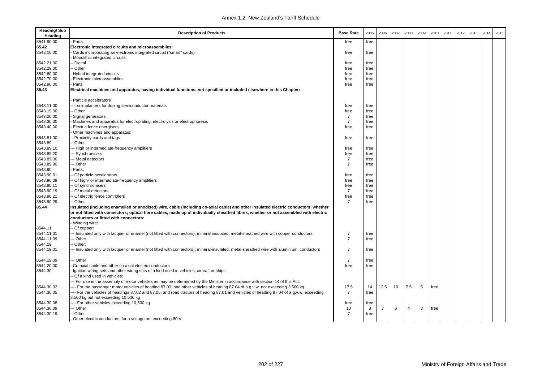| <b>Heading/Sub</b><br>Heading | <b>Description of Products</b>                                                                                                           | <b>Base Rate</b> | 2005 | 2006           | 2007 | 2008 | 2009 | 2010 | 2011 | 2012 | 2013 | 2014 | 2015 |
|-------------------------------|------------------------------------------------------------------------------------------------------------------------------------------|------------------|------|----------------|------|------|------|------|------|------|------|------|------|
| 8541.90.00                    | Parts                                                                                                                                    | free             | free |                |      |      |      |      |      |      |      |      |      |
| 85.42                         | Electronic integrated circuits and microassemblies:                                                                                      |                  |      |                |      |      |      |      |      |      |      |      |      |
| 8542.10.00                    | Cards incorporating an electronic integrated circuit ("smart" cards)                                                                     | free             | free |                |      |      |      |      |      |      |      |      |      |
|                               | Monolithic integrated circuits:                                                                                                          |                  |      |                |      |      |      |      |      |      |      |      |      |
| 8542.21.00                    | - Digital                                                                                                                                | free             | free |                |      |      |      |      |      |      |      |      |      |
| 8542.29.00                    | - Other                                                                                                                                  | free             | free |                |      |      |      |      |      |      |      |      |      |
| 8542.60.00                    | Hybrid integrated circuits                                                                                                               | free             | free |                |      |      |      |      |      |      |      |      |      |
| 8542.70.00                    | Electronic microassemblies                                                                                                               | free             | free |                |      |      |      |      |      |      |      |      |      |
| 8542.90.00                    | Parts                                                                                                                                    | free             | free |                |      |      |      |      |      |      |      |      |      |
| 85.43                         | Electrical machines and apparatus, having individual functions, not specified or included elsewhere in this Chapter:                     |                  |      |                |      |      |      |      |      |      |      |      |      |
|                               | Particle accelerators                                                                                                                    |                  |      |                |      |      |      |      |      |      |      |      |      |
| 8543.11.00                    | - Ion implanters for doping semiconductor materials                                                                                      | free             | free |                |      |      |      |      |      |      |      |      |      |
| 8543.19.00                    | - Other                                                                                                                                  | free             | free |                |      |      |      |      |      |      |      |      |      |
| 8543.20.00                    | Signal generators                                                                                                                        | $\overline{7}$   | free |                |      |      |      |      |      |      |      |      |      |
| 8543.30.00                    | Machines and apparatus for electroplating, electrolysis or electrophoresis                                                               | $\overline{7}$   | free |                |      |      |      |      |      |      |      |      |      |
| 8543.40.00                    | Electric fence energisers                                                                                                                | free             | free |                |      |      |      |      |      |      |      |      |      |
|                               | Other machines and apparatus:                                                                                                            |                  |      |                |      |      |      |      |      |      |      |      |      |
| 8543.81.00                    | - Proximity cards and tags                                                                                                               | free             | free |                |      |      |      |      |      |      |      |      |      |
| 8543.89                       | - Other                                                                                                                                  |                  |      |                |      |      |      |      |      |      |      |      |      |
| 8543.89.10                    | -- High or intermediate-frequency amplifiers                                                                                             | free             | free |                |      |      |      |      |      |      |      |      |      |
| 8543.89.20                    | - Synchronisers                                                                                                                          | free             | free |                |      |      |      |      |      |      |      |      |      |
| 8543.89.30                    | -- Metal detectors                                                                                                                       | $\overline{7}$   | free |                |      |      |      |      |      |      |      |      |      |
| 8543.89.90                    | - Other                                                                                                                                  | $\overline{7}$   | free |                |      |      |      |      |      |      |      |      |      |
| 8543.90                       | Parts:                                                                                                                                   |                  |      |                |      |      |      |      |      |      |      |      |      |
| 8543.90.01                    | - Of particle accelerators                                                                                                               | free             | free |                |      |      |      |      |      |      |      |      |      |
| 8543.90.09                    | - Of high- or intermediate-frequency amplifiers                                                                                          | free             | free |                |      |      |      |      |      |      |      |      |      |
| 8543.90.11                    | - Of synchronisers                                                                                                                       | free             | free |                |      |      |      |      |      |      |      |      |      |
| 8543.90.19                    | - Of metal detectors                                                                                                                     | $\overline{7}$   | free |                |      |      |      |      |      |      |      |      |      |
| 8543.90.21                    | - Of electric fence controllers                                                                                                          | free             | free |                |      |      |      |      |      |      |      |      |      |
| 8543.90.29                    | -- Other                                                                                                                                 | $\overline{7}$   | free |                |      |      |      |      |      |      |      |      |      |
| 85.44                         | Insulated (including enamelled or anodised) wire, cable (including co-axial cable) and other insulated electric conductors, whether      |                  |      |                |      |      |      |      |      |      |      |      |      |
|                               | or not fitted with connectors; optical fibre cables, made up of individually sheathed fibres, whether or not assembled with electric     |                  |      |                |      |      |      |      |      |      |      |      |      |
|                               | conductors or fitted with connectors:                                                                                                    |                  |      |                |      |      |      |      |      |      |      |      |      |
|                               | Winding wire:                                                                                                                            |                  |      |                |      |      |      |      |      |      |      |      |      |
| 8544.11                       | - Of copper:                                                                                                                             |                  |      |                |      |      |      |      |      |      |      |      |      |
| 8544.11.01                    | --- Insulated only with lacquer or enamel (not fitted with connectors); mineral insulated, metal-sheathed wire with copper conductors    | $\overline{7}$   | free |                |      |      |      |      |      |      |      |      |      |
| 8544.11.09                    | - Other                                                                                                                                  | $\overline{7}$   | free |                |      |      |      |      |      |      |      |      |      |
| 8544.19                       | Other:                                                                                                                                   |                  |      |                |      |      |      |      |      |      |      |      |      |
| 8544.19.01                    | - Insulated only with lacquer or enamel (not fitted with connectors); mineral-insulated, metal-sheathed wire with aluminium conductors   | $\overline{7}$   | free |                |      |      |      |      |      |      |      |      |      |
| 8544.19.09                    | - Other                                                                                                                                  | $\overline{7}$   | free |                |      |      |      |      |      |      |      |      |      |
| 8544.20.00                    | Co-axial cable and other co-axial electric conductors                                                                                    | free             | free |                |      |      |      |      |      |      |      |      |      |
| 8544.30                       | Ignition wiring sets and other wiring sets of a kind used in vehicles, aircraft or ships:                                                |                  |      |                |      |      |      |      |      |      |      |      |      |
|                               | - Of a kind used in vehicles:                                                                                                            |                  |      |                |      |      |      |      |      |      |      |      |      |
|                               | -- For use in the assembly of motor vehicles as may be determined by the Minister in accordance with section 14 of this Act:             |                  |      |                |      |      |      |      |      |      |      |      |      |
| 8544.30.02                    | ---- For the passenger motor vehicles of heading 87.03, and other vehicles of heading 87.04 of a g.v.w. not exceeding 3,500 kg           | 17.5             | 14   | 12.5           | 10   | 7.5  | 5    | free |      |      |      |      |      |
| 8544.30.05                    | --- For the vehicles of headings 87.02 and 87.05, and road tractors of heading 87.01 and vehicles of heading 87.04 of a g.v.w. exceeding | $\overline{7}$   | free |                |      |      |      |      |      |      |      |      |      |
|                               | 3,500 kg but not exceeding 10,500 kg                                                                                                     |                  |      |                |      |      |      |      |      |      |      |      |      |
| 8544.30.08                    | ---- For other vehicles exceeding 10,500 kg                                                                                              | free             | free |                |      |      |      |      |      |      |      |      |      |
| 8544.30.09                    | -- Other                                                                                                                                 | 10               | 8    | $\overline{7}$ | 6    | 4    | 3    | free |      |      |      |      |      |
| 8544.30.19                    | - Other                                                                                                                                  | $\overline{7}$   | free |                |      |      |      |      |      |      |      |      |      |
|                               | Other electric conductors, for a voltage not exceeding 80 V:                                                                             |                  |      |                |      |      |      |      |      |      |      |      |      |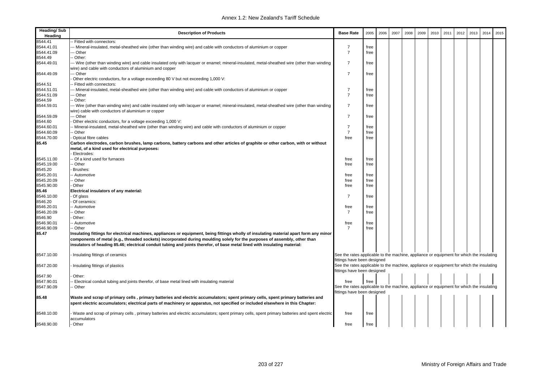| <b>Heading/Sub</b><br>Heading | <b>Description of Products</b>                                                                                                                                                                                                                                                                                                                                                                    | <b>Base Rate</b>                                                                                                        | 2005 | 2006 | 2007 | 2008 | 2009 | 2010 | 2011 | 2012 | 2013 | 2014 | 2015 |
|-------------------------------|---------------------------------------------------------------------------------------------------------------------------------------------------------------------------------------------------------------------------------------------------------------------------------------------------------------------------------------------------------------------------------------------------|-------------------------------------------------------------------------------------------------------------------------|------|------|------|------|------|------|------|------|------|------|------|
| 8544.41                       | - Fitted with connectors:                                                                                                                                                                                                                                                                                                                                                                         |                                                                                                                         |      |      |      |      |      |      |      |      |      |      |      |
| 8544.41.01                    | - Mineral-insulated, metal-sheathed wire (other than winding wire) and cable with conductors of aluminium or copper                                                                                                                                                                                                                                                                               | $\overline{7}$                                                                                                          | free |      |      |      |      |      |      |      |      |      |      |
| 8544.41.09                    | -- Other                                                                                                                                                                                                                                                                                                                                                                                          | $\overline{7}$                                                                                                          | free |      |      |      |      |      |      |      |      |      |      |
| 8544.49                       | Other:                                                                                                                                                                                                                                                                                                                                                                                            |                                                                                                                         |      |      |      |      |      |      |      |      |      |      |      |
| 8544.49.01                    | -- Wire (other than winding wire) and cable insulated only with lacquer or enamel; mineral-insulated, metal-sheathed wire (other than winding<br>wire) and cable with conductors of aluminium and copper                                                                                                                                                                                          | $\overline{7}$                                                                                                          | free |      |      |      |      |      |      |      |      |      |      |
| 8544.49.09                    | -- Other                                                                                                                                                                                                                                                                                                                                                                                          | $\overline{7}$                                                                                                          | free |      |      |      |      |      |      |      |      |      |      |
|                               | Other electric conductors, for a voltage exceeding 80 V but not exceeding 1,000 V:                                                                                                                                                                                                                                                                                                                |                                                                                                                         |      |      |      |      |      |      |      |      |      |      |      |
| 8544.51                       | Fitted with connectors:                                                                                                                                                                                                                                                                                                                                                                           |                                                                                                                         |      |      |      |      |      |      |      |      |      |      |      |
| 8544.51.01                    | -- Mineral-insulated, metal-sheathed wire (other than winding wire) and cable with conductors of aluminium or copper                                                                                                                                                                                                                                                                              | $\overline{7}$                                                                                                          | free |      |      |      |      |      |      |      |      |      |      |
| 8544.51.09                    | - Other                                                                                                                                                                                                                                                                                                                                                                                           | $\overline{7}$                                                                                                          | free |      |      |      |      |      |      |      |      |      |      |
| 8544.59                       | Other:                                                                                                                                                                                                                                                                                                                                                                                            |                                                                                                                         |      |      |      |      |      |      |      |      |      |      |      |
| 8544.59.01                    | -- Wire (other than winding wire) and cable insulated only with lacquer or enamel; mineral-insulated, metal-sheathed wire (other than winding<br>wire) cable with conductors of aluminium or copper                                                                                                                                                                                               | $\overline{7}$                                                                                                          | free |      |      |      |      |      |      |      |      |      |      |
| 8544.59.09                    | -- Other                                                                                                                                                                                                                                                                                                                                                                                          | $\overline{7}$                                                                                                          | free |      |      |      |      |      |      |      |      |      |      |
| 8544.60                       | Other electric conductors, for a voltage exceeding 1,000 V:                                                                                                                                                                                                                                                                                                                                       |                                                                                                                         |      |      |      |      |      |      |      |      |      |      |      |
| 8544.60.01                    | Mineral-insulated, metal-sheathed wire (other than winding wire) and cable with conductors of aluminium or copper                                                                                                                                                                                                                                                                                 | $\overline{7}$                                                                                                          | free |      |      |      |      |      |      |      |      |      |      |
| 8544.60.09                    | - Other                                                                                                                                                                                                                                                                                                                                                                                           | $\overline{7}$                                                                                                          | free |      |      |      |      |      |      |      |      |      |      |
| 8544.70.00                    | Optical fibre cables                                                                                                                                                                                                                                                                                                                                                                              | free                                                                                                                    | free |      |      |      |      |      |      |      |      |      |      |
| 85.45                         | Carbon electrodes, carbon brushes, lamp carbons, battery carbons and other articles of graphite or other carbon, with or without<br>metal, of a kind used for electrical purposes:                                                                                                                                                                                                                |                                                                                                                         |      |      |      |      |      |      |      |      |      |      |      |
|                               | Electrodes:                                                                                                                                                                                                                                                                                                                                                                                       |                                                                                                                         |      |      |      |      |      |      |      |      |      |      |      |
| 8545.11.00                    | Of a kind used for furnaces                                                                                                                                                                                                                                                                                                                                                                       | free                                                                                                                    | free |      |      |      |      |      |      |      |      |      |      |
| 8545.19.00                    | Other                                                                                                                                                                                                                                                                                                                                                                                             | free                                                                                                                    | free |      |      |      |      |      |      |      |      |      |      |
| 8545.20                       | Brushes:                                                                                                                                                                                                                                                                                                                                                                                          |                                                                                                                         |      |      |      |      |      |      |      |      |      |      |      |
| 8545.20.01                    | - Automotive                                                                                                                                                                                                                                                                                                                                                                                      | free                                                                                                                    | free |      |      |      |      |      |      |      |      |      |      |
| 8545.20.09                    | - Other                                                                                                                                                                                                                                                                                                                                                                                           | free                                                                                                                    | free |      |      |      |      |      |      |      |      |      |      |
| 8545.90.00                    | Other                                                                                                                                                                                                                                                                                                                                                                                             | free                                                                                                                    | free |      |      |      |      |      |      |      |      |      |      |
| 85.46                         | Electrical insulators of any material:                                                                                                                                                                                                                                                                                                                                                            |                                                                                                                         |      |      |      |      |      |      |      |      |      |      |      |
| 8546.10.00                    | Of glass                                                                                                                                                                                                                                                                                                                                                                                          | $\overline{7}$                                                                                                          | free |      |      |      |      |      |      |      |      |      |      |
| 8546.20                       | Of ceramics:                                                                                                                                                                                                                                                                                                                                                                                      |                                                                                                                         |      |      |      |      |      |      |      |      |      |      |      |
| 8546.20.01                    | - Automotive                                                                                                                                                                                                                                                                                                                                                                                      | free                                                                                                                    | free |      |      |      |      |      |      |      |      |      |      |
| 8546.20.09                    | - Other                                                                                                                                                                                                                                                                                                                                                                                           | $\overline{7}$                                                                                                          | free |      |      |      |      |      |      |      |      |      |      |
| 8546.90                       | Other:                                                                                                                                                                                                                                                                                                                                                                                            |                                                                                                                         |      |      |      |      |      |      |      |      |      |      |      |
| 8546.90.01<br>8546.90.09      | - Automotive                                                                                                                                                                                                                                                                                                                                                                                      | free<br>$\overline{7}$                                                                                                  | free |      |      |      |      |      |      |      |      |      |      |
|                               | - Other                                                                                                                                                                                                                                                                                                                                                                                           |                                                                                                                         | free |      |      |      |      |      |      |      |      |      |      |
| 85.47                         | Insulating fittings for electrical machines, appliances or equipment, being fittings wholly of insulating material apart form any minor<br>components of metal (e.g., threaded sockets) incorporated during moulding solely for the purposes of assembly, other than<br>insulators of heading 85.46; electrical conduit tubing and joints therefor, of base metal lined with insulating material: |                                                                                                                         |      |      |      |      |      |      |      |      |      |      |      |
|                               |                                                                                                                                                                                                                                                                                                                                                                                                   |                                                                                                                         |      |      |      |      |      |      |      |      |      |      |      |
| 8547.10.00                    | Insulating fittings of ceramics                                                                                                                                                                                                                                                                                                                                                                   | See the rates applicable to the machine, appliance or equipment for which the insulating                                |      |      |      |      |      |      |      |      |      |      |      |
|                               |                                                                                                                                                                                                                                                                                                                                                                                                   | fittings have been designed                                                                                             |      |      |      |      |      |      |      |      |      |      |      |
| 8547.20.00                    | Insulating fittings of plastics                                                                                                                                                                                                                                                                                                                                                                   | See the rates applicable to the machine, appliance or equipment for which the insulating                                |      |      |      |      |      |      |      |      |      |      |      |
|                               |                                                                                                                                                                                                                                                                                                                                                                                                   | fittings have been designed                                                                                             |      |      |      |      |      |      |      |      |      |      |      |
| 8547.90                       | Other:                                                                                                                                                                                                                                                                                                                                                                                            |                                                                                                                         |      |      |      |      |      |      |      |      |      |      |      |
| 8547.90.01                    | Electrical conduit tubing and joints therefor, of base metal lined with insulating material                                                                                                                                                                                                                                                                                                       | free                                                                                                                    | free |      |      |      |      |      |      |      |      |      |      |
| 8547.90.09                    | ⋅ Other                                                                                                                                                                                                                                                                                                                                                                                           | See the rates applicable to the machine, appliance or equipment for which the insulating<br>fittings have been designed |      |      |      |      |      |      |      |      |      |      |      |
| 85.48                         |                                                                                                                                                                                                                                                                                                                                                                                                   |                                                                                                                         |      |      |      |      |      |      |      |      |      |      |      |
|                               | Waste and scrap of primary cells , primary batteries and electric accumulators; spent primary cells, spent primary batteries and<br>spent electric accumulators; electrical parts of machinery or apparatus, not specified or included elsewhere in this Chapter:                                                                                                                                 |                                                                                                                         |      |      |      |      |      |      |      |      |      |      |      |
| 8548.10.00                    | Waste and scrap of primary cells, primary batteries and electric accumulators; spent primary cells, spent primary batteries and spent electric<br>accumulators                                                                                                                                                                                                                                    | free                                                                                                                    | free |      |      |      |      |      |      |      |      |      |      |
| 8548.90.00                    | Other                                                                                                                                                                                                                                                                                                                                                                                             | free                                                                                                                    | free |      |      |      |      |      |      |      |      |      |      |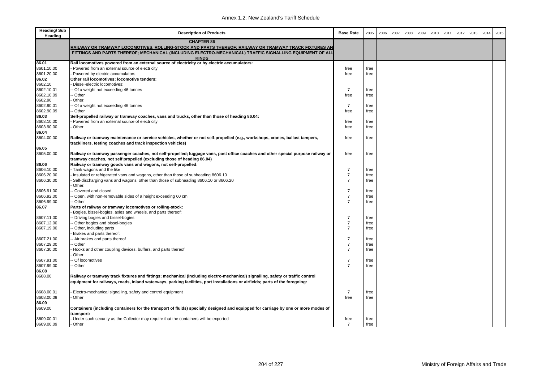| Heading/Sub<br>Heading | <b>Description of Products</b>                                                                                                                                                                                                                                   | <b>Base Rate</b> | 2005 | 2006 | 2007 | 2008 | 2009 | 2010 | 2011 | 2012 | 2013 | 2014 | 2015 |
|------------------------|------------------------------------------------------------------------------------------------------------------------------------------------------------------------------------------------------------------------------------------------------------------|------------------|------|------|------|------|------|------|------|------|------|------|------|
|                        | <b>CHAPTER 86</b>                                                                                                                                                                                                                                                |                  |      |      |      |      |      |      |      |      |      |      |      |
|                        | RAILWAY OR TRAMWAY LOCOM <u>OTIVES, ROLLING-STOCK AND PARTS THEREOF; RAILWAY OR TRAMWAY TRACK FIXTURES AN</u><br>FITTINGS AND PARTS THEREOF; MECHANICAL (INCLUDING ELECTRO-MECHANICAL) TRAFFIC SIGNALLING EQUIPMENT OF ALI                                       |                  |      |      |      |      |      |      |      |      |      |      |      |
|                        | <b>KINDS</b>                                                                                                                                                                                                                                                     |                  |      |      |      |      |      |      |      |      |      |      |      |
| 86.01                  | Rail locomotives powered from an external source of electricity or by electric accumulators:                                                                                                                                                                     |                  |      |      |      |      |      |      |      |      |      |      |      |
| 8601.10.00             | Powered from an external source of electricity                                                                                                                                                                                                                   | free             | free |      |      |      |      |      |      |      |      |      |      |
| 8601.20.00             | Powered by electric accumulators                                                                                                                                                                                                                                 | free             | free |      |      |      |      |      |      |      |      |      |      |
| 86.02                  | Other rail locomotives; locomotive tenders:                                                                                                                                                                                                                      |                  |      |      |      |      |      |      |      |      |      |      |      |
| 8602.10                | Diesel-electric locomotives:                                                                                                                                                                                                                                     |                  |      |      |      |      |      |      |      |      |      |      |      |
| 8602.10.01             | - Of a weight not exceeding 46 tonnes                                                                                                                                                                                                                            | $\overline{7}$   | free |      |      |      |      |      |      |      |      |      |      |
| 8602.10.09             | Other                                                                                                                                                                                                                                                            | free             | free |      |      |      |      |      |      |      |      |      |      |
| 8602.90                | Other:                                                                                                                                                                                                                                                           |                  |      |      |      |      |      |      |      |      |      |      |      |
| 8602.90.01             | Of a weight not exceeding 46 tonnes                                                                                                                                                                                                                              | $\overline{7}$   | free |      |      |      |      |      |      |      |      |      |      |
| 8602.90.09             | ⋅ Other                                                                                                                                                                                                                                                          | free             | free |      |      |      |      |      |      |      |      |      |      |
| 86.03                  | Self-propelled railway or tramway coaches, vans and trucks, other than those of heading 86.04:                                                                                                                                                                   |                  |      |      |      |      |      |      |      |      |      |      |      |
| 8603.10.00             | Powered from an external source of electricity                                                                                                                                                                                                                   | free             | free |      |      |      |      |      |      |      |      |      |      |
| 8603.90.00             | Other                                                                                                                                                                                                                                                            | free             | free |      |      |      |      |      |      |      |      |      |      |
| 86.04                  |                                                                                                                                                                                                                                                                  |                  |      |      |      |      |      |      |      |      |      |      |      |
| 8604.00.00             | Railway or tramway maintenance or service vehicles, whether or not self-propelled (e.g., workshops, cranes, ballast tampers,<br>trackliners, testing coaches and track inspection vehicles)                                                                      | free             | free |      |      |      |      |      |      |      |      |      |      |
| 86.05                  |                                                                                                                                                                                                                                                                  |                  |      |      |      |      |      |      |      |      |      |      |      |
| 8605.00.00             | Railway or tramway passenger coaches, not self-propelled; luggage vans, post office coaches and other special purpose railway or                                                                                                                                 | free             | free |      |      |      |      |      |      |      |      |      |      |
|                        | tramway coaches, not self propelled (excluding those of heading 86.04)                                                                                                                                                                                           |                  |      |      |      |      |      |      |      |      |      |      |      |
| 86.06<br>8606.10.00    | Railway or tramway goods vans and wagons, not self-propelled:<br>Tank wagons and the like                                                                                                                                                                        | $\overline{7}$   | free |      |      |      |      |      |      |      |      |      |      |
| 8606.20.00             | Insulated or refrigerated vans and wagons, other than those of subheading 8606.10                                                                                                                                                                                | $\overline{7}$   | free |      |      |      |      |      |      |      |      |      |      |
| 8606.30.00             | Self-discharging vans and wagons, other than those of subheading 8606.10 or 8606.20                                                                                                                                                                              | $\overline{7}$   | free |      |      |      |      |      |      |      |      |      |      |
|                        | Other:                                                                                                                                                                                                                                                           |                  |      |      |      |      |      |      |      |      |      |      |      |
| 8606.91.00             | Covered and closed                                                                                                                                                                                                                                               | $\overline{7}$   | free |      |      |      |      |      |      |      |      |      |      |
| 8606.92.00             | Open, with non-removable sides of a height exceeding 60 cm                                                                                                                                                                                                       | $\overline{7}$   | free |      |      |      |      |      |      |      |      |      |      |
| 8606.99.00             | - Other                                                                                                                                                                                                                                                          | $\overline{7}$   | free |      |      |      |      |      |      |      |      |      |      |
| 86.07                  | Parts of railway or tramway locomotives or rolling-stock:                                                                                                                                                                                                        |                  |      |      |      |      |      |      |      |      |      |      |      |
|                        | Bogies, bissel-bogies, axles and wheels, and parts thereof:                                                                                                                                                                                                      |                  |      |      |      |      |      |      |      |      |      |      |      |
| 8607.11.00             | Driving bogies and bissel-bogies                                                                                                                                                                                                                                 | $\overline{7}$   | free |      |      |      |      |      |      |      |      |      |      |
| 8607.12.00             | Other bogies and bissel-bogies                                                                                                                                                                                                                                   | $\overline{7}$   | free |      |      |      |      |      |      |      |      |      |      |
| 8607.19.00             | Other, including parts                                                                                                                                                                                                                                           | $\overline{7}$   | free |      |      |      |      |      |      |      |      |      |      |
|                        | Brakes and parts thereof:                                                                                                                                                                                                                                        |                  |      |      |      |      |      |      |      |      |      |      |      |
| 8607.21.00             | Air brakes and parts thereof                                                                                                                                                                                                                                     | $\overline{7}$   | free |      |      |      |      |      |      |      |      |      |      |
| 8607.29.00             | - Other                                                                                                                                                                                                                                                          | $\overline{7}$   | free |      |      |      |      |      |      |      |      |      |      |
| 8607.30.00             | Hooks and other coupling devices, buffers, and parts thereof                                                                                                                                                                                                     | $\overline{7}$   | free |      |      |      |      |      |      |      |      |      |      |
|                        | Other:                                                                                                                                                                                                                                                           |                  |      |      |      |      |      |      |      |      |      |      |      |
| 8607.91.00             | - Of locomotives                                                                                                                                                                                                                                                 | $\overline{7}$   | free |      |      |      |      |      |      |      |      |      |      |
| 8607.99.00             | Other                                                                                                                                                                                                                                                            | $\overline{7}$   | free |      |      |      |      |      |      |      |      |      |      |
| 86.08                  |                                                                                                                                                                                                                                                                  |                  |      |      |      |      |      |      |      |      |      |      |      |
| 8608.00                | Railway or tramway track fixtures and fittings; mechanical (including electro-mechanical) signalling, safety or traffic control<br>equipment for railways, roads, inland waterways, parking facilities, port installations or airfields; parts of the foregoing: |                  |      |      |      |      |      |      |      |      |      |      |      |
| 8608.00.01             | Electro-mechanical signalling, safety and control equipment                                                                                                                                                                                                      | $\overline{7}$   | free |      |      |      |      |      |      |      |      |      |      |
| 8608.00.09             | Other                                                                                                                                                                                                                                                            | free             | free |      |      |      |      |      |      |      |      |      |      |
| 86.09                  |                                                                                                                                                                                                                                                                  |                  |      |      |      |      |      |      |      |      |      |      |      |
| 8609.00                | Containers (including containers for the transport of fluids) specially designed and equipped for carriage by one or more modes of<br>transport:                                                                                                                 |                  |      |      |      |      |      |      |      |      |      |      |      |
| 8609.00.01             | Under such security as the Collector may require that the containers will be exported                                                                                                                                                                            | free             | free |      |      |      |      |      |      |      |      |      |      |
| 8609.00.09             | Other                                                                                                                                                                                                                                                            | $\overline{7}$   | free |      |      |      |      |      |      |      |      |      |      |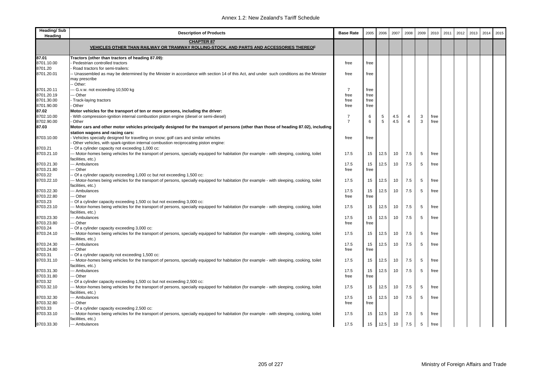| <b>Heading/Sub</b><br>Heading | <b>Description of Products</b>                                                                                                                                                               | <b>Base Rate</b> | 2005 | 2006 | 2007 | 2008           | 2009 | 2010 | 2011 | 2012 | 2013 | 2014 | 2015 |
|-------------------------------|----------------------------------------------------------------------------------------------------------------------------------------------------------------------------------------------|------------------|------|------|------|----------------|------|------|------|------|------|------|------|
|                               | <b>CHAPTER 87</b><br>VEHICLES OTHER THAN RAILWAY OR TRAMWAY ROLLING-STOCK, AND PARTS AND ACCESSORIES THEREOF                                                                                 |                  |      |      |      |                |      |      |      |      |      |      |      |
| 87.01                         | Tractors (other than tractors of heading 87.09):                                                                                                                                             |                  |      |      |      |                |      |      |      |      |      |      |      |
| 8701.10.00                    | Pedestrian controlled tractors                                                                                                                                                               | free             | free |      |      |                |      |      |      |      |      |      |      |
| 8701.20                       | Road tractors for semi-trailers:                                                                                                                                                             |                  |      |      |      |                |      |      |      |      |      |      |      |
| 8701.20.01                    | - Unassembled as may be determined by the Minister in accordance with section 14 of this Act, and under such conditions as the Minister<br>may prescribe<br>- Other:                         | free             | free |      |      |                |      |      |      |      |      |      |      |
| 8701.20.11                    | -- G.v.w. not exceeding 10,500 kg                                                                                                                                                            | $\overline{7}$   | free |      |      |                |      |      |      |      |      |      |      |
| 8701.20.19                    | - Other                                                                                                                                                                                      | free             | free |      |      |                |      |      |      |      |      |      |      |
| 8701.30.00                    | Track-laying tractors                                                                                                                                                                        | free             | free |      |      |                |      |      |      |      |      |      |      |
| 8701.90.00                    | Other                                                                                                                                                                                        | free             | free |      |      |                |      |      |      |      |      |      |      |
| 87.02                         | Motor vehicles for the transport of ten or more persons, including the driver:                                                                                                               |                  |      |      |      |                |      |      |      |      |      |      |      |
| 8702.10.00                    | - With compression-ignition internal combustion piston engine (diesel or semi-diesel)                                                                                                        | 7                | 6    | 5    | 4.5  | 4              | 3    | free |      |      |      |      |      |
| 8702.90.00                    | · Other                                                                                                                                                                                      | $\overline{7}$   | 6    | 5    | 4.5  | $\overline{4}$ | 3    | free |      |      |      |      |      |
| 87.03                         | Motor cars and other motor vehicles principally designed for the transport of persons (other than those of heading 87.02), including<br>station wagons and racing cars:                      |                  |      |      |      |                |      |      |      |      |      |      |      |
| 8703.10.00                    | Vehicles specially designed for travelling on snow; golf cars and similar vehicles<br>Other vehicles, with spark-ignition internal combustion reciprocating piston engine:                   | free             | free |      |      |                |      |      |      |      |      |      |      |
| 8703.21                       | - Of a cylinder capacity not exceeding 1,000 cc:                                                                                                                                             |                  |      |      |      |                |      |      |      |      |      |      |      |
| 8703.21.10                    | -- Motor-homes being vehicles for the transport of persons, specially equipped for habitation (for example - with sleeping, cooking, toilet                                                  | 17.5             | 15   | 12.5 | 10   | 7.5            | 5    | free |      |      |      |      |      |
|                               | facilities, etc.)                                                                                                                                                                            |                  |      |      |      |                |      |      |      |      |      |      |      |
| 8703.21.30                    | -- Ambulances                                                                                                                                                                                | 17.5             | 15   | 12.5 | 10   | 7.5            | 5    | free |      |      |      |      |      |
| 8703.21.80                    | -- Other                                                                                                                                                                                     | free             | free |      |      |                |      |      |      |      |      |      |      |
| 8703.22                       | Of a cylinder capacity exceeding 1,000 cc but not exceeding 1,500 cc:                                                                                                                        |                  |      |      |      |                |      |      |      |      |      |      |      |
| 8703.22.10                    | - Motor-homes being vehicles for the transport of persons, specially equipped for habitation (for example - with sleeping, cooking, toilet                                                   | 17.5             | 15   | 12.5 | 10   | 7.5            | 5    | free |      |      |      |      |      |
|                               | facilities, etc.)                                                                                                                                                                            |                  |      |      |      |                |      |      |      |      |      |      |      |
| 8703.22.30                    | -- Ambulances                                                                                                                                                                                | 17.5             | 15   | 12.5 | 10   | 7.5            | 5    | free |      |      |      |      |      |
| 8703.22.80                    | - Other                                                                                                                                                                                      | free             | free |      |      |                |      |      |      |      |      |      |      |
| 8703.23                       | Of a cylinder capacity exceeding 1,500 cc but not exceeding 3,000 cc:                                                                                                                        |                  |      |      |      |                |      |      |      |      |      |      |      |
| 8703.23.10                    | - Motor-homes being vehicles for the transport of persons, specially equipped for habitation (for example - with sleeping, cooking, toilet<br>facilities, etc.)                              | 17.5             | 15   | 12.5 | 10   | 7.5            | 5    | free |      |      |      |      |      |
| 8703.23.30                    | -- Ambulances                                                                                                                                                                                | 17.5             | 15   | 12.5 | 10   | 7.5            | 5    | free |      |      |      |      |      |
| 8703.23.80                    | - Other                                                                                                                                                                                      | free             | free |      |      |                |      |      |      |      |      |      |      |
| 8703.24                       | Of a cylinder capacity exceeding 3,000 cc:                                                                                                                                                   |                  |      |      |      |                |      |      |      |      |      |      |      |
| 8703.24.10                    | -- Motor-homes being vehicles for the transport of persons, specially equipped for habitation (for example - with sleeping, cooking, toilet<br>facilities, etc.)                             | 17.5             | 15   | 12.5 | 10   | 7.5            | 5    | free |      |      |      |      |      |
| 8703.24.30                    | -- Ambulances                                                                                                                                                                                | 17.5             | 15   | 12.5 | 10   | 7.5            | 5    | free |      |      |      |      |      |
| 8703.24.80                    | - Other                                                                                                                                                                                      | free             | free |      |      |                |      |      |      |      |      |      |      |
| 8703.31<br>8703.31.10         | Of a cylinder capacity not exceeding 1,500 cc:<br>- Motor-homes being vehicles for the transport of persons, specially equipped for habitation (for example - with sleeping, cooking, toilet | 17.5             | 15   | 12.5 | 10   | 7.5            | 5    | free |      |      |      |      |      |
|                               | facilities, etc.)                                                                                                                                                                            |                  |      |      |      |                |      |      |      |      |      |      |      |
| 8703.31.30                    | -- Ambulances                                                                                                                                                                                | 17.5             | 15   | 12.5 | 10   | 7.5            | 5    | free |      |      |      |      |      |
| 8703.31.80                    | - Other                                                                                                                                                                                      | free             | free |      |      |                |      |      |      |      |      |      |      |
| 8703.32                       | Of a cylinder capacity exceeding 1,500 cc but not exceeding 2,500 cc:                                                                                                                        |                  |      |      |      |                |      |      |      |      |      |      |      |
| 8703.32.10                    | -- Motor-homes being vehicles for the transport of persons, specially equipped for habitation (for example - with sleeping, cooking, toilet<br>facilities, etc.)                             | 17.5             | 15   | 12.5 | 10   | 7.5            | 5    | free |      |      |      |      |      |
| 8703.32.30                    | -- Ambulances                                                                                                                                                                                | 17.5             | 15   | 12.5 | 10   | 7.5            | 5    | free |      |      |      |      |      |
| 8703.32.80                    | -- Other                                                                                                                                                                                     | free             | free |      |      |                |      |      |      |      |      |      |      |
| 8703.33                       | Of a cylinder capacity exceeding 2,500 cc:                                                                                                                                                   |                  |      |      |      |                |      |      |      |      |      |      |      |
| 8703.33.10                    | -- Motor-homes being vehicles for the transport of persons, specially equipped for habitation (for example - with sleeping, cooking, toilet<br>facilities, etc.)                             | 17.5             | 15   | 12.5 | 10   | 7.5            | 5    | free |      |      |      |      |      |
| 8703.33.30                    | --- Ambulances                                                                                                                                                                               | 17.5             | 15   | 12.5 | 10   | 7.5            | 5    | free |      |      |      |      |      |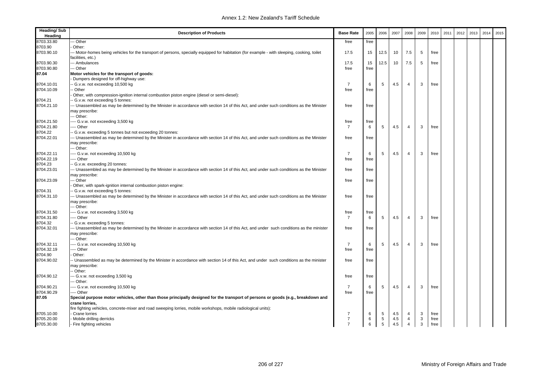| <b>Heading/Sub</b><br>Heading | <b>Description of Products</b>                                                                                                              | <b>Base Rate</b>     | 2005      | 2006                 | 2007       | 2008                | 2009   | 2010         | 2011 | 2012 | 2013 | 2014 | 2015 |
|-------------------------------|---------------------------------------------------------------------------------------------------------------------------------------------|----------------------|-----------|----------------------|------------|---------------------|--------|--------------|------|------|------|------|------|
| 8703.33.80                    | - Other                                                                                                                                     | free                 | free      |                      |            |                     |        |              |      |      |      |      |      |
| 8703.90                       | Other:                                                                                                                                      |                      |           |                      |            |                     |        |              |      |      |      |      |      |
| 8703.90.10                    | -- Motor-homes being vehicles for the transport of persons, specially equipped for habitation (for example - with sleeping, cooking, toilet | 17.5                 | 15        | 12.5                 | 10         | 7.5                 | 5      | free         |      |      |      |      |      |
|                               | facilities, etc.)                                                                                                                           |                      |           |                      |            |                     |        |              |      |      |      |      |      |
| 8703.90.30                    | --- Ambulances                                                                                                                              | 17.5                 | 15        | 12.5                 | 10         | 7.5                 | 5      | free         |      |      |      |      |      |
| 8703.90.80                    | -- Other                                                                                                                                    | free                 | free      |                      |            |                     |        |              |      |      |      |      |      |
| 87.04                         | Motor vehicles for the transport of goods:                                                                                                  |                      |           |                      |            |                     |        |              |      |      |      |      |      |
|                               | Dumpers designed for off-highway use:                                                                                                       |                      |           |                      |            |                     |        |              |      |      |      |      |      |
| 8704.10.01                    | - G.v.w. not exceeding 10,500 kg                                                                                                            | $\overline{7}$       | 6         | 5                    | 4.5        | 4                   | 3      | free         |      |      |      |      |      |
| 8704.10.09                    | Other                                                                                                                                       | free                 | free      |                      |            |                     |        |              |      |      |      |      |      |
|                               | Other, with compression-ignition internal combustion piston engine (diesel or semi-diesel):                                                 |                      |           |                      |            |                     |        |              |      |      |      |      |      |
| 8704.21                       | G.v.w. not exceeding 5 tonnes:                                                                                                              |                      |           |                      |            |                     |        |              |      |      |      |      |      |
| 8704.21.10                    | -- Unassembled as may be determined by the Minister in accordance with section 14 of this Act, and under such conditions as the Minister    | free                 | free      |                      |            |                     |        |              |      |      |      |      |      |
|                               | may prescribe:                                                                                                                              |                      |           |                      |            |                     |        |              |      |      |      |      |      |
|                               | -- Other:                                                                                                                                   |                      |           |                      |            |                     |        |              |      |      |      |      |      |
| 8704.21.50                    | --- G.v.w. not exceeding 3,500 kg                                                                                                           | free                 | free      |                      |            |                     |        |              |      |      |      |      |      |
| 8704.21.80                    | --- Other                                                                                                                                   | $\overline{7}$       | 6         | 5                    | 4.5        | 4                   | 3      | free         |      |      |      |      |      |
| 8704.22                       | - G.v.w. exceeding 5 tonnes but not exceeding 20 tonnes:                                                                                    |                      |           |                      |            |                     |        |              |      |      |      |      |      |
| 8704.22.01                    | -- Unassembled as may be determined by the Minister in accordance with section 14 of this Act, and under such conditions as the Minister    | free                 | free      |                      |            |                     |        |              |      |      |      |      |      |
|                               | may prescribe:<br>-- Other:                                                                                                                 |                      |           |                      |            |                     |        |              |      |      |      |      |      |
| 8704.22.11                    |                                                                                                                                             | $\overline{7}$       |           | 5                    | 4.5        | $\overline{4}$      | 3      | free         |      |      |      |      |      |
| 8704.22.19                    | --- G.v.w. not exceeding 10,500 kg<br>--- Other                                                                                             | free                 | 6<br>free |                      |            |                     |        |              |      |      |      |      |      |
| 8704.23                       | G.v.w. exceeding 20 tonnes:                                                                                                                 |                      |           |                      |            |                     |        |              |      |      |      |      |      |
| 8704.23.01                    | -- Unassembled as may be determined by the Minister in accordance with section 14 of this Act, and under such conditions as the Minister    | free                 | free      |                      |            |                     |        |              |      |      |      |      |      |
|                               | may prescribe:                                                                                                                              |                      |           |                      |            |                     |        |              |      |      |      |      |      |
| 8704.23.09                    | -- Other                                                                                                                                    | free                 | free      |                      |            |                     |        |              |      |      |      |      |      |
|                               | Other, with spark-ignition internal combustion piston engine:                                                                               |                      |           |                      |            |                     |        |              |      |      |      |      |      |
| 8704.31                       | G.v.w. not exceeding 5 tonnes:                                                                                                              |                      |           |                      |            |                     |        |              |      |      |      |      |      |
| 8704.31.10                    | -- Unassembled as may be determined by the Minister in accordance with section 14 of this Act, and under such conditions as the Minister    | free                 | free      |                      |            |                     |        |              |      |      |      |      |      |
|                               | may prescribe:                                                                                                                              |                      |           |                      |            |                     |        |              |      |      |      |      |      |
|                               | -- Other:                                                                                                                                   |                      |           |                      |            |                     |        |              |      |      |      |      |      |
| 8704.31.50                    | --- G.v.w. not exceeding 3,500 kg                                                                                                           | free                 | free      |                      |            |                     |        |              |      |      |      |      |      |
| 8704.31.80                    | --- Other                                                                                                                                   | $\overline{7}$       | 6         | 5                    | 4.5        | $\overline{4}$      | 3      | free         |      |      |      |      |      |
| 8704.32                       | G.v.w. exceeding 5 tonnes:                                                                                                                  |                      |           |                      |            |                     |        |              |      |      |      |      |      |
| 8704.32.01                    | -- Unassembled as may be determined by the Minister in accordance with section 14 of this Act, and under such conditions as the minister    | free                 | free      |                      |            |                     |        |              |      |      |      |      |      |
|                               | may prescribe:                                                                                                                              |                      |           |                      |            |                     |        |              |      |      |      |      |      |
|                               | -- Other:                                                                                                                                   |                      |           |                      |            |                     |        |              |      |      |      |      |      |
| 8704.32.11                    | --- G.v.w. not exceeding 10,500 kg                                                                                                          | $\overline{7}$       | 6         | 5                    | 4.5        | $\overline{4}$      | 3      | free         |      |      |      |      |      |
| 8704.32.19                    | --- Other                                                                                                                                   | free                 | free      |                      |            |                     |        |              |      |      |      |      |      |
| 8704.90                       | Other:                                                                                                                                      |                      |           |                      |            |                     |        |              |      |      |      |      |      |
| 8704.90.02                    | - Unassembled as may be determined by the Minister in accordance with section 14 of this Act, and under such conditions as the minister     | free                 | free      |                      |            |                     |        |              |      |      |      |      |      |
|                               | may prescribe:                                                                                                                              |                      |           |                      |            |                     |        |              |      |      |      |      |      |
|                               | - Other:                                                                                                                                    |                      |           |                      |            |                     |        |              |      |      |      |      |      |
| 8704.90.12                    | - G.v.w. not exceeding 3,500 kg                                                                                                             | free                 | free      |                      |            |                     |        |              |      |      |      |      |      |
|                               | -- Other:                                                                                                                                   |                      |           |                      |            |                     |        |              |      |      |      |      |      |
| 8704.90.21                    | --- G.v.w. not exceeding 10,500 kg                                                                                                          | $\overline{7}$       | 6         | 5                    | 4.5        | 4                   | 3      | free         |      |      |      |      |      |
| 8704.90.29                    | --- Other                                                                                                                                   | free                 | free      |                      |            |                     |        |              |      |      |      |      |      |
| 87.05                         | Special purpose motor vehicles, other than those principally designed for the transport of persons or goods (e.g., breakdown and            |                      |           |                      |            |                     |        |              |      |      |      |      |      |
|                               | crane lorries.                                                                                                                              |                      |           |                      |            |                     |        |              |      |      |      |      |      |
|                               | fire fighting vehicles, concrete-mixer and road sweeping lorries, mobile workshops, mobile radiological units):                             |                      |           |                      |            |                     |        |              |      |      |      |      |      |
| 8705.10.00<br>8705.20.00      | Crane lorries<br>Mobile drilling derricks                                                                                                   | -7<br>$\overline{7}$ | 6<br>6    | 5<br>$5\phantom{.0}$ | 4.5<br>4.5 | 4<br>$\overline{4}$ | 3<br>3 | free<br>free |      |      |      |      |      |
| 8705.30.00                    | - Fire fighting vehicles                                                                                                                    | $\overline{7}$       | 6         | 5                    | 4.5        | $\overline{4}$      | 3      | free         |      |      |      |      |      |
|                               |                                                                                                                                             |                      |           |                      |            |                     |        |              |      |      |      |      |      |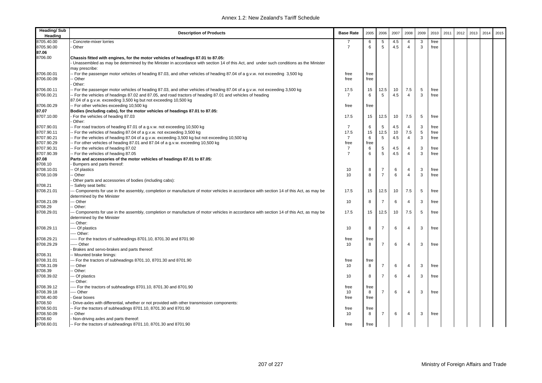| <b>Heading/Sub</b><br>Heading | <b>Description of Products</b>                                                                                                          | <b>Base Rate</b> | 2005 | 2006           | 2007 | 2008                    | 2009 | 2010 | 2011 | 2012 | 2013 | 2014 | 2015 |
|-------------------------------|-----------------------------------------------------------------------------------------------------------------------------------------|------------------|------|----------------|------|-------------------------|------|------|------|------|------|------|------|
| 8705.40.00                    | Concrete-mixer lorries                                                                                                                  | 7                | 6    | 5              | 4.5  | $\overline{4}$          | 3    | free |      |      |      |      |      |
| 8705.90.00                    | Other                                                                                                                                   | $\overline{7}$   | 6    | 5              | 4.5  | $\overline{4}$          | 3    | free |      |      |      |      |      |
| 87.06                         |                                                                                                                                         |                  |      |                |      |                         |      |      |      |      |      |      |      |
| 8706.00                       | Chassis fitted with engines, for the motor vehicles of headings 87.01 to 87.05:                                                         |                  |      |                |      |                         |      |      |      |      |      |      |      |
|                               | Unassembled as may be determined by the Minister in accordance with section 14 of this Act, and under such conditions as the Minister   |                  |      |                |      |                         |      |      |      |      |      |      |      |
|                               | may prescribe:                                                                                                                          |                  |      |                |      |                         |      |      |      |      |      |      |      |
| 8706.00.01                    | - For the passenger motor vehicles of heading 87.03, and other vehicles of heading 87.04 of a g.v.w. not exceeding 3,500 kg             | free             | free |                |      |                         |      |      |      |      |      |      |      |
| 8706.00.09                    | - Other                                                                                                                                 | free             | free |                |      |                         |      |      |      |      |      |      |      |
|                               | Other:                                                                                                                                  |                  |      |                |      |                         |      |      |      |      |      |      |      |
| 8706.00.11                    | - For the passenger motor vehicles of heading 87.03, and other vehicles of heading 87.04 of a g.v.w. not exceeding 3,500 kg             | 17.5             | 15   | 12.5           | 10   | 7.5                     | 5    | free |      |      |      |      |      |
| 8706.00.21                    | - For the vehicles of headings 87.02 and 87.05, and road tractors of heading 87.01 and vehicles of heading                              | $\overline{7}$   | 6    | 5              | 4.5  | $\overline{4}$          | 3    | free |      |      |      |      |      |
|                               | 87.04 of a g.v.w. exceeding 3,500 kg but not exceeding 10,500 kg                                                                        |                  |      |                |      |                         |      |      |      |      |      |      |      |
| 8706.00.29                    | -- For other vehicles exceeding 10,500 kg                                                                                               | free             | free |                |      |                         |      |      |      |      |      |      |      |
| 87.07                         | Bodies (including cabs), for the motor vehicles of headings 87.01 to 87.05:                                                             |                  |      |                |      |                         |      |      |      |      |      |      |      |
| 8707.10.00                    | For the vehicles of heading 87.03                                                                                                       | 17.5             | 15   | 12.5           | 10   | 7.5                     | 5    | free |      |      |      |      |      |
|                               | Other:                                                                                                                                  |                  |      |                |      |                         |      |      |      |      |      |      |      |
| 8707.90.01                    | - For road tractors of heading 87.01 of a g.v.w. not exceeding 10,500 kg                                                                | 7                | 6    | 5              | 4.5  | $\overline{4}$          | 3    | free |      |      |      |      |      |
| 8707.90.11                    | - For the vehicles of heading 87.04 of a g.v.w. not exceeding 3,500 kg                                                                  | 17.5             | 15   | 12.5           | 10   | 7.5                     | 5    | free |      |      |      |      |      |
| 8707.90.21                    | For the vehicles of heading 87.04 of a g.v.w. exceeding 3,500 kg but not exceeding 10,500 kg                                            | $\overline{7}$   | 6    | 5              | 4.5  | $\overline{4}$          | 3    | free |      |      |      |      |      |
| 8707.90.29                    | - For other vehicles of heading 87.01 and 87.04 of a g.v.w. exceeding 10,500 kg                                                         | free             | free |                |      |                         |      |      |      |      |      |      |      |
| 8707.90.31                    | - For the vehicles of heading 87.02                                                                                                     | $\overline{7}$   | 6    | 5              | 4.5  | $\overline{4}$          | 3    | free |      |      |      |      |      |
| 8707.90.39                    | -- For the vehicles of heading 87.05                                                                                                    | $\overline{7}$   | 6    | 5              | 4.5  | $\overline{4}$          | 3    | free |      |      |      |      |      |
| 87.08                         | Parts and accessories of the motor vehicles of headings 87.01 to 87.05:                                                                 |                  |      |                |      |                         |      |      |      |      |      |      |      |
| 8708.10                       | Bumpers and parts thereof:                                                                                                              |                  |      |                |      |                         |      |      |      |      |      |      |      |
| 8708.10.01                    | - Of plastics                                                                                                                           | 10               | 8    | 7              | 6    | $\overline{4}$          | 3    | free |      |      |      |      |      |
| 8708.10.09                    | - Other                                                                                                                                 | 10               | 8    | $\overline{7}$ | 6    | $\overline{4}$          | 3    | free |      |      |      |      |      |
|                               | Other parts and accessories of bodies (including cabs):                                                                                 |                  |      |                |      |                         |      |      |      |      |      |      |      |
| 8708.21                       | - Safety seat belts:                                                                                                                    |                  |      |                |      |                         |      |      |      |      |      |      |      |
| 8708.21.01                    | -- Components for use in the assembly, completion or manufacture of motor vehicles in accordance with section 14 of this Act, as may be | 17.5             | 15   | 12.5           | 10   | 7.5                     | 5    | free |      |      |      |      |      |
|                               | determined by the Minister                                                                                                              |                  |      |                |      |                         |      |      |      |      |      |      |      |
| 8708.21.09                    | -- Other                                                                                                                                | 10               | 8    | $\overline{7}$ | 6    | $\overline{4}$          | 3    | free |      |      |      |      |      |
| 8708.29                       | - Other:                                                                                                                                |                  |      |                |      |                         |      |      |      |      |      |      |      |
| 8708.29.01                    | -- Components for use in the assembly, completion or manufacture of motor vehicles in accordance with section 14 of this Act, as may be | 17.5             | 15   | 12.5           | 10   | 7.5                     | 5    | free |      |      |      |      |      |
|                               | determined by the Minister                                                                                                              |                  |      |                |      |                         |      |      |      |      |      |      |      |
|                               | -- Other:                                                                                                                               |                  |      |                |      |                         |      |      |      |      |      |      |      |
| 8708.29.11                    | --- Of plastics                                                                                                                         | 10               | 8    | $\overline{7}$ | 6    | $\overline{4}$          | 3    | free |      |      |      |      |      |
|                               | ---- Other:                                                                                                                             |                  |      |                |      |                         |      |      |      |      |      |      |      |
| 8708.29.21                    | ---- For the tractors of subheadings 8701.10, 8701.30 and 8701.90                                                                       | free             | free |                |      |                         |      |      |      |      |      |      |      |
| 8708.29.29                    | ---- Other                                                                                                                              | 10               | 8    | $\overline{7}$ | 6    | $\overline{\mathbf{4}}$ | 3    | free |      |      |      |      |      |
|                               | Brakes and servo-brakes and parts thereof:                                                                                              |                  |      |                |      |                         |      |      |      |      |      |      |      |
| 8708.31                       | - Mounted brake linings:                                                                                                                |                  |      |                |      |                         |      |      |      |      |      |      |      |
| 8708.31.01                    | -- For the tractors of subheadings 8701.10, 8701.30 and 8701.90                                                                         | free             | free |                |      |                         |      |      |      |      |      |      |      |
| 8708.31.09                    | -- Other                                                                                                                                | 10               | 8    | $\overline{7}$ | 6    | $\overline{4}$          | 3    | free |      |      |      |      |      |
| 8708.39                       | - Other:                                                                                                                                |                  |      |                |      |                         |      |      |      |      |      |      |      |
| 8708.39.02                    | -- Of plastics                                                                                                                          | 10               | 8    | $\overline{7}$ | 6    | $\overline{\mathbf{4}}$ | 3    | free |      |      |      |      |      |
|                               | -- Other:                                                                                                                               |                  |      |                |      |                         |      |      |      |      |      |      |      |
| 8708.39.12                    | --- For the tractors of subheadings 8701.10, 8701.30 and 8701.90                                                                        | free             | free |                |      |                         |      |      |      |      |      |      |      |
| 8708.39.18                    | --- Other                                                                                                                               | 10               | 8    | $\overline{7}$ | 6    | 4                       | 3    | free |      |      |      |      |      |
| 8708.40.00                    | Gear boxes                                                                                                                              | free             | free |                |      |                         |      |      |      |      |      |      |      |
| 8708.50                       | Drive-axles with differential, whether or not provided with other transmission components:                                              |                  |      |                |      |                         |      |      |      |      |      |      |      |
| 8708.50.01                    | - For the tractors of subheadings 8701.10, 8701.30 and 8701.90                                                                          | free             | free |                |      |                         |      |      |      |      |      |      |      |
| 8708.50.09                    | - Other                                                                                                                                 | 10               | 8    | $\overline{7}$ | 6    | $\overline{\mathbf{4}}$ | 3    | free |      |      |      |      |      |
| 8708.60                       | Non-driving axles and parts thereof:                                                                                                    |                  |      |                |      |                         |      |      |      |      |      |      |      |
| 8708.60.01                    | -- For the tractors of subheadings 8701.10, 8701.30 and 8701.90                                                                         | free             | free |                |      |                         |      |      |      |      |      |      |      |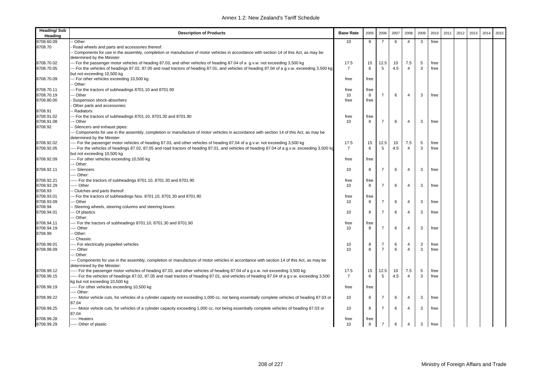| <b>Heading/Sub</b><br>Heading | <b>Description of Products</b>                                                                                                                                                | <b>Base Rate</b> | 2005 | 2006           | 2007 | 2008           | 2009 | 2010 | 2011 | 2012 | 2013 | 2014 | 2015 |
|-------------------------------|-------------------------------------------------------------------------------------------------------------------------------------------------------------------------------|------------------|------|----------------|------|----------------|------|------|------|------|------|------|------|
| 8708.60.09                    | - Other                                                                                                                                                                       | 10               | 8    | $\overline{7}$ | 6    | $\overline{4}$ | 3    | free |      |      |      |      |      |
| 8708.70                       | Road wheels and parts and accessories thereof:                                                                                                                                |                  |      |                |      |                |      |      |      |      |      |      |      |
|                               | - Components for use in the assembly, completion or manufacture of motor vehicles in accordance with section 14 of this Act, as may be<br>determined by the Minister          |                  |      |                |      |                |      |      |      |      |      |      |      |
| 8708.70.02                    | --- For the passenger motor vehicles of heading 87.03, and other vehicles of heading 87.04 of a g.v.w. not exceeding 3,500 kg                                                 | 17.5             | 15   | 12.5           | 10   | 7.5            | 5    | free |      |      |      |      |      |
| 8708.70.05                    | --- For the vehicles of headings 87.02, 87.05 and road tractors of heading 87.01, and vehicles of heading 87.04 of a g.v.w. exceeding 3,500 kg<br>but not exceeding 10,500 kg | $\overline{7}$   | 6    | 5              | 4.5  | $\overline{4}$ | 3    | free |      |      |      |      |      |
| 8708.70.09                    | -- For other vehicles exceeding 10,500 kg<br>- Other:                                                                                                                         | free             | free |                |      |                |      |      |      |      |      |      |      |
| 8708.70.11                    | -- For the tractors of subheadings 8701.10 and 8701.90                                                                                                                        | free             | free |                |      |                |      |      |      |      |      |      |      |
| 8708.70.19                    | - Other                                                                                                                                                                       | 10               | 8    | $\overline{7}$ | 6    | $\overline{4}$ | 3    | free |      |      |      |      |      |
| 8708.80.00                    | Suspension shock-absorbers                                                                                                                                                    | free             | free |                |      |                |      |      |      |      |      |      |      |
|                               | Other parts and accessories:                                                                                                                                                  |                  |      |                |      |                |      |      |      |      |      |      |      |
| 8708.91                       | - Radiators:                                                                                                                                                                  |                  |      |                |      |                |      |      |      |      |      |      |      |
| 8708.91.02                    | -- For the tractors of subheadings 8701.10, 8701.30 and 8701.90                                                                                                               | free             | free |                |      |                |      |      |      |      |      |      |      |
| 8708.91.08                    | - Other                                                                                                                                                                       | 10               | 8    | $\overline{7}$ | 6    | $\overline{4}$ | 3    | free |      |      |      |      |      |
| 8708.92                       | Silencers and exhaust pipes:                                                                                                                                                  |                  |      |                |      |                |      |      |      |      |      |      |      |
|                               | -- Components for use in the assembly, completion or manufacture of motor vehicles in accordance with section 14 of this Act, as may be<br>determined by the Minister         |                  |      |                |      |                |      |      |      |      |      |      |      |
| 8708.92.02                    | -- For the passenger motor vehicles of heading 87.03, and other vehicles of heading 87,04 of a g.v.w. not exceeding 3,500 kg                                                  | 17.5             | 15   | 12.5           | 10   | 7.5            | 5    | free |      |      |      |      |      |
| 8708.92.05                    | For the vehicles of headings 87.02, 87.05 and road tractors of heading 87.01, and vehicles of heading 87.04 of a g.v.w. exceeding 3,500 kg<br>but not exceeding 10,500 kg     | $\overline{7}$   | 6    | 5              | 4.5  | $\overline{4}$ | 3    | free |      |      |      |      |      |
| 8708.92.09                    | --- For other vehicles exceeding 10,500 kg                                                                                                                                    | free             | free |                |      |                |      |      |      |      |      |      |      |
|                               | -- Other:                                                                                                                                                                     |                  |      |                |      |                |      |      |      |      |      |      |      |
| 8708.92.11                    | -- Silencers                                                                                                                                                                  | 10               | 8    | $\overline{7}$ | 6    | $\overline{4}$ | 3    | free |      |      |      |      |      |
|                               | --- Other:                                                                                                                                                                    |                  |      |                |      |                |      |      |      |      |      |      |      |
| 8708.92.21                    | --- For the tractors of subheadings 8701.10, 8701.30 and 8701.90                                                                                                              | free             | free |                |      |                |      |      |      |      |      |      |      |
| 8708.92.29                    | -- Other                                                                                                                                                                      | 10               | 8    | $\overline{7}$ | 6    | $\overline{4}$ | 3    | free |      |      |      |      |      |
| 8708.93                       | - Clutches and parts thereof:                                                                                                                                                 |                  |      |                |      |                |      |      |      |      |      |      |      |
| 8708.93.01                    | -- For the tractors of subheadings Nos. 8701.10, 8701.30 and 8701.90                                                                                                          | free             | free |                |      |                |      |      |      |      |      |      |      |
| 8708.93.09                    | - Other                                                                                                                                                                       | 10               | 8    | $\overline{7}$ | 6    | $\overline{4}$ | 3    | free |      |      |      |      |      |
| 8708.94                       | Steering wheels, steering columns and steering boxes:                                                                                                                         |                  |      |                |      |                |      |      |      |      |      |      |      |
| 8708.94.01                    | -- Of plastics                                                                                                                                                                | 10               | 8    | $\overline{7}$ | 6    | $\overline{4}$ | 3    | free |      |      |      |      |      |
|                               | -- Other:                                                                                                                                                                     |                  |      |                |      |                |      |      |      |      |      |      |      |
| 8708.94.11                    | --- For the tractors of subheadings 8701.10, 8701.30 and 8701.90                                                                                                              | free             | free |                |      |                |      |      |      |      |      |      |      |
| 8708.94.19                    | --- Other                                                                                                                                                                     | 10               | 8    | $\overline{7}$ | 6    | $\overline{4}$ | 3    | free |      |      |      |      |      |
| 8708.99                       | - Other:                                                                                                                                                                      |                  |      |                |      |                |      |      |      |      |      |      |      |
|                               | - Chassis:                                                                                                                                                                    |                  |      |                |      |                |      |      |      |      |      |      |      |
| 8708.99.01                    | --- For electrically propelled vehicles                                                                                                                                       | 10               | 8    | $\overline{7}$ | 6    | $\overline{4}$ | 3    | free |      |      |      |      |      |
| 8708.99.09                    | --- Other                                                                                                                                                                     | 10               | 8    | $\overline{7}$ | 6    | $\overline{4}$ | 3    | free |      |      |      |      |      |
|                               | - Other:                                                                                                                                                                      |                  |      |                |      |                |      |      |      |      |      |      |      |
|                               | --- Components for use in the assembly, completion or manufacture of motor vehicles in accordance with section 14 of this Act, as may be<br>determined by the Minister:       |                  |      |                |      |                |      |      |      |      |      |      |      |
| 8708.99.12                    | ---- For the passenger motor vehicles of heading 87.03, and other vehicles of heading 87.04 of a g.v.w. not exceeding 3,500 kg                                                | 17.5             | 15   | 12.5           | 10   | 7.5            | 5    | free |      |      |      |      |      |
| 8708.99.15                    | For the vehicles of headings 87.02, 87.05 and road tractors of heading 87.01, and vehicles of heading 87.04 of a g.v.w. exceeding 3,500                                       | $\overline{7}$   | 6    | 5              | 4.5  | $\overline{4}$ | 3    | free |      |      |      |      |      |
|                               | kg but not exceeding 10,500 kg                                                                                                                                                |                  |      |                |      |                |      |      |      |      |      |      |      |
| 8708.99.19                    | ----- For other vehicles exceeding 10,500 kg                                                                                                                                  | free             | free |                |      |                |      |      |      |      |      |      |      |
|                               | --- Other:                                                                                                                                                                    |                  |      |                |      |                |      |      |      |      |      |      |      |
| 8708.99.22                    | ----- Motor vehicle cuts, for vehicles of a cylinder capacity not exceeding 1,000 cc, not being essentially complete vehicles of heading 87.03 or                             | 10               | 8    | $\overline{7}$ | 6    | 4              | 3    | free |      |      |      |      |      |
|                               | 87.04                                                                                                                                                                         |                  |      |                |      |                |      |      |      |      |      |      |      |
| 8708.99.25                    | ---- Motor vehicle cuts, for vehicles of a cylinder capacity exceeding 1,000 cc, not being essentially complete vehicles of heading 87.03 or<br>87.04                         | 10               | 8    | $\overline{7}$ | 6    | $\overline{4}$ | 3    | free |      |      |      |      |      |
| 8708.99.28                    | ----- Heaters                                                                                                                                                                 | free             | free |                |      |                |      |      |      |      |      |      |      |
| 8708.99.29                    | ----- Other of plastic                                                                                                                                                        | 10               | 8    | $\overline{7}$ | 6    | 4              | 3    | free |      |      |      |      |      |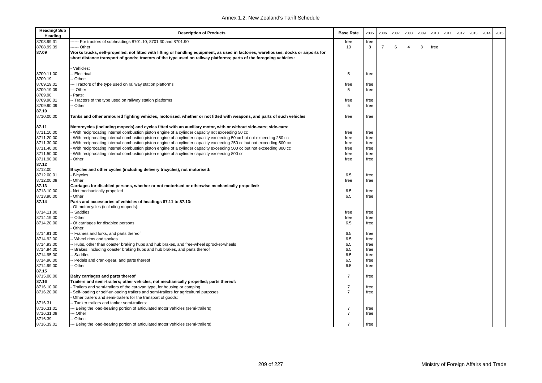| <b>Heading/Sub</b><br>Heading | <b>Description of Products</b>                                                                                                                                                                                                                              | <b>Base Rate</b> | 2005 | 2006           | 2007 | 2008 | 2009 | 2010 | 2011 | 2012 | 2013 | 2014 | 2015 |
|-------------------------------|-------------------------------------------------------------------------------------------------------------------------------------------------------------------------------------------------------------------------------------------------------------|------------------|------|----------------|------|------|------|------|------|------|------|------|------|
| 8708.99.31                    | ---- For tractors of subheadings 8701.10, 8701.30 and 8701.90                                                                                                                                                                                               | free             | free |                |      |      |      |      |      |      |      |      |      |
| 8708.99.39                    | ------ Other                                                                                                                                                                                                                                                | 10               | 8    | $\overline{7}$ | 6    | 4    | 3    | free |      |      |      |      |      |
| 87.09                         | Works trucks, self-propelled, not fitted with lifting or handling equipment, as used in factories, warehouses, docks or airports for<br>short distance transport of goods; tractors of the type used on railway platforms; parts of the foregoing vehicles: |                  |      |                |      |      |      |      |      |      |      |      |      |
|                               | Vehicles:                                                                                                                                                                                                                                                   |                  |      |                |      |      |      |      |      |      |      |      |      |
| 8709.11.00                    | <b>Electrical</b>                                                                                                                                                                                                                                           | 5                | free |                |      |      |      |      |      |      |      |      |      |
| 8709.19                       | - Other:                                                                                                                                                                                                                                                    |                  |      |                |      |      |      |      |      |      |      |      |      |
| 8709.19.01                    | --- Tractors of the type used on railway station platforms                                                                                                                                                                                                  | free             | free |                |      |      |      |      |      |      |      |      |      |
| 8709.19.09                    | -- Other                                                                                                                                                                                                                                                    | 5                | free |                |      |      |      |      |      |      |      |      |      |
| 8709.90                       | Parts:                                                                                                                                                                                                                                                      |                  |      |                |      |      |      |      |      |      |      |      |      |
| 8709.90.01                    | - Tractors of the type used on railway station platforms                                                                                                                                                                                                    | free             | free |                |      |      |      |      |      |      |      |      |      |
| 8709.90.09                    | - Other                                                                                                                                                                                                                                                     | 5                | free |                |      |      |      |      |      |      |      |      |      |
| 87.10                         |                                                                                                                                                                                                                                                             |                  |      |                |      |      |      |      |      |      |      |      |      |
| 8710.00.00                    | Tanks and other armoured fighting vehicles, motorised, whether or not fitted with weapons, and parts of such vehicles                                                                                                                                       | free             | free |                |      |      |      |      |      |      |      |      |      |
| 87.11                         | Motorcycles (including mopeds) and cycles fitted with an auxiliary motor, with or without side-cars; side-cars:                                                                                                                                             |                  |      |                |      |      |      |      |      |      |      |      |      |
| 8711.10.00                    | With reciprocating internal combustion piston engine of a cylinder capacity not exceeding 50 cc                                                                                                                                                             | free             | free |                |      |      |      |      |      |      |      |      |      |
| 8711.20.00                    | With reciprocating internal combustion piston engine of a cylinder capacity exceeding 50 cc but not exceeding 250 cc                                                                                                                                        | free             | free |                |      |      |      |      |      |      |      |      |      |
| 8711.30.00                    | With reciprocating internal combustion piston engine of a cylinder capacity exceeding 250 cc but not exceeding 500 cc                                                                                                                                       | free             | free |                |      |      |      |      |      |      |      |      |      |
| 8711.40.00                    | With reciprocating internal combustion piston engine of a cylinder capacity exceeding 500 cc but not exceeding 800 cc                                                                                                                                       | free             | free |                |      |      |      |      |      |      |      |      |      |
| 8711.50.00                    | With reciprocating internal combustion piston engine of a cylinder capacity exceeding 800 cc                                                                                                                                                                | free             | free |                |      |      |      |      |      |      |      |      |      |
| 8711.90.00                    | Other                                                                                                                                                                                                                                                       | free             | free |                |      |      |      |      |      |      |      |      |      |
| 87.12                         |                                                                                                                                                                                                                                                             |                  |      |                |      |      |      |      |      |      |      |      |      |
| 8712.00                       | Bicycles and other cycles (including delivery tricycles), not motorised:                                                                                                                                                                                    |                  |      |                |      |      |      |      |      |      |      |      |      |
| 8712.00.01                    | <b>Bicycles</b>                                                                                                                                                                                                                                             | 6.5              | free |                |      |      |      |      |      |      |      |      |      |
| 8712.00.09                    | Other                                                                                                                                                                                                                                                       | free             | free |                |      |      |      |      |      |      |      |      |      |
| 87.13                         | Carriages for disabled persons, whether or not motorised or otherwise mechanically propelled:                                                                                                                                                               |                  |      |                |      |      |      |      |      |      |      |      |      |
| 8713.10.00                    | Not mechanically propelled                                                                                                                                                                                                                                  | 6.5              | free |                |      |      |      |      |      |      |      |      |      |
| 8713.90.00                    | Other                                                                                                                                                                                                                                                       | 6.5              | free |                |      |      |      |      |      |      |      |      |      |
| 87.14                         | Parts and accessories of vehicles of headings 87.11 to 87.13:<br>Of motorcycles (including mopeds):                                                                                                                                                         |                  |      |                |      |      |      |      |      |      |      |      |      |
| 8714.11.00                    | - Saddles                                                                                                                                                                                                                                                   | free             | free |                |      |      |      |      |      |      |      |      |      |
| 8714.19.00                    | - Other                                                                                                                                                                                                                                                     | free             | free |                |      |      |      |      |      |      |      |      |      |
| 8714.20.00                    | Of carriages for disabled persons                                                                                                                                                                                                                           | 6.5              | free |                |      |      |      |      |      |      |      |      |      |
|                               | Other:                                                                                                                                                                                                                                                      |                  |      |                |      |      |      |      |      |      |      |      |      |
| 8714.91.00                    | -- Frames and forks, and parts thereof                                                                                                                                                                                                                      | 6.5              | free |                |      |      |      |      |      |      |      |      |      |
| 8714.92.00                    | - Wheel rims and spokes                                                                                                                                                                                                                                     | 6.5              | free |                |      |      |      |      |      |      |      |      |      |
| 8714.93.00                    | -- Hubs, other than coaster braking hubs and hub brakes, and free-wheel sprocket-wheels                                                                                                                                                                     | 6.5              | free |                |      |      |      |      |      |      |      |      |      |
| 8714.94.00                    | - Brakes, including coaster braking hubs and hub brakes, and parts thereof                                                                                                                                                                                  | 6.5              | free |                |      |      |      |      |      |      |      |      |      |
| 8714.95.00                    | Saddles                                                                                                                                                                                                                                                     | 6.5              | free |                |      |      |      |      |      |      |      |      |      |
| 8714.96.00                    | Pedals and crank-gear, and parts thereof                                                                                                                                                                                                                    | 6.5              | free |                |      |      |      |      |      |      |      |      |      |
| 8714.99.00                    | - Other                                                                                                                                                                                                                                                     | 6.5              | free |                |      |      |      |      |      |      |      |      |      |
| 87.15                         |                                                                                                                                                                                                                                                             |                  |      |                |      |      |      |      |      |      |      |      |      |
| 8715.00.00                    | Baby carriages and parts thereof                                                                                                                                                                                                                            | $\overline{7}$   | free |                |      |      |      |      |      |      |      |      |      |
| 87.16                         | Trailers and semi-trailers; other vehicles, not mechanically propelled; parts thereof:                                                                                                                                                                      |                  |      |                |      |      |      |      |      |      |      |      |      |
| 8716.10.00                    | Trailers and semi-trailers of the caravan type, for housing or camping                                                                                                                                                                                      | $\overline{7}$   | free |                |      |      |      |      |      |      |      |      |      |
| 8716.20.00                    | Self-loading or self-unloading trailers and semi-trailers for agricultural purposes<br>Other trailers and semi-trailers for the transport of goods:                                                                                                         | $\overline{7}$   | free |                |      |      |      |      |      |      |      |      |      |
| 8716.31                       | -- Tanker trailers and tanker semi-trailers:                                                                                                                                                                                                                |                  |      |                |      |      |      |      |      |      |      |      |      |
| 8716.31.01                    | -- Being the load-bearing portion of articulated motor vehicles (semi-trailers)                                                                                                                                                                             | $\overline{7}$   | free |                |      |      |      |      |      |      |      |      |      |
| 8716.31.09                    | -- Other                                                                                                                                                                                                                                                    | $\overline{7}$   | free |                |      |      |      |      |      |      |      |      |      |
| 8716.39                       | - Other:                                                                                                                                                                                                                                                    |                  |      |                |      |      |      |      |      |      |      |      |      |
| 8716.39.01                    | --- Being the load-bearing portion of articulated motor vehicles (semi-trailers)                                                                                                                                                                            | $\overline{7}$   | free |                |      |      |      |      |      |      |      |      |      |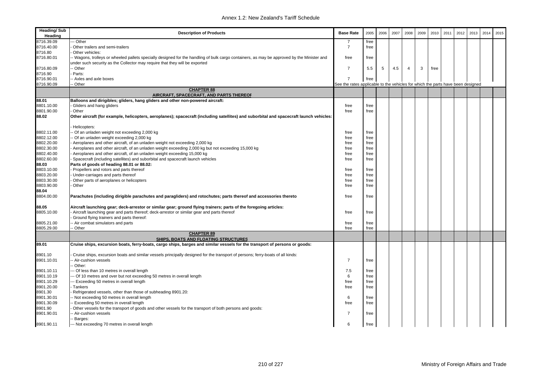| <b>Heading/Sub</b><br>Heading | <b>Description of Products</b>                                                                                                             | <b>Base Rate</b>                                                                | 2005 | 2006 | 2007 | 2008           | 2009 | 2010 | 2011 | 2012 | 2013 | 2014 | 2015 |
|-------------------------------|--------------------------------------------------------------------------------------------------------------------------------------------|---------------------------------------------------------------------------------|------|------|------|----------------|------|------|------|------|------|------|------|
| 8716.39.09                    | - Other                                                                                                                                    | -7                                                                              | free |      |      |                |      |      |      |      |      |      |      |
| 8716.40.00                    | Other trailers and semi-trailers                                                                                                           | $\overline{7}$                                                                  | free |      |      |                |      |      |      |      |      |      |      |
| 8716.80                       | Other vehicles:                                                                                                                            |                                                                                 |      |      |      |                |      |      |      |      |      |      |      |
| 8716.80.01                    | - Wagons, trolleys or wheeled pallets specially designed for the handling of bulk cargo containers, as may be approved by the Minister and | free                                                                            | free |      |      |                |      |      |      |      |      |      |      |
|                               | under such security as the Collector may require that they will be exported                                                                |                                                                                 |      |      |      |                |      |      |      |      |      |      |      |
| 8716.80.09                    | - Other                                                                                                                                    | $\overline{7}$                                                                  | 5.5  | 5    | 4.5  | $\overline{4}$ | 3    | free |      |      |      |      |      |
| 8716.90                       | Parts:                                                                                                                                     |                                                                                 |      |      |      |                |      |      |      |      |      |      |      |
| 8716.90.01                    | Axles and axle boxes                                                                                                                       | $\overline{7}$                                                                  | free |      |      |                |      |      |      |      |      |      |      |
| 8716.90.09                    | - Other                                                                                                                                    | See the rates applicable to the vehicles for which the parts have been designed |      |      |      |                |      |      |      |      |      |      |      |
|                               | <b>CHAPTER 88</b>                                                                                                                          |                                                                                 |      |      |      |                |      |      |      |      |      |      |      |
|                               | AIRCRAFT, SPACECRAFT, AND PARTS THEREOF                                                                                                    |                                                                                 |      |      |      |                |      |      |      |      |      |      |      |
| 88.01                         | Balloons and dirigibles; gliders, hang gliders and other non-powered aircraft:                                                             |                                                                                 |      |      |      |                |      |      |      |      |      |      |      |
| 8801.10.00                    | Gliders and hang gliders                                                                                                                   | free                                                                            | free |      |      |                |      |      |      |      |      |      |      |
| 8801.90.00                    | Other                                                                                                                                      | free                                                                            | free |      |      |                |      |      |      |      |      |      |      |
| 88.02                         | Other aircraft (for example, helicopters, aeroplanes); spacecraft (including satellites) and suborbital and spacecraft launch vehicles:    |                                                                                 |      |      |      |                |      |      |      |      |      |      |      |
|                               | Helicopters:                                                                                                                               |                                                                                 |      |      |      |                |      |      |      |      |      |      |      |
| 8802.11.00                    | Of an unladen weight not exceeding 2,000 kg                                                                                                | free                                                                            | free |      |      |                |      |      |      |      |      |      |      |
| 8802.12.00                    | Of an unladen weight exceeding 2,000 kg                                                                                                    | free                                                                            | free |      |      |                |      |      |      |      |      |      |      |
| 8802.20.00                    | Aeroplanes and other aircraft, of an unladen weight not exceeding 2,000 kg                                                                 | free                                                                            | free |      |      |                |      |      |      |      |      |      |      |
| 8802.30.00                    | Aeroplanes and other aircraft, of an unladen weight exceeding 2,000 kg but not exceeding 15,000 kg                                         | free                                                                            | free |      |      |                |      |      |      |      |      |      |      |
| 8802.40.00                    | Aeroplanes and other aircraft, of an unladen weight exceeding 15,000 kg                                                                    | free                                                                            | free |      |      |                |      |      |      |      |      |      |      |
| 8802.60.00                    | Spacecraft (including satellites) and suborbital and spacecraft launch vehicles                                                            | free                                                                            | free |      |      |                |      |      |      |      |      |      |      |
| 88.03                         | Parts of goods of heading 88.01 or 88.02:                                                                                                  |                                                                                 |      |      |      |                |      |      |      |      |      |      |      |
| 8803.10.00                    | Propellers and rotors and parts thereof                                                                                                    | free                                                                            | free |      |      |                |      |      |      |      |      |      |      |
| 8803.20.00                    | Under-carriages and parts thereof                                                                                                          | free                                                                            | free |      |      |                |      |      |      |      |      |      |      |
| 8803.30.00                    | Other parts of aeroplanes or helicopters                                                                                                   | free                                                                            | free |      |      |                |      |      |      |      |      |      |      |
| 8803.90.00                    | Other                                                                                                                                      | free                                                                            | free |      |      |                |      |      |      |      |      |      |      |
| 88.04                         |                                                                                                                                            |                                                                                 |      |      |      |                |      |      |      |      |      |      |      |
| 8804.00.00                    | Parachutes (including dirigible parachutes and paragliders) and rotochutes; parts thereof and accessories thereto                          | free                                                                            | free |      |      |                |      |      |      |      |      |      |      |
|                               |                                                                                                                                            |                                                                                 |      |      |      |                |      |      |      |      |      |      |      |
| 88.05                         | Aircraft launching gear; deck-arrestor or similar gear; ground flying trainers; parts of the foregoing articles:                           |                                                                                 |      |      |      |                |      |      |      |      |      |      |      |
| 8805.10.00                    | Aircraft launching gear and parts thereof; deck-arrestor or similar gear and parts thereof                                                 | free                                                                            | free |      |      |                |      |      |      |      |      |      |      |
|                               | Ground flying trainers and parts thereof:                                                                                                  |                                                                                 |      |      |      |                |      |      |      |      |      |      |      |
| 8805.21.00<br>8805.29.00      | Air combat simulators and parts                                                                                                            | free                                                                            | free |      |      |                |      |      |      |      |      |      |      |
|                               | - Other<br><b>CHAPTER 89</b>                                                                                                               | free                                                                            | free |      |      |                |      |      |      |      |      |      |      |
|                               | SHIPS, BOATS AND FLOATING STRUCTURES                                                                                                       |                                                                                 |      |      |      |                |      |      |      |      |      |      |      |
| 89.01                         | Cruise ships, excursion boats, ferry-boats, cargo ships, barges and similar vessels for the transport of persons or goods:                 |                                                                                 |      |      |      |                |      |      |      |      |      |      |      |
|                               |                                                                                                                                            |                                                                                 |      |      |      |                |      |      |      |      |      |      |      |
| 8901.10                       | Cruise ships, excursion boats and similar vessels principally designed for the transport of persons; ferry-boats of all kinds:             |                                                                                 |      |      |      |                |      |      |      |      |      |      |      |
| 8901.10.01                    | Air-cushion vessels                                                                                                                        | $\overline{7}$                                                                  | free |      |      |                |      |      |      |      |      |      |      |
|                               | Other:                                                                                                                                     |                                                                                 |      |      |      |                |      |      |      |      |      |      |      |
| 8901.10.11                    | - Of less than 10 metres in overall length                                                                                                 | 7.5                                                                             | free |      |      |                |      |      |      |      |      |      |      |
| 8901.10.19                    | - Of 10 metres and over but not exceeding 50 metres in overall length                                                                      | 6                                                                               | free |      |      |                |      |      |      |      |      |      |      |
| 8901.10.29                    | -- Exceeding 50 metres in overall length                                                                                                   | free                                                                            | free |      |      |                |      |      |      |      |      |      |      |
| 8901.20.00                    | Tankers                                                                                                                                    | free                                                                            | free |      |      |                |      |      |      |      |      |      |      |
| 8901.30                       | Refrigerated vessels, other than those of subheading 8901.20:                                                                              |                                                                                 |      |      |      |                |      |      |      |      |      |      |      |
| 8901.30.01                    | Not exceeding 50 metres in overall length                                                                                                  | 6                                                                               | free |      |      |                |      |      |      |      |      |      |      |
| 8901.30.09                    | Exceeding 50 metres in overall length                                                                                                      | free                                                                            | free |      |      |                |      |      |      |      |      |      |      |
| 8901.90                       | Other vessels for the transport of goods and other vessels for the transport of both persons and goods:                                    |                                                                                 |      |      |      |                |      |      |      |      |      |      |      |
| 8901.90.01                    | Air-cushion vessels                                                                                                                        | $\overline{7}$                                                                  | free |      |      |                |      |      |      |      |      |      |      |
|                               | Barges:                                                                                                                                    |                                                                                 |      |      |      |                |      |      |      |      |      |      |      |
| 8901.90.11                    | --- Not exceeding 70 metres in overall length                                                                                              | 6                                                                               | free |      |      |                |      |      |      |      |      |      |      |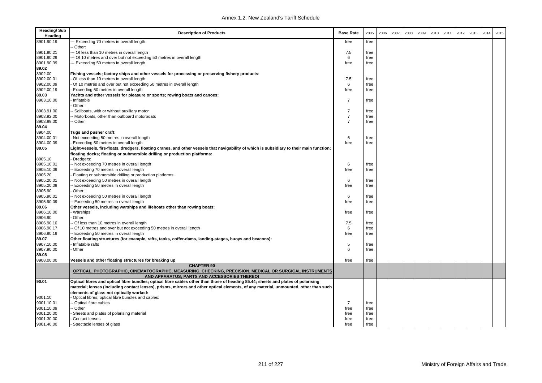| <b>Heading/Sub</b><br>Heading | <b>Description of Products</b>                                                                                                                          | <b>Base Rate</b> | 2005 | 2006 | 2007 | 2008 | 2009 | 2010 | 2011 | 2012 | 2013 | 2014 | 2015 |
|-------------------------------|---------------------------------------------------------------------------------------------------------------------------------------------------------|------------------|------|------|------|------|------|------|------|------|------|------|------|
| 8901.90.19                    | - Exceeding 70 metres in overall length                                                                                                                 | free             | free |      |      |      |      |      |      |      |      |      |      |
|                               | Other:                                                                                                                                                  |                  |      |      |      |      |      |      |      |      |      |      |      |
| 8901.90.21                    | -- Of less than 10 metres in overall length                                                                                                             | 7.5              | free |      |      |      |      |      |      |      |      |      |      |
| 8901.90.29                    | - Of 10 metres and over but not exceeding 50 metres in overall length                                                                                   | 6                | free |      |      |      |      |      |      |      |      |      |      |
| 8901.90.39                    | - Exceeding 50 metres in overall length                                                                                                                 | free             | free |      |      |      |      |      |      |      |      |      |      |
| 89.02                         |                                                                                                                                                         |                  |      |      |      |      |      |      |      |      |      |      |      |
| 8902.00                       | Fishing vessels; factory ships and other vessels for processing or preserving fishery products:                                                         |                  |      |      |      |      |      |      |      |      |      |      |      |
| 8902.00.01                    | Of less than 10 metres in overall length                                                                                                                | 7.5              | free |      |      |      |      |      |      |      |      |      |      |
| 8902.00.09                    | Of 10 metres and over but not exceeding 50 metres in overall length                                                                                     | 6                | free |      |      |      |      |      |      |      |      |      |      |
| 8902.00.19                    | Exceeding 50 metres in overall length                                                                                                                   | free             | free |      |      |      |      |      |      |      |      |      |      |
| 89.03                         | Yachts and other vessels for pleasure or sports; rowing boats and canoes:                                                                               |                  |      |      |      |      |      |      |      |      |      |      |      |
| 8903.10.00                    | Inflatable                                                                                                                                              | $\overline{7}$   | free |      |      |      |      |      |      |      |      |      |      |
|                               | Other:                                                                                                                                                  | $\overline{7}$   |      |      |      |      |      |      |      |      |      |      |      |
| 8903.91.00<br>8903.92.00      | - Sailboats, with or without auxiliary motor                                                                                                            | $\overline{7}$   | free |      |      |      |      |      |      |      |      |      |      |
|                               | - Motorboats, other than outboard motorboats<br>- Other                                                                                                 | $\overline{7}$   | free |      |      |      |      |      |      |      |      |      |      |
| 8903.99.00                    |                                                                                                                                                         |                  | free |      |      |      |      |      |      |      |      |      |      |
| 89.04<br>8904.00              |                                                                                                                                                         |                  |      |      |      |      |      |      |      |      |      |      |      |
| 8904.00.01                    | Tugs and pusher craft:<br>Not exceeding 50 metres in overall length                                                                                     | 6                | free |      |      |      |      |      |      |      |      |      |      |
| 8904.00.09                    | Exceeding 50 metres in overall length                                                                                                                   | free             | free |      |      |      |      |      |      |      |      |      |      |
| 89.05                         | Light-vessels, fire-floats, dredgers, floating cranes, and other vessels that navigability of which is subsidiary to their main function;               |                  |      |      |      |      |      |      |      |      |      |      |      |
|                               | floating docks; floating or submersible drilling or production platforms:                                                                               |                  |      |      |      |      |      |      |      |      |      |      |      |
| 8905.10                       | Dredgers:                                                                                                                                               |                  |      |      |      |      |      |      |      |      |      |      |      |
| 8905.10.01                    | - Not exceeding 70 metres in overall length                                                                                                             | 6                | free |      |      |      |      |      |      |      |      |      |      |
| 8905.10.09                    | - Exceeding 70 metres in overall length                                                                                                                 | free             | free |      |      |      |      |      |      |      |      |      |      |
| 8905.20                       | Floating or submersible drilling or production platforms:                                                                                               |                  |      |      |      |      |      |      |      |      |      |      |      |
| 8905.20.01                    | - Not exceeding 50 metres in overall length                                                                                                             | 6                | free |      |      |      |      |      |      |      |      |      |      |
| 8905.20.09                    | - Exceeding 50 metres in overall length                                                                                                                 | free             | free |      |      |      |      |      |      |      |      |      |      |
| 8905.90                       | Other:                                                                                                                                                  |                  |      |      |      |      |      |      |      |      |      |      |      |
| 8905.90.01                    | - Not exceeding 50 metres in overall length                                                                                                             | 6                | free |      |      |      |      |      |      |      |      |      |      |
| 8905.90.09                    | - Exceeding 50 metres in overall length                                                                                                                 | free             | free |      |      |      |      |      |      |      |      |      |      |
| 89.06                         | Other vessels, including warships and lifeboats other than rowing boats:                                                                                |                  |      |      |      |      |      |      |      |      |      |      |      |
| 8906.10.00                    | Warships                                                                                                                                                | free             | free |      |      |      |      |      |      |      |      |      |      |
| 8906.90                       | Other:                                                                                                                                                  |                  |      |      |      |      |      |      |      |      |      |      |      |
| 8906.90.10                    | - Of less than 10 metres in overall length                                                                                                              | 7.5              | free |      |      |      |      |      |      |      |      |      |      |
| 8906.90.17                    | - Of 10 metres and over but not exceeding 50 metres in overall length                                                                                   | 6                | free |      |      |      |      |      |      |      |      |      |      |
| 8906.90.19                    | -- Exceeding 50 metres in overall length                                                                                                                | free             | free |      |      |      |      |      |      |      |      |      |      |
| 89.07                         | Other floating structures (for example, rafts, tanks, coffer-dams, landing-stages, buoys and beacons):                                                  |                  |      |      |      |      |      |      |      |      |      |      |      |
| 8907.10.00                    | - Inflatable rafts                                                                                                                                      | 5                | free |      |      |      |      |      |      |      |      |      |      |
| 8907.90.00                    | Other                                                                                                                                                   | 6                | free |      |      |      |      |      |      |      |      |      |      |
| 89.08                         |                                                                                                                                                         |                  |      |      |      |      |      |      |      |      |      |      |      |
| 8908.00.00                    | Vessels and other floating structures for breaking up                                                                                                   | free             | free |      |      |      |      |      |      |      |      |      |      |
|                               | <b>CHAPTER 90</b>                                                                                                                                       |                  |      |      |      |      |      |      |      |      |      |      |      |
|                               | OPTICAL, PHOTOGRAPHIC, CINEMATOGRAPHIC, MEASURING, CHECKING, PRECISION, MEDICAL OR SURGICAL INSTRUMENTS<br>AND APPARATUS: PARTS AND ACCESSORIES THEREOF |                  |      |      |      |      |      |      |      |      |      |      |      |
| 90.01                         | Optical fibres and optical fibre bundles; optical fibre cables other than those of heading 85.44; sheets and plates of polarising                       |                  |      |      |      |      |      |      |      |      |      |      |      |
|                               | material; lenses (including contact lenses), prisms, mirrors and other optical elements, of any material, unmounted, other than such                    |                  |      |      |      |      |      |      |      |      |      |      |      |
|                               | elements of glass not optically worked:                                                                                                                 |                  |      |      |      |      |      |      |      |      |      |      |      |
| 9001.10                       | Optical fibres, optical fibre bundles and cables:                                                                                                       |                  |      |      |      |      |      |      |      |      |      |      |      |
| 9001.10.01                    | - Optical fibre cables                                                                                                                                  | 7                | free |      |      |      |      |      |      |      |      |      |      |
| 9001.10.09                    | - Other                                                                                                                                                 | free             | free |      |      |      |      |      |      |      |      |      |      |
| 9001.20.00                    | Sheets and plates of polarising material                                                                                                                | free             | free |      |      |      |      |      |      |      |      |      |      |
| 9001.30.00                    | Contact lenses                                                                                                                                          | free             | free |      |      |      |      |      |      |      |      |      |      |
| 9001.40.00                    | - Spectacle lenses of glass                                                                                                                             | free             | free |      |      |      |      |      |      |      |      |      |      |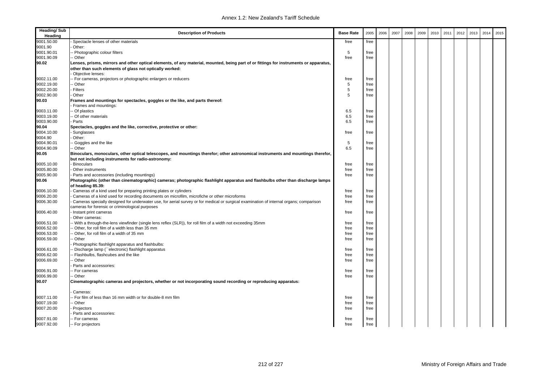| <b>Heading/Sub</b><br>Heading | <b>Description of Products</b>                                                                                                                                                                   | <b>Base Rate</b> | 2005 | 2006 | 2007 | 2008 | 2009 | 2010 | 2011 | 2012 | 2013 | 2014 | 2015 |
|-------------------------------|--------------------------------------------------------------------------------------------------------------------------------------------------------------------------------------------------|------------------|------|------|------|------|------|------|------|------|------|------|------|
| 9001.50.00                    | Spectacle lenses of other materials                                                                                                                                                              | free             | free |      |      |      |      |      |      |      |      |      |      |
| 9001.90                       | Other:                                                                                                                                                                                           |                  |      |      |      |      |      |      |      |      |      |      |      |
| 9001.90.01                    | Photographic colour filters                                                                                                                                                                      | 5                | free |      |      |      |      |      |      |      |      |      |      |
| 9001.90.09                    | Other                                                                                                                                                                                            | free             | free |      |      |      |      |      |      |      |      |      |      |
| 90.02                         | Lenses, prisms, mirrors and other optical elements, of any material, mounted, being part of or fittings for instruments or apparatus,<br>other than such elements of glass not optically worked: |                  |      |      |      |      |      |      |      |      |      |      |      |
|                               | Objective lenses:                                                                                                                                                                                |                  |      |      |      |      |      |      |      |      |      |      |      |
| 9002.11.00                    | For cameras, projectors or photographic enlargers or reducers                                                                                                                                    | free             | free |      |      |      |      |      |      |      |      |      |      |
| 9002.19.00                    | Other                                                                                                                                                                                            | 5                | free |      |      |      |      |      |      |      |      |      |      |
| 9002.20.00                    | Filters                                                                                                                                                                                          | 5                | free |      |      |      |      |      |      |      |      |      |      |
| 9002.90.00                    | Other                                                                                                                                                                                            | 5                | free |      |      |      |      |      |      |      |      |      |      |
| 90.03                         | Frames and mountings for spectacles, goggles or the like, and parts thereof:<br>Frames and mountings:                                                                                            |                  |      |      |      |      |      |      |      |      |      |      |      |
| 9003.11.00                    | Of plastics                                                                                                                                                                                      | 6.5              | free |      |      |      |      |      |      |      |      |      |      |
| 9003.19.00                    | Of other materials                                                                                                                                                                               | 6.5              | free |      |      |      |      |      |      |      |      |      |      |
| 9003.90.00                    | Parts                                                                                                                                                                                            | 6.5              | free |      |      |      |      |      |      |      |      |      |      |
| 90.04                         | Spectacles, goggles and the like, corrective, protective or other:                                                                                                                               |                  |      |      |      |      |      |      |      |      |      |      |      |
| 9004.10.00                    | Sunglasses                                                                                                                                                                                       | free             | free |      |      |      |      |      |      |      |      |      |      |
| 9004.90                       | Other:                                                                                                                                                                                           |                  |      |      |      |      |      |      |      |      |      |      |      |
| 9004.90.01                    | Goggles and the like                                                                                                                                                                             | 5                | free |      |      |      |      |      |      |      |      |      |      |
| 9004.90.09                    | - Other                                                                                                                                                                                          | 6.5              | free |      |      |      |      |      |      |      |      |      |      |
| 90.05                         | Binoculars, monoculars, other optical telescopes, and mountings therefor; other astronomical instruments and mountings therefor,                                                                 |                  |      |      |      |      |      |      |      |      |      |      |      |
|                               | but not including instruments for radio-astronomy:                                                                                                                                               |                  |      |      |      |      |      |      |      |      |      |      |      |
| 9005.10.00                    | Binoculars                                                                                                                                                                                       | free             | free |      |      |      |      |      |      |      |      |      |      |
| 9005.80.00                    | Other instruments                                                                                                                                                                                | free             | free |      |      |      |      |      |      |      |      |      |      |
| 9005.90.00                    | Parts and accessories (including mountings)                                                                                                                                                      | free             | free |      |      |      |      |      |      |      |      |      |      |
| 90.06                         | Photographic (other than cinematographic) cameras; photographic flashlight apparatus and flashbulbs other than discharge lamps<br>of heading 85.39:                                              |                  |      |      |      |      |      |      |      |      |      |      |      |
| 9006.10.00                    | Cameras of a kind used for preparing printing plates or cylinders                                                                                                                                | free             | free |      |      |      |      |      |      |      |      |      |      |
| 9006.20.00                    | Cameras of a kind used for recording documents on microfilm, microfiche or other microforms                                                                                                      | free             | free |      |      |      |      |      |      |      |      |      |      |
| 9006.30.00                    | Cameras specially designed for underwater use, for aerial survey or for medical or surgical examination of internal organs; comparison                                                           | free             | free |      |      |      |      |      |      |      |      |      |      |
|                               | cameras for forensic or criminological purposes                                                                                                                                                  |                  |      |      |      |      |      |      |      |      |      |      |      |
| 9006.40.00                    | Instant print cameras<br>Other cameras:                                                                                                                                                          | free             | free |      |      |      |      |      |      |      |      |      |      |
| 9006.51.00                    | - With a through-the-lens viewfinder (single lens reflex (SLR)), for roll film of a width not exceeding 35mm                                                                                     | free             | free |      |      |      |      |      |      |      |      |      |      |
| 9006.52.00                    | Other, for roll film of a width less than 35 mm                                                                                                                                                  | free             | free |      |      |      |      |      |      |      |      |      |      |
| 9006.53.00                    | Other, for roll film of a width of 35 mm                                                                                                                                                         | free             | free |      |      |      |      |      |      |      |      |      |      |
| 9006.59.00                    | Other                                                                                                                                                                                            | free             | free |      |      |      |      |      |      |      |      |      |      |
|                               | Photographic flashlight apparatus and flashbulbs:                                                                                                                                                |                  |      |      |      |      |      |      |      |      |      |      |      |
| 9006.61.00                    | Discharge lamp ("electronic) flashlight apparatus                                                                                                                                                | free             | free |      |      |      |      |      |      |      |      |      |      |
| 9006.62.00                    | Flashbulbs, flashcubes and the like                                                                                                                                                              | free             | free |      |      |      |      |      |      |      |      |      |      |
| 9006.69.00                    | Other                                                                                                                                                                                            | free             | free |      |      |      |      |      |      |      |      |      |      |
|                               | Parts and accessories:                                                                                                                                                                           |                  |      |      |      |      |      |      |      |      |      |      |      |
| 9006.91.00                    | - For cameras                                                                                                                                                                                    | free             | free |      |      |      |      |      |      |      |      |      |      |
| 9006.99.00                    | Other                                                                                                                                                                                            | free             | free |      |      |      |      |      |      |      |      |      |      |
| 90.07                         | Cinematographic cameras and projectors, whether or not incorporating sound recording or reproducing apparatus:                                                                                   |                  |      |      |      |      |      |      |      |      |      |      |      |
|                               | Cameras:                                                                                                                                                                                         |                  |      |      |      |      |      |      |      |      |      |      |      |
| 9007.11.00                    | - For film of less than 16 mm width or for double-8 mm film                                                                                                                                      | free             | free |      |      |      |      |      |      |      |      |      |      |
| 9007.19.00                    | - Other                                                                                                                                                                                          | free             | free |      |      |      |      |      |      |      |      |      |      |
| 9007.20.00                    | Projectors                                                                                                                                                                                       | free             | free |      |      |      |      |      |      |      |      |      |      |
|                               | Parts and accessories:                                                                                                                                                                           |                  |      |      |      |      |      |      |      |      |      |      |      |
| 9007.91.00                    | - For cameras                                                                                                                                                                                    | free             | free |      |      |      |      |      |      |      |      |      |      |
| 9007.92.00                    | -- For projectors                                                                                                                                                                                | free             | free |      |      |      |      |      |      |      |      |      |      |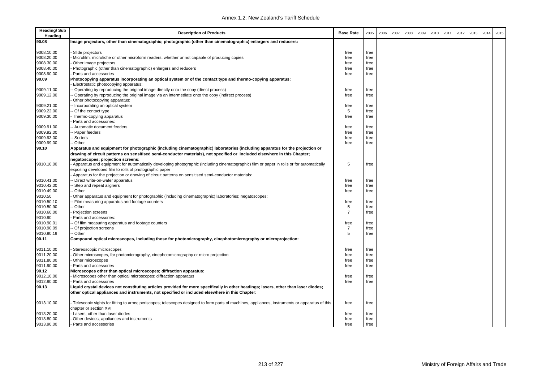| <b>Heading/Sub</b><br>Heading | <b>Description of Products</b>                                                                                                                 | <b>Base Rate</b> | 2005 | 2006 | 2007 | 2008 | 2009 | 2010 | 2011 | 2012 | 2013 | 2014 | 2015 |
|-------------------------------|------------------------------------------------------------------------------------------------------------------------------------------------|------------------|------|------|------|------|------|------|------|------|------|------|------|
| 90.08                         | Image projectors, other than cinematographic; photographic (other than cinematographic) enlargers and reducers:                                |                  |      |      |      |      |      |      |      |      |      |      |      |
| 9008.10.00                    | Slide projectors                                                                                                                               | free             | free |      |      |      |      |      |      |      |      |      |      |
| 9008.20.00                    | Microfilm, microfiche or other microform readers, whether or not capable of producing copies                                                   | free             | free |      |      |      |      |      |      |      |      |      |      |
| 9008.30.00                    | Other image projectors                                                                                                                         | free             | free |      |      |      |      |      |      |      |      |      |      |
| 9008.40.00                    | Photographic (other than cinematographic) enlargers and reducers                                                                               |                  | free |      |      |      |      |      |      |      |      |      |      |
| 9008.90.00                    | Parts and accessories                                                                                                                          | free<br>free     | free |      |      |      |      |      |      |      |      |      |      |
| 90.09                         | Photocopying apparatus incorporating an optical system or of the contact type and thermo-copying apparatus:                                    |                  |      |      |      |      |      |      |      |      |      |      |      |
|                               | Electrostatic photocopying apparatus:                                                                                                          |                  |      |      |      |      |      |      |      |      |      |      |      |
| 9009.11.00                    | Operating by reproducing the original image directly onto the copy (direct process)                                                            | free             | free |      |      |      |      |      |      |      |      |      |      |
| 9009.12.00                    | Operating by reproducing the original image via an intermediate onto the copy (indirect process)                                               | free             | free |      |      |      |      |      |      |      |      |      |      |
|                               | Other photocopying apparatus:                                                                                                                  |                  |      |      |      |      |      |      |      |      |      |      |      |
| 9009.21.00                    | - Incorporating an optical system                                                                                                              | free             | free |      |      |      |      |      |      |      |      |      |      |
| 9009.22.00                    | - Of the contact type                                                                                                                          | 5                | free |      |      |      |      |      |      |      |      |      |      |
| 9009.30.00                    | Thermo-copying apparatus                                                                                                                       | free             | free |      |      |      |      |      |      |      |      |      |      |
|                               | Parts and accessories:                                                                                                                         |                  |      |      |      |      |      |      |      |      |      |      |      |
| 9009.91.00                    | - Automatic document feeders                                                                                                                   | free             | free |      |      |      |      |      |      |      |      |      |      |
| 9009.92.00                    | - Paper feeders                                                                                                                                | free             | free |      |      |      |      |      |      |      |      |      |      |
| 9009.93.00                    | - Sorters                                                                                                                                      | free             | free |      |      |      |      |      |      |      |      |      |      |
| 9009.99.00                    | - Other                                                                                                                                        | free             | free |      |      |      |      |      |      |      |      |      |      |
| 90.10                         | Apparatus and equipment for photographic (including cinematographic) laboratories (including apparatus for the projection or                   |                  |      |      |      |      |      |      |      |      |      |      |      |
|                               | drawing of circuit patterns on sensitised semi-conductor materials), not specified or included elsewhere in this Chapter;                      |                  |      |      |      |      |      |      |      |      |      |      |      |
|                               | negatoscopes; projection screens:                                                                                                              |                  |      |      |      |      |      |      |      |      |      |      |      |
| 9010.10.00                    | Apparatus and equipment for automatically developing photographic (including cinematographic) film or paper in rolls or for automatically      | 5                | free |      |      |      |      |      |      |      |      |      |      |
|                               | exposing developed film to rolls of photographic paper                                                                                         |                  |      |      |      |      |      |      |      |      |      |      |      |
|                               | Apparatus for the projection or drawing of circuit patterns on sensitised semi-conductor materials:                                            |                  |      |      |      |      |      |      |      |      |      |      |      |
| 9010.41.00                    | - Direct write-on-wafer apparatus                                                                                                              | free             | free |      |      |      |      |      |      |      |      |      |      |
| 9010.42.00                    | - Step and repeat aligners                                                                                                                     | free             | free |      |      |      |      |      |      |      |      |      |      |
| 9010.49.00                    | - Other                                                                                                                                        | free             | free |      |      |      |      |      |      |      |      |      |      |
| 9010.50                       | Other apparatus and equipment for photographic (including cinematographic) laboratories; negatoscopes:                                         |                  |      |      |      |      |      |      |      |      |      |      |      |
| 9010.50.10                    | - Film measuring apparatus and footage counters                                                                                                | free             | free |      |      |      |      |      |      |      |      |      |      |
| 9010.50.90                    | - Other                                                                                                                                        | 5                | free |      |      |      |      |      |      |      |      |      |      |
| 9010.60.00                    | Projection screens                                                                                                                             | $\overline{7}$   | free |      |      |      |      |      |      |      |      |      |      |
| 9010.90                       | Parts and accessories:                                                                                                                         |                  |      |      |      |      |      |      |      |      |      |      |      |
| 9010.90.01                    | - Of film measuring apparatus and footage counters                                                                                             | free             | free |      |      |      |      |      |      |      |      |      |      |
| 9010.90.09                    | - Of projection screens                                                                                                                        | $\overline{7}$   | free |      |      |      |      |      |      |      |      |      |      |
| 9010.90.19                    | - Other                                                                                                                                        | 5                | free |      |      |      |      |      |      |      |      |      |      |
| 90.11                         | Compound optical microscopes, including those for photomicrography, cinephotomicrography or microprojection:                                   |                  |      |      |      |      |      |      |      |      |      |      |      |
|                               |                                                                                                                                                |                  |      |      |      |      |      |      |      |      |      |      |      |
| 9011.10.00                    | Stereoscopic microscopes                                                                                                                       | free             | free |      |      |      |      |      |      |      |      |      |      |
| 9011.20.00                    | Other microscopes, for photomicrography, cinephotomicrography or micro projection                                                              | free             | free |      |      |      |      |      |      |      |      |      |      |
| 9011.80.00                    | Other microscopes                                                                                                                              | free             | free |      |      |      |      |      |      |      |      |      |      |
| 9011.90.00                    | Parts and accessories                                                                                                                          | free             | free |      |      |      |      |      |      |      |      |      |      |
| 90.12                         | Microscopes other than optical microscopes; diffraction apparatus:                                                                             |                  |      |      |      |      |      |      |      |      |      |      |      |
| 9012.10.00                    | Microscopes other than optical microscopes; diffraction apparatus                                                                              | free             | free |      |      |      |      |      |      |      |      |      |      |
| 9012.90.00                    | Parts and accessories                                                                                                                          | free             | free |      |      |      |      |      |      |      |      |      |      |
| 90.13                         | Liquid crystal devices not constituting articles provided for more specifically in other headings; lasers, other than laser diodes;            |                  |      |      |      |      |      |      |      |      |      |      |      |
|                               | other optical appliances and instruments, not specified or included elsewhere in this Chapter:                                                 |                  |      |      |      |      |      |      |      |      |      |      |      |
|                               |                                                                                                                                                |                  |      |      |      |      |      |      |      |      |      |      |      |
| 9013.10.00                    | Telescopic sights for fitting to arms; periscopes; telescopes designed to form parts of machines, appliances, instruments or apparatus of this | free             | free |      |      |      |      |      |      |      |      |      |      |
|                               | chapter or section XVI                                                                                                                         |                  |      |      |      |      |      |      |      |      |      |      |      |
| 9013.20.00                    | Lasers, other than laser diodes                                                                                                                | free             | free |      |      |      |      |      |      |      |      |      |      |
| 9013.80.00                    | Other devices, appliances and instruments                                                                                                      | free             | free |      |      |      |      |      |      |      |      |      |      |
| 9013.90.00                    | Parts and accessories                                                                                                                          | free             | free |      |      |      |      |      |      |      |      |      |      |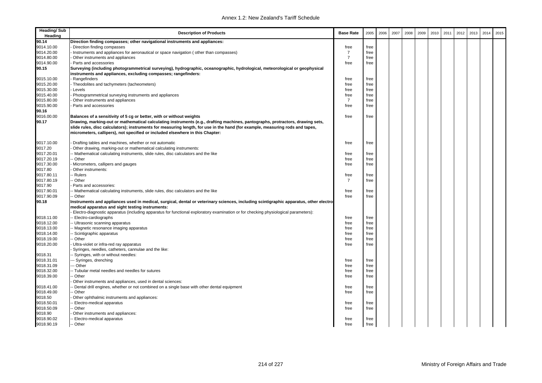| <b>Heading/Sub</b><br>Heading | <b>Description of Products</b>                                                                                                         | <b>Base Rate</b> | 2005 | 2006 | 2007 | 2008 | 2009 | 2010 | 2011 | 2012 | 2013 | 2014 | 2015 |
|-------------------------------|----------------------------------------------------------------------------------------------------------------------------------------|------------------|------|------|------|------|------|------|------|------|------|------|------|
| 90.14                         | Direction finding compasses; other navigational instruments and appliances:                                                            |                  |      |      |      |      |      |      |      |      |      |      |      |
| 9014.10.00                    | Direction finding compasses                                                                                                            | free             | free |      |      |      |      |      |      |      |      |      |      |
| 9014.20.00                    | Instruments and appliances for aeronautical or space navigation (other than compasses)                                                 | $\overline{7}$   | free |      |      |      |      |      |      |      |      |      |      |
| 9014.80.00                    | Other instruments and appliances                                                                                                       | $\overline{7}$   | free |      |      |      |      |      |      |      |      |      |      |
| 9014.90.00                    | Parts and accessories                                                                                                                  | free             | free |      |      |      |      |      |      |      |      |      |      |
| 90.15                         | Surveying (including photogrammetrical surveying), hydrographic, oceanographic, hydrological, meteorological or geophysical            |                  |      |      |      |      |      |      |      |      |      |      |      |
|                               | instruments and appliances, excluding compasses; rangefinders:                                                                         |                  |      |      |      |      |      |      |      |      |      |      |      |
| 9015.10.00                    | Rangefinders                                                                                                                           | free             | free |      |      |      |      |      |      |      |      |      |      |
| 9015.20.00                    | Theodolites and tachymeters (tacheometers)                                                                                             | free             | free |      |      |      |      |      |      |      |      |      |      |
| 9015.30.00                    | Levels                                                                                                                                 | free             | free |      |      |      |      |      |      |      |      |      |      |
| 9015.40.00                    | Photogrammetrical surveying instruments and appliances                                                                                 | free             | free |      |      |      |      |      |      |      |      |      |      |
| 9015.80.00                    | Other instruments and appliances                                                                                                       | $\overline{7}$   | free |      |      |      |      |      |      |      |      |      |      |
| 9015.90.00                    | Parts and accessories                                                                                                                  | free             | free |      |      |      |      |      |      |      |      |      |      |
| 90.16                         |                                                                                                                                        |                  |      |      |      |      |      |      |      |      |      |      |      |
| 9016.00.00                    | Balances of a sensitivity of 5 cg or better, with or without weights                                                                   | free             | free |      |      |      |      |      |      |      |      |      |      |
| 90.17                         | Drawing, marking-out or mathematical calculating instruments (e.g., drafting machines, pantographs, protractors, drawing sets,         |                  |      |      |      |      |      |      |      |      |      |      |      |
|                               | slide rules, disc calculators); instruments for measuring length, for use in the hand (for example, measuring rods and tapes,          |                  |      |      |      |      |      |      |      |      |      |      |      |
|                               | micrometers, callipers), not specified or included elsewhere in this Chapter:                                                          |                  |      |      |      |      |      |      |      |      |      |      |      |
|                               |                                                                                                                                        |                  |      |      |      |      |      |      |      |      |      |      |      |
| 9017.10.00                    | Drafting tables and machines, whether or not automatic                                                                                 | free             | free |      |      |      |      |      |      |      |      |      |      |
| 9017.20                       | Other drawing, marking-out or mathematical calculating instruments:                                                                    |                  |      |      |      |      |      |      |      |      |      |      |      |
| 9017.20.01                    | - Mathematical calculating instruments, slide rules, disc calculators and the like                                                     | free             | free |      |      |      |      |      |      |      |      |      |      |
| 9017.20.19                    | - Other                                                                                                                                | free             | free |      |      |      |      |      |      |      |      |      |      |
| 9017.30.00                    | Micrometers, callipers and gauges                                                                                                      | free             | free |      |      |      |      |      |      |      |      |      |      |
| 9017.80                       | Other instruments:                                                                                                                     |                  |      |      |      |      |      |      |      |      |      |      |      |
| 9017.80.11                    | - Rulers                                                                                                                               | free             | free |      |      |      |      |      |      |      |      |      |      |
| 9017.80.19                    | - Other                                                                                                                                | $\overline{7}$   | free |      |      |      |      |      |      |      |      |      |      |
| 9017.90                       | Parts and accessories:                                                                                                                 |                  |      |      |      |      |      |      |      |      |      |      |      |
| 9017.90.01                    | - Mathematical calculating instruments, slide rules, disc calculators and the like                                                     | free             | free |      |      |      |      |      |      |      |      |      |      |
| 9017.90.09                    | - Other                                                                                                                                | free             | free |      |      |      |      |      |      |      |      |      |      |
| 90.18                         | Instruments and appliances used in medical, surgical, dental or veterinary sciences, including scintigraphic apparatus, other electro- |                  |      |      |      |      |      |      |      |      |      |      |      |
|                               | medical apparatus and sight testing instruments:                                                                                       |                  |      |      |      |      |      |      |      |      |      |      |      |
|                               | Electro-diagnostic apparatus (including apparatus for functional exploratory examination or for checking physiological parameters):    |                  |      |      |      |      |      |      |      |      |      |      |      |
| 9018.11.00                    | - Electro-cardiographs                                                                                                                 | free             | free |      |      |      |      |      |      |      |      |      |      |
| 9018.12.00                    | - Ultrasonic scanning apparatus                                                                                                        | free             | free |      |      |      |      |      |      |      |      |      |      |
| 9018.13.00                    | Magnetic resonance imaging apparatus                                                                                                   | free             | free |      |      |      |      |      |      |      |      |      |      |
| 9018.14.00                    | Scintigraphic apparatus                                                                                                                | free             | free |      |      |      |      |      |      |      |      |      |      |
| 9018.19.00                    | - Other                                                                                                                                | free             | free |      |      |      |      |      |      |      |      |      |      |
| 9018.20.00                    | Ultra-violet or infra-red ray apparatus                                                                                                | free             | free |      |      |      |      |      |      |      |      |      |      |
|                               | Syringes, needles, catheters, cannulae and the like:                                                                                   |                  |      |      |      |      |      |      |      |      |      |      |      |
| 9018.31                       | - Syringes, with or without needles:                                                                                                   |                  |      |      |      |      |      |      |      |      |      |      |      |
| 9018.31.01                    | -- Syringes, drenching                                                                                                                 | free             | free |      |      |      |      |      |      |      |      |      |      |
| 9018.31.09                    | -- Other                                                                                                                               | free             | free |      |      |      |      |      |      |      |      |      |      |
| 9018.32.00                    | - Tubular metal needles and needles for sutures                                                                                        | free             | free |      |      |      |      |      |      |      |      |      |      |
| 9018.39.00                    | - Other                                                                                                                                | free             | free |      |      |      |      |      |      |      |      |      |      |
|                               | Other instruments and appliances, used in dental sciences:                                                                             |                  |      |      |      |      |      |      |      |      |      |      |      |
| 9018.41.00                    | Dental drill engines, whether or not combined on a single base with other dental equipment                                             | free             | free |      |      |      |      |      |      |      |      |      |      |
| 9018.49.00                    | - Other                                                                                                                                | free             | free |      |      |      |      |      |      |      |      |      |      |
| 9018.50                       | Other ophthalmic instruments and appliances:                                                                                           |                  |      |      |      |      |      |      |      |      |      |      |      |
| 9018.50.01                    | Electro-medical apparatus                                                                                                              | free             | free |      |      |      |      |      |      |      |      |      |      |
| 9018.50.09                    | - Other                                                                                                                                | free             | free |      |      |      |      |      |      |      |      |      |      |
| 9018.90                       | Other instruments and appliances:                                                                                                      |                  |      |      |      |      |      |      |      |      |      |      |      |
| 9018.90.02                    | - Electro-medical apparatus                                                                                                            | free             | free |      |      |      |      |      |      |      |      |      |      |
| 9018.90.19                    | -- Other                                                                                                                               | free             | free |      |      |      |      |      |      |      |      |      |      |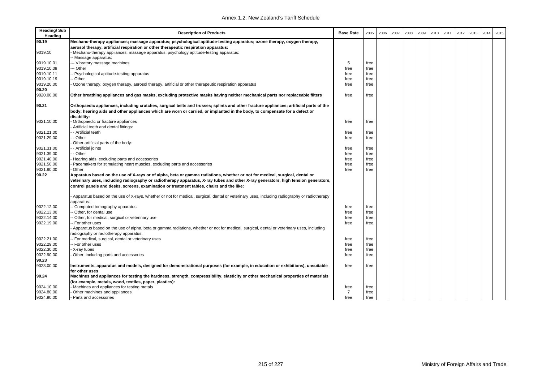| <b>Heading/Sub</b><br>Heading | <b>Description of Products</b>                                                                                                                                                                                                                                                                                                                                | <b>Base Rate</b>       | 2005 | 2006 | 2007 | 2008 | 2009 | 2010 | 2011 | 2012 | 2013 | 2014 | 2015 |
|-------------------------------|---------------------------------------------------------------------------------------------------------------------------------------------------------------------------------------------------------------------------------------------------------------------------------------------------------------------------------------------------------------|------------------------|------|------|------|------|------|------|------|------|------|------|------|
| 90.19                         | Mechano-therapy appliances; massage apparatus; psychological aptitude-testing apparatus; ozone therapy, oxygen therapy,                                                                                                                                                                                                                                       |                        |      |      |      |      |      |      |      |      |      |      |      |
|                               | aerosol therapy, artificial respiration or other therapeutic respiration apparatus:                                                                                                                                                                                                                                                                           |                        |      |      |      |      |      |      |      |      |      |      |      |
| 9019.10                       | Mechano-therapy appliances; massage apparatus; psychology aptitude-testing apparatus:                                                                                                                                                                                                                                                                         |                        |      |      |      |      |      |      |      |      |      |      |      |
|                               | - Massage apparatus:                                                                                                                                                                                                                                                                                                                                          |                        |      |      |      |      |      |      |      |      |      |      |      |
| 9019.10.01                    | --- Vibratory massage machines                                                                                                                                                                                                                                                                                                                                | 5                      | free |      |      |      |      |      |      |      |      |      |      |
| 9019.10.09                    | -- Other                                                                                                                                                                                                                                                                                                                                                      | free                   | free |      |      |      |      |      |      |      |      |      |      |
| 9019.10.11                    | - Psychological aptitude-testing apparatus                                                                                                                                                                                                                                                                                                                    | free                   | free |      |      |      |      |      |      |      |      |      |      |
| 9019.10.19                    | - Other                                                                                                                                                                                                                                                                                                                                                       | free                   | free |      |      |      |      |      |      |      |      |      |      |
| 9019.20.00                    | Ozone therapy, oxygen therapy, aerosol therapy, artificial or other therapeutic respiration apparatus                                                                                                                                                                                                                                                         | free                   | free |      |      |      |      |      |      |      |      |      |      |
| 90.20                         |                                                                                                                                                                                                                                                                                                                                                               |                        |      |      |      |      |      |      |      |      |      |      |      |
| 9020.00.00                    | Other breathing appliances and gas masks, excluding protective masks having neither mechanical parts nor replaceable filters                                                                                                                                                                                                                                  | free                   | free |      |      |      |      |      |      |      |      |      |      |
| 90.21                         | Orthopaedic appliances, including crutches, surgical belts and trusses; splints and other fracture appliances; artificial parts of the                                                                                                                                                                                                                        |                        |      |      |      |      |      |      |      |      |      |      |      |
|                               | body; hearing aids and other appliances which are worn or carried, or implanted in the body, to compensate for a defect or                                                                                                                                                                                                                                    |                        |      |      |      |      |      |      |      |      |      |      |      |
|                               | disability:                                                                                                                                                                                                                                                                                                                                                   |                        |      |      |      |      |      |      |      |      |      |      |      |
| 9021.10.00                    | Orthopaedic or fracture appliances                                                                                                                                                                                                                                                                                                                            | free                   | free |      |      |      |      |      |      |      |      |      |      |
|                               | Artificial teeth and dental fittings:                                                                                                                                                                                                                                                                                                                         |                        |      |      |      |      |      |      |      |      |      |      |      |
| 9021.21.00                    | - Artificial teeth                                                                                                                                                                                                                                                                                                                                            | free                   | free |      |      |      |      |      |      |      |      |      |      |
| 9021.29.00                    | - Other                                                                                                                                                                                                                                                                                                                                                       | free                   | free |      |      |      |      |      |      |      |      |      |      |
|                               | Other artificial parts of the body:                                                                                                                                                                                                                                                                                                                           |                        |      |      |      |      |      |      |      |      |      |      |      |
| 9021.31.00                    | - Artificial joints                                                                                                                                                                                                                                                                                                                                           | free                   | free |      |      |      |      |      |      |      |      |      |      |
| 9021.39.00                    | - Other                                                                                                                                                                                                                                                                                                                                                       | free                   | free |      |      |      |      |      |      |      |      |      |      |
| 9021.40.00                    | Hearing aids, excluding parts and accessories                                                                                                                                                                                                                                                                                                                 | free                   | free |      |      |      |      |      |      |      |      |      |      |
| 9021.50.00                    | Pacemakers for stimulating heart muscles, excluding parts and accessories                                                                                                                                                                                                                                                                                     | free                   | free |      |      |      |      |      |      |      |      |      |      |
| 9021.90.00                    | Other                                                                                                                                                                                                                                                                                                                                                         | free                   | free |      |      |      |      |      |      |      |      |      |      |
| 90.22                         | Apparatus based on the use of X-rays or of alpha, beta or gamma radiations, whether or not for medical, surgical, dental or<br>veterinary uses, including radiography or radiotherapy apparatus, X-ray tubes and other X-ray generators, high tension generators,<br>control panels and desks, screens, examination or treatment tables, chairs and the like: |                        |      |      |      |      |      |      |      |      |      |      |      |
|                               | Apparatus based on the use of X-rays, whether or not for medical, surgical, dental or veterinary uses, including radiography or radiotherapy<br>apparatus:                                                                                                                                                                                                    |                        |      |      |      |      |      |      |      |      |      |      |      |
| 9022.12.00                    | - Computed tomography apparatus                                                                                                                                                                                                                                                                                                                               | free                   | free |      |      |      |      |      |      |      |      |      |      |
| 9022.13.00                    | - Other, for dental use                                                                                                                                                                                                                                                                                                                                       | free                   | free |      |      |      |      |      |      |      |      |      |      |
| 9022.14.00                    | - Other, for medical, surgical or veterinary use                                                                                                                                                                                                                                                                                                              | free                   | free |      |      |      |      |      |      |      |      |      |      |
| 9022.19.00                    | - For other uses                                                                                                                                                                                                                                                                                                                                              | free                   | free |      |      |      |      |      |      |      |      |      |      |
|                               | Apparatus based on the use of alpha, beta or gamma radiations, whether or not for medical, surgical, dental or veterinary uses, including                                                                                                                                                                                                                     |                        |      |      |      |      |      |      |      |      |      |      |      |
|                               | radiography or radiotherapy apparatus:                                                                                                                                                                                                                                                                                                                        |                        |      |      |      |      |      |      |      |      |      |      |      |
| 9022.21.00                    | -- For medical, surgical, dental or veterinary uses                                                                                                                                                                                                                                                                                                           | free                   | free |      |      |      |      |      |      |      |      |      |      |
| 9022.29.00                    | -- For other uses                                                                                                                                                                                                                                                                                                                                             | free                   | free |      |      |      |      |      |      |      |      |      |      |
| 9022.30.00                    | X-ray tubes                                                                                                                                                                                                                                                                                                                                                   | free                   | free |      |      |      |      |      |      |      |      |      |      |
| 9022.90.00                    | Other, including parts and accessories                                                                                                                                                                                                                                                                                                                        | free                   | free |      |      |      |      |      |      |      |      |      |      |
| 90.23                         |                                                                                                                                                                                                                                                                                                                                                               |                        |      |      |      |      |      |      |      |      |      |      |      |
| 9023.00.00                    | Instruments, apparatus and models, designed for demonstrational purposes (for example, in education or exhibitions), unsuitable                                                                                                                                                                                                                               | free                   | free |      |      |      |      |      |      |      |      |      |      |
|                               | for other uses                                                                                                                                                                                                                                                                                                                                                |                        |      |      |      |      |      |      |      |      |      |      |      |
| 90.24                         | Machines and appliances for testing the hardness, strength, compressibility, elasticity or other mechanical properties of materials                                                                                                                                                                                                                           |                        |      |      |      |      |      |      |      |      |      |      |      |
|                               | (for example, metals, wood, textiles, paper, plastics):                                                                                                                                                                                                                                                                                                       |                        |      |      |      |      |      |      |      |      |      |      |      |
| 9024.10.00<br>9024.80.00      | Machines and appliances for testing metals                                                                                                                                                                                                                                                                                                                    | free<br>$\overline{7}$ | free |      |      |      |      |      |      |      |      |      |      |
| 9024.90.00                    | Other machines and appliances<br>Parts and accessories                                                                                                                                                                                                                                                                                                        | free                   | free |      |      |      |      |      |      |      |      |      |      |
|                               |                                                                                                                                                                                                                                                                                                                                                               |                        | free |      |      |      |      |      |      |      |      |      |      |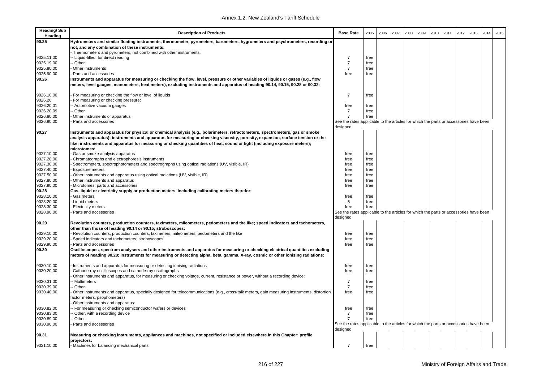| <b>Heading/Sub</b><br>Heading | <b>Description of Products</b>                                                                                                                                                                                                                                     | <b>Base Rate</b>                                                                                  | 2005         | 2006 | 2007 | 2008 | 2009 | 2010 | 2011 | 2012 | 2013 | 2014 | 2015 |
|-------------------------------|--------------------------------------------------------------------------------------------------------------------------------------------------------------------------------------------------------------------------------------------------------------------|---------------------------------------------------------------------------------------------------|--------------|------|------|------|------|------|------|------|------|------|------|
| 90.25                         | Hydrometers and similar floating instruments, thermometer, pyrometers, barometers, hygrometers and psychrometers, recording or                                                                                                                                     |                                                                                                   |              |      |      |      |      |      |      |      |      |      |      |
|                               | not, and any combination of these instruments:                                                                                                                                                                                                                     |                                                                                                   |              |      |      |      |      |      |      |      |      |      |      |
|                               | Thermometers and pyrometers, not combined with other instruments:                                                                                                                                                                                                  |                                                                                                   |              |      |      |      |      |      |      |      |      |      |      |
| 9025.11.00                    | - Liquid-filled, for direct reading                                                                                                                                                                                                                                | $\overline{7}$                                                                                    | free         |      |      |      |      |      |      |      |      |      |      |
| 9025.19.00                    | - Other                                                                                                                                                                                                                                                            | $\overline{7}$                                                                                    | free         |      |      |      |      |      |      |      |      |      |      |
| 9025.80.00<br>9025.90.00      | Other instruments<br>Parts and accessories                                                                                                                                                                                                                         | $\overline{7}$<br>free                                                                            | free<br>free |      |      |      |      |      |      |      |      |      |      |
| 90.26                         | Instruments and apparatus for measuring or checking the flow, level, pressure or other variables of liquids or gases (e.g., flow                                                                                                                                   |                                                                                                   |              |      |      |      |      |      |      |      |      |      |      |
|                               | meters, level gauges, manometers, heat meters), excluding instruments and apparatus of heading 90.14, 90.15, 90.28 or 90.32:                                                                                                                                       |                                                                                                   |              |      |      |      |      |      |      |      |      |      |      |
| 9026.10.00                    | For measuring or checking the flow or level of liquids                                                                                                                                                                                                             | $\overline{7}$                                                                                    | free         |      |      |      |      |      |      |      |      |      |      |
| 9026.20                       | For measuring or checking pressure:                                                                                                                                                                                                                                |                                                                                                   |              |      |      |      |      |      |      |      |      |      |      |
| 9026.20.01                    | - Automotive vacuum gauges                                                                                                                                                                                                                                         | free                                                                                              | free         |      |      |      |      |      |      |      |      |      |      |
| 9026.20.09                    | - Other                                                                                                                                                                                                                                                            | 7                                                                                                 | free         |      |      |      |      |      |      |      |      |      |      |
| 9026.80.00                    | Other instruments or apparatus                                                                                                                                                                                                                                     | $\overline{7}$                                                                                    | free         |      |      |      |      |      |      |      |      |      |      |
| 9026.90.00                    | Parts and accessories                                                                                                                                                                                                                                              | See the rates applicable to the articles for which the parts or accessories have been             |              |      |      |      |      |      |      |      |      |      |      |
|                               |                                                                                                                                                                                                                                                                    | designed                                                                                          |              |      |      |      |      |      |      |      |      |      |      |
| 90.27                         | Instruments and apparatus for physical or chemical analysis (e.g., polarimeters, refractometers, spectrometers, gas or smoke                                                                                                                                       |                                                                                                   |              |      |      |      |      |      |      |      |      |      |      |
|                               | analysis apparatus); instruments and apparatus for measuring or checking viscosity, porosity, expansion, surface tension or the                                                                                                                                    |                                                                                                   |              |      |      |      |      |      |      |      |      |      |      |
|                               | like; instruments and apparatus for measuring or checking quantities of heat, sound or light (including exposure meters);<br>microtomes:                                                                                                                           |                                                                                                   |              |      |      |      |      |      |      |      |      |      |      |
| 9027.10.00                    | Gas or smoke analysis apparatus                                                                                                                                                                                                                                    | free                                                                                              | free         |      |      |      |      |      |      |      |      |      |      |
| 9027.20.00                    | Chromatographs and electrophoresis instruments                                                                                                                                                                                                                     | free                                                                                              | free         |      |      |      |      |      |      |      |      |      |      |
| 9027.30.00                    | Spectrometers, spectrophotometers and spectrographs using optical radiations (UV, visible, IR)                                                                                                                                                                     | free                                                                                              | free         |      |      |      |      |      |      |      |      |      |      |
| 9027.40.00                    | <b>Exposure meters</b>                                                                                                                                                                                                                                             | free                                                                                              | free         |      |      |      |      |      |      |      |      |      |      |
| 9027.50.00                    | Other instruments and apparatus using optical radiations (UV, visible, IR)                                                                                                                                                                                         | free                                                                                              | free         |      |      |      |      |      |      |      |      |      |      |
| 9027.80.00                    | Other instruments and apparatus                                                                                                                                                                                                                                    | free                                                                                              | free         |      |      |      |      |      |      |      |      |      |      |
| 9027.90.00                    | Microtomes; parts and accessories                                                                                                                                                                                                                                  | free                                                                                              | free         |      |      |      |      |      |      |      |      |      |      |
| 90.28                         | Gas, liquid or electricity supply or production meters, including calibrating meters therefor:                                                                                                                                                                     |                                                                                                   |              |      |      |      |      |      |      |      |      |      |      |
| 9028.10.00                    | Gas meters                                                                                                                                                                                                                                                         | free                                                                                              | free         |      |      |      |      |      |      |      |      |      |      |
| 9028.20.00                    | Liquid meters                                                                                                                                                                                                                                                      | 5                                                                                                 | free         |      |      |      |      |      |      |      |      |      |      |
| 9028.30.00                    | <b>Electricity meters</b>                                                                                                                                                                                                                                          | free                                                                                              | free         |      |      |      |      |      |      |      |      |      |      |
| 9028.90.00                    | Parts and accessories                                                                                                                                                                                                                                              | See the rates applicable to the articles for which the parts or accessories have been             |              |      |      |      |      |      |      |      |      |      |      |
|                               |                                                                                                                                                                                                                                                                    | designed                                                                                          |              |      |      |      |      |      |      |      |      |      |      |
| 90.29                         | Revolution counters, production counters, taximeters, mileometers, pedometers and the like; speed indicators and tachometers,                                                                                                                                      |                                                                                                   |              |      |      |      |      |      |      |      |      |      |      |
|                               | other than those of heading 90.14 or 90.15; stroboscopes:                                                                                                                                                                                                          |                                                                                                   |              |      |      |      |      |      |      |      |      |      |      |
| 9029.10.00                    | Revolution counters, production counters, taximeters, mileometers, pedometers and the like                                                                                                                                                                         | free                                                                                              | free         |      |      |      |      |      |      |      |      |      |      |
| 9029.20.00                    | Speed indicators and tachometers; stroboscopes                                                                                                                                                                                                                     | free                                                                                              | free         |      |      |      |      |      |      |      |      |      |      |
| 9029.90.00                    | Parts and accessories                                                                                                                                                                                                                                              | free                                                                                              | free         |      |      |      |      |      |      |      |      |      |      |
| 90.30                         | Oscilloscopes, spectrum analysers and other instruments and apparatus for measuring or checking electrical quantities excluding<br>meters of heading 90.28; instruments for measuring or detecting alpha, beta, gamma, X-ray, cosmic or other ionising radiations: |                                                                                                   |              |      |      |      |      |      |      |      |      |      |      |
| 9030.10.00                    | Instruments and apparatus for measuring or detecting ionising radiations                                                                                                                                                                                           | free                                                                                              | free         |      |      |      |      |      |      |      |      |      |      |
| 9030.20.00                    | Cathode-ray oscilloscopes and cathode-ray oscillographs                                                                                                                                                                                                            | free                                                                                              | free         |      |      |      |      |      |      |      |      |      |      |
|                               | Other instruments and apparatus, for measuring or checking voltage, current, resistance or power, without a recording device:                                                                                                                                      | $\overline{7}$                                                                                    |              |      |      |      |      |      |      |      |      |      |      |
| 9030.31.00<br>9030.39.00      | - Multimeters<br>- Other                                                                                                                                                                                                                                           | $\overline{7}$                                                                                    | free<br>free |      |      |      |      |      |      |      |      |      |      |
| 9030.40.00                    | Other instruments and apparatus, specially designed for telecommunications (e.g., cross-talk meters, gain measuring instruments, distortion                                                                                                                        | free                                                                                              | free         |      |      |      |      |      |      |      |      |      |      |
|                               | factor meters, psophometers)                                                                                                                                                                                                                                       |                                                                                                   |              |      |      |      |      |      |      |      |      |      |      |
|                               | Other instruments and apparatus:                                                                                                                                                                                                                                   |                                                                                                   |              |      |      |      |      |      |      |      |      |      |      |
| 9030.82.00                    | - For measuring or checking semiconductor wafers or devices                                                                                                                                                                                                        | free                                                                                              | free         |      |      |      |      |      |      |      |      |      |      |
| 9030.83.00                    | Other, with a recording device                                                                                                                                                                                                                                     | 7                                                                                                 | free         |      |      |      |      |      |      |      |      |      |      |
| 9030.89.00                    | - Other                                                                                                                                                                                                                                                            | $\overline{7}$                                                                                    | free         |      |      |      |      |      |      |      |      |      |      |
| 9030.90.00                    | Parts and accessories                                                                                                                                                                                                                                              | See the rates applicable to the articles for which the parts or accessories have been<br>designed |              |      |      |      |      |      |      |      |      |      |      |
| 90.31                         | Measuring or checking instruments, appliances and machines, not specified or included elsewhere in this Chapter; profile<br>projectors:                                                                                                                            |                                                                                                   |              |      |      |      |      |      |      |      |      |      |      |
| 9031.10.00                    | - Machines for balancing mechanical parts                                                                                                                                                                                                                          | $\overline{7}$                                                                                    | free         |      |      |      |      |      |      |      |      |      |      |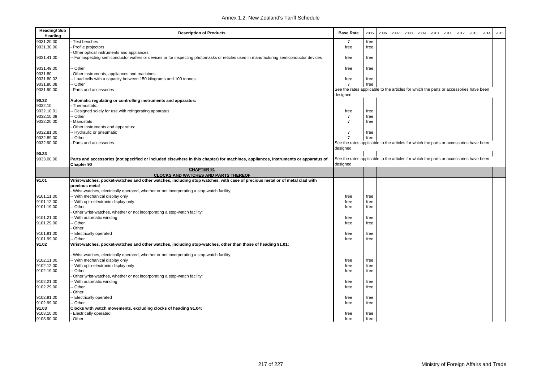| <b>Heading/Sub</b><br>Heading | <b>Description of Products</b>                                                                                                      | <b>Base Rate</b>                                                                                  | 2005 | 2006 | 2007 | 2008 | 2009 | 2010 | 2011 | 2012 | 2013 | 2014 | 2015 |
|-------------------------------|-------------------------------------------------------------------------------------------------------------------------------------|---------------------------------------------------------------------------------------------------|------|------|------|------|------|------|------|------|------|------|------|
| 9031.20.00                    | Test benches                                                                                                                        | -7                                                                                                | free |      |      |      |      |      |      |      |      |      |      |
| 9031.30.00                    | Profile projectors                                                                                                                  | free                                                                                              | free |      |      |      |      |      |      |      |      |      |      |
|                               | Other optical instruments and appliances                                                                                            |                                                                                                   |      |      |      |      |      |      |      |      |      |      |      |
| 9031.41.00                    | For inspecting semiconductor wafers or devices or for inspecting photomasks or reticles used in manufacturing semiconductor devices | free                                                                                              | free |      |      |      |      |      |      |      |      |      |      |
| 9031.49.00                    | - Other                                                                                                                             | free                                                                                              | free |      |      |      |      |      |      |      |      |      |      |
| 9031.80                       | Other instruments, appliances and machines:                                                                                         |                                                                                                   |      |      |      |      |      |      |      |      |      |      |      |
| 9031.80.02                    | - Load cells with a capacity between 150 kilograms and 100 tonnes                                                                   | free                                                                                              | free |      |      |      |      |      |      |      |      |      |      |
| 9031.80.08                    | - Other                                                                                                                             | $\overline{7}$                                                                                    | free |      |      |      |      |      |      |      |      |      |      |
| 9031.90.00                    | Parts and accessories                                                                                                               | See the rates applicable to the articles for which the parts or accessories have been<br>designed |      |      |      |      |      |      |      |      |      |      |      |
| 90.32                         | Automatic regulating or controlling instruments and apparatus:                                                                      |                                                                                                   |      |      |      |      |      |      |      |      |      |      |      |
| 9032.10                       | Thermostats:                                                                                                                        |                                                                                                   |      |      |      |      |      |      |      |      |      |      |      |
| 9032.10.01                    | - Designed solely for use with refrigerating apparatus                                                                              | free                                                                                              | free |      |      |      |      |      |      |      |      |      |      |
| 9032.10.09                    | - Other                                                                                                                             | $\overline{7}$                                                                                    | free |      |      |      |      |      |      |      |      |      |      |
| 9032.20.00                    | Manostats                                                                                                                           | $\overline{7}$                                                                                    | free |      |      |      |      |      |      |      |      |      |      |
|                               | Other instruments and apparatus:                                                                                                    |                                                                                                   |      |      |      |      |      |      |      |      |      |      |      |
| 9032.81.00                    | - Hydraulic or pneumatic                                                                                                            | $\overline{7}$                                                                                    | free |      |      |      |      |      |      |      |      |      |      |
| 9032.89.00                    | - Other                                                                                                                             | $\overline{7}$                                                                                    | free |      |      |      |      |      |      |      |      |      |      |
| 9032.90.00                    | Parts and accessories                                                                                                               | See the rates applicable to the articles for which the parts or accessories have been             |      |      |      |      |      |      |      |      |      |      |      |
|                               |                                                                                                                                     | designed                                                                                          |      |      |      |      |      |      |      |      |      |      |      |
| 90.33                         |                                                                                                                                     |                                                                                                   |      |      |      |      |      |      |      |      |      |      |      |
| 9033.00.00                    | Parts and accessories (not specified or included elsewhere in this chapter) for machines, appliances, instruments or apparatus of   | See the rates applicable to the articles for which the parts or accessories have been             |      |      |      |      |      |      |      |      |      |      |      |
|                               | Chapter 90                                                                                                                          | designed                                                                                          |      |      |      |      |      |      |      |      |      |      |      |
|                               | <b>CHAPTER 91</b>                                                                                                                   |                                                                                                   |      |      |      |      |      |      |      |      |      |      |      |
|                               | <b>CLOCKS AND WATCHES AND PARTS THEREOF</b>                                                                                         |                                                                                                   |      |      |      |      |      |      |      |      |      |      |      |
| 91.01                         | Wrist-watches, pocket-watches and other watches, including stop watches, with case of precious metal or of metal clad with          |                                                                                                   |      |      |      |      |      |      |      |      |      |      |      |
|                               | precious metal                                                                                                                      |                                                                                                   |      |      |      |      |      |      |      |      |      |      |      |
|                               | Wrist-watches, electrically operated, whether or not incorporating a stop-watch facility:                                           |                                                                                                   |      |      |      |      |      |      |      |      |      |      |      |
| 9101.11.00                    | - With mechanical display only                                                                                                      | free                                                                                              | free |      |      |      |      |      |      |      |      |      |      |
| 9101.12.00                    | With opto-electronic display only                                                                                                   | free                                                                                              | free |      |      |      |      |      |      |      |      |      |      |
| 9101.19.00                    | - Other                                                                                                                             | free                                                                                              | free |      |      |      |      |      |      |      |      |      |      |
|                               | Other wrist-watches, whether or not incorporating a stop-watch facility:                                                            |                                                                                                   |      |      |      |      |      |      |      |      |      |      |      |
| 9101.21.00                    | With automatic winding                                                                                                              | free                                                                                              | free |      |      |      |      |      |      |      |      |      |      |
| 9101.29.00                    | - Other                                                                                                                             | free                                                                                              | free |      |      |      |      |      |      |      |      |      |      |
|                               | Other:                                                                                                                              |                                                                                                   |      |      |      |      |      |      |      |      |      |      |      |
| 9101.91.00                    | - Electrically operated                                                                                                             | free                                                                                              | free |      |      |      |      |      |      |      |      |      |      |
| 9101.99.00                    | - Other                                                                                                                             | free                                                                                              | free |      |      |      |      |      |      |      |      |      |      |
| 91.02                         | Wrist-watches, pocket-watches and other watches, including stop-watches, other than those of heading 91.01:                         |                                                                                                   |      |      |      |      |      |      |      |      |      |      |      |
|                               | Wrist-watches, electrically operated, whether or not incorporating a stop-watch facility:                                           |                                                                                                   |      |      |      |      |      |      |      |      |      |      |      |
| 9102.11.00                    | With mechanical display only                                                                                                        | free                                                                                              | free |      |      |      |      |      |      |      |      |      |      |
| 9102.12.00                    | With opto-electronic display only                                                                                                   | free                                                                                              | free |      |      |      |      |      |      |      |      |      |      |
| 9102.19.00                    | - Other                                                                                                                             | free                                                                                              | free |      |      |      |      |      |      |      |      |      |      |
|                               | Other wrist-watches, whether or not incorporating a stop-watch facility:                                                            |                                                                                                   |      |      |      |      |      |      |      |      |      |      |      |
| 9102.21.00                    | With automatic winding                                                                                                              | free                                                                                              | free |      |      |      |      |      |      |      |      |      |      |
| 9102.29.00                    | - Other                                                                                                                             | free                                                                                              | free |      |      |      |      |      |      |      |      |      |      |
|                               | Other:                                                                                                                              |                                                                                                   |      |      |      |      |      |      |      |      |      |      |      |
| 9102.91.00                    | Electrically operated                                                                                                               | free                                                                                              | free |      |      |      |      |      |      |      |      |      |      |
| 9102.99.00                    | Other                                                                                                                               | free                                                                                              | free |      |      |      |      |      |      |      |      |      |      |
| 91.03                         | Clocks with watch movements, excluding clocks of heading 91.04:                                                                     |                                                                                                   |      |      |      |      |      |      |      |      |      |      |      |
| 9103.10.00                    | <b>Electrically operated</b>                                                                                                        | free                                                                                              | free |      |      |      |      |      |      |      |      |      |      |
| 9103.90.00                    | Other                                                                                                                               | free                                                                                              | free |      |      |      |      |      |      |      |      |      |      |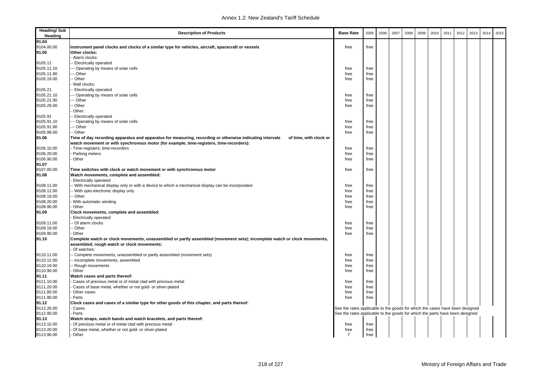| <b>Heading/Sub</b><br>Heading | <b>Description of Products</b>                                                                                                                                                        | <b>Base Rate</b>                                                             | 2005 | 2006 | 2007 | 2008 | 2009 | 2010 | 2011 | 2012 | 2013 | 2014 | 2015 |
|-------------------------------|---------------------------------------------------------------------------------------------------------------------------------------------------------------------------------------|------------------------------------------------------------------------------|------|------|------|------|------|------|------|------|------|------|------|
| 91.04                         |                                                                                                                                                                                       |                                                                              |      |      |      |      |      |      |      |      |      |      |      |
| 9104.00.00                    | Instrument panel clocks and clocks of a similar type for vehicles, aircraft, spacecraft or vessels                                                                                    | free                                                                         | free |      |      |      |      |      |      |      |      |      |      |
| 91.05                         | Other clocks:                                                                                                                                                                         |                                                                              |      |      |      |      |      |      |      |      |      |      |      |
|                               | Alarm clocks:                                                                                                                                                                         |                                                                              |      |      |      |      |      |      |      |      |      |      |      |
| 9105.11                       | - Electrically operated                                                                                                                                                               |                                                                              |      |      |      |      |      |      |      |      |      |      |      |
| 9105.11.10                    | --- Operating by means of solar cells                                                                                                                                                 | free                                                                         | free |      |      |      |      |      |      |      |      |      |      |
| 9105.11.90                    | --- Other                                                                                                                                                                             | free                                                                         | free |      |      |      |      |      |      |      |      |      |      |
| 9105.19.00                    | -- Other                                                                                                                                                                              | free                                                                         | free |      |      |      |      |      |      |      |      |      |      |
|                               | Wall clocks:                                                                                                                                                                          |                                                                              |      |      |      |      |      |      |      |      |      |      |      |
| 9105.21                       | -- Electrically operated                                                                                                                                                              |                                                                              |      |      |      |      |      |      |      |      |      |      |      |
| 9105.21.10                    | -- Operating by means of solar cells                                                                                                                                                  | free                                                                         | free |      |      |      |      |      |      |      |      |      |      |
| 9105.21.90                    | --- Other                                                                                                                                                                             | free                                                                         | free |      |      |      |      |      |      |      |      |      |      |
| 9105.29.00                    | -- Other                                                                                                                                                                              | free                                                                         | free |      |      |      |      |      |      |      |      |      |      |
|                               | Other:                                                                                                                                                                                |                                                                              |      |      |      |      |      |      |      |      |      |      |      |
| 9105.91                       | - Electrically operated                                                                                                                                                               |                                                                              |      |      |      |      |      |      |      |      |      |      |      |
| 9105.91.10                    | --- Operating by means of solar cells                                                                                                                                                 | free                                                                         | free |      |      |      |      |      |      |      |      |      |      |
| 9105.91.90                    | --- Other                                                                                                                                                                             | free                                                                         | free |      |      |      |      |      |      |      |      |      |      |
| 9105.99.00                    | -- Other                                                                                                                                                                              | free                                                                         | free |      |      |      |      |      |      |      |      |      |      |
| 91.06                         | Time of day recording apparatus and apparatus for measuring, recording or otherwise indicating intervals<br>of time, with clock or                                                    |                                                                              |      |      |      |      |      |      |      |      |      |      |      |
|                               | watch movement or with synchronous motor (for example, time-registers, time-recorders):                                                                                               |                                                                              |      |      |      |      |      |      |      |      |      |      |      |
| 9106.10.00                    | - Time-registers; time-recorders                                                                                                                                                      | free                                                                         | free |      |      |      |      |      |      |      |      |      |      |
| 9106.20.00                    | - Parking meters                                                                                                                                                                      | free                                                                         | free |      |      |      |      |      |      |      |      |      |      |
| 9106.90.00                    | Other                                                                                                                                                                                 | free                                                                         | free |      |      |      |      |      |      |      |      |      |      |
| 91.07                         |                                                                                                                                                                                       |                                                                              |      |      |      |      |      |      |      |      |      |      |      |
| 9107.00.00                    | Time switches with clock or watch movement or with synchronous motor                                                                                                                  | free                                                                         | free |      |      |      |      |      |      |      |      |      |      |
| 91.08                         | Watch movements, complete and assembled:<br>Electrically operated                                                                                                                     |                                                                              |      |      |      |      |      |      |      |      |      |      |      |
| 9108.11.00                    | -- With mechanical display only or with a device to which a mechanical display can be incorporated                                                                                    | free                                                                         | free |      |      |      |      |      |      |      |      |      |      |
| 9108.12.00                    | -- With opto-electronic display only                                                                                                                                                  | free                                                                         | free |      |      |      |      |      |      |      |      |      |      |
| 9108.19.00                    | -- Other                                                                                                                                                                              | free                                                                         | free |      |      |      |      |      |      |      |      |      |      |
| 9108.20.00                    | - With automatic winding                                                                                                                                                              | free                                                                         | free |      |      |      |      |      |      |      |      |      |      |
| 9108.90.00                    | Other                                                                                                                                                                                 | free                                                                         | free |      |      |      |      |      |      |      |      |      |      |
| 91.09                         | Clock movements, complete and assembled:<br>Electrically operated                                                                                                                     |                                                                              |      |      |      |      |      |      |      |      |      |      |      |
| 9109.11.00                    | - Of alarm clocks                                                                                                                                                                     | free                                                                         | free |      |      |      |      |      |      |      |      |      |      |
| 9109.19.00                    | -- Other                                                                                                                                                                              | free                                                                         | free |      |      |      |      |      |      |      |      |      |      |
| 9109.90.00                    | Other                                                                                                                                                                                 | free                                                                         | free |      |      |      |      |      |      |      |      |      |      |
| 91.10                         | Complete watch or clock movements, unassembled or partly assembled (movement sets); incomplete watch or clock movements,<br>assembled; rough watch or clock movements:<br>Of watches: |                                                                              |      |      |      |      |      |      |      |      |      |      |      |
| 9110.11.00                    | - Complete movements, unassembled or partly assembled (movement sets)                                                                                                                 | free                                                                         | free |      |      |      |      |      |      |      |      |      |      |
| 9110.12.00                    | - Incomplete movements, assembled                                                                                                                                                     | free                                                                         | free |      |      |      |      |      |      |      |      |      |      |
| 9110.19.00                    | -- Rough movements                                                                                                                                                                    | free                                                                         | free |      |      |      |      |      |      |      |      |      |      |
| 9110.90.00                    | Other                                                                                                                                                                                 | free                                                                         | free |      |      |      |      |      |      |      |      |      |      |
| 91.11                         | Watch cases and parts thereof:                                                                                                                                                        |                                                                              |      |      |      |      |      |      |      |      |      |      |      |
| 9111.10.00                    | Cases of precious metal or of metal clad with precious metal                                                                                                                          | free                                                                         | free |      |      |      |      |      |      |      |      |      |      |
| 9111.20.00                    | Cases of base metal, whether or not gold- or silver-plated                                                                                                                            | free                                                                         | free |      |      |      |      |      |      |      |      |      |      |
| 9111.80.00                    | Other cases                                                                                                                                                                           | free                                                                         | free |      |      |      |      |      |      |      |      |      |      |
| 9111.90.00                    | Parts                                                                                                                                                                                 | free                                                                         | free |      |      |      |      |      |      |      |      |      |      |
| 91.12                         | Clock cases and cases of a similar type for other goods of this chapter, and parts thereof:                                                                                           |                                                                              |      |      |      |      |      |      |      |      |      |      |      |
| 9112.20.00                    | Cases                                                                                                                                                                                 | See the rates applicable to the goods for which the cases have been designed |      |      |      |      |      |      |      |      |      |      |      |
| 9112.90.00                    | Parts                                                                                                                                                                                 | See the rates applicable to the goods for which the parts have been designed |      |      |      |      |      |      |      |      |      |      |      |
| 91.13                         | Watch straps, watch bands and watch bracelets, and parts thereof:                                                                                                                     |                                                                              |      |      |      |      |      |      |      |      |      |      |      |
| 9113.10.00                    | Of precious metal or of metal clad with precious metal                                                                                                                                | free                                                                         | free |      |      |      |      |      |      |      |      |      |      |
| 9113.20.00                    | Of base metal, whether or not gold- or silver-plated                                                                                                                                  | free                                                                         | free |      |      |      |      |      |      |      |      |      |      |
| 9113.90.00                    | Other                                                                                                                                                                                 | $\overline{7}$                                                               | free |      |      |      |      |      |      |      |      |      |      |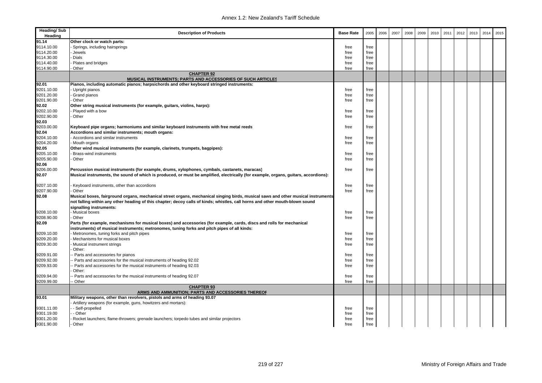| <b>Heading/Sub</b><br>Heading | <b>Description of Products</b>                                                                                                                                                                                                                                                              | <b>Base Rate</b> | 2005 | 2006 | 2007 | 2008 | 2009 | 2010 | 2011 | 2012 | 2013 | 2014 | 2015 |
|-------------------------------|---------------------------------------------------------------------------------------------------------------------------------------------------------------------------------------------------------------------------------------------------------------------------------------------|------------------|------|------|------|------|------|------|------|------|------|------|------|
| 91.14                         | Other clock or watch parts:                                                                                                                                                                                                                                                                 |                  |      |      |      |      |      |      |      |      |      |      |      |
| 9114.10.00                    | Springs, including hairsprings                                                                                                                                                                                                                                                              | free             | free |      |      |      |      |      |      |      |      |      |      |
| 9114.20.00                    | Jewels                                                                                                                                                                                                                                                                                      | free             | free |      |      |      |      |      |      |      |      |      |      |
| 9114.30.00                    | Dials                                                                                                                                                                                                                                                                                       | free             | free |      |      |      |      |      |      |      |      |      |      |
| 9114.40.00                    | Plates and bridges                                                                                                                                                                                                                                                                          | free             | free |      |      |      |      |      |      |      |      |      |      |
| 9114.90.00                    | Other                                                                                                                                                                                                                                                                                       | free             | free |      |      |      |      |      |      |      |      |      |      |
|                               | <b>CHAPTER 92</b><br>MUSICAL INSTRUMENTS; PARTS AND ACCESSORIES OF SUCH ARTICLES                                                                                                                                                                                                            |                  |      |      |      |      |      |      |      |      |      |      |      |
| 92.01                         | Pianos, including automatic pianos; harpsichords and other keyboard stringed instruments:                                                                                                                                                                                                   |                  |      |      |      |      |      |      |      |      |      |      |      |
| 9201.10.00                    | Upright pianos                                                                                                                                                                                                                                                                              | free             | free |      |      |      |      |      |      |      |      |      |      |
| 9201.20.00                    | Grand pianos                                                                                                                                                                                                                                                                                | free             | free |      |      |      |      |      |      |      |      |      |      |
| 9201.90.00                    | Other                                                                                                                                                                                                                                                                                       | free             | free |      |      |      |      |      |      |      |      |      |      |
| 92.02                         | Other string musical instruments (for example, guitars, violins, harps):                                                                                                                                                                                                                    |                  |      |      |      |      |      |      |      |      |      |      |      |
| 9202.10.00                    | Played with a bow                                                                                                                                                                                                                                                                           | free             | free |      |      |      |      |      |      |      |      |      |      |
| 9202.90.00                    | Other                                                                                                                                                                                                                                                                                       | free             | free |      |      |      |      |      |      |      |      |      |      |
| 92.03                         |                                                                                                                                                                                                                                                                                             |                  |      |      |      |      |      |      |      |      |      |      |      |
| 9203.00.00                    | Keyboard pipe organs; harmoniums and similar keyboard instruments with free metal reeds                                                                                                                                                                                                     | free             | free |      |      |      |      |      |      |      |      |      |      |
| 92.04                         | Accordions and similar instruments; mouth organs:                                                                                                                                                                                                                                           |                  |      |      |      |      |      |      |      |      |      |      |      |
| 9204.10.00                    | Accordions and similar instruments                                                                                                                                                                                                                                                          | free             | free |      |      |      |      |      |      |      |      |      |      |
| 9204.20.00                    | Mouth organs                                                                                                                                                                                                                                                                                | free             | free |      |      |      |      |      |      |      |      |      |      |
| 92.05                         | Other wind musical instruments (for example, clarinets, trumpets, bagpipes):                                                                                                                                                                                                                |                  |      |      |      |      |      |      |      |      |      |      |      |
| 9205.10.00                    | Brass-wind instruments                                                                                                                                                                                                                                                                      | free             | free |      |      |      |      |      |      |      |      |      |      |
| 9205.90.00                    | Other                                                                                                                                                                                                                                                                                       | free             | free |      |      |      |      |      |      |      |      |      |      |
| 92.06                         |                                                                                                                                                                                                                                                                                             |                  |      |      |      |      |      |      |      |      |      |      |      |
| 9206.00.00<br>92.07           | Percussion musical instruments (for example, drums, xylophones, cymbals, castanets, maracas)<br>Musical instruments, the sound of which is produced, or must be amplified, electrically (for example, organs, guitars, accordions):                                                         | free             | free |      |      |      |      |      |      |      |      |      |      |
| 9207.10.00                    | Keyboard instruments, other than accordions                                                                                                                                                                                                                                                 | free             | free |      |      |      |      |      |      |      |      |      |      |
| 9207.90.00                    | Other                                                                                                                                                                                                                                                                                       | free             | free |      |      |      |      |      |      |      |      |      |      |
| 92.08                         | Musical boxes, fairground organs, mechanical street organs, mechanical singing birds, musical saws and other musical instruments<br>not falling within any other heading of this chapter; decoy calls of kinds; whistles, call horns and other mouth-blown sound<br>signalling instruments: |                  |      |      |      |      |      |      |      |      |      |      |      |
| 9208.10.00                    | Musical boxes                                                                                                                                                                                                                                                                               | free             | free |      |      |      |      |      |      |      |      |      |      |
| 9208.90.00                    | Other                                                                                                                                                                                                                                                                                       | free             | free |      |      |      |      |      |      |      |      |      |      |
| 92.09                         | Parts (for example, mechanisms for musical boxes) and accessories (for example, cards, discs and rolls for mechanical<br>instruments) of musical instruments; metronomes, tuning forks and pitch pipes of all kinds:                                                                        |                  |      |      |      |      |      |      |      |      |      |      |      |
| 9209.10.00                    | Metronomes, tuning forks and pitch pipes                                                                                                                                                                                                                                                    | free             | free |      |      |      |      |      |      |      |      |      |      |
| 9209.20.00                    | Mechanisms for musical boxes                                                                                                                                                                                                                                                                | free             | free |      |      |      |      |      |      |      |      |      |      |
| 9209.30.00                    | Musical instrument strings<br>Other:                                                                                                                                                                                                                                                        | free             | free |      |      |      |      |      |      |      |      |      |      |
| 9209.91.00                    | Parts and accessories for pianos                                                                                                                                                                                                                                                            | free             | free |      |      |      |      |      |      |      |      |      |      |
| 9209.92.00                    | Parts and accessories for the musical instruments of heading 92.02                                                                                                                                                                                                                          | free             | free |      |      |      |      |      |      |      |      |      |      |
| 9209.93.00                    | Parts and accessories for the musical instruments of heading 92.03<br>Other:                                                                                                                                                                                                                | free             | free |      |      |      |      |      |      |      |      |      |      |
| 9209.94.00                    | Parts and accessories for the musical instruments of heading 92.07                                                                                                                                                                                                                          | free             | free |      |      |      |      |      |      |      |      |      |      |
| 9209.99.00                    | - Other                                                                                                                                                                                                                                                                                     | free             | free |      |      |      |      |      |      |      |      |      |      |
|                               | <b>CHAPTER 93</b><br>ARMS AND AMMUNITION; PARTS AND ACCESSORIES THEREOF                                                                                                                                                                                                                     |                  |      |      |      |      |      |      |      |      |      |      |      |
| 93.01                         | Military weapons, other than revolvers, pistols and arms of heading 93.07                                                                                                                                                                                                                   |                  |      |      |      |      |      |      |      |      |      |      |      |
|                               | Artillery weapons (for example, guns, howitzers and mortars):                                                                                                                                                                                                                               |                  |      |      |      |      |      |      |      |      |      |      |      |
| 9301.11.00                    | - Self-propelled                                                                                                                                                                                                                                                                            | free             | free |      |      |      |      |      |      |      |      |      |      |
| 9301.19.00                    | - Other                                                                                                                                                                                                                                                                                     | free             | free |      |      |      |      |      |      |      |      |      |      |
| 9301.20.00                    | Rocket launchers; flame-throwers; grenade launchers; torpedo tubes and similar projectors                                                                                                                                                                                                   | free             | free |      |      |      |      |      |      |      |      |      |      |
| 9301.90.00                    | Other                                                                                                                                                                                                                                                                                       | free             | free |      |      |      |      |      |      |      |      |      |      |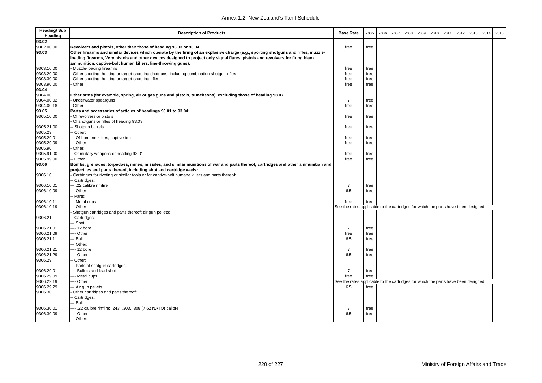| <b>Heading/Sub</b><br>Heading | <b>Description of Products</b>                                                                                                                                                                        | <b>Base Rate</b>                                                                  | 2005         | 2006 | 2007 | 2008 | 2009 | 2010 | 2011 | 2012 | 2013 | 2014 | 2015 |
|-------------------------------|-------------------------------------------------------------------------------------------------------------------------------------------------------------------------------------------------------|-----------------------------------------------------------------------------------|--------------|------|------|------|------|------|------|------|------|------|------|
| 93.02                         |                                                                                                                                                                                                       |                                                                                   |              |      |      |      |      |      |      |      |      |      |      |
| 9302.00.00                    | Revolvers and pistols, other than those of heading 93.03 or 93.04                                                                                                                                     | free                                                                              | free         |      |      |      |      |      |      |      |      |      |      |
| 93.03                         | Other firearms and similar devices which operate by the firing of an explosive charge (e.g., sporting shotguns and rifles, muzzle-                                                                    |                                                                                   |              |      |      |      |      |      |      |      |      |      |      |
|                               | loading firearms, Very pistols and other devices designed to project only signal flares, pistols and revolvers for firing blank                                                                       |                                                                                   |              |      |      |      |      |      |      |      |      |      |      |
|                               | ammunition, captive-bolt human killers, line-throwing guns):                                                                                                                                          |                                                                                   |              |      |      |      |      |      |      |      |      |      |      |
| 9303.10.00                    | Muzzle-loading firearms                                                                                                                                                                               | free                                                                              | free         |      |      |      |      |      |      |      |      |      |      |
| 9303.20.00                    | Other sporting, hunting or target-shooting shotguns, including combination shotgun-rifles                                                                                                             | free                                                                              | free         |      |      |      |      |      |      |      |      |      |      |
| 9303.30.00                    | Other sporting, hunting or target-shooting rifles                                                                                                                                                     | free                                                                              | free         |      |      |      |      |      |      |      |      |      |      |
| 9303.90.00                    | Other                                                                                                                                                                                                 | free                                                                              | free         |      |      |      |      |      |      |      |      |      |      |
| 93.04                         |                                                                                                                                                                                                       |                                                                                   |              |      |      |      |      |      |      |      |      |      |      |
| 9304.00                       | Other arms (for example, spring, air or gas guns and pistols, truncheons), excluding those of heading 93.07:                                                                                          |                                                                                   |              |      |      |      |      |      |      |      |      |      |      |
| 9304.00.02                    | Underwater spearguns                                                                                                                                                                                  | $\overline{7}$                                                                    | free         |      |      |      |      |      |      |      |      |      |      |
| 9304.00.18                    | Other                                                                                                                                                                                                 | free                                                                              | free         |      |      |      |      |      |      |      |      |      |      |
| 93.05                         | Parts and accessories of articles of headings 93.01 to 93.04:                                                                                                                                         |                                                                                   |              |      |      |      |      |      |      |      |      |      |      |
| 9305.10.00                    | Of revolvers or pistols                                                                                                                                                                               | free                                                                              | free         |      |      |      |      |      |      |      |      |      |      |
|                               |                                                                                                                                                                                                       |                                                                                   |              |      |      |      |      |      |      |      |      |      |      |
|                               | Of shotguns or rifles of heading 93.03:                                                                                                                                                               |                                                                                   |              |      |      |      |      |      |      |      |      |      |      |
| 9305.21.00                    | - Shotgun barrels                                                                                                                                                                                     | free                                                                              | free         |      |      |      |      |      |      |      |      |      |      |
| 9305.29                       | - Other:                                                                                                                                                                                              |                                                                                   |              |      |      |      |      |      |      |      |      |      |      |
| 9305.29.01                    | -- Of humane killers, captive bolt                                                                                                                                                                    | free                                                                              | free         |      |      |      |      |      |      |      |      |      |      |
| 9305.29.09                    | -- Other                                                                                                                                                                                              | free                                                                              | free         |      |      |      |      |      |      |      |      |      |      |
| 9305.90                       | Other:                                                                                                                                                                                                |                                                                                   |              |      |      |      |      |      |      |      |      |      |      |
| 9305.91.00                    | - Of military weapons of heading 93.01                                                                                                                                                                | free                                                                              | free         |      |      |      |      |      |      |      |      |      |      |
| 9305.99.00                    | - Other                                                                                                                                                                                               | free                                                                              | free         |      |      |      |      |      |      |      |      |      |      |
| 93.06                         | Bombs, grenades, torpedoes, mines, missiles, and similar munitions of war and parts thereof; cartridges and other ammunition and<br>projectiles and parts thereof, including shot and cartridge wads: |                                                                                   |              |      |      |      |      |      |      |      |      |      |      |
| 9306.10                       | Cartridges for riveting or similar tools or for captive-bolt humane killers and parts thereof:                                                                                                        |                                                                                   |              |      |      |      |      |      |      |      |      |      |      |
|                               | - Cartridges:                                                                                                                                                                                         |                                                                                   |              |      |      |      |      |      |      |      |      |      |      |
|                               | -- .22 calibre rimfire                                                                                                                                                                                | $\overline{7}$                                                                    |              |      |      |      |      |      |      |      |      |      |      |
| 9306.10.01<br>9306.10.09      | -- Other                                                                                                                                                                                              | 6.5                                                                               | free<br>free |      |      |      |      |      |      |      |      |      |      |
|                               |                                                                                                                                                                                                       |                                                                                   |              |      |      |      |      |      |      |      |      |      |      |
|                               | Parts:                                                                                                                                                                                                |                                                                                   |              |      |      |      |      |      |      |      |      |      |      |
| 9306.10.11                    | --- Metal cups                                                                                                                                                                                        | free                                                                              | free         |      |      |      |      |      |      |      |      |      |      |
| 9306.10.19                    | -- Other                                                                                                                                                                                              | See the rates applicable to the cartridges for which the parts have been designed |              |      |      |      |      |      |      |      |      |      |      |
|                               | Shotgun cartridges and parts thereof; air gun pellets:                                                                                                                                                |                                                                                   |              |      |      |      |      |      |      |      |      |      |      |
| 9306.21                       | - Cartridges:                                                                                                                                                                                         |                                                                                   |              |      |      |      |      |      |      |      |      |      |      |
|                               | -- Shot:                                                                                                                                                                                              |                                                                                   |              |      |      |      |      |      |      |      |      |      |      |
| 9306.21.01                    | --- 12 bore                                                                                                                                                                                           | $\overline{7}$                                                                    | free         |      |      |      |      |      |      |      |      |      |      |
| 9306.21.09                    | ---- Other                                                                                                                                                                                            | free                                                                              | free         |      |      |      |      |      |      |      |      |      |      |
| 9306.21.11                    | -- Ball                                                                                                                                                                                               | 6.5                                                                               | free         |      |      |      |      |      |      |      |      |      |      |
|                               | -- Other:                                                                                                                                                                                             |                                                                                   |              |      |      |      |      |      |      |      |      |      |      |
| 9306.21.21                    | ---- 12 bore                                                                                                                                                                                          | $\overline{7}$                                                                    | free         |      |      |      |      |      |      |      |      |      |      |
| 9306.21.29                    | ---- Other                                                                                                                                                                                            | 6.5                                                                               | free         |      |      |      |      |      |      |      |      |      |      |
| 9306.29                       | - Other:                                                                                                                                                                                              |                                                                                   |              |      |      |      |      |      |      |      |      |      |      |
|                               | --- Parts of shotgun cartridges:                                                                                                                                                                      |                                                                                   |              |      |      |      |      |      |      |      |      |      |      |
| 9306.29.01                    | ---- Bullets and lead shot                                                                                                                                                                            | $\overline{7}$                                                                    | free         |      |      |      |      |      |      |      |      |      |      |
| 9306.29.09                    | ---- Metal cups                                                                                                                                                                                       | free                                                                              | free         |      |      |      |      |      |      |      |      |      |      |
| 9306.29.19                    | --- Other                                                                                                                                                                                             | See the rates applicable to the cartridges for which the parts have been designed |              |      |      |      |      |      |      |      |      |      |      |
| 9306.29.29                    | --- Air gun pellets                                                                                                                                                                                   | 6.5                                                                               | free         |      |      |      |      |      |      |      |      |      |      |
| 9306.30                       | Other cartridges and parts thereof:                                                                                                                                                                   |                                                                                   |              |      |      |      |      |      |      |      |      |      |      |
|                               | - Cartridges:                                                                                                                                                                                         |                                                                                   |              |      |      |      |      |      |      |      |      |      |      |
|                               | -- Ball:                                                                                                                                                                                              |                                                                                   |              |      |      |      |      |      |      |      |      |      |      |
| 9306.30.01                    | ---- .22 calibre rimfire; .243, .303, .308 (7.62 NATO) calibre                                                                                                                                        | $\overline{7}$                                                                    | free         |      |      |      |      |      |      |      |      |      |      |
| 9306.30.09                    | --- Other                                                                                                                                                                                             | 6.5                                                                               | free         |      |      |      |      |      |      |      |      |      |      |
|                               | -- Other:                                                                                                                                                                                             |                                                                                   |              |      |      |      |      |      |      |      |      |      |      |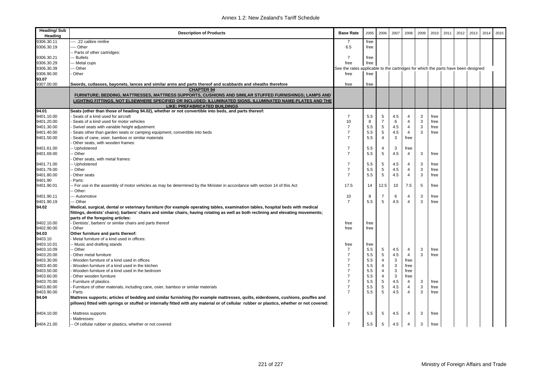| <b>Heading/Sub</b><br>Heading | <b>Description of Products</b>                                                                                                                                                                                                                                                                             | <b>Base Rate</b> | 2005                                                                | 2006           | 2007 | 2008           | 2009 | 2010 | 2011 | 2012 | 2013 | 2014 | 2015 |
|-------------------------------|------------------------------------------------------------------------------------------------------------------------------------------------------------------------------------------------------------------------------------------------------------------------------------------------------------|------------------|---------------------------------------------------------------------|----------------|------|----------------|------|------|------|------|------|------|------|
| 9306.30.11                    | ---- .22 calibre rimfire                                                                                                                                                                                                                                                                                   | -7               | free                                                                |                |      |                |      |      |      |      |      |      |      |
| 9306.30.19                    | --- Other                                                                                                                                                                                                                                                                                                  | 6.5              | free                                                                |                |      |                |      |      |      |      |      |      |      |
|                               | -- Parts of other cartridges:                                                                                                                                                                                                                                                                              |                  |                                                                     |                |      |                |      |      |      |      |      |      |      |
| 9306.30.21                    | -- Bullets                                                                                                                                                                                                                                                                                                 | $\overline{7}$   | free                                                                |                |      |                |      |      |      |      |      |      |      |
| 9306.30.29                    | -- Metal cups                                                                                                                                                                                                                                                                                              | free             | free                                                                |                |      |                |      |      |      |      |      |      |      |
| 9306.30.39                    | -- Other                                                                                                                                                                                                                                                                                                   | See the rates    | applicable to the cartridges for which the parts have been designed |                |      |                |      |      |      |      |      |      |      |
| 9306.90.00                    | Other                                                                                                                                                                                                                                                                                                      | free             | free                                                                |                |      |                |      |      |      |      |      |      |      |
| 93.07                         |                                                                                                                                                                                                                                                                                                            |                  |                                                                     |                |      |                |      |      |      |      |      |      |      |
| 9307.00.00                    | Swords, cutlasses, bayonets, lances and similar arms and parts thereof and scabbards and sheaths therefore                                                                                                                                                                                                 | free             | free                                                                |                |      |                |      |      |      |      |      |      |      |
|                               | <b>CHAPTER 94</b>                                                                                                                                                                                                                                                                                          |                  |                                                                     |                |      |                |      |      |      |      |      |      |      |
|                               | FURNITURE; BEDDING, MATTRESSES, MATTRESS SUPPORTS, CUSHIONS AND SIMILAR STUFFED FURNISHINGS; LAMPS AND                                                                                                                                                                                                     |                  |                                                                     |                |      |                |      |      |      |      |      |      |      |
|                               | LIGHTING FITTINGS, NOT ELSEWHERE SPECIFIED OR INCLUDED; ILLUMINATED SIGNS, ILLUMINATED NAME-PLATES AND THE                                                                                                                                                                                                 |                  |                                                                     |                |      |                |      |      |      |      |      |      |      |
|                               | LIKE; PREFABRICATED BUILDINGS                                                                                                                                                                                                                                                                              |                  |                                                                     |                |      |                |      |      |      |      |      |      |      |
| 94.01                         | Seats (other than those of heading 94.02), whether or not convertible into beds, and parts thereof:                                                                                                                                                                                                        |                  |                                                                     |                |      |                |      |      |      |      |      |      |      |
| 9401.10.00                    | Seats of a kind used for aircraft                                                                                                                                                                                                                                                                          | $\overline{7}$   | 5.5                                                                 | 5              | 4.5  | $\overline{4}$ | 3    | free |      |      |      |      |      |
| 9401.20.00                    | Seats of a kind used for motor vehicles                                                                                                                                                                                                                                                                    | 10               | 8                                                                   | $\overline{7}$ | 6    | 4              | 3    | free |      |      |      |      |      |
| 9401.30.00                    | Swivel seats with variable height adjustment                                                                                                                                                                                                                                                               | $\overline{7}$   | 5.5                                                                 | 5              | 4.5  | $\overline{4}$ | 3    | free |      |      |      |      |      |
| 9401.40.00                    | Seats other than garden seats or camping equipment, convertible into beds                                                                                                                                                                                                                                  | $\overline{7}$   | 5.5                                                                 | 5              | 4.5  | $\overline{4}$ | 3    | free |      |      |      |      |      |
| 9401.50.00                    | Seats of cane, osier, bamboo or similar materials                                                                                                                                                                                                                                                          | $\overline{7}$   | 5.5                                                                 | $\overline{4}$ | 3    | free           |      |      |      |      |      |      |      |
|                               | Other seats, with wooden frames:                                                                                                                                                                                                                                                                           |                  |                                                                     |                |      |                |      |      |      |      |      |      |      |
| 9401.61.00                    | - Upholstered                                                                                                                                                                                                                                                                                              | $\overline{7}$   | 5.5                                                                 | 4              | 3    | free           |      |      |      |      |      |      |      |
| 9401.69.00                    | - Other                                                                                                                                                                                                                                                                                                    | $\overline{7}$   | 5.5                                                                 | 5              | 4.5  | $\overline{4}$ | 3    | free |      |      |      |      |      |
|                               | Other seats, with metal frames:                                                                                                                                                                                                                                                                            |                  |                                                                     |                |      |                |      |      |      |      |      |      |      |
| 9401.71.00                    | -- Upholstered                                                                                                                                                                                                                                                                                             | $\overline{7}$   | 5.5                                                                 | 5              | 4.5  | 4              | 3    | free |      |      |      |      |      |
| 9401.79.00                    | - Other                                                                                                                                                                                                                                                                                                    | $\overline{7}$   | 5.5                                                                 | 5              | 4.5  | $\overline{4}$ | 3    | free |      |      |      |      |      |
| 9401.80.00                    | Other seats                                                                                                                                                                                                                                                                                                | $\overline{7}$   | 5.5                                                                 | 5              | 4.5  | $\overline{4}$ | 3    | free |      |      |      |      |      |
| 9401.90                       | Parts:                                                                                                                                                                                                                                                                                                     |                  |                                                                     |                |      |                |      |      |      |      |      |      |      |
| 9401.90.01                    | - For use in the assembly of motor vehicles as may be determined by the Minister in accordance with section 14 of this Act<br>- Other:                                                                                                                                                                     | 17.5             | 14                                                                  | 12.5           | 10   | 7.5            | 5    | free |      |      |      |      |      |
| 9401.90.11                    | --- Automotive                                                                                                                                                                                                                                                                                             | 10               | 8                                                                   | $\overline{7}$ | 6    | 4              | 3    | free |      |      |      |      |      |
| 9401.90.19                    | --- Other                                                                                                                                                                                                                                                                                                  | $\overline{7}$   | 5.5                                                                 | 5              | 4.5  | $\overline{4}$ | 3    | free |      |      |      |      |      |
| 94.02                         | Medical, surgical, dental or veterinary furniture (for example operating tables, examination tables, hospital beds with medical<br>fittings, dentists' chairs); barbers' chairs and similar chairs, having rotating as well as both reclining and elevating movements;<br>parts of the foregoing articles: |                  |                                                                     |                |      |                |      |      |      |      |      |      |      |
| 9402.10.00                    | - Dentists', barbers' or similar chairs and parts thereof                                                                                                                                                                                                                                                  | free             | free                                                                |                |      |                |      |      |      |      |      |      |      |
| 9402.90.00                    | Other                                                                                                                                                                                                                                                                                                      | free             | free                                                                |                |      |                |      |      |      |      |      |      |      |
| 94.03                         | Other furniture and parts thereof:                                                                                                                                                                                                                                                                         |                  |                                                                     |                |      |                |      |      |      |      |      |      |      |
| 9403.10                       | Metal furniture of a kind used in offices:                                                                                                                                                                                                                                                                 |                  |                                                                     |                |      |                |      |      |      |      |      |      |      |
| 9403.10.01                    | - Music and drafting stands                                                                                                                                                                                                                                                                                | free             | free                                                                |                |      |                |      |      |      |      |      |      |      |
| 9403.10.09                    | - Other                                                                                                                                                                                                                                                                                                    | $\overline{7}$   | 5.5                                                                 | 5              | 4.5  | $\overline{4}$ | 3    | free |      |      |      |      |      |
| 9403.20.00                    | Other metal furniture                                                                                                                                                                                                                                                                                      | $\overline{7}$   | 5.5                                                                 | 5              | 4.5  | $\overline{4}$ | 3    | free |      |      |      |      |      |
| 9403.30.00                    | Wooden furniture of a kind used in offices                                                                                                                                                                                                                                                                 | $\overline{7}$   | 5.5                                                                 | 4              | 3    | free           |      |      |      |      |      |      |      |
| 9403.40.00                    | Wooden furniture of a kind used in the kitchen                                                                                                                                                                                                                                                             | $\overline{7}$   | 5.5                                                                 | 4              | 3    | free           |      |      |      |      |      |      |      |
| 9403.50.00                    | Wooden furniture of a kind used in the bedroom                                                                                                                                                                                                                                                             | $\overline{7}$   | 5.5                                                                 | $\overline{4}$ | 3    | free           |      |      |      |      |      |      |      |
| 9403.60.00                    | Other wooden furniture                                                                                                                                                                                                                                                                                     | $\overline{7}$   | 5.5                                                                 | 4              | 3    | free           |      |      |      |      |      |      |      |
| 9403.70.00                    | - Furniture of plastics                                                                                                                                                                                                                                                                                    | $\overline{7}$   | 5.5                                                                 | 5              | 4.5  | $\overline{4}$ | 3    | free |      |      |      |      |      |
| 9403.80.00                    | Furniture of other materials, including cane, osier, bamboo or similar materials                                                                                                                                                                                                                           | $\overline{7}$   | 5.5                                                                 | 5              | 4.5  | $\overline{4}$ | 3    | free |      |      |      |      |      |
| 9403.90.00                    | Parts                                                                                                                                                                                                                                                                                                      | $\overline{7}$   | 5.5                                                                 | 5              | 4.5  | $\overline{4}$ | 3    | free |      |      |      |      |      |
| 94.04                         | Mattress supports; articles of bedding and similar furnishing (for example mattresses, quilts, eiderdowns, cushions, pouffes and<br>pillows) fitted with springs or stuffed or internally fitted with any material or of cellular rubber or plastics, whether or not covered:                              |                  |                                                                     |                |      |                |      |      |      |      |      |      |      |
| 9404.10.00                    | Mattress supports<br>Mattresses:                                                                                                                                                                                                                                                                           | 7                | 5.5                                                                 | 5              | 4.5  | 4              | 3    | free |      |      |      |      |      |
| 9404.21.00                    | -- Of cellular rubber or plastics, whether or not covered                                                                                                                                                                                                                                                  | $\overline{7}$   | 5.5                                                                 | 5              | 4.5  | $\overline{4}$ | 3    | free |      |      |      |      |      |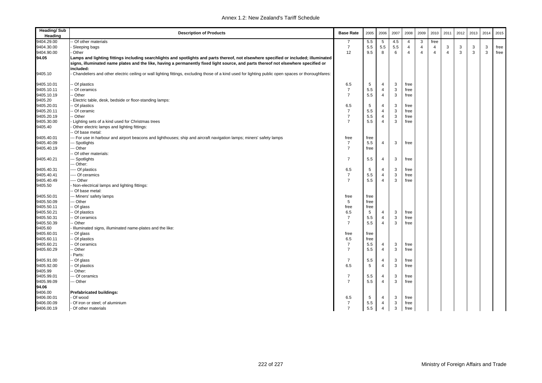| <b>Heading/Sub</b><br>Heading | <b>Description of Products</b>                                                                                                                     | <b>Base Rate</b>                 | 2005 | 2006           | 2007 | 2008           | 2009                    | 2010           | 2011           | 2012 | 2013 | 2014 | 2015 |
|-------------------------------|----------------------------------------------------------------------------------------------------------------------------------------------------|----------------------------------|------|----------------|------|----------------|-------------------------|----------------|----------------|------|------|------|------|
| 9404.29.00                    | Of other materials                                                                                                                                 | 7                                | 5.5  | 5              | 4.5  | 4              | 3                       | free           |                |      |      |      |      |
| 9404.30.00                    | Sleeping bags                                                                                                                                      | $\overline{7}$                   | 5.5  | 5.5            | 5.5  | $\overline{4}$ | $\overline{4}$          | $\overline{4}$ | 3              | 3    | 3    | 3    | free |
| 9404.90.00                    | Other                                                                                                                                              | 12                               | 9.5  | 8              | 6    | $\overline{4}$ | $\overline{\mathbf{4}}$ | $\overline{4}$ | $\overline{4}$ | 3    | 3    | 3    | free |
| 94.05                         | Lamps and lighting fittings including searchlights and spotlights and parts thereof, not elsewhere specified or included; illuminated              |                                  |      |                |      |                |                         |                |                |      |      |      |      |
|                               | signs, illuminated name plates and the like, having a permanently fixed light source, and parts thereof not elsewhere specified or                 |                                  |      |                |      |                |                         |                |                |      |      |      |      |
|                               | included:                                                                                                                                          |                                  |      |                |      |                |                         |                |                |      |      |      |      |
| 9405.10                       | Chandeliers and other electric ceiling or wall lighting fittings, excluding those of a kind used for lighting public open spaces or thoroughfares: |                                  |      |                |      |                |                         |                |                |      |      |      |      |
| 9405.10.01                    | Of plastics                                                                                                                                        | 6.5                              | 5    | $\overline{4}$ | 3    | free           |                         |                |                |      |      |      |      |
| 9405.10.11                    | Of ceramics                                                                                                                                        | $\overline{7}$                   | 5.5  | $\overline{4}$ | 3    | free           |                         |                |                |      |      |      |      |
| 9405.10.19                    | Other                                                                                                                                              | $\overline{7}$                   | 5.5  | $\overline{4}$ | 3    | free           |                         |                |                |      |      |      |      |
| 9405.20                       | Electric table, desk, bedside or floor-standing lamps:                                                                                             |                                  |      |                |      |                |                         |                |                |      |      |      |      |
| 9405.20.01                    | Of plastics                                                                                                                                        | 6.5                              | 5    | $\overline{4}$ | 3    | free           |                         |                |                |      |      |      |      |
| 9405.20.11                    | Of ceramic                                                                                                                                         | $\overline{7}$                   | 5.5  | $\overline{4}$ | 3    | free           |                         |                |                |      |      |      |      |
| 9405.20.19                    | Other                                                                                                                                              | $\overline{7}$                   | 5.5  | $\overline{4}$ | 3    | free           |                         |                |                |      |      |      |      |
| 9405.30.00                    | Lighting sets of a kind used for Christmas trees                                                                                                   | $\overline{7}$                   | 5.5  | $\overline{4}$ | 3    | free           |                         |                |                |      |      |      |      |
| 9405.40                       | Other electric lamps and lighting fittings:                                                                                                        |                                  |      |                |      |                |                         |                |                |      |      |      |      |
|                               | Of base metal:                                                                                                                                     |                                  |      |                |      |                |                         |                |                |      |      |      |      |
| 9405.40.01                    | - For use in harbour and airport beacons and lighthouses; ship and aircraft navigation lamps; miners' safety lamps                                 | free                             | free |                |      |                |                         |                |                |      |      |      |      |
| 9405.40.09                    | - Spotlights                                                                                                                                       | $\overline{7}$                   | 5.5  | $\overline{4}$ | 3    | free           |                         |                |                |      |      |      |      |
| 9405.40.19                    | -- Other                                                                                                                                           | $\overline{7}$                   | free |                |      |                |                         |                |                |      |      |      |      |
|                               | Of other materials:                                                                                                                                |                                  |      |                |      |                |                         |                |                |      |      |      |      |
| 9405.40.21                    | - Spotlights                                                                                                                                       | $\overline{7}$                   | 5.5  | $\overline{4}$ | 3    | free           |                         |                |                |      |      |      |      |
|                               | -- Other:                                                                                                                                          |                                  |      |                |      |                |                         |                |                |      |      |      |      |
| 9405.40.31                    | -- Of plastics                                                                                                                                     | 6.5                              | 5    | $\overline{4}$ | 3    | free           |                         |                |                |      |      |      |      |
| 9405.40.41                    | --- Of ceramics                                                                                                                                    | $\overline{7}$                   | 5.5  | $\overline{4}$ | 3    | free           |                         |                |                |      |      |      |      |
| 9405.40.49                    | --- Other                                                                                                                                          | $\overline{7}$                   | 5.5  | $\overline{4}$ | 3    | free           |                         |                |                |      |      |      |      |
| 9405.50                       | Non-electrical lamps and lighting fittings:                                                                                                        |                                  |      |                |      |                |                         |                |                |      |      |      |      |
|                               | Of base metal:                                                                                                                                     |                                  |      |                |      |                |                         |                |                |      |      |      |      |
| 9405.50.01                    | -- Miners' safety lamps                                                                                                                            | free                             | free |                |      |                |                         |                |                |      |      |      |      |
| 9405.50.09                    | - Other                                                                                                                                            | 5                                | free |                |      |                |                         |                |                |      |      |      |      |
| 9405.50.11                    | Of glass                                                                                                                                           | free                             | free |                |      |                |                         |                |                |      |      |      |      |
| 9405.50.21                    | Of plastics                                                                                                                                        | 6.5                              | 5    | $\overline{4}$ | 3    | free           |                         |                |                |      |      |      |      |
| 9405.50.31                    | Of ceramics                                                                                                                                        | $\overline{7}$                   | 5.5  | $\overline{4}$ | 3    | free           |                         |                |                |      |      |      |      |
| 9405.50.39                    | Other                                                                                                                                              | $\overline{7}$                   | 5.5  | $\overline{4}$ | 3    | free           |                         |                |                |      |      |      |      |
| 9405.60                       | Illuminated signs, illuminated name-plates and the like:                                                                                           |                                  |      |                |      |                |                         |                |                |      |      |      |      |
| 9405.60.01                    | Of glass                                                                                                                                           | free                             | free |                |      |                |                         |                |                |      |      |      |      |
| 9405.60.11                    | Of plastics                                                                                                                                        | 6.5                              | free |                |      |                |                         |                |                |      |      |      |      |
| 9405.60.21                    | Of ceramics                                                                                                                                        | $\overline{7}$                   | 5.5  | $\overline{4}$ | 3    | free           |                         |                |                |      |      |      |      |
| 9405.60.29                    | Other                                                                                                                                              | $\overline{7}$                   | 5.5  | $\overline{4}$ | 3    | free           |                         |                |                |      |      |      |      |
|                               | Parts:                                                                                                                                             |                                  |      |                |      |                |                         |                |                |      |      |      |      |
| 9405.91.00                    | Of glass                                                                                                                                           | $\overline{7}$                   | 5.5  | 4              | 3    | free           |                         |                |                |      |      |      |      |
| 9405.92.00                    | Of plastics                                                                                                                                        | 6.5                              | 5    | $\overline{4}$ | 3    | free           |                         |                |                |      |      |      |      |
| 9405.99                       | Other:                                                                                                                                             |                                  |      |                |      |                |                         |                |                |      |      |      |      |
| 9405.99.01                    | - Of ceramics                                                                                                                                      | $\overline{7}$                   | 5.5  | $\overline{4}$ | 3    | free           |                         |                |                |      |      |      |      |
| 9405.99.09                    | - Other                                                                                                                                            | $\overline{7}$                   | 5.5  | $\overline{4}$ | 3    | free           |                         |                |                |      |      |      |      |
| 94.06                         |                                                                                                                                                    |                                  |      |                |      |                |                         |                |                |      |      |      |      |
|                               |                                                                                                                                                    |                                  |      |                |      |                |                         |                |                |      |      |      |      |
| 9406.00<br>9406.00.01         | Prefabricated buildings:<br>Of wood                                                                                                                |                                  |      |                |      |                |                         |                |                |      |      |      |      |
|                               |                                                                                                                                                    | 6.5                              | 5    | 4              | 3    | free           |                         |                |                |      |      |      |      |
| 9406.00.09                    | Of iron or steel; of aluminium                                                                                                                     | $\overline{7}$<br>$\overline{7}$ | 5.5  | $\overline{4}$ | 3    | free           |                         |                |                |      |      |      |      |
| 9406.00.19                    | Of other materials                                                                                                                                 |                                  | 5.5  | $\overline{4}$ | 3    | free           |                         |                |                |      |      |      |      |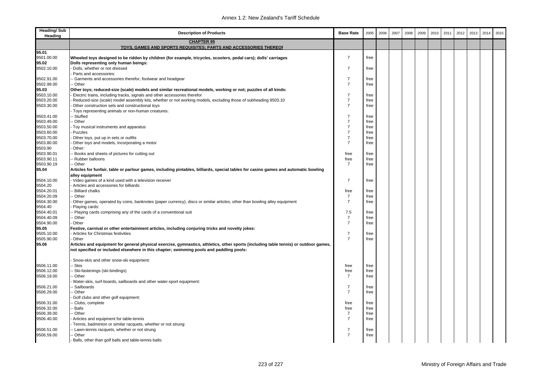| <b>Heading/Sub</b><br>Heading | <b>Description of Products</b>                                                                                                                           | <b>Base Rate</b> | 2005 | 2006 | 2007 | 2008 | 2009 | 2010 | 2011 | 2012 | 2013 | 2014 | 2015 |
|-------------------------------|----------------------------------------------------------------------------------------------------------------------------------------------------------|------------------|------|------|------|------|------|------|------|------|------|------|------|
|                               | <b>CHAPTER 95</b>                                                                                                                                        |                  |      |      |      |      |      |      |      |      |      |      |      |
|                               | TOYS, GAMES AND SPORTS REQUISITES; PARTS AND ACCESSORIES THEREOF                                                                                         |                  |      |      |      |      |      |      |      |      |      |      |      |
| 95.01                         |                                                                                                                                                          | $\overline{7}$   |      |      |      |      |      |      |      |      |      |      |      |
| 9501.00.00<br>95.02           | Wheeled toys designed to be ridden by children (for example, tricycles, scooters, pedal cars); dolls' carriages<br>Dolls representing only human beings: |                  | free |      |      |      |      |      |      |      |      |      |      |
| 9502.10.00                    | Dolls, whether or not dressed                                                                                                                            | $\overline{7}$   | free |      |      |      |      |      |      |      |      |      |      |
|                               | Parts and accessories:                                                                                                                                   |                  |      |      |      |      |      |      |      |      |      |      |      |
| 9502.91.00                    | - Garments and accessories therefor, footwear and headgear                                                                                               | $\overline{7}$   | free |      |      |      |      |      |      |      |      |      |      |
| 9502.99.00                    | - Other                                                                                                                                                  | $\overline{7}$   | free |      |      |      |      |      |      |      |      |      |      |
| 95.03                         | Other toys; reduced-size (scale) models and similar recreational models, working or not; puzzles of all kinds:                                           |                  |      |      |      |      |      |      |      |      |      |      |      |
| 9503.10.00                    | Electric trains, including tracks, signals and other accessories therefor                                                                                | $\overline{7}$   | free |      |      |      |      |      |      |      |      |      |      |
| 9503.20.00                    | Reduced-size (scale) model assembly kits, whether or not working models, excluding those of subheading 9503.10                                           | $\overline{7}$   | free |      |      |      |      |      |      |      |      |      |      |
| 9503.30.00                    | Other construction sets and constructional toys                                                                                                          | $\overline{7}$   | free |      |      |      |      |      |      |      |      |      |      |
| 9503.41.00                    | Toys representing animals or non-human creatures:<br>Stuffed                                                                                             | $\overline{7}$   | free |      |      |      |      |      |      |      |      |      |      |
| 9503.49.00                    | - Other                                                                                                                                                  | $\overline{7}$   | free |      |      |      |      |      |      |      |      |      |      |
| 9503.50.00                    | Toy musical instruments and apparatus                                                                                                                    | $\overline{7}$   | free |      |      |      |      |      |      |      |      |      |      |
| 9503.60.00                    | Puzzles                                                                                                                                                  | $\overline{7}$   | free |      |      |      |      |      |      |      |      |      |      |
| 9503.70.00                    | Other toys, put up in sets or outfits                                                                                                                    | $\overline{7}$   | free |      |      |      |      |      |      |      |      |      |      |
| 9503.80.00                    | Other toys and models, incorporating a motor                                                                                                             | $\overline{7}$   | free |      |      |      |      |      |      |      |      |      |      |
| 9503.90                       | Other:                                                                                                                                                   |                  |      |      |      |      |      |      |      |      |      |      |      |
| 9503.90.01                    | Books and sheets of pictures for cutting out                                                                                                             | free             | free |      |      |      |      |      |      |      |      |      |      |
| 9503.90.11                    | Rubber balloons                                                                                                                                          | free             | free |      |      |      |      |      |      |      |      |      |      |
| 9503.90.19                    | - Other                                                                                                                                                  | $\overline{7}$   | free |      |      |      |      |      |      |      |      |      |      |
| 95.04                         | Articles for funfair, table or parlour games, including pintables, billiards, special tables for casino games and automatic bowling                      |                  |      |      |      |      |      |      |      |      |      |      |      |
| 9504.10.00                    | alley equipment<br>Video games of a kind used with a television receiver                                                                                 | $\overline{7}$   | free |      |      |      |      |      |      |      |      |      |      |
| 9504.20                       | Articles and accessories for billiards:                                                                                                                  |                  |      |      |      |      |      |      |      |      |      |      |      |
| 9504.20.01                    | <b>Billiard chalks</b>                                                                                                                                   | free             | free |      |      |      |      |      |      |      |      |      |      |
| 9504.20.09                    | Other                                                                                                                                                    | $\overline{7}$   | free |      |      |      |      |      |      |      |      |      |      |
| 9504.30.00                    | Other games, operated by coins, banknotes (paper currency), discs or similar articles, other than bowling alley equipment                                | $\overline{7}$   | free |      |      |      |      |      |      |      |      |      |      |
| 9504.40                       | Playing cards:                                                                                                                                           |                  |      |      |      |      |      |      |      |      |      |      |      |
| 9504.40.01                    | Playing cards comprising any of the cards of a conventional suit                                                                                         | 7.5              | free |      |      |      |      |      |      |      |      |      |      |
| 9504.40.09                    | Other                                                                                                                                                    | $\overline{7}$   | free |      |      |      |      |      |      |      |      |      |      |
| 9504.90.00                    | Other                                                                                                                                                    | $\overline{7}$   | free |      |      |      |      |      |      |      |      |      |      |
| 95.05<br>9505.10.00           | Festive, carnival or other entertainment articles, including conjuring tricks and novelty jokes:<br>Articles for Christmas festivities                   | $\overline{7}$   | free |      |      |      |      |      |      |      |      |      |      |
| 9505.90.00                    | Other                                                                                                                                                    | $\overline{7}$   | free |      |      |      |      |      |      |      |      |      |      |
| 95.06                         | Articles and equipment for general physical exercise, gymnastics, athletics, other sports (including table tennis) or outdoor games,                     |                  |      |      |      |      |      |      |      |      |      |      |      |
|                               | not specified or included elsewhere in this chapter; swimming pools and paddling pools:                                                                  |                  |      |      |      |      |      |      |      |      |      |      |      |
|                               |                                                                                                                                                          |                  |      |      |      |      |      |      |      |      |      |      |      |
|                               | Snow-skis and other snow-ski equipment:                                                                                                                  |                  |      |      |      |      |      |      |      |      |      |      |      |
| 9506.11.00                    | · Skis                                                                                                                                                   | free             | free |      |      |      |      |      |      |      |      |      |      |
| 9506.12.00                    | Ski-fastenings (ski-bindings)                                                                                                                            | free             | free |      |      |      |      |      |      |      |      |      |      |
| 9506.19.00                    | Other                                                                                                                                                    | $\overline{7}$   | free |      |      |      |      |      |      |      |      |      |      |
| 9506.21.00                    | Water-skis, surf-boards, sailboards and other water-sport equipment:<br>Sailboards                                                                       | $\overline{7}$   | free |      |      |      |      |      |      |      |      |      |      |
| 9506.29.00                    | - Other                                                                                                                                                  | $\overline{7}$   | free |      |      |      |      |      |      |      |      |      |      |
|                               | Golf clubs and other golf equipment:                                                                                                                     |                  |      |      |      |      |      |      |      |      |      |      |      |
| 9506.31.00                    | Clubs, complete                                                                                                                                          | free             | free |      |      |      |      |      |      |      |      |      |      |
| 9506.32.00                    | Balls                                                                                                                                                    | free             | free |      |      |      |      |      |      |      |      |      |      |
| 9506.39.00                    | Other                                                                                                                                                    | $\overline{7}$   | free |      |      |      |      |      |      |      |      |      |      |
| 9506.40.00                    | Articles and equipment for table-tennis                                                                                                                  | $\overline{7}$   | free |      |      |      |      |      |      |      |      |      |      |
|                               | Tennis, badminton or similar racquets, whether or not strung:                                                                                            |                  |      |      |      |      |      |      |      |      |      |      |      |
| 9506.51.00                    | - Lawn-tennis racquets, whether or not strung                                                                                                            | 7                | free |      |      |      |      |      |      |      |      |      |      |
| 9506.59.00                    | Other                                                                                                                                                    | $\overline{7}$   | free |      |      |      |      |      |      |      |      |      |      |
|                               | Balls, other than golf balls and table-tennis balls:                                                                                                     |                  |      |      |      |      |      |      |      |      |      |      |      |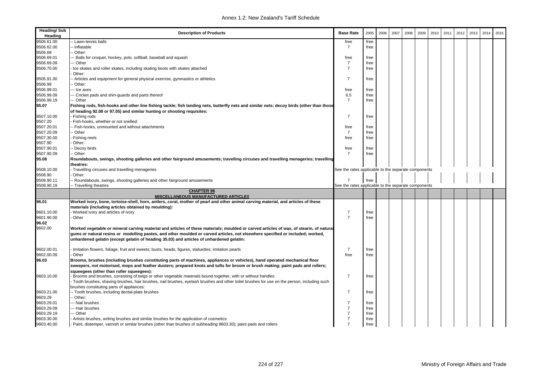| <b>Heading/Sub</b><br>Heading | <b>Description of Products</b>                                                                                                                                                                                                                                                                                                                                        | <b>Base Rate</b>                                    | 2005 | 2006 | 2007 | 2008 | 2009 | 2010 | 2011 | 2012 | 2013 | 2014 | 2015 |
|-------------------------------|-----------------------------------------------------------------------------------------------------------------------------------------------------------------------------------------------------------------------------------------------------------------------------------------------------------------------------------------------------------------------|-----------------------------------------------------|------|------|------|------|------|------|------|------|------|------|------|
| 9506.61.00                    | Lawn-tennis balls                                                                                                                                                                                                                                                                                                                                                     | free                                                | free |      |      |      |      |      |      |      |      |      |      |
| 9506.62.00                    | · Inflatable                                                                                                                                                                                                                                                                                                                                                          | $\overline{7}$                                      | free |      |      |      |      |      |      |      |      |      |      |
| 9506.69                       | Other:                                                                                                                                                                                                                                                                                                                                                                |                                                     |      |      |      |      |      |      |      |      |      |      |      |
| 9506.69.01                    | - Balls for croquet, hockey, polo, softball, baseball and squash                                                                                                                                                                                                                                                                                                      | free                                                | free |      |      |      |      |      |      |      |      |      |      |
| 9506.69.09                    | - Other                                                                                                                                                                                                                                                                                                                                                               | $\overline{7}$                                      | free |      |      |      |      |      |      |      |      |      |      |
| 9506.70.00                    | Ice skates and roller skates, including skating boots with skates attached                                                                                                                                                                                                                                                                                            | $\overline{7}$                                      | free |      |      |      |      |      |      |      |      |      |      |
|                               | Other:                                                                                                                                                                                                                                                                                                                                                                |                                                     |      |      |      |      |      |      |      |      |      |      |      |
| 9506.91.00                    | Articles and equipment for general physical exercise, gymnastics or athletics                                                                                                                                                                                                                                                                                         | $\overline{7}$                                      | free |      |      |      |      |      |      |      |      |      |      |
| 9506.99                       | Other:                                                                                                                                                                                                                                                                                                                                                                |                                                     |      |      |      |      |      |      |      |      |      |      |      |
| 9506.99.01                    | -- Ice axes                                                                                                                                                                                                                                                                                                                                                           | free                                                | free |      |      |      |      |      |      |      |      |      |      |
| 9506.99.09                    | -- Cricket pads and shin-guards and parts thereof                                                                                                                                                                                                                                                                                                                     | 6.5                                                 | free |      |      |      |      |      |      |      |      |      |      |
| 9506.99.19                    | -- Other                                                                                                                                                                                                                                                                                                                                                              | $\overline{7}$                                      | free |      |      |      |      |      |      |      |      |      |      |
| 95.07                         | Fishing rods, fish-hooks and other line fishing tackle; fish landing nets, butterfly nets and similar nets; decoy birds (other than those<br>of heading 92.08 or 97.05) and similar hunting or shooting requisites:                                                                                                                                                   |                                                     |      |      |      |      |      |      |      |      |      |      |      |
| 9507.10.00                    | Fishing rods                                                                                                                                                                                                                                                                                                                                                          | $\overline{7}$                                      | free |      |      |      |      |      |      |      |      |      |      |
| 9507.20                       | Fish-hooks, whether or not snelled:                                                                                                                                                                                                                                                                                                                                   |                                                     |      |      |      |      |      |      |      |      |      |      |      |
| 9507.20.01                    | Fish-hooks, unmounted and without attachments                                                                                                                                                                                                                                                                                                                         | free                                                | free |      |      |      |      |      |      |      |      |      |      |
| 9507.20.09                    | - Other                                                                                                                                                                                                                                                                                                                                                               | $\overline{7}$                                      | free |      |      |      |      |      |      |      |      |      |      |
| 9507.30.00                    | Fishing reels                                                                                                                                                                                                                                                                                                                                                         | free                                                | free |      |      |      |      |      |      |      |      |      |      |
| 9507.90                       | Other:                                                                                                                                                                                                                                                                                                                                                                |                                                     |      |      |      |      |      |      |      |      |      |      |      |
| 9507.90.01                    | - Decoy birds                                                                                                                                                                                                                                                                                                                                                         | free                                                | free |      |      |      |      |      |      |      |      |      |      |
| 9507.90.09                    | - Other                                                                                                                                                                                                                                                                                                                                                               | $\overline{7}$                                      | free |      |      |      |      |      |      |      |      |      |      |
| 95.08                         | Roundabouts, swings, shooting galleries and other fairground amusements; travelling circuses and travelling menageries; travelling                                                                                                                                                                                                                                    |                                                     |      |      |      |      |      |      |      |      |      |      |      |
|                               | theatres:                                                                                                                                                                                                                                                                                                                                                             |                                                     |      |      |      |      |      |      |      |      |      |      |      |
| 9508.10.00                    | Travelling circuses and travelling menageries                                                                                                                                                                                                                                                                                                                         | See the rates applicable to the separate components |      |      |      |      |      |      |      |      |      |      |      |
| 9508.90                       | Other:                                                                                                                                                                                                                                                                                                                                                                |                                                     |      |      |      |      |      |      |      |      |      |      |      |
| 9508.90.11                    | Roundabouts, swings, shooting galleries and other fairground amusements                                                                                                                                                                                                                                                                                               | $\overline{7}$                                      | free |      |      |      |      |      |      |      |      |      |      |
| 9508.90.19                    | Travelling theatres                                                                                                                                                                                                                                                                                                                                                   | See the rates applicable to the separate components |      |      |      |      |      |      |      |      |      |      |      |
|                               | <b>CHAPTER 96</b>                                                                                                                                                                                                                                                                                                                                                     |                                                     |      |      |      |      |      |      |      |      |      |      |      |
|                               | MISCELLANEOUS MANUFACTURED ARTICLES                                                                                                                                                                                                                                                                                                                                   |                                                     |      |      |      |      |      |      |      |      |      |      |      |
| 96.01                         | Worked ivory, bone, tortoise-shell, horn, antlers, coral, mother of pearl and other animal carving material, and articles of these                                                                                                                                                                                                                                    |                                                     |      |      |      |      |      |      |      |      |      |      |      |
|                               | materials (including articles obtained by moulding):                                                                                                                                                                                                                                                                                                                  |                                                     |      |      |      |      |      |      |      |      |      |      |      |
| 9601.10.00                    | Worked ivory and articles of ivory                                                                                                                                                                                                                                                                                                                                    | $\overline{7}$                                      | free |      |      |      |      |      |      |      |      |      |      |
| 9601.90.00                    | Other                                                                                                                                                                                                                                                                                                                                                                 | $\overline{7}$                                      | free |      |      |      |      |      |      |      |      |      |      |
| 96.02                         |                                                                                                                                                                                                                                                                                                                                                                       |                                                     |      |      |      |      |      |      |      |      |      |      |      |
| 9602.00                       | Worked vegetable or mineral carving material and articles of these materials; moulded or carved articles of wax, of stearin, of natural<br>gums or natural resins or modelling pastes, and other moulded or carved articles, not elsewhere specified or included; worked,<br>unhardened gelatin (except gelatin of heading 35.03) and articles of unhardened gelatin: |                                                     |      |      |      |      |      |      |      |      |      |      |      |
| 9602.00.01                    | Imitation flowers, foliage, fruit and sweets; busts, heads, figures, statuettes; imitation pearls                                                                                                                                                                                                                                                                     | $\overline{7}$                                      | free |      |      |      |      |      |      |      |      |      |      |
| 9602.00.09                    | Other                                                                                                                                                                                                                                                                                                                                                                 | free                                                | free |      |      |      |      |      |      |      |      |      |      |
| 96.03                         | Brooms, brushes (including brushes constituting parts of machines, appliances or vehicles), hand operated mechanical floor                                                                                                                                                                                                                                            |                                                     |      |      |      |      |      |      |      |      |      |      |      |
|                               | sweepers, not motorised, mops and feather dusters; prepared knots and tufts for broom or brush making; paint pads and rollers;<br>squeegees (other than roller squeegees):                                                                                                                                                                                            |                                                     |      |      |      |      |      |      |      |      |      |      |      |
| 9603.10.00                    | Brooms and brushes, consisting of twigs or other vegetable materials bound together, with or without handles<br>Tooth brushes, shaving brushes, hair brushes, nail brushes, eyelash brushes and other toilet brushes for use on the person, including such<br>brushes constituting parts of appliances:                                                               | $\overline{7}$                                      | free |      |      |      |      |      |      |      |      |      |      |
| 9603.21.00                    | - Tooth brushes, including dental-plate brushes                                                                                                                                                                                                                                                                                                                       | $\overline{7}$                                      | free |      |      |      |      |      |      |      |      |      |      |
| 9603.29                       | Other:                                                                                                                                                                                                                                                                                                                                                                |                                                     |      |      |      |      |      |      |      |      |      |      |      |
| 9603.29.01                    | -- Nail brushes                                                                                                                                                                                                                                                                                                                                                       | $\overline{7}$                                      | free |      |      |      |      |      |      |      |      |      |      |
| 9603.29.09                    | -- Hair brushes                                                                                                                                                                                                                                                                                                                                                       | $\overline{7}$                                      | free |      |      |      |      |      |      |      |      |      |      |
| 9603.29.19                    | -- Other                                                                                                                                                                                                                                                                                                                                                              | $\overline{7}$                                      | free |      |      |      |      |      |      |      |      |      |      |
| 9603.30.00                    | Artists brushes, writing brushes and similar brushes for the application of cosmetics                                                                                                                                                                                                                                                                                 | $\overline{7}$                                      | free |      |      |      |      |      |      |      |      |      |      |
| 9603.40.00                    | Paint, distemper, varnish or similar brushes (other than brushes of subheading 9603.30); paint pads and rollers                                                                                                                                                                                                                                                       | $\overline{7}$                                      | free |      |      |      |      |      |      |      |      |      |      |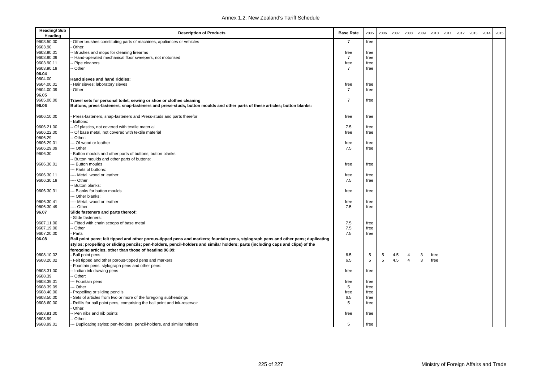| <b>Heading/Sub</b><br>Heading | <b>Description of Products</b>                                                                                                    | <b>Base Rate</b> | 2005        | 2006 | 2007 | 2008           | 2009 | 2010 | 2011 | 2012 | 2013 | 2014 | 2015 |
|-------------------------------|-----------------------------------------------------------------------------------------------------------------------------------|------------------|-------------|------|------|----------------|------|------|------|------|------|------|------|
| 9603.50.00                    | Other brushes constituting parts of machines, appliances or vehicles                                                              | $\overline{7}$   | free        |      |      |                |      |      |      |      |      |      |      |
| 9603.90                       | Other:                                                                                                                            |                  |             |      |      |                |      |      |      |      |      |      |      |
| 9603.90.01                    | - Brushes and mops for cleaning firearms                                                                                          | free             | free        |      |      |                |      |      |      |      |      |      |      |
| 9603.90.09                    | - Hand-operated mechanical floor sweepers, not motorised                                                                          | $\overline{7}$   | free        |      |      |                |      |      |      |      |      |      |      |
| 9603.90.11                    | - Pipe cleaners                                                                                                                   | free             | free        |      |      |                |      |      |      |      |      |      |      |
| 9603.90.19                    | -- Other                                                                                                                          | $\overline{7}$   | free        |      |      |                |      |      |      |      |      |      |      |
| 96.04                         |                                                                                                                                   |                  |             |      |      |                |      |      |      |      |      |      |      |
| 9604.00                       | Hand sieves and hand riddles:                                                                                                     |                  |             |      |      |                |      |      |      |      |      |      |      |
| 9604.00.01                    | Hair sieves; laboratory sieves                                                                                                    | free             | free        |      |      |                |      |      |      |      |      |      |      |
| 9604.00.09                    | Other                                                                                                                             | $\overline{7}$   | free        |      |      |                |      |      |      |      |      |      |      |
| 96.05                         |                                                                                                                                   |                  |             |      |      |                |      |      |      |      |      |      |      |
| 9605.00.00                    | Travel sets for personal toilet, sewing or shoe or clothes cleaning                                                               | $\overline{7}$   | free        |      |      |                |      |      |      |      |      |      |      |
| 96.06                         | Buttons, press-fasteners, snap-fasteners and press-studs, button moulds and other parts of these articles; button blanks:         |                  |             |      |      |                |      |      |      |      |      |      |      |
| 9606.10.00                    | Press-fasteners, snap-fasteners and Press-studs and parts therefor                                                                | free             | free        |      |      |                |      |      |      |      |      |      |      |
|                               | Buttons:                                                                                                                          |                  |             |      |      |                |      |      |      |      |      |      |      |
| 9606.21.00                    | Of plastics, not covered with textile material                                                                                    | 7.5              | free        |      |      |                |      |      |      |      |      |      |      |
| 9606.22.00                    | - Of base metal, not covered with textile material                                                                                | free             | free        |      |      |                |      |      |      |      |      |      |      |
| 9606.29                       | - Other:                                                                                                                          |                  |             |      |      |                |      |      |      |      |      |      |      |
| 9606.29.01                    | -- Of wood or leather                                                                                                             | free             | free        |      |      |                |      |      |      |      |      |      |      |
| 9606.29.09                    | -- Other                                                                                                                          | 7.5              | free        |      |      |                |      |      |      |      |      |      |      |
| 9606.30                       | Button moulds and other parts of buttons; button blanks:                                                                          |                  |             |      |      |                |      |      |      |      |      |      |      |
|                               | - Button moulds and other parts of buttons:                                                                                       |                  |             |      |      |                |      |      |      |      |      |      |      |
| 9606.30.01                    | -- Button moulds                                                                                                                  | free             | free        |      |      |                |      |      |      |      |      |      |      |
|                               | -- Parts of buttons:                                                                                                              |                  |             |      |      |                |      |      |      |      |      |      |      |
| 9606.30.11                    | -- Metal, wood or leather                                                                                                         | free             | free        |      |      |                |      |      |      |      |      |      |      |
| 9606.30.19                    | --- Other                                                                                                                         | 7.5              | free        |      |      |                |      |      |      |      |      |      |      |
|                               | - Button blanks:                                                                                                                  |                  |             |      |      |                |      |      |      |      |      |      |      |
| 9606.30.31                    | Blanks for button moulds                                                                                                          | free             | free        |      |      |                |      |      |      |      |      |      |      |
|                               | -- Other blanks:                                                                                                                  |                  |             |      |      |                |      |      |      |      |      |      |      |
| 9606.30.41                    | ---- Metal, wood or leather                                                                                                       | free             | free        |      |      |                |      |      |      |      |      |      |      |
| 9606.30.49                    | --- Other                                                                                                                         | 7.5              | free        |      |      |                |      |      |      |      |      |      |      |
| 96.07                         | Slide fasteners and parts thereof:                                                                                                |                  |             |      |      |                |      |      |      |      |      |      |      |
|                               | Slide fasteners:                                                                                                                  |                  |             |      |      |                |      |      |      |      |      |      |      |
| 9607.11.00                    | - Fitted with chain scoops of base metal                                                                                          | 7.5              | free        |      |      |                |      |      |      |      |      |      |      |
| 9607.19.00                    | -- Other                                                                                                                          | 7.5              | free        |      |      |                |      |      |      |      |      |      |      |
| 9607.20.00                    | - Parts                                                                                                                           | 7.5              | free        |      |      |                |      |      |      |      |      |      |      |
| 96.08                         | Ball point pens; felt tipped and other porous-tipped pens and markers; fountain pens, stylograph pens and other pens; duplicating |                  |             |      |      |                |      |      |      |      |      |      |      |
|                               | stylos; propelling or sliding pencils; pen-holders, pencil-holders and similar holders; parts (including caps and clips) of the   |                  |             |      |      |                |      |      |      |      |      |      |      |
|                               | foregoing articles, other than those of heading 96.09:                                                                            |                  |             |      |      |                |      |      |      |      |      |      |      |
| 9608.10.02                    | Ball point pens                                                                                                                   | 6.5              | 5           | 5    | 4.5  | $\overline{4}$ | 3    | free |      |      |      |      |      |
| 9608.20.02                    | Felt tipped and other porous-tipped pens and markers                                                                              | 6.5              | $\,$ 5 $\,$ | 5    | 4.5  | $\overline{4}$ | 3    | free |      |      |      |      |      |
|                               | Fountain pens, stylograph pens and other pens:                                                                                    |                  |             |      |      |                |      |      |      |      |      |      |      |
| 9608.31.00                    | -- Indian ink drawing pens                                                                                                        | free             | free        |      |      |                |      |      |      |      |      |      |      |
| 9608.39                       | - Other:                                                                                                                          |                  |             |      |      |                |      |      |      |      |      |      |      |
| 9608.39.01                    | --- Fountain pens                                                                                                                 | free             | free        |      |      |                |      |      |      |      |      |      |      |
| 9608.39.09                    | -- Other                                                                                                                          | 5                | free        |      |      |                |      |      |      |      |      |      |      |
| 9608.40.00                    | Propelling or sliding pencils                                                                                                     | free             | free        |      |      |                |      |      |      |      |      |      |      |
| 9608.50.00                    | Sets of articles from two or more of the foregoing subheadings                                                                    | 6.5              | free        |      |      |                |      |      |      |      |      |      |      |
| 9608.60.00                    | Refills for ball point pens, comprising the ball point and ink-reservoir                                                          | 5                | free        |      |      |                |      |      |      |      |      |      |      |
|                               | Other:                                                                                                                            |                  |             |      |      |                |      |      |      |      |      |      |      |
| 9608.91.00                    | - Pen nibs and nib points                                                                                                         | free             | free        |      |      |                |      |      |      |      |      |      |      |
| 9608.99                       | -- Other:                                                                                                                         |                  |             |      |      |                |      |      |      |      |      |      |      |
| 9608.99.01                    | --- Duplicating stylos; pen-holders, pencil-holders, and similar holders                                                          | 5                | free        |      |      |                |      |      |      |      |      |      |      |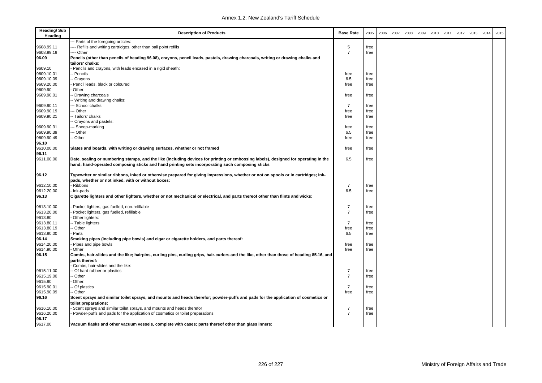| <b>Heading/Sub</b><br>Heading | <b>Description of Products</b>                                                                                                                                                                                                         | <b>Base Rate</b> | 2005 | 2006 | 2007 | 2008 | 2009 | 2010 | 2011 | 2012 | 2013 | 2014 | 2015 |
|-------------------------------|----------------------------------------------------------------------------------------------------------------------------------------------------------------------------------------------------------------------------------------|------------------|------|------|------|------|------|------|------|------|------|------|------|
|                               | -- Parts of the foregoing articles:                                                                                                                                                                                                    |                  |      |      |      |      |      |      |      |      |      |      |      |
| 9608.99.11                    | --- Refills and writing cartridges, other than ball point refills                                                                                                                                                                      | 5                | free |      |      |      |      |      |      |      |      |      |      |
| 9608.99.19                    | ---- Other                                                                                                                                                                                                                             | $\overline{7}$   | free |      |      |      |      |      |      |      |      |      |      |
| 96.09                         | Pencils (other than pencils of heading 96.08), crayons, pencil leads, pastels, drawing charcoals, writing or drawing chalks and<br>tailors' chalks:                                                                                    |                  |      |      |      |      |      |      |      |      |      |      |      |
| 9609.10                       | Pencils and crayons, with leads encased in a rigid sheath:                                                                                                                                                                             |                  |      |      |      |      |      |      |      |      |      |      |      |
| 9609.10.01                    | - Pencils                                                                                                                                                                                                                              | free             | free |      |      |      |      |      |      |      |      |      |      |
| 9609.10.09                    | - Crayons                                                                                                                                                                                                                              | 6.5              | free |      |      |      |      |      |      |      |      |      |      |
| 9609.20.00                    | Pencil leads, black or coloured                                                                                                                                                                                                        | free             | free |      |      |      |      |      |      |      |      |      |      |
| 9609.90                       | Other:                                                                                                                                                                                                                                 |                  |      |      |      |      |      |      |      |      |      |      |      |
| 9609.90.01                    | Drawing charcoals                                                                                                                                                                                                                      | free             | free |      |      |      |      |      |      |      |      |      |      |
|                               | - Writing and drawing chalks:                                                                                                                                                                                                          |                  |      |      |      |      |      |      |      |      |      |      |      |
| 9609.90.11                    | -- School chalks                                                                                                                                                                                                                       | $\overline{7}$   | free |      |      |      |      |      |      |      |      |      |      |
| 9609.90.19                    | -- Other                                                                                                                                                                                                                               | free             | free |      |      |      |      |      |      |      |      |      |      |
| 9609.90.21                    | -- Tailors' chalks                                                                                                                                                                                                                     | free             | free |      |      |      |      |      |      |      |      |      |      |
|                               | - Crayons and pastels:                                                                                                                                                                                                                 |                  |      |      |      |      |      |      |      |      |      |      |      |
| 9609.90.31                    | -- Sheep-marking                                                                                                                                                                                                                       | free             | free |      |      |      |      |      |      |      |      |      |      |
| 9609.90.39                    | -- Other                                                                                                                                                                                                                               | 6.5              | free |      |      |      |      |      |      |      |      |      |      |
| 9609.90.49                    | - Other                                                                                                                                                                                                                                | free             | free |      |      |      |      |      |      |      |      |      |      |
| 96.10                         |                                                                                                                                                                                                                                        |                  |      |      |      |      |      |      |      |      |      |      |      |
| 9610.00.00                    | Slates and boards, with writing or drawing surfaces, whether or not framed                                                                                                                                                             | free             | free |      |      |      |      |      |      |      |      |      |      |
| 96.11                         |                                                                                                                                                                                                                                        |                  |      |      |      |      |      |      |      |      |      |      |      |
| 9611.00.00                    | Date, sealing or numbering stamps, and the like (including devices for printing or embossing labels), designed for operating in the<br>hand; hand-operated composing sticks and hand printing sets incorporating such composing sticks | 6.5              | free |      |      |      |      |      |      |      |      |      |      |
| 96.12                         | Typewriter or similar ribbons, inked or otherwise prepared for giving impressions, whether or not on spools or in cartridges; ink-<br>pads, whether or not inked, with or without boxes:                                               |                  |      |      |      |      |      |      |      |      |      |      |      |
| 9612.10.00                    | Ribbons                                                                                                                                                                                                                                | $\overline{7}$   | free |      |      |      |      |      |      |      |      |      |      |
| 9612.20.00                    | Ink-pads                                                                                                                                                                                                                               | 6.5              | free |      |      |      |      |      |      |      |      |      |      |
| 96.13                         | Cigarette lighters and other lighters, whether or not mechanical or electrical, and parts thereof other than flints and wicks:                                                                                                         |                  |      |      |      |      |      |      |      |      |      |      |      |
| 9613.10.00                    | Pocket lighters, gas fuelled, non-refillable                                                                                                                                                                                           | $\overline{7}$   | free |      |      |      |      |      |      |      |      |      |      |
| 9613.20.00                    | Pocket lighters, gas fuelled, refillable                                                                                                                                                                                               | $\overline{7}$   | free |      |      |      |      |      |      |      |      |      |      |
| 9613.80                       | Other lighters:                                                                                                                                                                                                                        |                  |      |      |      |      |      |      |      |      |      |      |      |
| 9613.80.11                    | -- Table lighters                                                                                                                                                                                                                      | $\overline{7}$   | free |      |      |      |      |      |      |      |      |      |      |
| 9613.80.19                    | - Other                                                                                                                                                                                                                                | free             | free |      |      |      |      |      |      |      |      |      |      |
| 9613.90.00                    | Parts                                                                                                                                                                                                                                  | 6.5              | free |      |      |      |      |      |      |      |      |      |      |
| 96.14                         | Smoking pipes (including pipe bowls) and cigar or cigarette holders, and parts thereof:                                                                                                                                                |                  |      |      |      |      |      |      |      |      |      |      |      |
| 9614.20.00                    | Pipes and pipe bowls                                                                                                                                                                                                                   | free             | free |      |      |      |      |      |      |      |      |      |      |
| 9614.90.00                    | Other                                                                                                                                                                                                                                  | free             | free |      |      |      |      |      |      |      |      |      |      |
| 96.15                         | Combs, hair-slides and the like; hairpins, curling pins, curling grips, hair-curlers and the like, other than those of heading 85.16, and                                                                                              |                  |      |      |      |      |      |      |      |      |      |      |      |
|                               | parts thereof:                                                                                                                                                                                                                         |                  |      |      |      |      |      |      |      |      |      |      |      |
|                               | Combs, hair-slides and the like:                                                                                                                                                                                                       |                  |      |      |      |      |      |      |      |      |      |      |      |
| 9615.11.00                    | - Of hard rubber or plastics                                                                                                                                                                                                           | $\overline{7}$   | free |      |      |      |      |      |      |      |      |      |      |
| 9615.19.00                    | - Other                                                                                                                                                                                                                                | $\overline{7}$   | free |      |      |      |      |      |      |      |      |      |      |
| 9615.90                       | Other:                                                                                                                                                                                                                                 |                  |      |      |      |      |      |      |      |      |      |      |      |
| 9615.90.01                    | - Of plastics                                                                                                                                                                                                                          | $\overline{7}$   | free |      |      |      |      |      |      |      |      |      |      |
| 9615.90.09                    | - Other                                                                                                                                                                                                                                | free             | free |      |      |      |      |      |      |      |      |      |      |
| 96.16                         | Scent sprays and similar toilet sprays, and mounts and heads therefor; powder-puffs and pads for the application of cosmetics or<br>toilet preparations:                                                                               |                  |      |      |      |      |      |      |      |      |      |      |      |
| 9616.10.00                    | Scent sprays and similar toilet sprays, and mounts and heads therefor                                                                                                                                                                  | $\overline{7}$   | free |      |      |      |      |      |      |      |      |      |      |
| 9616.20.00                    | Powder-puffs and pads for the application of cosmetics or toilet preparations                                                                                                                                                          | $\overline{7}$   | free |      |      |      |      |      |      |      |      |      |      |
| 96.17                         |                                                                                                                                                                                                                                        |                  |      |      |      |      |      |      |      |      |      |      |      |
| 9617.00                       | Vacuum flasks and other vacuum vessels, complete with cases; parts thereof other than glass inners:                                                                                                                                    |                  |      |      |      |      |      |      |      |      |      |      |      |